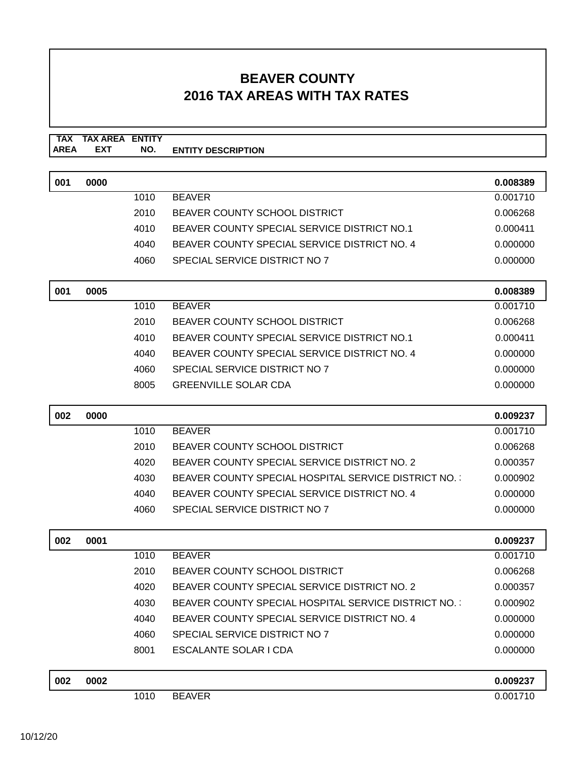**TAX TAX AREA ENTITY AREA ENTITY DESCRIPTION EXT NO.**

| 001 | 0000 |      |                                                     | 0.008389 |
|-----|------|------|-----------------------------------------------------|----------|
|     |      | 1010 | <b>BEAVER</b>                                       | 0.001710 |
|     |      | 2010 | <b>BEAVER COUNTY SCHOOL DISTRICT</b>                | 0.006268 |
|     |      | 4010 | BEAVER COUNTY SPECIAL SERVICE DISTRICT NO.1         | 0.000411 |
|     |      | 4040 | BEAVER COUNTY SPECIAL SERVICE DISTRICT NO. 4        | 0.000000 |
|     |      | 4060 | SPECIAL SERVICE DISTRICT NO 7                       | 0.000000 |
| 001 | 0005 |      |                                                     | 0.008389 |
|     |      | 1010 | <b>BEAVER</b>                                       | 0.001710 |
|     |      | 2010 | <b>BEAVER COUNTY SCHOOL DISTRICT</b>                | 0.006268 |
|     |      | 4010 | BEAVER COUNTY SPECIAL SERVICE DISTRICT NO.1         | 0.000411 |
|     |      | 4040 | BEAVER COUNTY SPECIAL SERVICE DISTRICT NO. 4        | 0.000000 |
|     |      | 4060 | SPECIAL SERVICE DISTRICT NO 7                       | 0.000000 |
|     |      | 8005 | <b>GREENVILLE SOLAR CDA</b>                         | 0.000000 |
| 002 | 0000 |      |                                                     | 0.009237 |
|     |      | 1010 | <b>BEAVER</b>                                       | 0.001710 |
|     |      | 2010 | BEAVER COUNTY SCHOOL DISTRICT                       | 0.006268 |
|     |      | 4020 | BEAVER COUNTY SPECIAL SERVICE DISTRICT NO. 2        | 0.000357 |
|     |      | 4030 | BEAVER COUNTY SPECIAL HOSPITAL SERVICE DISTRICT NO. | 0.000902 |
|     |      | 4040 | BEAVER COUNTY SPECIAL SERVICE DISTRICT NO. 4        | 0.000000 |
|     |      | 4060 | SPECIAL SERVICE DISTRICT NO 7                       | 0.000000 |
| 002 | 0001 |      |                                                     | 0.009237 |
|     |      | 1010 | <b>BEAVER</b>                                       | 0.001710 |
|     |      | 2010 | BEAVER COUNTY SCHOOL DISTRICT                       | 0.006268 |
|     |      | 4020 | BEAVER COUNTY SPECIAL SERVICE DISTRICT NO. 2        | 0.000357 |
|     |      | 4030 | BEAVER COUNTY SPECIAL HOSPITAL SERVICE DISTRICT NO. | 0.000902 |
|     |      | 4040 | BEAVER COUNTY SPECIAL SERVICE DISTRICT NO. 4        | 0.000000 |
|     |      | 4060 | SPECIAL SERVICE DISTRICT NO 7                       | 0.000000 |
|     |      | 8001 | ESCALANTE SOLAR I CDA                               | 0.000000 |
| 002 | 0002 |      |                                                     | 0.009237 |
|     |      | 1010 | <b>BEAVER</b>                                       | 0.001710 |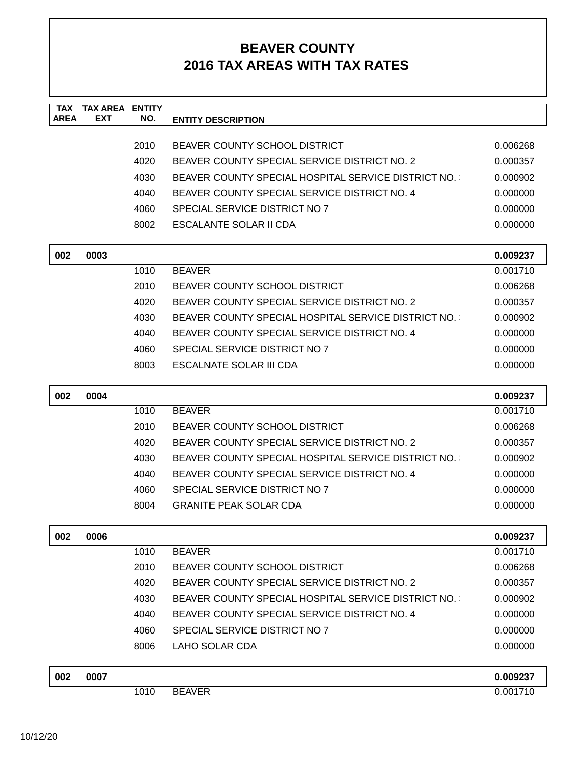| <b>TAX</b><br><b>AREA</b> | <b>TAX AREA ENTITY</b><br>EXT | NO.  | <b>ENTITY DESCRIPTION</b>                           |          |
|---------------------------|-------------------------------|------|-----------------------------------------------------|----------|
|                           |                               |      |                                                     |          |
|                           |                               | 2010 | BEAVER COUNTY SCHOOL DISTRICT                       | 0.006268 |
|                           |                               | 4020 | BEAVER COUNTY SPECIAL SERVICE DISTRICT NO. 2        | 0.000357 |
|                           |                               | 4030 | BEAVER COUNTY SPECIAL HOSPITAL SERVICE DISTRICT NO. | 0.000902 |
|                           |                               | 4040 | BEAVER COUNTY SPECIAL SERVICE DISTRICT NO. 4        | 0.000000 |
|                           |                               | 4060 | SPECIAL SERVICE DISTRICT NO 7                       | 0.000000 |
|                           |                               | 8002 | ESCALANTE SOLAR II CDA                              | 0.000000 |
|                           |                               |      |                                                     |          |
| 002                       | 0003                          |      |                                                     | 0.009237 |
|                           |                               | 1010 | <b>BEAVER</b>                                       | 0.001710 |
|                           |                               | 2010 | <b>BEAVER COUNTY SCHOOL DISTRICT</b>                | 0.006268 |
|                           |                               | 4020 | BEAVER COUNTY SPECIAL SERVICE DISTRICT NO. 2        | 0.000357 |
|                           |                               | 4030 | BEAVER COUNTY SPECIAL HOSPITAL SERVICE DISTRICT NO. | 0.000902 |
|                           |                               | 4040 | BEAVER COUNTY SPECIAL SERVICE DISTRICT NO. 4        | 0.000000 |
|                           |                               | 4060 | SPECIAL SERVICE DISTRICT NO 7                       | 0.000000 |
|                           |                               | 8003 | ESCALNATE SOLAR III CDA                             | 0.000000 |
| 002                       | 0004                          |      |                                                     | 0.009237 |
|                           |                               | 1010 | <b>BEAVER</b>                                       | 0.001710 |
|                           |                               | 2010 | <b>BEAVER COUNTY SCHOOL DISTRICT</b>                | 0.006268 |
|                           |                               | 4020 | BEAVER COUNTY SPECIAL SERVICE DISTRICT NO. 2        | 0.000357 |
|                           |                               | 4030 | BEAVER COUNTY SPECIAL HOSPITAL SERVICE DISTRICT NO. | 0.000902 |
|                           |                               | 4040 | BEAVER COUNTY SPECIAL SERVICE DISTRICT NO. 4        | 0.000000 |
|                           |                               | 4060 | SPECIAL SERVICE DISTRICT NO 7                       | 0.000000 |
|                           |                               | 8004 | <b>GRANITE PEAK SOLAR CDA</b>                       | 0.000000 |
| 002                       | 0006                          |      |                                                     | 0.009237 |
|                           |                               | 1010 | <b>BEAVER</b>                                       | 0.001710 |
|                           |                               | 2010 | BEAVER COUNTY SCHOOL DISTRICT                       | 0.006268 |
|                           |                               | 4020 | BEAVER COUNTY SPECIAL SERVICE DISTRICT NO. 2        | 0.000357 |
|                           |                               | 4030 | BEAVER COUNTY SPECIAL HOSPITAL SERVICE DISTRICT NO. | 0.000902 |
|                           |                               | 4040 | BEAVER COUNTY SPECIAL SERVICE DISTRICT NO. 4        | 0.000000 |
|                           |                               | 4060 | SPECIAL SERVICE DISTRICT NO 7                       | 0.000000 |
|                           |                               | 8006 | LAHO SOLAR CDA                                      | 0.000000 |
|                           |                               |      |                                                     |          |
| 002                       | 0007                          |      |                                                     | 0.009237 |
|                           |                               | 1010 | <b>BEAVER</b>                                       | 0.001710 |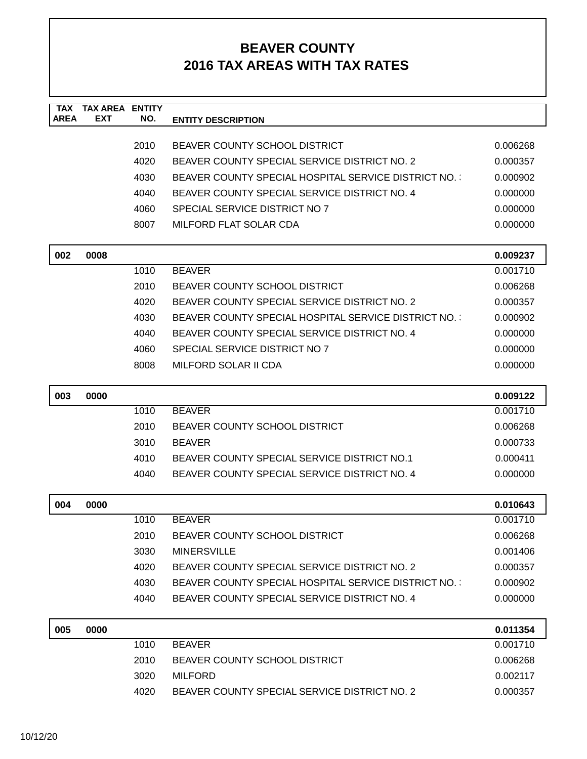| <b>TAX</b><br><b>AREA</b> | <b>TAX AREA ENTITY</b><br>EXT | NO.  | <b>ENTITY DESCRIPTION</b>                           |                      |
|---------------------------|-------------------------------|------|-----------------------------------------------------|----------------------|
|                           |                               |      |                                                     |                      |
|                           |                               | 2010 | <b>BEAVER COUNTY SCHOOL DISTRICT</b>                | 0.006268             |
|                           |                               | 4020 | BEAVER COUNTY SPECIAL SERVICE DISTRICT NO. 2        | 0.000357             |
|                           |                               | 4030 | BEAVER COUNTY SPECIAL HOSPITAL SERVICE DISTRICT NO. | 0.000902             |
|                           |                               | 4040 | BEAVER COUNTY SPECIAL SERVICE DISTRICT NO. 4        | 0.000000             |
|                           |                               | 4060 | SPECIAL SERVICE DISTRICT NO 7                       | 0.000000             |
|                           |                               | 8007 | MILFORD FLAT SOLAR CDA                              | 0.000000             |
|                           |                               |      |                                                     |                      |
| 002                       | 0008                          |      |                                                     | 0.009237             |
|                           |                               | 1010 | <b>BEAVER</b>                                       | 0.001710             |
|                           |                               | 2010 | <b>BEAVER COUNTY SCHOOL DISTRICT</b>                | 0.006268             |
|                           |                               | 4020 | BEAVER COUNTY SPECIAL SERVICE DISTRICT NO. 2        | 0.000357             |
|                           |                               | 4030 | BEAVER COUNTY SPECIAL HOSPITAL SERVICE DISTRICT NO. | 0.000902             |
|                           |                               | 4040 | BEAVER COUNTY SPECIAL SERVICE DISTRICT NO. 4        | 0.000000             |
|                           |                               | 4060 | SPECIAL SERVICE DISTRICT NO 7                       | 0.000000             |
|                           |                               | 8008 | MILFORD SOLAR II CDA                                | 0.000000             |
| 003                       | 0000                          |      |                                                     | 0.009122             |
|                           |                               | 1010 | <b>BEAVER</b>                                       | 0.001710             |
|                           |                               | 2010 | BEAVER COUNTY SCHOOL DISTRICT                       | 0.006268             |
|                           |                               | 3010 | <b>BEAVER</b>                                       | 0.000733             |
|                           |                               | 4010 | BEAVER COUNTY SPECIAL SERVICE DISTRICT NO.1         | 0.000411             |
|                           |                               | 4040 | BEAVER COUNTY SPECIAL SERVICE DISTRICT NO. 4        | 0.000000             |
| 004                       | 0000                          |      |                                                     | 0.010643             |
|                           |                               | 1010 | <b>BEAVER</b>                                       | 0.001710             |
|                           |                               | 2010 | BEAVER COUNTY SCHOOL DISTRICT                       | 0.006268             |
|                           |                               | 3030 | <b>MINERSVILLE</b>                                  | 0.001406             |
|                           |                               | 4020 | BEAVER COUNTY SPECIAL SERVICE DISTRICT NO. 2        | 0.000357             |
|                           |                               | 4030 | BEAVER COUNTY SPECIAL HOSPITAL SERVICE DISTRICT NO. | 0.000902             |
|                           |                               | 4040 | BEAVER COUNTY SPECIAL SERVICE DISTRICT NO. 4        | 0.000000             |
|                           |                               |      |                                                     |                      |
| 005                       | 0000                          | 1010 | <b>BEAVER</b>                                       | 0.011354<br>0.001710 |
|                           |                               | 2010 | BEAVER COUNTY SCHOOL DISTRICT                       | 0.006268             |
|                           |                               | 3020 | <b>MILFORD</b>                                      | 0.002117             |
|                           |                               | 4020 | BEAVER COUNTY SPECIAL SERVICE DISTRICT NO. 2        | 0.000357             |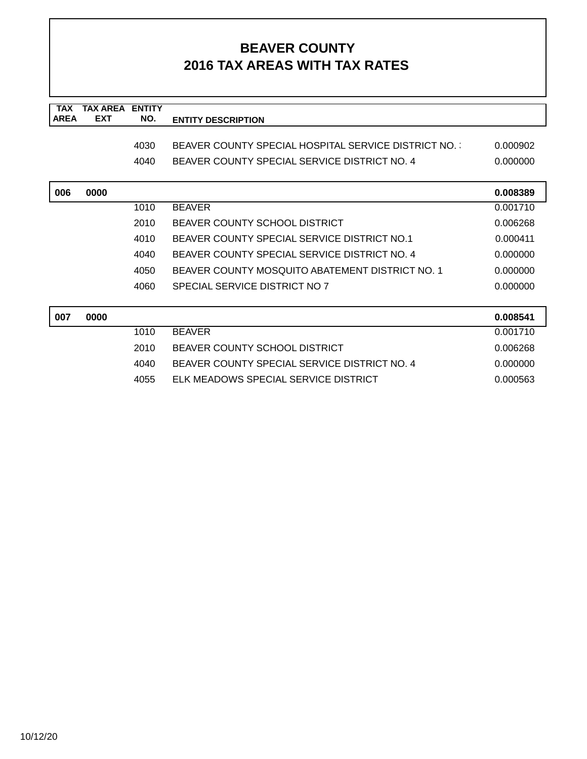| <b>TAX</b>  | TAX AREA   | <b>ENTITY</b> |                                                     |          |
|-------------|------------|---------------|-----------------------------------------------------|----------|
| <b>AREA</b> | <b>EXT</b> | NO.           | <b>ENTITY DESCRIPTION</b>                           |          |
|             |            |               |                                                     |          |
|             |            | 4030          | BEAVER COUNTY SPECIAL HOSPITAL SERVICE DISTRICT NO. | 0.000902 |
|             |            | 4040          | BEAVER COUNTY SPECIAL SERVICE DISTRICT NO. 4        | 0.000000 |
|             |            |               |                                                     |          |
| 006         | 0000       |               |                                                     | 0.008389 |
|             |            | 1010          | <b>BEAVER</b>                                       | 0.001710 |
|             |            | 2010          | BEAVER COUNTY SCHOOL DISTRICT                       | 0.006268 |
|             |            | 4010          | BEAVER COUNTY SPECIAL SERVICE DISTRICT NO.1         | 0.000411 |
|             |            | 4040          | BEAVER COUNTY SPECIAL SERVICE DISTRICT NO. 4        | 0.000000 |
|             |            | 4050          | BEAVER COUNTY MOSOUITO ABATEMENT DISTRICT NO. 1     | 0.000000 |
|             |            | 4060          | SPECIAL SERVICE DISTRICT NO 7                       | 0.000000 |
|             |            |               |                                                     |          |
| 007         | 0000       |               |                                                     | 0.008541 |
|             |            | 1010          | <b>BEAVER</b>                                       | 0.001710 |
|             |            | 2010          | BEAVER COUNTY SCHOOL DISTRICT                       | 0.006268 |
|             |            | 4040          | BEAVER COUNTY SPECIAL SERVICE DISTRICT NO. 4        | 0.000000 |
|             |            | 4055          | ELK MEADOWS SPECIAL SERVICE DISTRICT                | 0.000563 |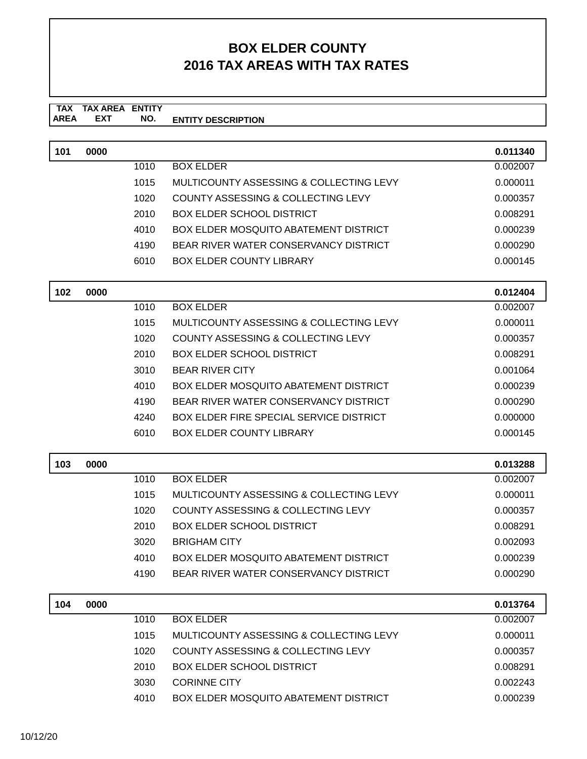#### **TAX TAX AREA ENTITY ENTITY DESCRIPTION EXT NO.**

| 101 | 0000 |      |                                                | 0.011340 |
|-----|------|------|------------------------------------------------|----------|
|     |      | 1010 | <b>BOX ELDER</b>                               | 0.002007 |
|     |      | 1015 | MULTICOUNTY ASSESSING & COLLECTING LEVY        | 0.000011 |
|     |      | 1020 | <b>COUNTY ASSESSING &amp; COLLECTING LEVY</b>  | 0.000357 |
|     |      | 2010 | <b>BOX ELDER SCHOOL DISTRICT</b>               | 0.008291 |
|     |      | 4010 | <b>BOX ELDER MOSQUITO ABATEMENT DISTRICT</b>   | 0.000239 |
|     |      | 4190 | BEAR RIVER WATER CONSERVANCY DISTRICT          | 0.000290 |
|     |      | 6010 | <b>BOX ELDER COUNTY LIBRARY</b>                | 0.000145 |
| 102 | 0000 |      |                                                | 0.012404 |
|     |      | 1010 | <b>BOX ELDER</b>                               | 0.002007 |
|     |      | 1015 | MULTICOUNTY ASSESSING & COLLECTING LEVY        | 0.000011 |
|     |      | 1020 | <b>COUNTY ASSESSING &amp; COLLECTING LEVY</b>  | 0.000357 |
|     |      | 2010 | <b>BOX ELDER SCHOOL DISTRICT</b>               | 0.008291 |
|     |      | 3010 | <b>BEAR RIVER CITY</b>                         | 0.001064 |
|     |      | 4010 | <b>BOX ELDER MOSQUITO ABATEMENT DISTRICT</b>   | 0.000239 |
|     |      | 4190 | BEAR RIVER WATER CONSERVANCY DISTRICT          | 0.000290 |
|     |      | 4240 | <b>BOX ELDER FIRE SPECIAL SERVICE DISTRICT</b> | 0.000000 |
|     |      | 6010 | <b>BOX ELDER COUNTY LIBRARY</b>                | 0.000145 |
| 103 | 0000 |      |                                                | 0.013288 |
|     |      | 1010 | <b>BOX ELDER</b>                               | 0.002007 |
|     |      | 1015 | MULTICOUNTY ASSESSING & COLLECTING LEVY        | 0.000011 |
|     |      | 1020 | COUNTY ASSESSING & COLLECTING LEVY             | 0.000357 |
|     |      | 2010 | <b>BOX ELDER SCHOOL DISTRICT</b>               | 0.008291 |
|     |      | 3020 | <b>BRIGHAM CITY</b>                            | 0.002093 |
|     |      | 4010 | <b>BOX ELDER MOSQUITO ABATEMENT DISTRICT</b>   | 0.000239 |
|     |      | 4190 | BEAR RIVER WATER CONSERVANCY DISTRICT          | 0.000290 |
| 104 | 0000 |      |                                                | 0.013764 |
|     |      | 1010 | <b>BOX ELDER</b>                               | 0.002007 |
|     |      | 1015 | MULTICOUNTY ASSESSING & COLLECTING LEVY        | 0.000011 |
|     |      | 1020 | <b>COUNTY ASSESSING &amp; COLLECTING LEVY</b>  | 0.000357 |
|     |      | 2010 | <b>BOX ELDER SCHOOL DISTRICT</b>               | 0.008291 |
|     |      | 3030 | <b>CORINNE CITY</b>                            | 0.002243 |
|     |      | 4010 | BOX ELDER MOSQUITO ABATEMENT DISTRICT          | 0.000239 |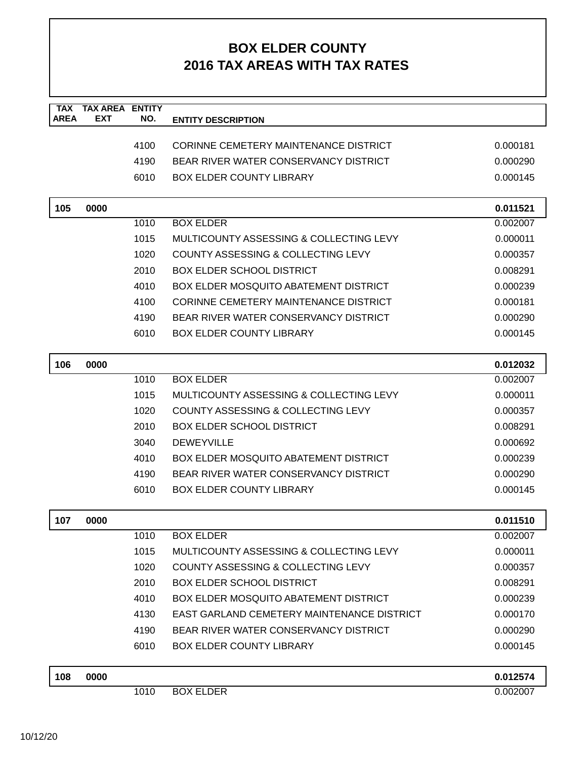| <b>TAX</b><br><b>AREA</b> | <b>TAX AREA ENTITY</b><br><b>EXT</b> | NO.  | <b>ENTITY DESCRIPTION</b>                    |          |
|---------------------------|--------------------------------------|------|----------------------------------------------|----------|
|                           |                                      |      |                                              |          |
|                           |                                      | 4100 | CORINNE CEMETERY MAINTENANCE DISTRICT        | 0.000181 |
|                           |                                      | 4190 | BEAR RIVER WATER CONSERVANCY DISTRICT        | 0.000290 |
|                           |                                      | 6010 | <b>BOX ELDER COUNTY LIBRARY</b>              | 0.000145 |
|                           |                                      |      |                                              |          |
| 105                       | 0000                                 |      |                                              | 0.011521 |
|                           |                                      | 1010 | <b>BOX ELDER</b>                             | 0.002007 |
|                           |                                      | 1015 | MULTICOUNTY ASSESSING & COLLECTING LEVY      | 0.000011 |
|                           |                                      | 1020 | COUNTY ASSESSING & COLLECTING LEVY           | 0.000357 |
|                           |                                      | 2010 | <b>BOX ELDER SCHOOL DISTRICT</b>             | 0.008291 |
|                           |                                      | 4010 | <b>BOX ELDER MOSQUITO ABATEMENT DISTRICT</b> | 0.000239 |
|                           |                                      | 4100 | CORINNE CEMETERY MAINTENANCE DISTRICT        | 0.000181 |
|                           |                                      | 4190 | BEAR RIVER WATER CONSERVANCY DISTRICT        | 0.000290 |
|                           |                                      | 6010 | <b>BOX ELDER COUNTY LIBRARY</b>              | 0.000145 |
|                           |                                      |      |                                              |          |
| 106                       | 0000                                 |      |                                              | 0.012032 |
|                           |                                      | 1010 | <b>BOX ELDER</b>                             | 0.002007 |
|                           |                                      | 1015 | MULTICOUNTY ASSESSING & COLLECTING LEVY      | 0.000011 |
|                           |                                      | 1020 | COUNTY ASSESSING & COLLECTING LEVY           | 0.000357 |
|                           |                                      | 2010 | <b>BOX ELDER SCHOOL DISTRICT</b>             | 0.008291 |
|                           |                                      | 3040 | <b>DEWEYVILLE</b>                            | 0.000692 |
|                           |                                      | 4010 | <b>BOX ELDER MOSQUITO ABATEMENT DISTRICT</b> | 0.000239 |
|                           |                                      | 4190 | BEAR RIVER WATER CONSERVANCY DISTRICT        | 0.000290 |
|                           |                                      | 6010 | <b>BOX ELDER COUNTY LIBRARY</b>              | 0.000145 |
|                           |                                      |      |                                              |          |
| 107                       | 0000                                 |      |                                              | 0.011510 |
|                           |                                      | 1010 | <b>BOX ELDER</b>                             | 0.002007 |
|                           |                                      | 1015 | MULTICOUNTY ASSESSING & COLLECTING LEVY      | 0.000011 |
|                           |                                      | 1020 | COUNTY ASSESSING & COLLECTING LEVY           | 0.000357 |
|                           |                                      | 2010 | <b>BOX ELDER SCHOOL DISTRICT</b>             | 0.008291 |
|                           |                                      | 4010 | <b>BOX ELDER MOSQUITO ABATEMENT DISTRICT</b> | 0.000239 |
|                           |                                      | 4130 | EAST GARLAND CEMETERY MAINTENANCE DISTRICT   | 0.000170 |
|                           |                                      | 4190 | BEAR RIVER WATER CONSERVANCY DISTRICT        | 0.000290 |
|                           |                                      | 6010 | <b>BOX ELDER COUNTY LIBRARY</b>              | 0.000145 |
| 108                       | 0000                                 |      |                                              | 0.012574 |
|                           |                                      | 1010 | <b>BOX ELDER</b>                             | 0.002007 |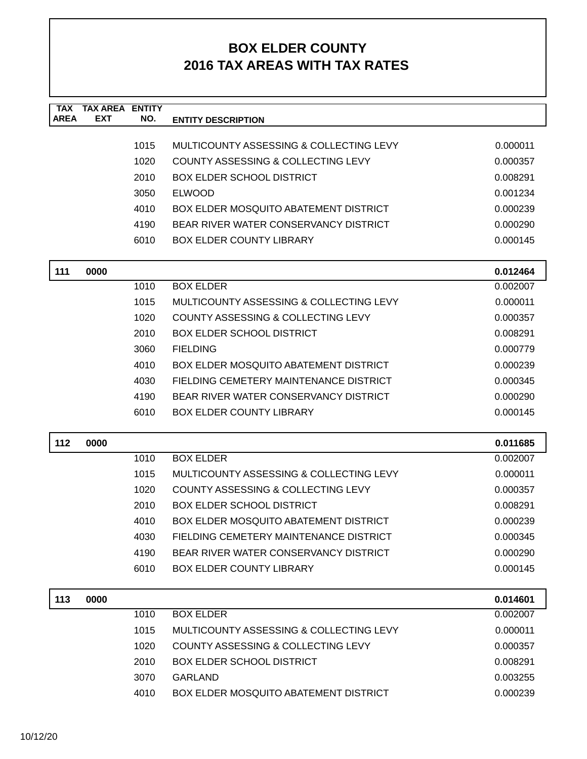| <b>TAX</b><br><b>AREA</b> | <b>TAX AREA ENTITY</b><br><b>EXT</b> | NO.  | <b>ENTITY DESCRIPTION</b>                     |          |
|---------------------------|--------------------------------------|------|-----------------------------------------------|----------|
|                           |                                      |      |                                               |          |
|                           |                                      | 1015 | MULTICOUNTY ASSESSING & COLLECTING LEVY       | 0.000011 |
|                           |                                      | 1020 | COUNTY ASSESSING & COLLECTING LEVY            | 0.000357 |
|                           |                                      | 2010 | <b>BOX ELDER SCHOOL DISTRICT</b>              | 0.008291 |
|                           |                                      | 3050 | <b>ELWOOD</b>                                 | 0.001234 |
|                           |                                      | 4010 | <b>BOX ELDER MOSQUITO ABATEMENT DISTRICT</b>  | 0.000239 |
|                           |                                      | 4190 | BEAR RIVER WATER CONSERVANCY DISTRICT         | 0.000290 |
|                           |                                      | 6010 | <b>BOX ELDER COUNTY LIBRARY</b>               | 0.000145 |
| 111                       | 0000                                 |      |                                               | 0.012464 |
|                           |                                      | 1010 | <b>BOX ELDER</b>                              | 0.002007 |
|                           |                                      | 1015 | MULTICOUNTY ASSESSING & COLLECTING LEVY       | 0.000011 |
|                           |                                      | 1020 | COUNTY ASSESSING & COLLECTING LEVY            | 0.000357 |
|                           |                                      | 2010 | <b>BOX ELDER SCHOOL DISTRICT</b>              | 0.008291 |
|                           |                                      | 3060 | <b>FIELDING</b>                               | 0.000779 |
|                           |                                      | 4010 | BOX ELDER MOSQUITO ABATEMENT DISTRICT         | 0.000239 |
|                           |                                      | 4030 | FIELDING CEMETERY MAINTENANCE DISTRICT        | 0.000345 |
|                           |                                      | 4190 | BEAR RIVER WATER CONSERVANCY DISTRICT         | 0.000290 |
|                           |                                      | 6010 | <b>BOX ELDER COUNTY LIBRARY</b>               | 0.000145 |
| 112                       | 0000                                 |      |                                               | 0.011685 |
|                           |                                      | 1010 | <b>BOX ELDER</b>                              | 0.002007 |
|                           |                                      | 1015 | MULTICOUNTY ASSESSING & COLLECTING LEVY       | 0.000011 |
|                           |                                      | 1020 | <b>COUNTY ASSESSING &amp; COLLECTING LEVY</b> | 0.000357 |
|                           |                                      | 2010 | <b>BOX ELDER SCHOOL DISTRICT</b>              | 0.008291 |
|                           |                                      | 4010 | <b>BOX ELDER MOSQUITO ABATEMENT DISTRICT</b>  | 0.000239 |
|                           |                                      | 4030 | FIELDING CEMETERY MAINTENANCE DISTRICT        | 0.000345 |
|                           |                                      | 4190 | BEAR RIVER WATER CONSERVANCY DISTRICT         | 0.000290 |
|                           |                                      | 6010 | <b>BOX ELDER COUNTY LIBRARY</b>               | 0.000145 |
| 113                       | 0000                                 |      |                                               | 0.014601 |
|                           |                                      | 1010 | <b>BOX ELDER</b>                              | 0.002007 |
|                           |                                      | 1015 | MULTICOUNTY ASSESSING & COLLECTING LEVY       | 0.000011 |
|                           |                                      | 1020 | COUNTY ASSESSING & COLLECTING LEVY            | 0.000357 |
|                           |                                      | 2010 | <b>BOX ELDER SCHOOL DISTRICT</b>              | 0.008291 |
|                           |                                      | 3070 | <b>GARLAND</b>                                | 0.003255 |
|                           |                                      | 4010 | <b>BOX ELDER MOSQUITO ABATEMENT DISTRICT</b>  | 0.000239 |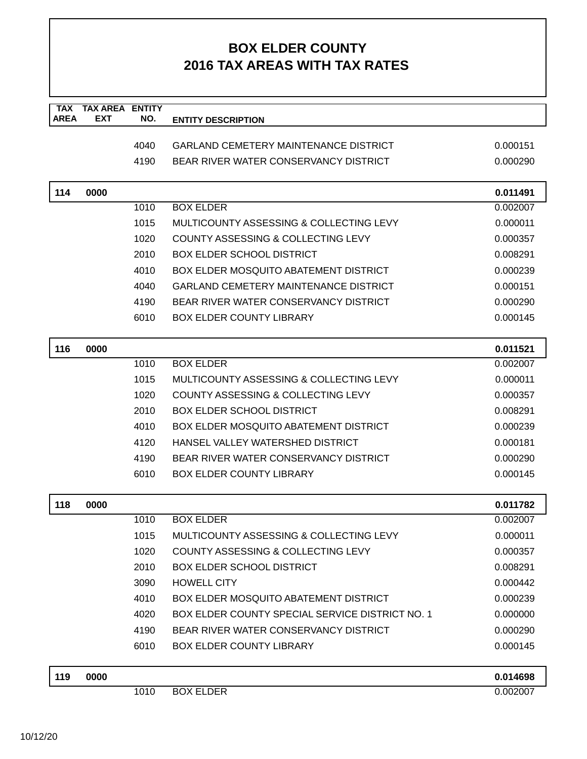| <b>TAX</b>  | <b>TAX AREA ENTITY</b> |      |                                                        |          |
|-------------|------------------------|------|--------------------------------------------------------|----------|
| <b>AREA</b> | <b>EXT</b>             | NO.  | <b>ENTITY DESCRIPTION</b>                              |          |
|             |                        | 4040 | <b>GARLAND CEMETERY MAINTENANCE DISTRICT</b>           | 0.000151 |
|             |                        | 4190 | BEAR RIVER WATER CONSERVANCY DISTRICT                  | 0.000290 |
|             |                        |      |                                                        |          |
| 114         | 0000                   |      |                                                        | 0.011491 |
|             |                        | 1010 | <b>BOX ELDER</b>                                       | 0.002007 |
|             |                        | 1015 | MULTICOUNTY ASSESSING & COLLECTING LEVY                | 0.000011 |
|             |                        | 1020 | COUNTY ASSESSING & COLLECTING LEVY                     | 0.000357 |
|             |                        | 2010 | <b>BOX ELDER SCHOOL DISTRICT</b>                       | 0.008291 |
|             |                        | 4010 | <b>BOX ELDER MOSQUITO ABATEMENT DISTRICT</b>           | 0.000239 |
|             |                        | 4040 | <b>GARLAND CEMETERY MAINTENANCE DISTRICT</b>           | 0.000151 |
|             |                        | 4190 | BEAR RIVER WATER CONSERVANCY DISTRICT                  | 0.000290 |
|             |                        | 6010 | <b>BOX ELDER COUNTY LIBRARY</b>                        | 0.000145 |
| 116         | 0000                   |      |                                                        | 0.011521 |
|             |                        | 1010 | <b>BOX ELDER</b>                                       | 0.002007 |
|             |                        | 1015 | MULTICOUNTY ASSESSING & COLLECTING LEVY                | 0.000011 |
|             |                        | 1020 | COUNTY ASSESSING & COLLECTING LEVY                     | 0.000357 |
|             |                        | 2010 | <b>BOX ELDER SCHOOL DISTRICT</b>                       | 0.008291 |
|             |                        | 4010 | BOX ELDER MOSQUITO ABATEMENT DISTRICT                  | 0.000239 |
|             |                        | 4120 | HANSEL VALLEY WATERSHED DISTRICT                       | 0.000181 |
|             |                        | 4190 | BEAR RIVER WATER CONSERVANCY DISTRICT                  | 0.000290 |
|             |                        | 6010 | <b>BOX ELDER COUNTY LIBRARY</b>                        | 0.000145 |
| 118         | 0000                   |      |                                                        | 0.011782 |
|             |                        | 1010 | <b>BOX ELDER</b>                                       | 0.002007 |
|             |                        | 1015 | MULTICOUNTY ASSESSING & COLLECTING LEVY                | 0.000011 |
|             |                        | 1020 | COUNTY ASSESSING & COLLECTING LEVY                     | 0.000357 |
|             |                        | 2010 | <b>BOX ELDER SCHOOL DISTRICT</b>                       | 0.008291 |
|             |                        | 3090 | <b>HOWELL CITY</b>                                     | 0.000442 |
|             |                        | 4010 | <b>BOX ELDER MOSQUITO ABATEMENT DISTRICT</b>           | 0.000239 |
|             |                        | 4020 | <b>BOX ELDER COUNTY SPECIAL SERVICE DISTRICT NO. 1</b> | 0.000000 |
|             |                        | 4190 | BEAR RIVER WATER CONSERVANCY DISTRICT                  | 0.000290 |
|             |                        | 6010 | <b>BOX ELDER COUNTY LIBRARY</b>                        | 0.000145 |
| 119         | 0000                   |      |                                                        | 0.014698 |
|             |                        | 1010 | <b>BOX ELDER</b>                                       | 0.002007 |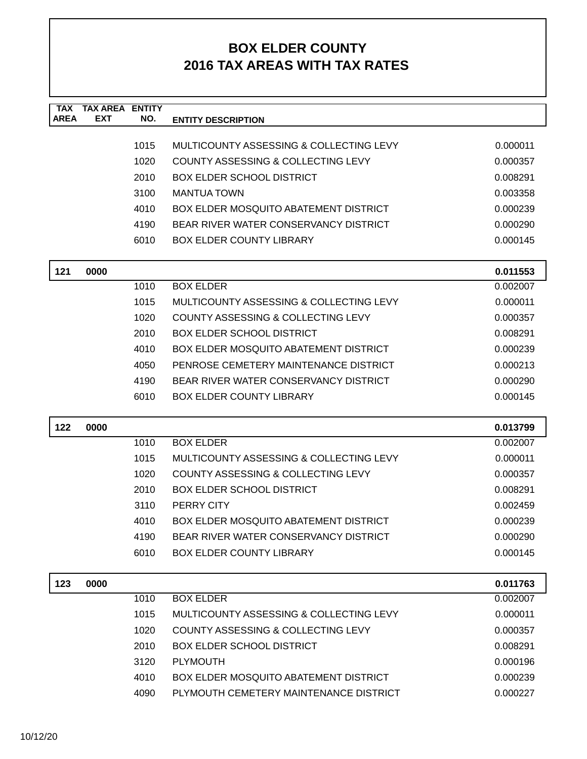| <b>TAX</b><br><b>AREA</b> | <b>TAX AREA ENTITY</b><br>EXT | NO.  | <b>ENTITY DESCRIPTION</b>                     |          |
|---------------------------|-------------------------------|------|-----------------------------------------------|----------|
|                           |                               |      |                                               |          |
|                           |                               | 1015 | MULTICOUNTY ASSESSING & COLLECTING LEVY       | 0.000011 |
|                           |                               | 1020 | COUNTY ASSESSING & COLLECTING LEVY            | 0.000357 |
|                           |                               | 2010 | <b>BOX ELDER SCHOOL DISTRICT</b>              | 0.008291 |
|                           |                               | 3100 | <b>MANTUA TOWN</b>                            | 0.003358 |
|                           |                               | 4010 | <b>BOX ELDER MOSQUITO ABATEMENT DISTRICT</b>  | 0.000239 |
|                           |                               | 4190 | BEAR RIVER WATER CONSERVANCY DISTRICT         | 0.000290 |
|                           |                               | 6010 | <b>BOX ELDER COUNTY LIBRARY</b>               | 0.000145 |
| 121                       | 0000                          |      |                                               | 0.011553 |
|                           |                               | 1010 | <b>BOX ELDER</b>                              | 0.002007 |
|                           |                               | 1015 | MULTICOUNTY ASSESSING & COLLECTING LEVY       | 0.000011 |
|                           |                               | 1020 | COUNTY ASSESSING & COLLECTING LEVY            | 0.000357 |
|                           |                               | 2010 | <b>BOX ELDER SCHOOL DISTRICT</b>              | 0.008291 |
|                           |                               | 4010 | <b>BOX ELDER MOSQUITO ABATEMENT DISTRICT</b>  | 0.000239 |
|                           |                               | 4050 | PENROSE CEMETERY MAINTENANCE DISTRICT         | 0.000213 |
|                           |                               | 4190 | BEAR RIVER WATER CONSERVANCY DISTRICT         | 0.000290 |
|                           |                               | 6010 | <b>BOX ELDER COUNTY LIBRARY</b>               | 0.000145 |
| 122                       | 0000                          |      |                                               | 0.013799 |
|                           |                               | 1010 | <b>BOX ELDER</b>                              | 0.002007 |
|                           |                               | 1015 | MULTICOUNTY ASSESSING & COLLECTING LEVY       | 0.000011 |
|                           |                               | 1020 | <b>COUNTY ASSESSING &amp; COLLECTING LEVY</b> | 0.000357 |
|                           |                               | 2010 | <b>BOX ELDER SCHOOL DISTRICT</b>              | 0.008291 |
|                           |                               | 3110 | PERRY CITY                                    | 0.002459 |
|                           |                               | 4010 | <b>BOX ELDER MOSQUITO ABATEMENT DISTRICT</b>  | 0.000239 |
|                           |                               | 4190 | BEAR RIVER WATER CONSERVANCY DISTRICT         | 0.000290 |
|                           |                               | 6010 | <b>BOX ELDER COUNTY LIBRARY</b>               | 0.000145 |
| 123                       | 0000                          |      |                                               | 0.011763 |
|                           |                               | 1010 | <b>BOX ELDER</b>                              | 0.002007 |
|                           |                               | 1015 | MULTICOUNTY ASSESSING & COLLECTING LEVY       | 0.000011 |
|                           |                               | 1020 | <b>COUNTY ASSESSING &amp; COLLECTING LEVY</b> | 0.000357 |
|                           |                               | 2010 | <b>BOX ELDER SCHOOL DISTRICT</b>              | 0.008291 |
|                           |                               | 3120 | <b>PLYMOUTH</b>                               | 0.000196 |
|                           |                               | 4010 | <b>BOX ELDER MOSQUITO ABATEMENT DISTRICT</b>  | 0.000239 |
|                           |                               | 4090 | PLYMOUTH CEMETERY MAINTENANCE DISTRICT        | 0.000227 |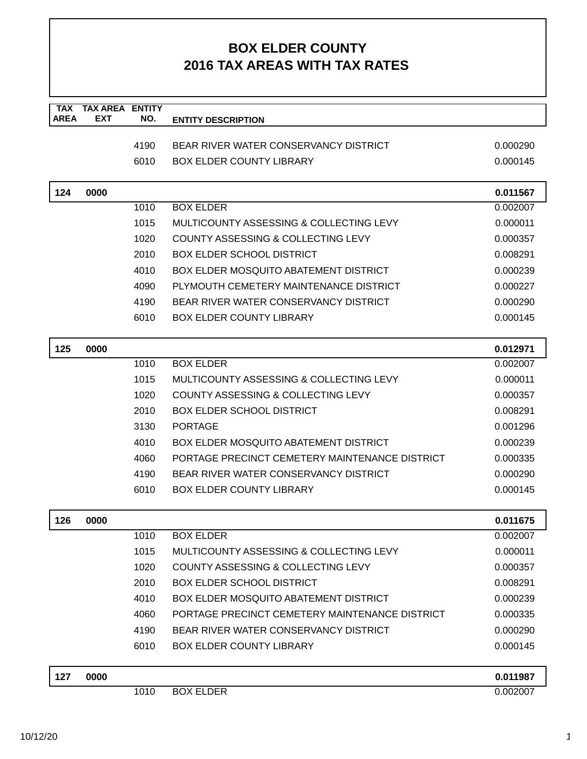| <b>TAX</b>  | <b>TAX AREA ENTITY</b> |      |                                                |          |
|-------------|------------------------|------|------------------------------------------------|----------|
| <b>AREA</b> | <b>EXT</b>             | NO.  | <b>ENTITY DESCRIPTION</b>                      |          |
|             |                        | 4190 | BEAR RIVER WATER CONSERVANCY DISTRICT          | 0.000290 |
|             |                        | 6010 | <b>BOX ELDER COUNTY LIBRARY</b>                | 0.000145 |
|             |                        |      |                                                |          |
| 124         | 0000                   |      |                                                | 0.011567 |
|             |                        | 1010 | <b>BOX ELDER</b>                               | 0.002007 |
|             |                        | 1015 | MULTICOUNTY ASSESSING & COLLECTING LEVY        | 0.000011 |
|             |                        | 1020 | COUNTY ASSESSING & COLLECTING LEVY             | 0.000357 |
|             |                        | 2010 | <b>BOX ELDER SCHOOL DISTRICT</b>               | 0.008291 |
|             |                        | 4010 | BOX ELDER MOSQUITO ABATEMENT DISTRICT          | 0.000239 |
|             |                        | 4090 | PLYMOUTH CEMETERY MAINTENANCE DISTRICT         | 0.000227 |
|             |                        | 4190 | BEAR RIVER WATER CONSERVANCY DISTRICT          | 0.000290 |
|             |                        | 6010 | <b>BOX ELDER COUNTY LIBRARY</b>                | 0.000145 |
| 125         | 0000                   |      |                                                | 0.012971 |
|             |                        | 1010 | <b>BOX ELDER</b>                               | 0.002007 |
|             |                        | 1015 | MULTICOUNTY ASSESSING & COLLECTING LEVY        | 0.000011 |
|             |                        | 1020 | COUNTY ASSESSING & COLLECTING LEVY             | 0.000357 |
|             |                        | 2010 | <b>BOX ELDER SCHOOL DISTRICT</b>               | 0.008291 |
|             |                        | 3130 | <b>PORTAGE</b>                                 | 0.001296 |
|             |                        | 4010 | <b>BOX ELDER MOSQUITO ABATEMENT DISTRICT</b>   | 0.000239 |
|             |                        | 4060 | PORTAGE PRECINCT CEMETERY MAINTENANCE DISTRICT | 0.000335 |
|             |                        | 4190 | BEAR RIVER WATER CONSERVANCY DISTRICT          | 0.000290 |
|             |                        | 6010 | <b>BOX ELDER COUNTY LIBRARY</b>                | 0.000145 |
|             |                        |      |                                                |          |
| 126         | 0000                   |      |                                                | 0.011675 |
|             |                        | 1010 | <b>BOX ELDER</b>                               | 0.002007 |
|             |                        | 1015 | MULTICOUNTY ASSESSING & COLLECTING LEVY        | 0.000011 |
|             |                        | 1020 | COUNTY ASSESSING & COLLECTING LEVY             | 0.000357 |
|             |                        | 2010 | <b>BOX ELDER SCHOOL DISTRICT</b>               | 0.008291 |
|             |                        | 4010 | <b>BOX ELDER MOSQUITO ABATEMENT DISTRICT</b>   | 0.000239 |
|             |                        | 4060 | PORTAGE PRECINCT CEMETERY MAINTENANCE DISTRICT | 0.000335 |
|             |                        | 4190 | BEAR RIVER WATER CONSERVANCY DISTRICT          | 0.000290 |
|             |                        | 6010 | <b>BOX ELDER COUNTY LIBRARY</b>                | 0.000145 |
| 127         | 0000                   |      |                                                | 0.011987 |
|             |                        | 1010 | <b>BOX ELDER</b>                               | 0.002007 |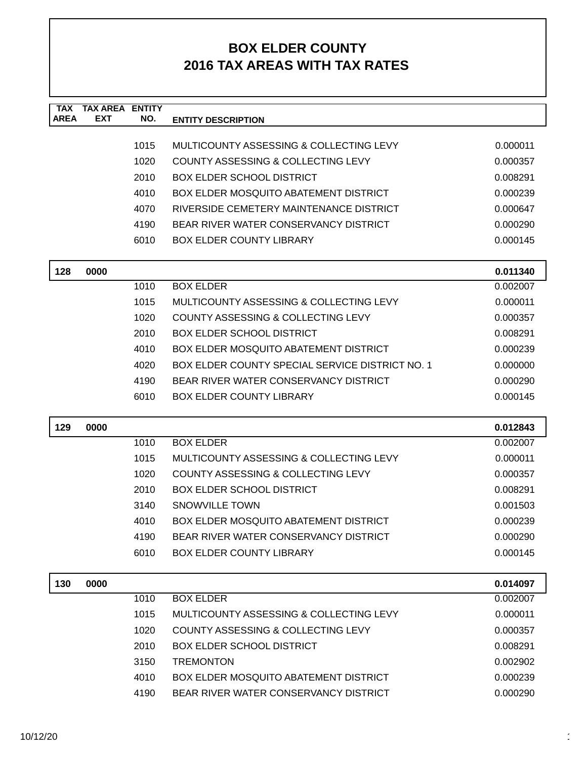| <b>TAX</b>  | <b>TAX AREA ENTITY</b> |      |                                                        |          |
|-------------|------------------------|------|--------------------------------------------------------|----------|
| <b>AREA</b> | <b>EXT</b>             | NO.  | <b>ENTITY DESCRIPTION</b>                              |          |
|             |                        | 1015 | MULTICOUNTY ASSESSING & COLLECTING LEVY                | 0.000011 |
|             |                        | 1020 | COUNTY ASSESSING & COLLECTING LEVY                     | 0.000357 |
|             |                        | 2010 | <b>BOX ELDER SCHOOL DISTRICT</b>                       | 0.008291 |
|             |                        | 4010 | <b>BOX ELDER MOSQUITO ABATEMENT DISTRICT</b>           | 0.000239 |
|             |                        | 4070 | RIVERSIDE CEMETERY MAINTENANCE DISTRICT                | 0.000647 |
|             |                        | 4190 | BEAR RIVER WATER CONSERVANCY DISTRICT                  | 0.000290 |
|             |                        | 6010 | <b>BOX ELDER COUNTY LIBRARY</b>                        | 0.000145 |
|             |                        |      |                                                        |          |
| 128         | 0000                   |      |                                                        | 0.011340 |
|             |                        | 1010 | <b>BOX ELDER</b>                                       | 0.002007 |
|             |                        | 1015 | MULTICOUNTY ASSESSING & COLLECTING LEVY                | 0.000011 |
|             |                        | 1020 | COUNTY ASSESSING & COLLECTING LEVY                     | 0.000357 |
|             |                        | 2010 | <b>BOX ELDER SCHOOL DISTRICT</b>                       | 0.008291 |
|             |                        | 4010 | <b>BOX ELDER MOSQUITO ABATEMENT DISTRICT</b>           | 0.000239 |
|             |                        | 4020 | <b>BOX ELDER COUNTY SPECIAL SERVICE DISTRICT NO. 1</b> | 0.000000 |
|             |                        | 4190 | BEAR RIVER WATER CONSERVANCY DISTRICT                  | 0.000290 |
|             |                        | 6010 | <b>BOX ELDER COUNTY LIBRARY</b>                        | 0.000145 |
|             |                        |      |                                                        |          |
| 129         | 0000                   |      |                                                        | 0.012843 |
|             |                        | 1010 | <b>BOX ELDER</b>                                       | 0.002007 |
|             |                        | 1015 | MULTICOUNTY ASSESSING & COLLECTING LEVY                | 0.000011 |
|             |                        | 1020 | <b>COUNTY ASSESSING &amp; COLLECTING LEVY</b>          | 0.000357 |
|             |                        | 2010 | <b>BOX ELDER SCHOOL DISTRICT</b>                       | 0.008291 |
|             |                        | 3140 | <b>SNOWVILLE TOWN</b>                                  | 0.001503 |
|             |                        | 4010 | <b>BOX ELDER MOSQUITO ABATEMENT DISTRICT</b>           | 0.000239 |
|             |                        | 4190 | BEAR RIVER WATER CONSERVANCY DISTRICT                  | 0.000290 |
|             |                        | 6010 | <b>BOX ELDER COUNTY LIBRARY</b>                        | 0.000145 |
|             |                        |      |                                                        |          |
| 130         | 0000                   |      |                                                        | 0.014097 |
|             |                        | 1010 | <b>BOX ELDER</b>                                       | 0.002007 |
|             |                        | 1015 | MULTICOUNTY ASSESSING & COLLECTING LEVY                | 0.000011 |
|             |                        | 1020 | COUNTY ASSESSING & COLLECTING LEVY                     | 0.000357 |
|             |                        | 2010 | <b>BOX ELDER SCHOOL DISTRICT</b>                       | 0.008291 |
|             |                        | 3150 | <b>TREMONTON</b>                                       | 0.002902 |
|             |                        | 4010 | <b>BOX ELDER MOSQUITO ABATEMENT DISTRICT</b>           | 0.000239 |
|             |                        | 4190 | BEAR RIVER WATER CONSERVANCY DISTRICT                  | 0.000290 |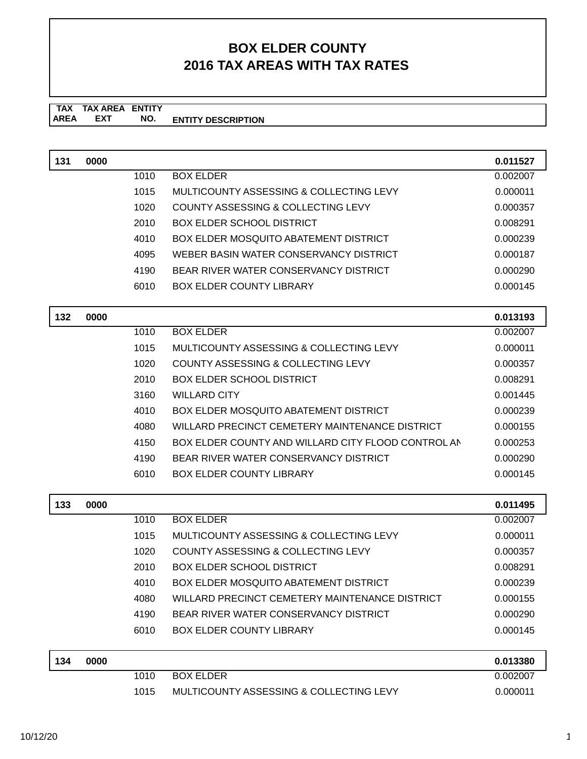#### **TAX TAX AREA ENTITY ENTITY DESCRIPTION EXT NO.**

| 131 | 0000 |      |                                                    | 0.011527             |
|-----|------|------|----------------------------------------------------|----------------------|
|     |      | 1010 | <b>BOX ELDER</b>                                   | 0.002007             |
|     |      | 1015 | MULTICOUNTY ASSESSING & COLLECTING LEVY            | 0.000011             |
|     |      | 1020 | COUNTY ASSESSING & COLLECTING LEVY                 | 0.000357             |
|     |      | 2010 | <b>BOX ELDER SCHOOL DISTRICT</b>                   | 0.008291             |
|     |      | 4010 | BOX ELDER MOSQUITO ABATEMENT DISTRICT              | 0.000239             |
|     |      | 4095 | WEBER BASIN WATER CONSERVANCY DISTRICT             | 0.000187             |
|     |      | 4190 | BEAR RIVER WATER CONSERVANCY DISTRICT              | 0.000290             |
|     |      | 6010 | <b>BOX ELDER COUNTY LIBRARY</b>                    | 0.000145             |
|     |      |      |                                                    |                      |
| 132 | 0000 | 1010 | <b>BOX ELDER</b>                                   | 0.013193<br>0.002007 |
|     |      | 1015 | MULTICOUNTY ASSESSING & COLLECTING LEVY            | 0.000011             |
|     |      | 1020 | <b>COUNTY ASSESSING &amp; COLLECTING LEVY</b>      | 0.000357             |
|     |      | 2010 | <b>BOX ELDER SCHOOL DISTRICT</b>                   | 0.008291             |
|     |      | 3160 | <b>WILLARD CITY</b>                                | 0.001445             |
|     |      | 4010 | <b>BOX ELDER MOSQUITO ABATEMENT DISTRICT</b>       | 0.000239             |
|     |      | 4080 | WILLARD PRECINCT CEMETERY MAINTENANCE DISTRICT     | 0.000155             |
|     |      | 4150 | BOX ELDER COUNTY AND WILLARD CITY FLOOD CONTROL AN | 0.000253             |
|     |      | 4190 | BEAR RIVER WATER CONSERVANCY DISTRICT              | 0.000290             |
|     |      | 6010 | <b>BOX ELDER COUNTY LIBRARY</b>                    | 0.000145             |
|     |      |      |                                                    |                      |
| 133 | 0000 |      |                                                    | 0.011495             |
|     |      | 1010 | <b>BOX ELDER</b>                                   | 0.002007             |
|     |      | 1015 | MULTICOUNTY ASSESSING & COLLECTING LEVY            | 0.000011             |
|     |      | 1020 | COUNTY ASSESSING & COLLECTING LEVY                 | 0.000357             |
|     |      | 2010 | <b>BOX ELDER SCHOOL DISTRICT</b>                   | 0.008291             |
|     |      | 4010 | <b>BOX ELDER MOSQUITO ABATEMENT DISTRICT</b>       | 0.000239             |
|     |      | 4080 | WILLARD PRECINCT CEMETERY MAINTENANCE DISTRICT     | 0.000155             |
|     |      | 4190 | BEAR RIVER WATER CONSERVANCY DISTRICT              | 0.000290             |
|     |      | 6010 | <b>BOX ELDER COUNTY LIBRARY</b>                    | 0.000145             |
| 134 | 0000 |      |                                                    | 0.013380             |
|     |      | 1010 | <b>BOX ELDER</b>                                   | 0.002007             |
|     |      | 1015 | MULTICOUNTY ASSESSING & COLLECTING LEVY            | 0.000011             |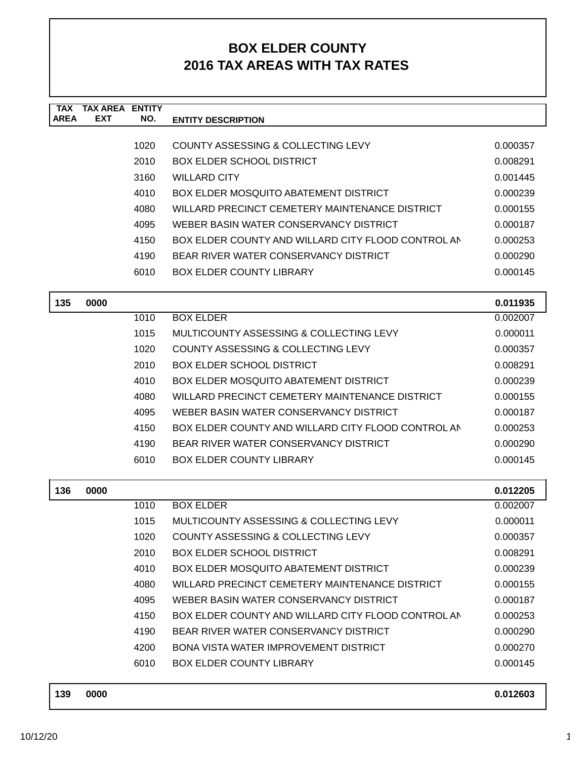| <b>TAX</b>  | <b>TAX AREA</b> | <b>ENTITY</b> |                                                    |          |
|-------------|-----------------|---------------|----------------------------------------------------|----------|
| <b>AREA</b> | <b>EXT</b>      | NO.           | <b>ENTITY DESCRIPTION</b>                          |          |
|             |                 | 1020          | COUNTY ASSESSING & COLLECTING LEVY                 | 0.000357 |
|             |                 | 2010          | BOX ELDER SCHOOL DISTRICT                          | 0.008291 |
|             |                 | 3160          | <b>WILLARD CITY</b>                                | 0.001445 |
|             |                 | 4010          | <b>BOX ELDER MOSQUITO ABATEMENT DISTRICT</b>       | 0.000239 |
|             |                 | 4080          | WILLARD PRECINCT CEMETERY MAINTENANCE DISTRICT     | 0.000155 |
|             |                 | 4095          | WEBER BASIN WATER CONSERVANCY DISTRICT             | 0.000187 |
|             |                 | 4150          | BOX ELDER COUNTY AND WILLARD CITY FLOOD CONTROL AN | 0.000253 |
|             |                 | 4190          | BEAR RIVER WATER CONSERVANCY DISTRICT              | 0.000290 |
|             |                 | 6010          | <b>BOX ELDER COUNTY LIBRARY</b>                    | 0.000145 |
| 135         | 0000            |               |                                                    | 0.011935 |
|             |                 | 1010          | <b>BOX ELDER</b>                                   | 0.002007 |
|             |                 | 1015          | MULTICOUNTY ASSESSING & COLLECTING LEVY            | 0.000011 |
|             |                 | 1020          | COUNTY ASSESSING & COLLECTING LEVY                 | 0.000357 |
|             |                 | 2010          | <b>BOX ELDER SCHOOL DISTRICT</b>                   | 0.008291 |
|             |                 | 4010          | <b>BOX ELDER MOSQUITO ABATEMENT DISTRICT</b>       | 0.000239 |
|             |                 | 4080          | WILLARD PRECINCT CEMETERY MAINTENANCE DISTRICT     | 0.000155 |
|             |                 | 4095          | WEBER BASIN WATER CONSERVANCY DISTRICT             | 0.000187 |
|             |                 | 4150          | BOX ELDER COUNTY AND WILLARD CITY FLOOD CONTROL AN | 0.000253 |
|             |                 | 4190          | BEAR RIVER WATER CONSERVANCY DISTRICT              | 0.000290 |
|             |                 | 6010          | <b>BOX ELDER COUNTY LIBRARY</b>                    | 0.000145 |
| 136         | 0000            |               |                                                    | 0.012205 |
|             |                 | 1010          | <b>BOX ELDER</b>                                   | 0.002007 |
|             |                 | 1015          | MULTICOUNTY ASSESSING & COLLECTING LEVY            | 0.000011 |
|             |                 | 1020          | COUNTY ASSESSING & COLLECTING LEVY                 | 0.000357 |
|             |                 | 2010          | <b>BOX ELDER SCHOOL DISTRICT</b>                   | 0.008291 |
|             |                 | 4010          | <b>BOX ELDER MOSQUITO ABATEMENT DISTRICT</b>       | 0.000239 |
|             |                 | 4080          | WILLARD PRECINCT CEMETERY MAINTENANCE DISTRICT     | 0.000155 |
|             |                 | 4095          | WEBER BASIN WATER CONSERVANCY DISTRICT             | 0.000187 |
|             |                 | 4150          | BOX ELDER COUNTY AND WILLARD CITY FLOOD CONTROL AN | 0.000253 |
|             |                 | 4190          | BEAR RIVER WATER CONSERVANCY DISTRICT              | 0.000290 |
|             |                 | 4200          | <b>BONA VISTA WATER IMPROVEMENT DISTRICT</b>       | 0.000270 |
|             |                 | 6010          | <b>BOX ELDER COUNTY LIBRARY</b>                    | 0.000145 |
| 139         | 0000            |               |                                                    | 0.012603 |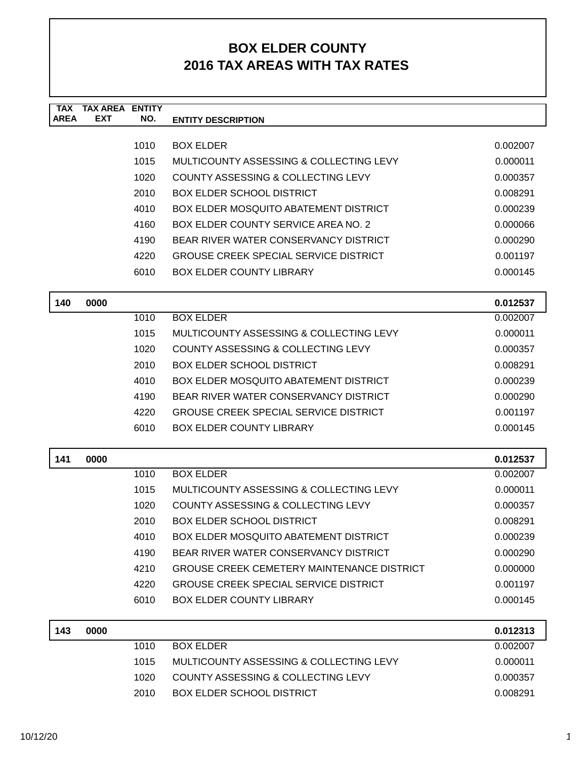| <b>TAX</b><br><b>AREA</b> | <b>TAX AREA ENTITY</b><br>EXT | NO.  | <b>ENTITY DESCRIPTION</b>                         |          |
|---------------------------|-------------------------------|------|---------------------------------------------------|----------|
|                           |                               |      |                                                   |          |
|                           |                               | 1010 | <b>BOX ELDER</b>                                  | 0.002007 |
|                           |                               | 1015 | MULTICOUNTY ASSESSING & COLLECTING LEVY           | 0.000011 |
|                           |                               | 1020 | COUNTY ASSESSING & COLLECTING LEVY                | 0.000357 |
|                           |                               | 2010 | <b>BOX ELDER SCHOOL DISTRICT</b>                  | 0.008291 |
|                           |                               | 4010 | <b>BOX ELDER MOSQUITO ABATEMENT DISTRICT</b>      | 0.000239 |
|                           |                               | 4160 | BOX ELDER COUNTY SERVICE AREA NO. 2               | 0.000066 |
|                           |                               | 4190 | BEAR RIVER WATER CONSERVANCY DISTRICT             | 0.000290 |
|                           |                               | 4220 | <b>GROUSE CREEK SPECIAL SERVICE DISTRICT</b>      | 0.001197 |
|                           |                               | 6010 | <b>BOX ELDER COUNTY LIBRARY</b>                   | 0.000145 |
| 140                       | 0000                          |      |                                                   | 0.012537 |
|                           |                               | 1010 | <b>BOX ELDER</b>                                  | 0.002007 |
|                           |                               | 1015 | MULTICOUNTY ASSESSING & COLLECTING LEVY           | 0.000011 |
|                           |                               | 1020 | COUNTY ASSESSING & COLLECTING LEVY                | 0.000357 |
|                           |                               | 2010 | <b>BOX ELDER SCHOOL DISTRICT</b>                  | 0.008291 |
|                           |                               | 4010 | BOX ELDER MOSQUITO ABATEMENT DISTRICT             | 0.000239 |
|                           |                               | 4190 | BEAR RIVER WATER CONSERVANCY DISTRICT             | 0.000290 |
|                           |                               | 4220 | <b>GROUSE CREEK SPECIAL SERVICE DISTRICT</b>      | 0.001197 |
|                           |                               | 6010 | <b>BOX ELDER COUNTY LIBRARY</b>                   | 0.000145 |
| 141                       | 0000                          |      |                                                   | 0.012537 |
|                           |                               | 1010 | <b>BOX ELDER</b>                                  | 0.002007 |
|                           |                               | 1015 | MULTICOUNTY ASSESSING & COLLECTING LEVY           | 0.000011 |
|                           |                               | 1020 | COUNTY ASSESSING & COLLECTING LEVY                | 0.000357 |
|                           |                               | 2010 | <b>BOX ELDER SCHOOL DISTRICT</b>                  | 0.008291 |
|                           |                               | 4010 | <b>BOX ELDER MOSQUITO ABATEMENT DISTRICT</b>      | 0.000239 |
|                           |                               | 4190 | BEAR RIVER WATER CONSERVANCY DISTRICT             | 0.000290 |
|                           |                               | 4210 | <b>GROUSE CREEK CEMETERY MAINTENANCE DISTRICT</b> | 0.000000 |
|                           |                               | 4220 | <b>GROUSE CREEK SPECIAL SERVICE DISTRICT</b>      | 0.001197 |
|                           |                               | 6010 | <b>BOX ELDER COUNTY LIBRARY</b>                   | 0.000145 |
| 143                       | 0000                          |      |                                                   | 0.012313 |
|                           |                               | 1010 | <b>BOX ELDER</b>                                  | 0.002007 |
|                           |                               | 1015 | MULTICOUNTY ASSESSING & COLLECTING LEVY           | 0.000011 |
|                           |                               | 1020 | COUNTY ASSESSING & COLLECTING LEVY                | 0.000357 |
|                           |                               | 2010 | <b>BOX ELDER SCHOOL DISTRICT</b>                  | 0.008291 |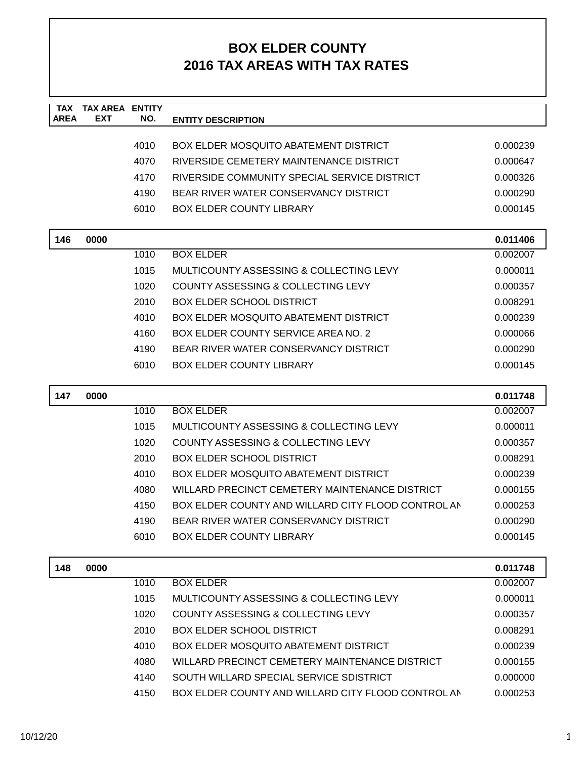| <b>TAX</b><br><b>AREA</b> | <b>TAX AREA ENTITY</b><br><b>EXT</b> | NO.  | <b>ENTITY DESCRIPTION</b>                          |          |
|---------------------------|--------------------------------------|------|----------------------------------------------------|----------|
|                           |                                      |      |                                                    |          |
|                           |                                      | 4010 | <b>BOX ELDER MOSQUITO ABATEMENT DISTRICT</b>       | 0.000239 |
|                           |                                      | 4070 | RIVERSIDE CEMETERY MAINTENANCE DISTRICT            | 0.000647 |
|                           |                                      | 4170 | RIVERSIDE COMMUNITY SPECIAL SERVICE DISTRICT       | 0.000326 |
|                           |                                      | 4190 | BEAR RIVER WATER CONSERVANCY DISTRICT              | 0.000290 |
|                           |                                      | 6010 | <b>BOX ELDER COUNTY LIBRARY</b>                    | 0.000145 |
| 146                       | 0000                                 |      |                                                    | 0.011406 |
|                           |                                      | 1010 | <b>BOX ELDER</b>                                   | 0.002007 |
|                           |                                      | 1015 | MULTICOUNTY ASSESSING & COLLECTING LEVY            | 0.000011 |
|                           |                                      | 1020 | COUNTY ASSESSING & COLLECTING LEVY                 | 0.000357 |
|                           |                                      | 2010 | <b>BOX ELDER SCHOOL DISTRICT</b>                   | 0.008291 |
|                           |                                      | 4010 | <b>BOX ELDER MOSQUITO ABATEMENT DISTRICT</b>       | 0.000239 |
|                           |                                      | 4160 | BOX ELDER COUNTY SERVICE AREA NO. 2                | 0.000066 |
|                           |                                      | 4190 | BEAR RIVER WATER CONSERVANCY DISTRICT              | 0.000290 |
|                           |                                      | 6010 | <b>BOX ELDER COUNTY LIBRARY</b>                    | 0.000145 |
|                           |                                      |      |                                                    |          |
| 147                       | 0000                                 |      |                                                    | 0.011748 |
|                           |                                      | 1010 | <b>BOX ELDER</b>                                   | 0.002007 |
|                           |                                      | 1015 | MULTICOUNTY ASSESSING & COLLECTING LEVY            | 0.000011 |
|                           |                                      | 1020 | COUNTY ASSESSING & COLLECTING LEVY                 | 0.000357 |
|                           |                                      | 2010 | <b>BOX ELDER SCHOOL DISTRICT</b>                   | 0.008291 |
|                           |                                      | 4010 | <b>BOX ELDER MOSQUITO ABATEMENT DISTRICT</b>       | 0.000239 |
|                           |                                      | 4080 | WILLARD PRECINCT CEMETERY MAINTENANCE DISTRICT     | 0.000155 |
|                           |                                      | 4150 | BOX ELDER COUNTY AND WILLARD CITY FLOOD CONTROL AN | 0.000253 |
|                           |                                      | 4190 | BEAR RIVER WATER CONSERVANCY DISTRICT              | 0.000290 |
|                           |                                      | 6010 | <b>BOX ELDER COUNTY LIBRARY</b>                    | 0.000145 |
| 148                       | 0000                                 |      |                                                    | 0.011748 |
|                           |                                      | 1010 | <b>BOX ELDER</b>                                   | 0.002007 |
|                           |                                      | 1015 | MULTICOUNTY ASSESSING & COLLECTING LEVY            | 0.000011 |
|                           |                                      | 1020 | COUNTY ASSESSING & COLLECTING LEVY                 | 0.000357 |
|                           |                                      | 2010 | <b>BOX ELDER SCHOOL DISTRICT</b>                   | 0.008291 |
|                           |                                      | 4010 | <b>BOX ELDER MOSQUITO ABATEMENT DISTRICT</b>       | 0.000239 |
|                           |                                      | 4080 | WILLARD PRECINCT CEMETERY MAINTENANCE DISTRICT     | 0.000155 |
|                           |                                      | 4140 | SOUTH WILLARD SPECIAL SERVICE SDISTRICT            | 0.000000 |
|                           |                                      | 4150 | BOX ELDER COUNTY AND WILLARD CITY FLOOD CONTROL AN | 0.000253 |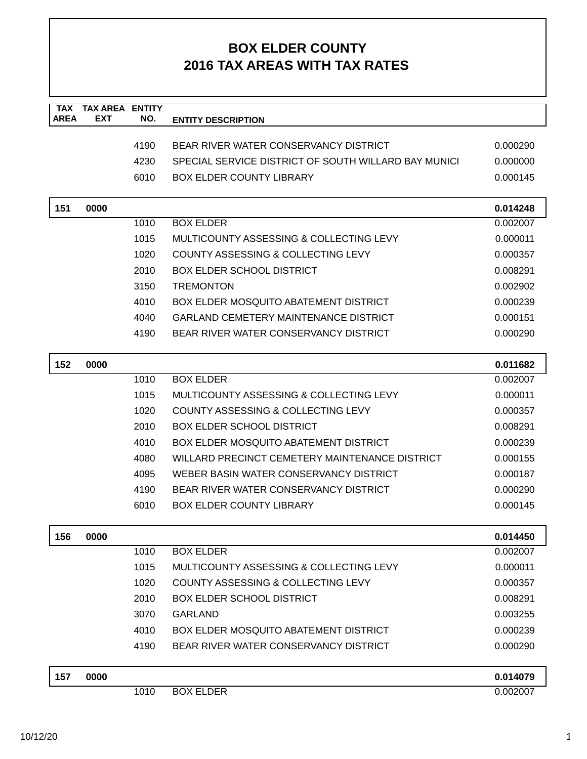| <b>TAX</b><br><b>AREA</b> | <b>TAX AREA ENTITY</b><br><b>EXT</b> | NO.  | <b>ENTITY DESCRIPTION</b>                            |          |
|---------------------------|--------------------------------------|------|------------------------------------------------------|----------|
|                           |                                      |      |                                                      |          |
|                           |                                      | 4190 | BEAR RIVER WATER CONSERVANCY DISTRICT                | 0.000290 |
|                           |                                      | 4230 | SPECIAL SERVICE DISTRICT OF SOUTH WILLARD BAY MUNICI | 0.000000 |
|                           |                                      | 6010 | <b>BOX ELDER COUNTY LIBRARY</b>                      | 0.000145 |
|                           |                                      |      |                                                      |          |
| 151                       | 0000                                 |      |                                                      | 0.014248 |
|                           |                                      | 1010 | <b>BOX ELDER</b>                                     | 0.002007 |
|                           |                                      | 1015 | MULTICOUNTY ASSESSING & COLLECTING LEVY              | 0.000011 |
|                           |                                      | 1020 | COUNTY ASSESSING & COLLECTING LEVY                   | 0.000357 |
|                           |                                      | 2010 | <b>BOX ELDER SCHOOL DISTRICT</b>                     | 0.008291 |
|                           |                                      | 3150 | <b>TREMONTON</b>                                     | 0.002902 |
|                           |                                      | 4010 | <b>BOX ELDER MOSQUITO ABATEMENT DISTRICT</b>         | 0.000239 |
|                           |                                      | 4040 | <b>GARLAND CEMETERY MAINTENANCE DISTRICT</b>         | 0.000151 |
|                           |                                      | 4190 | BEAR RIVER WATER CONSERVANCY DISTRICT                | 0.000290 |
|                           |                                      |      |                                                      |          |
| 152                       | 0000                                 |      |                                                      | 0.011682 |
|                           |                                      | 1010 | <b>BOX ELDER</b>                                     | 0.002007 |
|                           |                                      | 1015 | MULTICOUNTY ASSESSING & COLLECTING LEVY              | 0.000011 |
|                           |                                      | 1020 | COUNTY ASSESSING & COLLECTING LEVY                   | 0.000357 |
|                           |                                      | 2010 | <b>BOX ELDER SCHOOL DISTRICT</b>                     | 0.008291 |
|                           |                                      | 4010 | <b>BOX ELDER MOSQUITO ABATEMENT DISTRICT</b>         | 0.000239 |
|                           |                                      | 4080 | WILLARD PRECINCT CEMETERY MAINTENANCE DISTRICT       | 0.000155 |
|                           |                                      | 4095 | WEBER BASIN WATER CONSERVANCY DISTRICT               | 0.000187 |
|                           |                                      | 4190 | BEAR RIVER WATER CONSERVANCY DISTRICT                | 0.000290 |
|                           |                                      | 6010 | <b>BOX ELDER COUNTY LIBRARY</b>                      | 0.000145 |
|                           |                                      |      |                                                      |          |
| 156                       | 0000                                 |      |                                                      | 0.014450 |
|                           |                                      | 1010 | <b>BOX ELDER</b>                                     | 0.002007 |
|                           |                                      | 1015 | MULTICOUNTY ASSESSING & COLLECTING LEVY              | 0.000011 |
|                           |                                      | 1020 | <b>COUNTY ASSESSING &amp; COLLECTING LEVY</b>        | 0.000357 |
|                           |                                      | 2010 | <b>BOX ELDER SCHOOL DISTRICT</b>                     | 0.008291 |
|                           |                                      | 3070 | <b>GARLAND</b>                                       | 0.003255 |
|                           |                                      | 4010 | <b>BOX ELDER MOSQUITO ABATEMENT DISTRICT</b>         | 0.000239 |
|                           |                                      | 4190 | BEAR RIVER WATER CONSERVANCY DISTRICT                | 0.000290 |
| 157                       | 0000                                 |      |                                                      | 0.014079 |
|                           |                                      | 1010 | <b>BOX ELDER</b>                                     | 0.002007 |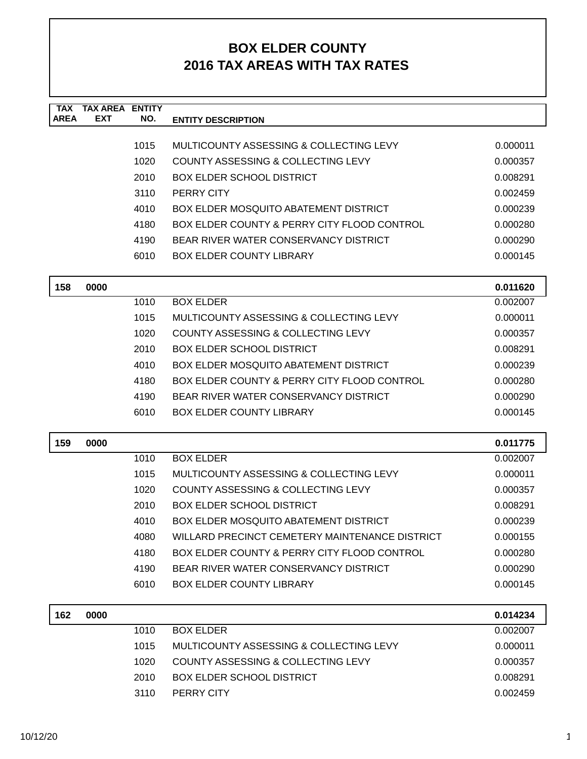| <b>TAX</b><br><b>AREA</b> | <b>TAX AREA ENTITY</b><br><b>EXT</b> | NO.  | <b>ENTITY DESCRIPTION</b>                      |          |
|---------------------------|--------------------------------------|------|------------------------------------------------|----------|
|                           |                                      |      |                                                |          |
|                           |                                      | 1015 | MULTICOUNTY ASSESSING & COLLECTING LEVY        | 0.000011 |
|                           |                                      | 1020 | COUNTY ASSESSING & COLLECTING LEVY             | 0.000357 |
|                           |                                      | 2010 | <b>BOX ELDER SCHOOL DISTRICT</b>               | 0.008291 |
|                           |                                      | 3110 | PERRY CITY                                     | 0.002459 |
|                           |                                      | 4010 | <b>BOX ELDER MOSQUITO ABATEMENT DISTRICT</b>   | 0.000239 |
|                           |                                      | 4180 | BOX ELDER COUNTY & PERRY CITY FLOOD CONTROL    | 0.000280 |
|                           |                                      | 4190 | BEAR RIVER WATER CONSERVANCY DISTRICT          | 0.000290 |
|                           |                                      | 6010 | <b>BOX ELDER COUNTY LIBRARY</b>                | 0.000145 |
| 158                       | 0000                                 |      |                                                | 0.011620 |
|                           |                                      | 1010 | <b>BOX ELDER</b>                               | 0.002007 |
|                           |                                      | 1015 | MULTICOUNTY ASSESSING & COLLECTING LEVY        | 0.000011 |
|                           |                                      | 1020 | COUNTY ASSESSING & COLLECTING LEVY             | 0.000357 |
|                           |                                      | 2010 | BOX ELDER SCHOOL DISTRICT                      | 0.008291 |
|                           |                                      | 4010 | <b>BOX ELDER MOSQUITO ABATEMENT DISTRICT</b>   | 0.000239 |
|                           |                                      | 4180 | BOX ELDER COUNTY & PERRY CITY FLOOD CONTROL    | 0.000280 |
|                           |                                      | 4190 | BEAR RIVER WATER CONSERVANCY DISTRICT          | 0.000290 |
|                           |                                      | 6010 | <b>BOX ELDER COUNTY LIBRARY</b>                | 0.000145 |
| 159                       | 0000                                 |      |                                                | 0.011775 |
|                           |                                      | 1010 | <b>BOX ELDER</b>                               | 0.002007 |
|                           |                                      | 1015 | MULTICOUNTY ASSESSING & COLLECTING LEVY        | 0.000011 |
|                           |                                      | 1020 | COUNTY ASSESSING & COLLECTING LEVY             | 0.000357 |
|                           |                                      | 2010 | <b>BOX ELDER SCHOOL DISTRICT</b>               | 0.008291 |
|                           |                                      | 4010 | <b>BOX ELDER MOSQUITO ABATEMENT DISTRICT</b>   | 0.000239 |
|                           |                                      | 4080 | WILLARD PRECINCT CEMETERY MAINTENANCE DISTRICT | 0.000155 |
|                           |                                      | 4180 | BOX ELDER COUNTY & PERRY CITY FLOOD CONTROL    | 0.000280 |
|                           |                                      | 4190 | BEAR RIVER WATER CONSERVANCY DISTRICT          | 0.000290 |
|                           |                                      | 6010 | <b>BOX ELDER COUNTY LIBRARY</b>                | 0.000145 |
| 162                       | 0000                                 |      |                                                | 0.014234 |
|                           |                                      | 1010 | <b>BOX ELDER</b>                               | 0.002007 |
|                           |                                      | 1015 | MULTICOUNTY ASSESSING & COLLECTING LEVY        | 0.000011 |
|                           |                                      | 1020 | COUNTY ASSESSING & COLLECTING LEVY             | 0.000357 |
|                           |                                      | 2010 | <b>BOX ELDER SCHOOL DISTRICT</b>               | 0.008291 |
|                           |                                      | 3110 | PERRY CITY                                     | 0.002459 |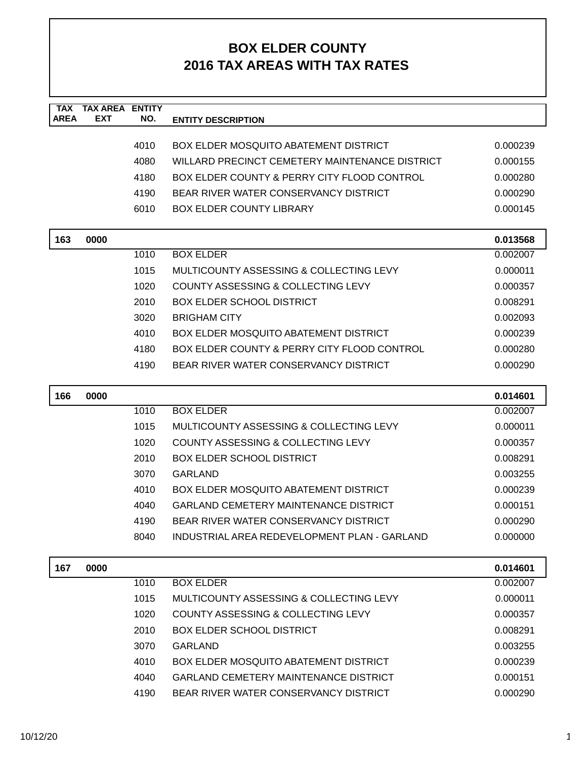| <b>TAX</b>  | <b>TAX AREA</b> | <b>ENTITY</b> |                                                |          |
|-------------|-----------------|---------------|------------------------------------------------|----------|
| <b>AREA</b> | <b>EXT</b>      | NO.           | <b>ENTITY DESCRIPTION</b>                      |          |
|             |                 | 4010          | <b>BOX ELDER MOSQUITO ABATEMENT DISTRICT</b>   | 0.000239 |
|             |                 | 4080          | WILLARD PRECINCT CEMETERY MAINTENANCE DISTRICT | 0.000155 |
|             |                 | 4180          | BOX ELDER COUNTY & PERRY CITY FLOOD CONTROL    | 0.000280 |
|             |                 | 4190          | BEAR RIVER WATER CONSERVANCY DISTRICT          | 0.000290 |
|             |                 | 6010          | <b>BOX ELDER COUNTY LIBRARY</b>                | 0.000145 |
|             |                 |               |                                                |          |
| 163         | 0000            |               |                                                | 0.013568 |
|             |                 | 1010          | <b>BOX ELDER</b>                               | 0.002007 |
|             |                 | 1015          | MULTICOUNTY ASSESSING & COLLECTING LEVY        | 0.000011 |
|             |                 | 1020          | <b>COUNTY ASSESSING &amp; COLLECTING LEVY</b>  | 0.000357 |
|             |                 | 2010          | <b>BOX ELDER SCHOOL DISTRICT</b>               | 0.008291 |
|             |                 | 3020          | <b>BRIGHAM CITY</b>                            | 0.002093 |
|             |                 | 4010          | <b>BOX ELDER MOSQUITO ABATEMENT DISTRICT</b>   | 0.000239 |
|             |                 | 4180          | BOX ELDER COUNTY & PERRY CITY FLOOD CONTROL    | 0.000280 |
|             |                 | 4190          | BEAR RIVER WATER CONSERVANCY DISTRICT          | 0.000290 |
|             |                 |               |                                                |          |
| 166         | 0000            |               |                                                | 0.014601 |
|             |                 | 1010          | <b>BOX ELDER</b>                               | 0.002007 |
|             |                 | 1015          | MULTICOUNTY ASSESSING & COLLECTING LEVY        | 0.000011 |
|             |                 | 1020          | COUNTY ASSESSING & COLLECTING LEVY             | 0.000357 |
|             |                 | 2010          | <b>BOX ELDER SCHOOL DISTRICT</b>               | 0.008291 |
|             |                 | 3070          | <b>GARLAND</b>                                 | 0.003255 |
|             |                 | 4010          | <b>BOX ELDER MOSQUITO ABATEMENT DISTRICT</b>   | 0.000239 |
|             |                 | 4040          | <b>GARLAND CEMETERY MAINTENANCE DISTRICT</b>   | 0.000151 |
|             |                 | 4190          | BEAR RIVER WATER CONSERVANCY DISTRICT          | 0.000290 |
|             |                 | 8040          | INDUSTRIAL AREA REDEVELOPMENT PLAN - GARLAND   | 0.000000 |
|             |                 |               |                                                |          |
| 167         | 0000            |               |                                                | 0.014601 |
|             |                 | 1010          | <b>BOX ELDER</b>                               | 0.002007 |
|             |                 | 1015          | MULTICOUNTY ASSESSING & COLLECTING LEVY        | 0.000011 |
|             |                 | 1020          | COUNTY ASSESSING & COLLECTING LEVY             | 0.000357 |
|             |                 | 2010          | <b>BOX ELDER SCHOOL DISTRICT</b>               | 0.008291 |
|             |                 | 3070          | <b>GARLAND</b>                                 | 0.003255 |
|             |                 | 4010          | <b>BOX ELDER MOSQUITO ABATEMENT DISTRICT</b>   | 0.000239 |
|             |                 | 4040          | <b>GARLAND CEMETERY MAINTENANCE DISTRICT</b>   | 0.000151 |
|             |                 | 4190          | BEAR RIVER WATER CONSERVANCY DISTRICT          | 0.000290 |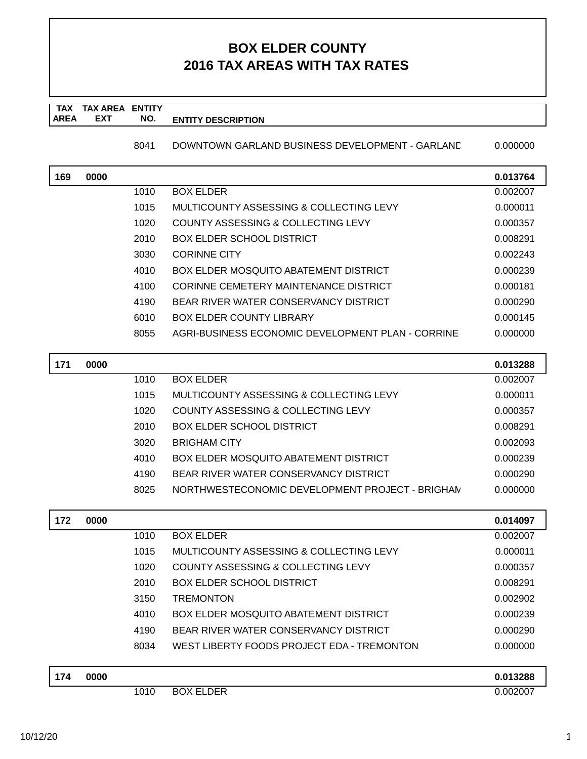#### **TAX TAX AREA ENTITY AREA ENTITY DESCRIPTION EXT NO.**

8041 DOWNTOWN GARLAND BUSINESS DEVELOPMENT - GARLANE 0.000000

| 169 | 0000 |      |                                                   | 0.013764 |
|-----|------|------|---------------------------------------------------|----------|
|     |      | 1010 | <b>BOX ELDER</b>                                  | 0.002007 |
|     |      | 1015 | MULTICOUNTY ASSESSING & COLLECTING LEVY           | 0.000011 |
|     |      | 1020 | COUNTY ASSESSING & COLLECTING LEVY                | 0.000357 |
|     |      | 2010 | BOX ELDER SCHOOL DISTRICT                         | 0.008291 |
|     |      | 3030 | <b>CORINNE CITY</b>                               | 0.002243 |
|     |      | 4010 | BOX ELDER MOSQUITO ABATEMENT DISTRICT             | 0.000239 |
|     |      | 4100 | CORINNE CEMETERY MAINTENANCE DISTRICT             | 0.000181 |
|     |      | 4190 | BEAR RIVER WATER CONSERVANCY DISTRICT             | 0.000290 |
|     |      | 6010 | BOX ELDER COUNTY LIBRARY                          | 0.000145 |
|     |      | 8055 | AGRI-BUSINESS ECONOMIC DEVELOPMENT PLAN - CORRINE | 0.000000 |
| 474 | 0000 |      |                                                   | a asagoo |

| 171 | 0000 |      |                                                 | 0.013288 |
|-----|------|------|-------------------------------------------------|----------|
|     |      | 1010 | <b>BOX ELDER</b>                                | 0.002007 |
|     |      | 1015 | MULTICOUNTY ASSESSING & COLLECTING LEVY         | 0.000011 |
|     |      | 1020 | COUNTY ASSESSING & COLLECTING LEVY              | 0.000357 |
|     |      | 2010 | <b>BOX ELDER SCHOOL DISTRICT</b>                | 0.008291 |
|     |      | 3020 | <b>BRIGHAM CITY</b>                             | 0.002093 |
|     |      | 4010 | <b>BOX ELDER MOSQUITO ABATEMENT DISTRICT</b>    | 0.000239 |
|     |      | 4190 | BEAR RIVER WATER CONSERVANCY DISTRICT           | 0.000290 |
|     |      | 8025 | NORTHWESTECONOMIC DEVELOPMENT PROJECT - BRIGHAN | 0.000000 |
|     |      |      |                                                 |          |

| 172 | 0000 |      |                                              | 0.014097 |
|-----|------|------|----------------------------------------------|----------|
|     |      | 1010 | <b>BOX ELDER</b>                             | 0.002007 |
|     |      | 1015 | MULTICOUNTY ASSESSING & COLLECTING LEVY      | 0.000011 |
|     |      | 1020 | COUNTY ASSESSING & COLLECTING LEVY           | 0.000357 |
|     |      | 2010 | <b>BOX ELDER SCHOOL DISTRICT</b>             | 0.008291 |
|     |      | 3150 | <b>TREMONTON</b>                             | 0.002902 |
|     |      | 4010 | <b>BOX ELDER MOSQUITO ABATEMENT DISTRICT</b> | 0.000239 |
|     |      | 4190 | BEAR RIVER WATER CONSERVANCY DISTRICT        | 0.000290 |
|     |      | 8034 | WEST LIBERTY FOODS PROJECT EDA - TREMONTON   | 0.000000 |
| 174 | 0000 |      |                                              | 0.013288 |

| 174 | 0000 |      |                                            | 0.013288<br>.U J |
|-----|------|------|--------------------------------------------|------------------|
|     |      | 1010 | DER<br><b>ROX</b><br>-<br><u>ь</u><br>---- | J.002007         |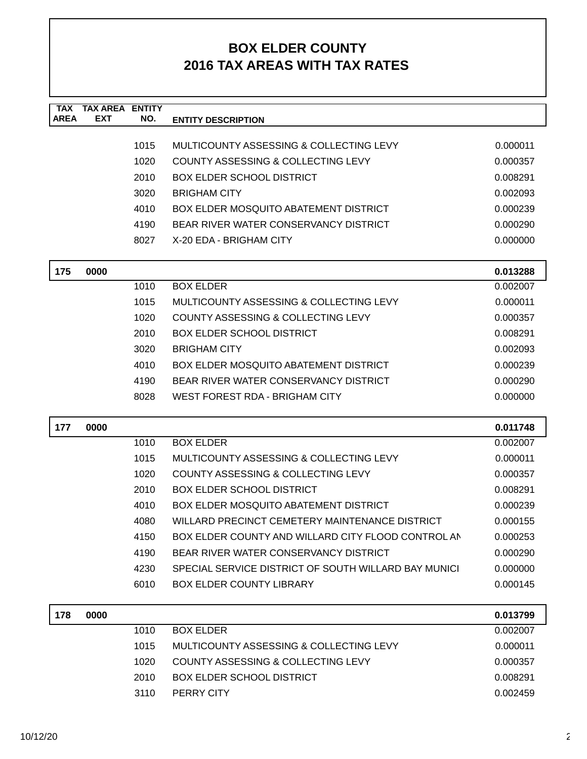| <b>TAX</b><br><b>AREA</b> | <b>TAX AREA ENTITY</b><br><b>EXT</b> | NO.  | <b>ENTITY DESCRIPTION</b>                            |          |
|---------------------------|--------------------------------------|------|------------------------------------------------------|----------|
|                           |                                      |      |                                                      |          |
|                           |                                      | 1015 | MULTICOUNTY ASSESSING & COLLECTING LEVY              | 0.000011 |
|                           |                                      | 1020 | <b>COUNTY ASSESSING &amp; COLLECTING LEVY</b>        | 0.000357 |
|                           |                                      | 2010 | <b>BOX ELDER SCHOOL DISTRICT</b>                     | 0.008291 |
|                           |                                      | 3020 | <b>BRIGHAM CITY</b>                                  | 0.002093 |
|                           |                                      | 4010 | <b>BOX ELDER MOSQUITO ABATEMENT DISTRICT</b>         | 0.000239 |
|                           |                                      | 4190 | BEAR RIVER WATER CONSERVANCY DISTRICT                | 0.000290 |
|                           |                                      | 8027 | X-20 EDA - BRIGHAM CITY                              | 0.000000 |
| 175                       | 0000                                 |      |                                                      | 0.013288 |
|                           |                                      | 1010 | <b>BOX ELDER</b>                                     | 0.002007 |
|                           |                                      | 1015 | MULTICOUNTY ASSESSING & COLLECTING LEVY              | 0.000011 |
|                           |                                      | 1020 | COUNTY ASSESSING & COLLECTING LEVY                   | 0.000357 |
|                           |                                      | 2010 | <b>BOX ELDER SCHOOL DISTRICT</b>                     | 0.008291 |
|                           |                                      | 3020 | <b>BRIGHAM CITY</b>                                  | 0.002093 |
|                           |                                      | 4010 | BOX ELDER MOSQUITO ABATEMENT DISTRICT                | 0.000239 |
|                           |                                      | 4190 | BEAR RIVER WATER CONSERVANCY DISTRICT                | 0.000290 |
|                           |                                      | 8028 | WEST FOREST RDA - BRIGHAM CITY                       | 0.000000 |
|                           |                                      |      |                                                      |          |
| 177                       | 0000                                 |      |                                                      | 0.011748 |
|                           |                                      | 1010 | <b>BOX ELDER</b>                                     | 0.002007 |
|                           |                                      | 1015 | MULTICOUNTY ASSESSING & COLLECTING LEVY              | 0.000011 |
|                           |                                      | 1020 | COUNTY ASSESSING & COLLECTING LEVY                   | 0.000357 |
|                           |                                      | 2010 | <b>BOX ELDER SCHOOL DISTRICT</b>                     | 0.008291 |
|                           |                                      | 4010 | <b>BOX ELDER MOSQUITO ABATEMENT DISTRICT</b>         | 0.000239 |
|                           |                                      | 4080 | WILLARD PRECINCT CEMETERY MAINTENANCE DISTRICT       | 0.000155 |
|                           |                                      | 4150 | BOX ELDER COUNTY AND WILLARD CITY FLOOD CONTROL AN   | 0.000253 |
|                           |                                      | 4190 | BEAR RIVER WATER CONSERVANCY DISTRICT                | 0.000290 |
|                           |                                      | 4230 | SPECIAL SERVICE DISTRICT OF SOUTH WILLARD BAY MUNICI | 0.000000 |
|                           |                                      | 6010 | <b>BOX ELDER COUNTY LIBRARY</b>                      | 0.000145 |
| 178                       | 0000                                 |      |                                                      | 0.013799 |
|                           |                                      | 1010 | <b>BOX ELDER</b>                                     | 0.002007 |
|                           |                                      | 1015 | MULTICOUNTY ASSESSING & COLLECTING LEVY              | 0.000011 |
|                           |                                      | 1020 | COUNTY ASSESSING & COLLECTING LEVY                   | 0.000357 |
|                           |                                      | 2010 | <b>BOX ELDER SCHOOL DISTRICT</b>                     | 0.008291 |
|                           |                                      | 3110 | PERRY CITY                                           | 0.002459 |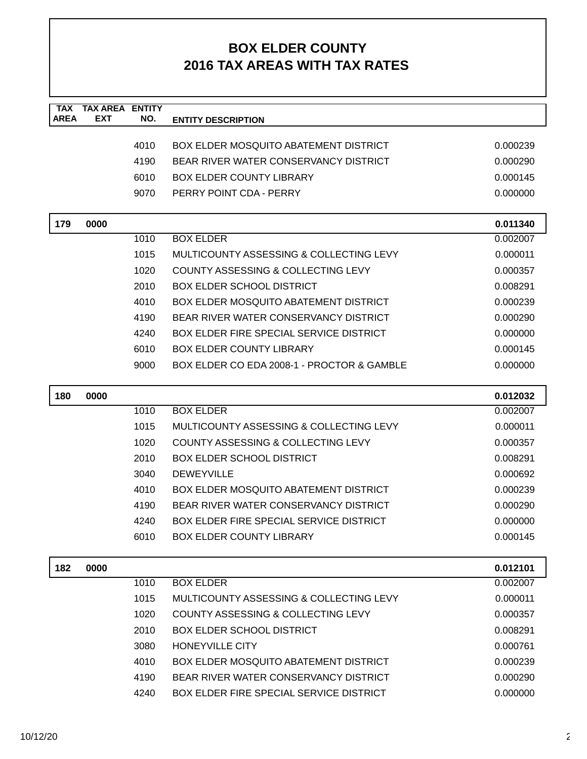| <b>TAX</b><br><b>AREA</b> | <b>TAX AREA ENTITY</b><br>EXT | NO.  | <b>ENTITY DESCRIPTION</b>                      |          |
|---------------------------|-------------------------------|------|------------------------------------------------|----------|
|                           |                               |      |                                                |          |
|                           |                               | 4010 | <b>BOX ELDER MOSQUITO ABATEMENT DISTRICT</b>   | 0.000239 |
|                           |                               | 4190 | BEAR RIVER WATER CONSERVANCY DISTRICT          | 0.000290 |
|                           |                               | 6010 | <b>BOX ELDER COUNTY LIBRARY</b>                | 0.000145 |
|                           |                               | 9070 | PERRY POINT CDA - PERRY                        | 0.000000 |
| 179                       | 0000                          |      |                                                | 0.011340 |
|                           |                               | 1010 | <b>BOX ELDER</b>                               | 0.002007 |
|                           |                               | 1015 | MULTICOUNTY ASSESSING & COLLECTING LEVY        | 0.000011 |
|                           |                               | 1020 | COUNTY ASSESSING & COLLECTING LEVY             | 0.000357 |
|                           |                               | 2010 | <b>BOX ELDER SCHOOL DISTRICT</b>               | 0.008291 |
|                           |                               | 4010 | <b>BOX ELDER MOSQUITO ABATEMENT DISTRICT</b>   | 0.000239 |
|                           |                               | 4190 | BEAR RIVER WATER CONSERVANCY DISTRICT          | 0.000290 |
|                           |                               | 4240 | <b>BOX ELDER FIRE SPECIAL SERVICE DISTRICT</b> | 0.000000 |
|                           |                               | 6010 | <b>BOX ELDER COUNTY LIBRARY</b>                | 0.000145 |
|                           |                               | 9000 | BOX ELDER CO EDA 2008-1 - PROCTOR & GAMBLE     | 0.000000 |
| 180                       | 0000                          |      |                                                | 0.012032 |
|                           |                               | 1010 | <b>BOX ELDER</b>                               | 0.002007 |
|                           |                               | 1015 | MULTICOUNTY ASSESSING & COLLECTING LEVY        | 0.000011 |
|                           |                               | 1020 | COUNTY ASSESSING & COLLECTING LEVY             | 0.000357 |
|                           |                               | 2010 | <b>BOX ELDER SCHOOL DISTRICT</b>               | 0.008291 |
|                           |                               | 3040 | <b>DEWEYVILLE</b>                              | 0.000692 |
|                           |                               | 4010 | <b>BOX ELDER MOSQUITO ABATEMENT DISTRICT</b>   | 0.000239 |
|                           |                               | 4190 | BEAR RIVER WATER CONSERVANCY DISTRICT          | 0.000290 |
|                           |                               | 4240 | BOX ELDER FIRE SPECIAL SERVICE DISTRICT        | 0.000000 |
|                           |                               | 6010 | <b>BOX ELDER COUNTY LIBRARY</b>                | 0.000145 |
| 182                       | 0000                          |      |                                                | 0.012101 |
|                           |                               | 1010 | <b>BOX ELDER</b>                               | 0.002007 |
|                           |                               | 1015 | MULTICOUNTY ASSESSING & COLLECTING LEVY        | 0.000011 |
|                           |                               | 1020 | COUNTY ASSESSING & COLLECTING LEVY             | 0.000357 |
|                           |                               | 2010 | <b>BOX ELDER SCHOOL DISTRICT</b>               | 0.008291 |
|                           |                               | 3080 | <b>HONEYVILLE CITY</b>                         | 0.000761 |
|                           |                               | 4010 | <b>BOX ELDER MOSQUITO ABATEMENT DISTRICT</b>   | 0.000239 |
|                           |                               | 4190 | BEAR RIVER WATER CONSERVANCY DISTRICT          | 0.000290 |
|                           |                               | 4240 | BOX ELDER FIRE SPECIAL SERVICE DISTRICT        | 0.000000 |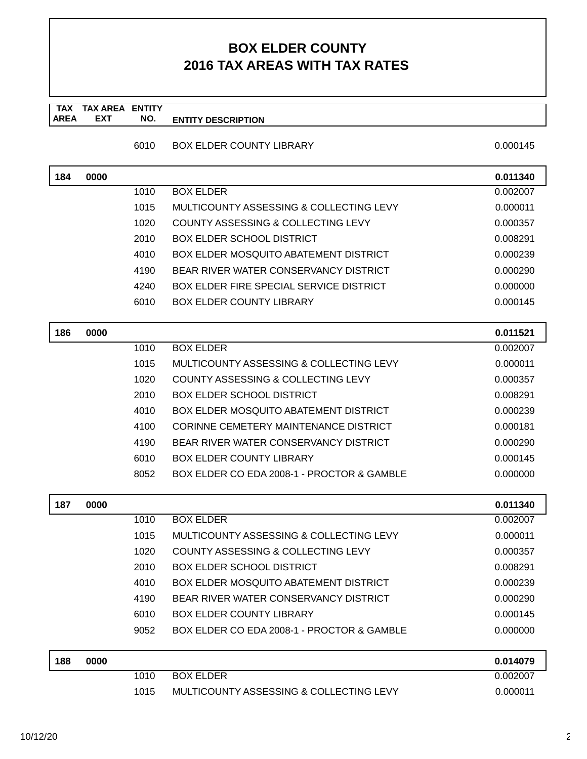**TAX TAX AREA ENTITY AREA ENTITY DESCRIPTION EXT NO.**

| 6010 | <b>BOX ELDER COUNTY LIBRARY</b> |  |
|------|---------------------------------|--|
|      |                                 |  |

| 184 | 0000 |      |                                              | 0.011340 |
|-----|------|------|----------------------------------------------|----------|
|     |      | 1010 | <b>BOX ELDER</b>                             | 0.002007 |
|     |      | 1015 | MULTICOUNTY ASSESSING & COLLECTING LEVY      | 0.000011 |
|     |      | 1020 | COUNTY ASSESSING & COLLECTING LEVY           | 0.000357 |
|     |      | 2010 | <b>BOX ELDER SCHOOL DISTRICT</b>             | 0.008291 |
|     |      | 4010 | BOX ELDER MOSQUITO ABATEMENT DISTRICT        | 0.000239 |
|     |      | 4190 | BEAR RIVER WATER CONSERVANCY DISTRICT        | 0.000290 |
|     |      | 4240 | BOX ELDER FIRE SPECIAL SERVICE DISTRICT      | 0.000000 |
|     |      | 6010 | <b>BOX ELDER COUNTY LIBRARY</b>              | 0.000145 |
|     |      |      |                                              |          |
| 186 | 0000 |      |                                              | 0.011521 |
|     |      | 1010 | <b>BOX ELDER</b>                             | 0.002007 |
|     |      | 1015 | MULTICOUNTY ASSESSING & COLLECTING LEVY      | 0.000011 |
|     |      | 1020 | COUNTY ASSESSING & COLLECTING LEVY           | 0.000357 |
|     |      | 2010 | <b>BOX ELDER SCHOOL DISTRICT</b>             | 0.008291 |
|     |      | 4010 | <b>BOX ELDER MOSQUITO ABATEMENT DISTRICT</b> | 0.000239 |
|     |      | 4100 | <b>CORINNE CEMETERY MAINTENANCE DISTRICT</b> | 0.000181 |
|     |      | 4190 | BEAR RIVER WATER CONSERVANCY DISTRICT        | 0.000290 |
|     |      | 6010 | <b>BOX ELDER COUNTY LIBRARY</b>              | 0.000145 |
|     |      | 8052 | BOX ELDER CO EDA 2008-1 - PROCTOR & GAMBLE   | 0.000000 |
|     |      |      |                                              |          |
| 187 | 0000 |      |                                              | 0.011340 |
|     |      | 1010 | <b>BOX ELDER</b>                             | 0.002007 |
|     |      | 1015 | MULTICOUNTY ASSESSING & COLLECTING LEVY      | 0.000011 |
|     |      | 1020 | COUNTY ASSESSING & COLLECTING LEVY           | 0.000357 |
|     |      | 2010 | <b>BOX ELDER SCHOOL DISTRICT</b>             | 0.008291 |
|     |      | 4010 | <b>BOX ELDER MOSQUITO ABATEMENT DISTRICT</b> | 0.000239 |
|     |      | 4190 | BEAR RIVER WATER CONSERVANCY DISTRICT        | 0.000290 |

| 188 | 0000 |      |                                         | 0.014079 |
|-----|------|------|-----------------------------------------|----------|
|     |      | 1010 | BOX ELDER                               | 0.002007 |
|     |      | 1015 | MULTICOUNTY ASSESSING & COLLECTING LEVY | 0.000011 |

6010 BOX ELDER COUNTY LIBRARY 6010 0.000145 9052 BOX ELDER CO EDA 2008-1 - PROCTOR & GAMBLE 0.0000000

 $0.000145$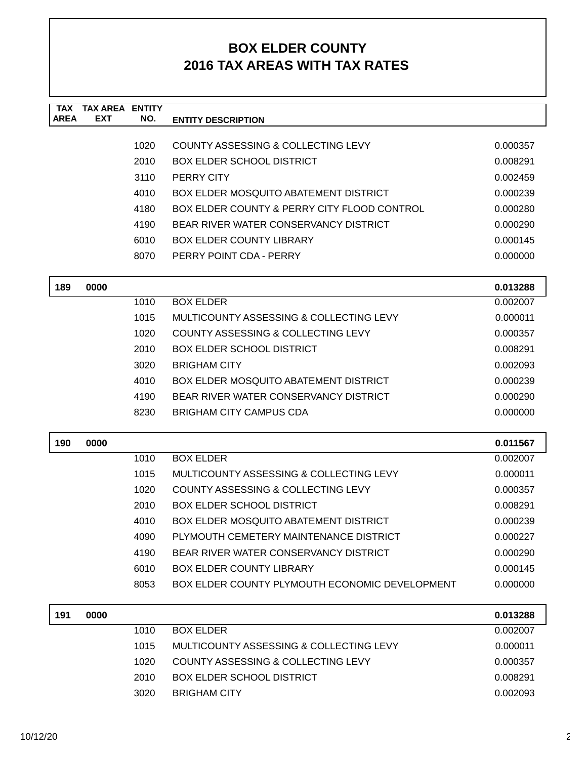| <b>TAX</b><br><b>AREA</b> | <b>TAX AREA ENTITY</b><br><b>EXT</b> | NO.  | <b>ENTITY DESCRIPTION</b>                             |          |
|---------------------------|--------------------------------------|------|-------------------------------------------------------|----------|
|                           |                                      |      |                                                       |          |
|                           |                                      | 1020 | COUNTY ASSESSING & COLLECTING LEVY                    | 0.000357 |
|                           |                                      | 2010 | <b>BOX ELDER SCHOOL DISTRICT</b>                      | 0.008291 |
|                           |                                      | 3110 | PERRY CITY                                            | 0.002459 |
|                           |                                      | 4010 | <b>BOX ELDER MOSQUITO ABATEMENT DISTRICT</b>          | 0.000239 |
|                           |                                      | 4180 | BOX ELDER COUNTY & PERRY CITY FLOOD CONTROL           | 0.000280 |
|                           |                                      | 4190 | BEAR RIVER WATER CONSERVANCY DISTRICT                 | 0.000290 |
|                           |                                      | 6010 | <b>BOX ELDER COUNTY LIBRARY</b>                       | 0.000145 |
|                           |                                      | 8070 | PERRY POINT CDA - PERRY                               | 0.000000 |
| 189                       | 0000                                 |      |                                                       | 0.013288 |
|                           |                                      | 1010 | <b>BOX ELDER</b>                                      | 0.002007 |
|                           |                                      | 1015 | MULTICOUNTY ASSESSING & COLLECTING LEVY               | 0.000011 |
|                           |                                      | 1020 | COUNTY ASSESSING & COLLECTING LEVY                    | 0.000357 |
|                           |                                      | 2010 | <b>BOX ELDER SCHOOL DISTRICT</b>                      | 0.008291 |
|                           |                                      | 3020 | <b>BRIGHAM CITY</b>                                   | 0.002093 |
|                           |                                      | 4010 | <b>BOX ELDER MOSQUITO ABATEMENT DISTRICT</b>          | 0.000239 |
|                           |                                      | 4190 | BEAR RIVER WATER CONSERVANCY DISTRICT                 | 0.000290 |
|                           |                                      | 8230 | <b>BRIGHAM CITY CAMPUS CDA</b>                        | 0.000000 |
| 190                       | 0000                                 |      |                                                       | 0.011567 |
|                           |                                      | 1010 | <b>BOX ELDER</b>                                      | 0.002007 |
|                           |                                      | 1015 | MULTICOUNTY ASSESSING & COLLECTING LEVY               | 0.000011 |
|                           |                                      | 1020 | COUNTY ASSESSING & COLLECTING LEVY                    | 0.000357 |
|                           |                                      | 2010 | <b>BOX ELDER SCHOOL DISTRICT</b>                      | 0.008291 |
|                           |                                      | 4010 | <b>BOX ELDER MOSQUITO ABATEMENT DISTRICT</b>          | 0.000239 |
|                           |                                      | 4090 | PLYMOUTH CEMETERY MAINTENANCE DISTRICT                | 0.000227 |
|                           |                                      | 4190 | BEAR RIVER WATER CONSERVANCY DISTRICT                 | 0.000290 |
|                           |                                      | 6010 | <b>BOX ELDER COUNTY LIBRARY</b>                       | 0.000145 |
|                           |                                      | 8053 | <b>BOX ELDER COUNTY PLYMOUTH ECONOMIC DEVELOPMENT</b> | 0.000000 |
| 191                       | 0000                                 |      |                                                       | 0.013288 |
|                           |                                      | 1010 | <b>BOX ELDER</b>                                      | 0.002007 |
|                           |                                      | 1015 | MULTICOUNTY ASSESSING & COLLECTING LEVY               | 0.000011 |
|                           |                                      | 1020 | COUNTY ASSESSING & COLLECTING LEVY                    | 0.000357 |
|                           |                                      | 2010 | <b>BOX ELDER SCHOOL DISTRICT</b>                      | 0.008291 |
|                           |                                      | 3020 | <b>BRIGHAM CITY</b>                                   | 0.002093 |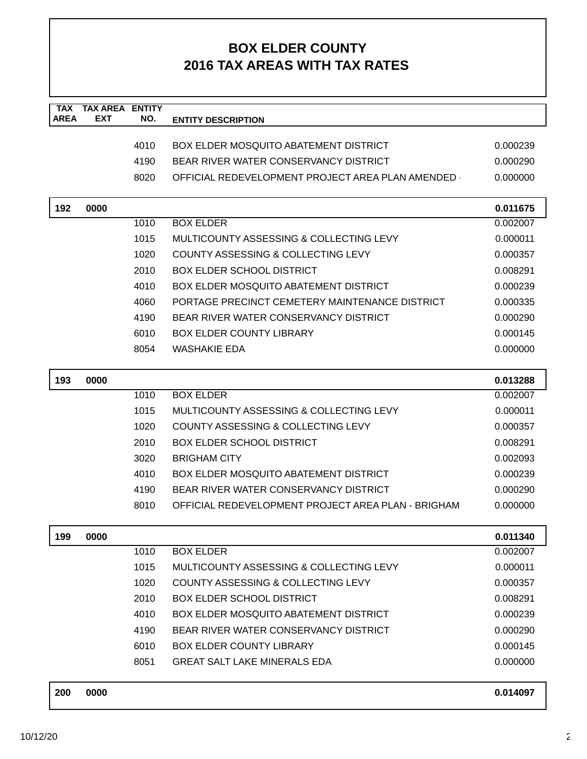| <b>TAX</b><br><b>AREA</b> | <b>TAX AREA ENTITY</b><br><b>EXT</b> | NO.  | <b>ENTITY DESCRIPTION</b>                          |          |
|---------------------------|--------------------------------------|------|----------------------------------------------------|----------|
|                           |                                      |      |                                                    |          |
|                           |                                      | 4010 | <b>BOX ELDER MOSQUITO ABATEMENT DISTRICT</b>       | 0.000239 |
|                           |                                      | 4190 | BEAR RIVER WATER CONSERVANCY DISTRICT              | 0.000290 |
|                           |                                      | 8020 | OFFICIAL REDEVELOPMENT PROJECT AREA PLAN AMENDED - | 0.000000 |
|                           |                                      |      |                                                    |          |
| 192                       | 0000                                 |      |                                                    | 0.011675 |
|                           |                                      | 1010 | <b>BOX ELDER</b>                                   | 0.002007 |
|                           |                                      | 1015 | MULTICOUNTY ASSESSING & COLLECTING LEVY            | 0.000011 |
|                           |                                      | 1020 | COUNTY ASSESSING & COLLECTING LEVY                 | 0.000357 |
|                           |                                      | 2010 | <b>BOX ELDER SCHOOL DISTRICT</b>                   | 0.008291 |
|                           |                                      | 4010 | <b>BOX ELDER MOSQUITO ABATEMENT DISTRICT</b>       | 0.000239 |
|                           |                                      | 4060 | PORTAGE PRECINCT CEMETERY MAINTENANCE DISTRICT     | 0.000335 |
|                           |                                      | 4190 | BEAR RIVER WATER CONSERVANCY DISTRICT              | 0.000290 |
|                           |                                      | 6010 | <b>BOX ELDER COUNTY LIBRARY</b>                    | 0.000145 |
|                           |                                      | 8054 | <b>WASHAKIE EDA</b>                                | 0.000000 |
|                           |                                      |      |                                                    |          |
| 193                       | 0000                                 |      |                                                    | 0.013288 |
|                           |                                      | 1010 | <b>BOX ELDER</b>                                   | 0.002007 |
|                           |                                      | 1015 | MULTICOUNTY ASSESSING & COLLECTING LEVY            | 0.000011 |
|                           |                                      | 1020 | COUNTY ASSESSING & COLLECTING LEVY                 | 0.000357 |
|                           |                                      | 2010 | <b>BOX ELDER SCHOOL DISTRICT</b>                   | 0.008291 |
|                           |                                      | 3020 | <b>BRIGHAM CITY</b>                                | 0.002093 |
|                           |                                      | 4010 | <b>BOX ELDER MOSQUITO ABATEMENT DISTRICT</b>       | 0.000239 |
|                           |                                      | 4190 | BEAR RIVER WATER CONSERVANCY DISTRICT              | 0.000290 |
|                           |                                      | 8010 | OFFICIAL REDEVELOPMENT PROJECT AREA PLAN - BRIGHAM | 0.000000 |
|                           |                                      |      |                                                    |          |
| 199                       | 0000                                 |      |                                                    | 0.011340 |
|                           |                                      | 1010 | <b>BOX ELDER</b>                                   | 0.002007 |
|                           |                                      | 1015 | MULTICOUNTY ASSESSING & COLLECTING LEVY            | 0.000011 |
|                           |                                      | 1020 | COUNTY ASSESSING & COLLECTING LEVY                 | 0.000357 |
|                           |                                      | 2010 | <b>BOX ELDER SCHOOL DISTRICT</b>                   | 0.008291 |
|                           |                                      | 4010 | BOX ELDER MOSQUITO ABATEMENT DISTRICT              | 0.000239 |
|                           |                                      | 4190 | BEAR RIVER WATER CONSERVANCY DISTRICT              | 0.000290 |
|                           |                                      | 6010 | <b>BOX ELDER COUNTY LIBRARY</b>                    | 0.000145 |
|                           |                                      | 8051 | <b>GREAT SALT LAKE MINERALS EDA</b>                | 0.000000 |
| 200                       | 0000                                 |      |                                                    | 0.014097 |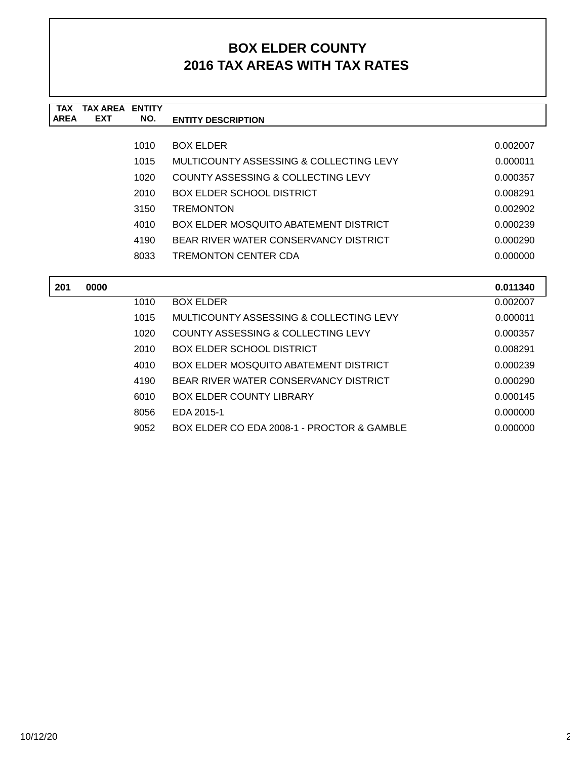| <b>TAX</b>  | <b>TAX AREA</b> | <b>ENTITY</b> |                                               |          |
|-------------|-----------------|---------------|-----------------------------------------------|----------|
| <b>AREA</b> | <b>EXT</b>      | NO.           | <b>ENTITY DESCRIPTION</b>                     |          |
|             |                 |               |                                               |          |
|             |                 | 1010          | <b>BOX ELDER</b>                              | 0.002007 |
|             |                 | 1015          | MULTICOUNTY ASSESSING & COLLECTING LEVY       | 0.000011 |
|             |                 | 1020          | <b>COUNTY ASSESSING &amp; COLLECTING LEVY</b> | 0.000357 |
|             |                 | 2010          | <b>BOX ELDER SCHOOL DISTRICT</b>              | 0.008291 |
|             |                 | 3150          | <b>TREMONTON</b>                              | 0.002902 |
|             |                 | 4010          | <b>BOX ELDER MOSQUITO ABATEMENT DISTRICT</b>  | 0.000239 |
|             |                 | 4190          | BEAR RIVER WATER CONSERVANCY DISTRICT         | 0.000290 |
|             |                 | 8033          | <b>TREMONTON CENTER CDA</b>                   | 0.000000 |
|             |                 |               |                                               |          |
| 201         | 0000            |               |                                               | 0.011340 |
|             |                 | 1010          | <b>BOX ELDER</b>                              | 0.002007 |
|             |                 | 1015          | MULTICOUNTY ASSESSING & COLLECTING LEVY       | 0.000011 |
|             |                 | 1020          | COUNTY ASSESSING & COLLECTING LEVY            | 0.000357 |
|             |                 | 2010          | BOX ELDER SCHOOL DISTRICT                     | 0.008291 |
|             |                 | 4010          | <b>BOX ELDER MOSQUITO ABATEMENT DISTRICT</b>  | 0.000239 |
|             |                 | 4190          | BEAR RIVER WATER CONSERVANCY DISTRICT         | 0.000290 |
|             |                 | 6010          | <b>BOX ELDER COUNTY LIBRARY</b>               | 0.000145 |
|             |                 | 8056          | EDA 2015-1                                    | 0.000000 |
|             |                 | 9052          | BOX ELDER CO EDA 2008-1 - PROCTOR & GAMBLE    | 0.000000 |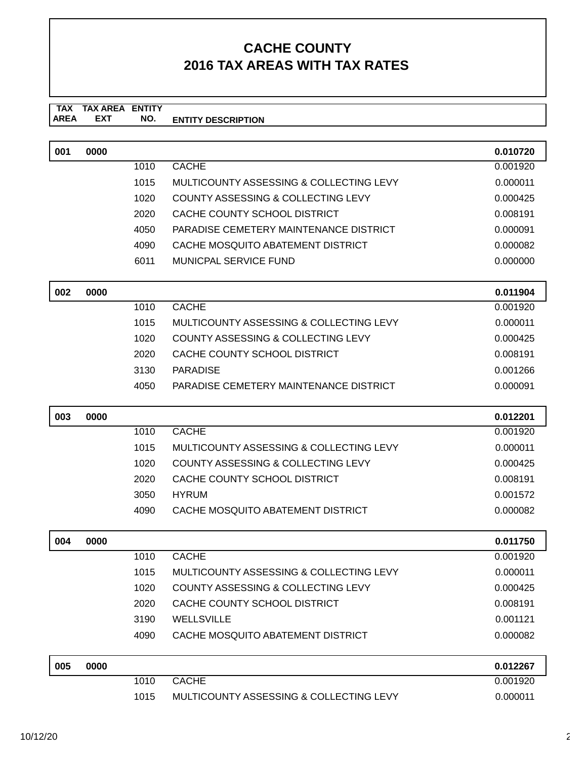#### **TAX TAX AREA ENTITY ENTITY DESCRIPTION EXT NO.**

| 001 | 0000 |      |                                               | 0.010720 |
|-----|------|------|-----------------------------------------------|----------|
|     |      | 1010 | <b>CACHE</b>                                  | 0.001920 |
|     |      | 1015 | MULTICOUNTY ASSESSING & COLLECTING LEVY       | 0.000011 |
|     |      | 1020 | COUNTY ASSESSING & COLLECTING LEVY            | 0.000425 |
|     |      | 2020 | CACHE COUNTY SCHOOL DISTRICT                  | 0.008191 |
|     |      | 4050 | PARADISE CEMETERY MAINTENANCE DISTRICT        | 0.000091 |
|     |      | 4090 | CACHE MOSQUITO ABATEMENT DISTRICT             | 0.000082 |
|     |      | 6011 | <b>MUNICPAL SERVICE FUND</b>                  | 0.000000 |
| 002 | 0000 |      |                                               | 0.011904 |
|     |      | 1010 | <b>CACHE</b>                                  | 0.001920 |
|     |      | 1015 | MULTICOUNTY ASSESSING & COLLECTING LEVY       | 0.000011 |
|     |      | 1020 | <b>COUNTY ASSESSING &amp; COLLECTING LEVY</b> | 0.000425 |
|     |      | 2020 | CACHE COUNTY SCHOOL DISTRICT                  | 0.008191 |
|     |      | 3130 | <b>PARADISE</b>                               | 0.001266 |
|     |      | 4050 | PARADISE CEMETERY MAINTENANCE DISTRICT        | 0.000091 |
| 003 | 0000 |      |                                               | 0.012201 |
|     |      | 1010 | <b>CACHE</b>                                  | 0.001920 |
|     |      | 1015 | MULTICOUNTY ASSESSING & COLLECTING LEVY       | 0.000011 |
|     |      | 1020 | COUNTY ASSESSING & COLLECTING LEVY            | 0.000425 |
|     |      | 2020 | CACHE COUNTY SCHOOL DISTRICT                  | 0.008191 |
|     |      | 3050 | <b>HYRUM</b>                                  | 0.001572 |
|     |      | 4090 | CACHE MOSQUITO ABATEMENT DISTRICT             | 0.000082 |
|     |      |      |                                               |          |
| 004 | 0000 |      |                                               | 0.011750 |
|     |      | 1010 | <b>CACHE</b>                                  | 0.001920 |
|     |      | 1015 | MULTICOUNTY ASSESSING & COLLECTING LEVY       | 0.000011 |
|     |      | 1020 | <b>COUNTY ASSESSING &amp; COLLECTING LEVY</b> | 0.000425 |
|     |      | 2020 | CACHE COUNTY SCHOOL DISTRICT                  | 0.008191 |
|     |      | 3190 | WELLSVILLE                                    | 0.001121 |
|     |      | 4090 | CACHE MOSQUITO ABATEMENT DISTRICT             | 0.000082 |
| 005 | 0000 |      |                                               | 0.012267 |
|     |      | 1010 | <b>CACHE</b>                                  | 0.001920 |
|     |      | 1015 | MULTICOUNTY ASSESSING & COLLECTING LEVY       | 0.000011 |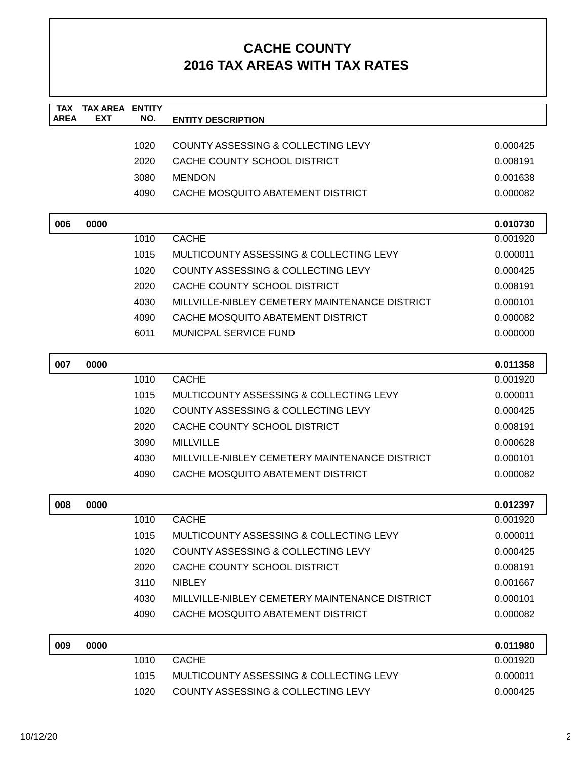| <b>TAX</b><br><b>AREA</b> | <b>TAX AREA ENTITY</b><br><b>EXT</b> | NO.  | <b>ENTITY DESCRIPTION</b>                      |          |
|---------------------------|--------------------------------------|------|------------------------------------------------|----------|
|                           |                                      |      |                                                |          |
|                           |                                      | 1020 | COUNTY ASSESSING & COLLECTING LEVY             | 0.000425 |
|                           |                                      | 2020 | CACHE COUNTY SCHOOL DISTRICT                   | 0.008191 |
|                           |                                      | 3080 | <b>MENDON</b>                                  | 0.001638 |
|                           |                                      | 4090 | CACHE MOSQUITO ABATEMENT DISTRICT              | 0.000082 |
| 006                       | 0000                                 |      |                                                | 0.010730 |
|                           |                                      | 1010 | <b>CACHE</b>                                   | 0.001920 |
|                           |                                      | 1015 | MULTICOUNTY ASSESSING & COLLECTING LEVY        | 0.000011 |
|                           |                                      | 1020 | COUNTY ASSESSING & COLLECTING LEVY             | 0.000425 |
|                           |                                      | 2020 | CACHE COUNTY SCHOOL DISTRICT                   | 0.008191 |
|                           |                                      | 4030 | MILLVILLE-NIBLEY CEMETERY MAINTENANCE DISTRICT | 0.000101 |
|                           |                                      | 4090 | CACHE MOSQUITO ABATEMENT DISTRICT              | 0.000082 |
|                           |                                      | 6011 | <b>MUNICPAL SERVICE FUND</b>                   | 0.000000 |
| 007                       | 0000                                 |      |                                                | 0.011358 |
|                           |                                      | 1010 | <b>CACHE</b>                                   | 0.001920 |
|                           |                                      | 1015 | MULTICOUNTY ASSESSING & COLLECTING LEVY        | 0.000011 |
|                           |                                      | 1020 | COUNTY ASSESSING & COLLECTING LEVY             | 0.000425 |
|                           |                                      | 2020 | CACHE COUNTY SCHOOL DISTRICT                   | 0.008191 |
|                           |                                      | 3090 | <b>MILLVILLE</b>                               | 0.000628 |
|                           |                                      | 4030 | MILLVILLE-NIBLEY CEMETERY MAINTENANCE DISTRICT | 0.000101 |
|                           |                                      | 4090 | CACHE MOSQUITO ABATEMENT DISTRICT              | 0.000082 |
| 008                       | 0000                                 |      |                                                | 0.012397 |
|                           |                                      | 1010 | <b>CACHE</b>                                   | 0.001920 |
|                           |                                      | 1015 | MULTICOUNTY ASSESSING & COLLECTING LEVY        | 0.000011 |
|                           |                                      | 1020 | <b>COUNTY ASSESSING &amp; COLLECTING LEVY</b>  | 0.000425 |
|                           |                                      | 2020 | CACHE COUNTY SCHOOL DISTRICT                   | 0.008191 |
|                           |                                      | 3110 | <b>NIBLEY</b>                                  | 0.001667 |
|                           |                                      | 4030 | MILLVILLE-NIBLEY CEMETERY MAINTENANCE DISTRICT | 0.000101 |
|                           |                                      | 4090 | CACHE MOSQUITO ABATEMENT DISTRICT              | 0.000082 |
| 009                       | 0000                                 |      |                                                | 0.011980 |
|                           |                                      | 1010 | <b>CACHE</b>                                   | 0.001920 |
|                           |                                      | 1015 | MULTICOUNTY ASSESSING & COLLECTING LEVY        | 0.000011 |
|                           |                                      | 1020 | COUNTY ASSESSING & COLLECTING LEVY             | 0.000425 |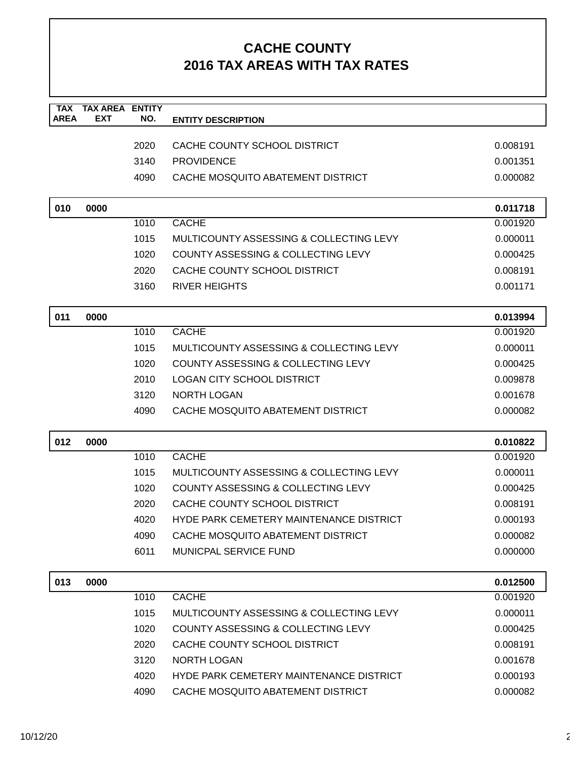| <b>TAX</b><br><b>AREA</b> | <b>TAX AREA ENTITY</b><br><b>EXT</b> | NO.  | <b>ENTITY DESCRIPTION</b>                      |          |
|---------------------------|--------------------------------------|------|------------------------------------------------|----------|
|                           |                                      |      |                                                |          |
|                           |                                      | 2020 | CACHE COUNTY SCHOOL DISTRICT                   | 0.008191 |
|                           |                                      | 3140 | <b>PROVIDENCE</b>                              | 0.001351 |
|                           |                                      | 4090 | CACHE MOSQUITO ABATEMENT DISTRICT              | 0.000082 |
| 010                       | 0000                                 |      |                                                | 0.011718 |
|                           |                                      | 1010 | <b>CACHE</b>                                   | 0.001920 |
|                           |                                      | 1015 | MULTICOUNTY ASSESSING & COLLECTING LEVY        | 0.000011 |
|                           |                                      | 1020 | COUNTY ASSESSING & COLLECTING LEVY             | 0.000425 |
|                           |                                      | 2020 | CACHE COUNTY SCHOOL DISTRICT                   | 0.008191 |
|                           |                                      | 3160 | <b>RIVER HEIGHTS</b>                           | 0.001171 |
| 011                       | 0000                                 |      |                                                | 0.013994 |
|                           |                                      | 1010 | <b>CACHE</b>                                   | 0.001920 |
|                           |                                      | 1015 | MULTICOUNTY ASSESSING & COLLECTING LEVY        | 0.000011 |
|                           |                                      | 1020 | COUNTY ASSESSING & COLLECTING LEVY             | 0.000425 |
|                           |                                      | 2010 | <b>LOGAN CITY SCHOOL DISTRICT</b>              | 0.009878 |
|                           |                                      | 3120 | <b>NORTH LOGAN</b>                             | 0.001678 |
|                           |                                      | 4090 | CACHE MOSQUITO ABATEMENT DISTRICT              | 0.000082 |
| 012                       | 0000                                 |      |                                                | 0.010822 |
|                           |                                      | 1010 | <b>CACHE</b>                                   | 0.001920 |
|                           |                                      | 1015 | MULTICOUNTY ASSESSING & COLLECTING LEVY        | 0.000011 |
|                           |                                      | 1020 | <b>COUNTY ASSESSING &amp; COLLECTING LEVY</b>  | 0.000425 |
|                           |                                      | 2020 | CACHE COUNTY SCHOOL DISTRICT                   | 0.008191 |
|                           |                                      | 4020 | <b>HYDE PARK CEMETERY MAINTENANCE DISTRICT</b> | 0.000193 |
|                           |                                      | 4090 | CACHE MOSQUITO ABATEMENT DISTRICT              | 0.000082 |
|                           |                                      | 6011 | <b>MUNICPAL SERVICE FUND</b>                   | 0.000000 |
| 013                       | 0000                                 |      |                                                | 0.012500 |
|                           |                                      | 1010 | <b>CACHE</b>                                   | 0.001920 |
|                           |                                      | 1015 | MULTICOUNTY ASSESSING & COLLECTING LEVY        | 0.000011 |
|                           |                                      | 1020 | COUNTY ASSESSING & COLLECTING LEVY             | 0.000425 |
|                           |                                      | 2020 | CACHE COUNTY SCHOOL DISTRICT                   | 0.008191 |
|                           |                                      | 3120 | <b>NORTH LOGAN</b>                             | 0.001678 |
|                           |                                      | 4020 | HYDE PARK CEMETERY MAINTENANCE DISTRICT        | 0.000193 |
|                           |                                      | 4090 | CACHE MOSQUITO ABATEMENT DISTRICT              | 0.000082 |
|                           |                                      |      |                                                |          |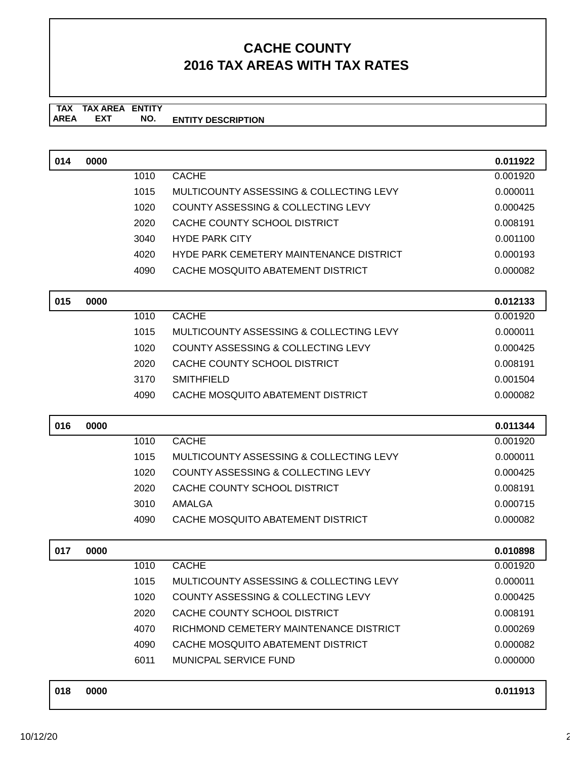**TAX TAX AREA ENTITY AREA ENTITY DESCRIPTION EXT NO.**

| 014 | 0000 |      |                                                | 0.011922 |
|-----|------|------|------------------------------------------------|----------|
|     |      | 1010 | <b>CACHE</b>                                   | 0.001920 |
|     |      | 1015 | MULTICOUNTY ASSESSING & COLLECTING LEVY        | 0.000011 |
|     |      | 1020 | COUNTY ASSESSING & COLLECTING LEVY             | 0.000425 |
|     |      | 2020 | CACHE COUNTY SCHOOL DISTRICT                   | 0.008191 |
|     |      | 3040 | <b>HYDE PARK CITY</b>                          | 0.001100 |
|     |      | 4020 | <b>HYDE PARK CEMETERY MAINTENANCE DISTRICT</b> | 0.000193 |
|     |      | 4090 | CACHE MOSQUITO ABATEMENT DISTRICT              | 0.000082 |
| 015 | 0000 |      |                                                | 0.012133 |
|     |      | 1010 | <b>CACHE</b>                                   | 0.001920 |
|     |      | 1015 | MULTICOUNTY ASSESSING & COLLECTING LEVY        | 0.000011 |
|     |      | 1020 | COUNTY ASSESSING & COLLECTING LEVY             | 0.000425 |
|     |      | 2020 | CACHE COUNTY SCHOOL DISTRICT                   | 0.008191 |
|     |      | 3170 | <b>SMITHFIELD</b>                              | 0.001504 |
|     |      | 4090 | CACHE MOSQUITO ABATEMENT DISTRICT              | 0.000082 |
| 016 | 0000 |      |                                                | 0.011344 |
|     |      | 1010 | <b>CACHE</b>                                   | 0.001920 |
|     |      | 1015 | MULTICOUNTY ASSESSING & COLLECTING LEVY        | 0.000011 |
|     |      | 1020 | COUNTY ASSESSING & COLLECTING LEVY             | 0.000425 |
|     |      | 2020 | CACHE COUNTY SCHOOL DISTRICT                   | 0.008191 |
|     |      | 3010 | AMALGA                                         | 0.000715 |
|     |      | 4090 | CACHE MOSQUITO ABATEMENT DISTRICT              | 0.000082 |
| 017 | 0000 |      |                                                | 0.010898 |
|     |      | 1010 | <b>CACHE</b>                                   | 0.001920 |
|     |      | 1015 | MULTICOUNTY ASSESSING & COLLECTING LEVY        | 0.000011 |
|     |      | 1020 | <b>COUNTY ASSESSING &amp; COLLECTING LEVY</b>  | 0.000425 |
|     |      | 2020 | CACHE COUNTY SCHOOL DISTRICT                   | 0.008191 |
|     |      | 4070 | RICHMOND CEMETERY MAINTENANCE DISTRICT         | 0.000269 |
|     |      | 4090 | CACHE MOSQUITO ABATEMENT DISTRICT              | 0.000082 |
|     |      | 6011 | MUNICPAL SERVICE FUND                          | 0.000000 |
| 018 | 0000 |      |                                                | 0.011913 |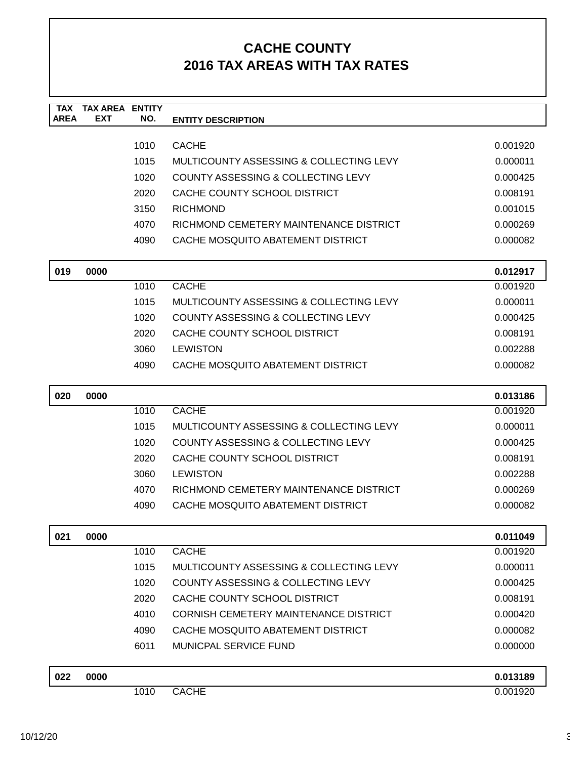| TAX<br><b>AREA</b> | TAX AREA<br><b>EXT</b> | <b>ENTITY</b><br>NO. | <b>ENTITY DESCRIPTION</b>                     |          |
|--------------------|------------------------|----------------------|-----------------------------------------------|----------|
|                    |                        |                      |                                               |          |
|                    |                        | 1010                 | <b>CACHE</b>                                  | 0.001920 |
|                    |                        | 1015                 | MULTICOUNTY ASSESSING & COLLECTING LEVY       | 0.000011 |
|                    |                        | 1020                 | COUNTY ASSESSING & COLLECTING LEVY            | 0.000425 |
|                    |                        | 2020                 | CACHE COUNTY SCHOOL DISTRICT                  | 0.008191 |
|                    |                        | 3150                 | <b>RICHMOND</b>                               | 0.001015 |
|                    |                        | 4070                 | RICHMOND CEMETERY MAINTENANCE DISTRICT        | 0.000269 |
|                    |                        | 4090                 | CACHE MOSQUITO ABATEMENT DISTRICT             | 0.000082 |
| 019                | 0000                   |                      |                                               | 0.012917 |
|                    |                        | 1010                 | <b>CACHE</b>                                  | 0.001920 |
|                    |                        | 1015                 | MULTICOUNTY ASSESSING & COLLECTING LEVY       | 0.000011 |
|                    |                        | 1020                 | <b>COUNTY ASSESSING &amp; COLLECTING LEVY</b> | 0.000425 |
|                    |                        | 2020                 | CACHE COUNTY SCHOOL DISTRICT                  | 0.008191 |
|                    |                        | 3060                 | <b>LEWISTON</b>                               | 0.002288 |
|                    |                        | 4090                 | CACHE MOSQUITO ABATEMENT DISTRICT             | 0.000082 |
| 020                | 0000                   |                      |                                               | 0.013186 |
|                    |                        | 1010                 | <b>CACHE</b>                                  | 0.001920 |
|                    |                        | 1015                 | MULTICOUNTY ASSESSING & COLLECTING LEVY       | 0.000011 |
|                    |                        | 1020                 | COUNTY ASSESSING & COLLECTING LEVY            | 0.000425 |
|                    |                        | 2020                 | CACHE COUNTY SCHOOL DISTRICT                  | 0.008191 |
|                    |                        | 3060                 | <b>LEWISTON</b>                               | 0.002288 |
|                    |                        | 4070                 | RICHMOND CEMETERY MAINTENANCE DISTRICT        | 0.000269 |
|                    |                        | 4090                 | CACHE MOSQUITO ABATEMENT DISTRICT             | 0.000082 |
| 021                | 0000                   |                      |                                               | 0.011049 |
|                    |                        | 1010                 | <b>CACHE</b>                                  | 0.001920 |
|                    |                        | 1015                 | MULTICOUNTY ASSESSING & COLLECTING LEVY       | 0.000011 |
|                    |                        | 1020                 | COUNTY ASSESSING & COLLECTING LEVY            | 0.000425 |
|                    |                        | 2020                 | CACHE COUNTY SCHOOL DISTRICT                  | 0.008191 |
|                    |                        | 4010                 | <b>CORNISH CEMETERY MAINTENANCE DISTRICT</b>  | 0.000420 |
|                    |                        | 4090                 | CACHE MOSQUITO ABATEMENT DISTRICT             | 0.000082 |
|                    |                        | 6011                 | MUNICPAL SERVICE FUND                         | 0.000000 |
| 022                | 0000                   |                      |                                               | 0.013189 |
|                    |                        | 1010                 | <b>CACHE</b>                                  | 0.001920 |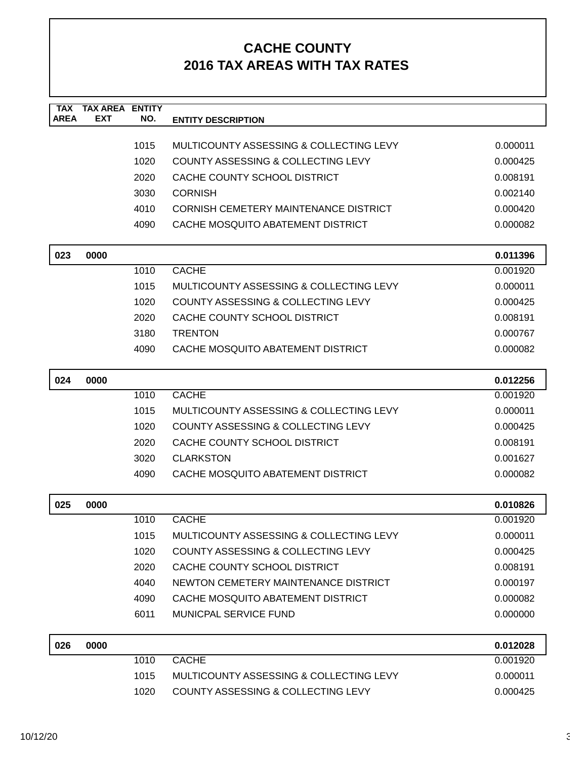| <b>TAX</b><br><b>AREA</b> | <b>TAX AREA</b><br><b>EXT</b> | <b>ENTITY</b><br>NO. | <b>ENTITY DESCRIPTION</b>                     |          |
|---------------------------|-------------------------------|----------------------|-----------------------------------------------|----------|
|                           |                               |                      |                                               |          |
|                           |                               | 1015                 | MULTICOUNTY ASSESSING & COLLECTING LEVY       | 0.000011 |
|                           |                               | 1020                 | <b>COUNTY ASSESSING &amp; COLLECTING LEVY</b> | 0.000425 |
|                           |                               | 2020                 | CACHE COUNTY SCHOOL DISTRICT                  | 0.008191 |
|                           |                               | 3030                 | <b>CORNISH</b>                                | 0.002140 |
|                           |                               | 4010                 | CORNISH CEMETERY MAINTENANCE DISTRICT         | 0.000420 |
|                           |                               | 4090                 | CACHE MOSQUITO ABATEMENT DISTRICT             | 0.000082 |
| 023                       | 0000                          |                      |                                               | 0.011396 |
|                           |                               | 1010                 | <b>CACHE</b>                                  | 0.001920 |
|                           |                               | 1015                 | MULTICOUNTY ASSESSING & COLLECTING LEVY       | 0.000011 |
|                           |                               | 1020                 | COUNTY ASSESSING & COLLECTING LEVY            | 0.000425 |
|                           |                               | 2020                 | CACHE COUNTY SCHOOL DISTRICT                  | 0.008191 |
|                           |                               | 3180                 | <b>TRENTON</b>                                | 0.000767 |
|                           |                               | 4090                 | CACHE MOSQUITO ABATEMENT DISTRICT             | 0.000082 |
|                           |                               |                      |                                               |          |
| 024                       | 0000                          |                      |                                               | 0.012256 |
|                           |                               | 1010                 | <b>CACHE</b>                                  | 0.001920 |
|                           |                               | 1015                 | MULTICOUNTY ASSESSING & COLLECTING LEVY       | 0.000011 |
|                           |                               | 1020                 | COUNTY ASSESSING & COLLECTING LEVY            | 0.000425 |
|                           |                               | 2020                 | CACHE COUNTY SCHOOL DISTRICT                  | 0.008191 |
|                           |                               | 3020                 | <b>CLARKSTON</b>                              | 0.001627 |
|                           |                               | 4090                 | CACHE MOSQUITO ABATEMENT DISTRICT             | 0.000082 |
| 025                       | 0000                          |                      |                                               | 0.010826 |
|                           |                               | 1010                 | <b>CACHE</b>                                  | 0.001920 |
|                           |                               | 1015                 | MULTICOUNTY ASSESSING & COLLECTING LEVY       | 0.000011 |
|                           |                               | 1020                 | COUNTY ASSESSING & COLLECTING LEVY            | 0.000425 |
|                           |                               | 2020                 | CACHE COUNTY SCHOOL DISTRICT                  | 0.008191 |
|                           |                               | 4040                 | NEWTON CEMETERY MAINTENANCE DISTRICT          | 0.000197 |
|                           |                               | 4090                 | CACHE MOSQUITO ABATEMENT DISTRICT             | 0.000082 |
|                           |                               | 6011                 | <b>MUNICPAL SERVICE FUND</b>                  | 0.000000 |
| 026                       | 0000                          |                      |                                               | 0.012028 |
|                           |                               | 1010                 | <b>CACHE</b>                                  | 0.001920 |
|                           |                               | 1015                 | MULTICOUNTY ASSESSING & COLLECTING LEVY       | 0.000011 |
|                           |                               | 1020                 | COUNTY ASSESSING & COLLECTING LEVY            | 0.000425 |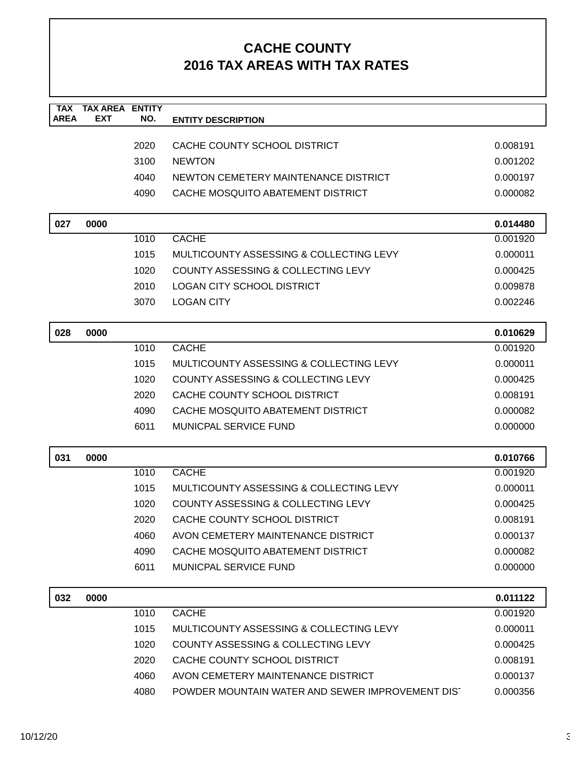| <b>TAX</b><br><b>AREA</b> | <b>TAX AREA ENTITY</b><br><b>EXT</b> | NO.  | <b>ENTITY DESCRIPTION</b>                        |          |
|---------------------------|--------------------------------------|------|--------------------------------------------------|----------|
|                           |                                      |      |                                                  |          |
|                           |                                      | 2020 | CACHE COUNTY SCHOOL DISTRICT                     | 0.008191 |
|                           |                                      | 3100 | <b>NEWTON</b>                                    | 0.001202 |
|                           |                                      | 4040 | NEWTON CEMETERY MAINTENANCE DISTRICT             | 0.000197 |
|                           |                                      | 4090 | CACHE MOSQUITO ABATEMENT DISTRICT                | 0.000082 |
| 027                       | 0000                                 |      |                                                  | 0.014480 |
|                           |                                      | 1010 | <b>CACHE</b>                                     | 0.001920 |
|                           |                                      | 1015 | MULTICOUNTY ASSESSING & COLLECTING LEVY          | 0.000011 |
|                           |                                      | 1020 | COUNTY ASSESSING & COLLECTING LEVY               | 0.000425 |
|                           |                                      | 2010 | <b>LOGAN CITY SCHOOL DISTRICT</b>                | 0.009878 |
|                           |                                      | 3070 | <b>LOGAN CITY</b>                                | 0.002246 |
| 028                       | 0000                                 |      |                                                  | 0.010629 |
|                           |                                      | 1010 | <b>CACHE</b>                                     | 0.001920 |
|                           |                                      | 1015 | MULTICOUNTY ASSESSING & COLLECTING LEVY          | 0.000011 |
|                           |                                      | 1020 | COUNTY ASSESSING & COLLECTING LEVY               | 0.000425 |
|                           |                                      | 2020 | CACHE COUNTY SCHOOL DISTRICT                     | 0.008191 |
|                           |                                      | 4090 | CACHE MOSQUITO ABATEMENT DISTRICT                | 0.000082 |
|                           |                                      | 6011 | MUNICPAL SERVICE FUND                            | 0.000000 |
| 031                       | 0000                                 |      |                                                  | 0.010766 |
|                           |                                      | 1010 | <b>CACHE</b>                                     | 0.001920 |
|                           |                                      | 1015 | MULTICOUNTY ASSESSING & COLLECTING LEVY          | 0.000011 |
|                           |                                      | 1020 | COUNTY ASSESSING & COLLECTING LEVY               | 0.000425 |
|                           |                                      | 2020 | CACHE COUNTY SCHOOL DISTRICT                     | 0.008191 |
|                           |                                      | 4060 | AVON CEMETERY MAINTENANCE DISTRICT               | 0.000137 |
|                           |                                      | 4090 | CACHE MOSQUITO ABATEMENT DISTRICT                | 0.000082 |
|                           |                                      | 6011 | <b>MUNICPAL SERVICE FUND</b>                     | 0.000000 |
| 032                       | 0000                                 |      |                                                  | 0.011122 |
|                           |                                      | 1010 | <b>CACHE</b>                                     | 0.001920 |
|                           |                                      | 1015 | MULTICOUNTY ASSESSING & COLLECTING LEVY          | 0.000011 |
|                           |                                      | 1020 | COUNTY ASSESSING & COLLECTING LEVY               | 0.000425 |
|                           |                                      | 2020 | CACHE COUNTY SCHOOL DISTRICT                     | 0.008191 |
|                           |                                      | 4060 | AVON CEMETERY MAINTENANCE DISTRICT               | 0.000137 |
|                           |                                      | 4080 | POWDER MOUNTAIN WATER AND SEWER IMPROVEMENT DIST | 0.000356 |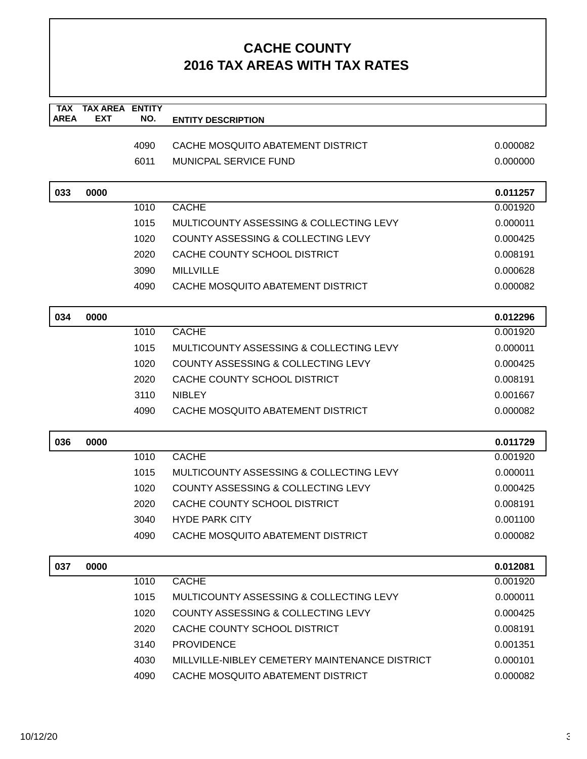| <b>TAX</b>  | <b>TAX AREA ENTITY</b> |      |                                                |          |
|-------------|------------------------|------|------------------------------------------------|----------|
| <b>AREA</b> | <b>EXT</b>             | NO.  | <b>ENTITY DESCRIPTION</b>                      |          |
|             |                        | 4090 | CACHE MOSQUITO ABATEMENT DISTRICT              | 0.000082 |
|             |                        | 6011 | <b>MUNICPAL SERVICE FUND</b>                   | 0.000000 |
|             |                        |      |                                                |          |
| 033         | 0000                   |      |                                                | 0.011257 |
|             |                        | 1010 | <b>CACHE</b>                                   | 0.001920 |
|             |                        | 1015 | MULTICOUNTY ASSESSING & COLLECTING LEVY        | 0.000011 |
|             |                        | 1020 | <b>COUNTY ASSESSING &amp; COLLECTING LEVY</b>  | 0.000425 |
|             |                        | 2020 | CACHE COUNTY SCHOOL DISTRICT                   | 0.008191 |
|             |                        | 3090 | <b>MILLVILLE</b>                               | 0.000628 |
|             |                        | 4090 | CACHE MOSQUITO ABATEMENT DISTRICT              | 0.000082 |
|             |                        |      |                                                |          |
| 034         | 0000                   |      |                                                | 0.012296 |
|             |                        | 1010 | <b>CACHE</b>                                   | 0.001920 |
|             |                        | 1015 | MULTICOUNTY ASSESSING & COLLECTING LEVY        | 0.000011 |
|             |                        | 1020 | <b>COUNTY ASSESSING &amp; COLLECTING LEVY</b>  | 0.000425 |
|             |                        | 2020 | CACHE COUNTY SCHOOL DISTRICT                   | 0.008191 |
|             |                        | 3110 | <b>NIBLEY</b>                                  | 0.001667 |
|             |                        | 4090 | CACHE MOSQUITO ABATEMENT DISTRICT              | 0.000082 |
| 036         | 0000                   |      |                                                | 0.011729 |
|             |                        | 1010 | <b>CACHE</b>                                   | 0.001920 |
|             |                        | 1015 | MULTICOUNTY ASSESSING & COLLECTING LEVY        | 0.000011 |
|             |                        | 1020 | COUNTY ASSESSING & COLLECTING LEVY             | 0.000425 |
|             |                        | 2020 | CACHE COUNTY SCHOOL DISTRICT                   | 0.008191 |
|             |                        | 3040 | <b>HYDE PARK CITY</b>                          | 0.001100 |
|             |                        | 4090 | CACHE MOSQUITO ABATEMENT DISTRICT              | 0.000082 |
| 037         | 0000                   |      |                                                | 0.012081 |
|             |                        | 1010 | <b>CACHE</b>                                   | 0.001920 |
|             |                        | 1015 | MULTICOUNTY ASSESSING & COLLECTING LEVY        | 0.000011 |
|             |                        | 1020 | <b>COUNTY ASSESSING &amp; COLLECTING LEVY</b>  | 0.000425 |
|             |                        | 2020 | CACHE COUNTY SCHOOL DISTRICT                   | 0.008191 |
|             |                        | 3140 | <b>PROVIDENCE</b>                              | 0.001351 |
|             |                        | 4030 | MILLVILLE-NIBLEY CEMETERY MAINTENANCE DISTRICT | 0.000101 |
|             |                        | 4090 | CACHE MOSQUITO ABATEMENT DISTRICT              | 0.000082 |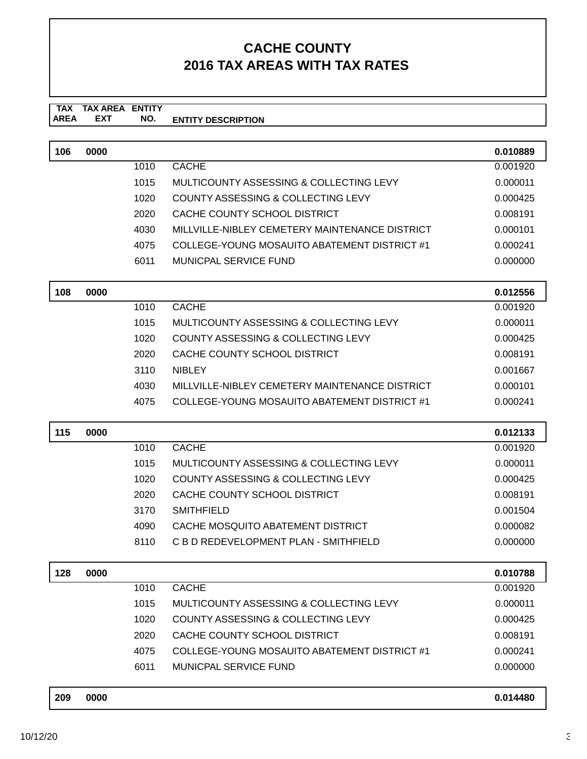#### **TAX TAX AREA ENTITY ENTITY DESCRIPTION** AREA EXT  **NO.**

| 106 | 0000 |      |                                                | 0.010889 |
|-----|------|------|------------------------------------------------|----------|
|     |      | 1010 | <b>CACHE</b>                                   | 0.001920 |
|     |      | 1015 | MULTICOUNTY ASSESSING & COLLECTING LEVY        | 0.000011 |
|     |      | 1020 | <b>COUNTY ASSESSING &amp; COLLECTING LEVY</b>  | 0.000425 |
|     |      | 2020 | CACHE COUNTY SCHOOL DISTRICT                   | 0.008191 |
|     |      | 4030 | MILLVILLE-NIBLEY CEMETERY MAINTENANCE DISTRICT | 0.000101 |
|     |      | 4075 | COLLEGE-YOUNG MOSAUITO ABATEMENT DISTRICT #1   | 0.000241 |
|     |      | 6011 | MUNICPAL SERVICE FUND                          | 0.000000 |
| 108 | 0000 |      |                                                | 0.012556 |
|     |      | 1010 | <b>CACHE</b>                                   | 0.001920 |
|     |      | 1015 | MULTICOUNTY ASSESSING & COLLECTING LEVY        | 0.000011 |
|     |      | 1020 | COUNTY ASSESSING & COLLECTING LEVY             | 0.000425 |
|     |      | 2020 | CACHE COUNTY SCHOOL DISTRICT                   | 0.008191 |
|     |      | 3110 | <b>NIBLEY</b>                                  | 0.001667 |
|     |      | 4030 | MILLVILLE-NIBLEY CEMETERY MAINTENANCE DISTRICT | 0.000101 |
|     |      | 4075 | COLLEGE-YOUNG MOSAUITO ABATEMENT DISTRICT #1   | 0.000241 |
|     |      |      |                                                |          |
| 115 | 0000 |      |                                                | 0.012133 |
|     |      | 1010 | <b>CACHE</b>                                   | 0.001920 |
|     |      | 1015 | MULTICOUNTY ASSESSING & COLLECTING LEVY        | 0.000011 |
|     |      | 1020 | COUNTY ASSESSING & COLLECTING LEVY             | 0.000425 |
|     |      | 2020 | CACHE COUNTY SCHOOL DISTRICT                   | 0.008191 |
|     |      | 3170 | <b>SMITHFIELD</b>                              | 0.001504 |
|     |      | 4090 | CACHE MOSQUITO ABATEMENT DISTRICT              | 0.000082 |
|     |      | 8110 | C B D REDEVELOPMENT PLAN - SMITHFIELD          | 0.000000 |
| 128 | 0000 |      |                                                | 0.010788 |
|     |      | 1010 | <b>CACHE</b>                                   | 0.001920 |
|     |      | 1015 | MULTICOUNTY ASSESSING & COLLECTING LEVY        | 0.000011 |
|     |      | 1020 | <b>COUNTY ASSESSING &amp; COLLECTING LEVY</b>  | 0.000425 |
|     |      | 2020 | CACHE COUNTY SCHOOL DISTRICT                   | 0.008191 |
|     |      | 4075 | COLLEGE-YOUNG MOSAUITO ABATEMENT DISTRICT #1   | 0.000241 |
|     |      | 6011 | <b>MUNICPAL SERVICE FUND</b>                   | 0.000000 |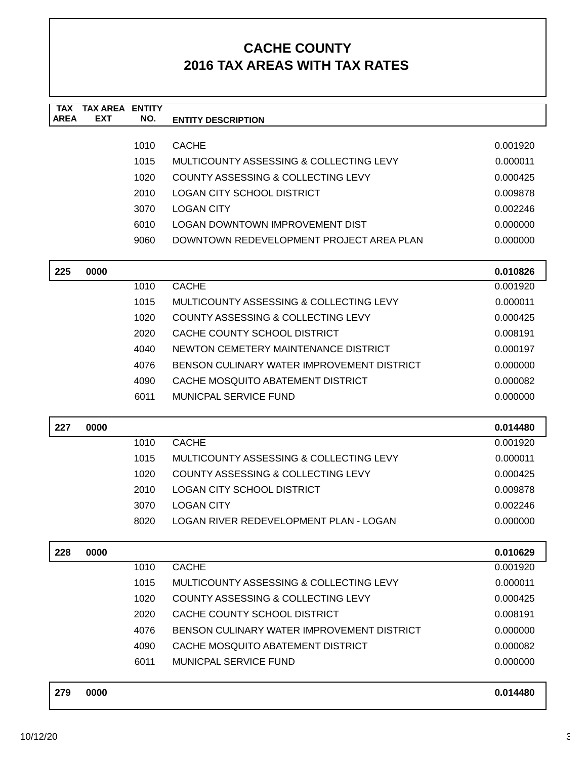| <b>TAX</b><br><b>AREA</b> | <b>TAX AREA</b><br><b>EXT</b> | <b>ENTITY</b><br>NO. | <b>ENTITY DESCRIPTION</b>                     |          |
|---------------------------|-------------------------------|----------------------|-----------------------------------------------|----------|
|                           |                               |                      |                                               |          |
|                           |                               | 1010                 | <b>CACHE</b>                                  | 0.001920 |
|                           |                               | 1015                 | MULTICOUNTY ASSESSING & COLLECTING LEVY       | 0.000011 |
|                           |                               | 1020                 | COUNTY ASSESSING & COLLECTING LEVY            | 0.000425 |
|                           |                               | 2010                 | <b>LOGAN CITY SCHOOL DISTRICT</b>             | 0.009878 |
|                           |                               | 3070                 | <b>LOGAN CITY</b>                             | 0.002246 |
|                           |                               | 6010                 | <b>LOGAN DOWNTOWN IMPROVEMENT DIST</b>        | 0.000000 |
|                           |                               | 9060                 | DOWNTOWN REDEVELOPMENT PROJECT AREA PLAN      | 0.000000 |
| 225                       | 0000                          |                      |                                               | 0.010826 |
|                           |                               | 1010                 | <b>CACHE</b>                                  | 0.001920 |
|                           |                               | 1015                 | MULTICOUNTY ASSESSING & COLLECTING LEVY       | 0.000011 |
|                           |                               | 1020                 | <b>COUNTY ASSESSING &amp; COLLECTING LEVY</b> | 0.000425 |
|                           |                               | 2020                 | CACHE COUNTY SCHOOL DISTRICT                  | 0.008191 |
|                           |                               | 4040                 | NEWTON CEMETERY MAINTENANCE DISTRICT          | 0.000197 |
|                           |                               | 4076                 | BENSON CULINARY WATER IMPROVEMENT DISTRICT    | 0.000000 |
|                           |                               | 4090                 | CACHE MOSQUITO ABATEMENT DISTRICT             | 0.000082 |
|                           |                               | 6011                 | <b>MUNICPAL SERVICE FUND</b>                  | 0.000000 |
| 227                       | 0000                          |                      |                                               | 0.014480 |
|                           |                               | 1010                 | <b>CACHE</b>                                  | 0.001920 |
|                           |                               | 1015                 | MULTICOUNTY ASSESSING & COLLECTING LEVY       | 0.000011 |
|                           |                               | 1020                 | COUNTY ASSESSING & COLLECTING LEVY            | 0.000425 |
|                           |                               | 2010                 | <b>LOGAN CITY SCHOOL DISTRICT</b>             | 0.009878 |
|                           |                               | 3070                 | <b>LOGAN CITY</b>                             | 0.002246 |
|                           |                               | 8020                 | LOGAN RIVER REDEVELOPMENT PLAN - LOGAN        | 0.000000 |
| 228                       | 0000                          |                      |                                               | 0.010629 |
|                           |                               | 1010                 | <b>CACHE</b>                                  | 0.001920 |
|                           |                               | 1015                 | MULTICOUNTY ASSESSING & COLLECTING LEVY       | 0.000011 |
|                           |                               | 1020                 | COUNTY ASSESSING & COLLECTING LEVY            | 0.000425 |
|                           |                               | 2020                 | CACHE COUNTY SCHOOL DISTRICT                  | 0.008191 |
|                           |                               | 4076                 | BENSON CULINARY WATER IMPROVEMENT DISTRICT    | 0.000000 |
|                           |                               | 4090                 | CACHE MOSQUITO ABATEMENT DISTRICT             | 0.000082 |
|                           |                               | 6011                 | <b>MUNICPAL SERVICE FUND</b>                  | 0.000000 |
| 279                       | 0000                          |                      |                                               | 0.014480 |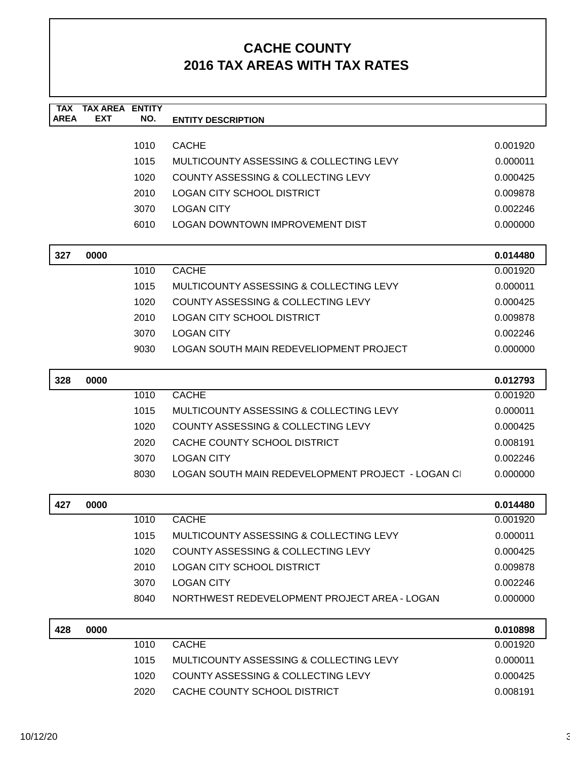| <b>TAX</b><br><b>AREA</b> | <b>TAX AREA ENTITY</b><br><b>EXT</b> | NO.  | <b>ENTITY DESCRIPTION</b>                        |          |
|---------------------------|--------------------------------------|------|--------------------------------------------------|----------|
|                           |                                      |      |                                                  |          |
|                           |                                      | 1010 | <b>CACHE</b>                                     | 0.001920 |
|                           |                                      | 1015 | MULTICOUNTY ASSESSING & COLLECTING LEVY          | 0.000011 |
|                           |                                      | 1020 | COUNTY ASSESSING & COLLECTING LEVY               | 0.000425 |
|                           |                                      | 2010 | <b>LOGAN CITY SCHOOL DISTRICT</b>                | 0.009878 |
|                           |                                      | 3070 | <b>LOGAN CITY</b>                                | 0.002246 |
|                           |                                      | 6010 | LOGAN DOWNTOWN IMPROVEMENT DIST                  | 0.000000 |
| 327                       | 0000                                 |      |                                                  | 0.014480 |
|                           |                                      | 1010 | <b>CACHE</b>                                     | 0.001920 |
|                           |                                      | 1015 | MULTICOUNTY ASSESSING & COLLECTING LEVY          | 0.000011 |
|                           |                                      | 1020 | COUNTY ASSESSING & COLLECTING LEVY               | 0.000425 |
|                           |                                      | 2010 | <b>LOGAN CITY SCHOOL DISTRICT</b>                | 0.009878 |
|                           |                                      | 3070 | <b>LOGAN CITY</b>                                | 0.002246 |
|                           |                                      | 9030 | LOGAN SOUTH MAIN REDEVELIOPMENT PROJECT          | 0.000000 |
| 328                       | 0000                                 |      |                                                  | 0.012793 |
|                           |                                      | 1010 | <b>CACHE</b>                                     | 0.001920 |
|                           |                                      | 1015 | MULTICOUNTY ASSESSING & COLLECTING LEVY          | 0.000011 |
|                           |                                      | 1020 | COUNTY ASSESSING & COLLECTING LEVY               | 0.000425 |
|                           |                                      | 2020 | CACHE COUNTY SCHOOL DISTRICT                     | 0.008191 |
|                           |                                      | 3070 | <b>LOGAN CITY</b>                                | 0.002246 |
|                           |                                      | 8030 | LOGAN SOUTH MAIN REDEVELOPMENT PROJECT - LOGAN C | 0.000000 |
| 427                       | 0000                                 |      |                                                  | 0.014480 |
|                           |                                      | 1010 | <b>CACHE</b>                                     | 0.001920 |
|                           |                                      | 1015 | MULTICOUNTY ASSESSING & COLLECTING LEVY          | 0.000011 |
|                           |                                      | 1020 | COUNTY ASSESSING & COLLECTING LEVY               | 0.000425 |
|                           |                                      | 2010 | <b>LOGAN CITY SCHOOL DISTRICT</b>                | 0.009878 |
|                           |                                      | 3070 | <b>LOGAN CITY</b>                                | 0.002246 |
|                           |                                      | 8040 | NORTHWEST REDEVELOPMENT PROJECT AREA - LOGAN     | 0.000000 |
| 428                       | 0000                                 |      |                                                  | 0.010898 |
|                           |                                      | 1010 | <b>CACHE</b>                                     | 0.001920 |
|                           |                                      | 1015 | MULTICOUNTY ASSESSING & COLLECTING LEVY          | 0.000011 |
|                           |                                      | 1020 | COUNTY ASSESSING & COLLECTING LEVY               | 0.000425 |
|                           |                                      | 2020 | CACHE COUNTY SCHOOL DISTRICT                     | 0.008191 |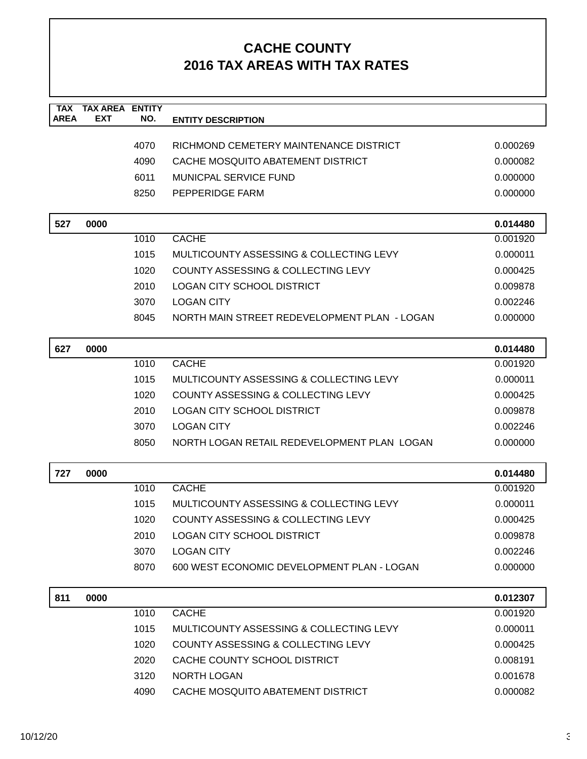| <b>TAX</b><br><b>AREA</b> | <b>TAX AREA</b><br><b>EXT</b> | <b>ENTITY</b><br>NO. | <b>ENTITY DESCRIPTION</b>                     |          |
|---------------------------|-------------------------------|----------------------|-----------------------------------------------|----------|
|                           |                               |                      |                                               |          |
|                           |                               | 4070                 | RICHMOND CEMETERY MAINTENANCE DISTRICT        | 0.000269 |
|                           |                               | 4090                 | CACHE MOSQUITO ABATEMENT DISTRICT             | 0.000082 |
|                           |                               | 6011                 | <b>MUNICPAL SERVICE FUND</b>                  | 0.000000 |
|                           |                               | 8250                 | PEPPERIDGE FARM                               | 0.000000 |
|                           |                               |                      |                                               |          |
| 527                       | 0000                          |                      |                                               | 0.014480 |
|                           |                               | 1010                 | <b>CACHE</b>                                  | 0.001920 |
|                           |                               | 1015                 | MULTICOUNTY ASSESSING & COLLECTING LEVY       | 0.000011 |
|                           |                               | 1020                 | <b>COUNTY ASSESSING &amp; COLLECTING LEVY</b> | 0.000425 |
|                           |                               | 2010                 | <b>LOGAN CITY SCHOOL DISTRICT</b>             | 0.009878 |
|                           |                               | 3070                 | <b>LOGAN CITY</b>                             | 0.002246 |
|                           |                               | 8045                 | NORTH MAIN STREET REDEVELOPMENT PLAN - LOGAN  | 0.000000 |
|                           |                               |                      |                                               |          |
| 627                       | 0000                          |                      |                                               | 0.014480 |
|                           |                               | 1010                 | <b>CACHE</b>                                  | 0.001920 |
|                           |                               | 1015                 | MULTICOUNTY ASSESSING & COLLECTING LEVY       | 0.000011 |
|                           |                               | 1020                 | COUNTY ASSESSING & COLLECTING LEVY            | 0.000425 |
|                           |                               | 2010                 | <b>LOGAN CITY SCHOOL DISTRICT</b>             | 0.009878 |
|                           |                               | 3070                 | <b>LOGAN CITY</b>                             | 0.002246 |
|                           |                               | 8050                 | NORTH LOGAN RETAIL REDEVELOPMENT PLAN LOGAN   | 0.000000 |
|                           |                               |                      |                                               |          |
| 727                       | 0000                          |                      |                                               | 0.014480 |
|                           |                               | 1010                 | <b>CACHE</b>                                  | 0.001920 |
|                           |                               | 1015                 | MULTICOUNTY ASSESSING & COLLECTING LEVY       | 0.000011 |
|                           |                               | 1020                 | <b>COUNTY ASSESSING &amp; COLLECTING LEVY</b> | 0.000425 |
|                           |                               | 2010                 | LOGAN CITY SCHOOL DISTRICT                    | 0.009878 |
|                           |                               | 3070                 | <b>LOGAN CITY</b>                             | 0.002246 |
|                           |                               | 8070                 | 600 WEST ECONOMIC DEVELOPMENT PLAN - LOGAN    | 0.000000 |
| 811                       | 0000                          |                      |                                               | 0.012307 |
|                           |                               | 1010                 | <b>CACHE</b>                                  | 0.001920 |
|                           |                               | 1015                 | MULTICOUNTY ASSESSING & COLLECTING LEVY       | 0.000011 |
|                           |                               | 1020                 | COUNTY ASSESSING & COLLECTING LEVY            | 0.000425 |
|                           |                               | 2020                 | CACHE COUNTY SCHOOL DISTRICT                  | 0.008191 |
|                           |                               | 3120                 | <b>NORTH LOGAN</b>                            | 0.001678 |
|                           |                               | 4090                 | CACHE MOSQUITO ABATEMENT DISTRICT             | 0.000082 |
|                           |                               |                      |                                               |          |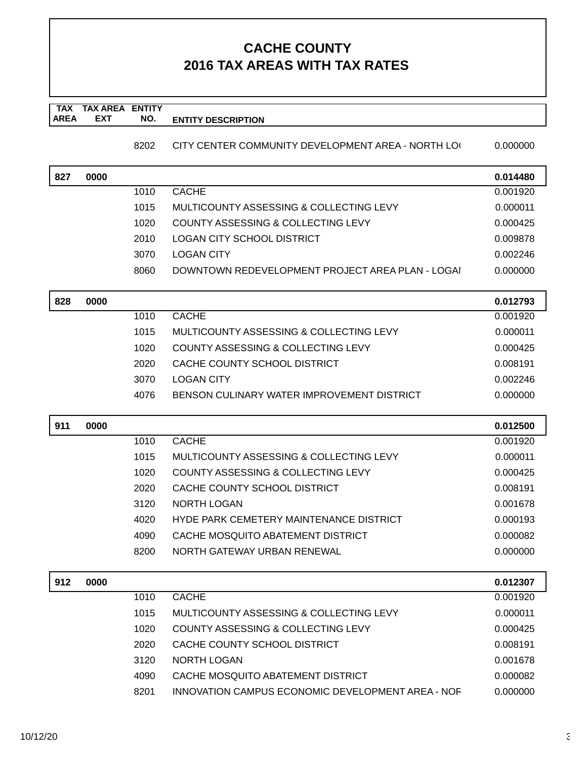#### **TAX TAX AREA ENTITY AREA ENTITY DESCRIPTION EXT NO.**

#### 8202 CITY CENTER COMMUNITY DEVELOPMENT AREA - NORTH LOG 0.000000

| 827 | 0000 |      |                                                  | 0.014480 |
|-----|------|------|--------------------------------------------------|----------|
|     |      | 1010 | <b>CACHE</b>                                     | 0.001920 |
|     |      | 1015 | MULTICOUNTY ASSESSING & COLLECTING LEVY          | 0.000011 |
|     |      | 1020 | COUNTY ASSESSING & COLLECTING LEVY               | 0.000425 |
|     |      | 2010 | <b>LOGAN CITY SCHOOL DISTRICT</b>                | 0.009878 |
|     |      | 3070 | <b>LOGAN CITY</b>                                | 0.002246 |
|     |      | 8060 | DOWNTOWN REDEVELOPMENT PROJECT AREA PLAN - LOGAI | 0.000000 |
|     |      |      |                                                  |          |
| 828 | 0000 |      |                                                  | 0.012793 |
|     |      | 1010 | <b>CACHE</b>                                     | 0.001920 |
|     |      | 1015 | MULTICOUNTY ASSESSING & COLLECTING LEVY          | 0.000011 |
|     |      | 1020 | COUNTY ASSESSING & COLLECTING LEVY               | 0.000425 |
|     |      | 2020 | CACHE COUNTY SCHOOL DISTRICT                     | 0.008191 |
|     |      | 3070 | <b>LOGAN CITY</b>                                | 0.002246 |
|     |      | 4076 | BENSON CULINARY WATER IMPROVEMENT DISTRICT       | 0.000000 |
| 911 | 0000 |      |                                                  | 0.012500 |
|     |      | 1010 | <b>CACHE</b>                                     | 0.001920 |
|     |      | 1015 | MULTICOUNTY ASSESSING & COLLECTING LEVY          | 0.000011 |
|     |      | 1020 | COUNTY ASSESSING & COLLECTING LEVY               | 0.000425 |
|     |      | 2020 | CACHE COUNTY SCHOOL DISTRICT                     | 0.008191 |
|     |      | 3120 | NORTH LOGAN                                      | 0.001678 |
|     |      | 4020 | HYDE PARK CEMETERY MAINTENANCE DISTRICT          | 0.000193 |
|     |      | 4090 | CACHE MOSQUITO ABATEMENT DISTRICT                | 0.000082 |
|     |      | 8200 | NORTH GATEWAY URBAN RENEWAL                      | 0.000000 |
|     |      |      |                                                  |          |
| 912 | 0000 |      |                                                  | 0.012307 |
|     |      | 1010 | <b>CACHE</b>                                     | 0.001920 |
|     |      | 1015 | MULTICOUNTY ASSESSING & COLLECTING LEVY          | 0.000011 |
|     |      | 1020 | COUNTY ASSESSING & COLLECTING LEVY               | 0.000425 |
|     |      | 2020 | CACHE COUNTY SCHOOL DISTRICT                     | 0.008191 |
|     |      | 3120 | <b>NORTH LOGAN</b>                               | 0.001678 |
|     |      | 4090 | CACHE MOSQUITO ABATEMENT DISTRICT                | 0.000082 |

8201 INNOVATION CAMPUS ECONOMIC DEVELOPMENT AREA - NOF 0.000000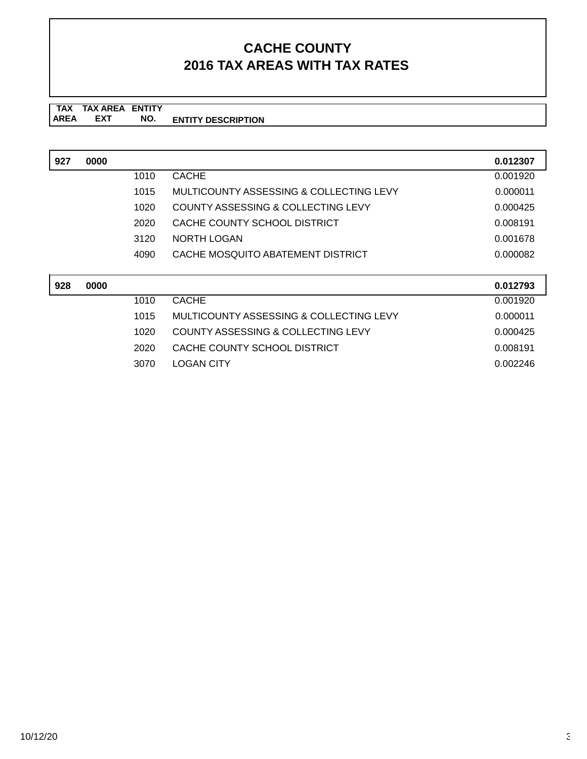#### **TAX TAX AREA ENTITY AREA ENTITY DESCRIPTION EXT NO.**

| 927 | 0000 |      |                                         | 0.012307 |
|-----|------|------|-----------------------------------------|----------|
|     |      | 1010 | <b>CACHE</b>                            | 0.001920 |
|     |      | 1015 | MULTICOUNTY ASSESSING & COLLECTING LEVY | 0.000011 |
|     |      | 1020 | COUNTY ASSESSING & COLLECTING LEVY      | 0.000425 |
|     |      | 2020 | CACHE COUNTY SCHOOL DISTRICT            | 0.008191 |
|     |      | 3120 | NORTH LOGAN                             | 0.001678 |
|     |      | 4090 | CACHE MOSQUITO ABATEMENT DISTRICT       | 0.000082 |
|     |      |      |                                         |          |
| 928 | 0000 |      |                                         | 0.012793 |
|     |      | 1010 | <b>CACHE</b>                            | 0.001920 |
|     |      | 1015 | MULTICOUNTY ASSESSING & COLLECTING LEVY | 0.000011 |
|     |      | 1020 | COUNTY ASSESSING & COLLECTING LEVY      | 0.000425 |

2020 CACHE COUNTY SCHOOL DISTRICT 0.008191 3070 LOGAN CITY 0.002246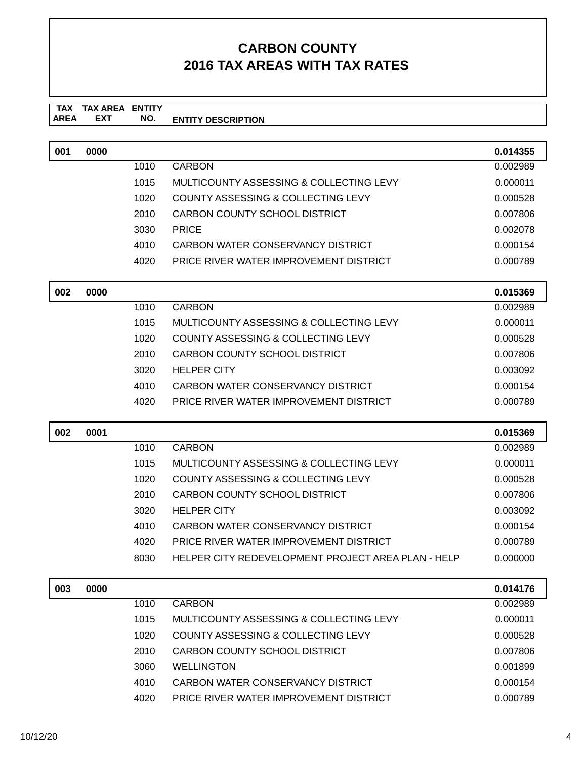| 001 | 0000 |      |                                                    | 0.014355 |
|-----|------|------|----------------------------------------------------|----------|
|     |      | 1010 | <b>CARBON</b>                                      | 0.002989 |
|     |      | 1015 | MULTICOUNTY ASSESSING & COLLECTING LEVY            | 0.000011 |
|     |      | 1020 | COUNTY ASSESSING & COLLECTING LEVY                 | 0.000528 |
|     |      | 2010 | <b>CARBON COUNTY SCHOOL DISTRICT</b>               | 0.007806 |
|     |      | 3030 | <b>PRICE</b>                                       | 0.002078 |
|     |      | 4010 | CARBON WATER CONSERVANCY DISTRICT                  | 0.000154 |
|     |      | 4020 | PRICE RIVER WATER IMPROVEMENT DISTRICT             | 0.000789 |
| 002 | 0000 |      |                                                    | 0.015369 |
|     |      | 1010 | <b>CARBON</b>                                      | 0.002989 |
|     |      | 1015 | MULTICOUNTY ASSESSING & COLLECTING LEVY            | 0.000011 |
|     |      | 1020 | COUNTY ASSESSING & COLLECTING LEVY                 | 0.000528 |
|     |      | 2010 | CARBON COUNTY SCHOOL DISTRICT                      | 0.007806 |
|     |      | 3020 | <b>HELPER CITY</b>                                 | 0.003092 |
|     |      | 4010 | CARBON WATER CONSERVANCY DISTRICT                  | 0.000154 |
|     |      | 4020 | PRICE RIVER WATER IMPROVEMENT DISTRICT             | 0.000789 |
|     |      |      |                                                    |          |
|     |      |      |                                                    |          |
| 002 | 0001 |      |                                                    | 0.015369 |
|     |      | 1010 | <b>CARBON</b>                                      | 0.002989 |
|     |      | 1015 | MULTICOUNTY ASSESSING & COLLECTING LEVY            | 0.000011 |
|     |      | 1020 | <b>COUNTY ASSESSING &amp; COLLECTING LEVY</b>      | 0.000528 |
|     |      | 2010 | CARBON COUNTY SCHOOL DISTRICT                      | 0.007806 |
|     |      | 3020 | <b>HELPER CITY</b>                                 | 0.003092 |
|     |      | 4010 | CARBON WATER CONSERVANCY DISTRICT                  | 0.000154 |
|     |      | 4020 | PRICE RIVER WATER IMPROVEMENT DISTRICT             | 0.000789 |
|     |      | 8030 | HELPER CITY REDEVELOPMENT PROJECT AREA PLAN - HELP | 0.000000 |
| 003 | 0000 |      |                                                    | 0.014176 |
|     |      | 1010 | <b>CARBON</b>                                      | 0.002989 |
|     |      | 1015 | MULTICOUNTY ASSESSING & COLLECTING LEVY            | 0.000011 |
|     |      | 1020 | COUNTY ASSESSING & COLLECTING LEVY                 | 0.000528 |
|     |      | 2010 | CARBON COUNTY SCHOOL DISTRICT                      | 0.007806 |
|     |      | 3060 | <b>WELLINGTON</b>                                  | 0.001899 |
|     |      | 4010 | CARBON WATER CONSERVANCY DISTRICT                  | 0.000154 |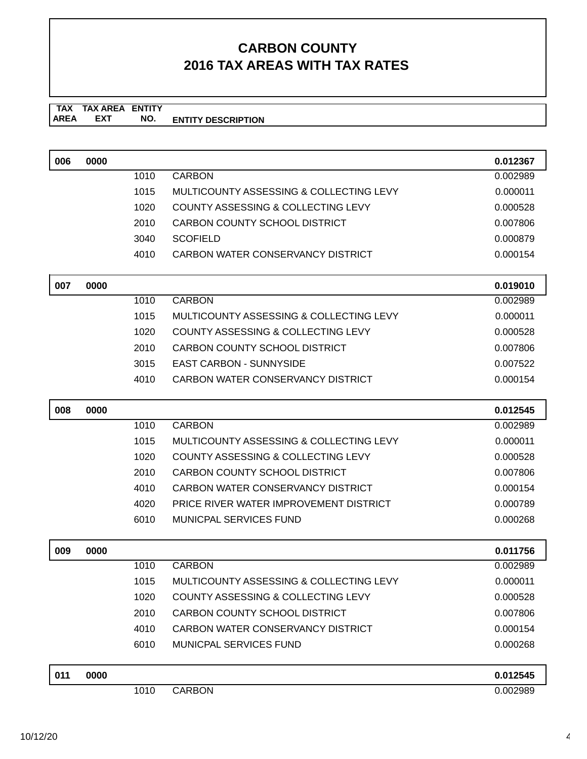| 006 | 0000 |      |                                         | 0.012367 |
|-----|------|------|-----------------------------------------|----------|
|     |      | 1010 | <b>CARBON</b>                           | 0.002989 |
|     |      | 1015 | MULTICOUNTY ASSESSING & COLLECTING LEVY | 0.000011 |
|     |      | 1020 | COUNTY ASSESSING & COLLECTING LEVY      | 0.000528 |
|     |      | 2010 | CARBON COUNTY SCHOOL DISTRICT           | 0.007806 |
|     |      | 3040 | <b>SCOFIELD</b>                         | 0.000879 |
|     |      | 4010 | CARBON WATER CONSERVANCY DISTRICT       | 0.000154 |
| 007 | 0000 |      |                                         | 0.019010 |
|     |      | 1010 | <b>CARBON</b>                           | 0.002989 |
|     |      | 1015 | MULTICOUNTY ASSESSING & COLLECTING LEVY | 0.000011 |
|     |      | 1020 | COUNTY ASSESSING & COLLECTING LEVY      | 0.000528 |
|     |      | 2010 | CARBON COUNTY SCHOOL DISTRICT           | 0.007806 |
|     |      | 3015 | <b>EAST CARBON - SUNNYSIDE</b>          | 0.007522 |
|     |      | 4010 | CARBON WATER CONSERVANCY DISTRICT       | 0.000154 |
| 008 | 0000 |      |                                         | 0.012545 |
|     |      | 1010 | <b>CARBON</b>                           | 0.002989 |
|     |      | 1015 | MULTICOUNTY ASSESSING & COLLECTING LEVY | 0.000011 |
|     |      | 1020 | COUNTY ASSESSING & COLLECTING LEVY      | 0.000528 |
|     |      | 2010 | <b>CARBON COUNTY SCHOOL DISTRICT</b>    | 0.007806 |
|     |      | 4010 | CARBON WATER CONSERVANCY DISTRICT       | 0.000154 |
|     |      | 4020 | PRICE RIVER WATER IMPROVEMENT DISTRICT  | 0.000789 |
|     |      | 6010 | <b>MUNICPAL SERVICES FUND</b>           | 0.000268 |
| 009 | 0000 |      |                                         | 0.011756 |
|     |      | 1010 | <b>CARBON</b>                           | 0.002989 |
|     |      | 1015 | MULTICOUNTY ASSESSING & COLLECTING LEVY | 0.000011 |
|     |      | 1020 | COUNTY ASSESSING & COLLECTING LEVY      | 0.000528 |
|     |      | 2010 | CARBON COUNTY SCHOOL DISTRICT           | 0.007806 |
|     |      | 4010 | CARBON WATER CONSERVANCY DISTRICT       | 0.000154 |
|     |      | 6010 | <b>MUNICPAL SERVICES FUND</b>           | 0.000268 |
| 011 | 0000 |      |                                         | 0.012545 |
|     |      | 1010 | <b>CARBON</b>                           | 0.002989 |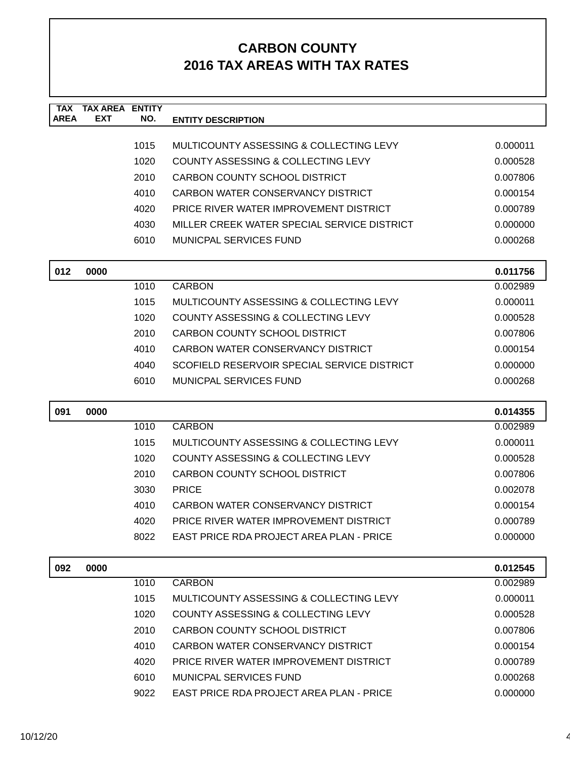| <b>TAX</b><br><b>AREA</b> | <b>TAX AREA ENTITY</b><br><b>EXT</b> | NO.  | <b>ENTITY DESCRIPTION</b>                       |                      |
|---------------------------|--------------------------------------|------|-------------------------------------------------|----------------------|
|                           |                                      |      |                                                 |                      |
|                           |                                      | 1015 | MULTICOUNTY ASSESSING & COLLECTING LEVY         | 0.000011             |
|                           |                                      | 1020 | COUNTY ASSESSING & COLLECTING LEVY              | 0.000528             |
|                           |                                      | 2010 | CARBON COUNTY SCHOOL DISTRICT                   | 0.007806             |
|                           |                                      | 4010 | CARBON WATER CONSERVANCY DISTRICT               | 0.000154             |
|                           |                                      | 4020 | PRICE RIVER WATER IMPROVEMENT DISTRICT          | 0.000789             |
|                           |                                      | 4030 | MILLER CREEK WATER SPECIAL SERVICE DISTRICT     | 0.000000             |
|                           |                                      | 6010 | <b>MUNICPAL SERVICES FUND</b>                   | 0.000268             |
| 012                       | 0000                                 |      |                                                 | 0.011756             |
|                           |                                      | 1010 | <b>CARBON</b>                                   | 0.002989             |
|                           |                                      | 1015 | MULTICOUNTY ASSESSING & COLLECTING LEVY         | 0.000011             |
|                           |                                      | 1020 | <b>COUNTY ASSESSING &amp; COLLECTING LEVY</b>   | 0.000528             |
|                           |                                      | 2010 | CARBON COUNTY SCHOOL DISTRICT                   | 0.007806             |
|                           |                                      | 4010 | CARBON WATER CONSERVANCY DISTRICT               | 0.000154             |
|                           |                                      | 4040 | SCOFIELD RESERVOIR SPECIAL SERVICE DISTRICT     | 0.000000             |
|                           |                                      | 6010 | MUNICPAL SERVICES FUND                          | 0.000268             |
|                           |                                      |      |                                                 |                      |
|                           |                                      |      |                                                 |                      |
| 091                       | 0000                                 |      |                                                 | 0.014355             |
|                           |                                      | 1010 | <b>CARBON</b>                                   | 0.002989             |
|                           |                                      | 1015 | MULTICOUNTY ASSESSING & COLLECTING LEVY         | 0.000011             |
|                           |                                      | 1020 | COUNTY ASSESSING & COLLECTING LEVY              | 0.000528             |
|                           |                                      | 2010 | CARBON COUNTY SCHOOL DISTRICT                   | 0.007806             |
|                           |                                      | 3030 | <b>PRICE</b>                                    | 0.002078             |
|                           |                                      | 4010 | CARBON WATER CONSERVANCY DISTRICT               | 0.000154             |
|                           |                                      | 4020 | PRICE RIVER WATER IMPROVEMENT DISTRICT          | 0.000789             |
|                           |                                      | 8022 | <b>EAST PRICE RDA PROJECT AREA PLAN - PRICE</b> | 0.000000             |
|                           |                                      |      |                                                 |                      |
| 092                       | 0000                                 | 1010 | <b>CARBON</b>                                   | 0.012545<br>0.002989 |
|                           |                                      | 1015 | MULTICOUNTY ASSESSING & COLLECTING LEVY         | 0.000011             |
|                           |                                      | 1020 | COUNTY ASSESSING & COLLECTING LEVY              | 0.000528             |
|                           |                                      | 2010 | CARBON COUNTY SCHOOL DISTRICT                   | 0.007806             |
|                           |                                      | 4010 | CARBON WATER CONSERVANCY DISTRICT               | 0.000154             |
|                           |                                      | 4020 | PRICE RIVER WATER IMPROVEMENT DISTRICT          | 0.000789             |
|                           |                                      | 6010 | <b>MUNICPAL SERVICES FUND</b>                   | 0.000268             |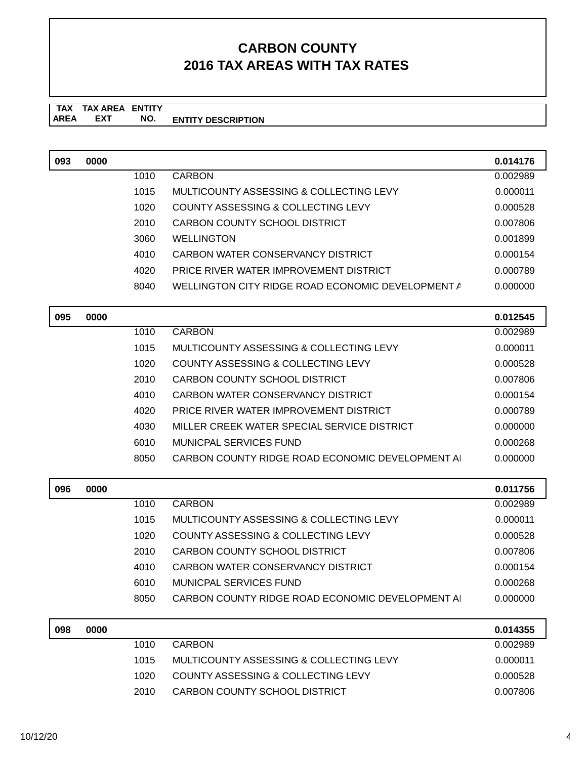| 093 | 0000 |      |                                                   | 0.014176 |
|-----|------|------|---------------------------------------------------|----------|
|     |      | 1010 | <b>CARBON</b>                                     | 0.002989 |
|     |      | 1015 | MULTICOUNTY ASSESSING & COLLECTING LEVY           | 0.000011 |
|     |      | 1020 | COUNTY ASSESSING & COLLECTING LEVY                | 0.000528 |
|     |      | 2010 | <b>CARBON COUNTY SCHOOL DISTRICT</b>              | 0.007806 |
|     |      | 3060 | <b>WELLINGTON</b>                                 | 0.001899 |
|     |      | 4010 | CARBON WATER CONSERVANCY DISTRICT                 | 0.000154 |
|     |      | 4020 | PRICE RIVER WATER IMPROVEMENT DISTRICT            | 0.000789 |
|     |      | 8040 | WELLINGTON CITY RIDGE ROAD ECONOMIC DEVELOPMENT A | 0.000000 |
| 095 | 0000 |      |                                                   | 0.012545 |
|     |      | 1010 | <b>CARBON</b>                                     | 0.002989 |
|     |      | 1015 | MULTICOUNTY ASSESSING & COLLECTING LEVY           | 0.000011 |
|     |      | 1020 | <b>COUNTY ASSESSING &amp; COLLECTING LEVY</b>     | 0.000528 |
|     |      | 2010 | <b>CARBON COUNTY SCHOOL DISTRICT</b>              | 0.007806 |
|     |      | 4010 | CARBON WATER CONSERVANCY DISTRICT                 | 0.000154 |
|     |      | 4020 | PRICE RIVER WATER IMPROVEMENT DISTRICT            | 0.000789 |
|     |      | 4030 | MILLER CREEK WATER SPECIAL SERVICE DISTRICT       | 0.000000 |
|     |      | 6010 | MUNICPAL SERVICES FUND                            | 0.000268 |
|     |      | 8050 | CARBON COUNTY RIDGE ROAD ECONOMIC DEVELOPMENT A   | 0.000000 |
| 096 | 0000 |      |                                                   | 0.011756 |
|     |      | 1010 | <b>CARBON</b>                                     | 0.002989 |
|     |      | 1015 | MULTICOUNTY ASSESSING & COLLECTING LEVY           | 0.000011 |
|     |      | 1020 | <b>COUNTY ASSESSING &amp; COLLECTING LEVY</b>     | 0.000528 |
|     |      | 2010 | CARBON COUNTY SCHOOL DISTRICT                     | 0.007806 |
|     |      | 4010 | CARBON WATER CONSERVANCY DISTRICT                 | 0.000154 |
|     |      | 6010 | <b>MUNICPAL SERVICES FUND</b>                     | 0.000268 |
|     |      | 8050 | CARBON COUNTY RIDGE ROAD ECONOMIC DEVELOPMENT A   | 0.000000 |
| 098 | 0000 |      |                                                   | 0.014355 |
|     |      | 1010 | <b>CARBON</b>                                     | 0.002989 |
|     |      | 1015 | MULTICOUNTY ASSESSING & COLLECTING LEVY           | 0.000011 |
|     |      | 1020 | <b>COUNTY ASSESSING &amp; COLLECTING LEVY</b>     | 0.000528 |
|     |      | 2010 | CARBON COUNTY SCHOOL DISTRICT                     | 0.007806 |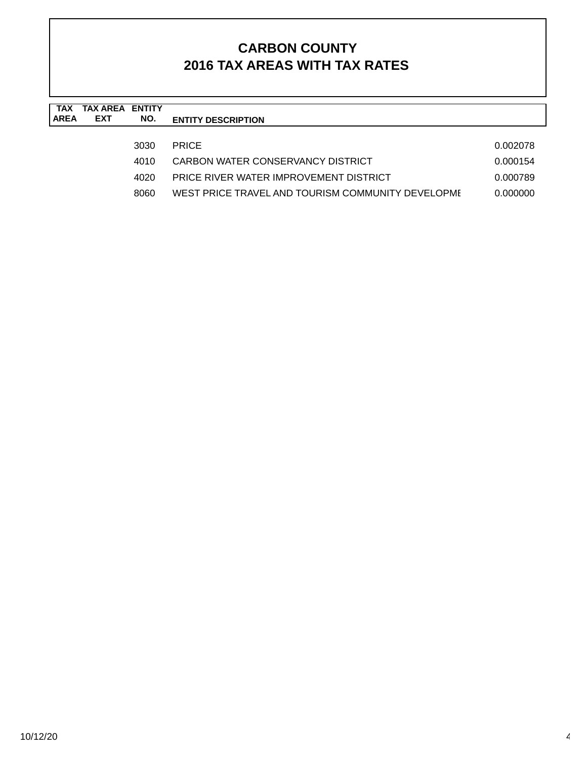| TAX<br><b>AREA</b> | <b>TAX AREA ENTITY</b><br><b>EXT</b> | NO.  | <b>ENTITY DESCRIPTION</b>                         |          |
|--------------------|--------------------------------------|------|---------------------------------------------------|----------|
|                    |                                      | 3030 | <b>PRICE</b>                                      | 0.002078 |
|                    |                                      | 4010 | CARBON WATER CONSERVANCY DISTRICT                 | 0.000154 |
|                    |                                      | 4020 | PRICE RIVER WATER IMPROVEMENT DISTRICT            | 0.000789 |
|                    |                                      | 8060 | WEST PRICE TRAVEL AND TOURISM COMMUNITY DEVELOPME | 0.000000 |
|                    |                                      |      |                                                   |          |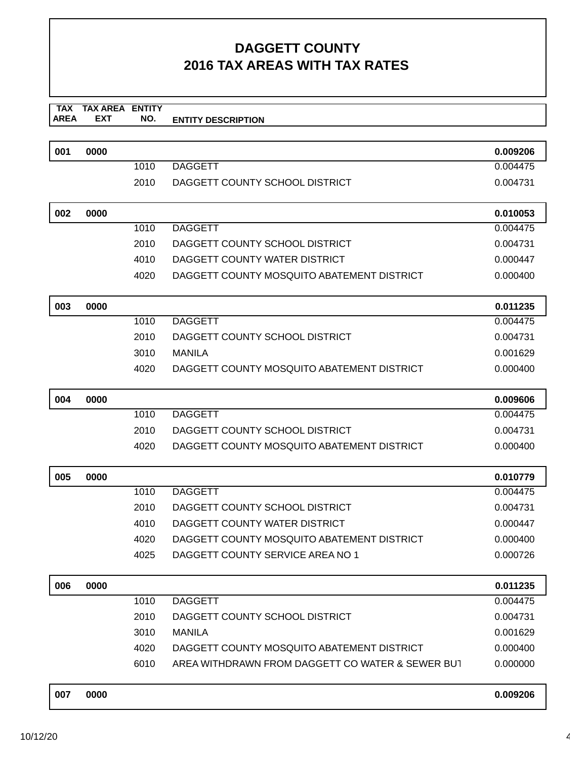| 001 | 0000 |      |                                                  | 0.009206 |
|-----|------|------|--------------------------------------------------|----------|
|     |      | 1010 | <b>DAGGETT</b>                                   | 0.004475 |
|     |      | 2010 | DAGGETT COUNTY SCHOOL DISTRICT                   | 0.004731 |
|     |      |      |                                                  |          |
| 002 | 0000 |      |                                                  | 0.010053 |
|     |      | 1010 | <b>DAGGETT</b>                                   | 0.004475 |
|     |      | 2010 | DAGGETT COUNTY SCHOOL DISTRICT                   | 0.004731 |
|     |      | 4010 | DAGGETT COUNTY WATER DISTRICT                    | 0.000447 |
|     |      | 4020 | DAGGETT COUNTY MOSQUITO ABATEMENT DISTRICT       | 0.000400 |
| 003 | 0000 |      |                                                  | 0.011235 |
|     |      | 1010 | <b>DAGGETT</b>                                   | 0.004475 |
|     |      | 2010 | DAGGETT COUNTY SCHOOL DISTRICT                   | 0.004731 |
|     |      | 3010 | <b>MANILA</b>                                    | 0.001629 |
|     |      | 4020 | DAGGETT COUNTY MOSQUITO ABATEMENT DISTRICT       | 0.000400 |
| 004 | 0000 |      |                                                  | 0.009606 |
|     |      | 1010 | <b>DAGGETT</b>                                   | 0.004475 |
|     |      | 2010 | DAGGETT COUNTY SCHOOL DISTRICT                   | 0.004731 |
|     |      | 4020 | DAGGETT COUNTY MOSQUITO ABATEMENT DISTRICT       | 0.000400 |
| 005 | 0000 |      |                                                  | 0.010779 |
|     |      | 1010 | <b>DAGGETT</b>                                   | 0.004475 |
|     |      | 2010 | DAGGETT COUNTY SCHOOL DISTRICT                   | 0.004731 |
|     |      | 4010 | DAGGETT COUNTY WATER DISTRICT                    | 0.000447 |
|     |      | 4020 | DAGGETT COUNTY MOSQUITO ABATEMENT DISTRICT       | 0.000400 |
|     |      | 4025 | DAGGETT COUNTY SERVICE AREA NO 1                 | 0.000726 |
| 006 | 0000 |      |                                                  | 0.011235 |
|     |      | 1010 | <b>DAGGETT</b>                                   | 0.004475 |
|     |      | 2010 | DAGGETT COUNTY SCHOOL DISTRICT                   | 0.004731 |
|     |      | 3010 | <b>MANILA</b>                                    | 0.001629 |
|     |      | 4020 | DAGGETT COUNTY MOSQUITO ABATEMENT DISTRICT       | 0.000400 |
|     |      | 6010 | AREA WITHDRAWN FROM DAGGETT CO WATER & SEWER BUT | 0.000000 |
| 007 | 0000 |      |                                                  | 0.009206 |
|     |      |      |                                                  |          |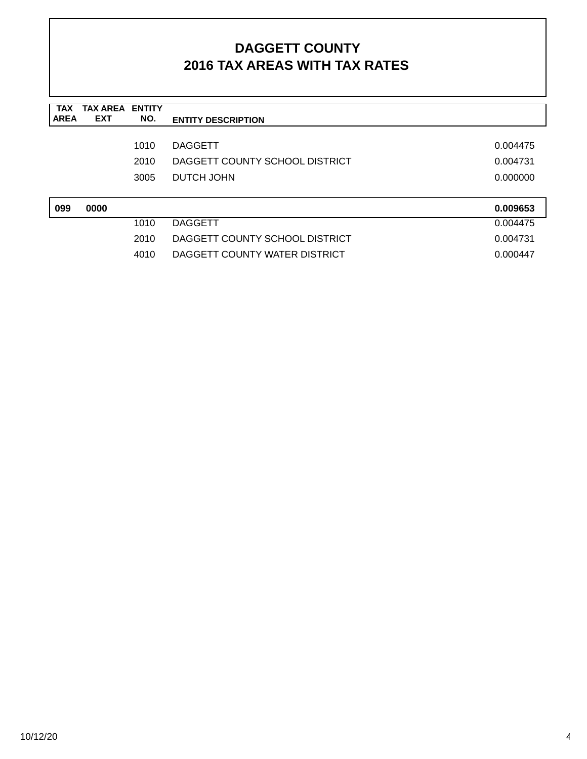| <b>TAX</b><br><b>AREA</b> | <b>TAX AREA ENTITY</b><br><b>EXT</b> | NO.  | <b>ENTITY DESCRIPTION</b>      |          |
|---------------------------|--------------------------------------|------|--------------------------------|----------|
|                           |                                      |      |                                |          |
|                           |                                      | 1010 | <b>DAGGETT</b>                 | 0.004475 |
|                           |                                      | 2010 | DAGGETT COUNTY SCHOOL DISTRICT | 0.004731 |
|                           |                                      | 3005 | <b>DUTCH JOHN</b>              | 0.000000 |
|                           |                                      |      |                                |          |
| 099                       | 0000                                 |      |                                | 0.009653 |
|                           |                                      | 1010 | <b>DAGGETT</b>                 | 0.004475 |
|                           |                                      | 2010 | DAGGETT COUNTY SCHOOL DISTRICT | 0.004731 |
|                           |                                      | 4010 | DAGGETT COUNTY WATER DISTRICT  | 0.000447 |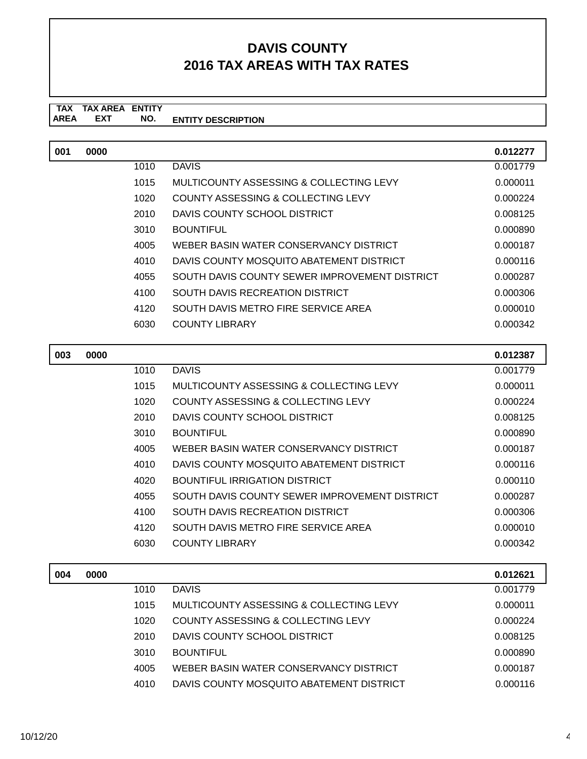| 001 | 0000 |      |                                               | 0.012277 |
|-----|------|------|-----------------------------------------------|----------|
|     |      | 1010 | <b>DAVIS</b>                                  | 0.001779 |
|     |      | 1015 | MULTICOUNTY ASSESSING & COLLECTING LEVY       | 0.000011 |
|     |      | 1020 | COUNTY ASSESSING & COLLECTING LEVY            | 0.000224 |
|     |      | 2010 | DAVIS COUNTY SCHOOL DISTRICT                  | 0.008125 |
|     |      | 3010 | <b>BOUNTIFUL</b>                              | 0.000890 |
|     |      | 4005 | WEBER BASIN WATER CONSERVANCY DISTRICT        | 0.000187 |
|     |      | 4010 | DAVIS COUNTY MOSQUITO ABATEMENT DISTRICT      | 0.000116 |
|     |      | 4055 | SOUTH DAVIS COUNTY SEWER IMPROVEMENT DISTRICT | 0.000287 |
|     |      | 4100 | SOUTH DAVIS RECREATION DISTRICT               | 0.000306 |
|     |      | 4120 | SOUTH DAVIS METRO FIRE SERVICE AREA           | 0.000010 |
|     |      | 6030 | <b>COUNTY LIBRARY</b>                         | 0.000342 |

| 003 | 0000 |      |                                               | 0.012387 |
|-----|------|------|-----------------------------------------------|----------|
|     |      | 1010 | <b>DAVIS</b>                                  | 0.001779 |
|     |      | 1015 | MULTICOUNTY ASSESSING & COLLECTING LEVY       | 0.000011 |
|     |      | 1020 | COUNTY ASSESSING & COLLECTING LEVY            | 0.000224 |
|     |      | 2010 | DAVIS COUNTY SCHOOL DISTRICT                  | 0.008125 |
|     |      | 3010 | <b>BOUNTIFUL</b>                              | 0.000890 |
|     |      | 4005 | WEBER BASIN WATER CONSERVANCY DISTRICT        | 0.000187 |
|     |      | 4010 | DAVIS COUNTY MOSQUITO ABATEMENT DISTRICT      | 0.000116 |
|     |      | 4020 | BOUNTIFUL IRRIGATION DISTRICT                 | 0.000110 |
|     |      | 4055 | SOUTH DAVIS COUNTY SEWER IMPROVEMENT DISTRICT | 0.000287 |
|     |      | 4100 | SOUTH DAVIS RECREATION DISTRICT               | 0.000306 |
|     |      | 4120 | SOUTH DAVIS METRO FIRE SERVICE AREA           | 0.000010 |
|     |      | 6030 | <b>COUNTY LIBRARY</b>                         | 0.000342 |
|     |      |      |                                               |          |

| 004 | 0000 |      |                                          | 0.012621 |
|-----|------|------|------------------------------------------|----------|
|     |      | 1010 | <b>DAVIS</b>                             | 0.001779 |
|     |      | 1015 | MULTICOUNTY ASSESSING & COLLECTING LEVY  | 0.000011 |
|     |      | 1020 | COUNTY ASSESSING & COLLECTING LEVY       | 0.000224 |
|     |      | 2010 | DAVIS COUNTY SCHOOL DISTRICT             | 0.008125 |
|     |      | 3010 | <b>BOUNTIFUL</b>                         | 0.000890 |
|     |      | 4005 | WEBER BASIN WATER CONSERVANCY DISTRICT   | 0.000187 |
|     |      | 4010 | DAVIS COUNTY MOSQUITO ABATEMENT DISTRICT | 0.000116 |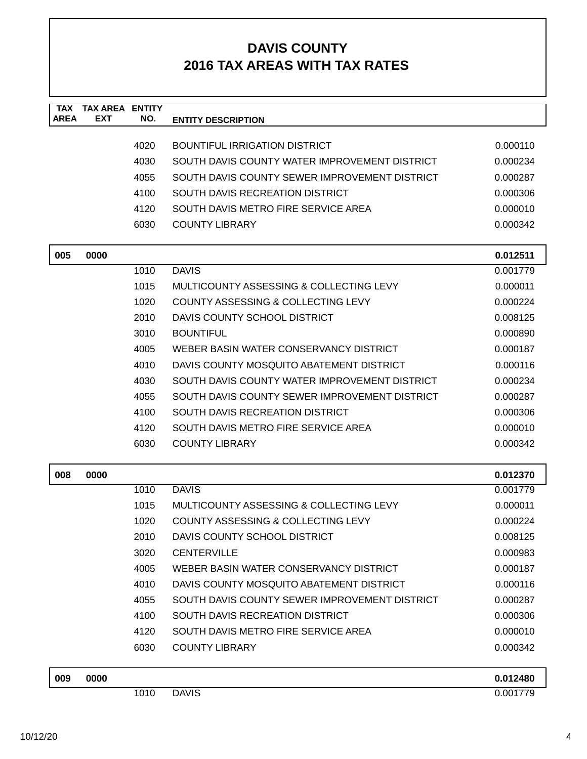| <b>TAX</b><br><b>AREA</b> | <b>TAX AREA</b><br><b>EXT</b> | <b>ENTITY</b><br>NO. |                                               |          |
|---------------------------|-------------------------------|----------------------|-----------------------------------------------|----------|
|                           |                               |                      | <b>ENTITY DESCRIPTION</b>                     |          |
|                           |                               | 4020                 | <b>BOUNTIFUL IRRIGATION DISTRICT</b>          | 0.000110 |
|                           |                               | 4030                 | SOUTH DAVIS COUNTY WATER IMPROVEMENT DISTRICT | 0.000234 |
|                           |                               | 4055                 | SOUTH DAVIS COUNTY SEWER IMPROVEMENT DISTRICT | 0.000287 |
|                           |                               | 4100                 | SOUTH DAVIS RECREATION DISTRICT               | 0.000306 |
|                           |                               | 4120                 | SOUTH DAVIS METRO FIRE SERVICE AREA           | 0.000010 |
|                           |                               | 6030                 | <b>COUNTY LIBRARY</b>                         | 0.000342 |
|                           |                               |                      |                                               |          |
| 005                       | 0000                          |                      |                                               | 0.012511 |
|                           |                               | 1010                 | <b>DAVIS</b>                                  | 0.001779 |
|                           |                               | 1015                 | MULTICOUNTY ASSESSING & COLLECTING LEVY       | 0.000011 |
|                           |                               | 1020                 | COUNTY ASSESSING & COLLECTING LEVY            | 0.000224 |
|                           |                               | 2010                 | DAVIS COUNTY SCHOOL DISTRICT                  | 0.008125 |
|                           |                               | 3010                 | <b>BOUNTIFUL</b>                              | 0.000890 |
|                           |                               | 4005                 | WEBER BASIN WATER CONSERVANCY DISTRICT        | 0.000187 |
|                           |                               | 4010                 | DAVIS COUNTY MOSQUITO ABATEMENT DISTRICT      | 0.000116 |
|                           |                               | 4030                 | SOUTH DAVIS COUNTY WATER IMPROVEMENT DISTRICT | 0.000234 |
|                           |                               | 4055                 | SOUTH DAVIS COUNTY SEWER IMPROVEMENT DISTRICT | 0.000287 |
|                           |                               | 4100                 | SOUTH DAVIS RECREATION DISTRICT               | 0.000306 |
|                           |                               | 4120                 | SOUTH DAVIS METRO FIRE SERVICE AREA           | 0.000010 |
|                           |                               | 6030                 | <b>COUNTY LIBRARY</b>                         | 0.000342 |
| 008                       | 0000                          |                      |                                               | 0.012370 |
|                           |                               | 1010                 | <b>DAVIS</b>                                  | 0.001779 |
|                           |                               | 1015                 | MULTICOUNTY ASSESSING & COLLECTING LEVY       | 0.000011 |
|                           |                               | 1020                 | COUNTY ASSESSING & COLLECTING LEVY            | 0.000224 |
|                           |                               | 2010                 | DAVIS COUNTY SCHOOL DISTRICT                  | 0.008125 |
|                           |                               | 3020                 | <b>CENTERVILLE</b>                            | 0.000983 |
|                           |                               | 4005                 | WEBER BASIN WATER CONSERVANCY DISTRICT        | 0.000187 |
|                           |                               | 4010                 | DAVIS COUNTY MOSQUITO ABATEMENT DISTRICT      | 0.000116 |
|                           |                               | 4055                 | SOUTH DAVIS COUNTY SEWER IMPROVEMENT DISTRICT | 0.000287 |
|                           |                               | 4100                 | SOUTH DAVIS RECREATION DISTRICT               | 0.000306 |
|                           |                               | 4120                 | SOUTH DAVIS METRO FIRE SERVICE AREA           | 0.000010 |
|                           |                               | 6030                 | <b>COUNTY LIBRARY</b>                         | 0.000342 |
| 009                       | 0000                          |                      |                                               | 0.012480 |
|                           |                               | 1010                 | <b>DAVIS</b>                                  | 0.001779 |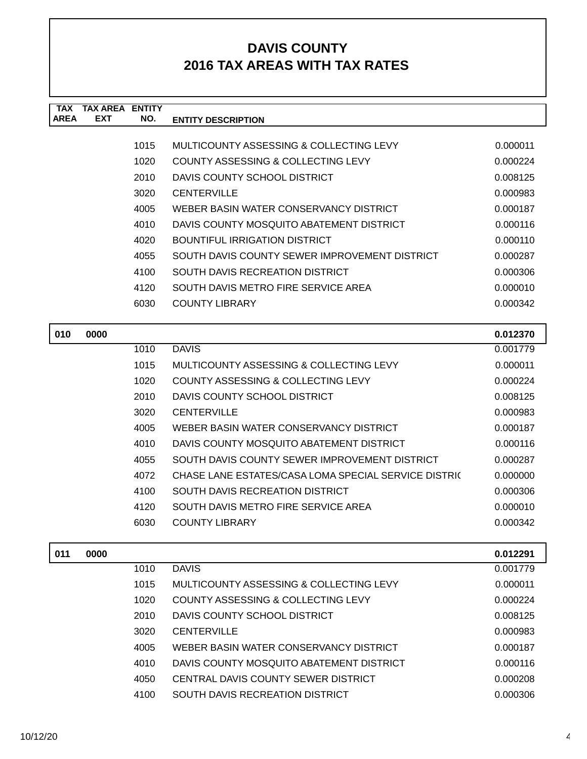| <b>TAX</b>  | TAX AREA   | <b>ENTITY</b> |                                               |          |
|-------------|------------|---------------|-----------------------------------------------|----------|
| <b>AREA</b> | <b>EXT</b> | NO.           | <b>ENTITY DESCRIPTION</b>                     |          |
|             |            |               |                                               |          |
|             |            | 1015          | MULTICOUNTY ASSESSING & COLLECTING LEVY       | 0.000011 |
|             |            | 1020          | COUNTY ASSESSING & COLLECTING LEVY            | 0.000224 |
|             |            | 2010          | DAVIS COUNTY SCHOOL DISTRICT                  | 0.008125 |
|             |            | 3020          | <b>CENTERVILLE</b>                            | 0.000983 |
|             |            | 4005          | WEBER BASIN WATER CONSERVANCY DISTRICT        | 0.000187 |
|             |            | 4010          | DAVIS COUNTY MOSQUITO ABATEMENT DISTRICT      | 0.000116 |
|             |            | 4020          | BOUNTIFUL IRRIGATION DISTRICT                 | 0.000110 |
|             |            | 4055          | SOUTH DAVIS COUNTY SEWER IMPROVEMENT DISTRICT | 0.000287 |
|             |            | 4100          | <b>SOUTH DAVIS RECREATION DISTRICT</b>        | 0.000306 |
|             |            | 4120          | SOUTH DAVIS METRO FIRE SERVICE AREA           | 0.000010 |
|             |            | 6030          | <b>COUNTY LIBRARY</b>                         | 0.000342 |
|             |            |               |                                               |          |

| 010 | 0000 |      |                                                      | 0.012370 |
|-----|------|------|------------------------------------------------------|----------|
|     |      | 1010 | <b>DAVIS</b>                                         | 0.001779 |
|     |      | 1015 | MULTICOUNTY ASSESSING & COLLECTING LEVY              | 0.000011 |
|     |      | 1020 | COUNTY ASSESSING & COLLECTING LEVY                   | 0.000224 |
|     |      | 2010 | DAVIS COUNTY SCHOOL DISTRICT                         | 0.008125 |
|     |      | 3020 | <b>CENTERVILLE</b>                                   | 0.000983 |
|     |      | 4005 | WEBER BASIN WATER CONSERVANCY DISTRICT               | 0.000187 |
|     |      | 4010 | DAVIS COUNTY MOSQUITO ABATEMENT DISTRICT             | 0.000116 |
|     |      | 4055 | SOUTH DAVIS COUNTY SEWER IMPROVEMENT DISTRICT        | 0.000287 |
|     |      | 4072 | CHASE LANE ESTATES/CASA LOMA SPECIAL SERVICE DISTRIC | 0.000000 |
|     |      | 4100 | SOUTH DAVIS RECREATION DISTRICT                      | 0.000306 |
|     |      | 4120 | SOUTH DAVIS METRO FIRE SERVICE AREA                  | 0.000010 |
|     |      | 6030 | COUNTY LIBRARY                                       | 0.000342 |
|     |      |      |                                                      |          |

| 011 | 0000 |      |                                          | 0.012291 |
|-----|------|------|------------------------------------------|----------|
|     |      | 1010 | <b>DAVIS</b>                             | 0.001779 |
|     |      | 1015 | MULTICOUNTY ASSESSING & COLLECTING LEVY  | 0.000011 |
|     |      | 1020 | COUNTY ASSESSING & COLLECTING LEVY       | 0.000224 |
|     |      | 2010 | DAVIS COUNTY SCHOOL DISTRICT             | 0.008125 |
|     |      | 3020 | <b>CENTERVILLE</b>                       | 0.000983 |
|     |      | 4005 | WEBER BASIN WATER CONSERVANCY DISTRICT   | 0.000187 |
|     |      | 4010 | DAVIS COUNTY MOSQUITO ABATEMENT DISTRICT | 0.000116 |
|     |      | 4050 | CENTRAL DAVIS COUNTY SEWER DISTRICT      | 0.000208 |
|     |      | 4100 | SOUTH DAVIS RECREATION DISTRICT          | 0.000306 |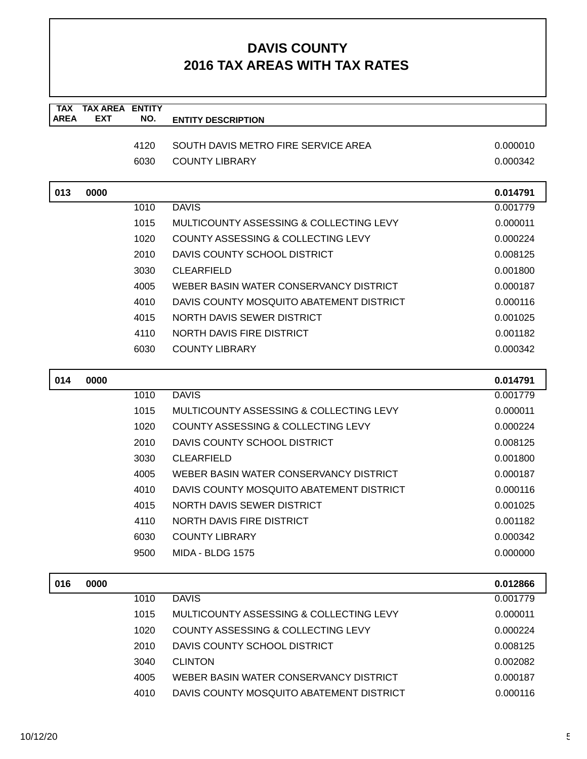| <b>TAX</b><br><b>AREA</b> | <b>TAX AREA</b><br><b>EXT</b> | <b>ENTITY</b><br>NO. | <b>ENTITY DESCRIPTION</b>                |          |
|---------------------------|-------------------------------|----------------------|------------------------------------------|----------|
|                           |                               |                      |                                          |          |
|                           |                               | 4120                 | SOUTH DAVIS METRO FIRE SERVICE AREA      | 0.000010 |
|                           |                               | 6030                 | <b>COUNTY LIBRARY</b>                    | 0.000342 |
| 013                       | 0000                          |                      |                                          | 0.014791 |
|                           |                               | 1010                 | <b>DAVIS</b>                             | 0.001779 |
|                           |                               | 1015                 | MULTICOUNTY ASSESSING & COLLECTING LEVY  | 0.000011 |
|                           |                               | 1020                 | COUNTY ASSESSING & COLLECTING LEVY       | 0.000224 |
|                           |                               | 2010                 | DAVIS COUNTY SCHOOL DISTRICT             | 0.008125 |
|                           |                               | 3030                 | <b>CLEARFIELD</b>                        | 0.001800 |
|                           |                               | 4005                 | WEBER BASIN WATER CONSERVANCY DISTRICT   | 0.000187 |
|                           |                               | 4010                 | DAVIS COUNTY MOSQUITO ABATEMENT DISTRICT | 0.000116 |
|                           |                               | 4015                 | NORTH DAVIS SEWER DISTRICT               | 0.001025 |
|                           |                               | 4110                 | NORTH DAVIS FIRE DISTRICT                | 0.001182 |
|                           |                               | 6030                 | <b>COUNTY LIBRARY</b>                    | 0.000342 |
| 014                       | 0000                          |                      |                                          | 0.014791 |
|                           |                               | 1010                 | <b>DAVIS</b>                             | 0.001779 |
|                           |                               | 1015                 | MULTICOUNTY ASSESSING & COLLECTING LEVY  | 0.000011 |
|                           |                               | 1020                 | COUNTY ASSESSING & COLLECTING LEVY       | 0.000224 |
|                           |                               | 2010                 | DAVIS COUNTY SCHOOL DISTRICT             | 0.008125 |
|                           |                               | 3030                 | <b>CLEARFIELD</b>                        | 0.001800 |
|                           |                               | 4005                 | WEBER BASIN WATER CONSERVANCY DISTRICT   | 0.000187 |
|                           |                               | 4010                 | DAVIS COUNTY MOSQUITO ABATEMENT DISTRICT | 0.000116 |
|                           |                               | 4015                 | NORTH DAVIS SEWER DISTRICT               | 0.001025 |
|                           |                               | 4110                 | <b>NORTH DAVIS FIRE DISTRICT</b>         | 0.001182 |
|                           |                               | 6030                 | <b>COUNTY LIBRARY</b>                    | 0.000342 |
|                           |                               | 9500                 | <b>MIDA - BLDG 1575</b>                  | 0.000000 |
| 016                       | 0000                          |                      |                                          | 0.012866 |
|                           |                               | 1010                 | <b>DAVIS</b>                             | 0.001779 |
|                           |                               | 1015                 | MULTICOUNTY ASSESSING & COLLECTING LEVY  | 0.000011 |
|                           |                               | 1020                 | COUNTY ASSESSING & COLLECTING LEVY       | 0.000224 |
|                           |                               | 2010                 | DAVIS COUNTY SCHOOL DISTRICT             | 0.008125 |
|                           |                               | 3040                 | <b>CLINTON</b>                           | 0.002082 |
|                           |                               | 4005                 | WEBER BASIN WATER CONSERVANCY DISTRICT   | 0.000187 |
|                           |                               | 4010                 | DAVIS COUNTY MOSQUITO ABATEMENT DISTRICT | 0.000116 |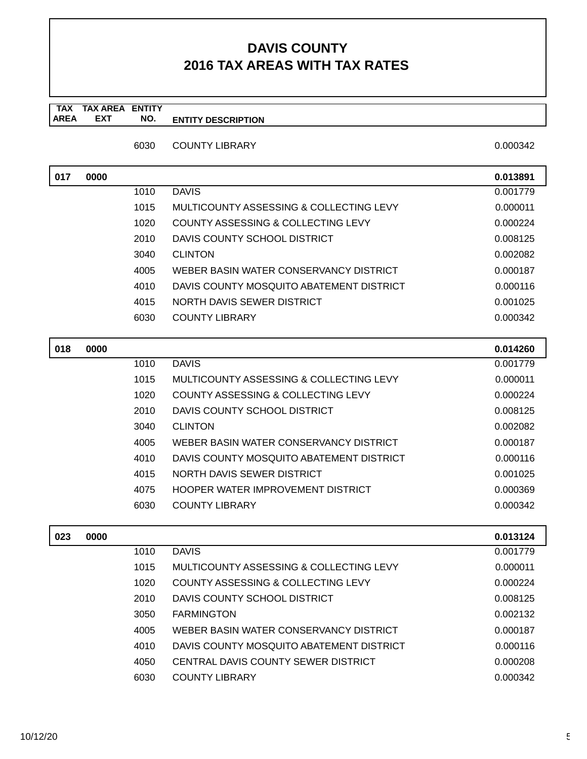#### **TAX TAX AREA ENTITY AREA ENTITY DESCRIPTION EXT NO.**

6030 COUNTY LIBRARY

| 0.000342 |  |
|----------|--|
|          |  |
|          |  |

| 017 | 0000 |      |                                          | 0.013891 |
|-----|------|------|------------------------------------------|----------|
|     |      | 1010 | <b>DAVIS</b>                             | 0.001779 |
|     |      | 1015 | MULTICOUNTY ASSESSING & COLLECTING LEVY  | 0.000011 |
|     |      | 1020 | COUNTY ASSESSING & COLLECTING LEVY       | 0.000224 |
|     |      | 2010 | DAVIS COUNTY SCHOOL DISTRICT             | 0.008125 |
|     |      | 3040 | <b>CLINTON</b>                           | 0.002082 |
|     |      | 4005 | WEBER BASIN WATER CONSERVANCY DISTRICT   | 0.000187 |
|     |      | 4010 | DAVIS COUNTY MOSQUITO ABATEMENT DISTRICT | 0.000116 |
|     |      | 4015 | NORTH DAVIS SEWER DISTRICT               | 0.001025 |
|     |      | 6030 | <b>COUNTY LIBRARY</b>                    | 0.000342 |
|     |      |      |                                          |          |
| 018 | 0000 |      |                                          | 0.014260 |
|     |      | 1010 | <b>DAVIS</b>                             | 0.001779 |
|     |      | 1015 | MULTICOUNTY ASSESSING & COLLECTING LEVY  | 0.000011 |
|     |      | 1020 | COUNTY ASSESSING & COLLECTING LEVY       | 0.000224 |
|     |      | 2010 | DAVIS COUNTY SCHOOL DISTRICT             | 0.008125 |
|     |      |      |                                          |          |

| 3040 | <b>CLINTON</b>                           | 0.002082 |
|------|------------------------------------------|----------|
| 4005 | WEBER BASIN WATER CONSERVANCY DISTRICT   | 0.000187 |
| 4010 | DAVIS COUNTY MOSQUITO ABATEMENT DISTRICT | 0.000116 |
| 4015 | NORTH DAVIS SEWER DISTRICT               | 0.001025 |
| 4075 | HOOPER WATER IMPROVEMENT DISTRICT        | 0.000369 |
| 6030 | COUNTY LIBRARY                           | 0.000342 |
|      |                                          |          |

| 023 | 0000 |      |                                          | 0.013124 |
|-----|------|------|------------------------------------------|----------|
|     |      | 1010 | <b>DAVIS</b>                             | 0.001779 |
|     |      | 1015 | MULTICOUNTY ASSESSING & COLLECTING LEVY  | 0.000011 |
|     |      | 1020 | COUNTY ASSESSING & COLLECTING LEVY       | 0.000224 |
|     |      | 2010 | DAVIS COUNTY SCHOOL DISTRICT             | 0.008125 |
|     |      | 3050 | <b>FARMINGTON</b>                        | 0.002132 |
|     |      | 4005 | WEBER BASIN WATER CONSERVANCY DISTRICT   | 0.000187 |
|     |      | 4010 | DAVIS COUNTY MOSQUITO ABATEMENT DISTRICT | 0.000116 |
|     |      | 4050 | CENTRAL DAVIS COUNTY SEWER DISTRICT      | 0.000208 |
|     |      | 6030 | COUNTY LIBRARY                           | 0.000342 |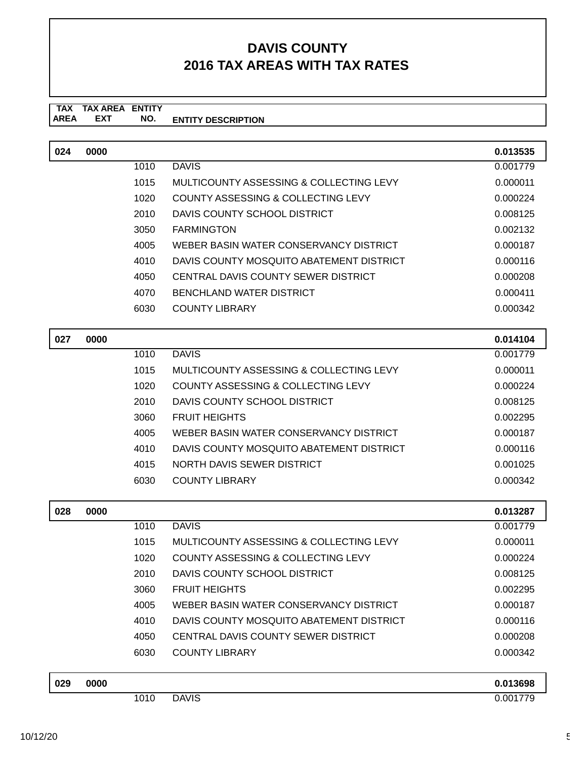| 024 | 0000 |      |                                               | 0.013535 |
|-----|------|------|-----------------------------------------------|----------|
|     |      | 1010 | <b>DAVIS</b>                                  | 0.001779 |
|     |      | 1015 | MULTICOUNTY ASSESSING & COLLECTING LEVY       | 0.000011 |
|     |      | 1020 | COUNTY ASSESSING & COLLECTING LEVY            | 0.000224 |
|     |      | 2010 | DAVIS COUNTY SCHOOL DISTRICT                  | 0.008125 |
|     |      | 3050 | <b>FARMINGTON</b>                             | 0.002132 |
|     |      | 4005 | WEBER BASIN WATER CONSERVANCY DISTRICT        | 0.000187 |
|     |      | 4010 | DAVIS COUNTY MOSQUITO ABATEMENT DISTRICT      | 0.000116 |
|     |      | 4050 | CENTRAL DAVIS COUNTY SEWER DISTRICT           | 0.000208 |
|     |      | 4070 | <b>BENCHLAND WATER DISTRICT</b>               | 0.000411 |
|     |      | 6030 | <b>COUNTY LIBRARY</b>                         | 0.000342 |
| 027 | 0000 |      |                                               | 0.014104 |
|     |      | 1010 | <b>DAVIS</b>                                  | 0.001779 |
|     |      | 1015 | MULTICOUNTY ASSESSING & COLLECTING LEVY       | 0.000011 |
|     |      | 1020 | COUNTY ASSESSING & COLLECTING LEVY            | 0.000224 |
|     |      | 2010 | DAVIS COUNTY SCHOOL DISTRICT                  | 0.008125 |
|     |      | 3060 | <b>FRUIT HEIGHTS</b>                          | 0.002295 |
|     |      | 4005 | WEBER BASIN WATER CONSERVANCY DISTRICT        | 0.000187 |
|     |      | 4010 | DAVIS COUNTY MOSQUITO ABATEMENT DISTRICT      | 0.000116 |
|     |      | 4015 | NORTH DAVIS SEWER DISTRICT                    | 0.001025 |
|     |      | 6030 | <b>COUNTY LIBRARY</b>                         | 0.000342 |
| 028 | 0000 |      |                                               | 0.013287 |
|     |      | 1010 | <b>DAVIS</b>                                  | 0.001779 |
|     |      | 1015 | MULTICOUNTY ASSESSING & COLLECTING LEVY       | 0.000011 |
|     |      | 1020 | <b>COUNTY ASSESSING &amp; COLLECTING LEVY</b> | 0.000224 |
|     |      | 2010 | DAVIS COUNTY SCHOOL DISTRICT                  | 0.008125 |
|     |      | 3060 | <b>FRUIT HEIGHTS</b>                          | 0.002295 |
|     |      | 4005 | WEBER BASIN WATER CONSERVANCY DISTRICT        | 0.000187 |
|     |      | 4010 | DAVIS COUNTY MOSQUITO ABATEMENT DISTRICT      | 0.000116 |
|     |      | 4050 | CENTRAL DAVIS COUNTY SEWER DISTRICT           | 0.000208 |
|     |      | 6030 | <b>COUNTY LIBRARY</b>                         | 0.000342 |
| 029 | 0000 |      |                                               | 0.013698 |
|     |      | 1010 | <b>DAVIS</b>                                  | 0.001779 |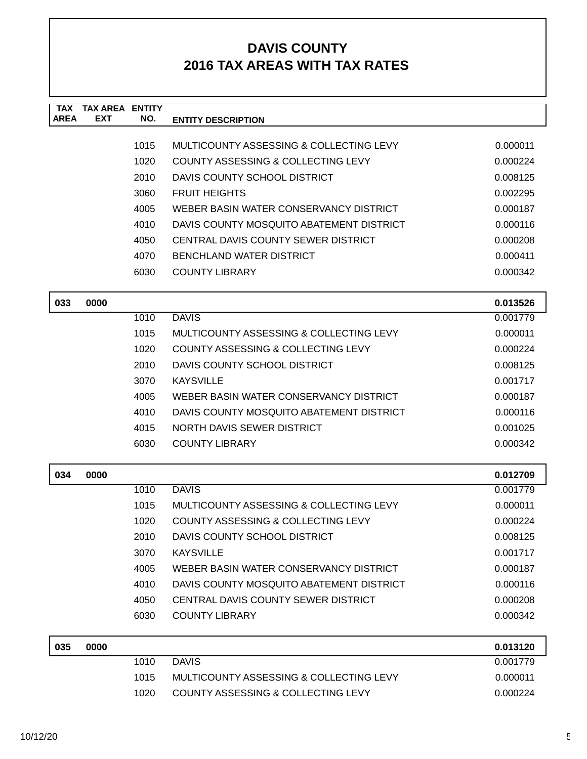| <b>TAX</b>  | <b>TAX AREA</b> | <b>ENTITY</b> |                                               |          |
|-------------|-----------------|---------------|-----------------------------------------------|----------|
| <b>AREA</b> | <b>EXT</b>      | NO.           | <b>ENTITY DESCRIPTION</b>                     |          |
|             |                 | 1015          | MULTICOUNTY ASSESSING & COLLECTING LEVY       | 0.000011 |
|             |                 | 1020          | COUNTY ASSESSING & COLLECTING LEVY            | 0.000224 |
|             |                 | 2010          | DAVIS COUNTY SCHOOL DISTRICT                  | 0.008125 |
|             |                 | 3060          | <b>FRUIT HEIGHTS</b>                          | 0.002295 |
|             |                 | 4005          | WEBER BASIN WATER CONSERVANCY DISTRICT        | 0.000187 |
|             |                 | 4010          | DAVIS COUNTY MOSQUITO ABATEMENT DISTRICT      | 0.000116 |
|             |                 | 4050          | CENTRAL DAVIS COUNTY SEWER DISTRICT           | 0.000208 |
|             |                 | 4070          | <b>BENCHLAND WATER DISTRICT</b>               | 0.000411 |
|             |                 | 6030          | <b>COUNTY LIBRARY</b>                         | 0.000342 |
| 033         | 0000            |               |                                               | 0.013526 |
|             |                 | 1010          | <b>DAVIS</b>                                  | 0.001779 |
|             |                 | 1015          | MULTICOUNTY ASSESSING & COLLECTING LEVY       | 0.000011 |
|             |                 | 1020          | <b>COUNTY ASSESSING &amp; COLLECTING LEVY</b> | 0.000224 |
|             |                 | 2010          | DAVIS COUNTY SCHOOL DISTRICT                  | 0.008125 |
|             |                 | 3070          | <b>KAYSVILLE</b>                              | 0.001717 |
|             |                 | 4005          | WEBER BASIN WATER CONSERVANCY DISTRICT        | 0.000187 |
|             |                 | 4010          | DAVIS COUNTY MOSQUITO ABATEMENT DISTRICT      | 0.000116 |
|             |                 | 4015          | NORTH DAVIS SEWER DISTRICT                    | 0.001025 |
|             |                 | 6030          | <b>COUNTY LIBRARY</b>                         | 0.000342 |
|             |                 |               |                                               |          |
| 034         | 0000            |               |                                               | 0.012709 |
|             |                 | 1010          | <b>DAVIS</b>                                  | 0.001779 |
|             |                 | 1015          | MULTICOUNTY ASSESSING & COLLECTING LEVY       | 0.000011 |
|             |                 | 1020          | COUNTY ASSESSING & COLLECTING LEVY            | 0.000224 |
|             |                 | 2010          | DAVIS COUNTY SCHOOL DISTRICT                  | 0.008125 |
|             |                 | 3070          | <b>KAYSVILLE</b>                              | 0.001717 |
|             |                 | 4005          | WEBER BASIN WATER CONSERVANCY DISTRICT        | 0.000187 |
|             |                 | 4010          | DAVIS COUNTY MOSQUITO ABATEMENT DISTRICT      | 0.000116 |
|             |                 | 4050          | CENTRAL DAVIS COUNTY SEWER DISTRICT           | 0.000208 |
|             |                 | 6030          | <b>COUNTY LIBRARY</b>                         | 0.000342 |
| 035         | 0000            |               |                                               | 0.013120 |
|             |                 | 1010          | <b>DAVIS</b>                                  | 0.001779 |
|             |                 | 1015          | MULTICOUNTY ASSESSING & COLLECTING LEVY       | 0.000011 |
|             |                 | 1020          | COUNTY ASSESSING & COLLECTING LEVY            | 0.000224 |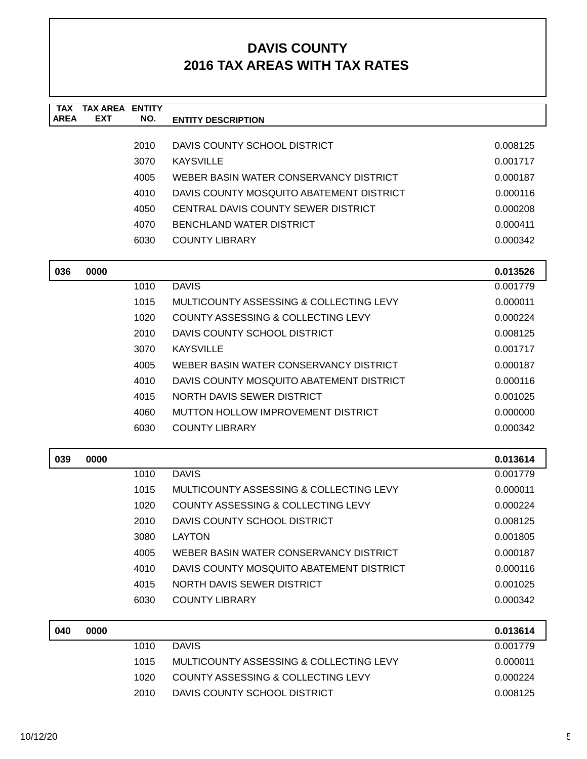| <b>TAX</b>  | <b>TAX AREA</b> | <b>ENTITY</b> |                                               |          |
|-------------|-----------------|---------------|-----------------------------------------------|----------|
| <b>AREA</b> | <b>EXT</b>      | NO.           | <b>ENTITY DESCRIPTION</b>                     |          |
|             |                 | 2010          | DAVIS COUNTY SCHOOL DISTRICT                  | 0.008125 |
|             |                 | 3070          | <b>KAYSVILLE</b>                              | 0.001717 |
|             |                 | 4005          | WEBER BASIN WATER CONSERVANCY DISTRICT        | 0.000187 |
|             |                 | 4010          | DAVIS COUNTY MOSQUITO ABATEMENT DISTRICT      | 0.000116 |
|             |                 | 4050          | CENTRAL DAVIS COUNTY SEWER DISTRICT           | 0.000208 |
|             |                 | 4070          | <b>BENCHLAND WATER DISTRICT</b>               | 0.000411 |
|             |                 | 6030          | <b>COUNTY LIBRARY</b>                         | 0.000342 |
|             |                 |               |                                               |          |
| 036         | 0000            |               |                                               | 0.013526 |
|             |                 | 1010          | <b>DAVIS</b>                                  | 0.001779 |
|             |                 | 1015          | MULTICOUNTY ASSESSING & COLLECTING LEVY       | 0.000011 |
|             |                 | 1020          | <b>COUNTY ASSESSING &amp; COLLECTING LEVY</b> | 0.000224 |
|             |                 | 2010          | DAVIS COUNTY SCHOOL DISTRICT                  | 0.008125 |
|             |                 | 3070          | <b>KAYSVILLE</b>                              | 0.001717 |
|             |                 | 4005          | WEBER BASIN WATER CONSERVANCY DISTRICT        | 0.000187 |
|             |                 | 4010          | DAVIS COUNTY MOSQUITO ABATEMENT DISTRICT      | 0.000116 |
|             |                 | 4015          | NORTH DAVIS SEWER DISTRICT                    | 0.001025 |
|             |                 | 4060          | MUTTON HOLLOW IMPROVEMENT DISTRICT            | 0.000000 |
|             |                 | 6030          | <b>COUNTY LIBRARY</b>                         | 0.000342 |
| 039         | 0000            |               |                                               | 0.013614 |
|             |                 | 1010          | <b>DAVIS</b>                                  | 0.001779 |
|             |                 | 1015          | MULTICOUNTY ASSESSING & COLLECTING LEVY       | 0.000011 |
|             |                 | 1020          | COUNTY ASSESSING & COLLECTING LEVY            | 0.000224 |
|             |                 | 2010          | DAVIS COUNTY SCHOOL DISTRICT                  | 0.008125 |
|             |                 | 3080          | <b>LAYTON</b>                                 | 0.001805 |
|             |                 | 4005          | WEBER BASIN WATER CONSERVANCY DISTRICT        | 0.000187 |
|             |                 | 4010          | DAVIS COUNTY MOSQUITO ABATEMENT DISTRICT      | 0.000116 |
|             |                 | 4015          | NORTH DAVIS SEWER DISTRICT                    | 0.001025 |
|             |                 | 6030          | <b>COUNTY LIBRARY</b>                         | 0.000342 |
| 040         | 0000            |               |                                               | 0.013614 |
|             |                 | 1010          | <b>DAVIS</b>                                  | 0.001779 |
|             |                 | 1015          | MULTICOUNTY ASSESSING & COLLECTING LEVY       | 0.000011 |
|             |                 | 1020          | COUNTY ASSESSING & COLLECTING LEVY            | 0.000224 |
|             |                 | 2010          | DAVIS COUNTY SCHOOL DISTRICT                  | 0.008125 |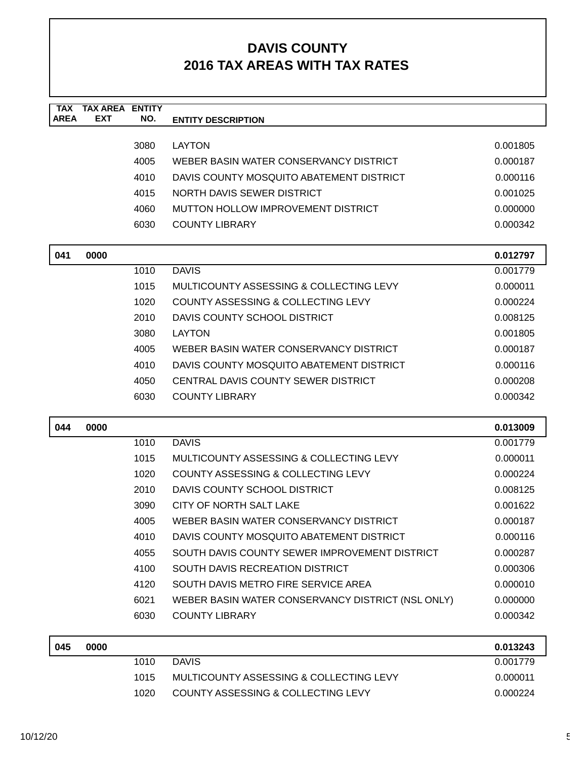| <b>TAX</b><br><b>AREA</b> | <b>TAX AREA</b><br><b>EXT</b> | <b>ENTITY</b><br>NO. | <b>ENTITY DESCRIPTION</b>                         |          |
|---------------------------|-------------------------------|----------------------|---------------------------------------------------|----------|
|                           |                               |                      |                                                   |          |
|                           |                               | 3080                 | <b>LAYTON</b>                                     | 0.001805 |
|                           |                               | 4005                 | WEBER BASIN WATER CONSERVANCY DISTRICT            | 0.000187 |
|                           |                               | 4010                 | DAVIS COUNTY MOSQUITO ABATEMENT DISTRICT          | 0.000116 |
|                           |                               | 4015                 | NORTH DAVIS SEWER DISTRICT                        | 0.001025 |
|                           |                               | 4060                 | MUTTON HOLLOW IMPROVEMENT DISTRICT                | 0.000000 |
|                           |                               | 6030                 | <b>COUNTY LIBRARY</b>                             | 0.000342 |
| 041                       | 0000                          |                      |                                                   | 0.012797 |
|                           |                               | 1010                 | <b>DAVIS</b>                                      | 0.001779 |
|                           |                               | 1015                 | MULTICOUNTY ASSESSING & COLLECTING LEVY           | 0.000011 |
|                           |                               | 1020                 | COUNTY ASSESSING & COLLECTING LEVY                | 0.000224 |
|                           |                               | 2010                 | DAVIS COUNTY SCHOOL DISTRICT                      | 0.008125 |
|                           |                               | 3080                 | <b>LAYTON</b>                                     | 0.001805 |
|                           |                               | 4005                 | WEBER BASIN WATER CONSERVANCY DISTRICT            | 0.000187 |
|                           |                               | 4010                 | DAVIS COUNTY MOSQUITO ABATEMENT DISTRICT          | 0.000116 |
|                           |                               | 4050                 | CENTRAL DAVIS COUNTY SEWER DISTRICT               | 0.000208 |
|                           |                               | 6030                 | <b>COUNTY LIBRARY</b>                             | 0.000342 |
| 044                       | 0000                          |                      |                                                   | 0.013009 |
|                           |                               | 1010                 | <b>DAVIS</b>                                      | 0.001779 |
|                           |                               | 1015                 | MULTICOUNTY ASSESSING & COLLECTING LEVY           | 0.000011 |
|                           |                               | 1020                 | COUNTY ASSESSING & COLLECTING LEVY                | 0.000224 |
|                           |                               | 2010                 | DAVIS COUNTY SCHOOL DISTRICT                      | 0.008125 |
|                           |                               | 3090                 | CITY OF NORTH SALT LAKE                           | 0.001622 |
|                           |                               | 4005                 | WEBER BASIN WATER CONSERVANCY DISTRICT            | 0.000187 |
|                           |                               | 4010                 | DAVIS COUNTY MOSQUITO ABATEMENT DISTRICT          | 0.000116 |
|                           |                               | 4055                 | SOUTH DAVIS COUNTY SEWER IMPROVEMENT DISTRICT     | 0.000287 |
|                           |                               | 4100                 | SOUTH DAVIS RECREATION DISTRICT                   | 0.000306 |
|                           |                               | 4120                 | SOUTH DAVIS METRO FIRE SERVICE AREA               | 0.000010 |
|                           |                               | 6021                 | WEBER BASIN WATER CONSERVANCY DISTRICT (NSL ONLY) | 0.000000 |
|                           |                               | 6030                 | <b>COUNTY LIBRARY</b>                             | 0.000342 |
| 045                       | 0000                          |                      |                                                   | 0.013243 |
|                           |                               | 1010                 | <b>DAVIS</b>                                      | 0.001779 |
|                           |                               | 1015                 | MULTICOUNTY ASSESSING & COLLECTING LEVY           | 0.000011 |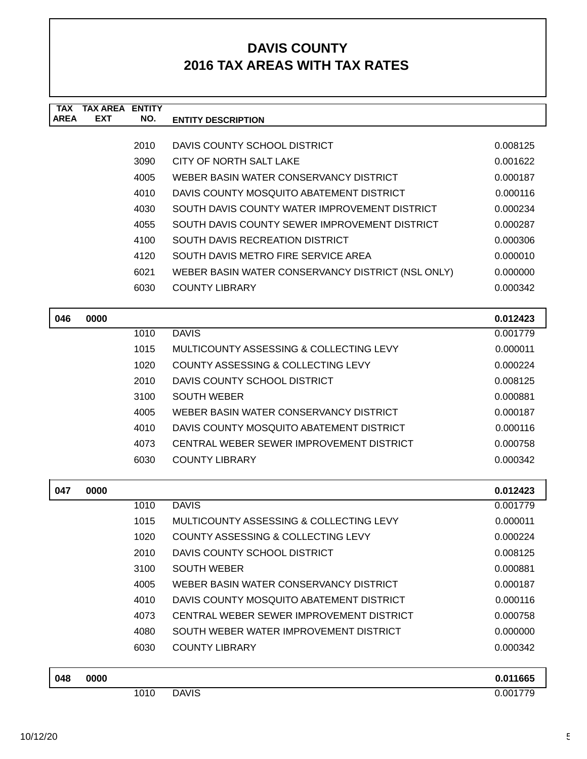| <b>TAX</b>  | <b>TAX AREA ENTITY</b> |      |                                                   |          |
|-------------|------------------------|------|---------------------------------------------------|----------|
| <b>AREA</b> | <b>EXT</b>             | NO.  | <b>ENTITY DESCRIPTION</b>                         |          |
|             |                        | 2010 | DAVIS COUNTY SCHOOL DISTRICT                      | 0.008125 |
|             |                        | 3090 | CITY OF NORTH SALT LAKE                           | 0.001622 |
|             |                        | 4005 | WEBER BASIN WATER CONSERVANCY DISTRICT            | 0.000187 |
|             |                        | 4010 | DAVIS COUNTY MOSQUITO ABATEMENT DISTRICT          | 0.000116 |
|             |                        | 4030 | SOUTH DAVIS COUNTY WATER IMPROVEMENT DISTRICT     | 0.000234 |
|             |                        | 4055 | SOUTH DAVIS COUNTY SEWER IMPROVEMENT DISTRICT     | 0.000287 |
|             |                        | 4100 | SOUTH DAVIS RECREATION DISTRICT                   | 0.000306 |
|             |                        | 4120 | SOUTH DAVIS METRO FIRE SERVICE AREA               | 0.000010 |
|             |                        | 6021 | WEBER BASIN WATER CONSERVANCY DISTRICT (NSL ONLY) | 0.000000 |
|             |                        | 6030 | <b>COUNTY LIBRARY</b>                             | 0.000342 |
|             |                        |      |                                                   |          |
| 046         | 0000                   |      |                                                   | 0.012423 |
|             |                        | 1010 | <b>DAVIS</b>                                      | 0.001779 |
|             |                        | 1015 | MULTICOUNTY ASSESSING & COLLECTING LEVY           | 0.000011 |
|             |                        | 1020 | COUNTY ASSESSING & COLLECTING LEVY                | 0.000224 |
|             |                        | 2010 | DAVIS COUNTY SCHOOL DISTRICT                      | 0.008125 |
|             |                        | 3100 | <b>SOUTH WEBER</b>                                | 0.000881 |
|             |                        | 4005 | WEBER BASIN WATER CONSERVANCY DISTRICT            | 0.000187 |
|             |                        | 4010 | DAVIS COUNTY MOSQUITO ABATEMENT DISTRICT          | 0.000116 |
|             |                        | 4073 | CENTRAL WEBER SEWER IMPROVEMENT DISTRICT          | 0.000758 |
|             |                        | 6030 | <b>COUNTY LIBRARY</b>                             | 0.000342 |
| 047         | 0000                   |      |                                                   | 0.012423 |
|             |                        | 1010 | <b>DAVIS</b>                                      | 0.001779 |
|             |                        | 1015 | MULTICOUNTY ASSESSING & COLLECTING LEVY           | 0.000011 |
|             |                        | 1020 | <b>COUNTY ASSESSING &amp; COLLECTING LEVY</b>     | 0.000224 |
|             |                        | 2010 | DAVIS COUNTY SCHOOL DISTRICT                      | 0.008125 |
|             |                        | 3100 | <b>SOUTH WEBER</b>                                | 0.000881 |
|             |                        | 4005 | WEBER BASIN WATER CONSERVANCY DISTRICT            | 0.000187 |
|             |                        | 4010 | DAVIS COUNTY MOSQUITO ABATEMENT DISTRICT          | 0.000116 |
|             |                        | 4073 | CENTRAL WEBER SEWER IMPROVEMENT DISTRICT          | 0.000758 |
|             |                        | 4080 | SOUTH WEBER WATER IMPROVEMENT DISTRICT            | 0.000000 |
|             |                        | 6030 | <b>COUNTY LIBRARY</b>                             | 0.000342 |
|             |                        |      |                                                   |          |
| 048         | 0000                   |      |                                                   | 0.011665 |
|             |                        | 1010 | <b>DAVIS</b>                                      | 0.001779 |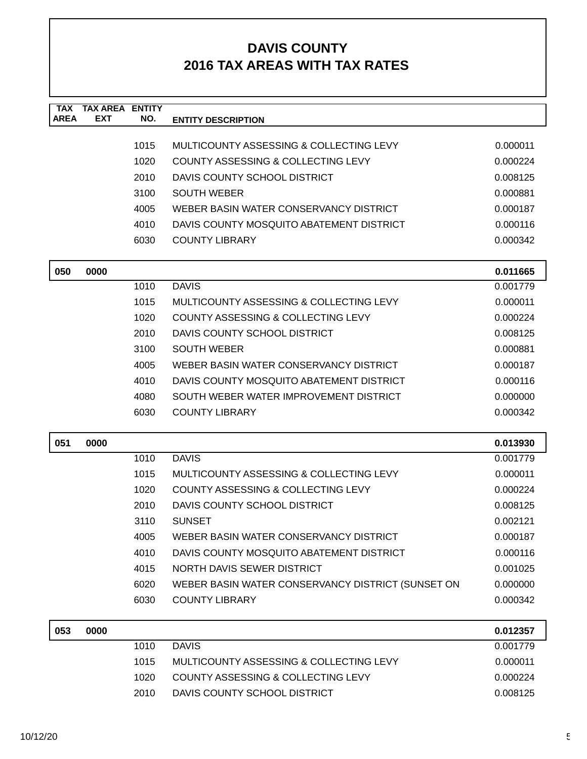| <b>TAX</b><br><b>AREA</b> | <b>TAX AREA ENTITY</b><br><b>EXT</b> | NO.  | <b>ENTITY DESCRIPTION</b>                         |          |
|---------------------------|--------------------------------------|------|---------------------------------------------------|----------|
|                           |                                      |      |                                                   |          |
|                           |                                      | 1015 | MULTICOUNTY ASSESSING & COLLECTING LEVY           | 0.000011 |
|                           |                                      | 1020 | <b>COUNTY ASSESSING &amp; COLLECTING LEVY</b>     | 0.000224 |
|                           |                                      | 2010 | DAVIS COUNTY SCHOOL DISTRICT                      | 0.008125 |
|                           |                                      | 3100 | <b>SOUTH WEBER</b>                                | 0.000881 |
|                           |                                      | 4005 | WEBER BASIN WATER CONSERVANCY DISTRICT            | 0.000187 |
|                           |                                      | 4010 | DAVIS COUNTY MOSQUITO ABATEMENT DISTRICT          | 0.000116 |
|                           |                                      | 6030 | <b>COUNTY LIBRARY</b>                             | 0.000342 |
| 050                       | 0000                                 |      |                                                   | 0.011665 |
|                           |                                      | 1010 | <b>DAVIS</b>                                      | 0.001779 |
|                           |                                      | 1015 | MULTICOUNTY ASSESSING & COLLECTING LEVY           | 0.000011 |
|                           |                                      | 1020 | <b>COUNTY ASSESSING &amp; COLLECTING LEVY</b>     | 0.000224 |
|                           |                                      | 2010 | DAVIS COUNTY SCHOOL DISTRICT                      | 0.008125 |
|                           |                                      | 3100 | <b>SOUTH WEBER</b>                                | 0.000881 |
|                           |                                      | 4005 | WEBER BASIN WATER CONSERVANCY DISTRICT            | 0.000187 |
|                           |                                      | 4010 | DAVIS COUNTY MOSQUITO ABATEMENT DISTRICT          | 0.000116 |
|                           |                                      | 4080 | SOUTH WEBER WATER IMPROVEMENT DISTRICT            | 0.000000 |
|                           |                                      | 6030 | <b>COUNTY LIBRARY</b>                             | 0.000342 |
| 051                       | 0000                                 |      |                                                   | 0.013930 |
|                           |                                      | 1010 | <b>DAVIS</b>                                      | 0.001779 |
|                           |                                      | 1015 | MULTICOUNTY ASSESSING & COLLECTING LEVY           | 0.000011 |
|                           |                                      | 1020 | COUNTY ASSESSING & COLLECTING LEVY                | 0.000224 |
|                           |                                      | 2010 | DAVIS COUNTY SCHOOL DISTRICT                      | 0.008125 |
|                           |                                      | 3110 | <b>SUNSET</b>                                     | 0.002121 |
|                           |                                      | 4005 | WEBER BASIN WATER CONSERVANCY DISTRICT            | 0.000187 |
|                           |                                      | 4010 | DAVIS COUNTY MOSQUITO ABATEMENT DISTRICT          | 0.000116 |
|                           |                                      | 4015 | NORTH DAVIS SEWER DISTRICT                        | 0.001025 |
|                           |                                      | 6020 | WEBER BASIN WATER CONSERVANCY DISTRICT (SUNSET ON | 0.000000 |
|                           |                                      | 6030 | <b>COUNTY LIBRARY</b>                             | 0.000342 |
| 053                       | 0000                                 |      |                                                   | 0.012357 |
|                           |                                      | 1010 | <b>DAVIS</b>                                      | 0.001779 |
|                           |                                      | 1015 | MULTICOUNTY ASSESSING & COLLECTING LEVY           | 0.000011 |
|                           |                                      | 1020 | COUNTY ASSESSING & COLLECTING LEVY                | 0.000224 |
|                           |                                      | 2010 | DAVIS COUNTY SCHOOL DISTRICT                      | 0.008125 |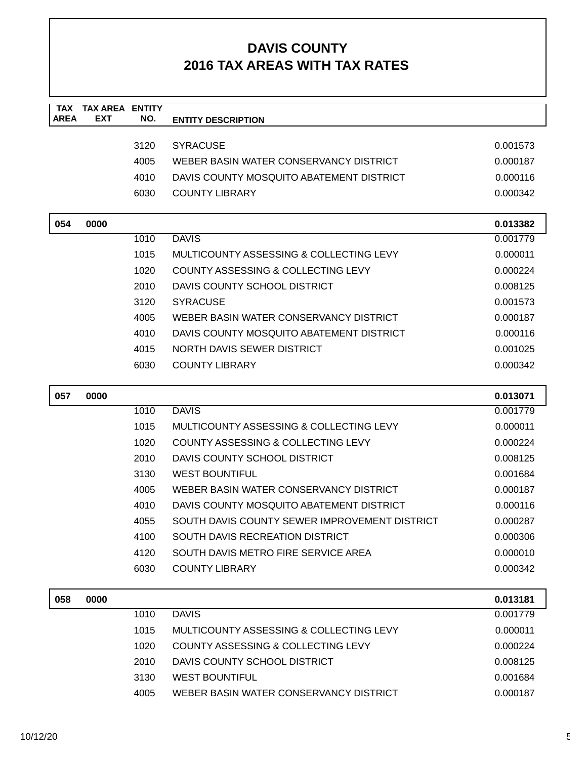| <b>TAX AREA ENTITY</b><br><b>TAX</b><br><b>AREA</b><br><b>EXT</b><br>NO.<br><b>ENTITY DESCRIPTION</b><br>3120<br><b>SYRACUSE</b><br>4005<br>WEBER BASIN WATER CONSERVANCY DISTRICT<br>4010<br>DAVIS COUNTY MOSQUITO ABATEMENT DISTRICT<br>6030<br><b>COUNTY LIBRARY</b><br>054<br>0000<br><b>DAVIS</b><br>1010<br>1015<br>MULTICOUNTY ASSESSING & COLLECTING LEVY<br>1020<br>COUNTY ASSESSING & COLLECTING LEVY<br>2010<br>DAVIS COUNTY SCHOOL DISTRICT<br>3120<br><b>SYRACUSE</b><br>4005<br>WEBER BASIN WATER CONSERVANCY DISTRICT<br>4010<br>DAVIS COUNTY MOSQUITO ABATEMENT DISTRICT<br>4015<br>NORTH DAVIS SEWER DISTRICT | 0.001573<br>0.000187<br>0.000116<br>0.000342<br>0.013382<br>0.001779<br>0.000011<br>0.000224<br>0.008125<br>0.001573<br>0.000187<br>0.000116<br>0.001025<br>0.000342<br>0.013071<br>0.001779<br>0.000011 |
|--------------------------------------------------------------------------------------------------------------------------------------------------------------------------------------------------------------------------------------------------------------------------------------------------------------------------------------------------------------------------------------------------------------------------------------------------------------------------------------------------------------------------------------------------------------------------------------------------------------------------------|----------------------------------------------------------------------------------------------------------------------------------------------------------------------------------------------------------|
|                                                                                                                                                                                                                                                                                                                                                                                                                                                                                                                                                                                                                                |                                                                                                                                                                                                          |
|                                                                                                                                                                                                                                                                                                                                                                                                                                                                                                                                                                                                                                |                                                                                                                                                                                                          |
|                                                                                                                                                                                                                                                                                                                                                                                                                                                                                                                                                                                                                                |                                                                                                                                                                                                          |
|                                                                                                                                                                                                                                                                                                                                                                                                                                                                                                                                                                                                                                |                                                                                                                                                                                                          |
|                                                                                                                                                                                                                                                                                                                                                                                                                                                                                                                                                                                                                                |                                                                                                                                                                                                          |
|                                                                                                                                                                                                                                                                                                                                                                                                                                                                                                                                                                                                                                |                                                                                                                                                                                                          |
|                                                                                                                                                                                                                                                                                                                                                                                                                                                                                                                                                                                                                                |                                                                                                                                                                                                          |
|                                                                                                                                                                                                                                                                                                                                                                                                                                                                                                                                                                                                                                |                                                                                                                                                                                                          |
|                                                                                                                                                                                                                                                                                                                                                                                                                                                                                                                                                                                                                                |                                                                                                                                                                                                          |
|                                                                                                                                                                                                                                                                                                                                                                                                                                                                                                                                                                                                                                |                                                                                                                                                                                                          |
|                                                                                                                                                                                                                                                                                                                                                                                                                                                                                                                                                                                                                                |                                                                                                                                                                                                          |
|                                                                                                                                                                                                                                                                                                                                                                                                                                                                                                                                                                                                                                |                                                                                                                                                                                                          |
|                                                                                                                                                                                                                                                                                                                                                                                                                                                                                                                                                                                                                                |                                                                                                                                                                                                          |
|                                                                                                                                                                                                                                                                                                                                                                                                                                                                                                                                                                                                                                |                                                                                                                                                                                                          |
|                                                                                                                                                                                                                                                                                                                                                                                                                                                                                                                                                                                                                                |                                                                                                                                                                                                          |
| 6030<br><b>COUNTY LIBRARY</b>                                                                                                                                                                                                                                                                                                                                                                                                                                                                                                                                                                                                  |                                                                                                                                                                                                          |
|                                                                                                                                                                                                                                                                                                                                                                                                                                                                                                                                                                                                                                |                                                                                                                                                                                                          |
| 057<br>0000                                                                                                                                                                                                                                                                                                                                                                                                                                                                                                                                                                                                                    |                                                                                                                                                                                                          |
| <b>DAVIS</b><br>1010                                                                                                                                                                                                                                                                                                                                                                                                                                                                                                                                                                                                           |                                                                                                                                                                                                          |
| 1015<br>MULTICOUNTY ASSESSING & COLLECTING LEVY                                                                                                                                                                                                                                                                                                                                                                                                                                                                                                                                                                                |                                                                                                                                                                                                          |
| 1020<br>COUNTY ASSESSING & COLLECTING LEVY                                                                                                                                                                                                                                                                                                                                                                                                                                                                                                                                                                                     | 0.000224                                                                                                                                                                                                 |
| 2010<br>DAVIS COUNTY SCHOOL DISTRICT                                                                                                                                                                                                                                                                                                                                                                                                                                                                                                                                                                                           | 0.008125                                                                                                                                                                                                 |
| 3130<br><b>WEST BOUNTIFUL</b>                                                                                                                                                                                                                                                                                                                                                                                                                                                                                                                                                                                                  | 0.001684                                                                                                                                                                                                 |
| WEBER BASIN WATER CONSERVANCY DISTRICT<br>4005                                                                                                                                                                                                                                                                                                                                                                                                                                                                                                                                                                                 |                                                                                                                                                                                                          |
| 4010<br>DAVIS COUNTY MOSQUITO ABATEMENT DISTRICT                                                                                                                                                                                                                                                                                                                                                                                                                                                                                                                                                                               | 0.000187                                                                                                                                                                                                 |
|                                                                                                                                                                                                                                                                                                                                                                                                                                                                                                                                                                                                                                | 0.000116                                                                                                                                                                                                 |
| SOUTH DAVIS COUNTY SEWER IMPROVEMENT DISTRICT<br>4055                                                                                                                                                                                                                                                                                                                                                                                                                                                                                                                                                                          | 0.000287                                                                                                                                                                                                 |
| SOUTH DAVIS RECREATION DISTRICT<br>4100                                                                                                                                                                                                                                                                                                                                                                                                                                                                                                                                                                                        | 0.000306                                                                                                                                                                                                 |
| 4120<br>SOUTH DAVIS METRO FIRE SERVICE AREA                                                                                                                                                                                                                                                                                                                                                                                                                                                                                                                                                                                    | 0.000010                                                                                                                                                                                                 |
| 6030<br><b>COUNTY LIBRARY</b>                                                                                                                                                                                                                                                                                                                                                                                                                                                                                                                                                                                                  | 0.000342                                                                                                                                                                                                 |
|                                                                                                                                                                                                                                                                                                                                                                                                                                                                                                                                                                                                                                |                                                                                                                                                                                                          |
| 058<br>0000                                                                                                                                                                                                                                                                                                                                                                                                                                                                                                                                                                                                                    | 0.013181                                                                                                                                                                                                 |
| 1010<br><b>DAVIS</b>                                                                                                                                                                                                                                                                                                                                                                                                                                                                                                                                                                                                           | 0.001779                                                                                                                                                                                                 |
| 1015<br>MULTICOUNTY ASSESSING & COLLECTING LEVY                                                                                                                                                                                                                                                                                                                                                                                                                                                                                                                                                                                | 0.000011                                                                                                                                                                                                 |
| 1020<br>COUNTY ASSESSING & COLLECTING LEVY<br>2010<br>DAVIS COUNTY SCHOOL DISTRICT                                                                                                                                                                                                                                                                                                                                                                                                                                                                                                                                             | 0.000224<br>0.008125                                                                                                                                                                                     |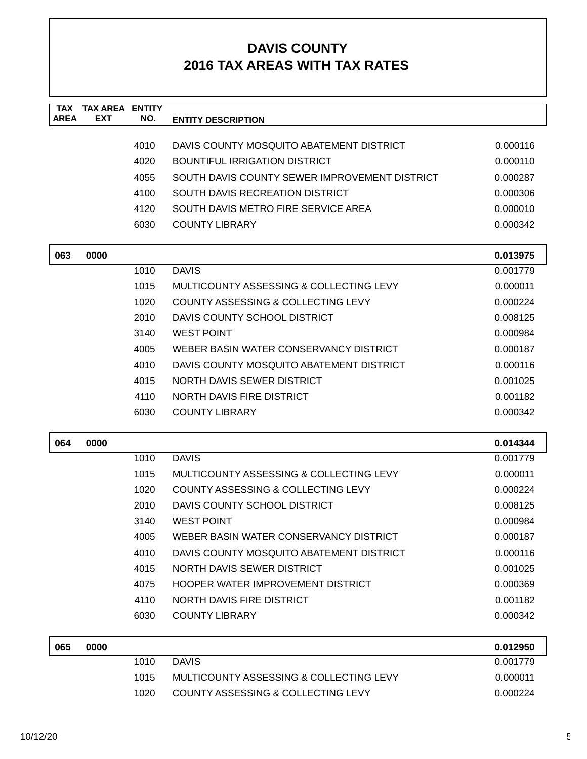| <b>TAX</b><br><b>AREA</b> | <b>TAX AREA ENTITY</b><br>EXT | NO.  | <b>ENTITY DESCRIPTION</b>                     |          |
|---------------------------|-------------------------------|------|-----------------------------------------------|----------|
|                           |                               |      |                                               |          |
|                           |                               | 4010 | DAVIS COUNTY MOSQUITO ABATEMENT DISTRICT      | 0.000116 |
|                           |                               | 4020 | <b>BOUNTIFUL IRRIGATION DISTRICT</b>          | 0.000110 |
|                           |                               | 4055 | SOUTH DAVIS COUNTY SEWER IMPROVEMENT DISTRICT | 0.000287 |
|                           |                               | 4100 | SOUTH DAVIS RECREATION DISTRICT               | 0.000306 |
|                           |                               | 4120 | SOUTH DAVIS METRO FIRE SERVICE AREA           | 0.000010 |
|                           |                               | 6030 | <b>COUNTY LIBRARY</b>                         | 0.000342 |
| 063                       | 0000                          |      |                                               | 0.013975 |
|                           |                               | 1010 | <b>DAVIS</b>                                  | 0.001779 |
|                           |                               | 1015 | MULTICOUNTY ASSESSING & COLLECTING LEVY       | 0.000011 |
|                           |                               | 1020 | COUNTY ASSESSING & COLLECTING LEVY            | 0.000224 |
|                           |                               | 2010 | DAVIS COUNTY SCHOOL DISTRICT                  | 0.008125 |
|                           |                               | 3140 | <b>WEST POINT</b>                             | 0.000984 |
|                           |                               | 4005 | WEBER BASIN WATER CONSERVANCY DISTRICT        | 0.000187 |
|                           |                               | 4010 | DAVIS COUNTY MOSQUITO ABATEMENT DISTRICT      | 0.000116 |
|                           |                               | 4015 | <b>NORTH DAVIS SEWER DISTRICT</b>             | 0.001025 |
|                           |                               | 4110 | NORTH DAVIS FIRE DISTRICT                     | 0.001182 |
|                           |                               | 6030 | <b>COUNTY LIBRARY</b>                         | 0.000342 |
| 064                       | 0000                          |      |                                               | 0.014344 |
|                           |                               | 1010 | <b>DAVIS</b>                                  | 0.001779 |
|                           |                               | 1015 | MULTICOUNTY ASSESSING & COLLECTING LEVY       | 0.000011 |
|                           |                               | 1020 | COUNTY ASSESSING & COLLECTING LEVY            | 0.000224 |
|                           |                               | 2010 | DAVIS COUNTY SCHOOL DISTRICT                  | 0.008125 |
|                           |                               | 3140 | <b>WEST POINT</b>                             | 0.000984 |
|                           |                               | 4005 | WEBER BASIN WATER CONSERVANCY DISTRICT        | 0.000187 |
|                           |                               | 4010 | DAVIS COUNTY MOSQUITO ABATEMENT DISTRICT      | 0.000116 |
|                           |                               | 4015 | NORTH DAVIS SEWER DISTRICT                    | 0.001025 |
|                           |                               | 4075 | <b>HOOPER WATER IMPROVEMENT DISTRICT</b>      | 0.000369 |
|                           |                               | 4110 | NORTH DAVIS FIRE DISTRICT                     | 0.001182 |
|                           |                               | 6030 | <b>COUNTY LIBRARY</b>                         | 0.000342 |
| 065                       | 0000                          |      |                                               | 0.012950 |
|                           |                               | 1010 | <b>DAVIS</b>                                  | 0.001779 |
|                           |                               | 1015 | MULTICOUNTY ASSESSING & COLLECTING LEVY       | 0.000011 |

1020 COUNTY ASSESSING & COLLECTING LEVY 0.000224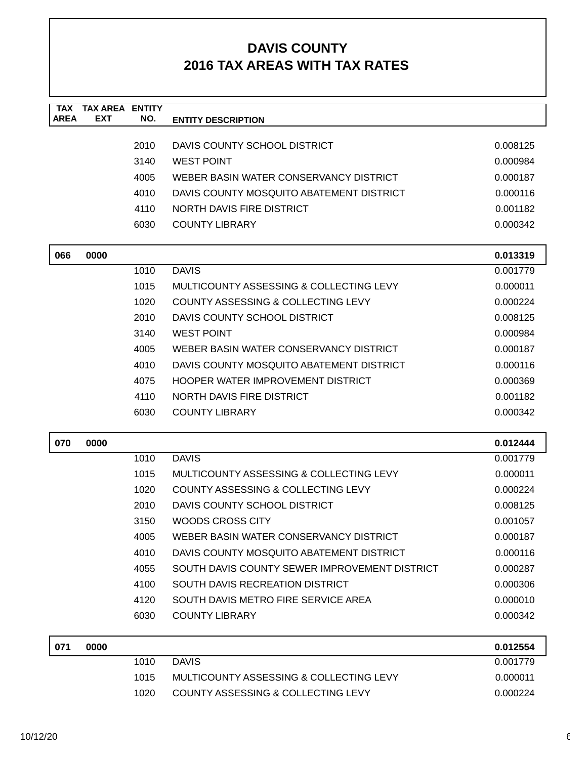| <b>TAX</b><br><b>AREA</b> | <b>TAX AREA ENTITY</b><br><b>EXT</b> | NO.  | <b>ENTITY DESCRIPTION</b>                     |          |
|---------------------------|--------------------------------------|------|-----------------------------------------------|----------|
|                           |                                      |      |                                               |          |
|                           |                                      | 2010 | DAVIS COUNTY SCHOOL DISTRICT                  | 0.008125 |
|                           |                                      | 3140 | <b>WEST POINT</b>                             | 0.000984 |
|                           |                                      | 4005 | WEBER BASIN WATER CONSERVANCY DISTRICT        | 0.000187 |
|                           |                                      | 4010 | DAVIS COUNTY MOSQUITO ABATEMENT DISTRICT      | 0.000116 |
|                           |                                      | 4110 | NORTH DAVIS FIRE DISTRICT                     | 0.001182 |
|                           |                                      | 6030 | <b>COUNTY LIBRARY</b>                         | 0.000342 |
| 066                       | 0000                                 |      |                                               | 0.013319 |
|                           |                                      | 1010 | <b>DAVIS</b>                                  | 0.001779 |
|                           |                                      | 1015 | MULTICOUNTY ASSESSING & COLLECTING LEVY       | 0.000011 |
|                           |                                      | 1020 | COUNTY ASSESSING & COLLECTING LEVY            | 0.000224 |
|                           |                                      | 2010 | DAVIS COUNTY SCHOOL DISTRICT                  | 0.008125 |
|                           |                                      | 3140 | <b>WEST POINT</b>                             | 0.000984 |
|                           |                                      | 4005 | WEBER BASIN WATER CONSERVANCY DISTRICT        | 0.000187 |
|                           |                                      | 4010 | DAVIS COUNTY MOSOUITO ABATEMENT DISTRICT      | 0.000116 |
|                           |                                      | 4075 | HOOPER WATER IMPROVEMENT DISTRICT             | 0.000369 |
|                           |                                      | 4110 | NORTH DAVIS FIRE DISTRICT                     | 0.001182 |
|                           |                                      | 6030 | <b>COUNTY LIBRARY</b>                         | 0.000342 |
| 070                       | 0000                                 |      |                                               | 0.012444 |
|                           |                                      | 1010 | <b>DAVIS</b>                                  | 0.001779 |
|                           |                                      | 1015 | MULTICOUNTY ASSESSING & COLLECTING LEVY       | 0.000011 |
|                           |                                      | 1020 | COUNTY ASSESSING & COLLECTING LEVY            | 0.000224 |
|                           |                                      | 2010 | DAVIS COUNTY SCHOOL DISTRICT                  | 0.008125 |
|                           |                                      | 3150 | <b>WOODS CROSS CITY</b>                       | 0.001057 |
|                           |                                      | 4005 | WEBER BASIN WATER CONSERVANCY DISTRICT        | 0.000187 |
|                           |                                      | 4010 | DAVIS COUNTY MOSQUITO ABATEMENT DISTRICT      | 0.000116 |
|                           |                                      | 4055 | SOUTH DAVIS COUNTY SEWER IMPROVEMENT DISTRICT | 0.000287 |
|                           |                                      | 4100 | SOUTH DAVIS RECREATION DISTRICT               | 0.000306 |
|                           |                                      | 4120 | SOUTH DAVIS METRO FIRE SERVICE AREA           | 0.000010 |
|                           |                                      | 6030 | <b>COUNTY LIBRARY</b>                         | 0.000342 |
| 071                       | 0000                                 |      |                                               | 0.012554 |
|                           |                                      | 1010 | <b>DAVIS</b>                                  | 0.001779 |
|                           |                                      | 1015 | MULTICOUNTY ASSESSING & COLLECTING LEVY       | 0.000011 |

1020 COUNTY ASSESSING & COLLECTING LEVY 0.000224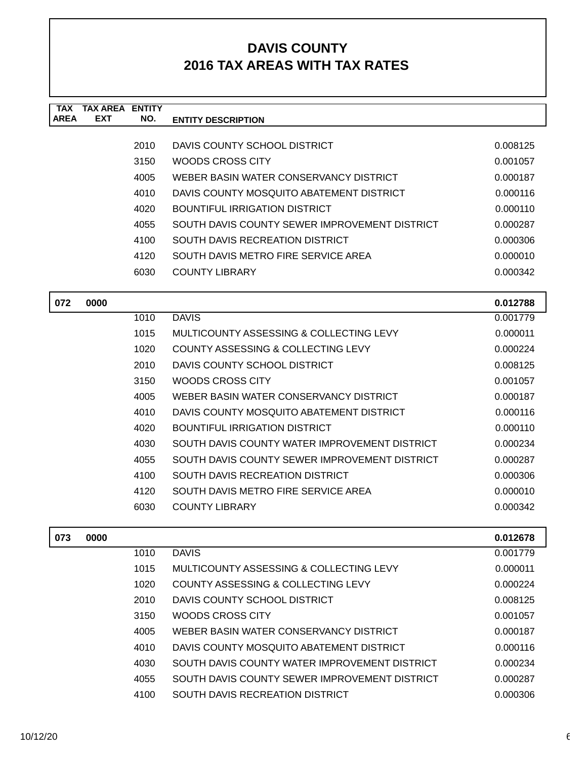| <b>TAX</b><br><b>AREA</b> | <b>TAX AREA ENTITY</b><br><b>EXT</b> | NO.  | <b>ENTITY DESCRIPTION</b>                     |          |
|---------------------------|--------------------------------------|------|-----------------------------------------------|----------|
|                           |                                      |      |                                               |          |
|                           |                                      | 2010 | DAVIS COUNTY SCHOOL DISTRICT                  | 0.008125 |
|                           |                                      | 3150 | WOODS CROSS CITY                              | 0.001057 |
|                           |                                      | 4005 | WEBER BASIN WATER CONSERVANCY DISTRICT        | 0.000187 |
|                           |                                      | 4010 | DAVIS COUNTY MOSQUITO ABATEMENT DISTRICT      | 0.000116 |
|                           |                                      | 4020 | <b>BOUNTIFUL IRRIGATION DISTRICT</b>          | 0.000110 |
|                           |                                      | 4055 | SOUTH DAVIS COUNTY SEWER IMPROVEMENT DISTRICT | 0.000287 |
|                           |                                      | 4100 | SOUTH DAVIS RECREATION DISTRICT               | 0.000306 |
|                           |                                      | 4120 | SOUTH DAVIS METRO FIRE SERVICE AREA           | 0.000010 |
|                           |                                      | 6030 | <b>COUNTY LIBRARY</b>                         | 0.000342 |
| 072                       | 0000                                 |      |                                               | 0.012788 |
|                           |                                      | 1010 | <b>DAVIS</b>                                  | 0.001779 |
|                           |                                      | 1015 | MULTICOUNTY ASSESSING & COLLECTING LEVY       | 0.000011 |
|                           |                                      | 1020 | COUNTY ASSESSING & COLLECTING LEVY            | 0.000224 |
|                           |                                      | 2010 | DAVIS COUNTY SCHOOL DISTRICT                  | 0.008125 |
|                           |                                      | 3150 | WOODS CROSS CITY                              | 0.001057 |
|                           |                                      | 4005 | WEBER BASIN WATER CONSERVANCY DISTRICT        | 0.000187 |
|                           |                                      | 4010 | DAVIS COUNTY MOSQUITO ABATEMENT DISTRICT      | 0.000116 |
|                           |                                      | 4020 | <b>BOUNTIFUL IRRIGATION DISTRICT</b>          | 0.000110 |
|                           |                                      | 4030 | SOUTH DAVIS COUNTY WATER IMPROVEMENT DISTRICT | 0.000234 |
|                           |                                      | 4055 | SOUTH DAVIS COUNTY SEWER IMPROVEMENT DISTRICT | 0.000287 |
|                           |                                      | 4100 | <b>SOUTH DAVIS RECREATION DISTRICT</b>        | 0.000306 |
|                           |                                      | 4120 | SOUTH DAVIS METRO FIRE SERVICE AREA           | 0.000010 |
|                           |                                      | 6030 | <b>COUNTY LIBRARY</b>                         | 0.000342 |
| 073                       | 0000                                 |      |                                               | 0.012678 |
|                           |                                      | 1010 | <b>DAVIS</b>                                  | 0.001779 |
|                           |                                      | 1015 | MULTICOUNTY ASSESSING & COLLECTING LEVY       | 0.000011 |
|                           |                                      | 1020 | COUNTY ASSESSING & COLLECTING LEVY            | 0.000224 |
|                           |                                      | 2010 | DAVIS COUNTY SCHOOL DISTRICT                  | 0.008125 |
|                           |                                      | 3150 | WOODS CROSS CITY                              | 0.001057 |
|                           |                                      | 4005 | WEBER BASIN WATER CONSERVANCY DISTRICT        | 0.000187 |
|                           |                                      | 4010 | DAVIS COUNTY MOSQUITO ABATEMENT DISTRICT      | 0.000116 |
|                           |                                      | 4030 | SOUTH DAVIS COUNTY WATER IMPROVEMENT DISTRICT | 0.000234 |
|                           |                                      | 4055 | SOUTH DAVIS COUNTY SEWER IMPROVEMENT DISTRICT | 0.000287 |
|                           |                                      | 4100 | SOUTH DAVIS RECREATION DISTRICT               | 0.000306 |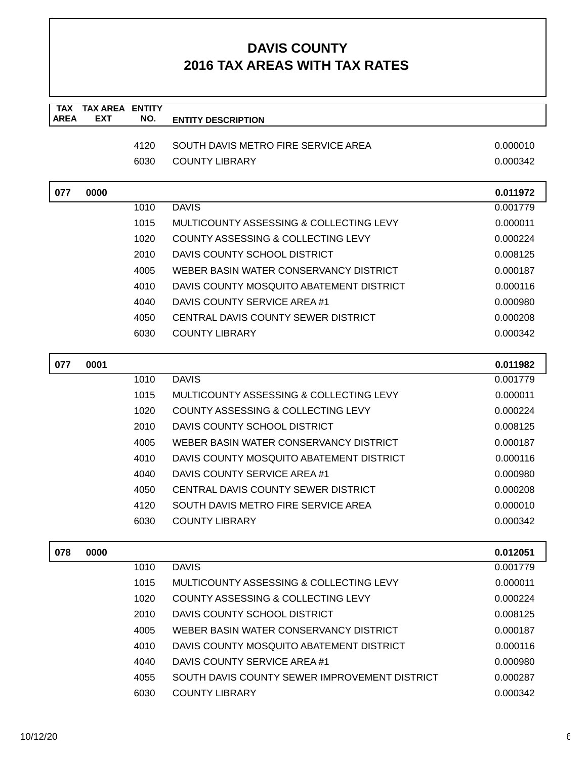| <b>TAX</b>  | <b>TAX AREA ENTITY</b> |      |                                                    |          |
|-------------|------------------------|------|----------------------------------------------------|----------|
| <b>AREA</b> | <b>EXT</b>             | NO.  | <b>ENTITY DESCRIPTION</b>                          |          |
|             |                        | 4120 | SOUTH DAVIS METRO FIRE SERVICE AREA                | 0.000010 |
|             |                        | 6030 | <b>COUNTY LIBRARY</b>                              | 0.000342 |
|             |                        |      |                                                    |          |
| 077         | 0000                   |      |                                                    | 0.011972 |
|             |                        | 1010 | <b>DAVIS</b>                                       | 0.001779 |
|             |                        | 1015 | MULTICOUNTY ASSESSING & COLLECTING LEVY            | 0.000011 |
|             |                        | 1020 | COUNTY ASSESSING & COLLECTING LEVY                 | 0.000224 |
|             |                        | 2010 | DAVIS COUNTY SCHOOL DISTRICT                       | 0.008125 |
|             |                        | 4005 | WEBER BASIN WATER CONSERVANCY DISTRICT             | 0.000187 |
|             |                        | 4010 | DAVIS COUNTY MOSQUITO ABATEMENT DISTRICT           | 0.000116 |
|             |                        | 4040 | DAVIS COUNTY SERVICE AREA #1                       | 0.000980 |
|             |                        | 4050 | CENTRAL DAVIS COUNTY SEWER DISTRICT                | 0.000208 |
|             |                        | 6030 | <b>COUNTY LIBRARY</b>                              | 0.000342 |
| 077         | 0001                   |      |                                                    | 0.011982 |
|             |                        | 1010 | <b>DAVIS</b>                                       | 0.001779 |
|             |                        | 1015 | <b>MULTICOUNTY ASSESSING &amp; COLLECTING LEVY</b> | 0.000011 |
|             |                        | 1020 | COUNTY ASSESSING & COLLECTING LEVY                 | 0.000224 |
|             |                        | 2010 | DAVIS COUNTY SCHOOL DISTRICT                       | 0.008125 |
|             |                        | 4005 | WEBER BASIN WATER CONSERVANCY DISTRICT             | 0.000187 |
|             |                        | 4010 | DAVIS COUNTY MOSQUITO ABATEMENT DISTRICT           | 0.000116 |
|             |                        | 4040 | DAVIS COUNTY SERVICE AREA #1                       | 0.000980 |
|             |                        | 4050 | CENTRAL DAVIS COUNTY SEWER DISTRICT                | 0.000208 |
|             |                        | 4120 | SOUTH DAVIS METRO FIRE SERVICE AREA                | 0.000010 |
|             |                        | 6030 | <b>COUNTY LIBRARY</b>                              | 0.000342 |
|             |                        |      |                                                    |          |
| 078         | 0000                   |      |                                                    | 0.012051 |
|             |                        | 1010 | <b>DAVIS</b>                                       | 0.001779 |
|             |                        | 1015 | MULTICOUNTY ASSESSING & COLLECTING LEVY            | 0.000011 |
|             |                        | 1020 | COUNTY ASSESSING & COLLECTING LEVY                 | 0.000224 |
|             |                        | 2010 | DAVIS COUNTY SCHOOL DISTRICT                       | 0.008125 |
|             |                        | 4005 | WEBER BASIN WATER CONSERVANCY DISTRICT             | 0.000187 |
|             |                        | 4010 | DAVIS COUNTY MOSQUITO ABATEMENT DISTRICT           | 0.000116 |
|             |                        | 4040 | DAVIS COUNTY SERVICE AREA #1                       | 0.000980 |
|             |                        | 4055 | SOUTH DAVIS COUNTY SEWER IMPROVEMENT DISTRICT      | 0.000287 |
|             |                        | 6030 | <b>COUNTY LIBRARY</b>                              | 0.000342 |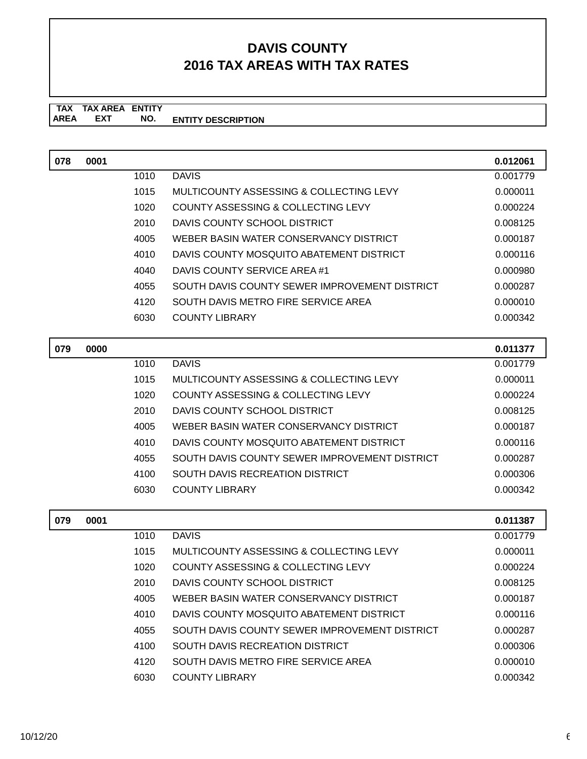| 078 | 0001 |      |                                               | 0.012061 |
|-----|------|------|-----------------------------------------------|----------|
|     |      | 1010 | <b>DAVIS</b>                                  | 0.001779 |
|     |      | 1015 | MULTICOUNTY ASSESSING & COLLECTING LEVY       | 0.000011 |
|     |      | 1020 | COUNTY ASSESSING & COLLECTING LEVY            | 0.000224 |
|     |      | 2010 | DAVIS COUNTY SCHOOL DISTRICT                  | 0.008125 |
|     |      | 4005 | WEBER BASIN WATER CONSERVANCY DISTRICT        | 0.000187 |
|     |      | 4010 | DAVIS COUNTY MOSQUITO ABATEMENT DISTRICT      | 0.000116 |
|     |      | 4040 | DAVIS COUNTY SERVICE AREA #1                  | 0.000980 |
|     |      | 4055 | SOUTH DAVIS COUNTY SEWER IMPROVEMENT DISTRICT | 0.000287 |
|     |      | 4120 | SOUTH DAVIS METRO FIRE SERVICE AREA           | 0.000010 |
|     |      | 6030 | <b>COUNTY LIBRARY</b>                         | 0.000342 |
|     |      |      |                                               |          |
| 079 | 0000 |      |                                               | 0.011377 |
|     |      | 1010 | <b>DAVIS</b>                                  | 0.001779 |
|     |      | 1015 | MULTICOUNTY ASSESSING & COLLECTING LEVY       | 0.000011 |
|     |      | 1020 | <b>COUNTY ASSESSING &amp; COLLECTING LEVY</b> | 0.000224 |
|     |      | 2010 | DAVIS COUNTY SCHOOL DISTRICT                  | 0.008125 |
|     |      | 4005 | WEBER BASIN WATER CONSERVANCY DISTRICT        | 0.000187 |
|     |      | 4010 | DAVIS COUNTY MOSQUITO ABATEMENT DISTRICT      | 0.000116 |
|     |      | 4055 | SOUTH DAVIS COUNTY SEWER IMPROVEMENT DISTRICT | 0.000287 |
|     |      | 4100 | SOUTH DAVIS RECREATION DISTRICT               | 0.000306 |
|     |      | 6030 | <b>COUNTY LIBRARY</b>                         | 0.000342 |
|     |      |      |                                               |          |

| 079 | 0001 |      |                                               | 0.011387 |
|-----|------|------|-----------------------------------------------|----------|
|     |      | 1010 | <b>DAVIS</b>                                  | 0.001779 |
|     |      | 1015 | MULTICOUNTY ASSESSING & COLLECTING LEVY       | 0.000011 |
|     |      | 1020 | COUNTY ASSESSING & COLLECTING LEVY            | 0.000224 |
|     |      | 2010 | DAVIS COUNTY SCHOOL DISTRICT                  | 0.008125 |
|     |      | 4005 | WEBER BASIN WATER CONSERVANCY DISTRICT        | 0.000187 |
|     |      | 4010 | DAVIS COUNTY MOSQUITO ABATEMENT DISTRICT      | 0.000116 |
|     |      | 4055 | SOUTH DAVIS COUNTY SEWER IMPROVEMENT DISTRICT | 0.000287 |
|     |      | 4100 | SOUTH DAVIS RECREATION DISTRICT               | 0.000306 |
|     |      | 4120 | SOUTH DAVIS METRO FIRE SERVICE AREA           | 0.000010 |
|     |      | 6030 | <b>COUNTY LIBRARY</b>                         | 0.000342 |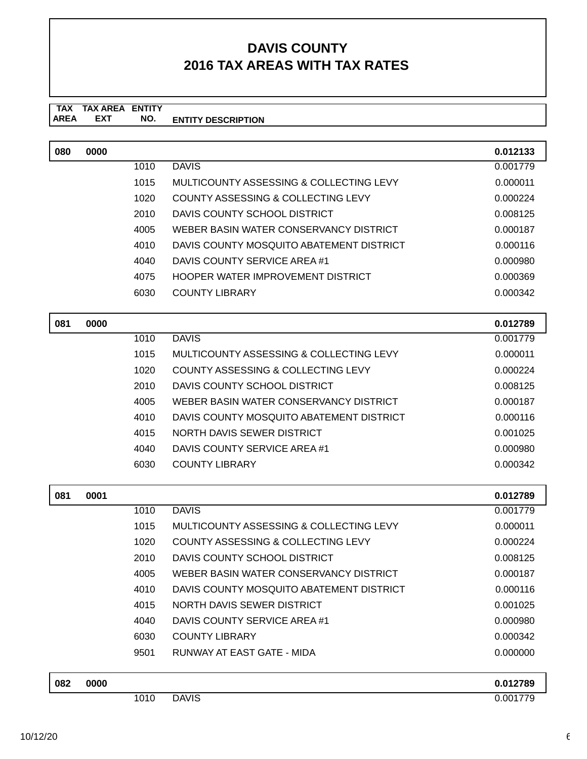| 080 | 0000 |      |                                               | 0.012133 |
|-----|------|------|-----------------------------------------------|----------|
|     |      | 1010 | <b>DAVIS</b>                                  | 0.001779 |
|     |      | 1015 | MULTICOUNTY ASSESSING & COLLECTING LEVY       | 0.000011 |
|     |      | 1020 | COUNTY ASSESSING & COLLECTING LEVY            | 0.000224 |
|     |      | 2010 | DAVIS COUNTY SCHOOL DISTRICT                  | 0.008125 |
|     |      | 4005 | WEBER BASIN WATER CONSERVANCY DISTRICT        | 0.000187 |
|     |      | 4010 | DAVIS COUNTY MOSQUITO ABATEMENT DISTRICT      | 0.000116 |
|     |      | 4040 | DAVIS COUNTY SERVICE AREA #1                  | 0.000980 |
|     |      | 4075 | HOOPER WATER IMPROVEMENT DISTRICT             | 0.000369 |
|     |      | 6030 | <b>COUNTY LIBRARY</b>                         | 0.000342 |
|     |      |      |                                               |          |
| 081 | 0000 |      |                                               | 0.012789 |
|     |      | 1010 | <b>DAVIS</b>                                  | 0.001779 |
|     |      | 1015 | MULTICOUNTY ASSESSING & COLLECTING LEVY       | 0.000011 |
|     |      | 1020 | <b>COUNTY ASSESSING &amp; COLLECTING LEVY</b> | 0.000224 |
|     |      | 2010 | DAVIS COUNTY SCHOOL DISTRICT                  | 0.008125 |
|     |      | 4005 | WEBER BASIN WATER CONSERVANCY DISTRICT        | 0.000187 |
|     |      | 4010 | DAVIS COUNTY MOSQUITO ABATEMENT DISTRICT      | 0.000116 |
|     |      | 4015 | NORTH DAVIS SEWER DISTRICT                    | 0.001025 |
|     |      | 4040 | DAVIS COUNTY SERVICE AREA #1                  | 0.000980 |
|     |      | 6030 | <b>COUNTY LIBRARY</b>                         | 0.000342 |
|     |      |      |                                               |          |
| 081 | 0001 |      |                                               | 0.012789 |
|     |      | 1010 | <b>DAVIS</b>                                  | 0.001779 |
|     |      | 1015 | MULTICOUNTY ASSESSING & COLLECTING LEVY       | 0.000011 |
|     |      | 1020 | <b>COUNTY ASSESSING &amp; COLLECTING LEVY</b> | 0.000224 |
|     |      | 2010 | DAVIS COUNTY SCHOOL DISTRICT                  | 0.008125 |
|     |      | 4005 | WEBER BASIN WATER CONSERVANCY DISTRICT        | 0.000187 |
|     |      | 4010 | DAVIS COUNTY MOSQUITO ABATEMENT DISTRICT      | 0.000116 |
|     |      | 4015 | NORTH DAVIS SEWER DISTRICT                    | 0.001025 |
|     |      | 4040 | DAVIS COUNTY SERVICE AREA #1                  | 0.000980 |
|     |      | 6030 | <b>COUNTY LIBRARY</b>                         | 0.000342 |
|     |      | 9501 | RUNWAY AT EAST GATE - MIDA                    | 0.000000 |

| 082 | 0000 |      |              | 0.012789 |
|-----|------|------|--------------|----------|
|     |      | 1010 | <b>DAVIS</b> | 0.001779 |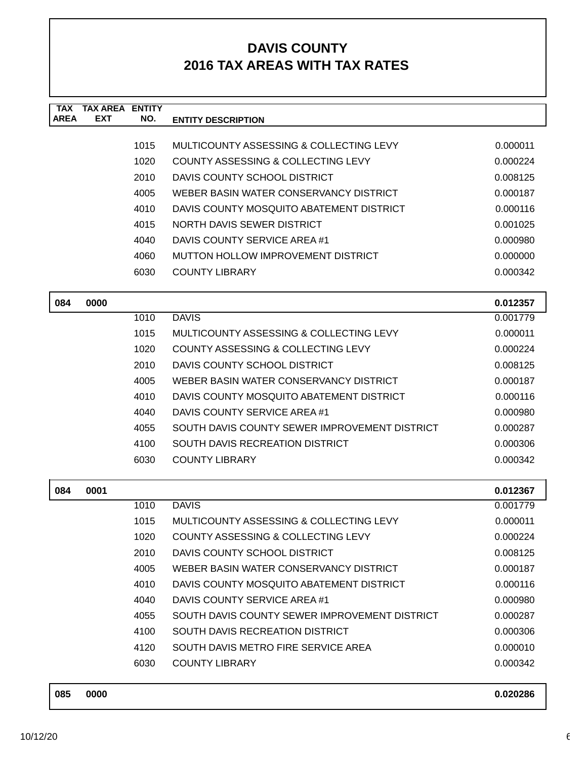| <b>TAX</b><br><b>AREA</b> | <b>TAX AREA</b><br><b>EXT</b> | <b>ENTITY</b><br>NO. |                                               |          |
|---------------------------|-------------------------------|----------------------|-----------------------------------------------|----------|
|                           |                               |                      | <b>ENTITY DESCRIPTION</b>                     |          |
|                           |                               | 1015                 | MULTICOUNTY ASSESSING & COLLECTING LEVY       | 0.000011 |
|                           |                               | 1020                 | COUNTY ASSESSING & COLLECTING LEVY            | 0.000224 |
|                           |                               | 2010                 | DAVIS COUNTY SCHOOL DISTRICT                  | 0.008125 |
|                           |                               | 4005                 | WEBER BASIN WATER CONSERVANCY DISTRICT        | 0.000187 |
|                           |                               | 4010                 | DAVIS COUNTY MOSQUITO ABATEMENT DISTRICT      | 0.000116 |
|                           |                               | 4015                 | NORTH DAVIS SEWER DISTRICT                    | 0.001025 |
|                           |                               | 4040                 | DAVIS COUNTY SERVICE AREA #1                  | 0.000980 |
|                           |                               | 4060                 | MUTTON HOLLOW IMPROVEMENT DISTRICT            | 0.000000 |
|                           |                               | 6030                 | <b>COUNTY LIBRARY</b>                         | 0.000342 |
| 084                       | 0000                          |                      |                                               | 0.012357 |
|                           |                               | 1010                 | <b>DAVIS</b>                                  | 0.001779 |
|                           |                               | 1015                 | MULTICOUNTY ASSESSING & COLLECTING LEVY       | 0.000011 |
|                           |                               | 1020                 | COUNTY ASSESSING & COLLECTING LEVY            | 0.000224 |
|                           |                               | 2010                 | DAVIS COUNTY SCHOOL DISTRICT                  | 0.008125 |
|                           |                               | 4005                 | WEBER BASIN WATER CONSERVANCY DISTRICT        | 0.000187 |
|                           |                               | 4010                 | DAVIS COUNTY MOSQUITO ABATEMENT DISTRICT      | 0.000116 |
|                           |                               | 4040                 | DAVIS COUNTY SERVICE AREA #1                  | 0.000980 |
|                           |                               | 4055                 | SOUTH DAVIS COUNTY SEWER IMPROVEMENT DISTRICT | 0.000287 |
|                           |                               | 4100                 | SOUTH DAVIS RECREATION DISTRICT               | 0.000306 |
|                           |                               | 6030                 | <b>COUNTY LIBRARY</b>                         | 0.000342 |
| 084                       | 0001                          |                      |                                               | 0.012367 |
|                           |                               | 1010                 | <b>DAVIS</b>                                  | 0.001779 |
|                           |                               | 1015                 | MULTICOUNTY ASSESSING & COLLECTING LEVY       | 0.000011 |
|                           |                               | 1020                 | <b>COUNTY ASSESSING &amp; COLLECTING LEVY</b> | 0.000224 |
|                           |                               | 2010                 | DAVIS COUNTY SCHOOL DISTRICT                  | 0.008125 |
|                           |                               | 4005                 | WEBER BASIN WATER CONSERVANCY DISTRICT        | 0.000187 |
|                           |                               | 4010                 | DAVIS COUNTY MOSQUITO ABATEMENT DISTRICT      | 0.000116 |
|                           |                               | 4040                 | DAVIS COUNTY SERVICE AREA #1                  | 0.000980 |
|                           |                               | 4055                 | SOUTH DAVIS COUNTY SEWER IMPROVEMENT DISTRICT | 0.000287 |
|                           |                               | 4100                 | SOUTH DAVIS RECREATION DISTRICT               | 0.000306 |
|                           |                               | 4120                 | SOUTH DAVIS METRO FIRE SERVICE AREA           | 0.000010 |
|                           |                               | 6030                 | <b>COUNTY LIBRARY</b>                         | 0.000342 |
| 085                       | 0000                          |                      |                                               | 0.020286 |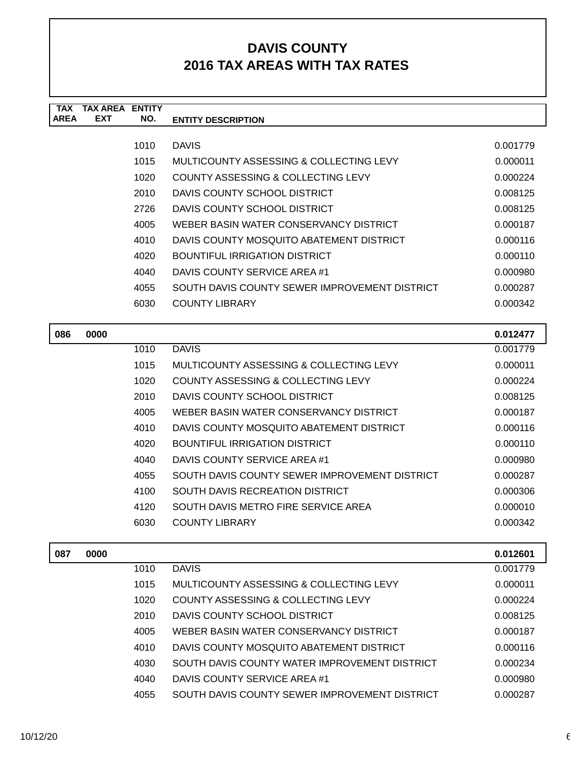| TAX         | TAX AREA   | <b>ENTITY</b> |                                               |          |
|-------------|------------|---------------|-----------------------------------------------|----------|
| <b>AREA</b> | <b>EXT</b> | NO.           | <b>ENTITY DESCRIPTION</b>                     |          |
|             |            |               |                                               |          |
|             |            | 1010          | <b>DAVIS</b>                                  | 0.001779 |
|             |            | 1015          | MULTICOUNTY ASSESSING & COLLECTING LEVY       | 0.000011 |
|             |            | 1020          | COUNTY ASSESSING & COLLECTING LEVY            | 0.000224 |
|             |            | 2010          | DAVIS COUNTY SCHOOL DISTRICT                  | 0.008125 |
|             |            | 2726          | DAVIS COUNTY SCHOOL DISTRICT                  | 0.008125 |
|             |            | 4005          | WEBER BASIN WATER CONSERVANCY DISTRICT        | 0.000187 |
|             |            | 4010          | DAVIS COUNTY MOSQUITO ABATEMENT DISTRICT      | 0.000116 |
|             |            | 4020          | <b>BOUNTIFUL IRRIGATION DISTRICT</b>          | 0.000110 |
|             |            | 4040          | DAVIS COUNTY SERVICE AREA #1                  | 0.000980 |
|             |            | 4055          | SOUTH DAVIS COUNTY SEWER IMPROVEMENT DISTRICT | 0.000287 |
|             |            | 6030          | COUNTY LIBRARY                                | 0.000342 |
|             |            |               |                                               |          |

| 086 | 0000 |      |                                               | 0.012477 |
|-----|------|------|-----------------------------------------------|----------|
|     |      | 1010 | <b>DAVIS</b>                                  | 0.001779 |
|     |      | 1015 | MULTICOUNTY ASSESSING & COLLECTING LEVY       | 0.000011 |
|     |      | 1020 | COUNTY ASSESSING & COLLECTING LEVY            | 0.000224 |
|     |      | 2010 | DAVIS COUNTY SCHOOL DISTRICT                  | 0.008125 |
|     |      | 4005 | WEBER BASIN WATER CONSERVANCY DISTRICT        | 0.000187 |
|     |      | 4010 | DAVIS COUNTY MOSQUITO ABATEMENT DISTRICT      | 0.000116 |
|     |      | 4020 | BOUNTIFUL IRRIGATION DISTRICT                 | 0.000110 |
|     |      | 4040 | DAVIS COUNTY SERVICE AREA #1                  | 0.000980 |
|     |      | 4055 | SOUTH DAVIS COUNTY SEWER IMPROVEMENT DISTRICT | 0.000287 |
|     |      | 4100 | SOUTH DAVIS RECREATION DISTRICT               | 0.000306 |
|     |      | 4120 | SOUTH DAVIS METRO FIRE SERVICE AREA           | 0.000010 |
|     |      | 6030 | COUNTY LIBRARY                                | 0.000342 |
|     |      |      |                                               |          |

| 087 | 0000 |      |                                               | 0.012601 |
|-----|------|------|-----------------------------------------------|----------|
|     |      | 1010 | <b>DAVIS</b>                                  | 0.001779 |
|     |      | 1015 | MULTICOUNTY ASSESSING & COLLECTING LEVY       | 0.000011 |
|     |      | 1020 | COUNTY ASSESSING & COLLECTING LEVY            | 0.000224 |
|     |      | 2010 | DAVIS COUNTY SCHOOL DISTRICT                  | 0.008125 |
|     |      | 4005 | WEBER BASIN WATER CONSERVANCY DISTRICT        | 0.000187 |
|     |      | 4010 | DAVIS COUNTY MOSQUITO ABATEMENT DISTRICT      | 0.000116 |
|     |      | 4030 | SOUTH DAVIS COUNTY WATER IMPROVEMENT DISTRICT | 0.000234 |
|     |      | 4040 | DAVIS COUNTY SERVICE AREA #1                  | 0.000980 |
|     |      | 4055 | SOUTH DAVIS COUNTY SEWER IMPROVEMENT DISTRICT | 0.000287 |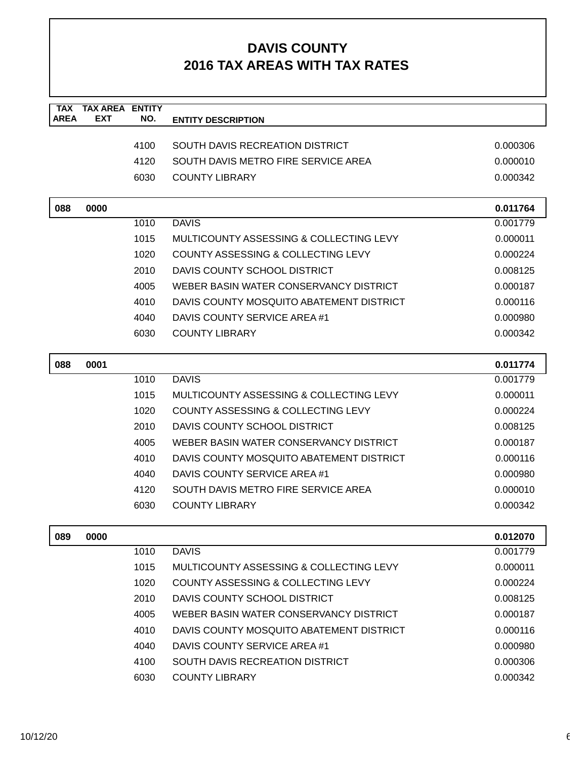| <b>TAX</b><br><b>AREA</b> | <b>TAX AREA ENTITY</b><br><b>EXT</b> | NO.  |                                               |          |
|---------------------------|--------------------------------------|------|-----------------------------------------------|----------|
|                           |                                      |      | <b>ENTITY DESCRIPTION</b>                     |          |
|                           |                                      | 4100 | SOUTH DAVIS RECREATION DISTRICT               | 0.000306 |
|                           |                                      | 4120 | SOUTH DAVIS METRO FIRE SERVICE AREA           | 0.000010 |
|                           |                                      | 6030 | <b>COUNTY LIBRARY</b>                         | 0.000342 |
|                           |                                      |      |                                               |          |
| 088                       | 0000                                 |      |                                               | 0.011764 |
|                           |                                      | 1010 | <b>DAVIS</b>                                  | 0.001779 |
|                           |                                      | 1015 | MULTICOUNTY ASSESSING & COLLECTING LEVY       | 0.000011 |
|                           |                                      | 1020 | <b>COUNTY ASSESSING &amp; COLLECTING LEVY</b> | 0.000224 |
|                           |                                      | 2010 | DAVIS COUNTY SCHOOL DISTRICT                  | 0.008125 |
|                           |                                      | 4005 | WEBER BASIN WATER CONSERVANCY DISTRICT        | 0.000187 |
|                           |                                      | 4010 | DAVIS COUNTY MOSQUITO ABATEMENT DISTRICT      | 0.000116 |
|                           |                                      | 4040 | DAVIS COUNTY SERVICE AREA #1                  | 0.000980 |
|                           |                                      | 6030 | <b>COUNTY LIBRARY</b>                         | 0.000342 |
|                           |                                      |      |                                               |          |
| 088                       | 0001                                 |      |                                               | 0.011774 |
|                           |                                      | 1010 | <b>DAVIS</b>                                  | 0.001779 |
|                           |                                      | 1015 | MULTICOUNTY ASSESSING & COLLECTING LEVY       | 0.000011 |
|                           |                                      | 1020 | COUNTY ASSESSING & COLLECTING LEVY            | 0.000224 |
|                           |                                      | 2010 | DAVIS COUNTY SCHOOL DISTRICT                  | 0.008125 |
|                           |                                      | 4005 | WEBER BASIN WATER CONSERVANCY DISTRICT        | 0.000187 |
|                           |                                      | 4010 | DAVIS COUNTY MOSQUITO ABATEMENT DISTRICT      | 0.000116 |
|                           |                                      | 4040 | DAVIS COUNTY SERVICE AREA #1                  | 0.000980 |
|                           |                                      | 4120 | SOUTH DAVIS METRO FIRE SERVICE AREA           | 0.000010 |
|                           |                                      | 6030 | <b>COUNTY LIBRARY</b>                         | 0.000342 |
|                           |                                      |      |                                               |          |
| 089                       | 0000                                 |      |                                               | 0.012070 |
|                           |                                      | 1010 | <b>DAVIS</b>                                  | 0.001779 |
|                           |                                      | 1015 | MULTICOUNTY ASSESSING & COLLECTING LEVY       | 0.000011 |
|                           |                                      | 1020 | <b>COUNTY ASSESSING &amp; COLLECTING LEVY</b> | 0.000224 |
|                           |                                      | 2010 | DAVIS COUNTY SCHOOL DISTRICT                  | 0.008125 |
|                           |                                      | 4005 | WEBER BASIN WATER CONSERVANCY DISTRICT        | 0.000187 |
|                           |                                      | 4010 | DAVIS COUNTY MOSQUITO ABATEMENT DISTRICT      | 0.000116 |
|                           |                                      | 4040 | DAVIS COUNTY SERVICE AREA #1                  | 0.000980 |
|                           |                                      | 4100 | SOUTH DAVIS RECREATION DISTRICT               | 0.000306 |
|                           |                                      | 6030 | <b>COUNTY LIBRARY</b>                         | 0.000342 |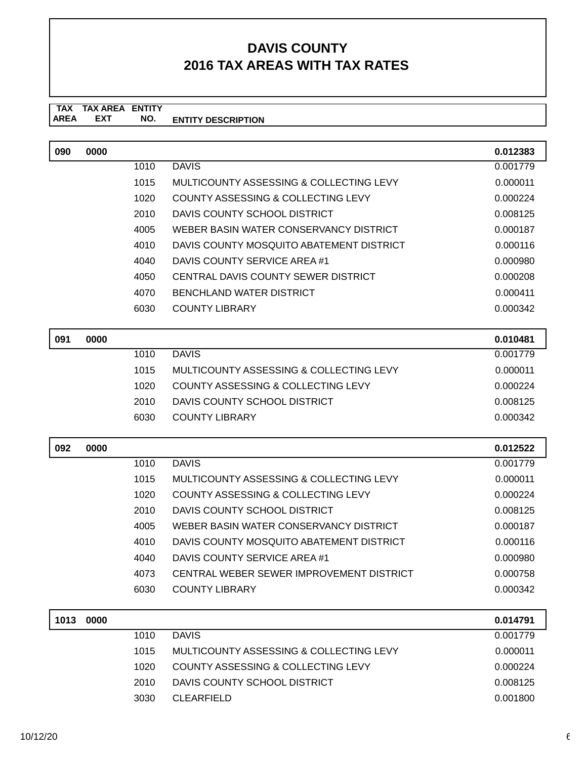| 090  | 0000 |      |                                                                          | 0.012383 |
|------|------|------|--------------------------------------------------------------------------|----------|
|      |      | 1010 | <b>DAVIS</b>                                                             | 0.001779 |
|      |      | 1015 | MULTICOUNTY ASSESSING & COLLECTING LEVY                                  | 0.000011 |
|      |      | 1020 | COUNTY ASSESSING & COLLECTING LEVY                                       | 0.000224 |
|      |      | 2010 | DAVIS COUNTY SCHOOL DISTRICT                                             | 0.008125 |
|      |      | 4005 | WEBER BASIN WATER CONSERVANCY DISTRICT                                   | 0.000187 |
|      |      | 4010 | DAVIS COUNTY MOSQUITO ABATEMENT DISTRICT                                 | 0.000116 |
|      |      | 4040 | DAVIS COUNTY SERVICE AREA #1                                             | 0.000980 |
|      |      | 4050 | CENTRAL DAVIS COUNTY SEWER DISTRICT                                      | 0.000208 |
|      |      | 4070 | BENCHLAND WATER DISTRICT                                                 | 0.000411 |
|      |      | 6030 | <b>COUNTY LIBRARY</b>                                                    | 0.000342 |
| 091  | 0000 |      |                                                                          | 0.010481 |
|      |      | 1010 | <b>DAVIS</b>                                                             | 0.001779 |
|      |      | 1015 | MULTICOUNTY ASSESSING & COLLECTING LEVY                                  | 0.000011 |
|      |      | 1020 | <b>COUNTY ASSESSING &amp; COLLECTING LEVY</b>                            | 0.000224 |
|      |      | 2010 | DAVIS COUNTY SCHOOL DISTRICT                                             | 0.008125 |
|      |      | 6030 | <b>COUNTY LIBRARY</b>                                                    | 0.000342 |
|      |      |      |                                                                          |          |
|      |      |      |                                                                          |          |
| 092  | 0000 |      |                                                                          | 0.012522 |
|      |      | 1010 | <b>DAVIS</b>                                                             | 0.001779 |
|      |      | 1015 | MULTICOUNTY ASSESSING & COLLECTING LEVY                                  | 0.000011 |
|      |      | 1020 | <b>COUNTY ASSESSING &amp; COLLECTING LEVY</b>                            | 0.000224 |
|      |      | 2010 | DAVIS COUNTY SCHOOL DISTRICT                                             | 0.008125 |
|      |      | 4005 | WEBER BASIN WATER CONSERVANCY DISTRICT                                   | 0.000187 |
|      |      | 4010 | DAVIS COUNTY MOSQUITO ABATEMENT DISTRICT                                 | 0.000116 |
|      |      | 4040 | DAVIS COUNTY SERVICE AREA #1<br>CENTRAL WEBER SEWER IMPROVEMENT DISTRICT | 0.000980 |
|      |      | 4073 |                                                                          | 0.000758 |
|      |      | 6030 | <b>COUNTY LIBRARY</b>                                                    | 0.000342 |
| 1013 | 0000 |      |                                                                          | 0.014791 |
|      |      | 1010 | <b>DAVIS</b>                                                             | 0.001779 |
|      |      | 1015 | MULTICOUNTY ASSESSING & COLLECTING LEVY                                  | 0.000011 |
|      |      | 1020 | <b>COUNTY ASSESSING &amp; COLLECTING LEVY</b>                            | 0.000224 |
|      |      | 2010 | DAVIS COUNTY SCHOOL DISTRICT                                             | 0.008125 |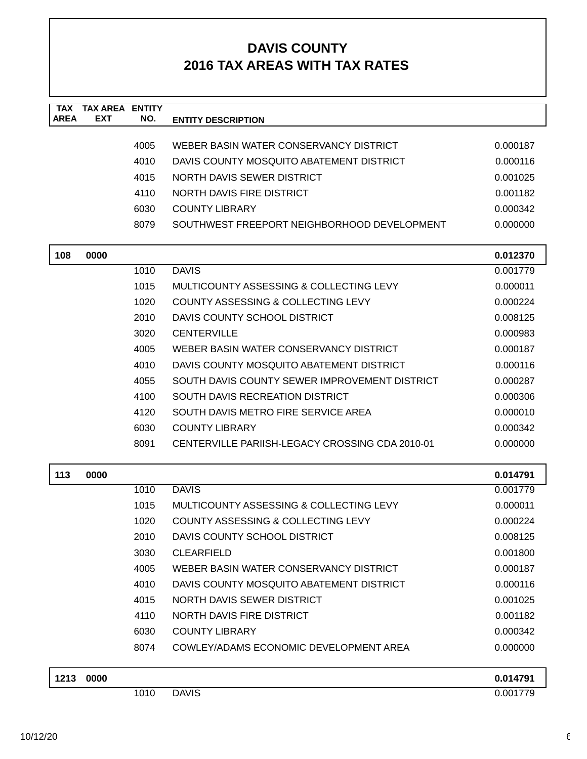| <b>TAX</b><br><b>AREA</b> | <b>TAX AREA ENTITY</b><br><b>EXT</b> | NO.  | <b>ENTITY DESCRIPTION</b>                       |          |
|---------------------------|--------------------------------------|------|-------------------------------------------------|----------|
|                           |                                      |      |                                                 |          |
|                           |                                      | 4005 | WEBER BASIN WATER CONSERVANCY DISTRICT          | 0.000187 |
|                           |                                      | 4010 | DAVIS COUNTY MOSQUITO ABATEMENT DISTRICT        | 0.000116 |
|                           |                                      | 4015 | NORTH DAVIS SEWER DISTRICT                      | 0.001025 |
|                           |                                      | 4110 | NORTH DAVIS FIRE DISTRICT                       | 0.001182 |
|                           |                                      | 6030 | <b>COUNTY LIBRARY</b>                           | 0.000342 |
|                           |                                      | 8079 | SOUTHWEST FREEPORT NEIGHBORHOOD DEVELOPMENT     | 0.000000 |
|                           |                                      |      |                                                 |          |
| 108                       | 0000                                 |      |                                                 | 0.012370 |
|                           |                                      | 1010 | <b>DAVIS</b>                                    | 0.001779 |
|                           |                                      | 1015 | MULTICOUNTY ASSESSING & COLLECTING LEVY         | 0.000011 |
|                           |                                      | 1020 | COUNTY ASSESSING & COLLECTING LEVY              | 0.000224 |
|                           |                                      | 2010 | DAVIS COUNTY SCHOOL DISTRICT                    | 0.008125 |
|                           |                                      | 3020 | <b>CENTERVILLE</b>                              | 0.000983 |
|                           |                                      | 4005 | WEBER BASIN WATER CONSERVANCY DISTRICT          | 0.000187 |
|                           |                                      | 4010 | DAVIS COUNTY MOSQUITO ABATEMENT DISTRICT        | 0.000116 |
|                           |                                      | 4055 | SOUTH DAVIS COUNTY SEWER IMPROVEMENT DISTRICT   | 0.000287 |
|                           |                                      | 4100 | SOUTH DAVIS RECREATION DISTRICT                 | 0.000306 |
|                           |                                      | 4120 | SOUTH DAVIS METRO FIRE SERVICE AREA             | 0.000010 |
|                           |                                      | 6030 | <b>COUNTY LIBRARY</b>                           | 0.000342 |
|                           |                                      | 8091 | CENTERVILLE PARIISH-LEGACY CROSSING CDA 2010-01 | 0.000000 |
| 113                       | 0000                                 |      |                                                 | 0.014791 |
|                           |                                      | 1010 | <b>DAVIS</b>                                    | 0.001779 |
|                           |                                      | 1015 | MULTICOUNTY ASSESSING & COLLECTING LEVY         | 0.000011 |
|                           |                                      | 1020 | COUNTY ASSESSING & COLLECTING LEVY              | 0.000224 |
|                           |                                      | 2010 | DAVIS COUNTY SCHOOL DISTRICT                    | 0.008125 |
|                           |                                      | 3030 | <b>CLEARFIELD</b>                               | 0.001800 |
|                           |                                      | 4005 | WEBER BASIN WATER CONSERVANCY DISTRICT          | 0.000187 |
|                           |                                      | 4010 | DAVIS COUNTY MOSQUITO ABATEMENT DISTRICT        | 0.000116 |
|                           |                                      | 4015 | NORTH DAVIS SEWER DISTRICT                      | 0.001025 |
|                           |                                      | 4110 | NORTH DAVIS FIRE DISTRICT                       | 0.001182 |
|                           |                                      | 6030 | <b>COUNTY LIBRARY</b>                           | 0.000342 |
|                           |                                      | 8074 | COWLEY/ADAMS ECONOMIC DEVELOPMENT AREA          | 0.000000 |
| 1213                      | 0000                                 |      |                                                 | 0.014791 |
|                           |                                      | 1010 | <b>DAVIS</b>                                    | 0.001779 |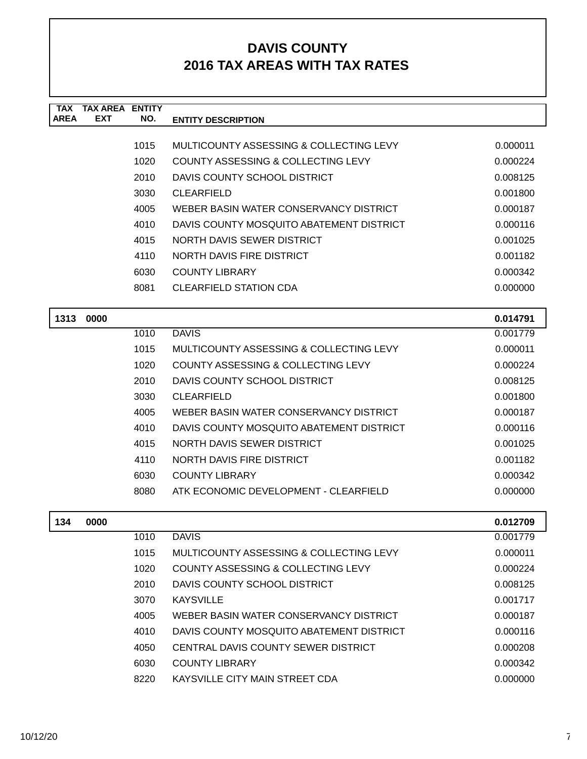| <b>TAX</b>  | <b>TAX AREA ENTITY</b> |      |                                          |          |
|-------------|------------------------|------|------------------------------------------|----------|
| <b>AREA</b> | <b>EXT</b>             | NO.  | <b>ENTITY DESCRIPTION</b>                |          |
|             |                        |      |                                          |          |
|             |                        | 1015 | MULTICOUNTY ASSESSING & COLLECTING LEVY  | 0.000011 |
|             |                        | 1020 | COUNTY ASSESSING & COLLECTING LEVY       | 0.000224 |
|             |                        | 2010 | DAVIS COUNTY SCHOOL DISTRICT             | 0.008125 |
|             |                        | 3030 | <b>CLEARFIELD</b>                        | 0.001800 |
|             |                        | 4005 | WEBER BASIN WATER CONSERVANCY DISTRICT   | 0.000187 |
|             |                        | 4010 | DAVIS COUNTY MOSQUITO ABATEMENT DISTRICT | 0.000116 |
|             |                        | 4015 | NORTH DAVIS SEWER DISTRICT               | 0.001025 |
|             |                        | 4110 | NORTH DAVIS FIRE DISTRICT                | 0.001182 |
|             |                        | 6030 | <b>COUNTY LIBRARY</b>                    | 0.000342 |
|             |                        | 8081 | <b>CLEARFIELD STATION CDA</b>            | 0.000000 |
|             |                        |      |                                          |          |
| 1313        | 0000                   |      |                                          | 0.014791 |
|             |                        | 1010 | <b>DAVIS</b>                             | 0.001779 |
|             |                        | 1015 | MULTICOUNTY ASSESSING & COLLECTING LEVY  | 0.000011 |
|             |                        | 1020 | COUNTY ASSESSING & COLLECTING LEVY       | 0.000224 |
|             |                        | 2010 | DAVIS COUNTY SCHOOL DISTRICT             | 0.008125 |
|             |                        | 3030 | <b>CLEARFIELD</b>                        | 0.001800 |
|             |                        | 4005 | WEBER BASIN WATER CONSERVANCY DISTRICT   | 0.000187 |
|             |                        | 4010 | DAVIS COUNTY MOSQUITO ABATEMENT DISTRICT | 0.000116 |

| 4010  | DAVIS COUNTY MOSQUITO ABATEMENT DISTRICT | 0.000116 |
|-------|------------------------------------------|----------|
| 4015  | NORTH DAVIS SEWER DISTRICT               | 0.001025 |
| 4110  | NORTH DAVIS FIRE DISTRICT                | 0.001182 |
| 6030. | COUNTY LIBRARY                           | 0.000342 |
| 8080  | ATK ECONOMIC DEVELOPMENT - CLEARFIELD    | 0.000000 |

| 134 | 0000 |      |                                          | 0.012709 |
|-----|------|------|------------------------------------------|----------|
|     |      | 1010 | <b>DAVIS</b>                             | 0.001779 |
|     |      | 1015 | MULTICOUNTY ASSESSING & COLLECTING LEVY  | 0.000011 |
|     |      | 1020 | COUNTY ASSESSING & COLLECTING LEVY       | 0.000224 |
|     |      | 2010 | DAVIS COUNTY SCHOOL DISTRICT             | 0.008125 |
|     |      | 3070 | <b>KAYSVILLE</b>                         | 0.001717 |
|     |      | 4005 | WEBER BASIN WATER CONSERVANCY DISTRICT   | 0.000187 |
|     |      | 4010 | DAVIS COUNTY MOSQUITO ABATEMENT DISTRICT | 0.000116 |
|     |      | 4050 | CENTRAL DAVIS COUNTY SEWER DISTRICT      | 0.000208 |
|     |      | 6030 | <b>COUNTY LIBRARY</b>                    | 0.000342 |
|     |      | 8220 | KAYSVILLE CITY MAIN STREET CDA           | 0.000000 |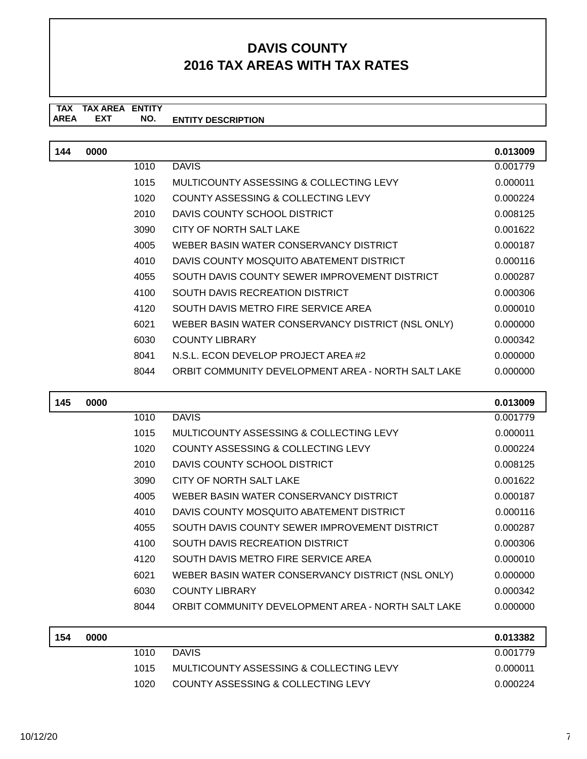| 144 | 0000 |      |                                                    | 0.013009 |
|-----|------|------|----------------------------------------------------|----------|
|     |      | 1010 | <b>DAVIS</b>                                       | 0.001779 |
|     |      | 1015 | MULTICOUNTY ASSESSING & COLLECTING LEVY            | 0.000011 |
|     |      | 1020 | COUNTY ASSESSING & COLLECTING LEVY                 | 0.000224 |
|     |      | 2010 | DAVIS COUNTY SCHOOL DISTRICT                       | 0.008125 |
|     |      | 3090 | CITY OF NORTH SALT LAKE                            | 0.001622 |
|     |      | 4005 | WEBER BASIN WATER CONSERVANCY DISTRICT             | 0.000187 |
|     |      | 4010 | DAVIS COUNTY MOSQUITO ABATEMENT DISTRICT           | 0.000116 |
|     |      | 4055 | SOUTH DAVIS COUNTY SEWER IMPROVEMENT DISTRICT      | 0.000287 |
|     |      | 4100 | SOUTH DAVIS RECREATION DISTRICT                    | 0.000306 |
|     |      | 4120 | SOUTH DAVIS METRO FIRE SERVICE AREA                | 0.000010 |
|     |      | 6021 | WEBER BASIN WATER CONSERVANCY DISTRICT (NSL ONLY)  | 0.000000 |
|     |      | 6030 | <b>COUNTY LIBRARY</b>                              | 0.000342 |
|     |      | 8041 | N.S.L. ECON DEVELOP PROJECT AREA #2                | 0.000000 |
|     |      | 8044 | ORBIT COMMUNITY DEVELOPMENT AREA - NORTH SALT LAKE | 0.000000 |

| 145 | 0000 |      |                                                    | 0.013009 |
|-----|------|------|----------------------------------------------------|----------|
|     |      | 1010 | <b>DAVIS</b>                                       | 0.001779 |
|     |      | 1015 | MULTICOUNTY ASSESSING & COLLECTING LEVY            | 0.000011 |
|     |      | 1020 | COUNTY ASSESSING & COLLECTING LEVY                 | 0.000224 |
|     |      | 2010 | DAVIS COUNTY SCHOOL DISTRICT                       | 0.008125 |
|     |      | 3090 | CITY OF NORTH SALT LAKE                            | 0.001622 |
|     |      | 4005 | WEBER BASIN WATER CONSERVANCY DISTRICT             | 0.000187 |
|     |      | 4010 | DAVIS COUNTY MOSQUITO ABATEMENT DISTRICT           | 0.000116 |
|     |      | 4055 | SOUTH DAVIS COUNTY SEWER IMPROVEMENT DISTRICT      | 0.000287 |
|     |      | 4100 | SOUTH DAVIS RECREATION DISTRICT                    | 0.000306 |
|     |      | 4120 | SOUTH DAVIS METRO FIRE SERVICE AREA                | 0.000010 |
|     |      | 6021 | WEBER BASIN WATER CONSERVANCY DISTRICT (NSL ONLY)  | 0.000000 |
|     |      | 6030 | <b>COUNTY LIBRARY</b>                              | 0.000342 |
|     |      | 8044 | ORBIT COMMUNITY DEVELOPMENT AREA - NORTH SALT LAKE | 0.000000 |
| 154 | 0000 |      |                                                    | 0.013382 |

| 154 | 0000 |       |                                         | 0.013382 |
|-----|------|-------|-----------------------------------------|----------|
|     |      | 1010  | <b>DAVIS</b>                            | 0.001779 |
|     |      | 1015  | MULTICOUNTY ASSESSING & COLLECTING LEVY | 0.000011 |
|     |      | 1020. | COUNTY ASSESSING & COLLECTING LEVY      | 0.000224 |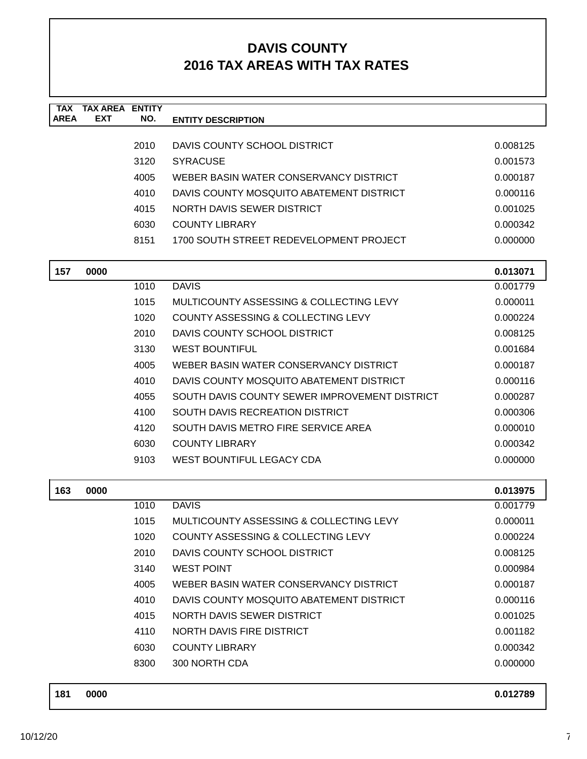| <b>TAX</b><br><b>AREA</b> | <b>TAX AREA ENTITY</b><br><b>EXT</b> | NO.  | <b>ENTITY DESCRIPTION</b>                          |          |
|---------------------------|--------------------------------------|------|----------------------------------------------------|----------|
|                           |                                      |      |                                                    |          |
|                           |                                      | 2010 | DAVIS COUNTY SCHOOL DISTRICT                       | 0.008125 |
|                           |                                      | 3120 | <b>SYRACUSE</b>                                    | 0.001573 |
|                           |                                      | 4005 | WEBER BASIN WATER CONSERVANCY DISTRICT             | 0.000187 |
|                           |                                      | 4010 | DAVIS COUNTY MOSQUITO ABATEMENT DISTRICT           | 0.000116 |
|                           |                                      | 4015 | <b>NORTH DAVIS SEWER DISTRICT</b>                  | 0.001025 |
|                           |                                      | 6030 | <b>COUNTY LIBRARY</b>                              | 0.000342 |
|                           |                                      | 8151 | 1700 SOUTH STREET REDEVELOPMENT PROJECT            | 0.000000 |
| 157                       | 0000                                 |      |                                                    | 0.013071 |
|                           |                                      | 1010 | <b>DAVIS</b>                                       | 0.001779 |
|                           |                                      | 1015 | MULTICOUNTY ASSESSING & COLLECTING LEVY            | 0.000011 |
|                           |                                      | 1020 | COUNTY ASSESSING & COLLECTING LEVY                 | 0.000224 |
|                           |                                      | 2010 | DAVIS COUNTY SCHOOL DISTRICT                       | 0.008125 |
|                           |                                      | 3130 | <b>WEST BOUNTIFUL</b>                              | 0.001684 |
|                           |                                      | 4005 | WEBER BASIN WATER CONSERVANCY DISTRICT             | 0.000187 |
|                           |                                      | 4010 | DAVIS COUNTY MOSQUITO ABATEMENT DISTRICT           | 0.000116 |
|                           |                                      | 4055 | SOUTH DAVIS COUNTY SEWER IMPROVEMENT DISTRICT      | 0.000287 |
|                           |                                      | 4100 | SOUTH DAVIS RECREATION DISTRICT                    | 0.000306 |
|                           |                                      | 4120 | SOUTH DAVIS METRO FIRE SERVICE AREA                | 0.000010 |
|                           |                                      | 6030 | <b>COUNTY LIBRARY</b>                              | 0.000342 |
|                           |                                      | 9103 | WEST BOUNTIFUL LEGACY CDA                          | 0.000000 |
| 163                       | 0000                                 |      |                                                    | 0.013975 |
|                           |                                      | 1010 | <b>DAVIS</b>                                       | 0.001779 |
|                           |                                      | 1015 | <b>MULTICOUNTY ASSESSING &amp; COLLECTING LEVY</b> | 0.000011 |
|                           |                                      | 1020 | COUNTY ASSESSING & COLLECTING LEVY                 | 0.000224 |
|                           |                                      | 2010 | DAVIS COUNTY SCHOOL DISTRICT                       | 0.008125 |
|                           |                                      | 3140 | <b>WEST POINT</b>                                  | 0.000984 |
|                           |                                      | 4005 | WEBER BASIN WATER CONSERVANCY DISTRICT             | 0.000187 |
|                           |                                      | 4010 | DAVIS COUNTY MOSQUITO ABATEMENT DISTRICT           | 0.000116 |
|                           |                                      | 4015 | NORTH DAVIS SEWER DISTRICT                         | 0.001025 |
|                           |                                      | 4110 | NORTH DAVIS FIRE DISTRICT                          | 0.001182 |
|                           |                                      | 6030 | <b>COUNTY LIBRARY</b>                              | 0.000342 |
|                           |                                      | 8300 | 300 NORTH CDA                                      | 0.000000 |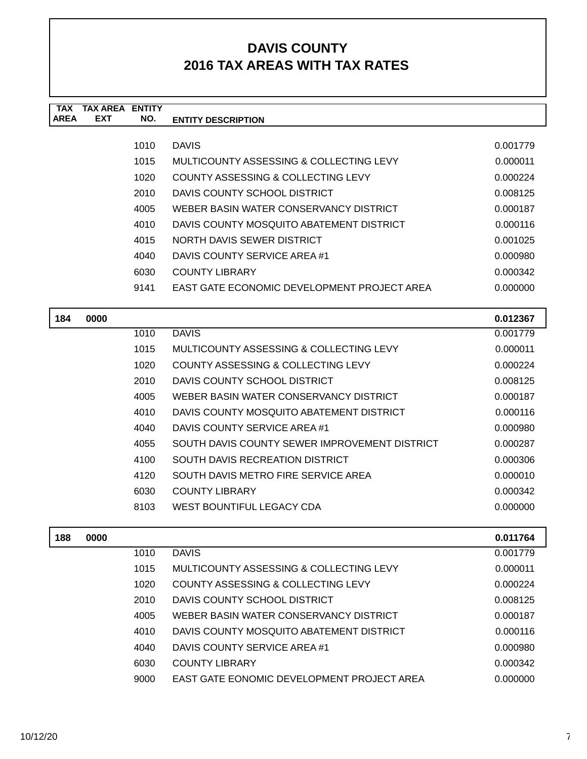| TAX         | <b>TAX AREA ENTITY</b> |      |                                             |          |
|-------------|------------------------|------|---------------------------------------------|----------|
| <b>AREA</b> | <b>EXT</b>             | NO.  | <b>ENTITY DESCRIPTION</b>                   |          |
|             |                        |      |                                             |          |
|             |                        | 1010 | <b>DAVIS</b>                                | 0.001779 |
|             |                        | 1015 | MULTICOUNTY ASSESSING & COLLECTING LEVY     | 0.000011 |
|             |                        | 1020 | COUNTY ASSESSING & COLLECTING LEVY          | 0.000224 |
|             |                        | 2010 | DAVIS COUNTY SCHOOL DISTRICT                | 0.008125 |
|             |                        | 4005 | WEBER BASIN WATER CONSERVANCY DISTRICT      | 0.000187 |
|             |                        | 4010 | DAVIS COUNTY MOSQUITO ABATEMENT DISTRICT    | 0.000116 |
|             |                        | 4015 | NORTH DAVIS SEWER DISTRICT                  | 0.001025 |
|             |                        | 4040 | DAVIS COUNTY SERVICE AREA #1                | 0.000980 |
|             |                        | 6030 | <b>COUNTY LIBRARY</b>                       | 0.000342 |
|             |                        | 9141 | EAST GATE ECONOMIC DEVELOPMENT PROJECT AREA | 0.000000 |
|             |                        |      |                                             |          |
|             |                        |      |                                             |          |

| 184 | 0000 |      |                                               | 0.012367 |
|-----|------|------|-----------------------------------------------|----------|
|     |      | 1010 | <b>DAVIS</b>                                  | 0.001779 |
|     |      | 1015 | MULTICOUNTY ASSESSING & COLLECTING LEVY       | 0.000011 |
|     |      | 1020 | COUNTY ASSESSING & COLLECTING LEVY            | 0.000224 |
|     |      | 2010 | DAVIS COUNTY SCHOOL DISTRICT                  | 0.008125 |
|     |      | 4005 | WEBER BASIN WATER CONSERVANCY DISTRICT        | 0.000187 |
|     |      | 4010 | DAVIS COUNTY MOSQUITO ABATEMENT DISTRICT      | 0.000116 |
|     |      | 4040 | DAVIS COUNTY SERVICE AREA #1                  | 0.000980 |
|     |      | 4055 | SOUTH DAVIS COUNTY SEWER IMPROVEMENT DISTRICT | 0.000287 |
|     |      | 4100 | SOUTH DAVIS RECREATION DISTRICT               | 0.000306 |
|     |      | 4120 | SOUTH DAVIS METRO FIRE SERVICE AREA           | 0.000010 |
|     |      | 6030 | <b>COUNTY LIBRARY</b>                         | 0.000342 |
|     |      | 8103 | WEST BOUNTIFUL LEGACY CDA                     | 0.000000 |
|     |      |      |                                               |          |

| 188 | 0000 |      |                                            | 0.011764 |
|-----|------|------|--------------------------------------------|----------|
|     |      | 1010 | <b>DAVIS</b>                               | 0.001779 |
|     |      | 1015 | MULTICOUNTY ASSESSING & COLLECTING LEVY    | 0.000011 |
|     |      | 1020 | COUNTY ASSESSING & COLLECTING LEVY         | 0.000224 |
|     |      | 2010 | DAVIS COUNTY SCHOOL DISTRICT               | 0.008125 |
|     |      | 4005 | WEBER BASIN WATER CONSERVANCY DISTRICT     | 0.000187 |
|     |      | 4010 | DAVIS COUNTY MOSQUITO ABATEMENT DISTRICT   | 0.000116 |
|     |      | 4040 | DAVIS COUNTY SERVICE AREA #1               | 0.000980 |
|     |      | 6030 | <b>COUNTY LIBRARY</b>                      | 0.000342 |
|     |      | 9000 | EAST GATE EONOMIC DEVELOPMENT PROJECT AREA | 0.000000 |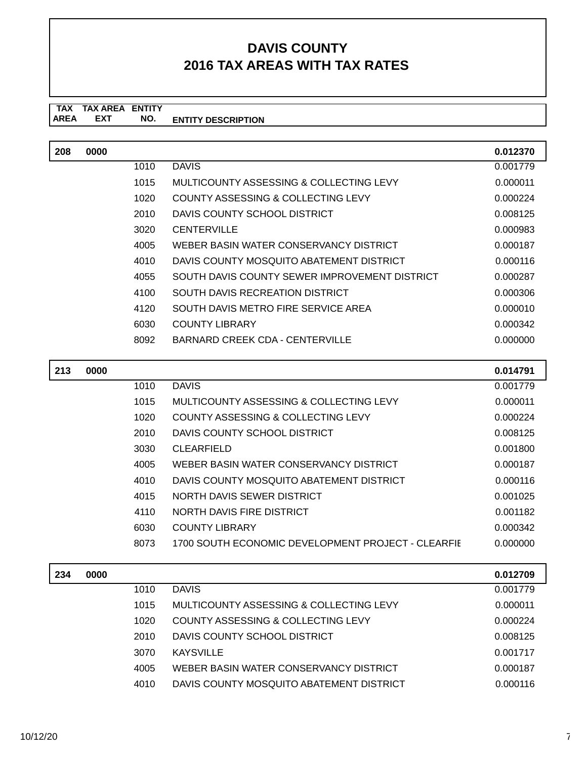#### **TAX TAX AREA ENTITY AREA ENTITY DESCRIPTION EXT NO.**

| 208 | 0000 |      |                                               | 0.012370 |
|-----|------|------|-----------------------------------------------|----------|
|     |      | 1010 | <b>DAVIS</b>                                  | 0.001779 |
|     |      | 1015 | MULTICOUNTY ASSESSING & COLLECTING LEVY       | 0.000011 |
|     |      | 1020 | COUNTY ASSESSING & COLLECTING LEVY            | 0.000224 |
|     |      | 2010 | DAVIS COUNTY SCHOOL DISTRICT                  | 0.008125 |
|     |      | 3020 | <b>CENTERVILLE</b>                            | 0.000983 |
|     |      | 4005 | WEBER BASIN WATER CONSERVANCY DISTRICT        | 0.000187 |
|     |      | 4010 | DAVIS COUNTY MOSQUITO ABATEMENT DISTRICT      | 0.000116 |
|     |      | 4055 | SOUTH DAVIS COUNTY SEWER IMPROVEMENT DISTRICT | 0.000287 |
|     |      | 4100 | SOUTH DAVIS RECREATION DISTRICT               | 0.000306 |
|     |      | 4120 | SOUTH DAVIS METRO FIRE SERVICE AREA           | 0.000010 |
|     |      | 6030 | <b>COUNTY LIBRARY</b>                         | 0.000342 |
|     |      | 8092 | BARNARD CREEK CDA - CENTERVILLE               | 0.000000 |

| 213 | 0000 |      |                                                    | 0.014791 |
|-----|------|------|----------------------------------------------------|----------|
|     |      | 1010 | <b>DAVIS</b>                                       | 0.001779 |
|     |      | 1015 | MULTICOUNTY ASSESSING & COLLECTING LEVY            | 0.000011 |
|     |      | 1020 | COUNTY ASSESSING & COLLECTING LEVY                 | 0.000224 |
|     |      | 2010 | DAVIS COUNTY SCHOOL DISTRICT                       | 0.008125 |
|     |      | 3030 | <b>CLEARFIELD</b>                                  | 0.001800 |
|     |      | 4005 | WEBER BASIN WATER CONSERVANCY DISTRICT             | 0.000187 |
|     |      | 4010 | DAVIS COUNTY MOSQUITO ABATEMENT DISTRICT           | 0.000116 |
|     |      | 4015 | NORTH DAVIS SEWER DISTRICT                         | 0.001025 |
|     |      | 4110 | NORTH DAVIS FIRE DISTRICT                          | 0.001182 |
|     |      | 6030 | <b>COUNTY LIBRARY</b>                              | 0.000342 |
|     |      | 8073 | 1700 SOUTH ECONOMIC DEVELOPMENT PROJECT - CLEARFIE | 0.000000 |

| 234 | 0000 |      |                                          | 0.012709 |
|-----|------|------|------------------------------------------|----------|
|     |      | 1010 | <b>DAVIS</b>                             | 0.001779 |
|     |      | 1015 | MULTICOUNTY ASSESSING & COLLECTING LEVY  | 0.000011 |
|     |      | 1020 | COUNTY ASSESSING & COLLECTING LEVY       | 0.000224 |
|     |      | 2010 | DAVIS COUNTY SCHOOL DISTRICT             | 0.008125 |
|     |      | 3070 | <b>KAYSVILLE</b>                         | 0.001717 |
|     |      | 4005 | WEBER BASIN WATER CONSERVANCY DISTRICT   | 0.000187 |
|     |      | 4010 | DAVIS COUNTY MOSQUITO ABATEMENT DISTRICT | 0.000116 |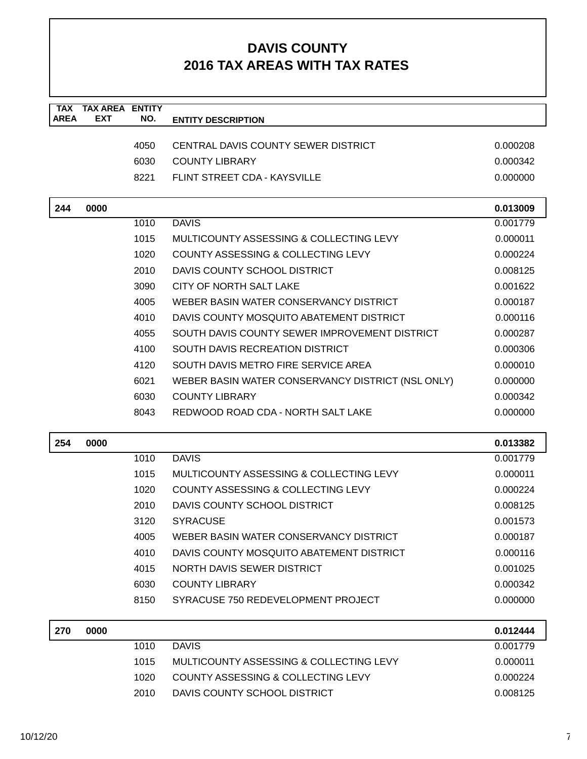| <b>TAX</b><br><b>AREA</b> | <b>TAX AREA ENTITY</b><br><b>EXT</b> | NO.  | <b>ENTITY DESCRIPTION</b>                         |          |
|---------------------------|--------------------------------------|------|---------------------------------------------------|----------|
|                           |                                      |      |                                                   |          |
|                           |                                      | 4050 | CENTRAL DAVIS COUNTY SEWER DISTRICT               | 0.000208 |
|                           |                                      | 6030 | <b>COUNTY LIBRARY</b>                             | 0.000342 |
|                           |                                      | 8221 | FLINT STREET CDA - KAYSVILLE                      | 0.000000 |
| 244                       | 0000                                 |      |                                                   | 0.013009 |
|                           |                                      | 1010 | <b>DAVIS</b>                                      | 0.001779 |
|                           |                                      | 1015 | MULTICOUNTY ASSESSING & COLLECTING LEVY           | 0.000011 |
|                           |                                      | 1020 | COUNTY ASSESSING & COLLECTING LEVY                | 0.000224 |
|                           |                                      | 2010 | DAVIS COUNTY SCHOOL DISTRICT                      | 0.008125 |
|                           |                                      | 3090 | CITY OF NORTH SALT LAKE                           | 0.001622 |
|                           |                                      | 4005 | WEBER BASIN WATER CONSERVANCY DISTRICT            | 0.000187 |
|                           |                                      | 4010 | DAVIS COUNTY MOSQUITO ABATEMENT DISTRICT          | 0.000116 |
|                           |                                      | 4055 | SOUTH DAVIS COUNTY SEWER IMPROVEMENT DISTRICT     | 0.000287 |
|                           |                                      | 4100 | SOUTH DAVIS RECREATION DISTRICT                   | 0.000306 |
|                           |                                      | 4120 | SOUTH DAVIS METRO FIRE SERVICE AREA               | 0.000010 |
|                           |                                      | 6021 | WEBER BASIN WATER CONSERVANCY DISTRICT (NSL ONLY) | 0.000000 |
|                           |                                      | 6030 | <b>COUNTY LIBRARY</b>                             | 0.000342 |
|                           |                                      | 8043 | REDWOOD ROAD CDA - NORTH SALT LAKE                | 0.000000 |
| 254                       | 0000                                 |      |                                                   | 0.013382 |
|                           |                                      | 1010 | <b>DAVIS</b>                                      | 0.001779 |
|                           |                                      | 1015 | MULTICOUNTY ASSESSING & COLLECTING LEVY           | 0.000011 |
|                           |                                      | 1020 | <b>COUNTY ASSESSING &amp; COLLECTING LEVY</b>     | 0.000224 |
|                           |                                      | 2010 | DAVIS COUNTY SCHOOL DISTRICT                      | 0.008125 |
|                           |                                      | 3120 | <b>SYRACUSE</b>                                   | 0.001573 |
|                           |                                      | 4005 | WEBER BASIN WATER CONSERVANCY DISTRICT            | 0.000187 |
|                           |                                      | 4010 | DAVIS COUNTY MOSQUITO ABATEMENT DISTRICT          | 0.000116 |
|                           |                                      | 4015 | NORTH DAVIS SEWER DISTRICT                        | 0.001025 |
|                           |                                      | 6030 | <b>COUNTY LIBRARY</b>                             | 0.000342 |
|                           |                                      | 8150 | SYRACUSE 750 REDEVELOPMENT PROJECT                | 0.000000 |
| 270                       | 0000                                 |      |                                                   | 0.012444 |
|                           |                                      | 1010 | <b>DAVIS</b>                                      | 0.001779 |
|                           |                                      | 1015 | MULTICOUNTY ASSESSING & COLLECTING LEVY           | 0.000011 |
|                           |                                      | 1020 | COUNTY ASSESSING & COLLECTING LEVY                | 0.000224 |
|                           |                                      | 2010 | DAVIS COUNTY SCHOOL DISTRICT                      | 0.008125 |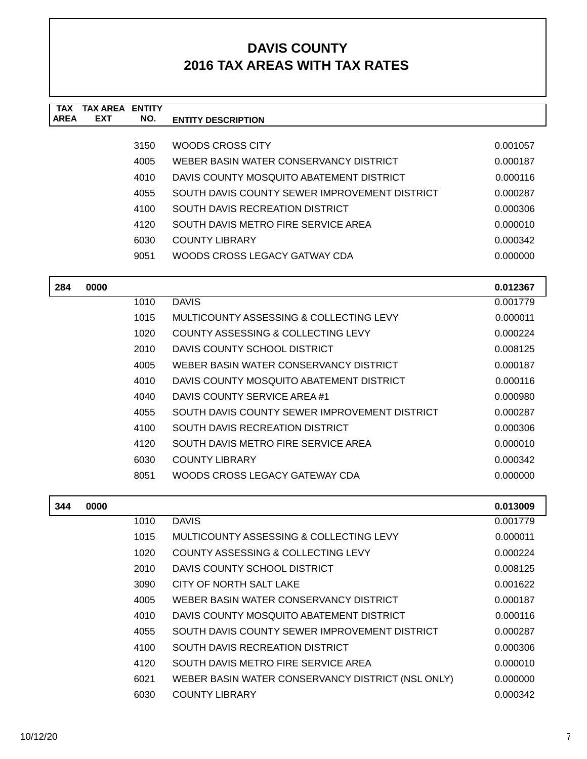| <b>TAX</b><br><b>AREA</b> | <b>TAX AREA ENTITY</b><br>EXT | NO.  | <b>ENTITY DESCRIPTION</b>                         |          |
|---------------------------|-------------------------------|------|---------------------------------------------------|----------|
|                           |                               |      |                                                   |          |
|                           |                               | 3150 | WOODS CROSS CITY                                  | 0.001057 |
|                           |                               | 4005 | WEBER BASIN WATER CONSERVANCY DISTRICT            | 0.000187 |
|                           |                               | 4010 | DAVIS COUNTY MOSQUITO ABATEMENT DISTRICT          | 0.000116 |
|                           |                               | 4055 | SOUTH DAVIS COUNTY SEWER IMPROVEMENT DISTRICT     | 0.000287 |
|                           |                               | 4100 | <b>SOUTH DAVIS RECREATION DISTRICT</b>            | 0.000306 |
|                           |                               | 4120 | SOUTH DAVIS METRO FIRE SERVICE AREA               | 0.000010 |
|                           |                               | 6030 | <b>COUNTY LIBRARY</b>                             | 0.000342 |
|                           |                               | 9051 | WOODS CROSS LEGACY GATWAY CDA                     | 0.000000 |
| 284                       | 0000                          |      |                                                   | 0.012367 |
|                           |                               | 1010 | <b>DAVIS</b>                                      | 0.001779 |
|                           |                               | 1015 | MULTICOUNTY ASSESSING & COLLECTING LEVY           | 0.000011 |
|                           |                               | 1020 | COUNTY ASSESSING & COLLECTING LEVY                | 0.000224 |
|                           |                               | 2010 | DAVIS COUNTY SCHOOL DISTRICT                      | 0.008125 |
|                           |                               | 4005 | WEBER BASIN WATER CONSERVANCY DISTRICT            | 0.000187 |
|                           |                               | 4010 | DAVIS COUNTY MOSQUITO ABATEMENT DISTRICT          | 0.000116 |
|                           |                               | 4040 | DAVIS COUNTY SERVICE AREA #1                      | 0.000980 |
|                           |                               | 4055 | SOUTH DAVIS COUNTY SEWER IMPROVEMENT DISTRICT     | 0.000287 |
|                           |                               | 4100 | SOUTH DAVIS RECREATION DISTRICT                   | 0.000306 |
|                           |                               | 4120 | SOUTH DAVIS METRO FIRE SERVICE AREA               | 0.000010 |
|                           |                               | 6030 | <b>COUNTY LIBRARY</b>                             | 0.000342 |
|                           |                               | 8051 | WOODS CROSS LEGACY GATEWAY CDA                    | 0.000000 |
| 344                       | 0000                          |      |                                                   | 0.013009 |
|                           |                               | 1010 | <b>DAVIS</b>                                      | 0.001779 |
|                           |                               | 1015 | MULTICOUNTY ASSESSING & COLLECTING LEVY           | 0.000011 |
|                           |                               | 1020 | COUNTY ASSESSING & COLLECTING LEVY                | 0.000224 |
|                           |                               | 2010 | DAVIS COUNTY SCHOOL DISTRICT                      | 0.008125 |
|                           |                               | 3090 | CITY OF NORTH SALT LAKE                           | 0.001622 |
|                           |                               | 4005 | WEBER BASIN WATER CONSERVANCY DISTRICT            | 0.000187 |
|                           |                               | 4010 | DAVIS COUNTY MOSQUITO ABATEMENT DISTRICT          | 0.000116 |
|                           |                               | 4055 | SOUTH DAVIS COUNTY SEWER IMPROVEMENT DISTRICT     | 0.000287 |
|                           |                               | 4100 | SOUTH DAVIS RECREATION DISTRICT                   | 0.000306 |
|                           |                               | 4120 | SOUTH DAVIS METRO FIRE SERVICE AREA               | 0.000010 |
|                           |                               | 6021 | WEBER BASIN WATER CONSERVANCY DISTRICT (NSL ONLY) | 0.000000 |
|                           |                               | 6030 | <b>COUNTY LIBRARY</b>                             | 0.000342 |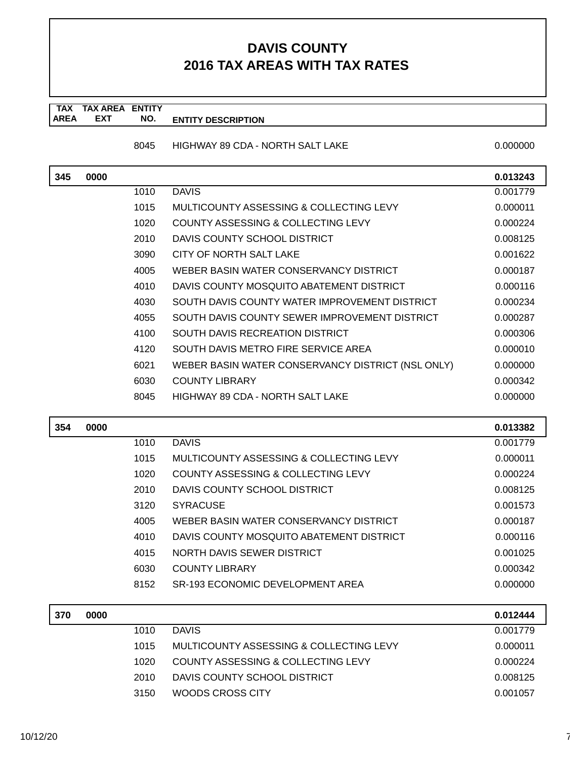**TAX TAX AREA ENTITY AREA ENTITY DESCRIPTION EXT NO.**

8045 HIGHWAY 89 CDA - NORTH SALT LAKE 0.0000000 0.0000000

| 345 | 0000 |      |                                                   | 0.013243 |
|-----|------|------|---------------------------------------------------|----------|
|     |      | 1010 | <b>DAVIS</b>                                      | 0.001779 |
|     |      | 1015 | MULTICOUNTY ASSESSING & COLLECTING LEVY           | 0.000011 |
|     |      | 1020 | COUNTY ASSESSING & COLLECTING LEVY                | 0.000224 |
|     |      | 2010 | DAVIS COUNTY SCHOOL DISTRICT                      | 0.008125 |
|     |      | 3090 | CITY OF NORTH SALT LAKE                           | 0.001622 |
|     |      | 4005 | WEBER BASIN WATER CONSERVANCY DISTRICT            | 0.000187 |
|     |      | 4010 | DAVIS COUNTY MOSQUITO ABATEMENT DISTRICT          | 0.000116 |
|     |      | 4030 | SOUTH DAVIS COUNTY WATER IMPROVEMENT DISTRICT     | 0.000234 |
|     |      | 4055 | SOUTH DAVIS COUNTY SEWER IMPROVEMENT DISTRICT     | 0.000287 |
|     |      | 4100 | <b>SOUTH DAVIS RECREATION DISTRICT</b>            | 0.000306 |
|     |      | 4120 | SOUTH DAVIS METRO FIRE SERVICE AREA               | 0.000010 |
|     |      | 6021 | WEBER BASIN WATER CONSERVANCY DISTRICT (NSL ONLY) | 0.000000 |
|     |      | 6030 | <b>COUNTY LIBRARY</b>                             | 0.000342 |
|     |      | 8045 | <b>HIGHWAY 89 CDA - NORTH SALT LAKE</b>           | 0.000000 |
|     |      |      |                                                   |          |
|     |      |      |                                                   |          |
| 354 | 0000 |      |                                                   | 0.013382 |
|     |      | 1010 | <b>DAVIS</b>                                      | 0.001779 |
|     |      | 1015 | MULTICOUNTY ASSESSING & COLLECTING LEVY           | 0.000011 |
|     |      | 1020 | COUNTY ASSESSING & COLLECTING LEVY                | 0.000224 |
|     |      | 2010 | DAVIS COUNTY SCHOOL DISTRICT                      | 0.008125 |
|     |      | 3120 | <b>SYRACUSE</b>                                   | 0.001573 |
|     |      | 4005 | WEBER BASIN WATER CONSERVANCY DISTRICT            | 0.000187 |
|     |      | 4010 | DAVIS COUNTY MOSQUITO ABATEMENT DISTRICT          | 0.000116 |
|     |      | 4015 | NORTH DAVIS SEWER DISTRICT                        | 0.001025 |
|     |      | 6030 | <b>COUNTY LIBRARY</b>                             | 0.000342 |
|     |      | 8152 | <b>SR-193 ECONOMIC DEVELOPMENT AREA</b>           | 0.000000 |
|     |      |      |                                                   |          |
| 370 | 0000 |      |                                                   | 0.012444 |
|     |      | 1010 | <b>DAVIS</b>                                      | 0.001779 |
|     |      | 1015 | MULTICOUNTY ASSESSING & COLLECTING LEVY           | 0.000011 |

2010 DAVIS COUNTY SCHOOL DISTRICT 0.008125 3150 WOODS CROSS CITY 0.001057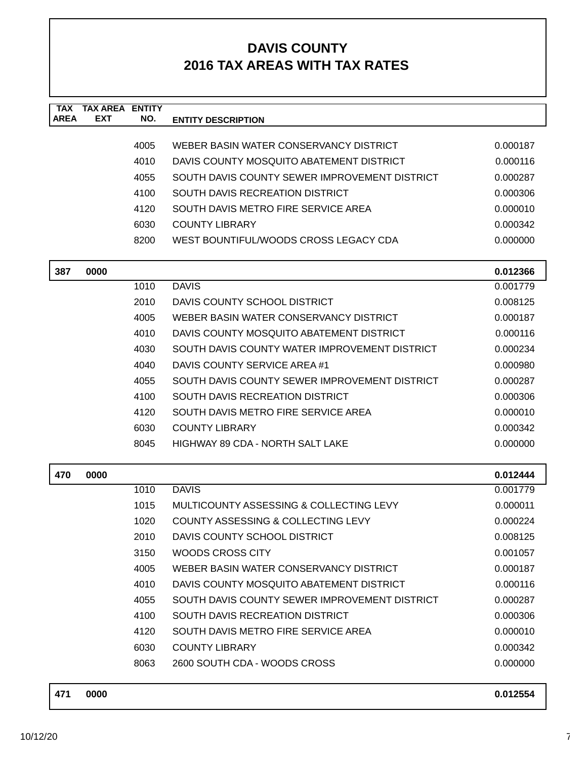| <b>TAX</b><br><b>AREA</b> | <b>TAX AREA ENTITY</b><br><b>EXT</b> |              |                                                                                    |                      |
|---------------------------|--------------------------------------|--------------|------------------------------------------------------------------------------------|----------------------|
|                           |                                      | NO.          | <b>ENTITY DESCRIPTION</b>                                                          |                      |
|                           |                                      | 4005         | WEBER BASIN WATER CONSERVANCY DISTRICT                                             | 0.000187             |
|                           |                                      | 4010         | DAVIS COUNTY MOSQUITO ABATEMENT DISTRICT                                           | 0.000116             |
|                           |                                      | 4055         | SOUTH DAVIS COUNTY SEWER IMPROVEMENT DISTRICT                                      | 0.000287             |
|                           |                                      | 4100         | SOUTH DAVIS RECREATION DISTRICT                                                    | 0.000306             |
|                           |                                      | 4120         | SOUTH DAVIS METRO FIRE SERVICE AREA                                                | 0.000010             |
|                           |                                      | 6030         | <b>COUNTY LIBRARY</b>                                                              | 0.000342             |
|                           |                                      | 8200         | WEST BOUNTIFUL/WOODS CROSS LEGACY CDA                                              | 0.000000             |
|                           |                                      |              |                                                                                    |                      |
| 387                       | 0000                                 |              |                                                                                    | 0.012366             |
|                           |                                      | 1010         | <b>DAVIS</b>                                                                       | 0.001779             |
|                           |                                      | 2010         | DAVIS COUNTY SCHOOL DISTRICT                                                       | 0.008125             |
|                           |                                      | 4005         | WEBER BASIN WATER CONSERVANCY DISTRICT                                             | 0.000187             |
|                           |                                      | 4010         | DAVIS COUNTY MOSQUITO ABATEMENT DISTRICT                                           | 0.000116             |
|                           |                                      | 4030         | SOUTH DAVIS COUNTY WATER IMPROVEMENT DISTRICT                                      | 0.000234             |
|                           |                                      | 4040         | DAVIS COUNTY SERVICE AREA #1                                                       | 0.000980             |
|                           |                                      | 4055         | SOUTH DAVIS COUNTY SEWER IMPROVEMENT DISTRICT                                      | 0.000287             |
|                           |                                      | 4100         | <b>SOUTH DAVIS RECREATION DISTRICT</b>                                             | 0.000306             |
|                           |                                      | 4120         | SOUTH DAVIS METRO FIRE SERVICE AREA                                                | 0.000010             |
|                           |                                      | 6030         | <b>COUNTY LIBRARY</b>                                                              | 0.000342             |
|                           |                                      | 8045         | HIGHWAY 89 CDA - NORTH SALT LAKE                                                   | 0.000000             |
| 470                       | 0000                                 |              |                                                                                    |                      |
|                           |                                      | 1010         | <b>DAVIS</b>                                                                       | 0.012444<br>0.001779 |
|                           |                                      | 1015         | MULTICOUNTY ASSESSING & COLLECTING LEVY                                            |                      |
|                           |                                      | 1020         | COUNTY ASSESSING & COLLECTING LEVY                                                 | 0.000011<br>0.000224 |
|                           |                                      | 2010         | DAVIS COUNTY SCHOOL DISTRICT                                                       | 0.008125             |
|                           |                                      | 3150         | <b>WOODS CROSS CITY</b>                                                            | 0.001057             |
|                           |                                      |              |                                                                                    |                      |
|                           |                                      | 4005<br>4010 | WEBER BASIN WATER CONSERVANCY DISTRICT<br>DAVIS COUNTY MOSQUITO ABATEMENT DISTRICT | 0.000187<br>0.000116 |
|                           |                                      | 4055         | SOUTH DAVIS COUNTY SEWER IMPROVEMENT DISTRICT                                      |                      |
|                           |                                      |              | SOUTH DAVIS RECREATION DISTRICT                                                    | 0.000287             |
|                           |                                      | 4100         | SOUTH DAVIS METRO FIRE SERVICE AREA                                                | 0.000306             |
|                           |                                      | 4120         |                                                                                    | 0.000010             |
|                           |                                      | 6030         | <b>COUNTY LIBRARY</b>                                                              | 0.000342             |
|                           |                                      | 8063         | 2600 SOUTH CDA - WOODS CROSS                                                       | 0.000000             |
|                           |                                      |              |                                                                                    |                      |

| 471 | 0000 | 0.012554 |
|-----|------|----------|
|     |      |          |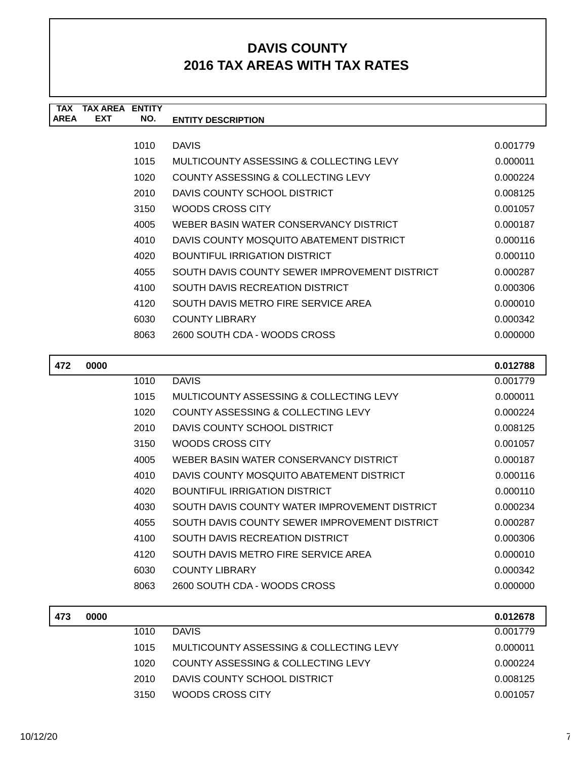| <b>TAX</b>  | <b>TAX AREA</b> | <b>ENTITY</b> |                                               |          |
|-------------|-----------------|---------------|-----------------------------------------------|----------|
| <b>AREA</b> | <b>EXT</b>      | NO.           | <b>ENTITY DESCRIPTION</b>                     |          |
|             |                 |               |                                               |          |
|             |                 | 1010          | <b>DAVIS</b>                                  | 0.001779 |
|             |                 | 1015          | MULTICOUNTY ASSESSING & COLLECTING LEVY       | 0.000011 |
|             |                 | 1020          | COUNTY ASSESSING & COLLECTING LEVY            | 0.000224 |
|             |                 | 2010          | DAVIS COUNTY SCHOOL DISTRICT                  | 0.008125 |
|             |                 | 3150          | WOODS CROSS CITY                              | 0.001057 |
|             |                 | 4005          | WEBER BASIN WATER CONSERVANCY DISTRICT        | 0.000187 |
|             |                 | 4010          | DAVIS COUNTY MOSQUITO ABATEMENT DISTRICT      | 0.000116 |
|             |                 | 4020          | <b>BOUNTIFUL IRRIGATION DISTRICT</b>          | 0.000110 |
|             |                 | 4055          | SOUTH DAVIS COUNTY SEWER IMPROVEMENT DISTRICT | 0.000287 |
|             |                 | 4100          | SOUTH DAVIS RECREATION DISTRICT               | 0.000306 |
|             |                 | 4120          | SOUTH DAVIS METRO FIRE SERVICE AREA           | 0.000010 |
|             |                 | 6030          | <b>COUNTY LIBRARY</b>                         | 0.000342 |
|             |                 | 8063          | 2600 SOUTH CDA - WOODS CROSS                  | 0.000000 |
|             |                 |               |                                               |          |
| 472         | 0000            |               |                                               | 0.012788 |
|             |                 | 1010          | <b>DAVIS</b>                                  | 0.001779 |
|             |                 | 1015          | MULTICOUNTY ASSESSING & COLLECTING LEVY       | 0.000011 |
|             |                 | 1020          | COUNTY ASSESSING & COLLECTING LEVY            | 0.000224 |

| 1020 | COUNTY ASSESSING & COLLECTING LEVY            | 0.000224 |
|------|-----------------------------------------------|----------|
| 2010 | DAVIS COUNTY SCHOOL DISTRICT                  | 0.008125 |
| 3150 | WOODS CROSS CITY                              | 0.001057 |
| 4005 | WEBER BASIN WATER CONSERVANCY DISTRICT        | 0.000187 |
| 4010 | DAVIS COUNTY MOSQUITO ABATEMENT DISTRICT      | 0.000116 |
| 4020 | BOUNTIFUL IRRIGATION DISTRICT                 | 0.000110 |
| 4030 | SOUTH DAVIS COUNTY WATER IMPROVEMENT DISTRICT | 0.000234 |
| 4055 | SOUTH DAVIS COUNTY SEWER IMPROVEMENT DISTRICT | 0.000287 |
| 4100 | SOUTH DAVIS RECREATION DISTRICT               | 0.000306 |
| 4120 | SOUTH DAVIS METRO FIRE SERVICE AREA           | 0.000010 |
| 6030 | <b>COUNTY LIBRARY</b>                         | 0.000342 |
| 8063 | 2600 SOUTH CDA - WOODS CROSS                  | 0.000000 |

| 473 | 0000 |      |                                         | 0.012678 |
|-----|------|------|-----------------------------------------|----------|
|     |      | 1010 | <b>DAVIS</b>                            | 0.001779 |
|     |      | 1015 | MULTICOUNTY ASSESSING & COLLECTING LEVY | 0.000011 |
|     |      | 1020 | COUNTY ASSESSING & COLLECTING LEVY      | 0.000224 |
|     |      | 2010 | DAVIS COUNTY SCHOOL DISTRICT            | 0.008125 |
|     |      | 3150 | WOODS CROSS CITY                        | 0.001057 |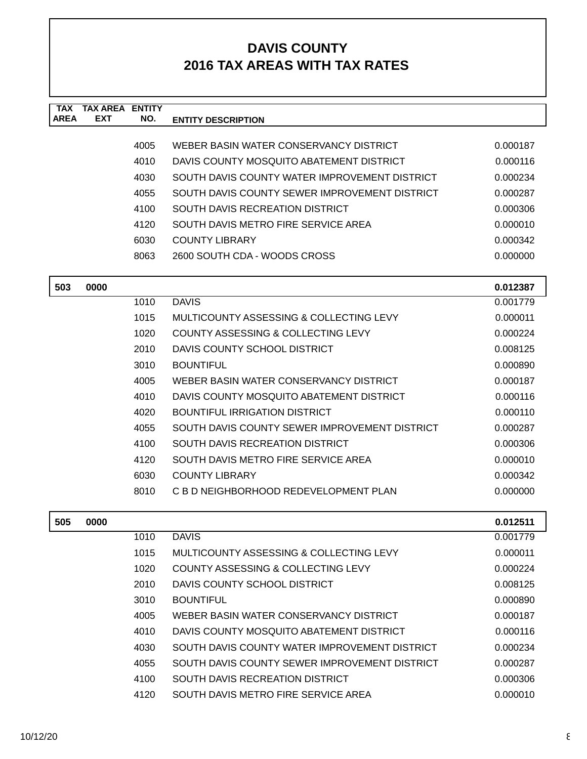| <b>TAX</b><br><b>AREA</b> | <b>TAX AREA ENTITY</b><br>EXT | NO.  | <b>ENTITY DESCRIPTION</b>                     |          |
|---------------------------|-------------------------------|------|-----------------------------------------------|----------|
|                           |                               |      |                                               |          |
|                           |                               | 4005 | WEBER BASIN WATER CONSERVANCY DISTRICT        | 0.000187 |
|                           |                               | 4010 | DAVIS COUNTY MOSQUITO ABATEMENT DISTRICT      | 0.000116 |
|                           |                               | 4030 | SOUTH DAVIS COUNTY WATER IMPROVEMENT DISTRICT | 0.000234 |
|                           |                               | 4055 | SOUTH DAVIS COUNTY SEWER IMPROVEMENT DISTRICT | 0.000287 |
|                           |                               | 4100 | SOUTH DAVIS RECREATION DISTRICT               | 0.000306 |
|                           |                               | 4120 | SOUTH DAVIS METRO FIRE SERVICE AREA           | 0.000010 |
|                           |                               | 6030 | <b>COUNTY LIBRARY</b>                         | 0.000342 |
|                           |                               | 8063 | 2600 SOUTH CDA - WOODS CROSS                  | 0.000000 |
| 503                       | 0000                          |      |                                               | 0.012387 |
|                           |                               | 1010 | <b>DAVIS</b>                                  | 0.001779 |
|                           |                               | 1015 | MULTICOUNTY ASSESSING & COLLECTING LEVY       | 0.000011 |
|                           |                               | 1020 | <b>COUNTY ASSESSING &amp; COLLECTING LEVY</b> | 0.000224 |
|                           |                               | 2010 | DAVIS COUNTY SCHOOL DISTRICT                  | 0.008125 |
|                           |                               | 3010 | <b>BOUNTIFUL</b>                              | 0.000890 |
|                           |                               | 4005 | WEBER BASIN WATER CONSERVANCY DISTRICT        | 0.000187 |
|                           |                               | 4010 | DAVIS COUNTY MOSQUITO ABATEMENT DISTRICT      | 0.000116 |
|                           |                               | 4020 | <b>BOUNTIFUL IRRIGATION DISTRICT</b>          | 0.000110 |
|                           |                               | 4055 | SOUTH DAVIS COUNTY SEWER IMPROVEMENT DISTRICT | 0.000287 |
|                           |                               | 4100 | SOUTH DAVIS RECREATION DISTRICT               | 0.000306 |
|                           |                               | 4120 | SOUTH DAVIS METRO FIRE SERVICE AREA           | 0.000010 |
|                           |                               | 6030 | <b>COUNTY LIBRARY</b>                         | 0.000342 |
|                           |                               | 8010 | C B D NEIGHBORHOOD REDEVELOPMENT PLAN         | 0.000000 |
| 505                       | 0000                          |      |                                               | 0.012511 |
|                           |                               | 1010 | <b>DAVIS</b>                                  | 0.001779 |
|                           |                               | 1015 | MULTICOUNTY ASSESSING & COLLECTING LEVY       | 0.000011 |
|                           |                               | 1020 | COUNTY ASSESSING & COLLECTING LEVY            | 0.000224 |
|                           |                               | 2010 | DAVIS COUNTY SCHOOL DISTRICT                  | 0.008125 |
|                           |                               | 3010 | <b>BOUNTIFUL</b>                              | 0.000890 |
|                           |                               | 4005 | WEBER BASIN WATER CONSERVANCY DISTRICT        | 0.000187 |
|                           |                               | 4010 | DAVIS COUNTY MOSOUITO ABATEMENT DISTRICT      | 0.000116 |
|                           |                               | 4030 | SOUTH DAVIS COUNTY WATER IMPROVEMENT DISTRICT | 0.000234 |
|                           |                               | 4055 | SOUTH DAVIS COUNTY SEWER IMPROVEMENT DISTRICT | 0.000287 |

4100 SOUTH DAVIS RECREATION DISTRICT 0.000306 4120 SOUTH DAVIS METRO FIRE SERVICE AREA 6.000010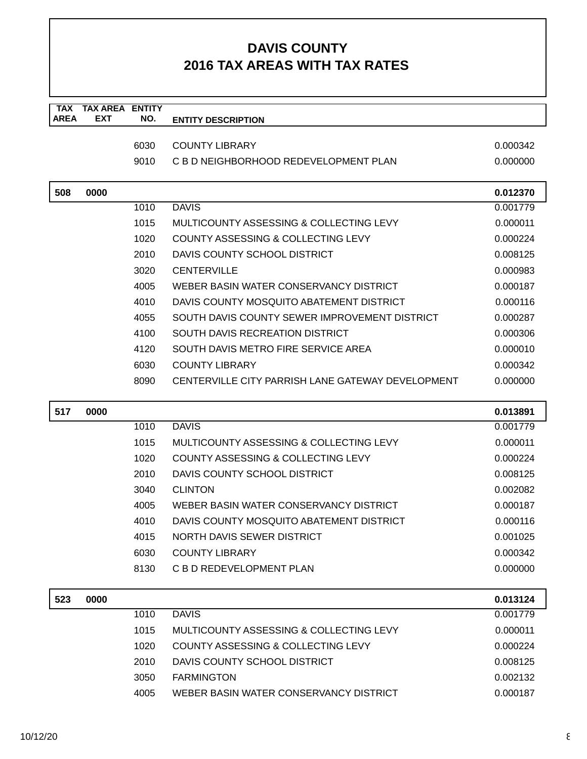| <b>TAX</b><br><b>AREA</b> | <b>TAX AREA ENTITY</b><br><b>EXT</b> | NO.  | <b>ENTITY DESCRIPTION</b>                         |          |
|---------------------------|--------------------------------------|------|---------------------------------------------------|----------|
|                           |                                      |      |                                                   |          |
|                           |                                      | 6030 | <b>COUNTY LIBRARY</b>                             | 0.000342 |
|                           |                                      | 9010 | C B D NEIGHBORHOOD REDEVELOPMENT PLAN             | 0.000000 |
| 508                       | 0000                                 |      |                                                   | 0.012370 |
|                           |                                      | 1010 | <b>DAVIS</b>                                      | 0.001779 |
|                           |                                      | 1015 | MULTICOUNTY ASSESSING & COLLECTING LEVY           | 0.000011 |
|                           |                                      | 1020 | COUNTY ASSESSING & COLLECTING LEVY                | 0.000224 |
|                           |                                      | 2010 | DAVIS COUNTY SCHOOL DISTRICT                      | 0.008125 |
|                           |                                      | 3020 | <b>CENTERVILLE</b>                                | 0.000983 |
|                           |                                      | 4005 | WEBER BASIN WATER CONSERVANCY DISTRICT            | 0.000187 |
|                           |                                      | 4010 | DAVIS COUNTY MOSOUITO ABATEMENT DISTRICT          | 0.000116 |
|                           |                                      | 4055 | SOUTH DAVIS COUNTY SEWER IMPROVEMENT DISTRICT     | 0.000287 |
|                           |                                      | 4100 | SOUTH DAVIS RECREATION DISTRICT                   | 0.000306 |
|                           |                                      | 4120 | SOUTH DAVIS METRO FIRE SERVICE AREA               | 0.000010 |
|                           |                                      | 6030 | <b>COUNTY LIBRARY</b>                             | 0.000342 |
|                           |                                      | 8090 | CENTERVILLE CITY PARRISH LANE GATEWAY DEVELOPMENT | 0.000000 |
|                           |                                      |      |                                                   |          |
| 517                       | 0000                                 |      |                                                   | 0.013891 |
|                           |                                      | 1010 | <b>DAVIS</b>                                      | 0.001779 |
|                           |                                      | 1015 | MULTICOUNTY ASSESSING & COLLECTING LEVY           | 0.000011 |
|                           |                                      | 1020 | COUNTY ASSESSING & COLLECTING LEVY                | 0.000224 |
|                           |                                      | 2010 | DAVIS COUNTY SCHOOL DISTRICT                      | 0.008125 |
|                           |                                      | 3040 | <b>CLINTON</b>                                    | 0.002082 |
|                           |                                      | 4005 | WEBER BASIN WATER CONSERVANCY DISTRICT            | 0.000187 |
|                           |                                      | 4010 | DAVIS COUNTY MOSQUITO ABATEMENT DISTRICT          | 0.000116 |
|                           |                                      | 4015 | NORTH DAVIS SEWER DISTRICT                        | 0.001025 |
|                           |                                      | 6030 | <b>COUNTY LIBRARY</b>                             | 0.000342 |
|                           |                                      | 8130 | C B D REDEVELOPMENT PLAN                          | 0.000000 |
| 523                       | 0000                                 |      |                                                   | 0.013124 |
|                           |                                      | 1010 | <b>DAVIS</b>                                      | 0.001779 |
|                           |                                      | 1015 | MULTICOUNTY ASSESSING & COLLECTING LEVY           | 0.000011 |
|                           |                                      | 1020 | COUNTY ASSESSING & COLLECTING LEVY                | 0.000224 |
|                           |                                      | 2010 | DAVIS COUNTY SCHOOL DISTRICT                      | 0.008125 |
|                           |                                      | 3050 | <b>FARMINGTON</b>                                 | 0.002132 |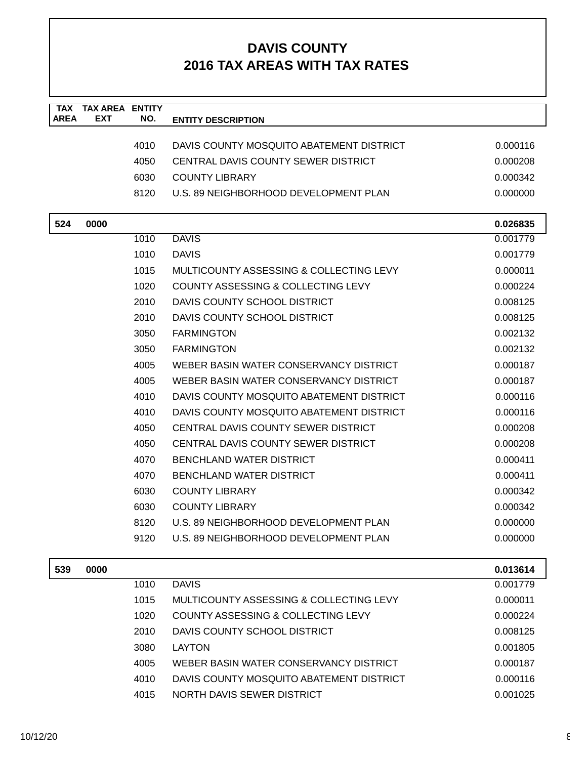| TAX         | <b>TAX AREA ENTITY</b> |      |                                          |          |
|-------------|------------------------|------|------------------------------------------|----------|
| <b>AREA</b> | <b>EXT</b>             | NO.  | <b>ENTITY DESCRIPTION</b>                |          |
|             |                        | 4010 | DAVIS COUNTY MOSQUITO ABATEMENT DISTRICT | 0.000116 |
|             |                        | 4050 | CENTRAL DAVIS COUNTY SEWER DISTRICT      | 0.000208 |
|             |                        |      |                                          |          |
|             |                        | 6030 | <b>COUNTY LIBRARY</b>                    | 0.000342 |
|             |                        | 8120 | U.S. 89 NEIGHBORHOOD DEVELOPMENT PLAN    | 0.000000 |
| 524         | 0000                   |      |                                          | 0.026835 |
|             |                        | 1010 | <b>DAVIS</b>                             | 0.001779 |
|             |                        | 1010 | <b>DAVIS</b>                             | 0.001779 |
|             |                        | 1015 | MULTICOUNTY ASSESSING & COLLECTING LEVY  | 0.000011 |
|             |                        | 1020 | COUNTY ASSESSING & COLLECTING LEVY       | 0.000224 |
|             |                        | 2010 | DAVIS COUNTY SCHOOL DISTRICT             | 0.008125 |
|             |                        | 2010 | DAVIS COUNTY SCHOOL DISTRICT             | 0.008125 |
|             |                        | 3050 | <b>FARMINGTON</b>                        | 0.002132 |
|             |                        | 3050 | <b>FARMINGTON</b>                        | 0.002132 |
|             |                        | 4005 | WEBER BASIN WATER CONSERVANCY DISTRICT   | 0.000187 |
|             |                        | 4005 | WEBER BASIN WATER CONSERVANCY DISTRICT   | 0.000187 |
|             |                        | 4010 | DAVIS COUNTY MOSQUITO ABATEMENT DISTRICT | 0.000116 |
|             |                        | 4010 | DAVIS COUNTY MOSQUITO ABATEMENT DISTRICT | 0.000116 |
|             |                        | 4050 | CENTRAL DAVIS COUNTY SEWER DISTRICT      | 0.000208 |
|             |                        | 4050 | CENTRAL DAVIS COUNTY SEWER DISTRICT      | 0.000208 |
|             |                        | 4070 | <b>BENCHLAND WATER DISTRICT</b>          | 0.000411 |
|             |                        | 4070 | BENCHLAND WATER DISTRICT                 | 0.000411 |
|             |                        | 6030 | <b>COUNTY LIBRARY</b>                    | 0.000342 |
|             |                        | 6030 | <b>COUNTY LIBRARY</b>                    | 0.000342 |
|             |                        | 8120 | U.S. 89 NEIGHBORHOOD DEVELOPMENT PLAN    | 0.000000 |
|             |                        | 9120 | U.S. 89 NEIGHBORHOOD DEVELOPMENT PLAN    | 0.000000 |
| 539         | 0000                   |      |                                          | 0.013614 |

| ວວອ | uuu |      |                                          | <b>U.UIJUI4</b> |
|-----|-----|------|------------------------------------------|-----------------|
|     |     | 1010 | <b>DAVIS</b>                             | 0.001779        |
|     |     | 1015 | MULTICOUNTY ASSESSING & COLLECTING LEVY  | 0.000011        |
|     |     | 1020 | COUNTY ASSESSING & COLLECTING LEVY       | 0.000224        |
|     |     | 2010 | DAVIS COUNTY SCHOOL DISTRICT             | 0.008125        |
|     |     | 3080 | <b>LAYTON</b>                            | 0.001805        |
|     |     | 4005 | WEBER BASIN WATER CONSERVANCY DISTRICT   | 0.000187        |
|     |     | 4010 | DAVIS COUNTY MOSQUITO ABATEMENT DISTRICT | 0.000116        |
|     |     | 4015 | NORTH DAVIS SEWER DISTRICT               | 0.001025        |
|     |     |      |                                          |                 |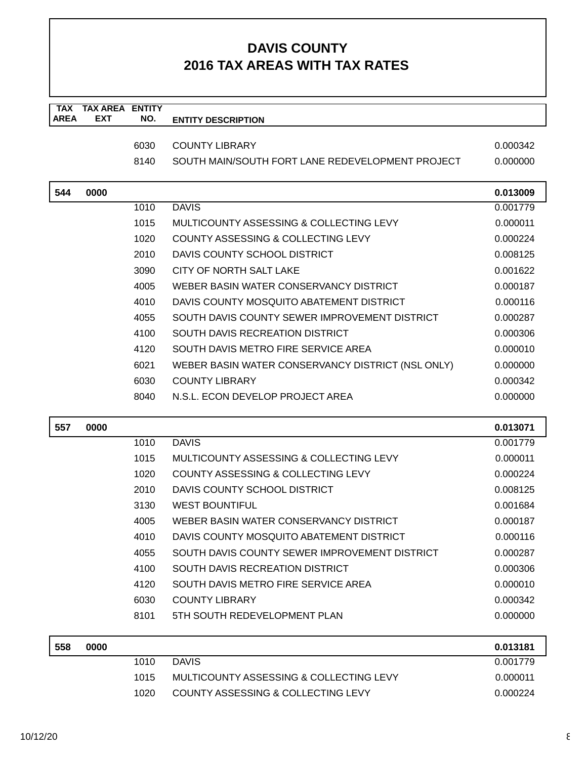| <b>TAX</b>  | <b>TAX AREA ENTITY</b> |      |                                                   |          |
|-------------|------------------------|------|---------------------------------------------------|----------|
| <b>AREA</b> | <b>EXT</b>             | NO.  | <b>ENTITY DESCRIPTION</b>                         |          |
|             |                        | 6030 | <b>COUNTY LIBRARY</b>                             | 0.000342 |
|             |                        | 8140 | SOUTH MAIN/SOUTH FORT LANE REDEVELOPMENT PROJECT  | 0.000000 |
|             |                        |      |                                                   |          |
| 544         | 0000                   |      |                                                   | 0.013009 |
|             |                        | 1010 | <b>DAVIS</b>                                      | 0.001779 |
|             |                        | 1015 | MULTICOUNTY ASSESSING & COLLECTING LEVY           | 0.000011 |
|             |                        | 1020 | COUNTY ASSESSING & COLLECTING LEVY                | 0.000224 |
|             |                        | 2010 | DAVIS COUNTY SCHOOL DISTRICT                      | 0.008125 |
|             |                        | 3090 | CITY OF NORTH SALT LAKE                           | 0.001622 |
|             |                        | 4005 | WEBER BASIN WATER CONSERVANCY DISTRICT            | 0.000187 |
|             |                        | 4010 | DAVIS COUNTY MOSQUITO ABATEMENT DISTRICT          | 0.000116 |
|             |                        | 4055 | SOUTH DAVIS COUNTY SEWER IMPROVEMENT DISTRICT     | 0.000287 |
|             |                        | 4100 | SOUTH DAVIS RECREATION DISTRICT                   | 0.000306 |
|             |                        | 4120 | SOUTH DAVIS METRO FIRE SERVICE AREA               | 0.000010 |
|             |                        | 6021 | WEBER BASIN WATER CONSERVANCY DISTRICT (NSL ONLY) | 0.000000 |
|             |                        | 6030 | <b>COUNTY LIBRARY</b>                             | 0.000342 |
|             |                        | 8040 | N.S.L. ECON DEVELOP PROJECT AREA                  | 0.000000 |
|             |                        |      |                                                   |          |
|             |                        |      |                                                   |          |
| 557         | 0000                   |      |                                                   | 0.013071 |
|             |                        | 1010 | <b>DAVIS</b>                                      | 0.001779 |
|             |                        | 1015 | MULTICOUNTY ASSESSING & COLLECTING LEVY           | 0.000011 |
|             |                        | 1020 | COUNTY ASSESSING & COLLECTING LEVY                | 0.000224 |
|             |                        | 2010 | DAVIS COUNTY SCHOOL DISTRICT                      | 0.008125 |
|             |                        | 3130 | <b>WEST BOUNTIFUL</b>                             | 0.001684 |
|             |                        | 4005 | WEBER BASIN WATER CONSERVANCY DISTRICT            | 0.000187 |
|             |                        | 4010 | DAVIS COUNTY MOSQUITO ABATEMENT DISTRICT          | 0.000116 |
|             |                        | 4055 | SOUTH DAVIS COUNTY SEWER IMPROVEMENT DISTRICT     | 0.000287 |
|             |                        | 4100 | SOUTH DAVIS RECREATION DISTRICT                   | 0.000306 |
|             |                        | 4120 | SOUTH DAVIS METRO FIRE SERVICE AREA               | 0.000010 |
|             |                        | 6030 | <b>COUNTY LIBRARY</b>                             | 0.000342 |
|             |                        | 8101 | 5TH SOUTH REDEVELOPMENT PLAN                      | 0.000000 |
| 558         | 0000                   |      |                                                   | 0.013181 |
|             |                        | 1010 | <b>DAVIS</b>                                      | 0.001779 |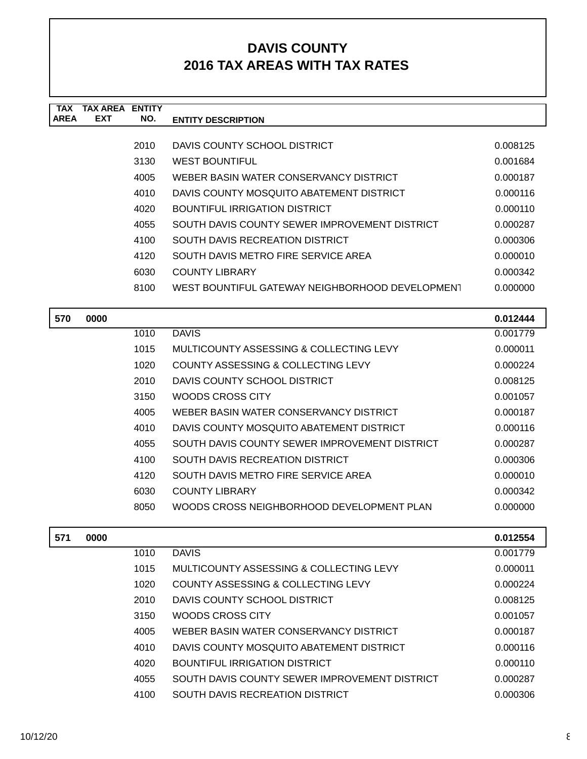| <b>TAX</b>  | <b>TAX AREA</b> | <b>ENTITY</b> |                                                 |          |
|-------------|-----------------|---------------|-------------------------------------------------|----------|
| <b>AREA</b> | <b>EXT</b>      | NO.           | <b>ENTITY DESCRIPTION</b>                       |          |
|             |                 |               |                                                 |          |
|             |                 | 2010          | DAVIS COUNTY SCHOOL DISTRICT                    | 0.008125 |
|             |                 | 3130          | <b>WEST BOUNTIFUL</b>                           | 0.001684 |
|             |                 | 4005          | WEBER BASIN WATER CONSERVANCY DISTRICT          | 0.000187 |
|             |                 | 4010          | DAVIS COUNTY MOSQUITO ABATEMENT DISTRICT        | 0.000116 |
|             |                 | 4020          | BOUNTIFUL IRRIGATION DISTRICT                   | 0.000110 |
|             |                 | 4055          | SOUTH DAVIS COUNTY SEWER IMPROVEMENT DISTRICT   | 0.000287 |
|             |                 | 4100          | SOUTH DAVIS RECREATION DISTRICT                 | 0.000306 |
|             |                 | 4120          | SOUTH DAVIS METRO FIRE SERVICE AREA             | 0.000010 |
|             |                 | 6030          | <b>COUNTY LIBRARY</b>                           | 0.000342 |
|             |                 | 8100          | WEST BOUNTIFUL GATEWAY NEIGHBORHOOD DEVELOPMENT | 0.000000 |
|             |                 |               |                                                 |          |
| 570         | 0000            |               |                                                 | 0.012444 |
|             |                 | 1010          | <b>DAVIS</b>                                    | 0.001779 |
|             |                 | 1015          | MULTICOUNTY ASSESSING & COLLECTING LEVY         | 0.000011 |
|             |                 | 1020          | COUNTY ASSESSING & COLLECTING LEVY              | 0.000224 |
|             |                 | 2010          | DAVIS COUNTY SCHOOL DISTRICT                    | 0.008125 |
|             |                 | 3150          | WOODS CROSS CITY                                | 0.001057 |
|             |                 | 4005          | WEBER BASIN WATER CONSERVANCY DISTRICT          | 0.000187 |
|             |                 |               |                                                 |          |

| 4005 | WEBER BASIN WATER CONSERVANCY DISTRICT        | 0.000187 |
|------|-----------------------------------------------|----------|
| 4010 | DAVIS COUNTY MOSQUITO ABATEMENT DISTRICT      | 0.000116 |
| 4055 | SOUTH DAVIS COUNTY SEWER IMPROVEMENT DISTRICT | 0.000287 |
| 4100 | SOUTH DAVIS RECREATION DISTRICT               | 0.000306 |
| 4120 | SOUTH DAVIS METRO FIRE SERVICE AREA           | 0.000010 |
| 6030 | <b>COUNTY LIBRARY</b>                         | 0.000342 |
| 8050 | WOODS CROSS NEIGHBORHOOD DEVELOPMENT PLAN     | 0.000000 |

| 571 | 0000 |      |                                               | 0.012554 |
|-----|------|------|-----------------------------------------------|----------|
|     |      | 1010 | <b>DAVIS</b>                                  | 0.001779 |
|     |      | 1015 | MULTICOUNTY ASSESSING & COLLECTING LEVY       | 0.000011 |
|     |      | 1020 | COUNTY ASSESSING & COLLECTING LEVY            | 0.000224 |
|     |      | 2010 | DAVIS COUNTY SCHOOL DISTRICT                  | 0.008125 |
|     |      | 3150 | WOODS CROSS CITY                              | 0.001057 |
|     |      | 4005 | WEBER BASIN WATER CONSERVANCY DISTRICT        | 0.000187 |
|     |      | 4010 | DAVIS COUNTY MOSQUITO ABATEMENT DISTRICT      | 0.000116 |
|     |      | 4020 | BOUNTIFUL IRRIGATION DISTRICT                 | 0.000110 |
|     |      | 4055 | SOUTH DAVIS COUNTY SEWER IMPROVEMENT DISTRICT | 0.000287 |
|     |      | 4100 | SOUTH DAVIS RECREATION DISTRICT               | 0.000306 |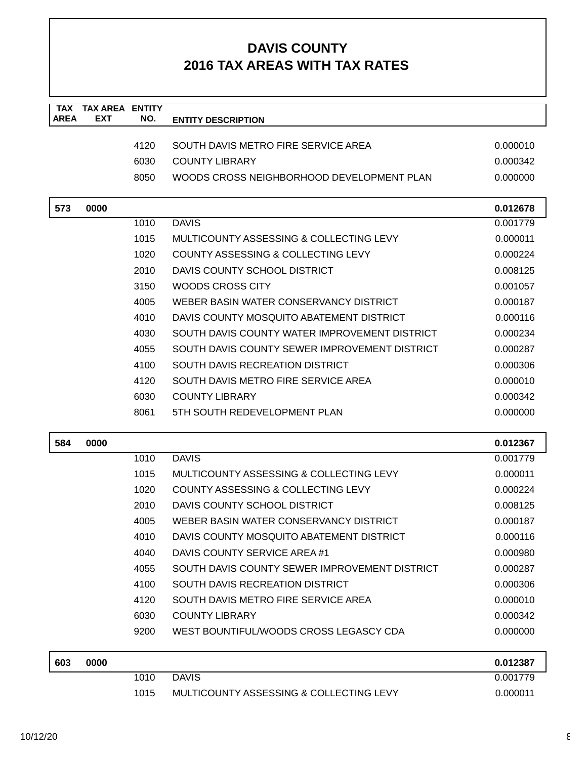| <b>TAX</b><br><b>AREA</b> | <b>TAX AREA</b><br><b>EXT</b> | <b>ENTITY</b><br>NO. | <b>ENTITY DESCRIPTION</b>                     |          |
|---------------------------|-------------------------------|----------------------|-----------------------------------------------|----------|
|                           |                               |                      |                                               |          |
|                           |                               | 4120                 | SOUTH DAVIS METRO FIRE SERVICE AREA           | 0.000010 |
|                           |                               | 6030                 | <b>COUNTY LIBRARY</b>                         | 0.000342 |
|                           |                               | 8050                 | WOODS CROSS NEIGHBORHOOD DEVELOPMENT PLAN     | 0.000000 |
| 573                       | 0000                          |                      |                                               | 0.012678 |
|                           |                               | 1010                 | <b>DAVIS</b>                                  | 0.001779 |
|                           |                               | 1015                 | MULTICOUNTY ASSESSING & COLLECTING LEVY       | 0.000011 |
|                           |                               | 1020                 | COUNTY ASSESSING & COLLECTING LEVY            | 0.000224 |
|                           |                               | 2010                 | DAVIS COUNTY SCHOOL DISTRICT                  | 0.008125 |
|                           |                               | 3150                 | <b>WOODS CROSS CITY</b>                       | 0.001057 |
|                           |                               | 4005                 | WEBER BASIN WATER CONSERVANCY DISTRICT        | 0.000187 |
|                           |                               | 4010                 | DAVIS COUNTY MOSQUITO ABATEMENT DISTRICT      | 0.000116 |
|                           |                               | 4030                 | SOUTH DAVIS COUNTY WATER IMPROVEMENT DISTRICT | 0.000234 |
|                           |                               | 4055                 | SOUTH DAVIS COUNTY SEWER IMPROVEMENT DISTRICT | 0.000287 |
|                           |                               | 4100                 | SOUTH DAVIS RECREATION DISTRICT               | 0.000306 |
|                           |                               | 4120                 | SOUTH DAVIS METRO FIRE SERVICE AREA           | 0.000010 |
|                           |                               | 6030                 | <b>COUNTY LIBRARY</b>                         | 0.000342 |
|                           |                               | 8061                 | 5TH SOUTH REDEVELOPMENT PLAN                  | 0.000000 |
| 584                       | 0000                          |                      |                                               | 0.012367 |
|                           |                               | 1010                 | <b>DAVIS</b>                                  | 0.001779 |
|                           |                               | 1015                 | MULTICOUNTY ASSESSING & COLLECTING LEVY       | 0.000011 |
|                           |                               | 1020                 | COUNTY ASSESSING & COLLECTING LEVY            | 0.000224 |
|                           |                               | 2010                 | DAVIS COUNTY SCHOOL DISTRICT                  | 0.008125 |
|                           |                               | 4005                 | WEBER BASIN WATER CONSERVANCY DISTRICT        | 0.000187 |
|                           |                               | 4010                 | DAVIS COUNTY MOSQUITO ABATEMENT DISTRICT      | 0.000116 |
|                           |                               | 4040                 | DAVIS COUNTY SERVICE AREA #1                  | 0.000980 |
|                           |                               | 4055                 | SOUTH DAVIS COUNTY SEWER IMPROVEMENT DISTRICT | 0.000287 |
|                           |                               | 4100                 | SOUTH DAVIS RECREATION DISTRICT               | 0.000306 |
|                           |                               | 4120                 | SOUTH DAVIS METRO FIRE SERVICE AREA           | 0.000010 |
|                           |                               | 6030                 | <b>COUNTY LIBRARY</b>                         | 0.000342 |
|                           |                               | 9200                 | WEST BOUNTIFUL/WOODS CROSS LEGASCY CDA        | 0.000000 |
| 603                       | 0000                          |                      |                                               | 0.012387 |
|                           |                               | 1010                 | <b>DAVIS</b>                                  | 0.001779 |
|                           |                               | 1015                 | MULTICOUNTY ASSESSING & COLLECTING LEVY       | 0.000011 |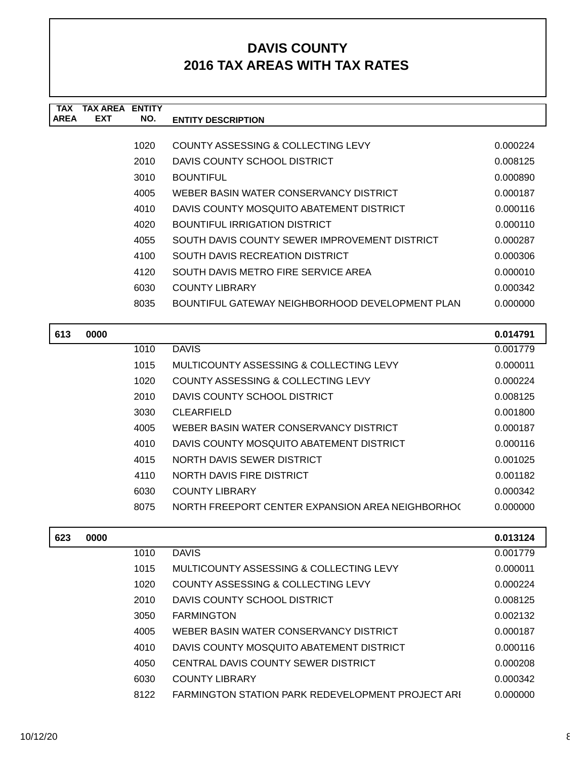| TAX         | TAX AREA   | <b>ENTITY</b> |                                                 |          |
|-------------|------------|---------------|-------------------------------------------------|----------|
| <b>AREA</b> | <b>EXT</b> | NO.           | <b>ENTITY DESCRIPTION</b>                       |          |
|             |            |               |                                                 |          |
|             |            | 1020          | COUNTY ASSESSING & COLLECTING LEVY              | 0.000224 |
|             |            | 2010          | DAVIS COUNTY SCHOOL DISTRICT                    | 0.008125 |
|             |            | 3010          | <b>BOUNTIFUL</b>                                | 0.000890 |
|             |            | 4005          | WEBER BASIN WATER CONSERVANCY DISTRICT          | 0.000187 |
|             |            | 4010          | DAVIS COUNTY MOSQUITO ABATEMENT DISTRICT        | 0.000116 |
|             |            | 4020          | BOUNTIFUL IRRIGATION DISTRICT                   | 0.000110 |
|             |            | 4055          | SOUTH DAVIS COUNTY SEWER IMPROVEMENT DISTRICT   | 0.000287 |
|             |            | 4100          | <b>SOUTH DAVIS RECREATION DISTRICT</b>          | 0.000306 |
|             |            | 4120          | SOUTH DAVIS METRO FIRE SERVICE AREA             | 0.000010 |
|             |            | 6030          | COUNTY LIBRARY                                  | 0.000342 |
|             |            | 8035          | BOUNTIFUL GATEWAY NEIGHBORHOOD DEVELOPMENT PLAN | 0.000000 |
|             |            |               |                                                 |          |
|             |            |               |                                                 |          |

| 613 | 0000 |      |                                                  | 0.014791 |
|-----|------|------|--------------------------------------------------|----------|
|     |      | 1010 | <b>DAVIS</b>                                     | 0.001779 |
|     |      | 1015 | MULTICOUNTY ASSESSING & COLLECTING LEVY          | 0.000011 |
|     |      | 1020 | COUNTY ASSESSING & COLLECTING LEVY               | 0.000224 |
|     |      | 2010 | DAVIS COUNTY SCHOOL DISTRICT                     | 0.008125 |
|     |      | 3030 | <b>CLEARFIELD</b>                                | 0.001800 |
|     |      | 4005 | WEBER BASIN WATER CONSERVANCY DISTRICT           | 0.000187 |
|     |      | 4010 | DAVIS COUNTY MOSQUITO ABATEMENT DISTRICT         | 0.000116 |
|     |      | 4015 | NORTH DAVIS SEWER DISTRICT                       | 0.001025 |
|     |      | 4110 | NORTH DAVIS FIRE DISTRICT                        | 0.001182 |
|     |      | 6030 | <b>COUNTY LIBRARY</b>                            | 0.000342 |
|     |      | 8075 | NORTH FREEPORT CENTER EXPANSION AREA NEIGHBORHOC | 0.000000 |
|     |      |      |                                                  |          |

| 623 | 0000 |      |                                                   | 0.013124 |
|-----|------|------|---------------------------------------------------|----------|
|     |      | 1010 | <b>DAVIS</b>                                      | 0.001779 |
|     |      | 1015 | MULTICOUNTY ASSESSING & COLLECTING LEVY           | 0.000011 |
|     |      | 1020 | COUNTY ASSESSING & COLLECTING LEVY                | 0.000224 |
|     |      | 2010 | DAVIS COUNTY SCHOOL DISTRICT                      | 0.008125 |
|     |      | 3050 | <b>FARMINGTON</b>                                 | 0.002132 |
|     |      | 4005 | WEBER BASIN WATER CONSERVANCY DISTRICT            | 0.000187 |
|     |      | 4010 | DAVIS COUNTY MOSQUITO ABATEMENT DISTRICT          | 0.000116 |
|     |      | 4050 | CENTRAL DAVIS COUNTY SEWER DISTRICT               | 0.000208 |
|     |      | 6030 | <b>COUNTY LIBRARY</b>                             | 0.000342 |
|     |      | 8122 | FARMINGTON STATION PARK REDEVELOPMENT PROJECT ARI | 0.000000 |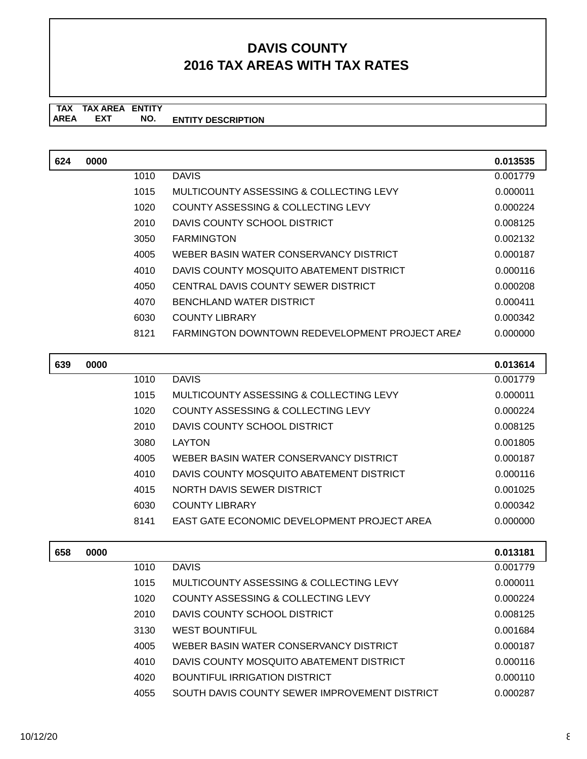**TAX TAX AREA ENTITY ENTITY DESCRIPTION EXT NO.**

| 624 | 0000 |      |                                                       | 0.013535 |
|-----|------|------|-------------------------------------------------------|----------|
|     |      | 1010 | <b>DAVIS</b>                                          | 0.001779 |
|     |      | 1015 | MULTICOUNTY ASSESSING & COLLECTING LEVY               | 0.000011 |
|     |      | 1020 | COUNTY ASSESSING & COLLECTING LEVY                    | 0.000224 |
|     |      | 2010 | DAVIS COUNTY SCHOOL DISTRICT                          | 0.008125 |
|     |      | 3050 | <b>FARMINGTON</b>                                     | 0.002132 |
|     |      | 4005 | WEBER BASIN WATER CONSERVANCY DISTRICT                | 0.000187 |
|     |      | 4010 | DAVIS COUNTY MOSQUITO ABATEMENT DISTRICT              | 0.000116 |
|     |      | 4050 | CENTRAL DAVIS COUNTY SEWER DISTRICT                   | 0.000208 |
|     |      | 4070 | BENCHLAND WATER DISTRICT                              | 0.000411 |
|     |      | 6030 | <b>COUNTY LIBRARY</b>                                 | 0.000342 |
|     |      | 8121 | <b>FARMINGTON DOWNTOWN REDEVELOPMENT PROJECT AREA</b> | 0.000000 |

| 639 | 0000 |      |                                                    | 0.013614 |
|-----|------|------|----------------------------------------------------|----------|
|     |      | 1010 | <b>DAVIS</b>                                       | 0.001779 |
|     |      | 1015 | MULTICOUNTY ASSESSING & COLLECTING LEVY            | 0.000011 |
|     |      | 1020 | COUNTY ASSESSING & COLLECTING LEVY                 | 0.000224 |
|     |      | 2010 | DAVIS COUNTY SCHOOL DISTRICT                       | 0.008125 |
|     |      | 3080 | LAYTON                                             | 0.001805 |
|     |      | 4005 | WEBER BASIN WATER CONSERVANCY DISTRICT             | 0.000187 |
|     |      | 4010 | DAVIS COUNTY MOSQUITO ABATEMENT DISTRICT           | 0.000116 |
|     |      | 4015 | NORTH DAVIS SEWER DISTRICT                         | 0.001025 |
|     |      | 6030 | <b>COUNTY LIBRARY</b>                              | 0.000342 |
|     |      | 8141 | <b>EAST GATE ECONOMIC DEVELOPMENT PROJECT AREA</b> | 0.000000 |

| 658 | 0000 |      |                                               | 0.013181 |
|-----|------|------|-----------------------------------------------|----------|
|     |      | 1010 | <b>DAVIS</b>                                  | 0.001779 |
|     |      | 1015 | MULTICOUNTY ASSESSING & COLLECTING LEVY       | 0.000011 |
|     |      | 1020 | COUNTY ASSESSING & COLLECTING LEVY            | 0.000224 |
|     |      | 2010 | DAVIS COUNTY SCHOOL DISTRICT                  | 0.008125 |
|     |      | 3130 | <b>WEST BOUNTIFUL</b>                         | 0.001684 |
|     |      | 4005 | WEBER BASIN WATER CONSERVANCY DISTRICT        | 0.000187 |
|     |      | 4010 | DAVIS COUNTY MOSQUITO ABATEMENT DISTRICT      | 0.000116 |
|     |      | 4020 | BOUNTIFUL IRRIGATION DISTRICT                 | 0.000110 |
|     |      | 4055 | SOUTH DAVIS COUNTY SEWER IMPROVEMENT DISTRICT | 0.000287 |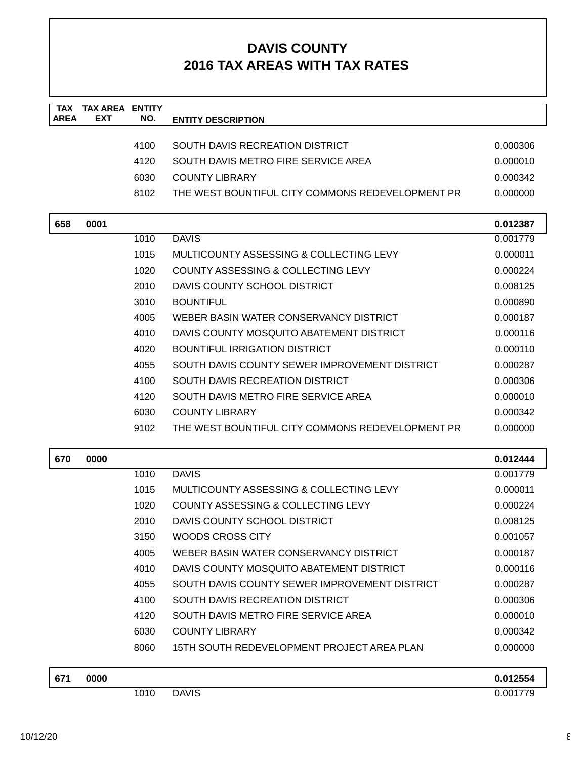| <b>TAX</b><br><b>AREA</b> | <b>TAX AREA</b><br><b>EXT</b> | <b>ENTITY</b><br>NO. | <b>ENTITY DESCRIPTION</b>                        |          |
|---------------------------|-------------------------------|----------------------|--------------------------------------------------|----------|
|                           |                               |                      |                                                  |          |
|                           |                               | 4100                 | SOUTH DAVIS RECREATION DISTRICT                  | 0.000306 |
|                           |                               | 4120                 | SOUTH DAVIS METRO FIRE SERVICE AREA              | 0.000010 |
|                           |                               | 6030                 | <b>COUNTY LIBRARY</b>                            | 0.000342 |
|                           |                               | 8102                 | THE WEST BOUNTIFUL CITY COMMONS REDEVELOPMENT PR | 0.000000 |
|                           |                               |                      |                                                  |          |
| 658                       | 0001                          |                      |                                                  | 0.012387 |
|                           |                               | 1010                 | <b>DAVIS</b>                                     | 0.001779 |
|                           |                               | 1015                 | MULTICOUNTY ASSESSING & COLLECTING LEVY          | 0.000011 |
|                           |                               | 1020                 | COUNTY ASSESSING & COLLECTING LEVY               | 0.000224 |
|                           |                               | 2010                 | DAVIS COUNTY SCHOOL DISTRICT                     | 0.008125 |
|                           |                               | 3010                 | <b>BOUNTIFUL</b>                                 | 0.000890 |
|                           |                               | 4005                 | WEBER BASIN WATER CONSERVANCY DISTRICT           | 0.000187 |
|                           |                               | 4010                 | DAVIS COUNTY MOSQUITO ABATEMENT DISTRICT         | 0.000116 |
|                           |                               | 4020                 | <b>BOUNTIFUL IRRIGATION DISTRICT</b>             | 0.000110 |
|                           |                               | 4055                 | SOUTH DAVIS COUNTY SEWER IMPROVEMENT DISTRICT    | 0.000287 |
|                           |                               | 4100                 | <b>SOUTH DAVIS RECREATION DISTRICT</b>           | 0.000306 |
|                           |                               | 4120                 | SOUTH DAVIS METRO FIRE SERVICE AREA              | 0.000010 |
|                           |                               | 6030                 | <b>COUNTY LIBRARY</b>                            | 0.000342 |
|                           |                               | 9102                 | THE WEST BOUNTIFUL CITY COMMONS REDEVELOPMENT PR | 0.000000 |
| 670                       | 0000                          |                      |                                                  | 0.012444 |
|                           |                               | 1010                 | <b>DAVIS</b>                                     | 0.001779 |
|                           |                               | 1015                 | MULTICOUNTY ASSESSING & COLLECTING LEVY          | 0.000011 |
|                           |                               | 1020                 | COUNTY ASSESSING & COLLECTING LEVY               | 0.000224 |
|                           |                               | 2010                 | DAVIS COUNTY SCHOOL DISTRICT                     | 0.008125 |
|                           |                               | 3150                 | WOODS CROSS CITY                                 | 0.001057 |
|                           |                               | 4005                 | WEBER BASIN WATER CONSERVANCY DISTRICT           | 0.000187 |
|                           |                               | 4010                 | DAVIS COUNTY MOSQUITO ABATEMENT DISTRICT         | 0.000116 |
|                           |                               | 4055                 | SOUTH DAVIS COUNTY SEWER IMPROVEMENT DISTRICT    | 0.000287 |
|                           |                               | 4100                 | SOUTH DAVIS RECREATION DISTRICT                  | 0.000306 |
|                           |                               | 4120                 | SOUTH DAVIS METRO FIRE SERVICE AREA              | 0.000010 |
|                           |                               | 6030                 | <b>COUNTY LIBRARY</b>                            | 0.000342 |
|                           |                               | 8060                 | 15TH SOUTH REDEVELOPMENT PROJECT AREA PLAN       | 0.000000 |
| 671                       | 0000                          |                      |                                                  | 0.012554 |

1010 DAVIS 0.001779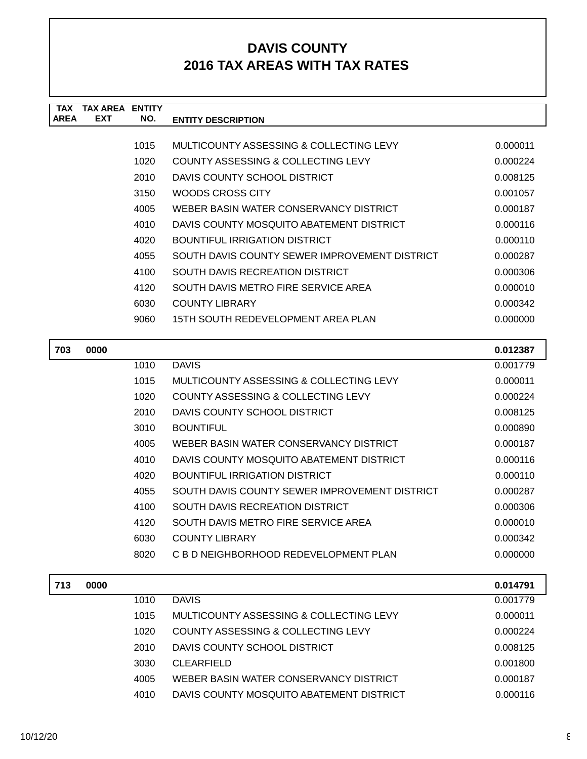| <b>TAX</b><br><b>AREA</b> | <b>TAX AREA ENTITY</b><br><b>EXT</b> | NO.  | <b>ENTITY DESCRIPTION</b>                     |          |
|---------------------------|--------------------------------------|------|-----------------------------------------------|----------|
|                           |                                      |      |                                               |          |
|                           |                                      | 1015 | MULTICOUNTY ASSESSING & COLLECTING LEVY       | 0.000011 |
|                           |                                      | 1020 | <b>COUNTY ASSESSING &amp; COLLECTING LEVY</b> | 0.000224 |
|                           |                                      | 2010 | DAVIS COUNTY SCHOOL DISTRICT                  | 0.008125 |
|                           |                                      | 3150 | WOODS CROSS CITY                              | 0.001057 |
|                           |                                      | 4005 | WEBER BASIN WATER CONSERVANCY DISTRICT        | 0.000187 |
|                           |                                      | 4010 | DAVIS COUNTY MOSQUITO ABATEMENT DISTRICT      | 0.000116 |
|                           |                                      | 4020 | <b>BOUNTIFUL IRRIGATION DISTRICT</b>          | 0.000110 |
|                           |                                      | 4055 | SOUTH DAVIS COUNTY SEWER IMPROVEMENT DISTRICT | 0.000287 |
|                           |                                      | 4100 | <b>SOUTH DAVIS RECREATION DISTRICT</b>        | 0.000306 |
|                           |                                      | 4120 | SOUTH DAVIS METRO FIRE SERVICE AREA           | 0.000010 |
|                           |                                      | 6030 | <b>COUNTY LIBRARY</b>                         | 0.000342 |
|                           |                                      | 9060 | 15TH SOUTH REDEVELOPMENT AREA PLAN            | 0.000000 |
| 703                       | 0000                                 |      |                                               | 0.012387 |
|                           |                                      | 1010 | <b>DAVIS</b>                                  | 0.001779 |
|                           |                                      | 1015 | MULTICOUNTY ASSESSING & COLLECTING LEVY       | 0.000011 |
|                           |                                      | 1020 | COUNTY ASSESSING & COLLECTING LEVY            | 0.000224 |
|                           |                                      | 2010 | DAVIS COUNTY SCHOOL DISTRICT                  | 0.008125 |
|                           |                                      | 3010 | <b>BOUNTIFUL</b>                              | 0.000890 |
|                           |                                      | 4005 | WEBER BASIN WATER CONSERVANCY DISTRICT        | 0.000187 |
|                           |                                      | 4010 | DAVIS COUNTY MOSQUITO ABATEMENT DISTRICT      | 0.000116 |
|                           |                                      | 4020 | <b>BOUNTIFUL IRRIGATION DISTRICT</b>          | 0.000110 |
|                           |                                      | 4055 | SOUTH DAVIS COUNTY SEWER IMPROVEMENT DISTRICT | 0.000287 |
|                           |                                      | 4100 | SOUTH DAVIS RECREATION DISTRICT               | 0.000306 |
|                           |                                      | 4120 | SOUTH DAVIS METRO FIRE SERVICE AREA           | 0.000010 |
|                           |                                      | 6030 | <b>COUNTY LIBRARY</b>                         | 0.000342 |
|                           |                                      | 8020 | C B D NEIGHBORHOOD REDEVELOPMENT PLAN         | 0.000000 |
| 713                       | 0000                                 |      |                                               | 0.014791 |
|                           |                                      | 1010 | <b>DAVIS</b>                                  | 0.001779 |

| 1015 | MULTICOUNTY ASSESSING & COLLECTING LEVY  | 0.000011 |
|------|------------------------------------------|----------|
| 1020 | COUNTY ASSESSING & COLLECTING LEVY       | 0.000224 |
| 2010 | DAVIS COUNTY SCHOOL DISTRICT             | 0.008125 |
| 3030 | CLEARFIELD                               | 0.001800 |
| 4005 | WEBER BASIN WATER CONSERVANCY DISTRICT   | 0.000187 |
| 4010 | DAVIS COUNTY MOSQUITO ABATEMENT DISTRICT | 0.000116 |
|      |                                          |          |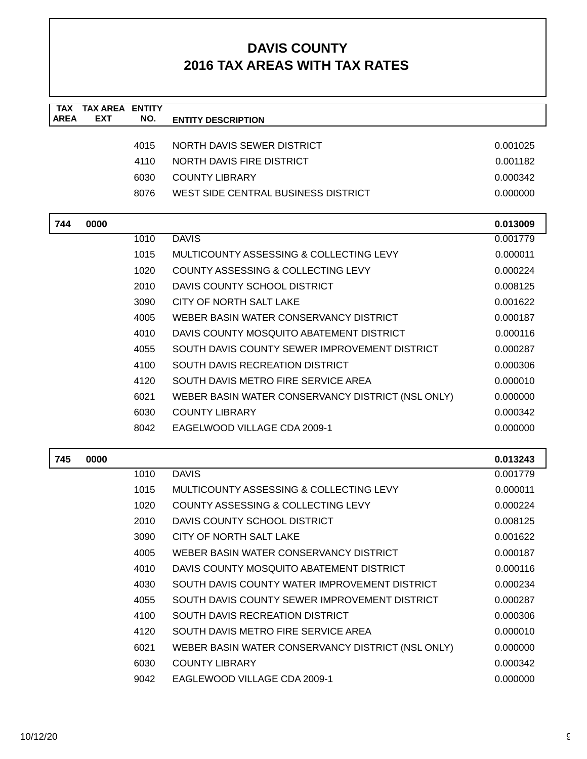| <b>TAX</b><br><b>AREA</b> | <b>TAX AREA ENTITY</b><br><b>EXT</b> | NO.  | <b>ENTITY DESCRIPTION</b>                         |          |
|---------------------------|--------------------------------------|------|---------------------------------------------------|----------|
|                           |                                      |      |                                                   |          |
|                           |                                      | 4015 | NORTH DAVIS SEWER DISTRICT                        | 0.001025 |
|                           |                                      | 4110 | NORTH DAVIS FIRE DISTRICT                         | 0.001182 |
|                           |                                      | 6030 | <b>COUNTY LIBRARY</b>                             | 0.000342 |
|                           |                                      | 8076 | WEST SIDE CENTRAL BUSINESS DISTRICT               | 0.000000 |
|                           |                                      |      |                                                   |          |
| 744                       | 0000                                 |      |                                                   | 0.013009 |
|                           |                                      | 1010 | <b>DAVIS</b>                                      | 0.001779 |
|                           |                                      | 1015 | MULTICOUNTY ASSESSING & COLLECTING LEVY           | 0.000011 |
|                           |                                      | 1020 | COUNTY ASSESSING & COLLECTING LEVY                | 0.000224 |
|                           |                                      | 2010 | DAVIS COUNTY SCHOOL DISTRICT                      | 0.008125 |
|                           |                                      | 3090 | CITY OF NORTH SALT LAKE                           | 0.001622 |
|                           |                                      | 4005 | WEBER BASIN WATER CONSERVANCY DISTRICT            | 0.000187 |
|                           |                                      | 4010 | DAVIS COUNTY MOSQUITO ABATEMENT DISTRICT          | 0.000116 |
|                           |                                      | 4055 | SOUTH DAVIS COUNTY SEWER IMPROVEMENT DISTRICT     | 0.000287 |
|                           |                                      | 4100 | SOUTH DAVIS RECREATION DISTRICT                   | 0.000306 |
|                           |                                      | 4120 | SOUTH DAVIS METRO FIRE SERVICE AREA               | 0.000010 |
|                           |                                      | 6021 | WEBER BASIN WATER CONSERVANCY DISTRICT (NSL ONLY) | 0.000000 |
|                           |                                      | 6030 | <b>COUNTY LIBRARY</b>                             | 0.000342 |
|                           |                                      | 8042 | EAGELWOOD VILLAGE CDA 2009-1                      | 0.000000 |
|                           |                                      |      |                                                   |          |
| 745                       | 0000                                 |      |                                                   | 0.013243 |
|                           |                                      | 1010 | <b>DAVIS</b>                                      | 0.001779 |
|                           |                                      | 1015 | MULTICOUNTY ASSESSING & COLLECTING LEVY           | 0.000011 |
|                           |                                      | 1020 | COUNTY ASSESSING & COLLECTING LEVY                | 0.000224 |
|                           |                                      | 2010 | DAVIS COUNTY SCHOOL DISTRICT                      | 0.008125 |
|                           |                                      | 3090 | CITY OF NORTH SALT LAKE                           | 0.001622 |
|                           |                                      | 4005 | WEBER BASIN WATER CONSERVANCY DISTRICT            | 0.000187 |
|                           |                                      | 4010 | DAVIS COUNTY MOSQUITO ABATEMENT DISTRICT          | 0.000116 |
|                           |                                      | 4030 | SOUTH DAVIS COUNTY WATER IMPROVEMENT DISTRICT     | 0.000234 |
|                           |                                      | 4055 | SOUTH DAVIS COUNTY SEWER IMPROVEMENT DISTRICT     | 0.000287 |
|                           |                                      | 4100 | SOUTH DAVIS RECREATION DISTRICT                   | 0.000306 |
|                           |                                      | 4120 | SOUTH DAVIS METRO FIRE SERVICE AREA               | 0.000010 |
|                           |                                      | 6021 | WEBER BASIN WATER CONSERVANCY DISTRICT (NSL ONLY) | 0.000000 |
|                           |                                      | 6030 | <b>COUNTY LIBRARY</b>                             | 0.000342 |
|                           |                                      | 9042 | EAGLEWOOD VILLAGE CDA 2009-1                      | 0.000000 |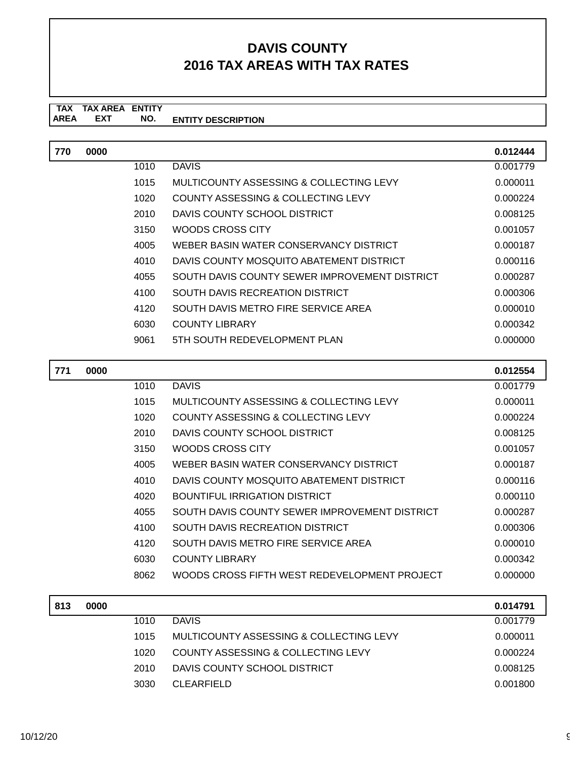#### **TAX TAX AREA ENTITY ENTITY DESCRIPTION EXT NO.**

| 770 | 0000 |      |                                               | 0.012444 |
|-----|------|------|-----------------------------------------------|----------|
|     |      | 1010 | <b>DAVIS</b>                                  | 0.001779 |
|     |      | 1015 | MULTICOUNTY ASSESSING & COLLECTING LEVY       | 0.000011 |
|     |      | 1020 | COUNTY ASSESSING & COLLECTING LEVY            | 0.000224 |
|     |      | 2010 | DAVIS COUNTY SCHOOL DISTRICT                  | 0.008125 |
|     |      | 3150 | WOODS CROSS CITY                              | 0.001057 |
|     |      | 4005 | WEBER BASIN WATER CONSERVANCY DISTRICT        | 0.000187 |
|     |      | 4010 | DAVIS COUNTY MOSQUITO ABATEMENT DISTRICT      | 0.000116 |
|     |      | 4055 | SOUTH DAVIS COUNTY SEWER IMPROVEMENT DISTRICT | 0.000287 |
|     |      | 4100 | SOUTH DAVIS RECREATION DISTRICT               | 0.000306 |
|     |      | 4120 | SOUTH DAVIS METRO FIRE SERVICE AREA           | 0.000010 |
|     |      | 6030 | <b>COUNTY LIBRARY</b>                         | 0.000342 |
|     |      | 9061 | 5TH SOUTH REDEVELOPMENT PLAN                  | 0.000000 |

| 771 | 0000 |      |                                               | 0.012554 |
|-----|------|------|-----------------------------------------------|----------|
|     |      | 1010 | <b>DAVIS</b>                                  | 0.001779 |
|     |      | 1015 | MULTICOUNTY ASSESSING & COLLECTING LEVY       | 0.000011 |
|     |      | 1020 | COUNTY ASSESSING & COLLECTING LEVY            | 0.000224 |
|     |      | 2010 | DAVIS COUNTY SCHOOL DISTRICT                  | 0.008125 |
|     |      | 3150 | WOODS CROSS CITY                              | 0.001057 |
|     |      | 4005 | WEBER BASIN WATER CONSERVANCY DISTRICT        | 0.000187 |
|     |      | 4010 | DAVIS COUNTY MOSQUITO ABATEMENT DISTRICT      | 0.000116 |
|     |      | 4020 | BOUNTIFUL IRRIGATION DISTRICT                 | 0.000110 |
|     |      | 4055 | SOUTH DAVIS COUNTY SEWER IMPROVEMENT DISTRICT | 0.000287 |
|     |      | 4100 | SOUTH DAVIS RECREATION DISTRICT               | 0.000306 |
|     |      | 4120 | SOUTH DAVIS METRO FIRE SERVICE AREA           | 0.000010 |
|     |      | 6030 | COUNTY LIBRARY                                | 0.000342 |
|     |      | 8062 | WOODS CROSS FIFTH WEST REDEVELOPMENT PROJECT  | 0.000000 |

| 813 | 0000 |      |                                         | 0.014791 |
|-----|------|------|-----------------------------------------|----------|
|     |      | 1010 | <b>DAVIS</b>                            | 0.001779 |
|     |      | 1015 | MULTICOUNTY ASSESSING & COLLECTING LEVY | 0.000011 |
|     |      | 1020 | COUNTY ASSESSING & COLLECTING LEVY      | 0.000224 |
|     |      | 2010 | DAVIS COUNTY SCHOOL DISTRICT            | 0.008125 |
|     |      | 3030 | <b>CLEARFIELD</b>                       | 0.001800 |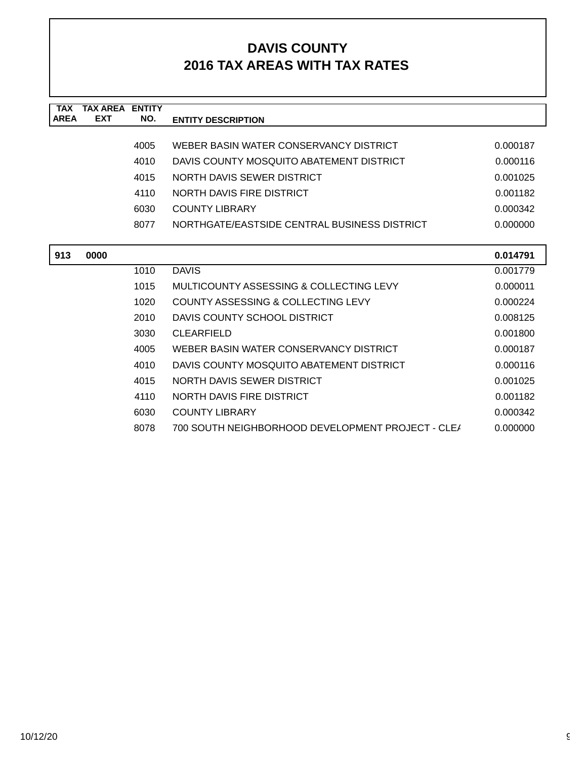| <b>TAX</b>  | <b>TAX AREA ENTITY</b> |      |                                                   |          |
|-------------|------------------------|------|---------------------------------------------------|----------|
| <b>AREA</b> | <b>EXT</b>             | NO.  | <b>ENTITY DESCRIPTION</b>                         |          |
|             |                        |      |                                                   |          |
|             |                        | 4005 | WEBER BASIN WATER CONSERVANCY DISTRICT            | 0.000187 |
|             |                        | 4010 | DAVIS COUNTY MOSQUITO ABATEMENT DISTRICT          | 0.000116 |
|             |                        | 4015 | NORTH DAVIS SEWER DISTRICT                        | 0.001025 |
|             |                        | 4110 | <b>NORTH DAVIS FIRE DISTRICT</b>                  | 0.001182 |
|             |                        | 6030 | <b>COUNTY LIBRARY</b>                             | 0.000342 |
|             |                        | 8077 | NORTHGATE/EASTSIDE CENTRAL BUSINESS DISTRICT      | 0.000000 |
|             |                        |      |                                                   |          |
| 913         | 0000                   |      |                                                   | 0.014791 |
|             |                        | 1010 | <b>DAVIS</b>                                      | 0.001779 |
|             |                        | 1015 | MULTICOUNTY ASSESSING & COLLECTING LEVY           | 0.000011 |
|             |                        | 1020 | COUNTY ASSESSING & COLLECTING LEVY                | 0.000224 |
|             |                        | 2010 | DAVIS COUNTY SCHOOL DISTRICT                      | 0.008125 |
|             |                        | 3030 | <b>CLEARFIELD</b>                                 | 0.001800 |
|             |                        | 4005 | WEBER BASIN WATER CONSERVANCY DISTRICT            | 0.000187 |
|             |                        | 4010 | DAVIS COUNTY MOSQUITO ABATEMENT DISTRICT          | 0.000116 |
|             |                        | 4015 | NORTH DAVIS SEWER DISTRICT                        | 0.001025 |
|             |                        | 4110 | NORTH DAVIS FIRE DISTRICT                         | 0.001182 |
|             |                        | 6030 | <b>COUNTY LIBRARY</b>                             | 0.000342 |
|             |                        | 8078 | 700 SOUTH NEIGHBORHOOD DEVELOPMENT PROJECT - CLE/ | 0.000000 |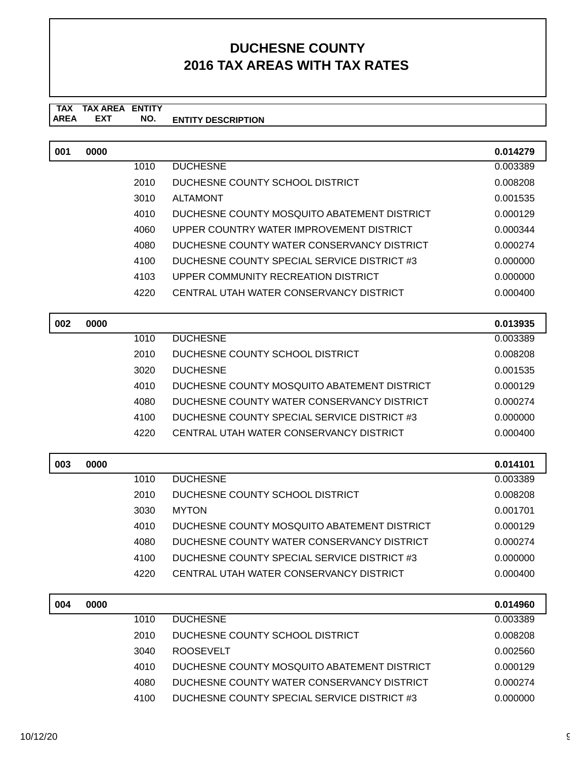#### **TAX TAX AREA ENTITY AREA ENTITY DESCRIPTION EXT NO.**

| 001 | 0000 |      |                                             | 0.014279 |
|-----|------|------|---------------------------------------------|----------|
|     |      | 1010 | <b>DUCHESNE</b>                             | 0.003389 |
|     |      | 2010 | DUCHESNE COUNTY SCHOOL DISTRICT             | 0.008208 |
|     |      | 3010 | <b>ALTAMONT</b>                             | 0.001535 |
|     |      | 4010 | DUCHESNE COUNTY MOSQUITO ABATEMENT DISTRICT | 0.000129 |
|     |      | 4060 | UPPER COUNTRY WATER IMPROVEMENT DISTRICT    | 0.000344 |
|     |      | 4080 | DUCHESNE COUNTY WATER CONSERVANCY DISTRICT  | 0.000274 |
|     |      | 4100 | DUCHESNE COUNTY SPECIAL SERVICE DISTRICT #3 | 0.000000 |
|     |      | 4103 | UPPER COMMUNITY RECREATION DISTRICT         | 0.000000 |
|     |      | 4220 | CENTRAL UTAH WATER CONSERVANCY DISTRICT     | 0.000400 |
| 002 | 0000 |      |                                             | 0.013935 |
|     |      | 1010 | <b>DUCHESNE</b>                             | 0.003389 |
|     |      | 2010 | DUCHESNE COUNTY SCHOOL DISTRICT             | 0.008208 |
|     |      | 3020 | <b>DUCHESNE</b>                             | 0.001535 |
|     |      | 4010 | DUCHESNE COUNTY MOSQUITO ABATEMENT DISTRICT | 0.000129 |
|     |      | 4080 | DUCHESNE COUNTY WATER CONSERVANCY DISTRICT  | 0.000274 |
|     |      | 4100 | DUCHESNE COUNTY SPECIAL SERVICE DISTRICT #3 | 0.000000 |
|     |      | 4220 | CENTRAL UTAH WATER CONSERVANCY DISTRICT     | 0.000400 |
| 003 | 0000 |      |                                             | 0.014101 |
|     |      | 1010 | <b>DUCHESNE</b>                             | 0.003389 |
|     |      | 2010 | DUCHESNE COUNTY SCHOOL DISTRICT             | 0.008208 |
|     |      | 3030 | <b>MYTON</b>                                | 0.001701 |
|     |      | 4010 | DUCHESNE COUNTY MOSQUITO ABATEMENT DISTRICT | 0.000129 |
|     |      | 4080 | DUCHESNE COUNTY WATER CONSERVANCY DISTRICT  | 0.000274 |
|     |      | 4100 | DUCHESNE COUNTY SPECIAL SERVICE DISTRICT #3 | 0.000000 |
|     |      | 4220 | CENTRAL UTAH WATER CONSERVANCY DISTRICT     | 0.000400 |
| 004 | 0000 |      |                                             | 0.014960 |
|     |      | 1010 | <b>DUCHESNE</b>                             | 0.003389 |
|     |      | 2010 | DUCHESNE COUNTY SCHOOL DISTRICT             | 0.008208 |
|     |      | 3040 | <b>ROOSEVELT</b>                            | 0.002560 |
|     |      | 4010 | DUCHESNE COUNTY MOSQUITO ABATEMENT DISTRICT | 0.000129 |
|     |      | 4080 | DUCHESNE COUNTY WATER CONSERVANCY DISTRICT  | 0.000274 |
|     |      | 4100 | DUCHESNE COUNTY SPECIAL SERVICE DISTRICT #3 | 0.000000 |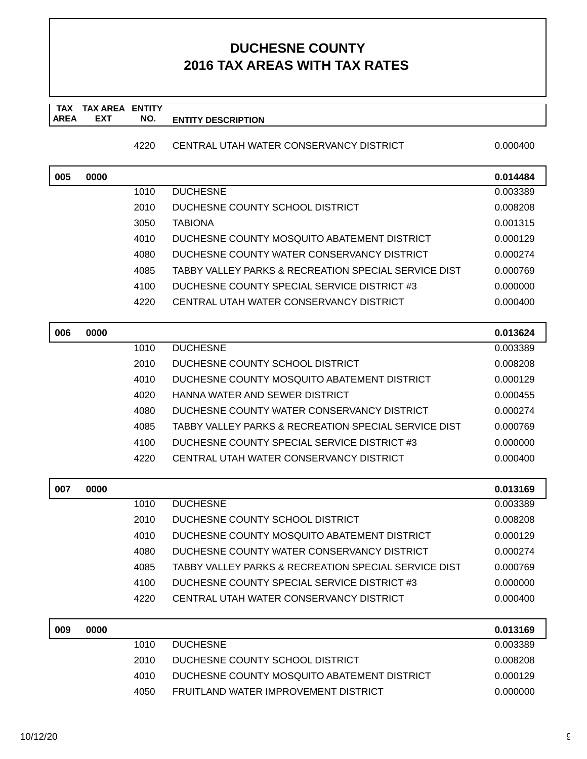#### **TAX TAX AREA ENTITY AREA ENTITY DESCRIPTION EXT NO.**

### 4220 CENTRAL UTAH WATER CONSERVANCY DISTRICT 0.000400

| 005 | 0000 |      |                                                      | 0.014484 |
|-----|------|------|------------------------------------------------------|----------|
|     |      | 1010 | <b>DUCHESNE</b>                                      | 0.003389 |
|     |      | 2010 | DUCHESNE COUNTY SCHOOL DISTRICT                      | 0.008208 |
|     |      | 3050 | <b>TABIONA</b>                                       | 0.001315 |
|     |      | 4010 | DUCHESNE COUNTY MOSQUITO ABATEMENT DISTRICT          | 0.000129 |
|     |      | 4080 | DUCHESNE COUNTY WATER CONSERVANCY DISTRICT           | 0.000274 |
|     |      | 4085 | TABBY VALLEY PARKS & RECREATION SPECIAL SERVICE DIST | 0.000769 |
|     |      | 4100 | DUCHESNE COUNTY SPECIAL SERVICE DISTRICT #3          | 0.000000 |
|     |      | 4220 | CENTRAL UTAH WATER CONSERVANCY DISTRICT              | 0.000400 |
| 006 | 0000 |      |                                                      | 0.013624 |
|     |      | 1010 | <b>DUCHESNE</b>                                      | 0.003389 |
|     |      | 2010 | DUCHESNE COUNTY SCHOOL DISTRICT                      | 0.008208 |
|     |      | 4010 | DUCHESNE COUNTY MOSQUITO ABATEMENT DISTRICT          | 0.000129 |
|     |      | 4020 | HANNA WATER AND SEWER DISTRICT                       | 0.000455 |
|     |      | 4080 | DUCHESNE COUNTY WATER CONSERVANCY DISTRICT           | 0.000274 |
|     |      | 4085 | TABBY VALLEY PARKS & RECREATION SPECIAL SERVICE DIST | 0.000769 |
|     |      | 4100 | DUCHESNE COUNTY SPECIAL SERVICE DISTRICT #3          | 0.000000 |
|     |      | 4220 | CENTRAL UTAH WATER CONSERVANCY DISTRICT              | 0.000400 |
|     |      |      |                                                      |          |
| 007 | 0000 |      |                                                      | 0.013169 |
|     |      | 1010 | <b>DUCHESNE</b>                                      | 0.003389 |
|     |      | 2010 | DUCHESNE COUNTY SCHOOL DISTRICT                      | 0.008208 |
|     |      | 4010 | DUCHESNE COUNTY MOSQUITO ABATEMENT DISTRICT          | 0.000129 |
|     |      | 4080 | DUCHESNE COUNTY WATER CONSERVANCY DISTRICT           | 0.000274 |
|     |      | 4085 | TABBY VALLEY PARKS & RECREATION SPECIAL SERVICE DIST | 0.000769 |
|     |      | 4100 | DUCHESNE COUNTY SPECIAL SERVICE DISTRICT #3          | 0.000000 |
|     |      | 4220 | CENTRAL UTAH WATER CONSERVANCY DISTRICT              | 0.000400 |
| 009 | 0000 |      |                                                      | 0.013169 |
|     |      | 1010 | <b>DUCHESNE</b>                                      | 0.003389 |
|     |      | 2010 | DUCHESNE COUNTY SCHOOL DISTRICT                      | 0.008208 |
|     |      | 4010 | DUCHESNE COUNTY MOSQUITO ABATEMENT DISTRICT          | 0.000129 |
|     |      | 4050 | FRUITLAND WATER IMPROVEMENT DISTRICT                 | 0.000000 |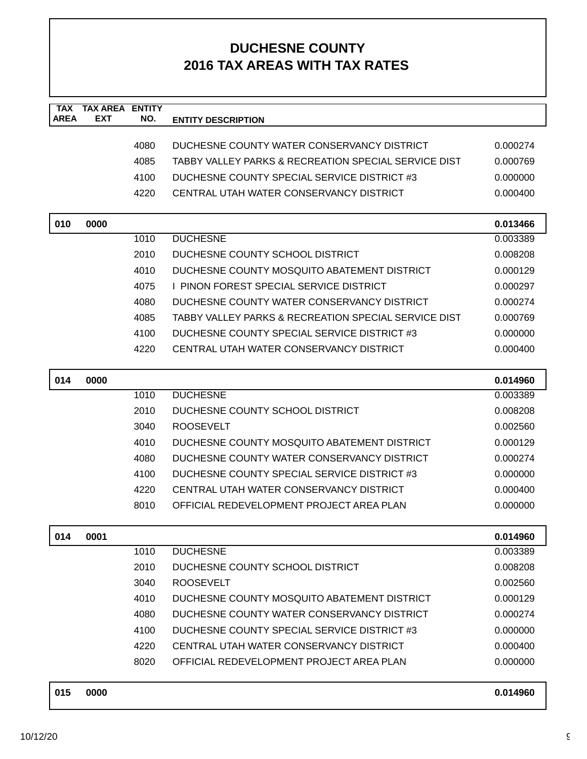| <b>TAX</b><br><b>AREA</b> | <b>TAX AREA</b><br><b>EXT</b> | <b>ENTITY</b> |                                                      |          |
|---------------------------|-------------------------------|---------------|------------------------------------------------------|----------|
|                           |                               | NO.           | <b>ENTITY DESCRIPTION</b>                            |          |
|                           |                               | 4080          | DUCHESNE COUNTY WATER CONSERVANCY DISTRICT           | 0.000274 |
|                           |                               | 4085          | TABBY VALLEY PARKS & RECREATION SPECIAL SERVICE DIST | 0.000769 |
|                           |                               | 4100          | DUCHESNE COUNTY SPECIAL SERVICE DISTRICT #3          | 0.000000 |
|                           |                               | 4220          | CENTRAL UTAH WATER CONSERVANCY DISTRICT              | 0.000400 |
|                           |                               |               |                                                      |          |
| 010                       | 0000                          |               |                                                      | 0.013466 |
|                           |                               | 1010          | <b>DUCHESNE</b>                                      | 0.003389 |
|                           |                               | 2010          | DUCHESNE COUNTY SCHOOL DISTRICT                      | 0.008208 |
|                           |                               | 4010          | DUCHESNE COUNTY MOSQUITO ABATEMENT DISTRICT          | 0.000129 |
|                           |                               | 4075          | I PINON FOREST SPECIAL SERVICE DISTRICT              | 0.000297 |
|                           |                               | 4080          | DUCHESNE COUNTY WATER CONSERVANCY DISTRICT           | 0.000274 |
|                           |                               | 4085          | TABBY VALLEY PARKS & RECREATION SPECIAL SERVICE DIST | 0.000769 |
|                           |                               | 4100          | DUCHESNE COUNTY SPECIAL SERVICE DISTRICT #3          | 0.000000 |
|                           |                               | 4220          | CENTRAL UTAH WATER CONSERVANCY DISTRICT              | 0.000400 |
|                           |                               |               |                                                      |          |
| 014                       | 0000                          |               |                                                      | 0.014960 |
|                           |                               | 1010          | <b>DUCHESNE</b>                                      | 0.003389 |
|                           |                               | 2010          | DUCHESNE COUNTY SCHOOL DISTRICT                      | 0.008208 |
|                           |                               | 3040          | <b>ROOSEVELT</b>                                     | 0.002560 |
|                           |                               | 4010          | DUCHESNE COUNTY MOSQUITO ABATEMENT DISTRICT          | 0.000129 |
|                           |                               | 4080          | DUCHESNE COUNTY WATER CONSERVANCY DISTRICT           | 0.000274 |
|                           |                               | 4100          | DUCHESNE COUNTY SPECIAL SERVICE DISTRICT #3          | 0.000000 |
|                           |                               | 4220          | CENTRAL UTAH WATER CONSERVANCY DISTRICT              | 0.000400 |
|                           |                               | 8010          | OFFICIAL REDEVELOPMENT PROJECT AREA PLAN             | 0.000000 |
| 014                       | 0001                          |               |                                                      | 0.014960 |
|                           |                               | 1010          | <b>DUCHESNE</b>                                      | 0.003389 |
|                           |                               | 2010          | DUCHESNE COUNTY SCHOOL DISTRICT                      | 0.008208 |
|                           |                               | 3040          | <b>ROOSEVELT</b>                                     | 0.002560 |
|                           |                               | 4010          | DUCHESNE COUNTY MOSQUITO ABATEMENT DISTRICT          | 0.000129 |
|                           |                               | 4080          | DUCHESNE COUNTY WATER CONSERVANCY DISTRICT           | 0.000274 |
|                           |                               | 4100          | DUCHESNE COUNTY SPECIAL SERVICE DISTRICT #3          | 0.000000 |
|                           |                               | 4220          | CENTRAL UTAH WATER CONSERVANCY DISTRICT              | 0.000400 |
|                           |                               | 8020          | OFFICIAL REDEVELOPMENT PROJECT AREA PLAN             | 0.000000 |
|                           |                               |               |                                                      |          |
| 015                       | 0000                          |               |                                                      | 0.014960 |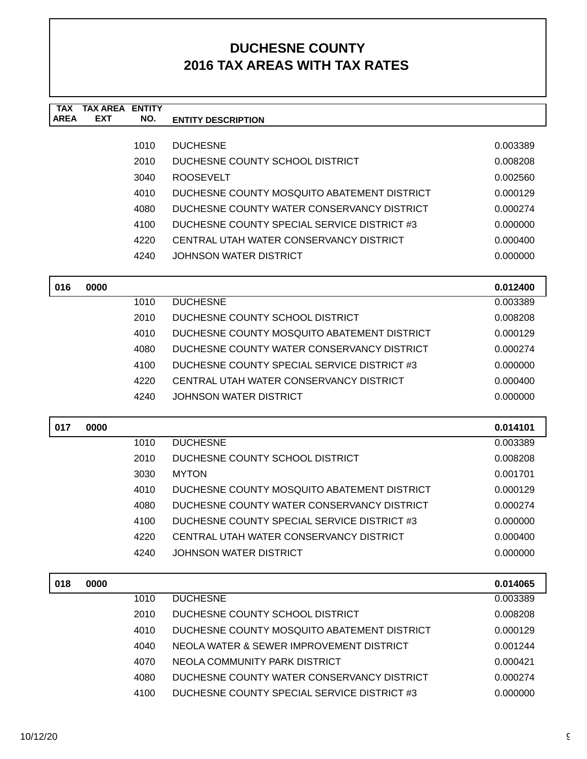| <b>TAX AREA</b> | <b>ENTITY</b>              |                                             |                                                                                 |
|-----------------|----------------------------|---------------------------------------------|---------------------------------------------------------------------------------|
|                 |                            |                                             |                                                                                 |
|                 | 1010                       | <b>DUCHESNE</b>                             | 0.003389                                                                        |
|                 | 2010                       | DUCHESNE COUNTY SCHOOL DISTRICT             | 0.008208                                                                        |
|                 | 3040                       | <b>ROOSEVELT</b>                            | 0.002560                                                                        |
|                 | 4010                       | DUCHESNE COUNTY MOSQUITO ABATEMENT DISTRICT | 0.000129                                                                        |
|                 | 4080                       | DUCHESNE COUNTY WATER CONSERVANCY DISTRICT  | 0.000274                                                                        |
|                 | 4100                       | DUCHESNE COUNTY SPECIAL SERVICE DISTRICT #3 | 0.000000                                                                        |
|                 | 4220                       | CENTRAL UTAH WATER CONSERVANCY DISTRICT     | 0.000400                                                                        |
|                 | 4240                       | JOHNSON WATER DISTRICT                      | 0.000000                                                                        |
|                 |                            |                                             | 0.012400                                                                        |
|                 | 1010                       | <b>DUCHESNE</b>                             | 0.003389                                                                        |
|                 | 2010                       | DUCHESNE COUNTY SCHOOL DISTRICT             | 0.008208                                                                        |
|                 | 4010                       | DUCHESNE COUNTY MOSQUITO ABATEMENT DISTRICT | 0.000129                                                                        |
|                 | 4080                       | DUCHESNE COUNTY WATER CONSERVANCY DISTRICT  | 0.000274                                                                        |
|                 | 4100                       | DUCHESNE COUNTY SPECIAL SERVICE DISTRICT #3 | 0.000000                                                                        |
|                 | 4220                       | CENTRAL UTAH WATER CONSERVANCY DISTRICT     | 0.000400                                                                        |
|                 | 4240                       | <b>JOHNSON WATER DISTRICT</b>               | 0.000000                                                                        |
| 0000            |                            |                                             | 0.014101                                                                        |
|                 | 1010                       | <b>DUCHESNE</b>                             | 0.003389                                                                        |
|                 | 2010                       | DUCHESNE COUNTY SCHOOL DISTRICT             | 0.008208                                                                        |
|                 | 3030                       | <b>MYTON</b>                                | 0.001701                                                                        |
|                 | 4010                       | DUCHESNE COUNTY MOSQUITO ABATEMENT DISTRICT | 0.000129                                                                        |
|                 | 4080                       | DUCHESNE COUNTY WATER CONSERVANCY DISTRICT  | 0.000274                                                                        |
|                 | 4100                       | DUCHESNE COUNTY SPECIAL SERVICE DISTRICT #3 | 0.000000                                                                        |
|                 | 4220                       | CENTRAL UTAH WATER CONSERVANCY DISTRICT     | 0.000400                                                                        |
|                 | 4240                       | <b>JOHNSON WATER DISTRICT</b>               | 0.000000                                                                        |
|                 |                            |                                             | 0.014065                                                                        |
|                 |                            |                                             | 0.003389                                                                        |
|                 |                            |                                             | 0.008208                                                                        |
|                 | 4010                       | DUCHESNE COUNTY MOSQUITO ABATEMENT DISTRICT | 0.000129                                                                        |
|                 | 4040                       | NEOLA WATER & SEWER IMPROVEMENT DISTRICT    | 0.001244                                                                        |
|                 | 4070                       | NEOLA COMMUNITY PARK DISTRICT               | 0.000421                                                                        |
|                 | 4080                       | DUCHESNE COUNTY WATER CONSERVANCY DISTRICT  | 0.000274                                                                        |
|                 | 4100                       | DUCHESNE COUNTY SPECIAL SERVICE DISTRICT #3 | 0.000000                                                                        |
|                 | <b>EXT</b><br>0000<br>0000 | NO.<br>1010<br>2010                         | <b>ENTITY DESCRIPTION</b><br><b>DUCHESNE</b><br>DUCHESNE COUNTY SCHOOL DISTRICT |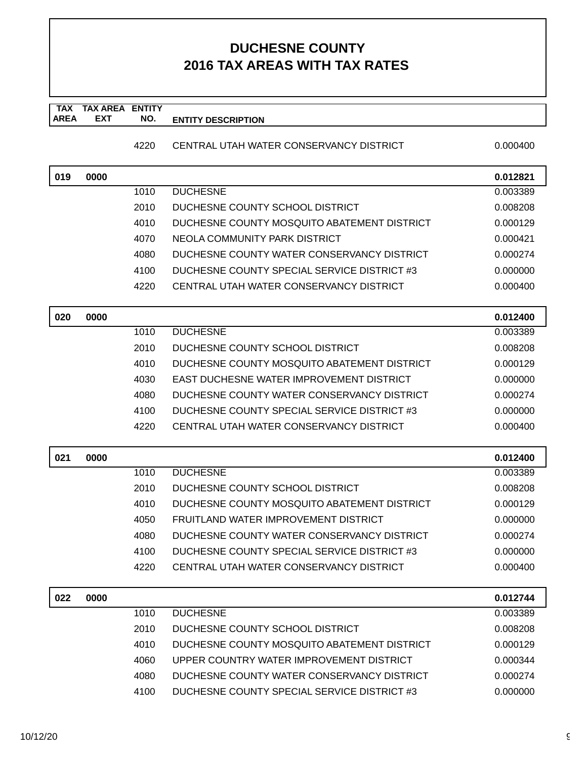#### **TAX TAX AREA ENTITY AREA ENTITY DESCRIPTION EXT NO.**

### 4220 CENTRAL UTAH WATER CONSERVANCY DISTRICT 0.000400

| 019 | 0000 |      |                                             | 0.012821 |
|-----|------|------|---------------------------------------------|----------|
|     |      | 1010 | <b>DUCHESNE</b>                             | 0.003389 |
|     |      | 2010 | DUCHESNE COUNTY SCHOOL DISTRICT             | 0.008208 |
|     |      | 4010 | DUCHESNE COUNTY MOSQUITO ABATEMENT DISTRICT | 0.000129 |
|     |      | 4070 | NEOLA COMMUNITY PARK DISTRICT               | 0.000421 |
|     |      | 4080 | DUCHESNE COUNTY WATER CONSERVANCY DISTRICT  | 0.000274 |
|     |      | 4100 | DUCHESNE COUNTY SPECIAL SERVICE DISTRICT #3 | 0.000000 |
|     |      | 4220 | CENTRAL UTAH WATER CONSERVANCY DISTRICT     | 0.000400 |
| 020 | 0000 |      |                                             | 0.012400 |
|     |      | 1010 | <b>DUCHESNE</b>                             | 0.003389 |
|     |      | 2010 | DUCHESNE COUNTY SCHOOL DISTRICT             | 0.008208 |
|     |      | 4010 | DUCHESNE COUNTY MOSQUITO ABATEMENT DISTRICT | 0.000129 |
|     |      | 4030 | EAST DUCHESNE WATER IMPROVEMENT DISTRICT    | 0.000000 |
|     |      | 4080 | DUCHESNE COUNTY WATER CONSERVANCY DISTRICT  | 0.000274 |
|     |      | 4100 | DUCHESNE COUNTY SPECIAL SERVICE DISTRICT #3 | 0.000000 |
|     |      | 4220 | CENTRAL UTAH WATER CONSERVANCY DISTRICT     | 0.000400 |
| 021 | 0000 |      |                                             | 0.012400 |
|     |      | 1010 | <b>DUCHESNE</b>                             | 0.003389 |
|     |      | 2010 | DUCHESNE COUNTY SCHOOL DISTRICT             | 0.008208 |
|     |      | 4010 | DUCHESNE COUNTY MOSQUITO ABATEMENT DISTRICT | 0.000129 |
|     |      | 4050 | FRUITLAND WATER IMPROVEMENT DISTRICT        | 0.000000 |
|     |      | 4080 | DUCHESNE COUNTY WATER CONSERVANCY DISTRICT  | 0.000274 |
|     |      | 4100 | DUCHESNE COUNTY SPECIAL SERVICE DISTRICT #3 | 0.000000 |
|     |      | 4220 | CENTRAL UTAH WATER CONSERVANCY DISTRICT     | 0.000400 |
| 022 | 0000 |      |                                             | 0.012744 |
|     |      | 1010 | <b>DUCHESNE</b>                             | 0.003389 |
|     |      | 2010 | DUCHESNE COUNTY SCHOOL DISTRICT             | 0.008208 |
|     |      | 4010 | DUCHESNE COUNTY MOSQUITO ABATEMENT DISTRICT | 0.000129 |
|     |      | 4060 | UPPER COUNTRY WATER IMPROVEMENT DISTRICT    | 0.000344 |
|     |      | 4080 | DUCHESNE COUNTY WATER CONSERVANCY DISTRICT  | 0.000274 |
|     |      | 4100 | DUCHESNE COUNTY SPECIAL SERVICE DISTRICT #3 | 0.000000 |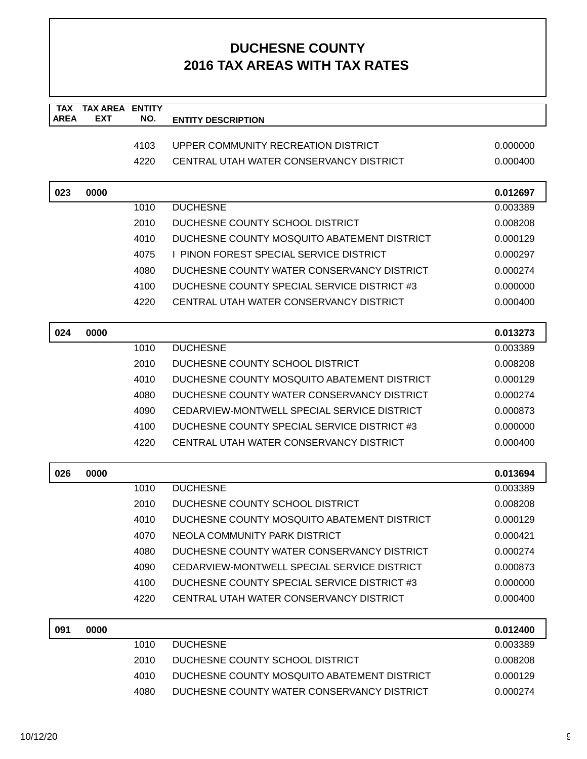| <b>TAX</b>  | <b>TAX AREA ENTITY</b> |      |                                             |          |
|-------------|------------------------|------|---------------------------------------------|----------|
| <b>AREA</b> | <b>EXT</b>             | NO.  | <b>ENTITY DESCRIPTION</b>                   |          |
|             |                        | 4103 | UPPER COMMUNITY RECREATION DISTRICT         | 0.000000 |
|             |                        | 4220 | CENTRAL UTAH WATER CONSERVANCY DISTRICT     | 0.000400 |
|             |                        |      |                                             |          |
| 023         | 0000                   |      |                                             | 0.012697 |
|             |                        | 1010 | <b>DUCHESNE</b>                             | 0.003389 |
|             |                        | 2010 | DUCHESNE COUNTY SCHOOL DISTRICT             | 0.008208 |
|             |                        | 4010 | DUCHESNE COUNTY MOSQUITO ABATEMENT DISTRICT | 0.000129 |
|             |                        | 4075 | I PINON FOREST SPECIAL SERVICE DISTRICT     | 0.000297 |
|             |                        | 4080 | DUCHESNE COUNTY WATER CONSERVANCY DISTRICT  | 0.000274 |
|             |                        | 4100 | DUCHESNE COUNTY SPECIAL SERVICE DISTRICT #3 | 0.000000 |
|             |                        | 4220 | CENTRAL UTAH WATER CONSERVANCY DISTRICT     | 0.000400 |
|             |                        |      |                                             |          |
| 024         | 0000                   |      |                                             | 0.013273 |
|             |                        | 1010 | <b>DUCHESNE</b>                             | 0.003389 |
|             |                        | 2010 | DUCHESNE COUNTY SCHOOL DISTRICT             | 0.008208 |
|             |                        | 4010 | DUCHESNE COUNTY MOSQUITO ABATEMENT DISTRICT | 0.000129 |
|             |                        | 4080 | DUCHESNE COUNTY WATER CONSERVANCY DISTRICT  | 0.000274 |
|             |                        | 4090 | CEDARVIEW-MONTWELL SPECIAL SERVICE DISTRICT | 0.000873 |
|             |                        | 4100 | DUCHESNE COUNTY SPECIAL SERVICE DISTRICT #3 | 0.000000 |
|             |                        | 4220 | CENTRAL UTAH WATER CONSERVANCY DISTRICT     | 0.000400 |
| 026         | 0000                   |      |                                             | 0.013694 |
|             |                        | 1010 | <b>DUCHESNE</b>                             | 0.003389 |
|             |                        | 2010 | DUCHESNE COUNTY SCHOOL DISTRICT             | 0.008208 |
|             |                        | 4010 | DUCHESNE COUNTY MOSQUITO ABATEMENT DISTRICT | 0.000129 |
|             |                        | 4070 | NEOLA COMMUNITY PARK DISTRICT               | 0.000421 |
|             |                        | 4080 | DUCHESNE COUNTY WATER CONSERVANCY DISTRICT  | 0.000274 |
|             |                        | 4090 | CEDARVIEW-MONTWELL SPECIAL SERVICE DISTRICT | 0.000873 |
|             |                        | 4100 | DUCHESNE COUNTY SPECIAL SERVICE DISTRICT #3 | 0.000000 |
|             |                        | 4220 | CENTRAL UTAH WATER CONSERVANCY DISTRICT     | 0.000400 |
| 091         | 0000                   |      |                                             | 0.012400 |
|             |                        | 1010 | <b>DUCHESNE</b>                             | 0.003389 |
|             |                        | 2010 | DUCHESNE COUNTY SCHOOL DISTRICT             | 0.008208 |
|             |                        | 4010 | DUCHESNE COUNTY MOSQUITO ABATEMENT DISTRICT | 0.000129 |
|             |                        | 4080 | DUCHESNE COUNTY WATER CONSERVANCY DISTRICT  | 0.000274 |
|             |                        |      |                                             |          |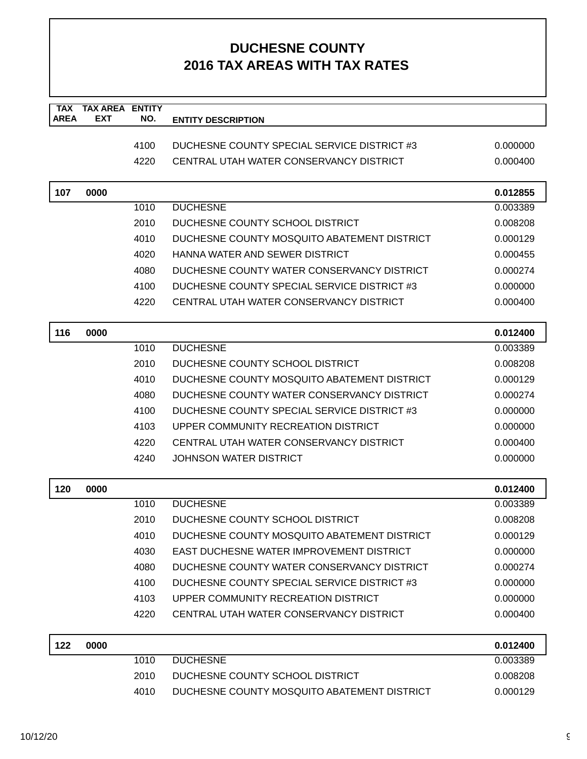| <b>TAX</b>  | <b>TAX AREA ENTITY</b> |      |                                             |          |
|-------------|------------------------|------|---------------------------------------------|----------|
| <b>AREA</b> | <b>EXT</b>             | NO.  | <b>ENTITY DESCRIPTION</b>                   |          |
|             |                        | 4100 | DUCHESNE COUNTY SPECIAL SERVICE DISTRICT #3 | 0.000000 |
|             |                        | 4220 | CENTRAL UTAH WATER CONSERVANCY DISTRICT     | 0.000400 |
|             |                        |      |                                             |          |
| 107         | 0000                   |      |                                             | 0.012855 |
|             |                        | 1010 | <b>DUCHESNE</b>                             | 0.003389 |
|             |                        | 2010 | DUCHESNE COUNTY SCHOOL DISTRICT             | 0.008208 |
|             |                        | 4010 | DUCHESNE COUNTY MOSQUITO ABATEMENT DISTRICT | 0.000129 |
|             |                        | 4020 | HANNA WATER AND SEWER DISTRICT              | 0.000455 |
|             |                        | 4080 | DUCHESNE COUNTY WATER CONSERVANCY DISTRICT  | 0.000274 |
|             |                        | 4100 | DUCHESNE COUNTY SPECIAL SERVICE DISTRICT #3 | 0.000000 |
|             |                        | 4220 | CENTRAL UTAH WATER CONSERVANCY DISTRICT     | 0.000400 |
|             |                        |      |                                             |          |
| 116         | 0000                   |      |                                             | 0.012400 |
|             |                        | 1010 | <b>DUCHESNE</b>                             | 0.003389 |
|             |                        | 2010 | DUCHESNE COUNTY SCHOOL DISTRICT             | 0.008208 |
|             |                        | 4010 | DUCHESNE COUNTY MOSQUITO ABATEMENT DISTRICT | 0.000129 |
|             |                        | 4080 | DUCHESNE COUNTY WATER CONSERVANCY DISTRICT  | 0.000274 |
|             |                        | 4100 | DUCHESNE COUNTY SPECIAL SERVICE DISTRICT #3 | 0.000000 |
|             |                        | 4103 | UPPER COMMUNITY RECREATION DISTRICT         | 0.000000 |
|             |                        | 4220 | CENTRAL UTAH WATER CONSERVANCY DISTRICT     | 0.000400 |
|             |                        | 4240 | <b>JOHNSON WATER DISTRICT</b>               | 0.000000 |
| 120         | 0000                   |      |                                             | 0.012400 |
|             |                        | 1010 | <b>DUCHESNE</b>                             | 0.003389 |
|             |                        | 2010 | DUCHESNE COUNTY SCHOOL DISTRICT             | 0.008208 |
|             |                        | 4010 | DUCHESNE COUNTY MOSQUITO ABATEMENT DISTRICT | 0.000129 |
|             |                        | 4030 | EAST DUCHESNE WATER IMPROVEMENT DISTRICT    | 0.000000 |
|             |                        | 4080 | DUCHESNE COUNTY WATER CONSERVANCY DISTRICT  | 0.000274 |
|             |                        | 4100 | DUCHESNE COUNTY SPECIAL SERVICE DISTRICT #3 | 0.000000 |
|             |                        | 4103 | UPPER COMMUNITY RECREATION DISTRICT         | 0.000000 |
|             |                        | 4220 | CENTRAL UTAH WATER CONSERVANCY DISTRICT     | 0.000400 |
| 122         | 0000                   |      |                                             | 0.012400 |
|             |                        | 1010 | <b>DUCHESNE</b>                             | 0.003389 |
|             |                        | 2010 | DUCHESNE COUNTY SCHOOL DISTRICT             | 0.008208 |
|             |                        | 4010 | DUCHESNE COUNTY MOSQUITO ABATEMENT DISTRICT | 0.000129 |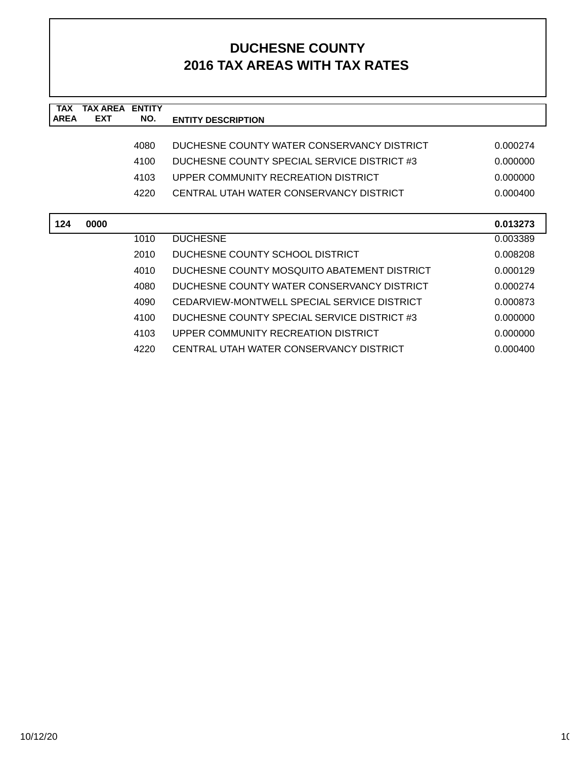| <b>TAX</b>  | TAX AREA   | <b>ENTITY</b> |                                             |          |
|-------------|------------|---------------|---------------------------------------------|----------|
| <b>AREA</b> | <b>EXT</b> | NO.           | <b>ENTITY DESCRIPTION</b>                   |          |
|             |            |               |                                             |          |
|             |            | 4080          | DUCHESNE COUNTY WATER CONSERVANCY DISTRICT  | 0.000274 |
|             |            | 4100          | DUCHESNE COUNTY SPECIAL SERVICE DISTRICT #3 | 0.000000 |
|             |            | 4103          | UPPER COMMUNITY RECREATION DISTRICT         | 0.000000 |
|             |            | 4220          | CENTRAL UTAH WATER CONSERVANCY DISTRICT     | 0.000400 |
|             |            |               |                                             |          |
| 124         | 0000       |               |                                             | 0.013273 |
|             |            | 1010          | <b>DUCHESNE</b>                             | 0.003389 |
|             |            | 2010          | DUCHESNE COUNTY SCHOOL DISTRICT             | 0.008208 |
|             |            | 4010          | DUCHESNE COUNTY MOSQUITO ABATEMENT DISTRICT | 0.000129 |
|             |            | 4080          | DUCHESNE COUNTY WATER CONSERVANCY DISTRICT  | 0.000274 |
|             |            | 4090          | CEDARVIEW-MONTWELL SPECIAL SERVICE DISTRICT | 0.000873 |
|             |            | 4100          | DUCHESNE COUNTY SPECIAL SERVICE DISTRICT #3 | 0.000000 |
|             |            | 4103          | UPPER COMMUNITY RECREATION DISTRICT         | 0.000000 |
|             |            | 4220          | CENTRAL UTAH WATER CONSERVANCY DISTRICT     | 0.000400 |
|             |            |               |                                             |          |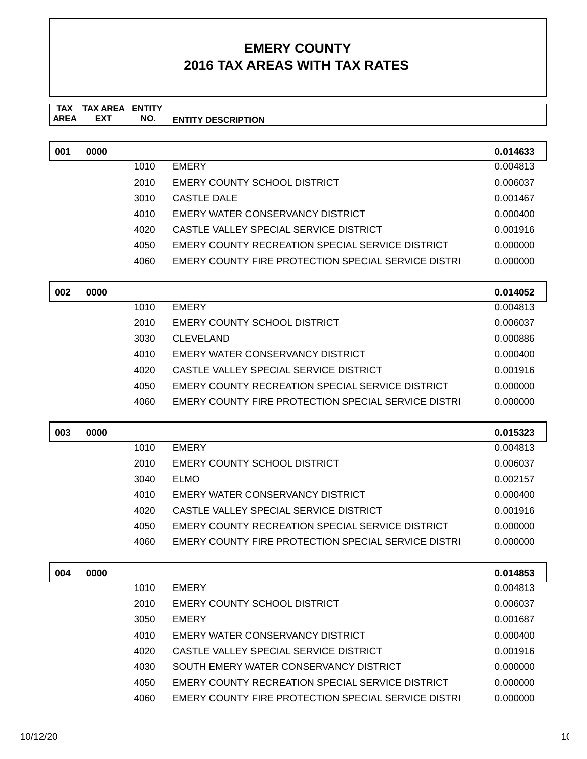#### **TAX TAX AREA ENTITY ENTITY DESCRIPTION** AREA EXT  **NO.**

| 001 | 0000 |      |                                                     | 0.014633 |
|-----|------|------|-----------------------------------------------------|----------|
|     |      | 1010 | <b>EMERY</b>                                        | 0.004813 |
|     |      | 2010 | <b>EMERY COUNTY SCHOOL DISTRICT</b>                 | 0.006037 |
|     |      | 3010 | CASTLE DALE                                         | 0.001467 |
|     |      | 4010 | EMERY WATER CONSERVANCY DISTRICT                    | 0.000400 |
|     |      | 4020 | CASTLE VALLEY SPECIAL SERVICE DISTRICT              | 0.001916 |
|     |      | 4050 | EMERY COUNTY RECREATION SPECIAL SERVICE DISTRICT    | 0.000000 |
|     |      | 4060 | EMERY COUNTY FIRE PROTECTION SPECIAL SERVICE DISTRI | 0.000000 |

| 002 | 0000 |      |                                                     | 0.014052 |
|-----|------|------|-----------------------------------------------------|----------|
|     |      | 1010 | <b>EMERY</b>                                        | 0.004813 |
|     |      | 2010 | EMERY COUNTY SCHOOL DISTRICT                        | 0.006037 |
|     |      | 3030 | <b>CLEVELAND</b>                                    | 0.000886 |
|     |      | 4010 | EMERY WATER CONSERVANCY DISTRICT                    | 0.000400 |
|     |      | 4020 | CASTLE VALLEY SPECIAL SERVICE DISTRICT              | 0.001916 |
|     |      | 4050 | EMERY COUNTY RECREATION SPECIAL SERVICE DISTRICT    | 0.000000 |
|     |      | 4060 | EMERY COUNTY FIRE PROTECTION SPECIAL SERVICE DISTRI | 0.000000 |

| 003 | 0000 |      |                                                     | 0.015323 |
|-----|------|------|-----------------------------------------------------|----------|
|     |      | 1010 | <b>EMERY</b>                                        | 0.004813 |
|     |      | 2010 | EMERY COUNTY SCHOOL DISTRICT                        | 0.006037 |
|     |      | 3040 | <b>ELMO</b>                                         | 0.002157 |
|     |      | 4010 | EMERY WATER CONSERVANCY DISTRICT                    | 0.000400 |
|     |      | 4020 | CASTLE VALLEY SPECIAL SERVICE DISTRICT              | 0.001916 |
|     |      | 4050 | EMERY COUNTY RECREATION SPECIAL SERVICE DISTRICT    | 0.000000 |
|     |      | 4060 | EMERY COUNTY FIRE PROTECTION SPECIAL SERVICE DISTRI | 0.000000 |

| 004 | 0000 |      |                                                     | 0.014853 |
|-----|------|------|-----------------------------------------------------|----------|
|     |      | 1010 | <b>EMERY</b>                                        | 0.004813 |
|     |      | 2010 | EMERY COUNTY SCHOOL DISTRICT                        | 0.006037 |
|     |      | 3050 | <b>EMERY</b>                                        | 0.001687 |
|     |      | 4010 | EMERY WATER CONSERVANCY DISTRICT                    | 0.000400 |
|     |      | 4020 | CASTLE VALLEY SPECIAL SERVICE DISTRICT              | 0.001916 |
|     |      | 4030 | SOUTH EMERY WATER CONSERVANCY DISTRICT              | 0.000000 |
|     |      | 4050 | EMERY COUNTY RECREATION SPECIAL SERVICE DISTRICT    | 0.000000 |
|     |      | 4060 | EMERY COUNTY FIRE PROTECTION SPECIAL SERVICE DISTRI | 0.000000 |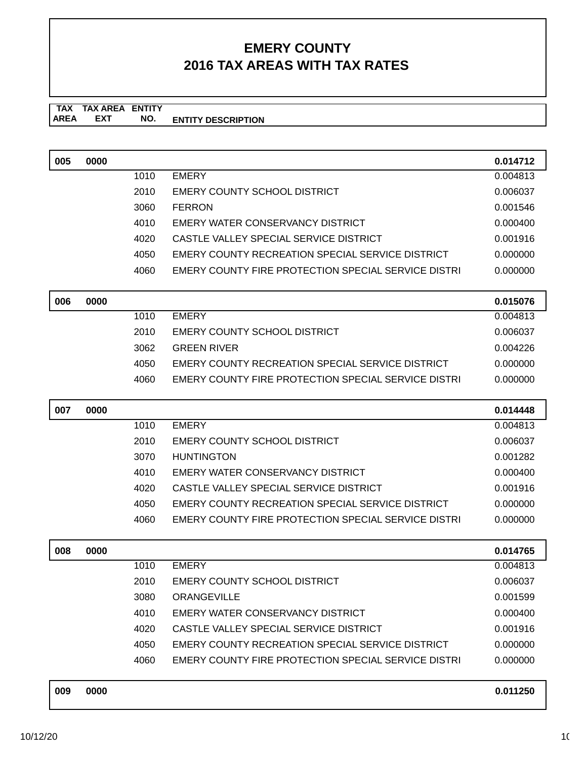**TAX TAX AREA ENTITY AREA ENTITY DESCRIPTION EXT NO.**

| 005 | 0000 |      |                                                            | 0.014712 |
|-----|------|------|------------------------------------------------------------|----------|
|     |      | 1010 | <b>EMERY</b>                                               | 0.004813 |
|     |      | 2010 | <b>EMERY COUNTY SCHOOL DISTRICT</b>                        | 0.006037 |
|     |      | 3060 | <b>FERRON</b>                                              | 0.001546 |
|     |      | 4010 | EMERY WATER CONSERVANCY DISTRICT                           | 0.000400 |
|     |      | 4020 | CASTLE VALLEY SPECIAL SERVICE DISTRICT                     | 0.001916 |
|     |      | 4050 | EMERY COUNTY RECREATION SPECIAL SERVICE DISTRICT           | 0.000000 |
|     |      | 4060 | EMERY COUNTY FIRE PROTECTION SPECIAL SERVICE DISTRI        | 0.000000 |
|     |      |      |                                                            |          |
| 006 | 0000 |      |                                                            | 0.015076 |
|     |      | 1010 | <b>EMERY</b>                                               | 0.004813 |
|     |      | 2010 | <b>EMERY COUNTY SCHOOL DISTRICT</b>                        | 0.006037 |
|     |      | 3062 | <b>GREEN RIVER</b>                                         | 0.004226 |
|     |      | 4050 | EMERY COUNTY RECREATION SPECIAL SERVICE DISTRICT           | 0.000000 |
|     |      | 4060 | <b>EMERY COUNTY FIRE PROTECTION SPECIAL SERVICE DISTRI</b> | 0.000000 |
| 007 | 0000 |      |                                                            | 0.014448 |
|     |      | 1010 | <b>EMERY</b>                                               | 0.004813 |
|     |      | 2010 | <b>EMERY COUNTY SCHOOL DISTRICT</b>                        | 0.006037 |
|     |      | 3070 | <b>HUNTINGTON</b>                                          | 0.001282 |
|     |      | 4010 | EMERY WATER CONSERVANCY DISTRICT                           | 0.000400 |
|     |      | 4020 | CASTLE VALLEY SPECIAL SERVICE DISTRICT                     | 0.001916 |
|     |      | 4050 | EMERY COUNTY RECREATION SPECIAL SERVICE DISTRICT           | 0.000000 |
|     |      | 4060 | <b>EMERY COUNTY FIRE PROTECTION SPECIAL SERVICE DISTRI</b> | 0.000000 |
| 008 | 0000 |      |                                                            | 0.014765 |
|     |      | 1010 | <b>EMERY</b>                                               | 0.004813 |
|     |      | 2010 | <b>EMERY COUNTY SCHOOL DISTRICT</b>                        | 0.006037 |
|     |      | 3080 | <b>ORANGEVILLE</b>                                         | 0.001599 |
|     |      | 4010 | EMERY WATER CONSERVANCY DISTRICT                           | 0.000400 |
|     |      | 4020 | CASTLE VALLEY SPECIAL SERVICE DISTRICT                     | 0.001916 |
|     |      | 4050 | EMERY COUNTY RECREATION SPECIAL SERVICE DISTRICT           | 0.000000 |
|     |      | 4060 | <b>EMERY COUNTY FIRE PROTECTION SPECIAL SERVICE DISTRI</b> | 0.000000 |
|     |      |      |                                                            |          |
| 009 | 0000 |      |                                                            | 0.011250 |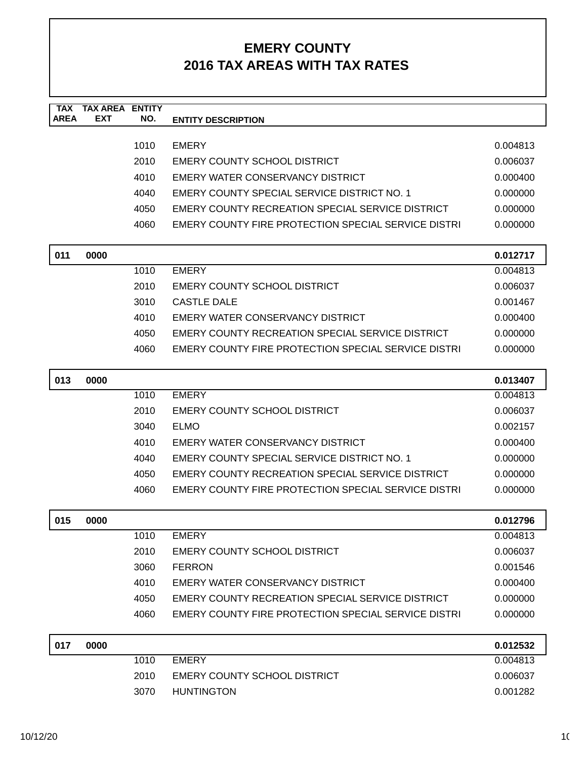| <b>TAX</b><br><b>AREA</b> | <b>TAX AREA ENTITY</b><br>EXT | NO.  | <b>ENTITY DESCRIPTION</b>                                  |          |
|---------------------------|-------------------------------|------|------------------------------------------------------------|----------|
|                           |                               | 1010 | <b>EMERY</b>                                               | 0.004813 |
|                           |                               | 2010 | <b>EMERY COUNTY SCHOOL DISTRICT</b>                        | 0.006037 |
|                           |                               | 4010 | EMERY WATER CONSERVANCY DISTRICT                           | 0.000400 |
|                           |                               | 4040 | EMERY COUNTY SPECIAL SERVICE DISTRICT NO. 1                | 0.000000 |
|                           |                               | 4050 | EMERY COUNTY RECREATION SPECIAL SERVICE DISTRICT           | 0.000000 |
|                           |                               | 4060 | EMERY COUNTY FIRE PROTECTION SPECIAL SERVICE DISTRI        | 0.000000 |
| 011                       | 0000                          |      |                                                            | 0.012717 |
|                           |                               | 1010 | <b>EMERY</b>                                               | 0.004813 |
|                           |                               | 2010 | <b>EMERY COUNTY SCHOOL DISTRICT</b>                        | 0.006037 |
|                           |                               | 3010 | <b>CASTLE DALE</b>                                         | 0.001467 |
|                           |                               | 4010 | EMERY WATER CONSERVANCY DISTRICT                           | 0.000400 |
|                           |                               | 4050 | EMERY COUNTY RECREATION SPECIAL SERVICE DISTRICT           | 0.000000 |
|                           |                               | 4060 | EMERY COUNTY FIRE PROTECTION SPECIAL SERVICE DISTRI        | 0.000000 |
| 013                       | 0000                          |      |                                                            | 0.013407 |
|                           |                               | 1010 | <b>EMERY</b>                                               | 0.004813 |
|                           |                               | 2010 | <b>EMERY COUNTY SCHOOL DISTRICT</b>                        | 0.006037 |
|                           |                               | 3040 | <b>ELMO</b>                                                | 0.002157 |
|                           |                               | 4010 | EMERY WATER CONSERVANCY DISTRICT                           | 0.000400 |
|                           |                               | 4040 | EMERY COUNTY SPECIAL SERVICE DISTRICT NO. 1                | 0.000000 |
|                           |                               | 4050 | EMERY COUNTY RECREATION SPECIAL SERVICE DISTRICT           | 0.000000 |
|                           |                               | 4060 | <b>EMERY COUNTY FIRE PROTECTION SPECIAL SERVICE DISTRI</b> | 0.000000 |
| 015                       | 0000                          |      |                                                            | 0.012796 |
|                           |                               | 1010 | <b>EMERY</b>                                               | 0.004813 |
|                           |                               | 2010 | <b>EMERY COUNTY SCHOOL DISTRICT</b>                        | 0.006037 |
|                           |                               | 3060 | <b>FERRON</b>                                              | 0.001546 |
|                           |                               | 4010 | EMERY WATER CONSERVANCY DISTRICT                           | 0.000400 |
|                           |                               | 4050 | EMERY COUNTY RECREATION SPECIAL SERVICE DISTRICT           | 0.000000 |
|                           |                               | 4060 | <b>EMERY COUNTY FIRE PROTECTION SPECIAL SERVICE DISTRI</b> | 0.000000 |
| 017                       | 0000                          |      |                                                            | 0.012532 |
|                           |                               | 1010 | <b>EMERY</b>                                               | 0.004813 |
|                           |                               | 2010 | <b>EMERY COUNTY SCHOOL DISTRICT</b>                        | 0.006037 |
|                           |                               | 3070 | <b>HUNTINGTON</b>                                          | 0.001282 |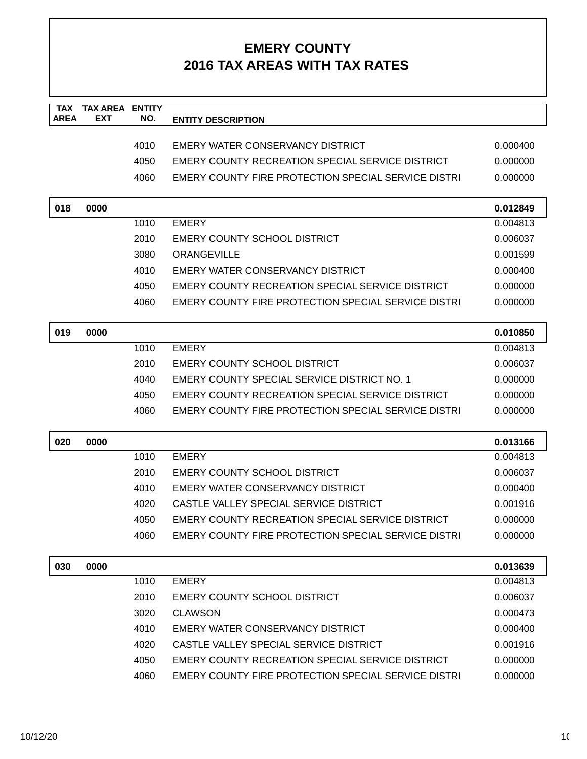| <b>TAX</b><br><b>AREA</b> | <b>TAX AREA</b><br><b>EXT</b> | <b>ENTITY</b><br>NO. | <b>ENTITY DESCRIPTION</b>                                  |          |
|---------------------------|-------------------------------|----------------------|------------------------------------------------------------|----------|
|                           |                               |                      |                                                            |          |
|                           |                               | 4010                 | EMERY WATER CONSERVANCY DISTRICT                           | 0.000400 |
|                           |                               | 4050                 | EMERY COUNTY RECREATION SPECIAL SERVICE DISTRICT           | 0.000000 |
|                           |                               | 4060                 | <b>EMERY COUNTY FIRE PROTECTION SPECIAL SERVICE DISTRI</b> | 0.000000 |
|                           |                               |                      |                                                            |          |
| 018                       | 0000                          |                      |                                                            | 0.012849 |
|                           |                               | 1010                 | <b>EMERY</b>                                               | 0.004813 |
|                           |                               | 2010                 | <b>EMERY COUNTY SCHOOL DISTRICT</b>                        | 0.006037 |
|                           |                               | 3080                 | <b>ORANGEVILLE</b>                                         | 0.001599 |
|                           |                               | 4010                 | EMERY WATER CONSERVANCY DISTRICT                           | 0.000400 |
|                           |                               | 4050                 | EMERY COUNTY RECREATION SPECIAL SERVICE DISTRICT           | 0.000000 |
|                           |                               | 4060                 | EMERY COUNTY FIRE PROTECTION SPECIAL SERVICE DISTRI        | 0.000000 |
| 019                       | 0000                          |                      |                                                            | 0.010850 |
|                           |                               | 1010                 | <b>EMERY</b>                                               | 0.004813 |
|                           |                               | 2010                 | <b>EMERY COUNTY SCHOOL DISTRICT</b>                        | 0.006037 |
|                           |                               | 4040                 | EMERY COUNTY SPECIAL SERVICE DISTRICT NO. 1                | 0.000000 |
|                           |                               | 4050                 | EMERY COUNTY RECREATION SPECIAL SERVICE DISTRICT           | 0.000000 |
|                           |                               | 4060                 | EMERY COUNTY FIRE PROTECTION SPECIAL SERVICE DISTRI        | 0.000000 |
| 020                       | 0000                          |                      |                                                            | 0.013166 |
|                           |                               | 1010                 | <b>EMERY</b>                                               | 0.004813 |
|                           |                               | 2010                 | <b>EMERY COUNTY SCHOOL DISTRICT</b>                        | 0.006037 |
|                           |                               | 4010                 | EMERY WATER CONSERVANCY DISTRICT                           | 0.000400 |
|                           |                               | 4020                 | CASTLE VALLEY SPECIAL SERVICE DISTRICT                     | 0.001916 |
|                           |                               | 4050                 | EMERY COUNTY RECREATION SPECIAL SERVICE DISTRICT           | 0.000000 |
|                           |                               | 4060                 | EMERY COUNTY FIRE PROTECTION SPECIAL SERVICE DISTRI        | 0.000000 |
| 030                       | 0000                          |                      |                                                            | 0.013639 |
|                           |                               | 1010                 | <b>EMERY</b>                                               | 0.004813 |
|                           |                               | 2010                 | <b>EMERY COUNTY SCHOOL DISTRICT</b>                        | 0.006037 |
|                           |                               | 3020                 | <b>CLAWSON</b>                                             | 0.000473 |
|                           |                               | 4010                 | EMERY WATER CONSERVANCY DISTRICT                           | 0.000400 |
|                           |                               | 4020                 | CASTLE VALLEY SPECIAL SERVICE DISTRICT                     | 0.001916 |
|                           |                               | 4050                 | EMERY COUNTY RECREATION SPECIAL SERVICE DISTRICT           | 0.000000 |
|                           |                               | 4060                 | EMERY COUNTY FIRE PROTECTION SPECIAL SERVICE DISTRI        | 0.000000 |
|                           |                               |                      |                                                            |          |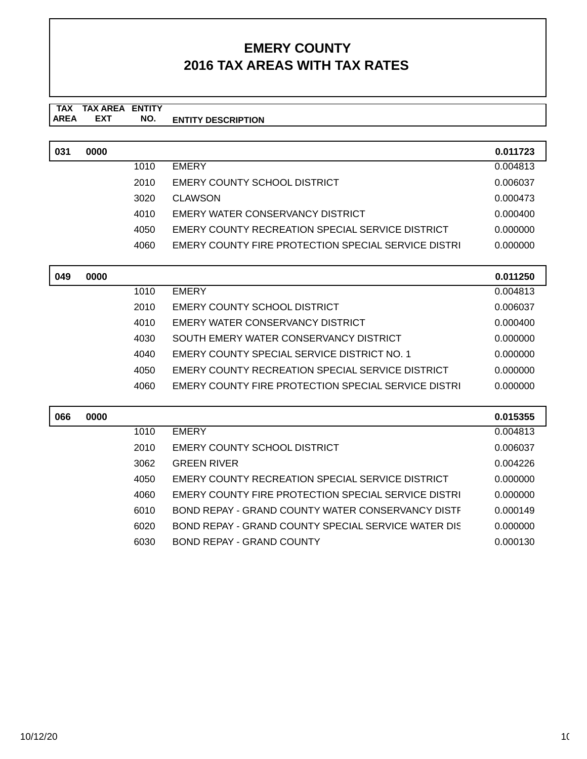#### **TAX TAX AREA ENTITY ENTITY DESCRIPTION EXT NO.**

| 031 | 0000 |      |                                                            | 0.011723 |
|-----|------|------|------------------------------------------------------------|----------|
|     |      | 1010 | <b>EMERY</b>                                               | 0.004813 |
|     |      | 2010 | EMERY COUNTY SCHOOL DISTRICT                               | 0.006037 |
|     |      | 3020 | CLAWSON                                                    | 0.000473 |
|     |      | 4010 | EMERY WATER CONSERVANCY DISTRICT                           | 0.000400 |
|     |      | 4050 | EMERY COUNTY RECREATION SPECIAL SERVICE DISTRICT           | 0.000000 |
|     |      | 4060 | <b>EMERY COUNTY FIRE PROTECTION SPECIAL SERVICE DISTRI</b> | 0.000000 |

| 049 | 0000 |      |                                                            | 0.011250 |
|-----|------|------|------------------------------------------------------------|----------|
|     |      | 1010 | <b>EMERY</b>                                               | 0.004813 |
|     |      | 2010 | EMERY COUNTY SCHOOL DISTRICT                               | 0.006037 |
|     |      | 4010 | EMERY WATER CONSERVANCY DISTRICT                           | 0.000400 |
|     |      | 4030 | SOUTH EMERY WATER CONSERVANCY DISTRICT                     | 0.000000 |
|     |      | 4040 | EMERY COUNTY SPECIAL SERVICE DISTRICT NO. 1                | 0.000000 |
|     |      | 4050 | EMERY COUNTY RECREATION SPECIAL SERVICE DISTRICT           | 0.000000 |
|     |      | 4060 | <b>EMERY COUNTY FIRE PROTECTION SPECIAL SERVICE DISTRI</b> | 0.000000 |

| 066 | 0000 |      |                                                            | 0.015355 |
|-----|------|------|------------------------------------------------------------|----------|
|     |      | 1010 | <b>EMERY</b>                                               | 0.004813 |
|     |      | 2010 | EMERY COUNTY SCHOOL DISTRICT                               | 0.006037 |
|     |      | 3062 | <b>GREEN RIVER</b>                                         | 0.004226 |
|     |      | 4050 | EMERY COUNTY RECREATION SPECIAL SERVICE DISTRICT           | 0.000000 |
|     |      | 4060 | <b>EMERY COUNTY FIRE PROTECTION SPECIAL SERVICE DISTRI</b> | 0.000000 |
|     |      | 6010 | BOND REPAY - GRAND COUNTY WATER CONSERVANCY DISTE          | 0.000149 |
|     |      | 6020 | BOND REPAY - GRAND COUNTY SPECIAL SERVICE WATER DIS        | 0.000000 |
|     |      | 6030 | BOND REPAY - GRAND COUNTY                                  | 0.000130 |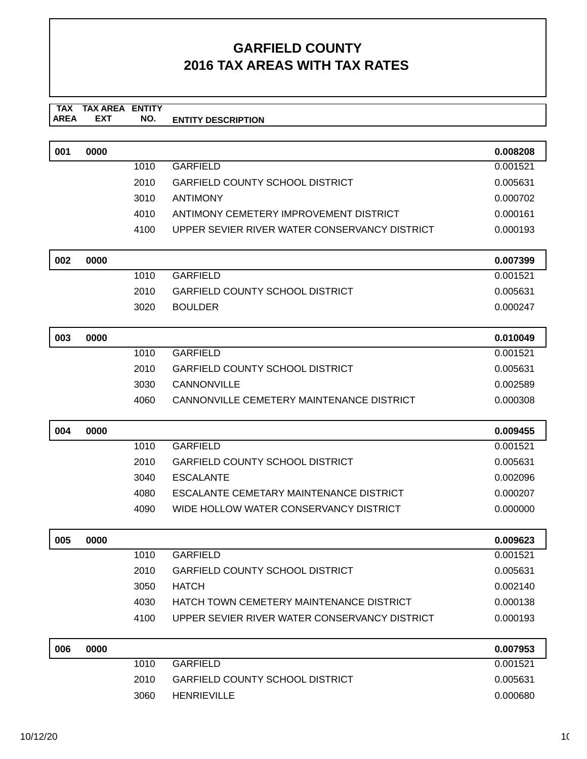# **GARFIELD COUNTY 2016 TAX AREAS WITH TAX RATES**

#### **TAX TAX AREA ENTITY ENTITY DESCRIPTION EXT NO.**

| 001 | 0000 |      |                                               | 0.008208             |
|-----|------|------|-----------------------------------------------|----------------------|
|     |      | 1010 | <b>GARFIELD</b>                               | 0.001521             |
|     |      | 2010 | <b>GARFIELD COUNTY SCHOOL DISTRICT</b>        | 0.005631             |
|     |      | 3010 | <b>ANTIMONY</b>                               | 0.000702             |
|     |      | 4010 | ANTIMONY CEMETERY IMPROVEMENT DISTRICT        | 0.000161             |
|     |      | 4100 | UPPER SEVIER RIVER WATER CONSERVANCY DISTRICT | 0.000193             |
|     |      |      |                                               |                      |
| 002 | 0000 |      |                                               | 0.007399             |
|     |      | 1010 | <b>GARFIELD</b>                               | 0.001521             |
|     |      | 2010 | <b>GARFIELD COUNTY SCHOOL DISTRICT</b>        | 0.005631             |
|     |      | 3020 | <b>BOULDER</b>                                | 0.000247             |
|     |      |      |                                               |                      |
| 003 | 0000 |      |                                               | 0.010049             |
|     |      | 1010 | <b>GARFIELD</b>                               | 0.001521             |
|     |      | 2010 | <b>GARFIELD COUNTY SCHOOL DISTRICT</b>        | 0.005631             |
|     |      | 3030 | CANNONVILLE                                   | 0.002589             |
|     |      | 4060 | CANNONVILLE CEMETERY MAINTENANCE DISTRICT     | 0.000308             |
|     |      |      |                                               |                      |
|     |      |      |                                               |                      |
| 004 | 0000 | 1010 | <b>GARFIELD</b>                               | 0.009455<br>0.001521 |
|     |      | 2010 | <b>GARFIELD COUNTY SCHOOL DISTRICT</b>        | 0.005631             |
|     |      | 3040 | <b>ESCALANTE</b>                              | 0.002096             |
|     |      | 4080 | ESCALANTE CEMETARY MAINTENANCE DISTRICT       | 0.000207             |
|     |      | 4090 | WIDE HOLLOW WATER CONSERVANCY DISTRICT        | 0.000000             |
|     |      |      |                                               |                      |
| 005 | 0000 |      |                                               | 0.009623             |
|     |      | 1010 | <b>GARFIELD</b>                               | 0.001521             |
|     |      |      | 2010 GARFIELD COUNTY SCHOOL DISTRICT          | 0.005631             |
|     |      | 3050 | <b>HATCH</b>                                  | 0.002140             |
|     |      | 4030 | HATCH TOWN CEMETERY MAINTENANCE DISTRICT      | 0.000138             |
|     |      | 4100 | UPPER SEVIER RIVER WATER CONSERVANCY DISTRICT | 0.000193             |
| 006 | 0000 |      |                                               | 0.007953             |
|     |      | 1010 | <b>GARFIELD</b>                               | 0.001521             |
|     |      | 2010 | <b>GARFIELD COUNTY SCHOOL DISTRICT</b>        | 0.005631             |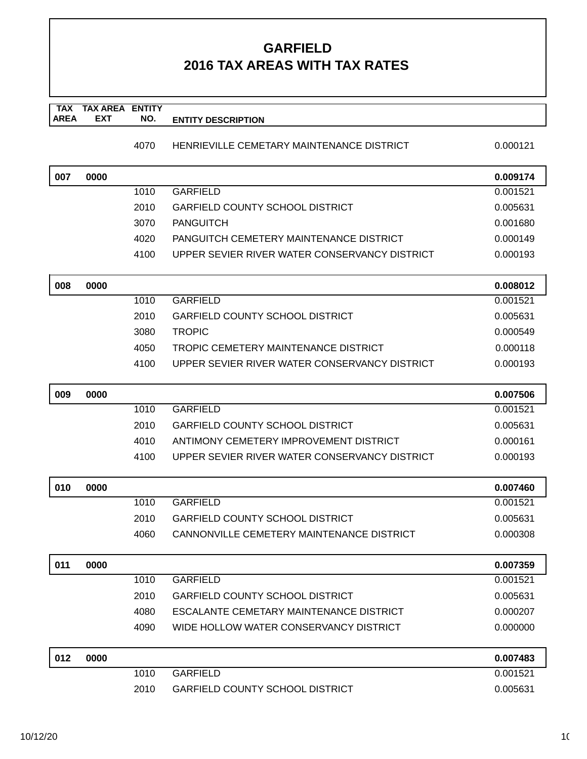# **GARFIELD 2016 TAX AREAS WITH TAX RATES**

| <b>AREA</b> | <b>EXT</b> | NO.  | <b>ENTITY DESCRIPTION</b>                     |          |
|-------------|------------|------|-----------------------------------------------|----------|
|             |            | 4070 | HENRIEVILLE CEMETARY MAINTENANCE DISTRICT     | 0.000121 |
| 007         | 0000       |      |                                               | 0.009174 |
|             |            | 1010 | <b>GARFIELD</b>                               | 0.001521 |
|             |            | 2010 | <b>GARFIELD COUNTY SCHOOL DISTRICT</b>        | 0.005631 |
|             |            | 3070 | <b>PANGUITCH</b>                              | 0.001680 |
|             |            | 4020 | PANGUITCH CEMETERY MAINTENANCE DISTRICT       | 0.000149 |
|             |            | 4100 | UPPER SEVIER RIVER WATER CONSERVANCY DISTRICT | 0.000193 |
| 008         | 0000       |      |                                               | 0.008012 |
|             |            | 1010 | <b>GARFIELD</b>                               | 0.001521 |
|             |            | 2010 | GARFIELD COUNTY SCHOOL DISTRICT               | 0.005631 |
|             |            | 3080 | <b>TROPIC</b>                                 | 0.000549 |
|             |            | 4050 | TROPIC CEMETERY MAINTENANCE DISTRICT          | 0.000118 |
|             |            | 4100 | UPPER SEVIER RIVER WATER CONSERVANCY DISTRICT | 0.000193 |
| 009         | 0000       |      |                                               | 0.007506 |
|             |            | 1010 | <b>GARFIELD</b>                               | 0.001521 |
|             |            | 2010 | <b>GARFIELD COUNTY SCHOOL DISTRICT</b>        | 0.005631 |
|             |            | 4010 | ANTIMONY CEMETERY IMPROVEMENT DISTRICT        | 0.000161 |
|             |            | 4100 | UPPER SEVIER RIVER WATER CONSERVANCY DISTRICT | 0.000193 |
| 010         | 0000       |      |                                               | 0.007460 |
|             |            | 1010 | <b>GARFIELD</b>                               | 0.001521 |
|             |            | 2010 | <b>GARFIELD COUNTY SCHOOL DISTRICT</b>        | 0.005631 |
|             |            | 4060 | CANNONVILLE CEMETERY MAINTENANCE DISTRICT     | 0.000308 |
| 011         | 0000       |      |                                               | 0.007359 |
|             |            | 1010 | <b>GARFIELD</b>                               | 0.001521 |
|             |            | 2010 | <b>GARFIELD COUNTY SCHOOL DISTRICT</b>        | 0.005631 |
|             |            | 4080 | ESCALANTE CEMETARY MAINTENANCE DISTRICT       | 0.000207 |
|             |            | 4090 | WIDE HOLLOW WATER CONSERVANCY DISTRICT        | 0.000000 |
| 012         | 0000       |      |                                               | 0.007483 |
|             |            | 1010 | <b>GARFIELD</b>                               | 0.001521 |

2010 GARFIELD COUNTY SCHOOL DISTRICT 0.005631

**TAX** 

**TAX AREA** 

**ENTITY**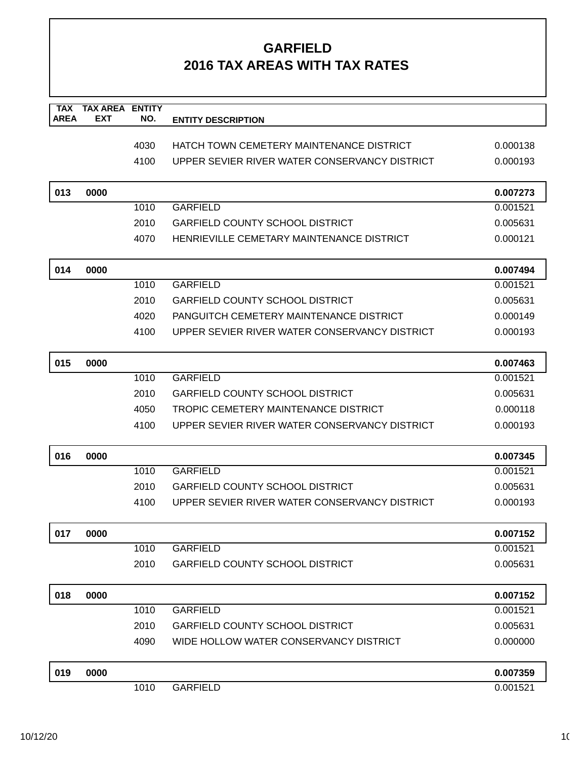# **GARFIELD 2016 TAX AREAS WITH TAX RATES**

| TAX<br><b>AREA</b> | <b>TAX AREA ENTITY</b><br><b>EXT</b> | NO.  |                                               |          |
|--------------------|--------------------------------------|------|-----------------------------------------------|----------|
|                    |                                      |      | <b>ENTITY DESCRIPTION</b>                     |          |
|                    |                                      | 4030 | HATCH TOWN CEMETERY MAINTENANCE DISTRICT      | 0.000138 |
|                    |                                      | 4100 | UPPER SEVIER RIVER WATER CONSERVANCY DISTRICT | 0.000193 |
|                    |                                      |      |                                               |          |
| 013                | 0000                                 |      |                                               | 0.007273 |
|                    |                                      | 1010 | <b>GARFIELD</b>                               | 0.001521 |
|                    |                                      | 2010 | <b>GARFIELD COUNTY SCHOOL DISTRICT</b>        | 0.005631 |
|                    |                                      | 4070 | HENRIEVILLE CEMETARY MAINTENANCE DISTRICT     | 0.000121 |
|                    |                                      |      |                                               |          |
| 014                | 0000                                 |      |                                               | 0.007494 |
|                    |                                      | 1010 | <b>GARFIELD</b>                               | 0.001521 |
|                    |                                      | 2010 | <b>GARFIELD COUNTY SCHOOL DISTRICT</b>        | 0.005631 |
|                    |                                      | 4020 | PANGUITCH CEMETERY MAINTENANCE DISTRICT       | 0.000149 |
|                    |                                      | 4100 | UPPER SEVIER RIVER WATER CONSERVANCY DISTRICT | 0.000193 |
|                    |                                      |      |                                               |          |
| 015                | 0000                                 |      |                                               | 0.007463 |
|                    |                                      | 1010 | <b>GARFIELD</b>                               | 0.001521 |
|                    |                                      | 2010 | <b>GARFIELD COUNTY SCHOOL DISTRICT</b>        | 0.005631 |
|                    |                                      | 4050 | TROPIC CEMETERY MAINTENANCE DISTRICT          | 0.000118 |
|                    |                                      | 4100 | UPPER SEVIER RIVER WATER CONSERVANCY DISTRICT | 0.000193 |
| 016                | 0000                                 |      |                                               | 0.007345 |
|                    |                                      | 1010 | <b>GARFIELD</b>                               | 0.001521 |
|                    |                                      | 2010 | <b>GARFIELD COUNTY SCHOOL DISTRICT</b>        | 0.005631 |
|                    |                                      | 4100 | UPPER SEVIER RIVER WATER CONSERVANCY DISTRICT | 0.000193 |
|                    |                                      |      |                                               |          |
| 017                | 0000                                 |      |                                               | 0.007152 |
|                    |                                      | 1010 | <b>GARFIELD</b>                               | 0.001521 |
|                    |                                      | 2010 | <b>GARFIELD COUNTY SCHOOL DISTRICT</b>        | 0.005631 |
| 018                | 0000                                 |      |                                               | 0.007152 |
|                    |                                      | 1010 | <b>GARFIELD</b>                               | 0.001521 |
|                    |                                      | 2010 | <b>GARFIELD COUNTY SCHOOL DISTRICT</b>        | 0.005631 |
|                    |                                      | 4090 | WIDE HOLLOW WATER CONSERVANCY DISTRICT        | 0.000000 |
|                    |                                      |      |                                               |          |
| 019                | 0000                                 |      |                                               | 0.007359 |
|                    |                                      | 1010 | <b>GARFIELD</b>                               | 0.001521 |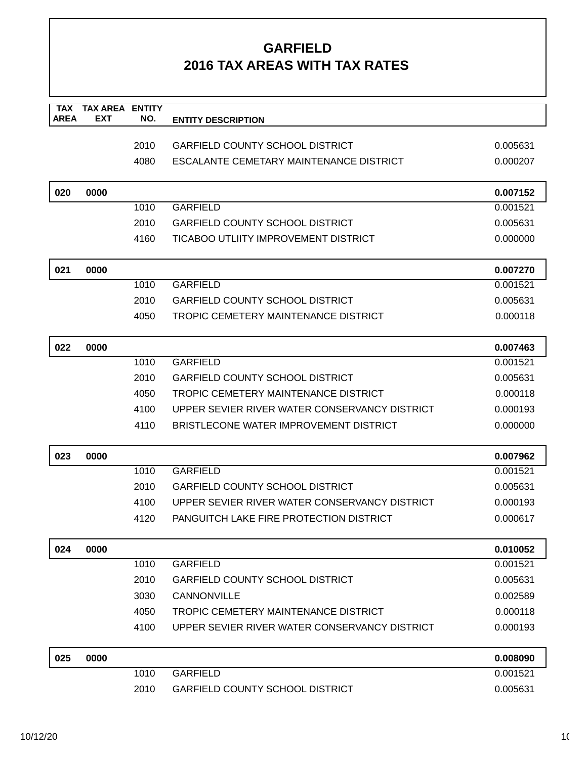### **GARFIELD 2016 TAX AREAS WITH TAX RATES**

| <b>TAX</b>  | <b>TAX AREA</b> | <b>ENTITY</b> |                                               |          |
|-------------|-----------------|---------------|-----------------------------------------------|----------|
| <b>AREA</b> | <b>EXT</b>      | NO.           | <b>ENTITY DESCRIPTION</b>                     |          |
|             |                 | 2010          | <b>GARFIELD COUNTY SCHOOL DISTRICT</b>        | 0.005631 |
|             |                 | 4080          | ESCALANTE CEMETARY MAINTENANCE DISTRICT       | 0.000207 |
|             |                 |               |                                               |          |
| 020         | 0000            |               |                                               | 0.007152 |
|             |                 | 1010          | <b>GARFIELD</b>                               | 0.001521 |
|             |                 | 2010          | <b>GARFIELD COUNTY SCHOOL DISTRICT</b>        | 0.005631 |
|             |                 | 4160          | TICABOO UTLIITY IMPROVEMENT DISTRICT          | 0.000000 |
| 021         | 0000            |               |                                               | 0.007270 |
|             |                 | 1010          | <b>GARFIELD</b>                               | 0.001521 |
|             |                 | 2010          | <b>GARFIELD COUNTY SCHOOL DISTRICT</b>        | 0.005631 |
|             |                 | 4050          | TROPIC CEMETERY MAINTENANCE DISTRICT          | 0.000118 |
|             |                 |               |                                               |          |
| 022         | 0000            |               |                                               | 0.007463 |
|             |                 | 1010          | <b>GARFIELD</b>                               | 0.001521 |
|             |                 | 2010          | <b>GARFIELD COUNTY SCHOOL DISTRICT</b>        | 0.005631 |
|             |                 | 4050          | TROPIC CEMETERY MAINTENANCE DISTRICT          | 0.000118 |
|             |                 | 4100          | UPPER SEVIER RIVER WATER CONSERVANCY DISTRICT | 0.000193 |
|             |                 | 4110          | BRISTLECONE WATER IMPROVEMENT DISTRICT        | 0.000000 |
| 023         | 0000            |               |                                               | 0.007962 |
|             |                 | 1010          | <b>GARFIELD</b>                               | 0.001521 |
|             |                 | 2010          | <b>GARFIELD COUNTY SCHOOL DISTRICT</b>        | 0.005631 |
|             |                 | 4100          | UPPER SEVIER RIVER WATER CONSERVANCY DISTRICT | 0.000193 |
|             |                 | 4120          | PANGUITCH LAKE FIRE PROTECTION DISTRICT       | 0.000617 |
|             |                 |               |                                               |          |
| 024         | 0000            |               |                                               | 0.010052 |
|             |                 | 1010          | <b>GARFIELD</b>                               | 0.001521 |
|             |                 | 2010          | <b>GARFIELD COUNTY SCHOOL DISTRICT</b>        | 0.005631 |
|             |                 | 3030          | CANNONVILLE                                   | 0.002589 |
|             |                 | 4050          | TROPIC CEMETERY MAINTENANCE DISTRICT          | 0.000118 |
|             |                 | 4100          | UPPER SEVIER RIVER WATER CONSERVANCY DISTRICT | 0.000193 |
| 025         | 0000            |               |                                               | 0.008090 |
|             |                 | 1010          | <b>GARFIELD</b>                               | 0.001521 |
|             |                 | 2010          | <b>GARFIELD COUNTY SCHOOL DISTRICT</b>        | 0.005631 |
|             |                 |               |                                               |          |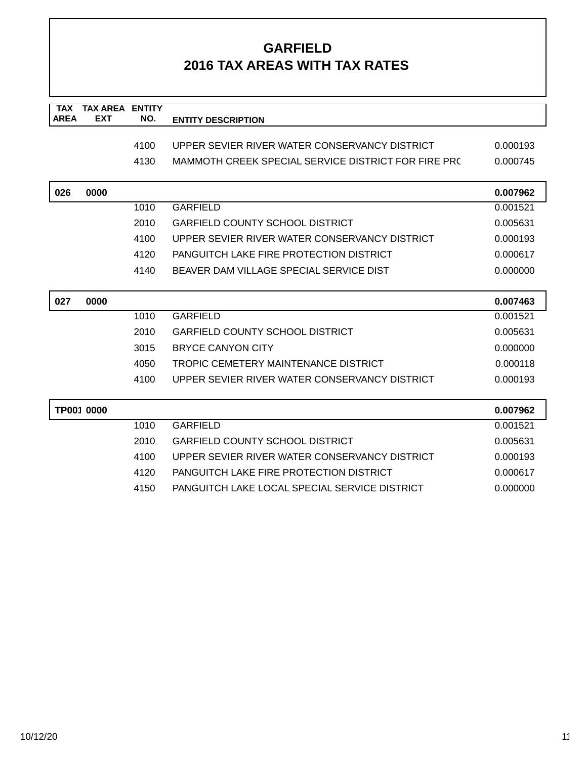### **GARFIELD 2016 TAX AREAS WITH TAX RATES**

| <b>TAX</b>  | <b>TAX AREA</b> | <b>ENTITY</b> |                                                     |          |
|-------------|-----------------|---------------|-----------------------------------------------------|----------|
| <b>AREA</b> | <b>EXT</b>      | NO.           | <b>ENTITY DESCRIPTION</b>                           |          |
|             |                 |               |                                                     |          |
|             |                 | 4100          | UPPER SEVIER RIVER WATER CONSERVANCY DISTRICT       | 0.000193 |
|             |                 | 4130          | MAMMOTH CREEK SPECIAL SERVICE DISTRICT FOR FIRE PRC | 0.000745 |
|             |                 |               |                                                     |          |
| 026         | 0000            |               |                                                     | 0.007962 |
|             |                 | 1010          | <b>GARFIELD</b>                                     | 0.001521 |
|             |                 | 2010          | <b>GARFIELD COUNTY SCHOOL DISTRICT</b>              | 0.005631 |
|             |                 | 4100          | UPPER SEVIER RIVER WATER CONSERVANCY DISTRICT       | 0.000193 |
|             |                 | 4120          | PANGUITCH LAKE FIRE PROTECTION DISTRICT             | 0.000617 |
|             |                 | 4140          | BEAVER DAM VILLAGE SPECIAL SERVICE DIST             | 0.000000 |
|             |                 |               |                                                     |          |
| 027         | 0000            |               |                                                     | 0.007463 |
|             |                 | 1010          | <b>GARFIELD</b>                                     | 0.001521 |
|             |                 | 2010          | <b>GARFIELD COUNTY SCHOOL DISTRICT</b>              | 0.005631 |
|             |                 | 3015          | <b>BRYCE CANYON CITY</b>                            | 0.000000 |
|             |                 | 4050          | <b>TROPIC CEMETERY MAINTENANCE DISTRICT</b>         | 0.000118 |
|             |                 | 4100          | UPPER SEVIER RIVER WATER CONSERVANCY DISTRICT       | 0.000193 |
|             |                 |               |                                                     |          |
|             | TP001 0000      |               |                                                     | 0.007962 |
|             |                 | 1010          | <b>GARFIELD</b>                                     | 0.001521 |
|             |                 | 2010          | <b>GARFIELD COUNTY SCHOOL DISTRICT</b>              | 0.005631 |
|             |                 | 4100          | UPPER SEVIER RIVER WATER CONSERVANCY DISTRICT       | 0.000193 |
|             |                 | 4120          | <b>PANGUITCH LAKE FIRE PROTECTION DISTRICT</b>      | 0.000617 |
|             |                 | 4150          | PANGUITCH LAKE LOCAL SPECIAL SERVICE DISTRICT       | 0.000000 |
|             |                 |               |                                                     |          |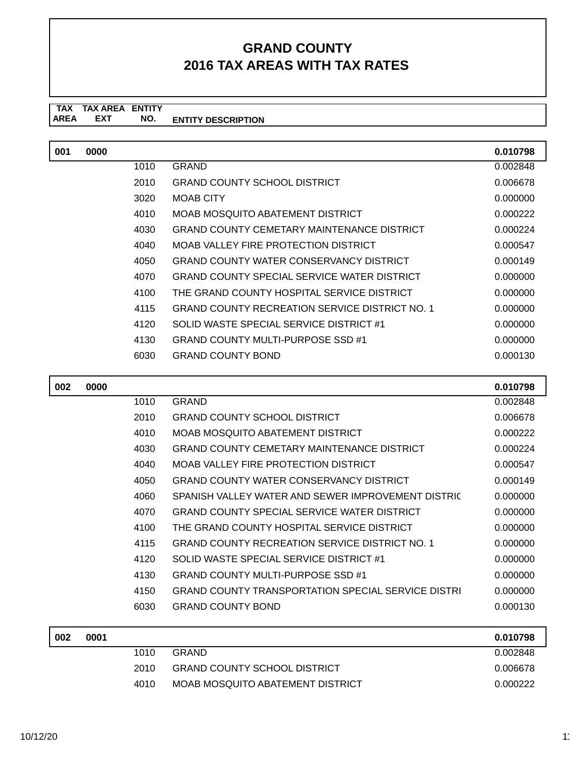| 001 | 0000 |      |                                                       | 0.010798 |
|-----|------|------|-------------------------------------------------------|----------|
|     |      | 1010 | GRAND                                                 | 0.002848 |
|     |      | 2010 | <b>GRAND COUNTY SCHOOL DISTRICT</b>                   | 0.006678 |
|     |      | 3020 | <b>MOAB CITY</b>                                      | 0.000000 |
|     |      | 4010 | MOAB MOSQUITO ABATEMENT DISTRICT                      | 0.000222 |
|     |      | 4030 | GRAND COUNTY CEMETARY MAINTENANCE DISTRICT            | 0.000224 |
|     |      | 4040 | MOAB VALLEY FIRE PROTECTION DISTRICT                  | 0.000547 |
|     |      | 4050 | GRAND COUNTY WATER CONSERVANCY DISTRICT               | 0.000149 |
|     |      | 4070 | GRAND COUNTY SPECIAL SERVICE WATER DISTRICT           | 0.000000 |
|     |      | 4100 | THE GRAND COUNTY HOSPITAL SERVICE DISTRICT            | 0.000000 |
|     |      | 4115 | <b>GRAND COUNTY RECREATION SERVICE DISTRICT NO. 1</b> | 0.000000 |
|     |      | 4120 | SOLID WASTE SPECIAL SERVICE DISTRICT #1               | 0.000000 |
|     |      | 4130 | <b>GRAND COUNTY MULTI-PURPOSE SSD #1</b>              | 0.000000 |
|     |      | 6030 | <b>GRAND COUNTY BOND</b>                              | 0.000130 |
|     |      |      |                                                       |          |

| 002 | 0000 |      |                                                           | 0.010798 |
|-----|------|------|-----------------------------------------------------------|----------|
|     |      | 1010 | <b>GRAND</b>                                              | 0.002848 |
|     |      | 2010 | <b>GRAND COUNTY SCHOOL DISTRICT</b>                       | 0.006678 |
|     |      | 4010 | MOAB MOSQUITO ABATEMENT DISTRICT                          | 0.000222 |
|     |      | 4030 | <b>GRAND COUNTY CEMETARY MAINTENANCE DISTRICT</b>         | 0.000224 |
|     |      | 4040 | MOAB VALLEY FIRE PROTECTION DISTRICT                      | 0.000547 |
|     |      | 4050 | GRAND COUNTY WATER CONSERVANCY DISTRICT                   | 0.000149 |
|     |      | 4060 | SPANISH VALLEY WATER AND SEWER IMPROVEMENT DISTRIC        | 0.000000 |
|     |      | 4070 | <b>GRAND COUNTY SPECIAL SERVICE WATER DISTRICT</b>        | 0.000000 |
|     |      | 4100 | THE GRAND COUNTY HOSPITAL SERVICE DISTRICT                | 0.000000 |
|     |      | 4115 | <b>GRAND COUNTY RECREATION SERVICE DISTRICT NO. 1</b>     | 0.000000 |
|     |      | 4120 | SOLID WASTE SPECIAL SERVICE DISTRICT #1                   | 0.000000 |
|     |      | 4130 | <b>GRAND COUNTY MULTI-PURPOSE SSD #1</b>                  | 0.000000 |
|     |      | 4150 | <b>GRAND COUNTY TRANSPORTATION SPECIAL SERVICE DISTRI</b> | 0.000000 |
|     |      | 6030 | <b>GRAND COUNTY BOND</b>                                  | 0.000130 |
|     |      |      |                                                           |          |

| 002 | 0001 |      |                                     | 0.010798 |
|-----|------|------|-------------------------------------|----------|
|     |      | 1010 | <b>GRAND</b>                        | 0.002848 |
|     |      | 2010 | <b>GRAND COUNTY SCHOOL DISTRICT</b> | 0.006678 |
|     |      | 4010 | MOAB MOSQUITO ABATEMENT DISTRICT    | 0.000222 |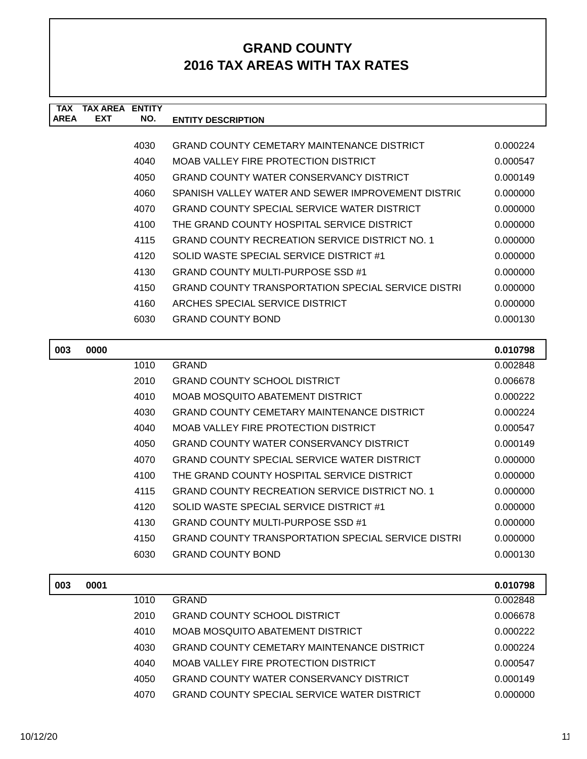| <b>TAX</b><br><b>AREA</b> | <b>TAX AREA ENTITY</b><br><b>EXT</b> | NO.  | <b>ENTITY DESCRIPTION</b>                                 |          |
|---------------------------|--------------------------------------|------|-----------------------------------------------------------|----------|
|                           |                                      |      |                                                           |          |
|                           |                                      | 4030 | <b>GRAND COUNTY CEMETARY MAINTENANCE DISTRICT</b>         | 0.000224 |
|                           |                                      | 4040 | <b>MOAB VALLEY FIRE PROTECTION DISTRICT</b>               | 0.000547 |
|                           |                                      | 4050 | <b>GRAND COUNTY WATER CONSERVANCY DISTRICT</b>            | 0.000149 |
|                           |                                      | 4060 | SPANISH VALLEY WATER AND SEWER IMPROVEMENT DISTRIC        | 0.000000 |
|                           |                                      | 4070 | <b>GRAND COUNTY SPECIAL SERVICE WATER DISTRICT</b>        | 0.000000 |
|                           |                                      | 4100 | THE GRAND COUNTY HOSPITAL SERVICE DISTRICT                | 0.000000 |
|                           |                                      | 4115 | <b>GRAND COUNTY RECREATION SERVICE DISTRICT NO. 1</b>     | 0.000000 |
|                           |                                      | 4120 | SOLID WASTE SPECIAL SERVICE DISTRICT #1                   | 0.000000 |
|                           |                                      | 4130 | <b>GRAND COUNTY MULTI-PURPOSE SSD #1</b>                  | 0.000000 |
|                           |                                      | 4150 | <b>GRAND COUNTY TRANSPORTATION SPECIAL SERVICE DISTRI</b> | 0.000000 |
|                           |                                      | 4160 | ARCHES SPECIAL SERVICE DISTRICT                           | 0.000000 |
|                           |                                      | 6030 | <b>GRAND COUNTY BOND</b>                                  | 0.000130 |
|                           |                                      |      |                                                           |          |
| 003                       | 0000                                 |      |                                                           | 0.010798 |
|                           |                                      | 1010 | <b>GRAND</b>                                              | 0.002848 |
|                           |                                      | 2010 | <b>GRAND COUNTY SCHOOL DISTRICT</b>                       | 0.006678 |
|                           |                                      | 4010 | MOAB MOSQUITO ABATEMENT DISTRICT                          | 0.000222 |
|                           |                                      | 4030 | <b>GRAND COUNTY CEMETARY MAINTENANCE DISTRICT</b>         | 0.000224 |
|                           |                                      | 4040 | MOAB VALLEY FIRE PROTECTION DISTRICT                      | 0.000547 |
|                           |                                      | 4050 | <b>GRAND COUNTY WATER CONSERVANCY DISTRICT</b>            | 0.000149 |
|                           |                                      | 4070 | <b>GRAND COUNTY SPECIAL SERVICE WATER DISTRICT</b>        | 0.000000 |
|                           |                                      | 4100 | THE GRAND COUNTY HOSPITAL SERVICE DISTRICT                | 0.000000 |
|                           |                                      | 4115 | <b>GRAND COUNTY RECREATION SERVICE DISTRICT NO. 1</b>     | 0.000000 |
|                           |                                      | 4120 | SOLID WASTE SPECIAL SERVICE DISTRICT #1                   | 0.000000 |
|                           |                                      | 4130 | GRAND COUNTY MULTI-PURPOSE SSD #1                         | 0.000000 |
|                           |                                      | 4150 | <b>GRAND COUNTY TRANSPORTATION SPECIAL SERVICE DISTRI</b> | 0.000000 |
|                           |                                      | 6030 | <b>GRAND COUNTY BOND</b>                                  | 0.000130 |
| 003                       | 0001                                 |      |                                                           | 0.010798 |
|                           |                                      | 1010 | <b>GRAND</b>                                              | 0.002848 |
|                           |                                      | 2010 | <b>GRAND COUNTY SCHOOL DISTRICT</b>                       | 0.006678 |

4010 MOAB MOSQUITO ABATEMENT DISTRICT 0.000222 4030 GRAND COUNTY CEMETARY MAINTENANCE DISTRICT 0.000224 4040 MOAB VALLEY FIRE PROTECTION DISTRICT 0.000547 4050 GRAND COUNTY WATER CONSERVANCY DISTRICT 0.000149 4070 GRAND COUNTY SPECIAL SERVICE WATER DISTRICT 0.000000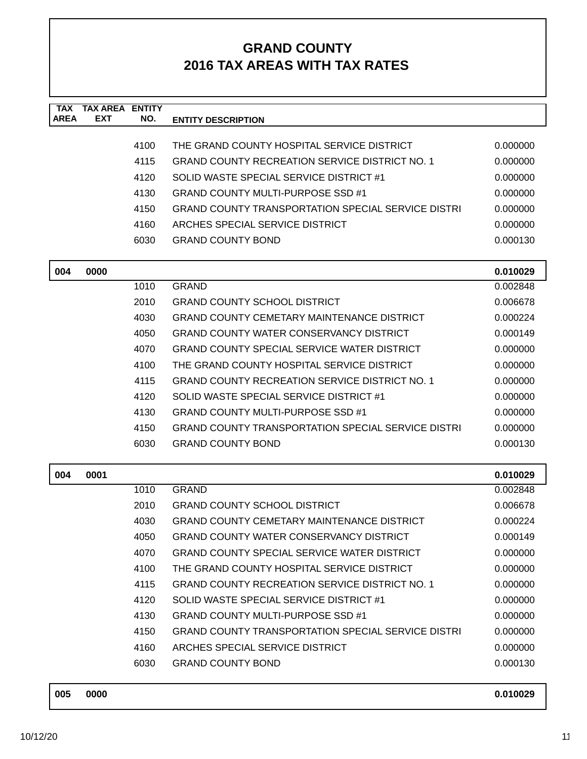| <b>TAX</b><br><b>AREA</b> | <b>TAX AREA ENTITY</b><br><b>EXT</b> | NO.  | <b>ENTITY DESCRIPTION</b>                                 |          |
|---------------------------|--------------------------------------|------|-----------------------------------------------------------|----------|
|                           |                                      |      |                                                           |          |
|                           |                                      | 4100 | THE GRAND COUNTY HOSPITAL SERVICE DISTRICT                | 0.000000 |
|                           |                                      | 4115 | <b>GRAND COUNTY RECREATION SERVICE DISTRICT NO. 1</b>     | 0.000000 |
|                           |                                      | 4120 | SOLID WASTE SPECIAL SERVICE DISTRICT #1                   | 0.000000 |
|                           |                                      | 4130 | <b>GRAND COUNTY MULTI-PURPOSE SSD #1</b>                  | 0.000000 |
|                           |                                      | 4150 | <b>GRAND COUNTY TRANSPORTATION SPECIAL SERVICE DISTRI</b> | 0.000000 |
|                           |                                      | 4160 | ARCHES SPECIAL SERVICE DISTRICT                           | 0.000000 |
|                           |                                      | 6030 | <b>GRAND COUNTY BOND</b>                                  | 0.000130 |
| 004                       | 0000                                 |      |                                                           | 0.010029 |
|                           |                                      | 1010 | <b>GRAND</b>                                              | 0.002848 |
|                           |                                      | 2010 | <b>GRAND COUNTY SCHOOL DISTRICT</b>                       | 0.006678 |
|                           |                                      | 4030 | <b>GRAND COUNTY CEMETARY MAINTENANCE DISTRICT</b>         | 0.000224 |
|                           |                                      | 4050 | <b>GRAND COUNTY WATER CONSERVANCY DISTRICT</b>            | 0.000149 |
|                           |                                      | 4070 | <b>GRAND COUNTY SPECIAL SERVICE WATER DISTRICT</b>        | 0.000000 |
|                           |                                      | 4100 | THE GRAND COUNTY HOSPITAL SERVICE DISTRICT                | 0.000000 |
|                           |                                      | 4115 | <b>GRAND COUNTY RECREATION SERVICE DISTRICT NO. 1</b>     | 0.000000 |
|                           |                                      | 4120 | SOLID WASTE SPECIAL SERVICE DISTRICT #1                   | 0.000000 |
|                           |                                      | 4130 | <b>GRAND COUNTY MULTI-PURPOSE SSD #1</b>                  | 0.000000 |
|                           |                                      | 4150 | <b>GRAND COUNTY TRANSPORTATION SPECIAL SERVICE DISTRI</b> | 0.000000 |
|                           |                                      | 6030 | <b>GRAND COUNTY BOND</b>                                  | 0.000130 |
| 004                       | 0001                                 |      |                                                           | 0.010029 |
|                           |                                      | 1010 | <b>GRAND</b>                                              | 0.002848 |
|                           |                                      | 2010 | <b>GRAND COUNTY SCHOOL DISTRICT</b>                       | 0.006678 |
|                           |                                      | 4030 | <b>GRAND COUNTY CEMETARY MAINTENANCE DISTRICT</b>         | 0.000224 |
|                           |                                      | 4050 | <b>GRAND COUNTY WATER CONSERVANCY DISTRICT</b>            | 0.000149 |
|                           |                                      | 4070 | <b>GRAND COUNTY SPECIAL SERVICE WATER DISTRICT</b>        | 0.000000 |
|                           |                                      | 4100 | THE GRAND COUNTY HOSPITAL SERVICE DISTRICT                | 0.000000 |
|                           |                                      | 4115 | <b>GRAND COUNTY RECREATION SERVICE DISTRICT NO. 1</b>     | 0.000000 |
|                           |                                      | 4120 | SOLID WASTE SPECIAL SERVICE DISTRICT #1                   | 0.000000 |
|                           |                                      | 4130 | <b>GRAND COUNTY MULTI-PURPOSE SSD #1</b>                  | 0.000000 |
|                           |                                      | 4150 | <b>GRAND COUNTY TRANSPORTATION SPECIAL SERVICE DISTRI</b> | 0.000000 |
|                           |                                      | 4160 | ARCHES SPECIAL SERVICE DISTRICT                           | 0.000000 |
|                           |                                      | 6030 | <b>GRAND COUNTY BOND</b>                                  | 0.000130 |
|                           |                                      |      |                                                           |          |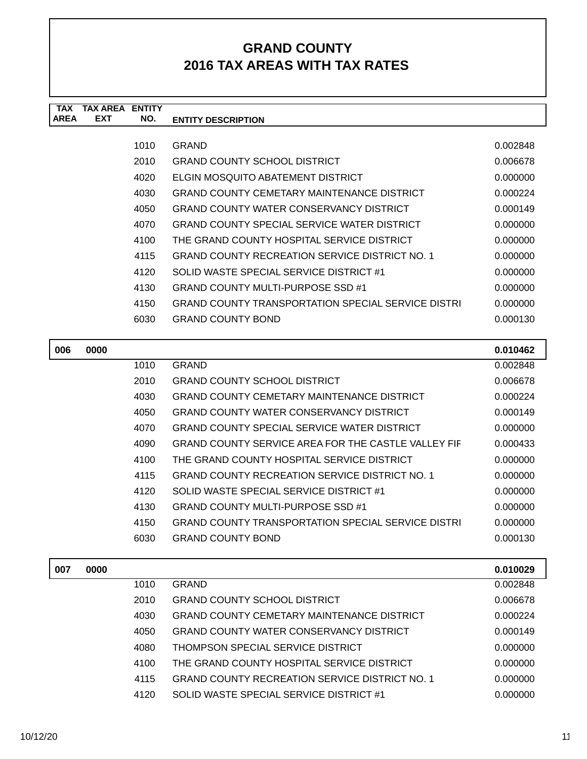| <b>TAX</b>  | <b>TAX AREA ENTITY</b> |       |                                                            |          |
|-------------|------------------------|-------|------------------------------------------------------------|----------|
| <b>AREA</b> | <b>EXT</b>             | NO.   | <b>ENTITY DESCRIPTION</b>                                  |          |
|             |                        |       |                                                            |          |
|             |                        | 1010  | <b>GRAND</b>                                               | 0.002848 |
|             |                        | 2010  | <b>GRAND COUNTY SCHOOL DISTRICT</b>                        | 0.006678 |
|             |                        | 4020  | ELGIN MOSQUITO ABATEMENT DISTRICT                          | 0.000000 |
|             |                        | 4030  | <b>GRAND COUNTY CEMETARY MAINTENANCE DISTRICT</b>          | 0.000224 |
|             |                        | 4050  | <b>GRAND COUNTY WATER CONSERVANCY DISTRICT</b>             | 0.000149 |
|             |                        | 4070  | <b>GRAND COUNTY SPECIAL SERVICE WATER DISTRICT</b>         | 0.000000 |
|             |                        | 4100  | THE GRAND COUNTY HOSPITAL SERVICE DISTRICT                 | 0.000000 |
|             |                        | 4115  | <b>GRAND COUNTY RECREATION SERVICE DISTRICT NO. 1</b>      | 0.000000 |
|             |                        | 4120  | SOLID WASTE SPECIAL SERVICE DISTRICT #1                    | 0.000000 |
|             |                        | 4130  | <b>GRAND COUNTY MULTI-PURPOSE SSD #1</b>                   | 0.000000 |
|             |                        | 4150  | <b>GRAND COUNTY TRANSPORTATION SPECIAL SERVICE DISTRI</b>  | 0.000000 |
|             |                        | 6030  | <b>GRAND COUNTY BOND</b>                                   | 0.000130 |
|             |                        |       |                                                            |          |
| 006         | 0000                   |       |                                                            | 0.010462 |
|             |                        | 1010  | <b>GRAND</b>                                               | 0.002848 |
|             |                        | 2010  | <b>GRAND COUNTY SCHOOL DISTRICT</b>                        | 0.006678 |
|             |                        | 4030  | <b>GRAND COUNTY CEMETARY MAINTENANCE DISTRICT</b>          | 0.000224 |
|             |                        | 4050  | <b>GRAND COUNTY WATER CONSERVANCY DISTRICT</b>             | 0.000149 |
|             |                        | 4070  | <b>GRAND COUNTY SPECIAL SERVICE WATER DISTRICT</b>         | 0.000000 |
|             |                        | 4090  | <b>GRAND COUNTY SERVICE AREA FOR THE CASTLE VALLEY FIF</b> | 0.000433 |
|             |                        | 4100  | THE GRAND COUNTY HOSPITAL SERVICE DISTRICT                 | 0.000000 |
|             |                        | 4115  | <b>GRAND COUNTY RECREATION SERVICE DISTRICT NO. 1</b>      | 0.000000 |
|             |                        | 41.20 | SOLID WASTE SPECIAL SERVICE DISTRICT #1                    | n nnnnnn |

| 4 LZU. | SULID WASTE SPECIAL SERVICE DISTRICT #T            | <u>u.uuuuu</u> |
|--------|----------------------------------------------------|----------------|
| 4130   | GRAND COUNTY MULTI-PURPOSE SSD #1                  | 0.000000       |
| 4150   | GRAND COUNTY TRANSPORTATION SPECIAL SERVICE DISTRI | 0.000000       |
| 6030   | <b>GRAND COUNTY BOND</b>                           | 0.000130       |

| 007 | 0000 |      |                                                       | 0.010029 |
|-----|------|------|-------------------------------------------------------|----------|
|     |      | 1010 | GRAND                                                 | 0.002848 |
|     |      | 2010 | <b>GRAND COUNTY SCHOOL DISTRICT</b>                   | 0.006678 |
|     |      | 4030 | GRAND COUNTY CEMETARY MAINTENANCE DISTRICT            | 0.000224 |
|     |      | 4050 | GRAND COUNTY WATER CONSERVANCY DISTRICT               | 0.000149 |
|     |      | 4080 | THOMPSON SPECIAL SERVICE DISTRICT                     | 0.000000 |
|     |      | 4100 | THE GRAND COUNTY HOSPITAL SERVICE DISTRICT            | 0.000000 |
|     |      | 4115 | <b>GRAND COUNTY RECREATION SERVICE DISTRICT NO. 1</b> | 0.000000 |
|     |      | 4120 | SOLID WASTE SPECIAL SERVICE DISTRICT #1               | 0.000000 |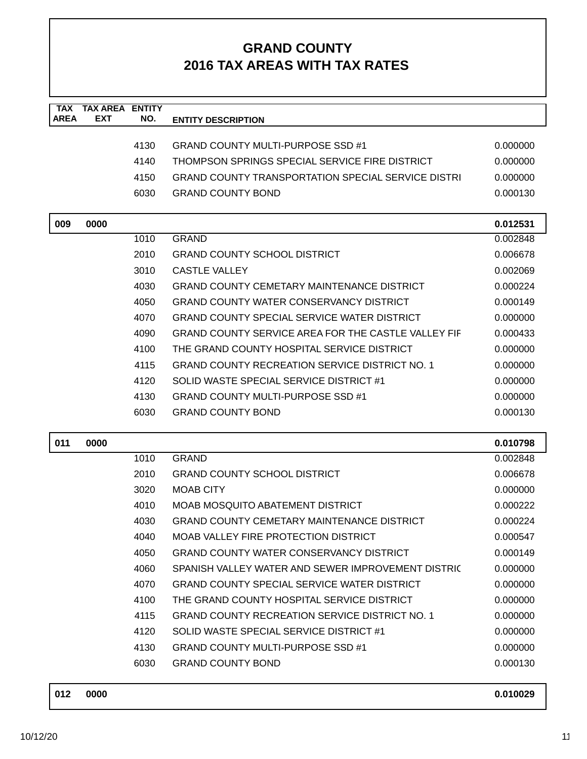| <b>TAX</b><br><b>AREA</b> | <b>TAX AREA ENTITY</b><br>EXT | NO.  | <b>ENTITY DESCRIPTION</b>                                  |          |
|---------------------------|-------------------------------|------|------------------------------------------------------------|----------|
|                           |                               |      |                                                            |          |
|                           |                               | 4130 | <b>GRAND COUNTY MULTI-PURPOSE SSD #1</b>                   | 0.000000 |
|                           |                               | 4140 | THOMPSON SPRINGS SPECIAL SERVICE FIRE DISTRICT             | 0.000000 |
|                           |                               | 4150 | <b>GRAND COUNTY TRANSPORTATION SPECIAL SERVICE DISTRI</b>  | 0.000000 |
|                           |                               | 6030 | <b>GRAND COUNTY BOND</b>                                   | 0.000130 |
| 009                       | 0000                          |      |                                                            | 0.012531 |
|                           |                               | 1010 | <b>GRAND</b>                                               | 0.002848 |
|                           |                               | 2010 | <b>GRAND COUNTY SCHOOL DISTRICT</b>                        | 0.006678 |
|                           |                               | 3010 | <b>CASTLE VALLEY</b>                                       | 0.002069 |
|                           |                               | 4030 | <b>GRAND COUNTY CEMETARY MAINTENANCE DISTRICT</b>          | 0.000224 |
|                           |                               | 4050 | <b>GRAND COUNTY WATER CONSERVANCY DISTRICT</b>             | 0.000149 |
|                           |                               | 4070 | <b>GRAND COUNTY SPECIAL SERVICE WATER DISTRICT</b>         | 0.000000 |
|                           |                               | 4090 | <b>GRAND COUNTY SERVICE AREA FOR THE CASTLE VALLEY FIF</b> | 0.000433 |
|                           |                               | 4100 | THE GRAND COUNTY HOSPITAL SERVICE DISTRICT                 | 0.000000 |
|                           |                               | 4115 | <b>GRAND COUNTY RECREATION SERVICE DISTRICT NO. 1</b>      | 0.000000 |
|                           |                               | 4120 | SOLID WASTE SPECIAL SERVICE DISTRICT #1                    | 0.000000 |
|                           |                               | 4130 | <b>GRAND COUNTY MULTI-PURPOSE SSD #1</b>                   | 0.000000 |
|                           |                               | 6030 | <b>GRAND COUNTY BOND</b>                                   | 0.000130 |
| 011                       | 0000                          |      |                                                            | 0.010798 |
|                           |                               | 1010 | <b>GRAND</b>                                               | 0.002848 |
|                           |                               | 2010 | <b>GRAND COUNTY SCHOOL DISTRICT</b>                        | 0.006678 |
|                           |                               | 3020 | <b>MOAB CITY</b>                                           | 0.000000 |
|                           |                               | 4010 | MOAB MOSQUITO ABATEMENT DISTRICT                           | 0.000222 |
|                           |                               | 4030 | <b>GRAND COUNTY CEMETARY MAINTENANCE DISTRICT</b>          | 0.000224 |
|                           |                               | 4040 | <b>MOAB VALLEY FIRE PROTECTION DISTRICT</b>                | 0.000547 |
|                           |                               | 4050 | <b>GRAND COUNTY WATER CONSERVANCY DISTRICT</b>             | 0.000149 |
|                           |                               | 4060 | SPANISH VALLEY WATER AND SEWER IMPROVEMENT DISTRIC         | 0.000000 |
|                           |                               | 4070 | <b>GRAND COUNTY SPECIAL SERVICE WATER DISTRICT</b>         | 0.000000 |
|                           |                               | 4100 | THE GRAND COUNTY HOSPITAL SERVICE DISTRICT                 | 0.000000 |
|                           |                               | 4115 | <b>GRAND COUNTY RECREATION SERVICE DISTRICT NO. 1</b>      | 0.000000 |
|                           |                               | 4120 | SOLID WASTE SPECIAL SERVICE DISTRICT #1                    | 0.000000 |
|                           |                               | 4130 | <b>GRAND COUNTY MULTI-PURPOSE SSD #1</b>                   | 0.000000 |
|                           |                               | 6030 | <b>GRAND COUNTY BOND</b>                                   | 0.000130 |
|                           |                               |      |                                                            |          |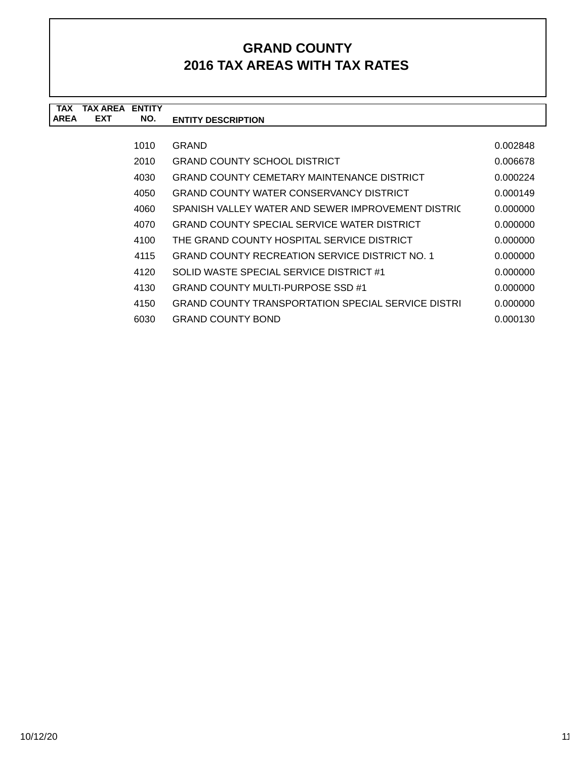| <b>TAX</b>  | TAX AREA ENTITY |      |                                                           |          |
|-------------|-----------------|------|-----------------------------------------------------------|----------|
| <b>AREA</b> | <b>EXT</b>      | NO.  | <b>ENTITY DESCRIPTION</b>                                 |          |
|             |                 |      |                                                           |          |
|             |                 | 1010 | <b>GRAND</b>                                              | 0.002848 |
|             |                 | 2010 | <b>GRAND COUNTY SCHOOL DISTRICT</b>                       | 0.006678 |
|             |                 | 4030 | GRAND COUNTY CEMETARY MAINTENANCE DISTRICT                | 0.000224 |
|             |                 | 4050 | <b>GRAND COUNTY WATER CONSERVANCY DISTRICT</b>            | 0.000149 |
|             |                 | 4060 | SPANISH VALLEY WATER AND SEWER IMPROVEMENT DISTRIC        | 0.000000 |
|             |                 | 4070 | <b>GRAND COUNTY SPECIAL SERVICE WATER DISTRICT</b>        | 0.000000 |
|             |                 | 4100 | THE GRAND COUNTY HOSPITAL SERVICE DISTRICT                | 0.000000 |
|             |                 | 4115 | <b>GRAND COUNTY RECREATION SERVICE DISTRICT NO. 1</b>     | 0.000000 |
|             |                 | 4120 | SOLID WASTE SPECIAL SERVICE DISTRICT #1                   | 0.000000 |
|             |                 | 4130 | GRAND COUNTY MULTI-PURPOSE SSD #1                         | 0.000000 |
|             |                 | 4150 | <b>GRAND COUNTY TRANSPORTATION SPECIAL SERVICE DISTRI</b> | 0.000000 |
|             |                 | 6030 | <b>GRAND COUNTY BOND</b>                                  | 0.000130 |
|             |                 |      |                                                           |          |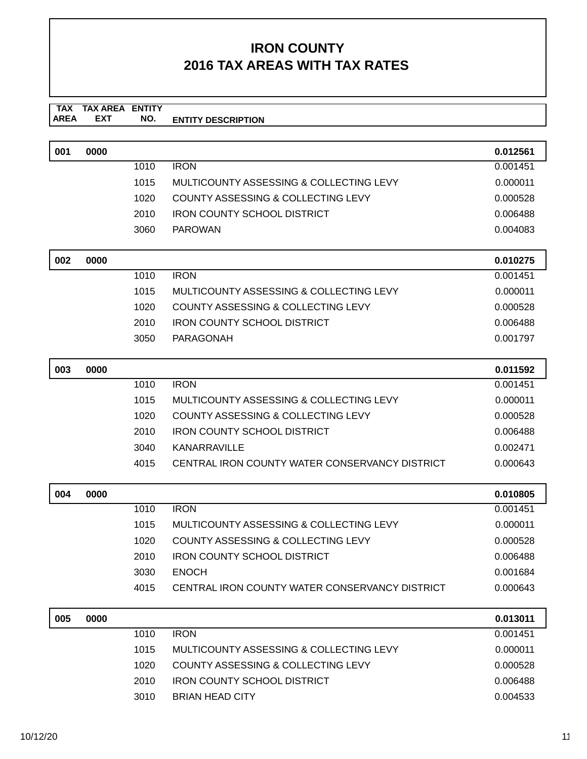| 0000 |      |                                                | 0.012561 |
|------|------|------------------------------------------------|----------|
|      | 1010 | <b>IRON</b>                                    | 0.001451 |
|      | 1015 | MULTICOUNTY ASSESSING & COLLECTING LEVY        | 0.000011 |
|      | 1020 | <b>COUNTY ASSESSING &amp; COLLECTING LEVY</b>  | 0.000528 |
|      | 2010 | <b>IRON COUNTY SCHOOL DISTRICT</b>             | 0.006488 |
|      | 3060 | <b>PAROWAN</b>                                 | 0.004083 |
|      |      |                                                |          |
| 0000 |      |                                                | 0.010275 |
|      | 1010 | <b>IRON</b>                                    | 0.001451 |
|      | 1015 | MULTICOUNTY ASSESSING & COLLECTING LEVY        | 0.000011 |
|      | 1020 | <b>COUNTY ASSESSING &amp; COLLECTING LEVY</b>  | 0.000528 |
|      | 2010 | <b>IRON COUNTY SCHOOL DISTRICT</b>             | 0.006488 |
|      | 3050 | PARAGONAH                                      | 0.001797 |
| 0000 |      |                                                | 0.011592 |
|      | 1010 | <b>IRON</b>                                    | 0.001451 |
|      | 1015 | MULTICOUNTY ASSESSING & COLLECTING LEVY        | 0.000011 |
|      | 1020 | <b>COUNTY ASSESSING &amp; COLLECTING LEVY</b>  | 0.000528 |
|      | 2010 | <b>IRON COUNTY SCHOOL DISTRICT</b>             | 0.006488 |
|      | 3040 | KANARRAVILLE                                   | 0.002471 |
|      | 4015 | CENTRAL IRON COUNTY WATER CONSERVANCY DISTRICT | 0.000643 |
|      |      |                                                |          |
| 0000 |      |                                                | 0.010805 |
|      | 1010 | <b>IRON</b>                                    | 0.001451 |
|      | 1015 | MULTICOUNTY ASSESSING & COLLECTING LEVY        | 0.000011 |
|      |      |                                                |          |

|      |                                                | <u></u>  |
|------|------------------------------------------------|----------|
| 1020 | COUNTY ASSESSING & COLLECTING LEVY             | 0.000528 |
| 2010 | IRON COUNTY SCHOOL DISTRICT                    | 0.006488 |
| 3030 | <b>ENOCH</b>                                   | 0.001684 |
| 4015 | CENTRAL IRON COUNTY WATER CONSERVANCY DISTRICT | 0.000643 |
|      |                                                |          |

| 005 | 0000 |      |                                         | 0.013011 |
|-----|------|------|-----------------------------------------|----------|
|     |      | 1010 | <b>IRON</b>                             | 0.001451 |
|     |      | 1015 | MULTICOUNTY ASSESSING & COLLECTING LEVY | 0.000011 |
|     |      | 1020 | COUNTY ASSESSING & COLLECTING LEVY      | 0.000528 |
|     |      | 2010 | <b>IRON COUNTY SCHOOL DISTRICT</b>      | 0.006488 |
|     |      | 3010 | <b>BRIAN HEAD CITY</b>                  | 0.004533 |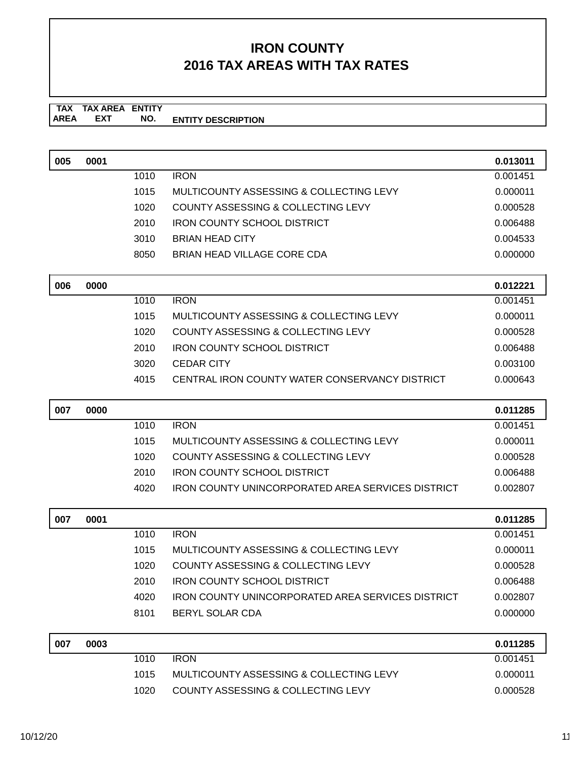| 005 | 0001 |      |                                                          | 0.013011 |
|-----|------|------|----------------------------------------------------------|----------|
|     |      | 1010 | <b>IRON</b>                                              | 0.001451 |
|     |      | 1015 | MULTICOUNTY ASSESSING & COLLECTING LEVY                  | 0.000011 |
|     |      | 1020 | COUNTY ASSESSING & COLLECTING LEVY                       | 0.000528 |
|     |      | 2010 | <b>IRON COUNTY SCHOOL DISTRICT</b>                       | 0.006488 |
|     |      | 3010 | <b>BRIAN HEAD CITY</b>                                   | 0.004533 |
|     |      | 8050 | <b>BRIAN HEAD VILLAGE CORE CDA</b>                       | 0.000000 |
| 006 | 0000 |      |                                                          | 0.012221 |
|     |      | 1010 | <b>IRON</b>                                              | 0.001451 |
|     |      | 1015 | MULTICOUNTY ASSESSING & COLLECTING LEVY                  | 0.000011 |
|     |      | 1020 | <b>COUNTY ASSESSING &amp; COLLECTING LEVY</b>            | 0.000528 |
|     |      | 2010 | <b>IRON COUNTY SCHOOL DISTRICT</b>                       | 0.006488 |
|     |      | 3020 | <b>CEDAR CITY</b>                                        | 0.003100 |
|     |      | 4015 | CENTRAL IRON COUNTY WATER CONSERVANCY DISTRICT           | 0.000643 |
| 007 | 0000 |      |                                                          | 0.011285 |
|     |      | 1010 | <b>IRON</b>                                              | 0.001451 |
|     |      | 1015 | MULTICOUNTY ASSESSING & COLLECTING LEVY                  | 0.000011 |
|     |      | 1020 | COUNTY ASSESSING & COLLECTING LEVY                       | 0.000528 |
|     |      | 2010 | <b>IRON COUNTY SCHOOL DISTRICT</b>                       | 0.006488 |
|     |      | 4020 | <b>IRON COUNTY UNINCORPORATED AREA SERVICES DISTRICT</b> | 0.002807 |
| 007 | 0001 |      |                                                          | 0.011285 |
|     |      | 1010 | <b>IRON</b>                                              | 0.001451 |
|     |      | 1015 | MULTICOUNTY ASSESSING & COLLECTING LEVY                  | 0.000011 |
|     |      | 1020 | <b>COUNTY ASSESSING &amp; COLLECTING LEVY</b>            | 0.000528 |
|     |      | 2010 | <b>IRON COUNTY SCHOOL DISTRICT</b>                       | 0.006488 |
|     |      | 4020 | <b>IRON COUNTY UNINCORPORATED AREA SERVICES DISTRICT</b> | 0.002807 |
|     |      | 8101 | BERYL SOLAR CDA                                          | 0.000000 |
| 007 | 0003 |      |                                                          | 0.011285 |
|     |      | 1010 | <b>IRON</b>                                              | 0.001451 |
|     |      | 1015 | MULTICOUNTY ASSESSING & COLLECTING LEVY                  | 0.000011 |
|     |      | 1020 | COUNTY ASSESSING & COLLECTING LEVY                       | 0.000528 |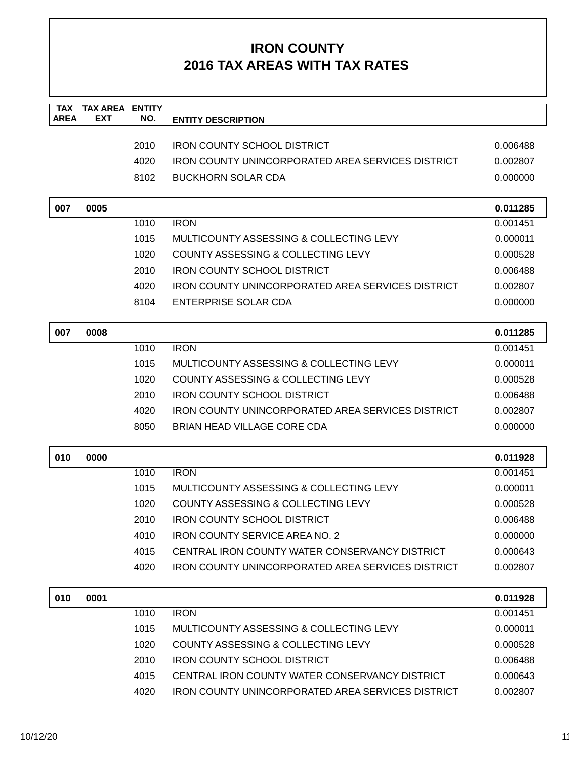| <b>TAX</b><br><b>AREA</b> | <b>TAX AREA</b><br><b>EXT</b> | <b>ENTITY</b><br>NO. |                                                          |          |
|---------------------------|-------------------------------|----------------------|----------------------------------------------------------|----------|
|                           |                               |                      | <b>ENTITY DESCRIPTION</b>                                |          |
|                           |                               | 2010                 | <b>IRON COUNTY SCHOOL DISTRICT</b>                       | 0.006488 |
|                           |                               | 4020                 | <b>IRON COUNTY UNINCORPORATED AREA SERVICES DISTRICT</b> | 0.002807 |
|                           |                               | 8102                 | <b>BUCKHORN SOLAR CDA</b>                                | 0.000000 |
|                           |                               |                      |                                                          |          |
| 007                       | 0005                          |                      |                                                          | 0.011285 |
|                           |                               | 1010                 | <b>IRON</b>                                              | 0.001451 |
|                           |                               | 1015                 | MULTICOUNTY ASSESSING & COLLECTING LEVY                  | 0.000011 |
|                           |                               | 1020                 | COUNTY ASSESSING & COLLECTING LEVY                       | 0.000528 |
|                           |                               | 2010                 | <b>IRON COUNTY SCHOOL DISTRICT</b>                       | 0.006488 |
|                           |                               | 4020                 | <b>IRON COUNTY UNINCORPORATED AREA SERVICES DISTRICT</b> | 0.002807 |
|                           |                               | 8104                 | <b>ENTERPRISE SOLAR CDA</b>                              | 0.000000 |
|                           |                               |                      |                                                          |          |
| 007                       | 0008                          |                      |                                                          | 0.011285 |
|                           |                               | 1010                 | <b>IRON</b>                                              | 0.001451 |
|                           |                               | 1015                 | MULTICOUNTY ASSESSING & COLLECTING LEVY                  | 0.000011 |
|                           |                               | 1020                 | COUNTY ASSESSING & COLLECTING LEVY                       | 0.000528 |
|                           |                               | 2010                 | <b>IRON COUNTY SCHOOL DISTRICT</b>                       | 0.006488 |
|                           |                               | 4020                 | <b>IRON COUNTY UNINCORPORATED AREA SERVICES DISTRICT</b> | 0.002807 |
|                           |                               | 8050                 | <b>BRIAN HEAD VILLAGE CORE CDA</b>                       | 0.000000 |
| 010                       | 0000                          |                      |                                                          | 0.011928 |
|                           |                               | 1010                 | <b>IRON</b>                                              | 0.001451 |
|                           |                               | 1015                 | MULTICOUNTY ASSESSING & COLLECTING LEVY                  | 0.000011 |
|                           |                               | 1020                 | <b>COUNTY ASSESSING &amp; COLLECTING LEVY</b>            | 0.000528 |
|                           |                               | 2010                 | IRON COUNTY SCHOOL DISTRICT                              | 0.006488 |
|                           |                               | 4010                 | <b>IRON COUNTY SERVICE AREA NO. 2</b>                    | 0.000000 |
|                           |                               | 4015                 | CENTRAL IRON COUNTY WATER CONSERVANCY DISTRICT           | 0.000643 |
|                           |                               | 4020                 | <b>IRON COUNTY UNINCORPORATED AREA SERVICES DISTRICT</b> | 0.002807 |
| 010                       | 0001                          |                      |                                                          | 0.011928 |
|                           |                               | 1010                 | <b>IRON</b>                                              | 0.001451 |
|                           |                               | 1015                 | MULTICOUNTY ASSESSING & COLLECTING LEVY                  | 0.000011 |
|                           |                               | 1020                 | <b>COUNTY ASSESSING &amp; COLLECTING LEVY</b>            | 0.000528 |
|                           |                               | 2010                 | <b>IRON COUNTY SCHOOL DISTRICT</b>                       | 0.006488 |
|                           |                               | 4015                 | CENTRAL IRON COUNTY WATER CONSERVANCY DISTRICT           | 0.000643 |
|                           |                               | 4020                 | <b>IRON COUNTY UNINCORPORATED AREA SERVICES DISTRICT</b> | 0.002807 |
|                           |                               |                      |                                                          |          |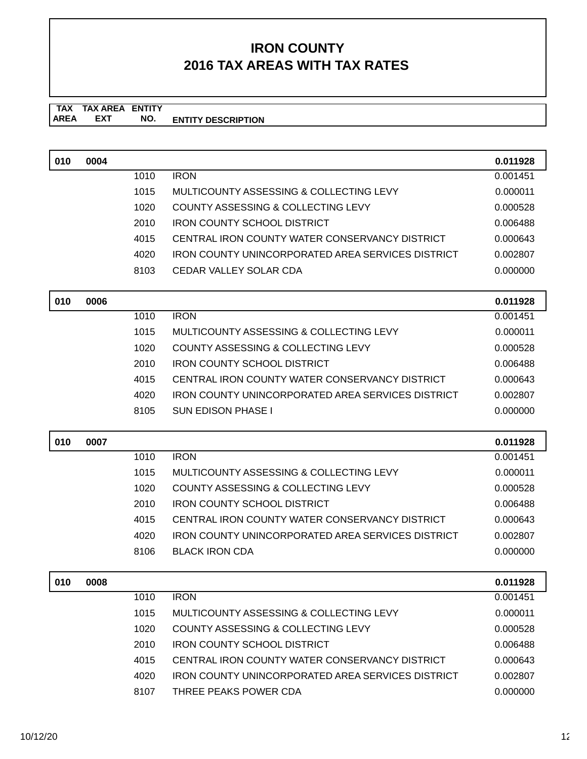| 010 | 0004 |              |                                                                          | 0.011928             |
|-----|------|--------------|--------------------------------------------------------------------------|----------------------|
|     |      | 1010         | <b>IRON</b>                                                              | 0.001451             |
|     |      | 1015         | MULTICOUNTY ASSESSING & COLLECTING LEVY                                  | 0.000011             |
|     |      | 1020         | COUNTY ASSESSING & COLLECTING LEVY                                       | 0.000528             |
|     |      | 2010         | <b>IRON COUNTY SCHOOL DISTRICT</b>                                       | 0.006488             |
|     |      | 4015         | CENTRAL IRON COUNTY WATER CONSERVANCY DISTRICT                           | 0.000643             |
|     |      | 4020         | <b>IRON COUNTY UNINCORPORATED AREA SERVICES DISTRICT</b>                 | 0.002807             |
|     |      | 8103         | <b>CEDAR VALLEY SOLAR CDA</b>                                            | 0.000000             |
| 010 | 0006 |              |                                                                          | 0.011928             |
|     |      | 1010         | <b>IRON</b>                                                              | 0.001451             |
|     |      | 1015         | MULTICOUNTY ASSESSING & COLLECTING LEVY                                  | 0.000011             |
|     |      | 1020         | COUNTY ASSESSING & COLLECTING LEVY                                       | 0.000528             |
|     |      | 2010         | <b>IRON COUNTY SCHOOL DISTRICT</b>                                       | 0.006488             |
|     |      | 4015         | CENTRAL IRON COUNTY WATER CONSERVANCY DISTRICT                           | 0.000643             |
|     |      | 4020         | <b>IRON COUNTY UNINCORPORATED AREA SERVICES DISTRICT</b>                 | 0.002807             |
|     |      | 8105         | <b>SUN EDISON PHASE I</b>                                                | 0.000000             |
|     |      |              |                                                                          |                      |
| 010 | 0007 |              | <b>IRON</b>                                                              | 0.011928             |
|     |      | 1010         |                                                                          | 0.001451             |
|     |      | 1015         | MULTICOUNTY ASSESSING & COLLECTING LEVY                                  | 0.000011             |
|     |      | 1020<br>2010 | COUNTY ASSESSING & COLLECTING LEVY<br><b>IRON COUNTY SCHOOL DISTRICT</b> | 0.000528             |
|     |      | 4015         | CENTRAL IRON COUNTY WATER CONSERVANCY DISTRICT                           | 0.006488<br>0.000643 |
|     |      | 4020         | <b>IRON COUNTY UNINCORPORATED AREA SERVICES DISTRICT</b>                 | 0.002807             |
|     |      | 8106         | <b>BLACK IRON CDA</b>                                                    | 0.000000             |
|     |      |              |                                                                          |                      |
| 010 | 0008 |              |                                                                          | 0.011928             |
|     |      | 1010         | <b>IRON</b>                                                              | 0.001451             |
|     |      | 1015         | MULTICOUNTY ASSESSING & COLLECTING LEVY                                  | 0.000011             |
|     |      | 1020         | <b>COUNTY ASSESSING &amp; COLLECTING LEVY</b>                            | 0.000528             |
|     |      | 2010         | <b>IRON COUNTY SCHOOL DISTRICT</b>                                       | 0.006488             |
|     |      |              |                                                                          |                      |
|     |      | 4015         | CENTRAL IRON COUNTY WATER CONSERVANCY DISTRICT                           | 0.000643             |
|     |      | 4020         | IRON COUNTY UNINCORPORATED AREA SERVICES DISTRICT                        | 0.002807             |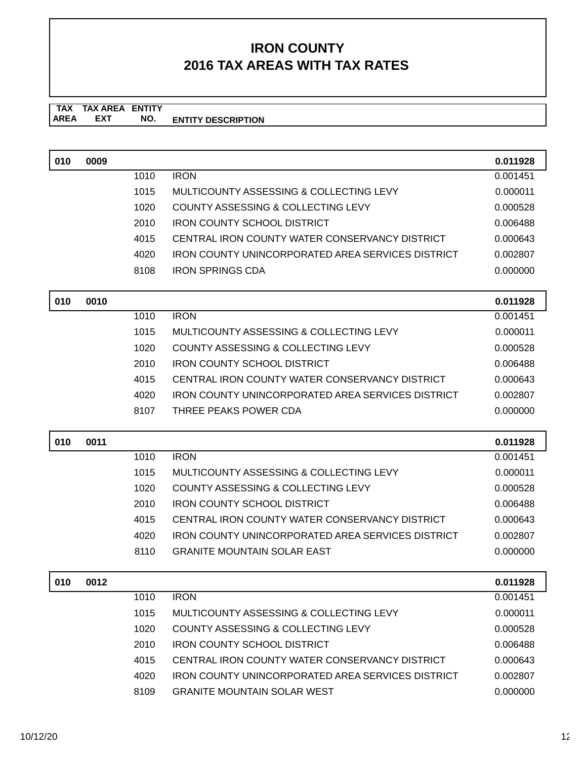| 010 | 0009 |      |                                                          | 0.011928 |
|-----|------|------|----------------------------------------------------------|----------|
|     |      | 1010 | <b>IRON</b>                                              | 0.001451 |
|     |      | 1015 | MULTICOUNTY ASSESSING & COLLECTING LEVY                  | 0.000011 |
|     |      | 1020 | COUNTY ASSESSING & COLLECTING LEVY                       | 0.000528 |
|     |      | 2010 | <b>IRON COUNTY SCHOOL DISTRICT</b>                       | 0.006488 |
|     |      | 4015 | CENTRAL IRON COUNTY WATER CONSERVANCY DISTRICT           | 0.000643 |
|     |      | 4020 | <b>IRON COUNTY UNINCORPORATED AREA SERVICES DISTRICT</b> | 0.002807 |
|     |      | 8108 | <b>IRON SPRINGS CDA</b>                                  | 0.000000 |
| 010 | 0010 |      |                                                          | 0.011928 |
|     |      | 1010 | <b>IRON</b>                                              | 0.001451 |
|     |      | 1015 | MULTICOUNTY ASSESSING & COLLECTING LEVY                  | 0.000011 |
|     |      | 1020 | COUNTY ASSESSING & COLLECTING LEVY                       | 0.000528 |
|     |      | 2010 | <b>IRON COUNTY SCHOOL DISTRICT</b>                       | 0.006488 |
|     |      | 4015 | CENTRAL IRON COUNTY WATER CONSERVANCY DISTRICT           | 0.000643 |
|     |      | 4020 | <b>IRON COUNTY UNINCORPORATED AREA SERVICES DISTRICT</b> | 0.002807 |
|     |      | 8107 | THREE PEAKS POWER CDA                                    | 0.000000 |
|     |      |      |                                                          |          |
| 010 | 0011 |      |                                                          | 0.011928 |
|     |      | 1010 | <b>IRON</b>                                              | 0.001451 |
|     |      | 1015 | MULTICOUNTY ASSESSING & COLLECTING LEVY                  | 0.000011 |
|     |      | 1020 | COUNTY ASSESSING & COLLECTING LEVY                       | 0.000528 |
|     |      | 2010 | <b>IRON COUNTY SCHOOL DISTRICT</b>                       | 0.006488 |
|     |      | 4015 | CENTRAL IRON COUNTY WATER CONSERVANCY DISTRICT           | 0.000643 |
|     |      | 4020 | <b>IRON COUNTY UNINCORPORATED AREA SERVICES DISTRICT</b> | 0.002807 |
|     |      | 8110 | <b>GRANITE MOUNTAIN SOLAR EAST</b>                       | 0.000000 |
| 010 | 0012 |      |                                                          | 0.011928 |
|     |      | 1010 | <b>IRON</b>                                              | 0.001451 |
|     |      | 1015 | MULTICOUNTY ASSESSING & COLLECTING LEVY                  | 0.000011 |
|     |      | 1020 | COUNTY ASSESSING & COLLECTING LEVY                       | 0.000528 |
|     |      | 2010 | <b>IRON COUNTY SCHOOL DISTRICT</b>                       | 0.006488 |
|     |      | 4015 | CENTRAL IRON COUNTY WATER CONSERVANCY DISTRICT           | 0.000643 |
|     |      | 4020 | <b>IRON COUNTY UNINCORPORATED AREA SERVICES DISTRICT</b> | 0.002807 |
|     |      | 8109 | <b>GRANITE MOUNTAIN SOLAR WEST</b>                       | 0.000000 |
|     |      |      |                                                          |          |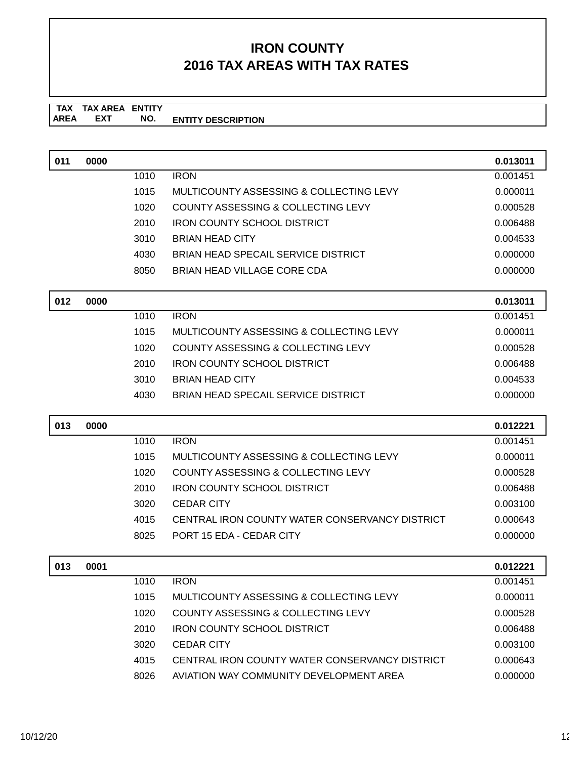| 011 | 0000 |      |                                                | 0.013011 |
|-----|------|------|------------------------------------------------|----------|
|     |      | 1010 | <b>IRON</b>                                    | 0.001451 |
|     |      | 1015 | MULTICOUNTY ASSESSING & COLLECTING LEVY        | 0.000011 |
|     |      | 1020 | <b>COUNTY ASSESSING &amp; COLLECTING LEVY</b>  | 0.000528 |
|     |      | 2010 | <b>IRON COUNTY SCHOOL DISTRICT</b>             | 0.006488 |
|     |      | 3010 | <b>BRIAN HEAD CITY</b>                         | 0.004533 |
|     |      | 4030 | BRIAN HEAD SPECAIL SERVICE DISTRICT            | 0.000000 |
|     |      | 8050 | <b>BRIAN HEAD VILLAGE CORE CDA</b>             | 0.000000 |
| 012 | 0000 |      |                                                | 0.013011 |
|     |      | 1010 | <b>IRON</b>                                    | 0.001451 |
|     |      | 1015 | MULTICOUNTY ASSESSING & COLLECTING LEVY        | 0.000011 |
|     |      | 1020 | <b>COUNTY ASSESSING &amp; COLLECTING LEVY</b>  | 0.000528 |
|     |      | 2010 | <b>IRON COUNTY SCHOOL DISTRICT</b>             | 0.006488 |
|     |      | 3010 | <b>BRIAN HEAD CITY</b>                         | 0.004533 |
|     |      | 4030 | BRIAN HEAD SPECAIL SERVICE DISTRICT            | 0.000000 |
|     |      |      |                                                |          |
|     |      |      |                                                |          |
| 013 | 0000 |      |                                                | 0.012221 |
|     |      | 1010 | <b>IRON</b>                                    | 0.001451 |
|     |      | 1015 | MULTICOUNTY ASSESSING & COLLECTING LEVY        | 0.000011 |
|     |      | 1020 | COUNTY ASSESSING & COLLECTING LEVY             | 0.000528 |
|     |      | 2010 | <b>IRON COUNTY SCHOOL DISTRICT</b>             | 0.006488 |
|     |      | 3020 | <b>CEDAR CITY</b>                              | 0.003100 |
|     |      | 4015 | CENTRAL IRON COUNTY WATER CONSERVANCY DISTRICT | 0.000643 |
|     |      | 8025 | PORT 15 EDA - CEDAR CITY                       | 0.000000 |
| 013 | 0001 |      |                                                | 0.012221 |
|     |      | 1010 | <b>IRON</b>                                    | 0.001451 |
|     |      | 1015 | MULTICOUNTY ASSESSING & COLLECTING LEVY        | 0.000011 |
|     |      | 1020 | COUNTY ASSESSING & COLLECTING LEVY             | 0.000528 |
|     |      | 2010 | <b>IRON COUNTY SCHOOL DISTRICT</b>             | 0.006488 |
|     |      | 3020 | <b>CEDAR CITY</b>                              | 0.003100 |
|     |      | 4015 | CENTRAL IRON COUNTY WATER CONSERVANCY DISTRICT | 0.000643 |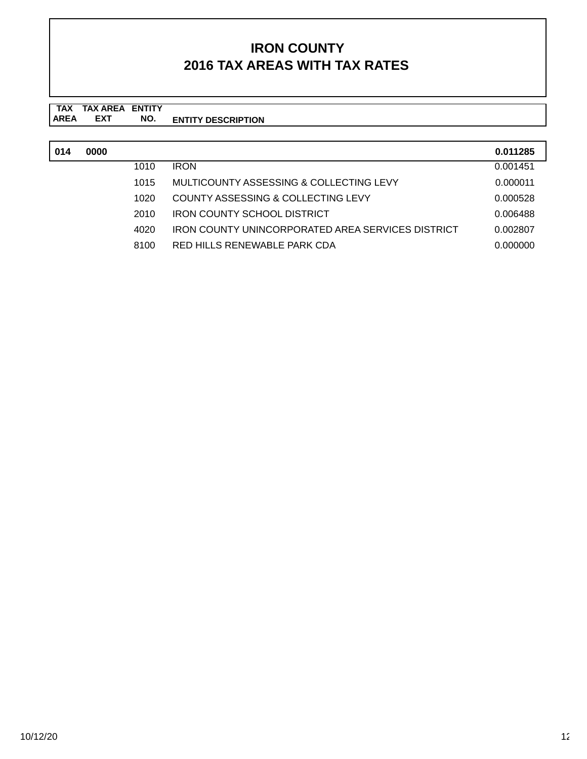| 014 | 0000 |      |                                                          | 0.011285 |
|-----|------|------|----------------------------------------------------------|----------|
|     |      | 1010 | <b>IRON</b>                                              | 0.001451 |
|     |      | 1015 | MULTICOUNTY ASSESSING & COLLECTING LEVY                  | 0.000011 |
|     |      | 1020 | COUNTY ASSESSING & COLLECTING LEVY                       | 0.000528 |
|     |      | 2010 | <b>IRON COUNTY SCHOOL DISTRICT</b>                       | 0.006488 |
|     |      | 4020 | <b>IRON COUNTY UNINCORPORATED AREA SERVICES DISTRICT</b> | 0.002807 |
|     |      | 8100 | RED HILLS RENEWABLE PARK CDA                             | 0.000000 |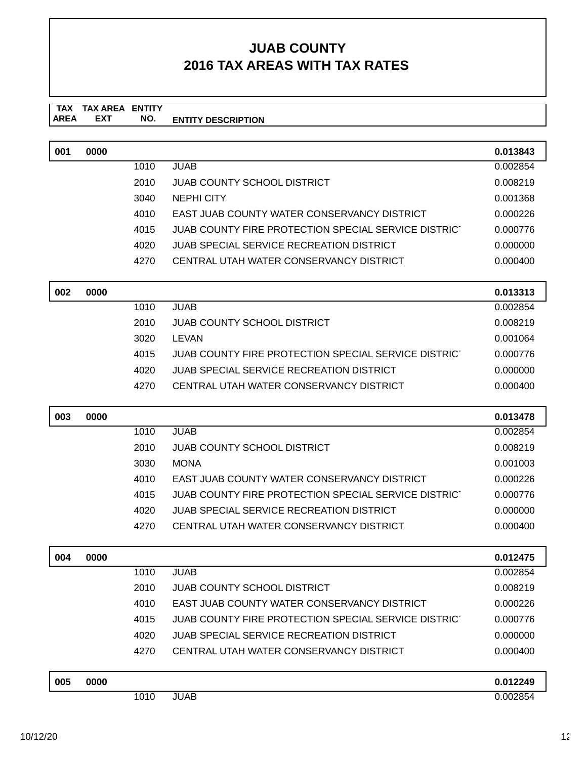#### **TAX TAX AREA ENTITY AREA ENTITY DESCRIPTION EXT NO.**

| 001 | 0000 |      |                                                      | 0.013843 |
|-----|------|------|------------------------------------------------------|----------|
|     |      | 1010 | <b>JUAB</b>                                          | 0.002854 |
|     |      | 2010 | <b>JUAB COUNTY SCHOOL DISTRICT</b>                   | 0.008219 |
|     |      | 3040 | <b>NEPHI CITY</b>                                    | 0.001368 |
|     |      | 4010 | EAST JUAB COUNTY WATER CONSERVANCY DISTRICT          | 0.000226 |
|     |      | 4015 | JUAB COUNTY FIRE PROTECTION SPECIAL SERVICE DISTRICT | 0.000776 |
|     |      | 4020 | <b>JUAB SPECIAL SERVICE RECREATION DISTRICT</b>      | 0.000000 |
|     |      | 4270 | CENTRAL UTAH WATER CONSERVANCY DISTRICT              | 0.000400 |
|     |      |      |                                                      |          |

| 002 | 0000 |      |                                                      | 0.013313 |
|-----|------|------|------------------------------------------------------|----------|
|     |      | 1010 | JUAB.                                                | 0.002854 |
|     |      | 2010 | JUAB COUNTY SCHOOL DISTRICT                          | 0.008219 |
|     |      | 3020 | LEVAN                                                | 0.001064 |
|     |      | 4015 | JUAB COUNTY FIRE PROTECTION SPECIAL SERVICE DISTRICT | 0.000776 |
|     |      | 4020 | JUAB SPECIAL SERVICE RECREATION DISTRICT             | 0.000000 |
|     |      | 4270 | CENTRAL UTAH WATER CONSERVANCY DISTRICT              | 0.000400 |

| 003 | 0000 |      |                                                      | 0.013478 |
|-----|------|------|------------------------------------------------------|----------|
|     |      | 1010 | JUAB.                                                | 0.002854 |
|     |      | 2010 | JUAB COUNTY SCHOOL DISTRICT                          | 0.008219 |
|     |      | 3030 | <b>MONA</b>                                          | 0.001003 |
|     |      | 4010 | EAST JUAB COUNTY WATER CONSERVANCY DISTRICT          | 0.000226 |
|     |      | 4015 | JUAB COUNTY FIRE PROTECTION SPECIAL SERVICE DISTRICT | 0.000776 |
|     |      | 4020 | JUAB SPECIAL SERVICE RECREATION DISTRICT             | 0.000000 |
|     |      | 4270 | CENTRAL UTAH WATER CONSERVANCY DISTRICT              | 0.000400 |

| 004 | 0000 |      |                                                      | 0.012475 |
|-----|------|------|------------------------------------------------------|----------|
|     |      | 1010 | <b>JUAB</b>                                          | 0.002854 |
|     |      | 2010 | <b>JUAB COUNTY SCHOOL DISTRICT</b>                   | 0.008219 |
|     |      | 4010 | EAST JUAB COUNTY WATER CONSERVANCY DISTRICT          | 0.000226 |
|     |      | 4015 | JUAB COUNTY FIRE PROTECTION SPECIAL SERVICE DISTRICT | 0.000776 |
|     |      | 4020 | JUAB SPECIAL SERVICE RECREATION DISTRICT             | 0.000000 |
|     |      | 4270 | CENTRAL UTAH WATER CONSERVANCY DISTRICT              | 0.000400 |
|     |      |      |                                                      |          |
| 005 | 0000 |      |                                                      | 0.012249 |
|     |      | 1010 | <b>JUAB</b>                                          | 0.002854 |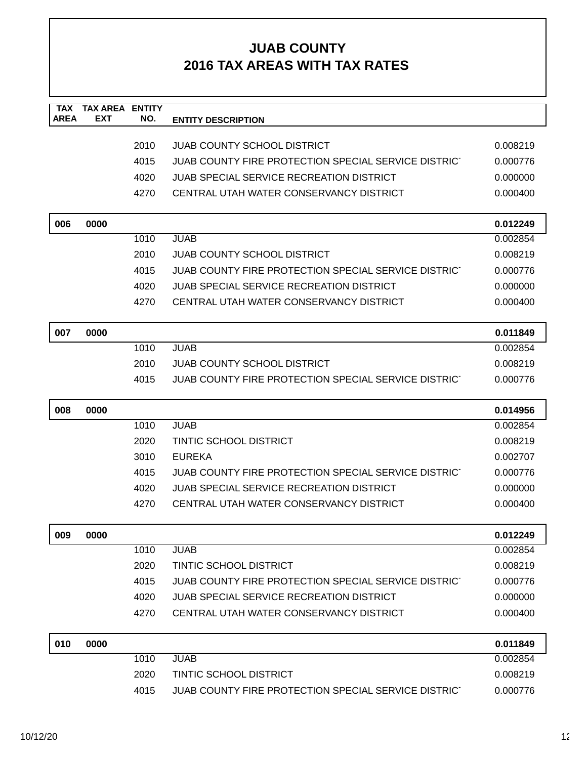| <b>TAX</b>  | <b>TAX AREA</b> | <b>ENTITY</b> |                                                      |          |
|-------------|-----------------|---------------|------------------------------------------------------|----------|
| <b>AREA</b> | <b>EXT</b>      | NO.           | <b>ENTITY DESCRIPTION</b>                            |          |
|             |                 | 2010          | <b>JUAB COUNTY SCHOOL DISTRICT</b>                   | 0.008219 |
|             |                 | 4015          | JUAB COUNTY FIRE PROTECTION SPECIAL SERVICE DISTRICT | 0.000776 |
|             |                 | 4020          | <b>JUAB SPECIAL SERVICE RECREATION DISTRICT</b>      | 0.000000 |
|             |                 | 4270          | CENTRAL UTAH WATER CONSERVANCY DISTRICT              | 0.000400 |
|             |                 |               |                                                      |          |
| 006         | 0000            |               |                                                      | 0.012249 |
|             |                 | 1010          | <b>JUAB</b>                                          | 0.002854 |
|             |                 | 2010          | <b>JUAB COUNTY SCHOOL DISTRICT</b>                   | 0.008219 |
|             |                 | 4015          | JUAB COUNTY FIRE PROTECTION SPECIAL SERVICE DISTRICT | 0.000776 |
|             |                 | 4020          | <b>JUAB SPECIAL SERVICE RECREATION DISTRICT</b>      | 0.000000 |
|             |                 | 4270          | CENTRAL UTAH WATER CONSERVANCY DISTRICT              | 0.000400 |
|             |                 |               |                                                      |          |
| 007         | 0000            |               |                                                      | 0.011849 |
|             |                 | 1010          | <b>JUAB</b>                                          | 0.002854 |
|             |                 | 2010          | JUAB COUNTY SCHOOL DISTRICT                          | 0.008219 |
|             |                 | 4015          | JUAB COUNTY FIRE PROTECTION SPECIAL SERVICE DISTRICT | 0.000776 |
|             |                 |               |                                                      |          |
|             |                 |               |                                                      |          |
| 008         | 0000            |               |                                                      | 0.014956 |
|             |                 | 1010          | <b>JUAB</b>                                          | 0.002854 |
|             |                 | 2020          | <b>TINTIC SCHOOL DISTRICT</b>                        | 0.008219 |
|             |                 | 3010          | <b>EUREKA</b>                                        | 0.002707 |
|             |                 | 4015          | JUAB COUNTY FIRE PROTECTION SPECIAL SERVICE DISTRICT | 0.000776 |
|             |                 | 4020          | <b>JUAB SPECIAL SERVICE RECREATION DISTRICT</b>      | 0.000000 |
|             |                 | 4270          | CENTRAL UTAH WATER CONSERVANCY DISTRICT              | 0.000400 |
|             |                 |               |                                                      |          |
| 009         | 0000            | 1010          | <b>JUAB</b>                                          | 0.012249 |
|             |                 |               |                                                      | 0.002854 |
|             |                 | 2020          | <b>TINTIC SCHOOL DISTRICT</b>                        | 0.008219 |
|             |                 | 4015          | JUAB COUNTY FIRE PROTECTION SPECIAL SERVICE DISTRICT | 0.000776 |
|             |                 | 4020          | <b>JUAB SPECIAL SERVICE RECREATION DISTRICT</b>      | 0.000000 |
|             |                 | 4270          | CENTRAL UTAH WATER CONSERVANCY DISTRICT              | 0.000400 |
| 010         | 0000            |               |                                                      | 0.011849 |
|             |                 | 1010          | <b>JUAB</b>                                          | 0.002854 |
|             |                 | 2020          | <b>TINTIC SCHOOL DISTRICT</b>                        | 0.008219 |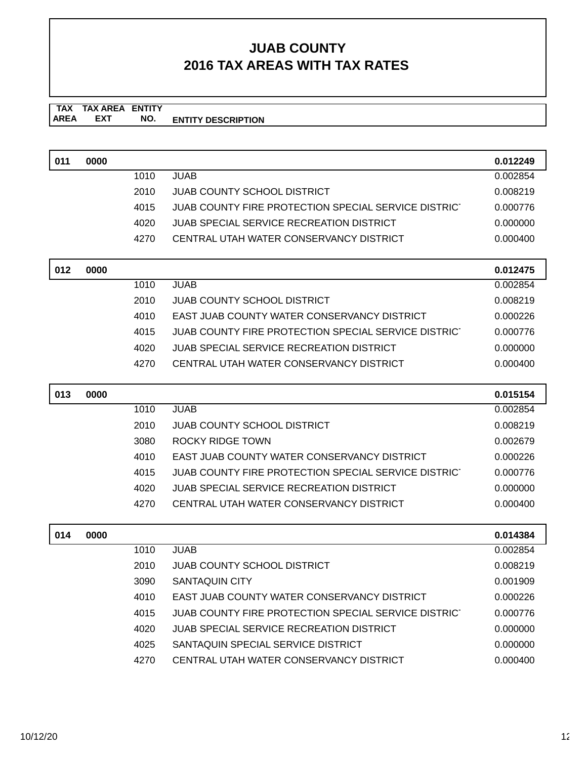#### **TAX TAX AREA ENTITY AREA ENTITY DESCRIPTION EXT NO.**

| 011 | 0000 |      |                                                      | 0.012249 |
|-----|------|------|------------------------------------------------------|----------|
|     |      | 1010 | <b>JUAB</b>                                          | 0.002854 |
|     |      | 2010 | <b>JUAB COUNTY SCHOOL DISTRICT</b>                   | 0.008219 |
|     |      | 4015 | JUAB COUNTY FIRE PROTECTION SPECIAL SERVICE DISTRICT | 0.000776 |
|     |      | 4020 | JUAB SPECIAL SERVICE RECREATION DISTRICT             | 0.000000 |
|     |      | 4270 | CENTRAL UTAH WATER CONSERVANCY DISTRICT              | 0.000400 |
|     |      |      |                                                      |          |
| 012 | 0000 |      |                                                      | 0.012475 |
|     |      | 1010 | <b>JUAB</b>                                          | 0.002854 |
|     |      | 2010 | <b>JUAB COUNTY SCHOOL DISTRICT</b>                   | 0.008219 |
|     |      | 4010 | <b>EAST JUAB COUNTY WATER CONSERVANCY DISTRICT</b>   | 0.000226 |
|     |      | 4015 | JUAB COUNTY FIRE PROTECTION SPECIAL SERVICE DISTRICT | 0.000776 |
|     |      | 4020 | JUAB SPECIAL SERVICE RECREATION DISTRICT             | 0.000000 |
|     |      | 4270 | CENTRAL UTAH WATER CONSERVANCY DISTRICT              | 0.000400 |
| 013 | 0000 |      |                                                      | 0.015154 |

| U13 | <b>UUUU</b> |      |                                                      | <b>0.015154</b> |
|-----|-------------|------|------------------------------------------------------|-----------------|
|     |             | 1010 | JUAB.                                                | 0.002854        |
|     |             | 2010 | JUAB COUNTY SCHOOL DISTRICT                          | 0.008219        |
|     |             | 3080 | ROCKY RIDGE TOWN                                     | 0.002679        |
|     |             | 4010 | EAST JUAB COUNTY WATER CONSERVANCY DISTRICT          | 0.000226        |
|     |             | 4015 | JUAB COUNTY FIRE PROTECTION SPECIAL SERVICE DISTRICT | 0.000776        |
|     |             | 4020 | JUAB SPECIAL SERVICE RECREATION DISTRICT             | 0.000000        |
|     |             | 4270 | CENTRAL UTAH WATER CONSERVANCY DISTRICT              | 0.000400        |
|     |             |      |                                                      |                 |

| 014 | 0000 |      |                                                      | 0.014384 |
|-----|------|------|------------------------------------------------------|----------|
|     |      | 1010 | JUAB.                                                | 0.002854 |
|     |      | 2010 | <b>JUAB COUNTY SCHOOL DISTRICT</b>                   | 0.008219 |
|     |      | 3090 | <b>SANTAQUIN CITY</b>                                | 0.001909 |
|     |      | 4010 | EAST JUAB COUNTY WATER CONSERVANCY DISTRICT          | 0.000226 |
|     |      | 4015 | JUAB COUNTY FIRE PROTECTION SPECIAL SERVICE DISTRICT | 0.000776 |
|     |      | 4020 | JUAB SPECIAL SERVICE RECREATION DISTRICT             | 0.000000 |
|     |      | 4025 | SANTAQUIN SPECIAL SERVICE DISTRICT                   | 0.000000 |
|     |      | 4270 | CENTRAL UTAH WATER CONSERVANCY DISTRICT              | 0.000400 |

 $\lceil$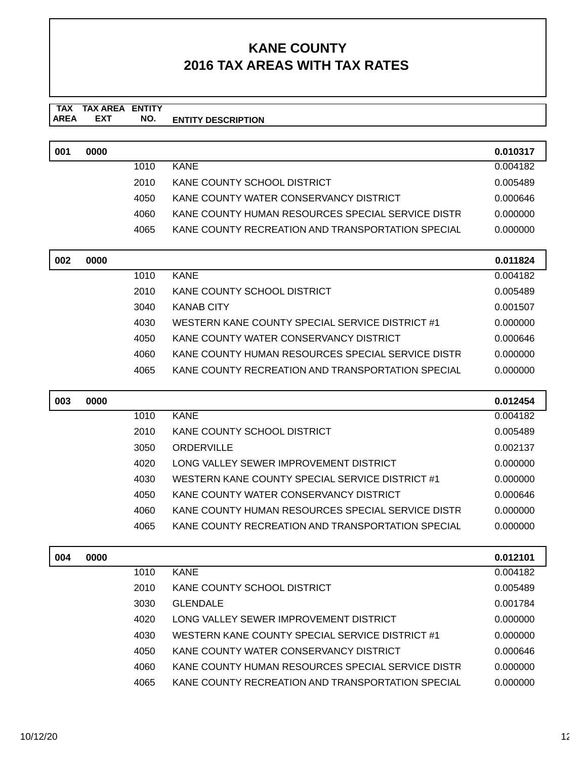#### **TAX TAX AREA ENTITY AREA ENTITY DESCRIPTION EXT NO.**

| 001 | 0000 |      |                                                   | 0.010317 |
|-----|------|------|---------------------------------------------------|----------|
|     |      | 1010 | KANE                                              | 0.004182 |
|     |      | 2010 | KANE COUNTY SCHOOL DISTRICT                       | 0.005489 |
|     |      | 4050 | KANE COUNTY WATER CONSERVANCY DISTRICT            | 0.000646 |
|     |      | 4060 | KANE COUNTY HUMAN RESOURCES SPECIAL SERVICE DISTR | 0.000000 |
|     |      | 4065 | KANE COUNTY RECREATION AND TRANSPORTATION SPECIAL | 0.000000 |

| 002 | 0000 |      |                                                   | 0.011824 |
|-----|------|------|---------------------------------------------------|----------|
|     |      | 1010 | KANE                                              | 0.004182 |
|     |      | 2010 | KANE COUNTY SCHOOL DISTRICT                       | 0.005489 |
|     |      | 3040 | <b>KANAB CITY</b>                                 | 0.001507 |
|     |      | 4030 | WESTERN KANE COUNTY SPECIAL SERVICE DISTRICT #1   | 0.000000 |
|     |      | 4050 | KANE COUNTY WATER CONSERVANCY DISTRICT            | 0.000646 |
|     |      | 4060 | KANE COUNTY HUMAN RESOURCES SPECIAL SERVICE DISTR | 0.000000 |
|     |      | 4065 | KANE COUNTY RECREATION AND TRANSPORTATION SPECIAL | 0.000000 |

| 003 | 0000 |      |                                                   | 0.012454 |
|-----|------|------|---------------------------------------------------|----------|
|     |      | 1010 | <b>KANE</b>                                       | 0.004182 |
|     |      | 2010 | KANE COUNTY SCHOOL DISTRICT                       | 0.005489 |
|     |      | 3050 | ORDERVILLE                                        | 0.002137 |
|     |      | 4020 | LONG VALLEY SEWER IMPROVEMENT DISTRICT            | 0.000000 |
|     |      | 4030 | WESTERN KANE COUNTY SPECIAL SERVICE DISTRICT #1   | 0.000000 |
|     |      | 4050 | KANE COUNTY WATER CONSERVANCY DISTRICT            | 0.000646 |
|     |      | 4060 | KANE COUNTY HUMAN RESOURCES SPECIAL SERVICE DISTR | 0.000000 |
|     |      | 4065 | KANE COUNTY RECREATION AND TRANSPORTATION SPECIAL | 0.000000 |

| 004 | 0000 |      |                                                   | 0.012101 |
|-----|------|------|---------------------------------------------------|----------|
|     |      | 1010 | <b>KANE</b>                                       | 0.004182 |
|     |      | 2010 | KANE COUNTY SCHOOL DISTRICT                       | 0.005489 |
|     |      | 3030 | <b>GLENDALE</b>                                   | 0.001784 |
|     |      | 4020 | LONG VALLEY SEWER IMPROVEMENT DISTRICT            | 0.000000 |
|     |      | 4030 | WESTERN KANE COUNTY SPECIAL SERVICE DISTRICT #1   | 0.000000 |
|     |      | 4050 | KANE COUNTY WATER CONSERVANCY DISTRICT            | 0.000646 |
|     |      | 4060 | KANE COUNTY HUMAN RESOURCES SPECIAL SERVICE DISTR | 0.000000 |
|     |      | 4065 | KANE COUNTY RECREATION AND TRANSPORTATION SPECIAL | 0.000000 |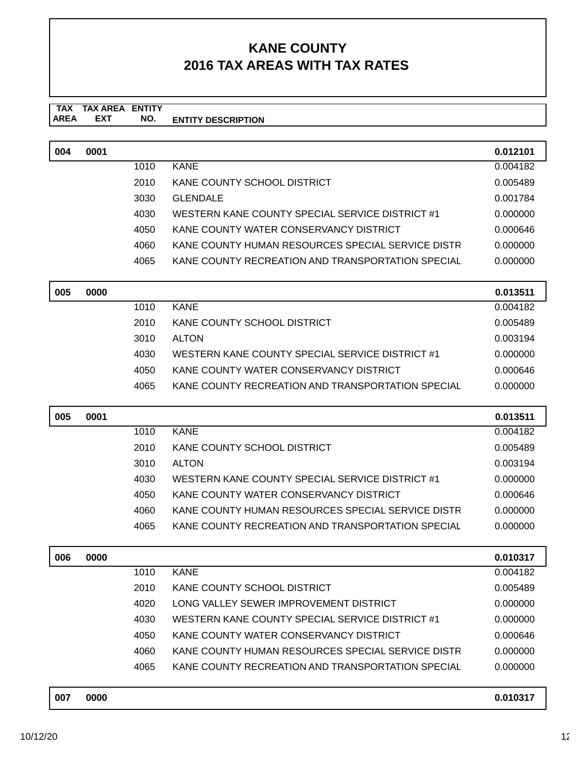#### **TAX AREA ENTITY DESCRIPTION TAX AREA EXT ENTITY NO.**

| 004 | 0001 |      |                                                   | 0.012101 |
|-----|------|------|---------------------------------------------------|----------|
|     |      | 1010 | <b>KANE</b>                                       | 0.004182 |
|     |      | 2010 | KANE COUNTY SCHOOL DISTRICT                       | 0.005489 |
|     |      | 3030 | <b>GLENDALE</b>                                   | 0.001784 |
|     |      | 4030 | WESTERN KANE COUNTY SPECIAL SERVICE DISTRICT #1   | 0.000000 |
|     |      | 4050 | KANE COUNTY WATER CONSERVANCY DISTRICT            | 0.000646 |
|     |      | 4060 | KANE COUNTY HUMAN RESOURCES SPECIAL SERVICE DISTR | 0.000000 |
|     |      | 4065 | KANE COUNTY RECREATION AND TRANSPORTATION SPECIAL | 0.000000 |
|     |      |      |                                                   |          |

| 005 | 0000 |      |                                                   | 0.013511 |
|-----|------|------|---------------------------------------------------|----------|
|     |      | 1010 | <b>KANE</b>                                       | 0.004182 |
|     |      | 2010 | KANE COUNTY SCHOOL DISTRICT                       | 0.005489 |
|     |      | 3010 | <b>ALTON</b>                                      | 0.003194 |
|     |      | 4030 | WESTERN KANE COUNTY SPECIAL SERVICE DISTRICT #1   | 0.000000 |
|     |      | 4050 | KANE COUNTY WATER CONSERVANCY DISTRICT            | 0.000646 |
|     |      | 4065 | KANE COUNTY RECREATION AND TRANSPORTATION SPECIAL | 0.000000 |

| 005 | 0001 |      |                                                   | 0.013511 |
|-----|------|------|---------------------------------------------------|----------|
|     |      | 1010 | <b>KANE</b>                                       | 0.004182 |
|     |      | 2010 | KANE COUNTY SCHOOL DISTRICT                       | 0.005489 |
|     |      | 3010 | <b>ALTON</b>                                      | 0.003194 |
|     |      | 4030 | WESTERN KANE COUNTY SPECIAL SERVICE DISTRICT #1   | 0.000000 |
|     |      | 4050 | KANE COUNTY WATER CONSERVANCY DISTRICT            | 0.000646 |
|     |      | 4060 | KANE COUNTY HUMAN RESOURCES SPECIAL SERVICE DISTR | 0.000000 |
|     |      | 4065 | KANE COUNTY RECREATION AND TRANSPORTATION SPECIAL | 0.000000 |

| 006 | 0000        |      |                                                   | 0.010317 |
|-----|-------------|------|---------------------------------------------------|----------|
|     |             | 1010 | <b>KANE</b>                                       | 0.004182 |
|     |             | 2010 | KANE COUNTY SCHOOL DISTRICT                       | 0.005489 |
|     |             | 4020 | LONG VALLEY SEWER IMPROVEMENT DISTRICT            | 0.000000 |
|     |             | 4030 | WESTERN KANE COUNTY SPECIAL SERVICE DISTRICT #1   | 0.000000 |
|     |             | 4050 | KANE COUNTY WATER CONSERVANCY DISTRICT            | 0.000646 |
|     |             | 4060 | KANE COUNTY HUMAN RESOURCES SPECIAL SERVICE DISTR | 0.000000 |
|     |             | 4065 | KANE COUNTY RECREATION AND TRANSPORTATION SPECIAL | 0.000000 |
|     |             |      |                                                   |          |
| ^^7 | <b>BARA</b> |      |                                                   | 0.01027  |

| 007 | 0000 | 0.010217<br>I VJ I 1 |  |
|-----|------|----------------------|--|
|     |      |                      |  |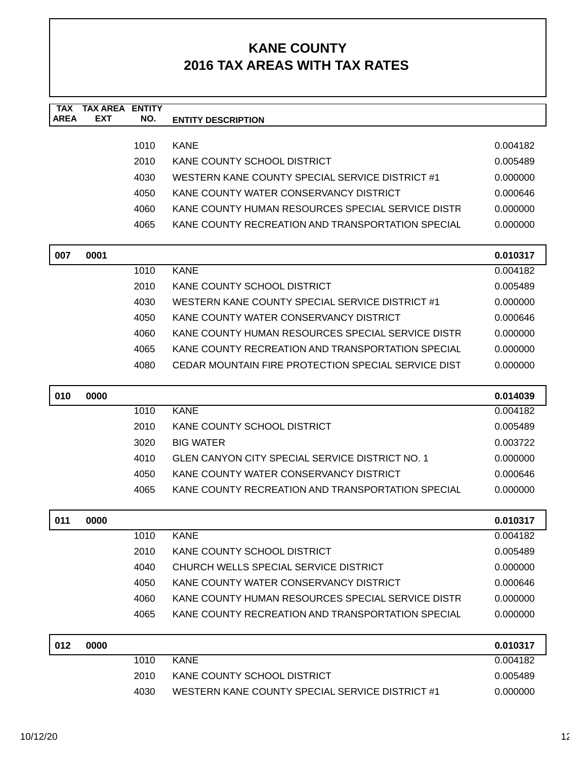| <b>TAX</b>  | <b>TAX AREA</b> | <b>ENTITY</b> |                                                        |          |
|-------------|-----------------|---------------|--------------------------------------------------------|----------|
| <b>AREA</b> | <b>EXT</b>      | NO.           | <b>ENTITY DESCRIPTION</b>                              |          |
|             |                 | 1010          | <b>KANE</b>                                            | 0.004182 |
|             |                 | 2010          | KANE COUNTY SCHOOL DISTRICT                            | 0.005489 |
|             |                 | 4030          | WESTERN KANE COUNTY SPECIAL SERVICE DISTRICT #1        | 0.000000 |
|             |                 | 4050          | KANE COUNTY WATER CONSERVANCY DISTRICT                 | 0.000646 |
|             |                 | 4060          | KANE COUNTY HUMAN RESOURCES SPECIAL SERVICE DISTR      | 0.000000 |
|             |                 | 4065          | KANE COUNTY RECREATION AND TRANSPORTATION SPECIAL      | 0.000000 |
|             |                 |               |                                                        |          |
| 007         | 0001            |               |                                                        | 0.010317 |
|             |                 | 1010          | <b>KANE</b>                                            | 0.004182 |
|             |                 | 2010          | KANE COUNTY SCHOOL DISTRICT                            | 0.005489 |
|             |                 | 4030          | WESTERN KANE COUNTY SPECIAL SERVICE DISTRICT #1        | 0.000000 |
|             |                 | 4050          | KANE COUNTY WATER CONSERVANCY DISTRICT                 | 0.000646 |
|             |                 | 4060          | KANE COUNTY HUMAN RESOURCES SPECIAL SERVICE DISTR      | 0.000000 |
|             |                 | 4065          | KANE COUNTY RECREATION AND TRANSPORTATION SPECIAL      | 0.000000 |
|             |                 | 4080          | CEDAR MOUNTAIN FIRE PROTECTION SPECIAL SERVICE DIST    | 0.000000 |
|             |                 |               |                                                        |          |
| 010         | 0000            |               |                                                        | 0.014039 |
|             |                 | 1010          | <b>KANE</b>                                            | 0.004182 |
|             |                 | 2010          | KANE COUNTY SCHOOL DISTRICT                            | 0.005489 |
|             |                 | 3020          | <b>BIG WATER</b>                                       | 0.003722 |
|             |                 | 4010          | <b>GLEN CANYON CITY SPECIAL SERVICE DISTRICT NO. 1</b> | 0.000000 |
|             |                 | 4050          | KANE COUNTY WATER CONSERVANCY DISTRICT                 | 0.000646 |
|             |                 | 4065          | KANE COUNTY RECREATION AND TRANSPORTATION SPECIAL      | 0.000000 |
| 011         | 0000            |               |                                                        | 0.010317 |
|             |                 | 1010          | <b>KANE</b>                                            | 0.004182 |
|             |                 | 2010          | KANE COUNTY SCHOOL DISTRICT                            | 0.005489 |
|             |                 | 4040          | CHURCH WELLS SPECIAL SERVICE DISTRICT                  | 0.000000 |
|             |                 | 4050          | KANE COUNTY WATER CONSERVANCY DISTRICT                 | 0.000646 |
|             |                 | 4060          | KANE COUNTY HUMAN RESOURCES SPECIAL SERVICE DISTR      | 0.000000 |
|             |                 | 4065          | KANE COUNTY RECREATION AND TRANSPORTATION SPECIAL      | 0.000000 |
| <b>012</b>  | nnnn            |               |                                                        | 0.010317 |

| 012 | 0000 |      |                                                 | 0.010317 |
|-----|------|------|-------------------------------------------------|----------|
|     |      | 1010 | KANE                                            | 0.004182 |
|     |      | 2010 | KANE COUNTY SCHOOL DISTRICT                     | 0.005489 |
|     |      | 4030 | WESTERN KANE COUNTY SPECIAL SERVICE DISTRICT #1 | 0.000000 |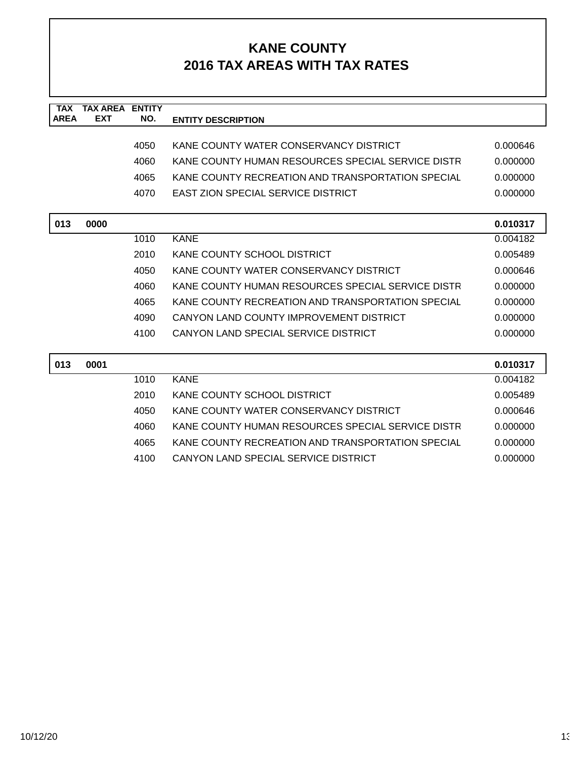| <b>TAX</b>  | <b>TAX AREA ENTITY</b> |      |                                                   |          |
|-------------|------------------------|------|---------------------------------------------------|----------|
| <b>AREA</b> | <b>EXT</b>             | NO.  | <b>ENTITY DESCRIPTION</b>                         |          |
|             |                        |      |                                                   |          |
|             |                        | 4050 | KANE COUNTY WATER CONSERVANCY DISTRICT            | 0.000646 |
|             |                        | 4060 | KANE COUNTY HUMAN RESOURCES SPECIAL SERVICE DISTR | 0.000000 |
|             |                        | 4065 | KANE COUNTY RECREATION AND TRANSPORTATION SPECIAL | 0.000000 |
|             |                        | 4070 | <b>EAST ZION SPECIAL SERVICE DISTRICT</b>         | 0.000000 |
|             |                        |      |                                                   |          |
| 013         | 0000                   |      |                                                   | 0.010317 |
|             |                        | 1010 | <b>KANE</b>                                       | 0.004182 |
|             |                        | 2010 | KANE COUNTY SCHOOL DISTRICT                       | 0.005489 |
|             |                        | 4050 | KANE COUNTY WATER CONSERVANCY DISTRICT            | 0.000646 |
|             |                        | 4060 | KANE COUNTY HUMAN RESOURCES SPECIAL SERVICE DISTR | 0.000000 |
|             |                        | 4065 | KANE COUNTY RECREATION AND TRANSPORTATION SPECIAL | 0.000000 |
|             |                        | 4090 | CANYON LAND COUNTY IMPROVEMENT DISTRICT           | 0.000000 |
|             |                        | 4100 | CANYON LAND SPECIAL SERVICE DISTRICT              | 0.000000 |
|             |                        |      |                                                   |          |
| 013         | 0001                   |      |                                                   | 0.010317 |
|             |                        | 1010 | <b>KANE</b>                                       | 0.004182 |
|             |                        | 2010 | KANE COUNTY SCHOOL DISTRICT                       | 0.005489 |
|             |                        | 4050 | KANE COUNTY WATER CONSERVANCY DISTRICT            | 0.000646 |
|             |                        | 4060 | KANE COUNTY HUMAN RESOURCES SPECIAL SERVICE DISTR | 0.000000 |
|             |                        | 4065 | KANE COUNTY RECREATION AND TRANSPORTATION SPECIAL | 0.000000 |
|             |                        | 4100 | CANYON LAND SPECIAL SERVICE DISTRICT              | 0.000000 |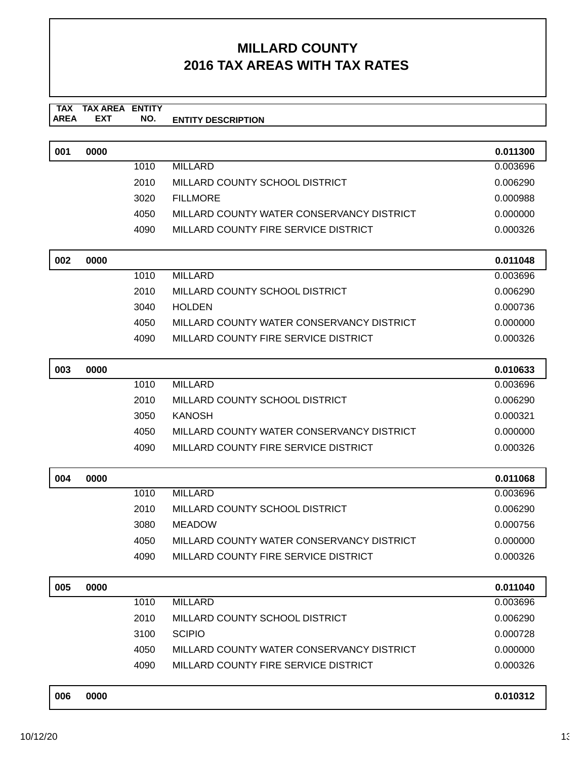#### **TAX AREA ENTITY DESCRIPTION TAX AREA EXT ENTITY NO.**

| 001 | 0000 |      |                                           | 0.011300 |
|-----|------|------|-------------------------------------------|----------|
|     |      | 1010 | <b>MILLARD</b>                            | 0.003696 |
|     |      | 2010 | MILLARD COUNTY SCHOOL DISTRICT            | 0.006290 |
|     |      | 3020 | <b>FILLMORE</b>                           | 0.000988 |
|     |      | 4050 | MILLARD COUNTY WATER CONSERVANCY DISTRICT | 0.000000 |
|     |      | 4090 | MILLARD COUNTY FIRE SERVICE DISTRICT      | 0.000326 |
|     |      |      |                                           |          |
| 002 | 0000 |      |                                           | 0.011048 |
|     |      | 1010 | <b>MILLARD</b>                            | 0.003696 |

| 2010  | MILLARD COUNTY SCHOOL DISTRICT            | 0.006290 |
|-------|-------------------------------------------|----------|
| 3040  | HOI DEN                                   | 0.000736 |
| 4050. | MILLARD COUNTY WATER CONSERVANCY DISTRICT | 0.000000 |
| 4090  | MILLARD COUNTY FIRE SERVICE DISTRICT      | 0.000326 |

| 003 | 0000 |      |                                           | 0.010633 |
|-----|------|------|-------------------------------------------|----------|
|     |      | 1010 | MILLARD                                   | 0.003696 |
|     |      | 2010 | MILLARD COUNTY SCHOOL DISTRICT            | 0.006290 |
|     |      | 3050 | KANOSH                                    | 0.000321 |
|     |      | 4050 | MILLARD COUNTY WATER CONSERVANCY DISTRICT | 0.000000 |
|     |      | 4090 | MILLARD COUNTY FIRE SERVICE DISTRICT      | 0.000326 |

| 004 | 0000 |      |                                           | 0.011068 |
|-----|------|------|-------------------------------------------|----------|
|     |      | 1010 | MILLARD                                   | 0.003696 |
|     |      | 2010 | MILLARD COUNTY SCHOOL DISTRICT            | 0.006290 |
|     |      | 3080 | MEADOW                                    | 0.000756 |
|     |      | 4050 | MILLARD COUNTY WATER CONSERVANCY DISTRICT | 0.000000 |
|     |      | 4090 | MILLARD COUNTY FIRE SERVICE DISTRICT      | 0.000326 |

| 005 | 0000 |      |                                           | 0.011040 |
|-----|------|------|-------------------------------------------|----------|
|     |      | 1010 | MILLARD                                   | 0.003696 |
|     |      | 2010 | MILLARD COUNTY SCHOOL DISTRICT            | 0.006290 |
|     |      | 3100 | <b>SCIPIO</b>                             | 0.000728 |
|     |      | 4050 | MILLARD COUNTY WATER CONSERVANCY DISTRICT | 0.000000 |
|     |      | 4090 | MILLARD COUNTY FIRE SERVICE DISTRICT      | 0.000326 |
|     |      |      |                                           |          |

|  | 006 | 0000 | 0.010312 |
|--|-----|------|----------|
|--|-----|------|----------|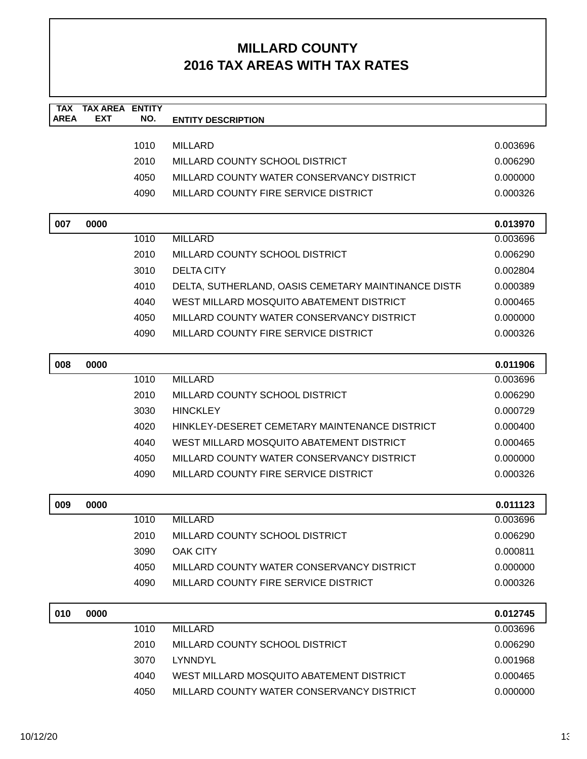| <b>TAX</b><br>AREA | <b>TAX AREA</b><br><b>EXT</b> | <b>ENTITY</b><br>NO. | <b>ENTITY DESCRIPTION</b>                           |                      |
|--------------------|-------------------------------|----------------------|-----------------------------------------------------|----------------------|
|                    |                               |                      |                                                     |                      |
|                    |                               | 1010                 | <b>MILLARD</b>                                      | 0.003696             |
|                    |                               | 2010                 | MILLARD COUNTY SCHOOL DISTRICT                      | 0.006290             |
|                    |                               | 4050                 | MILLARD COUNTY WATER CONSERVANCY DISTRICT           | 0.000000             |
|                    |                               | 4090                 | MILLARD COUNTY FIRE SERVICE DISTRICT                | 0.000326             |
| 007                | 0000                          |                      |                                                     | 0.013970             |
|                    |                               | 1010                 | <b>MILLARD</b>                                      | 0.003696             |
|                    |                               | 2010                 | MILLARD COUNTY SCHOOL DISTRICT                      | 0.006290             |
|                    |                               | 3010                 | <b>DELTA CITY</b>                                   | 0.002804             |
|                    |                               | 4010                 | DELTA, SUTHERLAND, OASIS CEMETARY MAINTINANCE DISTR | 0.000389             |
|                    |                               | 4040                 | WEST MILLARD MOSQUITO ABATEMENT DISTRICT            | 0.000465             |
|                    |                               | 4050                 | MILLARD COUNTY WATER CONSERVANCY DISTRICT           | 0.000000             |
|                    |                               | 4090                 | MILLARD COUNTY FIRE SERVICE DISTRICT                | 0.000326             |
| 008                | 0000                          |                      |                                                     | 0.011906             |
|                    |                               | 1010                 | <b>MILLARD</b>                                      | 0.003696             |
|                    |                               | 2010                 | MILLARD COUNTY SCHOOL DISTRICT                      | 0.006290             |
|                    |                               | 3030                 | <b>HINCKLEY</b>                                     | 0.000729             |
|                    |                               | 4020                 | HINKLEY-DESERET CEMETARY MAINTENANCE DISTRICT       | 0.000400             |
|                    |                               | 4040                 | WEST MILLARD MOSQUITO ABATEMENT DISTRICT            | 0.000465             |
|                    |                               | 4050                 | MILLARD COUNTY WATER CONSERVANCY DISTRICT           | 0.000000             |
|                    |                               | 4090                 | MILLARD COUNTY FIRE SERVICE DISTRICT                | 0.000326             |
| 009                |                               |                      |                                                     |                      |
|                    | 0000                          | 1010                 | <b>MILLARD</b>                                      | 0.011123<br>0.003696 |
|                    |                               | 2010                 | MILLARD COUNTY SCHOOL DISTRICT                      | 0.006290             |
|                    |                               | 3090                 | <b>OAK CITY</b>                                     | 0.000811             |
|                    |                               | 4050                 | MILLARD COUNTY WATER CONSERVANCY DISTRICT           | 0.000000             |
|                    |                               | 4090                 | MILLARD COUNTY FIRE SERVICE DISTRICT                | 0.000326             |
|                    |                               |                      |                                                     |                      |
| 010                | 0000                          |                      |                                                     | 0.012745             |
|                    |                               | 1010                 | <b>MILLARD</b>                                      | 0.003696             |
|                    |                               | 2010                 | MILLARD COUNTY SCHOOL DISTRICT                      | 0.006290             |
|                    |                               | 3070                 | LYNNDYL                                             | 0.001968             |
|                    |                               | 4040                 | WEST MILLARD MOSQUITO ABATEMENT DISTRICT            | 0.000465             |

4050 MILLARD COUNTY WATER CONSERVANCY DISTRICT 0.000000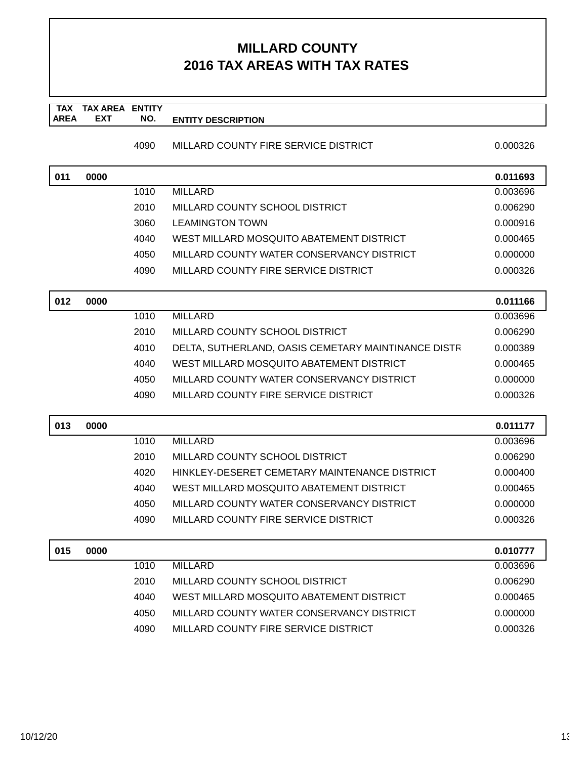**TAX TAX AREA ENTITY AREA ENTITY DESCRIPTION EXT NO.**

#### 4090 MILLARD COUNTY FIRE SERVICE DISTRICT 0.000326

| 011 | 0000 |              |                                                                                   | 0.011693             |
|-----|------|--------------|-----------------------------------------------------------------------------------|----------------------|
|     |      | 1010         | <b>MILLARD</b>                                                                    | 0.003696             |
|     |      | 2010         | MILLARD COUNTY SCHOOL DISTRICT                                                    | 0.006290             |
|     |      | 3060         | <b>LEAMINGTON TOWN</b>                                                            | 0.000916             |
|     |      | 4040         | WEST MILLARD MOSQUITO ABATEMENT DISTRICT                                          | 0.000465             |
|     |      | 4050         | MILLARD COUNTY WATER CONSERVANCY DISTRICT                                         | 0.000000             |
|     |      | 4090         | MILLARD COUNTY FIRE SERVICE DISTRICT                                              | 0.000326             |
| 012 | 0000 |              |                                                                                   | 0.011166             |
|     |      | 1010         | <b>MILLARD</b>                                                                    | 0.003696             |
|     |      | 2010         | MILLARD COUNTY SCHOOL DISTRICT                                                    | 0.006290             |
|     |      | 4010         | DELTA, SUTHERLAND, OASIS CEMETARY MAINTINANCE DISTR                               | 0.000389             |
|     |      | 4040         | WEST MILLARD MOSQUITO ABATEMENT DISTRICT                                          | 0.000465             |
|     |      | 4050         | MILLARD COUNTY WATER CONSERVANCY DISTRICT                                         | 0.000000             |
|     |      | 4090         | MILLARD COUNTY FIRE SERVICE DISTRICT                                              | 0.000326             |
|     |      |              |                                                                                   |                      |
| 013 | 0000 |              |                                                                                   | 0.011177             |
|     |      | 1010         | <b>MILLARD</b>                                                                    | 0.003696             |
|     |      |              | MILLARD COUNTY SCHOOL DISTRICT                                                    |                      |
|     |      | 2010         |                                                                                   | 0.006290             |
|     |      | 4020         | HINKLEY-DESERET CEMETARY MAINTENANCE DISTRICT                                     | 0.000400             |
|     |      | 4040         | WEST MILLARD MOSQUITO ABATEMENT DISTRICT                                          | 0.000465             |
|     |      | 4050         | MILLARD COUNTY WATER CONSERVANCY DISTRICT                                         | 0.000000             |
|     |      | 4090         | MILLARD COUNTY FIRE SERVICE DISTRICT                                              | 0.000326             |
|     |      |              |                                                                                   |                      |
| 015 | 0000 |              |                                                                                   | 0.010777             |
|     |      | 1010         | <b>MILLARD</b>                                                                    | 0.003696             |
|     |      | 2010         | MILLARD COUNTY SCHOOL DISTRICT                                                    | 0.006290             |
|     |      | 4040         | WEST MILLARD MOSQUITO ABATEMENT DISTRICT                                          | 0.000465             |
|     |      | 4050<br>4090 | MILLARD COUNTY WATER CONSERVANCY DISTRICT<br>MILLARD COUNTY FIRE SERVICE DISTRICT | 0.000000<br>0.000326 |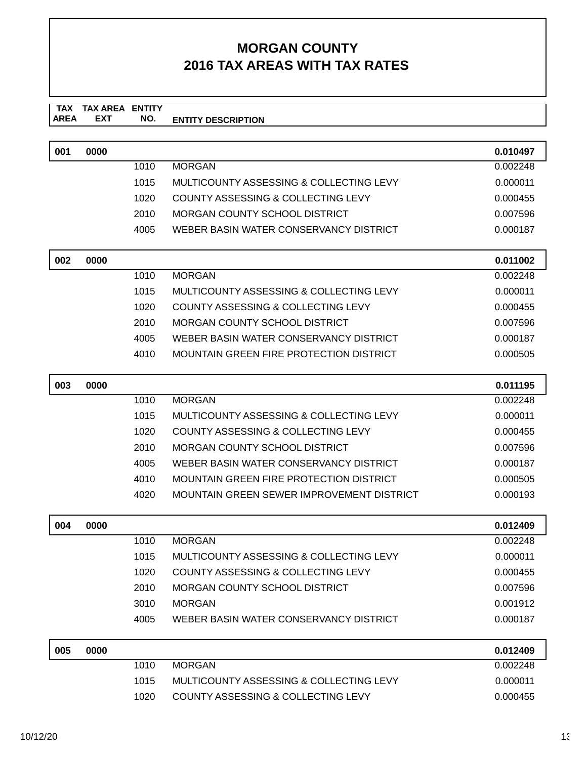#### **TAX TAX AREA ENTITY AREA ENTITY DESCRIPTION EXT NO.**

| 001 | 0000 |      |                                               | 0.010497 |
|-----|------|------|-----------------------------------------------|----------|
|     |      | 1010 | <b>MORGAN</b>                                 | 0.002248 |
|     |      | 1015 | MULTICOUNTY ASSESSING & COLLECTING LEVY       | 0.000011 |
|     |      | 1020 | COUNTY ASSESSING & COLLECTING LEVY            | 0.000455 |
|     |      | 2010 | MORGAN COUNTY SCHOOL DISTRICT                 | 0.007596 |
|     |      | 4005 | WEBER BASIN WATER CONSERVANCY DISTRICT        | 0.000187 |
| 002 | 0000 |      |                                               | 0.011002 |
|     |      | 1010 | <b>MORGAN</b>                                 | 0.002248 |
|     |      | 1015 | MULTICOUNTY ASSESSING & COLLECTING LEVY       | 0.000011 |
|     |      | 1020 | COUNTY ASSESSING & COLLECTING LEVY            | 0.000455 |
|     |      | 2010 | <b>MORGAN COUNTY SCHOOL DISTRICT</b>          | 0.007596 |
|     |      | 4005 | WEBER BASIN WATER CONSERVANCY DISTRICT        | 0.000187 |
|     |      | 4010 | MOUNTAIN GREEN FIRE PROTECTION DISTRICT       | 0.000505 |
| 003 | 0000 |      |                                               | 0.011195 |
|     |      |      |                                               |          |
|     |      | 1010 | <b>MORGAN</b>                                 | 0.002248 |
|     |      | 1015 | MULTICOUNTY ASSESSING & COLLECTING LEVY       | 0.000011 |
|     |      | 1020 | <b>COUNTY ASSESSING &amp; COLLECTING LEVY</b> | 0.000455 |
|     |      | 2010 | MORGAN COUNTY SCHOOL DISTRICT                 | 0.007596 |
|     |      | 4005 | WEBER BASIN WATER CONSERVANCY DISTRICT        | 0.000187 |
|     |      | 4010 | MOUNTAIN GREEN FIRE PROTECTION DISTRICT       | 0.000505 |
|     |      | 4020 | MOUNTAIN GREEN SEWER IMPROVEMENT DISTRICT     | 0.000193 |
| 004 | 0000 |      |                                               | 0.012409 |
|     |      | 1010 | <b>MORGAN</b>                                 | 0.002248 |
|     |      | 1015 | MULTICOUNTY ASSESSING & COLLECTING LEVY       | 0.000011 |
|     |      | 1020 | COUNTY ASSESSING & COLLECTING LEVY            | 0.000455 |
|     |      | 2010 | <b>MORGAN COUNTY SCHOOL DISTRICT</b>          | 0.007596 |
|     |      | 3010 | <b>MORGAN</b>                                 | 0.001912 |

| 005 | 0000 |      |                                         | 0.012409 |
|-----|------|------|-----------------------------------------|----------|
|     |      | 1010 | MORGAN                                  | 0.002248 |
|     |      | 1015 | MULTICOUNTY ASSESSING & COLLECTING LEVY | 0.000011 |
|     |      | 1020 | COUNTY ASSESSING & COLLECTING LEVY      | 0.000455 |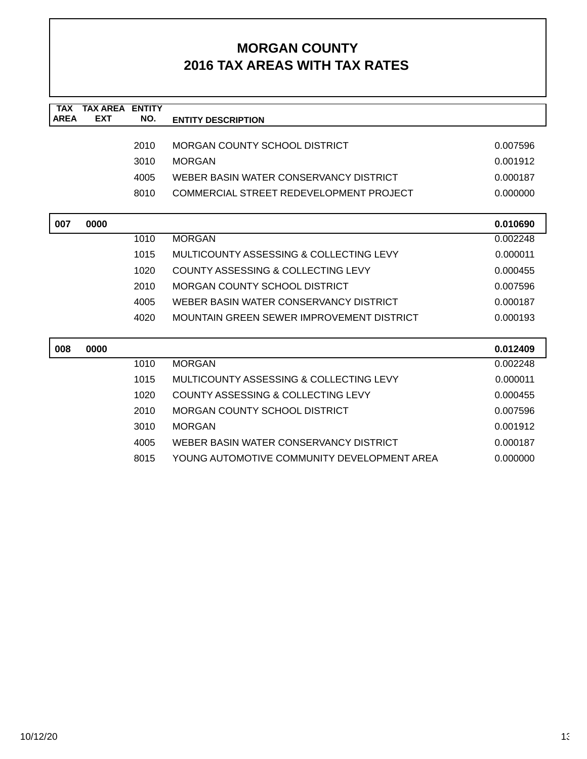| <b>TAX</b>  | <b>TAX AREA ENTITY</b> |      |                                                  |          |
|-------------|------------------------|------|--------------------------------------------------|----------|
| <b>AREA</b> | <b>EXT</b>             | NO.  | <b>ENTITY DESCRIPTION</b>                        |          |
|             |                        |      |                                                  |          |
|             |                        | 2010 | <b>MORGAN COUNTY SCHOOL DISTRICT</b>             | 0.007596 |
|             |                        | 3010 | <b>MORGAN</b>                                    | 0.001912 |
|             |                        | 4005 | WEBER BASIN WATER CONSERVANCY DISTRICT           | 0.000187 |
|             |                        | 8010 | COMMERCIAL STREET REDEVELOPMENT PROJECT          | 0.000000 |
|             |                        |      |                                                  |          |
| 007         | 0000                   |      |                                                  | 0.010690 |
|             |                        | 1010 | <b>MORGAN</b>                                    | 0.002248 |
|             |                        | 1015 | MULTICOUNTY ASSESSING & COLLECTING LEVY          | 0.000011 |
|             |                        | 1020 | COUNTY ASSESSING & COLLECTING LEVY               | 0.000455 |
|             |                        | 2010 | <b>MORGAN COUNTY SCHOOL DISTRICT</b>             | 0.007596 |
|             |                        | 4005 | WEBER BASIN WATER CONSERVANCY DISTRICT           | 0.000187 |
|             |                        | 4020 | <b>MOUNTAIN GREEN SEWER IMPROVEMENT DISTRICT</b> | 0.000193 |
|             |                        |      |                                                  |          |
| 008         | 0000                   |      |                                                  | 0.012409 |
|             |                        | 1010 | <b>MORGAN</b>                                    | 0.002248 |
|             |                        | 1015 | MULTICOUNTY ASSESSING & COLLECTING LEVY          | 0.000011 |
|             |                        | 1020 | COUNTY ASSESSING & COLLECTING LEVY               | 0.000455 |
|             |                        | 2010 | <b>MORGAN COUNTY SCHOOL DISTRICT</b>             | 0.007596 |
|             |                        | 3010 | <b>MORGAN</b>                                    | 0.001912 |
|             |                        | 4005 | WEBER BASIN WATER CONSERVANCY DISTRICT           | 0.000187 |
|             |                        | 8015 | YOUNG AUTOMOTIVE COMMUNITY DEVELOPMENT AREA      | 0.000000 |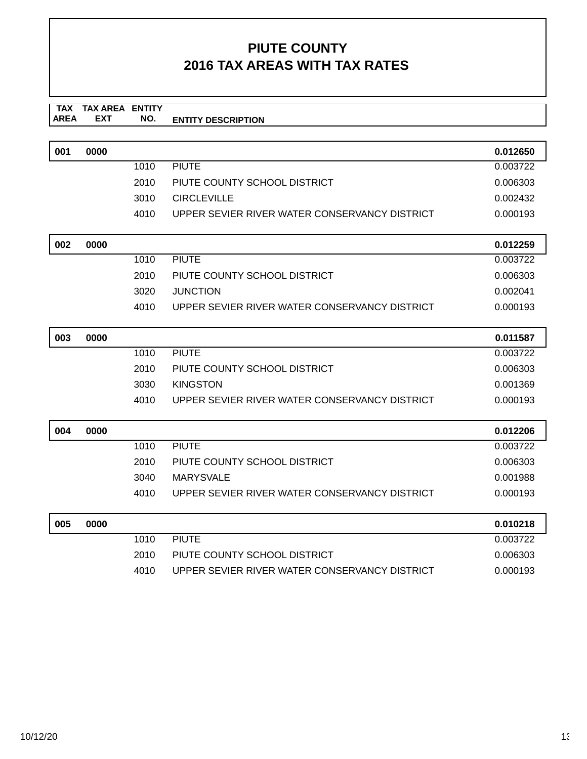| 001 | 0000 |      |                                               | 0.012650             |
|-----|------|------|-----------------------------------------------|----------------------|
|     |      | 1010 | <b>PIUTE</b>                                  | 0.003722             |
|     |      | 2010 | PIUTE COUNTY SCHOOL DISTRICT                  | 0.006303             |
|     |      | 3010 | <b>CIRCLEVILLE</b>                            | 0.002432             |
|     |      | 4010 | UPPER SEVIER RIVER WATER CONSERVANCY DISTRICT | 0.000193             |
|     |      |      |                                               |                      |
| 002 | 0000 |      |                                               | 0.012259             |
|     |      | 1010 | <b>PIUTE</b>                                  | 0.003722             |
|     |      | 2010 | PIUTE COUNTY SCHOOL DISTRICT                  | 0.006303             |
|     |      | 3020 | <b>JUNCTION</b>                               | 0.002041             |
|     |      | 4010 | UPPER SEVIER RIVER WATER CONSERVANCY DISTRICT | 0.000193             |
|     |      |      |                                               |                      |
| 003 | 0000 |      |                                               | 0.011587             |
|     |      | 1010 | <b>PIUTE</b>                                  | 0.003722             |
|     |      | 2010 | PIUTE COUNTY SCHOOL DISTRICT                  | 0.006303             |
|     |      | 3030 | <b>KINGSTON</b>                               | 0.001369             |
|     |      | 4010 | UPPER SEVIER RIVER WATER CONSERVANCY DISTRICT | 0.000193             |
|     |      |      |                                               |                      |
| 004 | 0000 |      |                                               | 0.012206             |
|     |      | 1010 | <b>PIUTE</b>                                  | 0.003722             |
|     |      | 2010 | PIUTE COUNTY SCHOOL DISTRICT                  | 0.006303             |
|     |      | 3040 | <b>MARYSVALE</b>                              | 0.001988             |
|     |      | 4010 | UPPER SEVIER RIVER WATER CONSERVANCY DISTRICT | 0.000193             |
| 005 |      |      |                                               |                      |
|     | 0000 | 1010 | <b>PIUTE</b>                                  | 0.010218<br>0.003722 |
|     |      | 2010 | PIUTE COUNTY SCHOOL DISTRICT                  |                      |
|     |      |      |                                               | 0.006303             |
|     |      | 4010 | UPPER SEVIER RIVER WATER CONSERVANCY DISTRICT | 0.000193             |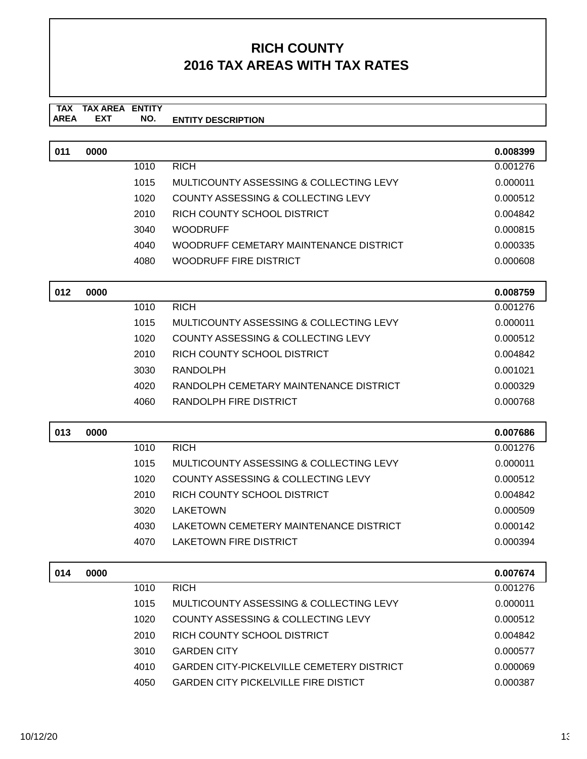| 011 | 0000 |      |                                                  | 0.008399 |
|-----|------|------|--------------------------------------------------|----------|
|     |      | 1010 | <b>RICH</b>                                      | 0.001276 |
|     |      | 1015 | MULTICOUNTY ASSESSING & COLLECTING LEVY          | 0.000011 |
|     |      | 1020 | <b>COUNTY ASSESSING &amp; COLLECTING LEVY</b>    | 0.000512 |
|     |      | 2010 | RICH COUNTY SCHOOL DISTRICT                      | 0.004842 |
|     |      | 3040 | <b>WOODRUFF</b>                                  | 0.000815 |
|     |      | 4040 | WOODRUFF CEMETARY MAINTENANCE DISTRICT           | 0.000335 |
|     |      | 4080 | WOODRUFF FIRE DISTRICT                           | 0.000608 |
| 012 | 0000 |      |                                                  | 0.008759 |
|     |      | 1010 | <b>RICH</b>                                      | 0.001276 |
|     |      | 1015 | MULTICOUNTY ASSESSING & COLLECTING LEVY          | 0.000011 |
|     |      | 1020 | <b>COUNTY ASSESSING &amp; COLLECTING LEVY</b>    | 0.000512 |
|     |      | 2010 | RICH COUNTY SCHOOL DISTRICT                      | 0.004842 |
|     |      | 3030 | <b>RANDOLPH</b>                                  | 0.001021 |
|     |      | 4020 | RANDOLPH CEMETARY MAINTENANCE DISTRICT           | 0.000329 |
|     |      | 4060 | RANDOLPH FIRE DISTRICT                           | 0.000768 |
|     |      |      |                                                  |          |
|     |      |      |                                                  |          |
| 013 | 0000 |      |                                                  | 0.007686 |
|     |      | 1010 | <b>RICH</b>                                      | 0.001276 |
|     |      | 1015 | MULTICOUNTY ASSESSING & COLLECTING LEVY          | 0.000011 |
|     |      | 1020 | COUNTY ASSESSING & COLLECTING LEVY               | 0.000512 |
|     |      | 2010 | RICH COUNTY SCHOOL DISTRICT                      | 0.004842 |
|     |      | 3020 | <b>LAKETOWN</b>                                  | 0.000509 |
|     |      | 4030 | LAKETOWN CEMETERY MAINTENANCE DISTRICT           | 0.000142 |
|     |      | 4070 | <b>LAKETOWN FIRE DISTRICT</b>                    | 0.000394 |
| 014 | 0000 |      |                                                  | 0.007674 |
|     |      | 1010 | <b>RICH</b>                                      | 0.001276 |
|     |      | 1015 | MULTICOUNTY ASSESSING & COLLECTING LEVY          | 0.000011 |
|     |      | 1020 | <b>COUNTY ASSESSING &amp; COLLECTING LEVY</b>    | 0.000512 |
|     |      | 2010 | RICH COUNTY SCHOOL DISTRICT                      | 0.004842 |
|     |      | 3010 | <b>GARDEN CITY</b>                               | 0.000577 |
|     |      | 4010 | <b>GARDEN CITY-PICKELVILLE CEMETERY DISTRICT</b> | 0.000069 |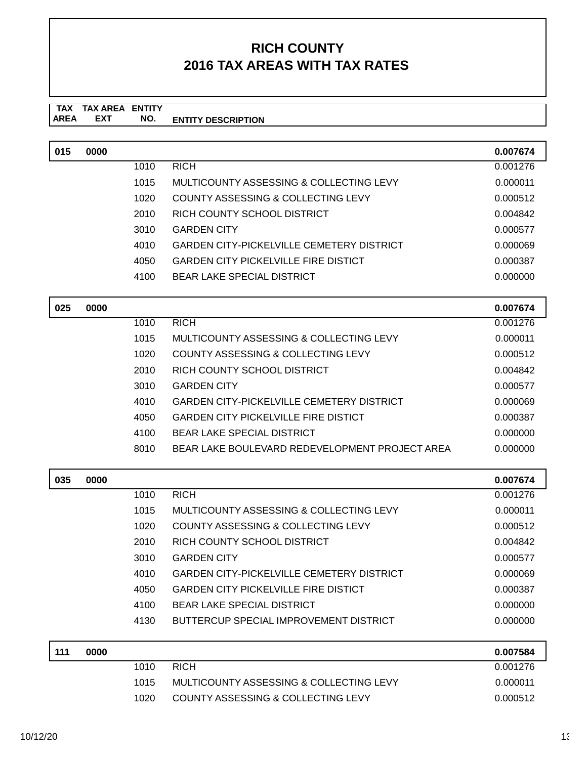| 015 | 0000 |      |                                                  | 0.007674 |
|-----|------|------|--------------------------------------------------|----------|
|     |      | 1010 | <b>RICH</b>                                      | 0.001276 |
|     |      | 1015 | MULTICOUNTY ASSESSING & COLLECTING LEVY          | 0.000011 |
|     |      | 1020 | COUNTY ASSESSING & COLLECTING LEVY               | 0.000512 |
|     |      | 2010 | RICH COUNTY SCHOOL DISTRICT                      | 0.004842 |
|     |      | 3010 | <b>GARDEN CITY</b>                               | 0.000577 |
|     |      | 4010 | <b>GARDEN CITY-PICKELVILLE CEMETERY DISTRICT</b> | 0.000069 |
|     |      | 4050 | <b>GARDEN CITY PICKELVILLE FIRE DISTICT</b>      | 0.000387 |
|     |      | 4100 | <b>BEAR LAKE SPECIAL DISTRICT</b>                | 0.000000 |
| 025 | 0000 |      |                                                  | 0.007674 |
|     |      | 1010 | <b>RICH</b>                                      | 0.001276 |
|     |      | 1015 | MULTICOUNTY ASSESSING & COLLECTING LEVY          | 0.000011 |
|     |      | 1020 | <b>COUNTY ASSESSING &amp; COLLECTING LEVY</b>    | 0.000512 |
|     |      | 2010 | RICH COUNTY SCHOOL DISTRICT                      | 0.004842 |
|     |      | 3010 | <b>GARDEN CITY</b>                               | 0.000577 |
|     |      | 4010 | <b>GARDEN CITY-PICKELVILLE CEMETERY DISTRICT</b> | 0.000069 |
|     |      |      | <b>GARDEN CITY PICKELVILLE FIRE DISTICT</b>      |          |
|     |      | 4050 |                                                  | 0.000387 |
|     |      | 4100 | <b>BEAR LAKE SPECIAL DISTRICT</b>                | 0.000000 |
|     |      | 8010 | BEAR LAKE BOULEVARD REDEVELOPMENT PROJECT AREA   | 0.000000 |
| 035 | 0000 |      |                                                  | 0.007674 |
|     |      | 1010 | <b>RICH</b>                                      | 0.001276 |
|     |      | 1015 | MULTICOUNTY ASSESSING & COLLECTING LEVY          | 0.000011 |
|     |      | 1020 | <b>COUNTY ASSESSING &amp; COLLECTING LEVY</b>    | 0.000512 |
|     |      | 2010 | RICH COUNTY SCHOOL DISTRICT                      | 0.004842 |
|     |      | 3010 | <b>GARDEN CITY</b>                               | 0.000577 |
|     |      | 4010 | <b>GARDEN CITY-PICKELVILLE CEMETERY DISTRICT</b> | 0.000069 |
|     |      | 4050 | <b>GARDEN CITY PICKELVILLE FIRE DISTICT</b>      | 0.000387 |
|     |      | 4100 | <b>BEAR LAKE SPECIAL DISTRICT</b>                | 0.000000 |
|     |      | 4130 | <b>BUTTERCUP SPECIAL IMPROVEMENT DISTRICT</b>    | 0.000000 |
| 111 | 0000 |      |                                                  | 0.007584 |
|     |      | 1010 | <b>RICH</b>                                      | 0.001276 |
|     |      | 1015 | MULTICOUNTY ASSESSING & COLLECTING LEVY          | 0.000011 |
|     |      | 1020 | COUNTY ASSESSING & COLLECTING LEVY               | 0.000512 |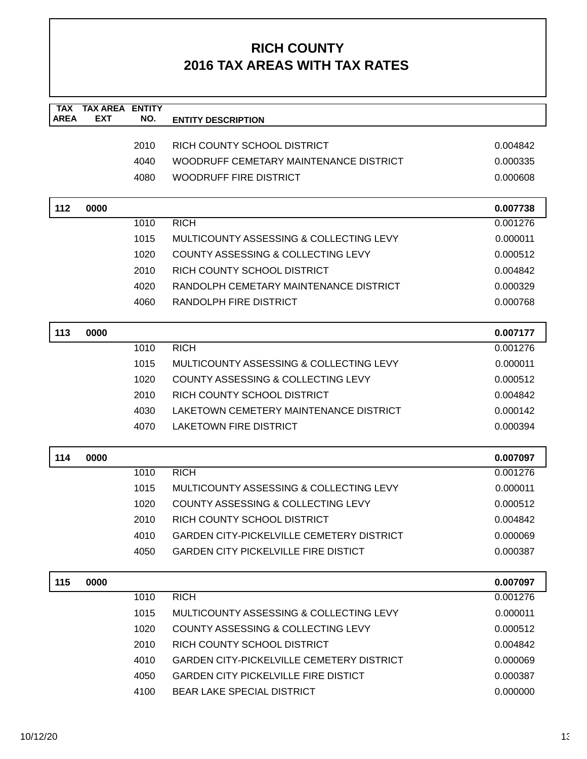| <b>TAX</b><br><b>AREA</b> | <b>TAX AREA</b><br><b>EXT</b> | <b>ENTITY</b><br>NO. | <b>ENTITY DESCRIPTION</b>                        |          |
|---------------------------|-------------------------------|----------------------|--------------------------------------------------|----------|
|                           |                               |                      |                                                  |          |
|                           |                               | 2010                 | RICH COUNTY SCHOOL DISTRICT                      | 0.004842 |
|                           |                               | 4040                 | WOODRUFF CEMETARY MAINTENANCE DISTRICT           | 0.000335 |
|                           |                               | 4080                 | <b>WOODRUFF FIRE DISTRICT</b>                    | 0.000608 |
|                           |                               |                      |                                                  |          |
| 112                       | 0000                          |                      |                                                  | 0.007738 |
|                           |                               | 1010                 | <b>RICH</b>                                      | 0.001276 |
|                           |                               | 1015                 | MULTICOUNTY ASSESSING & COLLECTING LEVY          | 0.000011 |
|                           |                               | 1020                 | <b>COUNTY ASSESSING &amp; COLLECTING LEVY</b>    | 0.000512 |
|                           |                               | 2010                 | RICH COUNTY SCHOOL DISTRICT                      | 0.004842 |
|                           |                               | 4020                 | RANDOLPH CEMETARY MAINTENANCE DISTRICT           | 0.000329 |
|                           |                               | 4060                 | RANDOLPH FIRE DISTRICT                           | 0.000768 |
|                           |                               |                      |                                                  |          |
| 113                       | 0000                          |                      | <b>RICH</b>                                      | 0.007177 |
|                           |                               | 1010                 |                                                  | 0.001276 |
|                           |                               | 1015                 | MULTICOUNTY ASSESSING & COLLECTING LEVY          | 0.000011 |
|                           |                               | 1020                 | COUNTY ASSESSING & COLLECTING LEVY               | 0.000512 |
|                           |                               | 2010                 | RICH COUNTY SCHOOL DISTRICT                      | 0.004842 |
|                           |                               | 4030                 | LAKETOWN CEMETERY MAINTENANCE DISTRICT           | 0.000142 |
|                           |                               | 4070                 | <b>LAKETOWN FIRE DISTRICT</b>                    | 0.000394 |
| 114                       | 0000                          |                      |                                                  | 0.007097 |
|                           |                               | 1010                 | <b>RICH</b>                                      | 0.001276 |
|                           |                               | 1015                 | MULTICOUNTY ASSESSING & COLLECTING LEVY          | 0.000011 |
|                           |                               | 1020                 | COUNTY ASSESSING & COLLECTING LEVY               | 0.000512 |
|                           |                               | 2010                 | RICH COUNTY SCHOOL DISTRICT                      | 0.004842 |
|                           |                               | 4010                 | <b>GARDEN CITY-PICKELVILLE CEMETERY DISTRICT</b> | 0.000069 |
|                           |                               | 4050                 | <b>GARDEN CITY PICKELVILLE FIRE DISTICT</b>      | 0.000387 |
| 115                       | 0000                          |                      |                                                  | 0.007097 |
|                           |                               | 1010                 | <b>RICH</b>                                      | 0.001276 |
|                           |                               | 1015                 | MULTICOUNTY ASSESSING & COLLECTING LEVY          | 0.000011 |
|                           |                               | 1020                 | COUNTY ASSESSING & COLLECTING LEVY               | 0.000512 |
|                           |                               | 2010                 | RICH COUNTY SCHOOL DISTRICT                      | 0.004842 |
|                           |                               | 4010                 | <b>GARDEN CITY-PICKELVILLE CEMETERY DISTRICT</b> | 0.000069 |
|                           |                               | 4050                 | <b>GARDEN CITY PICKELVILLE FIRE DISTICT</b>      | 0.000387 |
|                           |                               | 4100                 | BEAR LAKE SPECIAL DISTRICT                       | 0.000000 |
|                           |                               |                      |                                                  |          |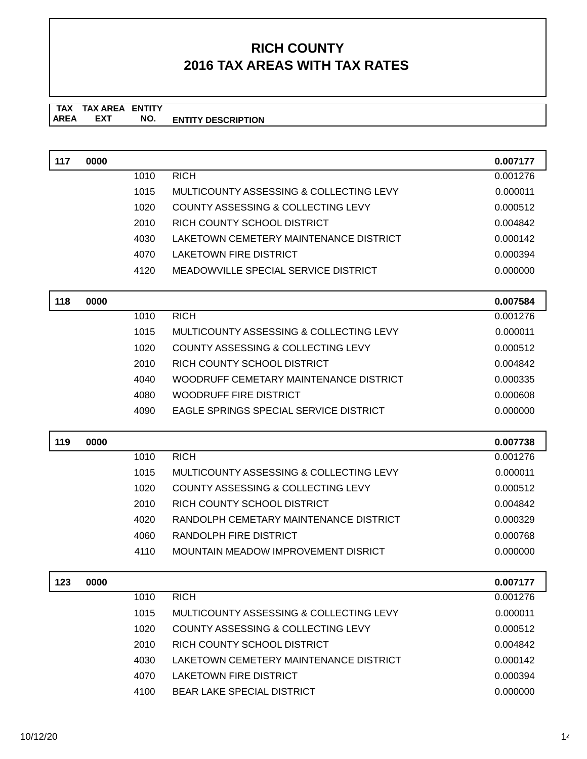| 117 | 0000 |      |                                             | 0.007177             |
|-----|------|------|---------------------------------------------|----------------------|
|     |      | 1010 | <b>RICH</b>                                 | 0.001276             |
|     |      | 1015 | MULTICOUNTY ASSESSING & COLLECTING LEVY     | 0.000011             |
|     |      | 1020 | COUNTY ASSESSING & COLLECTING LEVY          | 0.000512             |
|     |      | 2010 | RICH COUNTY SCHOOL DISTRICT                 | 0.004842             |
|     |      | 4030 | LAKETOWN CEMETERY MAINTENANCE DISTRICT      | 0.000142             |
|     |      | 4070 | <b>LAKETOWN FIRE DISTRICT</b>               | 0.000394             |
|     |      | 4120 | <b>MEADOWVILLE SPECIAL SERVICE DISTRICT</b> | 0.000000             |
| 118 | 0000 |      |                                             | 0.007584             |
|     |      | 1010 | <b>RICH</b>                                 | 0.001276             |
|     |      | 1015 | MULTICOUNTY ASSESSING & COLLECTING LEVY     | 0.000011             |
|     |      | 1020 | COUNTY ASSESSING & COLLECTING LEVY          | 0.000512             |
|     |      | 2010 | RICH COUNTY SCHOOL DISTRICT                 | 0.004842             |
|     |      | 4040 | WOODRUFF CEMETARY MAINTENANCE DISTRICT      | 0.000335             |
|     |      | 4080 | WOODRUFF FIRE DISTRICT                      | 0.000608             |
|     |      | 4090 | EAGLE SPRINGS SPECIAL SERVICE DISTRICT      | 0.000000             |
|     |      |      |                                             |                      |
|     |      |      |                                             |                      |
| 119 | 0000 | 1010 | <b>RICH</b>                                 | 0.007738<br>0.001276 |
|     |      | 1015 | MULTICOUNTY ASSESSING & COLLECTING LEVY     | 0.000011             |
|     |      | 1020 | COUNTY ASSESSING & COLLECTING LEVY          | 0.000512             |
|     |      | 2010 | RICH COUNTY SCHOOL DISTRICT                 | 0.004842             |
|     |      | 4020 | RANDOLPH CEMETARY MAINTENANCE DISTRICT      | 0.000329             |
|     |      | 4060 | <b>RANDOLPH FIRE DISTRICT</b>               | 0.000768             |
|     |      | 4110 | <b>MOUNTAIN MEADOW IMPROVEMENT DISRICT</b>  | 0.000000             |
| 123 | 0000 |      |                                             | 0.007177             |
|     |      | 1010 | <b>RICH</b>                                 | 0.001276             |
|     |      | 1015 | MULTICOUNTY ASSESSING & COLLECTING LEVY     | 0.000011             |
|     |      | 1020 | COUNTY ASSESSING & COLLECTING LEVY          | 0.000512             |
|     |      | 2010 | RICH COUNTY SCHOOL DISTRICT                 | 0.004842             |
|     |      | 4030 | LAKETOWN CEMETERY MAINTENANCE DISTRICT      | 0.000142             |
|     |      | 4070 | LAKETOWN FIRE DISTRICT                      | 0.000394             |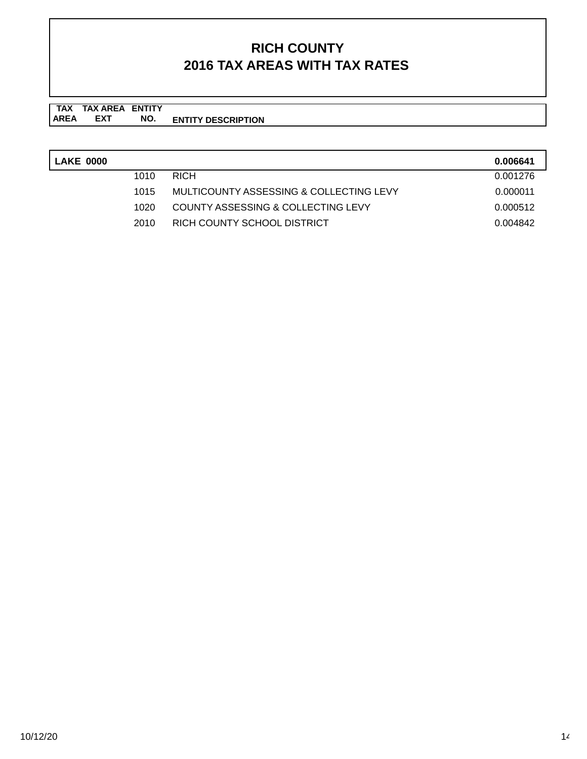| <b>LAKE 0000</b> |      |                                         | 0.006641 |
|------------------|------|-----------------------------------------|----------|
|                  | 1010 | <b>RICH</b>                             | 0.001276 |
|                  | 1015 | MULTICOUNTY ASSESSING & COLLECTING LEVY | 0.000011 |
|                  | 1020 | COUNTY ASSESSING & COLLECTING LEVY      | 0.000512 |
|                  | 2010 | RICH COUNTY SCHOOL DISTRICT             | 0.004842 |
|                  |      |                                         |          |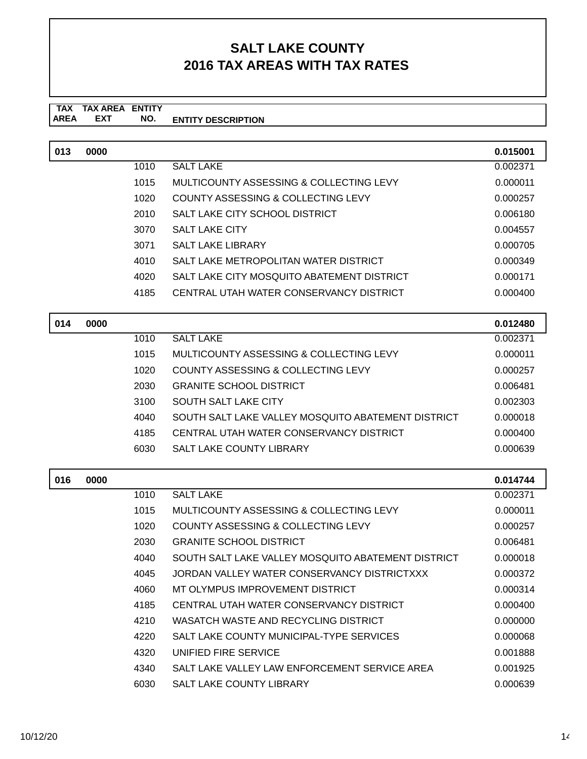#### **SALT LAKE COUNTY 2016 TAX AREAS WITH TAX RATES**

#### **TAX TAX AREA ENTITY AREA ENTITY DESCRIPTION EXT NO.**

| 013 | 0000 |            |                                                    | 0.015001 |
|-----|------|------------|----------------------------------------------------|----------|
|     |      | 1010       | <b>SALT LAKE</b>                                   | 0.002371 |
|     |      | 1015       | MULTICOUNTY ASSESSING & COLLECTING LEVY            | 0.000011 |
|     |      | 1020       | COUNTY ASSESSING & COLLECTING LEVY                 | 0.000257 |
|     |      | 2010       | SALT LAKE CITY SCHOOL DISTRICT                     | 0.006180 |
|     |      | 3070       | <b>SALT LAKE CITY</b>                              | 0.004557 |
|     |      | 3071       | <b>SALT LAKE LIBRARY</b>                           | 0.000705 |
|     |      | 4010       | SALT LAKE METROPOLITAN WATER DISTRICT              | 0.000349 |
|     |      | 4020       | SALT LAKE CITY MOSQUITO ABATEMENT DISTRICT         | 0.000171 |
|     |      | 4185       | CENTRAL UTAH WATER CONSERVANCY DISTRICT            | 0.000400 |
|     |      |            |                                                    |          |
| 014 | 0000 |            |                                                    | 0.012480 |
|     |      | 1010       | <b>SALT LAKE</b>                                   | 0.002371 |
|     |      | 1015       | MULTICOUNTY ASSESSING & COLLECTING LEVY            | 0.000011 |
|     |      | 1020       | COUNTY ASSESSING & COLLECTING LEVY                 | 0.000257 |
|     |      | 2030       | <b>GRANITE SCHOOL DISTRICT</b>                     | 0.006481 |
|     |      | 3100       | SOUTH SALT LAKE CITY                               | 0.002303 |
|     |      | 4040       | SOUTH SALT LAKE VALLEY MOSQUITO ABATEMENT DISTRICT | 0.000018 |
|     |      | 4185       | CENTRAL UTAH WATER CONSERVANCY DISTRICT            | 0.000400 |
|     |      | 6030       | SALT LAKE COUNTY LIBRARY                           | 0.000639 |
|     |      |            |                                                    |          |
| 016 | 0000 |            |                                                    | 0.014744 |
|     |      | 1010       | <b>SALT LAKE</b>                                   | 0.002371 |
|     |      | 1015       | MULTICOUNTY ASSESSING & COLLECTING LEVY            | 0.000011 |
|     |      | 1020       | COUNTY ASSESSING & COLLECTING LEVY                 | 0.000257 |
|     |      | 2030       | <b>GRANITE SCHOOL DISTRICT</b>                     | 0.006481 |
|     |      | 4040       | SOUTH SALT LAKE VALLEY MOSQUITO ABATEMENT DISTRICT | 0.000018 |
|     |      | 4045       | JORDAN VALLEY WATER CONSERVANCY DISTRICTXXX        | 0.000372 |
|     |      | 4060       | MT OLYMPUS IMPROVEMENT DISTRICT                    | 0.000314 |
|     |      | 4185       | CENTRAL UTAH WATER CONSERVANCY DISTRICT            | 0.000400 |
|     |      | $\sqrt{2}$ | WARATOLIWARTE AND DEOVOLING DICTDICT               | 0.00000  |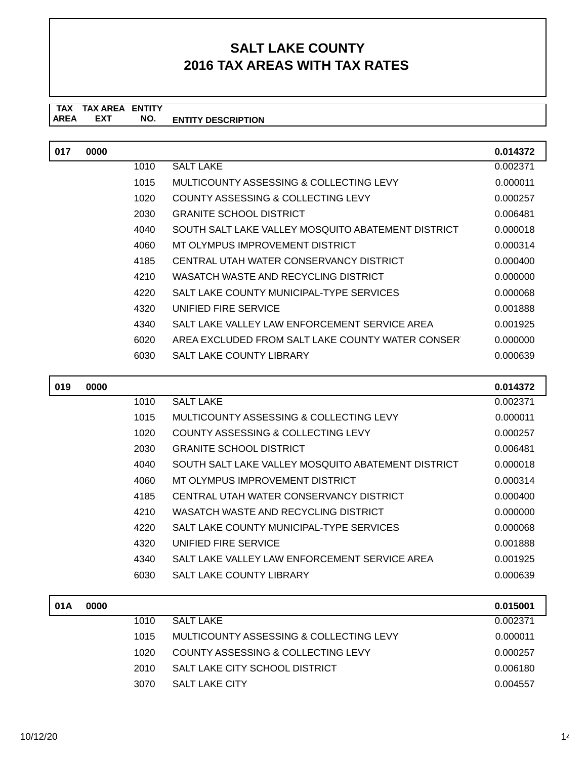# **SALT LAKE COUNTY 2016 TAX AREAS WITH TAX RATES**

#### **TAX AREA ENTITY DESCRIPTION TAX AREA EXT ENTITY NO.**

| 017 | 0000 |      |                                                    | 0.014372 |
|-----|------|------|----------------------------------------------------|----------|
|     |      | 1010 | <b>SALT LAKE</b>                                   | 0.002371 |
|     |      | 1015 | MULTICOUNTY ASSESSING & COLLECTING LEVY            | 0.000011 |
|     |      | 1020 | COUNTY ASSESSING & COLLECTING LEVY                 | 0.000257 |
|     |      | 2030 | <b>GRANITE SCHOOL DISTRICT</b>                     | 0.006481 |
|     |      | 4040 | SOUTH SALT LAKE VALLEY MOSQUITO ABATEMENT DISTRICT | 0.000018 |
|     |      | 4060 | MT OLYMPUS IMPROVEMENT DISTRICT                    | 0.000314 |
|     |      | 4185 | CENTRAL UTAH WATER CONSERVANCY DISTRICT            | 0.000400 |
|     |      | 4210 | WASATCH WASTE AND RECYCLING DISTRICT               | 0.000000 |
|     |      | 4220 | SALT LAKE COUNTY MUNICIPAL-TYPE SERVICES           | 0.000068 |
|     |      | 4320 | UNIFIED FIRE SERVICE                               | 0.001888 |
|     |      | 4340 | SALT LAKE VALLEY LAW ENFORCEMENT SERVICE AREA      | 0.001925 |
|     |      | 6020 | AREA EXCLUDED FROM SALT LAKE COUNTY WATER CONSER   | 0.000000 |
|     |      | 6030 | <b>SALT LAKE COUNTY LIBRARY</b>                    | 0.000639 |
|     |      |      |                                                    |          |

| 019 | 0000 |      |                                                    | 0.014372 |
|-----|------|------|----------------------------------------------------|----------|
|     |      | 1010 | <b>SALT LAKE</b>                                   | 0.002371 |
|     |      | 1015 | MULTICOUNTY ASSESSING & COLLECTING LEVY            | 0.000011 |
|     |      | 1020 | COUNTY ASSESSING & COLLECTING LEVY                 | 0.000257 |
|     |      | 2030 | <b>GRANITE SCHOOL DISTRICT</b>                     | 0.006481 |
|     |      | 4040 | SOUTH SALT LAKE VALLEY MOSQUITO ABATEMENT DISTRICT | 0.000018 |
|     |      | 4060 | MT OLYMPUS IMPROVEMENT DISTRICT                    | 0.000314 |
|     |      | 4185 | CENTRAL UTAH WATER CONSERVANCY DISTRICT            | 0.000400 |
|     |      | 4210 | WASATCH WASTE AND RECYCLING DISTRICT               | 0.000000 |
|     |      | 4220 | SALT LAKE COUNTY MUNICIPAL-TYPE SERVICES           | 0.000068 |
|     |      | 4320 | UNIFIED FIRE SERVICE                               | 0.001888 |
|     |      | 4340 | SALT LAKE VALLEY LAW ENFORCEMENT SERVICE AREA      | 0.001925 |
|     |      | 6030 | <b>SALT LAKE COUNTY LIBRARY</b>                    | 0.000639 |
|     |      |      |                                                    |          |

| 01A | 0000 |      |                                         | 0.015001 |
|-----|------|------|-----------------------------------------|----------|
|     |      | 1010 | <b>SALT LAKE</b>                        | 0.002371 |
|     |      | 1015 | MULTICOUNTY ASSESSING & COLLECTING LEVY | 0.000011 |
|     |      | 1020 | COUNTY ASSESSING & COLLECTING LEVY      | 0.000257 |
|     |      | 2010 | SALT LAKE CITY SCHOOL DISTRICT          | 0.006180 |
|     |      | 3070 | SALT LAKE CITY                          | 0.004557 |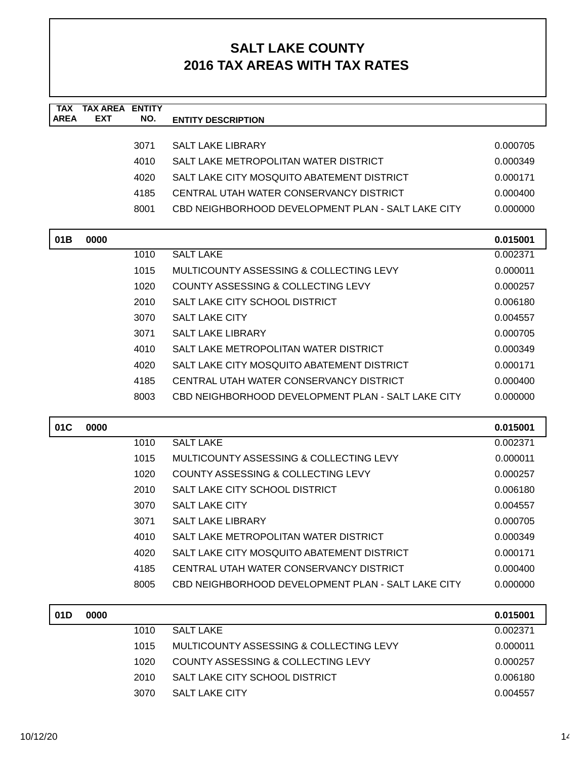### **SALT LAKE COUNTY 2016 TAX AREAS WITH TAX RATES**

| <b>TAX</b><br><b>AREA</b> | <b>TAX AREA ENTITY</b><br>EXT | NO.  | <b>ENTITY DESCRIPTION</b>                          |          |
|---------------------------|-------------------------------|------|----------------------------------------------------|----------|
|                           |                               |      |                                                    |          |
|                           |                               | 3071 | <b>SALT LAKE LIBRARY</b>                           | 0.000705 |
|                           |                               | 4010 | SALT LAKE METROPOLITAN WATER DISTRICT              | 0.000349 |
|                           |                               | 4020 | SALT LAKE CITY MOSQUITO ABATEMENT DISTRICT         | 0.000171 |
|                           |                               | 4185 | CENTRAL UTAH WATER CONSERVANCY DISTRICT            | 0.000400 |
|                           |                               | 8001 | CBD NEIGHBORHOOD DEVELOPMENT PLAN - SALT LAKE CITY | 0.000000 |
| 01B                       | 0000                          |      |                                                    | 0.015001 |
|                           |                               | 1010 | <b>SALT LAKE</b>                                   | 0.002371 |
|                           |                               | 1015 | MULTICOUNTY ASSESSING & COLLECTING LEVY            | 0.000011 |
|                           |                               | 1020 | COUNTY ASSESSING & COLLECTING LEVY                 | 0.000257 |
|                           |                               | 2010 | SALT LAKE CITY SCHOOL DISTRICT                     | 0.006180 |
|                           |                               | 3070 | <b>SALT LAKE CITY</b>                              | 0.004557 |
|                           |                               | 3071 | <b>SALT LAKE LIBRARY</b>                           | 0.000705 |
|                           |                               | 4010 | SALT LAKE METROPOLITAN WATER DISTRICT              | 0.000349 |
|                           |                               | 4020 | SALT LAKE CITY MOSQUITO ABATEMENT DISTRICT         | 0.000171 |
|                           |                               | 4185 | CENTRAL UTAH WATER CONSERVANCY DISTRICT            | 0.000400 |
|                           |                               | 8003 | CBD NEIGHBORHOOD DEVELOPMENT PLAN - SALT LAKE CITY | 0.000000 |
| 01C                       | 0000                          |      |                                                    | 0.015001 |
|                           |                               | 1010 | <b>SALT LAKE</b>                                   | 0.002371 |
|                           |                               | 1015 | MULTICOUNTY ASSESSING & COLLECTING LEVY            | 0.000011 |
|                           |                               | 1020 | COUNTY ASSESSING & COLLECTING LEVY                 | 0.000257 |
|                           |                               | 2010 | SALT LAKE CITY SCHOOL DISTRICT                     | 0.006180 |
|                           |                               | 3070 | <b>SALT LAKE CITY</b>                              | 0.004557 |
|                           |                               | 3071 | <b>SALT LAKE LIBRARY</b>                           | 0.000705 |
|                           |                               | 4010 | SALT LAKE METROPOLITAN WATER DISTRICT              | 0.000349 |
|                           |                               | 4020 | SALT LAKE CITY MOSQUITO ABATEMENT DISTRICT         | 0.000171 |
|                           |                               | 4185 | CENTRAL UTAH WATER CONSERVANCY DISTRICT            | 0.000400 |
|                           |                               | 8005 | CBD NEIGHBORHOOD DEVELOPMENT PLAN - SALT LAKE CITY | 0.000000 |
|                           |                               |      |                                                    |          |
| 01D                       | 0000                          |      |                                                    | 0.015001 |
|                           |                               | 1010 | <b>SALT LAKE</b>                                   | 0.002371 |
|                           |                               | 1015 | MULTICOUNTY ASSESSING & COLLECTING LEVY            | 0.000011 |
|                           |                               | 1020 | COUNTY ASSESSING & COLLECTING LEVY                 | 0.000257 |
|                           |                               | 2010 | SALT LAKE CITY SCHOOL DISTRICT                     | 0.006180 |
|                           |                               | 3070 | SALT LAKE CITY                                     | 0.004557 |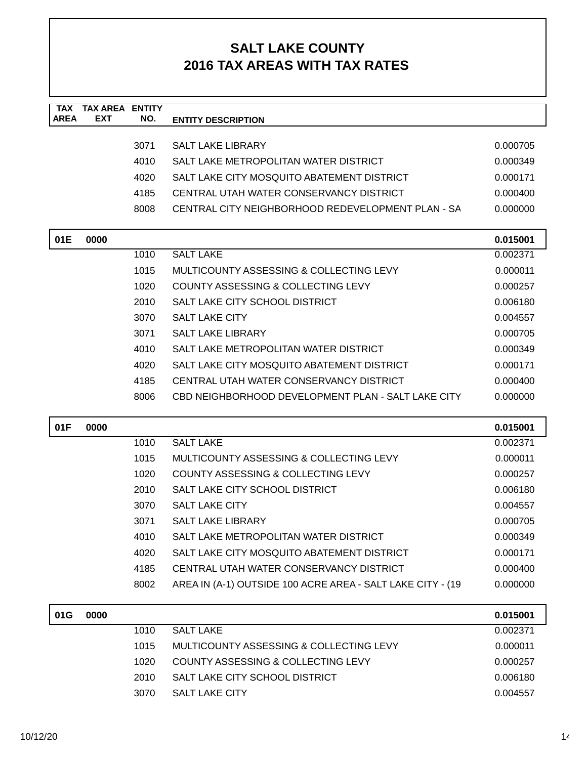| <b>TAX</b><br><b>AREA</b> | <b>TAX AREA ENTITY</b><br>EXT | NO.  | <b>ENTITY DESCRIPTION</b>                                  |          |
|---------------------------|-------------------------------|------|------------------------------------------------------------|----------|
|                           |                               |      |                                                            |          |
|                           |                               | 3071 | <b>SALT LAKE LIBRARY</b>                                   | 0.000705 |
|                           |                               | 4010 | SALT LAKE METROPOLITAN WATER DISTRICT                      | 0.000349 |
|                           |                               | 4020 | SALT LAKE CITY MOSQUITO ABATEMENT DISTRICT                 | 0.000171 |
|                           |                               | 4185 | CENTRAL UTAH WATER CONSERVANCY DISTRICT                    | 0.000400 |
|                           |                               | 8008 | CENTRAL CITY NEIGHBORHOOD REDEVELOPMENT PLAN - SA          | 0.000000 |
| 01E                       | 0000                          |      |                                                            | 0.015001 |
|                           |                               | 1010 | <b>SALT LAKE</b>                                           | 0.002371 |
|                           |                               | 1015 | MULTICOUNTY ASSESSING & COLLECTING LEVY                    | 0.000011 |
|                           |                               | 1020 | COUNTY ASSESSING & COLLECTING LEVY                         | 0.000257 |
|                           |                               | 2010 | SALT LAKE CITY SCHOOL DISTRICT                             | 0.006180 |
|                           |                               | 3070 | <b>SALT LAKE CITY</b>                                      | 0.004557 |
|                           |                               | 3071 | <b>SALT LAKE LIBRARY</b>                                   | 0.000705 |
|                           |                               | 4010 | SALT LAKE METROPOLITAN WATER DISTRICT                      | 0.000349 |
|                           |                               | 4020 | SALT LAKE CITY MOSQUITO ABATEMENT DISTRICT                 | 0.000171 |
|                           |                               | 4185 | CENTRAL UTAH WATER CONSERVANCY DISTRICT                    | 0.000400 |
|                           |                               | 8006 | CBD NEIGHBORHOOD DEVELOPMENT PLAN - SALT LAKE CITY         | 0.000000 |
| 01F                       | 0000                          |      |                                                            | 0.015001 |
|                           |                               | 1010 | <b>SALT LAKE</b>                                           | 0.002371 |
|                           |                               | 1015 | MULTICOUNTY ASSESSING & COLLECTING LEVY                    | 0.000011 |
|                           |                               | 1020 | COUNTY ASSESSING & COLLECTING LEVY                         | 0.000257 |
|                           |                               | 2010 | SALT LAKE CITY SCHOOL DISTRICT                             | 0.006180 |
|                           |                               | 3070 | <b>SALT LAKE CITY</b>                                      | 0.004557 |
|                           |                               | 3071 | <b>SALT LAKE LIBRARY</b>                                   | 0.000705 |
|                           |                               | 4010 | SALT LAKE METROPOLITAN WATER DISTRICT                      | 0.000349 |
|                           |                               | 4020 | SALT LAKE CITY MOSQUITO ABATEMENT DISTRICT                 | 0.000171 |
|                           |                               | 4185 | CENTRAL UTAH WATER CONSERVANCY DISTRICT                    | 0.000400 |
|                           |                               | 8002 | AREA IN (A-1) OUTSIDE 100 ACRE AREA - SALT LAKE CITY - (19 | 0.000000 |
| 01G                       | 0000                          |      |                                                            | 0.015001 |
|                           |                               | 1010 | <b>SALT LAKE</b>                                           | 0.002371 |
|                           |                               | 1015 | MULTICOUNTY ASSESSING & COLLECTING LEVY                    | 0.000011 |
|                           |                               | 1020 | COUNTY ASSESSING & COLLECTING LEVY                         | 0.000257 |
|                           |                               | 2010 | SALT LAKE CITY SCHOOL DISTRICT                             | 0.006180 |
|                           |                               | 3070 | SALT LAKE CITY                                             | 0.004557 |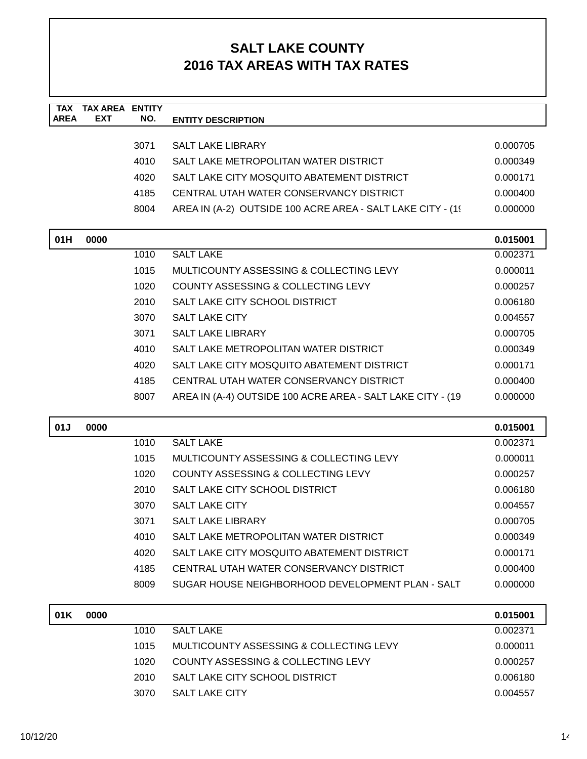| <b>TAX</b><br><b>AREA</b> | <b>TAX AREA ENTITY</b><br><b>EXT</b> | NO.  | <b>ENTITY DESCRIPTION</b>                                   |                      |
|---------------------------|--------------------------------------|------|-------------------------------------------------------------|----------------------|
|                           |                                      |      |                                                             |                      |
|                           |                                      | 3071 | <b>SALT LAKE LIBRARY</b>                                    | 0.000705             |
|                           |                                      | 4010 | SALT LAKE METROPOLITAN WATER DISTRICT                       | 0.000349             |
|                           |                                      | 4020 | SALT LAKE CITY MOSQUITO ABATEMENT DISTRICT                  | 0.000171             |
|                           |                                      | 4185 | CENTRAL UTAH WATER CONSERVANCY DISTRICT                     | 0.000400             |
|                           |                                      | 8004 | AREA IN (A-2) OUTSIDE 100 ACRE AREA - SALT LAKE CITY - (19) | 0.000000             |
| 01H                       | 0000                                 |      |                                                             | 0.015001             |
|                           |                                      | 1010 | <b>SALT LAKE</b>                                            | 0.002371             |
|                           |                                      | 1015 | MULTICOUNTY ASSESSING & COLLECTING LEVY                     | 0.000011             |
|                           |                                      | 1020 | COUNTY ASSESSING & COLLECTING LEVY                          | 0.000257             |
|                           |                                      | 2010 | SALT LAKE CITY SCHOOL DISTRICT                              | 0.006180             |
|                           |                                      | 3070 | <b>SALT LAKE CITY</b>                                       | 0.004557             |
|                           |                                      | 3071 | <b>SALT LAKE LIBRARY</b>                                    | 0.000705             |
|                           |                                      | 4010 | SALT LAKE METROPOLITAN WATER DISTRICT                       | 0.000349             |
|                           |                                      | 4020 | SALT LAKE CITY MOSQUITO ABATEMENT DISTRICT                  | 0.000171             |
|                           |                                      | 4185 | CENTRAL UTAH WATER CONSERVANCY DISTRICT                     | 0.000400             |
|                           |                                      | 8007 | AREA IN (A-4) OUTSIDE 100 ACRE AREA - SALT LAKE CITY - (19  | 0.000000             |
|                           |                                      |      |                                                             |                      |
| 01J                       | 0000                                 | 1010 | <b>SALT LAKE</b>                                            | 0.015001<br>0.002371 |
|                           |                                      | 1015 | MULTICOUNTY ASSESSING & COLLECTING LEVY                     | 0.000011             |
|                           |                                      | 1020 | <b>COUNTY ASSESSING &amp; COLLECTING LEVY</b>               | 0.000257             |
|                           |                                      | 2010 | SALT LAKE CITY SCHOOL DISTRICT                              | 0.006180             |
|                           |                                      | 3070 | <b>SALT LAKE CITY</b>                                       | 0.004557             |
|                           |                                      | 3071 | <b>SALT LAKE LIBRARY</b>                                    | 0.000705             |
|                           |                                      | 4010 | SALT LAKE METROPOLITAN WATER DISTRICT                       | 0.000349             |
|                           |                                      | 4020 | SALT LAKE CITY MOSQUITO ABATEMENT DISTRICT                  | 0.000171             |
|                           |                                      | 4185 | CENTRAL UTAH WATER CONSERVANCY DISTRICT                     | 0.000400             |
|                           |                                      | 8009 | SUGAR HOUSE NEIGHBORHOOD DEVELOPMENT PLAN - SALT            | 0.000000             |
|                           |                                      |      |                                                             |                      |
| 01K                       | 0000                                 |      |                                                             | 0.015001             |
|                           |                                      | 1010 | <b>SALT LAKE</b>                                            | 0.002371             |
|                           |                                      | 1015 | MULTICOUNTY ASSESSING & COLLECTING LEVY                     | 0.000011             |
|                           |                                      | 1020 | COUNTY ASSESSING & COLLECTING LEVY                          | 0.000257             |
|                           |                                      | 2010 | SALT LAKE CITY SCHOOL DISTRICT                              | 0.006180             |
|                           |                                      | 3070 | SALT LAKE CITY                                              | 0.004557             |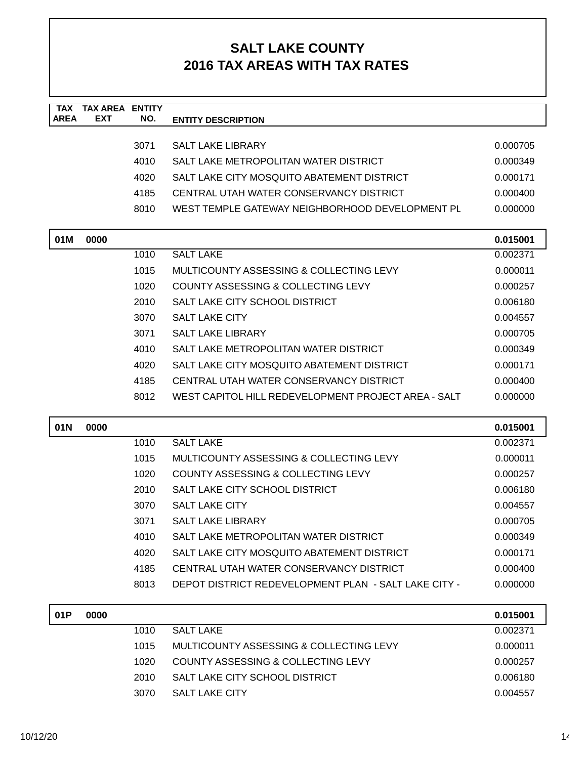| <b>TAX</b><br><b>AREA</b> | <b>TAX AREA ENTITY</b><br><b>EXT</b> | NO.  | <b>ENTITY DESCRIPTION</b>                            |          |
|---------------------------|--------------------------------------|------|------------------------------------------------------|----------|
|                           |                                      |      |                                                      |          |
|                           |                                      | 3071 | <b>SALT LAKE LIBRARY</b>                             | 0.000705 |
|                           |                                      | 4010 | SALT LAKE METROPOLITAN WATER DISTRICT                | 0.000349 |
|                           |                                      | 4020 | SALT LAKE CITY MOSQUITO ABATEMENT DISTRICT           | 0.000171 |
|                           |                                      | 4185 | CENTRAL UTAH WATER CONSERVANCY DISTRICT              | 0.000400 |
|                           |                                      | 8010 | WEST TEMPLE GATEWAY NEIGHBORHOOD DEVELOPMENT PL      | 0.000000 |
| 01M                       | 0000                                 |      |                                                      | 0.015001 |
|                           |                                      | 1010 | <b>SALT LAKE</b>                                     | 0.002371 |
|                           |                                      | 1015 | MULTICOUNTY ASSESSING & COLLECTING LEVY              | 0.000011 |
|                           |                                      | 1020 | <b>COUNTY ASSESSING &amp; COLLECTING LEVY</b>        | 0.000257 |
|                           |                                      | 2010 | SALT LAKE CITY SCHOOL DISTRICT                       | 0.006180 |
|                           |                                      | 3070 | <b>SALT LAKE CITY</b>                                | 0.004557 |
|                           |                                      | 3071 | <b>SALT LAKE LIBRARY</b>                             | 0.000705 |
|                           |                                      | 4010 | SALT LAKE METROPOLITAN WATER DISTRICT                | 0.000349 |
|                           |                                      | 4020 | SALT LAKE CITY MOSQUITO ABATEMENT DISTRICT           | 0.000171 |
|                           |                                      | 4185 | CENTRAL UTAH WATER CONSERVANCY DISTRICT              | 0.000400 |
|                           |                                      | 8012 | WEST CAPITOL HILL REDEVELOPMENT PROJECT AREA - SALT  | 0.000000 |
| 01N                       | 0000                                 |      |                                                      | 0.015001 |
|                           |                                      | 1010 | <b>SALT LAKE</b>                                     | 0.002371 |
|                           |                                      | 1015 | MULTICOUNTY ASSESSING & COLLECTING LEVY              | 0.000011 |
|                           |                                      | 1020 | COUNTY ASSESSING & COLLECTING LEVY                   | 0.000257 |
|                           |                                      | 2010 | SALT LAKE CITY SCHOOL DISTRICT                       | 0.006180 |
|                           |                                      | 3070 | <b>SALT LAKE CITY</b>                                | 0.004557 |
|                           |                                      | 3071 | <b>SALT LAKE LIBRARY</b>                             | 0.000705 |
|                           |                                      | 4010 | SALT LAKE METROPOLITAN WATER DISTRICT                | 0.000349 |
|                           |                                      | 4020 | SALT LAKE CITY MOSQUITO ABATEMENT DISTRICT           | 0.000171 |
|                           |                                      | 4185 | CENTRAL UTAH WATER CONSERVANCY DISTRICT              | 0.000400 |
|                           |                                      | 8013 | DEPOT DISTRICT REDEVELOPMENT PLAN - SALT LAKE CITY - | 0.000000 |
| 01P                       | 0000                                 |      |                                                      | 0.015001 |
|                           |                                      | 1010 | <b>SALT LAKE</b>                                     | 0.002371 |
|                           |                                      | 1015 | MULTICOUNTY ASSESSING & COLLECTING LEVY              | 0.000011 |
|                           |                                      | 1020 | COUNTY ASSESSING & COLLECTING LEVY                   | 0.000257 |
|                           |                                      | 2010 | SALT LAKE CITY SCHOOL DISTRICT                       | 0.006180 |
|                           |                                      | 3070 | SALT LAKE CITY                                       | 0.004557 |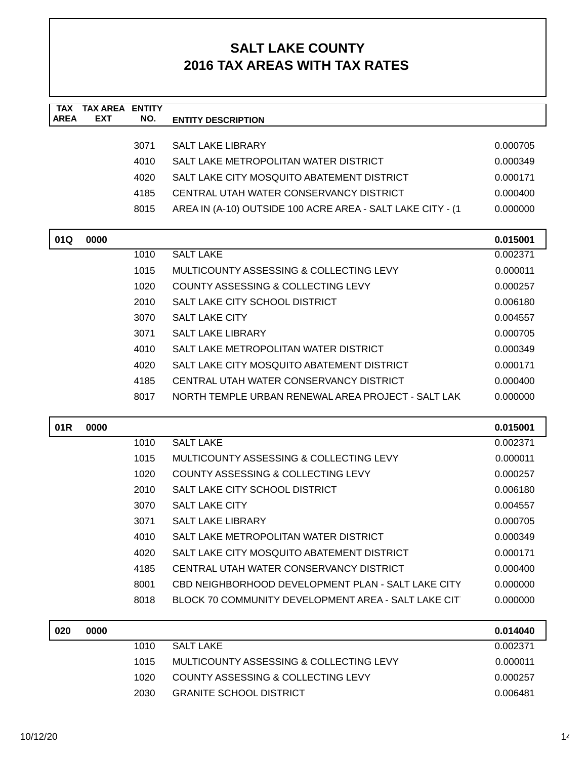| <b>TAX</b><br><b>AREA</b> | <b>TAX AREA ENTITY</b><br>EXT | NO.  | <b>ENTITY DESCRIPTION</b>                                  |          |
|---------------------------|-------------------------------|------|------------------------------------------------------------|----------|
|                           |                               |      |                                                            |          |
|                           |                               | 3071 | <b>SALT LAKE LIBRARY</b>                                   | 0.000705 |
|                           |                               | 4010 | SALT LAKE METROPOLITAN WATER DISTRICT                      | 0.000349 |
|                           |                               | 4020 | SALT LAKE CITY MOSQUITO ABATEMENT DISTRICT                 | 0.000171 |
|                           |                               | 4185 | CENTRAL UTAH WATER CONSERVANCY DISTRICT                    | 0.000400 |
|                           |                               | 8015 | AREA IN (A-10) OUTSIDE 100 ACRE AREA - SALT LAKE CITY - (1 | 0.000000 |
| 01Q                       | 0000                          |      |                                                            | 0.015001 |
|                           |                               | 1010 | <b>SALT LAKE</b>                                           | 0.002371 |
|                           |                               | 1015 | MULTICOUNTY ASSESSING & COLLECTING LEVY                    | 0.000011 |
|                           |                               | 1020 | COUNTY ASSESSING & COLLECTING LEVY                         | 0.000257 |
|                           |                               | 2010 | SALT LAKE CITY SCHOOL DISTRICT                             | 0.006180 |
|                           |                               | 3070 | <b>SALT LAKE CITY</b>                                      | 0.004557 |
|                           |                               | 3071 | <b>SALT LAKE LIBRARY</b>                                   | 0.000705 |
|                           |                               | 4010 | SALT LAKE METROPOLITAN WATER DISTRICT                      | 0.000349 |
|                           |                               | 4020 | SALT LAKE CITY MOSQUITO ABATEMENT DISTRICT                 | 0.000171 |
|                           |                               | 4185 | CENTRAL UTAH WATER CONSERVANCY DISTRICT                    | 0.000400 |
|                           |                               | 8017 | NORTH TEMPLE URBAN RENEWAL AREA PROJECT - SALT LAK         | 0.000000 |
| 01R                       | 0000                          |      |                                                            | 0.015001 |
|                           |                               | 1010 | <b>SALT LAKE</b>                                           | 0.002371 |
|                           |                               | 1015 | MULTICOUNTY ASSESSING & COLLECTING LEVY                    | 0.000011 |
|                           |                               | 1020 | <b>COUNTY ASSESSING &amp; COLLECTING LEVY</b>              | 0.000257 |
|                           |                               | 2010 | SALT LAKE CITY SCHOOL DISTRICT                             | 0.006180 |
|                           |                               | 3070 | <b>SALT LAKE CITY</b>                                      | 0.004557 |
|                           |                               | 3071 | <b>SALT LAKE LIBRARY</b>                                   | 0.000705 |
|                           |                               | 4010 | SALT LAKE METROPOLITAN WATER DISTRICT                      | 0.000349 |
|                           |                               | 4020 | SALT LAKE CITY MOSQUITO ABATEMENT DISTRICT                 | 0.000171 |
|                           |                               | 4185 | CENTRAL UTAH WATER CONSERVANCY DISTRICT                    | 0.000400 |
|                           |                               | 8001 | CBD NEIGHBORHOOD DEVELOPMENT PLAN - SALT LAKE CITY         | 0.000000 |
|                           |                               | 8018 | BLOCK 70 COMMUNITY DEVELOPMENT AREA - SALT LAKE CIT        | 0.000000 |
| 020                       | 0000                          |      |                                                            | 0.014040 |
|                           |                               | 1010 | <b>SALT LAKE</b>                                           | 0.002371 |
|                           |                               | 1015 | MULTICOUNTY ASSESSING & COLLECTING LEVY                    | 0.000011 |
|                           |                               | 1020 | COUNTY ASSESSING & COLLECTING LEVY                         | 0.000257 |
|                           |                               | 2030 | <b>GRANITE SCHOOL DISTRICT</b>                             | 0.006481 |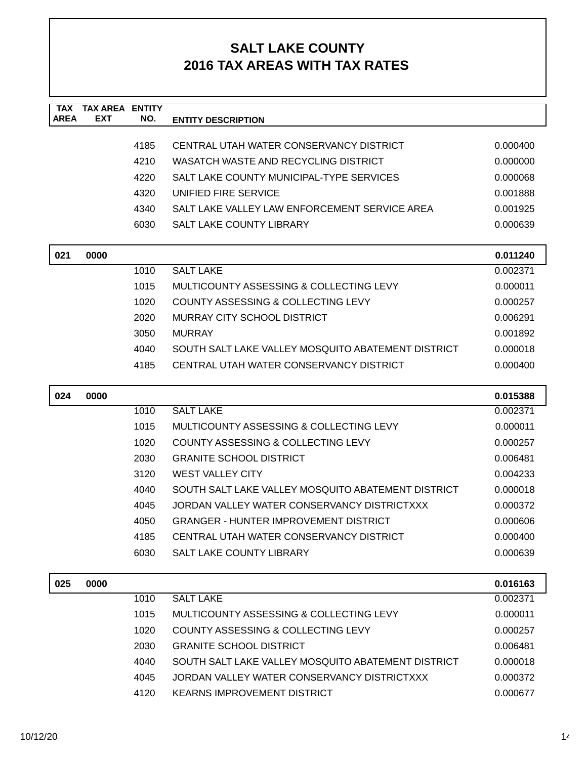| <b>TAX</b><br><b>AREA</b> | <b>TAX AREA ENTITY</b><br><b>EXT</b> | NO.  | <b>ENTITY DESCRIPTION</b>                          |          |
|---------------------------|--------------------------------------|------|----------------------------------------------------|----------|
|                           |                                      |      |                                                    |          |
|                           |                                      | 4185 | CENTRAL UTAH WATER CONSERVANCY DISTRICT            | 0.000400 |
|                           |                                      | 4210 | WASATCH WASTE AND RECYCLING DISTRICT               | 0.000000 |
|                           |                                      | 4220 | SALT LAKE COUNTY MUNICIPAL-TYPE SERVICES           | 0.000068 |
|                           |                                      | 4320 | UNIFIED FIRE SERVICE                               | 0.001888 |
|                           |                                      | 4340 | SALT LAKE VALLEY LAW ENFORCEMENT SERVICE AREA      | 0.001925 |
|                           |                                      | 6030 | SALT LAKE COUNTY LIBRARY                           | 0.000639 |
| 021                       | 0000                                 |      |                                                    | 0.011240 |
|                           |                                      | 1010 | <b>SALT LAKE</b>                                   | 0.002371 |
|                           |                                      | 1015 | MULTICOUNTY ASSESSING & COLLECTING LEVY            | 0.000011 |
|                           |                                      | 1020 | COUNTY ASSESSING & COLLECTING LEVY                 | 0.000257 |
|                           |                                      | 2020 | MURRAY CITY SCHOOL DISTRICT                        | 0.006291 |
|                           |                                      | 3050 | <b>MURRAY</b>                                      | 0.001892 |
|                           |                                      | 4040 | SOUTH SALT LAKE VALLEY MOSQUITO ABATEMENT DISTRICT | 0.000018 |
|                           |                                      | 4185 | CENTRAL UTAH WATER CONSERVANCY DISTRICT            | 0.000400 |
| 024                       | 0000                                 |      |                                                    | 0.015388 |
|                           |                                      | 1010 | <b>SALT LAKE</b>                                   | 0.002371 |
|                           |                                      | 1015 | MULTICOUNTY ASSESSING & COLLECTING LEVY            | 0.000011 |
|                           |                                      | 1020 | COUNTY ASSESSING & COLLECTING LEVY                 | 0.000257 |
|                           |                                      | 2030 | <b>GRANITE SCHOOL DISTRICT</b>                     | 0.006481 |
|                           |                                      | 3120 | <b>WEST VALLEY CITY</b>                            | 0.004233 |
|                           |                                      | 4040 | SOUTH SALT LAKE VALLEY MOSQUITO ABATEMENT DISTRICT | 0.000018 |
|                           |                                      | 4045 | JORDAN VALLEY WATER CONSERVANCY DISTRICTXXX        | 0.000372 |
|                           |                                      | 4050 | <b>GRANGER - HUNTER IMPROVEMENT DISTRICT</b>       | 0.000606 |
|                           |                                      | 4185 | CENTRAL UTAH WATER CONSERVANCY DISTRICT            | 0.000400 |
|                           |                                      | 6030 | SALT LAKE COUNTY LIBRARY                           | 0.000639 |
| 025                       | 0000                                 |      |                                                    | 0.016163 |
|                           |                                      | 1010 | <b>SALT LAKE</b>                                   | 0.002371 |
|                           |                                      | 1015 | MULTICOUNTY ASSESSING & COLLECTING LEVY            | 0.000011 |
|                           |                                      | 1020 | COUNTY ASSESSING & COLLECTING LEVY                 | 0.000257 |
|                           |                                      | 2030 | <b>GRANITE SCHOOL DISTRICT</b>                     | 0.006481 |
|                           |                                      | 4040 | SOUTH SALT LAKE VALLEY MOSQUITO ABATEMENT DISTRICT | 0.000018 |
|                           |                                      | 4045 | JORDAN VALLEY WATER CONSERVANCY DISTRICTXXX        | 0.000372 |
|                           |                                      | 4120 | <b>KEARNS IMPROVEMENT DISTRICT</b>                 | 0.000677 |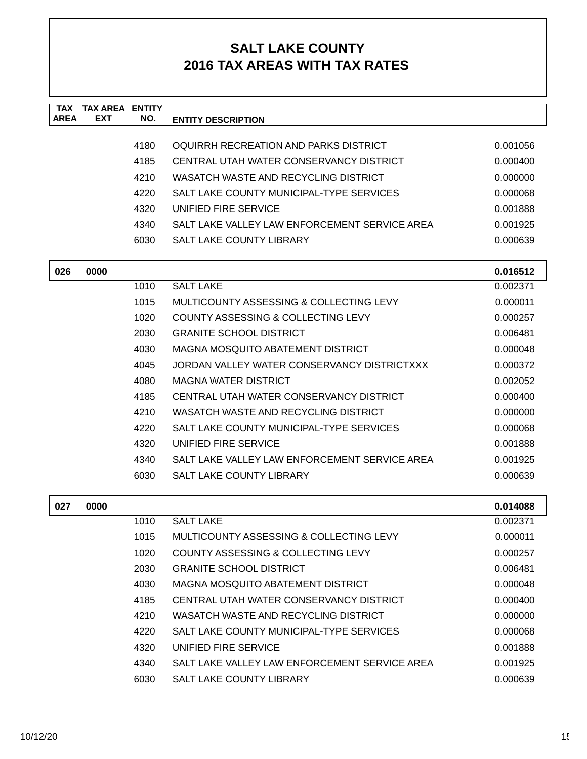| <b>TAX</b><br><b>AREA</b> | <b>TAX AREA ENTITY</b><br><b>EXT</b> | NO.  | <b>ENTITY DESCRIPTION</b>                     |          |
|---------------------------|--------------------------------------|------|-----------------------------------------------|----------|
|                           |                                      |      |                                               |          |
|                           |                                      | 4180 | OQUIRRH RECREATION AND PARKS DISTRICT         | 0.001056 |
|                           |                                      | 4185 | CENTRAL UTAH WATER CONSERVANCY DISTRICT       | 0.000400 |
|                           |                                      | 4210 | WASATCH WASTE AND RECYCLING DISTRICT          | 0.000000 |
|                           |                                      | 4220 | SALT LAKE COUNTY MUNICIPAL-TYPE SERVICES      | 0.000068 |
|                           |                                      | 4320 | UNIFIED FIRE SERVICE                          | 0.001888 |
|                           |                                      | 4340 | SALT LAKE VALLEY LAW ENFORCEMENT SERVICE AREA | 0.001925 |
|                           |                                      | 6030 | SALT LAKE COUNTY LIBRARY                      | 0.000639 |
| 026                       | 0000                                 |      |                                               | 0.016512 |
|                           |                                      | 1010 | <b>SALT LAKE</b>                              | 0.002371 |
|                           |                                      | 1015 | MULTICOUNTY ASSESSING & COLLECTING LEVY       | 0.000011 |
|                           |                                      | 1020 | COUNTY ASSESSING & COLLECTING LEVY            | 0.000257 |
|                           |                                      | 2030 | <b>GRANITE SCHOOL DISTRICT</b>                | 0.006481 |
|                           |                                      | 4030 | MAGNA MOSQUITO ABATEMENT DISTRICT             | 0.000048 |
|                           |                                      | 4045 | JORDAN VALLEY WATER CONSERVANCY DISTRICTXXX   | 0.000372 |
|                           |                                      | 4080 | <b>MAGNA WATER DISTRICT</b>                   | 0.002052 |
|                           |                                      | 4185 | CENTRAL UTAH WATER CONSERVANCY DISTRICT       | 0.000400 |
|                           |                                      | 4210 | WASATCH WASTE AND RECYCLING DISTRICT          | 0.000000 |
|                           |                                      | 4220 | SALT LAKE COUNTY MUNICIPAL-TYPE SERVICES      | 0.000068 |
|                           |                                      | 4320 | UNIFIED FIRE SERVICE                          | 0.001888 |
|                           |                                      | 4340 | SALT LAKE VALLEY LAW ENFORCEMENT SERVICE AREA | 0.001925 |
|                           |                                      | 6030 | <b>SALT LAKE COUNTY LIBRARY</b>               | 0.000639 |
| 027                       | 0000                                 |      |                                               | 0.014088 |
|                           |                                      | 1010 | <b>SALT LAKE</b>                              | 0.002371 |
|                           |                                      | 1015 | MULTICOUNTY ASSESSING & COLLECTING LEVY       | 0.000011 |
|                           |                                      | 1020 | COUNTY ASSESSING & COLLECTING LEVY            | 0.000257 |
|                           |                                      | 2030 | <b>GRANITE SCHOOL DISTRICT</b>                | 0.006481 |
|                           |                                      | 4030 | MAGNA MOSQUITO ABATEMENT DISTRICT             | 0.000048 |
|                           |                                      | 4185 | CENTRAL UTAH WATER CONSERVANCY DISTRICT       | 0.000400 |
|                           |                                      | 4210 | WASATCH WASTE AND RECYCLING DISTRICT          | 0.000000 |
|                           |                                      | 4220 | SALT LAKE COUNTY MUNICIPAL-TYPE SERVICES      | 0.000068 |
|                           |                                      | 4320 | UNIFIED FIRE SERVICE                          | 0.001888 |
|                           |                                      | 4340 | SALT LAKE VALLEY LAW ENFORCEMENT SERVICE AREA | 0.001925 |
|                           |                                      | 6030 | SALT LAKE COUNTY LIBRARY                      | 0.000639 |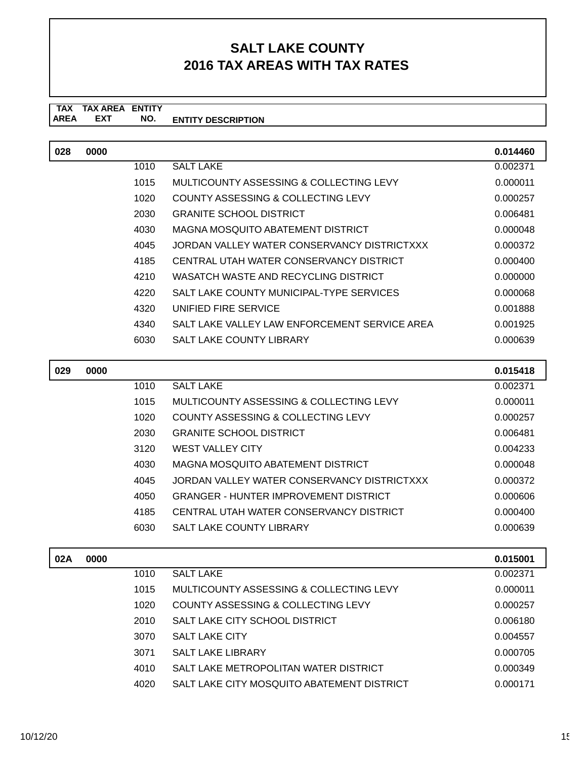#### **TAX TAX AREA ENTITY ENTITY DESCRIPTION EXT NO.**

| 028 | 0000 |      |                                               | 0.014460 |
|-----|------|------|-----------------------------------------------|----------|
|     |      | 1010 | <b>SALT LAKE</b>                              | 0.002371 |
|     |      | 1015 | MULTICOUNTY ASSESSING & COLLECTING LEVY       | 0.000011 |
|     |      | 1020 | COUNTY ASSESSING & COLLECTING LEVY            | 0.000257 |
|     |      | 2030 | <b>GRANITE SCHOOL DISTRICT</b>                | 0.006481 |
|     |      | 4030 | MAGNA MOSQUITO ABATEMENT DISTRICT             | 0.000048 |
|     |      | 4045 | JORDAN VALLEY WATER CONSERVANCY DISTRICTXXX   | 0.000372 |
|     |      | 4185 | CENTRAL UTAH WATER CONSERVANCY DISTRICT       | 0.000400 |
|     |      | 4210 | WASATCH WASTE AND RECYCLING DISTRICT          | 0.000000 |
|     |      | 4220 | SALT LAKE COUNTY MUNICIPAL-TYPE SERVICES      | 0.000068 |
|     |      | 4320 | UNIFIED FIRE SERVICE                          | 0.001888 |
|     |      | 4340 | SALT LAKE VALLEY LAW ENFORCEMENT SERVICE AREA | 0.001925 |
|     |      | 6030 | <b>SALT LAKE COUNTY LIBRARY</b>               | 0.000639 |

| 029 | 0000 |      |                                              | 0.015418 |
|-----|------|------|----------------------------------------------|----------|
|     |      | 1010 | <b>SALT LAKE</b>                             | 0.002371 |
|     |      | 1015 | MULTICOUNTY ASSESSING & COLLECTING LEVY      | 0.000011 |
|     |      | 1020 | COUNTY ASSESSING & COLLECTING LEVY           | 0.000257 |
|     |      | 2030 | <b>GRANITE SCHOOL DISTRICT</b>               | 0.006481 |
|     |      | 3120 | <b>WEST VALLEY CITY</b>                      | 0.004233 |
|     |      | 4030 | MAGNA MOSOUITO ABATEMENT DISTRICT            | 0.000048 |
|     |      | 4045 | JORDAN VALLEY WATER CONSERVANCY DISTRICTXXX  | 0.000372 |
|     |      | 4050 | <b>GRANGER - HUNTER IMPROVEMENT DISTRICT</b> | 0.000606 |
|     |      | 4185 | CENTRAL UTAH WATER CONSERVANCY DISTRICT      | 0.000400 |
|     |      | 6030 | <b>SALT LAKE COUNTY LIBRARY</b>              | 0.000639 |
|     |      |      |                                              |          |

| 02A | 0000 |      |                                            | 0.015001 |
|-----|------|------|--------------------------------------------|----------|
|     |      | 1010 | <b>SALT LAKE</b>                           | 0.002371 |
|     |      | 1015 | MULTICOUNTY ASSESSING & COLLECTING LEVY    | 0.000011 |
|     |      | 1020 | COUNTY ASSESSING & COLLECTING LEVY         | 0.000257 |
|     |      | 2010 | SALT LAKE CITY SCHOOL DISTRICT             | 0.006180 |
|     |      | 3070 | <b>SALT LAKE CITY</b>                      | 0.004557 |
|     |      | 3071 | <b>SALT LAKE LIBRARY</b>                   | 0.000705 |
|     |      | 4010 | SALT LAKE METROPOLITAN WATER DISTRICT      | 0.000349 |
|     |      | 4020 | SALT LAKE CITY MOSQUITO ABATEMENT DISTRICT | 0.000171 |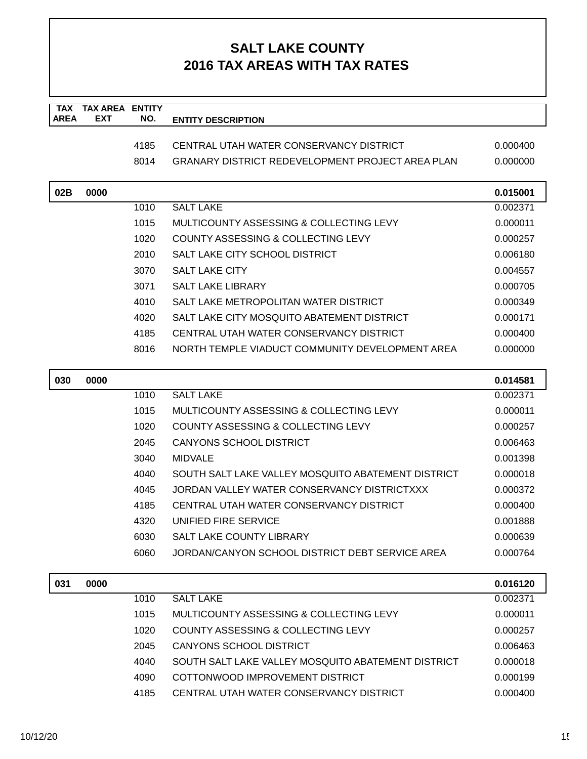| <b>TAX</b><br><b>AREA</b> | <b>TAX AREA ENTITY</b><br><b>EXT</b> | NO.  | <b>ENTITY DESCRIPTION</b>                               |          |
|---------------------------|--------------------------------------|------|---------------------------------------------------------|----------|
|                           |                                      |      |                                                         |          |
|                           |                                      | 4185 | CENTRAL UTAH WATER CONSERVANCY DISTRICT                 | 0.000400 |
|                           |                                      | 8014 | <b>GRANARY DISTRICT REDEVELOPMENT PROJECT AREA PLAN</b> | 0.000000 |
| 02B                       | 0000                                 |      |                                                         | 0.015001 |
|                           |                                      | 1010 | <b>SALT LAKE</b>                                        | 0.002371 |
|                           |                                      | 1015 | MULTICOUNTY ASSESSING & COLLECTING LEVY                 | 0.000011 |
|                           |                                      | 1020 | <b>COUNTY ASSESSING &amp; COLLECTING LEVY</b>           | 0.000257 |
|                           |                                      | 2010 | SALT LAKE CITY SCHOOL DISTRICT                          | 0.006180 |
|                           |                                      | 3070 | <b>SALT LAKE CITY</b>                                   | 0.004557 |
|                           |                                      | 3071 | <b>SALT LAKE LIBRARY</b>                                | 0.000705 |
|                           |                                      | 4010 | SALT LAKE METROPOLITAN WATER DISTRICT                   | 0.000349 |
|                           |                                      | 4020 | SALT LAKE CITY MOSQUITO ABATEMENT DISTRICT              | 0.000171 |
|                           |                                      | 4185 | CENTRAL UTAH WATER CONSERVANCY DISTRICT                 | 0.000400 |
|                           |                                      | 8016 | NORTH TEMPLE VIADUCT COMMUNITY DEVELOPMENT AREA         | 0.000000 |
| 030                       | 0000                                 |      |                                                         | 0.014581 |
|                           |                                      | 1010 | <b>SALT LAKE</b>                                        | 0.002371 |
|                           |                                      | 1015 | MULTICOUNTY ASSESSING & COLLECTING LEVY                 | 0.000011 |
|                           |                                      | 1020 | COUNTY ASSESSING & COLLECTING LEVY                      | 0.000257 |
|                           |                                      | 2045 | <b>CANYONS SCHOOL DISTRICT</b>                          | 0.006463 |
|                           |                                      | 3040 | <b>MIDVALE</b>                                          | 0.001398 |
|                           |                                      | 4040 | SOUTH SALT LAKE VALLEY MOSQUITO ABATEMENT DISTRICT      | 0.000018 |
|                           |                                      | 4045 | JORDAN VALLEY WATER CONSERVANCY DISTRICTXXX             | 0.000372 |
|                           |                                      | 4185 | CENTRAL UTAH WATER CONSERVANCY DISTRICT                 | 0.000400 |
|                           |                                      | 4320 | UNIFIED FIRE SERVICE                                    | 0.001888 |
|                           |                                      | 6030 | <b>SALT LAKE COUNTY LIBRARY</b>                         | 0.000639 |
|                           |                                      | 6060 | JORDAN/CANYON SCHOOL DISTRICT DEBT SERVICE AREA         | 0.000764 |
| 031                       | 0000                                 |      |                                                         | 0.016120 |
|                           |                                      | 1010 | <b>SALT LAKE</b>                                        | 0.002371 |
|                           |                                      | 1015 | MULTICOUNTY ASSESSING & COLLECTING LEVY                 | 0.000011 |
|                           |                                      | 1020 | <b>COUNTY ASSESSING &amp; COLLECTING LEVY</b>           | 0.000257 |
|                           |                                      | 2045 | <b>CANYONS SCHOOL DISTRICT</b>                          | 0.006463 |
|                           |                                      | 4040 | SOUTH SALT LAKE VALLEY MOSQUITO ABATEMENT DISTRICT      | 0.000018 |
|                           |                                      | 4090 | COTTONWOOD IMPROVEMENT DISTRICT                         | 0.000199 |
|                           |                                      | 4185 | CENTRAL UTAH WATER CONSERVANCY DISTRICT                 | 0.000400 |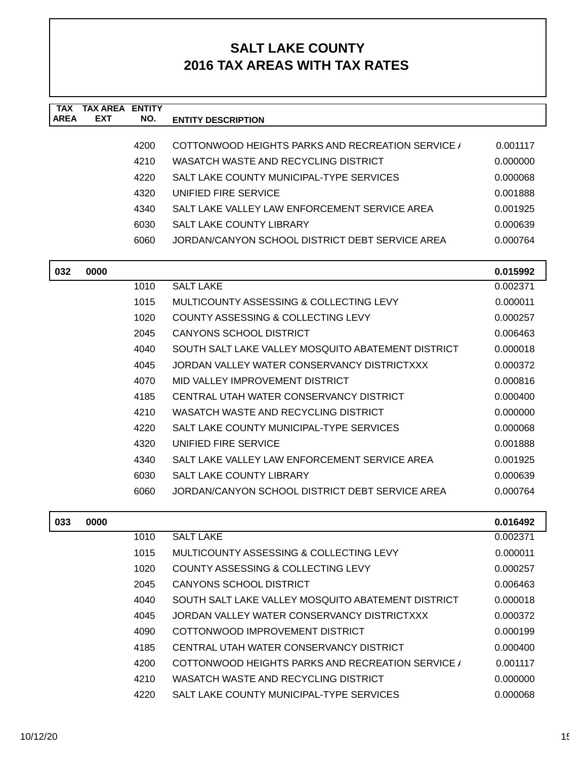| <b>TAX</b>  | <b>TAX AREA</b> | <b>ENTITY</b> |                                                    |          |
|-------------|-----------------|---------------|----------------------------------------------------|----------|
| <b>AREA</b> | <b>EXT</b>      | NO.           | <b>ENTITY DESCRIPTION</b>                          |          |
|             |                 | 4200          | COTTONWOOD HEIGHTS PARKS AND RECREATION SERVICE /  | 0.001117 |
|             |                 | 4210          | WASATCH WASTE AND RECYCLING DISTRICT               | 0.000000 |
|             |                 | 4220          | SALT LAKE COUNTY MUNICIPAL-TYPE SERVICES           | 0.000068 |
|             |                 | 4320          | UNIFIED FIRE SERVICE                               | 0.001888 |
|             |                 | 4340          | SALT LAKE VALLEY LAW ENFORCEMENT SERVICE AREA      | 0.001925 |
|             |                 | 6030          | <b>SALT LAKE COUNTY LIBRARY</b>                    | 0.000639 |
|             |                 | 6060          | JORDAN/CANYON SCHOOL DISTRICT DEBT SERVICE AREA    | 0.000764 |
| 032         | 0000            |               |                                                    | 0.015992 |
|             |                 | 1010          | <b>SALT LAKE</b>                                   | 0.002371 |
|             |                 | 1015          | MULTICOUNTY ASSESSING & COLLECTING LEVY            | 0.000011 |
|             |                 | 1020          | COUNTY ASSESSING & COLLECTING LEVY                 | 0.000257 |
|             |                 | 2045          | <b>CANYONS SCHOOL DISTRICT</b>                     | 0.006463 |
|             |                 | 4040          | SOUTH SALT LAKE VALLEY MOSQUITO ABATEMENT DISTRICT | 0.000018 |
|             |                 | 4045          | JORDAN VALLEY WATER CONSERVANCY DISTRICTXXX        | 0.000372 |
|             |                 | 4070          | MID VALLEY IMPROVEMENT DISTRICT                    | 0.000816 |
|             |                 | 4185          | CENTRAL UTAH WATER CONSERVANCY DISTRICT            | 0.000400 |
|             |                 | 4210          | WASATCH WASTE AND RECYCLING DISTRICT               | 0.000000 |
|             |                 | 4220          | SALT LAKE COUNTY MUNICIPAL-TYPE SERVICES           | 0.000068 |
|             |                 | 4320          | UNIFIED FIRE SERVICE                               | 0.001888 |
|             |                 | 4340          | SALT LAKE VALLEY LAW ENFORCEMENT SERVICE AREA      | 0.001925 |
|             |                 | 6030          | <b>SALT LAKE COUNTY LIBRARY</b>                    | 0.000639 |
|             |                 | 6060          | JORDAN/CANYON SCHOOL DISTRICT DEBT SERVICE AREA    | 0.000764 |
|             |                 |               |                                                    |          |
| 033         | 0000            |               |                                                    | 0.016492 |
|             |                 | 1010          | <b>SALT LAKE</b>                                   | 0.002371 |
|             |                 | 1015          | MULTICOUNTY ASSESSING & COLLECTING LEVY            | 0.000011 |
|             |                 | 1020          | <b>COUNTY ASSESSING &amp; COLLECTING LEVY</b>      | 0.000257 |
|             |                 | 2045          | CANYONS SCHOOL DISTRICT                            | 0.006463 |
|             |                 | 4040          | SOUTH SALT LAKE VALLEY MOSQUITO ABATEMENT DISTRICT | 0.000018 |
|             |                 | 4045          | JORDAN VALLEY WATER CONSERVANCY DISTRICTXXX        | 0.000372 |
|             |                 | 4090          | COTTONWOOD IMPROVEMENT DISTRICT                    | 0.000199 |
|             |                 | 4185          | CENTRAL UTAH WATER CONSERVANCY DISTRICT            | 0.000400 |
|             |                 | 4200          | COTTONWOOD HEIGHTS PARKS AND RECREATION SERVICE    | 0.001117 |
|             |                 | 4210          | WASATCH WASTE AND RECYCLING DISTRICT               | 0.000000 |
|             |                 | 4220          | SALT LAKE COUNTY MUNICIPAL-TYPE SERVICES           | 0.000068 |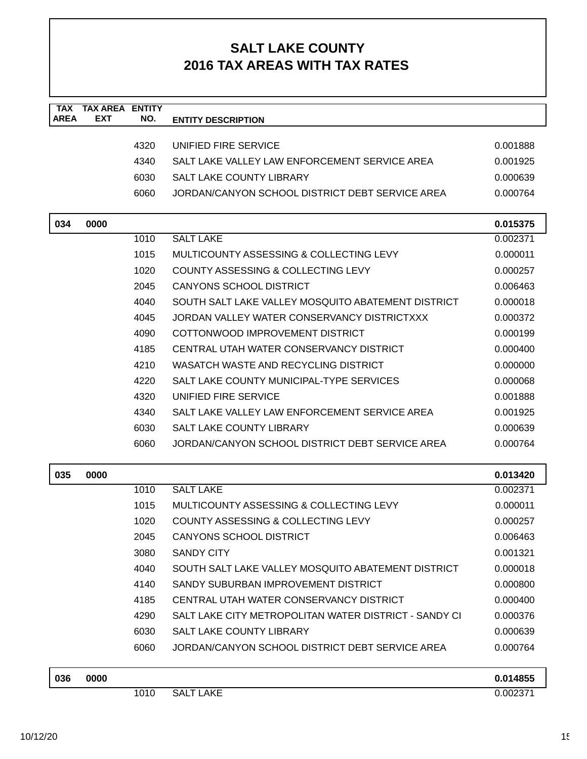| <b>TAX</b><br><b>AREA</b> | <b>TAX AREA</b><br><b>EXT</b> | <b>ENTITY</b> |                                                       |                      |
|---------------------------|-------------------------------|---------------|-------------------------------------------------------|----------------------|
|                           |                               | NO.           | <b>ENTITY DESCRIPTION</b>                             |                      |
|                           |                               | 4320          | UNIFIED FIRE SERVICE                                  | 0.001888             |
|                           |                               | 4340          | SALT LAKE VALLEY LAW ENFORCEMENT SERVICE AREA         | 0.001925             |
|                           |                               | 6030          | <b>SALT LAKE COUNTY LIBRARY</b>                       | 0.000639             |
|                           |                               | 6060          | JORDAN/CANYON SCHOOL DISTRICT DEBT SERVICE AREA       | 0.000764             |
|                           |                               |               |                                                       |                      |
| 034                       | 0000                          |               |                                                       | 0.015375             |
|                           |                               | 1010          | <b>SALT LAKE</b>                                      | 0.002371             |
|                           |                               | 1015          | MULTICOUNTY ASSESSING & COLLECTING LEVY               | 0.000011             |
|                           |                               | 1020          | COUNTY ASSESSING & COLLECTING LEVY                    | 0.000257             |
|                           |                               | 2045          | <b>CANYONS SCHOOL DISTRICT</b>                        | 0.006463             |
|                           |                               | 4040          | SOUTH SALT LAKE VALLEY MOSQUITO ABATEMENT DISTRICT    | 0.000018             |
|                           |                               | 4045          | JORDAN VALLEY WATER CONSERVANCY DISTRICTXXX           | 0.000372             |
|                           |                               | 4090          | COTTONWOOD IMPROVEMENT DISTRICT                       | 0.000199             |
|                           |                               | 4185          | CENTRAL UTAH WATER CONSERVANCY DISTRICT               | 0.000400             |
|                           |                               | 4210          | WASATCH WASTE AND RECYCLING DISTRICT                  | 0.000000             |
|                           |                               | 4220          | SALT LAKE COUNTY MUNICIPAL-TYPE SERVICES              | 0.000068             |
|                           |                               | 4320          | UNIFIED FIRE SERVICE                                  | 0.001888             |
|                           |                               | 4340          | SALT LAKE VALLEY LAW ENFORCEMENT SERVICE AREA         | 0.001925             |
|                           |                               | 6030          | <b>SALT LAKE COUNTY LIBRARY</b>                       | 0.000639             |
|                           |                               | 6060          | JORDAN/CANYON SCHOOL DISTRICT DEBT SERVICE AREA       | 0.000764             |
| 035                       | 0000                          |               |                                                       | 0.013420             |
|                           |                               | 1010          | <b>SALT LAKE</b>                                      | 0.002371             |
|                           |                               | 1015          | MULTICOUNTY ASSESSING & COLLECTING LEVY               | 0.000011             |
|                           |                               | 1020          | <b>COUNTY ASSESSING &amp; COLLECTING LEVY</b>         | 0.000257             |
|                           |                               | 2045          | <b>CANYONS SCHOOL DISTRICT</b>                        | 0.006463             |
|                           |                               | 3080          | <b>SANDY CITY</b>                                     | 0.001321             |
|                           |                               | 4040          | SOUTH SALT LAKE VALLEY MOSQUITO ABATEMENT DISTRICT    | 0.000018             |
|                           |                               | 4140          | SANDY SUBURBAN IMPROVEMENT DISTRICT                   | 0.000800             |
|                           |                               | 4185          | CENTRAL UTAH WATER CONSERVANCY DISTRICT               | 0.000400             |
|                           |                               | 4290          | SALT LAKE CITY METROPOLITAN WATER DISTRICT - SANDY CI | 0.000376             |
|                           |                               | 6030          | <b>SALT LAKE COUNTY LIBRARY</b>                       | 0.000639             |
|                           |                               | 6060          | JORDAN/CANYON SCHOOL DISTRICT DEBT SERVICE AREA       | 0.000764             |
| 036                       | 0000                          |               |                                                       |                      |
|                           |                               | 1010          | <b>SALT LAKE</b>                                      | 0.014855<br>0.002371 |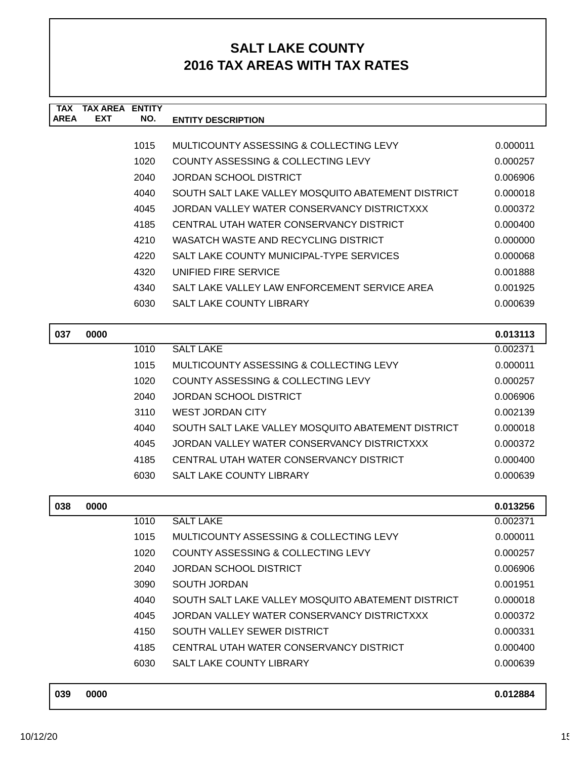| TAX<br><b>AREA</b> | <b>TAX AREA ENTITY</b><br><b>EXT</b> | NO.          |                                                                           |          |
|--------------------|--------------------------------------|--------------|---------------------------------------------------------------------------|----------|
|                    |                                      |              | <b>ENTITY DESCRIPTION</b>                                                 |          |
|                    |                                      | 1015         | MULTICOUNTY ASSESSING & COLLECTING LEVY                                   | 0.000011 |
|                    |                                      | 1020         | COUNTY ASSESSING & COLLECTING LEVY                                        | 0.000257 |
|                    |                                      | 2040         | <b>JORDAN SCHOOL DISTRICT</b>                                             | 0.006906 |
|                    |                                      | 4040         | SOUTH SALT LAKE VALLEY MOSQUITO ABATEMENT DISTRICT                        | 0.000018 |
|                    |                                      | 4045         | JORDAN VALLEY WATER CONSERVANCY DISTRICTXXX                               | 0.000372 |
|                    |                                      | 4185         | CENTRAL UTAH WATER CONSERVANCY DISTRICT                                   | 0.000400 |
|                    |                                      | 4210         | WASATCH WASTE AND RECYCLING DISTRICT                                      | 0.000000 |
|                    |                                      | 4220         | SALT LAKE COUNTY MUNICIPAL-TYPE SERVICES                                  | 0.000068 |
|                    |                                      | 4320         | UNIFIED FIRE SERVICE                                                      | 0.001888 |
|                    |                                      | 4340         | SALT LAKE VALLEY LAW ENFORCEMENT SERVICE AREA                             | 0.001925 |
|                    |                                      | 6030         | SALT LAKE COUNTY LIBRARY                                                  | 0.000639 |
|                    |                                      |              |                                                                           |          |
| 037                | 0000                                 |              |                                                                           | 0.013113 |
|                    |                                      | 1010         | <b>SALT LAKE</b>                                                          | 0.002371 |
|                    |                                      | 1015         | MULTICOUNTY ASSESSING & COLLECTING LEVY                                   | 0.000011 |
|                    |                                      | 1020         | COUNTY ASSESSING & COLLECTING LEVY                                        | 0.000257 |
|                    |                                      | 2040         | <b>JORDAN SCHOOL DISTRICT</b>                                             | 0.006906 |
|                    |                                      | 3110         | <b>WEST JORDAN CITY</b>                                                   | 0.002139 |
|                    |                                      | 4040         | SOUTH SALT LAKE VALLEY MOSQUITO ABATEMENT DISTRICT                        | 0.000018 |
|                    |                                      | 4045         | JORDAN VALLEY WATER CONSERVANCY DISTRICTXXX                               | 0.000372 |
|                    |                                      | 4185         | CENTRAL UTAH WATER CONSERVANCY DISTRICT                                   | 0.000400 |
|                    |                                      | 6030         | <b>SALT LAKE COUNTY LIBRARY</b>                                           | 0.000639 |
|                    |                                      |              |                                                                           |          |
| 038                | 0000                                 |              |                                                                           | 0.013256 |
|                    |                                      | 1010         | <b>SALT LAKE</b>                                                          | 0.002371 |
|                    |                                      | 1015         | MULTICOUNTY ASSESSING & COLLECTING LEVY                                   | 0.000011 |
|                    |                                      | 1020         | COUNTY ASSESSING & COLLECTING LEVY                                        | 0.000257 |
|                    |                                      | 2040         | <b>JORDAN SCHOOL DISTRICT</b>                                             | 0.006906 |
|                    |                                      | 3090<br>4040 | <b>SOUTH JORDAN</b><br>SOUTH SALT LAKE VALLEY MOSQUITO ABATEMENT DISTRICT | 0.001951 |
|                    |                                      |              | JORDAN VALLEY WATER CONSERVANCY DISTRICTXXX                               | 0.000018 |
|                    |                                      | 4045         | SOUTH VALLEY SEWER DISTRICT                                               | 0.000372 |
|                    |                                      | 4150         |                                                                           | 0.000331 |
|                    |                                      | 4185         | CENTRAL UTAH WATER CONSERVANCY DISTRICT                                   | 0.000400 |
|                    |                                      | 6030         | SALT LAKE COUNTY LIBRARY                                                  | 0.000639 |
| 039                | 0000                                 |              |                                                                           | 0.012884 |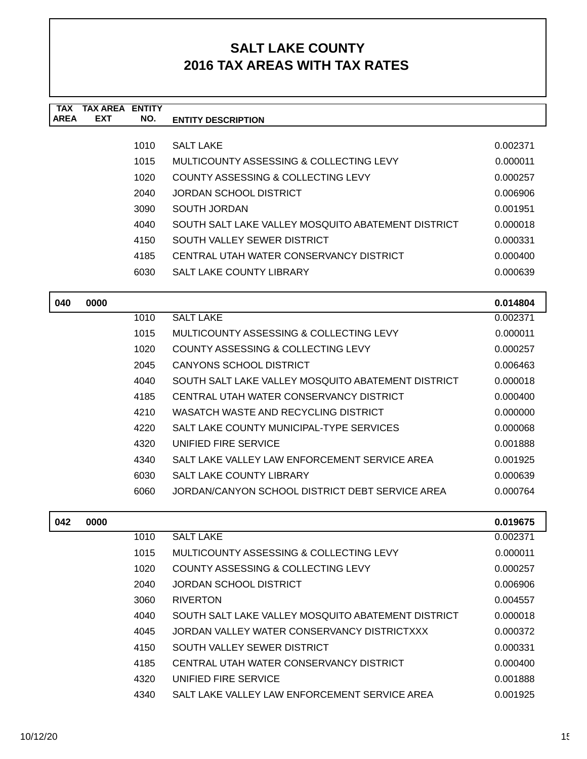| <b>TAX</b><br><b>AREA</b> | <b>TAX AREA ENTITY</b><br><b>EXT</b> | NO.  | <b>ENTITY DESCRIPTION</b>                                                        |          |
|---------------------------|--------------------------------------|------|----------------------------------------------------------------------------------|----------|
|                           |                                      | 1010 | <b>SALT LAKE</b>                                                                 | 0.002371 |
|                           |                                      | 1015 | MULTICOUNTY ASSESSING & COLLECTING LEVY                                          | 0.000011 |
|                           |                                      | 1020 | COUNTY ASSESSING & COLLECTING LEVY                                               | 0.000257 |
|                           |                                      | 2040 | <b>JORDAN SCHOOL DISTRICT</b>                                                    | 0.006906 |
|                           |                                      | 3090 | <b>SOUTH JORDAN</b>                                                              | 0.001951 |
|                           |                                      | 4040 | SOUTH SALT LAKE VALLEY MOSQUITO ABATEMENT DISTRICT                               | 0.000018 |
|                           |                                      | 4150 | SOUTH VALLEY SEWER DISTRICT                                                      | 0.000331 |
|                           |                                      | 4185 | CENTRAL UTAH WATER CONSERVANCY DISTRICT                                          | 0.000400 |
|                           |                                      | 6030 | SALT LAKE COUNTY LIBRARY                                                         | 0.000639 |
|                           |                                      |      |                                                                                  |          |
| 040                       | 0000                                 |      |                                                                                  | 0.014804 |
|                           |                                      | 1010 | <b>SALT LAKE</b>                                                                 | 0.002371 |
|                           |                                      | 1015 | MULTICOUNTY ASSESSING & COLLECTING LEVY                                          | 0.000011 |
|                           |                                      | 1020 | <b>COUNTY ASSESSING &amp; COLLECTING LEVY</b>                                    | 0.000257 |
|                           |                                      | 2045 | CANYONS SCHOOL DISTRICT                                                          | 0.006463 |
|                           |                                      | 4040 | SOUTH SALT LAKE VALLEY MOSQUITO ABATEMENT DISTRICT                               | 0.000018 |
|                           |                                      | 4185 | CENTRAL UTAH WATER CONSERVANCY DISTRICT                                          | 0.000400 |
|                           |                                      | 4210 | WASATCH WASTE AND RECYCLING DISTRICT                                             | 0.000000 |
|                           |                                      | 4220 | SALT LAKE COUNTY MUNICIPAL-TYPE SERVICES                                         | 0.000068 |
|                           |                                      | 4320 | UNIFIED FIRE SERVICE                                                             | 0.001888 |
|                           |                                      | 4340 | SALT LAKE VALLEY LAW ENFORCEMENT SERVICE AREA<br><b>SALT LAKE COUNTY LIBRARY</b> | 0.001925 |
|                           |                                      | 6030 | JORDAN/CANYON SCHOOL DISTRICT DEBT SERVICE AREA                                  | 0.000639 |
|                           |                                      | 6060 |                                                                                  | 0.000764 |
| 042                       | 0000                                 |      |                                                                                  | 0.019675 |
|                           |                                      | 1010 | <b>SALT LAKE</b>                                                                 | 0.002371 |
|                           |                                      | 1015 | MULTICOUNTY ASSESSING & COLLECTING LEVY                                          | 0.000011 |
|                           |                                      | 1020 | COUNTY ASSESSING & COLLECTING LEVY                                               | 0.000257 |
|                           |                                      | 2040 | <b>JORDAN SCHOOL DISTRICT</b>                                                    | 0.006906 |
|                           |                                      | 3060 | <b>RIVERTON</b>                                                                  | 0.004557 |
|                           |                                      | 4040 | SOUTH SALT LAKE VALLEY MOSQUITO ABATEMENT DISTRICT                               | 0.000018 |
|                           |                                      | 4045 | JORDAN VALLEY WATER CONSERVANCY DISTRICTXXX                                      | 0.000372 |
|                           |                                      | 4150 | SOUTH VALLEY SEWER DISTRICT                                                      | 0.000331 |
|                           |                                      | 4185 | CENTRAL UTAH WATER CONSERVANCY DISTRICT                                          | 0.000400 |
|                           |                                      |      |                                                                                  |          |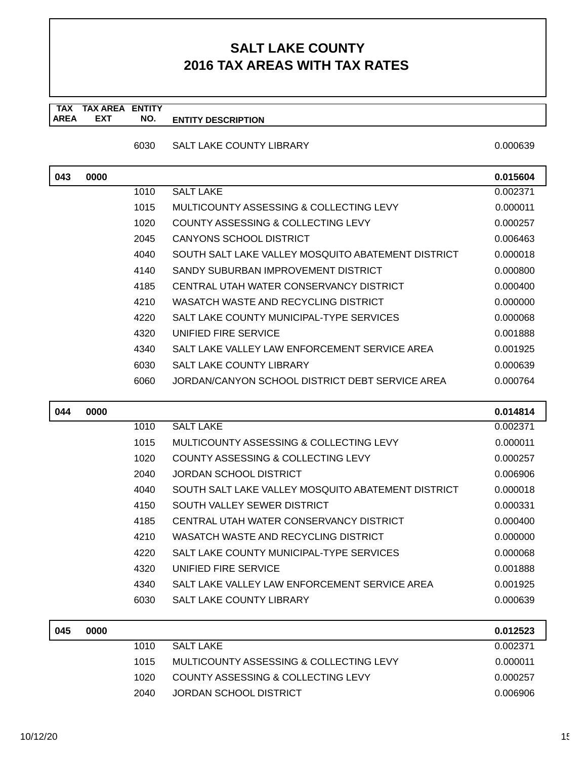**TAX TAX AREA ENTITY AREA ENTITY DESCRIPTION EXT NO.**

6030 SALT LAKE COUNTY LIBRARY

|  | 0.000639 |  |
|--|----------|--|
|  |          |  |

| 043 | 0000 |      |                                                    | 0.015604 |
|-----|------|------|----------------------------------------------------|----------|
|     |      | 1010 | <b>SALT LAKE</b>                                   | 0.002371 |
|     |      | 1015 | MULTICOUNTY ASSESSING & COLLECTING LEVY            | 0.000011 |
|     |      | 1020 | COUNTY ASSESSING & COLLECTING LEVY                 | 0.000257 |
|     |      | 2045 | <b>CANYONS SCHOOL DISTRICT</b>                     | 0.006463 |
|     |      | 4040 | SOUTH SALT LAKE VALLEY MOSQUITO ABATEMENT DISTRICT | 0.000018 |
|     |      | 4140 | SANDY SUBURBAN IMPROVEMENT DISTRICT                | 0.000800 |
|     |      | 4185 | CENTRAL UTAH WATER CONSERVANCY DISTRICT            | 0.000400 |
|     |      | 4210 | WASATCH WASTE AND RECYCLING DISTRICT               | 0.000000 |
|     |      | 4220 | SALT LAKE COUNTY MUNICIPAL-TYPE SERVICES           | 0.000068 |
|     |      | 4320 | UNIFIED FIRE SERVICE                               | 0.001888 |
|     |      | 4340 | SALT LAKE VALLEY LAW ENFORCEMENT SERVICE AREA      | 0.001925 |
|     |      | 6030 | SALT LAKE COUNTY LIBRARY                           | 0.000639 |
|     |      | 6060 | JORDAN/CANYON SCHOOL DISTRICT DEBT SERVICE AREA    | 0.000764 |
|     |      |      |                                                    |          |
| 044 | 0000 |      |                                                    | 0.014814 |
|     |      | 1010 | <b>SALT LAKE</b>                                   | 0.002371 |
|     |      | 1015 | MULTICOUNTY ASSESSING & COLLECTING LEVY            | 0.000011 |
|     |      | 1020 | COUNTY ASSESSING & COLLECTING LEVY                 | 0.000257 |
|     |      |      | <b>JORDAN SCHOOL DISTRICT</b>                      |          |
|     |      | 2040 |                                                    | 0.006906 |
|     |      | 4040 | SOUTH SALT LAKE VALLEY MOSQUITO ABATEMENT DISTRICT | 0.000018 |
|     |      | 4150 | SOUTH VALLEY SEWER DISTRICT                        | 0.000331 |
|     |      | 4185 | CENTRAL UTAH WATER CONSERVANCY DISTRICT            | 0.000400 |
|     |      | 4210 | WASATCH WASTE AND RECYCLING DISTRICT               | 0.000000 |
|     |      | 4220 | SALT LAKE COUNTY MUNICIPAL-TYPE SERVICES           | 0.000068 |
|     |      | 4320 | UNIFIED FIRE SERVICE                               | 0.001888 |
|     |      | 4340 | SALT LAKE VALLEY LAW ENFORCEMENT SERVICE AREA      | 0.001925 |
|     |      | 6030 | SALT LAKE COUNTY LIBRARY                           | 0.000639 |
|     |      |      |                                                    |          |
| 045 | 0000 |      |                                                    | 0.012523 |
|     |      | 1010 | <b>SALT LAKE</b>                                   | 0.002371 |
|     |      | 1015 | MULTICOUNTY ASSESSING & COLLECTING LEVY            | 0.000011 |
|     |      | 1020 | COUNTY ASSESSING & COLLECTING LEVY                 | 0.000257 |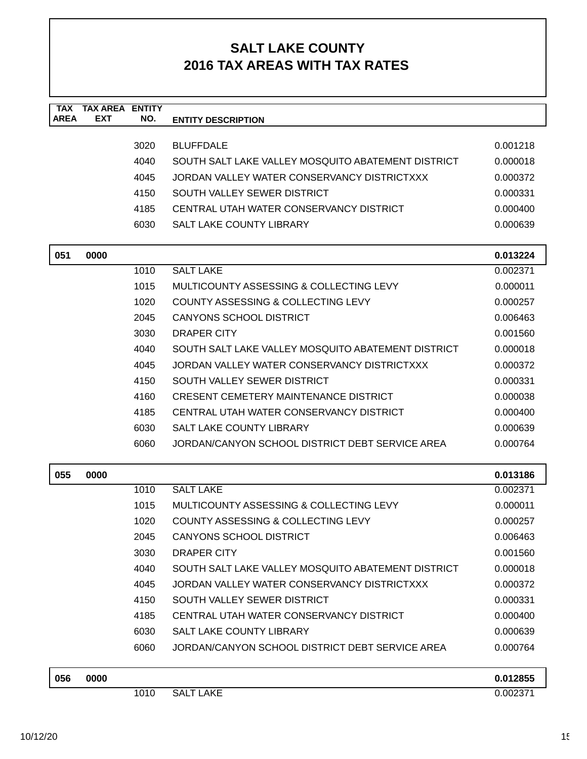| <b>TAX</b><br><b>AREA</b> | <b>TAX AREA ENTITY</b><br><b>EXT</b> | NO.  | <b>ENTITY DESCRIPTION</b>                          |          |
|---------------------------|--------------------------------------|------|----------------------------------------------------|----------|
|                           |                                      |      |                                                    |          |
|                           |                                      | 3020 | <b>BLUFFDALE</b>                                   | 0.001218 |
|                           |                                      | 4040 | SOUTH SALT LAKE VALLEY MOSQUITO ABATEMENT DISTRICT | 0.000018 |
|                           |                                      | 4045 | JORDAN VALLEY WATER CONSERVANCY DISTRICTXXX        | 0.000372 |
|                           |                                      | 4150 | SOUTH VALLEY SEWER DISTRICT                        | 0.000331 |
|                           |                                      | 4185 | CENTRAL UTAH WATER CONSERVANCY DISTRICT            | 0.000400 |
|                           |                                      | 6030 | SALT LAKE COUNTY LIBRARY                           | 0.000639 |
|                           |                                      |      |                                                    |          |
| 051                       | 0000                                 |      |                                                    | 0.013224 |
|                           |                                      | 1010 | <b>SALT LAKE</b>                                   | 0.002371 |
|                           |                                      | 1015 | MULTICOUNTY ASSESSING & COLLECTING LEVY            | 0.000011 |
|                           |                                      | 1020 | COUNTY ASSESSING & COLLECTING LEVY                 | 0.000257 |
|                           |                                      | 2045 | <b>CANYONS SCHOOL DISTRICT</b>                     | 0.006463 |
|                           |                                      | 3030 | <b>DRAPER CITY</b>                                 | 0.001560 |
|                           |                                      | 4040 | SOUTH SALT LAKE VALLEY MOSQUITO ABATEMENT DISTRICT | 0.000018 |
|                           |                                      | 4045 | JORDAN VALLEY WATER CONSERVANCY DISTRICTXXX        | 0.000372 |
|                           |                                      | 4150 | SOUTH VALLEY SEWER DISTRICT                        | 0.000331 |
|                           |                                      | 4160 | <b>CRESENT CEMETERY MAINTENANCE DISTRICT</b>       | 0.000038 |
|                           |                                      | 4185 | CENTRAL UTAH WATER CONSERVANCY DISTRICT            | 0.000400 |
|                           |                                      | 6030 | <b>SALT LAKE COUNTY LIBRARY</b>                    | 0.000639 |
|                           |                                      | 6060 | JORDAN/CANYON SCHOOL DISTRICT DEBT SERVICE AREA    | 0.000764 |
| 055                       | 0000                                 |      |                                                    | 0.013186 |
|                           |                                      | 1010 | <b>SALT LAKE</b>                                   | 0.002371 |
|                           |                                      | 1015 | MULTICOUNTY ASSESSING & COLLECTING LEVY            | 0.000011 |
|                           |                                      | 1020 | <b>COUNTY ASSESSING &amp; COLLECTING LEVY</b>      | 0.000257 |
|                           |                                      | 2045 | <b>CANYONS SCHOOL DISTRICT</b>                     | 0.006463 |
|                           |                                      | 3030 | DRAPER CITY                                        | 0.001560 |
|                           |                                      | 4040 | SOUTH SALT LAKE VALLEY MOSQUITO ABATEMENT DISTRICT | 0.000018 |
|                           |                                      | 4045 | JORDAN VALLEY WATER CONSERVANCY DISTRICTXXX        | 0.000372 |
|                           |                                      | 4150 | SOUTH VALLEY SEWER DISTRICT                        | 0.000331 |
|                           |                                      | 4185 | CENTRAL UTAH WATER CONSERVANCY DISTRICT            | 0.000400 |
|                           |                                      | 6030 | SALT LAKE COUNTY LIBRARY                           | 0.000639 |
|                           |                                      | 6060 | JORDAN/CANYON SCHOOL DISTRICT DEBT SERVICE AREA    | 0.000764 |
| 056                       | 0000                                 |      |                                                    | 0.012855 |
|                           |                                      | 1010 | <b>SALT LAKE</b>                                   | 0.002371 |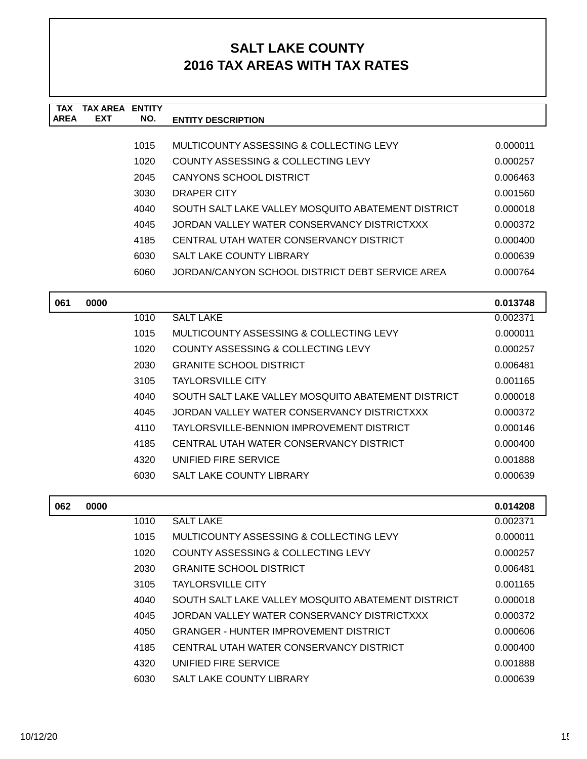| <b>TAX</b><br><b>AREA</b> | <b>TAX AREA ENTITY</b><br><b>EXT</b> | NO.  |                                                    |          |
|---------------------------|--------------------------------------|------|----------------------------------------------------|----------|
|                           |                                      |      | <b>ENTITY DESCRIPTION</b>                          |          |
|                           |                                      | 1015 | MULTICOUNTY ASSESSING & COLLECTING LEVY            | 0.000011 |
|                           |                                      | 1020 | <b>COUNTY ASSESSING &amp; COLLECTING LEVY</b>      | 0.000257 |
|                           |                                      | 2045 | <b>CANYONS SCHOOL DISTRICT</b>                     | 0.006463 |
|                           |                                      | 3030 | DRAPER CITY                                        | 0.001560 |
|                           |                                      | 4040 | SOUTH SALT LAKE VALLEY MOSQUITO ABATEMENT DISTRICT | 0.000018 |
|                           |                                      | 4045 | JORDAN VALLEY WATER CONSERVANCY DISTRICTXXX        | 0.000372 |
|                           |                                      | 4185 | CENTRAL UTAH WATER CONSERVANCY DISTRICT            | 0.000400 |
|                           |                                      | 6030 | <b>SALT LAKE COUNTY LIBRARY</b>                    | 0.000639 |
|                           |                                      | 6060 | JORDAN/CANYON SCHOOL DISTRICT DEBT SERVICE AREA    | 0.000764 |
|                           |                                      |      |                                                    |          |
| 061                       | 0000                                 |      |                                                    | 0.013748 |
|                           |                                      | 1010 | <b>SALT LAKE</b>                                   | 0.002371 |
|                           |                                      | 1015 | MULTICOUNTY ASSESSING & COLLECTING LEVY            | 0.000011 |
|                           |                                      | 1020 | COUNTY ASSESSING & COLLECTING LEVY                 | 0.000257 |
|                           |                                      | 2030 | <b>GRANITE SCHOOL DISTRICT</b>                     | 0.006481 |
|                           |                                      | 3105 | <b>TAYLORSVILLE CITY</b>                           | 0.001165 |
|                           |                                      | 4040 | SOUTH SALT LAKE VALLEY MOSQUITO ABATEMENT DISTRICT | 0.000018 |
|                           |                                      | 4045 | JORDAN VALLEY WATER CONSERVANCY DISTRICTXXX        | 0.000372 |
|                           |                                      | 4110 | TAYLORSVILLE-BENNION IMPROVEMENT DISTRICT          | 0.000146 |
|                           |                                      | 4185 | CENTRAL UTAH WATER CONSERVANCY DISTRICT            | 0.000400 |
|                           |                                      | 4320 | UNIFIED FIRE SERVICE                               | 0.001888 |
|                           |                                      | 6030 | <b>SALT LAKE COUNTY LIBRARY</b>                    | 0.000639 |
|                           |                                      |      |                                                    |          |
| 062                       | 0000                                 |      |                                                    | 0.014208 |
|                           |                                      | 1010 | <b>SALT LAKE</b>                                   | 0.002371 |
|                           |                                      | 1015 | MULTICOUNTY ASSESSING & COLLECTING LEVY            | 0.000011 |
|                           |                                      | 1020 | COUNTY ASSESSING & COLLECTING LEVY                 | 0.000257 |
|                           |                                      | 2030 | <b>GRANITE SCHOOL DISTRICT</b>                     | 0.006481 |
|                           |                                      | 3105 | <b>TAYLORSVILLE CITY</b>                           | 0.001165 |
|                           |                                      | 4040 | SOUTH SALT LAKE VALLEY MOSQUITO ABATEMENT DISTRICT | 0.000018 |
|                           |                                      | 4045 | JORDAN VALLEY WATER CONSERVANCY DISTRICTXXX        | 0.000372 |
|                           |                                      | 4050 | <b>GRANGER - HUNTER IMPROVEMENT DISTRICT</b>       | 0.000606 |
|                           |                                      | 4185 | CENTRAL UTAH WATER CONSERVANCY DISTRICT            | 0.000400 |
|                           |                                      | 4320 | UNIFIED FIRE SERVICE                               | 0.001888 |
|                           |                                      | 6030 | SALT LAKE COUNTY LIBRARY                           | 0.000639 |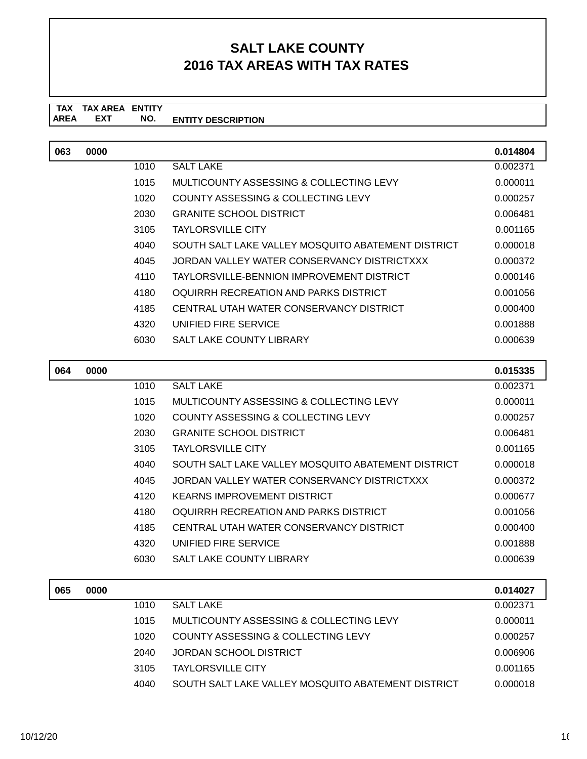#### **TAX TAX AREA ENTITY ENTITY DESCRIPTION EXT NO.**

| 063 | 0000 |      |                                                    | 0.014804 |
|-----|------|------|----------------------------------------------------|----------|
|     |      | 1010 | <b>SALT LAKE</b>                                   | 0.002371 |
|     |      | 1015 | MULTICOUNTY ASSESSING & COLLECTING LEVY            | 0.000011 |
|     |      | 1020 | COUNTY ASSESSING & COLLECTING LEVY                 | 0.000257 |
|     |      | 2030 | <b>GRANITE SCHOOL DISTRICT</b>                     | 0.006481 |
|     |      | 3105 | <b>TAYLORSVILLE CITY</b>                           | 0.001165 |
|     |      | 4040 | SOUTH SALT LAKE VALLEY MOSOUITO ABATEMENT DISTRICT | 0.000018 |
|     |      | 4045 | JORDAN VALLEY WATER CONSERVANCY DISTRICTXXX        | 0.000372 |
|     |      | 4110 | TAYLORSVILLE-BENNION IMPROVEMENT DISTRICT          | 0.000146 |
|     |      | 4180 | OQUIRRH RECREATION AND PARKS DISTRICT              | 0.001056 |
|     |      | 4185 | CENTRAL UTAH WATER CONSERVANCY DISTRICT            | 0.000400 |
|     |      | 4320 | UNIFIED FIRE SERVICE                               | 0.001888 |
|     |      | 6030 | <b>SALT LAKE COUNTY LIBRARY</b>                    | 0.000639 |

| 064 | 0000 |      |                                                    | 0.015335 |
|-----|------|------|----------------------------------------------------|----------|
|     |      | 1010 | <b>SALT LAKE</b>                                   | 0.002371 |
|     |      | 1015 | MULTICOUNTY ASSESSING & COLLECTING LEVY            | 0.000011 |
|     |      | 1020 | COUNTY ASSESSING & COLLECTING LEVY                 | 0.000257 |
|     |      | 2030 | <b>GRANITE SCHOOL DISTRICT</b>                     | 0.006481 |
|     |      | 3105 | <b>TAYLORSVILLE CITY</b>                           | 0.001165 |
|     |      | 4040 | SOUTH SALT LAKE VALLEY MOSQUITO ABATEMENT DISTRICT | 0.000018 |
|     |      | 4045 | JORDAN VALLEY WATER CONSERVANCY DISTRICTXXX        | 0.000372 |
|     |      | 4120 | <b>KEARNS IMPROVEMENT DISTRICT</b>                 | 0.000677 |
|     |      | 4180 | OQUIRRH RECREATION AND PARKS DISTRICT              | 0.001056 |
|     |      | 4185 | CENTRAL UTAH WATER CONSERVANCY DISTRICT            | 0.000400 |
|     |      | 4320 | UNIFIED FIRE SERVICE                               | 0.001888 |
|     |      | 6030 | <b>SALT LAKE COUNTY LIBRARY</b>                    | 0.000639 |
|     |      |      |                                                    |          |
| 065 | 0000 |      |                                                    | 0.014027 |
|     |      | 1010 | <b>SALT LAKE</b>                                   | 0.002371 |

| <br> |      |                                                    | V.V I TVL I |
|------|------|----------------------------------------------------|-------------|
|      | 1010 | SALT LAKE                                          | 0.002371    |
|      | 1015 | MULTICOUNTY ASSESSING & COLLECTING LEVY            | 0.000011    |
|      | 1020 | COUNTY ASSESSING & COLLECTING LEVY                 | 0.000257    |
|      | 2040 | JORDAN SCHOOL DISTRICT                             | 0.006906    |
|      | 3105 | <b>TAYLORSVILLE CITY</b>                           | 0.001165    |
|      | 4040 | SOUTH SALT LAKE VALLEY MOSQUITO ABATEMENT DISTRICT | 0.000018    |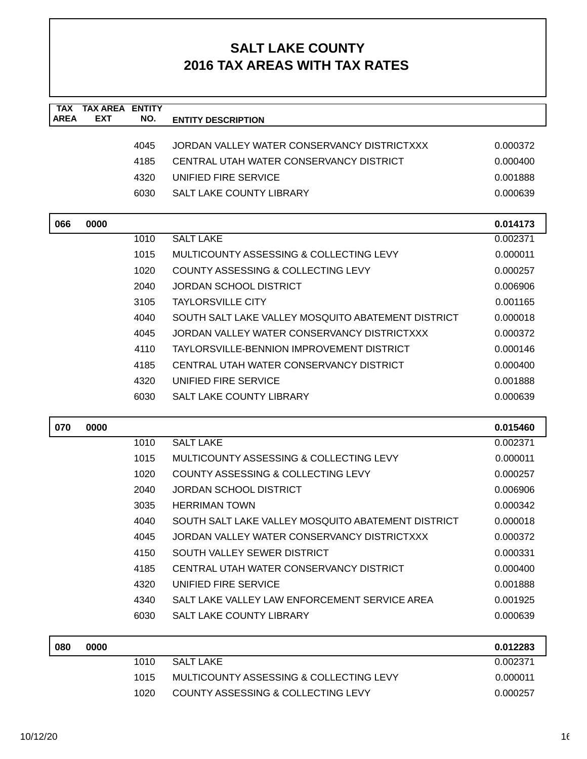| <b>TAX</b><br><b>AREA</b> | <b>TAX AREA ENTITY</b><br><b>EXT</b> | NO.  | <b>ENTITY DESCRIPTION</b>                          |          |
|---------------------------|--------------------------------------|------|----------------------------------------------------|----------|
|                           |                                      |      |                                                    |          |
|                           |                                      | 4045 | JORDAN VALLEY WATER CONSERVANCY DISTRICTXXX        | 0.000372 |
|                           |                                      | 4185 | CENTRAL UTAH WATER CONSERVANCY DISTRICT            | 0.000400 |
|                           |                                      | 4320 | UNIFIED FIRE SERVICE                               | 0.001888 |
|                           |                                      | 6030 | SALT LAKE COUNTY LIBRARY                           | 0.000639 |
| 066                       | 0000                                 |      |                                                    | 0.014173 |
|                           |                                      | 1010 | <b>SALT LAKE</b>                                   | 0.002371 |
|                           |                                      | 1015 | MULTICOUNTY ASSESSING & COLLECTING LEVY            | 0.000011 |
|                           |                                      | 1020 | COUNTY ASSESSING & COLLECTING LEVY                 | 0.000257 |
|                           |                                      | 2040 | <b>JORDAN SCHOOL DISTRICT</b>                      | 0.006906 |
|                           |                                      | 3105 | <b>TAYLORSVILLE CITY</b>                           | 0.001165 |
|                           |                                      | 4040 | SOUTH SALT LAKE VALLEY MOSQUITO ABATEMENT DISTRICT | 0.000018 |
|                           |                                      | 4045 | JORDAN VALLEY WATER CONSERVANCY DISTRICTXXX        | 0.000372 |
|                           |                                      | 4110 | TAYLORSVILLE-BENNION IMPROVEMENT DISTRICT          | 0.000146 |
|                           |                                      | 4185 | CENTRAL UTAH WATER CONSERVANCY DISTRICT            | 0.000400 |
|                           |                                      | 4320 | UNIFIED FIRE SERVICE                               | 0.001888 |
|                           |                                      | 6030 | SALT LAKE COUNTY LIBRARY                           | 0.000639 |
| 070                       | 0000                                 |      |                                                    | 0.015460 |
|                           |                                      | 1010 | <b>SALT LAKE</b>                                   | 0.002371 |
|                           |                                      | 1015 | MULTICOUNTY ASSESSING & COLLECTING LEVY            | 0.000011 |
|                           |                                      | 1020 | <b>COUNTY ASSESSING &amp; COLLECTING LEVY</b>      | 0.000257 |
|                           |                                      | 2040 | <b>JORDAN SCHOOL DISTRICT</b>                      | 0.006906 |
|                           |                                      | 3035 | <b>HERRIMAN TOWN</b>                               | 0.000342 |
|                           |                                      | 4040 | SOUTH SALT LAKE VALLEY MOSQUITO ABATEMENT DISTRICT | 0.000018 |
|                           |                                      | 4045 | JORDAN VALLEY WATER CONSERVANCY DISTRICTXXX        | 0.000372 |
|                           |                                      | 4150 | SOUTH VALLEY SEWER DISTRICT                        | 0.000331 |
|                           |                                      | 4185 | CENTRAL UTAH WATER CONSERVANCY DISTRICT            | 0.000400 |
|                           |                                      | 4320 | UNIFIED FIRE SERVICE                               | 0.001888 |
|                           |                                      | 4340 | SALT LAKE VALLEY LAW ENFORCEMENT SERVICE AREA      | 0.001925 |
|                           |                                      | 6030 | SALT LAKE COUNTY LIBRARY                           | 0.000639 |
| 080                       | 0000                                 |      |                                                    | 0.012283 |
|                           |                                      | 1010 | <b>SALT LAKE</b>                                   | 0.002371 |
|                           |                                      | 1015 | MULTICOUNTY ASSESSING & COLLECTING LEVY            | 0.000011 |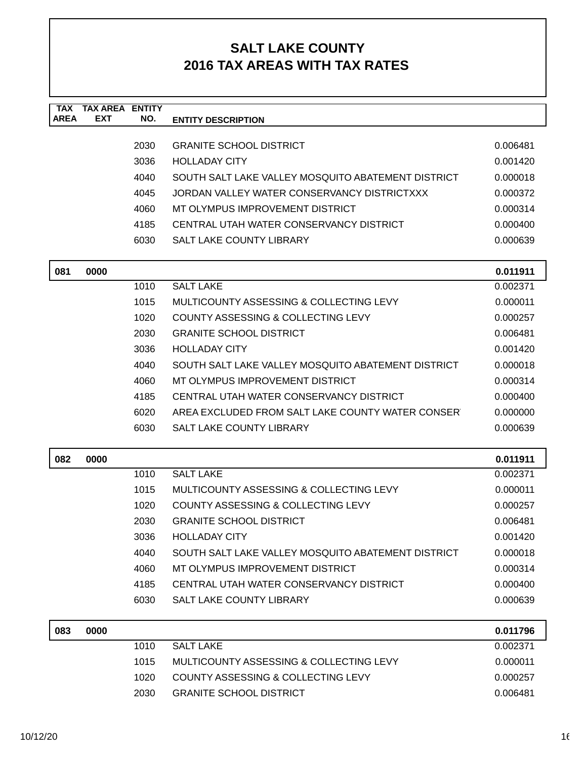| <b>TAX</b><br><b>AREA</b> | <b>TAX AREA ENTITY</b><br><b>EXT</b> | NO.  | <b>ENTITY DESCRIPTION</b>                          |          |
|---------------------------|--------------------------------------|------|----------------------------------------------------|----------|
|                           |                                      |      |                                                    |          |
|                           |                                      | 2030 | <b>GRANITE SCHOOL DISTRICT</b>                     | 0.006481 |
|                           |                                      | 3036 | <b>HOLLADAY CITY</b>                               | 0.001420 |
|                           |                                      | 4040 | SOUTH SALT LAKE VALLEY MOSQUITO ABATEMENT DISTRICT | 0.000018 |
|                           |                                      | 4045 | JORDAN VALLEY WATER CONSERVANCY DISTRICTXXX        | 0.000372 |
|                           |                                      | 4060 | MT OLYMPUS IMPROVEMENT DISTRICT                    | 0.000314 |
|                           |                                      | 4185 | CENTRAL UTAH WATER CONSERVANCY DISTRICT            | 0.000400 |
|                           |                                      | 6030 | SALT LAKE COUNTY LIBRARY                           | 0.000639 |
| 081                       | 0000                                 |      |                                                    | 0.011911 |
|                           |                                      | 1010 | <b>SALT LAKE</b>                                   | 0.002371 |
|                           |                                      | 1015 | MULTICOUNTY ASSESSING & COLLECTING LEVY            | 0.000011 |
|                           |                                      | 1020 | COUNTY ASSESSING & COLLECTING LEVY                 | 0.000257 |
|                           |                                      | 2030 | <b>GRANITE SCHOOL DISTRICT</b>                     | 0.006481 |
|                           |                                      | 3036 | <b>HOLLADAY CITY</b>                               | 0.001420 |
|                           |                                      | 4040 | SOUTH SALT LAKE VALLEY MOSQUITO ABATEMENT DISTRICT | 0.000018 |
|                           |                                      | 4060 | MT OLYMPUS IMPROVEMENT DISTRICT                    | 0.000314 |
|                           |                                      | 4185 | CENTRAL UTAH WATER CONSERVANCY DISTRICT            | 0.000400 |
|                           |                                      | 6020 | AREA EXCLUDED FROM SALT LAKE COUNTY WATER CONSER   | 0.000000 |
|                           |                                      | 6030 | <b>SALT LAKE COUNTY LIBRARY</b>                    | 0.000639 |
| 082                       | 0000                                 |      |                                                    | 0.011911 |
|                           |                                      | 1010 | <b>SALT LAKE</b>                                   | 0.002371 |
|                           |                                      | 1015 | MULTICOUNTY ASSESSING & COLLECTING LEVY            | 0.000011 |
|                           |                                      | 1020 | COUNTY ASSESSING & COLLECTING LEVY                 | 0.000257 |
|                           |                                      | 2030 | <b>GRANITE SCHOOL DISTRICT</b>                     | 0.006481 |
|                           |                                      | 3036 | <b>HOLLADAY CITY</b>                               | 0.001420 |
|                           |                                      | 4040 | SOUTH SALT LAKE VALLEY MOSQUITO ABATEMENT DISTRICT | 0.000018 |
|                           |                                      | 4060 | MT OLYMPUS IMPROVEMENT DISTRICT                    | 0.000314 |
|                           |                                      | 4185 | CENTRAL UTAH WATER CONSERVANCY DISTRICT            | 0.000400 |
|                           |                                      | 6030 | SALT LAKE COUNTY LIBRARY                           | 0.000639 |
| 083                       | 0000                                 |      |                                                    | 0.011796 |
|                           |                                      | 1010 | <b>SALT LAKE</b>                                   | 0.002371 |
|                           |                                      | 1015 | MULTICOUNTY ASSESSING & COLLECTING LEVY            | 0.000011 |
|                           |                                      | 1020 | COUNTY ASSESSING & COLLECTING LEVY                 | 0.000257 |
|                           |                                      | 2030 | <b>GRANITE SCHOOL DISTRICT</b>                     | 0.006481 |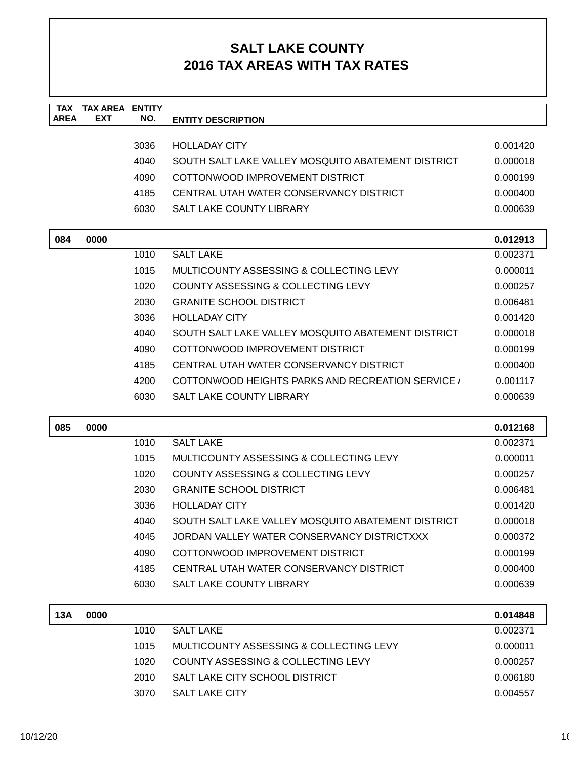| <b>TAX</b><br><b>AREA</b> | <b>TAX AREA</b><br><b>EXT</b> | <b>ENTITY</b><br>NO. | <b>ENTITY DESCRIPTION</b>                              |                      |
|---------------------------|-------------------------------|----------------------|--------------------------------------------------------|----------------------|
|                           |                               |                      |                                                        |                      |
|                           |                               | 3036                 | <b>HOLLADAY CITY</b>                                   | 0.001420             |
|                           |                               | 4040                 | SOUTH SALT LAKE VALLEY MOSQUITO ABATEMENT DISTRICT     | 0.000018             |
|                           |                               | 4090                 | COTTONWOOD IMPROVEMENT DISTRICT                        | 0.000199             |
|                           |                               | 4185                 | CENTRAL UTAH WATER CONSERVANCY DISTRICT                | 0.000400             |
|                           |                               | 6030                 | <b>SALT LAKE COUNTY LIBRARY</b>                        | 0.000639             |
|                           | 0000                          |                      |                                                        |                      |
| 084                       |                               | 1010                 | <b>SALT LAKE</b>                                       | 0.012913<br>0.002371 |
|                           |                               | 1015                 | MULTICOUNTY ASSESSING & COLLECTING LEVY                | 0.000011             |
|                           |                               | 1020                 | COUNTY ASSESSING & COLLECTING LEVY                     | 0.000257             |
|                           |                               | 2030                 | <b>GRANITE SCHOOL DISTRICT</b>                         | 0.006481             |
|                           |                               | 3036                 | <b>HOLLADAY CITY</b>                                   | 0.001420             |
|                           |                               | 4040                 | SOUTH SALT LAKE VALLEY MOSQUITO ABATEMENT DISTRICT     | 0.000018             |
|                           |                               | 4090                 | COTTONWOOD IMPROVEMENT DISTRICT                        | 0.000199             |
|                           |                               | 4185                 | CENTRAL UTAH WATER CONSERVANCY DISTRICT                | 0.000400             |
|                           |                               | 4200                 | <b>COTTONWOOD HEIGHTS PARKS AND RECREATION SERVICE</b> | 0.001117             |
|                           |                               | 6030                 | <b>SALT LAKE COUNTY LIBRARY</b>                        | 0.000639             |
|                           |                               |                      |                                                        |                      |
| 085                       | 0000                          |                      |                                                        | 0.012168             |
|                           |                               | 1010                 | <b>SALT LAKE</b>                                       | 0.002371             |
|                           |                               | 1015                 | MULTICOUNTY ASSESSING & COLLECTING LEVY                | 0.000011             |
|                           |                               | 1020                 | COUNTY ASSESSING & COLLECTING LEVY                     | 0.000257             |
|                           |                               | 2030                 | <b>GRANITE SCHOOL DISTRICT</b>                         | 0.006481             |
|                           |                               | 3036                 | <b>HOLLADAY CITY</b>                                   | 0.001420             |
|                           |                               | 4040                 | SOUTH SALT LAKE VALLEY MOSQUITO ABATEMENT DISTRICT     | 0.000018             |
|                           |                               | 4045                 | JORDAN VALLEY WATER CONSERVANCY DISTRICTXXX            | 0.000372             |
|                           |                               | 4090                 | COTTONWOOD IMPROVEMENT DISTRICT                        | 0.000199             |
|                           |                               |                      |                                                        |                      |
|                           |                               | 4185                 | CENTRAL UTAH WATER CONSERVANCY DISTRICT                | 0.000400             |
|                           |                               | 6030                 | SALT LAKE COUNTY LIBRARY                               | 0.000639             |
| 13A                       | 0000                          |                      |                                                        | 0.014848             |
|                           |                               | 1010                 | <b>SALT LAKE</b>                                       | 0.002371             |
|                           |                               | 1015                 | MULTICOUNTY ASSESSING & COLLECTING LEVY                | 0.000011             |
|                           |                               | 1020                 | COUNTY ASSESSING & COLLECTING LEVY                     | 0.000257             |
|                           |                               | 2010                 | SALT LAKE CITY SCHOOL DISTRICT                         | 0.006180             |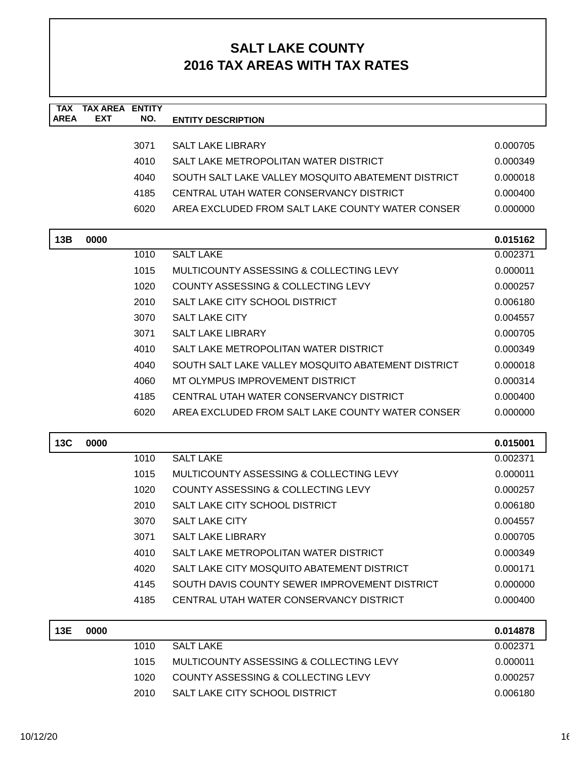| <b>TAX</b><br><b>AREA</b> | <b>TAX AREA ENTITY</b><br><b>EXT</b> | NO.  | <b>ENTITY DESCRIPTION</b>                          |          |
|---------------------------|--------------------------------------|------|----------------------------------------------------|----------|
|                           |                                      |      |                                                    |          |
|                           |                                      | 3071 | <b>SALT LAKE LIBRARY</b>                           | 0.000705 |
|                           |                                      | 4010 | SALT LAKE METROPOLITAN WATER DISTRICT              | 0.000349 |
|                           |                                      | 4040 | SOUTH SALT LAKE VALLEY MOSQUITO ABATEMENT DISTRICT | 0.000018 |
|                           |                                      | 4185 | CENTRAL UTAH WATER CONSERVANCY DISTRICT            | 0.000400 |
|                           |                                      | 6020 | AREA EXCLUDED FROM SALT LAKE COUNTY WATER CONSER   | 0.000000 |
| 13B                       | 0000                                 |      |                                                    | 0.015162 |
|                           |                                      | 1010 | <b>SALT LAKE</b>                                   | 0.002371 |
|                           |                                      | 1015 | MULTICOUNTY ASSESSING & COLLECTING LEVY            | 0.000011 |
|                           |                                      | 1020 | <b>COUNTY ASSESSING &amp; COLLECTING LEVY</b>      | 0.000257 |
|                           |                                      | 2010 | SALT LAKE CITY SCHOOL DISTRICT                     | 0.006180 |
|                           |                                      | 3070 | <b>SALT LAKE CITY</b>                              | 0.004557 |
|                           |                                      | 3071 | <b>SALT LAKE LIBRARY</b>                           | 0.000705 |
|                           |                                      | 4010 | SALT LAKE METROPOLITAN WATER DISTRICT              | 0.000349 |
|                           |                                      | 4040 | SOUTH SALT LAKE VALLEY MOSQUITO ABATEMENT DISTRICT | 0.000018 |
|                           |                                      | 4060 | MT OLYMPUS IMPROVEMENT DISTRICT                    | 0.000314 |
|                           |                                      | 4185 | CENTRAL UTAH WATER CONSERVANCY DISTRICT            | 0.000400 |
|                           |                                      | 6020 | AREA EXCLUDED FROM SALT LAKE COUNTY WATER CONSER   | 0.000000 |
| <b>13C</b>                | 0000                                 |      |                                                    | 0.015001 |
|                           |                                      | 1010 | <b>SALT LAKE</b>                                   | 0.002371 |
|                           |                                      | 1015 | MULTICOUNTY ASSESSING & COLLECTING LEVY            | 0.000011 |
|                           |                                      | 1020 | COUNTY ASSESSING & COLLECTING LEVY                 | 0.000257 |
|                           |                                      | 2010 | SALT LAKE CITY SCHOOL DISTRICT                     | 0.006180 |
|                           |                                      | 3070 | <b>SALT LAKE CITY</b>                              | 0.004557 |
|                           |                                      | 3071 | <b>SALT LAKE LIBRARY</b>                           | 0.000705 |
|                           |                                      | 4010 | SALT LAKE METROPOLITAN WATER DISTRICT              | 0.000349 |
|                           |                                      | 4020 | SALT LAKE CITY MOSQUITO ABATEMENT DISTRICT         | 0.000171 |
|                           |                                      | 4145 | SOUTH DAVIS COUNTY SEWER IMPROVEMENT DISTRICT      | 0.000000 |
|                           |                                      | 4185 | CENTRAL UTAH WATER CONSERVANCY DISTRICT            | 0.000400 |
|                           |                                      |      |                                                    |          |
| 13E                       | 0000                                 |      |                                                    | 0.014878 |
|                           |                                      | 1010 | <b>SALT LAKE</b>                                   | 0.002371 |
|                           |                                      | 1015 | MULTICOUNTY ASSESSING & COLLECTING LEVY            | 0.000011 |
|                           |                                      | 1020 | COUNTY ASSESSING & COLLECTING LEVY                 | 0.000257 |
|                           |                                      | 2010 | SALT LAKE CITY SCHOOL DISTRICT                     | 0.006180 |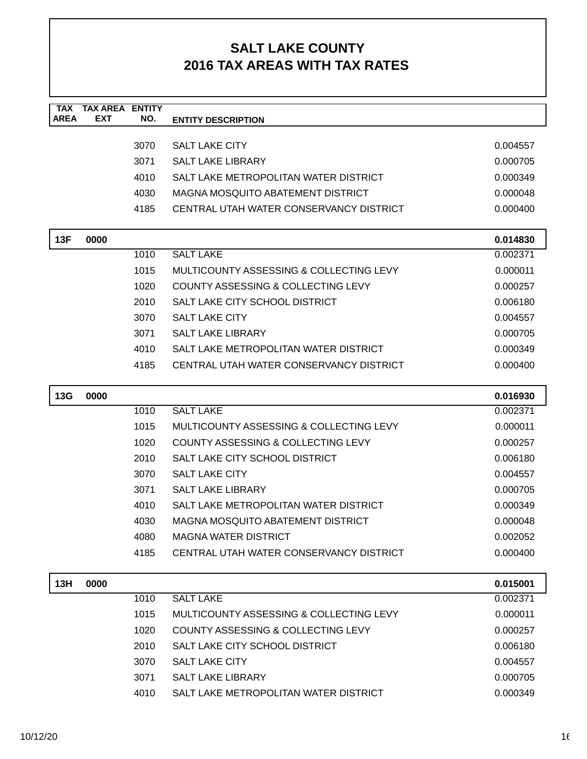| <b>TAX</b>  | <b>TAX AREA ENTITY</b> |      |                                               |          |
|-------------|------------------------|------|-----------------------------------------------|----------|
| <b>AREA</b> | <b>EXT</b>             | NO.  | <b>ENTITY DESCRIPTION</b>                     |          |
|             |                        | 3070 | <b>SALT LAKE CITY</b>                         | 0.004557 |
|             |                        | 3071 | <b>SALT LAKE LIBRARY</b>                      | 0.000705 |
|             |                        | 4010 | SALT LAKE METROPOLITAN WATER DISTRICT         | 0.000349 |
|             |                        | 4030 | MAGNA MOSQUITO ABATEMENT DISTRICT             | 0.000048 |
|             |                        | 4185 | CENTRAL UTAH WATER CONSERVANCY DISTRICT       | 0.000400 |
|             |                        |      |                                               |          |
| 13F         | 0000                   |      |                                               | 0.014830 |
|             |                        | 1010 | <b>SALT LAKE</b>                              | 0.002371 |
|             |                        | 1015 | MULTICOUNTY ASSESSING & COLLECTING LEVY       | 0.000011 |
|             |                        | 1020 | COUNTY ASSESSING & COLLECTING LEVY            | 0.000257 |
|             |                        | 2010 | SALT LAKE CITY SCHOOL DISTRICT                | 0.006180 |
|             |                        | 3070 | <b>SALT LAKE CITY</b>                         | 0.004557 |
|             |                        | 3071 | <b>SALT LAKE LIBRARY</b>                      | 0.000705 |
|             |                        | 4010 | SALT LAKE METROPOLITAN WATER DISTRICT         | 0.000349 |
|             |                        | 4185 | CENTRAL UTAH WATER CONSERVANCY DISTRICT       | 0.000400 |
|             |                        |      |                                               |          |
| 13G         | 0000                   |      |                                               | 0.016930 |
|             |                        | 1010 | <b>SALT LAKE</b>                              | 0.002371 |
|             |                        | 1015 | MULTICOUNTY ASSESSING & COLLECTING LEVY       | 0.000011 |
|             |                        | 1020 | COUNTY ASSESSING & COLLECTING LEVY            | 0.000257 |
|             |                        | 2010 | SALT LAKE CITY SCHOOL DISTRICT                | 0.006180 |
|             |                        | 3070 | <b>SALT LAKE CITY</b>                         | 0.004557 |
|             |                        | 3071 | <b>SALT LAKE LIBRARY</b>                      | 0.000705 |
|             |                        | 4010 | SALT LAKE METROPOLITAN WATER DISTRICT         | 0.000349 |
|             |                        | 4030 | MAGNA MOSQUITO ABATEMENT DISTRICT             | 0.000048 |
|             |                        | 4080 | <b>MAGNA WATER DISTRICT</b>                   | 0.002052 |
|             |                        | 4185 | CENTRAL UTAH WATER CONSERVANCY DISTRICT       | 0.000400 |
| 13H         | 0000                   |      |                                               | 0.015001 |
|             |                        | 1010 | <b>SALT LAKE</b>                              | 0.002371 |
|             |                        | 1015 | MULTICOUNTY ASSESSING & COLLECTING LEVY       | 0.000011 |
|             |                        | 1020 | <b>COUNTY ASSESSING &amp; COLLECTING LEVY</b> | 0.000257 |
|             |                        | 2010 | SALT LAKE CITY SCHOOL DISTRICT                | 0.006180 |
|             |                        | 3070 | <b>SALT LAKE CITY</b>                         | 0.004557 |
|             |                        | 3071 | <b>SALT LAKE LIBRARY</b>                      | 0.000705 |
|             |                        | 4010 | SALT LAKE METROPOLITAN WATER DISTRICT         | 0.000349 |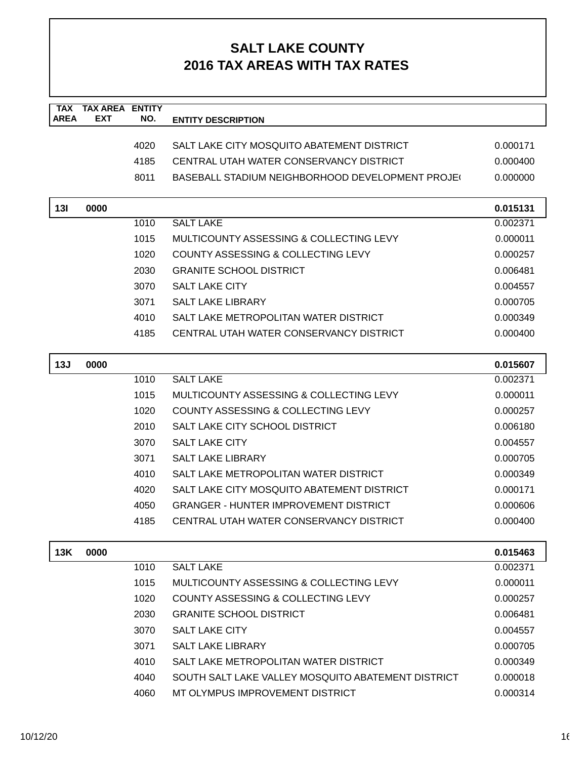| <b>TAX</b><br><b>AREA</b> | <b>TAX AREA</b><br><b>EXT</b> | <b>ENTITY</b><br>NO. |                                                         |          |
|---------------------------|-------------------------------|----------------------|---------------------------------------------------------|----------|
|                           |                               |                      | <b>ENTITY DESCRIPTION</b>                               |          |
|                           |                               | 4020                 | SALT LAKE CITY MOSQUITO ABATEMENT DISTRICT              | 0.000171 |
|                           |                               | 4185                 | CENTRAL UTAH WATER CONSERVANCY DISTRICT                 | 0.000400 |
|                           |                               | 8011                 | <b>BASEBALL STADIUM NEIGHBORHOOD DEVELOPMENT PROJE(</b> | 0.000000 |
|                           |                               |                      |                                                         |          |
| 13I                       | 0000                          |                      |                                                         | 0.015131 |
|                           |                               | 1010                 | <b>SALT LAKE</b>                                        | 0.002371 |
|                           |                               | 1015                 | MULTICOUNTY ASSESSING & COLLECTING LEVY                 | 0.000011 |
|                           |                               | 1020                 | <b>COUNTY ASSESSING &amp; COLLECTING LEVY</b>           | 0.000257 |
|                           |                               | 2030                 | <b>GRANITE SCHOOL DISTRICT</b>                          | 0.006481 |
|                           |                               | 3070                 | <b>SALT LAKE CITY</b>                                   | 0.004557 |
|                           |                               | 3071                 | <b>SALT LAKE LIBRARY</b>                                | 0.000705 |
|                           |                               | 4010                 | SALT LAKE METROPOLITAN WATER DISTRICT                   | 0.000349 |
|                           |                               | 4185                 | CENTRAL UTAH WATER CONSERVANCY DISTRICT                 | 0.000400 |
|                           |                               |                      |                                                         |          |
| 13J                       | 0000                          |                      |                                                         | 0.015607 |
|                           |                               | 1010                 | <b>SALT LAKE</b>                                        | 0.002371 |
|                           |                               | 1015                 | MULTICOUNTY ASSESSING & COLLECTING LEVY                 | 0.000011 |
|                           |                               | 1020                 | COUNTY ASSESSING & COLLECTING LEVY                      | 0.000257 |
|                           |                               | 2010                 | SALT LAKE CITY SCHOOL DISTRICT                          | 0.006180 |
|                           |                               | 3070                 | <b>SALT LAKE CITY</b>                                   | 0.004557 |
|                           |                               | 3071                 | <b>SALT LAKE LIBRARY</b>                                | 0.000705 |
|                           |                               | 4010                 | SALT LAKE METROPOLITAN WATER DISTRICT                   | 0.000349 |
|                           |                               | 4020                 | SALT LAKE CITY MOSQUITO ABATEMENT DISTRICT              | 0.000171 |
|                           |                               | 4050                 | <b>GRANGER - HUNTER IMPROVEMENT DISTRICT</b>            | 0.000606 |
|                           |                               | 4185                 | CENTRAL UTAH WATER CONSERVANCY DISTRICT                 | 0.000400 |
|                           |                               |                      |                                                         |          |
| 13K                       | 0000                          |                      |                                                         | 0.015463 |
|                           |                               | 1010                 | <b>SALT LAKE</b>                                        | 0.002371 |
|                           |                               | 1015                 | MULTICOUNTY ASSESSING & COLLECTING LEVY                 | 0.000011 |
|                           |                               | 1020                 | COUNTY ASSESSING & COLLECTING LEVY                      | 0.000257 |
|                           |                               | 2030                 | <b>GRANITE SCHOOL DISTRICT</b>                          | 0.006481 |
|                           |                               | 3070                 | <b>SALT LAKE CITY</b>                                   | 0.004557 |
|                           |                               | 3071                 | <b>SALT LAKE LIBRARY</b>                                | 0.000705 |
|                           |                               | 4010                 | SALT LAKE METROPOLITAN WATER DISTRICT                   | 0.000349 |
|                           |                               | 4040                 | SOUTH SALT LAKE VALLEY MOSQUITO ABATEMENT DISTRICT      | 0.000018 |
|                           |                               | 4060                 | MT OLYMPUS IMPROVEMENT DISTRICT                         | 0.000314 |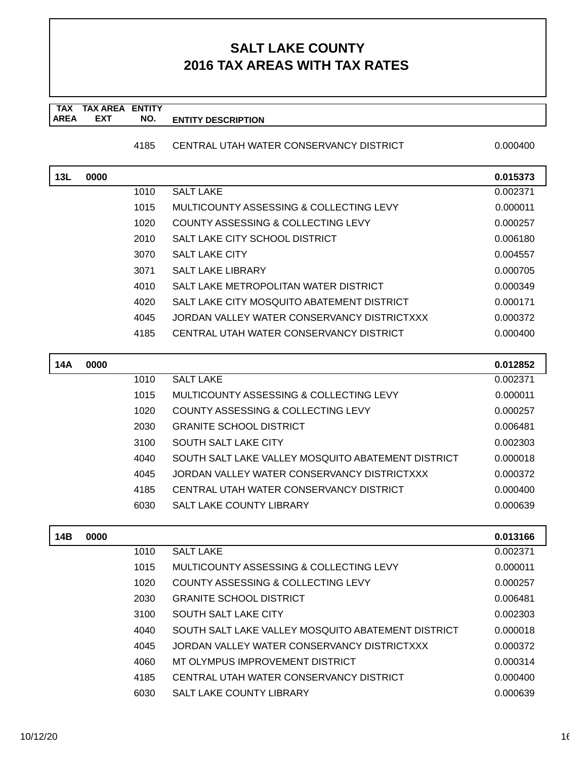#### **TAX TAX AREA ENTITY AREA ENTITY DESCRIPTION EXT NO.**

#### 4185 CENTRAL UTAH WATER CONSERVANCY DISTRICT 0.000400

| 13L | 0000 |      |                                                    | 0.015373 |
|-----|------|------|----------------------------------------------------|----------|
|     |      | 1010 | <b>SALT LAKE</b>                                   | 0.002371 |
|     |      | 1015 | MULTICOUNTY ASSESSING & COLLECTING LEVY            | 0.000011 |
|     |      | 1020 | COUNTY ASSESSING & COLLECTING LEVY                 | 0.000257 |
|     |      | 2010 | SALT LAKE CITY SCHOOL DISTRICT                     | 0.006180 |
|     |      | 3070 | <b>SALT LAKE CITY</b>                              | 0.004557 |
|     |      | 3071 | <b>SALT LAKE LIBRARY</b>                           | 0.000705 |
|     |      | 4010 | SALT LAKE METROPOLITAN WATER DISTRICT              | 0.000349 |
|     |      | 4020 | SALT LAKE CITY MOSQUITO ABATEMENT DISTRICT         | 0.000171 |
|     |      | 4045 | JORDAN VALLEY WATER CONSERVANCY DISTRICTXXX        | 0.000372 |
|     |      | 4185 | CENTRAL UTAH WATER CONSERVANCY DISTRICT            | 0.000400 |
|     |      |      |                                                    |          |
| 14A | 0000 |      |                                                    | 0.012852 |
|     |      | 1010 | <b>SALT LAKE</b>                                   | 0.002371 |
|     |      | 1015 | MULTICOUNTY ASSESSING & COLLECTING LEVY            | 0.000011 |
|     |      | 1020 | COUNTY ASSESSING & COLLECTING LEVY                 | 0.000257 |
|     |      | 2030 | <b>GRANITE SCHOOL DISTRICT</b>                     | 0.006481 |
|     |      | 3100 | <b>SOUTH SALT LAKE CITY</b>                        | 0.002303 |
|     |      | 4040 | SOUTH SALT LAKE VALLEY MOSQUITO ABATEMENT DISTRICT | 0.000018 |
|     |      | 4045 | JORDAN VALLEY WATER CONSERVANCY DISTRICTXXX        | 0.000372 |
|     |      | 4185 | CENTRAL UTAH WATER CONSERVANCY DISTRICT            | 0.000400 |
|     |      | 6030 | <b>SALT LAKE COUNTY LIBRARY</b>                    | 0.000639 |
|     |      |      |                                                    |          |
| 14B | 0000 |      |                                                    | 0.013166 |
|     |      | 1010 | <b>SALT LAKE</b>                                   | 0.002371 |
|     |      | 1015 | MULTICOUNTY ASSESSING & COLLECTING LEVY            | 0.000011 |
|     |      | 1020 | COUNTY ASSESSING & COLLECTING LEVY                 | 0.000257 |
|     |      | 2030 | <b>GRANITE SCHOOL DISTRICT</b>                     | 0.006481 |
|     |      | 3100 | SOUTH SALT LAKE CITY                               | 0.002303 |
|     |      | 4040 | SOUTH SALT LAKE VALLEY MOSQUITO ABATEMENT DISTRICT | 0.000018 |
|     |      | 4045 | JORDAN VALLEY WATER CONSERVANCY DISTRICTXXX        | 0.000372 |
|     |      | 4060 | MT OLYMPUS IMPROVEMENT DISTRICT                    | 0.000314 |
|     |      | 4185 | CENTRAL UTAH WATER CONSERVANCY DISTRICT            | 0.000400 |
|     |      | 6030 | SALT LAKE COUNTY LIBRARY                           | 0.000639 |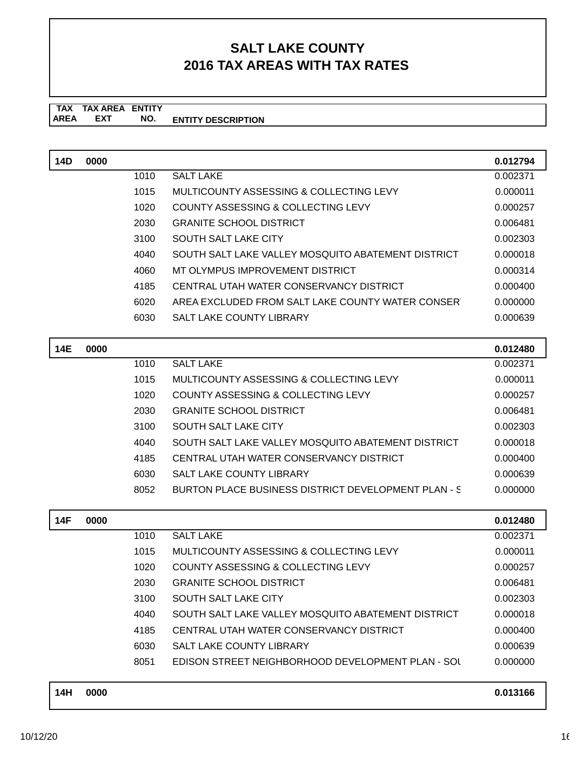#### **TAX TAX AREA ENTITY AREA ENTITY DESCRIPTION EXT NO.**

| 14D        | 0000 |      |                                                    | 0.012794 |
|------------|------|------|----------------------------------------------------|----------|
|            |      | 1010 | <b>SALT LAKE</b>                                   | 0.002371 |
|            |      | 1015 | MULTICOUNTY ASSESSING & COLLECTING LEVY            | 0.000011 |
|            |      | 1020 | <b>COUNTY ASSESSING &amp; COLLECTING LEVY</b>      | 0.000257 |
|            |      | 2030 | <b>GRANITE SCHOOL DISTRICT</b>                     | 0.006481 |
|            |      | 3100 | <b>SOUTH SALT LAKE CITY</b>                        | 0.002303 |
|            |      | 4040 | SOUTH SALT LAKE VALLEY MOSQUITO ABATEMENT DISTRICT | 0.000018 |
|            |      | 4060 | MT OLYMPUS IMPROVEMENT DISTRICT                    | 0.000314 |
|            |      | 4185 | CENTRAL UTAH WATER CONSERVANCY DISTRICT            | 0.000400 |
|            |      | 6020 | AREA EXCLUDED FROM SALT LAKE COUNTY WATER CONSER   | 0.000000 |
|            |      | 6030 | SALT LAKE COUNTY LIBRARY                           | 0.000639 |
|            |      |      |                                                    |          |
| <b>14E</b> | 0000 |      |                                                    | 0.012480 |
|            |      | 1010 | <b>SALT LAKE</b>                                   | 0.002371 |
|            |      | 1015 | MULTICOUNTY ASSESSING & COLLECTING LEVY            | 0.000011 |
|            |      | 1020 | COUNTY ASSESSING & COLLECTING LEVY                 | 0.000257 |
|            |      | 2030 | <b>GRANITE SCHOOL DISTRICT</b>                     | 0.006481 |
|            |      | 3100 | <b>SOUTH SALT LAKE CITY</b>                        | 0.002303 |
|            |      | 4040 | SOUTH SALT LAKE VALLEY MOSOUITO ABATEMENT DISTRICT | 0.000018 |
|            |      | 4185 | CENTRAL UTAH WATER CONSERVANCY DISTRICT            | 0.000400 |
|            |      | 6030 | <b>SALT LAKE COUNTY LIBRARY</b>                    | 0.000639 |

| 14F | 0000 |      |                                                    | 0.012480 |
|-----|------|------|----------------------------------------------------|----------|
|     |      | 1010 | <b>SALT LAKE</b>                                   | 0.002371 |
|     |      | 1015 | MULTICOUNTY ASSESSING & COLLECTING LEVY            | 0.000011 |
|     |      | 1020 | COUNTY ASSESSING & COLLECTING LEVY                 | 0.000257 |
|     |      | 2030 | <b>GRANITE SCHOOL DISTRICT</b>                     | 0.006481 |
|     |      | 3100 | SOUTH SALT LAKE CITY                               | 0.002303 |
|     |      | 4040 | SOUTH SALT LAKE VALLEY MOSQUITO ABATEMENT DISTRICT | 0.000018 |
|     |      | 4185 | CENTRAL UTAH WATER CONSERVANCY DISTRICT            | 0.000400 |
|     |      | 6030 | <b>SALT LAKE COUNTY LIBRARY</b>                    | 0.000639 |
|     |      | 8051 | EDISON STREET NEIGHBORHOOD DEVELOPMENT PLAN - SOL  | 0.000000 |
|     |      |      |                                                    |          |

8052 BURTON PLACE BUSINESS DISTRICT DEVELOPMENT PLAN - S 0.000000

| 14H | 0000 | 0.013166 |
|-----|------|----------|
|     |      |          |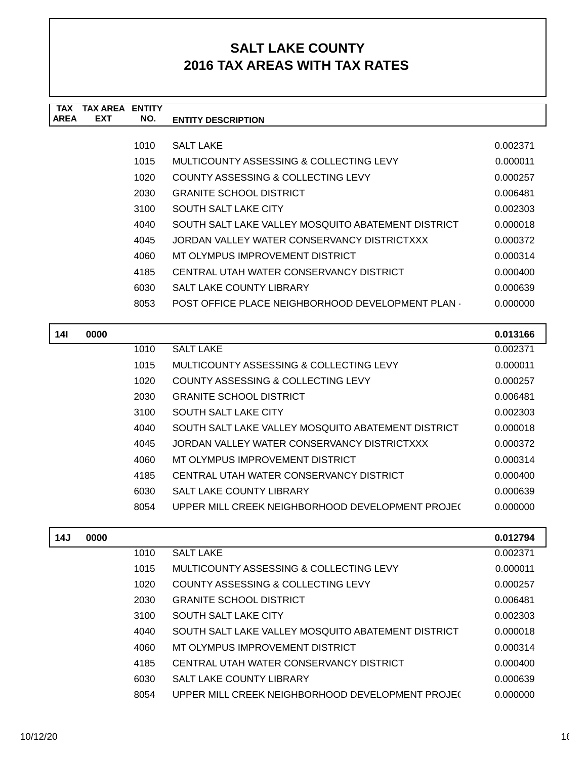| TAX         | TAX ARFA   | <b>FNTITY</b> |                                                    |          |
|-------------|------------|---------------|----------------------------------------------------|----------|
| <b>AREA</b> | <b>EXT</b> | NO.           | <b>ENTITY DESCRIPTION</b>                          |          |
|             |            |               |                                                    |          |
|             |            | 1010          | <b>SALT LAKE</b>                                   | 0.002371 |
|             |            | 1015          | MULTICOUNTY ASSESSING & COLLECTING LEVY            | 0.000011 |
|             |            | 1020          | COUNTY ASSESSING & COLLECTING LEVY                 | 0.000257 |
|             |            | 2030          | <b>GRANITE SCHOOL DISTRICT</b>                     | 0.006481 |
|             |            | 3100          | SOUTH SALT LAKE CITY                               | 0.002303 |
|             |            | 4040          | SOUTH SALT LAKE VALLEY MOSQUITO ABATEMENT DISTRICT | 0.000018 |
|             |            | 4045          | JORDAN VALLEY WATER CONSERVANCY DISTRICTXXX        | 0.000372 |
|             |            | 4060          | MT OLYMPUS IMPROVEMENT DISTRICT                    | 0.000314 |
|             |            | 4185          | CENTRAL UTAH WATER CONSERVANCY DISTRICT            | 0.000400 |
|             |            | 6030          | <b>SALT LAKE COUNTY LIBRARY</b>                    | 0.000639 |
|             |            | 8053          | POST OFFICE PLACE NEIGHBORHOOD DEVELOPMENT PLAN.   | 0.000000 |
|             |            |               |                                                    |          |

| 14I | 0000 |      |                                                    | 0.013166 |
|-----|------|------|----------------------------------------------------|----------|
|     |      | 1010 | <b>SALT LAKE</b>                                   | 0.002371 |
|     |      | 1015 | MULTICOUNTY ASSESSING & COLLECTING LEVY            | 0.000011 |
|     |      | 1020 | COUNTY ASSESSING & COLLECTING LEVY                 | 0.000257 |
|     |      | 2030 | <b>GRANITE SCHOOL DISTRICT</b>                     | 0.006481 |
|     |      | 3100 | SOUTH SALT LAKE CITY                               | 0.002303 |
|     |      | 4040 | SOUTH SALT LAKE VALLEY MOSQUITO ABATEMENT DISTRICT | 0.000018 |
|     |      | 4045 | JORDAN VALLEY WATER CONSERVANCY DISTRICTXXX        | 0.000372 |
|     |      | 4060 | MT OLYMPUS IMPROVEMENT DISTRICT                    | 0.000314 |
|     |      | 4185 | CENTRAL UTAH WATER CONSERVANCY DISTRICT            | 0.000400 |
|     |      | 6030 | <b>SALT LAKE COUNTY LIBRARY</b>                    | 0.000639 |
|     |      | 8054 | UPPER MILL CREEK NEIGHBORHOOD DEVELOPMENT PROJEC   | 0.000000 |

| 14J | 0000 |      |                                                    | 0.012794 |
|-----|------|------|----------------------------------------------------|----------|
|     |      | 1010 | <b>SALT LAKE</b>                                   | 0.002371 |
|     |      | 1015 | MULTICOUNTY ASSESSING & COLLECTING LEVY            | 0.000011 |
|     |      | 1020 | COUNTY ASSESSING & COLLECTING LEVY                 | 0.000257 |
|     |      | 2030 | <b>GRANITE SCHOOL DISTRICT</b>                     | 0.006481 |
|     |      | 3100 | SOUTH SALT LAKE CITY                               | 0.002303 |
|     |      | 4040 | SOUTH SALT LAKE VALLEY MOSQUITO ABATEMENT DISTRICT | 0.000018 |
|     |      | 4060 | MT OLYMPUS IMPROVEMENT DISTRICT                    | 0.000314 |
|     |      | 4185 | CENTRAL UTAH WATER CONSERVANCY DISTRICT            | 0.000400 |
|     |      | 6030 | <b>SALT LAKE COUNTY LIBRARY</b>                    | 0.000639 |
|     |      | 8054 | UPPER MILL CREEK NEIGHBORHOOD DEVELOPMENT PROJE(   | 0.000000 |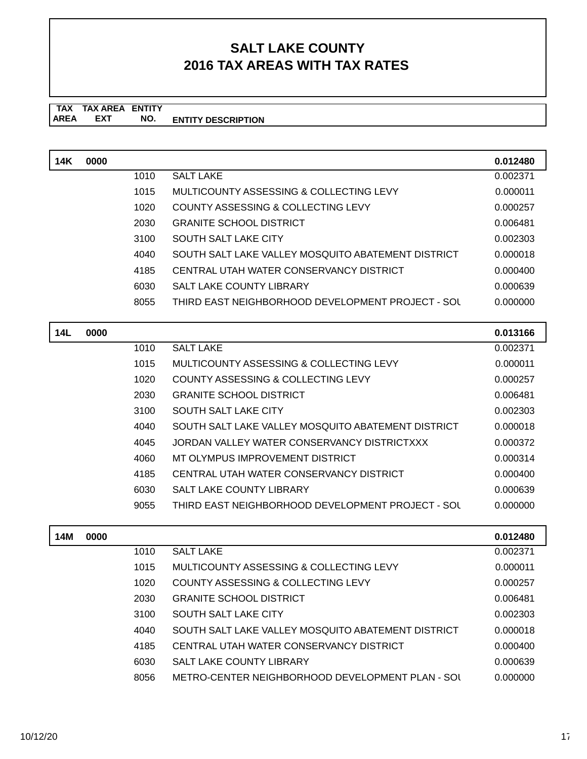#### **TAX TAX AREA ENTITY ENTITY DESCRIPTION** AREA EXT  **NO.**

| 14K | 0000 |      |                                                    | 0.012480 |
|-----|------|------|----------------------------------------------------|----------|
|     |      | 1010 | <b>SALT LAKE</b>                                   | 0.002371 |
|     |      | 1015 | MULTICOUNTY ASSESSING & COLLECTING LEVY            | 0.000011 |
|     |      | 1020 | COUNTY ASSESSING & COLLECTING LEVY                 | 0.000257 |
|     |      | 2030 | <b>GRANITE SCHOOL DISTRICT</b>                     | 0.006481 |
|     |      | 3100 | SOUTH SALT LAKE CITY                               | 0.002303 |
|     |      | 4040 | SOUTH SALT LAKE VALLEY MOSQUITO ABATEMENT DISTRICT | 0.000018 |
|     |      | 4185 | CENTRAL UTAH WATER CONSERVANCY DISTRICT            | 0.000400 |
|     |      | 6030 | SALT LAKE COUNTY LIBRARY                           | 0.000639 |
|     |      | 8055 | THIRD EAST NEIGHBORHOOD DEVELOPMENT PROJECT - SOL  | 0.000000 |
|     |      |      |                                                    |          |

| 14L | 0000 |      |                                                    | 0.013166 |
|-----|------|------|----------------------------------------------------|----------|
|     |      | 1010 | <b>SALT LAKE</b>                                   | 0.002371 |
|     |      | 1015 | MULTICOUNTY ASSESSING & COLLECTING LEVY            | 0.000011 |
|     |      | 1020 | COUNTY ASSESSING & COLLECTING LEVY                 | 0.000257 |
|     |      | 2030 | <b>GRANITE SCHOOL DISTRICT</b>                     | 0.006481 |
|     |      | 3100 | SOUTH SALT LAKE CITY                               | 0.002303 |
|     |      | 4040 | SOUTH SALT LAKE VALLEY MOSQUITO ABATEMENT DISTRICT | 0.000018 |
|     |      | 4045 | JORDAN VALLEY WATER CONSERVANCY DISTRICTXXX        | 0.000372 |
|     |      | 4060 | MT OLYMPUS IMPROVEMENT DISTRICT                    | 0.000314 |
|     |      | 4185 | CENTRAL UTAH WATER CONSERVANCY DISTRICT            | 0.000400 |
|     |      | 6030 | <b>SALT LAKE COUNTY LIBRARY</b>                    | 0.000639 |
|     |      | 9055 | THIRD EAST NEIGHBORHOOD DEVELOPMENT PROJECT - SOL  | 0.000000 |
|     |      |      |                                                    |          |

| 14M | 0000 |      |                                                    | 0.012480 |
|-----|------|------|----------------------------------------------------|----------|
|     |      | 1010 | <b>SALT LAKE</b>                                   | 0.002371 |
|     |      | 1015 | MULTICOUNTY ASSESSING & COLLECTING LEVY            | 0.000011 |
|     |      | 1020 | COUNTY ASSESSING & COLLECTING LEVY                 | 0.000257 |
|     |      | 2030 | <b>GRANITE SCHOOL DISTRICT</b>                     | 0.006481 |
|     |      | 3100 | SOUTH SALT LAKE CITY                               | 0.002303 |
|     |      | 4040 | SOUTH SALT LAKE VALLEY MOSQUITO ABATEMENT DISTRICT | 0.000018 |
|     |      | 4185 | CENTRAL UTAH WATER CONSERVANCY DISTRICT            | 0.000400 |
|     |      | 6030 | <b>SALT LAKE COUNTY LIBRARY</b>                    | 0.000639 |
|     |      | 8056 | METRO-CENTER NEIGHBORHOOD DEVELOPMENT PLAN - SOU   | 0.000000 |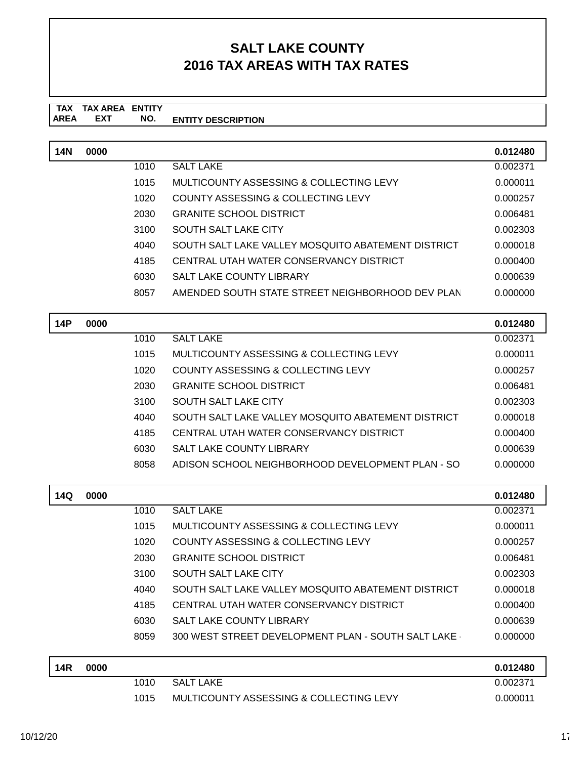#### **TAX TAX AREA ENTITY AREA ENTITY DESCRIPTION EXT NO.**

| <b>14N</b> | 0000 |      |                                                    | 0.012480 |
|------------|------|------|----------------------------------------------------|----------|
|            |      | 1010 | <b>SALT LAKE</b>                                   | 0.002371 |
|            |      | 1015 | MULTICOUNTY ASSESSING & COLLECTING LEVY            | 0.000011 |
|            |      | 1020 | COUNTY ASSESSING & COLLECTING LEVY                 | 0.000257 |
|            |      | 2030 | <b>GRANITE SCHOOL DISTRICT</b>                     | 0.006481 |
|            |      | 3100 | <b>SOUTH SALT LAKE CITY</b>                        | 0.002303 |
|            |      | 4040 | SOUTH SALT LAKE VALLEY MOSQUITO ABATEMENT DISTRICT | 0.000018 |
|            |      | 4185 | CENTRAL UTAH WATER CONSERVANCY DISTRICT            | 0.000400 |
|            |      | 6030 | <b>SALT LAKE COUNTY LIBRARY</b>                    | 0.000639 |
|            |      | 8057 | AMENDED SOUTH STATE STREET NEIGHBORHOOD DEV PLAN   | 0.000000 |
|            |      |      |                                                    |          |
| 14P        | 0000 |      |                                                    | 0.012480 |
|            |      | 1010 | <b>SALT LAKE</b>                                   | 0.002371 |
|            |      | 1015 | MULTICOUNTY ASSESSING & COLLECTING LEVY            | 0.000011 |
|            |      | 1020 | COUNTY ASSESSING & COLLECTING LEVY                 | 0.000257 |
|            |      | 2030 | <b>GRANITE SCHOOL DISTRICT</b>                     | 0.006481 |
|            |      | 3100 | <b>SOUTH SALT LAKE CITY</b>                        | 0.002303 |
|            |      | 4040 | SOUTH SALT LAKE VALLEY MOSQUITO ABATEMENT DISTRICT | 0.000018 |
|            |      | 4185 | CENTRAL UTAH WATER CONSERVANCY DISTRICT            | 0.000400 |
|            |      | 6030 | <b>SALT LAKE COUNTY LIBRARY</b>                    | 0.000639 |
|            |      |      |                                                    |          |
|            |      | 8058 | ADISON SCHOOL NEIGHBORHOOD DEVELOPMENT PLAN - SO   | 0.000000 |

| 14Q        | 0000 |      |                                                    | 0.012480 |
|------------|------|------|----------------------------------------------------|----------|
|            |      | 1010 | <b>SALT LAKE</b>                                   | 0.002371 |
|            |      | 1015 | MULTICOUNTY ASSESSING & COLLECTING LEVY            | 0.000011 |
|            |      | 1020 | COUNTY ASSESSING & COLLECTING LEVY                 | 0.000257 |
|            |      | 2030 | <b>GRANITE SCHOOL DISTRICT</b>                     | 0.006481 |
|            |      | 3100 | SOUTH SALT LAKE CITY                               | 0.002303 |
|            |      | 4040 | SOUTH SALT LAKE VALLEY MOSQUITO ABATEMENT DISTRICT | 0.000018 |
|            |      | 4185 | CENTRAL UTAH WATER CONSERVANCY DISTRICT            | 0.000400 |
|            |      | 6030 | <b>SALT LAKE COUNTY LIBRARY</b>                    | 0.000639 |
|            |      | 8059 | 300 WEST STREET DEVELOPMENT PLAN - SOUTH SALT LAKE | 0.000000 |
| <b>14R</b> | 0000 |      |                                                    | 0.012480 |
|            |      | 1010 | <b>SALT LAKE</b>                                   | 0.002371 |

1015 MULTICOUNTY ASSESSING & COLLECTING LEVY 0.000011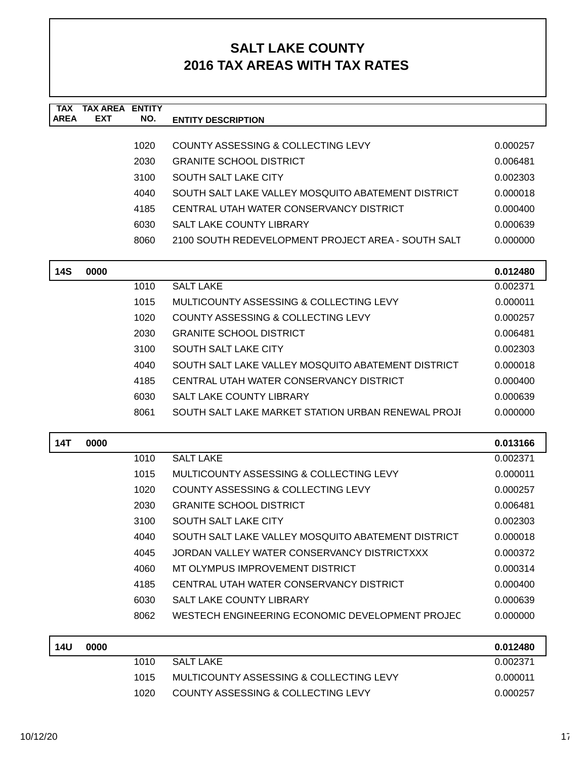| <b>TAX</b><br><b>AREA</b> | <b>TAX AREA ENTITY</b><br><b>EXT</b> | NO.  | <b>ENTITY DESCRIPTION</b>                          |          |
|---------------------------|--------------------------------------|------|----------------------------------------------------|----------|
|                           |                                      |      |                                                    |          |
|                           |                                      | 1020 | COUNTY ASSESSING & COLLECTING LEVY                 | 0.000257 |
|                           |                                      | 2030 | <b>GRANITE SCHOOL DISTRICT</b>                     | 0.006481 |
|                           |                                      | 3100 | <b>SOUTH SALT LAKE CITY</b>                        | 0.002303 |
|                           |                                      | 4040 | SOUTH SALT LAKE VALLEY MOSQUITO ABATEMENT DISTRICT | 0.000018 |
|                           |                                      | 4185 | CENTRAL UTAH WATER CONSERVANCY DISTRICT            | 0.000400 |
|                           |                                      | 6030 | SALT LAKE COUNTY LIBRARY                           | 0.000639 |
|                           |                                      | 8060 | 2100 SOUTH REDEVELOPMENT PROJECT AREA - SOUTH SALT | 0.000000 |
| <b>14S</b>                | 0000                                 |      |                                                    | 0.012480 |
|                           |                                      | 1010 | <b>SALT LAKE</b>                                   | 0.002371 |
|                           |                                      | 1015 | MULTICOUNTY ASSESSING & COLLECTING LEVY            | 0.000011 |
|                           |                                      | 1020 | COUNTY ASSESSING & COLLECTING LEVY                 | 0.000257 |
|                           |                                      | 2030 | <b>GRANITE SCHOOL DISTRICT</b>                     | 0.006481 |
|                           |                                      | 3100 | <b>SOUTH SALT LAKE CITY</b>                        | 0.002303 |
|                           |                                      | 4040 | SOUTH SALT LAKE VALLEY MOSQUITO ABATEMENT DISTRICT | 0.000018 |
|                           |                                      | 4185 | CENTRAL UTAH WATER CONSERVANCY DISTRICT            | 0.000400 |
|                           |                                      | 6030 | SALT LAKE COUNTY LIBRARY                           | 0.000639 |
|                           |                                      | 8061 | SOUTH SALT LAKE MARKET STATION URBAN RENEWAL PROJI | 0.000000 |
| <b>14T</b>                | 0000                                 |      |                                                    | 0.013166 |
|                           |                                      | 1010 | <b>SALT LAKE</b>                                   | 0.002371 |
|                           |                                      | 1015 | MULTICOUNTY ASSESSING & COLLECTING LEVY            | 0.000011 |
|                           |                                      | 1020 | COUNTY ASSESSING & COLLECTING LEVY                 | 0.000257 |
|                           |                                      | 2030 | <b>GRANITE SCHOOL DISTRICT</b>                     | 0.006481 |
|                           |                                      | 3100 | <b>SOUTH SALT LAKE CITY</b>                        | 0.002303 |
|                           |                                      | 4040 | SOUTH SALT LAKE VALLEY MOSQUITO ABATEMENT DISTRICT | 0.000018 |
|                           |                                      | 4045 | JORDAN VALLEY WATER CONSERVANCY DISTRICTXXX        | 0.000372 |
|                           |                                      | 4060 | MT OLYMPUS IMPROVEMENT DISTRICT                    | 0.000314 |
|                           |                                      | 4185 | CENTRAL UTAH WATER CONSERVANCY DISTRICT            | 0.000400 |
|                           |                                      | 6030 | SALT LAKE COUNTY LIBRARY                           | 0.000639 |
|                           |                                      | 8062 | WESTECH ENGINEERING ECONOMIC DEVELOPMENT PROJEC    | 0.000000 |
| <b>14U</b>                | 0000                                 |      |                                                    | 0.012480 |
|                           |                                      | 1010 | <b>SALT LAKE</b>                                   | 0.002371 |
|                           |                                      | 1015 | MULTICOUNTY ASSESSING & COLLECTING LEVY            | 0.000011 |
|                           |                                      | 1020 | COUNTY ASSESSING & COLLECTING LEVY                 | 0.000257 |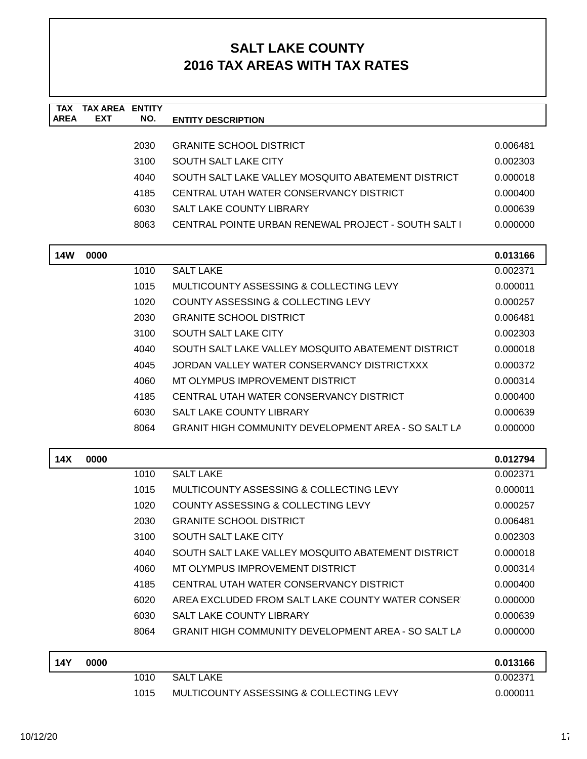| <b>TAX</b>  | <b>TAX AREA ENTITY</b> |      |                                                            |          |
|-------------|------------------------|------|------------------------------------------------------------|----------|
| <b>AREA</b> | <b>EXT</b>             | NO.  | <b>ENTITY DESCRIPTION</b>                                  |          |
|             |                        | 2030 | <b>GRANITE SCHOOL DISTRICT</b>                             | 0.006481 |
|             |                        | 3100 | <b>SOUTH SALT LAKE CITY</b>                                | 0.002303 |
|             |                        | 4040 | SOUTH SALT LAKE VALLEY MOSQUITO ABATEMENT DISTRICT         | 0.000018 |
|             |                        | 4185 | CENTRAL UTAH WATER CONSERVANCY DISTRICT                    | 0.000400 |
|             |                        | 6030 | SALT LAKE COUNTY LIBRARY                                   | 0.000639 |
|             |                        | 8063 | CENTRAL POINTE URBAN RENEWAL PROJECT - SOUTH SALT          | 0.000000 |
|             |                        |      |                                                            |          |
| <b>14W</b>  | 0000                   |      |                                                            | 0.013166 |
|             |                        | 1010 | <b>SALT LAKE</b>                                           | 0.002371 |
|             |                        | 1015 | MULTICOUNTY ASSESSING & COLLECTING LEVY                    | 0.000011 |
|             |                        | 1020 | COUNTY ASSESSING & COLLECTING LEVY                         | 0.000257 |
|             |                        | 2030 | <b>GRANITE SCHOOL DISTRICT</b>                             | 0.006481 |
|             |                        | 3100 | <b>SOUTH SALT LAKE CITY</b>                                | 0.002303 |
|             |                        | 4040 | SOUTH SALT LAKE VALLEY MOSQUITO ABATEMENT DISTRICT         | 0.000018 |
|             |                        | 4045 | JORDAN VALLEY WATER CONSERVANCY DISTRICTXXX                | 0.000372 |
|             |                        | 4060 | MT OLYMPUS IMPROVEMENT DISTRICT                            | 0.000314 |
|             |                        | 4185 | CENTRAL UTAH WATER CONSERVANCY DISTRICT                    | 0.000400 |
|             |                        | 6030 | <b>SALT LAKE COUNTY LIBRARY</b>                            | 0.000639 |
|             |                        | 8064 | <b>GRANIT HIGH COMMUNITY DEVELOPMENT AREA - SO SALT LA</b> | 0.000000 |
| 14X         | 0000                   |      |                                                            | 0.012794 |
|             |                        | 1010 | <b>SALT LAKE</b>                                           | 0.002371 |
|             |                        | 1015 | MULTICOUNTY ASSESSING & COLLECTING LEVY                    | 0.000011 |
|             |                        | 1020 | COUNTY ASSESSING & COLLECTING LEVY                         | 0.000257 |
|             |                        | 2030 | <b>GRANITE SCHOOL DISTRICT</b>                             | 0.006481 |
|             |                        | 3100 | <b>SOUTH SALT LAKE CITY</b>                                | 0.002303 |
|             |                        | 4040 | SOUTH SALT LAKE VALLEY MOSQUITO ABATEMENT DISTRICT         | 0.000018 |
|             |                        | 4060 | MT OLYMPUS IMPROVEMENT DISTRICT                            | 0.000314 |
|             |                        | 4185 | CENTRAL UTAH WATER CONSERVANCY DISTRICT                    | 0.000400 |
|             |                        | 6020 | AREA EXCLUDED FROM SALT LAKE COUNTY WATER CONSER           | 0.000000 |
|             |                        | 6030 | <b>SALT LAKE COUNTY LIBRARY</b>                            | 0.000639 |
|             |                        | 8064 | <b>GRANIT HIGH COMMUNITY DEVELOPMENT AREA - SO SALT LA</b> | 0.000000 |
| <b>14Y</b>  | 0000                   |      |                                                            | 0.013166 |
|             |                        | 1010 | <b>SALT LAKE</b>                                           | 0.002371 |
|             |                        | 1015 | MULTICOUNTY ASSESSING & COLLECTING LEVY                    | 0.000011 |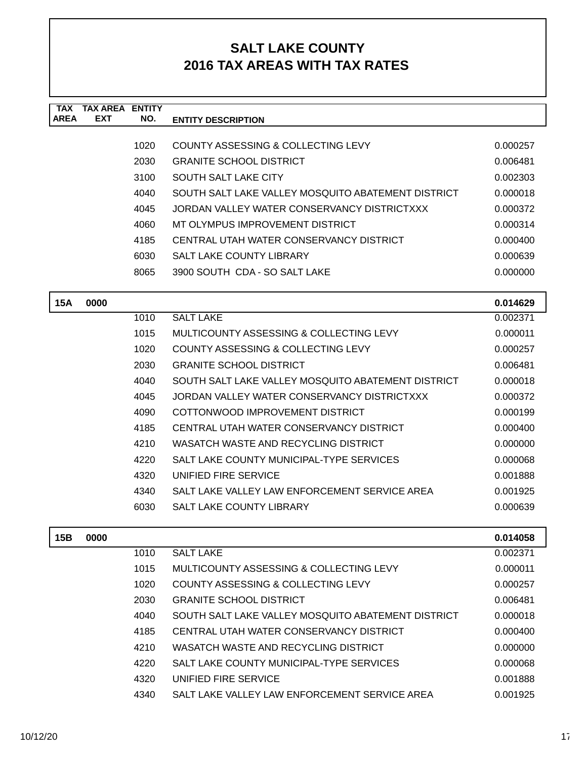| <b>TAX</b>  | <b>TAX AREA ENTITY</b> |      |                                                    |          |
|-------------|------------------------|------|----------------------------------------------------|----------|
| <b>AREA</b> | <b>EXT</b>             | NO.  | <b>ENTITY DESCRIPTION</b>                          |          |
|             |                        | 1020 | COUNTY ASSESSING & COLLECTING LEVY                 | 0.000257 |
|             |                        | 2030 | <b>GRANITE SCHOOL DISTRICT</b>                     | 0.006481 |
|             |                        | 3100 | <b>SOUTH SALT LAKE CITY</b>                        | 0.002303 |
|             |                        | 4040 | SOUTH SALT LAKE VALLEY MOSQUITO ABATEMENT DISTRICT | 0.000018 |
|             |                        | 4045 | JORDAN VALLEY WATER CONSERVANCY DISTRICTXXX        | 0.000372 |
|             |                        | 4060 | MT OLYMPUS IMPROVEMENT DISTRICT                    | 0.000314 |
|             |                        | 4185 | CENTRAL UTAH WATER CONSERVANCY DISTRICT            | 0.000400 |
|             |                        | 6030 | <b>SALT LAKE COUNTY LIBRARY</b>                    | 0.000639 |
|             |                        | 8065 | 3900 SOUTH CDA - SO SALT LAKE                      | 0.000000 |
|             |                        |      |                                                    |          |
| <b>15A</b>  | 0000                   |      |                                                    | 0.014629 |
|             |                        | 1010 | <b>SALT LAKE</b>                                   | 0.002371 |
|             |                        | 1015 | MULTICOUNTY ASSESSING & COLLECTING LEVY            | 0.000011 |
|             |                        | 1020 | COUNTY ASSESSING & COLLECTING LEVY                 | 0.000257 |
|             |                        | 2030 | <b>GRANITE SCHOOL DISTRICT</b>                     | 0.006481 |
|             |                        | 4040 | SOUTH SALT LAKE VALLEY MOSQUITO ABATEMENT DISTRICT | 0.000018 |
|             |                        | 4045 | JORDAN VALLEY WATER CONSERVANCY DISTRICTXXX        | 0.000372 |
|             |                        | 4090 | COTTONWOOD IMPROVEMENT DISTRICT                    | 0.000199 |
|             |                        | 4185 | CENTRAL UTAH WATER CONSERVANCY DISTRICT            | 0.000400 |
|             |                        | 4210 | WASATCH WASTE AND RECYCLING DISTRICT               | 0.000000 |
|             |                        | 4220 | SALT LAKE COUNTY MUNICIPAL-TYPE SERVICES           | 0.000068 |
|             |                        | 4320 | UNIFIED FIRE SERVICE                               | 0.001888 |
|             |                        | 4340 | SALT LAKE VALLEY LAW ENFORCEMENT SERVICE AREA      | 0.001925 |
|             |                        | 6030 | <b>SALT LAKE COUNTY LIBRARY</b>                    | 0.000639 |
|             |                        |      |                                                    |          |
| 15B         | 0000                   |      |                                                    | 0.014058 |
|             |                        | 1010 | <b>SALT LAKE</b>                                   | 0.002371 |
|             |                        | 1015 | MULTICOUNTY ASSESSING & COLLECTING LEVY            | 0.000011 |
|             |                        | 1020 | COUNTY ASSESSING & COLLECTING LEVY                 | 0.000257 |
|             |                        | 2030 | <b>GRANITE SCHOOL DISTRICT</b>                     | 0.006481 |
|             |                        | 4040 | SOUTH SALT LAKE VALLEY MOSQUITO ABATEMENT DISTRICT | 0.000018 |
|             |                        | 4185 | CENTRAL UTAH WATER CONSERVANCY DISTRICT            | 0.000400 |
|             |                        | 4210 | WASATCH WASTE AND RECYCLING DISTRICT               | 0.000000 |
|             |                        | 4220 | SALT LAKE COUNTY MUNICIPAL-TYPE SERVICES           | 0.000068 |
|             |                        | 4320 | UNIFIED FIRE SERVICE                               | 0.001888 |
|             |                        | 4340 | SALT LAKE VALLEY LAW ENFORCEMENT SERVICE AREA      | 0.001925 |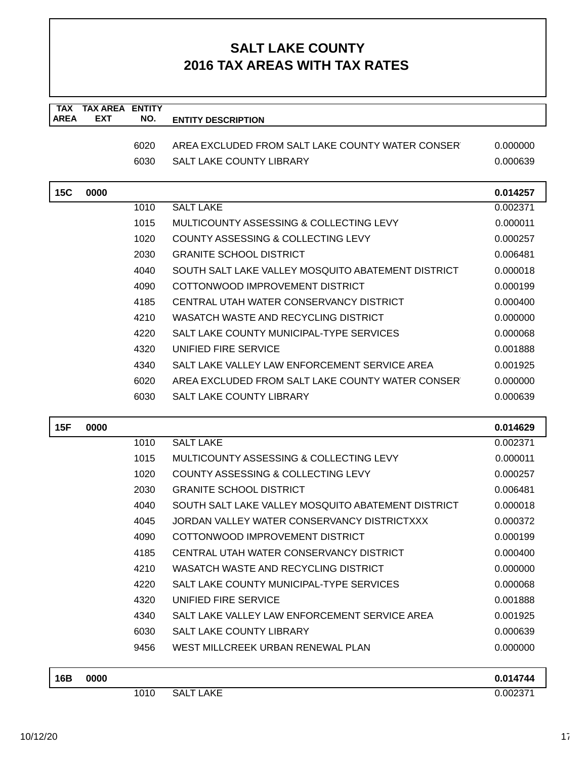| <b>TAX</b><br><b>AREA</b> | <b>TAX AREA ENTITY</b><br><b>EXT</b> | NO.  |                                                    |          |
|---------------------------|--------------------------------------|------|----------------------------------------------------|----------|
|                           |                                      |      | <b>ENTITY DESCRIPTION</b>                          |          |
|                           |                                      | 6020 | AREA EXCLUDED FROM SALT LAKE COUNTY WATER CONSER   | 0.000000 |
|                           |                                      | 6030 | <b>SALT LAKE COUNTY LIBRARY</b>                    | 0.000639 |
|                           |                                      |      |                                                    |          |
| <b>15C</b>                | 0000                                 |      |                                                    | 0.014257 |
|                           |                                      | 1010 | <b>SALT LAKE</b>                                   | 0.002371 |
|                           |                                      | 1015 | MULTICOUNTY ASSESSING & COLLECTING LEVY            | 0.000011 |
|                           |                                      | 1020 | COUNTY ASSESSING & COLLECTING LEVY                 | 0.000257 |
|                           |                                      | 2030 | <b>GRANITE SCHOOL DISTRICT</b>                     | 0.006481 |
|                           |                                      | 4040 | SOUTH SALT LAKE VALLEY MOSQUITO ABATEMENT DISTRICT | 0.000018 |
|                           |                                      | 4090 | COTTONWOOD IMPROVEMENT DISTRICT                    | 0.000199 |
|                           |                                      | 4185 | CENTRAL UTAH WATER CONSERVANCY DISTRICT            | 0.000400 |
|                           |                                      | 4210 | WASATCH WASTE AND RECYCLING DISTRICT               | 0.000000 |
|                           |                                      | 4220 | SALT LAKE COUNTY MUNICIPAL-TYPE SERVICES           | 0.000068 |
|                           |                                      | 4320 | UNIFIED FIRE SERVICE                               | 0.001888 |
|                           |                                      | 4340 | SALT LAKE VALLEY LAW ENFORCEMENT SERVICE AREA      | 0.001925 |
|                           |                                      | 6020 | AREA EXCLUDED FROM SALT LAKE COUNTY WATER CONSER   | 0.000000 |
|                           |                                      | 6030 | <b>SALT LAKE COUNTY LIBRARY</b>                    | 0.000639 |
|                           |                                      |      |                                                    |          |
| 15F                       | 0000                                 |      |                                                    | 0.014629 |
|                           |                                      | 1010 | <b>SALT LAKE</b>                                   | 0.002371 |
|                           |                                      | 1015 | MULTICOUNTY ASSESSING & COLLECTING LEVY            | 0.000011 |
|                           |                                      | 1020 | COUNTY ASSESSING & COLLECTING LEVY                 | 0.000257 |
|                           |                                      | 2030 | <b>GRANITE SCHOOL DISTRICT</b>                     | 0.006481 |
|                           |                                      | 4040 | SOUTH SALT LAKE VALLEY MOSQUITO ABATEMENT DISTRICT | 0.000018 |
|                           |                                      | 4045 | JORDAN VALLEY WATER CONSERVANCY DISTRICTXXX        | 0.000372 |
|                           |                                      | 4090 | COTTONWOOD IMPROVEMENT DISTRICT                    | 0.000199 |
|                           |                                      | 4185 | CENTRAL UTAH WATER CONSERVANCY DISTRICT            | 0.000400 |
|                           |                                      | 4210 | WASATCH WASTE AND RECYCLING DISTRICT               | 0.000000 |
|                           |                                      | 4220 | SALT LAKE COUNTY MUNICIPAL-TYPE SERVICES           | 0.000068 |
|                           |                                      | 4320 | UNIFIED FIRE SERVICE                               | 0.001888 |
|                           |                                      | 4340 | SALT LAKE VALLEY LAW ENFORCEMENT SERVICE AREA      | 0.001925 |
|                           |                                      | 6030 | <b>SALT LAKE COUNTY LIBRARY</b>                    | 0.000639 |
|                           |                                      | 9456 | WEST MILLCREEK URBAN RENEWAL PLAN                  | 0.000000 |
| 16B                       | 0000                                 |      |                                                    | 0.014744 |
|                           |                                      | 1010 | <b>SALT LAKE</b>                                   | 0.002371 |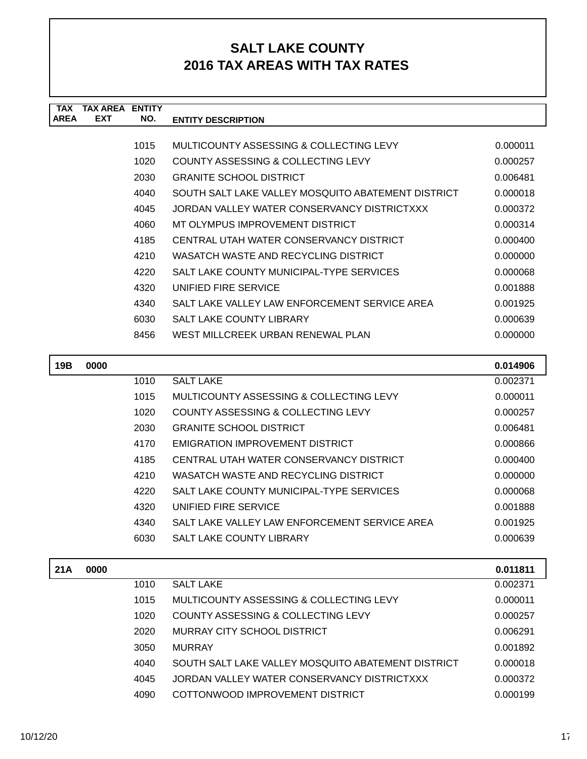| <b>TAX</b>  | <b>TAX AREA</b> | <b>ENTITY</b> |                                                    |          |
|-------------|-----------------|---------------|----------------------------------------------------|----------|
| <b>AREA</b> | <b>EXT</b>      | NO.           | <b>ENTITY DESCRIPTION</b>                          |          |
|             |                 |               |                                                    |          |
|             |                 | 1015          | MULTICOUNTY ASSESSING & COLLECTING LEVY            | 0.000011 |
|             |                 | 1020          | COUNTY ASSESSING & COLLECTING LEVY                 | 0.000257 |
|             |                 | 2030          | <b>GRANITE SCHOOL DISTRICT</b>                     | 0.006481 |
|             |                 | 4040          | SOUTH SALT LAKE VALLEY MOSQUITO ABATEMENT DISTRICT | 0.000018 |
|             |                 | 4045          | JORDAN VALLEY WATER CONSERVANCY DISTRICTXXX        | 0.000372 |
|             |                 | 4060          | MT OLYMPUS IMPROVEMENT DISTRICT                    | 0.000314 |
|             |                 | 4185          | CENTRAL UTAH WATER CONSERVANCY DISTRICT            | 0.000400 |
|             |                 | 4210          | WASATCH WASTE AND RECYCLING DISTRICT               | 0.000000 |
|             |                 | 4220          | SALT LAKE COUNTY MUNICIPAL-TYPE SERVICES           | 0.000068 |
|             |                 | 4320          | UNIFIED FIRE SERVICE                               | 0.001888 |
|             |                 | 4340          | SALT LAKE VALLEY LAW ENFORCEMENT SERVICE AREA      | 0.001925 |
|             |                 | 6030          | <b>SALT LAKE COUNTY LIBRARY</b>                    | 0.000639 |
|             |                 | 8456          | WEST MILLCREEK URBAN RENEWAL PLAN                  | 0.000000 |
|             |                 |               |                                                    |          |
| 19B         | 0000            |               |                                                    | 0.014906 |
|             |                 | 1010          | <b>SALT LAKE</b>                                   | 0.002371 |
|             |                 | 1015          | MULTICOUNTY ASSESSING & COLLECTING LEVY            | 0.000011 |
|             |                 | 1020          | COUNTY ASSESSING & COLLECTING LEVY                 | 0.000257 |
|             |                 | 2030          | <b>GRANITE SCHOOL DISTRICT</b>                     | 0.006481 |
|             |                 | 4170          | <b>EMIGRATION IMPROVEMENT DISTRICT</b>             | 0.000866 |
|             |                 | 4185          | CENTRAL UTAH WATER CONSERVANCY DISTRICT            | 0.000400 |

| 4170 | EMIGRATION IMPROVEMENT DISTRICT               | 0.000866 |
|------|-----------------------------------------------|----------|
| 4185 | CENTRAL UTAH WATER CONSERVANCY DISTRICT       | 0.000400 |
| 4210 | WASATCH WASTE AND RECYCLING DISTRICT          | 0.000000 |
| 4220 | SALT LAKE COUNTY MUNICIPAL-TYPE SERVICES      | 0.000068 |
| 4320 | UNIFIED FIRE SERVICE                          | 0.001888 |
| 4340 | SALT LAKE VALLEY LAW ENFORCEMENT SERVICE AREA | 0.001925 |
| 6030 | <b>SALT LAKE COUNTY LIBRARY</b>               | 0.000639 |

| 21A | 0000 |      |                                                    | 0.011811 |
|-----|------|------|----------------------------------------------------|----------|
|     |      | 1010 | <b>SALT LAKE</b>                                   | 0.002371 |
|     |      | 1015 | MULTICOUNTY ASSESSING & COLLECTING LEVY            | 0.000011 |
|     |      | 1020 | COUNTY ASSESSING & COLLECTING LEVY                 | 0.000257 |
|     |      | 2020 | MURRAY CITY SCHOOL DISTRICT                        | 0.006291 |
|     |      | 3050 | <b>MURRAY</b>                                      | 0.001892 |
|     |      | 4040 | SOUTH SALT LAKE VALLEY MOSQUITO ABATEMENT DISTRICT | 0.000018 |
|     |      | 4045 | JORDAN VALLEY WATER CONSERVANCY DISTRICTXXX        | 0.000372 |
|     |      | 4090 | COTTONWOOD IMPROVEMENT DISTRICT                    | 0.000199 |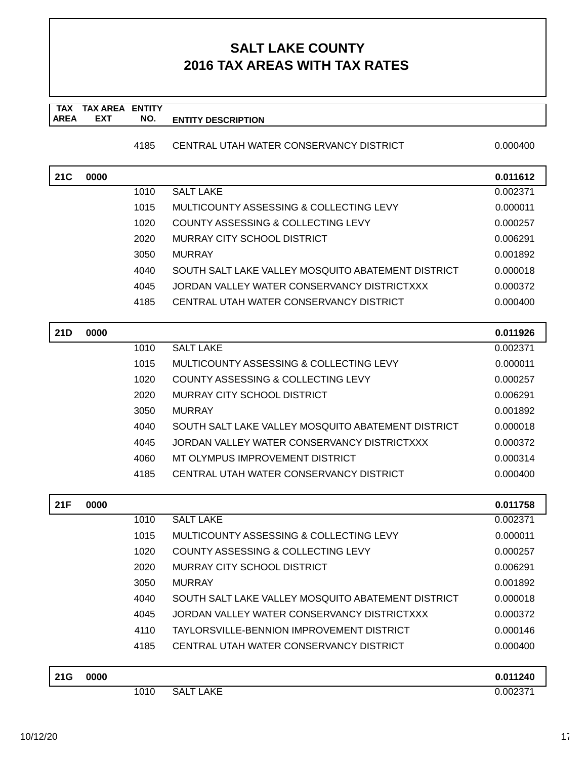#### **TAX TAX AREA ENTITY AREA ENTITY DESCRIPTION EXT NO.**

### 4185 CENTRAL UTAH WATER CONSERVANCY DISTRICT 0.000400

| 21C | 0000 |      |                                                    | 0.011612 |
|-----|------|------|----------------------------------------------------|----------|
|     |      | 1010 | <b>SALT LAKE</b>                                   | 0.002371 |
|     |      | 1015 | MULTICOUNTY ASSESSING & COLLECTING LEVY            | 0.000011 |
|     |      | 1020 | COUNTY ASSESSING & COLLECTING LEVY                 | 0.000257 |
|     |      | 2020 | <b>MURRAY CITY SCHOOL DISTRICT</b>                 | 0.006291 |
|     |      | 3050 | <b>MURRAY</b>                                      | 0.001892 |
|     |      | 4040 | SOUTH SALT LAKE VALLEY MOSQUITO ABATEMENT DISTRICT | 0.000018 |
|     |      | 4045 | JORDAN VALLEY WATER CONSERVANCY DISTRICTXXX        | 0.000372 |
|     |      | 4185 | CENTRAL UTAH WATER CONSERVANCY DISTRICT            | 0.000400 |
| 21D | 0000 |      |                                                    | 0.011926 |
|     |      | 1010 | <b>SALT LAKE</b>                                   | 0.002371 |
|     |      | 1015 | MULTICOUNTY ASSESSING & COLLECTING LEVY            | 0.000011 |
|     |      | 1020 | COUNTY ASSESSING & COLLECTING LEVY                 | 0.000257 |
|     |      | 2020 | <b>MURRAY CITY SCHOOL DISTRICT</b>                 | 0.006291 |
|     |      | 3050 | <b>MURRAY</b>                                      | 0.001892 |
|     |      | 4040 | SOUTH SALT LAKE VALLEY MOSQUITO ABATEMENT DISTRICT | 0.000018 |
|     |      | 4045 | JORDAN VALLEY WATER CONSERVANCY DISTRICTXXX        | 0.000372 |
|     |      | 4060 | MT OLYMPUS IMPROVEMENT DISTRICT                    | 0.000314 |
|     |      | 4185 | CENTRAL UTAH WATER CONSERVANCY DISTRICT            | 0.000400 |
| 21F | 0000 |      |                                                    | 0.011758 |
|     |      | 1010 | <b>SALT LAKE</b>                                   | 0.002371 |
|     |      | 1015 | MULTICOUNTY ASSESSING & COLLECTING LEVY            | 0.000011 |
|     |      | 1020 | COUNTY ASSESSING & COLLECTING LEVY                 | 0.000257 |
|     |      | 2020 | <b>MURRAY CITY SCHOOL DISTRICT</b>                 | 0.006291 |
|     |      | 3050 | <b>MURRAY</b>                                      | 0.001892 |
|     |      | 4040 | SOUTH SALT LAKE VALLEY MOSQUITO ABATEMENT DISTRICT | 0.000018 |
|     |      | 4045 | JORDAN VALLEY WATER CONSERVANCY DISTRICTXXX        | 0.000372 |
|     |      | 4110 | TAYLORSVILLE-BENNION IMPROVEMENT DISTRICT          | 0.000146 |
|     |      | 4185 | CENTRAL UTAH WATER CONSERVANCY DISTRICT            | 0.000400 |
| 21G | 0000 |      |                                                    | 0.011240 |
|     |      | 1010 | <b>SALT LAKE</b>                                   | 0.002371 |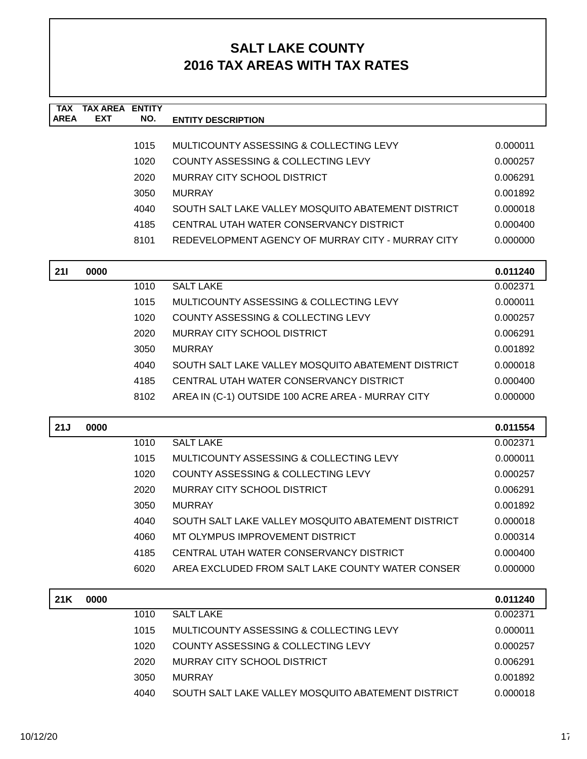| <b>TAX</b><br><b>AREA</b> | <b>TAX AREA ENTITY</b><br>EXT | NO.  | <b>ENTITY DESCRIPTION</b>                          |          |
|---------------------------|-------------------------------|------|----------------------------------------------------|----------|
|                           |                               |      |                                                    |          |
|                           |                               | 1015 | MULTICOUNTY ASSESSING & COLLECTING LEVY            | 0.000011 |
|                           |                               | 1020 | <b>COUNTY ASSESSING &amp; COLLECTING LEVY</b>      | 0.000257 |
|                           |                               | 2020 | <b>MURRAY CITY SCHOOL DISTRICT</b>                 | 0.006291 |
|                           |                               | 3050 | <b>MURRAY</b>                                      | 0.001892 |
|                           |                               | 4040 | SOUTH SALT LAKE VALLEY MOSQUITO ABATEMENT DISTRICT | 0.000018 |
|                           |                               | 4185 | CENTRAL UTAH WATER CONSERVANCY DISTRICT            | 0.000400 |
|                           |                               | 8101 | REDEVELOPMENT AGENCY OF MURRAY CITY - MURRAY CITY  | 0.000000 |
| 211                       | 0000                          |      |                                                    | 0.011240 |
|                           |                               | 1010 | <b>SALT LAKE</b>                                   | 0.002371 |
|                           |                               | 1015 | MULTICOUNTY ASSESSING & COLLECTING LEVY            | 0.000011 |
|                           |                               | 1020 | COUNTY ASSESSING & COLLECTING LEVY                 | 0.000257 |
|                           |                               | 2020 | MURRAY CITY SCHOOL DISTRICT                        | 0.006291 |
|                           |                               | 3050 | <b>MURRAY</b>                                      | 0.001892 |
|                           |                               | 4040 | SOUTH SALT LAKE VALLEY MOSQUITO ABATEMENT DISTRICT | 0.000018 |
|                           |                               | 4185 | CENTRAL UTAH WATER CONSERVANCY DISTRICT            | 0.000400 |
|                           |                               | 8102 | AREA IN (C-1) OUTSIDE 100 ACRE AREA - MURRAY CITY  | 0.000000 |
| 21J                       | 0000                          |      |                                                    | 0.011554 |
|                           |                               | 1010 | <b>SALT LAKE</b>                                   | 0.002371 |
|                           |                               | 1015 | MULTICOUNTY ASSESSING & COLLECTING LEVY            | 0.000011 |
|                           |                               | 1020 | COUNTY ASSESSING & COLLECTING LEVY                 | 0.000257 |
|                           |                               | 2020 | <b>MURRAY CITY SCHOOL DISTRICT</b>                 | 0.006291 |
|                           |                               | 3050 | <b>MURRAY</b>                                      | 0.001892 |
|                           |                               | 4040 | SOUTH SALT LAKE VALLEY MOSQUITO ABATEMENT DISTRICT | 0.000018 |
|                           |                               | 4060 | MT OLYMPUS IMPROVEMENT DISTRICT                    | 0.000314 |
|                           |                               | 4185 | CENTRAL UTAH WATER CONSERVANCY DISTRICT            | 0.000400 |
|                           |                               | 6020 | AREA EXCLUDED FROM SALT LAKE COUNTY WATER CONSER   | 0.000000 |
| 21K                       | 0000                          |      |                                                    | 0.011240 |
|                           |                               | 1010 | <b>SALT LAKE</b>                                   | 0.002371 |
|                           |                               | 1015 | MULTICOUNTY ASSESSING & COLLECTING LEVY            | 0.000011 |
|                           |                               | 1020 | COUNTY ASSESSING & COLLECTING LEVY                 | 0.000257 |
|                           |                               | 2020 | MURRAY CITY SCHOOL DISTRICT                        | 0.006291 |
|                           |                               | 3050 | <b>MURRAY</b>                                      | 0.001892 |
|                           |                               | 4040 | SOUTH SALT LAKE VALLEY MOSQUITO ABATEMENT DISTRICT | 0.000018 |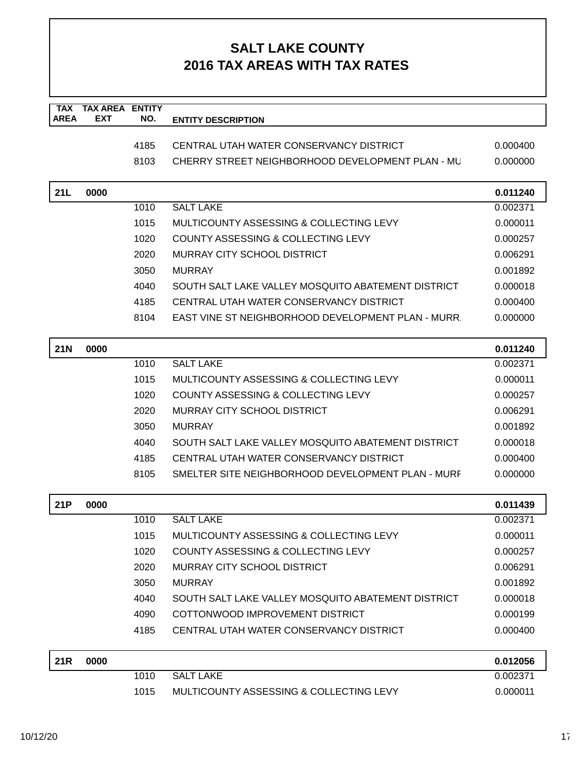| <b>TAX</b><br><b>AREA</b> | <b>TAX AREA</b><br><b>EXT</b> | <b>ENTITY</b><br>NO. |                                                    |          |
|---------------------------|-------------------------------|----------------------|----------------------------------------------------|----------|
|                           |                               |                      | <b>ENTITY DESCRIPTION</b>                          |          |
|                           |                               | 4185                 | CENTRAL UTAH WATER CONSERVANCY DISTRICT            | 0.000400 |
|                           |                               | 8103                 | CHERRY STREET NEIGHBORHOOD DEVELOPMENT PLAN - ML   | 0.000000 |
|                           |                               |                      |                                                    |          |
| 21L                       | 0000                          |                      |                                                    | 0.011240 |
|                           |                               | 1010                 | <b>SALT LAKE</b>                                   | 0.002371 |
|                           |                               | 1015                 | MULTICOUNTY ASSESSING & COLLECTING LEVY            | 0.000011 |
|                           |                               | 1020                 | <b>COUNTY ASSESSING &amp; COLLECTING LEVY</b>      | 0.000257 |
|                           |                               | 2020                 | <b>MURRAY CITY SCHOOL DISTRICT</b>                 | 0.006291 |
|                           |                               | 3050                 | <b>MURRAY</b>                                      | 0.001892 |
|                           |                               | 4040                 | SOUTH SALT LAKE VALLEY MOSQUITO ABATEMENT DISTRICT | 0.000018 |
|                           |                               | 4185                 | CENTRAL UTAH WATER CONSERVANCY DISTRICT            | 0.000400 |
|                           |                               | 8104                 | EAST VINE ST NEIGHBORHOOD DEVELOPMENT PLAN - MURR  | 0.000000 |
| <b>21N</b>                | 0000                          |                      |                                                    | 0.011240 |
|                           |                               | 1010                 | <b>SALT LAKE</b>                                   | 0.002371 |
|                           |                               | 1015                 | MULTICOUNTY ASSESSING & COLLECTING LEVY            | 0.000011 |
|                           |                               | 1020                 | COUNTY ASSESSING & COLLECTING LEVY                 | 0.000257 |
|                           |                               | 2020                 | MURRAY CITY SCHOOL DISTRICT                        | 0.006291 |
|                           |                               | 3050                 | <b>MURRAY</b>                                      | 0.001892 |
|                           |                               | 4040                 | SOUTH SALT LAKE VALLEY MOSQUITO ABATEMENT DISTRICT | 0.000018 |
|                           |                               | 4185                 | CENTRAL UTAH WATER CONSERVANCY DISTRICT            | 0.000400 |
|                           |                               | 8105                 | SMELTER SITE NEIGHBORHOOD DEVELOPMENT PLAN - MURF  | 0.000000 |
| 21P                       | 0000                          |                      |                                                    | 0.011439 |
|                           |                               | 1010                 | <b>SALT LAKE</b>                                   | 0.002371 |
|                           |                               | 1015                 | MULTICOUNTY ASSESSING & COLLECTING LEVY            | 0.000011 |
|                           |                               | 1020                 | <b>COUNTY ASSESSING &amp; COLLECTING LEVY</b>      | 0.000257 |
|                           |                               | 2020                 | <b>MURRAY CITY SCHOOL DISTRICT</b>                 | 0.006291 |
|                           |                               | 3050                 | <b>MURRAY</b>                                      | 0.001892 |
|                           |                               | 4040                 | SOUTH SALT LAKE VALLEY MOSQUITO ABATEMENT DISTRICT | 0.000018 |
|                           |                               | 4090                 | COTTONWOOD IMPROVEMENT DISTRICT                    | 0.000199 |
|                           |                               | 4185                 | CENTRAL UTAH WATER CONSERVANCY DISTRICT            | 0.000400 |
| <b>21R</b>                | 0000                          |                      |                                                    | 0.012056 |
|                           |                               | 1010                 | <b>SALT LAKE</b>                                   | 0.002371 |
|                           |                               | 1015                 | MULTICOUNTY ASSESSING & COLLECTING LEVY            | 0.000011 |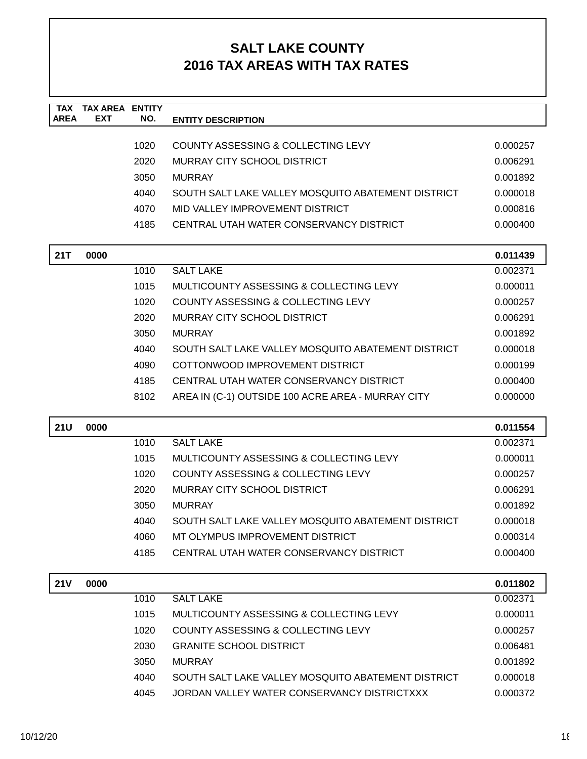| <b>TAX</b><br><b>AREA</b> | <b>TAX AREA ENTITY</b><br><b>EXT</b> | NO.  | <b>ENTITY DESCRIPTION</b>                          |          |
|---------------------------|--------------------------------------|------|----------------------------------------------------|----------|
|                           |                                      |      |                                                    |          |
|                           |                                      | 1020 | <b>COUNTY ASSESSING &amp; COLLECTING LEVY</b>      | 0.000257 |
|                           |                                      | 2020 | MURRAY CITY SCHOOL DISTRICT                        | 0.006291 |
|                           |                                      | 3050 | <b>MURRAY</b>                                      | 0.001892 |
|                           |                                      | 4040 | SOUTH SALT LAKE VALLEY MOSQUITO ABATEMENT DISTRICT | 0.000018 |
|                           |                                      | 4070 | MID VALLEY IMPROVEMENT DISTRICT                    | 0.000816 |
|                           |                                      | 4185 | CENTRAL UTAH WATER CONSERVANCY DISTRICT            | 0.000400 |
|                           |                                      |      |                                                    |          |
| 21T                       | 0000                                 |      |                                                    | 0.011439 |
|                           |                                      | 1010 | <b>SALT LAKE</b>                                   | 0.002371 |
|                           |                                      | 1015 | MULTICOUNTY ASSESSING & COLLECTING LEVY            | 0.000011 |
|                           |                                      | 1020 | COUNTY ASSESSING & COLLECTING LEVY                 | 0.000257 |
|                           |                                      | 2020 | MURRAY CITY SCHOOL DISTRICT                        | 0.006291 |
|                           |                                      | 3050 | <b>MURRAY</b>                                      | 0.001892 |
|                           |                                      | 4040 | SOUTH SALT LAKE VALLEY MOSQUITO ABATEMENT DISTRICT | 0.000018 |
|                           |                                      | 4090 | COTTONWOOD IMPROVEMENT DISTRICT                    | 0.000199 |
|                           |                                      | 4185 | CENTRAL UTAH WATER CONSERVANCY DISTRICT            | 0.000400 |
|                           |                                      | 8102 | AREA IN (C-1) OUTSIDE 100 ACRE AREA - MURRAY CITY  | 0.000000 |
| <b>21U</b>                | 0000                                 |      |                                                    | 0.011554 |
|                           |                                      | 1010 | <b>SALT LAKE</b>                                   | 0.002371 |
|                           |                                      | 1015 | MULTICOUNTY ASSESSING & COLLECTING LEVY            | 0.000011 |
|                           |                                      | 1020 | <b>COUNTY ASSESSING &amp; COLLECTING LEVY</b>      | 0.000257 |
|                           |                                      | 2020 | MURRAY CITY SCHOOL DISTRICT                        | 0.006291 |
|                           |                                      | 3050 | <b>MURRAY</b>                                      | 0.001892 |
|                           |                                      | 4040 | SOUTH SALT LAKE VALLEY MOSQUITO ABATEMENT DISTRICT | 0.000018 |
|                           |                                      | 4060 | MT OLYMPUS IMPROVEMENT DISTRICT                    | 0.000314 |
|                           |                                      | 4185 | CENTRAL UTAH WATER CONSERVANCY DISTRICT            | 0.000400 |
|                           |                                      |      |                                                    |          |
| <b>21V</b>                | 0000                                 |      |                                                    | 0.011802 |
|                           |                                      | 1010 | <b>SALT LAKE</b>                                   | 0.002371 |
|                           |                                      | 1015 | MULTICOUNTY ASSESSING & COLLECTING LEVY            | 0.000011 |
|                           |                                      | 1020 | <b>COUNTY ASSESSING &amp; COLLECTING LEVY</b>      | 0.000257 |
|                           |                                      | 2030 | <b>GRANITE SCHOOL DISTRICT</b>                     | 0.006481 |
|                           |                                      | 3050 | <b>MURRAY</b>                                      | 0.001892 |
|                           |                                      | 4040 | SOUTH SALT LAKE VALLEY MOSQUITO ABATEMENT DISTRICT | 0.000018 |
|                           |                                      | 4045 | JORDAN VALLEY WATER CONSERVANCY DISTRICTXXX        | 0.000372 |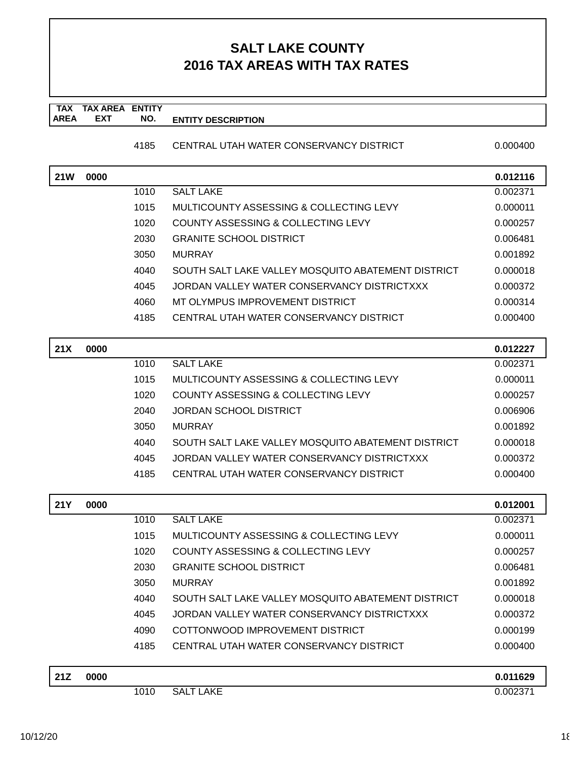#### **TAX TAX AREA ENTITY AREA ENTITY DESCRIPTION EXT NO.**

### 4185 CENTRAL UTAH WATER CONSERVANCY DISTRICT 0.000400

| <b>21W</b> | 0000 |      |                                                    |          |
|------------|------|------|----------------------------------------------------|----------|
|            |      | 1010 | <b>SALT LAKE</b>                                   | 0.012116 |
|            |      |      |                                                    | 0.002371 |
|            |      | 1015 | MULTICOUNTY ASSESSING & COLLECTING LEVY            | 0.000011 |
|            |      | 1020 | COUNTY ASSESSING & COLLECTING LEVY                 | 0.000257 |
|            |      | 2030 | <b>GRANITE SCHOOL DISTRICT</b>                     | 0.006481 |
|            |      | 3050 | <b>MURRAY</b>                                      | 0.001892 |
|            |      | 4040 | SOUTH SALT LAKE VALLEY MOSQUITO ABATEMENT DISTRICT | 0.000018 |
|            |      | 4045 | JORDAN VALLEY WATER CONSERVANCY DISTRICTXXX        | 0.000372 |
|            |      | 4060 | MT OLYMPUS IMPROVEMENT DISTRICT                    | 0.000314 |
|            |      | 4185 | CENTRAL UTAH WATER CONSERVANCY DISTRICT            | 0.000400 |
|            |      |      |                                                    |          |
| 21X        | 0000 |      |                                                    | 0.012227 |
|            |      | 1010 | <b>SALT LAKE</b>                                   | 0.002371 |
|            |      | 1015 | MULTICOUNTY ASSESSING & COLLECTING LEVY            | 0.000011 |
|            |      | 1020 | COUNTY ASSESSING & COLLECTING LEVY                 | 0.000257 |
|            |      | 2040 | <b>JORDAN SCHOOL DISTRICT</b>                      | 0.006906 |
|            |      | 3050 | <b>MURRAY</b>                                      | 0.001892 |
|            |      | 4040 | SOUTH SALT LAKE VALLEY MOSQUITO ABATEMENT DISTRICT | 0.000018 |
|            |      | 4045 | JORDAN VALLEY WATER CONSERVANCY DISTRICTXXX        | 0.000372 |
|            |      | 4185 | CENTRAL UTAH WATER CONSERVANCY DISTRICT            | 0.000400 |
| <b>21Y</b> | 0000 |      |                                                    | 0.012001 |
|            |      | 1010 | <b>SALT LAKE</b>                                   | 0.002371 |
|            |      | 1015 | MULTICOUNTY ASSESSING & COLLECTING LEVY            | 0.000011 |
|            |      |      | COUNTY ASSESSING & COLLECTING LEVY                 |          |
|            |      | 1020 |                                                    | 0.000257 |
|            |      | 2030 | <b>GRANITE SCHOOL DISTRICT</b>                     | 0.006481 |
|            |      | 3050 | <b>MURRAY</b>                                      | 0.001892 |
|            |      | 4040 | SOUTH SALT LAKE VALLEY MOSQUITO ABATEMENT DISTRICT | 0.000018 |
|            |      | 4045 | JORDAN VALLEY WATER CONSERVANCY DISTRICTXXX        | 0.000372 |
|            |      | 4090 | COTTONWOOD IMPROVEMENT DISTRICT                    | 0.000199 |
|            |      | 4185 | CENTRAL UTAH WATER CONSERVANCY DISTRICT            | 0.000400 |
| 21Z        | 0000 |      |                                                    | 0.011629 |
|            |      | 1010 | <b>SALT LAKE</b>                                   | 0.002371 |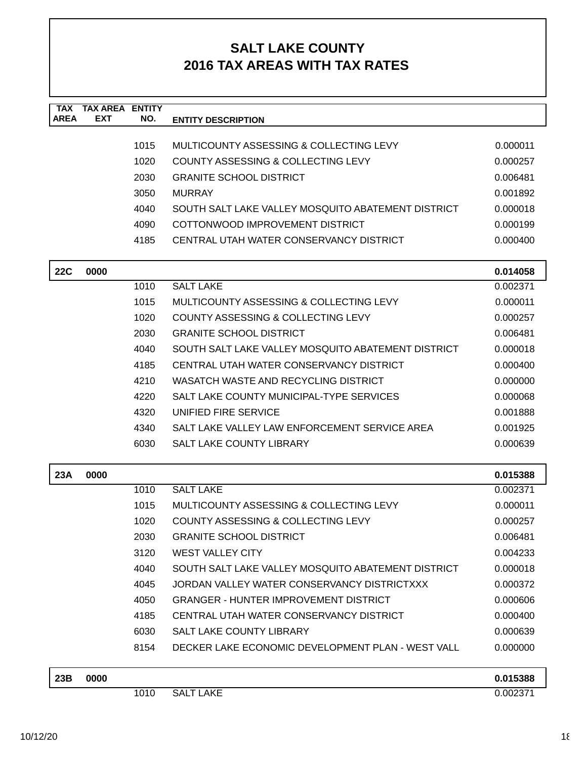| <b>TAX</b><br><b>AREA</b> | <b>TAX AREA ENTITY</b><br>EXT | NO.  | <b>ENTITY DESCRIPTION</b>                          |          |
|---------------------------|-------------------------------|------|----------------------------------------------------|----------|
|                           |                               |      |                                                    |          |
|                           |                               | 1015 | MULTICOUNTY ASSESSING & COLLECTING LEVY            | 0.000011 |
|                           |                               | 1020 | COUNTY ASSESSING & COLLECTING LEVY                 | 0.000257 |
|                           |                               | 2030 | <b>GRANITE SCHOOL DISTRICT</b>                     | 0.006481 |
|                           |                               | 3050 | <b>MURRAY</b>                                      | 0.001892 |
|                           |                               | 4040 | SOUTH SALT LAKE VALLEY MOSQUITO ABATEMENT DISTRICT | 0.000018 |
|                           |                               | 4090 | COTTONWOOD IMPROVEMENT DISTRICT                    | 0.000199 |
|                           |                               | 4185 | CENTRAL UTAH WATER CONSERVANCY DISTRICT            | 0.000400 |
| <b>22C</b>                | 0000                          |      |                                                    | 0.014058 |
|                           |                               | 1010 | <b>SALT LAKE</b>                                   | 0.002371 |
|                           |                               | 1015 | MULTICOUNTY ASSESSING & COLLECTING LEVY            | 0.000011 |
|                           |                               | 1020 | COUNTY ASSESSING & COLLECTING LEVY                 | 0.000257 |
|                           |                               | 2030 | <b>GRANITE SCHOOL DISTRICT</b>                     | 0.006481 |
|                           |                               | 4040 | SOUTH SALT LAKE VALLEY MOSOUITO ABATEMENT DISTRICT | 0.000018 |
|                           |                               | 4185 | CENTRAL UTAH WATER CONSERVANCY DISTRICT            | 0.000400 |
|                           |                               | 4210 | WASATCH WASTE AND RECYCLING DISTRICT               | 0.000000 |
|                           |                               | 4220 | SALT LAKE COUNTY MUNICIPAL-TYPE SERVICES           | 0.000068 |
|                           |                               | 4320 | UNIFIED FIRE SERVICE                               | 0.001888 |
|                           |                               | 4340 | SALT LAKE VALLEY LAW ENFORCEMENT SERVICE AREA      | 0.001925 |
|                           |                               | 6030 | <b>SALT LAKE COUNTY LIBRARY</b>                    | 0.000639 |
| 23A                       | 0000                          |      |                                                    | 0.015388 |
|                           |                               | 1010 | <b>SALT LAKE</b>                                   | 0.002371 |
|                           |                               | 1015 | MULTICOUNTY ASSESSING & COLLECTING LEVY            | 0.000011 |
|                           |                               | 1020 | <b>COUNTY ASSESSING &amp; COLLECTING LEVY</b>      | 0.000257 |
|                           |                               | 2030 | <b>GRANITE SCHOOL DISTRICT</b>                     | 0.006481 |
|                           |                               | 3120 | <b>WEST VALLEY CITY</b>                            | 0.004233 |
|                           |                               | 4040 | SOUTH SALT LAKE VALLEY MOSQUITO ABATEMENT DISTRICT | 0.000018 |
|                           |                               | 4045 | JORDAN VALLEY WATER CONSERVANCY DISTRICTXXX        | 0.000372 |
|                           |                               | 4050 | <b>GRANGER - HUNTER IMPROVEMENT DISTRICT</b>       | 0.000606 |
|                           |                               | 4185 | CENTRAL UTAH WATER CONSERVANCY DISTRICT            | 0.000400 |
|                           |                               | 6030 | SALT LAKE COUNTY LIBRARY                           | 0.000639 |
|                           |                               | 8154 | DECKER LAKE ECONOMIC DEVELOPMENT PLAN - WEST VALL  | 0.000000 |
| 23B                       | 0000                          |      |                                                    | 0.015388 |
|                           |                               | 1010 | <b>SALT LAKE</b>                                   | 0.002371 |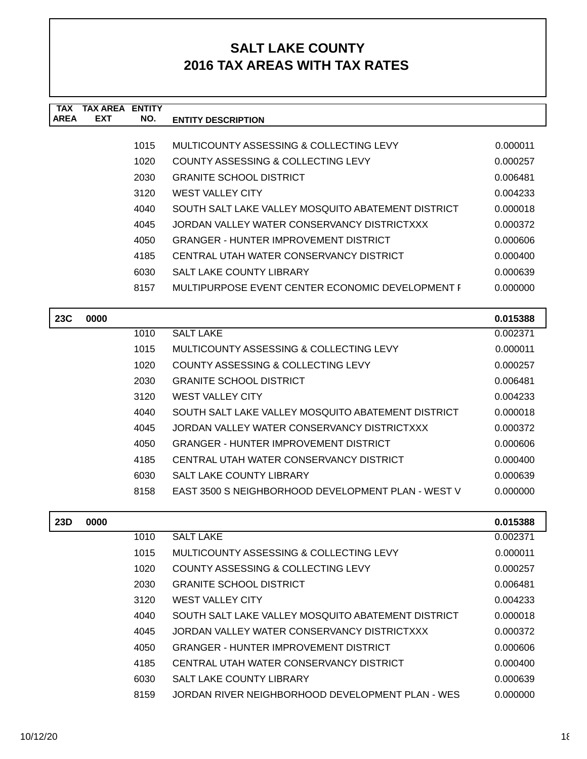| <b>TAX</b>  | TAX AREA   | <b>ENTITY</b> |                                                    |          |
|-------------|------------|---------------|----------------------------------------------------|----------|
| <b>AREA</b> | <b>EXT</b> | NO.           | <b>ENTITY DESCRIPTION</b>                          |          |
|             |            |               |                                                    |          |
|             |            | 1015          | MULTICOUNTY ASSESSING & COLLECTING LEVY            | 0.000011 |
|             |            | 1020          | COUNTY ASSESSING & COLLECTING LEVY                 | 0.000257 |
|             |            | 2030          | <b>GRANITE SCHOOL DISTRICT</b>                     | 0.006481 |
|             |            | 3120          | <b>WEST VALLEY CITY</b>                            | 0.004233 |
|             |            | 4040          | SOUTH SALT LAKE VALLEY MOSQUITO ABATEMENT DISTRICT | 0.000018 |
|             |            | 4045          | JORDAN VALLEY WATER CONSERVANCY DISTRICTXXX        | 0.000372 |
|             |            | 4050          | <b>GRANGER - HUNTER IMPROVEMENT DISTRICT</b>       | 0.000606 |
|             |            | 4185          | CENTRAL UTAH WATER CONSERVANCY DISTRICT            | 0.000400 |
|             |            | 6030          | <b>SALT LAKE COUNTY LIBRARY</b>                    | 0.000639 |
|             |            | 8157          | MULTIPURPOSE EVENT CENTER ECONOMIC DEVELOPMENT F   | 0.000000 |
|             |            |               |                                                    |          |
| 23C         | 0000       |               |                                                    | 0.015388 |

| w | vvvv |      |                                                    | <u> v.v i jjou</u> |
|---|------|------|----------------------------------------------------|--------------------|
|   |      | 1010 | <b>SALT LAKE</b>                                   | 0.002371           |
|   |      | 1015 | MULTICOUNTY ASSESSING & COLLECTING LEVY            | 0.000011           |
|   |      | 1020 | COUNTY ASSESSING & COLLECTING LEVY                 | 0.000257           |
|   |      | 2030 | <b>GRANITE SCHOOL DISTRICT</b>                     | 0.006481           |
|   |      | 3120 | <b>WEST VALLEY CITY</b>                            | 0.004233           |
|   |      | 4040 | SOUTH SALT LAKE VALLEY MOSQUITO ABATEMENT DISTRICT | 0.000018           |
|   |      | 4045 | JORDAN VALLEY WATER CONSERVANCY DISTRICTXXX        | 0.000372           |
|   |      | 4050 | GRANGER - HUNTER IMPROVEMENT DISTRICT              | 0.000606           |
|   |      | 4185 | CENTRAL UTAH WATER CONSERVANCY DISTRICT            | 0.000400           |
|   |      | 6030 | <b>SALT LAKE COUNTY LIBRARY</b>                    | 0.000639           |
|   |      | 8158 | EAST 3500 S NEIGHBORHOOD DEVELOPMENT PLAN - WEST V | 0.000000           |
|   |      |      |                                                    |                    |

| 23D | 0000 |      |                                                    | 0.015388 |
|-----|------|------|----------------------------------------------------|----------|
|     |      | 1010 | <b>SALT LAKE</b>                                   | 0.002371 |
|     |      | 1015 | MULTICOUNTY ASSESSING & COLLECTING LEVY            | 0.000011 |
|     |      | 1020 | <b>COUNTY ASSESSING &amp; COLLECTING LEVY</b>      | 0.000257 |
|     |      | 2030 | <b>GRANITE SCHOOL DISTRICT</b>                     | 0.006481 |
|     |      | 3120 | <b>WEST VALLEY CITY</b>                            | 0.004233 |
|     |      | 4040 | SOUTH SALT LAKE VALLEY MOSQUITO ABATEMENT DISTRICT | 0.000018 |
|     |      | 4045 | JORDAN VALLEY WATER CONSERVANCY DISTRICTXXX        | 0.000372 |
|     |      | 4050 | <b>GRANGER - HUNTER IMPROVEMENT DISTRICT</b>       | 0.000606 |
|     |      | 4185 | CENTRAL UTAH WATER CONSERVANCY DISTRICT            | 0.000400 |
|     |      | 6030 | <b>SALT LAKE COUNTY LIBRARY</b>                    | 0.000639 |
|     |      | 8159 | JORDAN RIVER NEIGHBORHOOD DEVELOPMENT PLAN - WES   | 0.000000 |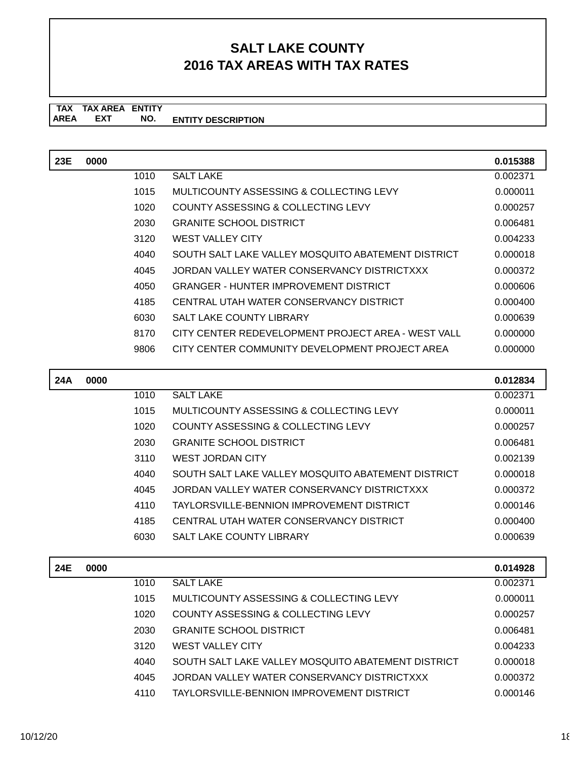#### **TAX TAX AREA ENTITY ENTITY DESCRIPTION** AREA EXT  **NO.**

| 23E | 0000 |      |                                                    | 0.015388 |
|-----|------|------|----------------------------------------------------|----------|
|     |      | 1010 | <b>SALT LAKE</b>                                   | 0.002371 |
|     |      | 1015 | MULTICOUNTY ASSESSING & COLLECTING LEVY            | 0.000011 |
|     |      | 1020 | COUNTY ASSESSING & COLLECTING LEVY                 | 0.000257 |
|     |      | 2030 | <b>GRANITE SCHOOL DISTRICT</b>                     | 0.006481 |
|     |      | 3120 | <b>WEST VALLEY CITY</b>                            | 0.004233 |
|     |      | 4040 | SOUTH SALT LAKE VALLEY MOSOUITO ABATEMENT DISTRICT | 0.000018 |
|     |      | 4045 | JORDAN VALLEY WATER CONSERVANCY DISTRICTXXX        | 0.000372 |
|     |      | 4050 | <b>GRANGER - HUNTER IMPROVEMENT DISTRICT</b>       | 0.000606 |
|     |      | 4185 | CENTRAL UTAH WATER CONSERVANCY DISTRICT            | 0.000400 |
|     |      | 6030 | <b>SALT LAKE COUNTY LIBRARY</b>                    | 0.000639 |
|     |      | 8170 | CITY CENTER REDEVELOPMENT PROJECT AREA - WEST VALL | 0.000000 |
|     |      | 9806 | CITY CENTER COMMUNITY DEVELOPMENT PROJECT AREA     | 0.000000 |
|     |      |      |                                                    |          |

| 24A | 0000 |      |                                                    | 0.012834 |
|-----|------|------|----------------------------------------------------|----------|
|     |      | 1010 | <b>SALT LAKE</b>                                   | 0.002371 |
|     |      | 1015 | MULTICOUNTY ASSESSING & COLLECTING LEVY            | 0.000011 |
|     |      | 1020 | COUNTY ASSESSING & COLLECTING LEVY                 | 0.000257 |
|     |      | 2030 | <b>GRANITE SCHOOL DISTRICT</b>                     | 0.006481 |
|     |      | 3110 | <b>WEST JORDAN CITY</b>                            | 0.002139 |
|     |      | 4040 | SOUTH SALT LAKE VALLEY MOSQUITO ABATEMENT DISTRICT | 0.000018 |
|     |      | 4045 | JORDAN VALLEY WATER CONSERVANCY DISTRICTXXX        | 0.000372 |
|     |      | 4110 | TAYLORSVILLE-BENNION IMPROVEMENT DISTRICT          | 0.000146 |
|     |      | 4185 | CENTRAL UTAH WATER CONSERVANCY DISTRICT            | 0.000400 |
|     |      | 6030 | <b>SALT LAKE COUNTY LIBRARY</b>                    | 0.000639 |
|     |      |      |                                                    |          |

| 24E | 0000 |      |                                                    | 0.014928 |
|-----|------|------|----------------------------------------------------|----------|
|     |      | 1010 | <b>SALT LAKE</b>                                   | 0.002371 |
|     |      | 1015 | MULTICOUNTY ASSESSING & COLLECTING LEVY            | 0.000011 |
|     |      | 1020 | COUNTY ASSESSING & COLLECTING LEVY                 | 0.000257 |
|     |      | 2030 | <b>GRANITE SCHOOL DISTRICT</b>                     | 0.006481 |
|     |      | 3120 | <b>WEST VALLEY CITY</b>                            | 0.004233 |
|     |      | 4040 | SOUTH SALT LAKE VALLEY MOSQUITO ABATEMENT DISTRICT | 0.000018 |
|     |      | 4045 | JORDAN VALLEY WATER CONSERVANCY DISTRICTXXX        | 0.000372 |
|     |      | 4110 | TAYLORSVILLE-BENNION IMPROVEMENT DISTRICT          | 0.000146 |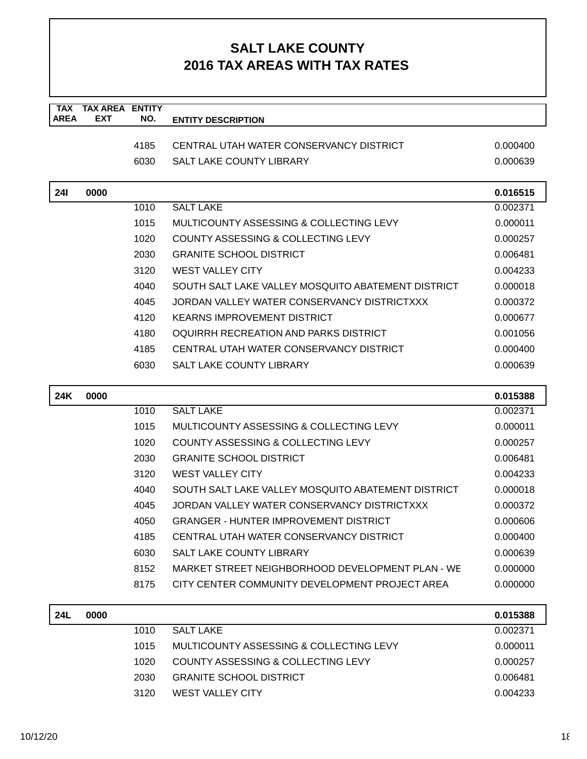| <b>TAX</b><br><b>AREA</b> | <b>TAX AREA ENTITY</b><br><b>EXT</b> | NO.  | <b>ENTITY DESCRIPTION</b>                          |          |
|---------------------------|--------------------------------------|------|----------------------------------------------------|----------|
|                           |                                      |      |                                                    |          |
|                           |                                      | 4185 | CENTRAL UTAH WATER CONSERVANCY DISTRICT            | 0.000400 |
|                           |                                      | 6030 | SALT LAKE COUNTY LIBRARY                           | 0.000639 |
|                           |                                      |      |                                                    |          |
| <b>241</b>                | 0000                                 |      |                                                    | 0.016515 |
|                           |                                      | 1010 | <b>SALT LAKE</b>                                   | 0.002371 |
|                           |                                      | 1015 | MULTICOUNTY ASSESSING & COLLECTING LEVY            | 0.000011 |
|                           |                                      | 1020 | COUNTY ASSESSING & COLLECTING LEVY                 | 0.000257 |
|                           |                                      | 2030 | <b>GRANITE SCHOOL DISTRICT</b>                     | 0.006481 |
|                           |                                      | 3120 | <b>WEST VALLEY CITY</b>                            | 0.004233 |
|                           |                                      | 4040 | SOUTH SALT LAKE VALLEY MOSQUITO ABATEMENT DISTRICT | 0.000018 |
|                           |                                      | 4045 | JORDAN VALLEY WATER CONSERVANCY DISTRICTXXX        | 0.000372 |
|                           |                                      | 4120 | <b>KEARNS IMPROVEMENT DISTRICT</b>                 | 0.000677 |
|                           |                                      | 4180 | OQUIRRH RECREATION AND PARKS DISTRICT              | 0.001056 |
|                           |                                      | 4185 | CENTRAL UTAH WATER CONSERVANCY DISTRICT            | 0.000400 |
|                           |                                      | 6030 | SALT LAKE COUNTY LIBRARY                           | 0.000639 |
|                           |                                      |      |                                                    |          |
| 24K                       | 0000                                 |      |                                                    | 0.015388 |
|                           |                                      | 1010 | <b>SALT LAKE</b>                                   | 0.002371 |
|                           |                                      | 1015 | MULTICOUNTY ASSESSING & COLLECTING LEVY            | 0.000011 |
|                           |                                      | 1020 | COUNTY ASSESSING & COLLECTING LEVY                 | 0.000257 |
|                           |                                      | 2030 | <b>GRANITE SCHOOL DISTRICT</b>                     | 0.006481 |
|                           |                                      | 3120 | <b>WEST VALLEY CITY</b>                            | 0.004233 |
|                           |                                      | 4040 | SOUTH SALT LAKE VALLEY MOSQUITO ABATEMENT DISTRICT | 0.000018 |
|                           |                                      | 4045 | JORDAN VALLEY WATER CONSERVANCY DISTRICTXXX        | 0.000372 |
|                           |                                      | 4050 | <b>GRANGER - HUNTER IMPROVEMENT DISTRICT</b>       | 0.000606 |
|                           |                                      | 4185 | CENTRAL UTAH WATER CONSERVANCY DISTRICT            | 0.000400 |
|                           |                                      | 6030 | <b>SALT LAKE COUNTY LIBRARY</b>                    | 0.000639 |
|                           |                                      | 8152 | MARKET STREET NEIGHBORHOOD DEVELOPMENT PLAN - WE   | 0.000000 |
|                           |                                      | 8175 | CITY CENTER COMMUNITY DEVELOPMENT PROJECT AREA     | 0.000000 |
| <b>24L</b>                | 0000                                 |      |                                                    | 0.015388 |

| <b>24L</b> | 0000 |      |                                         | 0.015388 |
|------------|------|------|-----------------------------------------|----------|
|            |      | 1010 | <b>SALT LAKE</b>                        | 0.002371 |
|            |      | 1015 | MULTICOUNTY ASSESSING & COLLECTING LEVY | 0.000011 |
|            |      | 1020 | COUNTY ASSESSING & COLLECTING LEVY      | 0.000257 |
|            |      | 2030 | <b>GRANITE SCHOOL DISTRICT</b>          | 0.006481 |
|            |      | 3120 | WEST VALLEY CITY                        | 0.004233 |
|            |      |      |                                         |          |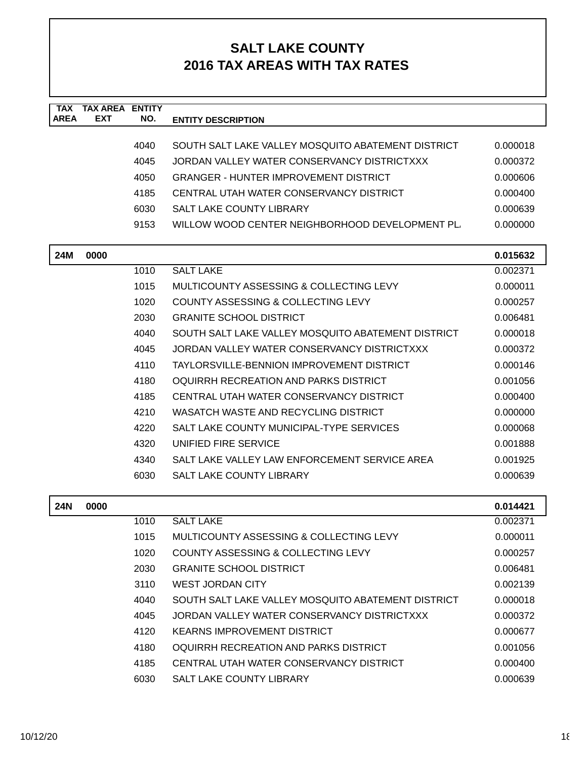| <b>TAX</b><br><b>AREA</b> | <b>TAX AREA ENTITY</b><br><b>EXT</b> | NO.  | <b>ENTITY DESCRIPTION</b>                          |          |
|---------------------------|--------------------------------------|------|----------------------------------------------------|----------|
|                           |                                      |      |                                                    |          |
|                           |                                      | 4040 | SOUTH SALT LAKE VALLEY MOSQUITO ABATEMENT DISTRICT | 0.000018 |
|                           |                                      | 4045 | JORDAN VALLEY WATER CONSERVANCY DISTRICTXXX        | 0.000372 |
|                           |                                      | 4050 | <b>GRANGER - HUNTER IMPROVEMENT DISTRICT</b>       | 0.000606 |
|                           |                                      | 4185 | CENTRAL UTAH WATER CONSERVANCY DISTRICT            | 0.000400 |
|                           |                                      | 6030 | SALT LAKE COUNTY LIBRARY                           | 0.000639 |
|                           |                                      | 9153 | WILLOW WOOD CENTER NEIGHBORHOOD DEVELOPMENT PL     | 0.000000 |
|                           |                                      |      |                                                    |          |
| <b>24M</b>                | 0000                                 |      |                                                    | 0.015632 |
|                           |                                      | 1010 | <b>SALT LAKE</b>                                   | 0.002371 |
|                           |                                      | 1015 | MULTICOUNTY ASSESSING & COLLECTING LEVY            | 0.000011 |
|                           |                                      | 1020 | <b>COUNTY ASSESSING &amp; COLLECTING LEVY</b>      | 0.000257 |
|                           |                                      | 2030 | <b>GRANITE SCHOOL DISTRICT</b>                     | 0.006481 |
|                           |                                      | 4040 | SOUTH SALT LAKE VALLEY MOSQUITO ABATEMENT DISTRICT | 0.000018 |
|                           |                                      | 4045 | JORDAN VALLEY WATER CONSERVANCY DISTRICTXXX        | 0.000372 |
|                           |                                      | 4110 | <b>TAYLORSVILLE-BENNION IMPROVEMENT DISTRICT</b>   | 0.000146 |
|                           |                                      | 4180 | OQUIRRH RECREATION AND PARKS DISTRICT              | 0.001056 |
|                           |                                      | 4185 | CENTRAL UTAH WATER CONSERVANCY DISTRICT            | 0.000400 |
|                           |                                      | 4210 | WASATCH WASTE AND RECYCLING DISTRICT               | 0.000000 |
|                           |                                      | 4220 | SALT LAKE COUNTY MUNICIPAL-TYPE SERVICES           | 0.000068 |
|                           |                                      | 4320 | UNIFIED FIRE SERVICE                               | 0.001888 |
|                           |                                      | 4340 | SALT LAKE VALLEY LAW ENFORCEMENT SERVICE AREA      | 0.001925 |
|                           |                                      | 6030 | <b>SALT LAKE COUNTY LIBRARY</b>                    | 0.000639 |
|                           |                                      |      |                                                    |          |
| <b>24N</b>                | 0000                                 |      |                                                    | 0.014421 |
|                           |                                      | 1010 | <b>SALT LAKE</b>                                   | 0.002371 |
|                           |                                      | 1015 | MULTICOUNTY ASSESSING & COLLECTING LEVY            | 0.000011 |
|                           |                                      | 1020 | COUNTY ASSESSING & COLLECTING LEVY                 | 0.000257 |
|                           |                                      | 2030 | <b>GRANITE SCHOOL DISTRICT</b>                     | 0.006481 |
|                           |                                      | 3110 | <b>WEST JORDAN CITY</b>                            | 0.002139 |
|                           |                                      | 4040 | SOUTH SALT LAKE VALLEY MOSQUITO ABATEMENT DISTRICT | 0.000018 |
|                           |                                      | 4045 | JORDAN VALLEY WATER CONSERVANCY DISTRICTXXX        | 0.000372 |
|                           |                                      | 4120 | <b>KEARNS IMPROVEMENT DISTRICT</b>                 | 0.000677 |
|                           |                                      | 4180 | OQUIRRH RECREATION AND PARKS DISTRICT              | 0.001056 |
|                           |                                      | 4185 | CENTRAL UTAH WATER CONSERVANCY DISTRICT            | 0.000400 |
|                           |                                      | 6030 | SALT LAKE COUNTY LIBRARY                           | 0.000639 |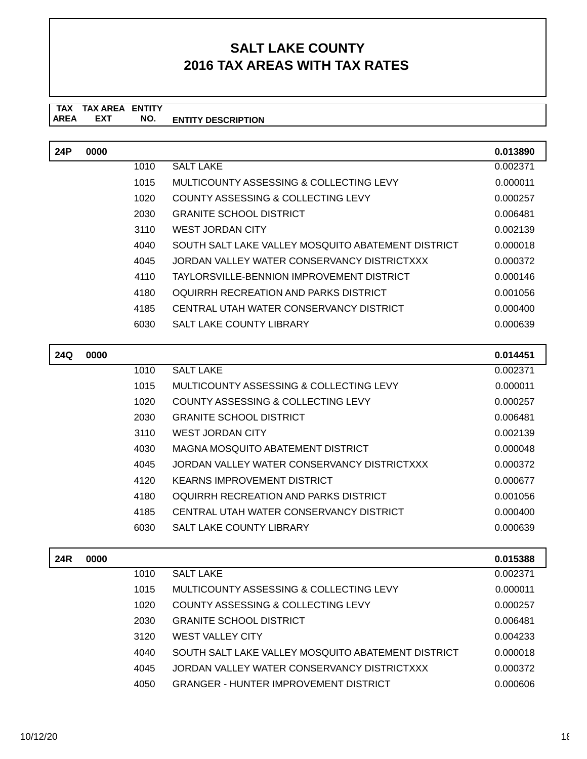#### **TAX TAX AREA ENTITY ENTITY DESCRIPTION EXT NO.**

| 24P | 0000 |      |                                                    | 0.013890 |
|-----|------|------|----------------------------------------------------|----------|
|     |      | 1010 | <b>SALT LAKE</b>                                   | 0.002371 |
|     |      | 1015 | MULTICOUNTY ASSESSING & COLLECTING LEVY            | 0.000011 |
|     |      | 1020 | COUNTY ASSESSING & COLLECTING LEVY                 | 0.000257 |
|     |      | 2030 | <b>GRANITE SCHOOL DISTRICT</b>                     | 0.006481 |
|     |      | 3110 | <b>WEST JORDAN CITY</b>                            | 0.002139 |
|     |      | 4040 | SOUTH SALT LAKE VALLEY MOSQUITO ABATEMENT DISTRICT | 0.000018 |
|     |      | 4045 | JORDAN VALLEY WATER CONSERVANCY DISTRICTXXX        | 0.000372 |
|     |      | 4110 | TAYLORSVILLE-BENNION IMPROVEMENT DISTRICT          | 0.000146 |
|     |      | 4180 | OQUIRRH RECREATION AND PARKS DISTRICT              | 0.001056 |
|     |      | 4185 | CENTRAL UTAH WATER CONSERVANCY DISTRICT            | 0.000400 |
|     |      | 6030 | <b>SALT LAKE COUNTY LIBRARY</b>                    | 0.000639 |

| 24Q | 0000 |      |                                             | 0.014451 |
|-----|------|------|---------------------------------------------|----------|
|     |      | 1010 | <b>SALT LAKE</b>                            | 0.002371 |
|     |      | 1015 | MULTICOUNTY ASSESSING & COLLECTING LEVY     | 0.000011 |
|     |      | 1020 | COUNTY ASSESSING & COLLECTING LEVY          | 0.000257 |
|     |      | 2030 | <b>GRANITE SCHOOL DISTRICT</b>              | 0.006481 |
|     |      | 3110 | WEST JORDAN CITY                            | 0.002139 |
|     |      | 4030 | MAGNA MOSQUITO ABATEMENT DISTRICT           | 0.000048 |
|     |      | 4045 | JORDAN VALLEY WATER CONSERVANCY DISTRICTXXX | 0.000372 |
|     |      | 4120 | KEARNS IMPROVEMENT DISTRICT                 | 0.000677 |
|     |      | 4180 | OQUIRRH RECREATION AND PARKS DISTRICT       | 0.001056 |
|     |      | 4185 | CENTRAL UTAH WATER CONSERVANCY DISTRICT     | 0.000400 |
|     |      | 6030 | SALT LAKE COUNTY LIBRARY                    | 0.000639 |
|     |      |      |                                             |          |

| 24R | 0000 |      |                                                    | 0.015388 |
|-----|------|------|----------------------------------------------------|----------|
|     |      | 1010 | <b>SALT LAKE</b>                                   | 0.002371 |
|     |      | 1015 | MULTICOUNTY ASSESSING & COLLECTING LEVY            | 0.000011 |
|     |      | 1020 | COUNTY ASSESSING & COLLECTING LEVY                 | 0.000257 |
|     |      | 2030 | <b>GRANITE SCHOOL DISTRICT</b>                     | 0.006481 |
|     |      | 3120 | <b>WEST VALLEY CITY</b>                            | 0.004233 |
|     |      | 4040 | SOUTH SALT LAKE VALLEY MOSQUITO ABATEMENT DISTRICT | 0.000018 |
|     |      | 4045 | JORDAN VALLEY WATER CONSERVANCY DISTRICTXXX        | 0.000372 |
|     |      | 4050 | <b>GRANGER - HUNTER IMPROVEMENT DISTRICT</b>       | 0.000606 |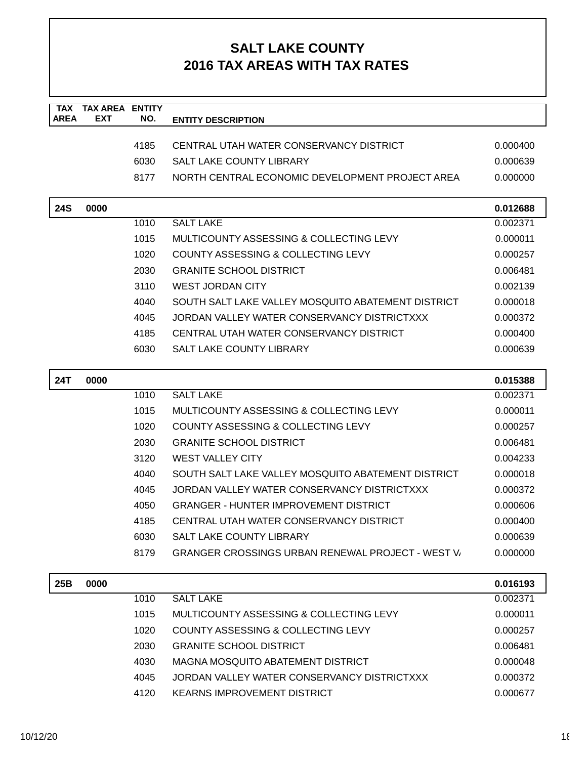| <b>TAX</b><br><b>AREA</b> | <b>TAX AREA ENTITY</b><br>EXT | NO.  | <b>ENTITY DESCRIPTION</b>                                |          |
|---------------------------|-------------------------------|------|----------------------------------------------------------|----------|
|                           |                               |      |                                                          |          |
|                           |                               | 4185 | CENTRAL UTAH WATER CONSERVANCY DISTRICT                  | 0.000400 |
|                           |                               | 6030 | SALT LAKE COUNTY LIBRARY                                 | 0.000639 |
|                           |                               | 8177 | NORTH CENTRAL ECONOMIC DEVELOPMENT PROJECT AREA          | 0.000000 |
|                           |                               |      |                                                          |          |
| <b>24S</b>                | 0000                          |      |                                                          | 0.012688 |
|                           |                               | 1010 | <b>SALT LAKE</b>                                         | 0.002371 |
|                           |                               | 1015 | MULTICOUNTY ASSESSING & COLLECTING LEVY                  | 0.000011 |
|                           |                               | 1020 | COUNTY ASSESSING & COLLECTING LEVY                       | 0.000257 |
|                           |                               | 2030 | <b>GRANITE SCHOOL DISTRICT</b>                           | 0.006481 |
|                           |                               | 3110 | <b>WEST JORDAN CITY</b>                                  | 0.002139 |
|                           |                               | 4040 | SOUTH SALT LAKE VALLEY MOSQUITO ABATEMENT DISTRICT       | 0.000018 |
|                           |                               | 4045 | JORDAN VALLEY WATER CONSERVANCY DISTRICTXXX              | 0.000372 |
|                           |                               | 4185 | CENTRAL UTAH WATER CONSERVANCY DISTRICT                  | 0.000400 |
|                           |                               | 6030 | <b>SALT LAKE COUNTY LIBRARY</b>                          | 0.000639 |
| <b>24T</b>                | 0000                          |      |                                                          | 0.015388 |
|                           |                               | 1010 | <b>SALT LAKE</b>                                         | 0.002371 |
|                           |                               | 1015 | MULTICOUNTY ASSESSING & COLLECTING LEVY                  | 0.000011 |
|                           |                               | 1020 | COUNTY ASSESSING & COLLECTING LEVY                       | 0.000257 |
|                           |                               | 2030 | <b>GRANITE SCHOOL DISTRICT</b>                           | 0.006481 |
|                           |                               | 3120 | <b>WEST VALLEY CITY</b>                                  | 0.004233 |
|                           |                               | 4040 | SOUTH SALT LAKE VALLEY MOSQUITO ABATEMENT DISTRICT       | 0.000018 |
|                           |                               | 4045 | JORDAN VALLEY WATER CONSERVANCY DISTRICTXXX              | 0.000372 |
|                           |                               | 4050 | <b>GRANGER - HUNTER IMPROVEMENT DISTRICT</b>             | 0.000606 |
|                           |                               | 4185 | CENTRAL UTAH WATER CONSERVANCY DISTRICT                  | 0.000400 |
|                           |                               | 6030 | SALT LAKE COUNTY LIBRARY                                 | 0.000639 |
|                           |                               | 8179 | <b>GRANGER CROSSINGS URBAN RENEWAL PROJECT - WEST V.</b> | 0.000000 |
| 25B                       | 0000                          |      |                                                          | 0.016193 |
|                           |                               | 1010 | <b>SALT LAKE</b>                                         | 0.002371 |
|                           |                               | 1015 | MULTICOUNTY ASSESSING & COLLECTING LEVY                  | 0.000011 |
|                           |                               | 1020 | COUNTY ASSESSING & COLLECTING LEVY                       | 0.000257 |
|                           |                               | 2030 | <b>GRANITE SCHOOL DISTRICT</b>                           | 0.006481 |
|                           |                               | 4030 | MAGNA MOSQUITO ABATEMENT DISTRICT                        | 0.000048 |
|                           |                               | 4045 | JORDAN VALLEY WATER CONSERVANCY DISTRICTXXX              | 0.000372 |
|                           |                               | 4120 | <b>KEARNS IMPROVEMENT DISTRICT</b>                       | 0.000677 |
|                           |                               |      |                                                          |          |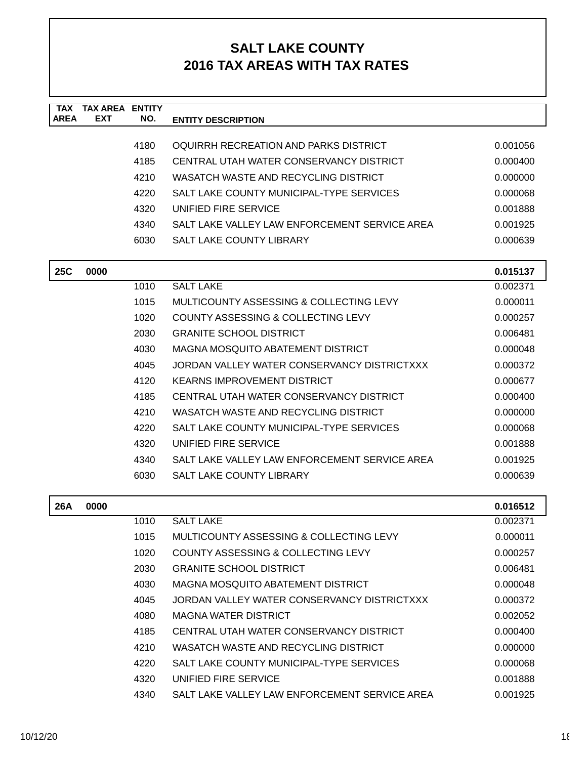| <b>TAX</b><br><b>AREA</b> | <b>TAX AREA ENTITY</b><br><b>EXT</b> | NO.  | <b>ENTITY DESCRIPTION</b>                     |          |
|---------------------------|--------------------------------------|------|-----------------------------------------------|----------|
|                           |                                      |      |                                               |          |
|                           |                                      | 4180 | OQUIRRH RECREATION AND PARKS DISTRICT         | 0.001056 |
|                           |                                      | 4185 | CENTRAL UTAH WATER CONSERVANCY DISTRICT       | 0.000400 |
|                           |                                      | 4210 | WASATCH WASTE AND RECYCLING DISTRICT          | 0.000000 |
|                           |                                      | 4220 | SALT LAKE COUNTY MUNICIPAL-TYPE SERVICES      | 0.000068 |
|                           |                                      | 4320 | UNIFIED FIRE SERVICE                          | 0.001888 |
|                           |                                      | 4340 | SALT LAKE VALLEY LAW ENFORCEMENT SERVICE AREA | 0.001925 |
|                           |                                      | 6030 | <b>SALT LAKE COUNTY LIBRARY</b>               | 0.000639 |
| <b>25C</b>                | 0000                                 |      |                                               | 0.015137 |
|                           |                                      | 1010 | <b>SALT LAKE</b>                              | 0.002371 |
|                           |                                      | 1015 | MULTICOUNTY ASSESSING & COLLECTING LEVY       | 0.000011 |
|                           |                                      | 1020 | COUNTY ASSESSING & COLLECTING LEVY            | 0.000257 |
|                           |                                      | 2030 | <b>GRANITE SCHOOL DISTRICT</b>                | 0.006481 |
|                           |                                      | 4030 | MAGNA MOSQUITO ABATEMENT DISTRICT             | 0.000048 |
|                           |                                      | 4045 | JORDAN VALLEY WATER CONSERVANCY DISTRICTXXX   | 0.000372 |
|                           |                                      | 4120 | <b>KEARNS IMPROVEMENT DISTRICT</b>            | 0.000677 |
|                           |                                      | 4185 | CENTRAL UTAH WATER CONSERVANCY DISTRICT       | 0.000400 |
|                           |                                      | 4210 | WASATCH WASTE AND RECYCLING DISTRICT          | 0.000000 |
|                           |                                      | 4220 | SALT LAKE COUNTY MUNICIPAL-TYPE SERVICES      | 0.000068 |
|                           |                                      | 4320 | UNIFIED FIRE SERVICE                          | 0.001888 |
|                           |                                      | 4340 | SALT LAKE VALLEY LAW ENFORCEMENT SERVICE AREA | 0.001925 |
|                           |                                      | 6030 | <b>SALT LAKE COUNTY LIBRARY</b>               | 0.000639 |
| <b>26A</b>                | 0000                                 |      |                                               | 0.016512 |
|                           |                                      | 1010 | <b>SALT LAKE</b>                              | 0.002371 |
|                           |                                      | 1015 | MULTICOUNTY ASSESSING & COLLECTING LEVY       | 0.000011 |
|                           |                                      | 1020 | COUNTY ASSESSING & COLLECTING LEVY            | 0.000257 |
|                           |                                      | 2030 | <b>GRANITE SCHOOL DISTRICT</b>                | 0.006481 |
|                           |                                      | 4030 | MAGNA MOSQUITO ABATEMENT DISTRICT             | 0.000048 |
|                           |                                      | 4045 | JORDAN VALLEY WATER CONSERVANCY DISTRICTXXX   | 0.000372 |
|                           |                                      | 4080 | <b>MAGNA WATER DISTRICT</b>                   | 0.002052 |
|                           |                                      | 4185 | CENTRAL UTAH WATER CONSERVANCY DISTRICT       | 0.000400 |
|                           |                                      | 4210 | WASATCH WASTE AND RECYCLING DISTRICT          | 0.000000 |
|                           |                                      | 4220 | SALT LAKE COUNTY MUNICIPAL-TYPE SERVICES      | 0.000068 |
|                           |                                      | 4320 | UNIFIED FIRE SERVICE                          | 0.001888 |
|                           |                                      | 4340 | SALT LAKE VALLEY LAW ENFORCEMENT SERVICE AREA | 0.001925 |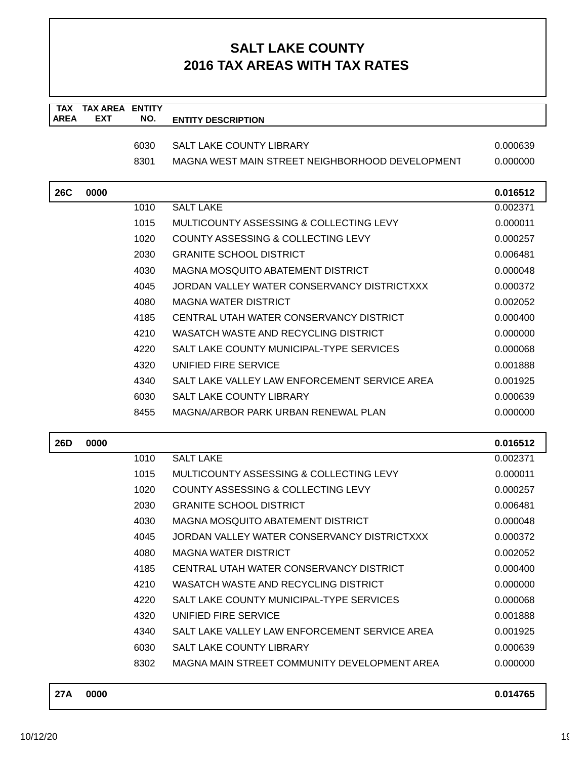| <b>TAX</b><br><b>AREA</b> | <b>TAX AREA ENTITY</b><br><b>EXT</b> | NO.  | <b>ENTITY DESCRIPTION</b>                       |          |
|---------------------------|--------------------------------------|------|-------------------------------------------------|----------|
|                           |                                      | 6030 | <b>SALT LAKE COUNTY LIBRARY</b>                 | 0.000639 |
|                           |                                      | 8301 | MAGNA WEST MAIN STREET NEIGHBORHOOD DEVELOPMENT | 0.000000 |
|                           |                                      |      |                                                 |          |
| <b>26C</b>                | 0000                                 |      |                                                 | 0.016512 |
|                           |                                      | 1010 | <b>SALT LAKE</b>                                | 0.002371 |
|                           |                                      | 1015 | MULTICOUNTY ASSESSING & COLLECTING LEVY         | 0.000011 |
|                           |                                      | 1020 | COUNTY ASSESSING & COLLECTING LEVY              | 0.000257 |
|                           |                                      | 2030 | <b>GRANITE SCHOOL DISTRICT</b>                  | 0.006481 |
|                           |                                      | 4030 | <b>MAGNA MOSQUITO ABATEMENT DISTRICT</b>        | 0.000048 |
|                           |                                      | 4045 | JORDAN VALLEY WATER CONSERVANCY DISTRICTXXX     | 0.000372 |
|                           |                                      | 4080 | <b>MAGNA WATER DISTRICT</b>                     | 0.002052 |
|                           |                                      | 4185 | CENTRAL UTAH WATER CONSERVANCY DISTRICT         | 0.000400 |
|                           |                                      | 4210 | WASATCH WASTE AND RECYCLING DISTRICT            | 0.000000 |
|                           |                                      | 4220 | SALT LAKE COUNTY MUNICIPAL-TYPE SERVICES        | 0.000068 |
|                           |                                      | 4320 | UNIFIED FIRE SERVICE                            | 0.001888 |
|                           |                                      | 4340 | SALT LAKE VALLEY LAW ENFORCEMENT SERVICE AREA   | 0.001925 |
|                           |                                      | 6030 | <b>SALT LAKE COUNTY LIBRARY</b>                 | 0.000639 |
|                           |                                      | 8455 | MAGNA/ARBOR PARK URBAN RENEWAL PLAN             | 0.000000 |
| <b>26D</b>                | 0000                                 |      |                                                 | 0.016512 |
|                           |                                      | 1010 | <b>SALT LAKE</b>                                | 0.002371 |
|                           |                                      | 1015 | MULTICOUNTY ASSESSING & COLLECTING LEVY         | 0.000011 |
|                           |                                      | 1020 | COUNTY ASSESSING & COLLECTING LEVY              | 0.000257 |
|                           |                                      | 2030 | <b>GRANITE SCHOOL DISTRICT</b>                  | 0.006481 |
|                           |                                      | 4030 | MAGNA MOSQUITO ABATEMENT DISTRICT               | 0.000048 |
|                           |                                      | 4045 | JORDAN VALLEY WATER CONSERVANCY DISTRICTXXX     | 0.000372 |
|                           |                                      | 4080 | <b>MAGNA WATER DISTRICT</b>                     | 0.002052 |
|                           |                                      | 4185 | CENTRAL UTAH WATER CONSERVANCY DISTRICT         | 0.000400 |
|                           |                                      | 4210 | WASATCH WASTE AND RECYCLING DISTRICT            | 0.000000 |
|                           |                                      | 4220 | SALT LAKE COUNTY MUNICIPAL-TYPE SERVICES        | 0.000068 |
|                           |                                      | 4320 | UNIFIED FIRE SERVICE                            | 0.001888 |
|                           |                                      | 4340 | SALT LAKE VALLEY LAW ENFORCEMENT SERVICE AREA   | 0.001925 |
|                           |                                      | 6030 | SALT LAKE COUNTY LIBRARY                        | 0.000639 |
|                           |                                      | 8302 | MAGNA MAIN STREET COMMUNITY DEVELOPMENT AREA    | 0.000000 |
| <b>27A</b>                | 0000                                 |      |                                                 | 0.014765 |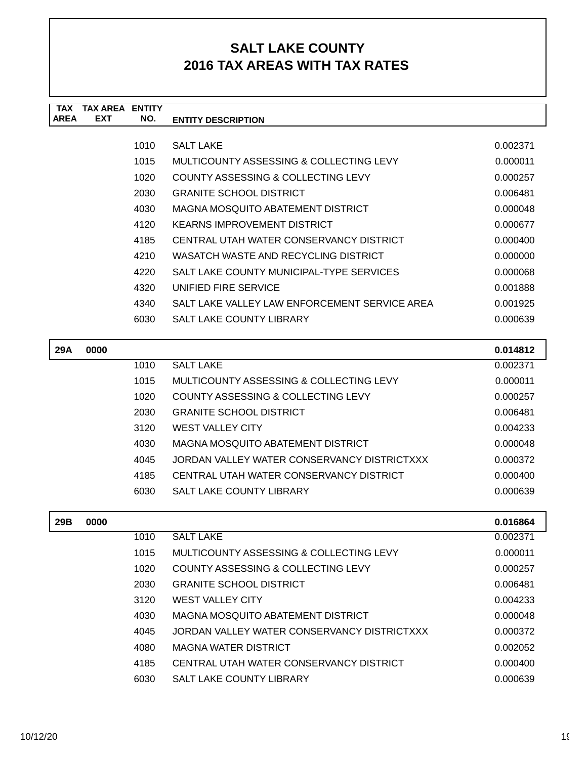| <b>TAX</b>  | <b>TAX AREA</b> | <b>ENTITY</b> |                                               |          |
|-------------|-----------------|---------------|-----------------------------------------------|----------|
| <b>AREA</b> | <b>EXT</b>      | NO.           | <b>ENTITY DESCRIPTION</b>                     |          |
|             |                 |               |                                               |          |
|             |                 | 1010          | <b>SALT LAKE</b>                              | 0.002371 |
|             |                 | 1015          | MULTICOUNTY ASSESSING & COLLECTING LEVY       | 0.000011 |
|             |                 | 1020          | COUNTY ASSESSING & COLLECTING LEVY            | 0.000257 |
|             |                 | 2030          | <b>GRANITE SCHOOL DISTRICT</b>                | 0.006481 |
|             |                 | 4030          | MAGNA MOSQUITO ABATEMENT DISTRICT             | 0.000048 |
|             |                 | 4120          | <b>KEARNS IMPROVEMENT DISTRICT</b>            | 0.000677 |
|             |                 | 4185          | CENTRAL UTAH WATER CONSERVANCY DISTRICT       | 0.000400 |
|             |                 | 4210          | WASATCH WASTE AND RECYCLING DISTRICT          | 0.000000 |
|             |                 | 4220          | SALT LAKE COUNTY MUNICIPAL-TYPE SERVICES      | 0.000068 |
|             |                 | 4320          | UNIFIED FIRE SERVICE                          | 0.001888 |
|             |                 | 4340          | SALT LAKE VALLEY LAW ENFORCEMENT SERVICE AREA | 0.001925 |
|             |                 | 6030          | <b>SALT LAKE COUNTY LIBRARY</b>               | 0.000639 |
|             |                 |               |                                               |          |
| 29A         | 0000            |               |                                               | 0.014812 |
|             |                 | 1010          | <b>SALT LAKE</b>                              | 0.002371 |
|             |                 | 1015          | MULTICOUNTY ASSESSING & COLLECTING LEVY       | 0.000011 |
|             |                 | 1020          | COUNTY ASSESSING & COLLECTING LEVY            | 0.000257 |

| 2030 | <b>GRANITE SCHOOL DISTRICT</b>              | 0.006481 |
|------|---------------------------------------------|----------|
| 3120 | <b>WEST VALLEY CITY</b>                     | 0.004233 |
| 4030 | MAGNA MOSQUITO ABATEMENT DISTRICT           | 0.000048 |
| 4045 | JORDAN VALLEY WATER CONSERVANCY DISTRICTXXX | 0.000372 |
| 4185 | CENTRAL UTAH WATER CONSERVANCY DISTRICT     | 0.000400 |
| 6030 | <b>SALT LAKE COUNTY LIBRARY</b>             | 0.000639 |

| 29B | 0000 |      |                                             | 0.016864 |
|-----|------|------|---------------------------------------------|----------|
|     |      | 1010 | <b>SALT LAKE</b>                            | 0.002371 |
|     |      | 1015 | MULTICOUNTY ASSESSING & COLLECTING LEVY     | 0.000011 |
|     |      | 1020 | COUNTY ASSESSING & COLLECTING LEVY          | 0.000257 |
|     |      | 2030 | <b>GRANITE SCHOOL DISTRICT</b>              | 0.006481 |
|     |      | 3120 | <b>WEST VALLEY CITY</b>                     | 0.004233 |
|     |      | 4030 | MAGNA MOSQUITO ABATEMENT DISTRICT           | 0.000048 |
|     |      | 4045 | JORDAN VALLEY WATER CONSERVANCY DISTRICTXXX | 0.000372 |
|     |      | 4080 | <b>MAGNA WATER DISTRICT</b>                 | 0.002052 |
|     |      | 4185 | CENTRAL UTAH WATER CONSERVANCY DISTRICT     | 0.000400 |
|     |      | 6030 | SALT LAKE COUNTY LIBRARY                    | 0.000639 |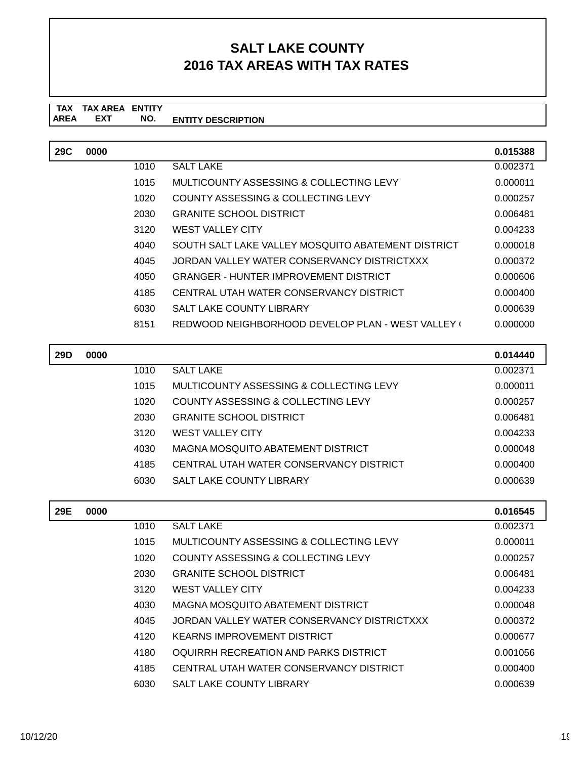#### **TAX TAX AREA ENTITY ENTITY DESCRIPTION EXT NO.**

| <b>29C</b> | 0000 |      |                                                    | 0.015388 |
|------------|------|------|----------------------------------------------------|----------|
|            |      | 1010 | <b>SALT LAKE</b>                                   | 0.002371 |
|            |      | 1015 | MULTICOUNTY ASSESSING & COLLECTING LEVY            | 0.000011 |
|            |      | 1020 | <b>COUNTY ASSESSING &amp; COLLECTING LEVY</b>      | 0.000257 |
|            |      | 2030 | <b>GRANITE SCHOOL DISTRICT</b>                     | 0.006481 |
|            |      | 3120 | <b>WEST VALLEY CITY</b>                            | 0.004233 |
|            |      | 4040 | SOUTH SALT LAKE VALLEY MOSQUITO ABATEMENT DISTRICT | 0.000018 |
|            |      | 4045 | JORDAN VALLEY WATER CONSERVANCY DISTRICTXXX        | 0.000372 |
|            |      | 4050 | <b>GRANGER - HUNTER IMPROVEMENT DISTRICT</b>       | 0.000606 |
|            |      | 4185 | CENTRAL UTAH WATER CONSERVANCY DISTRICT            | 0.000400 |
|            |      | 6030 | <b>SALT LAKE COUNTY LIBRARY</b>                    | 0.000639 |
|            |      | 8151 | REDWOOD NEIGHBORHOOD DEVELOP PLAN - WEST VALLEY (  | 0.000000 |
|            |      |      |                                                    |          |
| <b>29D</b> | 0000 |      |                                                    | 0.014440 |
|            |      | 1010 | <b>SALT LAKE</b>                                   | 0.002371 |
|            |      | 1015 | MULTICOUNTY ASSESSING & COLLECTING LEVY            | 0.000011 |
|            |      | 1020 | COUNTY ASSESSING & COLLECTING LEVY                 | 0.000257 |
|            |      | 2030 | <b>GRANITE SCHOOL DISTRICT</b>                     | 0.006481 |
|            |      | 3120 | <b>WEST VALLEY CITY</b>                            | 0.004233 |
|            |      | 4030 | <b>MAGNA MOSQUITO ABATEMENT DISTRICT</b>           | 0.000048 |
|            |      | 4185 | CENTRAL UTAH WATER CONSERVANCY DISTRICT            | 0.000400 |
|            |      | 6030 | <b>SALT LAKE COUNTY LIBRARY</b>                    | 0.000639 |
|            |      |      |                                                    |          |

| 29E | 0000 |      |                                             | 0.016545 |
|-----|------|------|---------------------------------------------|----------|
|     |      | 1010 | <b>SALT LAKE</b>                            | 0.002371 |
|     |      | 1015 | MULTICOUNTY ASSESSING & COLLECTING LEVY     | 0.000011 |
|     |      | 1020 | COUNTY ASSESSING & COLLECTING LEVY          | 0.000257 |
|     |      | 2030 | <b>GRANITE SCHOOL DISTRICT</b>              | 0.006481 |
|     |      | 3120 | <b>WEST VALLEY CITY</b>                     | 0.004233 |
|     |      | 4030 | MAGNA MOSQUITO ABATEMENT DISTRICT           | 0.000048 |
|     |      | 4045 | JORDAN VALLEY WATER CONSERVANCY DISTRICTXXX | 0.000372 |
|     |      | 4120 | <b>KEARNS IMPROVEMENT DISTRICT</b>          | 0.000677 |
|     |      | 4180 | OQUIRRH RECREATION AND PARKS DISTRICT       | 0.001056 |
|     |      | 4185 | CENTRAL UTAH WATER CONSERVANCY DISTRICT     | 0.000400 |
|     |      | 6030 | <b>SALT LAKE COUNTY LIBRARY</b>             | 0.000639 |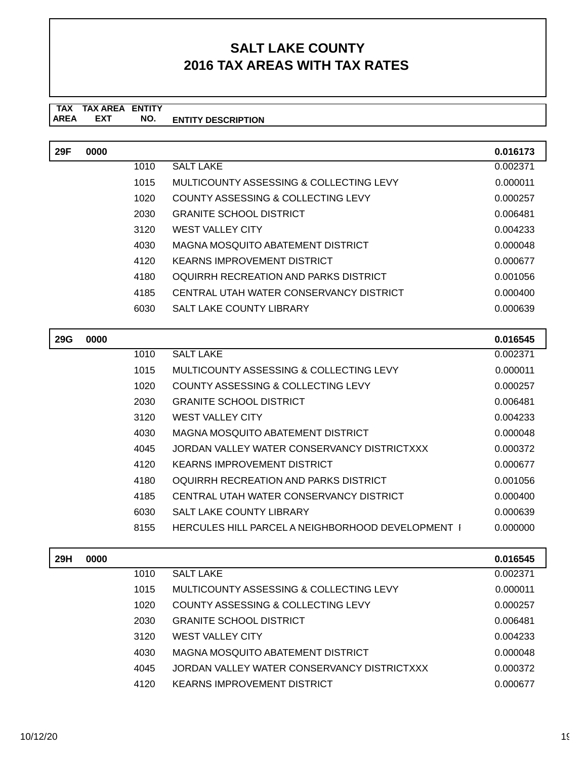#### **TAX TAX AREA ENTITY AREA ENTITY DESCRIPTION EXT NO.**

| 29F        | 0000 |      |                                                          | 0.016173 |
|------------|------|------|----------------------------------------------------------|----------|
|            |      | 1010 | <b>SALT LAKE</b>                                         | 0.002371 |
|            |      | 1015 | MULTICOUNTY ASSESSING & COLLECTING LEVY                  | 0.000011 |
|            |      | 1020 | COUNTY ASSESSING & COLLECTING LEVY                       | 0.000257 |
|            |      | 2030 | <b>GRANITE SCHOOL DISTRICT</b>                           | 0.006481 |
|            |      | 3120 | <b>WEST VALLEY CITY</b>                                  | 0.004233 |
|            |      | 4030 | <b>MAGNA MOSQUITO ABATEMENT DISTRICT</b>                 | 0.000048 |
|            |      | 4120 | <b>KEARNS IMPROVEMENT DISTRICT</b>                       | 0.000677 |
|            |      | 4180 | OQUIRRH RECREATION AND PARKS DISTRICT                    | 0.001056 |
|            |      | 4185 | CENTRAL UTAH WATER CONSERVANCY DISTRICT                  | 0.000400 |
|            |      | 6030 | <b>SALT LAKE COUNTY LIBRARY</b>                          | 0.000639 |
| <b>29G</b> | 0000 |      |                                                          | 0.016545 |
|            |      | 1010 | <b>SALT LAKE</b>                                         | 0.002371 |
|            |      | 1015 | MULTICOUNTY ASSESSING & COLLECTING LEVY                  | 0.000011 |
|            |      | 1020 | COUNTY ASSESSING & COLLECTING LEVY                       | 0.000257 |
|            |      | 2030 | <b>GRANITE SCHOOL DISTRICT</b>                           | 0.006481 |
|            |      | 3120 | <b>WEST VALLEY CITY</b>                                  | 0.004233 |
|            |      |      |                                                          |          |
|            |      | 4030 | <b>MAGNA MOSQUITO ABATEMENT DISTRICT</b>                 | 0.000048 |
|            |      | 4045 | JORDAN VALLEY WATER CONSERVANCY DISTRICTXXX              | 0.000372 |
|            |      | 4120 | <b>KEARNS IMPROVEMENT DISTRICT</b>                       | 0.000677 |
|            |      | 4180 | OQUIRRH RECREATION AND PARKS DISTRICT                    | 0.001056 |
|            |      | 4185 | CENTRAL UTAH WATER CONSERVANCY DISTRICT                  | 0.000400 |
|            |      | 6030 | <b>SALT LAKE COUNTY LIBRARY</b>                          | 0.000639 |
|            |      | 8155 | <b>HERCULES HILL PARCEL A NEIGHBORHOOD DEVELOPMENT  </b> | 0.000000 |
| 29H        | 0000 |      |                                                          | 0.016545 |
|            |      | 1010 | <b>SALT LAKE</b>                                         | 0.002371 |
|            |      | 1015 | MULTICOUNTY ASSESSING & COLLECTING LEVY                  | 0.000011 |
|            |      | 1020 | COUNTY ASSESSING & COLLECTING LEVY                       | 0.000257 |
|            |      | 2030 | <b>GRANITE SCHOOL DISTRICT</b>                           | 0.006481 |
|            |      | 3120 | <b>WEST VALLEY CITY</b>                                  | 0.004233 |
|            |      | 4030 | <b>MAGNA MOSQUITO ABATEMENT DISTRICT</b>                 | 0.000048 |
|            |      | 4045 | JORDAN VALLEY WATER CONSERVANCY DISTRICTXXX              | 0.000372 |

4120 KEARNS IMPROVEMENT DISTRICT 0.000677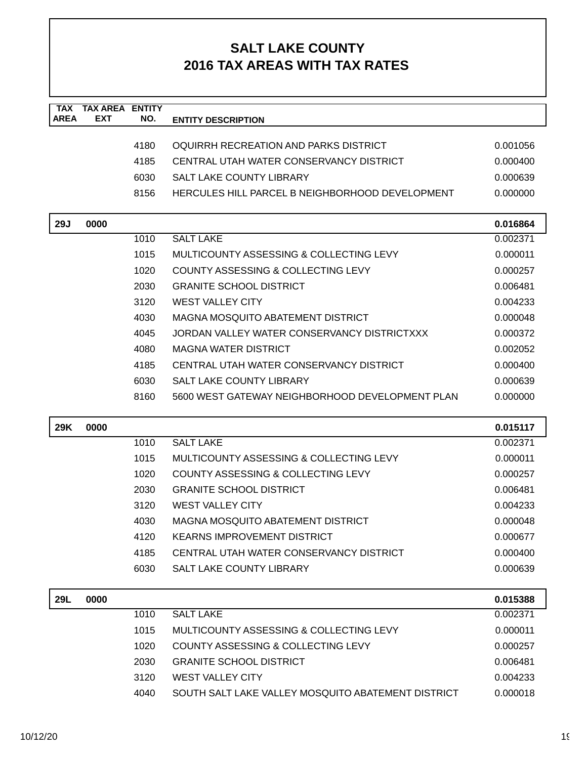| <b>TAX</b>  | <b>TAX AREA ENTITY</b> |      |                                                    |          |
|-------------|------------------------|------|----------------------------------------------------|----------|
| <b>AREA</b> | <b>EXT</b>             | NO.  | <b>ENTITY DESCRIPTION</b>                          |          |
|             |                        | 4180 | OQUIRRH RECREATION AND PARKS DISTRICT              | 0.001056 |
|             |                        | 4185 | CENTRAL UTAH WATER CONSERVANCY DISTRICT            | 0.000400 |
|             |                        | 6030 | <b>SALT LAKE COUNTY LIBRARY</b>                    | 0.000639 |
|             |                        | 8156 | HERCULES HILL PARCEL B NEIGHBORHOOD DEVELOPMENT    | 0.000000 |
| <b>29J</b>  | 0000                   |      |                                                    | 0.016864 |
|             |                        | 1010 | <b>SALT LAKE</b>                                   | 0.002371 |
|             |                        | 1015 | MULTICOUNTY ASSESSING & COLLECTING LEVY            | 0.000011 |
|             |                        | 1020 | COUNTY ASSESSING & COLLECTING LEVY                 | 0.000257 |
|             |                        | 2030 | <b>GRANITE SCHOOL DISTRICT</b>                     | 0.006481 |
|             |                        | 3120 | <b>WEST VALLEY CITY</b>                            | 0.004233 |
|             |                        | 4030 | MAGNA MOSQUITO ABATEMENT DISTRICT                  | 0.000048 |
|             |                        | 4045 | JORDAN VALLEY WATER CONSERVANCY DISTRICTXXX        | 0.000372 |
|             |                        | 4080 | <b>MAGNA WATER DISTRICT</b>                        | 0.002052 |
|             |                        | 4185 | CENTRAL UTAH WATER CONSERVANCY DISTRICT            | 0.000400 |
|             |                        | 6030 | SALT LAKE COUNTY LIBRARY                           | 0.000639 |
|             |                        | 8160 | 5600 WEST GATEWAY NEIGHBORHOOD DEVELOPMENT PLAN    | 0.000000 |
| <b>29K</b>  | 0000                   |      |                                                    | 0.015117 |
|             |                        | 1010 | <b>SALT LAKE</b>                                   | 0.002371 |
|             |                        | 1015 | MULTICOUNTY ASSESSING & COLLECTING LEVY            | 0.000011 |
|             |                        | 1020 | <b>COUNTY ASSESSING &amp; COLLECTING LEVY</b>      | 0.000257 |
|             |                        | 2030 | <b>GRANITE SCHOOL DISTRICT</b>                     | 0.006481 |
|             |                        | 3120 | <b>WEST VALLEY CITY</b>                            | 0.004233 |
|             |                        | 4030 | <b>MAGNA MOSQUITO ABATEMENT DISTRICT</b>           | 0.000048 |
|             |                        | 4120 | <b>KEARNS IMPROVEMENT DISTRICT</b>                 | 0.000677 |
|             |                        | 4185 | CENTRAL UTAH WATER CONSERVANCY DISTRICT            | 0.000400 |
|             |                        | 6030 | SALT LAKE COUNTY LIBRARY                           | 0.000639 |
| <b>29L</b>  | 0000                   |      |                                                    | 0.015388 |
|             |                        | 1010 | <b>SALT LAKE</b>                                   | 0.002371 |
|             |                        | 1015 | MULTICOUNTY ASSESSING & COLLECTING LEVY            | 0.000011 |
|             |                        | 1020 | COUNTY ASSESSING & COLLECTING LEVY                 | 0.000257 |
|             |                        | 2030 | <b>GRANITE SCHOOL DISTRICT</b>                     | 0.006481 |
|             |                        | 3120 | <b>WEST VALLEY CITY</b>                            | 0.004233 |
|             |                        | 4040 | SOUTH SALT LAKE VALLEY MOSQUITO ABATEMENT DISTRICT | 0.000018 |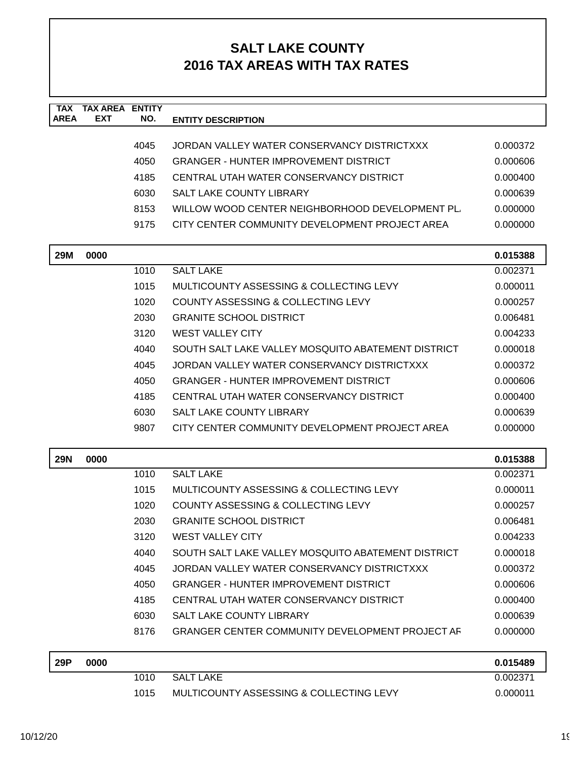| <b>TAX</b><br><b>AREA</b> | <b>TAX AREA ENTITY</b><br><b>EXT</b> | NO.  | <b>ENTITY DESCRIPTION</b>                              |          |
|---------------------------|--------------------------------------|------|--------------------------------------------------------|----------|
|                           |                                      |      |                                                        |          |
|                           |                                      | 4045 | JORDAN VALLEY WATER CONSERVANCY DISTRICTXXX            | 0.000372 |
|                           |                                      | 4050 | <b>GRANGER - HUNTER IMPROVEMENT DISTRICT</b>           | 0.000606 |
|                           |                                      | 4185 | CENTRAL UTAH WATER CONSERVANCY DISTRICT                | 0.000400 |
|                           |                                      | 6030 | <b>SALT LAKE COUNTY LIBRARY</b>                        | 0.000639 |
|                           |                                      | 8153 | WILLOW WOOD CENTER NEIGHBORHOOD DEVELOPMENT PL         | 0.000000 |
|                           |                                      | 9175 | CITY CENTER COMMUNITY DEVELOPMENT PROJECT AREA         | 0.000000 |
| <b>29M</b>                | 0000                                 |      |                                                        | 0.015388 |
|                           |                                      | 1010 | <b>SALT LAKE</b>                                       | 0.002371 |
|                           |                                      | 1015 | MULTICOUNTY ASSESSING & COLLECTING LEVY                | 0.000011 |
|                           |                                      | 1020 | COUNTY ASSESSING & COLLECTING LEVY                     | 0.000257 |
|                           |                                      | 2030 | <b>GRANITE SCHOOL DISTRICT</b>                         | 0.006481 |
|                           |                                      | 3120 | <b>WEST VALLEY CITY</b>                                | 0.004233 |
|                           |                                      | 4040 | SOUTH SALT LAKE VALLEY MOSQUITO ABATEMENT DISTRICT     | 0.000018 |
|                           |                                      | 4045 | JORDAN VALLEY WATER CONSERVANCY DISTRICTXXX            | 0.000372 |
|                           |                                      | 4050 | <b>GRANGER - HUNTER IMPROVEMENT DISTRICT</b>           | 0.000606 |
|                           |                                      | 4185 | CENTRAL UTAH WATER CONSERVANCY DISTRICT                | 0.000400 |
|                           |                                      | 6030 | <b>SALT LAKE COUNTY LIBRARY</b>                        | 0.000639 |
|                           |                                      | 9807 | CITY CENTER COMMUNITY DEVELOPMENT PROJECT AREA         | 0.000000 |
| <b>29N</b>                | 0000                                 |      |                                                        | 0.015388 |
|                           |                                      | 1010 | <b>SALT LAKE</b>                                       | 0.002371 |
|                           |                                      | 1015 | MULTICOUNTY ASSESSING & COLLECTING LEVY                | 0.000011 |
|                           |                                      | 1020 | COUNTY ASSESSING & COLLECTING LEVY                     | 0.000257 |
|                           |                                      | 2030 | <b>GRANITE SCHOOL DISTRICT</b>                         | 0.006481 |
|                           |                                      | 3120 | <b>WEST VALLEY CITY</b>                                | 0.004233 |
|                           |                                      | 4040 | SOUTH SALT LAKE VALLEY MOSQUITO ABATEMENT DISTRICT     | 0.000018 |
|                           |                                      | 4045 | JORDAN VALLEY WATER CONSERVANCY DISTRICTXXX            | 0.000372 |
|                           |                                      | 4050 | <b>GRANGER - HUNTER IMPROVEMENT DISTRICT</b>           | 0.000606 |
|                           |                                      | 4185 | CENTRAL UTAH WATER CONSERVANCY DISTRICT                | 0.000400 |
|                           |                                      | 6030 | SALT LAKE COUNTY LIBRARY                               | 0.000639 |
|                           |                                      | 8176 | <b>GRANGER CENTER COMMUNITY DEVELOPMENT PROJECT AF</b> | 0.000000 |
| 29P                       | 0000                                 |      |                                                        | 0.015489 |
|                           |                                      | 1010 | <b>SALT LAKE</b>                                       | 0.002371 |
|                           |                                      | 1015 | MULTICOUNTY ASSESSING & COLLECTING LEVY                | 0.000011 |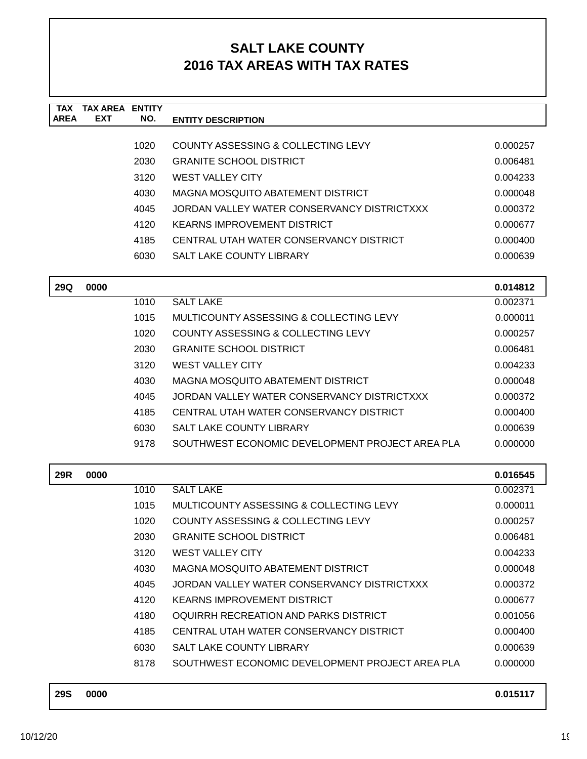| <b>TAX</b><br><b>AREA</b> | <b>TAX AREA ENTITY</b><br><b>EXT</b> | NO.  | <b>ENTITY DESCRIPTION</b>                       |          |
|---------------------------|--------------------------------------|------|-------------------------------------------------|----------|
|                           |                                      |      |                                                 |          |
|                           |                                      | 1020 | COUNTY ASSESSING & COLLECTING LEVY              | 0.000257 |
|                           |                                      | 2030 | <b>GRANITE SCHOOL DISTRICT</b>                  | 0.006481 |
|                           |                                      | 3120 | <b>WEST VALLEY CITY</b>                         | 0.004233 |
|                           |                                      | 4030 | <b>MAGNA MOSQUITO ABATEMENT DISTRICT</b>        | 0.000048 |
|                           |                                      | 4045 | JORDAN VALLEY WATER CONSERVANCY DISTRICTXXX     | 0.000372 |
|                           |                                      | 4120 | <b>KEARNS IMPROVEMENT DISTRICT</b>              | 0.000677 |
|                           |                                      | 4185 | CENTRAL UTAH WATER CONSERVANCY DISTRICT         | 0.000400 |
|                           |                                      | 6030 | <b>SALT LAKE COUNTY LIBRARY</b>                 | 0.000639 |
| 29Q                       | 0000                                 |      |                                                 | 0.014812 |
|                           |                                      | 1010 | <b>SALT LAKE</b>                                | 0.002371 |
|                           |                                      | 1015 | MULTICOUNTY ASSESSING & COLLECTING LEVY         | 0.000011 |
|                           |                                      | 1020 | COUNTY ASSESSING & COLLECTING LEVY              | 0.000257 |
|                           |                                      | 2030 | <b>GRANITE SCHOOL DISTRICT</b>                  | 0.006481 |
|                           |                                      | 3120 | <b>WEST VALLEY CITY</b>                         | 0.004233 |
|                           |                                      | 4030 | <b>MAGNA MOSQUITO ABATEMENT DISTRICT</b>        | 0.000048 |
|                           |                                      | 4045 | JORDAN VALLEY WATER CONSERVANCY DISTRICTXXX     | 0.000372 |
|                           |                                      | 4185 | CENTRAL UTAH WATER CONSERVANCY DISTRICT         | 0.000400 |
|                           |                                      | 6030 | <b>SALT LAKE COUNTY LIBRARY</b>                 | 0.000639 |
|                           |                                      | 9178 | SOUTHWEST ECONOMIC DEVELOPMENT PROJECT AREA PLA | 0.000000 |
| 29R                       | 0000                                 |      |                                                 | 0.016545 |
|                           |                                      | 1010 | <b>SALT LAKE</b>                                | 0.002371 |
|                           |                                      | 1015 | MULTICOUNTY ASSESSING & COLLECTING LEVY         | 0.000011 |
|                           |                                      | 1020 | COUNTY ASSESSING & COLLECTING LEVY              | 0.000257 |
|                           |                                      | 2030 | <b>GRANITE SCHOOL DISTRICT</b>                  | 0.006481 |
|                           |                                      | 3120 | <b>WEST VALLEY CITY</b>                         | 0.004233 |
|                           |                                      | 4030 | MAGNA MOSQUITO ABATEMENT DISTRICT               | 0.000048 |
|                           |                                      | 4045 | JORDAN VALLEY WATER CONSERVANCY DISTRICTXXX     | 0.000372 |
|                           |                                      | 4120 | <b>KEARNS IMPROVEMENT DISTRICT</b>              | 0.000677 |
|                           |                                      | 4180 | OQUIRRH RECREATION AND PARKS DISTRICT           | 0.001056 |
|                           |                                      | 4185 | CENTRAL UTAH WATER CONSERVANCY DISTRICT         | 0.000400 |
|                           |                                      | 6030 | <b>SALT LAKE COUNTY LIBRARY</b>                 | 0.000639 |
|                           |                                      | 8178 | SOUTHWEST ECONOMIC DEVELOPMENT PROJECT AREA PLA | 0.000000 |
| <b>29S</b>                | 0000                                 |      |                                                 | 0.015117 |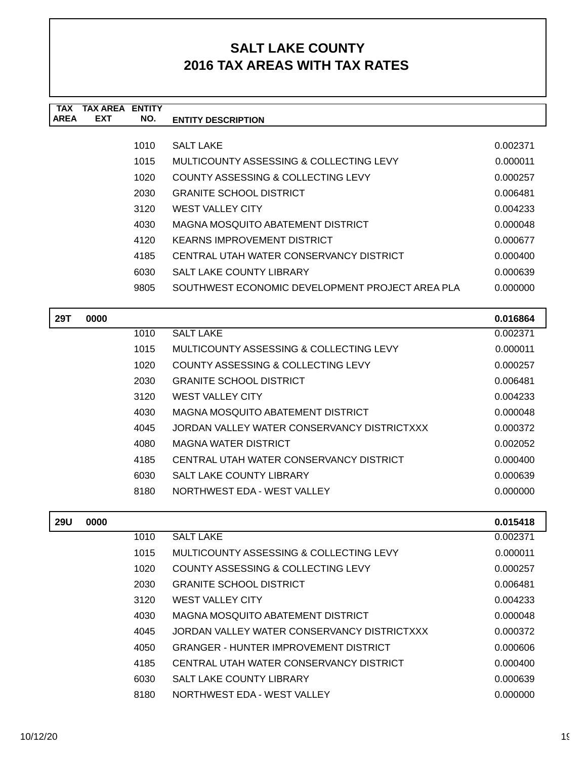| TAX         | TAX AREA   | <b>ENTITY</b> |                                                 |          |
|-------------|------------|---------------|-------------------------------------------------|----------|
| <b>AREA</b> | <b>EXT</b> | NO.           | <b>ENTITY DESCRIPTION</b>                       |          |
|             |            |               |                                                 |          |
|             |            | 1010          | <b>SALT LAKE</b>                                | 0.002371 |
|             |            | 1015          | MULTICOUNTY ASSESSING & COLLECTING LEVY         | 0.000011 |
|             |            | 1020          | COUNTY ASSESSING & COLLECTING LEVY              | 0.000257 |
|             |            | 2030          | <b>GRANITE SCHOOL DISTRICT</b>                  | 0.006481 |
|             |            | 3120          | <b>WEST VALLEY CITY</b>                         | 0.004233 |
|             |            | 4030          | MAGNA MOSQUITO ABATEMENT DISTRICT               | 0.000048 |
|             |            | 4120          | KEARNS IMPROVEMENT DISTRICT                     | 0.000677 |
|             |            | 4185          | CENTRAL UTAH WATER CONSERVANCY DISTRICT         | 0.000400 |
|             |            | 6030          | <b>SALT LAKE COUNTY LIBRARY</b>                 | 0.000639 |
|             |            | 9805          | SOUTHWEST ECONOMIC DEVELOPMENT PROJECT AREA PLA | 0.000000 |

| 29T | 0000 |      |                                             | 0.016864 |
|-----|------|------|---------------------------------------------|----------|
|     |      | 1010 | <b>SALT LAKE</b>                            | 0.002371 |
|     |      | 1015 | MULTICOUNTY ASSESSING & COLLECTING LEVY     | 0.000011 |
|     |      | 1020 | COUNTY ASSESSING & COLLECTING LEVY          | 0.000257 |
|     |      | 2030 | <b>GRANITE SCHOOL DISTRICT</b>              | 0.006481 |
|     |      | 3120 | <b>WEST VALLEY CITY</b>                     | 0.004233 |
|     |      | 4030 | MAGNA MOSQUITO ABATEMENT DISTRICT           | 0.000048 |
|     |      | 4045 | JORDAN VALLEY WATER CONSERVANCY DISTRICTXXX | 0.000372 |
|     |      | 4080 | MAGNA WATER DISTRICT                        | 0.002052 |
|     |      | 4185 | CENTRAL UTAH WATER CONSERVANCY DISTRICT     | 0.000400 |
|     |      | 6030 | SALT LAKE COUNTY LIBRARY                    | 0.000639 |
|     |      | 8180 | NORTHWEST EDA - WEST VALLEY                 | 0.000000 |

| <b>29U</b> | 0000 |      |                                              | 0.015418 |
|------------|------|------|----------------------------------------------|----------|
|            |      | 1010 | <b>SALT LAKE</b>                             | 0.002371 |
|            |      | 1015 | MULTICOUNTY ASSESSING & COLLECTING LEVY      | 0.000011 |
|            |      | 1020 | COUNTY ASSESSING & COLLECTING LEVY           | 0.000257 |
|            |      | 2030 | GRANITE SCHOOL DISTRICT                      | 0.006481 |
|            |      | 3120 | <b>WEST VALLEY CITY</b>                      | 0.004233 |
|            |      | 4030 | MAGNA MOSOUITO ABATEMENT DISTRICT            | 0.000048 |
|            |      | 4045 | JORDAN VALLEY WATER CONSERVANCY DISTRICTXXX  | 0.000372 |
|            |      | 4050 | <b>GRANGER - HUNTER IMPROVEMENT DISTRICT</b> | 0.000606 |
|            |      | 4185 | CENTRAL UTAH WATER CONSERVANCY DISTRICT      | 0.000400 |
|            |      | 6030 | <b>SALT LAKE COUNTY LIBRARY</b>              | 0.000639 |
|            |      | 8180 | NORTHWEST EDA - WEST VALLEY                  | 0.000000 |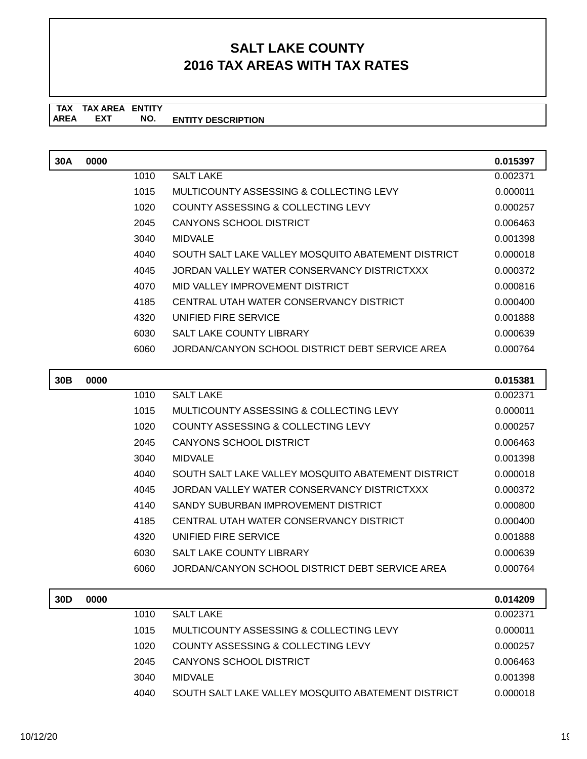#### **TAX TAX AREA ENTITY ENTITY DESCRIPTION** AREA EXT  **NO.**

| 30A | 0000 |      |                                                    | 0.015397 |
|-----|------|------|----------------------------------------------------|----------|
|     |      | 1010 | <b>SALT LAKE</b>                                   | 0.002371 |
|     |      | 1015 | MULTICOUNTY ASSESSING & COLLECTING LEVY            | 0.000011 |
|     |      | 1020 | <b>COUNTY ASSESSING &amp; COLLECTING LEVY</b>      | 0.000257 |
|     |      | 2045 | <b>CANYONS SCHOOL DISTRICT</b>                     | 0.006463 |
|     |      | 3040 | <b>MIDVALE</b>                                     | 0.001398 |
|     |      | 4040 | SOUTH SALT LAKE VALLEY MOSQUITO ABATEMENT DISTRICT | 0.000018 |
|     |      | 4045 | JORDAN VALLEY WATER CONSERVANCY DISTRICTXXX        | 0.000372 |
|     |      | 4070 | MID VALLEY IMPROVEMENT DISTRICT                    | 0.000816 |
|     |      | 4185 | CENTRAL UTAH WATER CONSERVANCY DISTRICT            | 0.000400 |
|     |      | 4320 | UNIFIED FIRE SERVICE                               | 0.001888 |
|     |      | 6030 | <b>SALT LAKE COUNTY LIBRARY</b>                    | 0.000639 |
|     |      | 6060 | JORDAN/CANYON SCHOOL DISTRICT DEBT SERVICE AREA    | 0.000764 |
|     |      |      |                                                    |          |
|     |      |      |                                                    |          |
| 30B | 0000 |      |                                                    | 0.015381 |
|     |      | 1010 | <b>SALT LAKE</b>                                   | 0.002371 |
|     |      | 1015 | MULTICOUNTY ASSESSING & COLLECTING LEVY            | 0.000011 |
|     |      | 1020 | <b>COUNTY ASSESSING &amp; COLLECTING LEVY</b>      | 0.000257 |
|     |      | 2045 | <b>CANYONS SCHOOL DISTRICT</b>                     | 0.006463 |
|     |      | 3040 | <b>MIDVALE</b>                                     | 0.001398 |
|     |      | 4040 | SOUTH SALT LAKE VALLEY MOSQUITO ABATEMENT DISTRICT | 0.000018 |
|     |      | 4045 | JORDAN VALLEY WATER CONSERVANCY DISTRICTXXX        | 0.000372 |
|     |      | 4140 | SANDY SUBURBAN IMPROVEMENT DISTRICT                | 0.000800 |
|     |      | 4185 | CENTRAL UTAH WATER CONSERVANCY DISTRICT            | 0.000400 |
|     |      | 4320 | UNIFIED FIRE SERVICE                               | 0.001888 |
|     |      | 6030 | <b>SALT LAKE COUNTY LIBRARY</b>                    | 0.000639 |
|     |      | 6060 | JORDAN/CANYON SCHOOL DISTRICT DEBT SERVICE AREA    | 0.000764 |

| 30D | 0000 |      |                                                    | 0.014209 |
|-----|------|------|----------------------------------------------------|----------|
|     |      | 1010 | <b>SALT LAKE</b>                                   | 0.002371 |
|     |      | 1015 | MULTICOUNTY ASSESSING & COLLECTING LEVY            | 0.000011 |
|     |      | 1020 | <b>COUNTY ASSESSING &amp; COLLECTING LEVY</b>      | 0.000257 |
|     |      | 2045 | CANYONS SCHOOL DISTRICT                            | 0.006463 |
|     |      | 3040 | MIDVALE                                            | 0.001398 |
|     |      | 4040 | SOUTH SALT LAKE VALLEY MOSQUITO ABATEMENT DISTRICT | 0.000018 |
|     |      |      |                                                    |          |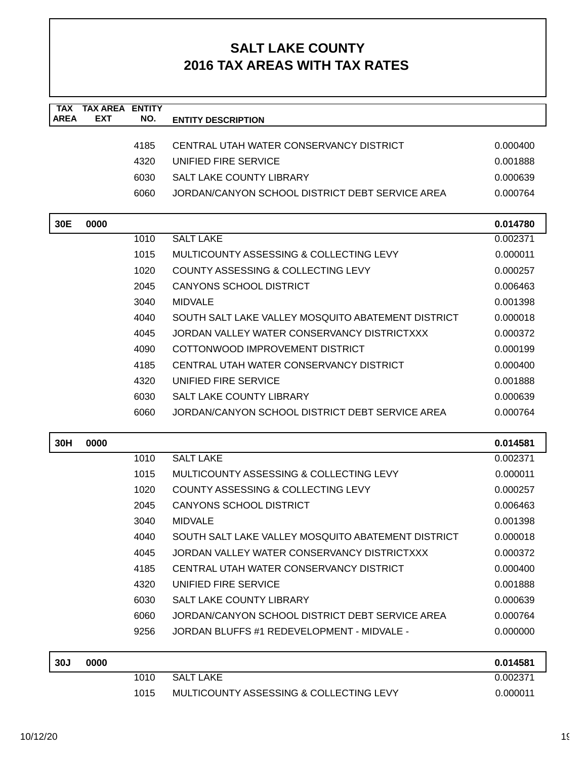| <b>TAX</b><br><b>AREA</b> | <b>TAX AREA ENTITY</b><br><b>EXT</b> | NO.  | <b>ENTITY DESCRIPTION</b>                          |          |
|---------------------------|--------------------------------------|------|----------------------------------------------------|----------|
|                           |                                      |      |                                                    |          |
|                           |                                      | 4185 | CENTRAL UTAH WATER CONSERVANCY DISTRICT            | 0.000400 |
|                           |                                      | 4320 | UNIFIED FIRE SERVICE                               | 0.001888 |
|                           |                                      | 6030 | <b>SALT LAKE COUNTY LIBRARY</b>                    | 0.000639 |
|                           |                                      | 6060 | JORDAN/CANYON SCHOOL DISTRICT DEBT SERVICE AREA    | 0.000764 |
| 30E                       | 0000                                 |      |                                                    | 0.014780 |
|                           |                                      | 1010 | <b>SALT LAKE</b>                                   | 0.002371 |
|                           |                                      | 1015 | MULTICOUNTY ASSESSING & COLLECTING LEVY            | 0.000011 |
|                           |                                      | 1020 | COUNTY ASSESSING & COLLECTING LEVY                 | 0.000257 |
|                           |                                      | 2045 | <b>CANYONS SCHOOL DISTRICT</b>                     | 0.006463 |
|                           |                                      | 3040 | <b>MIDVALE</b>                                     | 0.001398 |
|                           |                                      | 4040 | SOUTH SALT LAKE VALLEY MOSQUITO ABATEMENT DISTRICT | 0.000018 |
|                           |                                      | 4045 | JORDAN VALLEY WATER CONSERVANCY DISTRICTXXX        | 0.000372 |
|                           |                                      | 4090 | COTTONWOOD IMPROVEMENT DISTRICT                    | 0.000199 |
|                           |                                      | 4185 | CENTRAL UTAH WATER CONSERVANCY DISTRICT            | 0.000400 |
|                           |                                      | 4320 | UNIFIED FIRE SERVICE                               | 0.001888 |
|                           |                                      | 6030 | <b>SALT LAKE COUNTY LIBRARY</b>                    | 0.000639 |
|                           |                                      | 6060 | JORDAN/CANYON SCHOOL DISTRICT DEBT SERVICE AREA    | 0.000764 |
| 30H                       | 0000                                 |      |                                                    | 0.014581 |
|                           |                                      | 1010 | <b>SALT LAKE</b>                                   | 0.002371 |
|                           |                                      | 1015 | MULTICOUNTY ASSESSING & COLLECTING LEVY            | 0.000011 |
|                           |                                      | 1020 | COUNTY ASSESSING & COLLECTING LEVY                 | 0.000257 |
|                           |                                      | 2045 | <b>CANYONS SCHOOL DISTRICT</b>                     | 0.006463 |
|                           |                                      | 3040 | <b>MIDVALE</b>                                     | 0.001398 |
|                           |                                      | 4040 | SOUTH SALT LAKE VALLEY MOSQUITO ABATEMENT DISTRICT | 0.000018 |
|                           |                                      | 4045 | JORDAN VALLEY WATER CONSERVANCY DISTRICTXXX        | 0.000372 |
|                           |                                      | 4185 | CENTRAL UTAH WATER CONSERVANCY DISTRICT            | 0.000400 |
|                           |                                      | 4320 | UNIFIED FIRE SERVICE                               | 0.001888 |
|                           |                                      | 6030 | <b>SALT LAKE COUNTY LIBRARY</b>                    | 0.000639 |
|                           |                                      | 6060 | JORDAN/CANYON SCHOOL DISTRICT DEBT SERVICE AREA    | 0.000764 |
|                           |                                      | 9256 | JORDAN BLUFFS #1 REDEVELOPMENT - MIDVALE -         | 0.000000 |
| 30J                       | 0000                                 |      |                                                    | 0.014581 |
|                           |                                      | 1010 | <b>SALT LAKE</b>                                   | 0.002371 |
|                           |                                      | 1015 | MULTICOUNTY ASSESSING & COLLECTING LEVY            | 0.000011 |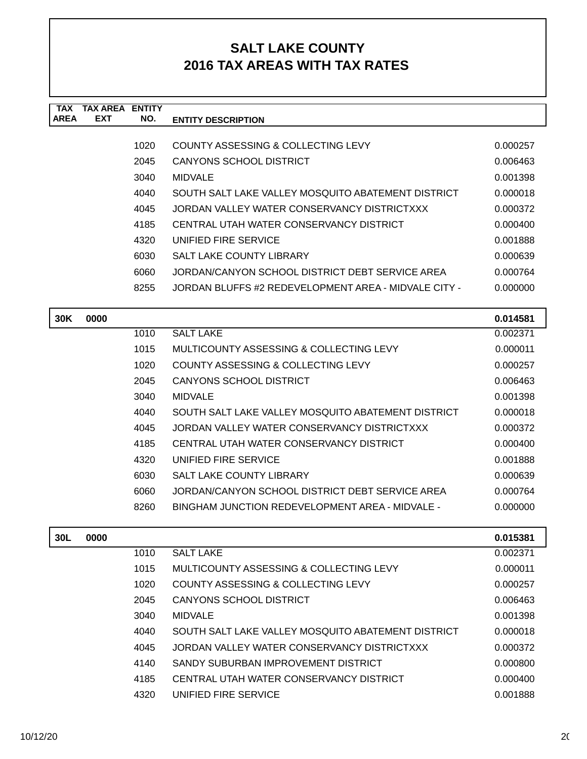| TAX         | <b>TAX AREA</b> | <b>FNTITY</b> |                                                      |          |
|-------------|-----------------|---------------|------------------------------------------------------|----------|
| <b>AREA</b> | <b>EXT</b>      | NO.           | <b>ENTITY DESCRIPTION</b>                            |          |
|             |                 |               |                                                      |          |
|             |                 | 1020          | COUNTY ASSESSING & COLLECTING LEVY                   | 0.000257 |
|             |                 | 2045          | CANYONS SCHOOL DISTRICT                              | 0.006463 |
|             |                 | 3040          | <b>MIDVALE</b>                                       | 0.001398 |
|             |                 | 4040          | SOUTH SALT LAKE VALLEY MOSQUITO ABATEMENT DISTRICT   | 0.000018 |
|             |                 | 4045          | JORDAN VALLEY WATER CONSERVANCY DISTRICTXXX          | 0.000372 |
|             |                 | 4185          | CENTRAL UTAH WATER CONSERVANCY DISTRICT              | 0.000400 |
|             |                 | 4320          | UNIFIED FIRE SERVICE                                 | 0.001888 |
|             |                 | 6030          | SALT LAKE COUNTY LIBRARY                             | 0.000639 |
|             |                 | 6060          | JORDAN/CANYON SCHOOL DISTRICT DEBT SERVICE AREA      | 0.000764 |
|             |                 | 8255          | JORDAN BLUFFS #2 REDEVELOPMENT AREA - MIDVALE CITY - | 0.000000 |
|             |                 |               |                                                      |          |
| <b>30K</b>  | 0000            |               |                                                      | 0.014581 |

| our | uuuu |      |                                                    | U.U I 430 I |
|-----|------|------|----------------------------------------------------|-------------|
|     |      | 1010 | <b>SALT LAKE</b>                                   | 0.002371    |
|     |      | 1015 | MULTICOUNTY ASSESSING & COLLECTING LEVY            | 0.000011    |
|     |      | 1020 | COUNTY ASSESSING & COLLECTING LEVY                 | 0.000257    |
|     |      | 2045 | CANYONS SCHOOL DISTRICT                            | 0.006463    |
|     |      | 3040 | <b>MIDVALE</b>                                     | 0.001398    |
|     |      | 4040 | SOUTH SALT LAKE VALLEY MOSQUITO ABATEMENT DISTRICT | 0.000018    |
|     |      | 4045 | JORDAN VALLEY WATER CONSERVANCY DISTRICTXXX        | 0.000372    |
|     |      | 4185 | CENTRAL UTAH WATER CONSERVANCY DISTRICT            | 0.000400    |
|     |      | 4320 | UNIFIED FIRE SERVICE                               | 0.001888    |
|     |      | 6030 | SALT LAKE COUNTY LIBRARY                           | 0.000639    |
|     |      | 6060 | JORDAN/CANYON SCHOOL DISTRICT DEBT SERVICE AREA    | 0.000764    |
|     |      | 8260 | BINGHAM JUNCTION REDEVELOPMENT AREA - MIDVALE -    | 0.000000    |
|     |      |      |                                                    |             |

| 30L | 0000 |      |                                                    | 0.015381 |
|-----|------|------|----------------------------------------------------|----------|
|     |      | 1010 | <b>SALT LAKE</b>                                   | 0.002371 |
|     |      | 1015 | MULTICOUNTY ASSESSING & COLLECTING LEVY            | 0.000011 |
|     |      | 1020 | COUNTY ASSESSING & COLLECTING LEVY                 | 0.000257 |
|     |      | 2045 | CANYONS SCHOOL DISTRICT                            | 0.006463 |
|     |      | 3040 | <b>MIDVALE</b>                                     | 0.001398 |
|     |      | 4040 | SOUTH SALT LAKE VALLEY MOSQUITO ABATEMENT DISTRICT | 0.000018 |
|     |      | 4045 | JORDAN VALLEY WATER CONSERVANCY DISTRICTXXX        | 0.000372 |
|     |      | 4140 | SANDY SUBURBAN IMPROVEMENT DISTRICT                | 0.000800 |
|     |      | 4185 | CENTRAL UTAH WATER CONSERVANCY DISTRICT            | 0.000400 |
|     |      | 4320 | UNIFIED FIRE SERVICE                               | 0.001888 |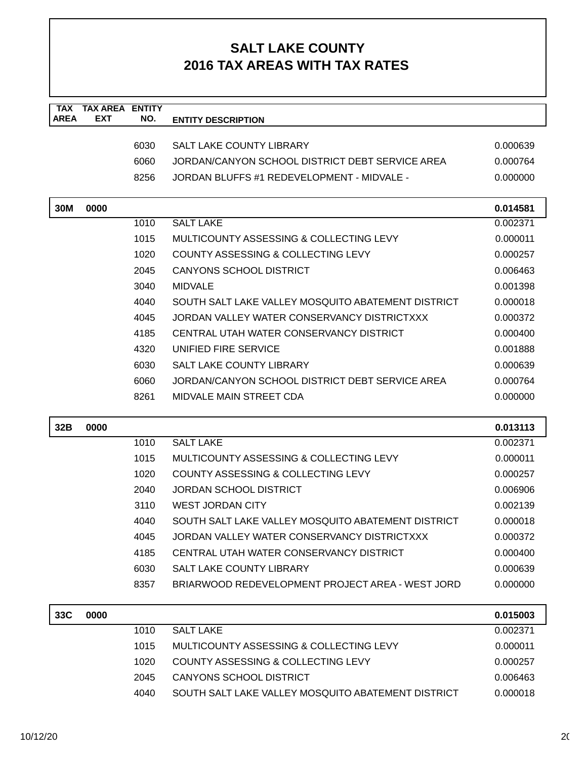| <b>TAX</b><br><b>AREA</b> | <b>TAX AREA</b><br><b>EXT</b> | <b>ENTITY</b><br>NO. | <b>ENTITY DESCRIPTION</b>                          |          |
|---------------------------|-------------------------------|----------------------|----------------------------------------------------|----------|
|                           |                               |                      |                                                    |          |
|                           |                               | 6030                 | <b>SALT LAKE COUNTY LIBRARY</b>                    | 0.000639 |
|                           |                               | 6060                 | JORDAN/CANYON SCHOOL DISTRICT DEBT SERVICE AREA    | 0.000764 |
|                           |                               | 8256                 | JORDAN BLUFFS #1 REDEVELOPMENT - MIDVALE -         | 0.000000 |
| 30M                       | 0000                          |                      |                                                    | 0.014581 |
|                           |                               | 1010                 | <b>SALT LAKE</b>                                   | 0.002371 |
|                           |                               | 1015                 | MULTICOUNTY ASSESSING & COLLECTING LEVY            | 0.000011 |
|                           |                               | 1020                 | COUNTY ASSESSING & COLLECTING LEVY                 | 0.000257 |
|                           |                               | 2045                 | <b>CANYONS SCHOOL DISTRICT</b>                     | 0.006463 |
|                           |                               | 3040                 | <b>MIDVALE</b>                                     | 0.001398 |
|                           |                               | 4040                 | SOUTH SALT LAKE VALLEY MOSQUITO ABATEMENT DISTRICT | 0.000018 |
|                           |                               | 4045                 | JORDAN VALLEY WATER CONSERVANCY DISTRICTXXX        | 0.000372 |
|                           |                               | 4185                 | CENTRAL UTAH WATER CONSERVANCY DISTRICT            | 0.000400 |
|                           |                               | 4320                 | UNIFIED FIRE SERVICE                               | 0.001888 |
|                           |                               | 6030                 | <b>SALT LAKE COUNTY LIBRARY</b>                    | 0.000639 |
|                           |                               | 6060                 | JORDAN/CANYON SCHOOL DISTRICT DEBT SERVICE AREA    | 0.000764 |
|                           |                               | 8261                 | MIDVALE MAIN STREET CDA                            | 0.000000 |
|                           |                               |                      |                                                    |          |
| 32B                       | 0000                          |                      |                                                    | 0.013113 |
|                           |                               | 1010                 | <b>SALT LAKE</b>                                   | 0.002371 |
|                           |                               | 1015                 | MULTICOUNTY ASSESSING & COLLECTING LEVY            | 0.000011 |
|                           |                               | 1020                 | COUNTY ASSESSING & COLLECTING LEVY                 | 0.000257 |
|                           |                               | 2040                 | <b>JORDAN SCHOOL DISTRICT</b>                      | 0.006906 |
|                           |                               | 3110                 | <b>WEST JORDAN CITY</b>                            | 0.002139 |
|                           |                               | 4040                 | SOUTH SALT LAKE VALLEY MOSQUITO ABATEMENT DISTRICT | 0.000018 |
|                           |                               | 4045                 | JORDAN VALLEY WATER CONSERVANCY DISTRICTXXX        | 0.000372 |
|                           |                               | 4185                 | CENTRAL UTAH WATER CONSERVANCY DISTRICT            | 0.000400 |
|                           |                               | 6030                 | SALT LAKE COUNTY LIBRARY                           | 0.000639 |
|                           |                               | 8357                 | BRIARWOOD REDEVELOPMENT PROJECT AREA - WEST JORD   | 0.000000 |
| 33C                       | 0000                          |                      |                                                    | 0.015003 |
|                           |                               | 1010                 | <b>SALT LAKE</b>                                   | 0.002371 |
|                           |                               | 1015                 | MULTICOUNTY ASSESSING & COLLECTING LEVY            | 0.000011 |
|                           |                               | 1020                 | COUNTY ASSESSING & COLLECTING LEVY                 | 0.000257 |
|                           |                               | 2045                 | <b>CANYONS SCHOOL DISTRICT</b>                     | 0.006463 |
|                           |                               | 4040                 | SOUTH SALT LAKE VALLEY MOSQUITO ABATEMENT DISTRICT | 0.000018 |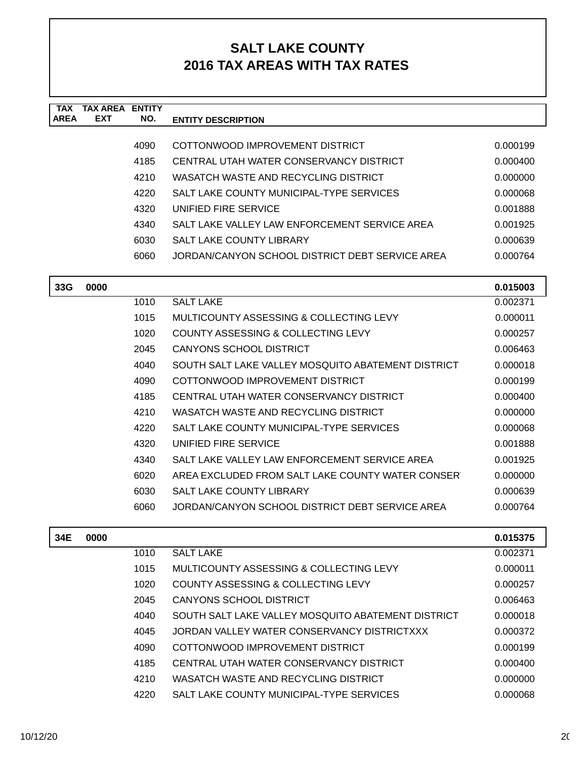| <b>TAX</b><br><b>AREA</b> | <b>TAX AREA ENTITY</b><br><b>EXT</b> | NO.  |                                                    |          |
|---------------------------|--------------------------------------|------|----------------------------------------------------|----------|
|                           |                                      |      | <b>ENTITY DESCRIPTION</b>                          |          |
|                           |                                      | 4090 | COTTONWOOD IMPROVEMENT DISTRICT                    | 0.000199 |
|                           |                                      | 4185 | CENTRAL UTAH WATER CONSERVANCY DISTRICT            | 0.000400 |
|                           |                                      | 4210 | WASATCH WASTE AND RECYCLING DISTRICT               | 0.000000 |
|                           |                                      | 4220 | SALT LAKE COUNTY MUNICIPAL-TYPE SERVICES           | 0.000068 |
|                           |                                      | 4320 | UNIFIED FIRE SERVICE                               | 0.001888 |
|                           |                                      | 4340 | SALT LAKE VALLEY LAW ENFORCEMENT SERVICE AREA      | 0.001925 |
|                           |                                      | 6030 | <b>SALT LAKE COUNTY LIBRARY</b>                    | 0.000639 |
|                           |                                      | 6060 | JORDAN/CANYON SCHOOL DISTRICT DEBT SERVICE AREA    | 0.000764 |
|                           |                                      |      |                                                    |          |
| 33G                       | 0000                                 |      |                                                    | 0.015003 |
|                           |                                      | 1010 | <b>SALT LAKE</b>                                   | 0.002371 |
|                           |                                      | 1015 | MULTICOUNTY ASSESSING & COLLECTING LEVY            | 0.000011 |
|                           |                                      | 1020 | <b>COUNTY ASSESSING &amp; COLLECTING LEVY</b>      | 0.000257 |
|                           |                                      | 2045 | CANYONS SCHOOL DISTRICT                            | 0.006463 |
|                           |                                      | 4040 | SOUTH SALT LAKE VALLEY MOSQUITO ABATEMENT DISTRICT | 0.000018 |
|                           |                                      | 4090 | COTTONWOOD IMPROVEMENT DISTRICT                    | 0.000199 |
|                           |                                      | 4185 | CENTRAL UTAH WATER CONSERVANCY DISTRICT            | 0.000400 |
|                           |                                      | 4210 | WASATCH WASTE AND RECYCLING DISTRICT               | 0.000000 |
|                           |                                      | 4220 | SALT LAKE COUNTY MUNICIPAL-TYPE SERVICES           | 0.000068 |
|                           |                                      | 4320 | UNIFIED FIRE SERVICE                               | 0.001888 |
|                           |                                      | 4340 | SALT LAKE VALLEY LAW ENFORCEMENT SERVICE AREA      | 0.001925 |
|                           |                                      | 6020 | AREA EXCLUDED FROM SALT LAKE COUNTY WATER CONSER   | 0.000000 |
|                           |                                      | 6030 | <b>SALT LAKE COUNTY LIBRARY</b>                    | 0.000639 |
|                           |                                      | 6060 | JORDAN/CANYON SCHOOL DISTRICT DEBT SERVICE AREA    | 0.000764 |
|                           |                                      |      |                                                    |          |
| 34E                       | 0000                                 |      |                                                    | 0.015375 |
|                           |                                      | 1010 | <b>SALT LAKE</b>                                   | 0.002371 |
|                           |                                      | 1015 | MULTICOUNTY ASSESSING & COLLECTING LEVY            | 0.000011 |
|                           |                                      | 1020 | COUNTY ASSESSING & COLLECTING LEVY                 | 0.000257 |
|                           |                                      | 2045 | <b>CANYONS SCHOOL DISTRICT</b>                     | 0.006463 |
|                           |                                      | 4040 | SOUTH SALT LAKE VALLEY MOSQUITO ABATEMENT DISTRICT | 0.000018 |
|                           |                                      | 4045 | JORDAN VALLEY WATER CONSERVANCY DISTRICTXXX        | 0.000372 |
|                           |                                      | 4090 | COTTONWOOD IMPROVEMENT DISTRICT                    | 0.000199 |
|                           |                                      | 4185 | CENTRAL UTAH WATER CONSERVANCY DISTRICT            | 0.000400 |
|                           |                                      | 4210 | WASATCH WASTE AND RECYCLING DISTRICT               | 0.000000 |
|                           |                                      | 4220 | SALT LAKE COUNTY MUNICIPAL-TYPE SERVICES           | 0.000068 |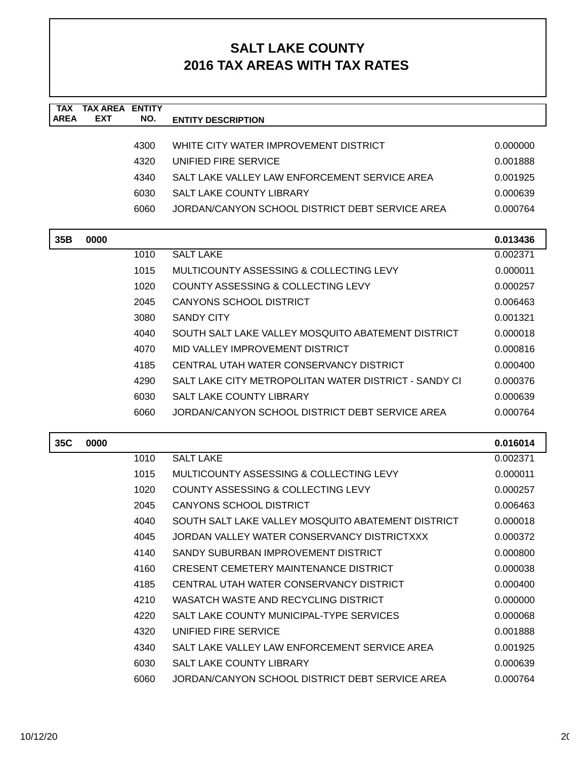| <b>TAX</b><br><b>AREA</b> | <b>TAX AREA ENTITY</b><br><b>EXT</b> | NO.  | <b>ENTITY DESCRIPTION</b>                             |          |
|---------------------------|--------------------------------------|------|-------------------------------------------------------|----------|
|                           |                                      |      |                                                       |          |
|                           |                                      | 4300 | WHITE CITY WATER IMPROVEMENT DISTRICT                 | 0.000000 |
|                           |                                      | 4320 | UNIFIED FIRE SERVICE                                  | 0.001888 |
|                           |                                      | 4340 | SALT LAKE VALLEY LAW ENFORCEMENT SERVICE AREA         | 0.001925 |
|                           |                                      | 6030 | SALT LAKE COUNTY LIBRARY                              | 0.000639 |
|                           |                                      | 6060 | JORDAN/CANYON SCHOOL DISTRICT DEBT SERVICE AREA       | 0.000764 |
| 35B                       | 0000                                 |      |                                                       | 0.013436 |
|                           |                                      | 1010 | <b>SALT LAKE</b>                                      | 0.002371 |
|                           |                                      | 1015 | MULTICOUNTY ASSESSING & COLLECTING LEVY               | 0.000011 |
|                           |                                      | 1020 | COUNTY ASSESSING & COLLECTING LEVY                    | 0.000257 |
|                           |                                      | 2045 | <b>CANYONS SCHOOL DISTRICT</b>                        | 0.006463 |
|                           |                                      | 3080 | <b>SANDY CITY</b>                                     | 0.001321 |
|                           |                                      | 4040 | SOUTH SALT LAKE VALLEY MOSQUITO ABATEMENT DISTRICT    | 0.000018 |
|                           |                                      | 4070 | MID VALLEY IMPROVEMENT DISTRICT                       | 0.000816 |
|                           |                                      | 4185 | CENTRAL UTAH WATER CONSERVANCY DISTRICT               | 0.000400 |
|                           |                                      | 4290 | SALT LAKE CITY METROPOLITAN WATER DISTRICT - SANDY CI | 0.000376 |
|                           |                                      | 6030 | <b>SALT LAKE COUNTY LIBRARY</b>                       | 0.000639 |
|                           |                                      | 6060 | JORDAN/CANYON SCHOOL DISTRICT DEBT SERVICE AREA       | 0.000764 |
| 35C                       | 0000                                 |      |                                                       | 0.016014 |
|                           |                                      | 1010 | <b>SALT LAKE</b>                                      | 0.002371 |
|                           |                                      | 1015 | MULTICOUNTY ASSESSING & COLLECTING LEVY               | 0.000011 |
|                           |                                      | 1020 | <b>COUNTY ASSESSING &amp; COLLECTING LEVY</b>         | 0.000257 |
|                           |                                      | 2045 | <b>CANYONS SCHOOL DISTRICT</b>                        | 0.006463 |
|                           |                                      | 4040 | SOUTH SALT LAKE VALLEY MOSQUITO ABATEMENT DISTRICT    | 0.000018 |
|                           |                                      | 4045 | JORDAN VALLEY WATER CONSERVANCY DISTRICTXXX           | 0.000372 |
|                           |                                      | 4140 | SANDY SUBURBAN IMPROVEMENT DISTRICT                   | 0.000800 |
|                           |                                      | 4160 | CRESENT CEMETERY MAINTENANCE DISTRICT                 | 0.000038 |
|                           |                                      | 4185 | CENTRAL UTAH WATER CONSERVANCY DISTRICT               | 0.000400 |
|                           |                                      | 4210 | WASATCH WASTE AND RECYCLING DISTRICT                  | 0.000000 |
|                           |                                      | 4220 | SALT LAKE COUNTY MUNICIPAL-TYPE SERVICES              | 0.000068 |
|                           |                                      | 4320 | UNIFIED FIRE SERVICE                                  | 0.001888 |
|                           |                                      | 4340 | SALT LAKE VALLEY LAW ENFORCEMENT SERVICE AREA         | 0.001925 |
|                           |                                      | 6030 | SALT LAKE COUNTY LIBRARY                              | 0.000639 |
|                           |                                      | 6060 | JORDAN/CANYON SCHOOL DISTRICT DEBT SERVICE AREA       | 0.000764 |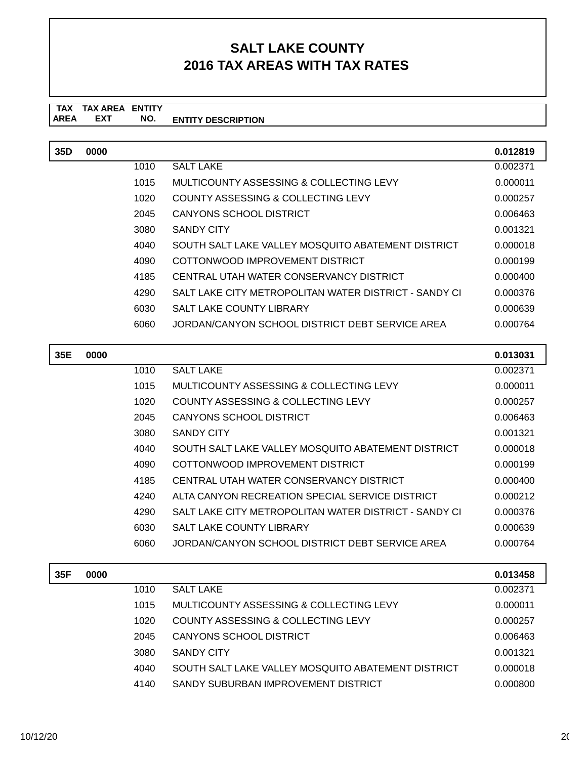#### **TAX TAX AREA ENTITY ENTITY DESCRIPTION EXT NO.**

| 35D | 0000 |      |                                                       | 0.012819 |
|-----|------|------|-------------------------------------------------------|----------|
|     |      | 1010 | <b>SALT LAKE</b>                                      | 0.002371 |
|     |      | 1015 | MULTICOUNTY ASSESSING & COLLECTING LEVY               | 0.000011 |
|     |      | 1020 | COUNTY ASSESSING & COLLECTING LEVY                    | 0.000257 |
|     |      | 2045 | CANYONS SCHOOL DISTRICT                               | 0.006463 |
|     |      | 3080 | <b>SANDY CITY</b>                                     | 0.001321 |
|     |      | 4040 | SOUTH SALT LAKE VALLEY MOSQUITO ABATEMENT DISTRICT    | 0.000018 |
|     |      | 4090 | COTTONWOOD IMPROVEMENT DISTRICT                       | 0.000199 |
|     |      | 4185 | CENTRAL UTAH WATER CONSERVANCY DISTRICT               | 0.000400 |
|     |      | 4290 | SALT LAKE CITY METROPOLITAN WATER DISTRICT - SANDY CI | 0.000376 |
|     |      | 6030 | <b>SALT LAKE COUNTY LIBRARY</b>                       | 0.000639 |
|     |      | 6060 | JORDAN/CANYON SCHOOL DISTRICT DEBT SERVICE AREA       | 0.000764 |

| 35E | 0000 |      |                                                       | 0.013031 |
|-----|------|------|-------------------------------------------------------|----------|
|     |      | 1010 | <b>SALT LAKE</b>                                      | 0.002371 |
|     |      | 1015 | MULTICOUNTY ASSESSING & COLLECTING LEVY               | 0.000011 |
|     |      | 1020 | COUNTY ASSESSING & COLLECTING LEVY                    | 0.000257 |
|     |      | 2045 | CANYONS SCHOOL DISTRICT                               | 0.006463 |
|     |      | 3080 | SANDY CITY                                            | 0.001321 |
|     |      | 4040 | SOUTH SALT LAKE VALLEY MOSQUITO ABATEMENT DISTRICT    | 0.000018 |
|     |      | 4090 | COTTONWOOD IMPROVEMENT DISTRICT                       | 0.000199 |
|     |      | 4185 | CENTRAL UTAH WATER CONSERVANCY DISTRICT               | 0.000400 |
|     |      | 4240 | ALTA CANYON RECREATION SPECIAL SERVICE DISTRICT       | 0.000212 |
|     |      | 4290 | SALT LAKE CITY METROPOLITAN WATER DISTRICT - SANDY CI | 0.000376 |
|     |      | 6030 | <b>SALT LAKE COUNTY LIBRARY</b>                       | 0.000639 |
|     |      | 6060 | JORDAN/CANYON SCHOOL DISTRICT DEBT SERVICE AREA       | 0.000764 |
| 35F | 0000 |      |                                                       | 0.013458 |

| 0000 |      |                                                    | 0.013458 |
|------|------|----------------------------------------------------|----------|
|      | 1010 | SALT LAKE                                          | 0.002371 |
|      | 1015 | MULTICOUNTY ASSESSING & COLLECTING LEVY            | 0.000011 |
|      | 1020 | COUNTY ASSESSING & COLLECTING LEVY                 | 0.000257 |
|      | 2045 | CANYONS SCHOOL DISTRICT                            | 0.006463 |
|      | 3080 | SANDY CITY                                         | 0.001321 |
|      | 4040 | SOUTH SALT LAKE VALLEY MOSQUITO ABATEMENT DISTRICT | 0.000018 |
|      | 4140 | SANDY SUBURBAN IMPROVEMENT DISTRICT                | 0.000800 |
|      |      |                                                    |          |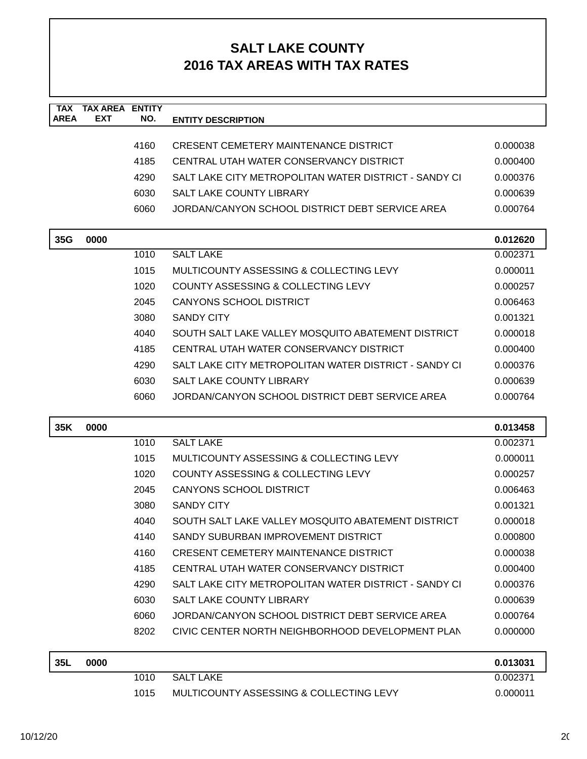| <b>TAX</b>  | <b>TAX AREA ENTITY</b> |      |                                                       |                      |
|-------------|------------------------|------|-------------------------------------------------------|----------------------|
| <b>AREA</b> | <b>EXT</b>             | NO.  | <b>ENTITY DESCRIPTION</b>                             |                      |
|             |                        | 4160 | <b>CRESENT CEMETERY MAINTENANCE DISTRICT</b>          | 0.000038             |
|             |                        | 4185 | CENTRAL UTAH WATER CONSERVANCY DISTRICT               | 0.000400             |
|             |                        | 4290 | SALT LAKE CITY METROPOLITAN WATER DISTRICT - SANDY CI | 0.000376             |
|             |                        | 6030 | SALT LAKE COUNTY LIBRARY                              | 0.000639             |
|             |                        | 6060 | JORDAN/CANYON SCHOOL DISTRICT DEBT SERVICE AREA       | 0.000764             |
|             |                        |      |                                                       |                      |
| 35G         | 0000                   |      |                                                       | 0.012620             |
|             |                        | 1010 | <b>SALT LAKE</b>                                      | 0.002371             |
|             |                        | 1015 | MULTICOUNTY ASSESSING & COLLECTING LEVY               | 0.000011             |
|             |                        | 1020 | COUNTY ASSESSING & COLLECTING LEVY                    | 0.000257             |
|             |                        | 2045 | <b>CANYONS SCHOOL DISTRICT</b>                        | 0.006463             |
|             |                        | 3080 | <b>SANDY CITY</b>                                     | 0.001321             |
|             |                        | 4040 | SOUTH SALT LAKE VALLEY MOSQUITO ABATEMENT DISTRICT    | 0.000018             |
|             |                        | 4185 | CENTRAL UTAH WATER CONSERVANCY DISTRICT               | 0.000400             |
|             |                        | 4290 | SALT LAKE CITY METROPOLITAN WATER DISTRICT - SANDY CI | 0.000376             |
|             |                        | 6030 | <b>SALT LAKE COUNTY LIBRARY</b>                       | 0.000639             |
|             |                        | 6060 | JORDAN/CANYON SCHOOL DISTRICT DEBT SERVICE AREA       | 0.000764             |
| 35K         | 0000                   |      |                                                       |                      |
|             |                        | 1010 | <b>SALT LAKE</b>                                      | 0.013458<br>0.002371 |
|             |                        | 1015 | MULTICOUNTY ASSESSING & COLLECTING LEVY               | 0.000011             |
|             |                        | 1020 | COUNTY ASSESSING & COLLECTING LEVY                    | 0.000257             |
|             |                        | 2045 | <b>CANYONS SCHOOL DISTRICT</b>                        | 0.006463             |
|             |                        | 3080 | <b>SANDY CITY</b>                                     | 0.001321             |
|             |                        | 4040 | SOUTH SALT LAKE VALLEY MOSQUITO ABATEMENT DISTRICT    | 0.000018             |
|             |                        | 4140 | SANDY SUBURBAN IMPROVEMENT DISTRICT                   | 0.000800             |
|             |                        | 4160 | <b>CRESENT CEMETERY MAINTENANCE DISTRICT</b>          | 0.000038             |
|             |                        | 4185 | CENTRAL UTAH WATER CONSERVANCY DISTRICT               | 0.000400             |
|             |                        | 4290 | SALT LAKE CITY METROPOLITAN WATER DISTRICT - SANDY CI | 0.000376             |
|             |                        | 6030 | SALT LAKE COUNTY LIBRARY                              | 0.000639             |
|             |                        |      | JORDAN/CANYON SCHOOL DISTRICT DEBT SERVICE AREA       | 0.000764             |
|             |                        | 6060 |                                                       |                      |
|             |                        | 8202 | CIVIC CENTER NORTH NEIGHBORHOOD DEVELOPMENT PLAN      | 0.000000             |
| 35L         | 0000                   |      |                                                       | 0.013031             |
|             |                        | 1010 | <b>SALT LAKE</b>                                      | 0.002371             |
|             |                        | 1015 | MULTICOUNTY ASSESSING & COLLECTING LEVY               | 0.000011             |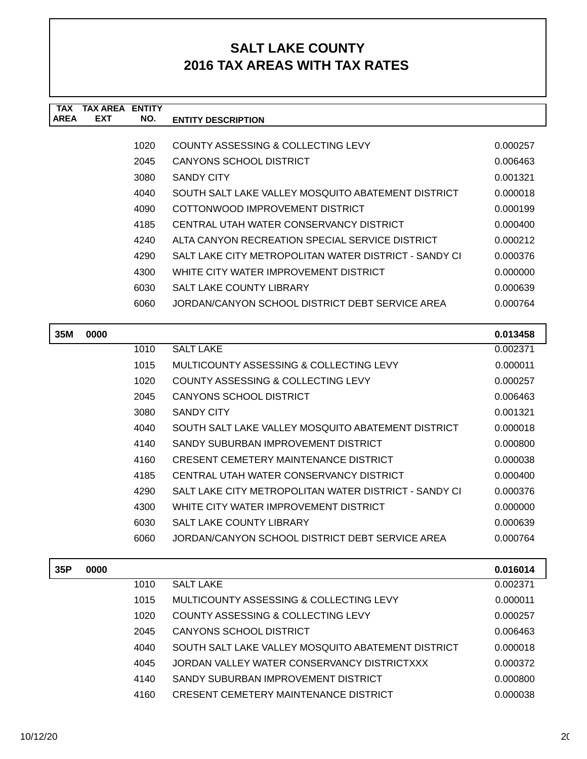| <b>TAX</b><br><b>AREA</b> | <b>TAX AREA ENTITY</b><br><b>EXT</b> | NO.          | <b>ENTITY DESCRIPTION</b>                                     |                      |
|---------------------------|--------------------------------------|--------------|---------------------------------------------------------------|----------------------|
|                           |                                      |              |                                                               |                      |
|                           |                                      | 1020         | COUNTY ASSESSING & COLLECTING LEVY                            | 0.000257             |
|                           |                                      | 2045         | <b>CANYONS SCHOOL DISTRICT</b>                                | 0.006463             |
|                           |                                      | 3080         | <b>SANDY CITY</b>                                             | 0.001321             |
|                           |                                      | 4040         | SOUTH SALT LAKE VALLEY MOSQUITO ABATEMENT DISTRICT            | 0.000018             |
|                           |                                      | 4090         | COTTONWOOD IMPROVEMENT DISTRICT                               | 0.000199             |
|                           |                                      | 4185         | CENTRAL UTAH WATER CONSERVANCY DISTRICT                       | 0.000400             |
|                           |                                      | 4240         | ALTA CANYON RECREATION SPECIAL SERVICE DISTRICT               | 0.000212             |
|                           |                                      | 4290         | SALT LAKE CITY METROPOLITAN WATER DISTRICT - SANDY CI         | 0.000376             |
|                           |                                      | 4300         | WHITE CITY WATER IMPROVEMENT DISTRICT                         | 0.000000             |
|                           |                                      | 6030         | SALT LAKE COUNTY LIBRARY                                      | 0.000639             |
|                           |                                      | 6060         | JORDAN/CANYON SCHOOL DISTRICT DEBT SERVICE AREA               | 0.000764             |
| 35M                       | 0000                                 |              |                                                               | 0.013458             |
|                           |                                      | 1010         | <b>SALT LAKE</b>                                              | 0.002371             |
|                           |                                      | 1015         | MULTICOUNTY ASSESSING & COLLECTING LEVY                       | 0.000011             |
|                           |                                      | 1020         | COUNTY ASSESSING & COLLECTING LEVY                            | 0.000257             |
|                           |                                      | 2045         | <b>CANYONS SCHOOL DISTRICT</b>                                | 0.006463             |
|                           |                                      | 3080         | <b>SANDY CITY</b>                                             | 0.001321             |
|                           |                                      | 4040         | SOUTH SALT LAKE VALLEY MOSQUITO ABATEMENT DISTRICT            | 0.000018             |
|                           |                                      | 4140         | SANDY SUBURBAN IMPROVEMENT DISTRICT                           | 0.000800             |
|                           |                                      | 4160         | <b>CRESENT CEMETERY MAINTENANCE DISTRICT</b>                  | 0.000038             |
|                           |                                      | 4185         | CENTRAL UTAH WATER CONSERVANCY DISTRICT                       | 0.000400             |
|                           |                                      | 4290         | SALT LAKE CITY METROPOLITAN WATER DISTRICT - SANDY CI         | 0.000376             |
|                           |                                      | 4300         | WHITE CITY WATER IMPROVEMENT DISTRICT                         | 0.000000             |
|                           |                                      | 6030         | SALT LAKE COUNTY LIBRARY                                      | 0.000639             |
|                           |                                      | 6060         | JORDAN/CANYON SCHOOL DISTRICT DEBT SERVICE AREA               | 0.000764             |
|                           |                                      |              |                                                               |                      |
| 35P                       | 0000                                 | 1010         | <b>SALT LAKE</b>                                              | 0.016014<br>0.002371 |
|                           |                                      |              |                                                               |                      |
|                           |                                      | 1015         | MULTICOUNTY ASSESSING & COLLECTING LEVY                       | 0.000011             |
|                           |                                      | 1020<br>2045 | COUNTY ASSESSING & COLLECTING LEVY<br>CANYONS SCHOOL DISTRICT | 0.000257<br>0.006463 |
|                           |                                      |              |                                                               |                      |

4040 SOUTH SALT LAKE VALLEY MOSQUITO ABATEMENT DISTRICT 0.000018 4045 JORDAN VALLEY WATER CONSERVANCY DISTRICTXXX 0.000372 4140 SANDY SUBURBAN IMPROVEMENT DISTRICT  $0.000800$ 4160 CRESENT CEMETERY MAINTENANCE DISTRICT 0.000038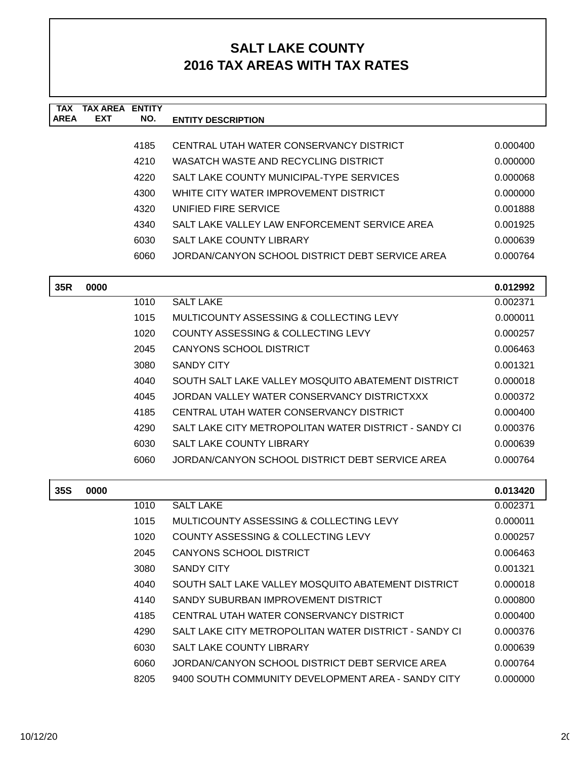| <b>TAX</b>  | <b>TAX AREA ENTITY</b> |      |                                                       |                      |
|-------------|------------------------|------|-------------------------------------------------------|----------------------|
| <b>AREA</b> | <b>EXT</b>             | NO.  | <b>ENTITY DESCRIPTION</b>                             |                      |
|             |                        | 4185 | CENTRAL UTAH WATER CONSERVANCY DISTRICT               | 0.000400             |
|             |                        | 4210 | WASATCH WASTE AND RECYCLING DISTRICT                  | 0.000000             |
|             |                        | 4220 | SALT LAKE COUNTY MUNICIPAL-TYPE SERVICES              | 0.000068             |
|             |                        | 4300 | WHITE CITY WATER IMPROVEMENT DISTRICT                 | 0.000000             |
|             |                        | 4320 | UNIFIED FIRE SERVICE                                  | 0.001888             |
|             |                        | 4340 | SALT LAKE VALLEY LAW ENFORCEMENT SERVICE AREA         | 0.001925             |
|             |                        | 6030 | <b>SALT LAKE COUNTY LIBRARY</b>                       | 0.000639             |
|             |                        | 6060 | JORDAN/CANYON SCHOOL DISTRICT DEBT SERVICE AREA       | 0.000764             |
|             |                        |      |                                                       |                      |
| 35R         | 0000                   |      |                                                       | 0.012992             |
|             |                        | 1010 | <b>SALT LAKE</b>                                      | 0.002371             |
|             |                        | 1015 | MULTICOUNTY ASSESSING & COLLECTING LEVY               | 0.000011             |
|             |                        | 1020 | COUNTY ASSESSING & COLLECTING LEVY                    | 0.000257             |
|             |                        | 2045 | <b>CANYONS SCHOOL DISTRICT</b>                        | 0.006463             |
|             |                        | 3080 | <b>SANDY CITY</b>                                     | 0.001321             |
|             |                        | 4040 | SOUTH SALT LAKE VALLEY MOSQUITO ABATEMENT DISTRICT    | 0.000018             |
|             |                        | 4045 | JORDAN VALLEY WATER CONSERVANCY DISTRICTXXX           | 0.000372             |
|             |                        | 4185 | CENTRAL UTAH WATER CONSERVANCY DISTRICT               | 0.000400             |
|             |                        | 4290 | SALT LAKE CITY METROPOLITAN WATER DISTRICT - SANDY CI | 0.000376             |
|             |                        | 6030 | <b>SALT LAKE COUNTY LIBRARY</b>                       | 0.000639             |
|             |                        | 6060 | JORDAN/CANYON SCHOOL DISTRICT DEBT SERVICE AREA       | 0.000764             |
|             |                        |      |                                                       |                      |
| <b>35S</b>  | 0000                   | 1010 | <b>SALT LAKE</b>                                      | 0.013420             |
|             |                        | 1015 | MULTICOUNTY ASSESSING & COLLECTING LEVY               | 0.002371<br>0.000011 |
|             |                        | 1020 | COUNTY ASSESSING & COLLECTING LEVY                    | 0.000257             |
|             |                        |      |                                                       |                      |
|             |                        | 2045 | <b>CANYONS SCHOOL DISTRICT</b>                        | 0.006463             |
|             |                        | 3080 | <b>SANDY CITY</b>                                     | 0.001321             |
|             |                        | 4040 | SOUTH SALT LAKE VALLEY MOSQUITO ABATEMENT DISTRICT    | 0.000018             |
|             |                        | 4140 | SANDY SUBURBAN IMPROVEMENT DISTRICT                   | 0.000800             |
|             |                        | 4185 | CENTRAL UTAH WATER CONSERVANCY DISTRICT               | 0.000400             |
|             |                        | 4290 | SALT LAKE CITY METROPOLITAN WATER DISTRICT - SANDY CI | 0.000376             |
|             |                        | 6030 | SALT LAKE COUNTY LIBRARY                              | 0.000639             |
|             |                        | 6060 | JORDAN/CANYON SCHOOL DISTRICT DEBT SERVICE AREA       | 0.000764             |
|             |                        | 8205 | 9400 SOUTH COMMUNITY DEVELOPMENT AREA - SANDY CITY    | 0.000000             |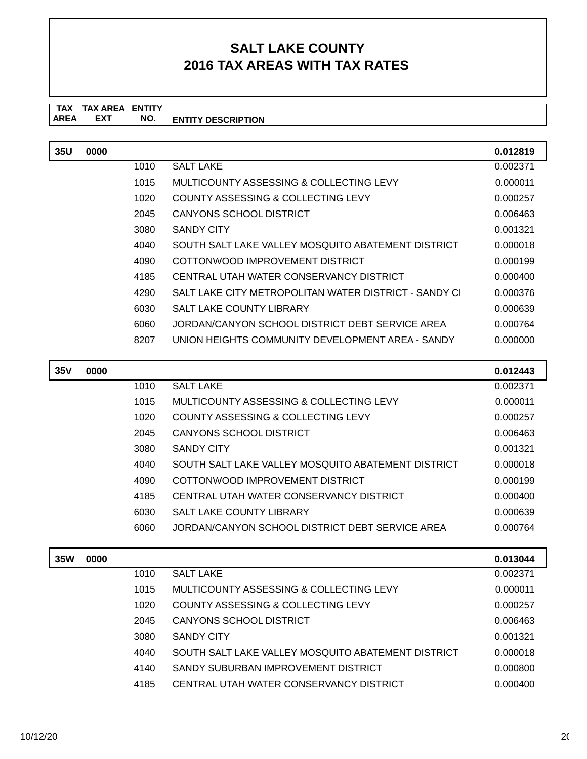#### **TAX TAX AREA ENTITY ENTITY DESCRIPTION EXT NO.**

| 35U | 0000 |      |                                                       | 0.012819 |
|-----|------|------|-------------------------------------------------------|----------|
|     |      | 1010 | <b>SALT LAKE</b>                                      | 0.002371 |
|     |      | 1015 | MULTICOUNTY ASSESSING & COLLECTING LEVY               | 0.000011 |
|     |      | 1020 | COUNTY ASSESSING & COLLECTING LEVY                    | 0.000257 |
|     |      | 2045 | CANYONS SCHOOL DISTRICT                               | 0.006463 |
|     |      | 3080 | SANDY CITY                                            | 0.001321 |
|     |      | 4040 | SOUTH SALT LAKE VALLEY MOSQUITO ABATEMENT DISTRICT    | 0.000018 |
|     |      | 4090 | COTTONWOOD IMPROVEMENT DISTRICT                       | 0.000199 |
|     |      | 4185 | CENTRAL UTAH WATER CONSERVANCY DISTRICT               | 0.000400 |
|     |      | 4290 | SALT LAKE CITY METROPOLITAN WATER DISTRICT - SANDY CI | 0.000376 |
|     |      | 6030 | SALT LAKE COUNTY LIBRARY                              | 0.000639 |
|     |      | 6060 | JORDAN/CANYON SCHOOL DISTRICT DEBT SERVICE AREA       | 0.000764 |
|     |      | 8207 | UNION HEIGHTS COMMUNITY DEVELOPMENT AREA - SANDY      | 0.000000 |

| <b>35V</b> | 0000 |      |                                                    | 0.012443 |
|------------|------|------|----------------------------------------------------|----------|
|            |      | 1010 | <b>SALT LAKE</b>                                   | 0.002371 |
|            |      | 1015 | MULTICOUNTY ASSESSING & COLLECTING LEVY            | 0.000011 |
|            |      | 1020 | COUNTY ASSESSING & COLLECTING LEVY                 | 0.000257 |
|            |      | 2045 | CANYONS SCHOOL DISTRICT                            | 0.006463 |
|            |      | 3080 | <b>SANDY CITY</b>                                  | 0.001321 |
|            |      | 4040 | SOUTH SALT LAKE VALLEY MOSQUITO ABATEMENT DISTRICT | 0.000018 |
|            |      | 4090 | COTTONWOOD IMPROVEMENT DISTRICT                    | 0.000199 |
|            |      | 4185 | CENTRAL UTAH WATER CONSERVANCY DISTRICT            | 0.000400 |
|            |      | 6030 | <b>SALT LAKE COUNTY LIBRARY</b>                    | 0.000639 |
|            |      | 6060 | JORDAN/CANYON SCHOOL DISTRICT DEBT SERVICE AREA    | 0.000764 |

| <b>35W</b> | 0000 |      |                                                    | 0.013044 |
|------------|------|------|----------------------------------------------------|----------|
|            |      | 1010 | <b>SALT LAKE</b>                                   | 0.002371 |
|            |      | 1015 | MULTICOUNTY ASSESSING & COLLECTING LEVY            | 0.000011 |
|            |      | 1020 | COUNTY ASSESSING & COLLECTING LEVY                 | 0.000257 |
|            |      | 2045 | <b>CANYONS SCHOOL DISTRICT</b>                     | 0.006463 |
|            |      | 3080 | <b>SANDY CITY</b>                                  | 0.001321 |
|            |      | 4040 | SOUTH SALT LAKE VALLEY MOSQUITO ABATEMENT DISTRICT | 0.000018 |
|            |      | 4140 | SANDY SUBURBAN IMPROVEMENT DISTRICT                | 0.000800 |
|            |      | 4185 | CENTRAL UTAH WATER CONSERVANCY DISTRICT            | 0.000400 |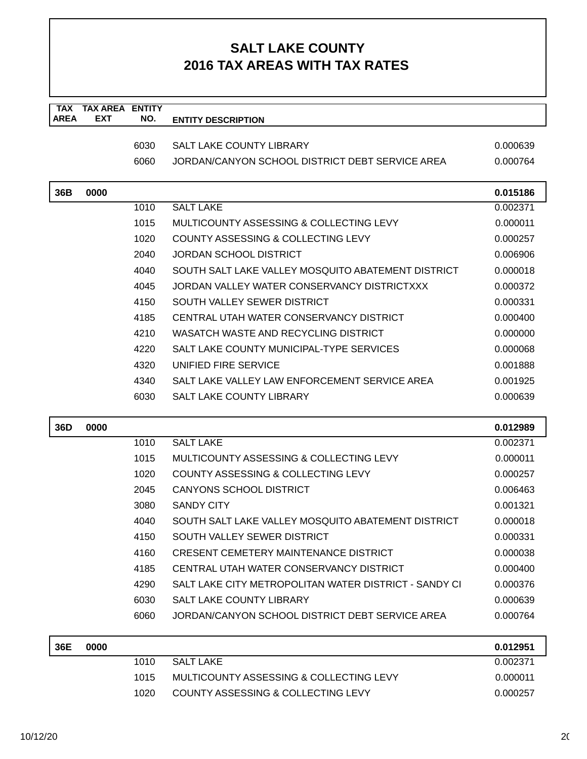| TAX<br><b>AREA</b> | <b>TAX AREA</b><br><b>EXT</b> | <b>ENTITY</b><br>NO. | <b>ENTITY DESCRIPTION</b>                             |                      |
|--------------------|-------------------------------|----------------------|-------------------------------------------------------|----------------------|
|                    |                               |                      |                                                       |                      |
|                    |                               | 6030                 | <b>SALT LAKE COUNTY LIBRARY</b>                       | 0.000639             |
|                    |                               | 6060                 | JORDAN/CANYON SCHOOL DISTRICT DEBT SERVICE AREA       | 0.000764             |
| 36B                | 0000                          |                      |                                                       | 0.015186             |
|                    |                               | 1010                 | <b>SALT LAKE</b>                                      | 0.002371             |
|                    |                               | 1015                 | MULTICOUNTY ASSESSING & COLLECTING LEVY               | 0.000011             |
|                    |                               | 1020                 | COUNTY ASSESSING & COLLECTING LEVY                    | 0.000257             |
|                    |                               | 2040                 | JORDAN SCHOOL DISTRICT                                | 0.006906             |
|                    |                               | 4040                 | SOUTH SALT LAKE VALLEY MOSQUITO ABATEMENT DISTRICT    | 0.000018             |
|                    |                               | 4045                 | JORDAN VALLEY WATER CONSERVANCY DISTRICTXXX           | 0.000372             |
|                    |                               | 4150                 | SOUTH VALLEY SEWER DISTRICT                           | 0.000331             |
|                    |                               | 4185                 | CENTRAL UTAH WATER CONSERVANCY DISTRICT               | 0.000400             |
|                    |                               | 4210                 | WASATCH WASTE AND RECYCLING DISTRICT                  | 0.000000             |
|                    |                               | 4220                 | SALT LAKE COUNTY MUNICIPAL-TYPE SERVICES              | 0.000068             |
|                    |                               | 4320                 | UNIFIED FIRE SERVICE                                  | 0.001888             |
|                    |                               | 4340                 | SALT LAKE VALLEY LAW ENFORCEMENT SERVICE AREA         | 0.001925             |
|                    |                               | 6030                 | <b>SALT LAKE COUNTY LIBRARY</b>                       | 0.000639             |
| 36D                | 0000                          |                      |                                                       | 0.012989             |
|                    |                               | 1010                 | <b>SALT LAKE</b>                                      | 0.002371             |
|                    |                               | 1015                 | MULTICOUNTY ASSESSING & COLLECTING LEVY               | 0.000011             |
|                    |                               | 1020                 | <b>COUNTY ASSESSING &amp; COLLECTING LEVY</b>         | 0.000257             |
|                    |                               | 2045                 | <b>CANYONS SCHOOL DISTRICT</b>                        | 0.006463             |
|                    |                               | 3080                 | <b>SANDY CITY</b>                                     | 0.001321             |
|                    |                               | 4040                 | SOUTH SALT LAKE VALLEY MOSQUITO ABATEMENT DISTRICT    | 0.000018             |
|                    |                               | 4150                 | SOUTH VALLEY SEWER DISTRICT                           | 0.000331             |
|                    |                               | 4160                 | <b>CRESENT CEMETERY MAINTENANCE DISTRICT</b>          | 0.000038             |
|                    |                               | 4185                 | CENTRAL UTAH WATER CONSERVANCY DISTRICT               | 0.000400             |
|                    |                               | 4290                 | SALT LAKE CITY METROPOLITAN WATER DISTRICT - SANDY CI | 0.000376             |
|                    |                               | 6030                 | SALT LAKE COUNTY LIBRARY                              | 0.000639             |
|                    |                               | 6060                 | JORDAN/CANYON SCHOOL DISTRICT DEBT SERVICE AREA       | 0.000764             |
|                    |                               |                      |                                                       |                      |
|                    |                               |                      |                                                       |                      |
| 36E                | 0000                          | 1010                 | <b>SALT LAKE</b>                                      | 0.012951<br>0.002371 |
|                    |                               | 1015                 | MULTICOUNTY ASSESSING & COLLECTING LEVY               | 0.000011             |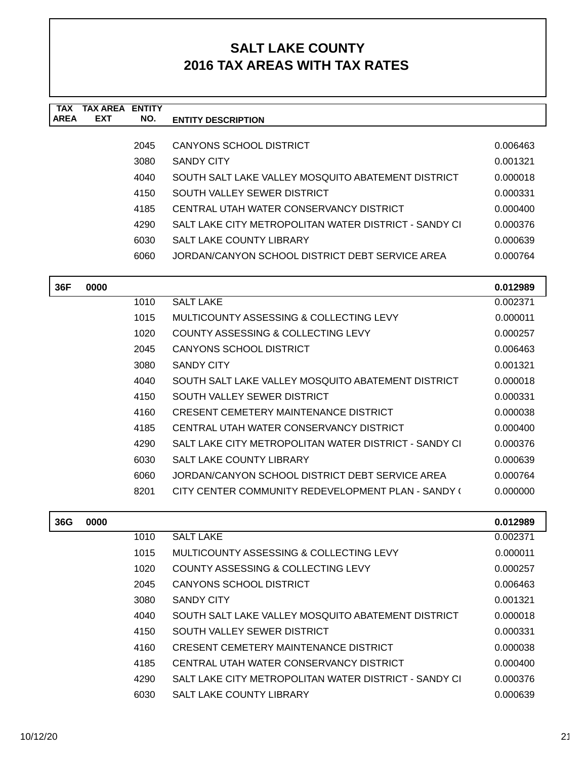| <b>TAX</b><br><b>AREA</b> | <b>TAX AREA ENTITY</b><br><b>EXT</b> | NO.  | <b>ENTITY DESCRIPTION</b>                             |          |
|---------------------------|--------------------------------------|------|-------------------------------------------------------|----------|
|                           |                                      |      |                                                       |          |
|                           |                                      | 2045 | CANYONS SCHOOL DISTRICT                               | 0.006463 |
|                           |                                      | 3080 | <b>SANDY CITY</b>                                     | 0.001321 |
|                           |                                      | 4040 | SOUTH SALT LAKE VALLEY MOSQUITO ABATEMENT DISTRICT    | 0.000018 |
|                           |                                      | 4150 | SOUTH VALLEY SEWER DISTRICT                           | 0.000331 |
|                           |                                      | 4185 | CENTRAL UTAH WATER CONSERVANCY DISTRICT               | 0.000400 |
|                           |                                      | 4290 | SALT LAKE CITY METROPOLITAN WATER DISTRICT - SANDY CI | 0.000376 |
|                           |                                      | 6030 | SALT LAKE COUNTY LIBRARY                              | 0.000639 |
|                           |                                      | 6060 | JORDAN/CANYON SCHOOL DISTRICT DEBT SERVICE AREA       | 0.000764 |
|                           |                                      |      |                                                       |          |
| 36F                       | 0000                                 |      |                                                       | 0.012989 |
|                           |                                      | 1010 | <b>SALT LAKE</b>                                      | 0.002371 |
|                           |                                      | 1015 | MULTICOUNTY ASSESSING & COLLECTING LEVY               | 0.000011 |
|                           |                                      | 1020 | COUNTY ASSESSING & COLLECTING LEVY                    | 0.000257 |
|                           |                                      | 2045 | CANYONS SCHOOL DISTRICT                               | 0.006463 |
|                           |                                      | 3080 | <b>SANDY CITY</b>                                     | 0.001321 |
|                           |                                      | 4040 | SOUTH SALT LAKE VALLEY MOSQUITO ABATEMENT DISTRICT    | 0.000018 |
|                           |                                      | 4150 | SOUTH VALLEY SEWER DISTRICT                           | 0.000331 |
|                           |                                      | 4160 | <b>CRESENT CEMETERY MAINTENANCE DISTRICT</b>          | 0.000038 |
|                           |                                      | 4185 | CENTRAL UTAH WATER CONSERVANCY DISTRICT               | 0.000400 |
|                           |                                      | 4290 | SALT LAKE CITY METROPOLITAN WATER DISTRICT - SANDY CI | 0.000376 |
|                           |                                      | 6030 | <b>SALT LAKE COUNTY LIBRARY</b>                       | 0.000639 |
|                           |                                      | 6060 | JORDAN/CANYON SCHOOL DISTRICT DEBT SERVICE AREA       | 0.000764 |
|                           |                                      | 8201 | CITY CENTER COMMUNITY REDEVELOPMENT PLAN - SANDY (    | 0.000000 |
| 36G                       | 0000                                 |      |                                                       | 0.012989 |
|                           |                                      | 1010 | <b>SALT LAKE</b>                                      | 0.002371 |
|                           |                                      | 1015 | MULTICOUNTY ASSESSING & COLLECTING LEVY               | 0.000011 |
|                           |                                      | 1020 | COUNTY ASSESSING & COLLECTING LEVY                    | 0.000257 |
|                           |                                      | 2045 | <b>CANYONS SCHOOL DISTRICT</b>                        | 0.006463 |

3080 SANDY CITY 0.001321 4040 SOUTH SALT LAKE VALLEY MOSQUITO ABATEMENT DISTRICT 0.000018 4150 SOUTH VALLEY SEWER DISTRICT 4150 0.000331 4160 CRESENT CEMETERY MAINTENANCE DISTRICT 0.000038 4185 CENTRAL UTAH WATER CONSERVANCY DISTRICT 0.000400 4290 SALT LAKE CITY METROPOLITAN WATER DISTRICT - SANDY CI 0.000376 6030 SALT LAKE COUNTY LIBRARY 0.000639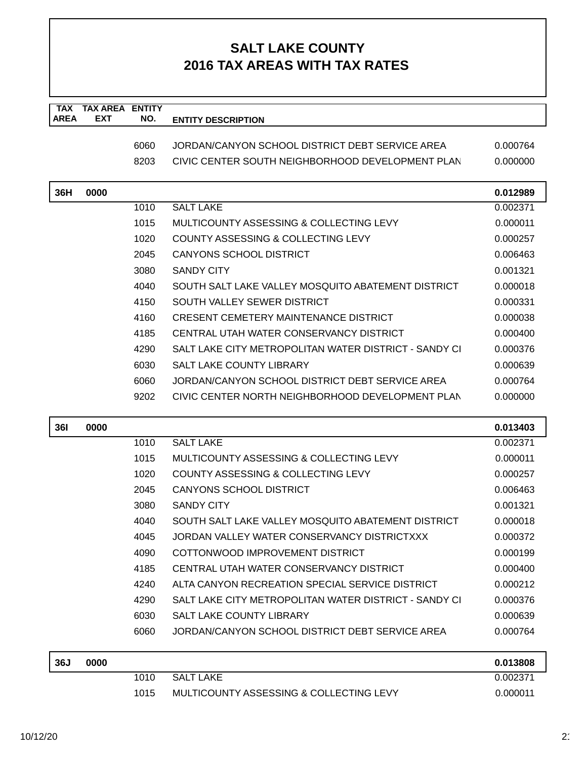| <b>TAX</b><br><b>AREA</b> | <b>TAX AREA ENTITY</b><br>EXT | NO.  | <b>ENTITY DESCRIPTION</b>                             |          |
|---------------------------|-------------------------------|------|-------------------------------------------------------|----------|
|                           |                               |      |                                                       |          |
|                           |                               | 6060 | JORDAN/CANYON SCHOOL DISTRICT DEBT SERVICE AREA       | 0.000764 |
|                           |                               | 8203 | CIVIC CENTER SOUTH NEIGHBORHOOD DEVELOPMENT PLAN      | 0.000000 |
| 36H                       | 0000                          |      |                                                       | 0.012989 |
|                           |                               | 1010 | <b>SALT LAKE</b>                                      | 0.002371 |
|                           |                               | 1015 | MULTICOUNTY ASSESSING & COLLECTING LEVY               | 0.000011 |
|                           |                               | 1020 | <b>COUNTY ASSESSING &amp; COLLECTING LEVY</b>         | 0.000257 |
|                           |                               | 2045 | <b>CANYONS SCHOOL DISTRICT</b>                        | 0.006463 |
|                           |                               | 3080 | <b>SANDY CITY</b>                                     | 0.001321 |
|                           |                               | 4040 | SOUTH SALT LAKE VALLEY MOSQUITO ABATEMENT DISTRICT    | 0.000018 |
|                           |                               | 4150 | SOUTH VALLEY SEWER DISTRICT                           | 0.000331 |
|                           |                               | 4160 | <b>CRESENT CEMETERY MAINTENANCE DISTRICT</b>          | 0.000038 |
|                           |                               | 4185 | CENTRAL UTAH WATER CONSERVANCY DISTRICT               | 0.000400 |
|                           |                               | 4290 | SALT LAKE CITY METROPOLITAN WATER DISTRICT - SANDY CI | 0.000376 |
|                           |                               | 6030 | <b>SALT LAKE COUNTY LIBRARY</b>                       | 0.000639 |
|                           |                               | 6060 | JORDAN/CANYON SCHOOL DISTRICT DEBT SERVICE AREA       | 0.000764 |
|                           |                               | 9202 | CIVIC CENTER NORTH NEIGHBORHOOD DEVELOPMENT PLAN      | 0.000000 |
| <b>361</b>                | 0000                          |      |                                                       | 0.013403 |
|                           |                               | 1010 | <b>SALT LAKE</b>                                      | 0.002371 |
|                           |                               | 1015 | MULTICOUNTY ASSESSING & COLLECTING LEVY               | 0.000011 |
|                           |                               | 1020 | <b>COUNTY ASSESSING &amp; COLLECTING LEVY</b>         | 0.000257 |
|                           |                               | 2045 | <b>CANYONS SCHOOL DISTRICT</b>                        | 0.006463 |
|                           |                               | 3080 | <b>SANDY CITY</b>                                     | 0.001321 |
|                           |                               | 4040 | SOUTH SALT LAKE VALLEY MOSQUITO ABATEMENT DISTRICT    | 0.000018 |
|                           |                               | 4045 | JORDAN VALLEY WATER CONSERVANCY DISTRICTXXX           | 0.000372 |
|                           |                               | 4090 | COTTONWOOD IMPROVEMENT DISTRICT                       | 0.000199 |
|                           |                               | 4185 | CENTRAL UTAH WATER CONSERVANCY DISTRICT               | 0.000400 |
|                           |                               | 4240 | ALTA CANYON RECREATION SPECIAL SERVICE DISTRICT       | 0.000212 |
|                           |                               | 4290 | SALT LAKE CITY METROPOLITAN WATER DISTRICT - SANDY CI | 0.000376 |
|                           |                               | 6030 | <b>SALT LAKE COUNTY LIBRARY</b>                       | 0.000639 |
|                           |                               | 6060 | JORDAN/CANYON SCHOOL DISTRICT DEBT SERVICE AREA       | 0.000764 |
| 36J                       | 0000                          |      |                                                       | 0.013808 |
|                           |                               | 1010 | <b>SALT LAKE</b>                                      | 0.002371 |
|                           |                               | 1015 | MULTICOUNTY ASSESSING & COLLECTING LEVY               | 0.000011 |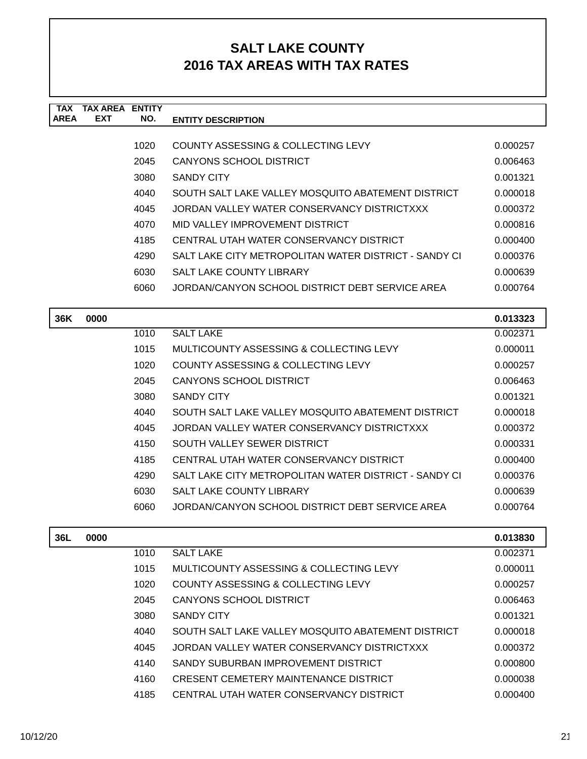| TAX<br><b>AREA</b> | TAX AREA<br><b>EXT</b> | <b>ENTITY</b><br>NO. | <b>ENTITY DESCRIPTION</b>                             |          |
|--------------------|------------------------|----------------------|-------------------------------------------------------|----------|
|                    |                        |                      |                                                       |          |
|                    |                        | 1020                 | COUNTY ASSESSING & COLLECTING LEVY                    | 0.000257 |
|                    |                        | 2045                 | <b>CANYONS SCHOOL DISTRICT</b>                        | 0.006463 |
|                    |                        | 3080                 | <b>SANDY CITY</b>                                     | 0.001321 |
|                    |                        | 4040                 | SOUTH SALT LAKE VALLEY MOSQUITO ABATEMENT DISTRICT    | 0.000018 |
|                    |                        | 4045                 | JORDAN VALLEY WATER CONSERVANCY DISTRICTXXX           | 0.000372 |
|                    |                        | 4070                 | MID VALLEY IMPROVEMENT DISTRICT                       | 0.000816 |
|                    |                        | 4185                 | CENTRAL UTAH WATER CONSERVANCY DISTRICT               | 0.000400 |
|                    |                        | 4290                 | SALT LAKE CITY METROPOLITAN WATER DISTRICT - SANDY CI | 0.000376 |
|                    |                        | 6030                 | <b>SALT LAKE COUNTY LIBRARY</b>                       | 0.000639 |
|                    |                        | 6060                 | JORDAN/CANYON SCHOOL DISTRICT DEBT SERVICE AREA       | 0.000764 |
|                    |                        |                      |                                                       |          |
| 36K                | 0000                   |                      |                                                       | 0.013323 |
|                    |                        | 1010                 | <b>SALT LAKE</b>                                      | 0.002371 |
|                    |                        | 1015                 | MULTICOUNTY ASSESSING & COLLECTING LEVY               | 0.000011 |
|                    |                        | 1020                 | COUNTY ASSESSING & COLLECTING LEVY                    | 0.000257 |
|                    |                        | 2045                 | <b>CANYONS SCHOOL DISTRICT</b>                        | 0.006463 |
|                    |                        | 3080                 | <b>SANDY CITY</b>                                     | 0.001321 |
|                    |                        | 4040                 | SOUTH SALT LAKE VALLEY MOSQUITO ABATEMENT DISTRICT    | 0.000018 |
|                    |                        | 4045                 | JORDAN VALLEY WATER CONSERVANCY DISTRICTXXX           | 0.000372 |
|                    |                        | 4150                 | SOUTH VALLEY SEWER DISTRICT                           | 0.000331 |
|                    |                        | 4185                 | CENTRAL UTAH WATER CONSERVANCY DISTRICT               | 0.000400 |
|                    |                        | 4290                 | SALT LAKE CITY METROPOLITAN WATER DISTRICT - SANDY CI | 0.000376 |
|                    |                        | 6030                 | <b>SALT LAKE COUNTY LIBRARY</b>                       | 0.000639 |
|                    |                        | 6060                 | JORDAN/CANYON SCHOOL DISTRICT DEBT SERVICE AREA       | 0.000764 |
|                    |                        |                      |                                                       |          |
| 36L                | 0000                   |                      |                                                       | 0.013830 |
|                    |                        | 1010                 | <b>SALT LAKE</b>                                      | 0.002371 |
|                    |                        | 1015                 | MULTICOUNTY ASSESSING & COLLECTING LEVY               | 0.000011 |
|                    |                        | 1020                 | COUNTY ASSESSING & COLLECTING LEVY                    | 0.000257 |

2045 CANYONS SCHOOL DISTRICT 0.006463 3080 SANDY CITY 0.001321 4040 SOUTH SALT LAKE VALLEY MOSQUITO ABATEMENT DISTRICT 0.000018 4045 JORDAN VALLEY WATER CONSERVANCY DISTRICTXXX 0.000372 4140 SANDY SUBURBAN IMPROVEMENT DISTRICT 0.000800 0.000800 4160 CRESENT CEMETERY MAINTENANCE DISTRICT 0.000038 4185 CENTRAL UTAH WATER CONSERVANCY DISTRICT 0.000400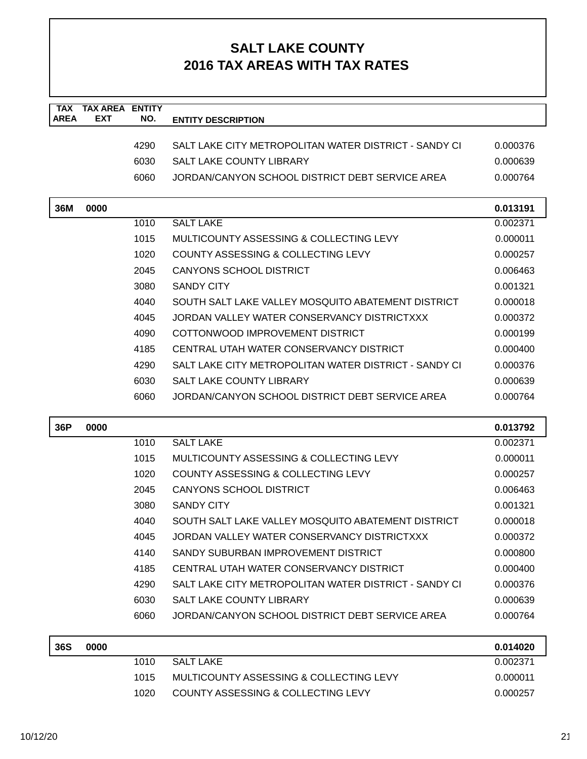| <b>TAX</b>  | <b>TAX AREA</b> | <b>ENTITY</b> |                                                       |          |
|-------------|-----------------|---------------|-------------------------------------------------------|----------|
| <b>AREA</b> | <b>EXT</b>      | NO.           | <b>ENTITY DESCRIPTION</b>                             |          |
|             |                 | 4290          | SALT LAKE CITY METROPOLITAN WATER DISTRICT - SANDY CI | 0.000376 |
|             |                 | 6030          | <b>SALT LAKE COUNTY LIBRARY</b>                       | 0.000639 |
|             |                 | 6060          | JORDAN/CANYON SCHOOL DISTRICT DEBT SERVICE AREA       | 0.000764 |
|             |                 |               |                                                       |          |
| 36M         | 0000            |               |                                                       | 0.013191 |
|             |                 | 1010          | <b>SALT LAKE</b>                                      | 0.002371 |
|             |                 | 1015          | MULTICOUNTY ASSESSING & COLLECTING LEVY               | 0.000011 |
|             |                 | 1020          | COUNTY ASSESSING & COLLECTING LEVY                    | 0.000257 |
|             |                 | 2045          | <b>CANYONS SCHOOL DISTRICT</b>                        | 0.006463 |
|             |                 | 3080          | <b>SANDY CITY</b>                                     | 0.001321 |
|             |                 | 4040          | SOUTH SALT LAKE VALLEY MOSQUITO ABATEMENT DISTRICT    | 0.000018 |
|             |                 | 4045          | JORDAN VALLEY WATER CONSERVANCY DISTRICTXXX           | 0.000372 |
|             |                 | 4090          | COTTONWOOD IMPROVEMENT DISTRICT                       | 0.000199 |
|             |                 | 4185          | CENTRAL UTAH WATER CONSERVANCY DISTRICT               | 0.000400 |
|             |                 | 4290          | SALT LAKE CITY METROPOLITAN WATER DISTRICT - SANDY CI | 0.000376 |
|             |                 | 6030          | <b>SALT LAKE COUNTY LIBRARY</b>                       | 0.000639 |
|             |                 | 6060          | JORDAN/CANYON SCHOOL DISTRICT DEBT SERVICE AREA       | 0.000764 |
|             |                 |               |                                                       |          |
| 36P         | 0000            |               |                                                       | 0.013792 |
|             |                 | 1010          | <b>SALT LAKE</b>                                      | 0.002371 |
|             |                 | 1015          | MULTICOUNTY ASSESSING & COLLECTING LEVY               | 0.000011 |
|             |                 | 1020          | COUNTY ASSESSING & COLLECTING LEVY                    | 0.000257 |
|             |                 | 2045          | <b>CANYONS SCHOOL DISTRICT</b>                        | 0.006463 |
|             |                 | 3080          | <b>SANDY CITY</b>                                     | 0.001321 |
|             |                 | 4040          | SOUTH SALT LAKE VALLEY MOSQUITO ABATEMENT DISTRICT    | 0.000018 |
|             |                 | 4045          | JORDAN VALLEY WATER CONSERVANCY DISTRICTXXX           | 0.000372 |
|             |                 | 4140          | SANDY SUBURBAN IMPROVEMENT DISTRICT                   | 0.000800 |
|             |                 | 4185          | CENTRAL UTAH WATER CONSERVANCY DISTRICT               | 0.000400 |
|             |                 | 4290          | SALT LAKE CITY METROPOLITAN WATER DISTRICT - SANDY CI | 0.000376 |
|             |                 | 6030          | SALT LAKE COUNTY LIBRARY                              | 0.000639 |
|             |                 | 6060          | JORDAN/CANYON SCHOOL DISTRICT DEBT SERVICE AREA       | 0.000764 |
| <b>36S</b>  | 0000            |               |                                                       | 0.014020 |
|             |                 | 1010          | <b>SALT LAKE</b>                                      | 0.002371 |
|             |                 | 1015          | MULTICOUNTY ASSESSING & COLLECTING LEVY               | 0.000011 |
|             |                 | 1020          | COUNTY ASSESSING & COLLECTING LEVY                    | 0.000257 |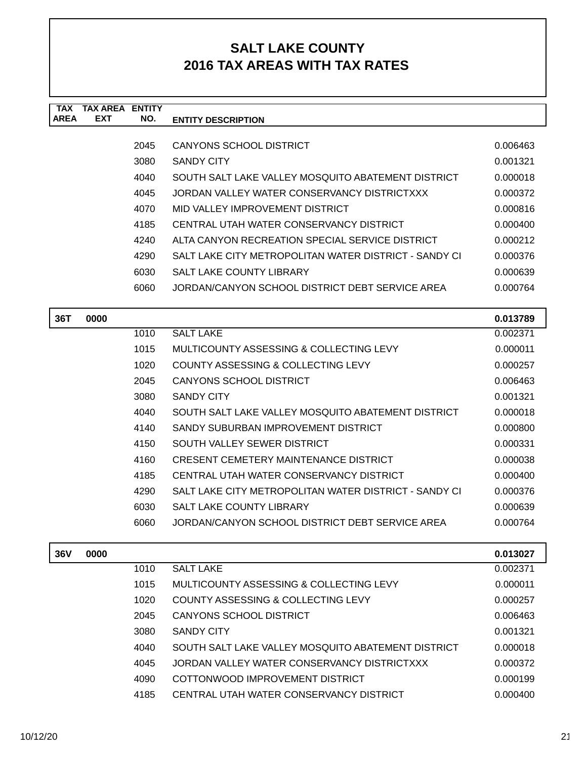| <b>TAX</b>  | <b>TAX AREA ENTITY</b> |      |                                                       |          |
|-------------|------------------------|------|-------------------------------------------------------|----------|
| <b>AREA</b> | <b>EXT</b>             | NO.  | <b>ENTITY DESCRIPTION</b>                             |          |
|             |                        | 2045 | <b>CANYONS SCHOOL DISTRICT</b>                        | 0.006463 |
|             |                        | 3080 | <b>SANDY CITY</b>                                     | 0.001321 |
|             |                        | 4040 | SOUTH SALT LAKE VALLEY MOSQUITO ABATEMENT DISTRICT    | 0.000018 |
|             |                        | 4045 | JORDAN VALLEY WATER CONSERVANCY DISTRICTXXX           | 0.000372 |
|             |                        | 4070 | MID VALLEY IMPROVEMENT DISTRICT                       | 0.000816 |
|             |                        | 4185 | CENTRAL UTAH WATER CONSERVANCY DISTRICT               | 0.000400 |
|             |                        | 4240 | ALTA CANYON RECREATION SPECIAL SERVICE DISTRICT       | 0.000212 |
|             |                        | 4290 | SALT LAKE CITY METROPOLITAN WATER DISTRICT - SANDY CI | 0.000376 |
|             |                        | 6030 | <b>SALT LAKE COUNTY LIBRARY</b>                       | 0.000639 |
|             |                        | 6060 | JORDAN/CANYON SCHOOL DISTRICT DEBT SERVICE AREA       | 0.000764 |
|             |                        |      |                                                       |          |
| 36T         | 0000                   |      |                                                       | 0.013789 |
|             |                        | 1010 | <b>SALT LAKE</b>                                      | 0.002371 |
|             |                        | 1015 | MULTICOUNTY ASSESSING & COLLECTING LEVY               | 0.000011 |
|             |                        | 1020 | COUNTY ASSESSING & COLLECTING LEVY                    | 0.000257 |
|             |                        | 2045 | <b>CANYONS SCHOOL DISTRICT</b>                        | 0.006463 |
|             |                        | 3080 | <b>SANDY CITY</b>                                     | 0.001321 |
|             |                        | 4040 | SOUTH SALT LAKE VALLEY MOSQUITO ABATEMENT DISTRICT    | 0.000018 |
|             |                        | 4140 | SANDY SUBURBAN IMPROVEMENT DISTRICT                   | 0.000800 |
|             |                        | 4150 | SOUTH VALLEY SEWER DISTRICT                           | 0.000331 |
|             |                        | 4160 | CRESENT CEMETERY MAINTENANCE DISTRICT                 | 0.000038 |
|             |                        | 4185 | CENTRAL UTAH WATER CONSERVANCY DISTRICT               | 0.000400 |
|             |                        | 4290 | SALT LAKE CITY METROPOLITAN WATER DISTRICT - SANDY CI | 0.000376 |
|             |                        | 6030 | SALT LAKE COUNTY LIBRARY                              | 0.000639 |
|             |                        | 6060 | JORDAN/CANYON SCHOOL DISTRICT DEBT SERVICE AREA       | 0.000764 |
|             |                        |      |                                                       |          |
| <b>36V</b>  | 0000                   |      |                                                       | 0.013027 |
|             |                        | 1010 | <b>SALT LAKE</b>                                      | 0.002371 |
|             |                        | 1015 | MULTICOUNTY ASSESSING & COLLECTING LEVY               | 0.000011 |
|             |                        | 1020 | COUNTY ASSESSING & COLLECTING LEVY                    | 0.000257 |
|             |                        | 2045 | CANYONS SCHOOL DISTRICT                               | 0.006463 |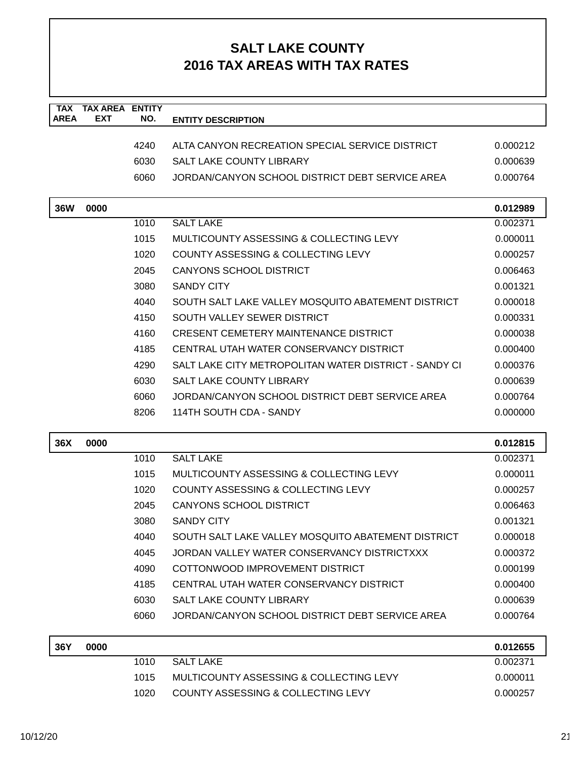| <b>TAX</b>  | <b>TAX AREA</b> | <b>ENTITY</b> |                                                       |          |
|-------------|-----------------|---------------|-------------------------------------------------------|----------|
| <b>AREA</b> | <b>EXT</b>      | NO.           | <b>ENTITY DESCRIPTION</b>                             |          |
|             |                 | 4240          | ALTA CANYON RECREATION SPECIAL SERVICE DISTRICT       | 0.000212 |
|             |                 | 6030          | <b>SALT LAKE COUNTY LIBRARY</b>                       | 0.000639 |
|             |                 | 6060          | JORDAN/CANYON SCHOOL DISTRICT DEBT SERVICE AREA       | 0.000764 |
|             |                 |               |                                                       |          |
| <b>36W</b>  | 0000            |               |                                                       | 0.012989 |
|             |                 | 1010          | <b>SALT LAKE</b>                                      | 0.002371 |
|             |                 | 1015          | MULTICOUNTY ASSESSING & COLLECTING LEVY               | 0.000011 |
|             |                 | 1020          | COUNTY ASSESSING & COLLECTING LEVY                    | 0.000257 |
|             |                 | 2045          | CANYONS SCHOOL DISTRICT                               | 0.006463 |
|             |                 | 3080          | <b>SANDY CITY</b>                                     | 0.001321 |
|             |                 | 4040          | SOUTH SALT LAKE VALLEY MOSQUITO ABATEMENT DISTRICT    | 0.000018 |
|             |                 | 4150          | SOUTH VALLEY SEWER DISTRICT                           | 0.000331 |
|             |                 | 4160          | <b>CRESENT CEMETERY MAINTENANCE DISTRICT</b>          | 0.000038 |
|             |                 | 4185          | CENTRAL UTAH WATER CONSERVANCY DISTRICT               | 0.000400 |
|             |                 | 4290          | SALT LAKE CITY METROPOLITAN WATER DISTRICT - SANDY CI | 0.000376 |
|             |                 | 6030          | <b>SALT LAKE COUNTY LIBRARY</b>                       | 0.000639 |
|             |                 | 6060          | JORDAN/CANYON SCHOOL DISTRICT DEBT SERVICE AREA       | 0.000764 |
|             |                 | 8206          | 114TH SOUTH CDA - SANDY                               | 0.000000 |
| 36X         | 0000            |               |                                                       | 0.012815 |
|             |                 | 1010          | <b>SALT LAKE</b>                                      | 0.002371 |
|             |                 | 1015          | MULTICOUNTY ASSESSING & COLLECTING LEVY               | 0.000011 |
|             |                 | 1020          | <b>COUNTY ASSESSING &amp; COLLECTING LEVY</b>         | 0.000257 |
|             |                 | 2045          | <b>CANYONS SCHOOL DISTRICT</b>                        | 0.006463 |
|             |                 | 3080          | <b>SANDY CITY</b>                                     | 0.001321 |
|             |                 | 4040          | SOUTH SALT LAKE VALLEY MOSQUITO ABATEMENT DISTRICT    | 0.000018 |
|             |                 | 4045          | JORDAN VALLEY WATER CONSERVANCY DISTRICTXXX           | 0.000372 |
|             |                 | 4090          | COTTONWOOD IMPROVEMENT DISTRICT                       | 0.000199 |
|             |                 | 4185          | CENTRAL UTAH WATER CONSERVANCY DISTRICT               | 0.000400 |
|             |                 | 6030          | SALT LAKE COUNTY LIBRARY                              | 0.000639 |
|             |                 | 6060          | JORDAN/CANYON SCHOOL DISTRICT DEBT SERVICE AREA       | 0.000764 |
| 36Y         | 0000            |               |                                                       | 0.012655 |
|             |                 | 1010          | <b>SALT LAKE</b>                                      | 0.002371 |
|             |                 | 1015          | MULTICOUNTY ASSESSING & COLLECTING LEVY               | 0.000011 |
|             |                 | 1020          | COUNTY ASSESSING & COLLECTING LEVY                    | 0.000257 |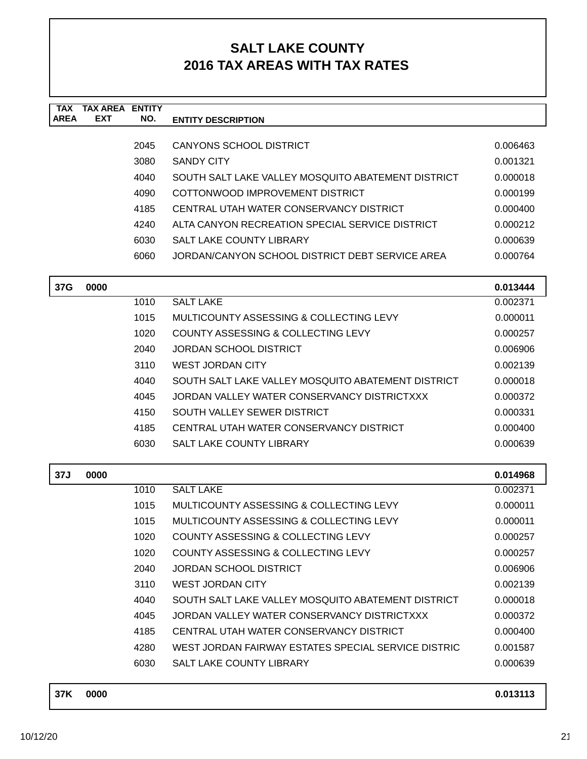| <b>TAX</b><br><b>AREA</b> | <b>TAX AREA ENTITY</b><br><b>EXT</b> | NO.  | <b>ENTITY DESCRIPTION</b>                           |          |
|---------------------------|--------------------------------------|------|-----------------------------------------------------|----------|
|                           |                                      |      |                                                     |          |
|                           |                                      | 2045 | <b>CANYONS SCHOOL DISTRICT</b>                      | 0.006463 |
|                           |                                      | 3080 | <b>SANDY CITY</b>                                   | 0.001321 |
|                           |                                      | 4040 | SOUTH SALT LAKE VALLEY MOSQUITO ABATEMENT DISTRICT  | 0.000018 |
|                           |                                      | 4090 | COTTONWOOD IMPROVEMENT DISTRICT                     | 0.000199 |
|                           |                                      | 4185 | CENTRAL UTAH WATER CONSERVANCY DISTRICT             | 0.000400 |
|                           |                                      | 4240 | ALTA CANYON RECREATION SPECIAL SERVICE DISTRICT     | 0.000212 |
|                           |                                      | 6030 | <b>SALT LAKE COUNTY LIBRARY</b>                     | 0.000639 |
|                           |                                      | 6060 | JORDAN/CANYON SCHOOL DISTRICT DEBT SERVICE AREA     | 0.000764 |
| 37G                       | 0000                                 |      |                                                     | 0.013444 |
|                           |                                      | 1010 | <b>SALT LAKE</b>                                    | 0.002371 |
|                           |                                      | 1015 | MULTICOUNTY ASSESSING & COLLECTING LEVY             | 0.000011 |
|                           |                                      | 1020 | COUNTY ASSESSING & COLLECTING LEVY                  | 0.000257 |
|                           |                                      | 2040 | JORDAN SCHOOL DISTRICT                              | 0.006906 |
|                           |                                      | 3110 | <b>WEST JORDAN CITY</b>                             | 0.002139 |
|                           |                                      | 4040 | SOUTH SALT LAKE VALLEY MOSQUITO ABATEMENT DISTRICT  | 0.000018 |
|                           |                                      | 4045 | JORDAN VALLEY WATER CONSERVANCY DISTRICTXXX         | 0.000372 |
|                           |                                      | 4150 | SOUTH VALLEY SEWER DISTRICT                         | 0.000331 |
|                           |                                      | 4185 | CENTRAL UTAH WATER CONSERVANCY DISTRICT             | 0.000400 |
|                           |                                      | 6030 | <b>SALT LAKE COUNTY LIBRARY</b>                     | 0.000639 |
| 37J                       | 0000                                 |      |                                                     | 0.014968 |
|                           |                                      | 1010 | <b>SALT LAKE</b>                                    | 0.002371 |
|                           |                                      | 1015 | MULTICOUNTY ASSESSING & COLLECTING LEVY             | 0.000011 |
|                           |                                      | 1015 | MULTICOUNTY ASSESSING & COLLECTING LEVY             | 0.000011 |
|                           |                                      | 1020 | <b>COUNTY ASSESSING &amp; COLLECTING LEVY</b>       | 0.000257 |
|                           |                                      | 1020 | COUNTY ASSESSING & COLLECTING LEVY                  | 0.000257 |
|                           |                                      | 2040 | <b>JORDAN SCHOOL DISTRICT</b>                       | 0.006906 |
|                           |                                      | 3110 | <b>WEST JORDAN CITY</b>                             | 0.002139 |
|                           |                                      | 4040 | SOUTH SALT LAKE VALLEY MOSQUITO ABATEMENT DISTRICT  | 0.000018 |
|                           |                                      | 4045 | JORDAN VALLEY WATER CONSERVANCY DISTRICTXXX         | 0.000372 |
|                           |                                      | 4185 | CENTRAL UTAH WATER CONSERVANCY DISTRICT             | 0.000400 |
|                           |                                      | 4280 | WEST JORDAN FAIRWAY ESTATES SPECIAL SERVICE DISTRIC | 0.001587 |
|                           |                                      | 6030 | SALT LAKE COUNTY LIBRARY                            | 0.000639 |
| 37K                       | 0000                                 |      |                                                     | 0.013113 |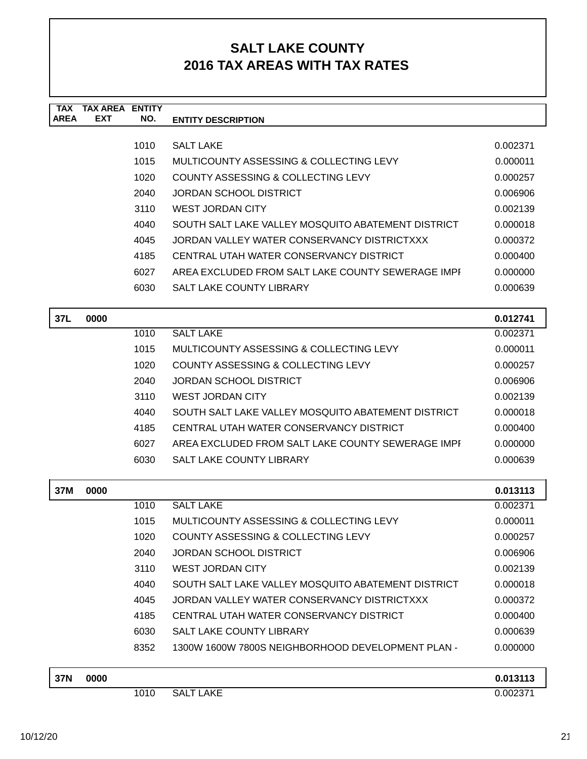| <b>TAX</b><br><b>AREA</b> | <b>TAX AREA ENTITY</b><br><b>EXT</b> | NO.  | <b>ENTITY DESCRIPTION</b>                          |                      |
|---------------------------|--------------------------------------|------|----------------------------------------------------|----------------------|
|                           |                                      |      |                                                    |                      |
|                           |                                      | 1010 | <b>SALT LAKE</b>                                   | 0.002371             |
|                           |                                      | 1015 | MULTICOUNTY ASSESSING & COLLECTING LEVY            | 0.000011             |
|                           |                                      | 1020 | COUNTY ASSESSING & COLLECTING LEVY                 | 0.000257             |
|                           |                                      | 2040 | <b>JORDAN SCHOOL DISTRICT</b>                      | 0.006906             |
|                           |                                      | 3110 | <b>WEST JORDAN CITY</b>                            | 0.002139             |
|                           |                                      | 4040 | SOUTH SALT LAKE VALLEY MOSQUITO ABATEMENT DISTRICT | 0.000018             |
|                           |                                      | 4045 | JORDAN VALLEY WATER CONSERVANCY DISTRICTXXX        | 0.000372             |
|                           |                                      | 4185 | CENTRAL UTAH WATER CONSERVANCY DISTRICT            | 0.000400             |
|                           |                                      | 6027 | AREA EXCLUDED FROM SALT LAKE COUNTY SEWERAGE IMPI  | 0.000000             |
|                           |                                      | 6030 | <b>SALT LAKE COUNTY LIBRARY</b>                    | 0.000639             |
|                           |                                      |      |                                                    |                      |
| 37L                       | 0000                                 |      |                                                    | 0.012741             |
|                           |                                      | 1010 | <b>SALT LAKE</b>                                   | 0.002371             |
|                           |                                      | 1015 | <b>MULTICOUNTY ASSESSING &amp; COLLECTING LEVY</b> | 0.000011             |
|                           |                                      | 1020 | COUNTY ASSESSING & COLLECTING LEVY                 | 0.000257             |
|                           |                                      | 2040 | <b>JORDAN SCHOOL DISTRICT</b>                      | 0.006906             |
|                           |                                      | 3110 | <b>WEST JORDAN CITY</b>                            | 0.002139             |
|                           |                                      | 4040 | SOUTH SALT LAKE VALLEY MOSQUITO ABATEMENT DISTRICT | 0.000018             |
|                           |                                      | 4185 | CENTRAL UTAH WATER CONSERVANCY DISTRICT            | 0.000400             |
|                           |                                      | 6027 | AREA EXCLUDED FROM SALT LAKE COUNTY SEWERAGE IMPI  | 0.000000             |
|                           |                                      | 6030 | SALT LAKE COUNTY LIBRARY                           | 0.000639             |
| 37M                       | 0000                                 |      |                                                    | 0.013113             |
|                           |                                      | 1010 | <b>SALT LAKE</b>                                   | 0.002371             |
|                           |                                      | 1015 | MULTICOUNTY ASSESSING & COLLECTING LEVY            | 0.000011             |
|                           |                                      | 1020 | COUNTY ASSESSING & COLLECTING LEVY                 | 0.000257             |
|                           |                                      | 2040 | <b>JORDAN SCHOOL DISTRICT</b>                      | 0.006906             |
|                           |                                      | 3110 | WEST JORDAN CITY                                   | 0.002139             |
|                           |                                      | 4040 | SOUTH SALT LAKE VALLEY MOSQUITO ABATEMENT DISTRICT | 0.000018             |
|                           |                                      | 4045 | JORDAN VALLEY WATER CONSERVANCY DISTRICTXXX        | 0.000372             |
|                           |                                      | 4185 | CENTRAL UTAH WATER CONSERVANCY DISTRICT            | 0.000400             |
|                           |                                      | 6030 | SALT LAKE COUNTY LIBRARY                           | 0.000639             |
|                           |                                      | 8352 | 1300W 1600W 7800S NEIGHBORHOOD DEVELOPMENT PLAN -  | 0.000000             |
|                           |                                      |      |                                                    |                      |
| <b>37N</b>                | 0000                                 | 1010 | <b>SALT LAKE</b>                                   | 0.013113<br>0.002371 |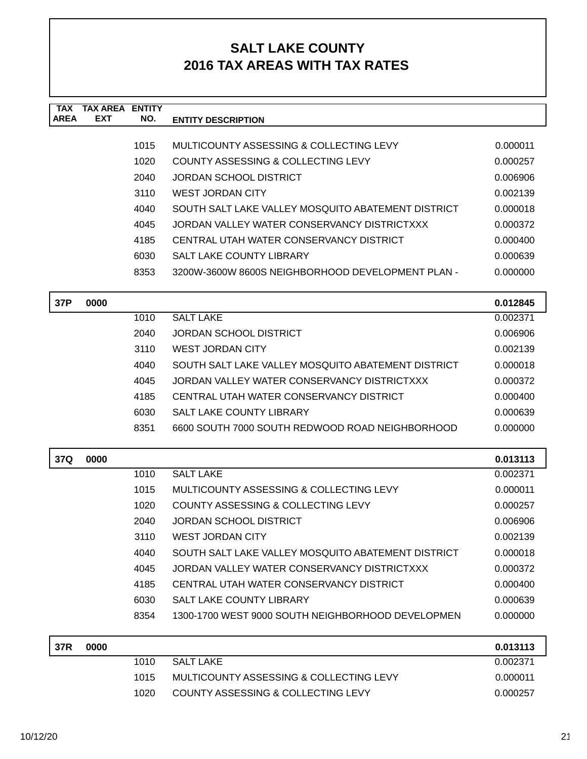| <b>TAX</b> | <b>TAX AREA ENTITY</b> |      |                                                                                                   |          |
|------------|------------------------|------|---------------------------------------------------------------------------------------------------|----------|
| AREA       | <b>EXT</b>             | NO.  | <b>ENTITY DESCRIPTION</b>                                                                         |          |
|            |                        | 1015 | MULTICOUNTY ASSESSING & COLLECTING LEVY                                                           | 0.000011 |
|            |                        | 1020 | COUNTY ASSESSING & COLLECTING LEVY                                                                | 0.000257 |
|            |                        | 2040 | JORDAN SCHOOL DISTRICT                                                                            | 0.006906 |
|            |                        | 3110 | <b>WEST JORDAN CITY</b>                                                                           | 0.002139 |
|            |                        | 4040 | SOUTH SALT LAKE VALLEY MOSQUITO ABATEMENT DISTRICT                                                | 0.000018 |
|            |                        | 4045 | JORDAN VALLEY WATER CONSERVANCY DISTRICTXXX                                                       | 0.000372 |
|            |                        | 4185 | CENTRAL UTAH WATER CONSERVANCY DISTRICT                                                           | 0.000400 |
|            |                        | 6030 | <b>SALT LAKE COUNTY LIBRARY</b>                                                                   | 0.000639 |
|            |                        | 8353 | 3200W-3600W 8600S NEIGHBORHOOD DEVELOPMENT PLAN -                                                 | 0.000000 |
|            |                        |      |                                                                                                   |          |
| 37P        | 0000                   |      |                                                                                                   | 0.012845 |
|            |                        | 1010 | <b>SALT LAKE</b>                                                                                  | 0.002371 |
|            |                        | 2040 | <b>JORDAN SCHOOL DISTRICT</b><br><b>WEST JORDAN CITY</b>                                          | 0.006906 |
|            |                        | 3110 |                                                                                                   | 0.002139 |
|            |                        | 4040 | SOUTH SALT LAKE VALLEY MOSQUITO ABATEMENT DISTRICT<br>JORDAN VALLEY WATER CONSERVANCY DISTRICTXXX | 0.000018 |
|            |                        | 4045 | CENTRAL UTAH WATER CONSERVANCY DISTRICT                                                           | 0.000372 |
|            |                        | 4185 |                                                                                                   | 0.000400 |
|            |                        | 6030 | <b>SALT LAKE COUNTY LIBRARY</b>                                                                   | 0.000639 |
|            |                        | 8351 | 6600 SOUTH 7000 SOUTH REDWOOD ROAD NEIGHBORHOOD                                                   | 0.000000 |
| 37Q        | 0000                   |      |                                                                                                   | 0.013113 |
|            |                        | 1010 | <b>SALT LAKE</b>                                                                                  | 0.002371 |
|            |                        | 1015 | MULTICOUNTY ASSESSING & COLLECTING LEVY                                                           | 0.000011 |
|            |                        | 1020 | COUNTY ASSESSING & COLLECTING LEVY                                                                | 0.000257 |
|            |                        | 2040 | <b>JORDAN SCHOOL DISTRICT</b>                                                                     | 0.006906 |
|            |                        | 3110 | <b>WEST JORDAN CITY</b>                                                                           | 0.002139 |
|            |                        | 4040 | SOUTH SALT LAKE VALLEY MOSQUITO ABATEMENT DISTRICT                                                | 0.000018 |
|            |                        | 4045 | JORDAN VALLEY WATER CONSERVANCY DISTRICTXXX                                                       | 0.000372 |
|            |                        | 4185 | CENTRAL UTAH WATER CONSERVANCY DISTRICT                                                           | 0.000400 |
|            |                        | 6030 | SALT LAKE COUNTY LIBRARY                                                                          | 0.000639 |
|            |                        | 8354 | 1300-1700 WEST 9000 SOUTH NEIGHBORHOOD DEVELOPMEN                                                 | 0.000000 |
| 37R        | 0000                   |      |                                                                                                   | 0.013113 |
|            |                        | 1010 | <b>SALT LAKE</b>                                                                                  | 0.002371 |
|            |                        | 1015 | MULTICOUNTY ASSESSING & COLLECTING LEVY                                                           | 0.000011 |
|            |                        | 1020 | COUNTY ASSESSING & COLLECTING LEVY                                                                | 0.000257 |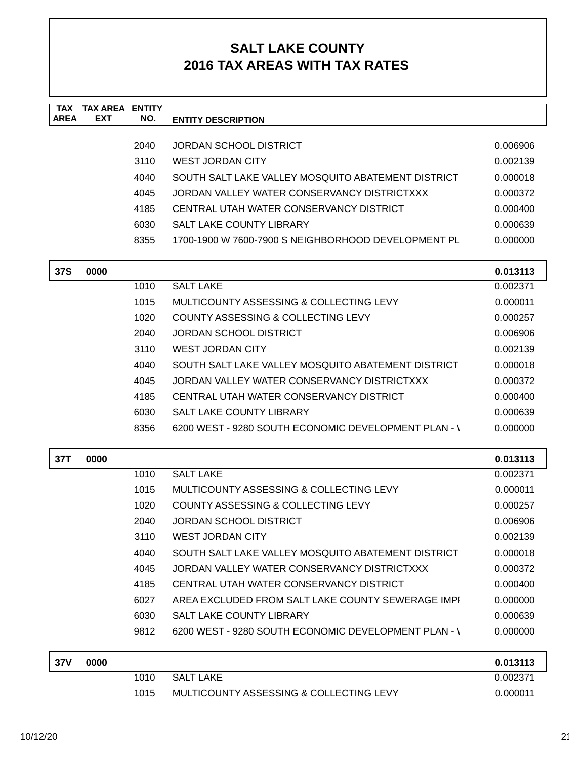| <b>TAX</b><br><b>AREA</b> | <b>TAX AREA ENTITY</b><br><b>EXT</b> | NO.  | <b>ENTITY DESCRIPTION</b>                            |          |
|---------------------------|--------------------------------------|------|------------------------------------------------------|----------|
|                           |                                      |      |                                                      |          |
|                           |                                      | 2040 | <b>JORDAN SCHOOL DISTRICT</b>                        | 0.006906 |
|                           |                                      | 3110 | <b>WEST JORDAN CITY</b>                              | 0.002139 |
|                           |                                      | 4040 | SOUTH SALT LAKE VALLEY MOSQUITO ABATEMENT DISTRICT   | 0.000018 |
|                           |                                      | 4045 | JORDAN VALLEY WATER CONSERVANCY DISTRICTXXX          | 0.000372 |
|                           |                                      | 4185 | CENTRAL UTAH WATER CONSERVANCY DISTRICT              | 0.000400 |
|                           |                                      | 6030 | SALT LAKE COUNTY LIBRARY                             | 0.000639 |
|                           |                                      | 8355 | 1700-1900 W 7600-7900 S NEIGHBORHOOD DEVELOPMENT PL  | 0.000000 |
| <b>37S</b>                | 0000                                 |      |                                                      | 0.013113 |
|                           |                                      | 1010 | <b>SALT LAKE</b>                                     | 0.002371 |
|                           |                                      | 1015 | MULTICOUNTY ASSESSING & COLLECTING LEVY              | 0.000011 |
|                           |                                      | 1020 | COUNTY ASSESSING & COLLECTING LEVY                   | 0.000257 |
|                           |                                      | 2040 | <b>JORDAN SCHOOL DISTRICT</b>                        | 0.006906 |
|                           |                                      | 3110 | <b>WEST JORDAN CITY</b>                              | 0.002139 |
|                           |                                      | 4040 | SOUTH SALT LAKE VALLEY MOSQUITO ABATEMENT DISTRICT   | 0.000018 |
|                           |                                      | 4045 | JORDAN VALLEY WATER CONSERVANCY DISTRICTXXX          | 0.000372 |
|                           |                                      | 4185 | CENTRAL UTAH WATER CONSERVANCY DISTRICT              | 0.000400 |
|                           |                                      | 6030 | SALT LAKE COUNTY LIBRARY                             | 0.000639 |
|                           |                                      | 8356 | 6200 WEST - 9280 SOUTH ECONOMIC DEVELOPMENT PLAN - \ | 0.000000 |
| 37T                       | 0000                                 |      |                                                      | 0.013113 |
|                           |                                      | 1010 | <b>SALT LAKE</b>                                     | 0.002371 |
|                           |                                      | 1015 | MULTICOUNTY ASSESSING & COLLECTING LEVY              | 0.000011 |
|                           |                                      | 1020 | COUNTY ASSESSING & COLLECTING LEVY                   | 0.000257 |
|                           |                                      | 2040 | <b>JORDAN SCHOOL DISTRICT</b>                        | 0.006906 |
|                           |                                      | 3110 | <b>WEST JORDAN CITY</b>                              | 0.002139 |
|                           |                                      | 4040 | SOUTH SALT LAKE VALLEY MOSQUITO ABATEMENT DISTRICT   | 0.000018 |
|                           |                                      | 4045 | JORDAN VALLEY WATER CONSERVANCY DISTRICTXXX          | 0.000372 |
|                           |                                      | 4185 | CENTRAL UTAH WATER CONSERVANCY DISTRICT              | 0.000400 |
|                           |                                      | 6027 | AREA EXCLUDED FROM SALT LAKE COUNTY SEWERAGE IMPI    | 0.000000 |
|                           |                                      | 6030 | SALT LAKE COUNTY LIBRARY                             | 0.000639 |
|                           |                                      | 9812 | 6200 WEST - 9280 SOUTH ECONOMIC DEVELOPMENT PLAN - \ | 0.000000 |
| <b>37V</b>                | 0000                                 |      |                                                      | 0.013113 |
|                           |                                      | 1010 | <b>SALT LAKE</b>                                     | 0.002371 |
|                           |                                      | 1015 | MULTICOUNTY ASSESSING & COLLECTING LEVY              | 0.000011 |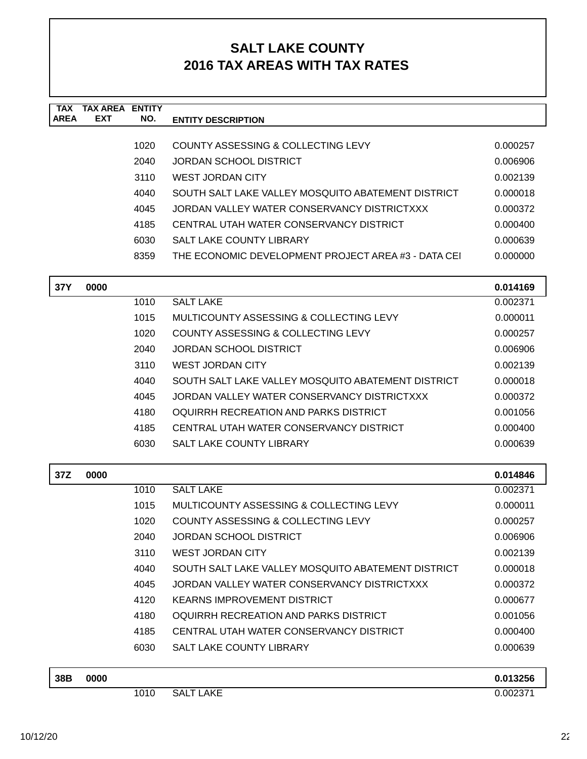| <b>TAX</b><br><b>AREA</b> | <b>TAX AREA ENTITY</b><br>EXT | NO.  | <b>ENTITY DESCRIPTION</b>                           |          |
|---------------------------|-------------------------------|------|-----------------------------------------------------|----------|
|                           |                               |      |                                                     |          |
|                           |                               | 1020 | COUNTY ASSESSING & COLLECTING LEVY                  | 0.000257 |
|                           |                               | 2040 | JORDAN SCHOOL DISTRICT                              | 0.006906 |
|                           |                               | 3110 | <b>WEST JORDAN CITY</b>                             | 0.002139 |
|                           |                               | 4040 | SOUTH SALT LAKE VALLEY MOSQUITO ABATEMENT DISTRICT  | 0.000018 |
|                           |                               | 4045 | JORDAN VALLEY WATER CONSERVANCY DISTRICTXXX         | 0.000372 |
|                           |                               | 4185 | CENTRAL UTAH WATER CONSERVANCY DISTRICT             | 0.000400 |
|                           |                               | 6030 | <b>SALT LAKE COUNTY LIBRARY</b>                     | 0.000639 |
|                           |                               | 8359 | THE ECONOMIC DEVELOPMENT PROJECT AREA #3 - DATA CEI | 0.000000 |
| 37Y                       | 0000                          |      |                                                     | 0.014169 |
|                           |                               | 1010 | <b>SALT LAKE</b>                                    | 0.002371 |
|                           |                               | 1015 | <b>MULTICOUNTY ASSESSING &amp; COLLECTING LEVY</b>  | 0.000011 |
|                           |                               | 1020 | <b>COUNTY ASSESSING &amp; COLLECTING LEVY</b>       | 0.000257 |
|                           |                               | 2040 | <b>JORDAN SCHOOL DISTRICT</b>                       | 0.006906 |
|                           |                               | 3110 | <b>WEST JORDAN CITY</b>                             | 0.002139 |
|                           |                               | 4040 | SOUTH SALT LAKE VALLEY MOSQUITO ABATEMENT DISTRICT  | 0.000018 |
|                           |                               | 4045 | JORDAN VALLEY WATER CONSERVANCY DISTRICTXXX         | 0.000372 |
|                           |                               | 4180 | OQUIRRH RECREATION AND PARKS DISTRICT               | 0.001056 |
|                           |                               | 4185 | CENTRAL UTAH WATER CONSERVANCY DISTRICT             | 0.000400 |
|                           |                               | 6030 | SALT LAKE COUNTY LIBRARY                            | 0.000639 |
| 37Z                       | 0000                          |      |                                                     | 0.014846 |
|                           |                               | 1010 | <b>SALT LAKE</b>                                    | 0.002371 |
|                           |                               | 1015 | MULTICOUNTY ASSESSING & COLLECTING LEVY             | 0.000011 |
|                           |                               | 1020 | <b>COUNTY ASSESSING &amp; COLLECTING LEVY</b>       | 0.000257 |
|                           |                               | 2040 | <b>JORDAN SCHOOL DISTRICT</b>                       | 0.006906 |
|                           |                               | 3110 | <b>WEST JORDAN CITY</b>                             | 0.002139 |
|                           |                               | 4040 | SOUTH SALT LAKE VALLEY MOSQUITO ABATEMENT DISTRICT  | 0.000018 |
|                           |                               | 4045 | JORDAN VALLEY WATER CONSERVANCY DISTRICTXXX         | 0.000372 |
|                           |                               | 4120 | <b>KEARNS IMPROVEMENT DISTRICT</b>                  | 0.000677 |
|                           |                               | 4180 | OQUIRRH RECREATION AND PARKS DISTRICT               | 0.001056 |
|                           |                               | 4185 | CENTRAL UTAH WATER CONSERVANCY DISTRICT             | 0.000400 |
|                           |                               | 6030 | <b>SALT LAKE COUNTY LIBRARY</b>                     | 0.000639 |
| 38B                       | 0000                          |      |                                                     | 0.013256 |
|                           |                               | 1010 | <b>SALT LAKE</b>                                    | 0.002371 |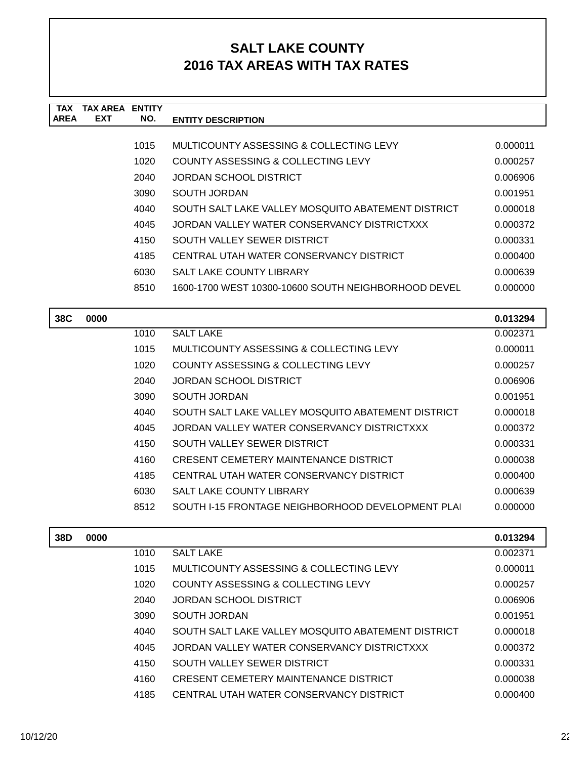| <b>TAX</b>  | TAX AREA   | <b>ENTITY</b> |                                                     |          |
|-------------|------------|---------------|-----------------------------------------------------|----------|
| <b>AREA</b> | <b>EXT</b> | NO.           | <b>ENTITY DESCRIPTION</b>                           |          |
|             |            |               |                                                     |          |
|             |            | 1015          | MULTICOUNTY ASSESSING & COLLECTING LEVY             | 0.000011 |
|             |            | 1020          | COUNTY ASSESSING & COLLECTING LEVY                  | 0.000257 |
|             |            | 2040          | <b>JORDAN SCHOOL DISTRICT</b>                       | 0.006906 |
|             |            | 3090          | SOUTH JORDAN                                        | 0.001951 |
|             |            | 4040          | SOUTH SALT LAKE VALLEY MOSQUITO ABATEMENT DISTRICT  | 0.000018 |
|             |            | 4045          | JORDAN VALLEY WATER CONSERVANCY DISTRICTXXX         | 0.000372 |
|             |            | 4150          | SOUTH VALLEY SEWER DISTRICT                         | 0.000331 |
|             |            | 4185          | CENTRAL UTAH WATER CONSERVANCY DISTRICT             | 0.000400 |
|             |            | 6030          | <b>SALT LAKE COUNTY LIBRARY</b>                     | 0.000639 |
|             |            | 8510          | 1600-1700 WEST 10300-10600 SOUTH NEIGHBORHOOD DEVEL | 0.000000 |
|             |            |               |                                                     |          |
| 38C         | 0000       |               |                                                     | 0.013294 |
|             |            | 1010          | <b>SALT LAKE</b>                                    | 0.002371 |
|             |            | 1015          | MULTICOUNTY ASSESSING & COLLECTING LEVY             | 0.000011 |
|             |            | 1020          | COUNTY ASSESSING & COLLECTING LEVY                  | 0.000257 |

| 4040 | SOUTH SALT LAKE VALLEY MOSQUITO ABATEMENT DISTRICT | 0.000018 |
|------|----------------------------------------------------|----------|
| 4045 | JORDAN VALLEY WATER CONSERVANCY DISTRICTXXX        | 0.000372 |
| 4150 | SOUTH VALLEY SEWER DISTRICT                        | 0.000331 |
| 4160 | <b>CRESENT CEMETERY MAINTENANCE DISTRICT</b>       | 0.000038 |
| 4185 | CENTRAL UTAH WATER CONSERVANCY DISTRICT            | 0.000400 |
| 6030 | <b>SALT LAKE COUNTY LIBRARY</b>                    | 0.000639 |
| 8512 | SOUTH I-15 FRONTAGE NEIGHBORHOOD DEVELOPMENT PLAI  | 0.000000 |

2040 JORDAN SCHOOL DISTRICT 0.006906 3090 SOUTH JORDAN 0.001951

| 38D | 0000 |      |                                                    | 0.013294 |
|-----|------|------|----------------------------------------------------|----------|
|     |      | 1010 | <b>SALT LAKE</b>                                   | 0.002371 |
|     |      | 1015 | MULTICOUNTY ASSESSING & COLLECTING LEVY            | 0.000011 |
|     |      | 1020 | COUNTY ASSESSING & COLLECTING LEVY                 | 0.000257 |
|     |      | 2040 | JORDAN SCHOOL DISTRICT                             | 0.006906 |
|     |      | 3090 | SOUTH JORDAN                                       | 0.001951 |
|     |      | 4040 | SOUTH SALT LAKE VALLEY MOSQUITO ABATEMENT DISTRICT | 0.000018 |
|     |      | 4045 | JORDAN VALLEY WATER CONSERVANCY DISTRICTXXX        | 0.000372 |
|     |      | 4150 | SOUTH VALLEY SEWER DISTRICT                        | 0.000331 |
|     |      | 4160 | <b>CRESENT CEMETERY MAINTENANCE DISTRICT</b>       | 0.000038 |
|     |      | 4185 | CENTRAL UTAH WATER CONSERVANCY DISTRICT            | 0.000400 |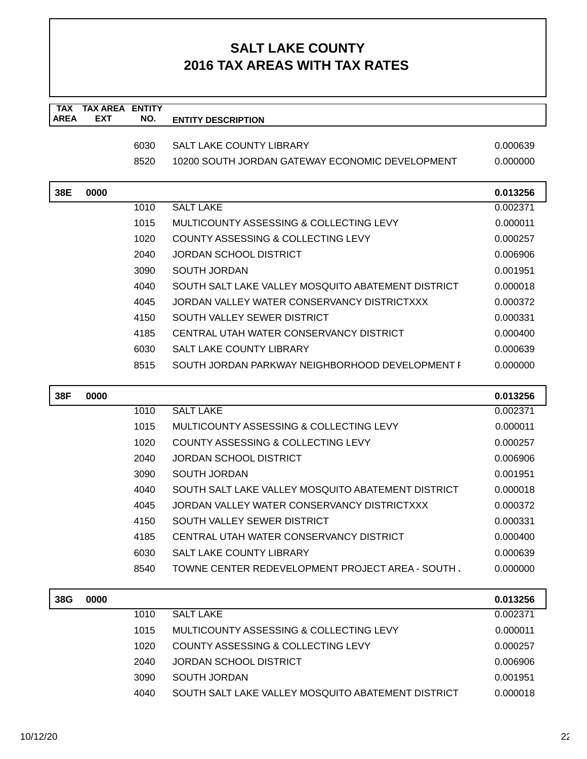| <b>TAX</b>  | <b>TAX AREA ENTITY</b> |      |                                                    |          |
|-------------|------------------------|------|----------------------------------------------------|----------|
| <b>AREA</b> | <b>EXT</b>             | NO.  | <b>ENTITY DESCRIPTION</b>                          |          |
|             |                        | 6030 | SALT LAKE COUNTY LIBRARY                           | 0.000639 |
|             |                        | 8520 | 10200 SOUTH JORDAN GATEWAY ECONOMIC DEVELOPMENT    | 0.000000 |
|             |                        |      |                                                    |          |
| 38E         | 0000                   |      |                                                    | 0.013256 |
|             |                        | 1010 | <b>SALT LAKE</b>                                   | 0.002371 |
|             |                        | 1015 | MULTICOUNTY ASSESSING & COLLECTING LEVY            | 0.000011 |
|             |                        | 1020 | COUNTY ASSESSING & COLLECTING LEVY                 | 0.000257 |
|             |                        | 2040 | <b>JORDAN SCHOOL DISTRICT</b>                      | 0.006906 |
|             |                        | 3090 | <b>SOUTH JORDAN</b>                                | 0.001951 |
|             |                        | 4040 | SOUTH SALT LAKE VALLEY MOSQUITO ABATEMENT DISTRICT | 0.000018 |
|             |                        | 4045 | JORDAN VALLEY WATER CONSERVANCY DISTRICTXXX        | 0.000372 |
|             |                        | 4150 | SOUTH VALLEY SEWER DISTRICT                        | 0.000331 |
|             |                        | 4185 | CENTRAL UTAH WATER CONSERVANCY DISTRICT            | 0.000400 |
|             |                        | 6030 | SALT LAKE COUNTY LIBRARY                           | 0.000639 |
|             |                        | 8515 | SOUTH JORDAN PARKWAY NEIGHBORHOOD DEVELOPMENT I    | 0.000000 |
|             |                        |      |                                                    |          |
| 38F         | 0000                   |      |                                                    | 0.013256 |
|             |                        | 1010 | <b>SALT LAKE</b>                                   | 0.002371 |
|             |                        | 1015 | MULTICOUNTY ASSESSING & COLLECTING LEVY            | 0.000011 |
|             |                        | 1020 | COUNTY ASSESSING & COLLECTING LEVY                 | 0.000257 |
|             |                        | 2040 | <b>JORDAN SCHOOL DISTRICT</b>                      | 0.006906 |
|             |                        | 3090 | <b>SOUTH JORDAN</b>                                | 0.001951 |
|             |                        | 4040 | SOUTH SALT LAKE VALLEY MOSQUITO ABATEMENT DISTRICT | 0.000018 |
|             |                        | 4045 | JORDAN VALLEY WATER CONSERVANCY DISTRICTXXX        | 0.000372 |
|             |                        | 4150 | SOUTH VALLEY SEWER DISTRICT                        | 0.000331 |
|             |                        | 4185 | CENTRAL UTAH WATER CONSERVANCY DISTRICT            | 0.000400 |
|             |                        | 6030 | SALT LAKE COUNTY LIBRARY                           | 0.000639 |
|             |                        | 8540 | TOWNE CENTER REDEVELOPMENT PROJECT AREA - SOUTH,   | 0.000000 |
|             |                        |      |                                                    |          |
| 38G         | 0000                   |      |                                                    | 0.013256 |
|             |                        | 1010 | <b>SALT LAKE</b>                                   | 0.002371 |
|             |                        | 1015 | MULTICOUNTY ASSESSING & COLLECTING LEVY            | 0.000011 |
|             |                        | 1020 | <b>COUNTY ASSESSING &amp; COLLECTING LEVY</b>      | 0.000257 |
|             |                        | 2040 | <b>JORDAN SCHOOL DISTRICT</b>                      | 0.006906 |
|             |                        | 3090 | <b>SOUTH JORDAN</b>                                | 0.001951 |
|             |                        | 4040 | SOUTH SALT LAKE VALLEY MOSQUITO ABATEMENT DISTRICT | 0.000018 |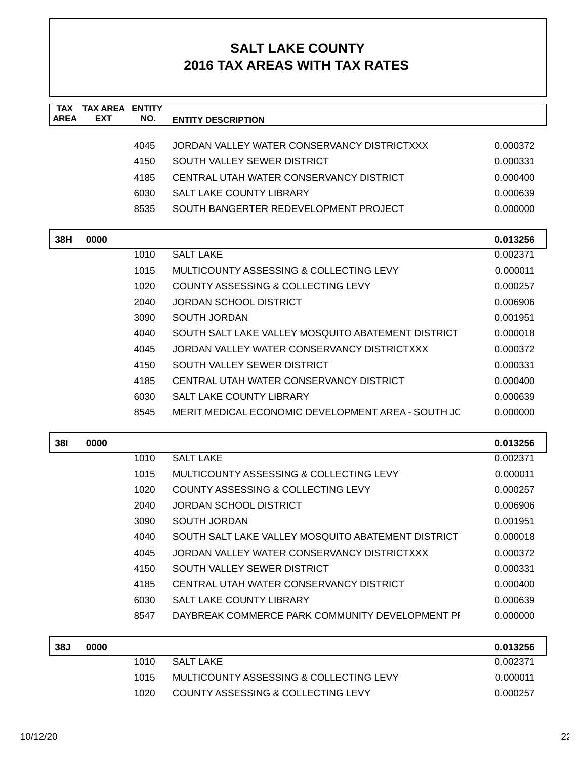| <b>TAX</b><br><b>AREA</b> | <b>TAX AREA</b><br><b>EXT</b> | <b>ENTITY</b><br>NO. | <b>ENTITY DESCRIPTION</b>                          |          |
|---------------------------|-------------------------------|----------------------|----------------------------------------------------|----------|
|                           |                               |                      |                                                    |          |
|                           |                               | 4045                 | JORDAN VALLEY WATER CONSERVANCY DISTRICTXXX        | 0.000372 |
|                           |                               | 4150                 | SOUTH VALLEY SEWER DISTRICT                        | 0.000331 |
|                           |                               | 4185                 | CENTRAL UTAH WATER CONSERVANCY DISTRICT            | 0.000400 |
|                           |                               | 6030                 | <b>SALT LAKE COUNTY LIBRARY</b>                    | 0.000639 |
|                           |                               | 8535                 | SOUTH BANGERTER REDEVELOPMENT PROJECT              | 0.000000 |
|                           |                               |                      |                                                    |          |
| 38H                       | 0000                          |                      | <b>SALT LAKE</b>                                   | 0.013256 |
|                           |                               | 1010                 |                                                    | 0.002371 |
|                           |                               | 1015                 | MULTICOUNTY ASSESSING & COLLECTING LEVY            | 0.000011 |
|                           |                               | 1020                 | COUNTY ASSESSING & COLLECTING LEVY                 | 0.000257 |
|                           |                               | 2040                 | <b>JORDAN SCHOOL DISTRICT</b>                      | 0.006906 |
|                           |                               | 3090                 | <b>SOUTH JORDAN</b>                                | 0.001951 |
|                           |                               | 4040                 | SOUTH SALT LAKE VALLEY MOSQUITO ABATEMENT DISTRICT | 0.000018 |
|                           |                               | 4045                 | JORDAN VALLEY WATER CONSERVANCY DISTRICTXXX        | 0.000372 |
|                           |                               | 4150                 | SOUTH VALLEY SEWER DISTRICT                        | 0.000331 |
|                           |                               | 4185                 | CENTRAL UTAH WATER CONSERVANCY DISTRICT            | 0.000400 |
|                           |                               | 6030                 | SALT LAKE COUNTY LIBRARY                           | 0.000639 |
|                           |                               | 8545                 | MERIT MEDICAL ECONOMIC DEVELOPMENT AREA - SOUTH JC | 0.000000 |
| <b>381</b>                | 0000                          |                      |                                                    | 0.013256 |
|                           |                               | 1010                 | <b>SALT LAKE</b>                                   | 0.002371 |
|                           |                               | 1015                 | MULTICOUNTY ASSESSING & COLLECTING LEVY            | 0.000011 |
|                           |                               | 1020                 | COUNTY ASSESSING & COLLECTING LEVY                 | 0.000257 |
|                           |                               | 2040                 | <b>JORDAN SCHOOL DISTRICT</b>                      | 0.006906 |
|                           |                               | 3090                 | <b>SOUTH JORDAN</b>                                | 0.001951 |
|                           |                               | 4040                 | SOUTH SALT LAKE VALLEY MOSQUITO ABATEMENT DISTRICT | 0.000018 |
|                           |                               | 4045                 | JORDAN VALLEY WATER CONSERVANCY DISTRICTXXX        | 0.000372 |
|                           |                               | 4150                 | SOUTH VALLEY SEWER DISTRICT                        | 0.000331 |
|                           |                               | 4185                 | CENTRAL UTAH WATER CONSERVANCY DISTRICT            | 0.000400 |
|                           |                               | 6030                 | <b>SALT LAKE COUNTY LIBRARY</b>                    | 0.000639 |
|                           |                               | 8547                 | DAYBREAK COMMERCE PARK COMMUNITY DEVELOPMENT PI    | 0.000000 |
| 38J                       | 0000                          |                      |                                                    | 0.013256 |
|                           |                               | 1010                 | <b>SALT LAKE</b>                                   | 0.002371 |
|                           |                               | 1015                 | MULTICOUNTY ASSESSING & COLLECTING LEVY            | 0.000011 |
|                           |                               | 1020                 | COUNTY ASSESSING & COLLECTING LEVY                 | 0.000257 |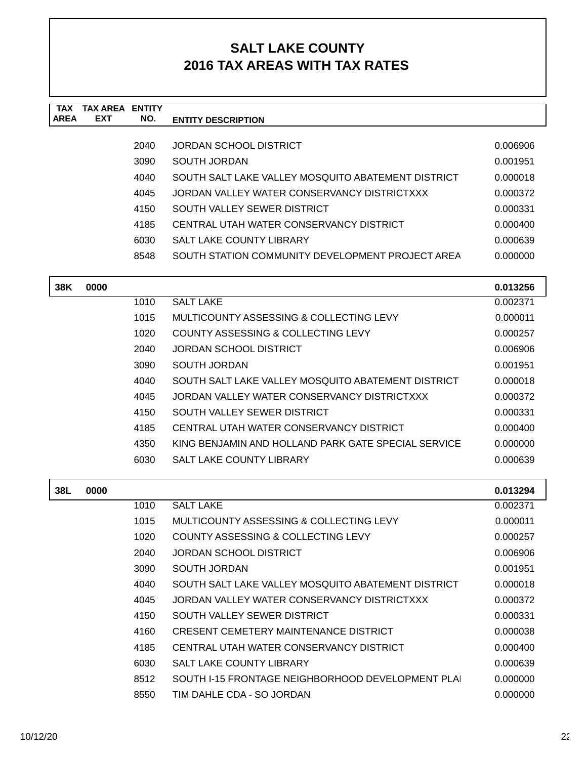| <b>TAX</b><br><b>AREA</b> | <b>TAX AREA ENTITY</b><br><b>EXT</b> | NO.  | <b>ENTITY DESCRIPTION</b>                           |          |
|---------------------------|--------------------------------------|------|-----------------------------------------------------|----------|
|                           |                                      |      |                                                     |          |
|                           |                                      | 2040 | <b>JORDAN SCHOOL DISTRICT</b>                       | 0.006906 |
|                           |                                      | 3090 | <b>SOUTH JORDAN</b>                                 | 0.001951 |
|                           |                                      | 4040 | SOUTH SALT LAKE VALLEY MOSQUITO ABATEMENT DISTRICT  | 0.000018 |
|                           |                                      | 4045 | JORDAN VALLEY WATER CONSERVANCY DISTRICTXXX         | 0.000372 |
|                           |                                      | 4150 | SOUTH VALLEY SEWER DISTRICT                         | 0.000331 |
|                           |                                      | 4185 | CENTRAL UTAH WATER CONSERVANCY DISTRICT             | 0.000400 |
|                           |                                      | 6030 | SALT LAKE COUNTY LIBRARY                            | 0.000639 |
|                           |                                      | 8548 | SOUTH STATION COMMUNITY DEVELOPMENT PROJECT AREA    | 0.000000 |
| 38K                       | 0000                                 |      |                                                     | 0.013256 |
|                           |                                      | 1010 | <b>SALT LAKE</b>                                    | 0.002371 |
|                           |                                      | 1015 | <b>MULTICOUNTY ASSESSING &amp; COLLECTING LEVY</b>  | 0.000011 |
|                           |                                      | 1020 | <b>COUNTY ASSESSING &amp; COLLECTING LEVY</b>       | 0.000257 |
|                           |                                      | 2040 | <b>JORDAN SCHOOL DISTRICT</b>                       | 0.006906 |
|                           |                                      | 3090 | SOUTH JORDAN                                        | 0.001951 |
|                           |                                      | 4040 | SOUTH SALT LAKE VALLEY MOSQUITO ABATEMENT DISTRICT  | 0.000018 |
|                           |                                      | 4045 | JORDAN VALLEY WATER CONSERVANCY DISTRICTXXX         | 0.000372 |
|                           |                                      | 4150 | SOUTH VALLEY SEWER DISTRICT                         | 0.000331 |
|                           |                                      | 4185 | CENTRAL UTAH WATER CONSERVANCY DISTRICT             | 0.000400 |
|                           |                                      | 4350 | KING BENJAMIN AND HOLLAND PARK GATE SPECIAL SERVICE | 0.000000 |
|                           |                                      | 6030 | SALT LAKE COUNTY LIBRARY                            | 0.000639 |
| 38L                       | 0000                                 |      |                                                     | 0.013294 |
|                           |                                      | 1010 | <b>SALT LAKE</b>                                    | 0.002371 |
|                           |                                      | 1015 | <b>MULTICOUNTY ASSESSING &amp; COLLECTING LEVY</b>  | 0.000011 |
|                           |                                      | 1020 | <b>COUNTY ASSESSING &amp; COLLECTING LEVY</b>       | 0.000257 |
|                           |                                      | 2040 | <b>JORDAN SCHOOL DISTRICT</b>                       | 0.006906 |
|                           |                                      | 3090 | <b>SOUTH JORDAN</b>                                 | 0.001951 |
|                           |                                      | 4040 | SOUTH SALT LAKE VALLEY MOSQUITO ABATEMENT DISTRICT  | 0.000018 |
|                           |                                      | 4045 | JORDAN VALLEY WATER CONSERVANCY DISTRICTXXX         | 0.000372 |
|                           |                                      | 4150 | SOUTH VALLEY SEWER DISTRICT                         | 0.000331 |
|                           |                                      | 4160 | CRESENT CEMETERY MAINTENANCE DISTRICT               | 0.000038 |
|                           |                                      | 4185 | CENTRAL UTAH WATER CONSERVANCY DISTRICT             | 0.000400 |
|                           |                                      | 6030 | <b>SALT LAKE COUNTY LIBRARY</b>                     | 0.000639 |
|                           |                                      | 8512 | SOUTH I-15 FRONTAGE NEIGHBORHOOD DEVELOPMENT PLAI   | 0.000000 |
|                           |                                      | 8550 | TIM DAHLE CDA - SO JORDAN                           | 0.000000 |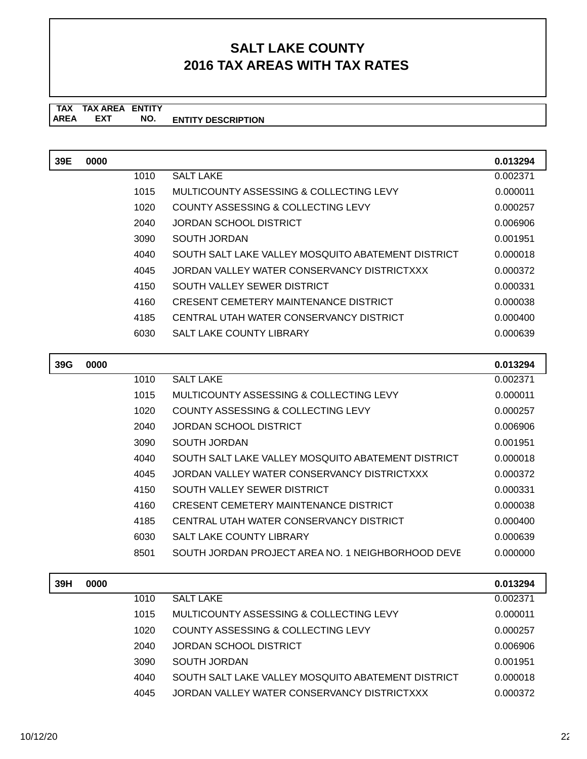#### **TAX TAX AREA ENTITY ENTITY DESCRIPTION** AREA EXT  **NO.**

| 39E | 0000 |      |                                                    | 0.013294 |
|-----|------|------|----------------------------------------------------|----------|
|     |      | 1010 | <b>SALT LAKE</b>                                   | 0.002371 |
|     |      | 1015 | MULTICOUNTY ASSESSING & COLLECTING LEVY            | 0.000011 |
|     |      | 1020 | <b>COUNTY ASSESSING &amp; COLLECTING LEVY</b>      | 0.000257 |
|     |      | 2040 | <b>JORDAN SCHOOL DISTRICT</b>                      | 0.006906 |
|     |      | 3090 | <b>SOUTH JORDAN</b>                                | 0.001951 |
|     |      | 4040 | SOUTH SALT LAKE VALLEY MOSQUITO ABATEMENT DISTRICT | 0.000018 |
|     |      | 4045 | JORDAN VALLEY WATER CONSERVANCY DISTRICTXXX        | 0.000372 |
|     |      | 4150 | SOUTH VALLEY SEWER DISTRICT                        | 0.000331 |
|     |      | 4160 | CRESENT CEMETERY MAINTENANCE DISTRICT              | 0.000038 |
|     |      | 4185 | CENTRAL UTAH WATER CONSERVANCY DISTRICT            | 0.000400 |
|     |      | 6030 | <b>SALT LAKE COUNTY LIBRARY</b>                    | 0.000639 |
| 39G | 0000 |      |                                                    | 0.013294 |
|     |      | 1010 | <b>SALT LAKE</b>                                   | 0.002371 |
|     |      | 1015 | MULTICOUNTY ASSESSING & COLLECTING LEVY            | 0.000011 |
|     |      | 1020 | <b>COUNTY ASSESSING &amp; COLLECTING LEVY</b>      | 0.000257 |
|     |      | 2040 | <b>JORDAN SCHOOL DISTRICT</b>                      | 0.006906 |
|     |      | 3090 | <b>SOUTH JORDAN</b>                                | 0.001951 |
|     |      | 4040 | SOUTH SALT LAKE VALLEY MOSQUITO ABATEMENT DISTRICT | 0.000018 |
|     |      | 4045 | JORDAN VALLEY WATER CONSERVANCY DISTRICTXXX        | 0.000372 |
|     |      | 4150 | SOUTH VALLEY SEWER DISTRICT                        | 0.000331 |
|     |      | 4160 | CRESENT CEMETERY MAINTENANCE DISTRICT              | 0.000038 |
|     |      | 4185 | CENTRAL UTAH WATER CONSERVANCY DISTRICT            | 0.000400 |
|     |      | 6030 | <b>SALT LAKE COUNTY LIBRARY</b>                    | 0.000639 |
|     |      | 8501 | SOUTH JORDAN PROJECT AREA NO. 1 NEIGHBORHOOD DEVE  | 0.000000 |
| 39H | 0000 |      |                                                    | 0.013294 |

| 0000 |      |                                                    | 0.013294 |
|------|------|----------------------------------------------------|----------|
|      | 1010 | SALT LAKE                                          | 0.002371 |
|      | 1015 | MULTICOUNTY ASSESSING & COLLECTING LEVY            | 0.000011 |
|      | 1020 | COUNTY ASSESSING & COLLECTING LEVY                 | 0.000257 |
|      | 2040 | JORDAN SCHOOL DISTRICT                             | 0.006906 |
|      | 3090 | SOUTH JORDAN                                       | 0.001951 |
|      | 4040 | SOUTH SALT LAKE VALLEY MOSQUITO ABATEMENT DISTRICT | 0.000018 |
|      | 4045 | JORDAN VALLEY WATER CONSERVANCY DISTRICTXXX        | 0.000372 |
|      |      |                                                    |          |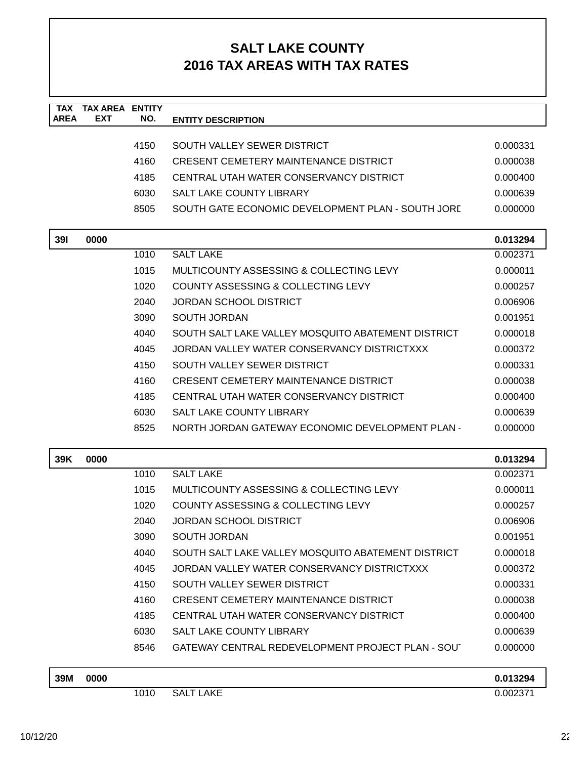| <b>TAX</b><br><b>AREA</b> | <b>TAX AREA ENTITY</b><br><b>EXT</b> | NO.  | <b>ENTITY DESCRIPTION</b>                          |          |
|---------------------------|--------------------------------------|------|----------------------------------------------------|----------|
|                           |                                      |      |                                                    |          |
|                           |                                      | 4150 | SOUTH VALLEY SEWER DISTRICT                        | 0.000331 |
|                           |                                      | 4160 | <b>CRESENT CEMETERY MAINTENANCE DISTRICT</b>       | 0.000038 |
|                           |                                      | 4185 | CENTRAL UTAH WATER CONSERVANCY DISTRICT            | 0.000400 |
|                           |                                      | 6030 | <b>SALT LAKE COUNTY LIBRARY</b>                    | 0.000639 |
|                           |                                      | 8505 | SOUTH GATE ECONOMIC DEVELOPMENT PLAN - SOUTH JORD  | 0.000000 |
| <b>391</b>                | 0000                                 |      |                                                    | 0.013294 |
|                           |                                      | 1010 | <b>SALT LAKE</b>                                   | 0.002371 |
|                           |                                      | 1015 | MULTICOUNTY ASSESSING & COLLECTING LEVY            | 0.000011 |
|                           |                                      | 1020 | COUNTY ASSESSING & COLLECTING LEVY                 | 0.000257 |
|                           |                                      | 2040 | <b>JORDAN SCHOOL DISTRICT</b>                      | 0.006906 |
|                           |                                      | 3090 | <b>SOUTH JORDAN</b>                                | 0.001951 |
|                           |                                      | 4040 | SOUTH SALT LAKE VALLEY MOSQUITO ABATEMENT DISTRICT | 0.000018 |
|                           |                                      | 4045 | JORDAN VALLEY WATER CONSERVANCY DISTRICTXXX        | 0.000372 |
|                           |                                      | 4150 | SOUTH VALLEY SEWER DISTRICT                        | 0.000331 |
|                           |                                      | 4160 | <b>CRESENT CEMETERY MAINTENANCE DISTRICT</b>       | 0.000038 |
|                           |                                      | 4185 | CENTRAL UTAH WATER CONSERVANCY DISTRICT            | 0.000400 |
|                           |                                      | 6030 | SALT LAKE COUNTY LIBRARY                           | 0.000639 |
|                           |                                      | 8525 | NORTH JORDAN GATEWAY ECONOMIC DEVELOPMENT PLAN -   | 0.000000 |
| 39K                       | 0000                                 |      |                                                    | 0.013294 |
|                           |                                      | 1010 | <b>SALT LAKE</b>                                   | 0.002371 |
|                           |                                      | 1015 | MULTICOUNTY ASSESSING & COLLECTING LEVY            | 0.000011 |
|                           |                                      | 1020 | COUNTY ASSESSING & COLLECTING LEVY                 | 0.000257 |
|                           |                                      | 2040 | <b>JORDAN SCHOOL DISTRICT</b>                      | 0.006906 |
|                           |                                      | 3090 | <b>SOUTH JORDAN</b>                                | 0.001951 |
|                           |                                      | 4040 | SOUTH SALT LAKE VALLEY MOSQUITO ABATEMENT DISTRICT | 0.000018 |
|                           |                                      | 4045 | JORDAN VALLEY WATER CONSERVANCY DISTRICTXXX        | 0.000372 |
|                           |                                      | 4150 | SOUTH VALLEY SEWER DISTRICT                        | 0.000331 |
|                           |                                      | 4160 | <b>CRESENT CEMETERY MAINTENANCE DISTRICT</b>       | 0.000038 |
|                           |                                      | 4185 | CENTRAL UTAH WATER CONSERVANCY DISTRICT            | 0.000400 |
|                           |                                      | 6030 | <b>SALT LAKE COUNTY LIBRARY</b>                    | 0.000639 |
|                           |                                      | 8546 | GATEWAY CENTRAL REDEVELOPMENT PROJECT PLAN - SOUT  | 0.000000 |
| 39M                       | 0000                                 |      |                                                    | 0.013294 |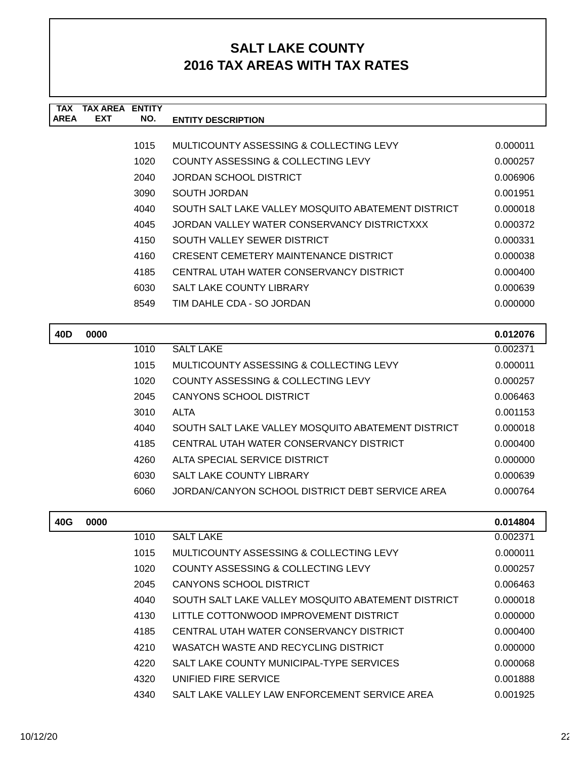| <b>TAX</b><br><b>AREA</b> | <b>TAX AREA ENTITY</b><br><b>EXT</b> | NO.  | <b>ENTITY DESCRIPTION</b>                          |          |
|---------------------------|--------------------------------------|------|----------------------------------------------------|----------|
|                           |                                      |      |                                                    |          |
|                           |                                      | 1015 | MULTICOUNTY ASSESSING & COLLECTING LEVY            | 0.000011 |
|                           |                                      | 1020 | COUNTY ASSESSING & COLLECTING LEVY                 | 0.000257 |
|                           |                                      | 2040 | <b>JORDAN SCHOOL DISTRICT</b>                      | 0.006906 |
|                           |                                      | 3090 | <b>SOUTH JORDAN</b>                                | 0.001951 |
|                           |                                      | 4040 | SOUTH SALT LAKE VALLEY MOSQUITO ABATEMENT DISTRICT | 0.000018 |
|                           |                                      | 4045 | JORDAN VALLEY WATER CONSERVANCY DISTRICTXXX        | 0.000372 |
|                           |                                      | 4150 | SOUTH VALLEY SEWER DISTRICT                        | 0.000331 |
|                           |                                      | 4160 | <b>CRESENT CEMETERY MAINTENANCE DISTRICT</b>       | 0.000038 |
|                           |                                      | 4185 | CENTRAL UTAH WATER CONSERVANCY DISTRICT            | 0.000400 |
|                           |                                      | 6030 | SALT LAKE COUNTY LIBRARY                           | 0.000639 |
|                           |                                      | 8549 | TIM DAHLE CDA - SO JORDAN                          | 0.000000 |
|                           |                                      |      |                                                    |          |
| 40 <sub>D</sub>           | 0000                                 |      |                                                    | 0.012076 |
|                           |                                      | 1010 | <b>SALT LAKE</b>                                   | 0.002371 |
|                           |                                      | 1015 | MULTICOUNTY ASSESSING & COLLECTING LEVY            | 0.000011 |
|                           |                                      | 1020 | COUNTY ASSESSING & COLLECTING LEVY                 | 0.000257 |
|                           |                                      | 2045 | <b>CANYONS SCHOOL DISTRICT</b>                     | 0.006463 |
|                           |                                      | 3010 | <b>ALTA</b>                                        | 0.001153 |
|                           |                                      | 4040 | SOUTH SALT LAKE VALLEY MOSQUITO ABATEMENT DISTRICT | 0.000018 |
|                           |                                      | 4185 | CENTRAL UTAH WATER CONSERVANCY DISTRICT            | 0.000400 |
|                           |                                      | 4260 | ALTA SPECIAL SERVICE DISTRICT                      | 0.000000 |
|                           |                                      | 6030 | <b>SALT LAKE COUNTY LIBRARY</b>                    | 0.000639 |
|                           |                                      | 6060 | JORDAN/CANYON SCHOOL DISTRICT DEBT SERVICE AREA    | 0.000764 |
|                           |                                      |      |                                                    |          |
| 40G                       | 0000                                 |      |                                                    | 0.014804 |
|                           |                                      | 1010 | <b>SALT LAKE</b>                                   | 0.002371 |
|                           |                                      | 1015 | MULTICOUNTY ASSESSING & COLLECTING LEVY            | 0.000011 |
|                           |                                      | 1020 | COUNTY ASSESSING & COLLECTING LEVY                 | 0.000257 |
|                           |                                      | 2045 | <b>CANYONS SCHOOL DISTRICT</b>                     | 0.006463 |

4040 SOUTH SALT LAKE VALLEY MOSQUITO ABATEMENT DISTRICT 0.000018 4130 LITTLE COTTONWOOD IMPROVEMENT DISTRICT 0.000000 4185 CENTRAL UTAH WATER CONSERVANCY DISTRICT 0.000400 4210 WASATCH WASTE AND RECYCLING DISTRICT  $0.0000000$ 4220 SALT LAKE COUNTY MUNICIPAL-TYPE SERVICES 0.000068 4320 UNIFIED FIRE SERVICE 8 0.001888 4340 SALT LAKE VALLEY LAW ENFORCEMENT SERVICE AREA  $0.001925$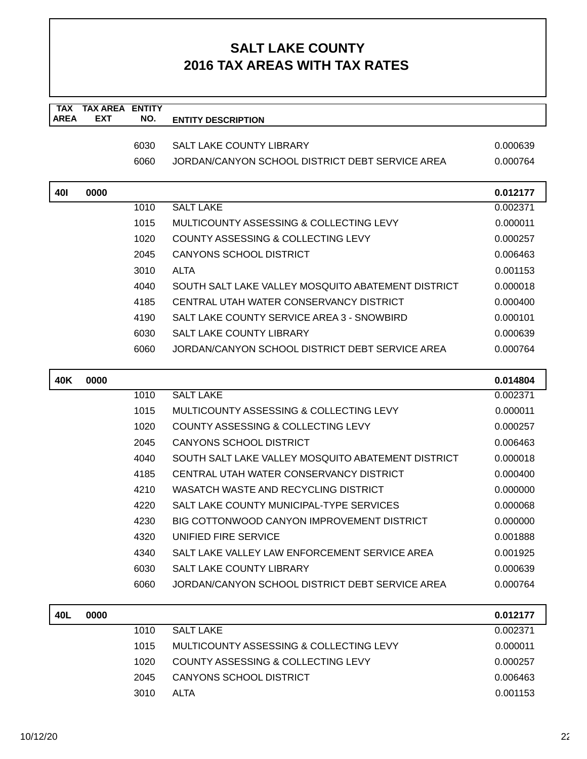| <b>TAX</b><br><b>AREA</b> | <b>TAX AREA</b><br><b>EXT</b> | <b>ENTITY</b><br>NO. | <b>ENTITY DESCRIPTION</b>                          |          |
|---------------------------|-------------------------------|----------------------|----------------------------------------------------|----------|
|                           |                               |                      |                                                    |          |
|                           |                               | 6030                 | <b>SALT LAKE COUNTY LIBRARY</b>                    | 0.000639 |
|                           |                               | 6060                 | JORDAN/CANYON SCHOOL DISTRICT DEBT SERVICE AREA    | 0.000764 |
| <b>401</b>                | 0000                          |                      |                                                    | 0.012177 |
|                           |                               | 1010                 | <b>SALT LAKE</b>                                   | 0.002371 |
|                           |                               | 1015                 | MULTICOUNTY ASSESSING & COLLECTING LEVY            | 0.000011 |
|                           |                               | 1020                 | COUNTY ASSESSING & COLLECTING LEVY                 | 0.000257 |
|                           |                               | 2045                 | <b>CANYONS SCHOOL DISTRICT</b>                     | 0.006463 |
|                           |                               | 3010                 | <b>ALTA</b>                                        | 0.001153 |
|                           |                               | 4040                 | SOUTH SALT LAKE VALLEY MOSQUITO ABATEMENT DISTRICT | 0.000018 |
|                           |                               | 4185                 | CENTRAL UTAH WATER CONSERVANCY DISTRICT            | 0.000400 |
|                           |                               | 4190                 | SALT LAKE COUNTY SERVICE AREA 3 - SNOWBIRD         | 0.000101 |
|                           |                               | 6030                 | <b>SALT LAKE COUNTY LIBRARY</b>                    | 0.000639 |
|                           |                               | 6060                 | JORDAN/CANYON SCHOOL DISTRICT DEBT SERVICE AREA    | 0.000764 |
| 40K                       | 0000                          |                      |                                                    | 0.014804 |
|                           |                               | 1010                 | <b>SALT LAKE</b>                                   | 0.002371 |
|                           |                               | 1015                 | MULTICOUNTY ASSESSING & COLLECTING LEVY            | 0.000011 |
|                           |                               | 1020                 | COUNTY ASSESSING & COLLECTING LEVY                 | 0.000257 |
|                           |                               | 2045                 | <b>CANYONS SCHOOL DISTRICT</b>                     | 0.006463 |
|                           |                               | 4040                 | SOUTH SALT LAKE VALLEY MOSQUITO ABATEMENT DISTRICT | 0.000018 |
|                           |                               | 4185                 | CENTRAL UTAH WATER CONSERVANCY DISTRICT            | 0.000400 |
|                           |                               | 4210                 | WASATCH WASTE AND RECYCLING DISTRICT               | 0.000000 |
|                           |                               | 4220                 | SALT LAKE COUNTY MUNICIPAL-TYPE SERVICES           | 0.000068 |
|                           |                               | 4230                 | BIG COTTONWOOD CANYON IMPROVEMENT DISTRICT         | 0.000000 |
|                           |                               | 4320                 | UNIFIED FIRE SERVICE                               | 0.001888 |
|                           |                               | 4340                 | SALT LAKE VALLEY LAW ENFORCEMENT SERVICE AREA      | 0.001925 |
|                           |                               | 6030                 | SALT LAKE COUNTY LIBRARY                           | 0.000639 |
|                           |                               | 6060                 | JORDAN/CANYON SCHOOL DISTRICT DEBT SERVICE AREA    | 0.000764 |
| 40L                       | 0000                          |                      |                                                    | 0.012177 |
|                           |                               | 1010                 | <b>SALT LAKE</b>                                   | 0.002371 |
|                           |                               | 1015                 | MULTICOUNTY ASSESSING & COLLECTING LEVY            | 0.000011 |
|                           |                               | 1020                 | COUNTY ASSESSING & COLLECTING LEVY                 | 0.000257 |
|                           |                               | 2045                 | CANYONS SCHOOL DISTRICT                            | 0.006463 |

3010 ALTA 0.001153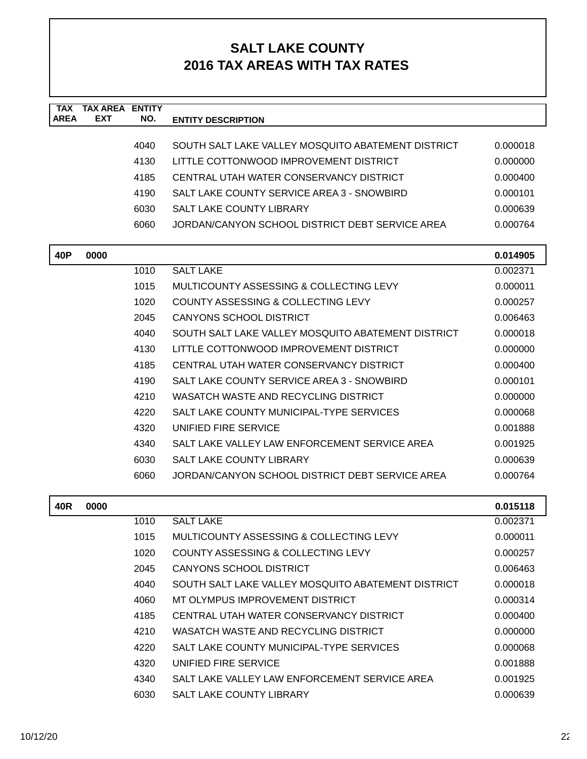| <b>TAX</b><br><b>AREA</b> | <b>TAX AREA ENTITY</b><br>EXT | NO.  | <b>ENTITY DESCRIPTION</b>                          |          |
|---------------------------|-------------------------------|------|----------------------------------------------------|----------|
|                           |                               |      |                                                    |          |
|                           |                               | 4040 | SOUTH SALT LAKE VALLEY MOSQUITO ABATEMENT DISTRICT | 0.000018 |
|                           |                               | 4130 | LITTLE COTTONWOOD IMPROVEMENT DISTRICT             | 0.000000 |
|                           |                               | 4185 | CENTRAL UTAH WATER CONSERVANCY DISTRICT            | 0.000400 |
|                           |                               | 4190 | SALT LAKE COUNTY SERVICE AREA 3 - SNOWBIRD         | 0.000101 |
|                           |                               | 6030 | <b>SALT LAKE COUNTY LIBRARY</b>                    | 0.000639 |
|                           |                               | 6060 | JORDAN/CANYON SCHOOL DISTRICT DEBT SERVICE AREA    | 0.000764 |
| 40P                       | 0000                          |      |                                                    | 0.014905 |
|                           |                               | 1010 | <b>SALT LAKE</b>                                   | 0.002371 |
|                           |                               | 1015 | MULTICOUNTY ASSESSING & COLLECTING LEVY            | 0.000011 |
|                           |                               | 1020 | COUNTY ASSESSING & COLLECTING LEVY                 | 0.000257 |
|                           |                               | 2045 | <b>CANYONS SCHOOL DISTRICT</b>                     | 0.006463 |
|                           |                               | 4040 | SOUTH SALT LAKE VALLEY MOSQUITO ABATEMENT DISTRICT | 0.000018 |
|                           |                               | 4130 | LITTLE COTTONWOOD IMPROVEMENT DISTRICT             | 0.000000 |
|                           |                               | 4185 | CENTRAL UTAH WATER CONSERVANCY DISTRICT            | 0.000400 |
|                           |                               | 4190 | SALT LAKE COUNTY SERVICE AREA 3 - SNOWBIRD         | 0.000101 |
|                           |                               | 4210 | WASATCH WASTE AND RECYCLING DISTRICT               | 0.000000 |
|                           |                               | 4220 | SALT LAKE COUNTY MUNICIPAL-TYPE SERVICES           | 0.000068 |
|                           |                               | 4320 | UNIFIED FIRE SERVICE                               | 0.001888 |
|                           |                               | 4340 | SALT LAKE VALLEY LAW ENFORCEMENT SERVICE AREA      | 0.001925 |
|                           |                               | 6030 | <b>SALT LAKE COUNTY LIBRARY</b>                    | 0.000639 |
|                           |                               | 6060 | JORDAN/CANYON SCHOOL DISTRICT DEBT SERVICE AREA    | 0.000764 |
| 40R                       | 0000                          |      |                                                    | 0.015118 |
|                           |                               | 1010 | <b>SALT LAKE</b>                                   | 0.002371 |
|                           |                               | 1015 | MULTICOUNTY ASSESSING & COLLECTING LEVY            | 0.000011 |
|                           |                               | 1020 | COUNTY ASSESSING & COLLECTING LEVY                 | 0.000257 |
|                           |                               | 2045 | CANYONS SCHOOL DISTRICT                            | 0.006463 |
|                           |                               | 4040 | SOUTH SALT LAKE VALLEY MOSQUITO ABATEMENT DISTRICT | 0.000018 |
|                           |                               | 4060 | MT OLYMPUS IMPROVEMENT DISTRICT                    | 0.000314 |
|                           |                               | 4185 | CENTRAL UTAH WATER CONSERVANCY DISTRICT            | 0.000400 |
|                           |                               | 4210 | WASATCH WASTE AND RECYCLING DISTRICT               | 0.000000 |
|                           |                               | 4220 | SALT LAKE COUNTY MUNICIPAL-TYPE SERVICES           | 0.000068 |
|                           |                               | 4320 | UNIFIED FIRE SERVICE                               | 0.001888 |
|                           |                               | 4340 | SALT LAKE VALLEY LAW ENFORCEMENT SERVICE AREA      | 0.001925 |
|                           |                               | 6030 | SALT LAKE COUNTY LIBRARY                           | 0.000639 |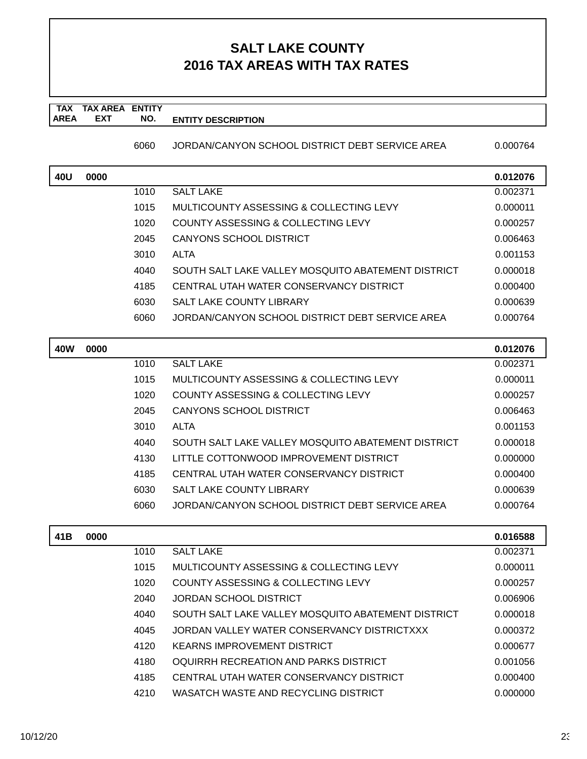**TAX TAX AREA ENTITY AREA ENTITY DESCRIPTION EXT NO.**

6060 JORDAN/CANYON SCHOOL DISTRICT DEBT SERVICE AREA 0.000764

| 40U        | 0000 |      |                                                    | 0.012076 |
|------------|------|------|----------------------------------------------------|----------|
|            |      | 1010 | <b>SALT LAKE</b>                                   | 0.002371 |
|            |      | 1015 | MULTICOUNTY ASSESSING & COLLECTING LEVY            | 0.000011 |
|            |      | 1020 | COUNTY ASSESSING & COLLECTING LEVY                 | 0.000257 |
|            |      | 2045 | <b>CANYONS SCHOOL DISTRICT</b>                     | 0.006463 |
|            |      | 3010 | <b>ALTA</b>                                        | 0.001153 |
|            |      | 4040 | SOUTH SALT LAKE VALLEY MOSQUITO ABATEMENT DISTRICT | 0.000018 |
|            |      | 4185 | CENTRAL UTAH WATER CONSERVANCY DISTRICT            | 0.000400 |
|            |      | 6030 | <b>SALT LAKE COUNTY LIBRARY</b>                    | 0.000639 |
|            |      | 6060 | JORDAN/CANYON SCHOOL DISTRICT DEBT SERVICE AREA    | 0.000764 |
| <b>40W</b> | 0000 |      |                                                    | 0.012076 |
|            |      | 1010 | <b>SALT LAKE</b>                                   | 0.002371 |
|            |      | 1015 | <b>MULTICOUNTY ASSESSING &amp; COLLECTING LEVY</b> | 0.000011 |
|            |      | 1020 | COUNTY ASSESSING & COLLECTING LEVY                 | 0.000257 |
|            |      | 2045 | <b>CANYONS SCHOOL DISTRICT</b>                     | 0.006463 |
|            |      | 3010 | <b>ALTA</b>                                        | 0.001153 |
|            |      | 4040 | SOUTH SALT LAKE VALLEY MOSQUITO ABATEMENT DISTRICT | 0.000018 |
|            |      | 4130 | LITTLE COTTONWOOD IMPROVEMENT DISTRICT             | 0.000000 |
|            |      | 4185 | CENTRAL UTAH WATER CONSERVANCY DISTRICT            | 0.000400 |
|            |      | 6030 | SALT LAKE COUNTY LIBRARY                           | 0.000639 |
|            |      | 6060 | JORDAN/CANYON SCHOOL DISTRICT DEBT SERVICE AREA    | 0.000764 |
| 41B        | 0000 |      |                                                    | 0.016588 |
|            |      | 1010 | <b>SALT LAKE</b>                                   | 0.002371 |
|            |      | 1015 | <b>MULTICOUNTY ASSESSING &amp; COLLECTING LEVY</b> | 0.000011 |
|            |      | 1020 | COUNTY ASSESSING & COLLECTING LEVY                 | 0.000257 |
|            |      | 2040 | <b>JORDAN SCHOOL DISTRICT</b>                      | 0.006906 |
|            |      | 4040 | SOUTH SALT LAKE VALLEY MOSQUITO ABATEMENT DISTRICT | 0.000018 |
|            |      | 4045 | JORDAN VALLEY WATER CONSERVANCY DISTRICTXXX        | 0.000372 |
|            |      | 4120 | <b>KEARNS IMPROVEMENT DISTRICT</b>                 | 0.000677 |
|            |      | 4180 | OQUIRRH RECREATION AND PARKS DISTRICT              | 0.001056 |
|            |      | 4185 | CENTRAL UTAH WATER CONSERVANCY DISTRICT            | 0.000400 |
|            |      | 4210 | WASATCH WASTE AND RECYCLING DISTRICT               | 0.000000 |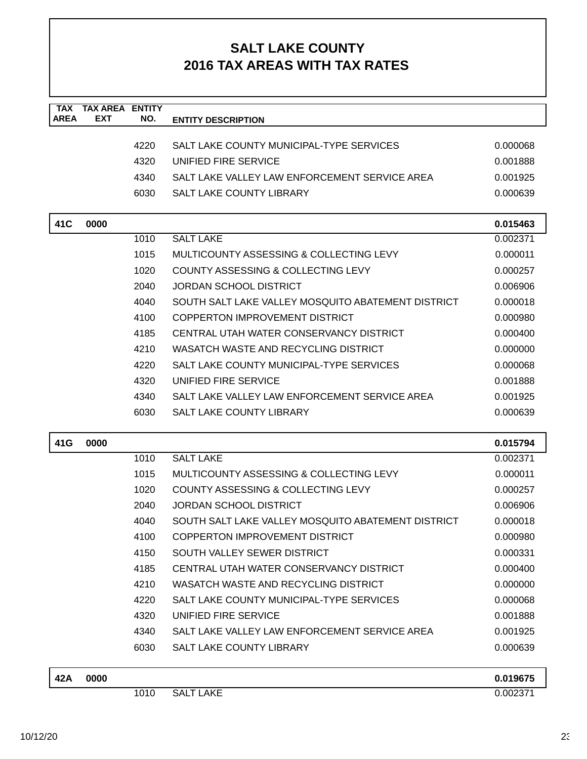| <b>TAX</b><br><b>AREA</b> | <b>TAX AREA</b><br><b>EXT</b> | <b>ENTITY</b> |                                                    |          |
|---------------------------|-------------------------------|---------------|----------------------------------------------------|----------|
|                           |                               | NO.           | <b>ENTITY DESCRIPTION</b>                          |          |
|                           |                               | 4220          | SALT LAKE COUNTY MUNICIPAL-TYPE SERVICES           | 0.000068 |
|                           |                               | 4320          | UNIFIED FIRE SERVICE                               | 0.001888 |
|                           |                               | 4340          | SALT LAKE VALLEY LAW ENFORCEMENT SERVICE AREA      | 0.001925 |
|                           |                               | 6030          | <b>SALT LAKE COUNTY LIBRARY</b>                    | 0.000639 |
|                           |                               |               |                                                    |          |
| 41C                       | 0000                          |               |                                                    | 0.015463 |
|                           |                               | 1010          | <b>SALT LAKE</b>                                   | 0.002371 |
|                           |                               | 1015          | MULTICOUNTY ASSESSING & COLLECTING LEVY            | 0.000011 |
|                           |                               | 1020          | COUNTY ASSESSING & COLLECTING LEVY                 | 0.000257 |
|                           |                               | 2040          | <b>JORDAN SCHOOL DISTRICT</b>                      | 0.006906 |
|                           |                               | 4040          | SOUTH SALT LAKE VALLEY MOSQUITO ABATEMENT DISTRICT | 0.000018 |
|                           |                               | 4100          | COPPERTON IMPROVEMENT DISTRICT                     | 0.000980 |
|                           |                               | 4185          | CENTRAL UTAH WATER CONSERVANCY DISTRICT            | 0.000400 |
|                           |                               | 4210          | WASATCH WASTE AND RECYCLING DISTRICT               | 0.000000 |
|                           |                               | 4220          | SALT LAKE COUNTY MUNICIPAL-TYPE SERVICES           | 0.000068 |
|                           |                               | 4320          | UNIFIED FIRE SERVICE                               | 0.001888 |
|                           |                               | 4340          | SALT LAKE VALLEY LAW ENFORCEMENT SERVICE AREA      | 0.001925 |
|                           |                               | 6030          | <b>SALT LAKE COUNTY LIBRARY</b>                    | 0.000639 |
|                           |                               |               |                                                    |          |
| 41G                       | 0000                          |               | <b>SALT LAKE</b>                                   | 0.015794 |
|                           |                               | 1010          | MULTICOUNTY ASSESSING & COLLECTING LEVY            | 0.002371 |
|                           |                               | 1015          | COUNTY ASSESSING & COLLECTING LEVY                 | 0.000011 |
|                           |                               | 1020          |                                                    | 0.000257 |
|                           |                               | 2040          | <b>JORDAN SCHOOL DISTRICT</b>                      | 0.006906 |
|                           |                               | 4040          | SOUTH SALT LAKE VALLEY MOSQUITO ABATEMENT DISTRICT | 0.000018 |
|                           |                               | 4100          | <b>COPPERTON IMPROVEMENT DISTRICT</b>              | 0.000980 |
|                           |                               | 4150          | SOUTH VALLEY SEWER DISTRICT                        | 0.000331 |
|                           |                               | 4185          | CENTRAL UTAH WATER CONSERVANCY DISTRICT            | 0.000400 |
|                           |                               | 4210          | WASATCH WASTE AND RECYCLING DISTRICT               | 0.000000 |
|                           |                               | 4220          | SALT LAKE COUNTY MUNICIPAL-TYPE SERVICES           | 0.000068 |
|                           |                               | 4320          | UNIFIED FIRE SERVICE                               | 0.001888 |
|                           |                               | 4340          | SALT LAKE VALLEY LAW ENFORCEMENT SERVICE AREA      | 0.001925 |
|                           |                               | 6030          | SALT LAKE COUNTY LIBRARY                           | 0.000639 |
| 42A                       | 0000                          |               |                                                    | 0.019675 |
|                           |                               | 1010          | <b>SALT LAKE</b>                                   | 0.002371 |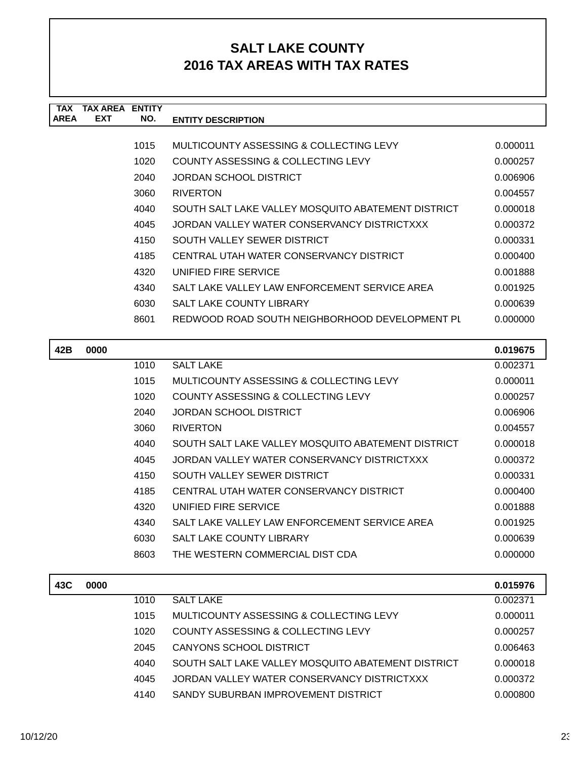| <b>TAX</b>  | <b>TAX AREA ENTITY</b> |      |                                                    |          |
|-------------|------------------------|------|----------------------------------------------------|----------|
| <b>AREA</b> | <b>EXT</b>             | NO.  | <b>ENTITY DESCRIPTION</b>                          |          |
|             |                        | 1015 | MULTICOUNTY ASSESSING & COLLECTING LEVY            | 0.000011 |
|             |                        | 1020 | <b>COUNTY ASSESSING &amp; COLLECTING LEVY</b>      | 0.000257 |
|             |                        | 2040 | <b>JORDAN SCHOOL DISTRICT</b>                      | 0.006906 |
|             |                        | 3060 | <b>RIVERTON</b>                                    | 0.004557 |
|             |                        | 4040 | SOUTH SALT LAKE VALLEY MOSQUITO ABATEMENT DISTRICT | 0.000018 |
|             |                        | 4045 | JORDAN VALLEY WATER CONSERVANCY DISTRICTXXX        | 0.000372 |
|             |                        | 4150 | SOUTH VALLEY SEWER DISTRICT                        | 0.000331 |
|             |                        | 4185 | CENTRAL UTAH WATER CONSERVANCY DISTRICT            | 0.000400 |
|             |                        | 4320 | UNIFIED FIRE SERVICE                               | 0.001888 |
|             |                        | 4340 | SALT LAKE VALLEY LAW ENFORCEMENT SERVICE AREA      | 0.001925 |
|             |                        | 6030 | SALT LAKE COUNTY LIBRARY                           | 0.000639 |
|             |                        | 8601 | REDWOOD ROAD SOUTH NEIGHBORHOOD DEVELOPMENT PL     | 0.000000 |
|             |                        |      |                                                    |          |
| 42B         | 0000                   |      |                                                    | 0.019675 |
|             |                        | 1010 | <b>SALT LAKE</b>                                   | 0.002371 |
|             |                        | 1015 | MULTICOUNTY ASSESSING & COLLECTING LEVY            | 0.000011 |
|             |                        | 1020 | COUNTY ASSESSING & COLLECTING LEVY                 | 0.000257 |
|             |                        | 2040 | <b>JORDAN SCHOOL DISTRICT</b>                      | 0.006906 |
|             |                        | 3060 | <b>RIVERTON</b>                                    | 0.004557 |
|             |                        | 4040 | SOUTH SALT LAKE VALLEY MOSQUITO ABATEMENT DISTRICT | 0.000018 |
|             |                        | 4045 | JORDAN VALLEY WATER CONSERVANCY DISTRICTXXX        | 0.000372 |
|             |                        | 4150 | SOUTH VALLEY SEWER DISTRICT                        | 0.000331 |
|             |                        | 4185 | CENTRAL UTAH WATER CONSERVANCY DISTRICT            | 0.000400 |
|             |                        | 4320 | UNIFIED FIRE SERVICE                               | 0.001888 |
|             |                        | 4340 | SALT LAKE VALLEY LAW ENFORCEMENT SERVICE AREA      | 0.001925 |
|             |                        | 6030 | SALT LAKE COUNTY LIBRARY                           | 0.000639 |
|             |                        | 8603 | THE WESTERN COMMERCIAL DIST CDA                    | 0.000000 |
| 43C         | 0000                   |      |                                                    | 0.015976 |
|             |                        | 1010 | <b>SALT LAKE</b>                                   | 0.002371 |
|             |                        | 1015 | MULTICOUNTY ASSESSING & COLLECTING LEVY            | 0.000011 |
|             |                        | 1020 | COUNTY ASSESSING & COLLECTING LEVY                 | 0.000257 |
|             |                        |      |                                                    |          |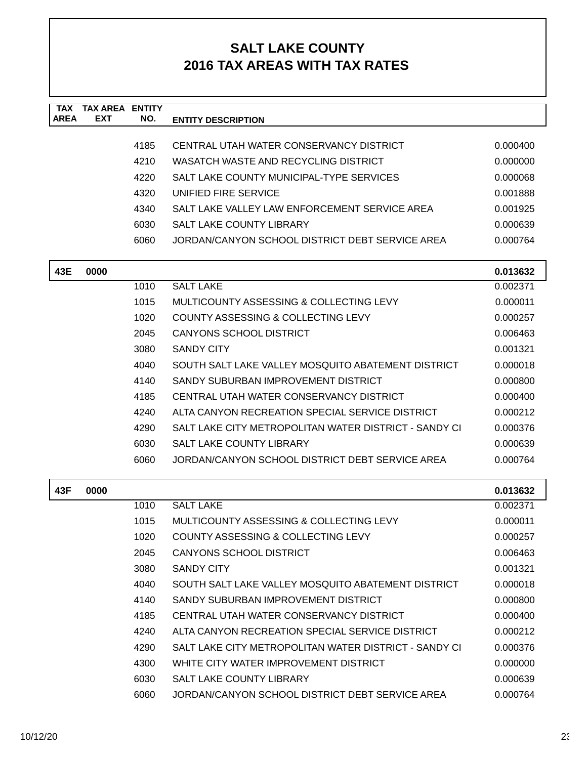| <b>TAX</b><br><b>AREA</b> | <b>TAX AREA ENTITY</b><br><b>EXT</b> | NO.  | <b>ENTITY DESCRIPTION</b>                             |          |
|---------------------------|--------------------------------------|------|-------------------------------------------------------|----------|
|                           |                                      |      |                                                       |          |
|                           |                                      | 4185 | CENTRAL UTAH WATER CONSERVANCY DISTRICT               | 0.000400 |
|                           |                                      | 4210 | WASATCH WASTE AND RECYCLING DISTRICT                  | 0.000000 |
|                           |                                      | 4220 | SALT LAKE COUNTY MUNICIPAL-TYPE SERVICES              | 0.000068 |
|                           |                                      | 4320 | UNIFIED FIRE SERVICE                                  | 0.001888 |
|                           |                                      | 4340 | SALT LAKE VALLEY LAW ENFORCEMENT SERVICE AREA         | 0.001925 |
|                           |                                      | 6030 | SALT LAKE COUNTY LIBRARY                              | 0.000639 |
|                           |                                      | 6060 | JORDAN/CANYON SCHOOL DISTRICT DEBT SERVICE AREA       | 0.000764 |
| 43E                       | 0000                                 |      |                                                       | 0.013632 |
|                           |                                      | 1010 | <b>SALT LAKE</b>                                      | 0.002371 |
|                           |                                      | 1015 | MULTICOUNTY ASSESSING & COLLECTING LEVY               | 0.000011 |
|                           |                                      | 1020 | COUNTY ASSESSING & COLLECTING LEVY                    | 0.000257 |
|                           |                                      | 2045 | <b>CANYONS SCHOOL DISTRICT</b>                        | 0.006463 |
|                           |                                      | 3080 | <b>SANDY CITY</b>                                     | 0.001321 |
|                           |                                      | 4040 | SOUTH SALT LAKE VALLEY MOSQUITO ABATEMENT DISTRICT    | 0.000018 |
|                           |                                      | 4140 | SANDY SUBURBAN IMPROVEMENT DISTRICT                   | 0.000800 |
|                           |                                      | 4185 | CENTRAL UTAH WATER CONSERVANCY DISTRICT               | 0.000400 |
|                           |                                      | 4240 | ALTA CANYON RECREATION SPECIAL SERVICE DISTRICT       | 0.000212 |
|                           |                                      | 4290 | SALT LAKE CITY METROPOLITAN WATER DISTRICT - SANDY CI | 0.000376 |
|                           |                                      | 6030 | SALT LAKE COUNTY LIBRARY                              | 0.000639 |
|                           |                                      | 6060 | JORDAN/CANYON SCHOOL DISTRICT DEBT SERVICE AREA       | 0.000764 |
| 43F                       | 0000                                 |      |                                                       | 0.013632 |
|                           |                                      | 1010 | <b>SALT LAKE</b>                                      | 0.002371 |
|                           |                                      | 1015 | MULTICOUNTY ASSESSING & COLLECTING LEVY               | 0.000011 |
|                           |                                      | 1020 | COUNTY ASSESSING & COLLECTING LEVY                    | 0.000257 |
|                           |                                      | 2045 | <b>CANYONS SCHOOL DISTRICT</b>                        | 0.006463 |
|                           |                                      | 3080 | <b>SANDY CITY</b>                                     | 0.001321 |
|                           |                                      | 4040 | SOUTH SALT LAKE VALLEY MOSQUITO ABATEMENT DISTRICT    | 0.000018 |
|                           |                                      | 4140 | SANDY SUBURBAN IMPROVEMENT DISTRICT                   | 0.000800 |
|                           |                                      | 4185 | CENTRAL UTAH WATER CONSERVANCY DISTRICT               | 0.000400 |
|                           |                                      | 4240 | ALTA CANYON RECREATION SPECIAL SERVICE DISTRICT       | 0.000212 |
|                           |                                      | 4290 | SALT LAKE CITY METROPOLITAN WATER DISTRICT - SANDY CI | 0.000376 |
|                           |                                      | 4300 | WHITE CITY WATER IMPROVEMENT DISTRICT                 | 0.000000 |
|                           |                                      | 6030 | SALT LAKE COUNTY LIBRARY                              | 0.000639 |
|                           |                                      | 6060 | JORDAN/CANYON SCHOOL DISTRICT DEBT SERVICE AREA       | 0.000764 |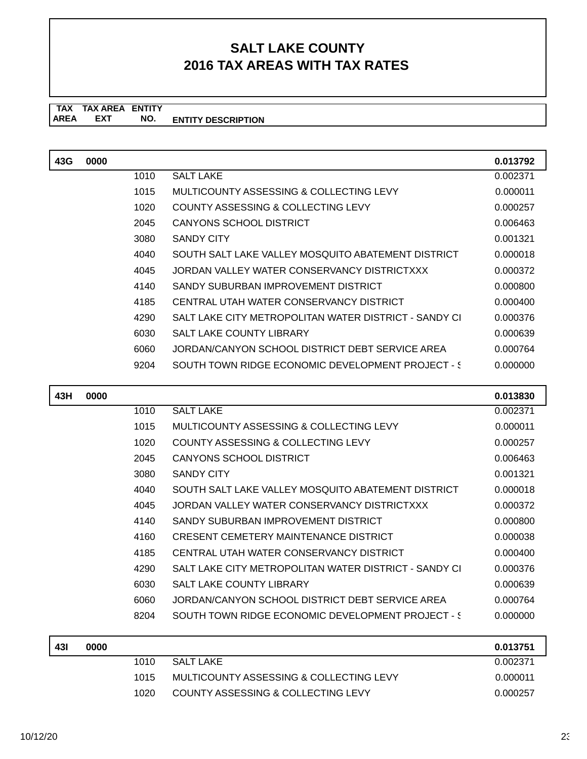#### **TAX TAX AREA ENTITY ENTITY DESCRIPTION** AREA EXT  **NO.**

| 43G | 0000 |      |                                                       | 0.013792 |
|-----|------|------|-------------------------------------------------------|----------|
|     |      | 1010 | <b>SALT LAKE</b>                                      | 0.002371 |
|     |      | 1015 | MULTICOUNTY ASSESSING & COLLECTING LEVY               | 0.000011 |
|     |      | 1020 | COUNTY ASSESSING & COLLECTING LEVY                    | 0.000257 |
|     |      | 2045 | CANYONS SCHOOL DISTRICT                               | 0.006463 |
|     |      | 3080 | <b>SANDY CITY</b>                                     | 0.001321 |
|     |      | 4040 | SOUTH SALT LAKE VALLEY MOSOUITO ABATEMENT DISTRICT    | 0.000018 |
|     |      | 4045 | JORDAN VALLEY WATER CONSERVANCY DISTRICTXXX           | 0.000372 |
|     |      | 4140 | SANDY SUBURBAN IMPROVEMENT DISTRICT                   | 0.000800 |
|     |      | 4185 | CENTRAL UTAH WATER CONSERVANCY DISTRICT               | 0.000400 |
|     |      | 4290 | SALT LAKE CITY METROPOLITAN WATER DISTRICT - SANDY CI | 0.000376 |
|     |      | 6030 | <b>SALT LAKE COUNTY LIBRARY</b>                       | 0.000639 |
|     |      | 6060 | JORDAN/CANYON SCHOOL DISTRICT DEBT SERVICE AREA       | 0.000764 |
|     |      | 9204 | SOUTH TOWN RIDGE ECONOMIC DEVELOPMENT PROJECT - \$    | 0.000000 |

| 43H | 0000 |      |                                                       | 0.013830 |
|-----|------|------|-------------------------------------------------------|----------|
|     |      | 1010 | <b>SALT LAKE</b>                                      | 0.002371 |
|     |      | 1015 | MULTICOUNTY ASSESSING & COLLECTING LEVY               | 0.000011 |
|     |      | 1020 | COUNTY ASSESSING & COLLECTING LEVY                    | 0.000257 |
|     |      | 2045 | CANYONS SCHOOL DISTRICT                               | 0.006463 |
|     |      | 3080 | <b>SANDY CITY</b>                                     | 0.001321 |
|     |      | 4040 | SOUTH SALT LAKE VALLEY MOSQUITO ABATEMENT DISTRICT    | 0.000018 |
|     |      | 4045 | JORDAN VALLEY WATER CONSERVANCY DISTRICTXXX           | 0.000372 |
|     |      | 4140 | SANDY SUBURBAN IMPROVEMENT DISTRICT                   | 0.000800 |
|     |      | 4160 | CRESENT CEMETERY MAINTENANCE DISTRICT                 | 0.000038 |
|     |      | 4185 | CENTRAL UTAH WATER CONSERVANCY DISTRICT               | 0.000400 |
|     |      | 4290 | SALT LAKE CITY METROPOLITAN WATER DISTRICT - SANDY CI | 0.000376 |
|     |      | 6030 | <b>SALT LAKE COUNTY LIBRARY</b>                       | 0.000639 |
|     |      | 6060 | JORDAN/CANYON SCHOOL DISTRICT DEBT SERVICE AREA       | 0.000764 |
|     |      | 8204 | SOUTH TOWN RIDGE ECONOMIC DEVELOPMENT PROJECT - \$    | 0.000000 |

| 43I | 0000 |      |                                         | 0.013751 |
|-----|------|------|-----------------------------------------|----------|
|     |      | 1010 | <b>SALT LAKE</b>                        | 0.002371 |
|     |      | 1015 | MULTICOUNTY ASSESSING & COLLECTING LEVY | 0.000011 |
|     |      | 1020 | COUNTY ASSESSING & COLLECTING LEVY      | 0.000257 |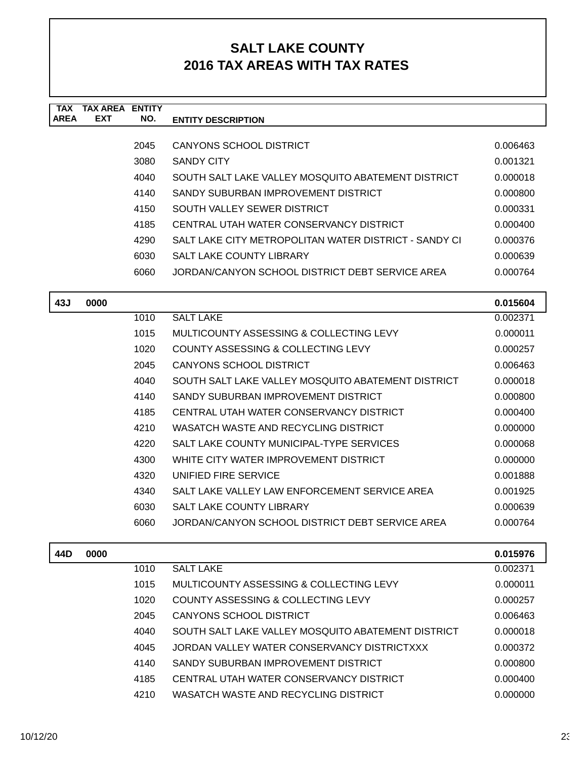| <b>TAX</b><br><b>AREA</b> | <b>TAX AREA ENTITY</b><br><b>EXT</b> | NO.  | <b>ENTITY DESCRIPTION</b>                             |          |
|---------------------------|--------------------------------------|------|-------------------------------------------------------|----------|
|                           |                                      |      |                                                       |          |
|                           |                                      | 2045 | <b>CANYONS SCHOOL DISTRICT</b>                        | 0.006463 |
|                           |                                      | 3080 | <b>SANDY CITY</b>                                     | 0.001321 |
|                           |                                      | 4040 | SOUTH SALT LAKE VALLEY MOSQUITO ABATEMENT DISTRICT    | 0.000018 |
|                           |                                      | 4140 | SANDY SUBURBAN IMPROVEMENT DISTRICT                   | 0.000800 |
|                           |                                      | 4150 | SOUTH VALLEY SEWER DISTRICT                           | 0.000331 |
|                           |                                      | 4185 | CENTRAL UTAH WATER CONSERVANCY DISTRICT               | 0.000400 |
|                           |                                      | 4290 | SALT LAKE CITY METROPOLITAN WATER DISTRICT - SANDY CI | 0.000376 |
|                           |                                      | 6030 | SALT LAKE COUNTY LIBRARY                              | 0.000639 |
|                           |                                      | 6060 | JORDAN/CANYON SCHOOL DISTRICT DEBT SERVICE AREA       | 0.000764 |
| 43J                       | 0000                                 |      |                                                       | 0.015604 |
|                           |                                      | 1010 | <b>SALT LAKE</b>                                      | 0.002371 |
|                           |                                      | 1015 | MULTICOUNTY ASSESSING & COLLECTING LEVY               | 0.000011 |
|                           |                                      | 1020 | COUNTY ASSESSING & COLLECTING LEVY                    | 0.000257 |
|                           |                                      | 2045 | <b>CANYONS SCHOOL DISTRICT</b>                        | 0.006463 |
|                           |                                      | 4040 | SOUTH SALT LAKE VALLEY MOSQUITO ABATEMENT DISTRICT    | 0.000018 |
|                           |                                      | 4140 | SANDY SUBURBAN IMPROVEMENT DISTRICT                   | 0.000800 |
|                           |                                      | 4185 | CENTRAL UTAH WATER CONSERVANCY DISTRICT               | 0.000400 |
|                           |                                      | 4210 | WASATCH WASTE AND RECYCLING DISTRICT                  | 0.000000 |
|                           |                                      | 4220 | SALT LAKE COUNTY MUNICIPAL-TYPE SERVICES              | 0.000068 |
|                           |                                      | 4300 | WHITE CITY WATER IMPROVEMENT DISTRICT                 | 0.000000 |
|                           |                                      | 4320 | UNIFIED FIRE SERVICE                                  | 0.001888 |
|                           |                                      | 4340 | SALT LAKE VALLEY LAW ENFORCEMENT SERVICE AREA         | 0.001925 |
|                           |                                      | 6030 | SALT LAKE COUNTY LIBRARY                              | 0.000639 |
|                           |                                      | 6060 | JORDAN/CANYON SCHOOL DISTRICT DEBT SERVICE AREA       | 0.000764 |
| 44D                       | 0000                                 |      |                                                       | 0.015976 |
|                           |                                      | 1010 | <b>SALT LAKE</b>                                      | 0.002371 |
|                           |                                      | 1015 | MULTICOUNTY ASSESSING & COLLECTING LEVY               | 0.000011 |
|                           |                                      | 1020 | COUNTY ASSESSING & COLLECTING LEVY                    | 0.000257 |
|                           |                                      | 2045 | <b>CANYONS SCHOOL DISTRICT</b>                        | 0.006463 |
|                           |                                      | 4040 | SOUTH SALT LAKE VALLEY MOSQUITO ABATEMENT DISTRICT    | 0.000018 |
|                           |                                      | 4045 | JORDAN VALLEY WATER CONSERVANCY DISTRICTXXX           | 0.000372 |
|                           |                                      | 4140 | SANDY SUBURBAN IMPROVEMENT DISTRICT                   | 0.000800 |
|                           |                                      | 4185 | CENTRAL UTAH WATER CONSERVANCY DISTRICT               | 0.000400 |
|                           |                                      | 4210 | WASATCH WASTE AND RECYCLING DISTRICT                  | 0.000000 |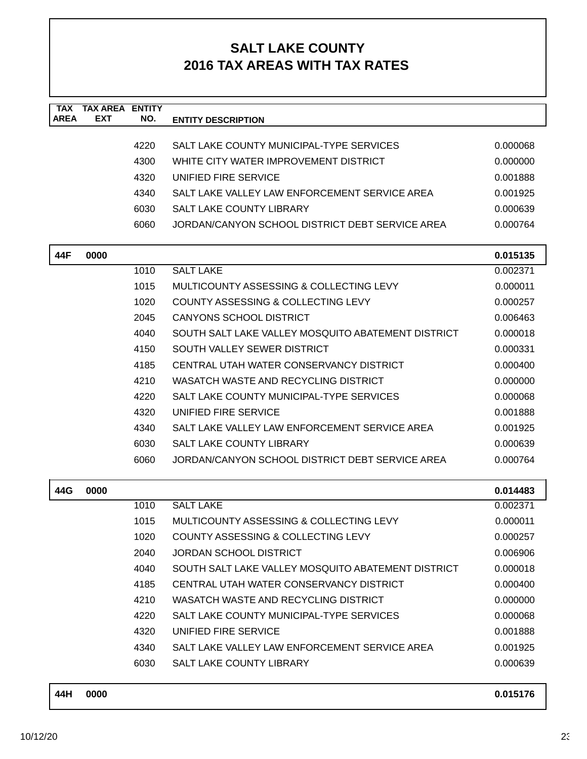| <b>TAX</b><br><b>AREA</b> | <b>TAX AREA</b><br>EXT | <b>ENTITY</b><br>NO. | <b>ENTITY DESCRIPTION</b>                          |                      |
|---------------------------|------------------------|----------------------|----------------------------------------------------|----------------------|
|                           |                        |                      |                                                    |                      |
|                           |                        | 4220                 | SALT LAKE COUNTY MUNICIPAL-TYPE SERVICES           | 0.000068             |
|                           |                        | 4300                 | WHITE CITY WATER IMPROVEMENT DISTRICT              | 0.000000             |
|                           |                        | 4320                 | UNIFIED FIRE SERVICE                               | 0.001888             |
|                           |                        | 4340                 | SALT LAKE VALLEY LAW ENFORCEMENT SERVICE AREA      | 0.001925             |
|                           |                        | 6030                 | <b>SALT LAKE COUNTY LIBRARY</b>                    | 0.000639             |
|                           |                        | 6060                 | JORDAN/CANYON SCHOOL DISTRICT DEBT SERVICE AREA    | 0.000764             |
| 44F                       | 0000                   |                      |                                                    | 0.015135             |
|                           |                        | 1010                 | <b>SALT LAKE</b>                                   | 0.002371             |
|                           |                        | 1015                 | MULTICOUNTY ASSESSING & COLLECTING LEVY            | 0.000011             |
|                           |                        | 1020                 | COUNTY ASSESSING & COLLECTING LEVY                 | 0.000257             |
|                           |                        | 2045                 | <b>CANYONS SCHOOL DISTRICT</b>                     | 0.006463             |
|                           |                        | 4040                 | SOUTH SALT LAKE VALLEY MOSQUITO ABATEMENT DISTRICT | 0.000018             |
|                           |                        | 4150                 | SOUTH VALLEY SEWER DISTRICT                        | 0.000331             |
|                           |                        | 4185                 | CENTRAL UTAH WATER CONSERVANCY DISTRICT            | 0.000400             |
|                           |                        | 4210                 | WASATCH WASTE AND RECYCLING DISTRICT               | 0.000000             |
|                           |                        | 4220                 | SALT LAKE COUNTY MUNICIPAL-TYPE SERVICES           | 0.000068             |
|                           |                        | 4320                 | UNIFIED FIRE SERVICE                               | 0.001888             |
|                           |                        | 4340                 | SALT LAKE VALLEY LAW ENFORCEMENT SERVICE AREA      | 0.001925             |
|                           |                        | 6030                 | <b>SALT LAKE COUNTY LIBRARY</b>                    | 0.000639             |
|                           |                        | 6060                 | JORDAN/CANYON SCHOOL DISTRICT DEBT SERVICE AREA    | 0.000764             |
|                           |                        |                      |                                                    |                      |
| 44G                       | 0000                   | 1010                 | <b>SALT LAKE</b>                                   | 0.014483             |
|                           |                        | 1015                 | <b>MULTICOUNTY ASSESSING &amp; COLLECTING LEVY</b> | 0.002371<br>0.000011 |
|                           |                        | 1020                 | COUNTY ASSESSING & COLLECTING LEVY                 |                      |
|                           |                        | 2040                 | <b>JORDAN SCHOOL DISTRICT</b>                      | 0.000257             |
|                           |                        | 4040                 | SOUTH SALT LAKE VALLEY MOSQUITO ABATEMENT DISTRICT | 0.006906<br>0.000018 |
|                           |                        | 4185                 | CENTRAL UTAH WATER CONSERVANCY DISTRICT            | 0.000400             |
|                           |                        | 4210                 | WASATCH WASTE AND RECYCLING DISTRICT               | 0.000000             |
|                           |                        | 4220                 | SALT LAKE COUNTY MUNICIPAL-TYPE SERVICES           | 0.000068             |
|                           |                        | 4320                 | UNIFIED FIRE SERVICE                               | 0.001888             |
|                           |                        |                      |                                                    |                      |
|                           |                        | 4340                 | SALT LAKE VALLEY LAW ENFORCEMENT SERVICE AREA      | 0.001925             |
|                           |                        | 6030                 | SALT LAKE COUNTY LIBRARY                           | 0.000639             |
| 44H                       | 0000                   |                      |                                                    | 0.015176             |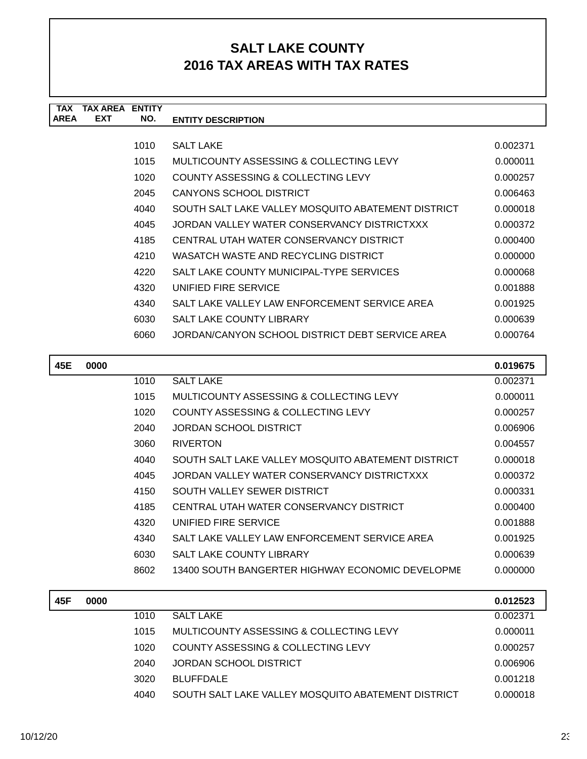| <b>TAX</b><br><b>AREA</b> | <b>TAX AREA ENTITY</b><br><b>EXT</b> | NO.  | <b>ENTITY DESCRIPTION</b>                          |          |
|---------------------------|--------------------------------------|------|----------------------------------------------------|----------|
|                           |                                      |      |                                                    |          |
|                           |                                      | 1010 | <b>SALT LAKE</b>                                   | 0.002371 |
|                           |                                      | 1015 | MULTICOUNTY ASSESSING & COLLECTING LEVY            | 0.000011 |
|                           |                                      | 1020 | <b>COUNTY ASSESSING &amp; COLLECTING LEVY</b>      | 0.000257 |
|                           |                                      | 2045 | CANYONS SCHOOL DISTRICT                            | 0.006463 |
|                           |                                      | 4040 | SOUTH SALT LAKE VALLEY MOSQUITO ABATEMENT DISTRICT | 0.000018 |
|                           |                                      | 4045 | JORDAN VALLEY WATER CONSERVANCY DISTRICTXXX        | 0.000372 |
|                           |                                      | 4185 | CENTRAL UTAH WATER CONSERVANCY DISTRICT            | 0.000400 |
|                           |                                      | 4210 | WASATCH WASTE AND RECYCLING DISTRICT               | 0.000000 |
|                           |                                      | 4220 | SALT LAKE COUNTY MUNICIPAL-TYPE SERVICES           | 0.000068 |
|                           |                                      | 4320 | UNIFIED FIRE SERVICE                               | 0.001888 |
|                           |                                      | 4340 | SALT LAKE VALLEY LAW ENFORCEMENT SERVICE AREA      | 0.001925 |
|                           |                                      | 6030 | SALT LAKE COUNTY LIBRARY                           | 0.000639 |
|                           |                                      | 6060 | JORDAN/CANYON SCHOOL DISTRICT DEBT SERVICE AREA    | 0.000764 |
|                           |                                      |      |                                                    |          |
| 45E                       | 0000                                 |      |                                                    | 0.019675 |
|                           |                                      | 1010 | <b>SALT LAKE</b>                                   | 0.002371 |
|                           |                                      | 1015 | MULTICOUNTY ASSESSING & COLLECTING LEVY            | 0.000011 |
|                           |                                      | 1020 | COUNTY ASSESSING & COLLECTING LEVY                 | 0.000257 |
|                           |                                      | 2040 | <b>JORDAN SCHOOL DISTRICT</b>                      | 0.006906 |
|                           |                                      | 3060 | <b>RIVERTON</b>                                    | 0.004557 |
|                           |                                      | 4040 | SOUTH SALT LAKE VALLEY MOSQUITO ABATEMENT DISTRICT | 0.000018 |
|                           |                                      | 4045 | JORDAN VALLEY WATER CONSERVANCY DISTRICTXXX        | 0.000372 |
|                           |                                      | 4150 | SOUTH VALLEY SEWER DISTRICT                        | 0.000331 |
|                           |                                      | 4185 | CENTRAL UTAH WATER CONSERVANCY DISTRICT            | 0.000400 |
|                           |                                      | 4320 | UNIFIED FIRE SERVICE                               | 0.001888 |
|                           |                                      | 4340 | SALT LAKE VALLEY LAW ENFORCEMENT SERVICE AREA      | 0.001925 |
|                           |                                      | 6030 | SALT LAKE COUNTY LIBRARY                           | 0.000639 |
|                           |                                      | 8602 | 13400 SOUTH BANGERTER HIGHWAY ECONOMIC DEVELOPME   | 0.000000 |
| 45F                       | 0000                                 |      |                                                    | 0.012523 |

| 45F | 0000 |      |                                                    | 0.012523 |
|-----|------|------|----------------------------------------------------|----------|
|     |      | 1010 | <b>SALT LAKE</b>                                   | 0.002371 |
|     |      | 1015 | MULTICOUNTY ASSESSING & COLLECTING LEVY            | 0.000011 |
|     |      | 1020 | COUNTY ASSESSING & COLLECTING LEVY                 | 0.000257 |
|     |      | 2040 | JORDAN SCHOOL DISTRICT                             | 0.006906 |
|     |      | 3020 | <b>BLUFFDALE</b>                                   | 0.001218 |
|     |      | 4040 | SOUTH SALT LAKE VALLEY MOSQUITO ABATEMENT DISTRICT | 0.000018 |
|     |      |      |                                                    |          |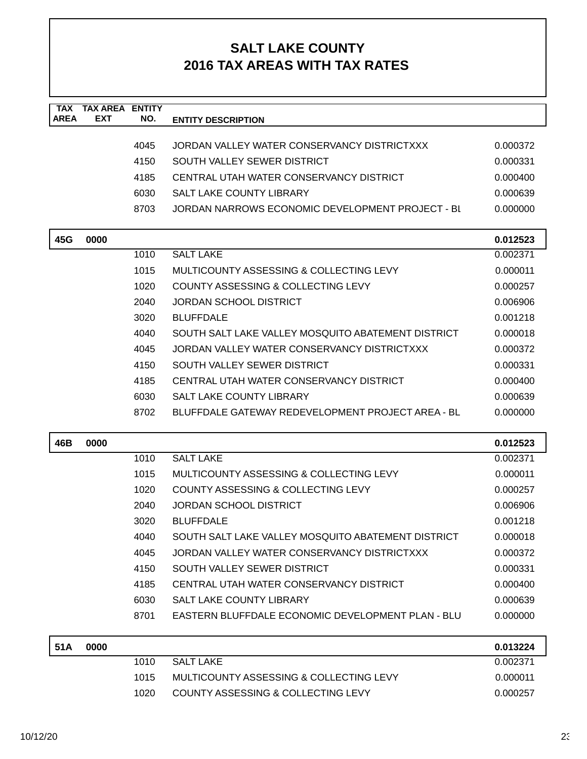| <b>TAX</b><br><b>AREA</b> | <b>TAX AREA ENTITY</b><br>EXT | NO.  | <b>ENTITY DESCRIPTION</b>                          |          |
|---------------------------|-------------------------------|------|----------------------------------------------------|----------|
|                           |                               |      |                                                    |          |
|                           |                               | 4045 | JORDAN VALLEY WATER CONSERVANCY DISTRICTXXX        | 0.000372 |
|                           |                               | 4150 | SOUTH VALLEY SEWER DISTRICT                        | 0.000331 |
|                           |                               | 4185 | CENTRAL UTAH WATER CONSERVANCY DISTRICT            | 0.000400 |
|                           |                               | 6030 | <b>SALT LAKE COUNTY LIBRARY</b>                    | 0.000639 |
|                           |                               | 8703 | JORDAN NARROWS ECONOMIC DEVELOPMENT PROJECT - BL   | 0.000000 |
| 45G                       | 0000                          |      |                                                    | 0.012523 |
|                           |                               | 1010 | <b>SALT LAKE</b>                                   | 0.002371 |
|                           |                               | 1015 | MULTICOUNTY ASSESSING & COLLECTING LEVY            | 0.000011 |
|                           |                               | 1020 | <b>COUNTY ASSESSING &amp; COLLECTING LEVY</b>      | 0.000257 |
|                           |                               | 2040 | <b>JORDAN SCHOOL DISTRICT</b>                      | 0.006906 |
|                           |                               | 3020 | <b>BLUFFDALE</b>                                   | 0.001218 |
|                           |                               | 4040 | SOUTH SALT LAKE VALLEY MOSQUITO ABATEMENT DISTRICT | 0.000018 |
|                           |                               | 4045 | JORDAN VALLEY WATER CONSERVANCY DISTRICTXXX        | 0.000372 |
|                           |                               | 4150 | SOUTH VALLEY SEWER DISTRICT                        | 0.000331 |
|                           |                               | 4185 | CENTRAL UTAH WATER CONSERVANCY DISTRICT            | 0.000400 |
|                           |                               | 6030 | SALT LAKE COUNTY LIBRARY                           | 0.000639 |
|                           |                               | 8702 | BLUFFDALE GATEWAY REDEVELOPMENT PROJECT AREA - BL  | 0.000000 |
| 46B                       | 0000                          |      |                                                    | 0.012523 |
|                           |                               | 1010 | <b>SALT LAKE</b>                                   | 0.002371 |
|                           |                               | 1015 | MULTICOUNTY ASSESSING & COLLECTING LEVY            | 0.000011 |
|                           |                               | 1020 | COUNTY ASSESSING & COLLECTING LEVY                 | 0.000257 |
|                           |                               | 2040 | <b>JORDAN SCHOOL DISTRICT</b>                      | 0.006906 |
|                           |                               | 3020 | <b>BLUFFDALE</b>                                   | 0.001218 |
|                           |                               | 4040 | SOUTH SALT LAKE VALLEY MOSQUITO ABATEMENT DISTRICT | 0.000018 |
|                           |                               | 4045 | JORDAN VALLEY WATER CONSERVANCY DISTRICTXXX        | 0.000372 |
|                           |                               | 4150 | SOUTH VALLEY SEWER DISTRICT                        | 0.000331 |
|                           |                               | 4185 | CENTRAL UTAH WATER CONSERVANCY DISTRICT            | 0.000400 |
|                           |                               | 6030 | <b>SALT LAKE COUNTY LIBRARY</b>                    | 0.000639 |
|                           |                               | 8701 | EASTERN BLUFFDALE ECONOMIC DEVELOPMENT PLAN - BLU  | 0.000000 |
| 51A                       | 0000                          |      |                                                    | 0.013224 |
|                           |                               | 1010 | <b>SALT LAKE</b>                                   | 0.002371 |
|                           |                               | 1015 | MULTICOUNTY ASSESSING & COLLECTING LEVY            | 0.000011 |
|                           |                               | 1020 | COUNTY ASSESSING & COLLECTING LEVY                 | 0.000257 |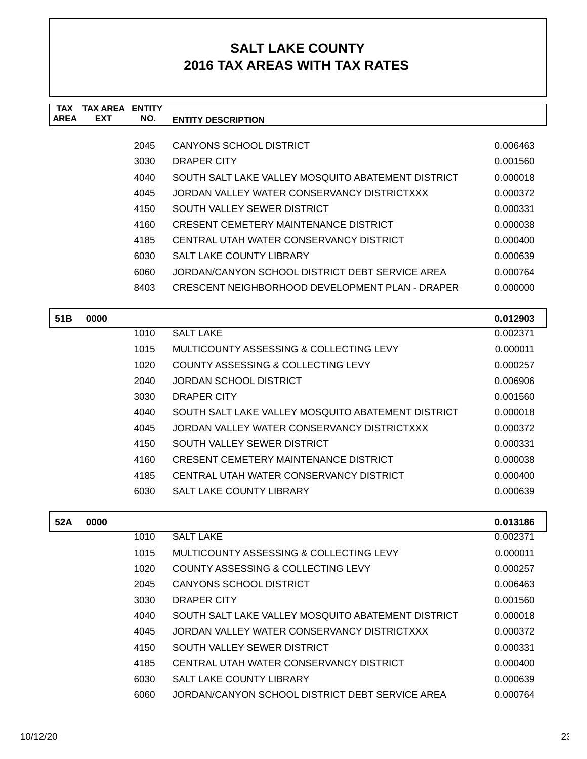| TAX         | TAX AREA   | <b>ENTITY</b> |                                                    |          |
|-------------|------------|---------------|----------------------------------------------------|----------|
| <b>AREA</b> | <b>EXT</b> | NO.           | <b>ENTITY DESCRIPTION</b>                          |          |
|             |            |               |                                                    |          |
|             |            | 2045          | CANYONS SCHOOL DISTRICT                            | 0.006463 |
|             |            | 3030          | DRAPER CITY                                        | 0.001560 |
|             |            | 4040          | SOUTH SALT LAKE VALLEY MOSQUITO ABATEMENT DISTRICT | 0.000018 |
|             |            | 4045          | JORDAN VALLEY WATER CONSERVANCY DISTRICTXXX        | 0.000372 |
|             |            | 4150          | SOUTH VALLEY SEWER DISTRICT                        | 0.000331 |
|             |            | 4160          | CRESENT CEMETERY MAINTENANCE DISTRICT              | 0.000038 |
|             |            | 4185          | CENTRAL UTAH WATER CONSERVANCY DISTRICT            | 0.000400 |
|             |            | 6030          | <b>SALT LAKE COUNTY LIBRARY</b>                    | 0.000639 |
|             |            | 6060          | JORDAN/CANYON SCHOOL DISTRICT DEBT SERVICE AREA    | 0.000764 |
|             |            | 8403          | CRESCENT NEIGHBORHOOD DEVELOPMENT PLAN - DRAPER    | 0.000000 |
|             |            |               |                                                    |          |

| 51 B | 0000 |      |                                                    | 0.012903 |
|------|------|------|----------------------------------------------------|----------|
|      |      | 1010 | <b>SALT LAKE</b>                                   | 0.002371 |
|      |      | 1015 | MULTICOUNTY ASSESSING & COLLECTING LEVY            | 0.000011 |
|      |      | 1020 | COUNTY ASSESSING & COLLECTING LEVY                 | 0.000257 |
|      |      | 2040 | JORDAN SCHOOL DISTRICT                             | 0.006906 |
|      |      | 3030 | DRAPER CITY                                        | 0.001560 |
|      |      | 4040 | SOUTH SALT LAKE VALLEY MOSQUITO ABATEMENT DISTRICT | 0.000018 |
|      |      | 4045 | JORDAN VALLEY WATER CONSERVANCY DISTRICTXXX        | 0.000372 |
|      |      | 4150 | SOUTH VALLEY SEWER DISTRICT                        | 0.000331 |
|      |      | 4160 | CRESENT CEMETERY MAINTENANCE DISTRICT              | 0.000038 |
|      |      | 4185 | CENTRAL UTAH WATER CONSERVANCY DISTRICT            | 0.000400 |
|      |      | 6030 | <b>SALT LAKE COUNTY LIBRARY</b>                    | 0.000639 |
|      |      |      |                                                    |          |

| 52A | 0000 |      |                                                    | 0.013186 |
|-----|------|------|----------------------------------------------------|----------|
|     |      | 1010 | <b>SALT LAKE</b>                                   | 0.002371 |
|     |      | 1015 | MULTICOUNTY ASSESSING & COLLECTING LEVY            | 0.000011 |
|     |      | 1020 | COUNTY ASSESSING & COLLECTING LEVY                 | 0.000257 |
|     |      | 2045 | CANYONS SCHOOL DISTRICT                            | 0.006463 |
|     |      | 3030 | DRAPER CITY                                        | 0.001560 |
|     |      | 4040 | SOUTH SALT LAKE VALLEY MOSOUITO ABATEMENT DISTRICT | 0.000018 |
|     |      | 4045 | JORDAN VALLEY WATER CONSERVANCY DISTRICTXXX        | 0.000372 |
|     |      | 4150 | SOUTH VALLEY SEWER DISTRICT                        | 0.000331 |
|     |      | 4185 | CENTRAL UTAH WATER CONSERVANCY DISTRICT            | 0.000400 |
|     |      | 6030 | SALT LAKE COUNTY LIBRARY                           | 0.000639 |
|     |      | 6060 | JORDAN/CANYON SCHOOL DISTRICT DEBT SERVICE AREA    | 0.000764 |

 $\mathbf{I}$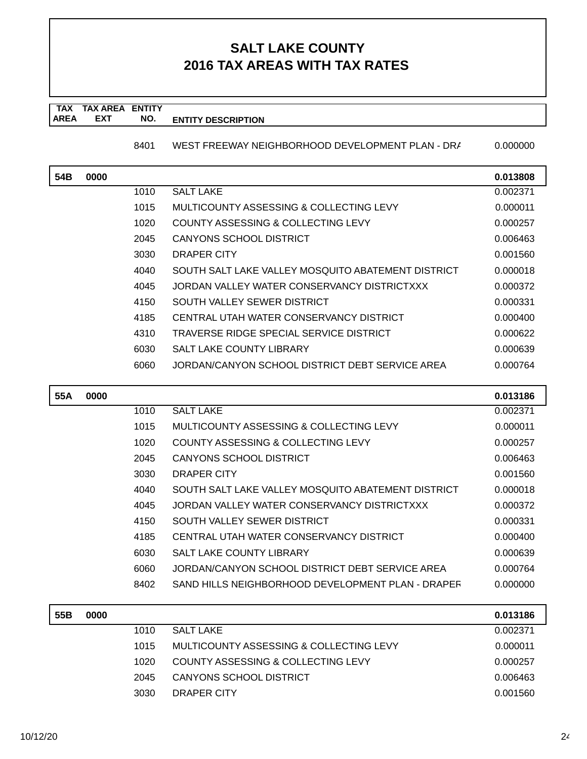#### **TAX TAX AREA ENTITY AREA ENTITY DESCRIPTION EXT NO.**

8401 WEST FREEWAY NEIGHBORHOOD DEVELOPMENT PLAN - DR/ 0.000000

| 54B | 0000 |      |                                                    | 0.013808 |
|-----|------|------|----------------------------------------------------|----------|
|     |      | 1010 | <b>SALT LAKE</b>                                   | 0.002371 |
|     |      | 1015 | MULTICOUNTY ASSESSING & COLLECTING LEVY            | 0.000011 |
|     |      | 1020 | COUNTY ASSESSING & COLLECTING LEVY                 | 0.000257 |
|     |      | 2045 | CANYONS SCHOOL DISTRICT                            | 0.006463 |
|     |      | 3030 | DRAPER CITY                                        | 0.001560 |
|     |      | 4040 | SOUTH SALT LAKE VALLEY MOSQUITO ABATEMENT DISTRICT | 0.000018 |
|     |      | 4045 | JORDAN VALLEY WATER CONSERVANCY DISTRICTXXX        | 0.000372 |
|     |      | 4150 | SOUTH VALLEY SEWER DISTRICT                        | 0.000331 |
|     |      | 4185 | CENTRAL UTAH WATER CONSERVANCY DISTRICT            | 0.000400 |
|     |      | 4310 | TRAVERSE RIDGE SPECIAL SERVICE DISTRICT            | 0.000622 |
|     |      | 6030 | <b>SALT LAKE COUNTY LIBRARY</b>                    | 0.000639 |
|     |      | 6060 | JORDAN/CANYON SCHOOL DISTRICT DEBT SERVICE AREA    | 0.000764 |

| 55A | 0000 |      |                                                    | 0.013186 |
|-----|------|------|----------------------------------------------------|----------|
|     |      | 1010 | <b>SALT LAKE</b>                                   | 0.002371 |
|     |      | 1015 | MULTICOUNTY ASSESSING & COLLECTING LEVY            | 0.000011 |
|     |      | 1020 | COUNTY ASSESSING & COLLECTING LEVY                 | 0.000257 |
|     |      | 2045 | CANYONS SCHOOL DISTRICT                            | 0.006463 |
|     |      | 3030 | DRAPER CITY                                        | 0.001560 |
|     |      | 4040 | SOUTH SALT LAKE VALLEY MOSQUITO ABATEMENT DISTRICT | 0.000018 |
|     |      | 4045 | JORDAN VALLEY WATER CONSERVANCY DISTRICTXXX        | 0.000372 |
|     |      | 4150 | SOUTH VALLEY SEWER DISTRICT                        | 0.000331 |
|     |      | 4185 | CENTRAL UTAH WATER CONSERVANCY DISTRICT            | 0.000400 |
|     |      | 6030 | <b>SALT LAKE COUNTY LIBRARY</b>                    | 0.000639 |
|     |      | 6060 | JORDAN/CANYON SCHOOL DISTRICT DEBT SERVICE AREA    | 0.000764 |
|     |      | 8402 | SAND HILLS NEIGHBORHOOD DEVELOPMENT PLAN - DRAPER  | 0.000000 |

| 55B | 0000 |      |                                         | 0.013186 |
|-----|------|------|-----------------------------------------|----------|
|     |      | 1010 | <b>SALT LAKE</b>                        | 0.002371 |
|     |      | 1015 | MULTICOUNTY ASSESSING & COLLECTING LEVY | 0.000011 |
|     |      | 1020 | COUNTY ASSESSING & COLLECTING LEVY      | 0.000257 |
|     |      | 2045 | CANYONS SCHOOL DISTRICT                 | 0.006463 |
|     |      | 3030 | DRAPER CITY                             | 0.001560 |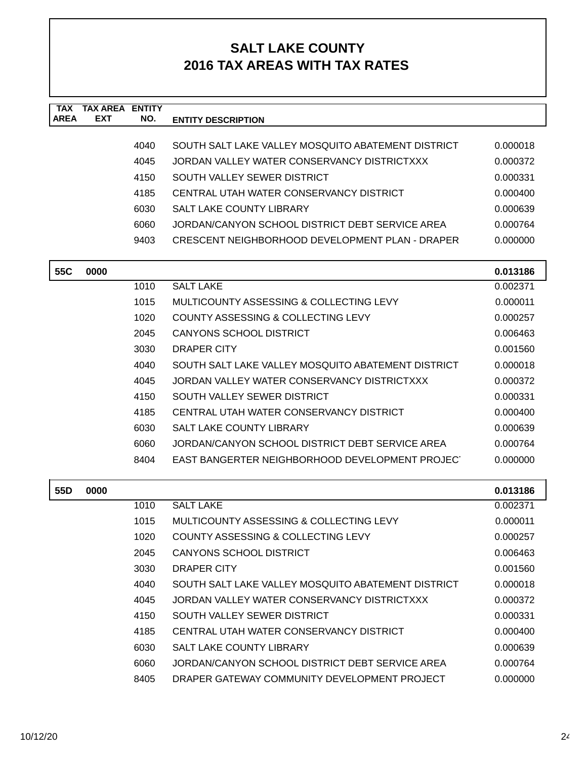| <b>TAX</b><br><b>AREA</b> | <b>TAX AREA ENTITY</b><br><b>EXT</b> | NO.  | <b>ENTITY DESCRIPTION</b>                              |          |
|---------------------------|--------------------------------------|------|--------------------------------------------------------|----------|
|                           |                                      |      |                                                        |          |
|                           |                                      | 4040 | SOUTH SALT LAKE VALLEY MOSQUITO ABATEMENT DISTRICT     | 0.000018 |
|                           |                                      | 4045 | JORDAN VALLEY WATER CONSERVANCY DISTRICTXXX            | 0.000372 |
|                           |                                      | 4150 | SOUTH VALLEY SEWER DISTRICT                            | 0.000331 |
|                           |                                      | 4185 | CENTRAL UTAH WATER CONSERVANCY DISTRICT                | 0.000400 |
|                           |                                      | 6030 | <b>SALT LAKE COUNTY LIBRARY</b>                        | 0.000639 |
|                           |                                      | 6060 | JORDAN/CANYON SCHOOL DISTRICT DEBT SERVICE AREA        | 0.000764 |
|                           |                                      | 9403 | <b>CRESCENT NEIGHBORHOOD DEVELOPMENT PLAN - DRAPER</b> | 0.000000 |
| 55C                       | 0000                                 |      |                                                        | 0.013186 |
|                           |                                      | 1010 | <b>SALT LAKE</b>                                       | 0.002371 |
|                           |                                      | 1015 | MULTICOUNTY ASSESSING & COLLECTING LEVY                | 0.000011 |
|                           |                                      | 1020 | COUNTY ASSESSING & COLLECTING LEVY                     | 0.000257 |
|                           |                                      | 2045 | <b>CANYONS SCHOOL DISTRICT</b>                         | 0.006463 |
|                           |                                      | 3030 | DRAPER CITY                                            | 0.001560 |
|                           |                                      | 4040 | SOUTH SALT LAKE VALLEY MOSQUITO ABATEMENT DISTRICT     | 0.000018 |
|                           |                                      | 4045 | JORDAN VALLEY WATER CONSERVANCY DISTRICTXXX            | 0.000372 |
|                           |                                      | 4150 | SOUTH VALLEY SEWER DISTRICT                            | 0.000331 |
|                           |                                      | 4185 | CENTRAL UTAH WATER CONSERVANCY DISTRICT                | 0.000400 |
|                           |                                      | 6030 | <b>SALT LAKE COUNTY LIBRARY</b>                        | 0.000639 |
|                           |                                      | 6060 | JORDAN/CANYON SCHOOL DISTRICT DEBT SERVICE AREA        | 0.000764 |
|                           |                                      | 8404 | EAST BANGERTER NEIGHBORHOOD DEVELOPMENT PROJECT        | 0.000000 |
| 55D                       | 0000                                 |      |                                                        | 0.013186 |
|                           |                                      | 1010 | <b>SALT LAKE</b>                                       | 0.002371 |
|                           |                                      | 1015 | <b>MULTICOUNTY ASSESSING &amp; COLLECTING LEVY</b>     | 0.000011 |
|                           |                                      | 1020 | COUNTY ASSESSING & COLLECTING LEVY                     | 0.000257 |
|                           |                                      | 2045 | <b>CANYONS SCHOOL DISTRICT</b>                         | 0.006463 |
|                           |                                      | 3030 | DRAPER CITY                                            | 0.001560 |
|                           |                                      | 4040 | SOUTH SALT LAKE VALLEY MOSQUITO ABATEMENT DISTRICT     | 0.000018 |
|                           |                                      | 4045 | JORDAN VALLEY WATER CONSERVANCY DISTRICTXXX            | 0.000372 |
|                           |                                      | 4150 | SOUTH VALLEY SEWER DISTRICT                            | 0.000331 |
|                           |                                      | 4185 | CENTRAL UTAH WATER CONSERVANCY DISTRICT                | 0.000400 |
|                           |                                      | 6030 | <b>SALT LAKE COUNTY LIBRARY</b>                        | 0.000639 |
|                           |                                      | 6060 | JORDAN/CANYON SCHOOL DISTRICT DEBT SERVICE AREA        | 0.000764 |
|                           |                                      | 8405 | DRAPER GATEWAY COMMUNITY DEVELOPMENT PROJECT           | 0.000000 |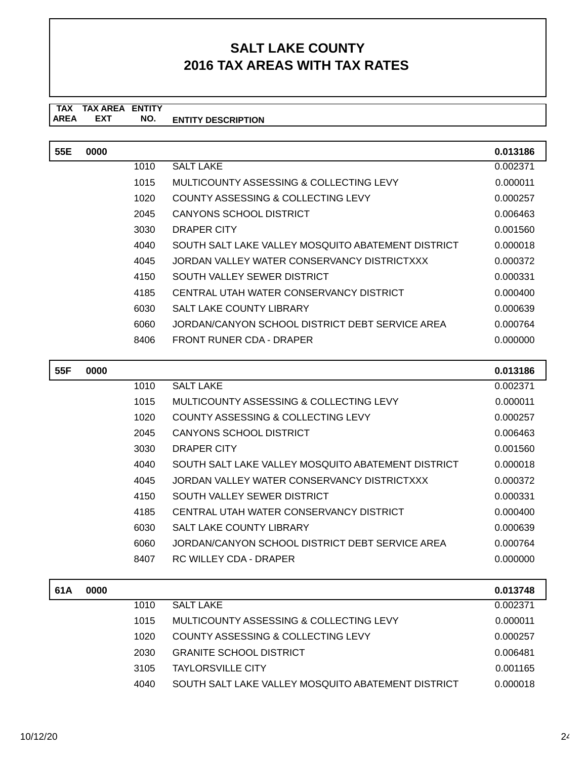#### **TAX TAX AREA ENTITY ENTITY DESCRIPTION EXT NO.**

| 55E | 0000 |      |                                                    | 0.013186 |
|-----|------|------|----------------------------------------------------|----------|
|     |      | 1010 | <b>SALT LAKE</b>                                   | 0.002371 |
|     |      | 1015 | MULTICOUNTY ASSESSING & COLLECTING LEVY            | 0.000011 |
|     |      | 1020 | COUNTY ASSESSING & COLLECTING LEVY                 | 0.000257 |
|     |      | 2045 | CANYONS SCHOOL DISTRICT                            | 0.006463 |
|     |      | 3030 | DRAPER CITY                                        | 0.001560 |
|     |      | 4040 | SOUTH SALT LAKE VALLEY MOSOUITO ABATEMENT DISTRICT | 0.000018 |
|     |      | 4045 | JORDAN VALLEY WATER CONSERVANCY DISTRICTXXX        | 0.000372 |
|     |      | 4150 | SOUTH VALLEY SEWER DISTRICT                        | 0.000331 |
|     |      | 4185 | CENTRAL UTAH WATER CONSERVANCY DISTRICT            | 0.000400 |
|     |      | 6030 | <b>SALT LAKE COUNTY LIBRARY</b>                    | 0.000639 |
|     |      | 6060 | JORDAN/CANYON SCHOOL DISTRICT DEBT SERVICE AREA    | 0.000764 |
|     |      | 8406 | FRONT RUNER CDA - DRAPER                           | 0.000000 |

| 55F | 0000 |      |                                                    | 0.013186 |
|-----|------|------|----------------------------------------------------|----------|
|     |      | 1010 | <b>SALT LAKE</b>                                   | 0.002371 |
|     |      | 1015 | MULTICOUNTY ASSESSING & COLLECTING LEVY            | 0.000011 |
|     |      | 1020 | COUNTY ASSESSING & COLLECTING LEVY                 | 0.000257 |
|     |      | 2045 | CANYONS SCHOOL DISTRICT                            | 0.006463 |
|     |      | 3030 | DRAPER CITY                                        | 0.001560 |
|     |      | 4040 | SOUTH SALT LAKE VALLEY MOSQUITO ABATEMENT DISTRICT | 0.000018 |
|     |      | 4045 | JORDAN VALLEY WATER CONSERVANCY DISTRICTXXX        | 0.000372 |
|     |      | 4150 | SOUTH VALLEY SEWER DISTRICT                        | 0.000331 |
|     |      | 4185 | CENTRAL UTAH WATER CONSERVANCY DISTRICT            | 0.000400 |
|     |      | 6030 | <b>SALT LAKE COUNTY LIBRARY</b>                    | 0.000639 |
|     |      | 6060 | JORDAN/CANYON SCHOOL DISTRICT DEBT SERVICE AREA    | 0.000764 |
|     |      | 8407 | RC WILLEY CDA - DRAPER                             | 0.000000 |
| 61A | 0000 |      |                                                    | 0.013748 |

| 61A | 0000 |      |                                                    | 0.013748 |
|-----|------|------|----------------------------------------------------|----------|
|     |      | 1010 | SALT LAKE                                          | 0.002371 |
|     |      | 1015 | MULTICOUNTY ASSESSING & COLLECTING LEVY            | 0.000011 |
|     |      | 1020 | COUNTY ASSESSING & COLLECTING LEVY                 | 0.000257 |
|     |      | 2030 | <b>GRANITE SCHOOL DISTRICT</b>                     | 0.006481 |
|     |      | 3105 | <b>TAYLORSVILLE CITY</b>                           | 0.001165 |
|     |      | 4040 | SOUTH SALT LAKE VALLEY MOSQUITO ABATEMENT DISTRICT | 0.000018 |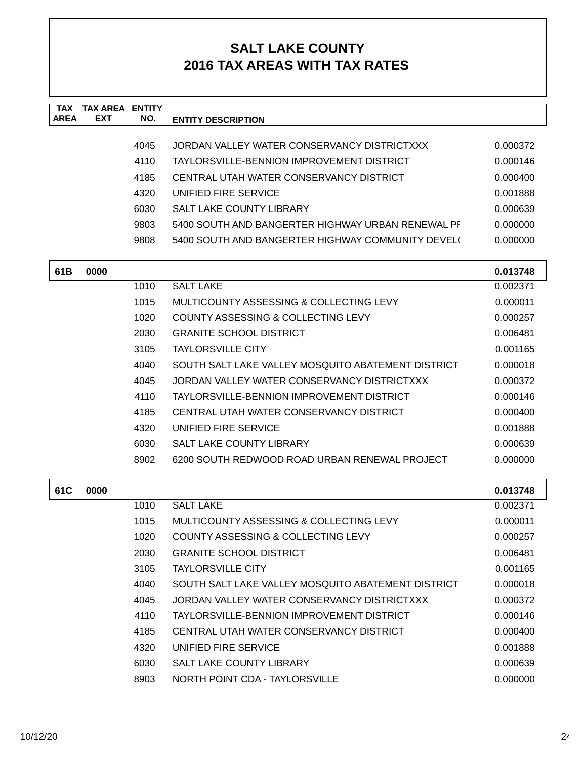| <b>TAX</b><br><b>AREA</b> | <b>TAX AREA</b><br><b>EXT</b> | <b>ENTITY</b><br>NO.                   | <b>ENTITY DESCRIPTION</b>                          |          |  |
|---------------------------|-------------------------------|----------------------------------------|----------------------------------------------------|----------|--|
|                           |                               |                                        |                                                    |          |  |
|                           |                               | 4045                                   | JORDAN VALLEY WATER CONSERVANCY DISTRICTXXX        | 0.000372 |  |
|                           |                               | 4110                                   | TAYLORSVILLE-BENNION IMPROVEMENT DISTRICT          | 0.000146 |  |
|                           |                               | 4185                                   | CENTRAL UTAH WATER CONSERVANCY DISTRICT            | 0.000400 |  |
|                           |                               | 4320                                   | UNIFIED FIRE SERVICE                               | 0.001888 |  |
|                           |                               | 6030                                   | <b>SALT LAKE COUNTY LIBRARY</b>                    | 0.000639 |  |
|                           |                               | 9803                                   | 5400 SOUTH AND BANGERTER HIGHWAY URBAN RENEWAL PF  | 0.000000 |  |
|                           |                               | 9808                                   | 5400 SOUTH AND BANGERTER HIGHWAY COMMUNITY DEVEL(  | 0.000000 |  |
| 61B                       | 0000                          |                                        |                                                    | 0.013748 |  |
|                           |                               | 1010                                   | <b>SALT LAKE</b>                                   | 0.002371 |  |
|                           |                               | 1015                                   | MULTICOUNTY ASSESSING & COLLECTING LEVY            | 0.000011 |  |
|                           |                               | 1020                                   | COUNTY ASSESSING & COLLECTING LEVY                 | 0.000257 |  |
|                           |                               | 2030<br><b>GRANITE SCHOOL DISTRICT</b> |                                                    | 0.006481 |  |
|                           |                               | 3105                                   | <b>TAYLORSVILLE CITY</b>                           |          |  |
|                           |                               | 4040                                   | SOUTH SALT LAKE VALLEY MOSQUITO ABATEMENT DISTRICT | 0.000018 |  |
|                           |                               | 4045                                   | JORDAN VALLEY WATER CONSERVANCY DISTRICTXXX        | 0.000372 |  |
|                           |                               | 4110                                   | TAYLORSVILLE-BENNION IMPROVEMENT DISTRICT          | 0.000146 |  |
|                           |                               | 4185                                   | CENTRAL UTAH WATER CONSERVANCY DISTRICT            | 0.000400 |  |
|                           |                               | 4320                                   | UNIFIED FIRE SERVICE                               | 0.001888 |  |
|                           |                               | 6030                                   | SALT LAKE COUNTY LIBRARY                           | 0.000639 |  |
|                           |                               | 8902                                   | 6200 SOUTH REDWOOD ROAD URBAN RENEWAL PROJECT      | 0.000000 |  |
| 61C                       | 0000                          |                                        |                                                    | 0.013748 |  |
|                           |                               | 1010                                   | <b>SALT LAKE</b>                                   | 0.002371 |  |
|                           |                               | 1015                                   | MULTICOUNTY ASSESSING & COLLECTING LEVY            | 0.000011 |  |
|                           |                               | 1020                                   | COUNTY ASSESSING & COLLECTING LEVY                 | 0.000257 |  |
|                           |                               | 2030                                   | <b>GRANITE SCHOOL DISTRICT</b>                     | 0.006481 |  |
|                           |                               | 3105                                   | <b>TAYLORSVILLE CITY</b>                           | 0.001165 |  |
|                           |                               | 4040                                   | SOUTH SALT LAKE VALLEY MOSQUITO ABATEMENT DISTRICT | 0.000018 |  |
|                           |                               | 4045                                   | JORDAN VALLEY WATER CONSERVANCY DISTRICTXXX        | 0.000372 |  |
|                           |                               | 4110                                   | TAYLORSVILLE-BENNION IMPROVEMENT DISTRICT          | 0.000146 |  |
|                           |                               | 4185                                   | CENTRAL UTAH WATER CONSERVANCY DISTRICT            | 0.000400 |  |
|                           |                               | 4320                                   | UNIFIED FIRE SERVICE                               | 0.001888 |  |
|                           |                               | 6030                                   | SALT LAKE COUNTY LIBRARY                           | 0.000639 |  |
|                           |                               | 8903                                   | NORTH POINT CDA - TAYLORSVILLE                     | 0.000000 |  |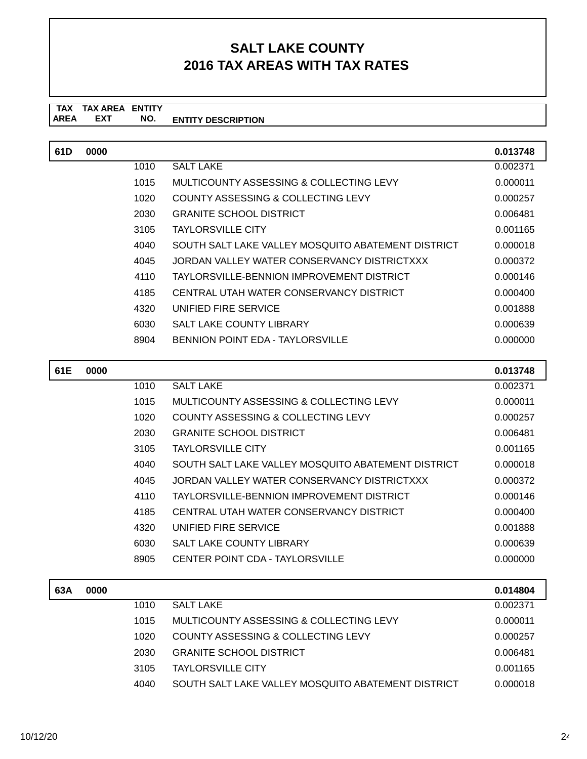#### **TAX TAX AREA ENTITY ENTITY DESCRIPTION EXT NO.**

| 61D | 0000 |      |                                                    | 0.013748 |
|-----|------|------|----------------------------------------------------|----------|
|     |      | 1010 | <b>SALT LAKE</b>                                   | 0.002371 |
|     |      | 1015 | MULTICOUNTY ASSESSING & COLLECTING LEVY            | 0.000011 |
|     |      | 1020 | COUNTY ASSESSING & COLLECTING LEVY                 | 0.000257 |
|     |      | 2030 | <b>GRANITE SCHOOL DISTRICT</b>                     | 0.006481 |
|     |      | 3105 | <b>TAYLORSVILLE CITY</b>                           | 0.001165 |
|     |      | 4040 | SOUTH SALT LAKE VALLEY MOSQUITO ABATEMENT DISTRICT | 0.000018 |
|     |      | 4045 | JORDAN VALLEY WATER CONSERVANCY DISTRICTXXX        | 0.000372 |
|     |      | 4110 | TAYLORSVILLE-BENNION IMPROVEMENT DISTRICT          | 0.000146 |
|     |      | 4185 | CENTRAL UTAH WATER CONSERVANCY DISTRICT            | 0.000400 |
|     |      | 4320 | UNIFIED FIRE SERVICE                               | 0.001888 |
|     |      | 6030 | <b>SALT LAKE COUNTY LIBRARY</b>                    | 0.000639 |
|     |      | 8904 | BENNION POINT EDA - TAYLORSVILLE                   | 0.000000 |

| 61E | 0000 |      |                                                    | 0.013748 |
|-----|------|------|----------------------------------------------------|----------|
|     |      | 1010 | <b>SALT LAKE</b>                                   | 0.002371 |
|     |      | 1015 | MULTICOUNTY ASSESSING & COLLECTING LEVY            | 0.000011 |
|     |      | 1020 | COUNTY ASSESSING & COLLECTING LEVY                 | 0.000257 |
|     |      | 2030 | <b>GRANITE SCHOOL DISTRICT</b>                     | 0.006481 |
|     |      | 3105 | <b>TAYLORSVILLE CITY</b>                           | 0.001165 |
|     |      | 4040 | SOUTH SALT LAKE VALLEY MOSQUITO ABATEMENT DISTRICT | 0.000018 |
|     |      | 4045 | JORDAN VALLEY WATER CONSERVANCY DISTRICTXXX        | 0.000372 |
|     |      | 4110 | TAYLORSVILLE-BENNION IMPROVEMENT DISTRICT          | 0.000146 |
|     |      | 4185 | CENTRAL UTAH WATER CONSERVANCY DISTRICT            | 0.000400 |
|     |      | 4320 | UNIFIED FIRE SERVICE                               | 0.001888 |
|     |      | 6030 | <b>SALT LAKE COUNTY LIBRARY</b>                    | 0.000639 |
|     |      | 8905 | CENTER POINT CDA - TAYLORSVILLE                    | 0.000000 |
|     |      |      |                                                    |          |
| 63A | 0000 |      |                                                    | 0.014804 |

| 63A | 0000 |      |                                                    | 0.014804 |
|-----|------|------|----------------------------------------------------|----------|
|     |      | 1010 | <b>SALT LAKE</b>                                   | 0.002371 |
|     |      | 1015 | MULTICOUNTY ASSESSING & COLLECTING LEVY            | 0.000011 |
|     |      | 1020 | COUNTY ASSESSING & COLLECTING LEVY                 | 0.000257 |
|     |      | 2030 | <b>GRANITE SCHOOL DISTRICT</b>                     | 0.006481 |
|     |      | 3105 | <b>TAYLORSVILLE CITY</b>                           | 0.001165 |
|     |      | 4040 | SOUTH SALT LAKE VALLEY MOSQUITO ABATEMENT DISTRICT | 0.000018 |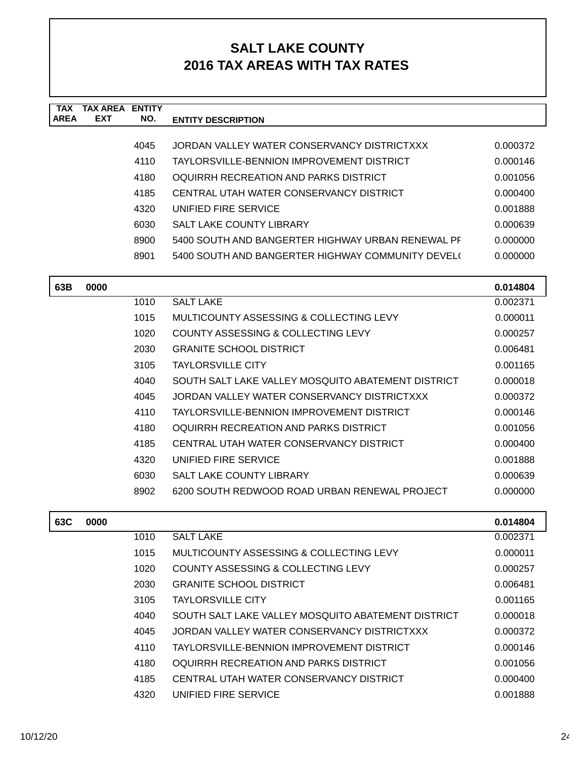| <b>TAX</b><br><b>AREA</b> | <b>TAX AREA ENTITY</b><br><b>EXT</b> | NO.  | <b>ENTITY DESCRIPTION</b>                          |          |
|---------------------------|--------------------------------------|------|----------------------------------------------------|----------|
|                           |                                      |      |                                                    |          |
|                           |                                      | 4045 | JORDAN VALLEY WATER CONSERVANCY DISTRICTXXX        | 0.000372 |
|                           |                                      | 4110 | TAYLORSVILLE-BENNION IMPROVEMENT DISTRICT          | 0.000146 |
|                           |                                      | 4180 | OQUIRRH RECREATION AND PARKS DISTRICT              | 0.001056 |
|                           |                                      | 4185 | CENTRAL UTAH WATER CONSERVANCY DISTRICT            | 0.000400 |
|                           |                                      | 4320 | UNIFIED FIRE SERVICE                               | 0.001888 |
|                           |                                      | 6030 | SALT LAKE COUNTY LIBRARY                           | 0.000639 |
|                           |                                      | 8900 | 5400 SOUTH AND BANGERTER HIGHWAY URBAN RENEWAL PF  | 0.000000 |
|                           |                                      | 8901 | 5400 SOUTH AND BANGERTER HIGHWAY COMMUNITY DEVEL(  | 0.000000 |
| 63B                       | 0000                                 |      |                                                    | 0.014804 |
|                           |                                      | 1010 | <b>SALT LAKE</b>                                   | 0.002371 |
|                           |                                      | 1015 | MULTICOUNTY ASSESSING & COLLECTING LEVY            | 0.000011 |
|                           |                                      | 1020 | COUNTY ASSESSING & COLLECTING LEVY                 | 0.000257 |
|                           |                                      | 2030 | <b>GRANITE SCHOOL DISTRICT</b>                     | 0.006481 |
|                           |                                      | 3105 | <b>TAYLORSVILLE CITY</b>                           | 0.001165 |
|                           |                                      | 4040 | SOUTH SALT LAKE VALLEY MOSQUITO ABATEMENT DISTRICT | 0.000018 |
|                           |                                      | 4045 | JORDAN VALLEY WATER CONSERVANCY DISTRICTXXX        | 0.000372 |
|                           |                                      | 4110 | TAYLORSVILLE-BENNION IMPROVEMENT DISTRICT          | 0.000146 |
|                           |                                      | 4180 | OQUIRRH RECREATION AND PARKS DISTRICT              | 0.001056 |
|                           |                                      | 4185 | CENTRAL UTAH WATER CONSERVANCY DISTRICT            | 0.000400 |
|                           |                                      | 4320 | UNIFIED FIRE SERVICE                               | 0.001888 |
|                           |                                      | 6030 | <b>SALT LAKE COUNTY LIBRARY</b>                    | 0.000639 |
|                           |                                      | 8902 | 6200 SOUTH REDWOOD ROAD URBAN RENEWAL PROJECT      | 0.000000 |
| 63C                       | 0000                                 |      |                                                    | 0.014804 |
|                           |                                      | 1010 | <b>SALT LAKE</b>                                   | 0.002371 |
|                           |                                      | 1015 | MULTICOUNTY ASSESSING & COLLECTING LEVY            | 0.000011 |
|                           |                                      | 1020 | COUNTY ASSESSING & COLLECTING LEVY                 | 0.000257 |
|                           |                                      | 2030 | <b>GRANITE SCHOOL DISTRICT</b>                     | 0.006481 |
|                           |                                      | 3105 | <b>TAYLORSVILLE CITY</b>                           | 0.001165 |
|                           |                                      | 4040 | SOUTH SALT LAKE VALLEY MOSQUITO ABATEMENT DISTRICT | 0.000018 |
|                           |                                      | 4045 | JORDAN VALLEY WATER CONSERVANCY DISTRICTXXX        | 0.000372 |
|                           |                                      | 4110 | TAYI ORSVILLE-BENNION IMPROVEMENT DISTRICT         | 0.000146 |

| 4110  | TAYLORSVILLE-BENNION IMPROVEMENT DISTRICT | 0.000146 |
|-------|-------------------------------------------|----------|
| 4180. | OQUIRRH RECREATION AND PARKS DISTRICT     | 0.001056 |
| 4185  | CENTRAL UTAH WATER CONSERVANCY DISTRICT   | 0.000400 |
| 4320  | UNIFIED FIRE SERVICE                      | 0.001888 |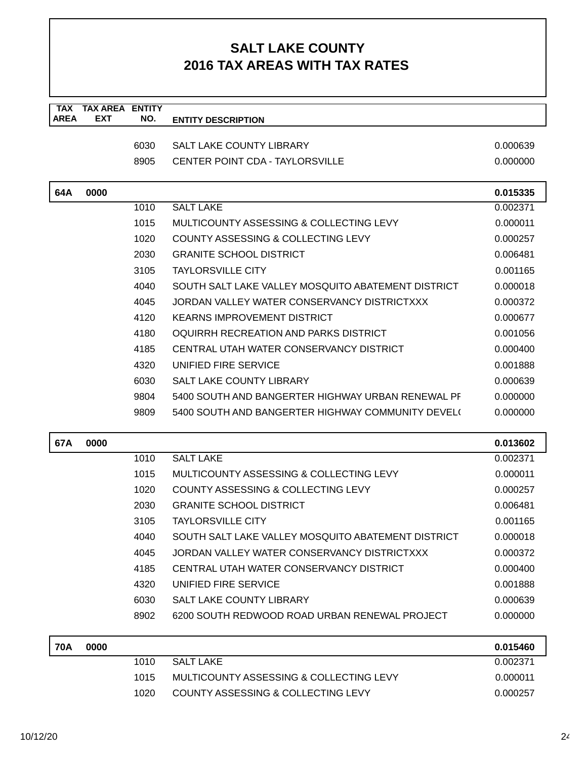| <b>TAX</b>  | <b>TAX AREA ENTITY</b>                              |      |                                                    |          |
|-------------|-----------------------------------------------------|------|----------------------------------------------------|----------|
| <b>AREA</b> | <b>EXT</b>                                          | NO.  | <b>ENTITY DESCRIPTION</b>                          |          |
|             |                                                     |      |                                                    |          |
|             |                                                     | 6030 | <b>SALT LAKE COUNTY LIBRARY</b>                    | 0.000639 |
|             |                                                     | 8905 | <b>CENTER POINT CDA - TAYLORSVILLE</b>             | 0.000000 |
| 64A         | 0000                                                |      |                                                    | 0.015335 |
|             |                                                     | 1010 | <b>SALT LAKE</b>                                   | 0.002371 |
|             |                                                     | 1015 | MULTICOUNTY ASSESSING & COLLECTING LEVY            | 0.000011 |
|             |                                                     | 1020 | COUNTY ASSESSING & COLLECTING LEVY                 | 0.000257 |
|             |                                                     | 2030 | <b>GRANITE SCHOOL DISTRICT</b>                     | 0.006481 |
|             |                                                     | 3105 | <b>TAYLORSVILLE CITY</b>                           | 0.001165 |
|             |                                                     | 4040 | SOUTH SALT LAKE VALLEY MOSQUITO ABATEMENT DISTRICT | 0.000018 |
|             | 4045<br>JORDAN VALLEY WATER CONSERVANCY DISTRICTXXX |      | 0.000372                                           |          |
|             |                                                     | 4120 | <b>KEARNS IMPROVEMENT DISTRICT</b>                 | 0.000677 |
|             |                                                     | 4180 | OQUIRRH RECREATION AND PARKS DISTRICT              | 0.001056 |
|             |                                                     | 4185 | CENTRAL UTAH WATER CONSERVANCY DISTRICT            | 0.000400 |
|             |                                                     | 4320 | UNIFIED FIRE SERVICE                               | 0.001888 |
|             |                                                     | 6030 | SALT LAKE COUNTY LIBRARY                           | 0.000639 |
|             |                                                     | 9804 | 5400 SOUTH AND BANGERTER HIGHWAY URBAN RENEWAL PF  | 0.000000 |
|             |                                                     | 9809 | 5400 SOUTH AND BANGERTER HIGHWAY COMMUNITY DEVEL(  | 0.000000 |
| 67A         | 0000                                                |      |                                                    | 0.013602 |
|             |                                                     | 1010 | <b>SALT LAKE</b>                                   | 0.002371 |
|             |                                                     | 1015 | MULTICOUNTY ASSESSING & COLLECTING LEVY            | 0.000011 |
|             |                                                     | 1020 | COUNTY ASSESSING & COLLECTING LEVY                 | 0.000257 |
|             |                                                     | 2030 | <b>GRANITE SCHOOL DISTRICT</b>                     | 0.006481 |
|             |                                                     | 3105 | <b>TAYLORSVILLE CITY</b>                           | 0.001165 |
|             |                                                     | 4040 | SOUTH SALT LAKE VALLEY MOSQUITO ABATEMENT DISTRICT | 0.000018 |
|             |                                                     | 4045 | JORDAN VALLEY WATER CONSERVANCY DISTRICTXXX        | 0.000372 |
|             |                                                     | 4185 | CENTRAL UTAH WATER CONSERVANCY DISTRICT            | 0.000400 |
|             |                                                     | 4320 | UNIFIED FIRE SERVICE                               | 0.001888 |
|             |                                                     | 6030 | <b>SALT LAKE COUNTY LIBRARY</b>                    | 0.000639 |
|             |                                                     | 8902 | 6200 SOUTH REDWOOD ROAD URBAN RENEWAL PROJECT      | 0.000000 |
|             |                                                     |      |                                                    |          |
| <b>70A</b>  | 0000                                                |      |                                                    | 0.015460 |
|             |                                                     | 1010 | <b>SALT LAKE</b>                                   | 0.002371 |
|             |                                                     | 1015 | MULTICOUNTY ASSESSING & COLLECTING LEVY            | 0.000011 |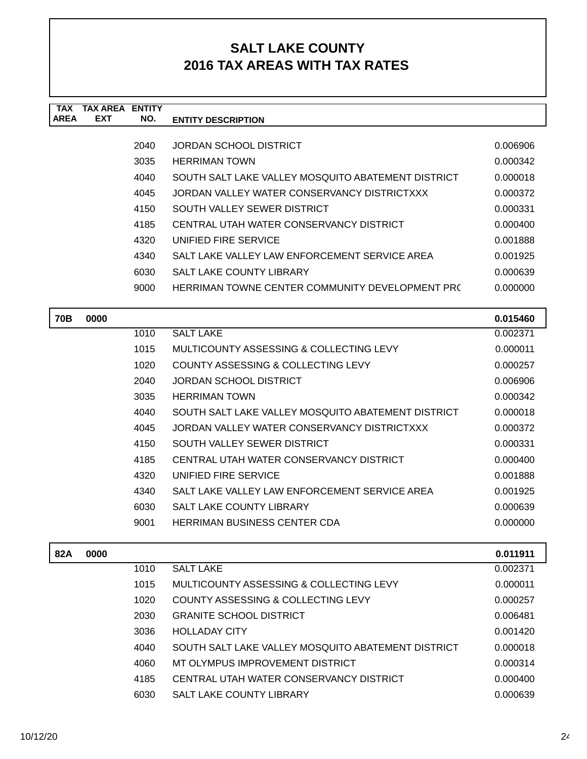| <b>TAX</b>  | <b>TAX AREA ENTITY</b>                              |                                                    |                                                    |                      |
|-------------|-----------------------------------------------------|----------------------------------------------------|----------------------------------------------------|----------------------|
| <b>AREA</b> | <b>EXT</b>                                          | NO.                                                | <b>ENTITY DESCRIPTION</b>                          |                      |
|             |                                                     |                                                    |                                                    |                      |
|             |                                                     | 2040                                               | JORDAN SCHOOL DISTRICT                             | 0.006906             |
|             |                                                     | 3035                                               | <b>HERRIMAN TOWN</b>                               | 0.000342             |
|             |                                                     | 4040                                               | SOUTH SALT LAKE VALLEY MOSQUITO ABATEMENT DISTRICT | 0.000018             |
|             |                                                     | 4045                                               | JORDAN VALLEY WATER CONSERVANCY DISTRICTXXX        | 0.000372             |
|             |                                                     | 4150                                               | SOUTH VALLEY SEWER DISTRICT                        | 0.000331             |
|             |                                                     | 4185                                               | CENTRAL UTAH WATER CONSERVANCY DISTRICT            | 0.000400             |
|             |                                                     | 4320                                               | UNIFIED FIRE SERVICE                               | 0.001888             |
|             |                                                     | 4340                                               | SALT LAKE VALLEY LAW ENFORCEMENT SERVICE AREA      | 0.001925             |
|             |                                                     | 6030                                               | SALT LAKE COUNTY LIBRARY                           | 0.000639             |
|             |                                                     | 9000                                               | HERRIMAN TOWNE CENTER COMMUNITY DEVELOPMENT PR(    | 0.000000             |
|             |                                                     |                                                    |                                                    |                      |
| <b>70B</b>  | 0000                                                |                                                    |                                                    | 0.015460             |
|             |                                                     | 1010                                               | <b>SALT LAKE</b>                                   | 0.002371             |
|             |                                                     | 1015                                               | MULTICOUNTY ASSESSING & COLLECTING LEVY            | 0.000011             |
|             |                                                     | 1020                                               | COUNTY ASSESSING & COLLECTING LEVY                 | 0.000257             |
|             |                                                     | 2040                                               | <b>JORDAN SCHOOL DISTRICT</b>                      | 0.006906             |
|             |                                                     | 3035                                               | <b>HERRIMAN TOWN</b>                               | 0.000342             |
| 4040        |                                                     | SOUTH SALT LAKE VALLEY MOSQUITO ABATEMENT DISTRICT | 0.000018                                           |                      |
|             | JORDAN VALLEY WATER CONSERVANCY DISTRICTXXX<br>4045 |                                                    | 0.000372                                           |                      |
|             | SOUTH VALLEY SEWER DISTRICT<br>4150                 |                                                    |                                                    | 0.000331             |
|             |                                                     | 4185                                               | CENTRAL UTAH WATER CONSERVANCY DISTRICT            | 0.000400             |
|             |                                                     | 4320                                               | UNIFIED FIRE SERVICE                               | 0.001888             |
|             |                                                     | 4340                                               | SALT LAKE VALLEY LAW ENFORCEMENT SERVICE AREA      | 0.001925             |
|             |                                                     | 6030                                               | SALT LAKE COUNTY LIBRARY                           | 0.000639             |
|             |                                                     | 9001                                               | HERRIMAN BUSINESS CENTER CDA                       | 0.000000             |
|             |                                                     |                                                    |                                                    |                      |
| 82A         | 0000                                                |                                                    | <b>SALT LAKE</b>                                   | 0.011911<br>0.002371 |
|             |                                                     | 1010                                               |                                                    |                      |
|             |                                                     | 1015                                               | MULTICOUNTY ASSESSING & COLLECTING LEVY            | 0.000011             |
|             |                                                     | 1020                                               | COUNTY ASSESSING & COLLECTING LEVY                 | 0.000257             |
|             |                                                     | 2030                                               | <b>GRANITE SCHOOL DISTRICT</b>                     | 0.006481             |

3036 HOLLADAY CITY 0.001420 4040 SOUTH SALT LAKE VALLEY MOSQUITO ABATEMENT DISTRICT 0.000018 4060 MT OLYMPUS IMPROVEMENT DISTRICT 0.000314 4185 CENTRAL UTAH WATER CONSERVANCY DISTRICT 0.000400 6030 SALT LAKE COUNTY LIBRARY 0.000639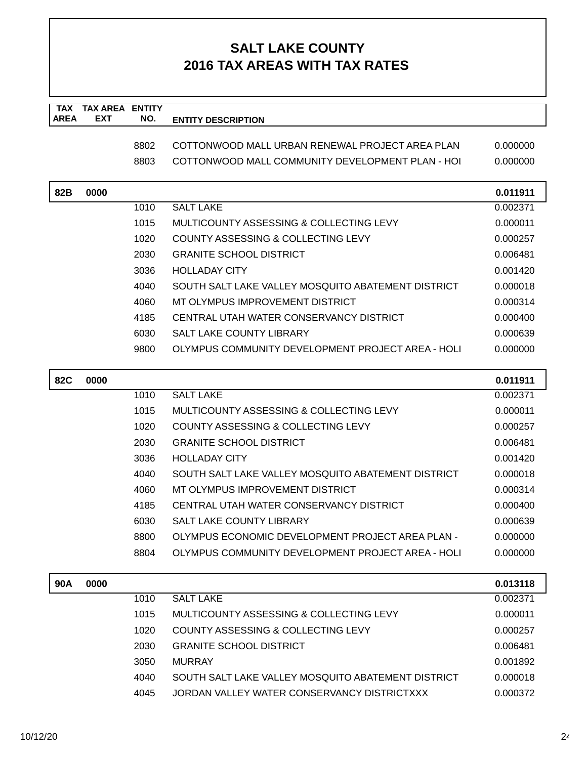| TAX         | <b>TAX AREA ENTITY</b><br><b>EXT</b> |      |                                                    |          |
|-------------|--------------------------------------|------|----------------------------------------------------|----------|
| <b>AREA</b> |                                      | NO.  | <b>ENTITY DESCRIPTION</b>                          |          |
|             |                                      | 8802 | COTTONWOOD MALL URBAN RENEWAL PROJECT AREA PLAN    | 0.000000 |
|             |                                      | 8803 | COTTONWOOD MALL COMMUNITY DEVELOPMENT PLAN - HOL   | 0.000000 |
|             |                                      |      |                                                    |          |
| 82B         | 0000                                 |      |                                                    | 0.011911 |
|             |                                      | 1010 | <b>SALT LAKE</b>                                   | 0.002371 |
|             |                                      | 1015 | MULTICOUNTY ASSESSING & COLLECTING LEVY            | 0.000011 |
|             |                                      | 1020 | COUNTY ASSESSING & COLLECTING LEVY                 | 0.000257 |
|             |                                      | 2030 | <b>GRANITE SCHOOL DISTRICT</b>                     | 0.006481 |
|             |                                      | 3036 | <b>HOLLADAY CITY</b>                               | 0.001420 |
|             |                                      | 4040 | SOUTH SALT LAKE VALLEY MOSQUITO ABATEMENT DISTRICT | 0.000018 |
|             |                                      | 4060 | MT OLYMPUS IMPROVEMENT DISTRICT                    | 0.000314 |
|             |                                      | 4185 | CENTRAL UTAH WATER CONSERVANCY DISTRICT            | 0.000400 |
|             |                                      | 6030 | SALT LAKE COUNTY LIBRARY                           | 0.000639 |
|             |                                      | 9800 | OLYMPUS COMMUNITY DEVELOPMENT PROJECT AREA - HOLI  | 0.000000 |
| <b>82C</b>  | 0000                                 |      |                                                    | 0.011911 |
|             |                                      | 1010 | <b>SALT LAKE</b>                                   | 0.002371 |
|             |                                      | 1015 | MULTICOUNTY ASSESSING & COLLECTING LEVY            | 0.000011 |
|             |                                      | 1020 | COUNTY ASSESSING & COLLECTING LEVY                 | 0.000257 |
|             |                                      | 2030 | <b>GRANITE SCHOOL DISTRICT</b>                     | 0.006481 |
|             |                                      | 3036 | <b>HOLLADAY CITY</b>                               | 0.001420 |
|             |                                      | 4040 | SOUTH SALT LAKE VALLEY MOSQUITO ABATEMENT DISTRICT | 0.000018 |
|             |                                      | 4060 | MT OLYMPUS IMPROVEMENT DISTRICT                    | 0.000314 |
|             |                                      | 4185 | CENTRAL UTAH WATER CONSERVANCY DISTRICT            | 0.000400 |
|             |                                      | 6030 | SALT LAKE COUNTY LIBRARY                           | 0.000639 |
|             |                                      | 8800 | OLYMPUS ECONOMIC DEVELOPMENT PROJECT AREA PLAN -   | 0.000000 |
|             |                                      | 8804 | OLYMPUS COMMUNITY DEVELOPMENT PROJECT AREA - HOLI  | 0.000000 |
| 90A         | 0000                                 |      |                                                    | 0.013118 |
|             |                                      | 1010 | <b>SALT LAKE</b>                                   | 0.002371 |
|             |                                      | 1015 | MULTICOUNTY ASSESSING & COLLECTING LEVY            | 0.000011 |
|             |                                      | 1020 | COUNTY ASSESSING & COLLECTING LEVY                 | 0.000257 |
|             |                                      | 2030 | <b>GRANITE SCHOOL DISTRICT</b>                     | 0.006481 |
|             |                                      | 3050 | <b>MURRAY</b>                                      | 0.001892 |
|             |                                      | 4040 | SOUTH SALT LAKE VALLEY MOSQUITO ABATEMENT DISTRICT | 0.000018 |
|             |                                      | 4045 | JORDAN VALLEY WATER CONSERVANCY DISTRICTXXX        | 0.000372 |
|             |                                      |      |                                                    |          |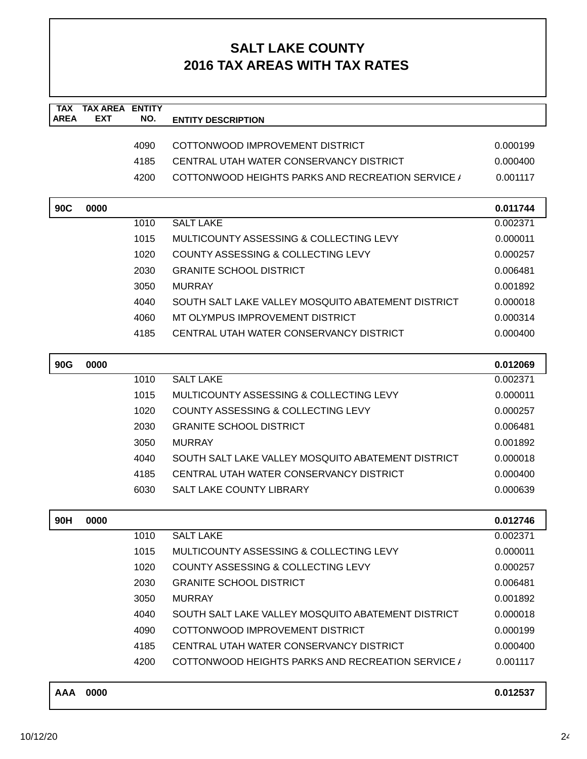| <b>AREA</b> | <b>EXT</b>  | NO.  | <b>ENTITY DESCRIPTION</b>                              |          |
|-------------|-------------|------|--------------------------------------------------------|----------|
|             |             | 4090 | COTTONWOOD IMPROVEMENT DISTRICT                        | 0.000199 |
|             |             | 4185 | CENTRAL UTAH WATER CONSERVANCY DISTRICT                | 0.000400 |
|             |             | 4200 | <b>COTTONWOOD HEIGHTS PARKS AND RECREATION SERVICE</b> | 0.001117 |
|             |             |      |                                                        |          |
| 90C         | 0000        |      |                                                        | 0.011744 |
|             |             | 1010 | <b>SALT LAKE</b>                                       | 0.002371 |
|             |             | 1015 | MULTICOUNTY ASSESSING & COLLECTING LEVY                | 0.000011 |
|             |             | 1020 | COUNTY ASSESSING & COLLECTING LEVY                     | 0.000257 |
|             |             | 2030 | <b>GRANITE SCHOOL DISTRICT</b>                         | 0.006481 |
|             |             | 3050 | <b>MURRAY</b>                                          | 0.001892 |
|             |             | 4040 | SOUTH SALT LAKE VALLEY MOSQUITO ABATEMENT DISTRICT     | 0.000018 |
|             |             | 4060 | MT OLYMPUS IMPROVEMENT DISTRICT                        | 0.000314 |
|             |             | 4185 | CENTRAL UTAH WATER CONSERVANCY DISTRICT                | 0.000400 |
|             |             |      |                                                        |          |
| <b>90G</b>  | 0000        |      |                                                        | 0.012069 |
|             |             | 1010 | <b>SALT LAKE</b>                                       | 0.002371 |
|             |             | 1015 | MULTICOUNTY ASSESSING & COLLECTING LEVY                | 0.000011 |
|             |             | 1020 | COUNTY ASSESSING & COLLECTING LEVY                     | 0.000257 |
|             |             | 2030 | <b>GRANITE SCHOOL DISTRICT</b>                         | 0.006481 |
|             |             | 3050 | <b>MURRAY</b>                                          | 0.001892 |
|             |             | 4040 | SOUTH SALT LAKE VALLEY MOSQUITO ABATEMENT DISTRICT     | 0.000018 |
|             |             | 4185 | CENTRAL UTAH WATER CONSERVANCY DISTRICT                | 0.000400 |
|             |             | 6030 | <b>SALT LAKE COUNTY LIBRARY</b>                        | 0.000639 |
|             |             |      |                                                        |          |
| 90H         | 0000        |      |                                                        | 0.012746 |
|             |             | 1010 | <b>SALT LAKE</b>                                       | 0.002371 |
|             |             | 1015 | MULTICOUNTY ASSESSING & COLLECTING LEVY                | 0.000011 |
|             |             | 1020 | COUNTY ASSESSING & COLLECTING LEVY                     | 0.000257 |
|             |             | 2030 | <b>GRANITE SCHOOL DISTRICT</b>                         | 0.006481 |
|             |             | 3050 | <b>MURRAY</b>                                          | 0.001892 |
|             |             | 4040 | SOUTH SALT LAKE VALLEY MOSQUITO ABATEMENT DISTRICT     | 0.000018 |
|             |             | 4090 | COTTONWOOD IMPROVEMENT DISTRICT                        | 0.000199 |
|             |             | 4185 | CENTRAL UTAH WATER CONSERVANCY DISTRICT                | 0.000400 |
|             |             | 4200 | COTTONWOOD HEIGHTS PARKS AND RECREATION SERVICE /      | 0.001117 |
|             | $AA$ $0000$ |      |                                                        | 0.04252  |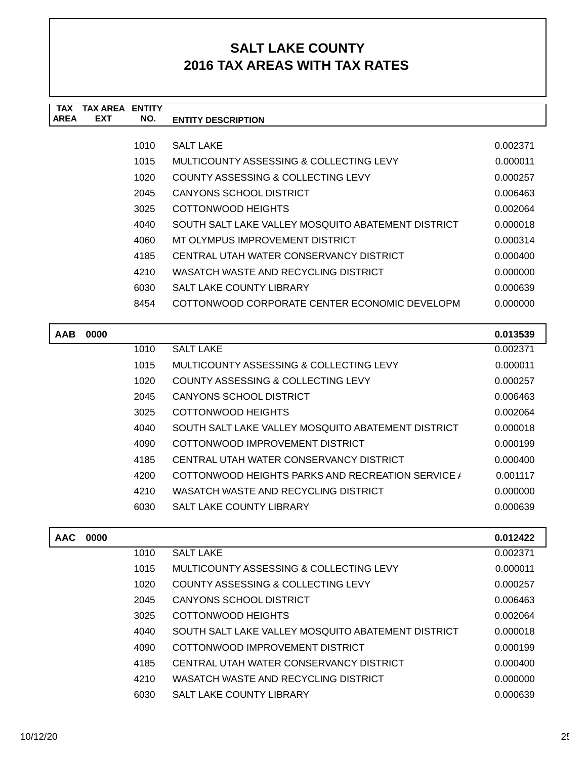| <b>TAX</b>  | TAX AREA   | <b>ENTITY</b> |                                                    |          |
|-------------|------------|---------------|----------------------------------------------------|----------|
| <b>AREA</b> | <b>EXT</b> | NO.           | <b>ENTITY DESCRIPTION</b>                          |          |
|             |            |               |                                                    |          |
|             |            | 1010          | <b>SALT LAKE</b>                                   | 0.002371 |
|             |            | 1015          | MULTICOUNTY ASSESSING & COLLECTING LEVY            | 0.000011 |
|             |            | 1020          | COUNTY ASSESSING & COLLECTING LEVY                 | 0.000257 |
|             |            | 2045          | <b>CANYONS SCHOOL DISTRICT</b>                     | 0.006463 |
|             |            | 3025          | COTTONWOOD HEIGHTS                                 | 0.002064 |
|             |            | 4040          | SOUTH SALT LAKE VALLEY MOSQUITO ABATEMENT DISTRICT | 0.000018 |
|             |            | 4060          | MT OLYMPUS IMPROVEMENT DISTRICT                    | 0.000314 |
|             |            | 4185          | CENTRAL UTAH WATER CONSERVANCY DISTRICT            | 0.000400 |
|             |            | 4210          | WASATCH WASTE AND RECYCLING DISTRICT               | 0.000000 |
|             |            | 6030          | <b>SALT LAKE COUNTY LIBRARY</b>                    | 0.000639 |
|             |            | 8454          | COTTONWOOD CORPORATE CENTER ECONOMIC DEVELOPM      | 0.000000 |
|             |            |               |                                                    |          |
| <b>AAB</b>  | 0000       |               |                                                    | 0.013539 |
|             |            | 1010          | <b>SALT LAKE</b>                                   | 0.002371 |
|             |            | 1015          | MULTICOUNTY ASSESSING & COLLECTING LEVY            | 0.000011 |
|             |            | 1020          | COUNTY ASSESSING & COLLECTING LEVY                 | 0.000257 |
|             |            | 0.015         | $\bigcap_{n=1}^{\infty}$                           | 0.000100 |

| 2045 | CANYONS SCHOOL DISTRICT                            | 0.006463 |
|------|----------------------------------------------------|----------|
| 3025 | COTTONWOOD HEIGHTS                                 | 0.002064 |
| 4040 | SOUTH SALT LAKE VALLEY MOSQUITO ABATEMENT DISTRICT | 0.000018 |
| 4090 | COTTONWOOD IMPROVEMENT DISTRICT                    | 0.000199 |
| 4185 | CENTRAL UTAH WATER CONSERVANCY DISTRICT            | 0.000400 |
| 4200 | COTTONWOOD HEIGHTS PARKS AND RECREATION SERVICE /  | 0.001117 |
| 4210 | WASATCH WASTE AND RECYCLING DISTRICT               | 0.000000 |
| 6030 | <b>SALT LAKE COUNTY LIBRARY</b>                    | 0.000639 |
|      |                                                    |          |

| <b>AAC</b> | 0000 |      |                                                    | 0.012422 |
|------------|------|------|----------------------------------------------------|----------|
|            |      | 1010 | <b>SALT LAKE</b>                                   | 0.002371 |
|            |      | 1015 | MULTICOUNTY ASSESSING & COLLECTING LEVY            | 0.000011 |
|            |      | 1020 | COUNTY ASSESSING & COLLECTING LEVY                 | 0.000257 |
|            |      | 2045 | CANYONS SCHOOL DISTRICT                            | 0.006463 |
|            |      | 3025 | COTTONWOOD HEIGHTS                                 | 0.002064 |
|            |      | 4040 | SOUTH SALT LAKE VALLEY MOSQUITO ABATEMENT DISTRICT | 0.000018 |
|            |      | 4090 | COTTONWOOD IMPROVEMENT DISTRICT                    | 0.000199 |
|            |      | 4185 | CENTRAL UTAH WATER CONSERVANCY DISTRICT            | 0.000400 |
|            |      | 4210 | WASATCH WASTE AND RECYCLING DISTRICT               | 0.000000 |
|            |      | 6030 | <b>SALT LAKE COUNTY LIBRARY</b>                    | 0.000639 |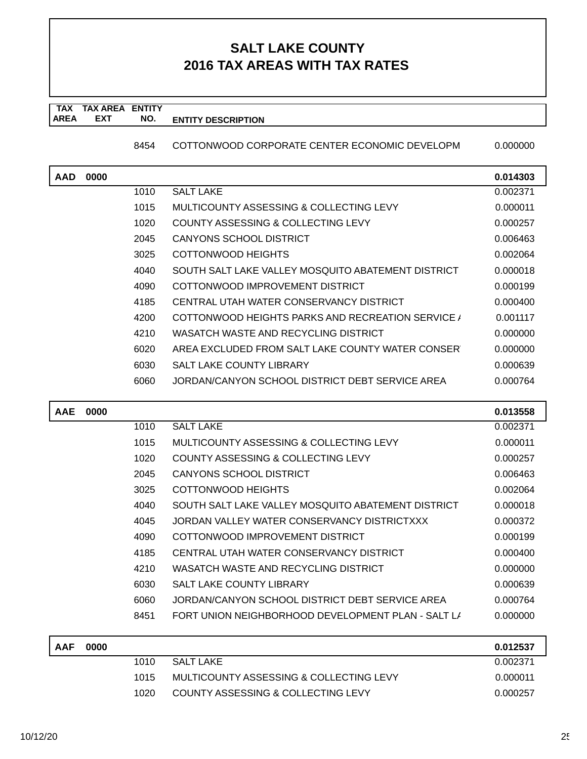#### **TAX TAX AREA ENTITY AREA ENTITY DESCRIPTION EXT NO.**

8454 COTTONWOOD CORPORATE CENTER ECONOMIC DEVELOPM 0.000000

**AAD 0000 0.014303** 1010 SALT LAKE 0.002371 1015 MULTICOUNTY ASSESSING & COLLECTING LEVY 0.000011 1020 COUNTY ASSESSING & COLLECTING LEVY 0.000257 2045 CANYONS SCHOOL DISTRICT CONSERVERSE CONSERVERSE CONSERVERSE CONSERVERSE CONSERVERSE CONSERVERSE CONSERVERS 3025 COTTONWOOD HEIGHTS 8025 COTTON CODE REGISTER AND THE USE ON A 2002 064 4040 SOUTH SALT LAKE VALLEY MOSQUITO ABATEMENT DISTRICT 0.000018 4090 COTTONWOOD IMPROVEMENT DISTRICT  $0.000199$ 4185 CENTRAL UTAH WATER CONSERVANCY DISTRICT 0.000400 4200 COTTONWOOD HEIGHTS PARKS AND RECREATION SERVICE / 0.001117 4210 WASATCH WASTE AND RECYCLING DISTRICT  $0.0000000$ 6020 AREA EXCLUDED FROM SALT LAKE COUNTY WATER CONSERV 0.000000 6030 SALT LAKE COUNTY LIBRARY 6030 0.000639 6060 JORDAN/CANYON SCHOOL DISTRICT DEBT SERVICE AREA 0.000764

| <b>AAE</b> | 0000 |      |                                                    | 0.013558 |
|------------|------|------|----------------------------------------------------|----------|
|            |      | 1010 | <b>SALT LAKE</b>                                   | 0.002371 |
|            |      | 1015 | MULTICOUNTY ASSESSING & COLLECTING LEVY            | 0.000011 |
|            |      | 1020 | COUNTY ASSESSING & COLLECTING LEVY                 | 0.000257 |
|            |      | 2045 | CANYONS SCHOOL DISTRICT                            | 0.006463 |
|            |      | 3025 | COTTONWOOD HEIGHTS                                 | 0.002064 |
|            |      | 4040 | SOUTH SALT LAKE VALLEY MOSQUITO ABATEMENT DISTRICT | 0.000018 |
|            |      | 4045 | JORDAN VALLEY WATER CONSERVANCY DISTRICTXXX        | 0.000372 |
|            |      | 4090 | COTTONWOOD IMPROVEMENT DISTRICT                    | 0.000199 |
|            |      | 4185 | CENTRAL UTAH WATER CONSERVANCY DISTRICT            | 0.000400 |
|            |      | 4210 | WASATCH WASTE AND RECYCLING DISTRICT               | 0.000000 |
|            |      | 6030 | <b>SALT LAKE COUNTY LIBRARY</b>                    | 0.000639 |
|            |      | 6060 | JORDAN/CANYON SCHOOL DISTRICT DEBT SERVICE AREA    | 0.000764 |
|            |      | 8451 | FORT UNION NEIGHBORHOOD DEVELOPMENT PLAN - SALT LI | 0.000000 |
|            |      |      |                                                    |          |

| <b>AAF</b> | 0000 |       |                                         | 0.012537 |
|------------|------|-------|-----------------------------------------|----------|
|            |      | 1010  | SALT LAKE                               | 0.002371 |
|            |      | 1015  | MULTICOUNTY ASSESSING & COLLECTING LEVY | 0.000011 |
|            |      | 1020. | COUNTY ASSESSING & COLLECTING LEVY      | 0.000257 |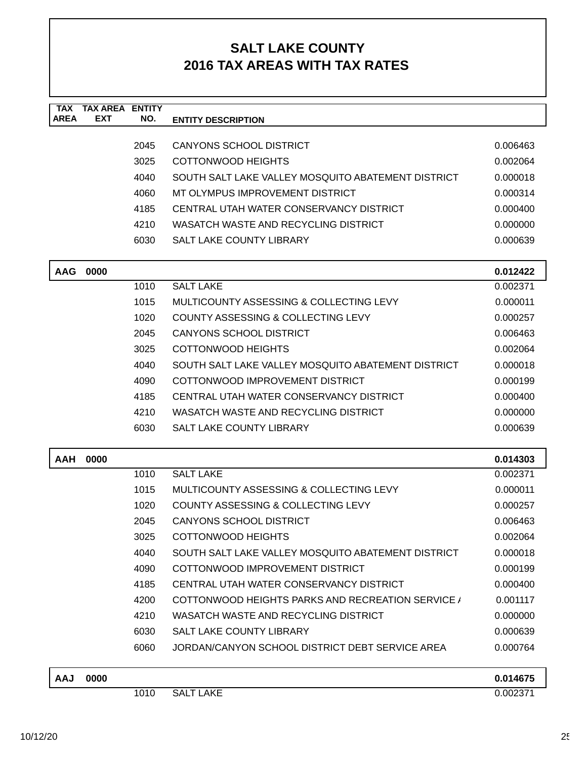| <b>TAX</b><br><b>AREA</b> | <b>TAX AREA ENTITY</b><br>EXT | NO.  | <b>ENTITY DESCRIPTION</b>                          |          |
|---------------------------|-------------------------------|------|----------------------------------------------------|----------|
|                           |                               |      |                                                    |          |
|                           |                               | 2045 | <b>CANYONS SCHOOL DISTRICT</b>                     | 0.006463 |
|                           |                               | 3025 | <b>COTTONWOOD HEIGHTS</b>                          | 0.002064 |
|                           |                               | 4040 | SOUTH SALT LAKE VALLEY MOSQUITO ABATEMENT DISTRICT | 0.000018 |
|                           |                               | 4060 | MT OLYMPUS IMPROVEMENT DISTRICT                    | 0.000314 |
|                           |                               | 4185 | CENTRAL UTAH WATER CONSERVANCY DISTRICT            | 0.000400 |
|                           |                               | 4210 | WASATCH WASTE AND RECYCLING DISTRICT               | 0.000000 |
|                           |                               | 6030 | <b>SALT LAKE COUNTY LIBRARY</b>                    | 0.000639 |
| <b>AAG</b>                | 0000                          |      |                                                    | 0.012422 |
|                           |                               | 1010 | <b>SALT LAKE</b>                                   | 0.002371 |
|                           |                               | 1015 | MULTICOUNTY ASSESSING & COLLECTING LEVY            | 0.000011 |
|                           |                               | 1020 | COUNTY ASSESSING & COLLECTING LEVY                 | 0.000257 |
|                           |                               | 2045 | <b>CANYONS SCHOOL DISTRICT</b>                     | 0.006463 |
|                           |                               | 3025 | COTTONWOOD HEIGHTS                                 | 0.002064 |
|                           |                               | 4040 | SOUTH SALT LAKE VALLEY MOSQUITO ABATEMENT DISTRICT | 0.000018 |
|                           |                               | 4090 | COTTONWOOD IMPROVEMENT DISTRICT                    | 0.000199 |
|                           |                               | 4185 | CENTRAL UTAH WATER CONSERVANCY DISTRICT            | 0.000400 |
|                           |                               | 4210 | WASATCH WASTE AND RECYCLING DISTRICT               | 0.000000 |
|                           |                               | 6030 | <b>SALT LAKE COUNTY LIBRARY</b>                    | 0.000639 |
| <b>AAH</b>                | 0000                          |      |                                                    | 0.014303 |
|                           |                               | 1010 | <b>SALT LAKE</b>                                   | 0.002371 |
|                           |                               | 1015 | MULTICOUNTY ASSESSING & COLLECTING LEVY            | 0.000011 |
|                           |                               | 1020 | <b>COUNTY ASSESSING &amp; COLLECTING LEVY</b>      | 0.000257 |
|                           |                               | 2045 | <b>CANYONS SCHOOL DISTRICT</b>                     | 0.006463 |
|                           |                               | 3025 | <b>COTTONWOOD HEIGHTS</b>                          | 0.002064 |
|                           |                               | 4040 | SOUTH SALT LAKE VALLEY MOSQUITO ABATEMENT DISTRICT | 0.000018 |
|                           |                               | 4090 | COTTONWOOD IMPROVEMENT DISTRICT                    | 0.000199 |
|                           |                               | 4185 | CENTRAL UTAH WATER CONSERVANCY DISTRICT            | 0.000400 |
|                           |                               | 4200 | COTTONWOOD HEIGHTS PARKS AND RECREATION SERVICE /  | 0.001117 |
|                           |                               | 4210 | WASATCH WASTE AND RECYCLING DISTRICT               | 0.000000 |
|                           |                               | 6030 | SALT LAKE COUNTY LIBRARY                           | 0.000639 |
|                           |                               | 6060 | JORDAN/CANYON SCHOOL DISTRICT DEBT SERVICE AREA    | 0.000764 |
| <b>AAJ</b>                | 0000                          |      |                                                    | 0.014675 |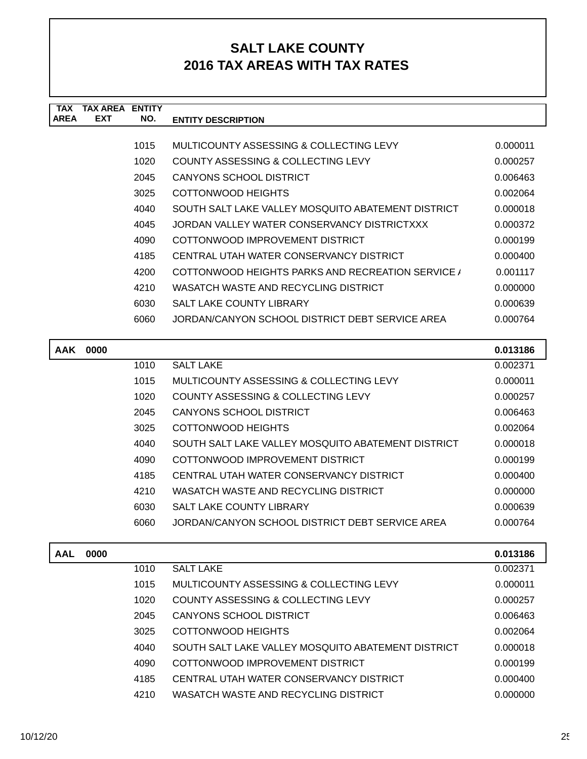| <b>TAX</b>  | <b>TAX AREA ENTITY</b> |      |                                                    |          |
|-------------|------------------------|------|----------------------------------------------------|----------|
| <b>AREA</b> | <b>EXT</b>             | NO.  | <b>ENTITY DESCRIPTION</b>                          |          |
|             |                        | 1015 | MULTICOUNTY ASSESSING & COLLECTING LEVY            | 0.000011 |
|             |                        | 1020 | COUNTY ASSESSING & COLLECTING LEVY                 | 0.000257 |
|             |                        | 2045 | <b>CANYONS SCHOOL DISTRICT</b>                     | 0.006463 |
|             |                        | 3025 | COTTONWOOD HEIGHTS                                 | 0.002064 |
|             |                        | 4040 | SOUTH SALT LAKE VALLEY MOSQUITO ABATEMENT DISTRICT | 0.000018 |
|             |                        | 4045 | JORDAN VALLEY WATER CONSERVANCY DISTRICTXXX        | 0.000372 |
|             |                        | 4090 | COTTONWOOD IMPROVEMENT DISTRICT                    | 0.000199 |
|             |                        | 4185 | CENTRAL UTAH WATER CONSERVANCY DISTRICT            | 0.000400 |
|             |                        | 4200 | COTTONWOOD HEIGHTS PARKS AND RECREATION SERVICE /  | 0.001117 |
|             |                        | 4210 | WASATCH WASTE AND RECYCLING DISTRICT               | 0.000000 |
|             |                        | 6030 | <b>SALT LAKE COUNTY LIBRARY</b>                    | 0.000639 |
|             |                        | 6060 | JORDAN/CANYON SCHOOL DISTRICT DEBT SERVICE AREA    | 0.000764 |
|             |                        |      |                                                    |          |
| <b>AAK</b>  | 0000                   |      |                                                    | 0.013186 |
|             |                        | 1010 | <b>SALT LAKE</b>                                   | 0.002371 |
|             |                        | 1015 | MULTICOUNTY ASSESSING & COLLECTING LEVY            | 0.000011 |
|             |                        | 1020 | COUNTY ASSESSING & COLLECTING LEVY                 | 0.000257 |
|             |                        | 2045 | <b>CANYONS SCHOOL DISTRICT</b>                     | 0.006463 |
|             |                        | 3025 | <b>COTTONWOOD HEIGHTS</b>                          | 0.002064 |
|             |                        | 4040 | SOUTH SALT LAKE VALLEY MOSQUITO ABATEMENT DISTRICT | 0.000018 |
|             |                        | 4090 | COTTONWOOD IMPROVEMENT DISTRICT                    | 0.000199 |
|             |                        | 4185 | CENTRAL UTAH WATER CONSERVANCY DISTRICT            | 0.000400 |
|             |                        | 4210 | WASATCH WASTE AND RECYCLING DISTRICT               | 0.000000 |
|             |                        | 6030 | <b>SALT LAKE COUNTY LIBRARY</b>                    | 0.000639 |
|             |                        | 6060 | JORDAN/CANYON SCHOOL DISTRICT DEBT SERVICE AREA    | 0.000764 |
|             |                        |      |                                                    |          |
| <b>AAL</b>  | 0000                   |      |                                                    | 0.013186 |
|             |                        | 1010 | <b>SALT LAKE</b>                                   | 0.002371 |
|             |                        | 1015 | MULTICOUNTY ASSESSING & COLLECTING LEVY            | 0.000011 |
|             |                        | 1020 | <b>COUNTY ASSESSING &amp; COLLECTING LEVY</b>      | 0.000257 |
|             |                        | 2045 | <b>CANYONS SCHOOL DISTRICT</b>                     | 0.006463 |
|             |                        | 3025 | COTTONWOOD HEIGHTS                                 | 0.002064 |
|             |                        | 4040 | SOUTH SALT LAKE VALLEY MOSQUITO ABATEMENT DISTRICT | 0.000018 |
|             |                        | 4090 | COTTONWOOD IMPROVEMENT DISTRICT                    | 0.000199 |
|             |                        | 4185 | CENTRAL UTAH WATER CONSERVANCY DISTRICT            | 0.000400 |
|             |                        | 4210 | WASATCH WASTE AND RECYCLING DISTRICT               | 0.000000 |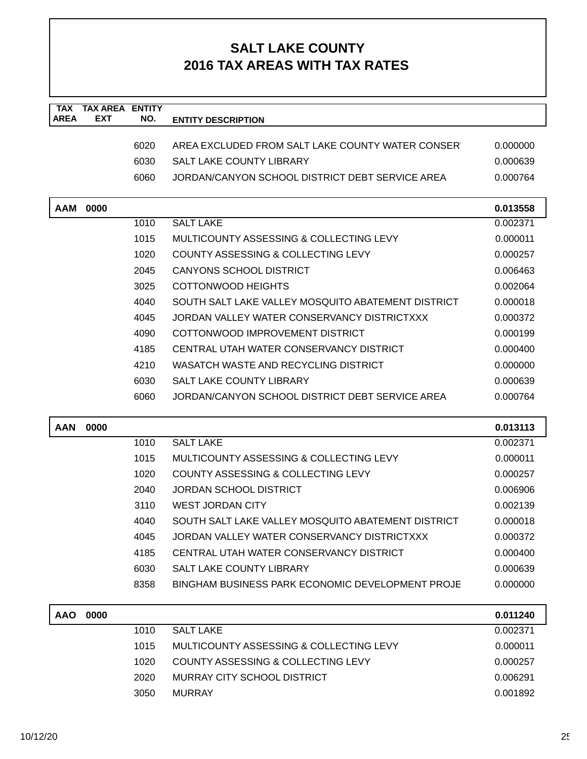| <b>TAX</b><br><b>AREA</b> | <b>TAX AREA</b><br><b>EXT</b> | <b>ENTITY</b> |                                                    |          |
|---------------------------|-------------------------------|---------------|----------------------------------------------------|----------|
|                           |                               | NO.           | <b>ENTITY DESCRIPTION</b>                          |          |
|                           |                               | 6020          | AREA EXCLUDED FROM SALT LAKE COUNTY WATER CONSER   | 0.000000 |
|                           |                               | 6030          | <b>SALT LAKE COUNTY LIBRARY</b>                    | 0.000639 |
|                           |                               | 6060          | JORDAN/CANYON SCHOOL DISTRICT DEBT SERVICE AREA    | 0.000764 |
|                           |                               |               |                                                    |          |
| <b>AAM</b>                | 0000                          |               |                                                    | 0.013558 |
|                           |                               | 1010          | <b>SALT LAKE</b>                                   | 0.002371 |
|                           |                               | 1015          | MULTICOUNTY ASSESSING & COLLECTING LEVY            | 0.000011 |
|                           |                               | 1020          | COUNTY ASSESSING & COLLECTING LEVY                 | 0.000257 |
|                           |                               | 2045          | <b>CANYONS SCHOOL DISTRICT</b>                     | 0.006463 |
|                           |                               | 3025          | <b>COTTONWOOD HEIGHTS</b>                          | 0.002064 |
|                           |                               | 4040          | SOUTH SALT LAKE VALLEY MOSQUITO ABATEMENT DISTRICT | 0.000018 |
|                           |                               | 4045          | JORDAN VALLEY WATER CONSERVANCY DISTRICTXXX        | 0.000372 |
|                           |                               | 4090          | COTTONWOOD IMPROVEMENT DISTRICT                    | 0.000199 |
|                           |                               | 4185          | CENTRAL UTAH WATER CONSERVANCY DISTRICT            | 0.000400 |
|                           |                               | 4210          | WASATCH WASTE AND RECYCLING DISTRICT               | 0.000000 |
|                           |                               | 6030          | <b>SALT LAKE COUNTY LIBRARY</b>                    | 0.000639 |
|                           |                               | 6060          | JORDAN/CANYON SCHOOL DISTRICT DEBT SERVICE AREA    | 0.000764 |
|                           |                               |               |                                                    |          |
| <b>AAN</b>                | 0000                          |               |                                                    | 0.013113 |
|                           |                               | 1010          | <b>SALT LAKE</b>                                   | 0.002371 |
|                           |                               | 1015          | MULTICOUNTY ASSESSING & COLLECTING LEVY            | 0.000011 |
|                           |                               | 1020          | COUNTY ASSESSING & COLLECTING LEVY                 | 0.000257 |
|                           |                               | 2040          | <b>JORDAN SCHOOL DISTRICT</b>                      | 0.006906 |
|                           |                               | 3110          | <b>WEST JORDAN CITY</b>                            | 0.002139 |
|                           |                               | 4040          | SOUTH SALT LAKE VALLEY MOSQUITO ABATEMENT DISTRICT | 0.000018 |
|                           |                               | 4045          | JORDAN VALLEY WATER CONSERVANCY DISTRICTXXX        | 0.000372 |
|                           |                               | 4185          | CENTRAL UTAH WATER CONSERVANCY DISTRICT            | 0.000400 |
|                           |                               | 6030          | SALT LAKE COUNTY LIBRARY                           | 0.000639 |
|                           |                               | 8358          | BINGHAM BUSINESS PARK ECONOMIC DEVELOPMENT PROJE   | 0.000000 |
|                           |                               |               |                                                    |          |
| <b>AAO</b>                | 0000                          |               |                                                    | 0.011240 |
|                           |                               | 1010          | <b>SALT LAKE</b>                                   | 0.002371 |
|                           |                               | 1015          | MULTICOUNTY ASSESSING & COLLECTING LEVY            | 0.000011 |
|                           |                               | 1020          | COUNTY ASSESSING & COLLECTING LEVY                 | 0.000257 |
|                           |                               | 2020          | MURRAY CITY SCHOOL DISTRICT                        | 0.006291 |
|                           |                               | 3050          | <b>MURRAY</b>                                      | 0.001892 |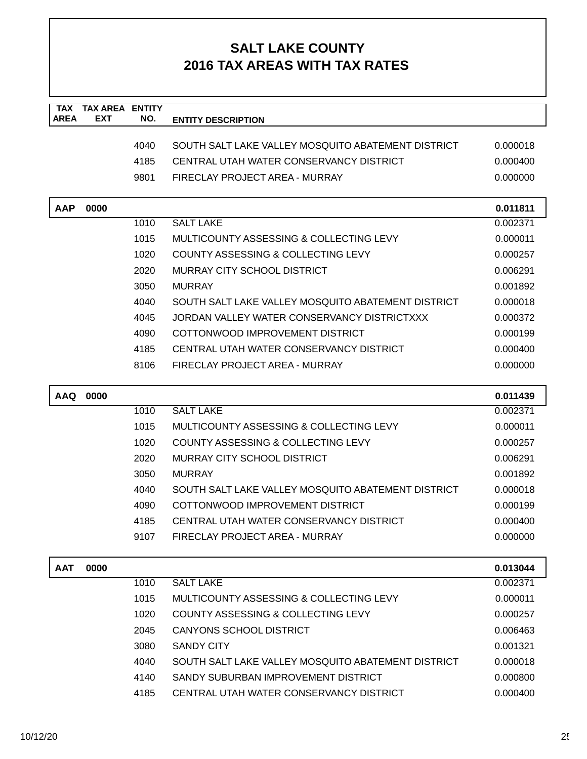| <b>TAX</b><br><b>AREA</b> | <b>TAX AREA ENTITY</b><br><b>EXT</b> | NO.  |                                                    |          |
|---------------------------|--------------------------------------|------|----------------------------------------------------|----------|
|                           |                                      |      | <b>ENTITY DESCRIPTION</b>                          |          |
|                           |                                      | 4040 | SOUTH SALT LAKE VALLEY MOSQUITO ABATEMENT DISTRICT | 0.000018 |
|                           |                                      | 4185 | CENTRAL UTAH WATER CONSERVANCY DISTRICT            | 0.000400 |
|                           |                                      | 9801 | FIRECLAY PROJECT AREA - MURRAY                     | 0.000000 |
|                           |                                      |      |                                                    |          |
| <b>AAP</b>                | 0000                                 |      |                                                    | 0.011811 |
|                           |                                      | 1010 | <b>SALT LAKE</b>                                   | 0.002371 |
|                           |                                      | 1015 | MULTICOUNTY ASSESSING & COLLECTING LEVY            | 0.000011 |
|                           |                                      | 1020 | COUNTY ASSESSING & COLLECTING LEVY                 | 0.000257 |
|                           |                                      | 2020 | MURRAY CITY SCHOOL DISTRICT                        | 0.006291 |
|                           |                                      | 3050 | <b>MURRAY</b>                                      | 0.001892 |
|                           |                                      | 4040 | SOUTH SALT LAKE VALLEY MOSOUITO ABATEMENT DISTRICT | 0.000018 |
|                           |                                      | 4045 | JORDAN VALLEY WATER CONSERVANCY DISTRICTXXX        | 0.000372 |
|                           |                                      | 4090 | COTTONWOOD IMPROVEMENT DISTRICT                    | 0.000199 |
|                           |                                      | 4185 | CENTRAL UTAH WATER CONSERVANCY DISTRICT            | 0.000400 |
|                           |                                      | 8106 | FIRECLAY PROJECT AREA - MURRAY                     | 0.000000 |
| <b>AAQ</b>                | 0000                                 |      |                                                    | 0.011439 |
|                           |                                      | 1010 | <b>SALT LAKE</b>                                   | 0.002371 |
|                           |                                      | 1015 | MULTICOUNTY ASSESSING & COLLECTING LEVY            | 0.000011 |
|                           |                                      | 1020 | COUNTY ASSESSING & COLLECTING LEVY                 | 0.000257 |
|                           |                                      | 2020 | MURRAY CITY SCHOOL DISTRICT                        | 0.006291 |
|                           |                                      | 3050 | <b>MURRAY</b>                                      | 0.001892 |
|                           |                                      | 4040 | SOUTH SALT LAKE VALLEY MOSQUITO ABATEMENT DISTRICT | 0.000018 |
|                           |                                      | 4090 | COTTONWOOD IMPROVEMENT DISTRICT                    | 0.000199 |
|                           |                                      | 4185 | CENTRAL UTAH WATER CONSERVANCY DISTRICT            | 0.000400 |
|                           |                                      | 9107 | FIRECLAY PROJECT AREA - MURRAY                     | 0.000000 |
|                           |                                      |      |                                                    |          |
| <b>AAT</b>                | 0000                                 |      |                                                    | 0.013044 |
|                           |                                      | 1010 | <b>SALT LAKE</b>                                   | 0.002371 |
|                           |                                      | 1015 | MULTICOUNTY ASSESSING & COLLECTING LEVY            | 0.000011 |
|                           |                                      | 1020 | <b>COUNTY ASSESSING &amp; COLLECTING LEVY</b>      | 0.000257 |
|                           |                                      | 2045 | <b>CANYONS SCHOOL DISTRICT</b>                     | 0.006463 |
|                           |                                      | 3080 | <b>SANDY CITY</b>                                  | 0.001321 |
|                           |                                      | 4040 | SOUTH SALT LAKE VALLEY MOSQUITO ABATEMENT DISTRICT | 0.000018 |
|                           |                                      | 4140 | SANDY SUBURBAN IMPROVEMENT DISTRICT                | 0.000800 |
|                           |                                      | 4185 | CENTRAL UTAH WATER CONSERVANCY DISTRICT            | 0.000400 |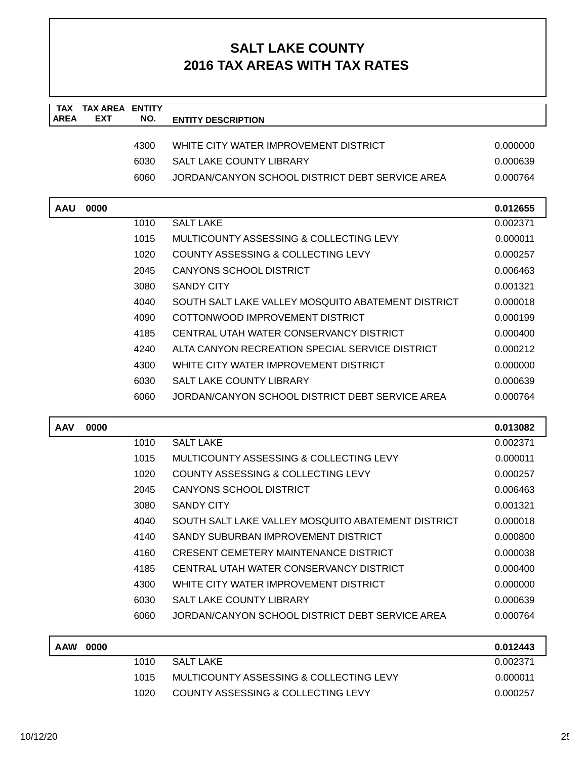| <b>TAX</b><br><b>AREA</b> | <b>TAX AREA</b><br><b>EXT</b> | <b>ENTITY</b><br>NO. |                                                    |          |
|---------------------------|-------------------------------|----------------------|----------------------------------------------------|----------|
|                           |                               |                      | <b>ENTITY DESCRIPTION</b>                          |          |
|                           |                               | 4300                 | WHITE CITY WATER IMPROVEMENT DISTRICT              | 0.000000 |
|                           |                               | 6030                 | <b>SALT LAKE COUNTY LIBRARY</b>                    | 0.000639 |
|                           |                               | 6060                 | JORDAN/CANYON SCHOOL DISTRICT DEBT SERVICE AREA    | 0.000764 |
|                           |                               |                      |                                                    |          |
| <b>AAU</b>                | 0000                          |                      |                                                    | 0.012655 |
|                           |                               | 1010                 | <b>SALT LAKE</b>                                   | 0.002371 |
|                           |                               | 1015                 | MULTICOUNTY ASSESSING & COLLECTING LEVY            | 0.000011 |
|                           |                               | 1020                 | COUNTY ASSESSING & COLLECTING LEVY                 | 0.000257 |
|                           |                               | 2045                 | CANYONS SCHOOL DISTRICT                            | 0.006463 |
|                           |                               | 3080                 | <b>SANDY CITY</b>                                  | 0.001321 |
|                           |                               | 4040                 | SOUTH SALT LAKE VALLEY MOSQUITO ABATEMENT DISTRICT | 0.000018 |
|                           |                               | 4090                 | COTTONWOOD IMPROVEMENT DISTRICT                    | 0.000199 |
|                           |                               | 4185                 | CENTRAL UTAH WATER CONSERVANCY DISTRICT            | 0.000400 |
|                           |                               | 4240                 | ALTA CANYON RECREATION SPECIAL SERVICE DISTRICT    | 0.000212 |
|                           |                               | 4300                 | WHITE CITY WATER IMPROVEMENT DISTRICT              | 0.000000 |
|                           |                               | 6030                 | SALT LAKE COUNTY LIBRARY                           | 0.000639 |
|                           |                               | 6060                 | JORDAN/CANYON SCHOOL DISTRICT DEBT SERVICE AREA    | 0.000764 |
|                           |                               |                      |                                                    |          |
| <b>AAV</b>                | 0000                          |                      |                                                    | 0.013082 |
|                           |                               | 1010                 | <b>SALT LAKE</b>                                   | 0.002371 |
|                           |                               | 1015                 | MULTICOUNTY ASSESSING & COLLECTING LEVY            | 0.000011 |
|                           |                               | 1020                 | <b>COUNTY ASSESSING &amp; COLLECTING LEVY</b>      | 0.000257 |
|                           |                               | 2045                 | <b>CANYONS SCHOOL DISTRICT</b>                     | 0.006463 |
|                           |                               | 3080                 | <b>SANDY CITY</b>                                  | 0.001321 |
|                           |                               | 4040                 | SOUTH SALT LAKE VALLEY MOSQUITO ABATEMENT DISTRICT | 0.000018 |
|                           |                               | 4140                 | SANDY SUBURBAN IMPROVEMENT DISTRICT                | 0.000800 |
|                           |                               | 4160                 | <b>CRESENT CEMETERY MAINTENANCE DISTRICT</b>       | 0.000038 |
|                           |                               | 4185                 | CENTRAL UTAH WATER CONSERVANCY DISTRICT            | 0.000400 |
|                           |                               | 4300                 | WHITE CITY WATER IMPROVEMENT DISTRICT              | 0.000000 |
|                           |                               | 6030                 | SALT LAKE COUNTY LIBRARY                           | 0.000639 |
|                           |                               | 6060                 | JORDAN/CANYON SCHOOL DISTRICT DEBT SERVICE AREA    | 0.000764 |
| <b>AAW</b>                | 0000                          |                      |                                                    | 0.012443 |
|                           |                               | 1010                 | <b>SALT LAKE</b>                                   | 0.002371 |
|                           |                               | 1015                 | MULTICOUNTY ASSESSING & COLLECTING LEVY            | 0.000011 |
|                           |                               | 1020                 | COUNTY ASSESSING & COLLECTING LEVY                 | 0.000257 |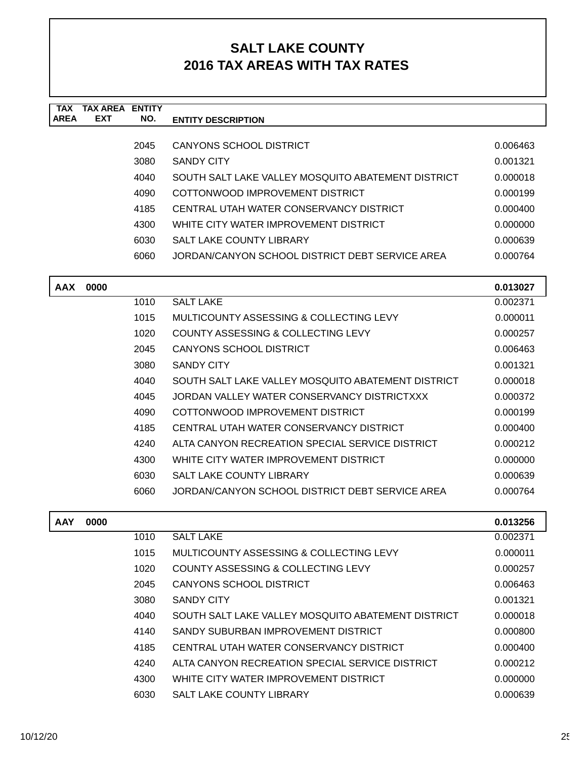| <b>TAX</b><br><b>AREA</b> | <b>TAX AREA ENTITY</b><br><b>EXT</b> | NO.  | <b>ENTITY DESCRIPTION</b>                          |          |
|---------------------------|--------------------------------------|------|----------------------------------------------------|----------|
|                           |                                      |      |                                                    |          |
|                           |                                      | 2045 | <b>CANYONS SCHOOL DISTRICT</b>                     | 0.006463 |
|                           |                                      | 3080 | <b>SANDY CITY</b>                                  | 0.001321 |
|                           |                                      | 4040 | SOUTH SALT LAKE VALLEY MOSQUITO ABATEMENT DISTRICT | 0.000018 |
|                           |                                      | 4090 | COTTONWOOD IMPROVEMENT DISTRICT                    | 0.000199 |
|                           |                                      | 4185 | CENTRAL UTAH WATER CONSERVANCY DISTRICT            | 0.000400 |
|                           |                                      | 4300 | WHITE CITY WATER IMPROVEMENT DISTRICT              | 0.000000 |
|                           |                                      | 6030 | <b>SALT LAKE COUNTY LIBRARY</b>                    | 0.000639 |
|                           |                                      | 6060 | JORDAN/CANYON SCHOOL DISTRICT DEBT SERVICE AREA    | 0.000764 |
| <b>AAX</b>                | 0000                                 |      |                                                    | 0.013027 |
|                           |                                      | 1010 | <b>SALT LAKE</b>                                   | 0.002371 |
|                           |                                      | 1015 | MULTICOUNTY ASSESSING & COLLECTING LEVY            | 0.000011 |
|                           |                                      | 1020 | COUNTY ASSESSING & COLLECTING LEVY                 | 0.000257 |
|                           |                                      | 2045 | <b>CANYONS SCHOOL DISTRICT</b>                     | 0.006463 |
|                           |                                      | 3080 | <b>SANDY CITY</b>                                  | 0.001321 |
|                           |                                      | 4040 | SOUTH SALT LAKE VALLEY MOSQUITO ABATEMENT DISTRICT | 0.000018 |
|                           |                                      | 4045 | JORDAN VALLEY WATER CONSERVANCY DISTRICTXXX        | 0.000372 |
|                           |                                      | 4090 | COTTONWOOD IMPROVEMENT DISTRICT                    | 0.000199 |
|                           |                                      | 4185 | CENTRAL UTAH WATER CONSERVANCY DISTRICT            | 0.000400 |
|                           |                                      | 4240 | ALTA CANYON RECREATION SPECIAL SERVICE DISTRICT    | 0.000212 |
|                           |                                      | 4300 | WHITE CITY WATER IMPROVEMENT DISTRICT              | 0.000000 |
|                           |                                      | 6030 | <b>SALT LAKE COUNTY LIBRARY</b>                    | 0.000639 |
|                           |                                      | 6060 | JORDAN/CANYON SCHOOL DISTRICT DEBT SERVICE AREA    | 0.000764 |
| <b>AAY</b>                | 0000                                 |      |                                                    | 0.013256 |
|                           |                                      | 1010 | <b>SALT LAKE</b>                                   | 0.002371 |
|                           |                                      | 1015 | MULTICOUNTY ASSESSING & COLLECTING LEVY            | 0.000011 |
|                           |                                      | 1020 | COUNTY ASSESSING & COLLECTING LEVY                 | 0.000257 |
|                           |                                      | 2045 | <b>CANYONS SCHOOL DISTRICT</b>                     | 0.006463 |
|                           |                                      | 3080 | SANDY CITY                                         | 0.001321 |
|                           |                                      | 4040 | SOUTH SALT LAKE VALLEY MOSQUITO ABATEMENT DISTRICT | 0.000018 |
|                           |                                      | 4140 | SANDY SUBURBAN IMPROVEMENT DISTRICT                | 0.000800 |
|                           |                                      | 4185 | CENTRAL UTAH WATER CONSERVANCY DISTRICT            | 0.000400 |
|                           |                                      | 4240 | ALTA CANYON RECREATION SPECIAL SERVICE DISTRICT    | 0.000212 |
|                           |                                      | 4300 | WHITE CITY WATER IMPROVEMENT DISTRICT              | 0.000000 |
|                           |                                      | 6030 | SALT LAKE COUNTY LIBRARY                           | 0.000639 |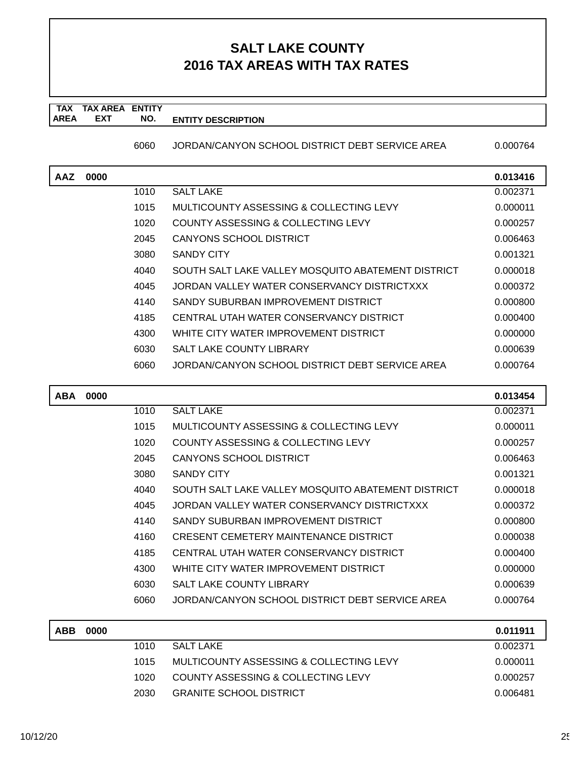#### **TAX TAX AREA ENTITY AREA ENTITY DESCRIPTION EXT NO.**

6060 JORDAN/CANYON SCHOOL DISTRICT DEBT SERVICE AREA 0.000764

| AAZ | 0000 |      |                                                    | 0.013416 |
|-----|------|------|----------------------------------------------------|----------|
|     |      | 1010 | <b>SALT LAKE</b>                                   | 0.002371 |
|     |      | 1015 | MULTICOUNTY ASSESSING & COLLECTING LEVY            | 0.000011 |
|     |      | 1020 | COUNTY ASSESSING & COLLECTING LEVY                 | 0.000257 |
|     |      | 2045 | CANYONS SCHOOL DISTRICT                            | 0.006463 |
|     |      | 3080 | <b>SANDY CITY</b>                                  | 0.001321 |
|     |      | 4040 | SOUTH SALT LAKE VALLEY MOSQUITO ABATEMENT DISTRICT | 0.000018 |
|     |      | 4045 | JORDAN VALLEY WATER CONSERVANCY DISTRICTXXX        | 0.000372 |
|     |      | 4140 | SANDY SUBURBAN IMPROVEMENT DISTRICT                | 0.000800 |
|     |      | 4185 | CENTRAL UTAH WATER CONSERVANCY DISTRICT            | 0.000400 |
|     |      | 4300 | WHITE CITY WATER IMPROVEMENT DISTRICT              | 0.000000 |
|     |      | 6030 | SALT LAKE COUNTY LIBRARY                           | 0.000639 |
|     |      | 6060 | JORDAN/CANYON SCHOOL DISTRICT DEBT SERVICE AREA    | 0.000764 |
|     |      |      |                                                    |          |

| <b>ABA</b> | 0000 |      |                                                    | 0.013454 |
|------------|------|------|----------------------------------------------------|----------|
|            |      | 1010 | <b>SALT LAKE</b>                                   | 0.002371 |
|            |      | 1015 | MULTICOUNTY ASSESSING & COLLECTING LEVY            | 0.000011 |
|            |      | 1020 | COUNTY ASSESSING & COLLECTING LEVY                 | 0.000257 |
|            |      | 2045 | CANYONS SCHOOL DISTRICT                            | 0.006463 |
|            |      | 3080 | <b>SANDY CITY</b>                                  | 0.001321 |
|            |      | 4040 | SOUTH SALT LAKE VALLEY MOSQUITO ABATEMENT DISTRICT | 0.000018 |
|            |      | 4045 | JORDAN VALLEY WATER CONSERVANCY DISTRICTXXX        | 0.000372 |
|            |      | 4140 | SANDY SUBURBAN IMPROVEMENT DISTRICT                | 0.000800 |
|            |      | 4160 | <b>CRESENT CEMETERY MAINTENANCE DISTRICT</b>       | 0.000038 |
|            |      | 4185 | CENTRAL UTAH WATER CONSERVANCY DISTRICT            | 0.000400 |
|            |      | 4300 | WHITE CITY WATER IMPROVEMENT DISTRICT              | 0.000000 |
|            |      | 6030 | <b>SALT LAKE COUNTY LIBRARY</b>                    | 0.000639 |
|            |      | 6060 | JORDAN/CANYON SCHOOL DISTRICT DEBT SERVICE AREA    | 0.000764 |
| <b>ABB</b> | 0000 |      |                                                    | 0.011911 |

| <b>ABB</b> | 0000 |      |                                         | 0.011911 |
|------------|------|------|-----------------------------------------|----------|
|            |      | 1010 | SALT LAKE                               | 0.002371 |
|            |      | 1015 | MULTICOUNTY ASSESSING & COLLECTING LEVY | 0.000011 |
|            |      | 1020 | COUNTY ASSESSING & COLLECTING LEVY      | 0.000257 |
|            |      | 2030 | <b>GRANITE SCHOOL DISTRICT</b>          | 0.006481 |
|            |      |      |                                         |          |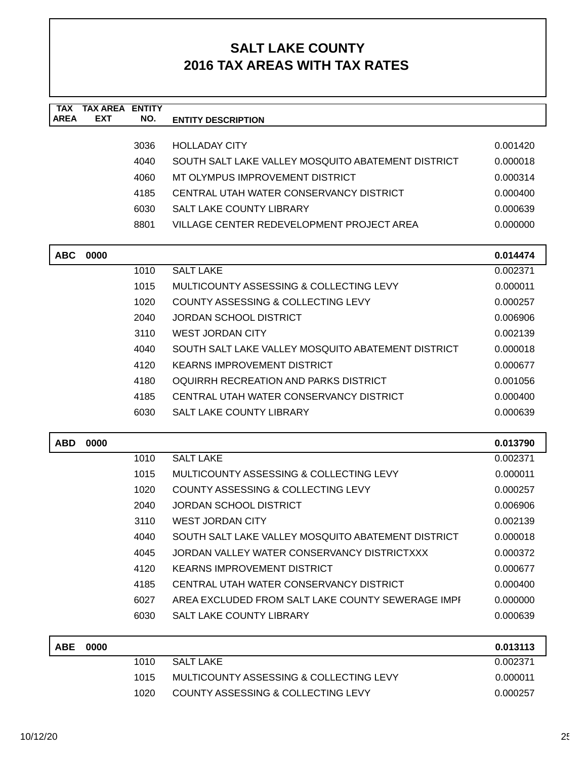| <b>TAX</b><br><b>AREA</b> | <b>TAX AREA ENTITY</b><br><b>EXT</b> | NO.  | <b>ENTITY DESCRIPTION</b>                          |                      |
|---------------------------|--------------------------------------|------|----------------------------------------------------|----------------------|
|                           |                                      |      |                                                    |                      |
|                           |                                      | 3036 | <b>HOLLADAY CITY</b>                               | 0.001420             |
|                           |                                      | 4040 | SOUTH SALT LAKE VALLEY MOSQUITO ABATEMENT DISTRICT | 0.000018             |
|                           |                                      | 4060 | MT OLYMPUS IMPROVEMENT DISTRICT                    | 0.000314             |
|                           |                                      | 4185 | CENTRAL UTAH WATER CONSERVANCY DISTRICT            | 0.000400             |
|                           |                                      | 6030 | <b>SALT LAKE COUNTY LIBRARY</b>                    | 0.000639             |
|                           |                                      | 8801 | VILLAGE CENTER REDEVELOPMENT PROJECT AREA          | 0.000000             |
| <b>ABC</b>                | 0000                                 |      |                                                    | 0.014474             |
|                           |                                      | 1010 | <b>SALT LAKE</b>                                   | 0.002371             |
|                           |                                      | 1015 | MULTICOUNTY ASSESSING & COLLECTING LEVY            | 0.000011             |
|                           |                                      | 1020 | COUNTY ASSESSING & COLLECTING LEVY                 | 0.000257             |
|                           |                                      | 2040 | JORDAN SCHOOL DISTRICT                             | 0.006906             |
|                           |                                      | 3110 | <b>WEST JORDAN CITY</b>                            | 0.002139             |
|                           |                                      | 4040 | SOUTH SALT LAKE VALLEY MOSQUITO ABATEMENT DISTRICT | 0.000018             |
|                           |                                      | 4120 | <b>KEARNS IMPROVEMENT DISTRICT</b>                 | 0.000677             |
|                           |                                      | 4180 | OQUIRRH RECREATION AND PARKS DISTRICT              | 0.001056             |
|                           |                                      | 4185 | CENTRAL UTAH WATER CONSERVANCY DISTRICT            | 0.000400             |
|                           |                                      | 6030 | SALT LAKE COUNTY LIBRARY                           | 0.000639             |
| <b>ABD</b>                |                                      |      |                                                    |                      |
|                           | 0000                                 | 1010 | <b>SALT LAKE</b>                                   | 0.013790<br>0.002371 |
|                           |                                      | 1015 | MULTICOUNTY ASSESSING & COLLECTING LEVY            | 0.000011             |
|                           |                                      | 1020 | COUNTY ASSESSING & COLLECTING LEVY                 | 0.000257             |
|                           |                                      | 2040 | <b>JORDAN SCHOOL DISTRICT</b>                      | 0.006906             |
|                           |                                      | 3110 | <b>WEST JORDAN CITY</b>                            | 0.002139             |
|                           |                                      | 4040 | SOUTH SALT LAKE VALLEY MOSQUITO ABATEMENT DISTRICT | 0.000018             |
|                           |                                      | 4045 | JORDAN VALLEY WATER CONSERVANCY DISTRICTXXX        | 0.000372             |
|                           |                                      | 4120 | <b>KEARNS IMPROVEMENT DISTRICT</b>                 | 0.000677             |
|                           |                                      | 4185 | CENTRAL UTAH WATER CONSERVANCY DISTRICT            | 0.000400             |
|                           |                                      | 6027 | AREA EXCLUDED FROM SALT LAKE COUNTY SEWERAGE IMPI  | 0.000000             |
|                           |                                      | 6030 | <b>SALT LAKE COUNTY LIBRARY</b>                    | 0.000639             |
|                           |                                      |      |                                                    |                      |
| <b>ABE</b>                | 0000                                 |      |                                                    | 0.013113             |
|                           |                                      | 1010 | <b>SALT LAKE</b>                                   | 0.002371             |
|                           |                                      | 1015 | MULTICOUNTY ASSESSING & COLLECTING LEVY            | 0.000011             |
|                           |                                      | 1020 | COUNTY ASSESSING & COLLECTING LEVY                 | 0.000257             |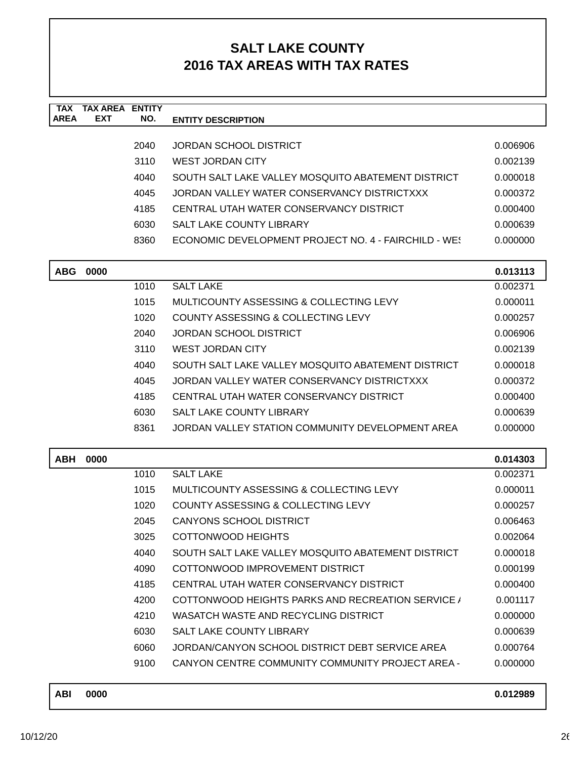| <b>TAX</b><br><b>AREA</b> | <b>TAX AREA ENTITY</b><br>EXT | NO.  | <b>ENTITY DESCRIPTION</b>                               |          |
|---------------------------|-------------------------------|------|---------------------------------------------------------|----------|
|                           |                               |      |                                                         |          |
|                           |                               | 2040 | <b>JORDAN SCHOOL DISTRICT</b>                           | 0.006906 |
|                           |                               | 3110 | <b>WEST JORDAN CITY</b>                                 | 0.002139 |
|                           |                               | 4040 | SOUTH SALT LAKE VALLEY MOSQUITO ABATEMENT DISTRICT      | 0.000018 |
|                           |                               | 4045 | JORDAN VALLEY WATER CONSERVANCY DISTRICTXXX             | 0.000372 |
|                           |                               | 4185 | CENTRAL UTAH WATER CONSERVANCY DISTRICT                 | 0.000400 |
|                           |                               | 6030 | SALT LAKE COUNTY LIBRARY                                | 0.000639 |
|                           |                               | 8360 | ECONOMIC DEVELOPMENT PROJECT NO. 4 - FAIRCHILD - WE!    | 0.000000 |
| <b>ABG</b>                | 0000                          |      |                                                         | 0.013113 |
|                           |                               | 1010 | <b>SALT LAKE</b>                                        | 0.002371 |
|                           |                               | 1015 | MULTICOUNTY ASSESSING & COLLECTING LEVY                 | 0.000011 |
|                           |                               | 1020 | COUNTY ASSESSING & COLLECTING LEVY                      | 0.000257 |
|                           |                               | 2040 | <b>JORDAN SCHOOL DISTRICT</b>                           | 0.006906 |
|                           |                               | 3110 | <b>WEST JORDAN CITY</b>                                 | 0.002139 |
|                           |                               | 4040 | SOUTH SALT LAKE VALLEY MOSQUITO ABATEMENT DISTRICT      | 0.000018 |
|                           |                               | 4045 | JORDAN VALLEY WATER CONSERVANCY DISTRICTXXX             | 0.000372 |
|                           |                               | 4185 | CENTRAL UTAH WATER CONSERVANCY DISTRICT                 | 0.000400 |
|                           |                               | 6030 | <b>SALT LAKE COUNTY LIBRARY</b>                         | 0.000639 |
|                           |                               | 8361 | JORDAN VALLEY STATION COMMUNITY DEVELOPMENT AREA        | 0.000000 |
| <b>ABH</b>                | 0000                          |      |                                                         | 0.014303 |
|                           |                               | 1010 | <b>SALT LAKE</b>                                        | 0.002371 |
|                           |                               | 1015 | MULTICOUNTY ASSESSING & COLLECTING LEVY                 | 0.000011 |
|                           |                               | 1020 | COUNTY ASSESSING & COLLECTING LEVY                      | 0.000257 |
|                           |                               | 2045 | CANYONS SCHOOL DISTRICT                                 | 0.006463 |
|                           |                               | 3025 | <b>COTTONWOOD HEIGHTS</b>                               | 0.002064 |
|                           |                               | 4040 | SOUTH SALT LAKE VALLEY MOSQUITO ABATEMENT DISTRICT      | 0.000018 |
|                           |                               | 4090 | COTTONWOOD IMPROVEMENT DISTRICT                         | 0.000199 |
|                           |                               | 4185 | CENTRAL UTAH WATER CONSERVANCY DISTRICT                 | 0.000400 |
|                           |                               | 4200 | COTTONWOOD HEIGHTS PARKS AND RECREATION SERVICE /       | 0.001117 |
|                           |                               | 4210 | WASATCH WASTE AND RECYCLING DISTRICT                    | 0.000000 |
|                           |                               | 6030 | SALT LAKE COUNTY LIBRARY                                | 0.000639 |
|                           |                               | 6060 | JORDAN/CANYON SCHOOL DISTRICT DEBT SERVICE AREA         | 0.000764 |
|                           |                               | 9100 | <b>CANYON CENTRE COMMUNITY COMMUNITY PROJECT AREA -</b> | 0.000000 |

| ABI | 0000 | 0.012989 |
|-----|------|----------|
|     |      |          |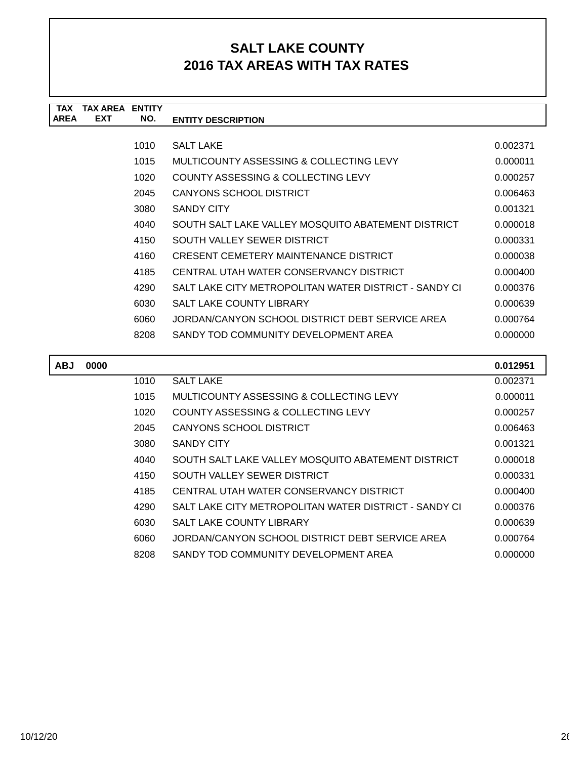| <b>TAX</b>  | <b>TAX AREA</b> | <b>ENTITY</b> |                                                       |          |
|-------------|-----------------|---------------|-------------------------------------------------------|----------|
| <b>AREA</b> | <b>EXT</b>      | NO.           | <b>ENTITY DESCRIPTION</b>                             |          |
|             |                 |               |                                                       |          |
|             |                 | 1010          | <b>SALT LAKE</b>                                      | 0.002371 |
|             |                 | 1015          | MULTICOUNTY ASSESSING & COLLECTING LEVY               | 0.000011 |
|             |                 | 1020          | COUNTY ASSESSING & COLLECTING LEVY                    | 0.000257 |
|             |                 | 2045          | CANYONS SCHOOL DISTRICT                               | 0.006463 |
|             |                 | 3080          | <b>SANDY CITY</b>                                     | 0.001321 |
|             |                 | 4040          | SOUTH SALT LAKE VALLEY MOSQUITO ABATEMENT DISTRICT    | 0.000018 |
|             |                 | 4150          | SOUTH VALLEY SEWER DISTRICT                           | 0.000331 |
|             |                 | 4160          | CRESENT CEMETERY MAINTENANCE DISTRICT                 | 0.000038 |
|             |                 | 4185          | CENTRAL UTAH WATER CONSERVANCY DISTRICT               | 0.000400 |
|             |                 | 4290          | SALT LAKE CITY METROPOLITAN WATER DISTRICT - SANDY CI | 0.000376 |
|             |                 | 6030          | <b>SALT LAKE COUNTY LIBRARY</b>                       | 0.000639 |
|             |                 | 6060          | JORDAN/CANYON SCHOOL DISTRICT DEBT SERVICE AREA       | 0.000764 |
|             |                 | 8208          | SANDY TOD COMMUNITY DEVELOPMENT AREA                  | 0.000000 |
|             |                 |               |                                                       |          |
| <b>ABJ</b>  | 0000            |               |                                                       | 0.012951 |
|             |                 | 1010          | <b>SALT LAKE</b>                                      | 0.002371 |
|             |                 | 1015          | MULTICOUNTY ASSESSING & COLLECTING LEVY               | 0.000011 |
|             |                 | 1020          | COUNTY ASSESSING & COLLECTING LEVY                    | 0.000257 |
|             |                 | 2045          | <b>CANYONS SCHOOL DISTRICT</b>                        | 0.006463 |
|             |                 | 3080          | <b>SANDY CITY</b>                                     | 0.001321 |
|             |                 | 4040          | SOUTH SALT LAKE VALLEY MOSQUITO ABATEMENT DISTRICT    | 0.000018 |
|             |                 | 4150          | SOUTH VALLEY SEWER DISTRICT                           | 0.000331 |

| 4040 | SOUTH SALT LAKE VALLEY MOSQUITO ABATEMENT DISTRICT    | 0.000018 |
|------|-------------------------------------------------------|----------|
| 4150 | SOUTH VALLEY SEWER DISTRICT                           | 0.000331 |
| 4185 | CENTRAL UTAH WATER CONSERVANCY DISTRICT               | 0.000400 |
| 4290 | SALT LAKE CITY METROPOLITAN WATER DISTRICT - SANDY CI | 0.000376 |
| 6030 | <b>SALT LAKE COUNTY LIBRARY</b>                       | 0.000639 |
| 6060 | JORDAN/CANYON SCHOOL DISTRICT DEBT SERVICE AREA       | 0.000764 |
| 8208 | SANDY TOD COMMUNITY DEVELOPMENT AREA                  | 0.000000 |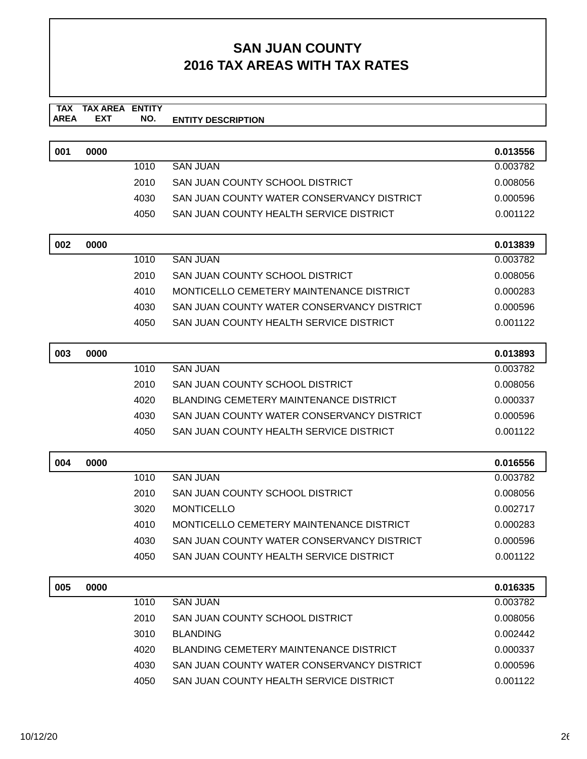#### **SAN JUAN COUNTY 2016 TAX AREAS WITH TAX RATES**

#### **TAX TAX AREA ENTITY AREA ENTITY DESCRIPTION EXT NO.**

| 001 | 0000 |      |                                               | 0.013556 |
|-----|------|------|-----------------------------------------------|----------|
|     |      | 1010 | <b>SAN JUAN</b>                               | 0.003782 |
|     |      | 2010 | SAN JUAN COUNTY SCHOOL DISTRICT               | 0.008056 |
|     |      | 4030 | SAN JUAN COUNTY WATER CONSERVANCY DISTRICT    | 0.000596 |
|     |      | 4050 | SAN JUAN COUNTY HEALTH SERVICE DISTRICT       | 0.001122 |
| 002 | 0000 |      |                                               | 0.013839 |
|     |      | 1010 | <b>SAN JUAN</b>                               | 0.003782 |
|     |      | 2010 | SAN JUAN COUNTY SCHOOL DISTRICT               | 0.008056 |
|     |      | 4010 | MONTICELLO CEMETERY MAINTENANCE DISTRICT      | 0.000283 |
|     |      | 4030 | SAN JUAN COUNTY WATER CONSERVANCY DISTRICT    | 0.000596 |
|     |      | 4050 | SAN JUAN COUNTY HEALTH SERVICE DISTRICT       | 0.001122 |
| 003 | 0000 |      |                                               | 0.013893 |
|     |      | 1010 | <b>SAN JUAN</b>                               | 0.003782 |
|     |      | 2010 | SAN JUAN COUNTY SCHOOL DISTRICT               | 0.008056 |
|     |      | 4020 | <b>BLANDING CEMETERY MAINTENANCE DISTRICT</b> | 0.000337 |
|     |      | 4030 | SAN JUAN COUNTY WATER CONSERVANCY DISTRICT    | 0.000596 |
|     |      | 4050 | SAN JUAN COUNTY HEALTH SERVICE DISTRICT       | 0.001122 |
| 004 | 0000 |      |                                               | 0.016556 |
|     |      | 1010 | <b>SAN JUAN</b>                               | 0.003782 |
|     |      | 2010 | SAN JUAN COUNTY SCHOOL DISTRICT               | 0.008056 |
|     |      | 3020 | <b>MONTICELLO</b>                             | 0.002717 |
|     |      | 4010 | MONTICELLO CEMETERY MAINTENANCE DISTRICT      | 0.000283 |
|     |      | 4030 | SAN JUAN COUNTY WATER CONSERVANCY DISTRICT    | 0.000596 |
|     |      | 4050 | SAN JUAN COUNTY HEALTH SERVICE DISTRICT       | 0.001122 |
| 005 | 0000 |      |                                               | 0.016335 |
|     |      | 1010 | <b>SAN JUAN</b>                               | 0.003782 |
|     |      | 2010 | SAN JUAN COUNTY SCHOOL DISTRICT               | 0.008056 |
|     |      | 3010 | <b>BLANDING</b>                               | 0.002442 |
|     |      | 4020 | <b>BLANDING CEMETERY MAINTENANCE DISTRICT</b> | 0.000337 |
|     |      | 4030 | SAN JUAN COUNTY WATER CONSERVANCY DISTRICT    | 0.000596 |
|     |      | 4050 | SAN JUAN COUNTY HEALTH SERVICE DISTRICT       | 0.001122 |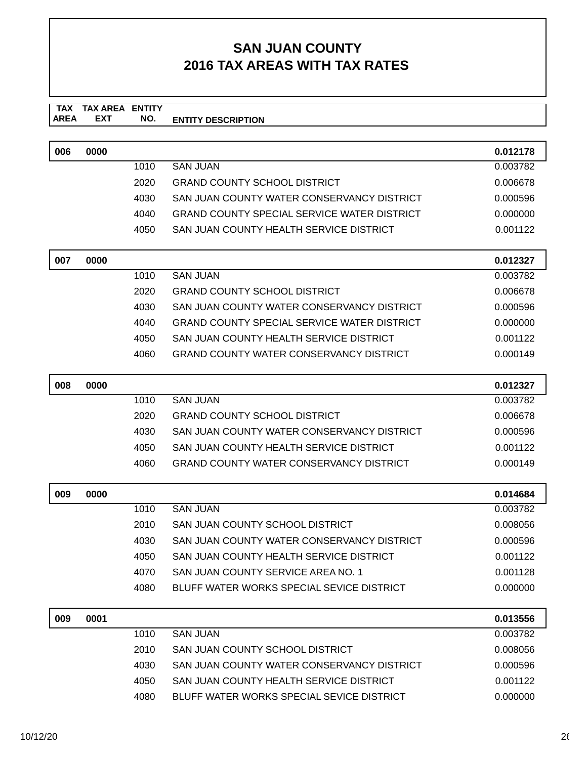#### **SAN JUAN COUNTY 2016 TAX AREAS WITH TAX RATES**

#### **TAX TAX AREA ENTITY AREA ENTITY DESCRIPTION EXT NO.**

| 006 | 0000 |      |                                                    | 0.012178 |
|-----|------|------|----------------------------------------------------|----------|
|     |      | 1010 | <b>SAN JUAN</b>                                    | 0.003782 |
|     |      | 2020 | <b>GRAND COUNTY SCHOOL DISTRICT</b>                | 0.006678 |
|     |      | 4030 | SAN JUAN COUNTY WATER CONSERVANCY DISTRICT         | 0.000596 |
|     |      | 4040 | <b>GRAND COUNTY SPECIAL SERVICE WATER DISTRICT</b> | 0.000000 |
|     |      | 4050 | SAN JUAN COUNTY HEALTH SERVICE DISTRICT            | 0.001122 |
| 007 | 0000 |      |                                                    | 0.012327 |
|     |      | 1010 | <b>SAN JUAN</b>                                    | 0.003782 |
|     |      | 2020 | <b>GRAND COUNTY SCHOOL DISTRICT</b>                | 0.006678 |
|     |      | 4030 | SAN JUAN COUNTY WATER CONSERVANCY DISTRICT         | 0.000596 |
|     |      | 4040 | <b>GRAND COUNTY SPECIAL SERVICE WATER DISTRICT</b> | 0.000000 |
|     |      | 4050 | SAN JUAN COUNTY HEALTH SERVICE DISTRICT            | 0.001122 |
|     |      | 4060 | <b>GRAND COUNTY WATER CONSERVANCY DISTRICT</b>     | 0.000149 |
| 008 | 0000 |      |                                                    | 0.012327 |
|     |      | 1010 | <b>SAN JUAN</b>                                    | 0.003782 |
|     |      | 2020 | <b>GRAND COUNTY SCHOOL DISTRICT</b>                | 0.006678 |
|     |      | 4030 | SAN JUAN COUNTY WATER CONSERVANCY DISTRICT         | 0.000596 |
|     |      | 4050 | SAN JUAN COUNTY HEALTH SERVICE DISTRICT            | 0.001122 |
|     |      | 4060 | <b>GRAND COUNTY WATER CONSERVANCY DISTRICT</b>     | 0.000149 |
| 009 | 0000 |      |                                                    | 0.014684 |
|     |      | 1010 | <b>SAN JUAN</b>                                    | 0.003782 |
|     |      | 2010 | SAN JUAN COUNTY SCHOOL DISTRICT                    | 0.008056 |
|     |      | 4030 | SAN JUAN COUNTY WATER CONSERVANCY DISTRICT         | 0.000596 |
|     |      | 4050 | SAN JUAN COUNTY HEALTH SERVICE DISTRICT            | 0.001122 |
|     |      | 4070 | SAN JUAN COUNTY SERVICE AREA NO. 1                 | 0.001128 |
|     |      | 4080 | BLUFF WATER WORKS SPECIAL SEVICE DISTRICT          | 0.000000 |
| 009 | 0001 |      |                                                    | 0.013556 |
|     |      | 1010 | <b>SAN JUAN</b>                                    | 0.003782 |
|     |      | 2010 | SAN JUAN COUNTY SCHOOL DISTRICT                    | 0.008056 |
|     |      | 4030 | SAN JUAN COUNTY WATER CONSERVANCY DISTRICT         | 0.000596 |

4050 SAN JUAN COUNTY HEALTH SERVICE DISTRICT 0.001122 4080 BLUFF WATER WORKS SPECIAL SEVICE DISTRICT 0.0000000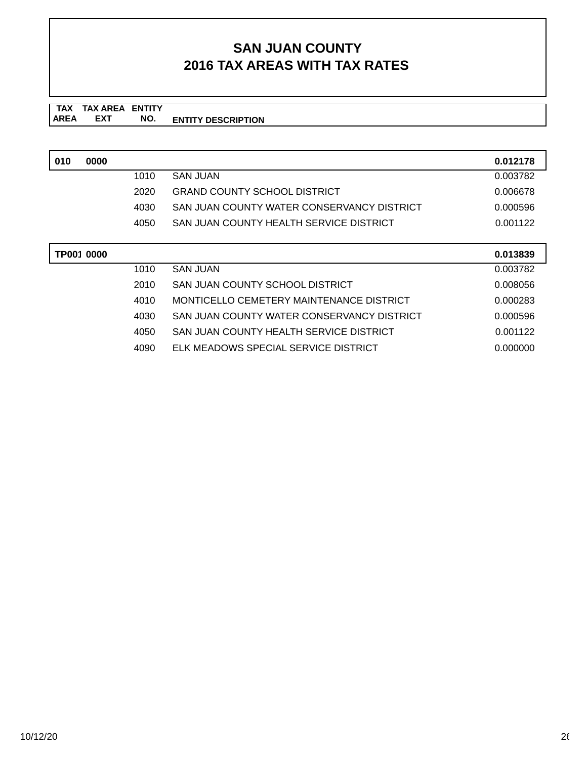#### **SAN JUAN COUNTY 2016 TAX AREAS WITH TAX RATES**

**TAX TAX AREA ENTITY AREA ENTITY DESCRIPTION EXT NO.**

| 010 | 0000       |      |                                            | 0.012178 |
|-----|------------|------|--------------------------------------------|----------|
|     |            | 1010 | <b>SAN JUAN</b>                            | 0.003782 |
|     |            | 2020 | <b>GRAND COUNTY SCHOOL DISTRICT</b>        | 0.006678 |
|     |            | 4030 | SAN JUAN COUNTY WATER CONSERVANCY DISTRICT | 0.000596 |
|     |            | 4050 | SAN JUAN COUNTY HEALTH SERVICE DISTRICT    | 0.001122 |
|     |            |      |                                            |          |
|     |            |      |                                            |          |
|     | TP001 0000 |      |                                            | 0.013839 |
|     |            | 1010 | <b>SAN JUAN</b>                            | 0.003782 |
|     |            | 2010 | SAN JUAN COUNTY SCHOOL DISTRICT            | 0.008056 |
|     |            | 4010 | MONTICELLO CEMETERY MAINTENANCE DISTRICT   | 0.000283 |
|     |            | 4030 | SAN JUAN COUNTY WATER CONSERVANCY DISTRICT | 0.000596 |

4090 ELK MEADOWS SPECIAL SERVICE DISTRICT 0.000000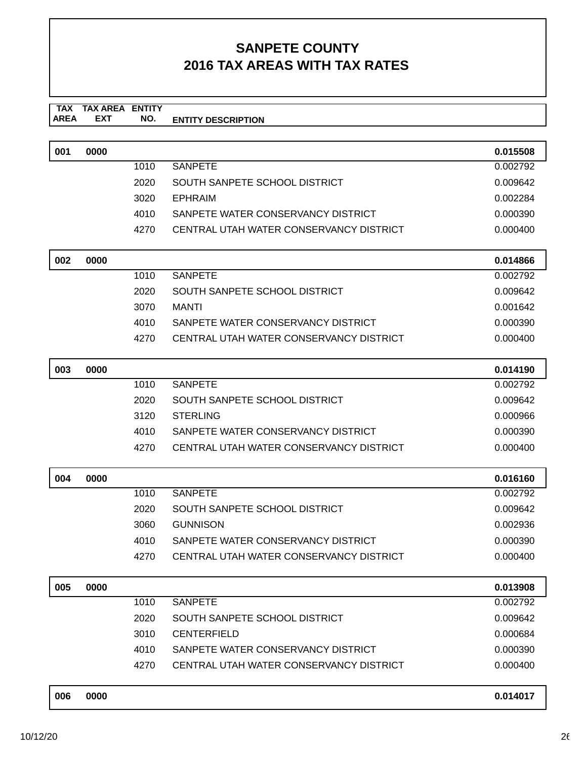#### **TAX TAX AREA ENTITY AREA ENTITY DESCRIPTION EXT NO.**

| 001 | 0000 |      |                                         | 0.015508 |
|-----|------|------|-----------------------------------------|----------|
|     |      | 1010 | SANPETE                                 | 0.002792 |
|     |      | 2020 | SOUTH SANPETE SCHOOL DISTRICT           | 0.009642 |
|     |      | 3020 | EPHRAIM                                 | 0.002284 |
|     |      | 4010 | SANPETE WATER CONSERVANCY DISTRICT      | 0.000390 |
|     |      | 4270 | CENTRAL UTAH WATER CONSERVANCY DISTRICT | 0.000400 |

| 002 | 0000 |      |                                         | 0.014866 |
|-----|------|------|-----------------------------------------|----------|
|     |      | 1010 | SANPETE                                 | 0.002792 |
|     |      | 2020 | SOUTH SANPETE SCHOOL DISTRICT           | 0.009642 |
|     |      | 3070 | MANTI                                   | 0.001642 |
|     |      | 4010 | SANPETE WATER CONSERVANCY DISTRICT      | 0.000390 |
|     |      | 4270 | CENTRAL UTAH WATER CONSERVANCY DISTRICT | 0.000400 |

| 003 | 0000 |      |                                         | 0.014190 |
|-----|------|------|-----------------------------------------|----------|
|     |      | 1010 | <b>SANPETE</b>                          | 0.002792 |
|     |      | 2020 | SOUTH SANPETE SCHOOL DISTRICT           | 0.009642 |
|     |      | 3120 | <b>STERLING</b>                         | 0.000966 |
|     |      | 4010 | SANPETE WATER CONSERVANCY DISTRICT      | 0.000390 |
|     |      | 4270 | CENTRAL UTAH WATER CONSERVANCY DISTRICT | 0.000400 |

| 004 | 0000 |      |                                         | 0.016160 |
|-----|------|------|-----------------------------------------|----------|
|     |      | 1010 | SANPETE                                 | 0.002792 |
|     |      | 2020 | SOUTH SANPETE SCHOOL DISTRICT           | 0.009642 |
|     |      | 3060 | <b>GUNNISON</b>                         | 0.002936 |
|     |      | 4010 | SANPETE WATER CONSERVANCY DISTRICT      | 0.000390 |
|     |      | 4270 | CENTRAL UTAH WATER CONSERVANCY DISTRICT | 0.000400 |

| 005 | 0000 |      |                                         | 0.013908 |
|-----|------|------|-----------------------------------------|----------|
|     |      | 1010 | SANPETE                                 | 0.002792 |
|     |      | 2020 | SOUTH SANPETE SCHOOL DISTRICT           | 0.009642 |
|     |      | 3010 | <b>CENTERFIELD</b>                      | 0.000684 |
|     |      | 4010 | SANPETE WATER CONSERVANCY DISTRICT      | 0.000390 |
|     |      | 4270 | CENTRAL UTAH WATER CONSERVANCY DISTRICT | 0.000400 |
|     |      |      |                                         |          |

| 0000<br>006<br>0.014017 |  |
|-------------------------|--|
|-------------------------|--|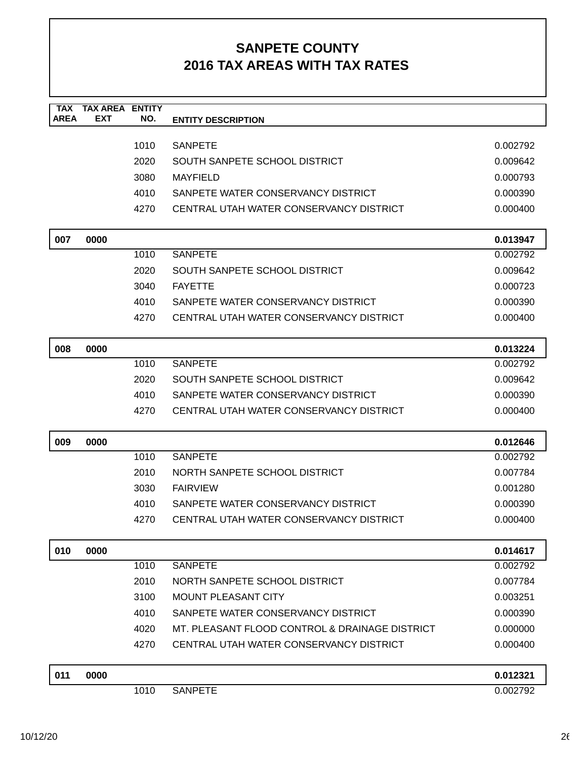| <b>TAX</b><br><b>AREA</b> | <b>TAX AREA ENTITY</b><br><b>EXT</b> | NO.  | <b>ENTITY DESCRIPTION</b>                      |          |
|---------------------------|--------------------------------------|------|------------------------------------------------|----------|
|                           |                                      |      |                                                |          |
|                           |                                      | 1010 | <b>SANPETE</b>                                 | 0.002792 |
|                           |                                      | 2020 | SOUTH SANPETE SCHOOL DISTRICT                  | 0.009642 |
|                           |                                      | 3080 | <b>MAYFIELD</b>                                | 0.000793 |
|                           |                                      | 4010 | SANPETE WATER CONSERVANCY DISTRICT             | 0.000390 |
|                           |                                      | 4270 | CENTRAL UTAH WATER CONSERVANCY DISTRICT        | 0.000400 |
|                           |                                      |      |                                                |          |
| 007                       | 0000                                 |      |                                                | 0.013947 |
|                           |                                      | 1010 | <b>SANPETE</b>                                 | 0.002792 |
|                           |                                      | 2020 | SOUTH SANPETE SCHOOL DISTRICT                  | 0.009642 |
|                           |                                      | 3040 | <b>FAYETTE</b>                                 | 0.000723 |
|                           |                                      | 4010 | SANPETE WATER CONSERVANCY DISTRICT             | 0.000390 |
|                           |                                      | 4270 | CENTRAL UTAH WATER CONSERVANCY DISTRICT        | 0.000400 |
| 008                       | 0000                                 |      |                                                | 0.013224 |
|                           |                                      | 1010 | <b>SANPETE</b>                                 | 0.002792 |
|                           |                                      | 2020 | SOUTH SANPETE SCHOOL DISTRICT                  | 0.009642 |
|                           |                                      | 4010 | SANPETE WATER CONSERVANCY DISTRICT             | 0.000390 |
|                           |                                      | 4270 | CENTRAL UTAH WATER CONSERVANCY DISTRICT        | 0.000400 |
|                           |                                      |      |                                                |          |
| 009                       | 0000                                 |      |                                                | 0.012646 |
|                           |                                      | 1010 | <b>SANPETE</b>                                 | 0.002792 |
|                           |                                      | 2010 | NORTH SANPETE SCHOOL DISTRICT                  | 0.007784 |
|                           |                                      | 3030 | <b>FAIRVIEW</b>                                | 0.001280 |
|                           |                                      | 4010 | SANPETE WATER CONSERVANCY DISTRICT             | 0.000390 |
|                           |                                      | 4270 | CENTRAL UTAH WATER CONSERVANCY DISTRICT        | 0.000400 |
| 010                       | 0000                                 |      |                                                | 0.014617 |
|                           |                                      | 1010 | <b>SANPETE</b>                                 | 0.002792 |
|                           |                                      | 2010 | NORTH SANPETE SCHOOL DISTRICT                  | 0.007784 |
|                           |                                      | 3100 | <b>MOUNT PLEASANT CITY</b>                     | 0.003251 |
|                           |                                      | 4010 | SANPETE WATER CONSERVANCY DISTRICT             | 0.000390 |
|                           |                                      | 4020 | MT. PLEASANT FLOOD CONTROL & DRAINAGE DISTRICT | 0.000000 |
|                           |                                      | 4270 | CENTRAL UTAH WATER CONSERVANCY DISTRICT        | 0.000400 |
|                           |                                      |      |                                                |          |
| 011                       | 0000                                 |      |                                                | 0.012321 |
|                           |                                      | 1010 | <b>SANPETE</b>                                 | 0.002792 |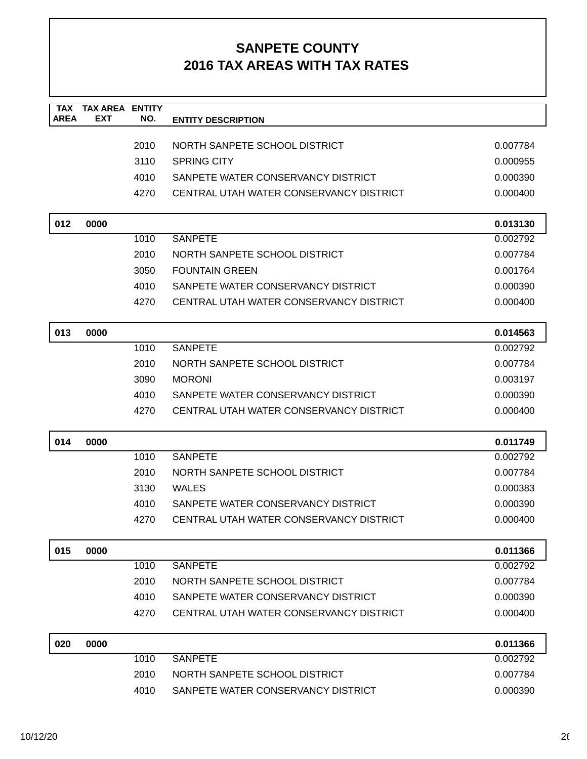| <b>TAX</b><br><b>AREA</b> | <b>TAX AREA</b><br><b>EXT</b> | <b>ENTITY</b><br>NO. | <b>ENTITY DESCRIPTION</b>               |          |
|---------------------------|-------------------------------|----------------------|-----------------------------------------|----------|
|                           |                               |                      |                                         |          |
|                           |                               | 2010                 | NORTH SANPETE SCHOOL DISTRICT           | 0.007784 |
|                           |                               | 3110                 | <b>SPRING CITY</b>                      | 0.000955 |
|                           |                               | 4010                 | SANPETE WATER CONSERVANCY DISTRICT      | 0.000390 |
|                           |                               | 4270                 | CENTRAL UTAH WATER CONSERVANCY DISTRICT | 0.000400 |
| 012                       | 0000                          |                      |                                         | 0.013130 |
|                           |                               | 1010                 | <b>SANPETE</b>                          | 0.002792 |
|                           |                               | 2010                 | NORTH SANPETE SCHOOL DISTRICT           | 0.007784 |
|                           |                               | 3050                 | <b>FOUNTAIN GREEN</b>                   | 0.001764 |
|                           |                               | 4010                 | SANPETE WATER CONSERVANCY DISTRICT      | 0.000390 |
|                           |                               | 4270                 | CENTRAL UTAH WATER CONSERVANCY DISTRICT | 0.000400 |
| 013                       | 0000                          |                      |                                         | 0.014563 |
|                           |                               | 1010                 | <b>SANPETE</b>                          | 0.002792 |
|                           |                               | 2010                 | NORTH SANPETE SCHOOL DISTRICT           | 0.007784 |
|                           |                               | 3090                 | <b>MORONI</b>                           | 0.003197 |
|                           |                               | 4010                 | SANPETE WATER CONSERVANCY DISTRICT      | 0.000390 |
|                           |                               | 4270                 | CENTRAL UTAH WATER CONSERVANCY DISTRICT | 0.000400 |
| 014                       | 0000                          |                      |                                         | 0.011749 |
|                           |                               | 1010                 | <b>SANPETE</b>                          | 0.002792 |
|                           |                               | 2010                 | NORTH SANPETE SCHOOL DISTRICT           | 0.007784 |
|                           |                               | 3130                 | <b>WALES</b>                            | 0.000383 |
|                           |                               | 4010                 | SANPETE WATER CONSERVANCY DISTRICT      | 0.000390 |
|                           |                               | 4270                 | CENTRAL UTAH WATER CONSERVANCY DISTRICT | 0.000400 |
| 015                       | 0000                          |                      |                                         | 0.011366 |
|                           |                               | 1010                 | <b>SANPETE</b>                          | 0.002792 |
|                           |                               | 2010                 | NORTH SANPETE SCHOOL DISTRICT           | 0.007784 |
|                           |                               | 4010                 | SANPETE WATER CONSERVANCY DISTRICT      | 0.000390 |
|                           |                               | 4270                 | CENTRAL UTAH WATER CONSERVANCY DISTRICT | 0.000400 |
| 020                       | 0000                          |                      |                                         | 0.011366 |
|                           |                               | 1010                 | <b>SANPETE</b>                          | 0.002792 |
|                           |                               | 2010                 | NORTH SANPETE SCHOOL DISTRICT           | 0.007784 |
|                           |                               | 4010                 | SANPETE WATER CONSERVANCY DISTRICT      | 0.000390 |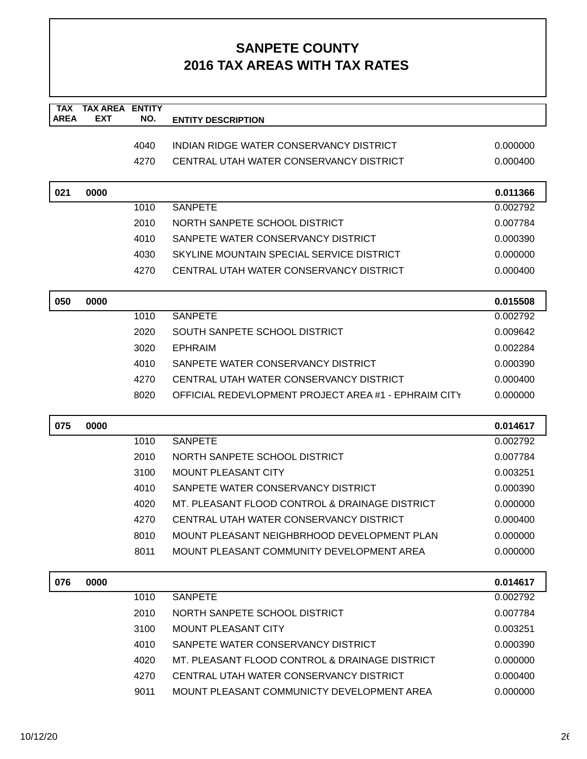| <b>TAX</b><br><b>AREA</b> | <b>TAX AREA ENTITY</b><br>EXT | NO.  | <b>ENTITY DESCRIPTION</b>                            |          |
|---------------------------|-------------------------------|------|------------------------------------------------------|----------|
|                           |                               |      |                                                      |          |
|                           |                               | 4040 | INDIAN RIDGE WATER CONSERVANCY DISTRICT              | 0.000000 |
|                           |                               | 4270 | CENTRAL UTAH WATER CONSERVANCY DISTRICT              | 0.000400 |
|                           |                               |      |                                                      |          |
| 021                       | 0000                          |      |                                                      | 0.011366 |
|                           |                               | 1010 | <b>SANPETE</b>                                       | 0.002792 |
|                           |                               | 2010 | NORTH SANPETE SCHOOL DISTRICT                        | 0.007784 |
|                           |                               | 4010 | SANPETE WATER CONSERVANCY DISTRICT                   | 0.000390 |
|                           |                               | 4030 | SKYLINE MOUNTAIN SPECIAL SERVICE DISTRICT            | 0.000000 |
|                           |                               | 4270 | CENTRAL UTAH WATER CONSERVANCY DISTRICT              | 0.000400 |
| 050                       | 0000                          |      |                                                      | 0.015508 |
|                           |                               | 1010 | <b>SANPETE</b>                                       | 0.002792 |
|                           |                               | 2020 | SOUTH SANPETE SCHOOL DISTRICT                        | 0.009642 |
|                           |                               | 3020 | <b>EPHRAIM</b>                                       | 0.002284 |
|                           |                               | 4010 | SANPETE WATER CONSERVANCY DISTRICT                   | 0.000390 |
|                           |                               | 4270 | CENTRAL UTAH WATER CONSERVANCY DISTRICT              | 0.000400 |
|                           |                               | 8020 | OFFICIAL REDEVLOPMENT PROJECT AREA #1 - EPHRAIM CITY | 0.000000 |
| 075                       | 0000                          |      |                                                      | 0.014617 |
|                           |                               | 1010 | <b>SANPETE</b>                                       | 0.002792 |
|                           |                               | 2010 | NORTH SANPETE SCHOOL DISTRICT                        | 0.007784 |
|                           |                               | 3100 | <b>MOUNT PLEASANT CITY</b>                           | 0.003251 |
|                           |                               | 4010 | SANPETE WATER CONSERVANCY DISTRICT                   | 0.000390 |
|                           |                               | 4020 | MT. PLEASANT FLOOD CONTROL & DRAINAGE DISTRICT       | 0.000000 |
|                           |                               | 4270 | CENTRAL UTAH WATER CONSERVANCY DISTRICT              | 0.000400 |
|                           |                               | 8010 | MOUNT PLEASANT NEIGHBRHOOD DEVELOPMENT PLAN          | 0.000000 |
|                           |                               | 8011 | MOUNT PLEASANT COMMUNITY DEVELOPMENT AREA            | 0.000000 |
| 076                       | 0000                          |      |                                                      | 0.014617 |
|                           |                               | 1010 | <b>SANPETE</b>                                       | 0.002792 |
|                           |                               | 2010 | NORTH SANPETE SCHOOL DISTRICT                        | 0.007784 |
|                           |                               | 3100 | <b>MOUNT PLEASANT CITY</b>                           | 0.003251 |
|                           |                               | 4010 | SANPETE WATER CONSERVANCY DISTRICT                   | 0.000390 |
|                           |                               | 4020 | MT. PLEASANT FLOOD CONTROL & DRAINAGE DISTRICT       | 0.000000 |
|                           |                               | 4270 | CENTRAL UTAH WATER CONSERVANCY DISTRICT              | 0.000400 |
|                           |                               | 9011 | MOUNT PLEASANT COMMUNICTY DEVELOPMENT AREA           | 0.000000 |
|                           |                               |      |                                                      |          |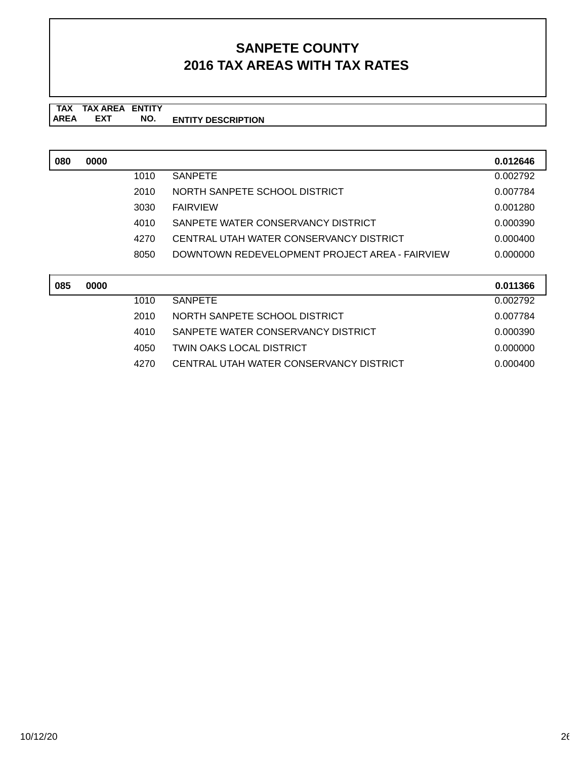**TAX TAX AREA ENTITY AREA ENTITY DESCRIPTION EXT NO.**

| 080 | 0000 |      |                                                | 0.012646 |
|-----|------|------|------------------------------------------------|----------|
|     |      | 1010 | <b>SANPETE</b>                                 | 0.002792 |
|     |      | 2010 | NORTH SANPETE SCHOOL DISTRICT                  | 0.007784 |
|     |      | 3030 | <b>FAIRVIEW</b>                                | 0.001280 |
|     |      | 4010 | SANPETE WATER CONSERVANCY DISTRICT             | 0.000390 |
|     |      | 4270 | CENTRAL UTAH WATER CONSERVANCY DISTRICT        | 0.000400 |
|     |      | 8050 | DOWNTOWN REDEVELOPMENT PROJECT AREA - FAIRVIEW | 0.000000 |
|     |      |      |                                                |          |

| 085 | 0000 |      |                                         | 0.011366 |
|-----|------|------|-----------------------------------------|----------|
|     |      | 1010 | SANPETE                                 | 0.002792 |
|     |      | 2010 | NORTH SANPETE SCHOOL DISTRICT           | 0.007784 |
|     |      | 4010 | SANPETE WATER CONSERVANCY DISTRICT      | 0.000390 |
|     |      | 4050 | TWIN OAKS LOCAL DISTRICT                | 0.000000 |
|     |      | 4270 | CENTRAL UTAH WATER CONSERVANCY DISTRICT | 0.000400 |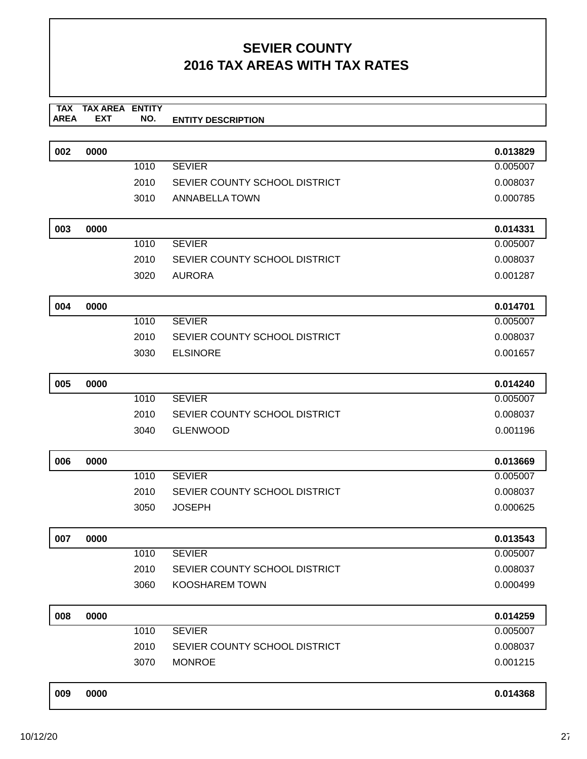|      | TAX TAX AREA ENTITY |     |                           |
|------|---------------------|-----|---------------------------|
|      |                     |     |                           |
| AREA | <b>FXT</b>          | NO. | <b>ENTITY DESCRIPTION</b> |
|      |                     |     |                           |

| 002 | 0000 |      |                               | 0.013829 |
|-----|------|------|-------------------------------|----------|
|     |      | 1010 | <b>SEVIER</b>                 | 0.005007 |
|     |      | 2010 | SEVIER COUNTY SCHOOL DISTRICT | 0.008037 |
|     |      | 3010 | ANNABELLA TOWN                | 0.000785 |
|     |      |      |                               |          |
| 003 | 0000 |      |                               | 0.014331 |
|     |      | 1010 | <b>SEVIER</b>                 | 0.005007 |
|     |      | 2010 | SEVIER COUNTY SCHOOL DISTRICT | 0.008037 |
|     |      | 3020 | <b>AURORA</b>                 | 0.001287 |
| 004 | 0000 |      |                               | 0.014701 |
|     |      | 1010 | <b>SEVIER</b>                 | 0.005007 |
|     |      | 2010 | SEVIER COUNTY SCHOOL DISTRICT | 0.008037 |
|     |      | 3030 | <b>ELSINORE</b>               | 0.001657 |
| 005 | 0000 |      |                               | 0.014240 |
|     |      | 1010 | <b>SEVIER</b>                 | 0.005007 |
|     |      | 2010 | SEVIER COUNTY SCHOOL DISTRICT | 0.008037 |
|     |      | 3040 | <b>GLENWOOD</b>               | 0.001196 |
| 006 | 0000 |      |                               | 0.013669 |
|     |      | 1010 | <b>SEVIER</b>                 | 0.005007 |
|     |      | 2010 | SEVIER COUNTY SCHOOL DISTRICT | 0.008037 |
|     |      | 3050 | <b>JOSEPH</b>                 | 0.000625 |
| 007 | 0000 |      |                               | 0.013543 |
|     |      | 1010 | <b>SEVIER</b>                 | 0.005007 |
|     |      | 2010 | SEVIER COUNTY SCHOOL DISTRICT | 0.008037 |
|     |      | 3060 | KOOSHAREM TOWN                | 0.000499 |
| 008 | 0000 |      |                               | 0.014259 |
|     |      | 1010 | <b>SEVIER</b>                 | 0.005007 |
|     |      | 2010 | SEVIER COUNTY SCHOOL DISTRICT | 0.008037 |
|     |      | 3070 | <b>MONROE</b>                 | 0.001215 |
| 009 | 0000 |      |                               | 0.014368 |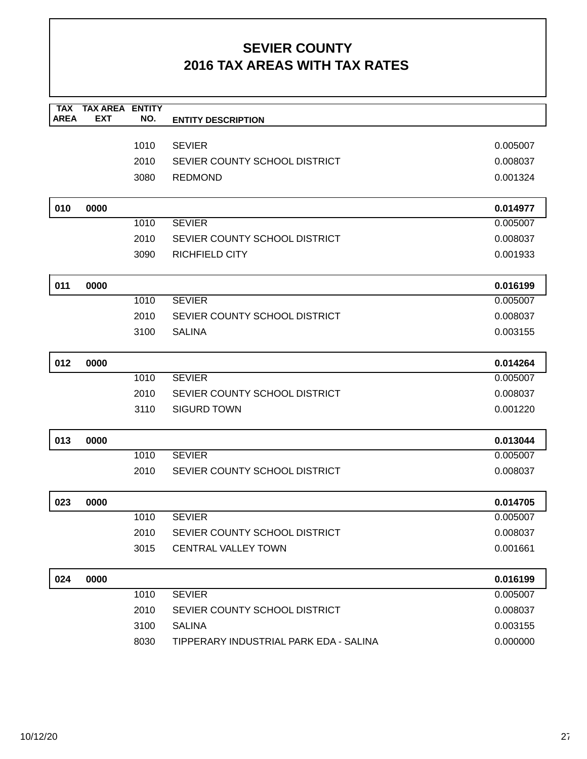| <b>TAX</b><br><b>AREA</b> | <b>TAX AREA ENTITY</b><br><b>EXT</b> | NO.  | <b>ENTITY DESCRIPTION</b>              |          |
|---------------------------|--------------------------------------|------|----------------------------------------|----------|
|                           |                                      |      |                                        |          |
|                           |                                      | 1010 | <b>SEVIER</b>                          | 0.005007 |
|                           |                                      | 2010 | SEVIER COUNTY SCHOOL DISTRICT          | 0.008037 |
|                           |                                      | 3080 | <b>REDMOND</b>                         | 0.001324 |
| 010                       | 0000                                 |      |                                        | 0.014977 |
|                           |                                      | 1010 | <b>SEVIER</b>                          | 0.005007 |
|                           |                                      | 2010 | SEVIER COUNTY SCHOOL DISTRICT          | 0.008037 |
|                           |                                      | 3090 | <b>RICHFIELD CITY</b>                  | 0.001933 |
| 011                       | 0000                                 |      |                                        | 0.016199 |
|                           |                                      | 1010 | <b>SEVIER</b>                          | 0.005007 |
|                           |                                      | 2010 | SEVIER COUNTY SCHOOL DISTRICT          | 0.008037 |
|                           |                                      | 3100 | <b>SALINA</b>                          | 0.003155 |
| 012                       | 0000                                 |      |                                        | 0.014264 |
|                           |                                      | 1010 | <b>SEVIER</b>                          | 0.005007 |
|                           |                                      | 2010 | SEVIER COUNTY SCHOOL DISTRICT          | 0.008037 |
|                           |                                      | 3110 | <b>SIGURD TOWN</b>                     | 0.001220 |
| 013                       | 0000                                 |      |                                        | 0.013044 |
|                           |                                      | 1010 | <b>SEVIER</b>                          | 0.005007 |
|                           |                                      | 2010 | SEVIER COUNTY SCHOOL DISTRICT          | 0.008037 |
| 023                       | 0000                                 |      |                                        | 0.014705 |
|                           |                                      | 1010 | <b>SEVIER</b>                          | 0.005007 |
|                           |                                      | 2010 | SEVIER COUNTY SCHOOL DISTRICT          | 0.008037 |
|                           |                                      | 3015 | <b>CENTRAL VALLEY TOWN</b>             | 0.001661 |
| 024                       | 0000                                 |      |                                        | 0.016199 |
|                           |                                      | 1010 | <b>SEVIER</b>                          | 0.005007 |
|                           |                                      | 2010 | SEVIER COUNTY SCHOOL DISTRICT          | 0.008037 |
|                           |                                      | 3100 | <b>SALINA</b>                          | 0.003155 |
|                           |                                      | 8030 | TIPPERARY INDUSTRIAL PARK EDA - SALINA | 0.000000 |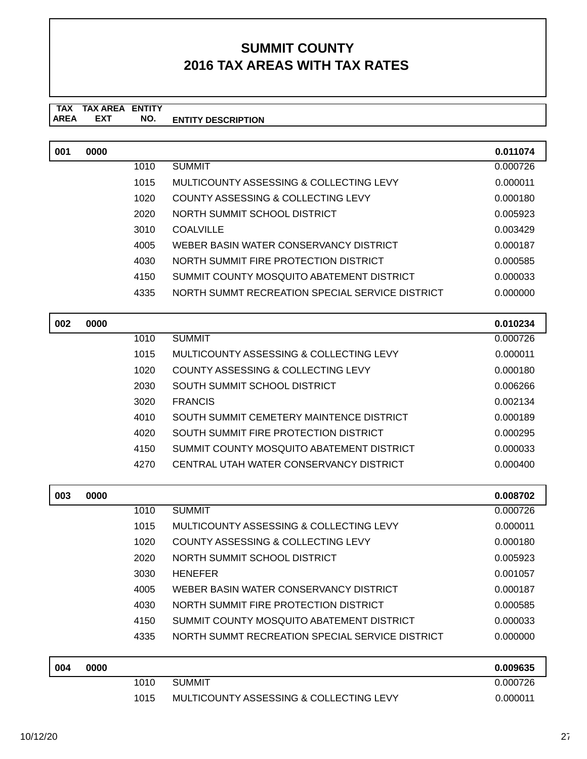#### **TAX TAX AREA ENTITY ENTITY DESCRIPTION** AREA EXT  **NO.**

| 0000 |      |                                                 | 0.011074 |
|------|------|-------------------------------------------------|----------|
|      | 1010 | <b>SUMMIT</b>                                   | 0.000726 |
|      | 1015 | MULTICOUNTY ASSESSING & COLLECTING LEVY         | 0.000011 |
|      | 1020 | COUNTY ASSESSING & COLLECTING LEVY              | 0.000180 |
|      | 2020 | NORTH SUMMIT SCHOOL DISTRICT                    | 0.005923 |
|      | 3010 | <b>COALVILLE</b>                                | 0.003429 |
|      | 4005 | WEBER BASIN WATER CONSERVANCY DISTRICT          | 0.000187 |
|      | 4030 | NORTH SUMMIT FIRE PROTECTION DISTRICT           | 0.000585 |
|      | 4150 | SUMMIT COUNTY MOSQUITO ABATEMENT DISTRICT       | 0.000033 |
|      | 4335 | NORTH SUMMT RECREATION SPECIAL SERVICE DISTRICT | 0.000000 |
|      |      |                                                 |          |
| 0000 |      |                                                 | 0.010234 |
|      | 1010 | <b>SUMMIT</b>                                   | 0.000726 |
|      | 1015 | MULTICOUNTY ASSESSING & COLLECTING LEVY         | 0.000011 |
|      | 1020 | COUNTY ASSESSING & COLLECTING LEVY              | 0.000180 |
|      | 2030 | SOUTH SUMMIT SCHOOL DISTRICT                    | 0.006266 |
|      | 3020 | <b>FRANCIS</b>                                  | 0.002134 |
|      | 4010 | SOUTH SUMMIT CEMETERY MAINTENCE DISTRICT        | 0.000189 |
|      | 4020 | SOUTH SUMMIT FIRE PROTECTION DISTRICT           | 0.000295 |
|      | 4150 | SUMMIT COUNTY MOSQUITO ABATEMENT DISTRICT       | 0.000033 |
|      |      |                                                 |          |
|      |      |                                                 |          |

| 003 | 0000 |      |                                                 | 0.008702 |
|-----|------|------|-------------------------------------------------|----------|
|     |      | 1010 | <b>SUMMIT</b>                                   | 0.000726 |
|     |      | 1015 | MULTICOUNTY ASSESSING & COLLECTING LEVY         | 0.000011 |
|     |      | 1020 | <b>COUNTY ASSESSING &amp; COLLECTING LEVY</b>   | 0.000180 |
|     |      | 2020 | NORTH SUMMIT SCHOOL DISTRICT                    | 0.005923 |
|     |      | 3030 | <b>HENEFER</b>                                  | 0.001057 |
|     |      | 4005 | WEBER BASIN WATER CONSERVANCY DISTRICT          | 0.000187 |
|     |      | 4030 | NORTH SUMMIT FIRE PROTECTION DISTRICT           | 0.000585 |
|     |      | 4150 | SUMMIT COUNTY MOSQUITO ABATEMENT DISTRICT       | 0.000033 |
|     |      | 4335 | NORTH SUMMT RECREATION SPECIAL SERVICE DISTRICT | 0.000000 |
|     |      |      |                                                 |          |
| 004 | 0000 |      |                                                 | 0.009635 |

| 004 | 0000 |      |                                         | 0.009635 |
|-----|------|------|-----------------------------------------|----------|
|     |      | 1010 | SUMMIT                                  | 0.000726 |
|     |      | 1015 | MULTICOUNTY ASSESSING & COLLECTING LEVY | 0.000011 |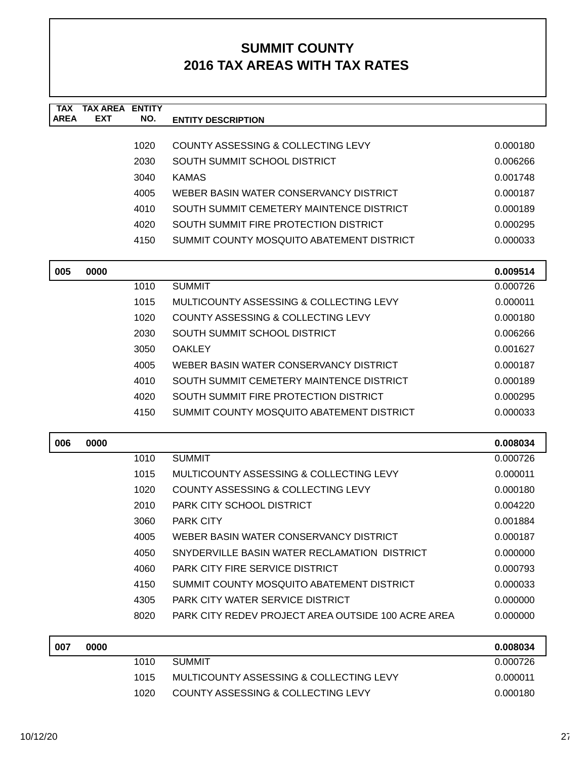| <b>TAX</b>  | <b>TAX AREA ENTITY</b> |      |                                                    |          |
|-------------|------------------------|------|----------------------------------------------------|----------|
| <b>AREA</b> | <b>EXT</b>             | NO.  | <b>ENTITY DESCRIPTION</b>                          |          |
|             |                        | 1020 | COUNTY ASSESSING & COLLECTING LEVY                 | 0.000180 |
|             |                        | 2030 | SOUTH SUMMIT SCHOOL DISTRICT                       | 0.006266 |
|             |                        | 3040 | <b>KAMAS</b>                                       | 0.001748 |
|             |                        | 4005 | WEBER BASIN WATER CONSERVANCY DISTRICT             | 0.000187 |
|             |                        | 4010 | SOUTH SUMMIT CEMETERY MAINTENCE DISTRICT           | 0.000189 |
|             |                        | 4020 | SOUTH SUMMIT FIRE PROTECTION DISTRICT              | 0.000295 |
|             |                        | 4150 | SUMMIT COUNTY MOSQUITO ABATEMENT DISTRICT          | 0.000033 |
| 005         | 0000                   |      |                                                    | 0.009514 |
|             |                        | 1010 | <b>SUMMIT</b>                                      | 0.000726 |
|             |                        | 1015 | MULTICOUNTY ASSESSING & COLLECTING LEVY            | 0.000011 |
|             |                        | 1020 | COUNTY ASSESSING & COLLECTING LEVY                 | 0.000180 |
|             |                        | 2030 | SOUTH SUMMIT SCHOOL DISTRICT                       | 0.006266 |
|             |                        | 3050 | <b>OAKLEY</b>                                      | 0.001627 |
|             |                        | 4005 | WEBER BASIN WATER CONSERVANCY DISTRICT             | 0.000187 |
|             |                        | 4010 | SOUTH SUMMIT CEMETERY MAINTENCE DISTRICT           | 0.000189 |
|             |                        | 4020 | SOUTH SUMMIT FIRE PROTECTION DISTRICT              | 0.000295 |
|             |                        | 4150 | SUMMIT COUNTY MOSQUITO ABATEMENT DISTRICT          | 0.000033 |
| 006         | 0000                   |      |                                                    | 0.008034 |
|             |                        | 1010 | <b>SUMMIT</b>                                      | 0.000726 |
|             |                        | 1015 | MULTICOUNTY ASSESSING & COLLECTING LEVY            | 0.000011 |
|             |                        | 1020 | COUNTY ASSESSING & COLLECTING LEVY                 | 0.000180 |
|             |                        | 2010 | PARK CITY SCHOOL DISTRICT                          | 0.004220 |
|             |                        | 3060 | <b>PARK CITY</b>                                   | 0.001884 |
|             |                        | 4005 | WEBER BASIN WATER CONSERVANCY DISTRICT             | 0.000187 |
|             |                        | 4050 | SNYDERVILLE BASIN WATER RECLAMATION DISTRICT       | 0.000000 |
|             |                        | 4060 | PARK CITY FIRE SERVICE DISTRICT                    | 0.000793 |
|             |                        | 4150 | SUMMIT COUNTY MOSQUITO ABATEMENT DISTRICT          | 0.000033 |
|             |                        | 4305 | PARK CITY WATER SERVICE DISTRICT                   | 0.000000 |
|             |                        | 8020 | PARK CITY REDEV PROJECT AREA OUTSIDE 100 ACRE AREA | 0.000000 |
| 007         | 0000                   |      |                                                    | 0.008034 |
|             |                        | 1010 | <b>SUMMIT</b>                                      | 0.000726 |
|             |                        | 1015 | MULTICOUNTY ASSESSING & COLLECTING LEVY            | 0.000011 |
|             |                        | 1020 | COUNTY ASSESSING & COLLECTING LEVY                 | 0.000180 |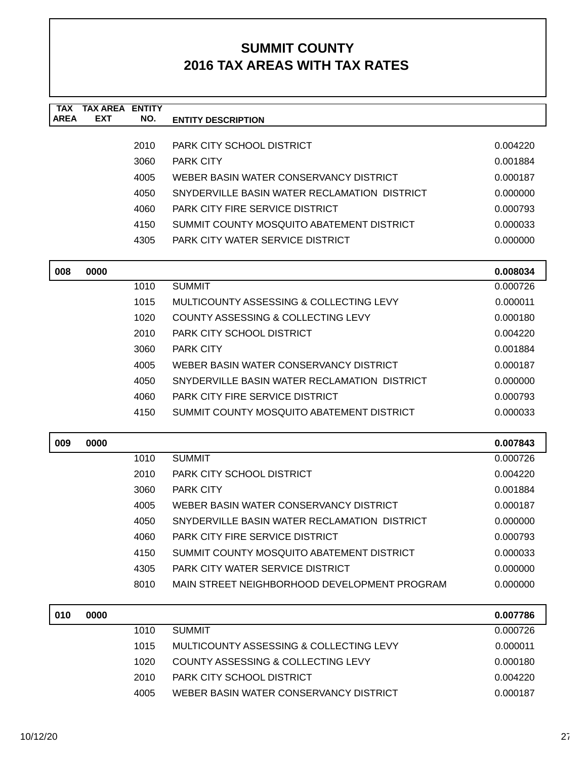| <b>TAX</b><br><b>AREA</b> | <b>TAX AREA ENTITY</b><br><b>EXT</b> | NO.  | <b>ENTITY DESCRIPTION</b>                    |          |
|---------------------------|--------------------------------------|------|----------------------------------------------|----------|
|                           |                                      |      |                                              |          |
|                           |                                      | 2010 | PARK CITY SCHOOL DISTRICT                    | 0.004220 |
|                           |                                      | 3060 | <b>PARK CITY</b>                             | 0.001884 |
|                           |                                      | 4005 | WEBER BASIN WATER CONSERVANCY DISTRICT       | 0.000187 |
|                           |                                      | 4050 | SNYDERVILLE BASIN WATER RECLAMATION DISTRICT | 0.000000 |
|                           |                                      | 4060 | <b>PARK CITY FIRE SERVICE DISTRICT</b>       | 0.000793 |
|                           |                                      | 4150 | SUMMIT COUNTY MOSQUITO ABATEMENT DISTRICT    | 0.000033 |
|                           |                                      | 4305 | PARK CITY WATER SERVICE DISTRICT             | 0.000000 |
| 008                       | 0000                                 |      |                                              | 0.008034 |
|                           |                                      | 1010 | <b>SUMMIT</b>                                | 0.000726 |
|                           |                                      | 1015 | MULTICOUNTY ASSESSING & COLLECTING LEVY      | 0.000011 |
|                           |                                      | 1020 | COUNTY ASSESSING & COLLECTING LEVY           | 0.000180 |
|                           |                                      | 2010 | PARK CITY SCHOOL DISTRICT                    | 0.004220 |
|                           |                                      | 3060 | PARK CITY                                    | 0.001884 |
|                           |                                      | 4005 | WEBER BASIN WATER CONSERVANCY DISTRICT       | 0.000187 |
|                           |                                      | 4050 | SNYDERVILLE BASIN WATER RECLAMATION DISTRICT | 0.000000 |
|                           |                                      | 4060 | <b>PARK CITY FIRE SERVICE DISTRICT</b>       | 0.000793 |
|                           |                                      | 4150 | SUMMIT COUNTY MOSQUITO ABATEMENT DISTRICT    | 0.000033 |
| 009                       | 0000                                 |      |                                              | 0.007843 |
|                           |                                      | 1010 | <b>SUMMIT</b>                                | 0.000726 |
|                           |                                      | 2010 | PARK CITY SCHOOL DISTRICT                    | 0.004220 |
|                           |                                      | 3060 | <b>PARK CITY</b>                             | 0.001884 |
|                           |                                      | 4005 | WEBER BASIN WATER CONSERVANCY DISTRICT       | 0.000187 |
|                           |                                      | 4050 | SNYDERVILLE BASIN WATER RECLAMATION DISTRICT | 0.000000 |
|                           |                                      | 4060 | PARK CITY FIRE SERVICE DISTRICT              | 0.000793 |
|                           |                                      | 4150 | SUMMIT COUNTY MOSQUITO ABATEMENT DISTRICT    | 0.000033 |
|                           |                                      | 4305 | PARK CITY WATER SERVICE DISTRICT             | 0.000000 |
|                           |                                      | 8010 | MAIN STREET NEIGHBORHOOD DEVELOPMENT PROGRAM | 0.000000 |
| 010                       | 0000                                 |      |                                              | 0.007786 |
|                           |                                      | 1010 | <b>SUMMIT</b>                                | 0.000726 |
|                           |                                      | 1015 | MULTICOUNTY ASSESSING & COLLECTING LEVY      | 0.000011 |
|                           |                                      | 1020 | COUNTY ASSESSING & COLLECTING LEVY           | 0.000180 |
|                           |                                      | 2010 | PARK CITY SCHOOL DISTRICT                    | 0.004220 |
|                           |                                      | 4005 | WEBER BASIN WATER CONSERVANCY DISTRICT       | 0.000187 |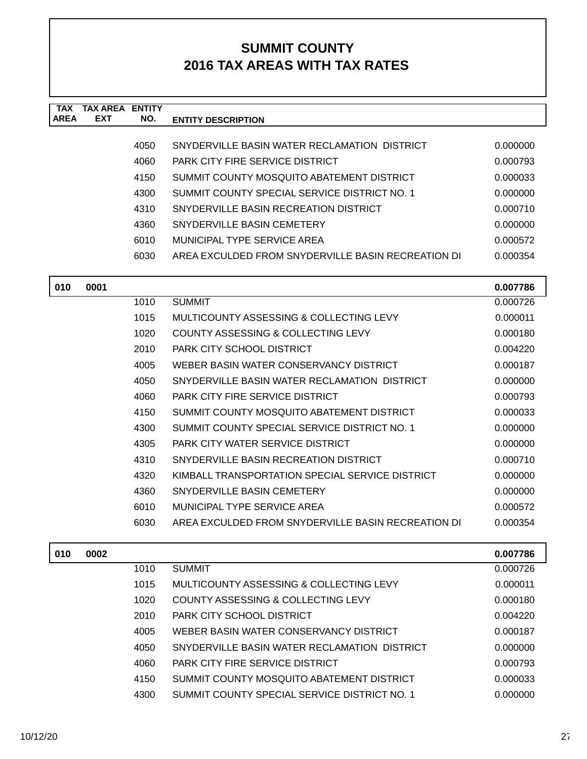| <b>TAX</b><br><b>AREA</b> | <b>TAX AREA ENTITY</b><br><b>EXT</b> | NO.  | <b>ENTITY DESCRIPTION</b>                          |          |
|---------------------------|--------------------------------------|------|----------------------------------------------------|----------|
|                           |                                      |      |                                                    |          |
|                           |                                      | 4050 | SNYDERVILLE BASIN WATER RECLAMATION DISTRICT       | 0.000000 |
|                           |                                      | 4060 | <b>PARK CITY FIRE SERVICE DISTRICT</b>             | 0.000793 |
|                           |                                      | 4150 | SUMMIT COUNTY MOSQUITO ABATEMENT DISTRICT          | 0.000033 |
|                           |                                      | 4300 | SUMMIT COUNTY SPECIAL SERVICE DISTRICT NO. 1       | 0.000000 |
|                           |                                      | 4310 | SNYDERVILLE BASIN RECREATION DISTRICT              | 0.000710 |
|                           |                                      | 4360 | SNYDERVILLE BASIN CEMETERY                         | 0.000000 |
|                           |                                      | 6010 | MUNICIPAL TYPE SERVICE AREA                        | 0.000572 |
|                           |                                      | 6030 | AREA EXCULDED FROM SNYDERVILLE BASIN RECREATION DI | 0.000354 |
| 010                       | 0001                                 |      |                                                    | 0.007786 |
|                           |                                      | 1010 | <b>SUMMIT</b>                                      | 0.000726 |
|                           |                                      | 1015 | MULTICOUNTY ASSESSING & COLLECTING LEVY            | 0.000011 |
|                           |                                      | 1020 | COUNTY ASSESSING & COLLECTING LEVY                 | 0.000180 |
|                           |                                      | 2010 | PARK CITY SCHOOL DISTRICT                          | 0.004220 |
|                           |                                      | 4005 | WEBER BASIN WATER CONSERVANCY DISTRICT             | 0.000187 |
|                           |                                      | 4050 | SNYDERVILLE BASIN WATER RECLAMATION DISTRICT       | 0.000000 |
|                           |                                      | 4060 | <b>PARK CITY FIRE SERVICE DISTRICT</b>             | 0.000793 |
|                           |                                      | 4150 | SUMMIT COUNTY MOSQUITO ABATEMENT DISTRICT          | 0.000033 |
|                           |                                      | 4300 | SUMMIT COUNTY SPECIAL SERVICE DISTRICT NO. 1       | 0.000000 |
|                           |                                      | 4305 | PARK CITY WATER SERVICE DISTRICT                   | 0.000000 |
|                           |                                      | 4310 | SNYDERVILLE BASIN RECREATION DISTRICT              | 0.000710 |
|                           |                                      | 4320 | KIMBALL TRANSPORTATION SPECIAL SERVICE DISTRICT    | 0.000000 |
|                           |                                      | 4360 | SNYDERVILLE BASIN CEMETERY                         | 0.000000 |
|                           |                                      | 6010 | MUNICIPAL TYPE SERVICE AREA                        | 0.000572 |
|                           |                                      | 6030 | AREA EXCULDED FROM SNYDERVILLE BASIN RECREATION DI | 0.000354 |
| 010                       | 0002                                 |      |                                                    | 0.007786 |
|                           |                                      | 1010 | <b>SUMMIT</b>                                      | 0.000726 |
|                           |                                      | 1015 | MULTICOUNTY ASSESSING & COLLECTING LEVY            | 0.000011 |
|                           |                                      | 1020 | <b>COUNTY ASSESSING &amp; COLLECTING LEVY</b>      | 0.000180 |
|                           |                                      | 2010 | PARK CITY SCHOOL DISTRICT                          | 0.004220 |
|                           |                                      | 4005 | WEBER BASIN WATER CONSERVANCY DISTRICT             | 0.000187 |
|                           |                                      | 4050 | SNYDERVILLE BASIN WATER RECLAMATION DISTRICT       | 0.000000 |
|                           |                                      | 4060 | <b>PARK CITY FIRE SERVICE DISTRICT</b>             | 0.000793 |
|                           |                                      | 4150 | SUMMIT COUNTY MOSQUITO ABATEMENT DISTRICT          | 0.000033 |
|                           |                                      | 4300 | SUMMIT COUNTY SPECIAL SERVICE DISTRICT NO. 1       | 0.000000 |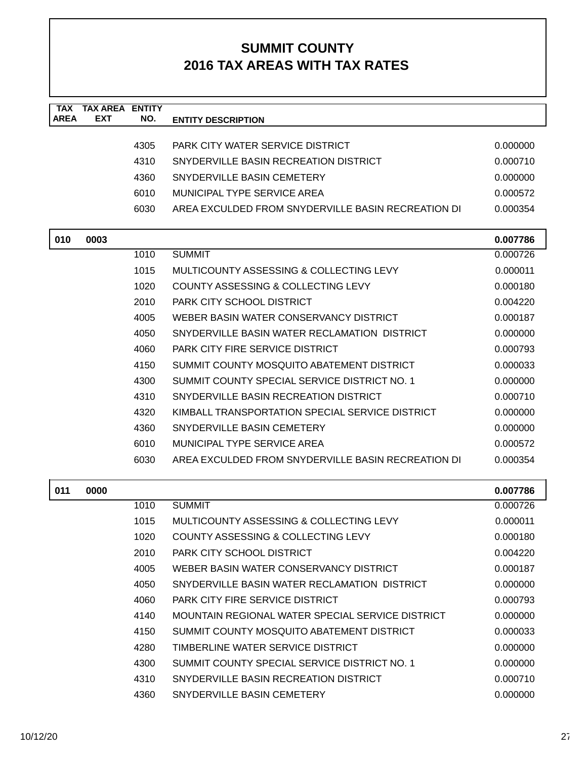| TAX         | <b>TAX AREA</b> | <b>ENTITY</b> |                                                    |          |
|-------------|-----------------|---------------|----------------------------------------------------|----------|
| <b>AREA</b> | <b>EXT</b>      | NO.           | <b>ENTITY DESCRIPTION</b>                          |          |
|             |                 |               | PARK CITY WATER SERVICE DISTRICT                   |          |
|             |                 | 4305          |                                                    | 0.000000 |
|             |                 | 4310          | SNYDERVILLE BASIN RECREATION DISTRICT              | 0.000710 |
|             |                 | 4360          | SNYDERVILLE BASIN CEMETERY                         | 0.000000 |
|             |                 | 6010          | MUNICIPAL TYPE SERVICE AREA                        | 0.000572 |
|             |                 | 6030          | AREA EXCULDED FROM SNYDERVILLE BASIN RECREATION DI | 0.000354 |
| 010         | 0003            |               |                                                    | 0.007786 |
|             |                 | 1010          | <b>SUMMIT</b>                                      | 0.000726 |
|             |                 | 1015          | MULTICOUNTY ASSESSING & COLLECTING LEVY            | 0.000011 |
|             |                 | 1020          | COUNTY ASSESSING & COLLECTING LEVY                 | 0.000180 |
|             |                 | 2010          | PARK CITY SCHOOL DISTRICT                          | 0.004220 |
|             |                 | 4005          | WEBER BASIN WATER CONSERVANCY DISTRICT             | 0.000187 |
|             |                 | 4050          | SNYDERVILLE BASIN WATER RECLAMATION DISTRICT       | 0.000000 |
|             |                 | 4060          | PARK CITY FIRE SERVICE DISTRICT                    | 0.000793 |
|             |                 | 4150          | SUMMIT COUNTY MOSQUITO ABATEMENT DISTRICT          | 0.000033 |
|             |                 | 4300          | SUMMIT COUNTY SPECIAL SERVICE DISTRICT NO. 1       | 0.000000 |
|             |                 | 4310          | SNYDERVILLE BASIN RECREATION DISTRICT              | 0.000710 |
|             |                 | 4320          | KIMBALL TRANSPORTATION SPECIAL SERVICE DISTRICT    | 0.000000 |
|             |                 | 4360          | SNYDERVILLE BASIN CEMETERY                         | 0.000000 |
|             |                 | 6010          | MUNICIPAL TYPE SERVICE AREA                        | 0.000572 |
|             |                 | 6030          | AREA EXCULDED FROM SNYDERVILLE BASIN RECREATION DI | 0.000354 |
|             |                 |               |                                                    |          |
| 011         | 0000            |               |                                                    | 0.007786 |
|             |                 | 1010          | <b>SUMMIT</b>                                      | 0.000726 |
|             |                 | 1015          | MULTICOUNTY ASSESSING & COLLECTING LEVY            | 0.000011 |
|             |                 | 1020          | COUNTY ASSESSING & COLLECTING LEVY                 | 0.000180 |
|             |                 | 2010          | PARK CITY SCHOOL DISTRICT                          | 0.004220 |
|             |                 | 4005          | WEBER BASIN WATER CONSERVANCY DISTRICT             | 0.000187 |
|             |                 | 4050          | SNYDERVILLE BASIN WATER RECLAMATION DISTRICT       | 0.000000 |
|             |                 | 4060          | <b>PARK CITY FIRE SERVICE DISTRICT</b>             | 0.000793 |
|             |                 | 4140          | MOUNTAIN REGIONAL WATER SPECIAL SERVICE DISTRICT   | 0.000000 |
|             |                 | 4150          | SUMMIT COUNTY MOSQUITO ABATEMENT DISTRICT          | 0.000033 |
|             |                 | 4280          | TIMBERLINE WATER SERVICE DISTRICT                  | 0.000000 |
|             |                 | 4300          | SUMMIT COUNTY SPECIAL SERVICE DISTRICT NO. 1       | 0.000000 |
|             |                 | 4310          | SNYDERVILLE BASIN RECREATION DISTRICT              | 0.000710 |
|             |                 | 4360          | SNYDERVILLE BASIN CEMETERY                         | 0.000000 |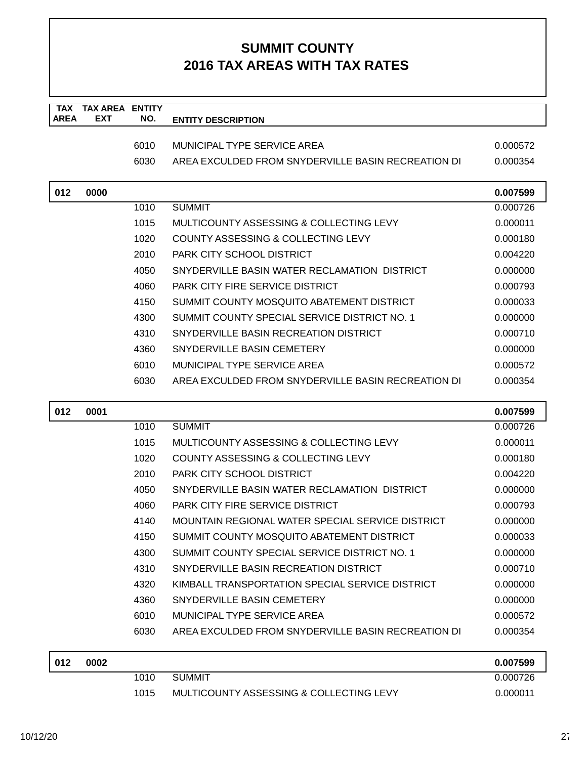| <b>TAX</b>  | <b>TAX AREA ENTITY</b> |      |                                                    |          |
|-------------|------------------------|------|----------------------------------------------------|----------|
| <b>AREA</b> | <b>EXT</b>             | NO.  | <b>ENTITY DESCRIPTION</b>                          |          |
|             |                        |      |                                                    |          |
|             |                        | 6010 | MUNICIPAL TYPE SERVICE AREA                        | 0.000572 |
|             |                        | 6030 | AREA EXCULDED FROM SNYDERVILLE BASIN RECREATION DI | 0.000354 |
| 012         | 0000                   |      |                                                    | 0.007599 |
|             |                        | 1010 | <b>SUMMIT</b>                                      | 0.000726 |
|             |                        | 1015 | MULTICOUNTY ASSESSING & COLLECTING LEVY            | 0.000011 |
|             |                        | 1020 | COUNTY ASSESSING & COLLECTING LEVY                 | 0.000180 |
|             |                        | 2010 | PARK CITY SCHOOL DISTRICT                          | 0.004220 |
|             |                        | 4050 | SNYDERVILLE BASIN WATER RECLAMATION DISTRICT       | 0.000000 |
|             |                        | 4060 | <b>PARK CITY FIRE SERVICE DISTRICT</b>             | 0.000793 |
|             |                        | 4150 | SUMMIT COUNTY MOSQUITO ABATEMENT DISTRICT          | 0.000033 |
|             |                        | 4300 | SUMMIT COUNTY SPECIAL SERVICE DISTRICT NO. 1       | 0.000000 |
|             |                        | 4310 | SNYDERVILLE BASIN RECREATION DISTRICT              | 0.000710 |
|             |                        | 4360 | SNYDERVILLE BASIN CEMETERY                         | 0.000000 |
|             |                        | 6010 | MUNICIPAL TYPE SERVICE AREA                        | 0.000572 |
|             |                        | 6030 | AREA EXCULDED FROM SNYDERVILLE BASIN RECREATION DI | 0.000354 |
| 012         | 0001                   |      |                                                    | 0.007599 |
|             |                        | 1010 | <b>SUMMIT</b>                                      | 0.000726 |
|             |                        | 1015 | MULTICOUNTY ASSESSING & COLLECTING LEVY            | 0.000011 |
|             |                        | 1020 | COUNTY ASSESSING & COLLECTING LEVY                 | 0.000180 |
|             |                        | 2010 | PARK CITY SCHOOL DISTRICT                          | 0.004220 |
|             |                        | 4050 | SNYDERVILLE BASIN WATER RECLAMATION DISTRICT       | 0.000000 |
|             |                        | 4060 | PARK CITY FIRE SERVICE DISTRICT                    | 0.000793 |
|             |                        | 4140 | MOUNTAIN REGIONAL WATER SPECIAL SERVICE DISTRICT   | 0.000000 |
|             |                        | 4150 | SUMMIT COUNTY MOSQUITO ABATEMENT DISTRICT          | 0.000033 |
|             |                        | 4300 | SUMMIT COUNTY SPECIAL SERVICE DISTRICT NO. 1       | 0.000000 |
|             |                        | 4310 | SNYDERVILLE BASIN RECREATION DISTRICT              | 0.000710 |
|             |                        | 4320 | KIMBALL TRANSPORTATION SPECIAL SERVICE DISTRICT    | 0.000000 |
|             |                        | 4360 | SNYDERVILLE BASIN CEMETERY                         | 0.000000 |
|             |                        | 6010 | MUNICIPAL TYPE SERVICE AREA                        | 0.000572 |
|             |                        | 6030 | AREA EXCULDED FROM SNYDERVILLE BASIN RECREATION DI | 0.000354 |
| 012         | 0002                   |      |                                                    | 0.007599 |
|             |                        | 1010 | <b>SUMMIT</b>                                      | 0.000726 |
|             |                        | 1015 | MULTICOUNTY ASSESSING & COLLECTING LEVY            | 0.000011 |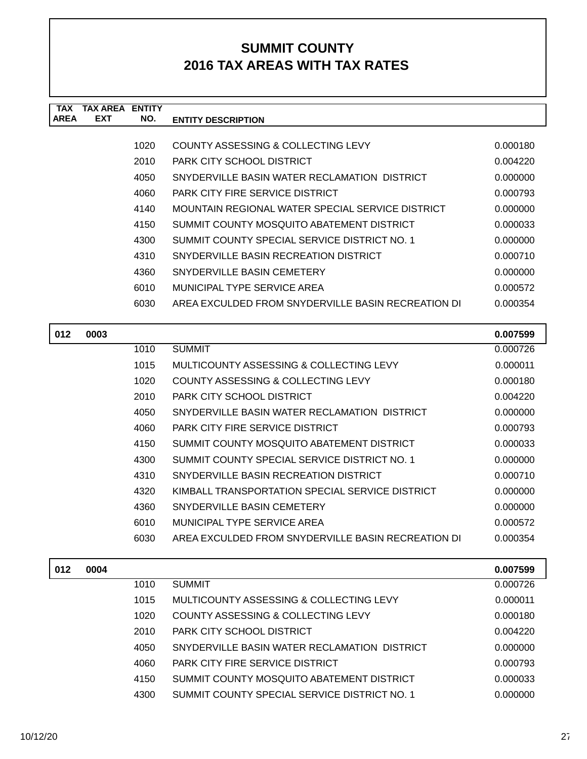| <b>TAX</b>  | TAX ARFA   | <b>ENTITY</b> |                                                    |          |
|-------------|------------|---------------|----------------------------------------------------|----------|
| <b>AREA</b> | <b>EXT</b> | NO.           | <b>ENTITY DESCRIPTION</b>                          |          |
|             |            |               |                                                    |          |
|             |            | 1020          | COUNTY ASSESSING & COLLECTING LEVY                 | 0.000180 |
|             |            | 2010          | PARK CITY SCHOOL DISTRICT                          | 0.004220 |
|             |            | 4050          | SNYDERVILLE BASIN WATER RECLAMATION DISTRICT       | 0.000000 |
|             |            | 4060          | <b>PARK CITY FIRE SERVICE DISTRICT</b>             | 0.000793 |
|             |            | 4140          | MOUNTAIN REGIONAL WATER SPECIAL SERVICE DISTRICT   | 0.000000 |
|             |            | 4150          | SUMMIT COUNTY MOSQUITO ABATEMENT DISTRICT          | 0.000033 |
|             |            | 4300          | SUMMIT COUNTY SPECIAL SERVICE DISTRICT NO. 1       | 0.000000 |
|             |            | 4310          | SNYDERVILLE BASIN RECREATION DISTRICT              | 0.000710 |
|             |            | 4360          | SNYDERVILLE BASIN CEMETERY                         | 0.000000 |
|             |            | 6010          | MUNICIPAL TYPE SERVICE AREA                        | 0.000572 |
|             |            | 6030          | AREA EXCULDED FROM SNYDERVILLE BASIN RECREATION DI | 0.000354 |
|             |            |               |                                                    |          |
| 012         | 0003       |               |                                                    | 0.007599 |
|             |            | 1010          | <b>SUMMIT</b>                                      | 0.000726 |
|             |            | 1015          | MULTICOUNTY ASSESSING & COLLECTING LEVY            | 0.000011 |
|             |            | 1020          | COUNTY ASSESSING & COLLECTING LEVY                 | 0.000180 |
|             |            | 2010          | <b>PARK CITY SCHOOL DISTRICT</b>                   | 0.004220 |
|             |            | 4050          | SNYDERVILLE BASIN WATER RECLAMATION DISTRICT       | 0.000000 |

| 4050 | SNYDERVILLE BASIN WATER RECLAMATION DISTRICT       | 0.000000 |
|------|----------------------------------------------------|----------|
| 4060 | <b>PARK CITY FIRE SERVICE DISTRICT</b>             | 0.000793 |
| 4150 | SUMMIT COUNTY MOSQUITO ABATEMENT DISTRICT          | 0.000033 |
| 4300 | SUMMIT COUNTY SPECIAL SERVICE DISTRICT NO. 1       | 0.000000 |
| 4310 | SNYDERVILLE BASIN RECREATION DISTRICT              | 0.000710 |
| 4320 | KIMBALL TRANSPORTATION SPECIAL SERVICE DISTRICT    | 0.000000 |
| 4360 | SNYDERVILLE BASIN CEMETERY                         | 0.000000 |
| 6010 | MUNICIPAL TYPE SERVICE AREA                        | 0.000572 |
| 6030 | AREA EXCULDED FROM SNYDERVILLE BASIN RECREATION DI | 0.000354 |

| 012 | 0004 |      |                                              | 0.007599 |
|-----|------|------|----------------------------------------------|----------|
|     |      | 1010 | <b>SUMMIT</b>                                | 0.000726 |
|     |      | 1015 | MULTICOUNTY ASSESSING & COLLECTING LEVY      | 0.000011 |
|     |      | 1020 | COUNTY ASSESSING & COLLECTING LEVY           | 0.000180 |
|     |      | 2010 | PARK CITY SCHOOL DISTRICT                    | 0.004220 |
|     |      | 4050 | SNYDERVILLE BASIN WATER RECLAMATION DISTRICT | 0.000000 |
|     |      | 4060 | PARK CITY FIRE SERVICE DISTRICT              | 0.000793 |
|     |      | 4150 | SUMMIT COUNTY MOSQUITO ABATEMENT DISTRICT    | 0.000033 |
|     |      | 4300 | SUMMIT COUNTY SPECIAL SERVICE DISTRICT NO. 1 | 0.000000 |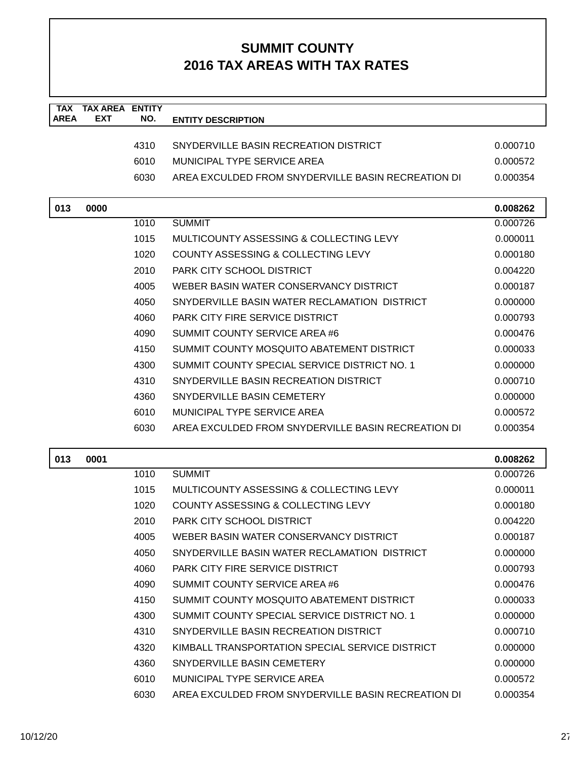| <b>TAX</b>  | <b>TAX AREA ENTITY</b> |      |                                                    |          |
|-------------|------------------------|------|----------------------------------------------------|----------|
| <b>AREA</b> | <b>EXT</b>             | NO.  | <b>ENTITY DESCRIPTION</b>                          |          |
|             |                        | 4310 | SNYDERVILLE BASIN RECREATION DISTRICT              | 0.000710 |
|             |                        | 6010 | MUNICIPAL TYPE SERVICE AREA                        | 0.000572 |
|             |                        | 6030 | AREA EXCULDED FROM SNYDERVILLE BASIN RECREATION DI | 0.000354 |
|             |                        |      |                                                    |          |
| 013         | 0000                   |      |                                                    | 0.008262 |
|             |                        | 1010 | <b>SUMMIT</b>                                      | 0.000726 |
|             |                        | 1015 | MULTICOUNTY ASSESSING & COLLECTING LEVY            | 0.000011 |
|             |                        | 1020 | COUNTY ASSESSING & COLLECTING LEVY                 | 0.000180 |
|             |                        | 2010 | PARK CITY SCHOOL DISTRICT                          | 0.004220 |
|             |                        | 4005 | WEBER BASIN WATER CONSERVANCY DISTRICT             | 0.000187 |
|             |                        | 4050 | SNYDERVILLE BASIN WATER RECLAMATION DISTRICT       | 0.000000 |
|             |                        | 4060 | <b>PARK CITY FIRE SERVICE DISTRICT</b>             | 0.000793 |
|             |                        | 4090 | SUMMIT COUNTY SERVICE AREA #6                      | 0.000476 |
|             |                        | 4150 | SUMMIT COUNTY MOSQUITO ABATEMENT DISTRICT          | 0.000033 |
|             |                        | 4300 | SUMMIT COUNTY SPECIAL SERVICE DISTRICT NO. 1       | 0.000000 |
|             |                        | 4310 | SNYDERVILLE BASIN RECREATION DISTRICT              | 0.000710 |
|             |                        | 4360 | SNYDERVILLE BASIN CEMETERY                         | 0.000000 |
|             |                        | 6010 | MUNICIPAL TYPE SERVICE AREA                        | 0.000572 |
|             |                        | 6030 | AREA EXCULDED FROM SNYDERVILLE BASIN RECREATION DI | 0.000354 |
|             |                        |      |                                                    |          |
| 013         | 0001                   |      |                                                    | 0.008262 |
|             |                        | 1010 | <b>SUMMIT</b>                                      | 0.000726 |
|             |                        | 1015 | MULTICOUNTY ASSESSING & COLLECTING LEVY            | 0.000011 |
|             |                        | 1020 | COUNTY ASSESSING & COLLECTING LEVY                 | 0.000180 |
|             |                        | 2010 | PARK CITY SCHOOL DISTRICT                          | 0.004220 |
|             |                        | 4005 | WEBER BASIN WATER CONSERVANCY DISTRICT             | 0.000187 |
|             |                        | 4050 | SNYDERVILLE BASIN WATER RECLAMATION DISTRICT       | 0.000000 |
|             |                        | 4060 | <b>PARK CITY FIRE SERVICE DISTRICT</b>             | 0.000793 |
|             |                        | 4090 | SUMMIT COUNTY SERVICE AREA #6                      | 0.000476 |
|             |                        | 4150 | SUMMIT COUNTY MOSQUITO ABATEMENT DISTRICT          | 0.000033 |
|             |                        | 4300 | SUMMIT COUNTY SPECIAL SERVICE DISTRICT NO. 1       | 0.000000 |
|             |                        | 4310 | SNYDERVILLE BASIN RECREATION DISTRICT              | 0.000710 |
|             |                        | 4320 | KIMBALL TRANSPORTATION SPECIAL SERVICE DISTRICT    | 0.000000 |
|             |                        | 4360 | SNYDERVILLE BASIN CEMETERY                         | 0.000000 |
|             |                        | 6010 | MUNICIPAL TYPE SERVICE AREA                        | 0.000572 |
|             |                        | 6030 | AREA EXCULDED FROM SNYDERVILLE BASIN RECREATION DI | 0.000354 |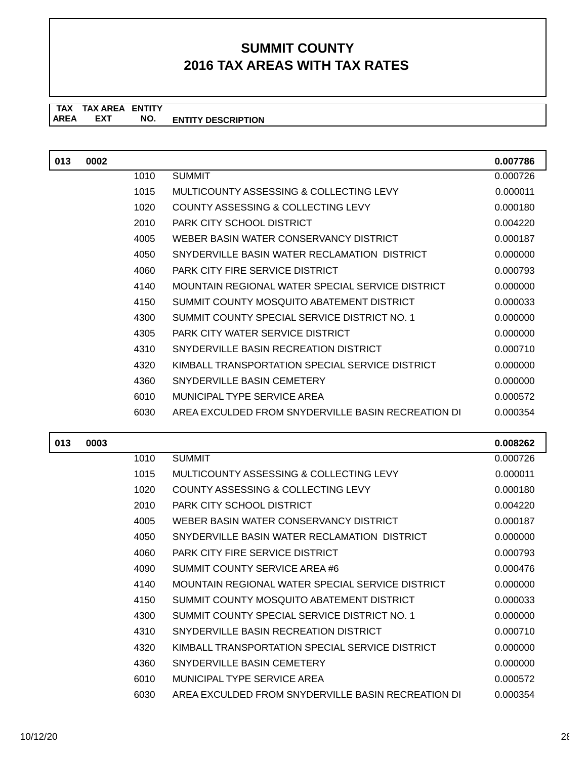**TAX TAX AREA ENTITY ENTITY DESCRIPTION EXT NO.**

| 013 | 0002 |      |                                                    | 0.007786 |
|-----|------|------|----------------------------------------------------|----------|
|     |      | 1010 | <b>SUMMIT</b>                                      | 0.000726 |
|     |      | 1015 | MULTICOUNTY ASSESSING & COLLECTING LEVY            | 0.000011 |
|     |      | 1020 | COUNTY ASSESSING & COLLECTING LEVY                 | 0.000180 |
|     |      | 2010 | PARK CITY SCHOOL DISTRICT                          | 0.004220 |
|     |      | 4005 | WEBER BASIN WATER CONSERVANCY DISTRICT             | 0.000187 |
|     |      | 4050 | SNYDERVILLE BASIN WATER RECLAMATION DISTRICT       | 0.000000 |
|     |      | 4060 | <b>PARK CITY FIRE SERVICE DISTRICT</b>             | 0.000793 |
|     |      | 4140 | MOUNTAIN REGIONAL WATER SPECIAL SERVICE DISTRICT   | 0.000000 |
|     |      | 4150 | SUMMIT COUNTY MOSQUITO ABATEMENT DISTRICT          | 0.000033 |
|     |      | 4300 | SUMMIT COUNTY SPECIAL SERVICE DISTRICT NO. 1       | 0.000000 |
|     |      | 4305 | PARK CITY WATER SERVICE DISTRICT                   | 0.000000 |
|     |      | 4310 | SNYDERVILLE BASIN RECREATION DISTRICT              | 0.000710 |
|     |      | 4320 | KIMBALL TRANSPORTATION SPECIAL SERVICE DISTRICT    | 0.000000 |
|     |      | 4360 | SNYDERVILLE BASIN CEMETERY                         | 0.000000 |
|     |      | 6010 | MUNICIPAL TYPE SERVICE AREA                        | 0.000572 |
|     |      | 6030 | AREA EXCULDED FROM SNYDERVILLE BASIN RECREATION DI | 0.000354 |

| 013 | 0003 |      |                                                    | 0.008262 |
|-----|------|------|----------------------------------------------------|----------|
|     |      | 1010 | <b>SUMMIT</b>                                      | 0.000726 |
|     |      | 1015 | MULTICOUNTY ASSESSING & COLLECTING LEVY            | 0.000011 |
|     |      | 1020 | COUNTY ASSESSING & COLLECTING LEVY                 | 0.000180 |
|     |      | 2010 | PARK CITY SCHOOL DISTRICT                          | 0.004220 |
|     |      | 4005 | WEBER BASIN WATER CONSERVANCY DISTRICT             | 0.000187 |
|     |      | 4050 | SNYDERVILLE BASIN WATER RECLAMATION DISTRICT       | 0.000000 |
|     |      | 4060 | <b>PARK CITY FIRE SERVICE DISTRICT</b>             | 0.000793 |
|     |      | 4090 | SUMMIT COUNTY SERVICE AREA #6                      | 0.000476 |
|     |      | 4140 | MOUNTAIN REGIONAL WATER SPECIAL SERVICE DISTRICT   | 0.000000 |
|     |      | 4150 | SUMMIT COUNTY MOSQUITO ABATEMENT DISTRICT          | 0.000033 |
|     |      | 4300 | SUMMIT COUNTY SPECIAL SERVICE DISTRICT NO. 1       | 0.000000 |
|     |      | 4310 | SNYDERVILLE BASIN RECREATION DISTRICT              | 0.000710 |
|     |      | 4320 | KIMBALL TRANSPORTATION SPECIAL SERVICE DISTRICT    | 0.000000 |
|     |      | 4360 | SNYDERVILLE BASIN CEMETERY                         | 0.000000 |
|     |      | 6010 | MUNICIPAL TYPE SERVICE AREA                        | 0.000572 |
|     |      | 6030 | AREA EXCULDED FROM SNYDERVILLE BASIN RECREATION DI | 0.000354 |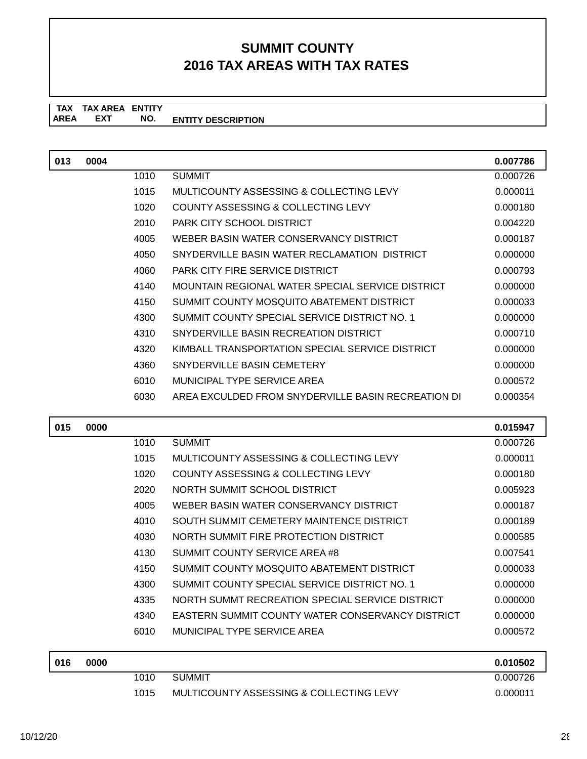**TAX TAX AREA ENTITY AREA ENTITY DESCRIPTION EXT NO.**

| 013 | 0004 |      |                                                         | 0.007786 |
|-----|------|------|---------------------------------------------------------|----------|
|     |      | 1010 | <b>SUMMIT</b>                                           | 0.000726 |
|     |      | 1015 | MULTICOUNTY ASSESSING & COLLECTING LEVY                 | 0.000011 |
|     |      | 1020 | COUNTY ASSESSING & COLLECTING LEVY                      | 0.000180 |
|     |      | 2010 | PARK CITY SCHOOL DISTRICT                               | 0.004220 |
|     |      | 4005 | WEBER BASIN WATER CONSERVANCY DISTRICT                  | 0.000187 |
|     |      | 4050 | SNYDERVILLE BASIN WATER RECLAMATION DISTRICT            | 0.000000 |
|     |      | 4060 | PARK CITY FIRE SERVICE DISTRICT                         | 0.000793 |
|     |      | 4140 | MOUNTAIN REGIONAL WATER SPECIAL SERVICE DISTRICT        | 0.000000 |
|     |      | 4150 | SUMMIT COUNTY MOSQUITO ABATEMENT DISTRICT               | 0.000033 |
|     |      | 4300 | SUMMIT COUNTY SPECIAL SERVICE DISTRICT NO. 1            | 0.000000 |
|     |      | 4310 | SNYDERVILLE BASIN RECREATION DISTRICT                   | 0.000710 |
|     |      | 4320 | KIMBALL TRANSPORTATION SPECIAL SERVICE DISTRICT         | 0.000000 |
|     |      | 4360 | SNYDERVILLE BASIN CEMETERY                              | 0.000000 |
|     |      | 6010 | MUNICIPAL TYPE SERVICE AREA                             | 0.000572 |
|     |      | 6030 | AREA EXCULDED FROM SNYDERVILLE BASIN RECREATION DI      | 0.000354 |
| 015 | 0000 |      |                                                         | 0.015947 |
|     |      | 1010 | <b>SUMMIT</b>                                           | 0.000726 |
|     |      | 1015 | MULTICOUNTY ASSESSING & COLLECTING LEVY                 | 0.000011 |
|     |      | 1020 | COUNTY ASSESSING & COLLECTING LEVY                      | 0.000180 |
|     |      | 2020 | NORTH SUMMIT SCHOOL DISTRICT                            | 0.005923 |
|     |      | 4005 | WEBER BASIN WATER CONSERVANCY DISTRICT                  | 0.000187 |
|     |      | 4010 | SOUTH SUMMIT CEMETERY MAINTENCE DISTRICT                | 0.000189 |
|     |      | 4030 | NORTH SUMMIT FIRE PROTECTION DISTRICT                   | 0.000585 |
|     |      | 4130 | SUMMIT COUNTY SERVICE AREA #8                           | 0.007541 |
|     |      | 4150 | SUMMIT COUNTY MOSQUITO ABATEMENT DISTRICT               | 0.000033 |
|     |      | 4300 | SUMMIT COUNTY SPECIAL SERVICE DISTRICT NO. 1            | 0.000000 |
|     |      | 4335 | NORTH SUMMT RECREATION SPECIAL SERVICE DISTRICT         | 0.000000 |
|     |      | 4340 | <b>EASTERN SUMMIT COUNTY WATER CONSERVANCY DISTRICT</b> | 0.000000 |
|     |      | 6010 | MUNICIPAL TYPE SERVICE AREA                             | 0.000572 |
| 016 | 0000 |      |                                                         | 0.010502 |

| 016 | 0000 |      |                                         | 0.010502 |
|-----|------|------|-----------------------------------------|----------|
|     |      | 1010 | <b>SUMMIT</b>                           | 0.000726 |
|     |      | 1015 | MULTICOUNTY ASSESSING & COLLECTING LEVY | 0.000011 |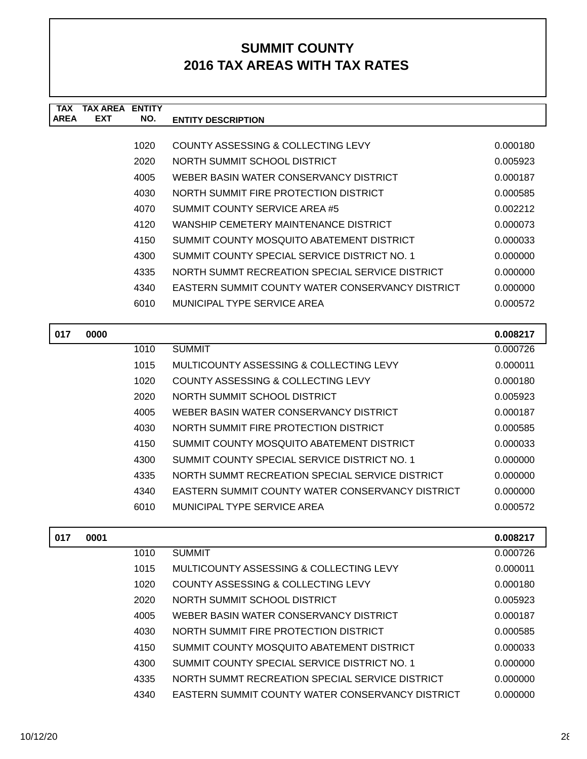| TAX<br><b>AREA</b> | <b>TAX AREA ENTITY</b><br><b>EXT</b> | NO.  | <b>ENTITY DESCRIPTION</b>                               |          |
|--------------------|--------------------------------------|------|---------------------------------------------------------|----------|
|                    |                                      |      |                                                         |          |
|                    |                                      | 1020 | <b>COUNTY ASSESSING &amp; COLLECTING LEVY</b>           | 0.000180 |
|                    |                                      | 2020 | NORTH SUMMIT SCHOOL DISTRICT                            | 0.005923 |
|                    |                                      | 4005 | WEBER BASIN WATER CONSERVANCY DISTRICT                  | 0.000187 |
|                    |                                      | 4030 | NORTH SUMMIT FIRE PROTECTION DISTRICT                   | 0.000585 |
|                    |                                      | 4070 | SUMMIT COUNTY SERVICE AREA #5                           | 0.002212 |
|                    |                                      | 4120 | WANSHIP CEMETERY MAINTENANCE DISTRICT                   | 0.000073 |
|                    |                                      | 4150 | SUMMIT COUNTY MOSQUITO ABATEMENT DISTRICT               | 0.000033 |
|                    |                                      | 4300 | SUMMIT COUNTY SPECIAL SERVICE DISTRICT NO. 1            | 0.000000 |
|                    |                                      | 4335 | NORTH SUMMT RECREATION SPECIAL SERVICE DISTRICT         | 0.000000 |
|                    |                                      | 4340 | <b>EASTERN SUMMIT COUNTY WATER CONSERVANCY DISTRICT</b> | 0.000000 |
|                    |                                      | 6010 | MUNICIPAL TYPE SERVICE AREA                             | 0.000572 |
| 017                | 0000                                 |      |                                                         | 0.008217 |
|                    |                                      | 1010 | <b>SUMMIT</b>                                           | 0.000726 |
|                    |                                      | 1015 | MULTICOUNTY ASSESSING & COLLECTING LEVY                 | 0.000011 |
|                    |                                      | 1020 | COUNTY ASSESSING & COLLECTING LEVY                      | 0.000180 |
|                    |                                      | 2020 | NORTH SUMMIT SCHOOL DISTRICT                            | 0.005923 |
|                    |                                      | 4005 | WEBER BASIN WATER CONSERVANCY DISTRICT                  | 0.000187 |
|                    |                                      | 4030 | NORTH SUMMIT FIRE PROTECTION DISTRICT                   | 0.000585 |
|                    |                                      | 4150 | SUMMIT COUNTY MOSQUITO ABATEMENT DISTRICT               | 0.000033 |
|                    |                                      | 4300 | SUMMIT COUNTY SPECIAL SERVICE DISTRICT NO. 1            | 0.000000 |
|                    |                                      | 4335 | NORTH SUMMT RECREATION SPECIAL SERVICE DISTRICT         | 0.000000 |
|                    |                                      | 4340 | <b>EASTERN SUMMIT COUNTY WATER CONSERVANCY DISTRICT</b> | 0.000000 |
|                    |                                      | 6010 | MUNICIPAL TYPE SERVICE AREA                             | 0.000572 |
| 017                | 0001                                 |      |                                                         | 0.008217 |
|                    |                                      | 1010 | <b>SUMMIT</b>                                           | 0.000726 |
|                    |                                      | 1015 | MULTICOUNTY ASSESSING & COLLECTING LEVY                 | 0.000011 |
|                    |                                      | 1020 | <b>COUNTY ASSESSING &amp; COLLECTING LEVY</b>           | 0.000180 |
|                    |                                      | 2020 | NORTH SUMMIT SCHOOL DISTRICT                            | 0.005923 |
|                    |                                      | 4005 | WEBER BASIN WATER CONSERVANCY DISTRICT                  | 0.000187 |
|                    |                                      | 4030 | NORTH SUMMIT FIRE PROTECTION DISTRICT                   | 0.000585 |
|                    |                                      | 4150 | SUMMIT COUNTY MOSQUITO ABATEMENT DISTRICT               | 0.000033 |
|                    |                                      | 4300 | SUMMIT COUNTY SPECIAL SERVICE DISTRICT NO. 1            | 0.000000 |
|                    |                                      | 4335 | NORTH SUMMT RECREATION SPECIAL SERVICE DISTRICT         | 0.000000 |

4340 EASTERN SUMMIT COUNTY WATER CONSERVANCY DISTRICT 0.000000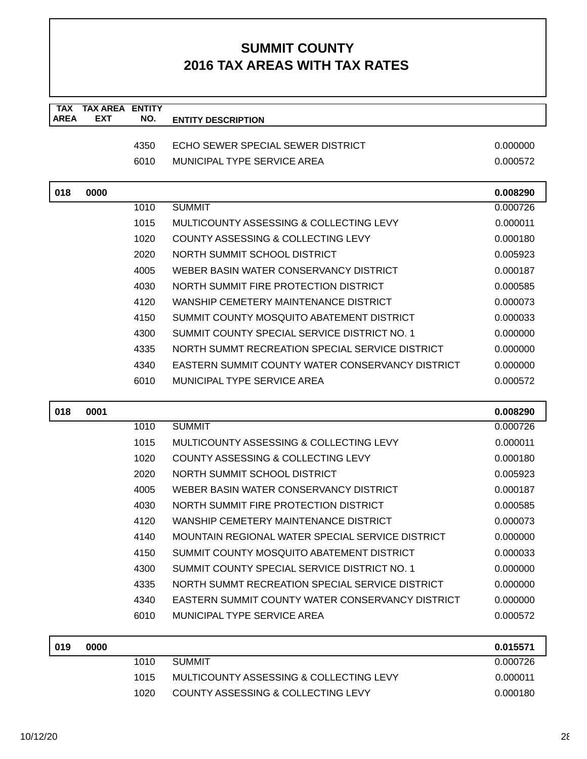| <b>TAX</b><br><b>AREA</b> | <b>TAX AREA</b><br><b>EXT</b> | <b>ENTITY</b><br>NO. | <b>ENTITY DESCRIPTION</b>                               |          |
|---------------------------|-------------------------------|----------------------|---------------------------------------------------------|----------|
|                           |                               |                      |                                                         |          |
|                           |                               | 4350                 | ECHO SEWER SPECIAL SEWER DISTRICT                       | 0.000000 |
|                           |                               | 6010                 | MUNICIPAL TYPE SERVICE AREA                             | 0.000572 |
| 018                       | 0000                          |                      |                                                         | 0.008290 |
|                           |                               | 1010                 | <b>SUMMIT</b>                                           | 0.000726 |
|                           |                               | 1015                 | MULTICOUNTY ASSESSING & COLLECTING LEVY                 | 0.000011 |
|                           |                               | 1020                 | COUNTY ASSESSING & COLLECTING LEVY                      | 0.000180 |
|                           |                               | 2020                 | NORTH SUMMIT SCHOOL DISTRICT                            | 0.005923 |
|                           |                               | 4005                 | WEBER BASIN WATER CONSERVANCY DISTRICT                  | 0.000187 |
|                           |                               | 4030                 | NORTH SUMMIT FIRE PROTECTION DISTRICT                   | 0.000585 |
|                           |                               | 4120                 | WANSHIP CEMETERY MAINTENANCE DISTRICT                   | 0.000073 |
|                           |                               | 4150                 | SUMMIT COUNTY MOSQUITO ABATEMENT DISTRICT               | 0.000033 |
|                           |                               | 4300                 | SUMMIT COUNTY SPECIAL SERVICE DISTRICT NO. 1            | 0.000000 |
|                           |                               | 4335                 | NORTH SUMMT RECREATION SPECIAL SERVICE DISTRICT         | 0.000000 |
|                           |                               | 4340                 | <b>EASTERN SUMMIT COUNTY WATER CONSERVANCY DISTRICT</b> | 0.000000 |
|                           |                               | 6010                 | <b>MUNICIPAL TYPE SERVICE AREA</b>                      | 0.000572 |
|                           |                               |                      |                                                         |          |
| 018                       | 0001                          |                      |                                                         | 0.008290 |
|                           |                               | 1010                 | <b>SUMMIT</b>                                           | 0.000726 |
|                           |                               | 1015                 | MULTICOUNTY ASSESSING & COLLECTING LEVY                 | 0.000011 |
|                           |                               | 1020                 | COUNTY ASSESSING & COLLECTING LEVY                      | 0.000180 |
|                           |                               | 2020                 | NORTH SUMMIT SCHOOL DISTRICT                            | 0.005923 |
|                           |                               | 4005                 | WEBER BASIN WATER CONSERVANCY DISTRICT                  | 0.000187 |
|                           |                               | 4030                 | NORTH SUMMIT FIRE PROTECTION DISTRICT                   | 0.000585 |
|                           |                               | 4120                 | WANSHIP CEMETERY MAINTENANCE DISTRICT                   | 0.000073 |
|                           |                               | 4140                 | MOUNTAIN REGIONAL WATER SPECIAL SERVICE DISTRICT        | 0.000000 |
|                           |                               | 4150                 | SUMMIT COUNTY MOSQUITO ABATEMENT DISTRICT               | 0.000033 |
|                           |                               | 4300                 | SUMMIT COUNTY SPECIAL SERVICE DISTRICT NO. 1            | 0.000000 |
|                           |                               | 4335                 | NORTH SUMMT RECREATION SPECIAL SERVICE DISTRICT         | 0.000000 |
|                           |                               | 4340                 | EASTERN SUMMIT COUNTY WATER CONSERVANCY DISTRICT        | 0.000000 |
|                           |                               | 6010                 | MUNICIPAL TYPE SERVICE AREA                             | 0.000572 |
| 019                       | 0000                          |                      |                                                         | 0.015571 |
|                           |                               | 1010                 | <b>SUMMIT</b>                                           | 0.000726 |
|                           |                               | 1015                 | MULTICOUNTY ASSESSING & COLLECTING LEVY                 | 0.000011 |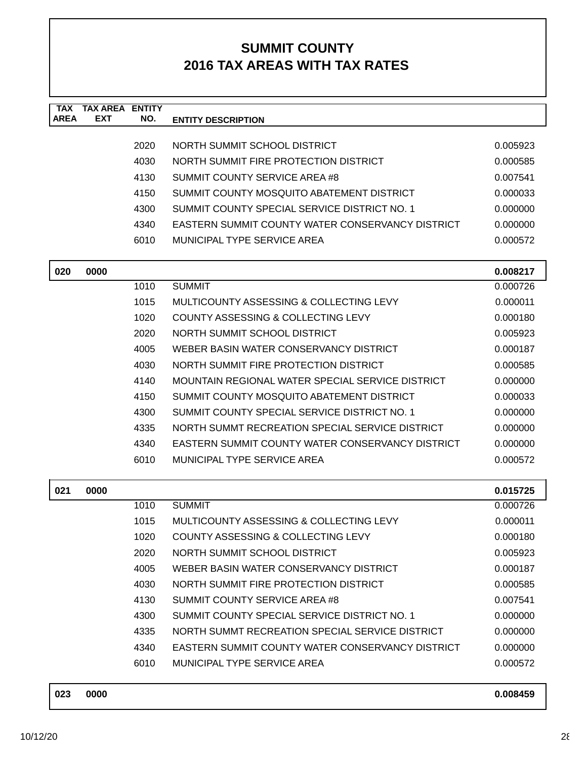| <b>AREA</b> | <b>EXT</b> | <b>ENTITY</b><br>NO. | <b>ENTITY DESCRIPTION</b>                               |          |
|-------------|------------|----------------------|---------------------------------------------------------|----------|
|             |            |                      |                                                         |          |
|             |            | 2020                 | NORTH SUMMIT SCHOOL DISTRICT                            | 0.005923 |
|             |            | 4030                 | NORTH SUMMIT FIRE PROTECTION DISTRICT                   | 0.000585 |
|             |            | 4130                 | SUMMIT COUNTY SERVICE AREA #8                           | 0.007541 |
|             |            | 4150                 | SUMMIT COUNTY MOSQUITO ABATEMENT DISTRICT               | 0.000033 |
|             |            | 4300                 | SUMMIT COUNTY SPECIAL SERVICE DISTRICT NO. 1            | 0.000000 |
|             |            | 4340                 | <b>EASTERN SUMMIT COUNTY WATER CONSERVANCY DISTRICT</b> | 0.000000 |
|             |            | 6010                 | MUNICIPAL TYPE SERVICE AREA                             | 0.000572 |
| 020         | 0000       |                      |                                                         | 0.008217 |
|             |            | 1010                 | <b>SUMMIT</b>                                           | 0.000726 |
|             |            | 1015                 | MULTICOUNTY ASSESSING & COLLECTING LEVY                 | 0.000011 |
|             |            | 1020                 | COUNTY ASSESSING & COLLECTING LEVY                      | 0.000180 |
|             |            | 2020                 | NORTH SUMMIT SCHOOL DISTRICT                            | 0.005923 |
|             |            | 4005                 | WEBER BASIN WATER CONSERVANCY DISTRICT                  | 0.000187 |
|             |            | 4030                 | NORTH SUMMIT FIRE PROTECTION DISTRICT                   | 0.000585 |
|             |            | 4140                 | MOUNTAIN REGIONAL WATER SPECIAL SERVICE DISTRICT        | 0.000000 |
|             |            | 4150                 | SUMMIT COUNTY MOSQUITO ABATEMENT DISTRICT               | 0.000033 |
|             |            | 4300                 | SUMMIT COUNTY SPECIAL SERVICE DISTRICT NO. 1            | 0.000000 |
|             |            | 4335                 | NORTH SUMMT RECREATION SPECIAL SERVICE DISTRICT         | 0.000000 |
|             |            | 4340                 | <b>EASTERN SUMMIT COUNTY WATER CONSERVANCY DISTRICT</b> | 0.000000 |
|             |            | 6010                 | <b>MUNICIPAL TYPE SERVICE AREA</b>                      | 0.000572 |
| 021         | 0000       |                      |                                                         | 0.015725 |
|             |            | 1010                 | <b>SUMMIT</b>                                           | 0.000726 |
|             |            | 1015                 | MULTICOUNTY ASSESSING & COLLECTING LEVY                 | 0.000011 |
|             |            | 1020                 | COUNTY ASSESSING & COLLECTING LEVY                      | 0.000180 |
|             |            | 2020                 | NORTH SUMMIT SCHOOL DISTRICT                            | 0.005923 |
|             |            | 4005                 | WEBER BASIN WATER CONSERVANCY DISTRICT                  | 0.000187 |
|             |            | 4030                 | NORTH SUMMIT FIRE PROTECTION DISTRICT                   | 0.000585 |
|             |            | 4130                 | SUMMIT COUNTY SERVICE AREA #8                           | 0.007541 |
|             |            | 4300                 | SUMMIT COUNTY SPECIAL SERVICE DISTRICT NO. 1            | 0.000000 |
|             |            | 4335                 | NORTH SUMMT RECREATION SPECIAL SERVICE DISTRICT         | 0.000000 |
|             |            | 4340                 | EASTERN SUMMIT COUNTY WATER CONSERVANCY DISTRICT        | 0.000000 |
|             |            | 6010                 | MUNICIPAL TYPE SERVICE AREA                             | 0.000572 |

| 023 | 0000 | 0.008459 |
|-----|------|----------|
|     |      |          |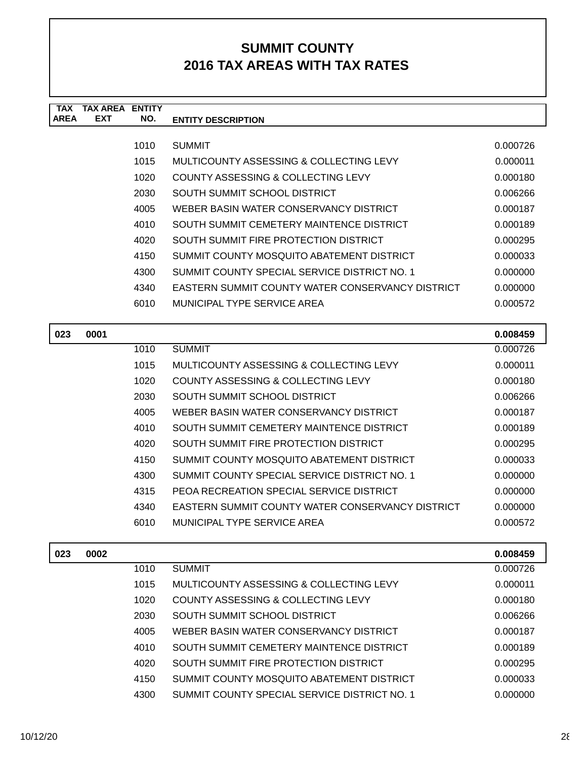| <b>TAX</b><br><b>AREA</b> | <b>TAX AREA ENTITY</b><br><b>EXT</b> | NO.  | <b>ENTITY DESCRIPTION</b>                        |          |
|---------------------------|--------------------------------------|------|--------------------------------------------------|----------|
|                           |                                      |      |                                                  |          |
|                           |                                      | 1010 | <b>SUMMIT</b>                                    | 0.000726 |
|                           |                                      | 1015 | MULTICOUNTY ASSESSING & COLLECTING LEVY          | 0.000011 |
|                           |                                      | 1020 | COUNTY ASSESSING & COLLECTING LEVY               | 0.000180 |
|                           |                                      | 2030 | SOUTH SUMMIT SCHOOL DISTRICT                     | 0.006266 |
|                           |                                      | 4005 | WEBER BASIN WATER CONSERVANCY DISTRICT           | 0.000187 |
|                           |                                      | 4010 | SOUTH SUMMIT CEMETERY MAINTENCE DISTRICT         | 0.000189 |
|                           |                                      | 4020 | SOUTH SUMMIT FIRE PROTECTION DISTRICT            | 0.000295 |
|                           |                                      | 4150 | SUMMIT COUNTY MOSQUITO ABATEMENT DISTRICT        | 0.000033 |
|                           |                                      | 4300 | SUMMIT COUNTY SPECIAL SERVICE DISTRICT NO. 1     | 0.000000 |
|                           |                                      | 4340 | EASTERN SUMMIT COUNTY WATER CONSERVANCY DISTRICT | 0.000000 |
|                           |                                      | 6010 | MUNICIPAL TYPE SERVICE AREA                      | 0.000572 |
|                           |                                      |      |                                                  |          |
| 023                       | 0001                                 |      |                                                  | 0.008459 |
|                           |                                      | 1010 | <b>SUMMIT</b>                                    | 0.000726 |
|                           |                                      | 1015 | MULTICOUNTY ASSESSING & COLLECTING LEVY          | 0.000011 |
|                           |                                      | 1020 | <b>COUNTY ASSESSING &amp; COLLECTING LEVY</b>    | 0.000180 |
|                           |                                      | 2030 | SOUTH SUMMIT SCHOOL DISTRICT                     | 0.006266 |
|                           |                                      | 4005 | WEBER BASIN WATER CONSERVANCY DISTRICT           | 0.000187 |
|                           |                                      | 4010 | SOUTH SUMMIT CEMETERY MAINTENCE DISTRICT         | 0.000189 |
|                           |                                      | 4020 | SOUTH SUMMIT FIRE PROTECTION DISTRICT            | 0.000295 |
|                           |                                      | 4150 | SUMMIT COUNTY MOSQUITO ABATEMENT DISTRICT        | 0.000033 |
|                           |                                      | 4300 | SUMMIT COUNTY SPECIAL SERVICE DISTRICT NO. 1     | 0.000000 |
|                           |                                      | 4315 | PEOA RECREATION SPECIAL SERVICE DISTRICT         | 0.000000 |
|                           |                                      | 4340 | EASTERN SUMMIT COUNTY WATER CONSERVANCY DISTRICT | 0.000000 |
|                           |                                      | 6010 | <b>MUNICIPAL TYPE SERVICE AREA</b>               | 0.000572 |

| 023 | 0002 |      |                                              | 0.008459 |
|-----|------|------|----------------------------------------------|----------|
|     |      | 1010 | <b>SUMMIT</b>                                | 0.000726 |
|     |      | 1015 | MULTICOUNTY ASSESSING & COLLECTING LEVY      | 0.000011 |
|     |      | 1020 | COUNTY ASSESSING & COLLECTING LEVY           | 0.000180 |
|     |      | 2030 | SOUTH SUMMIT SCHOOL DISTRICT                 | 0.006266 |
|     |      | 4005 | WEBER BASIN WATER CONSERVANCY DISTRICT       | 0.000187 |
|     |      | 4010 | SOUTH SUMMIT CEMETERY MAINTENCE DISTRICT     | 0.000189 |
|     |      | 4020 | SOUTH SUMMIT FIRE PROTECTION DISTRICT        | 0.000295 |
|     |      | 4150 | SUMMIT COUNTY MOSQUITO ABATEMENT DISTRICT    | 0.000033 |
|     |      | 4300 | SUMMIT COUNTY SPECIAL SERVICE DISTRICT NO. 1 | 0.000000 |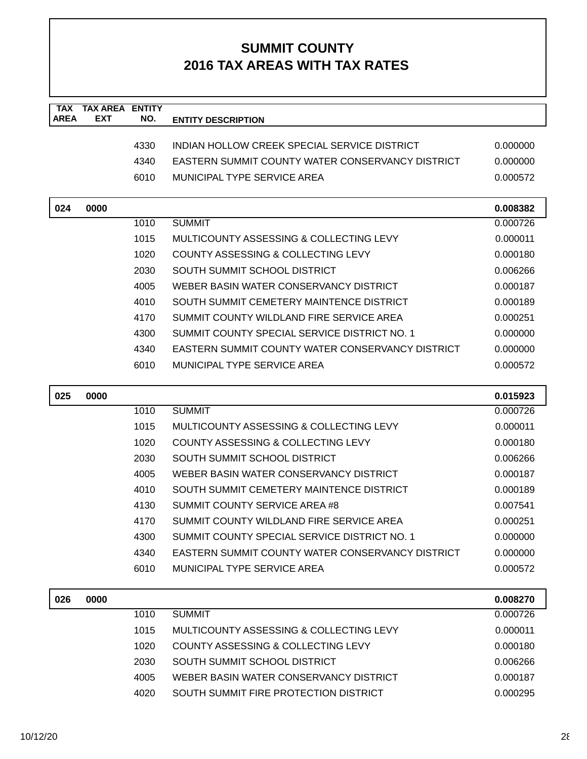| <b>TAX</b><br><b>AREA</b> | <b>TAX AREA</b><br><b>EXT</b> | <b>ENTITY</b><br>NO. | <b>ENTITY DESCRIPTION</b>                        |          |
|---------------------------|-------------------------------|----------------------|--------------------------------------------------|----------|
|                           |                               |                      |                                                  |          |
|                           |                               | 4330                 | INDIAN HOLLOW CREEK SPECIAL SERVICE DISTRICT     | 0.000000 |
|                           |                               | 4340                 | EASTERN SUMMIT COUNTY WATER CONSERVANCY DISTRICT | 0.000000 |
|                           |                               | 6010                 | <b>MUNICIPAL TYPE SERVICE AREA</b>               | 0.000572 |
| 024                       | 0000                          |                      |                                                  | 0.008382 |
|                           |                               | 1010                 | <b>SUMMIT</b>                                    | 0.000726 |
|                           |                               | 1015                 | MULTICOUNTY ASSESSING & COLLECTING LEVY          | 0.000011 |
|                           |                               | 1020                 | COUNTY ASSESSING & COLLECTING LEVY               | 0.000180 |
|                           |                               | 2030                 | SOUTH SUMMIT SCHOOL DISTRICT                     | 0.006266 |
|                           |                               | 4005                 | WEBER BASIN WATER CONSERVANCY DISTRICT           | 0.000187 |
|                           |                               | 4010                 | SOUTH SUMMIT CEMETERY MAINTENCE DISTRICT         | 0.000189 |
|                           |                               | 4170                 | SUMMIT COUNTY WILDLAND FIRE SERVICE AREA         | 0.000251 |
|                           |                               | 4300                 | SUMMIT COUNTY SPECIAL SERVICE DISTRICT NO. 1     | 0.000000 |
|                           |                               | 4340                 | EASTERN SUMMIT COUNTY WATER CONSERVANCY DISTRICT | 0.000000 |
|                           |                               | 6010                 | <b>MUNICIPAL TYPE SERVICE AREA</b>               | 0.000572 |
| 025                       | 0000                          |                      |                                                  | 0.015923 |
|                           |                               | 1010                 | <b>SUMMIT</b>                                    | 0.000726 |
|                           |                               | 1015                 | MULTICOUNTY ASSESSING & COLLECTING LEVY          | 0.000011 |
|                           |                               | 1020                 | COUNTY ASSESSING & COLLECTING LEVY               | 0.000180 |
|                           |                               | 2030                 | SOUTH SUMMIT SCHOOL DISTRICT                     | 0.006266 |
|                           |                               | 4005                 | WEBER BASIN WATER CONSERVANCY DISTRICT           | 0.000187 |
|                           |                               | 4010                 | SOUTH SUMMIT CEMETERY MAINTENCE DISTRICT         | 0.000189 |
|                           |                               | 4130                 | SUMMIT COUNTY SERVICE AREA #8                    | 0.007541 |
|                           |                               | 4170                 | SUMMIT COUNTY WILDLAND FIRE SERVICE AREA         | 0.000251 |
|                           |                               | 4300                 | SUMMIT COUNTY SPECIAL SERVICE DISTRICT NO. 1     | 0.000000 |
|                           |                               | 4340                 | EASTERN SUMMIT COUNTY WATER CONSERVANCY DISTRICT | 0.000000 |
|                           |                               | 6010                 | MUNICIPAL TYPE SERVICE AREA                      | 0.000572 |
| 026                       | 0000                          |                      |                                                  | 0.008270 |
|                           |                               | 1010                 | <b>SUMMIT</b>                                    | 0.000726 |
|                           |                               | 1015                 | MULTICOUNTY ASSESSING & COLLECTING LEVY          | 0.000011 |
|                           |                               | 1020                 | COUNTY ASSESSING & COLLECTING LEVY               | 0.000180 |
|                           |                               | 2030                 | SOUTH SUMMIT SCHOOL DISTRICT                     | 0.006266 |
|                           |                               | 4005                 | WEBER BASIN WATER CONSERVANCY DISTRICT           | 0.000187 |
|                           |                               | 4020                 | SOUTH SUMMIT FIRE PROTECTION DISTRICT            | 0.000295 |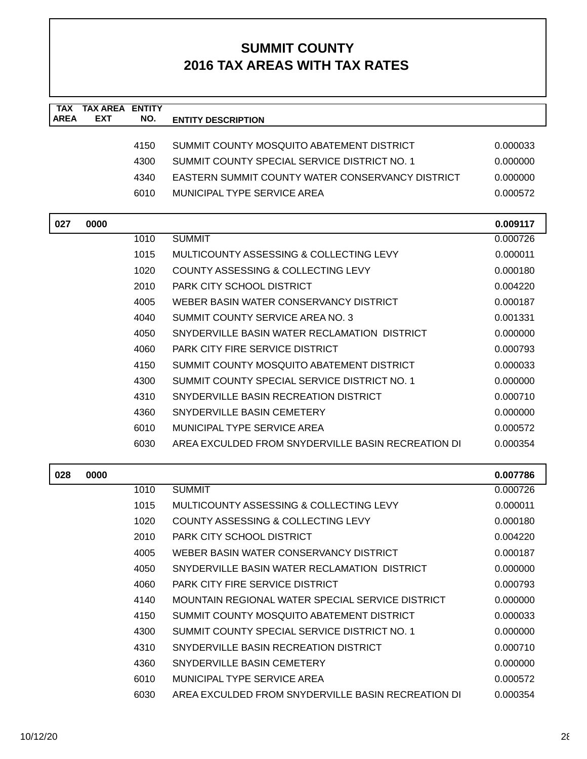| TAX<br><b>AREA</b> | <b>TAX AREA ENTITY</b><br><b>EXT</b> | NO.  | <b>ENTITY DESCRIPTION</b>                               |          |
|--------------------|--------------------------------------|------|---------------------------------------------------------|----------|
|                    |                                      |      |                                                         |          |
|                    |                                      | 4150 | SUMMIT COUNTY MOSQUITO ABATEMENT DISTRICT               | 0.000033 |
|                    |                                      | 4300 | SUMMIT COUNTY SPECIAL SERVICE DISTRICT NO. 1            | 0.000000 |
|                    |                                      | 4340 | <b>EASTERN SUMMIT COUNTY WATER CONSERVANCY DISTRICT</b> | 0.000000 |
|                    |                                      | 6010 | MUNICIPAL TYPE SERVICE AREA                             | 0.000572 |
|                    |                                      |      |                                                         |          |
| 027                | 0000                                 |      |                                                         | 0.009117 |
|                    |                                      | 1010 | <b>SUMMIT</b>                                           | 0.000726 |
|                    |                                      | 1015 | MULTICOUNTY ASSESSING & COLLECTING LEVY                 | 0.000011 |
|                    |                                      | 1020 | COUNTY ASSESSING & COLLECTING LEVY                      | 0.000180 |
|                    |                                      | 2010 | PARK CITY SCHOOL DISTRICT                               | 0.004220 |
|                    |                                      | 4005 | WEBER BASIN WATER CONSERVANCY DISTRICT                  | 0.000187 |
|                    |                                      | 4040 | SUMMIT COUNTY SERVICE AREA NO. 3                        | 0.001331 |
|                    |                                      | 4050 | SNYDERVILLE BASIN WATER RECLAMATION DISTRICT            | 0.000000 |
|                    |                                      | 4060 | <b>PARK CITY FIRE SERVICE DISTRICT</b>                  | 0.000793 |
|                    |                                      | 4150 | SUMMIT COUNTY MOSQUITO ABATEMENT DISTRICT               | 0.000033 |
|                    |                                      | 4300 | SUMMIT COUNTY SPECIAL SERVICE DISTRICT NO. 1            | 0.000000 |
|                    |                                      | 4310 | SNYDERVILLE BASIN RECREATION DISTRICT                   | 0.000710 |
|                    |                                      | 4360 | SNYDERVILLE BASIN CEMETERY                              | 0.000000 |
|                    |                                      | 6010 | MUNICIPAL TYPE SERVICE AREA                             | 0.000572 |
|                    |                                      | 6030 | AREA EXCULDED FROM SNYDERVILLE BASIN RECREATION DI      | 0.000354 |
|                    |                                      |      |                                                         |          |
| 028                | 0000                                 |      |                                                         | 0.007786 |
|                    |                                      | 1010 | <b>SUMMIT</b>                                           | 0.000726 |
|                    |                                      | 1015 | MULTICOUNTY ASSESSING & COLLECTING LEVY                 | 0.000011 |
|                    |                                      | 1020 | COUNTY ASSESSING & COLLECTING LEVY                      | 0.000180 |
|                    |                                      | 2010 | PARK CITY SCHOOL DISTRICT                               | 0.004220 |
|                    |                                      | 4005 | WEBER BASIN WATER CONSERVANCY DISTRICT                  | 0.000187 |
|                    |                                      | 4050 | SNYDERVILLE BASIN WATER RECLAMATION DISTRICT            | 0.000000 |
|                    |                                      | 4060 | PARK CITY FIRE SERVICE DISTRICT                         | 0.000793 |
|                    |                                      | 4140 | MOUNTAIN REGIONAL WATER SPECIAL SERVICE DISTRICT        | 0.000000 |
|                    |                                      | 4150 | SUMMIT COUNTY MOSQUITO ABATEMENT DISTRICT               | 0.000033 |
|                    |                                      | 4300 | SUMMIT COUNTY SPECIAL SERVICE DISTRICT NO. 1            | 0.000000 |
|                    |                                      | 4310 | SNYDERVILLE BASIN RECREATION DISTRICT                   | 0.000710 |
|                    |                                      | 4360 | SNYDERVILLE BASIN CEMETERY                              | 0.000000 |
|                    |                                      | 6010 | MUNICIPAL TYPE SERVICE AREA                             | 0.000572 |
|                    |                                      | 6030 | AREA EXCULDED FROM SNYDERVILLE BASIN RECREATION DI      | 0.000354 |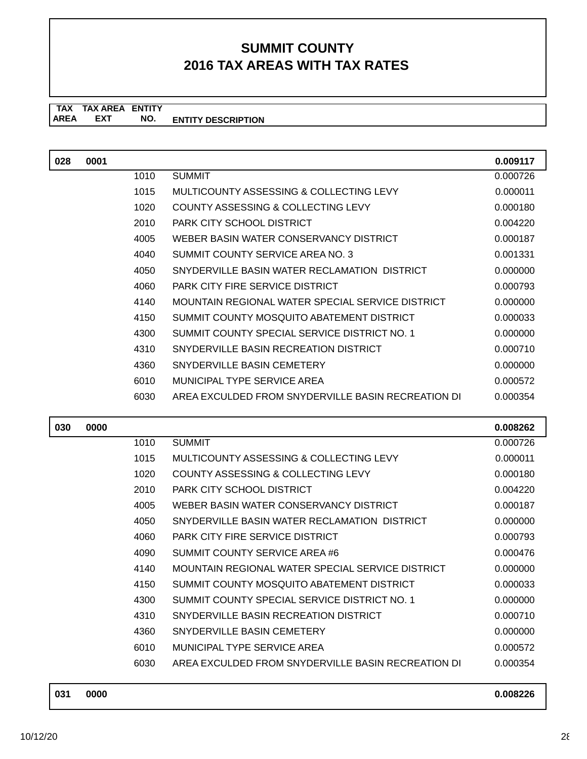**TAX TAX AREA ENTITY AREA ENTITY DESCRIPTION EXT NO.**

| 028 | 0001 |      |                                                    | 0.009117 |
|-----|------|------|----------------------------------------------------|----------|
|     |      | 1010 | <b>SUMMIT</b>                                      | 0.000726 |
|     |      | 1015 | MULTICOUNTY ASSESSING & COLLECTING LEVY            | 0.000011 |
|     |      | 1020 | COUNTY ASSESSING & COLLECTING LEVY                 | 0.000180 |
|     |      | 2010 | PARK CITY SCHOOL DISTRICT                          | 0.004220 |
|     |      | 4005 | WEBER BASIN WATER CONSERVANCY DISTRICT             | 0.000187 |
|     |      | 4040 | SUMMIT COUNTY SERVICE AREA NO. 3                   | 0.001331 |
|     |      | 4050 | SNYDERVILLE BASIN WATER RECLAMATION DISTRICT       | 0.000000 |
|     |      | 4060 | <b>PARK CITY FIRE SERVICE DISTRICT</b>             | 0.000793 |
|     |      | 4140 | MOUNTAIN REGIONAL WATER SPECIAL SERVICE DISTRICT   | 0.000000 |
|     |      | 4150 | SUMMIT COUNTY MOSQUITO ABATEMENT DISTRICT          | 0.000033 |
|     |      | 4300 | SUMMIT COUNTY SPECIAL SERVICE DISTRICT NO. 1       | 0.000000 |
|     |      | 4310 | SNYDERVILLE BASIN RECREATION DISTRICT              | 0.000710 |
|     |      | 4360 | SNYDERVILLE BASIN CEMETERY                         | 0.000000 |
|     |      | 6010 | MUNICIPAL TYPE SERVICE AREA                        | 0.000572 |
|     |      | 6030 | AREA EXCULDED FROM SNYDERVILLE BASIN RECREATION DI | 0.000354 |
|     |      |      |                                                    |          |
| 030 | 0000 |      |                                                    | 0.008262 |
|     |      | 1010 | <b>SUMMIT</b>                                      | 0.000726 |
|     |      | 1015 | MULTICOUNTY ASSESSING & COLLECTING LEVY            | 0.000011 |
|     |      | 1020 | COUNTY ASSESSING & COLLECTING LEVY                 | 0.000180 |
|     |      | 2010 | PARK CITY SCHOOL DISTRICT                          | 0.004220 |
|     |      | 4005 | WEBER BASIN WATER CONSERVANCY DISTRICT             | 0.000187 |
|     |      | 4050 | SNYDERVILLE BASIN WATER RECLAMATION DISTRICT       | 0.000000 |
|     |      | 4060 | <b>PARK CITY FIRE SERVICE DISTRICT</b>             | 0.000793 |
|     |      | 4090 | SUMMIT COUNTY SERVICE AREA #6                      | 0.000476 |
|     |      | 4140 | MOUNTAIN REGIONAL WATER SPECIAL SERVICE DISTRICT   | 0.000000 |
|     |      | 4150 | SUMMIT COUNTY MOSQUITO ABATEMENT DISTRICT          | 0.000033 |
|     |      | 4300 | SUMMIT COUNTY SPECIAL SERVICE DISTRICT NO. 1       | 0.000000 |
|     |      | 4310 | SNYDERVILLE BASIN RECREATION DISTRICT              | 0.000710 |
|     |      | 4360 | SNYDERVILLE BASIN CEMETERY                         | 0.000000 |

6010 MUNICIPAL TYPE SERVICE AREA 6010 0000572 6030 AREA EXCULDED FROM SNYDERVILLE BASIN RECREATION DI 0.000354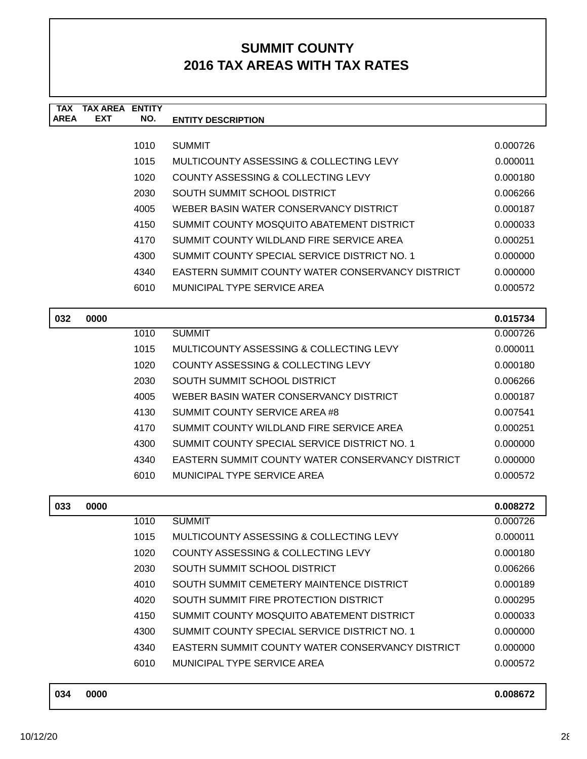| <b>TAX</b><br><b>AREA</b> | <b>TAX AREA</b><br><b>EXT</b> | <b>ENTITY</b><br>NO. | <b>ENTITY DESCRIPTION</b>                                          |                      |
|---------------------------|-------------------------------|----------------------|--------------------------------------------------------------------|----------------------|
|                           |                               |                      |                                                                    |                      |
|                           |                               | 1010                 | <b>SUMMIT</b>                                                      | 0.000726             |
|                           |                               | 1015                 | MULTICOUNTY ASSESSING & COLLECTING LEVY                            | 0.000011             |
|                           |                               | 1020                 | COUNTY ASSESSING & COLLECTING LEVY<br>SOUTH SUMMIT SCHOOL DISTRICT | 0.000180             |
|                           |                               | 2030                 | WEBER BASIN WATER CONSERVANCY DISTRICT                             | 0.006266             |
|                           |                               | 4005<br>4150         | SUMMIT COUNTY MOSQUITO ABATEMENT DISTRICT                          | 0.000187<br>0.000033 |
|                           |                               | 4170                 | SUMMIT COUNTY WILDLAND FIRE SERVICE AREA                           | 0.000251             |
|                           |                               | 4300                 | SUMMIT COUNTY SPECIAL SERVICE DISTRICT NO. 1                       | 0.000000             |
|                           |                               | 4340                 | <b>EASTERN SUMMIT COUNTY WATER CONSERVANCY DISTRICT</b>            | 0.000000             |
|                           |                               | 6010                 | MUNICIPAL TYPE SERVICE AREA                                        | 0.000572             |
|                           |                               |                      |                                                                    |                      |
| 032                       | 0000                          |                      |                                                                    | 0.015734             |
|                           |                               | 1010                 | <b>SUMMIT</b>                                                      | 0.000726             |
|                           |                               | 1015                 | MULTICOUNTY ASSESSING & COLLECTING LEVY                            | 0.000011             |
|                           |                               | 1020                 | COUNTY ASSESSING & COLLECTING LEVY                                 | 0.000180             |
|                           |                               | 2030                 | SOUTH SUMMIT SCHOOL DISTRICT                                       | 0.006266             |
|                           |                               | 4005                 | WEBER BASIN WATER CONSERVANCY DISTRICT                             | 0.000187             |
|                           |                               | 4130                 | SUMMIT COUNTY SERVICE AREA #8                                      | 0.007541             |
|                           |                               | 4170                 | SUMMIT COUNTY WILDLAND FIRE SERVICE AREA                           | 0.000251             |
|                           |                               | 4300                 | SUMMIT COUNTY SPECIAL SERVICE DISTRICT NO. 1                       | 0.000000             |
|                           |                               | 4340                 | <b>EASTERN SUMMIT COUNTY WATER CONSERVANCY DISTRICT</b>            | 0.000000             |
|                           |                               | 6010                 | MUNICIPAL TYPE SERVICE AREA                                        | 0.000572             |
| 033                       | 0000                          |                      |                                                                    | 0.008272             |
|                           |                               | 1010                 | <b>SUMMIT</b>                                                      | 0.000726             |
|                           |                               | 1015                 | MULTICOUNTY ASSESSING & COLLECTING LEVY                            | 0.000011             |
|                           |                               | 1020                 | COUNTY ASSESSING & COLLECTING LEVY                                 | 0.000180             |
|                           |                               | 2030                 | SOUTH SUMMIT SCHOOL DISTRICT                                       | 0.006266             |
|                           |                               | 4010                 | SOUTH SUMMIT CEMETERY MAINTENCE DISTRICT                           | 0.000189             |
|                           |                               | 4020                 | SOUTH SUMMIT FIRE PROTECTION DISTRICT                              | 0.000295             |
|                           |                               | 4150                 | SUMMIT COUNTY MOSQUITO ABATEMENT DISTRICT                          | 0.000033             |
|                           |                               | 4300                 | SUMMIT COUNTY SPECIAL SERVICE DISTRICT NO. 1                       | 0.000000             |
|                           |                               | 4340                 | EASTERN SUMMIT COUNTY WATER CONSERVANCY DISTRICT                   | 0.000000             |
|                           |                               | 6010                 | MUNICIPAL TYPE SERVICE AREA                                        | 0.000572             |
| 034                       | 0000                          |                      |                                                                    | 0.008672             |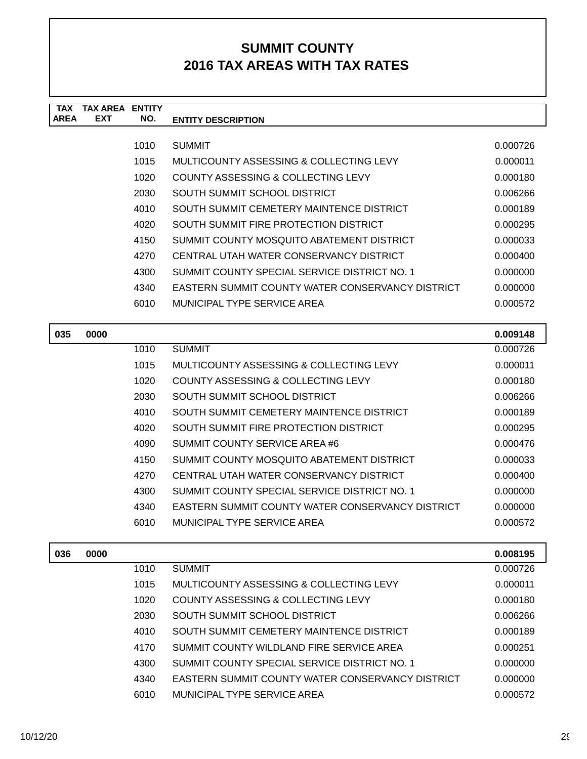| <b>TAX</b>  | <b>TAX AREA ENTITY</b> |      |                                                         |          |
|-------------|------------------------|------|---------------------------------------------------------|----------|
| <b>AREA</b> | <b>EXT</b>             | NO.  | <b>ENTITY DESCRIPTION</b>                               |          |
|             |                        | 1010 | <b>SUMMIT</b>                                           | 0.000726 |
|             |                        | 1015 | MULTICOUNTY ASSESSING & COLLECTING LEVY                 | 0.000011 |
|             |                        | 1020 | COUNTY ASSESSING & COLLECTING LEVY                      | 0.000180 |
|             |                        | 2030 | SOUTH SUMMIT SCHOOL DISTRICT                            | 0.006266 |
|             |                        | 4010 | SOUTH SUMMIT CEMETERY MAINTENCE DISTRICT                | 0.000189 |
|             |                        | 4020 | SOUTH SUMMIT FIRE PROTECTION DISTRICT                   | 0.000295 |
|             |                        | 4150 | SUMMIT COUNTY MOSQUITO ABATEMENT DISTRICT               | 0.000033 |
|             |                        | 4270 | CENTRAL UTAH WATER CONSERVANCY DISTRICT                 | 0.000400 |
|             |                        | 4300 | SUMMIT COUNTY SPECIAL SERVICE DISTRICT NO. 1            | 0.000000 |
|             |                        | 4340 | <b>EASTERN SUMMIT COUNTY WATER CONSERVANCY DISTRICT</b> | 0.000000 |
|             |                        | 6010 | MUNICIPAL TYPE SERVICE AREA                             | 0.000572 |
|             |                        |      |                                                         |          |
| 035         | 0000                   |      |                                                         | 0.009148 |
|             |                        | 1010 | <b>SUMMIT</b>                                           | 0.000726 |
|             |                        | 1015 | MULTICOUNTY ASSESSING & COLLECTING LEVY                 | 0.000011 |
|             |                        | 1020 | COUNTY ASSESSING & COLLECTING LEVY                      | 0.000180 |
|             |                        | 2030 | SOUTH SUMMIT SCHOOL DISTRICT                            | 0.006266 |
|             |                        | 4010 | SOUTH SUMMIT CEMETERY MAINTENCE DISTRICT                | 0.000189 |
|             |                        | 4020 | SOUTH SUMMIT FIRE PROTECTION DISTRICT                   | 0.000295 |
|             |                        | 4090 | SUMMIT COUNTY SERVICE AREA #6                           | 0.000476 |
|             |                        | 4150 | SUMMIT COUNTY MOSQUITO ABATEMENT DISTRICT               | 0.000033 |
|             |                        | 4270 | CENTRAL UTAH WATER CONSERVANCY DISTRICT                 | 0.000400 |
|             |                        | 4300 | SUMMIT COUNTY SPECIAL SERVICE DISTRICT NO. 1            | 0.000000 |
|             |                        | 4340 | <b>EASTERN SUMMIT COUNTY WATER CONSERVANCY DISTRICT</b> | 0.000000 |
|             |                        | 6010 | MUNICIPAL TYPE SERVICE AREA                             | 0.000572 |
|             |                        |      |                                                         |          |
| 036         | 0000                   |      |                                                         | 0.008195 |
|             |                        | 1010 | <b>SUMMIT</b>                                           | 0.000726 |
|             |                        | 1015 | MULTICOUNTY ASSESSING & COLLECTING LEVY                 | 0.000011 |
|             |                        | 1020 | COUNTY ASSESSING & COLLECTING LEVY                      | 0.000180 |
|             |                        | 2030 | SOUTH SUMMIT SCHOOL DISTRICT                            | 0.006266 |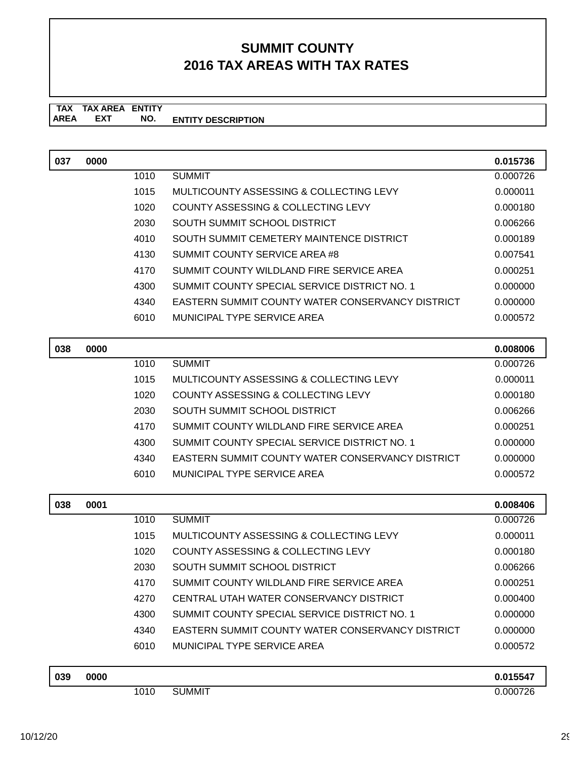**TAX TAX AREA ENTITY AREA ENTITY DESCRIPTION EXT NO.**

| 037 | 0000 |      |                                                         | 0.015736 |
|-----|------|------|---------------------------------------------------------|----------|
|     |      | 1010 | <b>SUMMIT</b>                                           | 0.000726 |
|     |      | 1015 | MULTICOUNTY ASSESSING & COLLECTING LEVY                 | 0.000011 |
|     |      | 1020 | <b>COUNTY ASSESSING &amp; COLLECTING LEVY</b>           | 0.000180 |
|     |      | 2030 | SOUTH SUMMIT SCHOOL DISTRICT                            | 0.006266 |
|     |      | 4010 | SOUTH SUMMIT CEMETERY MAINTENCE DISTRICT                | 0.000189 |
|     |      | 4130 | SUMMIT COUNTY SERVICE AREA #8                           | 0.007541 |
|     |      | 4170 | SUMMIT COUNTY WILDLAND FIRE SERVICE AREA                | 0.000251 |
|     |      | 4300 | SUMMIT COUNTY SPECIAL SERVICE DISTRICT NO. 1            | 0.000000 |
|     |      | 4340 | <b>EASTERN SUMMIT COUNTY WATER CONSERVANCY DISTRICT</b> | 0.000000 |
|     |      | 6010 | MUNICIPAL TYPE SERVICE AREA                             | 0.000572 |
| 038 | 0000 |      |                                                         | 0.008006 |
|     |      | 1010 | <b>SUMMIT</b>                                           | 0.000726 |
|     |      | 1015 | MULTICOUNTY ASSESSING & COLLECTING LEVY                 | 0.000011 |
|     |      | 1020 | COUNTY ASSESSING & COLLECTING LEVY                      | 0.000180 |
|     |      | 2030 | SOUTH SUMMIT SCHOOL DISTRICT                            | 0.006266 |
|     |      | 4170 | SUMMIT COUNTY WILDLAND FIRE SERVICE AREA                | 0.000251 |
|     |      | 4300 | SUMMIT COUNTY SPECIAL SERVICE DISTRICT NO. 1            | 0.000000 |
|     |      | 4340 | <b>EASTERN SUMMIT COUNTY WATER CONSERVANCY DISTRICT</b> | 0.000000 |
|     |      | 6010 | MUNICIPAL TYPE SERVICE AREA                             | 0.000572 |
| 038 | 0001 |      |                                                         | 0.008406 |
|     |      | 1010 | <b>SUMMIT</b>                                           | 0.000726 |
|     |      | 1015 | MULTICOUNTY ASSESSING & COLLECTING LEVY                 | 0.000011 |
|     |      | 1020 | COUNTY ASSESSING & COLLECTING LEVY                      | 0.000180 |
|     |      | 2030 | SOUTH SUMMIT SCHOOL DISTRICT                            | 0.006266 |
|     |      | 4170 | SUMMIT COUNTY WILDLAND FIRE SERVICE AREA                | 0.000251 |
|     |      | 4270 | CENTRAL UTAH WATER CONSERVANCY DISTRICT                 | 0.000400 |
|     |      | 4300 | SUMMIT COUNTY SPECIAL SERVICE DISTRICT NO. 1            | 0.000000 |
|     |      | 4340 | <b>EASTERN SUMMIT COUNTY WATER CONSERVANCY DISTRICT</b> | 0.000000 |
|     |      | 6010 | MUNICIPAL TYPE SERVICE AREA                             | 0.000572 |
| 039 | 0000 |      |                                                         | 0.015547 |
|     |      | 1010 | <b>SUMMIT</b>                                           | 0.000726 |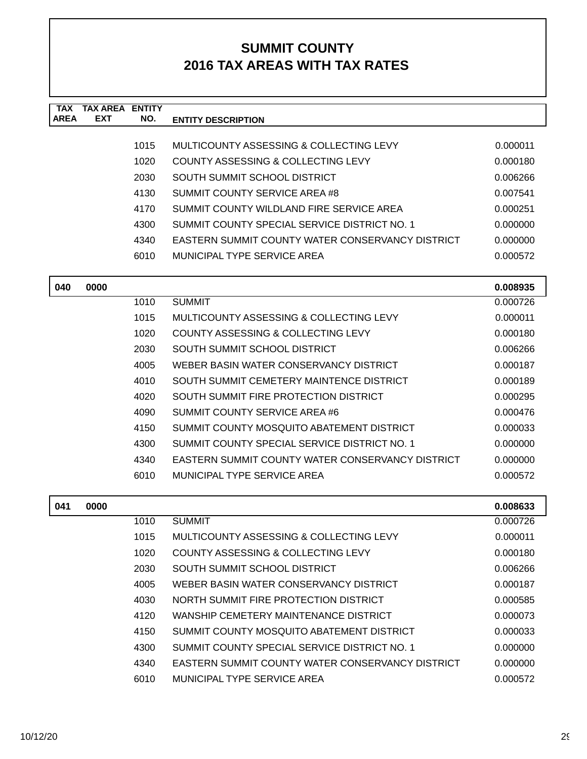| <b>TAX</b>  | <b>TAX AREA ENTITY</b> |      |                                                                                           |          |
|-------------|------------------------|------|-------------------------------------------------------------------------------------------|----------|
| <b>AREA</b> | <b>EXT</b>             | NO.  | <b>ENTITY DESCRIPTION</b>                                                                 |          |
|             |                        | 1015 | MULTICOUNTY ASSESSING & COLLECTING LEVY                                                   | 0.000011 |
|             |                        | 1020 | COUNTY ASSESSING & COLLECTING LEVY                                                        | 0.000180 |
|             |                        | 2030 | SOUTH SUMMIT SCHOOL DISTRICT                                                              | 0.006266 |
|             |                        | 4130 | SUMMIT COUNTY SERVICE AREA #8                                                             | 0.007541 |
|             |                        | 4170 | SUMMIT COUNTY WILDLAND FIRE SERVICE AREA                                                  | 0.000251 |
|             |                        | 4300 | SUMMIT COUNTY SPECIAL SERVICE DISTRICT NO. 1                                              | 0.000000 |
|             |                        | 4340 | <b>EASTERN SUMMIT COUNTY WATER CONSERVANCY DISTRICT</b>                                   | 0.000000 |
|             |                        | 6010 | MUNICIPAL TYPE SERVICE AREA                                                               | 0.000572 |
|             |                        |      |                                                                                           |          |
| 040         | 0000                   |      |                                                                                           | 0.008935 |
|             |                        | 1010 | <b>SUMMIT</b>                                                                             | 0.000726 |
|             |                        | 1015 | MULTICOUNTY ASSESSING & COLLECTING LEVY                                                   | 0.000011 |
|             |                        | 1020 | COUNTY ASSESSING & COLLECTING LEVY                                                        | 0.000180 |
|             |                        | 2030 | SOUTH SUMMIT SCHOOL DISTRICT                                                              | 0.006266 |
|             |                        | 4005 | WEBER BASIN WATER CONSERVANCY DISTRICT                                                    | 0.000187 |
|             |                        | 4010 | SOUTH SUMMIT CEMETERY MAINTENCE DISTRICT                                                  | 0.000189 |
|             |                        | 4020 | SOUTH SUMMIT FIRE PROTECTION DISTRICT                                                     | 0.000295 |
|             |                        | 4090 | SUMMIT COUNTY SERVICE AREA #6                                                             | 0.000476 |
|             |                        | 4150 | SUMMIT COUNTY MOSQUITO ABATEMENT DISTRICT                                                 | 0.000033 |
|             |                        | 4300 | SUMMIT COUNTY SPECIAL SERVICE DISTRICT NO. 1                                              | 0.000000 |
|             |                        | 4340 | EASTERN SUMMIT COUNTY WATER CONSERVANCY DISTRICT                                          | 0.000000 |
|             |                        | 6010 | MUNICIPAL TYPE SERVICE AREA                                                               | 0.000572 |
|             |                        |      |                                                                                           |          |
| 041         | 0000                   |      |                                                                                           | 0.008633 |
|             |                        | 1010 | <b>SUMMIT</b><br>MULTICOUNTY ASSESSING & COLLECTING LEVY                                  | 0.000726 |
|             |                        | 1015 |                                                                                           | 0.000011 |
|             |                        | 1020 | COUNTY ASSESSING & COLLECTING LEVY                                                        | 0.000180 |
|             |                        | 2030 | SOUTH SUMMIT SCHOOL DISTRICT                                                              | 0.006266 |
|             |                        | 4005 | WEBER BASIN WATER CONSERVANCY DISTRICT                                                    | 0.000187 |
|             |                        | 4030 | NORTH SUMMIT FIRE PROTECTION DISTRICT                                                     | 0.000585 |
|             |                        | 4120 | WANSHIP CEMETERY MAINTENANCE DISTRICT                                                     | 0.000073 |
|             |                        | 4150 | SUMMIT COUNTY MOSQUITO ABATEMENT DISTRICT<br>SUMMIT COUNTY SPECIAL SERVICE DISTRICT NO. 1 | 0.000033 |
|             |                        | 4300 | EASTERN SUMMIT COUNTY WATER CONSERVANCY DISTRICT                                          | 0.000000 |
|             |                        | 4340 |                                                                                           | 0.000000 |
|             |                        | 6010 | MUNICIPAL TYPE SERVICE AREA                                                               | 0.000572 |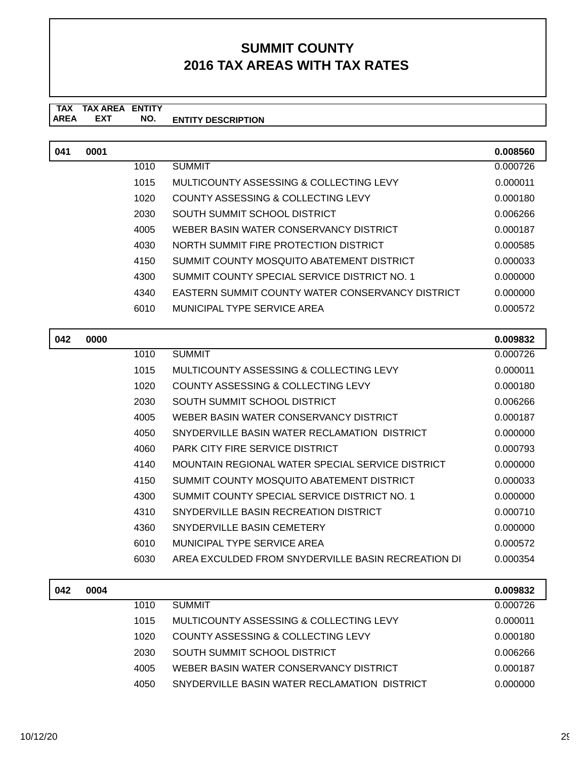#### **TAX TAX AREA ENTITY AREA ENTITY DESCRIPTION EXT NO.**

| 041 | 0001 |      |                                                    | 0.008560 |
|-----|------|------|----------------------------------------------------|----------|
|     |      | 1010 | <b>SUMMIT</b>                                      | 0.000726 |
|     |      | 1015 | MULTICOUNTY ASSESSING & COLLECTING LEVY            | 0.000011 |
|     |      | 1020 | COUNTY ASSESSING & COLLECTING LEVY                 | 0.000180 |
|     |      | 2030 | SOUTH SUMMIT SCHOOL DISTRICT                       | 0.006266 |
|     |      | 4005 | WEBER BASIN WATER CONSERVANCY DISTRICT             | 0.000187 |
|     |      | 4030 | NORTH SUMMIT FIRE PROTECTION DISTRICT              | 0.000585 |
|     |      | 4150 | SUMMIT COUNTY MOSQUITO ABATEMENT DISTRICT          | 0.000033 |
|     |      | 4300 | SUMMIT COUNTY SPECIAL SERVICE DISTRICT NO. 1       | 0.000000 |
|     |      | 4340 | EASTERN SUMMIT COUNTY WATER CONSERVANCY DISTRICT   | 0.000000 |
|     |      | 6010 | MUNICIPAL TYPE SERVICE AREA                        | 0.000572 |
|     |      |      |                                                    |          |
| 042 | 0000 |      |                                                    | 0.009832 |
|     |      | 1010 | <b>SUMMIT</b>                                      | 0.000726 |
|     |      | 1015 | MULTICOUNTY ASSESSING & COLLECTING LEVY            | 0.000011 |
|     |      | 1020 | COUNTY ASSESSING & COLLECTING LEVY                 | 0.000180 |
|     |      | 2030 | SOUTH SUMMIT SCHOOL DISTRICT                       | 0.006266 |
|     |      | 4005 | WEBER BASIN WATER CONSERVANCY DISTRICT             | 0.000187 |
|     |      | 4050 | SNYDERVILLE BASIN WATER RECLAMATION DISTRICT       | 0.000000 |
|     |      | 4060 | <b>PARK CITY FIRE SERVICE DISTRICT</b>             | 0.000793 |
|     |      | 4140 | MOUNTAIN REGIONAL WATER SPECIAL SERVICE DISTRICT   | 0.000000 |
|     |      | 4150 | SUMMIT COUNTY MOSQUITO ABATEMENT DISTRICT          | 0.000033 |
|     |      | 4300 | SUMMIT COUNTY SPECIAL SERVICE DISTRICT NO. 1       | 0.000000 |
|     |      | 4310 | SNYDERVILLE BASIN RECREATION DISTRICT              | 0.000710 |
|     |      | 4360 | SNYDERVILLE BASIN CEMETERY                         | 0.000000 |
|     |      | 6010 | MUNICIPAL TYPE SERVICE AREA                        | 0.000572 |
|     |      | 6030 | AREA EXCULDED FROM SNYDERVILLE BASIN RECREATION DI | 0.000354 |
|     |      |      |                                                    |          |
| 042 | 0004 |      |                                                    | 0.009832 |
|     |      | 1010 | <b>SUMMIT</b>                                      | 0.000726 |
|     |      | 1015 | MULTICOUNTY ASSESSING & COLLECTING LEVY            | 0.000011 |
|     |      | 1020 | COUNTY ASSESSING & COLLECTING LEVY                 | 0.000180 |
|     |      | 2030 | SOUTH SUMMIT SCHOOL DISTRICT                       | 0.006266 |

4005 WEBER BASIN WATER CONSERVANCY DISTRICT 0.000187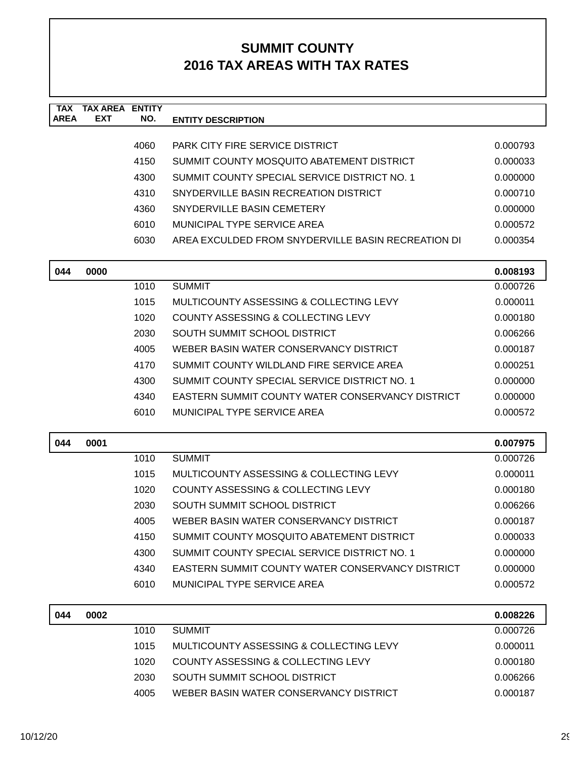| <b>TAX</b><br><b>AREA</b> | <b>TAX AREA</b><br><b>EXT</b> | <b>ENTITY</b><br>NO. |                                                         |                      |
|---------------------------|-------------------------------|----------------------|---------------------------------------------------------|----------------------|
|                           |                               |                      | <b>ENTITY DESCRIPTION</b>                               |                      |
|                           |                               | 4060                 | <b>PARK CITY FIRE SERVICE DISTRICT</b>                  | 0.000793             |
|                           |                               | 4150                 | SUMMIT COUNTY MOSQUITO ABATEMENT DISTRICT               | 0.000033             |
|                           |                               | 4300                 | SUMMIT COUNTY SPECIAL SERVICE DISTRICT NO. 1            | 0.000000             |
|                           |                               | 4310                 | SNYDERVILLE BASIN RECREATION DISTRICT                   | 0.000710             |
|                           |                               | 4360                 | SNYDERVILLE BASIN CEMETERY                              | 0.000000             |
|                           |                               | 6010                 | MUNICIPAL TYPE SERVICE AREA                             | 0.000572             |
|                           |                               | 6030                 | AREA EXCULDED FROM SNYDERVILLE BASIN RECREATION DI      | 0.000354             |
| 044                       | 0000                          |                      |                                                         |                      |
|                           |                               | 1010                 | <b>SUMMIT</b>                                           | 0.008193<br>0.000726 |
|                           |                               | 1015                 | MULTICOUNTY ASSESSING & COLLECTING LEVY                 | 0.000011             |
|                           |                               | 1020                 | COUNTY ASSESSING & COLLECTING LEVY                      | 0.000180             |
|                           |                               | 2030                 | SOUTH SUMMIT SCHOOL DISTRICT                            | 0.006266             |
|                           |                               | 4005                 | WEBER BASIN WATER CONSERVANCY DISTRICT                  | 0.000187             |
|                           |                               | 4170                 | SUMMIT COUNTY WILDLAND FIRE SERVICE AREA                | 0.000251             |
|                           |                               | 4300                 | SUMMIT COUNTY SPECIAL SERVICE DISTRICT NO. 1            | 0.000000             |
|                           |                               | 4340                 | <b>EASTERN SUMMIT COUNTY WATER CONSERVANCY DISTRICT</b> | 0.000000             |
|                           |                               | 6010                 | MUNICIPAL TYPE SERVICE AREA                             | 0.000572             |
|                           |                               |                      |                                                         |                      |
| 044                       | 0001                          |                      |                                                         | 0.007975             |
|                           |                               | 1010                 | <b>SUMMIT</b>                                           | 0.000726             |
|                           |                               | 1015                 | MULTICOUNTY ASSESSING & COLLECTING LEVY                 | 0.000011             |
|                           |                               | 1020                 | COUNTY ASSESSING & COLLECTING LEVY                      | 0.000180             |
|                           |                               | 2030                 | SOUTH SUMMIT SCHOOL DISTRICT                            | 0.006266             |
|                           |                               | 4005                 | WEBER BASIN WATER CONSERVANCY DISTRICT                  | 0.000187             |
|                           |                               | 4150                 | SUMMIT COUNTY MOSQUITO ABATEMENT DISTRICT               | 0.000033             |
|                           |                               | 4300                 | SUMMIT COUNTY SPECIAL SERVICE DISTRICT NO. 1            | 0.000000             |
|                           |                               | 4340                 | EASTERN SUMMIT COUNTY WATER CONSERVANCY DISTRICT        | 0.000000             |
|                           |                               | 6010                 | MUNICIPAL TYPE SERVICE AREA                             | 0.000572             |
| 044                       | 0002                          |                      |                                                         | 0.008226             |
|                           |                               | 1010                 | <b>SUMMIT</b>                                           | 0.000726             |
|                           |                               | 1015                 | MULTICOUNTY ASSESSING & COLLECTING LEVY                 | 0.000011             |
|                           |                               | 1020                 | COUNTY ASSESSING & COLLECTING LEVY                      | 0.000180             |
|                           |                               | 2030                 | SOUTH SUMMIT SCHOOL DISTRICT                            | 0.006266             |
|                           |                               | 4005                 | WEBER BASIN WATER CONSERVANCY DISTRICT                  | 0.000187             |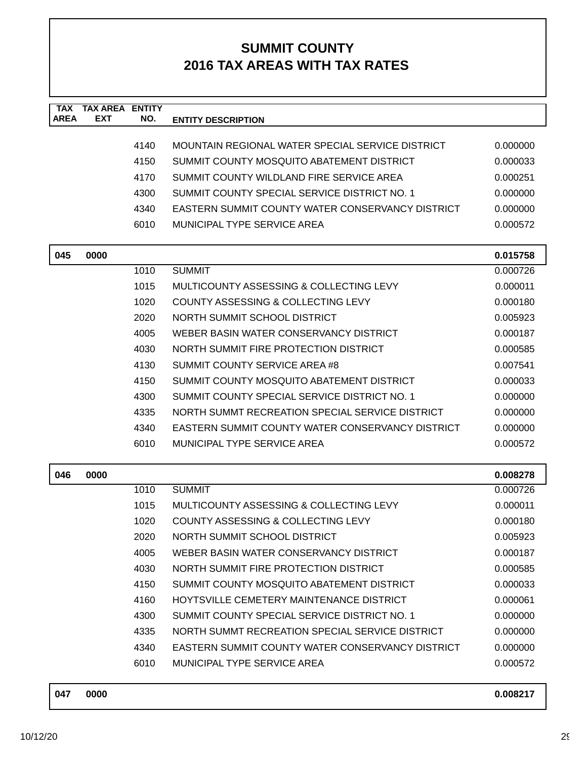| <b>TAX</b><br><b>AREA</b> | <b>TAX AREA ENTITY</b><br>EXT | NO.  | <b>ENTITY DESCRIPTION</b>                               |          |
|---------------------------|-------------------------------|------|---------------------------------------------------------|----------|
|                           |                               |      |                                                         |          |
|                           |                               | 4140 | MOUNTAIN REGIONAL WATER SPECIAL SERVICE DISTRICT        | 0.000000 |
|                           |                               | 4150 | SUMMIT COUNTY MOSQUITO ABATEMENT DISTRICT               | 0.000033 |
|                           |                               | 4170 | SUMMIT COUNTY WILDLAND FIRE SERVICE AREA                | 0.000251 |
|                           |                               | 4300 | SUMMIT COUNTY SPECIAL SERVICE DISTRICT NO. 1            | 0.000000 |
|                           |                               | 4340 | <b>EASTERN SUMMIT COUNTY WATER CONSERVANCY DISTRICT</b> | 0.000000 |
|                           |                               | 6010 | MUNICIPAL TYPE SERVICE AREA                             | 0.000572 |
| 045                       | 0000                          |      |                                                         | 0.015758 |
|                           |                               | 1010 | <b>SUMMIT</b>                                           | 0.000726 |
|                           |                               | 1015 | MULTICOUNTY ASSESSING & COLLECTING LEVY                 | 0.000011 |
|                           |                               | 1020 | COUNTY ASSESSING & COLLECTING LEVY                      | 0.000180 |
|                           |                               | 2020 | NORTH SUMMIT SCHOOL DISTRICT                            | 0.005923 |
|                           |                               | 4005 | WEBER BASIN WATER CONSERVANCY DISTRICT                  | 0.000187 |
|                           |                               | 4030 | NORTH SUMMIT FIRE PROTECTION DISTRICT                   | 0.000585 |
|                           |                               | 4130 | SUMMIT COUNTY SERVICE AREA #8                           | 0.007541 |
|                           |                               | 4150 | SUMMIT COUNTY MOSQUITO ABATEMENT DISTRICT               | 0.000033 |
|                           |                               | 4300 | SUMMIT COUNTY SPECIAL SERVICE DISTRICT NO. 1            | 0.000000 |
|                           |                               | 4335 | NORTH SUMMT RECREATION SPECIAL SERVICE DISTRICT         | 0.000000 |
|                           |                               | 4340 | <b>EASTERN SUMMIT COUNTY WATER CONSERVANCY DISTRICT</b> | 0.000000 |
|                           |                               | 6010 | <b>MUNICIPAL TYPE SERVICE AREA</b>                      | 0.000572 |
| 046                       | 0000                          |      |                                                         | 0.008278 |
|                           |                               | 1010 | <b>SUMMIT</b>                                           | 0.000726 |
|                           |                               | 1015 | MULTICOUNTY ASSESSING & COLLECTING LEVY                 | 0.000011 |
|                           |                               | 1020 | <b>COUNTY ASSESSING &amp; COLLECTING LEVY</b>           | 0.000180 |
|                           |                               | 2020 | NORTH SUMMIT SCHOOL DISTRICT                            | 0.005923 |
|                           |                               | 4005 | WEBER BASIN WATER CONSERVANCY DISTRICT                  | 0.000187 |
|                           |                               | 4030 | NORTH SUMMIT FIRE PROTECTION DISTRICT                   | 0.000585 |
|                           |                               | 4150 | SUMMIT COUNTY MOSQUITO ABATEMENT DISTRICT               | 0.000033 |
|                           |                               | 4160 | HOYTSVILLE CEMETERY MAINTENANCE DISTRICT                | 0.000061 |
|                           |                               | 4300 | SUMMIT COUNTY SPECIAL SERVICE DISTRICT NO. 1            | 0.000000 |
|                           |                               | 4335 | NORTH SUMMT RECREATION SPECIAL SERVICE DISTRICT         | 0.000000 |
|                           |                               | 4340 | EASTERN SUMMIT COUNTY WATER CONSERVANCY DISTRICT        | 0.000000 |
|                           |                               | 6010 | MUNICIPAL TYPE SERVICE AREA                             | 0.000572 |
|                           |                               |      |                                                         |          |

| 047 | 0000 | 0.008217 |
|-----|------|----------|
|     |      |          |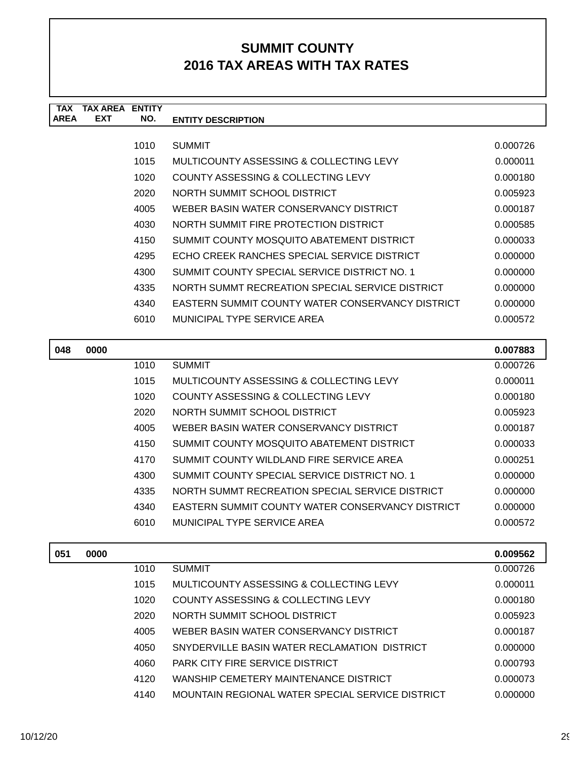| <b>TAX</b><br><b>AREA</b> | <b>TAX AREA</b><br><b>EXT</b> | <b>ENTITY</b><br>NO. |                                                         |          |
|---------------------------|-------------------------------|----------------------|---------------------------------------------------------|----------|
|                           |                               |                      | <b>ENTITY DESCRIPTION</b>                               |          |
|                           |                               | 1010                 | <b>SUMMIT</b>                                           | 0.000726 |
|                           |                               | 1015                 | MULTICOUNTY ASSESSING & COLLECTING LEVY                 | 0.000011 |
|                           |                               | 1020                 | COUNTY ASSESSING & COLLECTING LEVY                      | 0.000180 |
|                           |                               | 2020                 | NORTH SUMMIT SCHOOL DISTRICT                            | 0.005923 |
|                           |                               | 4005                 | WEBER BASIN WATER CONSERVANCY DISTRICT                  | 0.000187 |
|                           |                               | 4030                 | NORTH SUMMIT FIRE PROTECTION DISTRICT                   | 0.000585 |
|                           |                               | 4150                 | SUMMIT COUNTY MOSQUITO ABATEMENT DISTRICT               | 0.000033 |
|                           |                               | 4295                 | ECHO CREEK RANCHES SPECIAL SERVICE DISTRICT             | 0.000000 |
|                           |                               | 4300                 | SUMMIT COUNTY SPECIAL SERVICE DISTRICT NO. 1            | 0.000000 |
|                           |                               | 4335                 | NORTH SUMMT RECREATION SPECIAL SERVICE DISTRICT         | 0.000000 |
|                           |                               | 4340                 | <b>EASTERN SUMMIT COUNTY WATER CONSERVANCY DISTRICT</b> | 0.000000 |
|                           |                               | 6010                 | <b>MUNICIPAL TYPE SERVICE AREA</b>                      | 0.000572 |
|                           |                               |                      |                                                         |          |
| 048                       | 0000                          |                      |                                                         | 0.007883 |
|                           |                               | 1010                 | <b>SUMMIT</b>                                           | 0.000726 |
|                           |                               | 1015                 | MULTICOUNTY ASSESSING & COLLECTING LEVY                 | 0.000011 |
|                           |                               | 1020                 | COUNTY ASSESSING & COLLECTING LEVY                      | 0.000180 |
|                           |                               | 2020                 | NORTH SUMMIT SCHOOL DISTRICT                            | 0.005923 |
|                           |                               | 4005                 | WEBER BASIN WATER CONSERVANCY DISTRICT                  | 0.000187 |
|                           |                               | 4150                 | SUMMIT COUNTY MOSQUITO ABATEMENT DISTRICT               | 0.000033 |
|                           |                               | 4170                 | SUMMIT COUNTY WILDLAND FIRE SERVICE AREA                | 0.000251 |
|                           |                               | 4300                 | SUMMIT COUNTY SPECIAL SERVICE DISTRICT NO. 1            | 0.000000 |
|                           |                               | 4335                 | NORTH SUMMT RECREATION SPECIAL SERVICE DISTRICT         | 0.000000 |
|                           |                               | 4340                 | EASTERN SUMMIT COUNTY WATER CONSERVANCY DISTRICT        | 0.000000 |
|                           |                               | 6010                 | MUNICIPAL TYPE SERVICE AREA                             | 0.000572 |
|                           |                               |                      |                                                         |          |
| 051                       | 0000                          |                      |                                                         | 0.009562 |
|                           |                               | 1010                 | <b>SUMMIT</b>                                           | 0.000726 |
|                           |                               | 1015                 | MULTICOUNTY ASSESSING & COLLECTING LEVY                 | 0.000011 |
|                           |                               | 1020                 | COUNTY ASSESSING & COLLECTING LEVY                      | 0.000180 |
|                           |                               | 2020                 | NORTH SUMMIT SCHOOL DISTRICT                            | 0.005923 |
|                           |                               | 4005                 | WEBER BASIN WATER CONSERVANCY DISTRICT                  | 0.000187 |
|                           |                               | 4050                 | SNYDERVILLE BASIN WATER RECLAMATION DISTRICT            | 0.000000 |
|                           |                               | 4060                 | PARK CITY FIRE SERVICE DISTRICT                         | 0.000793 |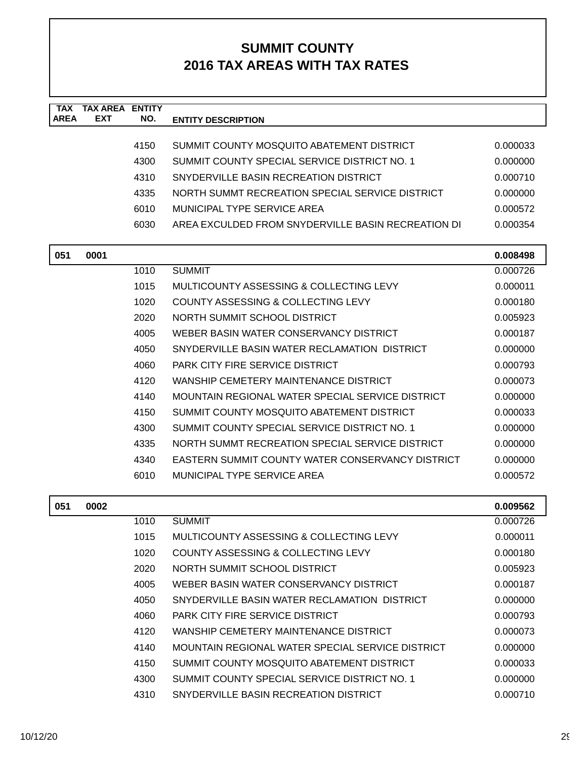| <b>TAX</b><br><b>AREA</b> | <b>TAX AREA ENTITY</b><br><b>EXT</b> | NO.  | <b>ENTITY DESCRIPTION</b>                               |          |
|---------------------------|--------------------------------------|------|---------------------------------------------------------|----------|
|                           |                                      |      |                                                         |          |
|                           |                                      | 4150 | SUMMIT COUNTY MOSQUITO ABATEMENT DISTRICT               | 0.000033 |
|                           |                                      | 4300 | SUMMIT COUNTY SPECIAL SERVICE DISTRICT NO. 1            | 0.000000 |
|                           |                                      | 4310 | SNYDERVILLE BASIN RECREATION DISTRICT                   | 0.000710 |
|                           |                                      | 4335 | NORTH SUMMT RECREATION SPECIAL SERVICE DISTRICT         | 0.000000 |
|                           |                                      | 6010 | MUNICIPAL TYPE SERVICE AREA                             | 0.000572 |
|                           |                                      | 6030 | AREA EXCULDED FROM SNYDERVILLE BASIN RECREATION DI      | 0.000354 |
| 051                       | 0001                                 |      |                                                         | 0.008498 |
|                           |                                      | 1010 | <b>SUMMIT</b>                                           | 0.000726 |
|                           |                                      | 1015 | MULTICOUNTY ASSESSING & COLLECTING LEVY                 | 0.000011 |
|                           |                                      | 1020 | COUNTY ASSESSING & COLLECTING LEVY                      | 0.000180 |
|                           |                                      | 2020 | NORTH SUMMIT SCHOOL DISTRICT                            | 0.005923 |
|                           |                                      | 4005 | WEBER BASIN WATER CONSERVANCY DISTRICT                  | 0.000187 |
|                           |                                      | 4050 | SNYDERVILLE BASIN WATER RECLAMATION DISTRICT            | 0.000000 |
|                           |                                      | 4060 | <b>PARK CITY FIRE SERVICE DISTRICT</b>                  | 0.000793 |
|                           |                                      | 4120 | WANSHIP CEMETERY MAINTENANCE DISTRICT                   | 0.000073 |
|                           |                                      | 4140 | MOUNTAIN REGIONAL WATER SPECIAL SERVICE DISTRICT        | 0.000000 |
|                           |                                      | 4150 | SUMMIT COUNTY MOSQUITO ABATEMENT DISTRICT               | 0.000033 |
|                           |                                      | 4300 | SUMMIT COUNTY SPECIAL SERVICE DISTRICT NO. 1            | 0.000000 |
|                           |                                      | 4335 | NORTH SUMMT RECREATION SPECIAL SERVICE DISTRICT         | 0.000000 |
|                           |                                      | 4340 | <b>EASTERN SUMMIT COUNTY WATER CONSERVANCY DISTRICT</b> | 0.000000 |
|                           |                                      | 6010 | MUNICIPAL TYPE SERVICE AREA                             | 0.000572 |
| 051                       | 0002                                 |      |                                                         | 0.009562 |
|                           |                                      | 1010 | <b>SUMMIT</b>                                           | 0.000726 |
|                           |                                      | 1015 | MULTICOUNTY ASSESSING & COLLECTING LEVY                 | 0.000011 |
|                           |                                      | 1020 | COUNTY ASSESSING & COLLECTING LEVY                      | 0.000180 |
|                           |                                      | 2020 | NORTH SUMMIT SCHOOL DISTRICT                            | 0.005923 |
|                           |                                      | 4005 | WEBER BASIN WATER CONSERVANCY DISTRICT                  | 0.000187 |
|                           |                                      | 4050 | SNYDERVILLE BASIN WATER RECLAMATION DISTRICT            | 0.000000 |
|                           |                                      | 4060 | PARK CITY FIRE SERVICE DISTRICT                         | 0.000793 |
|                           |                                      | 4120 | WANSHIP CEMETERY MAINTENANCE DISTRICT                   | 0.000073 |
|                           |                                      | 4140 | MOUNTAIN REGIONAL WATER SPECIAL SERVICE DISTRICT        | 0.000000 |
|                           |                                      | 4150 | SUMMIT COUNTY MOSQUITO ABATEMENT DISTRICT               | 0.000033 |
|                           |                                      | 4300 | SUMMIT COUNTY SPECIAL SERVICE DISTRICT NO. 1            | 0.000000 |
|                           |                                      | 4310 | SNYDERVILLE BASIN RECREATION DISTRICT                   | 0.000710 |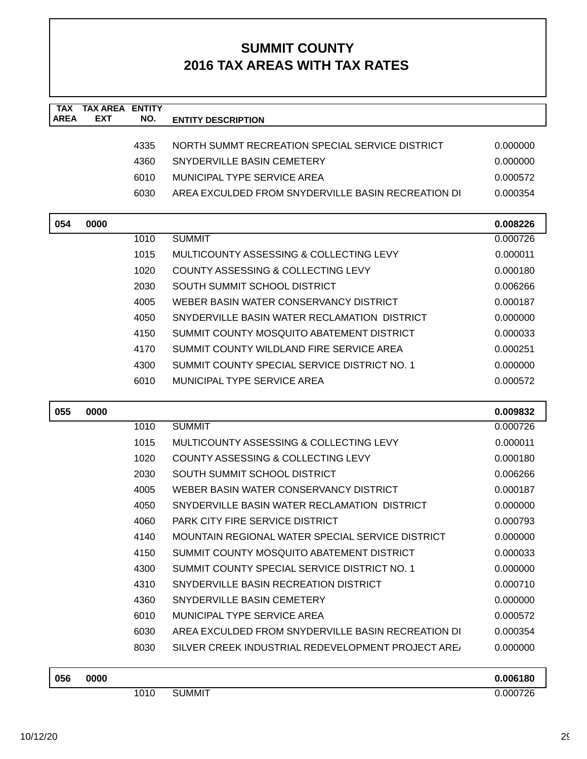| 4335<br>NORTH SUMMT RECREATION SPECIAL SERVICE DISTRICT<br>0.000000<br>4360<br>SNYDERVILLE BASIN CEMETERY<br>0.000000<br>MUNICIPAL TYPE SERVICE AREA<br>6010<br>0.000572<br>6030<br>AREA EXCULDED FROM SNYDERVILLE BASIN RECREATION DI<br>0.000354<br>054<br>0000<br>0.008226<br>1010<br><b>SUMMIT</b><br>0.000726<br>1015<br>MULTICOUNTY ASSESSING & COLLECTING LEVY<br>0.000011<br>1020<br>COUNTY ASSESSING & COLLECTING LEVY<br>0.000180<br>2030<br>SOUTH SUMMIT SCHOOL DISTRICT<br>0.006266<br>WEBER BASIN WATER CONSERVANCY DISTRICT<br>4005<br>0.000187<br>4050<br>SNYDERVILLE BASIN WATER RECLAMATION DISTRICT<br>0.000000<br>4150<br>SUMMIT COUNTY MOSQUITO ABATEMENT DISTRICT<br>0.000033<br>SUMMIT COUNTY WILDLAND FIRE SERVICE AREA<br>4170<br>0.000251<br>SUMMIT COUNTY SPECIAL SERVICE DISTRICT NO. 1<br>4300<br>0.000000<br>MUNICIPAL TYPE SERVICE AREA<br>6010<br>0.000572<br>055<br>0000<br>0.009832<br>1010<br><b>SUMMIT</b><br>0.000726<br>1015<br>MULTICOUNTY ASSESSING & COLLECTING LEVY<br>0.000011<br>1020<br>COUNTY ASSESSING & COLLECTING LEVY<br>0.000180<br>2030<br>SOUTH SUMMIT SCHOOL DISTRICT<br>0.006266<br>WEBER BASIN WATER CONSERVANCY DISTRICT<br>4005<br>0.000187<br>4050<br>SNYDERVILLE BASIN WATER RECLAMATION DISTRICT<br>0.000000<br><b>PARK CITY FIRE SERVICE DISTRICT</b><br>4060<br>0.000793<br>MOUNTAIN REGIONAL WATER SPECIAL SERVICE DISTRICT<br>4140<br>0.000000<br>SUMMIT COUNTY MOSQUITO ABATEMENT DISTRICT<br>4150<br>0.000033<br>SUMMIT COUNTY SPECIAL SERVICE DISTRICT NO. 1<br>4300<br>0.000000<br>4310<br>SNYDERVILLE BASIN RECREATION DISTRICT<br>0.000710<br>4360<br>SNYDERVILLE BASIN CEMETERY<br>0.000000<br>MUNICIPAL TYPE SERVICE AREA<br>6010<br>0.000572<br>6030<br>AREA EXCULDED FROM SNYDERVILLE BASIN RECREATION DI<br>0.000354<br>8030<br>SILVER CREEK INDUSTRIAL REDEVELOPMENT PROJECT ARE<br>0.000000<br>0000<br>056<br>0.006180<br><b>SUMMIT</b><br>1010<br>0.000726 | <b>TAX</b><br><b>AREA</b> | <b>TAX AREA</b><br><b>EXT</b> | <b>ENTITY</b><br>NO. | <b>ENTITY DESCRIPTION</b> |  |
|------------------------------------------------------------------------------------------------------------------------------------------------------------------------------------------------------------------------------------------------------------------------------------------------------------------------------------------------------------------------------------------------------------------------------------------------------------------------------------------------------------------------------------------------------------------------------------------------------------------------------------------------------------------------------------------------------------------------------------------------------------------------------------------------------------------------------------------------------------------------------------------------------------------------------------------------------------------------------------------------------------------------------------------------------------------------------------------------------------------------------------------------------------------------------------------------------------------------------------------------------------------------------------------------------------------------------------------------------------------------------------------------------------------------------------------------------------------------------------------------------------------------------------------------------------------------------------------------------------------------------------------------------------------------------------------------------------------------------------------------------------------------------------------------------------------------------------------------------------------------------------------------------------------------------------------|---------------------------|-------------------------------|----------------------|---------------------------|--|
|                                                                                                                                                                                                                                                                                                                                                                                                                                                                                                                                                                                                                                                                                                                                                                                                                                                                                                                                                                                                                                                                                                                                                                                                                                                                                                                                                                                                                                                                                                                                                                                                                                                                                                                                                                                                                                                                                                                                          |                           |                               |                      |                           |  |
|                                                                                                                                                                                                                                                                                                                                                                                                                                                                                                                                                                                                                                                                                                                                                                                                                                                                                                                                                                                                                                                                                                                                                                                                                                                                                                                                                                                                                                                                                                                                                                                                                                                                                                                                                                                                                                                                                                                                          |                           |                               |                      |                           |  |
|                                                                                                                                                                                                                                                                                                                                                                                                                                                                                                                                                                                                                                                                                                                                                                                                                                                                                                                                                                                                                                                                                                                                                                                                                                                                                                                                                                                                                                                                                                                                                                                                                                                                                                                                                                                                                                                                                                                                          |                           |                               |                      |                           |  |
|                                                                                                                                                                                                                                                                                                                                                                                                                                                                                                                                                                                                                                                                                                                                                                                                                                                                                                                                                                                                                                                                                                                                                                                                                                                                                                                                                                                                                                                                                                                                                                                                                                                                                                                                                                                                                                                                                                                                          |                           |                               |                      |                           |  |
|                                                                                                                                                                                                                                                                                                                                                                                                                                                                                                                                                                                                                                                                                                                                                                                                                                                                                                                                                                                                                                                                                                                                                                                                                                                                                                                                                                                                                                                                                                                                                                                                                                                                                                                                                                                                                                                                                                                                          |                           |                               |                      |                           |  |
|                                                                                                                                                                                                                                                                                                                                                                                                                                                                                                                                                                                                                                                                                                                                                                                                                                                                                                                                                                                                                                                                                                                                                                                                                                                                                                                                                                                                                                                                                                                                                                                                                                                                                                                                                                                                                                                                                                                                          |                           |                               |                      |                           |  |
|                                                                                                                                                                                                                                                                                                                                                                                                                                                                                                                                                                                                                                                                                                                                                                                                                                                                                                                                                                                                                                                                                                                                                                                                                                                                                                                                                                                                                                                                                                                                                                                                                                                                                                                                                                                                                                                                                                                                          |                           |                               |                      |                           |  |
|                                                                                                                                                                                                                                                                                                                                                                                                                                                                                                                                                                                                                                                                                                                                                                                                                                                                                                                                                                                                                                                                                                                                                                                                                                                                                                                                                                                                                                                                                                                                                                                                                                                                                                                                                                                                                                                                                                                                          |                           |                               |                      |                           |  |
|                                                                                                                                                                                                                                                                                                                                                                                                                                                                                                                                                                                                                                                                                                                                                                                                                                                                                                                                                                                                                                                                                                                                                                                                                                                                                                                                                                                                                                                                                                                                                                                                                                                                                                                                                                                                                                                                                                                                          |                           |                               |                      |                           |  |
|                                                                                                                                                                                                                                                                                                                                                                                                                                                                                                                                                                                                                                                                                                                                                                                                                                                                                                                                                                                                                                                                                                                                                                                                                                                                                                                                                                                                                                                                                                                                                                                                                                                                                                                                                                                                                                                                                                                                          |                           |                               |                      |                           |  |
|                                                                                                                                                                                                                                                                                                                                                                                                                                                                                                                                                                                                                                                                                                                                                                                                                                                                                                                                                                                                                                                                                                                                                                                                                                                                                                                                                                                                                                                                                                                                                                                                                                                                                                                                                                                                                                                                                                                                          |                           |                               |                      |                           |  |
|                                                                                                                                                                                                                                                                                                                                                                                                                                                                                                                                                                                                                                                                                                                                                                                                                                                                                                                                                                                                                                                                                                                                                                                                                                                                                                                                                                                                                                                                                                                                                                                                                                                                                                                                                                                                                                                                                                                                          |                           |                               |                      |                           |  |
|                                                                                                                                                                                                                                                                                                                                                                                                                                                                                                                                                                                                                                                                                                                                                                                                                                                                                                                                                                                                                                                                                                                                                                                                                                                                                                                                                                                                                                                                                                                                                                                                                                                                                                                                                                                                                                                                                                                                          |                           |                               |                      |                           |  |
|                                                                                                                                                                                                                                                                                                                                                                                                                                                                                                                                                                                                                                                                                                                                                                                                                                                                                                                                                                                                                                                                                                                                                                                                                                                                                                                                                                                                                                                                                                                                                                                                                                                                                                                                                                                                                                                                                                                                          |                           |                               |                      |                           |  |
|                                                                                                                                                                                                                                                                                                                                                                                                                                                                                                                                                                                                                                                                                                                                                                                                                                                                                                                                                                                                                                                                                                                                                                                                                                                                                                                                                                                                                                                                                                                                                                                                                                                                                                                                                                                                                                                                                                                                          |                           |                               |                      |                           |  |
|                                                                                                                                                                                                                                                                                                                                                                                                                                                                                                                                                                                                                                                                                                                                                                                                                                                                                                                                                                                                                                                                                                                                                                                                                                                                                                                                                                                                                                                                                                                                                                                                                                                                                                                                                                                                                                                                                                                                          |                           |                               |                      |                           |  |
|                                                                                                                                                                                                                                                                                                                                                                                                                                                                                                                                                                                                                                                                                                                                                                                                                                                                                                                                                                                                                                                                                                                                                                                                                                                                                                                                                                                                                                                                                                                                                                                                                                                                                                                                                                                                                                                                                                                                          |                           |                               |                      |                           |  |
|                                                                                                                                                                                                                                                                                                                                                                                                                                                                                                                                                                                                                                                                                                                                                                                                                                                                                                                                                                                                                                                                                                                                                                                                                                                                                                                                                                                                                                                                                                                                                                                                                                                                                                                                                                                                                                                                                                                                          |                           |                               |                      |                           |  |
|                                                                                                                                                                                                                                                                                                                                                                                                                                                                                                                                                                                                                                                                                                                                                                                                                                                                                                                                                                                                                                                                                                                                                                                                                                                                                                                                                                                                                                                                                                                                                                                                                                                                                                                                                                                                                                                                                                                                          |                           |                               |                      |                           |  |
|                                                                                                                                                                                                                                                                                                                                                                                                                                                                                                                                                                                                                                                                                                                                                                                                                                                                                                                                                                                                                                                                                                                                                                                                                                                                                                                                                                                                                                                                                                                                                                                                                                                                                                                                                                                                                                                                                                                                          |                           |                               |                      |                           |  |
|                                                                                                                                                                                                                                                                                                                                                                                                                                                                                                                                                                                                                                                                                                                                                                                                                                                                                                                                                                                                                                                                                                                                                                                                                                                                                                                                                                                                                                                                                                                                                                                                                                                                                                                                                                                                                                                                                                                                          |                           |                               |                      |                           |  |
|                                                                                                                                                                                                                                                                                                                                                                                                                                                                                                                                                                                                                                                                                                                                                                                                                                                                                                                                                                                                                                                                                                                                                                                                                                                                                                                                                                                                                                                                                                                                                                                                                                                                                                                                                                                                                                                                                                                                          |                           |                               |                      |                           |  |
|                                                                                                                                                                                                                                                                                                                                                                                                                                                                                                                                                                                                                                                                                                                                                                                                                                                                                                                                                                                                                                                                                                                                                                                                                                                                                                                                                                                                                                                                                                                                                                                                                                                                                                                                                                                                                                                                                                                                          |                           |                               |                      |                           |  |
|                                                                                                                                                                                                                                                                                                                                                                                                                                                                                                                                                                                                                                                                                                                                                                                                                                                                                                                                                                                                                                                                                                                                                                                                                                                                                                                                                                                                                                                                                                                                                                                                                                                                                                                                                                                                                                                                                                                                          |                           |                               |                      |                           |  |
|                                                                                                                                                                                                                                                                                                                                                                                                                                                                                                                                                                                                                                                                                                                                                                                                                                                                                                                                                                                                                                                                                                                                                                                                                                                                                                                                                                                                                                                                                                                                                                                                                                                                                                                                                                                                                                                                                                                                          |                           |                               |                      |                           |  |
|                                                                                                                                                                                                                                                                                                                                                                                                                                                                                                                                                                                                                                                                                                                                                                                                                                                                                                                                                                                                                                                                                                                                                                                                                                                                                                                                                                                                                                                                                                                                                                                                                                                                                                                                                                                                                                                                                                                                          |                           |                               |                      |                           |  |
|                                                                                                                                                                                                                                                                                                                                                                                                                                                                                                                                                                                                                                                                                                                                                                                                                                                                                                                                                                                                                                                                                                                                                                                                                                                                                                                                                                                                                                                                                                                                                                                                                                                                                                                                                                                                                                                                                                                                          |                           |                               |                      |                           |  |
|                                                                                                                                                                                                                                                                                                                                                                                                                                                                                                                                                                                                                                                                                                                                                                                                                                                                                                                                                                                                                                                                                                                                                                                                                                                                                                                                                                                                                                                                                                                                                                                                                                                                                                                                                                                                                                                                                                                                          |                           |                               |                      |                           |  |
|                                                                                                                                                                                                                                                                                                                                                                                                                                                                                                                                                                                                                                                                                                                                                                                                                                                                                                                                                                                                                                                                                                                                                                                                                                                                                                                                                                                                                                                                                                                                                                                                                                                                                                                                                                                                                                                                                                                                          |                           |                               |                      |                           |  |
|                                                                                                                                                                                                                                                                                                                                                                                                                                                                                                                                                                                                                                                                                                                                                                                                                                                                                                                                                                                                                                                                                                                                                                                                                                                                                                                                                                                                                                                                                                                                                                                                                                                                                                                                                                                                                                                                                                                                          |                           |                               |                      |                           |  |
|                                                                                                                                                                                                                                                                                                                                                                                                                                                                                                                                                                                                                                                                                                                                                                                                                                                                                                                                                                                                                                                                                                                                                                                                                                                                                                                                                                                                                                                                                                                                                                                                                                                                                                                                                                                                                                                                                                                                          |                           |                               |                      |                           |  |
|                                                                                                                                                                                                                                                                                                                                                                                                                                                                                                                                                                                                                                                                                                                                                                                                                                                                                                                                                                                                                                                                                                                                                                                                                                                                                                                                                                                                                                                                                                                                                                                                                                                                                                                                                                                                                                                                                                                                          |                           |                               |                      |                           |  |
|                                                                                                                                                                                                                                                                                                                                                                                                                                                                                                                                                                                                                                                                                                                                                                                                                                                                                                                                                                                                                                                                                                                                                                                                                                                                                                                                                                                                                                                                                                                                                                                                                                                                                                                                                                                                                                                                                                                                          |                           |                               |                      |                           |  |
|                                                                                                                                                                                                                                                                                                                                                                                                                                                                                                                                                                                                                                                                                                                                                                                                                                                                                                                                                                                                                                                                                                                                                                                                                                                                                                                                                                                                                                                                                                                                                                                                                                                                                                                                                                                                                                                                                                                                          |                           |                               |                      |                           |  |
|                                                                                                                                                                                                                                                                                                                                                                                                                                                                                                                                                                                                                                                                                                                                                                                                                                                                                                                                                                                                                                                                                                                                                                                                                                                                                                                                                                                                                                                                                                                                                                                                                                                                                                                                                                                                                                                                                                                                          |                           |                               |                      |                           |  |
|                                                                                                                                                                                                                                                                                                                                                                                                                                                                                                                                                                                                                                                                                                                                                                                                                                                                                                                                                                                                                                                                                                                                                                                                                                                                                                                                                                                                                                                                                                                                                                                                                                                                                                                                                                                                                                                                                                                                          |                           |                               |                      |                           |  |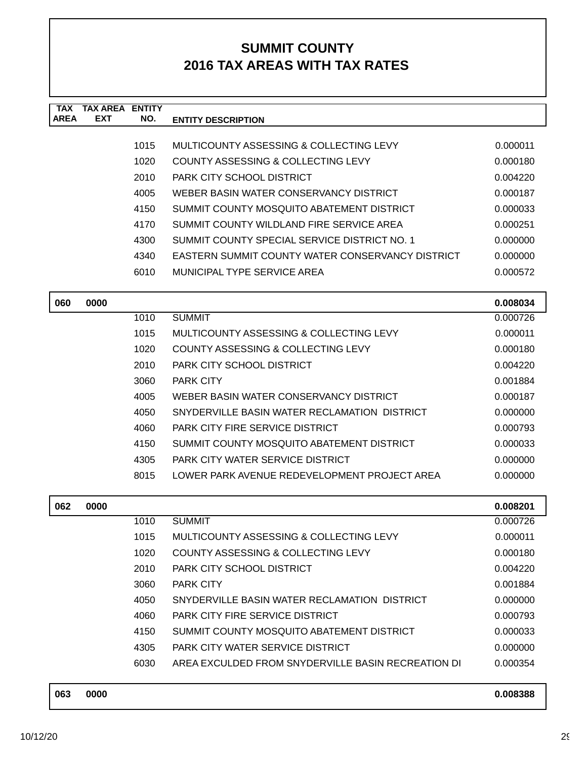| <b>TAX</b><br><b>AREA</b> | <b>TAX AREA ENTITY</b><br><b>EXT</b> | NO.  |                                                         |          |
|---------------------------|--------------------------------------|------|---------------------------------------------------------|----------|
|                           |                                      |      | <b>ENTITY DESCRIPTION</b>                               |          |
|                           |                                      | 1015 | MULTICOUNTY ASSESSING & COLLECTING LEVY                 | 0.000011 |
|                           |                                      | 1020 | COUNTY ASSESSING & COLLECTING LEVY                      | 0.000180 |
|                           |                                      | 2010 | PARK CITY SCHOOL DISTRICT                               | 0.004220 |
|                           |                                      | 4005 | WEBER BASIN WATER CONSERVANCY DISTRICT                  | 0.000187 |
|                           |                                      | 4150 | SUMMIT COUNTY MOSQUITO ABATEMENT DISTRICT               | 0.000033 |
|                           |                                      | 4170 | SUMMIT COUNTY WILDLAND FIRE SERVICE AREA                | 0.000251 |
|                           |                                      | 4300 | SUMMIT COUNTY SPECIAL SERVICE DISTRICT NO. 1            | 0.000000 |
|                           |                                      | 4340 | <b>EASTERN SUMMIT COUNTY WATER CONSERVANCY DISTRICT</b> | 0.000000 |
|                           |                                      | 6010 | MUNICIPAL TYPE SERVICE AREA                             | 0.000572 |
| 060                       | 0000                                 |      |                                                         | 0.008034 |
|                           |                                      | 1010 | <b>SUMMIT</b>                                           | 0.000726 |
|                           |                                      | 1015 | MULTICOUNTY ASSESSING & COLLECTING LEVY                 | 0.000011 |
|                           |                                      | 1020 | <b>COUNTY ASSESSING &amp; COLLECTING LEVY</b>           | 0.000180 |
|                           |                                      | 2010 | PARK CITY SCHOOL DISTRICT                               | 0.004220 |
|                           |                                      | 3060 | <b>PARK CITY</b>                                        | 0.001884 |
|                           |                                      | 4005 | WEBER BASIN WATER CONSERVANCY DISTRICT                  | 0.000187 |
|                           |                                      | 4050 | SNYDERVILLE BASIN WATER RECLAMATION DISTRICT            | 0.000000 |
|                           |                                      | 4060 | <b>PARK CITY FIRE SERVICE DISTRICT</b>                  | 0.000793 |
|                           |                                      | 4150 | SUMMIT COUNTY MOSQUITO ABATEMENT DISTRICT               | 0.000033 |
|                           |                                      | 4305 | PARK CITY WATER SERVICE DISTRICT                        | 0.000000 |
|                           |                                      | 8015 | LOWER PARK AVENUE REDEVELOPMENT PROJECT AREA            | 0.000000 |
| 062                       | 0000                                 |      |                                                         | 0.008201 |
|                           |                                      | 1010 | <b>SUMMIT</b>                                           | 0.000726 |
|                           |                                      | 1015 | MULTICOUNTY ASSESSING & COLLECTING LEVY                 | 0.000011 |
|                           |                                      | 1020 | COUNTY ASSESSING & COLLECTING LEVY                      | 0.000180 |
|                           |                                      | 2010 | PARK CITY SCHOOL DISTRICT                               | 0.004220 |
|                           |                                      | 3060 | PARK CITY                                               | 0.001884 |
|                           |                                      | 4050 | SNYDERVILLE BASIN WATER RECLAMATION DISTRICT            | 0.000000 |
|                           |                                      | 4060 | PARK CITY FIRE SERVICE DISTRICT                         | 0.000793 |
|                           |                                      | 4150 | SUMMIT COUNTY MOSQUITO ABATEMENT DISTRICT               | 0.000033 |
|                           |                                      | 4305 | PARK CITY WATER SERVICE DISTRICT                        | 0.000000 |
|                           |                                      | 6030 | AREA EXCULDED FROM SNYDERVILLE BASIN RECREATION DI      | 0.000354 |
| 063                       | 0000                                 |      |                                                         | 0.008388 |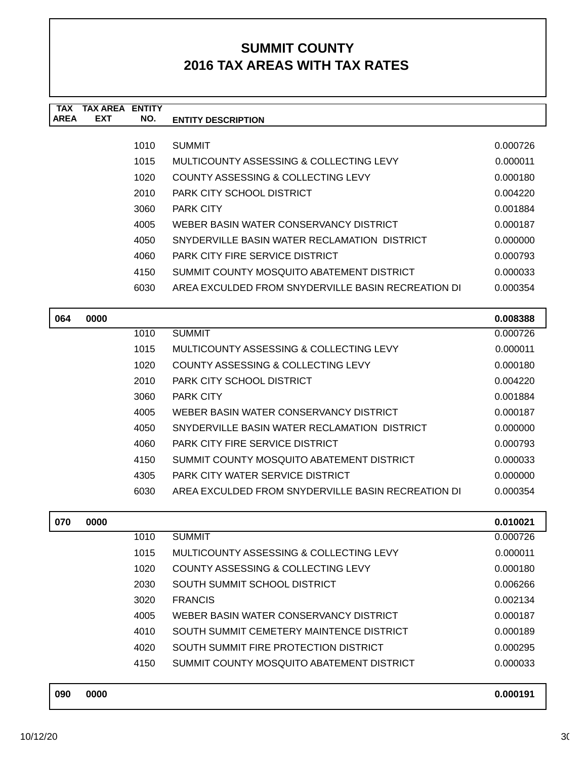| <b>TAX</b><br><b>AREA</b> | TAX AREA<br><b>EXT</b> | <b>ENTITY</b><br>NO. | <b>ENTITY DESCRIPTION</b>                          |          |
|---------------------------|------------------------|----------------------|----------------------------------------------------|----------|
|                           |                        |                      |                                                    |          |
|                           |                        | 1010                 | <b>SUMMIT</b>                                      | 0.000726 |
|                           |                        | 1015                 | MULTICOUNTY ASSESSING & COLLECTING LEVY            | 0.000011 |
|                           |                        | 1020                 | COUNTY ASSESSING & COLLECTING LEVY                 | 0.000180 |
|                           |                        | 2010                 | PARK CITY SCHOOL DISTRICT                          | 0.004220 |
|                           |                        | 3060                 | <b>PARK CITY</b>                                   | 0.001884 |
|                           |                        | 4005                 | WEBER BASIN WATER CONSERVANCY DISTRICT             | 0.000187 |
|                           |                        | 4050                 | SNYDERVILLE BASIN WATER RECLAMATION DISTRICT       | 0.000000 |
|                           |                        | 4060                 | <b>PARK CITY FIRE SERVICE DISTRICT</b>             | 0.000793 |
|                           |                        | 4150                 | SUMMIT COUNTY MOSQUITO ABATEMENT DISTRICT          | 0.000033 |
|                           |                        | 6030                 | AREA EXCULDED FROM SNYDERVILLE BASIN RECREATION DI | 0.000354 |
|                           |                        |                      |                                                    |          |
| 064                       | 0000                   |                      |                                                    | 0.008388 |
|                           |                        | 1010                 | <b>SUMMIT</b>                                      | 0.000726 |
|                           |                        | 1015                 | MULTICOUNTY ASSESSING & COLLECTING LEVY            | 0.000011 |

| 1 U I U | <b>OUNIVILI</b>                                    | <u>u.uuu zu</u> |
|---------|----------------------------------------------------|-----------------|
| 1015    | MULTICOUNTY ASSESSING & COLLECTING LEVY            | 0.000011        |
| 1020    | COUNTY ASSESSING & COLLECTING LEVY                 | 0.000180        |
| 2010    | PARK CITY SCHOOL DISTRICT                          | 0.004220        |
| 3060    | <b>PARK CITY</b>                                   | 0.001884        |
| 4005    | WEBER BASIN WATER CONSERVANCY DISTRICT             | 0.000187        |
| 4050    | SNYDERVILLE BASIN WATER RECLAMATION DISTRICT       | 0.000000        |
| 4060    | PARK CITY FIRE SERVICE DISTRICT                    | 0.000793        |
| 4150    | SUMMIT COUNTY MOSQUITO ABATEMENT DISTRICT          | 0.000033        |
| 4305    | PARK CITY WATER SERVICE DISTRICT                   | 0.000000        |
| 6030    | AREA EXCULDED FROM SNYDERVILLE BASIN RECREATION DI | 0.000354        |
|         |                                                    |                 |

| 070 | 0000 |      |                                           | 0.010021 |
|-----|------|------|-------------------------------------------|----------|
|     |      | 1010 | <b>SUMMIT</b>                             | 0.000726 |
|     |      | 1015 | MULTICOUNTY ASSESSING & COLLECTING LEVY   | 0.000011 |
|     |      | 1020 | COUNTY ASSESSING & COLLECTING LEVY        | 0.000180 |
|     |      | 2030 | SOUTH SUMMIT SCHOOL DISTRICT              | 0.006266 |
|     |      | 3020 | <b>FRANCIS</b>                            | 0.002134 |
|     |      | 4005 | WEBER BASIN WATER CONSERVANCY DISTRICT    | 0.000187 |
|     |      | 4010 | SOUTH SUMMIT CEMETERY MAINTENCE DISTRICT  | 0.000189 |
|     |      | 4020 | SOUTH SUMMIT FIRE PROTECTION DISTRICT     | 0.000295 |
|     |      | 4150 | SUMMIT COUNTY MOSQUITO ABATEMENT DISTRICT | 0.000033 |
|     |      |      |                                           |          |

| 090 | 0000 | 0.000191 |
|-----|------|----------|
|     |      |          |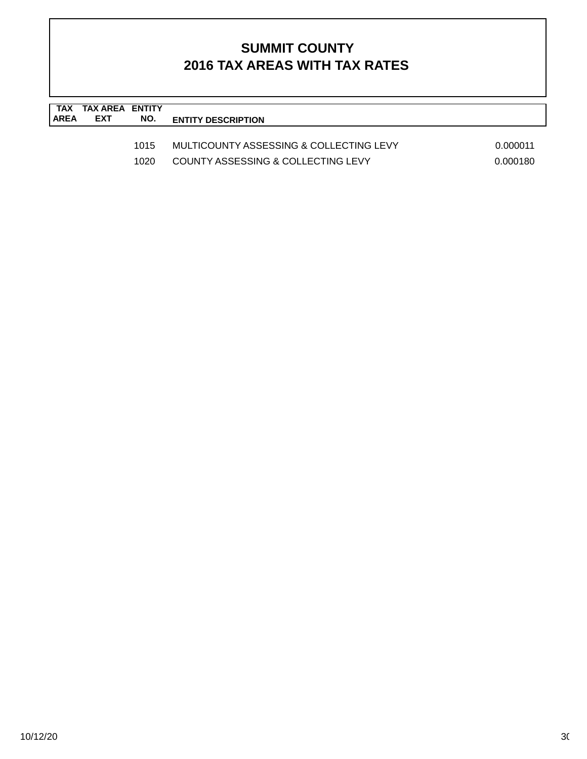| TAX<br><b>AREA</b> | TAX AREA ENTITY<br><b>EXT</b> | NO.          | <b>ENTITY DESCRIPTION</b>                                                     |                      |
|--------------------|-------------------------------|--------------|-------------------------------------------------------------------------------|----------------------|
|                    |                               | 1015<br>1020 | MULTICOUNTY ASSESSING & COLLECTING LEVY<br>COUNTY ASSESSING & COLLECTING LEVY | 0.000011<br>0.000180 |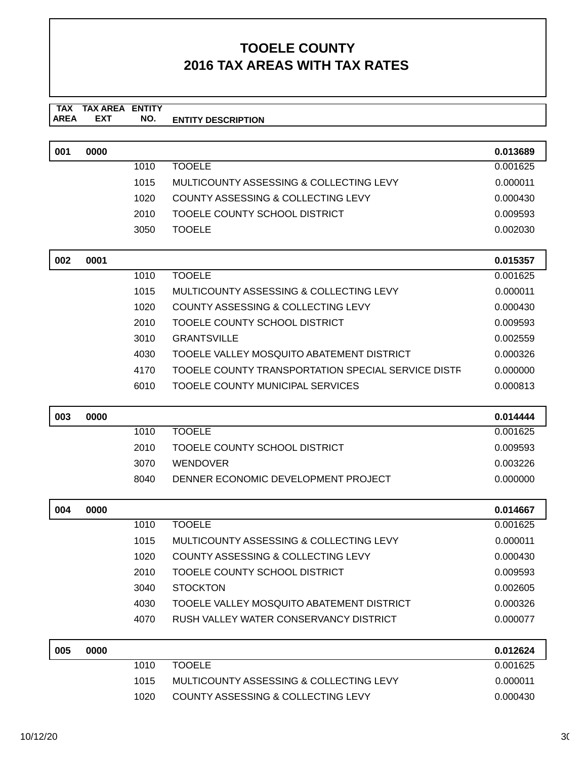#### **TAX TAX AREA ENTITY ENTITY DESCRIPTION** AREA EXT  **NO.**

| 001 | 0000 |      |                                                    | 0.013689 |
|-----|------|------|----------------------------------------------------|----------|
|     |      | 1010 | <b>TOOELE</b>                                      | 0.001625 |
|     |      | 1015 | MULTICOUNTY ASSESSING & COLLECTING LEVY            | 0.000011 |
|     |      | 1020 | COUNTY ASSESSING & COLLECTING LEVY                 | 0.000430 |
|     |      | 2010 | TOOELE COUNTY SCHOOL DISTRICT                      | 0.009593 |
|     |      | 3050 | <b>TOOELE</b>                                      | 0.002030 |
|     |      |      |                                                    |          |
| 002 | 0001 |      |                                                    | 0.015357 |
|     |      | 1010 | <b>TOOELE</b>                                      | 0.001625 |
|     |      | 1015 | MULTICOUNTY ASSESSING & COLLECTING LEVY            | 0.000011 |
|     |      | 1020 | COUNTY ASSESSING & COLLECTING LEVY                 | 0.000430 |
|     |      | 2010 | TOOELE COUNTY SCHOOL DISTRICT                      | 0.009593 |
|     |      | 3010 | <b>GRANTSVILLE</b>                                 | 0.002559 |
|     |      | 4030 | TOOELE VALLEY MOSQUITO ABATEMENT DISTRICT          | 0.000326 |
|     |      | 4170 | TOOELE COUNTY TRANSPORTATION SPECIAL SERVICE DISTF | 0.000000 |
|     |      | 6010 | <b>TOOELE COUNTY MUNICIPAL SERVICES</b>            | 0.000813 |
|     |      |      |                                                    |          |
| 003 | 0000 |      |                                                    | 0.014444 |
|     |      | 1010 | <b>TOOELE</b>                                      | 0.001625 |
|     |      | 2010 | TOOELE COUNTY SCHOOL DISTRICT                      | 0.009593 |
|     |      | 3070 | <b>WENDOVER</b>                                    | 0.003226 |
|     |      | 8040 | DENNER ECONOMIC DEVELOPMENT PROJECT                | 0.000000 |
|     |      |      |                                                    |          |
| 004 | 0000 |      |                                                    | 0.014667 |
|     |      | 1010 | <b>TOOELE</b>                                      | 0.001625 |
|     |      | 1015 | MULTICOUNTY ASSESSING & COLLECTING LEVY            | 0.000011 |
|     |      | 1020 | <b>COUNTY ASSESSING &amp; COLLECTING LEVY</b>      | 0.000430 |
|     |      | 2010 | TOOELE COUNTY SCHOOL DISTRICT                      | 0.009593 |

| 2010  | TOOELE COUNTY SCHOOL DISTRICT             | 0.009593 |
|-------|-------------------------------------------|----------|
| 3040. | <b>STOCKTON</b>                           | 0.002605 |
| 4030  | TOOELE VALLEY MOSQUITO ABATEMENT DISTRICT | 0.000326 |
| 4070. | RUSH VALLEY WATER CONSERVANCY DISTRICT    | 0.000077 |

| 005 | 0000 |      |                                         | 0.012624 |
|-----|------|------|-----------------------------------------|----------|
|     |      | 1010 | <b>TOOELE</b>                           | 0.001625 |
|     |      | 1015 | MULTICOUNTY ASSESSING & COLLECTING LEVY | 0.000011 |
|     |      | 1020 | COUNTY ASSESSING & COLLECTING LEVY      | 0.000430 |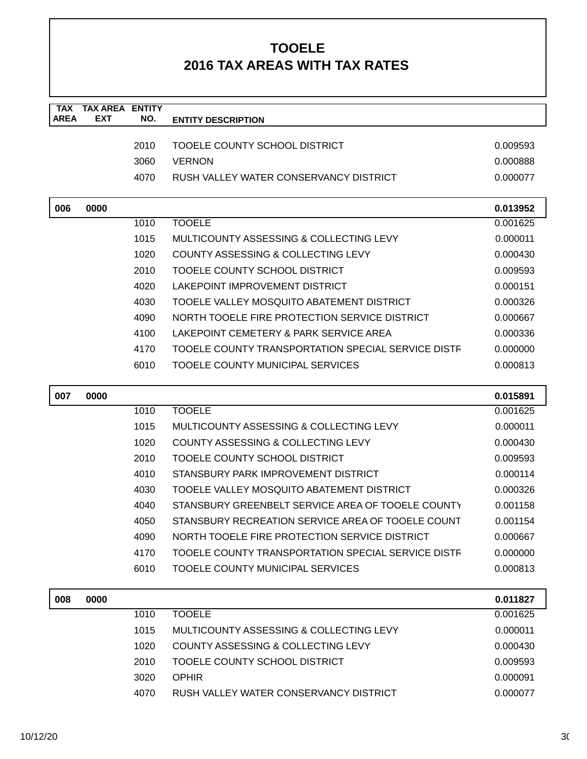| <b>TAX</b><br><b>AREA</b> | <b>TAX AREA ENTITY</b><br><b>EXT</b> | NO.  | <b>ENTITY DESCRIPTION</b>                          |          |
|---------------------------|--------------------------------------|------|----------------------------------------------------|----------|
|                           |                                      |      |                                                    |          |
|                           |                                      | 2010 | TOOELE COUNTY SCHOOL DISTRICT                      | 0.009593 |
|                           |                                      | 3060 | <b>VERNON</b>                                      | 0.000888 |
|                           |                                      | 4070 | RUSH VALLEY WATER CONSERVANCY DISTRICT             | 0.000077 |
| 006                       | 0000                                 |      |                                                    | 0.013952 |
|                           |                                      | 1010 | <b>TOOELE</b>                                      | 0.001625 |
|                           |                                      | 1015 | MULTICOUNTY ASSESSING & COLLECTING LEVY            | 0.000011 |
|                           |                                      | 1020 | COUNTY ASSESSING & COLLECTING LEVY                 | 0.000430 |
|                           |                                      | 2010 | TOOELE COUNTY SCHOOL DISTRICT                      | 0.009593 |
|                           |                                      | 4020 | LAKEPOINT IMPROVEMENT DISTRICT                     | 0.000151 |
|                           |                                      | 4030 | TOOELE VALLEY MOSQUITO ABATEMENT DISTRICT          | 0.000326 |
|                           |                                      | 4090 | NORTH TOOELE FIRE PROTECTION SERVICE DISTRICT      | 0.000667 |
|                           |                                      | 4100 | LAKEPOINT CEMETERY & PARK SERVICE AREA             | 0.000336 |
|                           |                                      | 4170 | TOOELE COUNTY TRANSPORTATION SPECIAL SERVICE DISTF | 0.000000 |
|                           |                                      | 6010 | <b>TOOELE COUNTY MUNICIPAL SERVICES</b>            | 0.000813 |
| 007                       | 0000                                 |      |                                                    | 0.015891 |
|                           |                                      | 1010 | <b>TOOELE</b>                                      | 0.001625 |
|                           |                                      | 1015 | MULTICOUNTY ASSESSING & COLLECTING LEVY            | 0.000011 |
|                           |                                      | 1020 | COUNTY ASSESSING & COLLECTING LEVY                 | 0.000430 |
|                           |                                      | 2010 | TOOELE COUNTY SCHOOL DISTRICT                      | 0.009593 |
|                           |                                      | 4010 | STANSBURY PARK IMPROVEMENT DISTRICT                | 0.000114 |
|                           |                                      | 4030 | TOOELE VALLEY MOSQUITO ABATEMENT DISTRICT          | 0.000326 |
|                           |                                      | 4040 | STANSBURY GREENBELT SERVICE AREA OF TOOELE COUNTY  | 0.001158 |
|                           |                                      | 4050 | STANSBURY RECREATION SERVICE AREA OF TOOELE COUNT  | 0.001154 |
|                           |                                      | 4090 | NORTH TOOELE FIRE PROTECTION SERVICE DISTRICT      | 0.000667 |
|                           |                                      | 4170 | TOOELE COUNTY TRANSPORTATION SPECIAL SERVICE DISTF | 0.000000 |
|                           |                                      | 6010 | TOOELE COUNTY MUNICIPAL SERVICES                   | 0.000813 |
| 008                       | 0000                                 |      |                                                    | 0.011827 |
|                           |                                      | 1010 | <b>TOOELE</b>                                      | 0.001625 |
|                           |                                      | 1015 | MULTICOUNTY ASSESSING & COLLECTING LEVY            | 0.000011 |
|                           |                                      | 1020 | COUNTY ASSESSING & COLLECTING LEVY                 | 0.000430 |
|                           |                                      | 2010 | TOOELE COUNTY SCHOOL DISTRICT                      | 0.009593 |
|                           |                                      | 3020 | <b>OPHIR</b>                                       | 0.000091 |
|                           |                                      | 4070 | RUSH VALLEY WATER CONSERVANCY DISTRICT             | 0.000077 |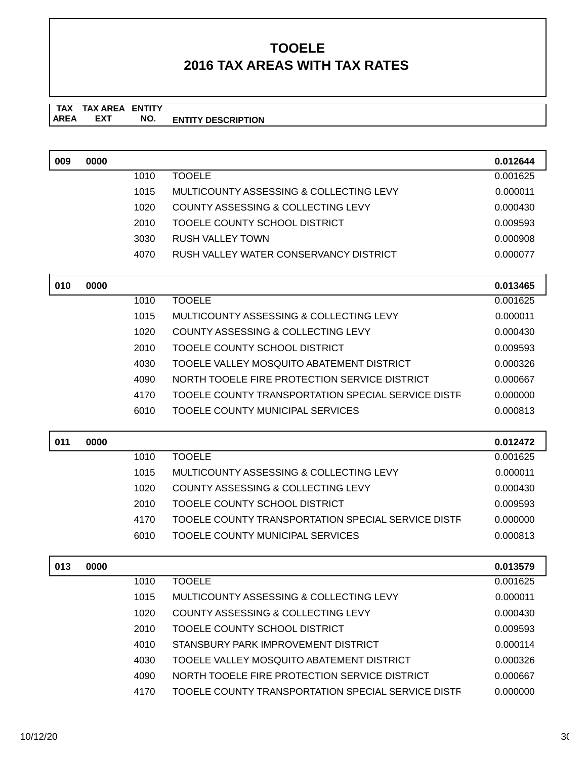**TAX TAX AREA ENTITY AREA ENTITY DESCRIPTION EXT NO.**

| 009 | 0000 |      |                                                    | 0.012644 |
|-----|------|------|----------------------------------------------------|----------|
|     |      | 1010 | <b>TOOELE</b>                                      | 0.001625 |
|     |      | 1015 | <b>MULTICOUNTY ASSESSING &amp; COLLECTING LEVY</b> | 0.000011 |
|     |      | 1020 | COUNTY ASSESSING & COLLECTING LEVY                 | 0.000430 |
|     |      | 2010 | TOOELE COUNTY SCHOOL DISTRICT                      | 0.009593 |
|     |      | 3030 | <b>RUSH VALLEY TOWN</b>                            | 0.000908 |
|     |      | 4070 | RUSH VALLEY WATER CONSERVANCY DISTRICT             | 0.000077 |
|     |      |      |                                                    |          |
| 010 | 0000 |      |                                                    | 0.013465 |
|     |      | 1010 | <b>TOOELE</b>                                      | 0.001625 |
|     |      | 1015 | MULTICOUNTY ASSESSING & COLLECTING LEVY            | 0.000011 |
|     |      | 1020 | COUNTY ASSESSING & COLLECTING LEVY                 | 0.000430 |
|     |      | 2010 | TOOELE COUNTY SCHOOL DISTRICT                      | 0.009593 |
|     |      | 4030 | TOOELE VALLEY MOSQUITO ABATEMENT DISTRICT          | 0.000326 |
|     |      | 4090 | NORTH TOOELE FIRE PROTECTION SERVICE DISTRICT      | 0.000667 |
|     |      | 4170 | TOOELE COUNTY TRANSPORTATION SPECIAL SERVICE DISTR | 0.000000 |
|     |      | 6010 | TOOELE COUNTY MUNICIPAL SERVICES                   | 0.000813 |
|     |      |      |                                                    |          |
| 011 | 0000 |      |                                                    | 0.012472 |
|     |      | 1010 | <b>TOOELE</b>                                      | 0.001625 |
|     |      | 1015 | MULTICOUNTY ASSESSING & COLLECTING LEVY            | 0.000011 |
|     |      | 1020 | COUNTY ASSESSING & COLLECTING LEVY                 | 0.000430 |
|     |      | 2010 | TOOELE COUNTY SCHOOL DISTRICT                      | 0.009593 |
|     |      | 4170 | TOOELE COUNTY TRANSPORTATION SPECIAL SERVICE DISTR | 0.000000 |
|     |      | 6010 | <b>TOOELE COUNTY MUNICIPAL SERVICES</b>            | 0.000813 |
| 013 | 0000 |      |                                                    | 0.013579 |
|     |      | 1010 | <b>TOOELE</b>                                      | 0.001625 |
|     |      | 1015 | MULTICOUNTY ASSESSING & COLLECTING LEVY            | 0.000011 |
|     |      | 1020 | <b>COUNTY ASSESSING &amp; COLLECTING LEVY</b>      | 0.000430 |
|     |      | 2010 | TOOELE COUNTY SCHOOL DISTRICT                      | 0.009593 |
|     |      | 4010 | STANSBURY PARK IMPROVEMENT DISTRICT                | 0.000114 |
|     |      | 4030 | TOOELE VALLEY MOSQUITO ABATEMENT DISTRICT          | 0.000326 |
|     |      |      |                                                    |          |
|     |      | 4090 | NORTH TOOELE FIRE PROTECTION SERVICE DISTRICT      | 0.000667 |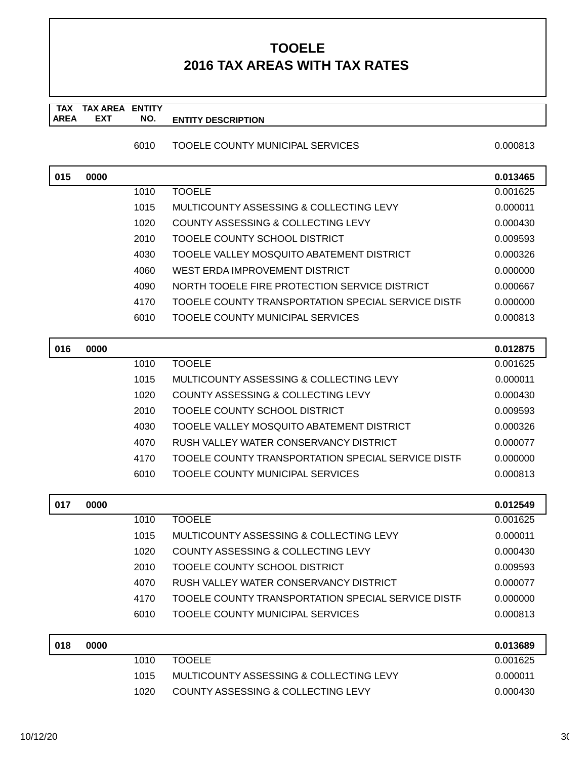**TAX TAX AREA ENTITY AREA ENTITY DESCRIPTION EXT NO.**

#### 6010 TOOELE COUNTY MUNICIPAL SERVICES 0.000813

| 015 | 0000 |      |                                                    | 0.013465 |
|-----|------|------|----------------------------------------------------|----------|
|     |      | 1010 | <b>TOOELE</b>                                      | 0.001625 |
|     |      | 1015 | MULTICOUNTY ASSESSING & COLLECTING LEVY            | 0.000011 |
|     |      | 1020 | COUNTY ASSESSING & COLLECTING LEVY                 | 0.000430 |
|     |      | 2010 | TOOELE COUNTY SCHOOL DISTRICT                      | 0.009593 |
|     |      | 4030 | TOOELE VALLEY MOSQUITO ABATEMENT DISTRICT          | 0.000326 |
|     |      | 4060 | WEST ERDA IMPROVEMENT DISTRICT                     | 0.000000 |
|     |      | 4090 | NORTH TOOELE FIRE PROTECTION SERVICE DISTRICT      | 0.000667 |
|     |      | 4170 | TOOELE COUNTY TRANSPORTATION SPECIAL SERVICE DISTF | 0.000000 |
|     |      | 6010 | TOOELE COUNTY MUNICIPAL SERVICES                   | 0.000813 |
|     |      |      |                                                    |          |
| 016 | 0000 |      |                                                    | 0.012875 |
|     |      | 1010 | <b>TOOELE</b>                                      | 0.001625 |
|     |      | 1015 | MULTICOUNTY ASSESSING & COLLECTING LEVY            | 0.000011 |
|     |      | 1020 | COUNTY ASSESSING & COLLECTING LEVY                 | 0.000430 |
|     |      | 2010 | TOOELE COUNTY SCHOOL DISTRICT                      | 0.009593 |
|     |      | 4030 | TOOELE VALLEY MOSQUITO ABATEMENT DISTRICT          | 0.000326 |
|     |      | 4070 | RUSH VALLEY WATER CONSERVANCY DISTRICT             | 0.000077 |
|     |      | 4170 | TOOELE COUNTY TRANSPORTATION SPECIAL SERVICE DISTR | 0.000000 |
|     |      | 6010 | <b>TOOELE COUNTY MUNICIPAL SERVICES</b>            | 0.000813 |
|     |      |      |                                                    |          |
| 017 | 0000 |      |                                                    | 0.012549 |
|     |      | 1010 | <b>TOOELE</b>                                      | 0.001625 |
|     |      | 1015 | MULTICOUNTY ASSESSING & COLLECTING LEVY            | 0.000011 |
|     |      | 1020 | COUNTY ASSESSING & COLLECTING LEVY                 | 0.000430 |
|     |      | 2010 | TOOELE COUNTY SCHOOL DISTRICT                      | 0.009593 |
|     |      | 4070 | RUSH VALLEY WATER CONSERVANCY DISTRICT             | 0.000077 |
|     |      | 4170 | TOOELE COUNTY TRANSPORTATION SPECIAL SERVICE DISTF | 0.000000 |
|     |      | 6010 | <b>TOOELE COUNTY MUNICIPAL SERVICES</b>            | 0.000813 |
| 018 | 0000 |      |                                                    | 0.013689 |
|     |      | 1010 | <b>TOOELE</b>                                      | 0.001625 |
|     |      | 1015 | MULTICOUNTY ASSESSING & COLLECTING LEVY            | 0.000011 |
|     |      | 1020 | COUNTY ASSESSING & COLLECTING LEVY                 | 0.000430 |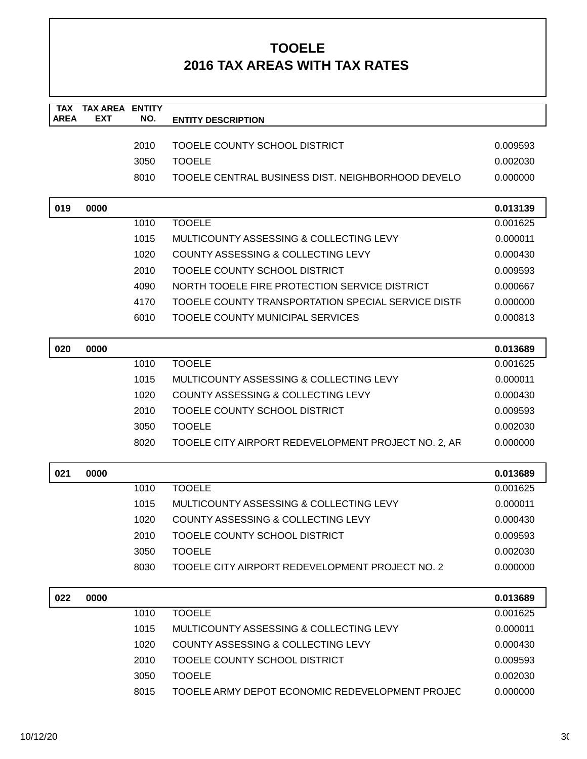| <b>TAX</b><br><b>AREA</b> | <b>TAX AREA</b><br><b>EXT</b> | <b>ENTITY</b> |                                                     |          |
|---------------------------|-------------------------------|---------------|-----------------------------------------------------|----------|
|                           |                               | NO.           | <b>ENTITY DESCRIPTION</b>                           |          |
|                           |                               | 2010          | TOOELE COUNTY SCHOOL DISTRICT                       | 0.009593 |
|                           |                               | 3050          | <b>TOOELE</b>                                       | 0.002030 |
|                           |                               | 8010          | TOOELE CENTRAL BUSINESS DIST. NEIGHBORHOOD DEVELO   | 0.000000 |
|                           |                               |               |                                                     |          |
| 019                       | 0000                          |               |                                                     | 0.013139 |
|                           |                               | 1010          | <b>TOOELE</b>                                       | 0.001625 |
|                           |                               | 1015          | <b>MULTICOUNTY ASSESSING &amp; COLLECTING LEVY</b>  | 0.000011 |
|                           |                               | 1020          | <b>COUNTY ASSESSING &amp; COLLECTING LEVY</b>       | 0.000430 |
|                           |                               | 2010          | TOOELE COUNTY SCHOOL DISTRICT                       | 0.009593 |
|                           |                               | 4090          | NORTH TOOELE FIRE PROTECTION SERVICE DISTRICT       | 0.000667 |
|                           |                               | 4170          | TOOELE COUNTY TRANSPORTATION SPECIAL SERVICE DISTR  | 0.000000 |
|                           |                               | 6010          | <b>TOOELE COUNTY MUNICIPAL SERVICES</b>             | 0.000813 |
|                           |                               |               |                                                     |          |
| 020                       | 0000                          |               |                                                     | 0.013689 |
|                           |                               | 1010          | <b>TOOELE</b>                                       | 0.001625 |
|                           |                               | 1015          | MULTICOUNTY ASSESSING & COLLECTING LEVY             | 0.000011 |
|                           |                               | 1020          | COUNTY ASSESSING & COLLECTING LEVY                  | 0.000430 |
|                           |                               | 2010          | TOOELE COUNTY SCHOOL DISTRICT                       | 0.009593 |
|                           |                               | 3050          | <b>TOOELE</b>                                       | 0.002030 |
|                           |                               | 8020          | TOOELE CITY AIRPORT REDEVELOPMENT PROJECT NO. 2, AR | 0.000000 |
|                           |                               |               |                                                     |          |
| 021                       | 0000                          |               |                                                     | 0.013689 |
|                           |                               | 1010          | <b>TOOELE</b>                                       | 0.001625 |
|                           |                               | 1015          | MULTICOUNTY ASSESSING & COLLECTING LEVY             | 0.000011 |
|                           |                               | 1020          | <b>COUNTY ASSESSING &amp; COLLECTING LEVY</b>       | 0.000430 |
|                           |                               | 2010          | TOOELE COUNTY SCHOOL DISTRICT                       | 0.009593 |
|                           |                               | 3050          | <b>TOOELE</b>                                       | 0.002030 |
|                           |                               | 8030          | TOOELE CITY AIRPORT REDEVELOPMENT PROJECT NO. 2     | 0.000000 |
| 022                       | 0000                          |               |                                                     | 0.013689 |
|                           |                               | 1010          | <b>TOOELE</b>                                       | 0.001625 |
|                           |                               | 1015          | MULTICOUNTY ASSESSING & COLLECTING LEVY             | 0.000011 |
|                           |                               | 1020          | COUNTY ASSESSING & COLLECTING LEVY                  | 0.000430 |
|                           |                               | 2010          | TOOELE COUNTY SCHOOL DISTRICT                       | 0.009593 |
|                           |                               | 3050          | <b>TOOELE</b>                                       | 0.002030 |
|                           |                               | 8015          | TOOELE ARMY DEPOT ECONOMIC REDEVELOPMENT PROJEC     | 0.000000 |
|                           |                               |               |                                                     |          |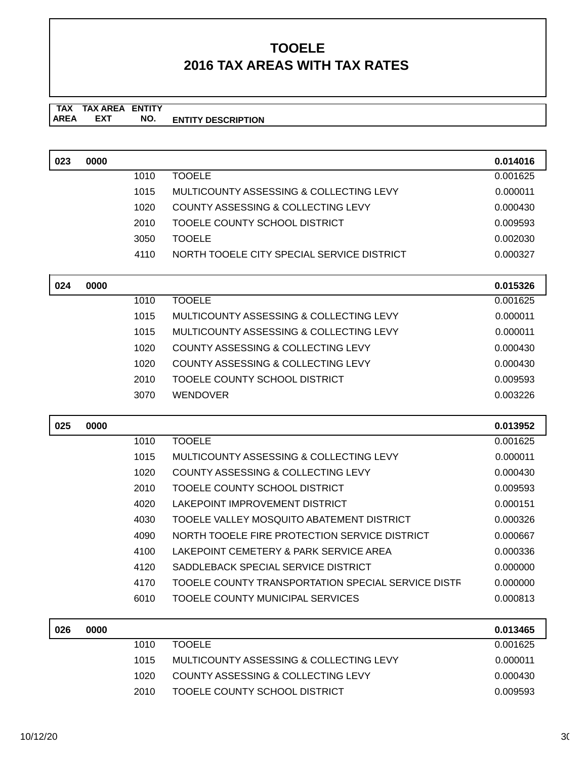**TAX TAX AREA ENTITY AREA ENTITY DESCRIPTION EXT NO.**

| 023 | 0000 |              |                                                                               | 0.014016             |
|-----|------|--------------|-------------------------------------------------------------------------------|----------------------|
|     |      | 1010         | <b>TOOELE</b>                                                                 | 0.001625             |
|     |      | 1015         | <b>MULTICOUNTY ASSESSING &amp; COLLECTING LEVY</b>                            | 0.000011             |
|     |      | 1020         | COUNTY ASSESSING & COLLECTING LEVY                                            | 0.000430             |
|     |      | 2010         | TOOELE COUNTY SCHOOL DISTRICT                                                 | 0.009593             |
|     |      | 3050         | <b>TOOELE</b>                                                                 | 0.002030             |
|     |      | 4110         | NORTH TOOELE CITY SPECIAL SERVICE DISTRICT                                    | 0.000327             |
|     |      |              |                                                                               |                      |
| 024 | 0000 |              |                                                                               | 0.015326             |
|     |      | 1010         | <b>TOOELE</b>                                                                 | 0.001625             |
|     |      | 1015         | <b>MULTICOUNTY ASSESSING &amp; COLLECTING LEVY</b>                            | 0.000011             |
|     |      | 1015         | MULTICOUNTY ASSESSING & COLLECTING LEVY                                       | 0.000011             |
|     |      | 1020         | COUNTY ASSESSING & COLLECTING LEVY                                            | 0.000430             |
|     |      | 1020         | <b>COUNTY ASSESSING &amp; COLLECTING LEVY</b>                                 | 0.000430             |
|     |      | 2010         | TOOELE COUNTY SCHOOL DISTRICT                                                 | 0.009593             |
|     |      | 3070         | <b>WENDOVER</b>                                                               | 0.003226             |
|     |      |              |                                                                               |                      |
| 025 | 0000 |              |                                                                               | 0.013952             |
|     |      | 1010         | <b>TOOELE</b>                                                                 | 0.001625             |
|     |      |              |                                                                               |                      |
|     |      | 1015         | MULTICOUNTY ASSESSING & COLLECTING LEVY                                       | 0.000011             |
|     |      | 1020         | COUNTY ASSESSING & COLLECTING LEVY                                            | 0.000430             |
|     |      | 2010         | TOOELE COUNTY SCHOOL DISTRICT                                                 | 0.009593             |
|     |      | 4020         | LAKEPOINT IMPROVEMENT DISTRICT                                                | 0.000151             |
|     |      | 4030         | TOOELE VALLEY MOSQUITO ABATEMENT DISTRICT                                     | 0.000326             |
|     |      | 4090         | NORTH TOOELE FIRE PROTECTION SERVICE DISTRICT                                 | 0.000667             |
|     |      | 4100         | LAKEPOINT CEMETERY & PARK SERVICE AREA                                        | 0.000336             |
|     |      | 4120         | SADDLEBACK SPECIAL SERVICE DISTRICT                                           | 0.000000             |
|     |      | 4170         | TOOELE COUNTY TRANSPORTATION SPECIAL SERVICE DISTF                            | 0.000000             |
|     |      | 6010         | <b>TOOELE COUNTY MUNICIPAL SERVICES</b>                                       | 0.000813             |
|     |      |              |                                                                               |                      |
| 026 | 0000 |              |                                                                               | 0.013465             |
|     |      | 1010         | <b>TOOELE</b>                                                                 | 0.001625             |
|     |      | 1015<br>1020 | MULTICOUNTY ASSESSING & COLLECTING LEVY<br>COUNTY ASSESSING & COLLECTING LEVY | 0.000011<br>0.000430 |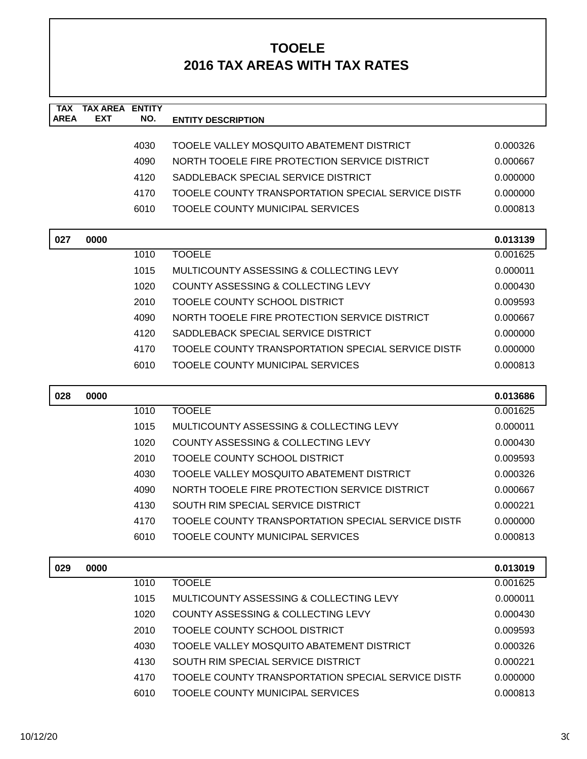| <b>TAX</b><br><b>AREA</b> | <b>TAX AREA ENTITY</b><br><b>EXT</b> | NO.  | <b>ENTITY DESCRIPTION</b>                          |          |
|---------------------------|--------------------------------------|------|----------------------------------------------------|----------|
|                           |                                      |      |                                                    |          |
|                           |                                      | 4030 | TOOELE VALLEY MOSQUITO ABATEMENT DISTRICT          | 0.000326 |
|                           |                                      | 4090 | NORTH TOOELE FIRE PROTECTION SERVICE DISTRICT      | 0.000667 |
|                           |                                      | 4120 | SADDLEBACK SPECIAL SERVICE DISTRICT                | 0.000000 |
|                           |                                      | 4170 | TOOELE COUNTY TRANSPORTATION SPECIAL SERVICE DISTF | 0.000000 |
|                           |                                      | 6010 | <b>TOOELE COUNTY MUNICIPAL SERVICES</b>            | 0.000813 |
| 027                       | 0000                                 |      |                                                    | 0.013139 |
|                           |                                      | 1010 | <b>TOOELE</b>                                      | 0.001625 |
|                           |                                      | 1015 | MULTICOUNTY ASSESSING & COLLECTING LEVY            | 0.000011 |
|                           |                                      | 1020 | COUNTY ASSESSING & COLLECTING LEVY                 | 0.000430 |
|                           |                                      | 2010 | TOOELE COUNTY SCHOOL DISTRICT                      | 0.009593 |
|                           |                                      | 4090 | NORTH TOOELE FIRE PROTECTION SERVICE DISTRICT      | 0.000667 |
|                           |                                      | 4120 | SADDLEBACK SPECIAL SERVICE DISTRICT                | 0.000000 |
|                           |                                      | 4170 | TOOELE COUNTY TRANSPORTATION SPECIAL SERVICE DISTF | 0.000000 |
|                           |                                      | 6010 | TOOELE COUNTY MUNICIPAL SERVICES                   | 0.000813 |
|                           |                                      |      |                                                    |          |
|                           |                                      |      |                                                    |          |
| 028                       | 0000                                 |      |                                                    | 0.013686 |
|                           |                                      | 1010 | <b>TOOELE</b>                                      | 0.001625 |
|                           |                                      | 1015 | MULTICOUNTY ASSESSING & COLLECTING LEVY            | 0.000011 |
|                           |                                      | 1020 | COUNTY ASSESSING & COLLECTING LEVY                 | 0.000430 |
|                           |                                      | 2010 | TOOELE COUNTY SCHOOL DISTRICT                      | 0.009593 |
|                           |                                      | 4030 | TOOELE VALLEY MOSQUITO ABATEMENT DISTRICT          | 0.000326 |
|                           |                                      | 4090 | NORTH TOOELE FIRE PROTECTION SERVICE DISTRICT      | 0.000667 |
|                           |                                      | 4130 | SOUTH RIM SPECIAL SERVICE DISTRICT                 | 0.000221 |
|                           |                                      | 4170 | TOOELE COUNTY TRANSPORTATION SPECIAL SERVICE DISTF | 0.000000 |
|                           |                                      | 6010 | TOOELE COUNTY MUNICIPAL SERVICES                   | 0.000813 |
| 029                       | 0000                                 |      |                                                    | 0.013019 |
|                           |                                      | 1010 | <b>TOOELE</b>                                      | 0.001625 |
|                           |                                      | 1015 | MULTICOUNTY ASSESSING & COLLECTING LEVY            | 0.000011 |
|                           |                                      | 1020 | COUNTY ASSESSING & COLLECTING LEVY                 | 0.000430 |
|                           |                                      | 2010 | <b>TOOELE COUNTY SCHOOL DISTRICT</b>               | 0.009593 |
|                           |                                      | 4030 | TOOELE VALLEY MOSQUITO ABATEMENT DISTRICT          | 0.000326 |
|                           |                                      | 4130 | SOUTH RIM SPECIAL SERVICE DISTRICT                 | 0.000221 |

6010 TOOELE COUNTY MUNICIPAL SERVICES 0.000813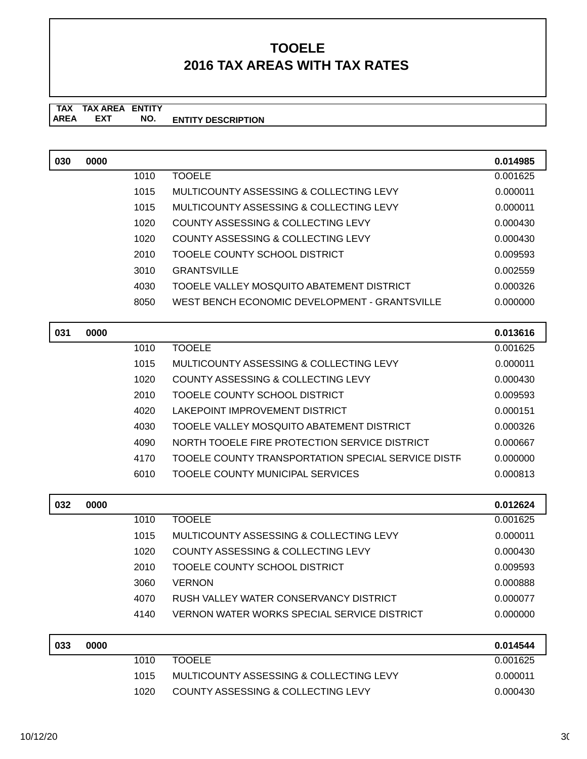**TAX TAX AREA ENTITY ENTITY DESCRIPTION EXT NO.**

| 030 | 0000 |      |                                                    | 0.014985 |
|-----|------|------|----------------------------------------------------|----------|
|     |      | 1010 | <b>TOOELE</b>                                      | 0.001625 |
|     |      | 1015 | MULTICOUNTY ASSESSING & COLLECTING LEVY            | 0.000011 |
|     |      | 1015 | MULTICOUNTY ASSESSING & COLLECTING LEVY            | 0.000011 |
|     |      | 1020 | <b>COUNTY ASSESSING &amp; COLLECTING LEVY</b>      | 0.000430 |
|     |      | 1020 | COUNTY ASSESSING & COLLECTING LEVY                 | 0.000430 |
|     |      | 2010 | <b>TOOELE COUNTY SCHOOL DISTRICT</b>               | 0.009593 |
|     |      | 3010 | <b>GRANTSVILLE</b>                                 | 0.002559 |
|     |      | 4030 | TOOELE VALLEY MOSQUITO ABATEMENT DISTRICT          | 0.000326 |
|     |      | 8050 | WEST BENCH ECONOMIC DEVELOPMENT - GRANTSVILLE      | 0.000000 |
| 031 | 0000 |      |                                                    | 0.013616 |
|     |      | 1010 | <b>TOOELE</b>                                      | 0.001625 |
|     |      | 1015 | MULTICOUNTY ASSESSING & COLLECTING LEVY            | 0.000011 |
|     |      | 1020 | COUNTY ASSESSING & COLLECTING LEVY                 | 0.000430 |
|     |      | 2010 | TOOELE COUNTY SCHOOL DISTRICT                      | 0.009593 |
|     |      | 4020 | <b>LAKEPOINT IMPROVEMENT DISTRICT</b>              | 0.000151 |
|     |      | 4030 | TOOELE VALLEY MOSQUITO ABATEMENT DISTRICT          | 0.000326 |
|     |      | 4090 | NORTH TOOELE FIRE PROTECTION SERVICE DISTRICT      | 0.000667 |
|     |      | 4170 | TOOELE COUNTY TRANSPORTATION SPECIAL SERVICE DISTF | 0.000000 |
|     |      | 6010 | TOOELE COUNTY MUNICIPAL SERVICES                   | 0.000813 |
| 032 | 0000 |      |                                                    | 0.012624 |
|     |      | 1010 | <b>TOOELE</b>                                      | 0.001625 |
|     |      | 1015 | <b>MULTICOUNTY ASSESSING &amp; COLLECTING LEVY</b> | 0.000011 |
|     |      | 1020 | COUNTY ASSESSING & COLLECTING LEVY                 | 0.000430 |
|     |      | 2010 | TOOELE COUNTY SCHOOL DISTRICT                      | 0.009593 |
|     |      | 3060 | <b>VERNON</b>                                      | 0.000888 |
|     |      | 4070 | RUSH VALLEY WATER CONSERVANCY DISTRICT             | 0.000077 |
|     |      | 4140 | <b>VERNON WATER WORKS SPECIAL SERVICE DISTRICT</b> | 0.000000 |
| 033 | 0000 |      |                                                    | 0.014544 |
|     |      | 1010 | <b>TOOELE</b>                                      | 0.001625 |
|     |      | 1015 | MULTICOUNTY ASSESSING & COLLECTING LEVY            | 0.000011 |
|     |      | 1020 | COUNTY ASSESSING & COLLECTING LEVY                 | 0.000430 |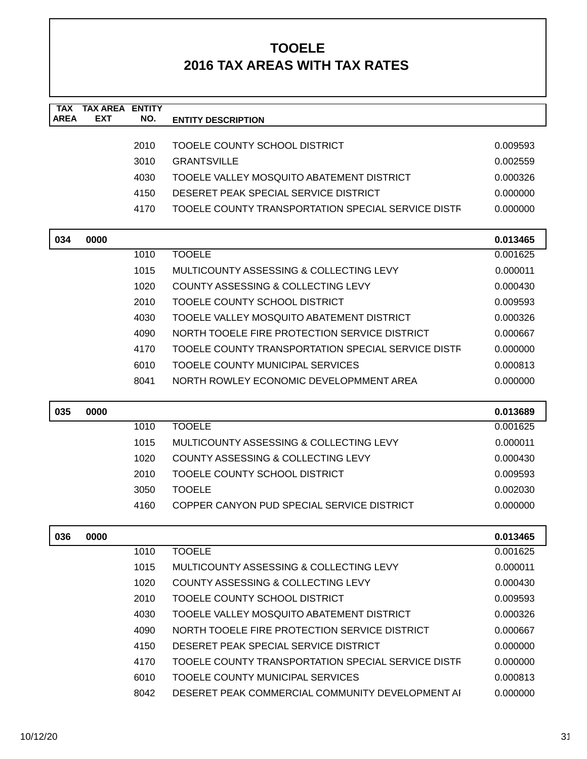| <b>TAX</b><br><b>AREA</b> | <b>TAX AREA</b><br><b>EXT</b> | <b>ENTITY</b><br>NO. | <b>ENTITY DESCRIPTION</b>                          |          |
|---------------------------|-------------------------------|----------------------|----------------------------------------------------|----------|
|                           |                               |                      |                                                    |          |
|                           |                               | 2010                 | TOOELE COUNTY SCHOOL DISTRICT                      | 0.009593 |
|                           |                               | 3010                 | <b>GRANTSVILLE</b>                                 | 0.002559 |
|                           |                               | 4030                 | TOOELE VALLEY MOSQUITO ABATEMENT DISTRICT          | 0.000326 |
|                           |                               | 4150                 | DESERET PEAK SPECIAL SERVICE DISTRICT              | 0.000000 |
|                           |                               | 4170                 | TOOELE COUNTY TRANSPORTATION SPECIAL SERVICE DISTF | 0.000000 |
| 034                       | 0000                          |                      |                                                    | 0.013465 |
|                           |                               | 1010                 | <b>TOOELE</b>                                      | 0.001625 |
|                           |                               | 1015                 | MULTICOUNTY ASSESSING & COLLECTING LEVY            | 0.000011 |
|                           |                               | 1020                 | COUNTY ASSESSING & COLLECTING LEVY                 | 0.000430 |
|                           |                               | 2010                 | <b>TOOELE COUNTY SCHOOL DISTRICT</b>               | 0.009593 |
|                           |                               | 4030                 | TOOELE VALLEY MOSQUITO ABATEMENT DISTRICT          | 0.000326 |
|                           |                               | 4090                 | NORTH TOOELE FIRE PROTECTION SERVICE DISTRICT      | 0.000667 |
|                           |                               | 4170                 | TOOELE COUNTY TRANSPORTATION SPECIAL SERVICE DISTF | 0.000000 |
|                           |                               | 6010                 | TOOELE COUNTY MUNICIPAL SERVICES                   | 0.000813 |
|                           |                               | 8041                 | NORTH ROWLEY ECONOMIC DEVELOPMMENT AREA            | 0.000000 |
|                           |                               |                      |                                                    |          |
| 035                       | 0000                          |                      |                                                    | 0.013689 |
|                           |                               | 1010                 | <b>TOOELE</b>                                      | 0.001625 |
|                           |                               | 1015                 | MULTICOUNTY ASSESSING & COLLECTING LEVY            | 0.000011 |
|                           |                               | 1020                 | COUNTY ASSESSING & COLLECTING LEVY                 | 0.000430 |
|                           |                               | 2010                 | TOOELE COUNTY SCHOOL DISTRICT                      | 0.009593 |
|                           |                               | 3050                 | <b>TOOELE</b>                                      | 0.002030 |
|                           |                               | 4160                 | COPPER CANYON PUD SPECIAL SERVICE DISTRICT         | 0.000000 |
| 036                       | 0000                          |                      |                                                    | 0.013465 |
|                           |                               | 1010                 | <b>TOOELE</b>                                      | 0.001625 |
|                           |                               | 1015                 | MULTICOUNTY ASSESSING & COLLECTING LEVY            | 0.000011 |
|                           |                               | 1020                 | COUNTY ASSESSING & COLLECTING LEVY                 | 0.000430 |
|                           |                               | 2010                 | TOOELE COUNTY SCHOOL DISTRICT                      | 0.009593 |
|                           |                               | 4030                 | TOOELE VALLEY MOSQUITO ABATEMENT DISTRICT          | 0.000326 |
|                           |                               | 4090                 | NORTH TOOELE FIRE PROTECTION SERVICE DISTRICT      | 0.000667 |
|                           |                               | 4150                 | DESERET PEAK SPECIAL SERVICE DISTRICT              | 0.000000 |
|                           |                               | 4170                 | TOOELE COUNTY TRANSPORTATION SPECIAL SERVICE DISTR | 0.000000 |
|                           |                               | 6010                 | TOOELE COUNTY MUNICIPAL SERVICES                   | 0.000813 |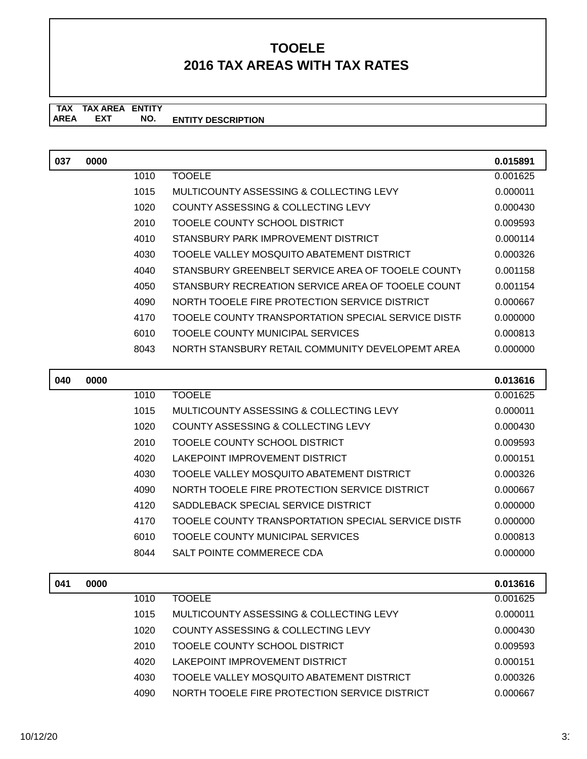**TAX TAX AREA ENTITY AREA ENTITY DESCRIPTION EXT NO.**

| 037 | 0000 |      |                                                    | 0.015891 |
|-----|------|------|----------------------------------------------------|----------|
|     |      | 1010 | <b>TOOELE</b>                                      | 0.001625 |
|     |      | 1015 | MULTICOUNTY ASSESSING & COLLECTING LEVY            | 0.000011 |
|     |      | 1020 | <b>COUNTY ASSESSING &amp; COLLECTING LEVY</b>      | 0.000430 |
|     |      | 2010 | TOOELE COUNTY SCHOOL DISTRICT                      | 0.009593 |
|     |      | 4010 | STANSBURY PARK IMPROVEMENT DISTRICT                | 0.000114 |
|     |      | 4030 | TOOELE VALLEY MOSQUITO ABATEMENT DISTRICT          | 0.000326 |
|     |      | 4040 | STANSBURY GREENBELT SERVICE AREA OF TOOELE COUNTY  | 0.001158 |
|     |      | 4050 | STANSBURY RECREATION SERVICE AREA OF TOOELE COUNT  | 0.001154 |
|     |      | 4090 | NORTH TOOELE FIRE PROTECTION SERVICE DISTRICT      | 0.000667 |
|     |      | 4170 | TOOELE COUNTY TRANSPORTATION SPECIAL SERVICE DISTF | 0.000000 |
|     |      | 6010 | <b>TOOELE COUNTY MUNICIPAL SERVICES</b>            | 0.000813 |
|     |      | 8043 | NORTH STANSBURY RETAIL COMMUNITY DEVELOPEMT AREA   | 0.000000 |
|     |      |      |                                                    |          |
| 040 | 0000 |      |                                                    | 0.013616 |
|     |      | 1010 | <b>TOOELE</b>                                      | 0.001625 |
|     |      | 1015 | MULTICOUNTY ASSESSING & COLLECTING LEVY            | 0.000011 |
|     |      | 1020 | <b>COUNTY ASSESSING &amp; COLLECTING LEVY</b>      | 0.000430 |
|     |      | 2010 | TOOELE COUNTY SCHOOL DISTRICT                      | 0.009593 |
|     |      | 4020 | LAKEPOINT IMPROVEMENT DISTRICT                     | 0.000151 |
|     |      | 4030 | TOOELE VALLEY MOSQUITO ABATEMENT DISTRICT          | 0.000326 |
|     |      | 4090 | NORTH TOOELE FIRE PROTECTION SERVICE DISTRICT      | 0.000667 |
|     |      | 4120 | SADDLEBACK SPECIAL SERVICE DISTRICT                | 0.000000 |
|     |      | 4170 | TOOELE COUNTY TRANSPORTATION SPECIAL SERVICE DISTF | 0.000000 |
|     |      | 6010 | TOOELE COUNTY MUNICIPAL SERVICES                   | 0.000813 |
|     |      | 8044 | SALT POINTE COMMERECE CDA                          | 0.000000 |
| 041 | 0000 |      |                                                    | 0.013616 |
|     |      | 1010 | <b>TOOELE</b>                                      | 0.001625 |
|     |      | 1015 | MULTICOUNTY ASSESSING & COLLECTING LEVY            | 0.000011 |
|     |      | 1020 | COUNTY ASSESSING & COLLECTING LEVY                 | 0.000430 |
|     |      | 2010 | TOOELE COUNTY SCHOOL DISTRICT                      | 0.009593 |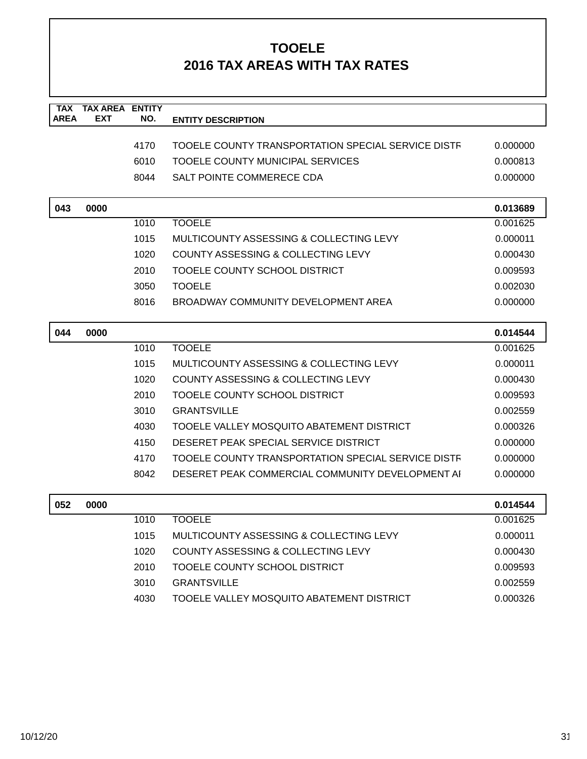| <b>TAX</b><br><b>AREA</b> | <b>TAX AREA</b><br><b>EXT</b> | <b>ENTITY</b><br>NO. | <b>ENTITY DESCRIPTION</b>                          |          |
|---------------------------|-------------------------------|----------------------|----------------------------------------------------|----------|
|                           |                               |                      |                                                    |          |
|                           |                               | 4170                 | TOOELE COUNTY TRANSPORTATION SPECIAL SERVICE DISTF | 0.000000 |
|                           |                               | 6010                 | TOOELE COUNTY MUNICIPAL SERVICES                   | 0.000813 |
|                           |                               | 8044                 | SALT POINTE COMMERECE CDA                          | 0.000000 |
| 043                       | 0000                          |                      |                                                    | 0.013689 |
|                           |                               | 1010                 | <b>TOOELE</b>                                      | 0.001625 |
|                           |                               | 1015                 | MULTICOUNTY ASSESSING & COLLECTING LEVY            | 0.000011 |
|                           |                               | 1020                 | COUNTY ASSESSING & COLLECTING LEVY                 | 0.000430 |
|                           |                               | 2010                 | TOOELE COUNTY SCHOOL DISTRICT                      | 0.009593 |
|                           |                               | 3050                 | <b>TOOELE</b>                                      | 0.002030 |
|                           |                               | 8016                 | BROADWAY COMMUNITY DEVELOPMENT AREA                | 0.000000 |
| 044                       | 0000                          |                      |                                                    | 0.014544 |
|                           |                               | 1010                 | <b>TOOELE</b>                                      | 0.001625 |
|                           |                               | 1015                 | MULTICOUNTY ASSESSING & COLLECTING LEVY            | 0.000011 |
|                           |                               | 1020                 | COUNTY ASSESSING & COLLECTING LEVY                 | 0.000430 |
|                           |                               | 2010                 | TOOELE COUNTY SCHOOL DISTRICT                      | 0.009593 |
|                           |                               | 3010                 | <b>GRANTSVILLE</b>                                 | 0.002559 |
|                           |                               | 4030                 | TOOELE VALLEY MOSQUITO ABATEMENT DISTRICT          | 0.000326 |
|                           |                               | 4150                 | DESERET PEAK SPECIAL SERVICE DISTRICT              | 0.000000 |
|                           |                               | 4170                 | TOOELE COUNTY TRANSPORTATION SPECIAL SERVICE DISTF | 0.000000 |
|                           |                               | 8042                 | DESERET PEAK COMMERCIAL COMMUNITY DEVELOPMENT AI   | 0.000000 |
| 052                       | 0000                          |                      |                                                    | 0.014544 |
|                           |                               | 1010                 | <b>TOOELE</b>                                      | 0.001625 |
|                           |                               | 1015                 | MULTICOUNTY ASSESSING & COLLECTING LEVY            | 0.000011 |
|                           |                               | 1020                 | <b>COUNTY ASSESSING &amp; COLLECTING LEVY</b>      | 0.000430 |
|                           |                               | 2010                 | TOOELE COUNTY SCHOOL DISTRICT                      | 0.009593 |
|                           |                               | 3010                 | <b>GRANTSVILLE</b>                                 | 0.002559 |
|                           |                               | 4030                 | TOOELE VALLEY MOSQUITO ABATEMENT DISTRICT          | 0.000326 |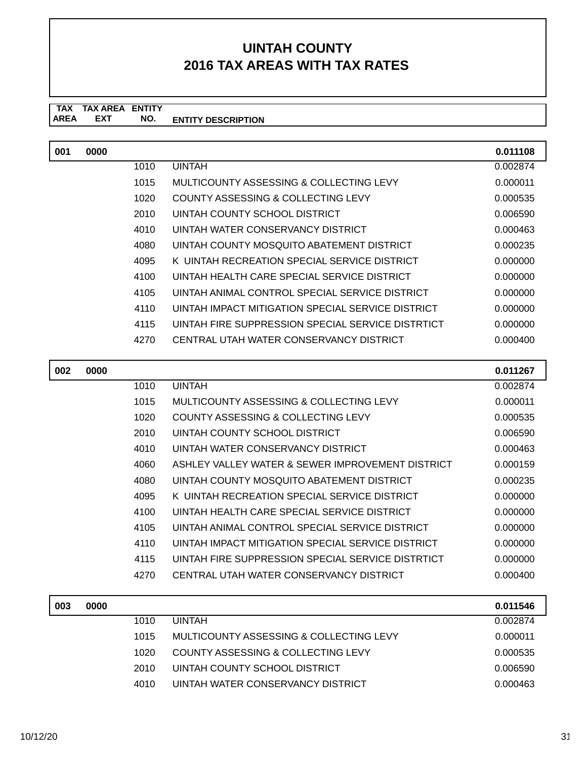#### **TAX TAX AREA ENTITY ENTITY DESCRIPTION** AREA EXT  **NO.**

| 001 | 0000 |      |                                                   | 0.011108 |
|-----|------|------|---------------------------------------------------|----------|
|     |      | 1010 | <b>UINTAH</b>                                     | 0.002874 |
|     |      | 1015 | MULTICOUNTY ASSESSING & COLLECTING LEVY           | 0.000011 |
|     |      | 1020 | COUNTY ASSESSING & COLLECTING LEVY                | 0.000535 |
|     |      | 2010 | UINTAH COUNTY SCHOOL DISTRICT                     | 0.006590 |
|     |      | 4010 | UINTAH WATER CONSERVANCY DISTRICT                 | 0.000463 |
|     |      | 4080 | UINTAH COUNTY MOSQUITO ABATEMENT DISTRICT         | 0.000235 |
|     |      | 4095 | K UINTAH RECREATION SPECIAL SERVICE DISTRICT      | 0.000000 |
|     |      | 4100 | UINTAH HEALTH CARE SPECIAL SERVICE DISTRICT       | 0.000000 |
|     |      | 4105 | UINTAH ANIMAL CONTROL SPECIAL SERVICE DISTRICT    | 0.000000 |
|     |      | 4110 | UINTAH IMPACT MITIGATION SPECIAL SERVICE DISTRICT | 0.000000 |
|     |      | 4115 | UINTAH FIRE SUPPRESSION SPECIAL SERVICE DISTRTICT | 0.000000 |
|     |      | 4270 | CENTRAL UTAH WATER CONSERVANCY DISTRICT           | 0.000400 |

| 002 | 0000 |      |                                                   | 0.011267 |
|-----|------|------|---------------------------------------------------|----------|
|     |      | 1010 | <b>UINTAH</b>                                     | 0.002874 |
|     |      | 1015 | MULTICOUNTY ASSESSING & COLLECTING LEVY           | 0.000011 |
|     |      | 1020 | COUNTY ASSESSING & COLLECTING LEVY                | 0.000535 |
|     |      | 2010 | UINTAH COUNTY SCHOOL DISTRICT                     | 0.006590 |
|     |      | 4010 | UINTAH WATER CONSERVANCY DISTRICT                 | 0.000463 |
|     |      | 4060 | ASHLEY VALLEY WATER & SEWER IMPROVEMENT DISTRICT  | 0.000159 |
|     |      | 4080 | UINTAH COUNTY MOSQUITO ABATEMENT DISTRICT         | 0.000235 |
|     |      | 4095 | K UINTAH RECREATION SPECIAL SERVICE DISTRICT      | 0.000000 |
|     |      | 4100 | UINTAH HEALTH CARE SPECIAL SERVICE DISTRICT       | 0.000000 |
|     |      | 4105 | UINTAH ANIMAL CONTROL SPECIAL SERVICE DISTRICT    | 0.000000 |
|     |      | 4110 | UINTAH IMPACT MITIGATION SPECIAL SERVICE DISTRICT | 0.000000 |
|     |      | 4115 | UINTAH FIRE SUPPRESSION SPECIAL SERVICE DISTRTICT | 0.000000 |
|     |      | 4270 | CENTRAL UTAH WATER CONSERVANCY DISTRICT           | 0.000400 |
|     |      |      |                                                   |          |

| 003 | 0000 |      |                                         | 0.011546 |
|-----|------|------|-----------------------------------------|----------|
|     |      | 1010 | <b>UINTAH</b>                           | 0.002874 |
|     |      | 1015 | MULTICOUNTY ASSESSING & COLLECTING LEVY | 0.000011 |
|     |      | 1020 | COUNTY ASSESSING & COLLECTING LEVY      | 0.000535 |
|     |      | 2010 | UINTAH COUNTY SCHOOL DISTRICT           | 0.006590 |
|     |      | 4010 | UINTAH WATER CONSERVANCY DISTRICT       | 0.000463 |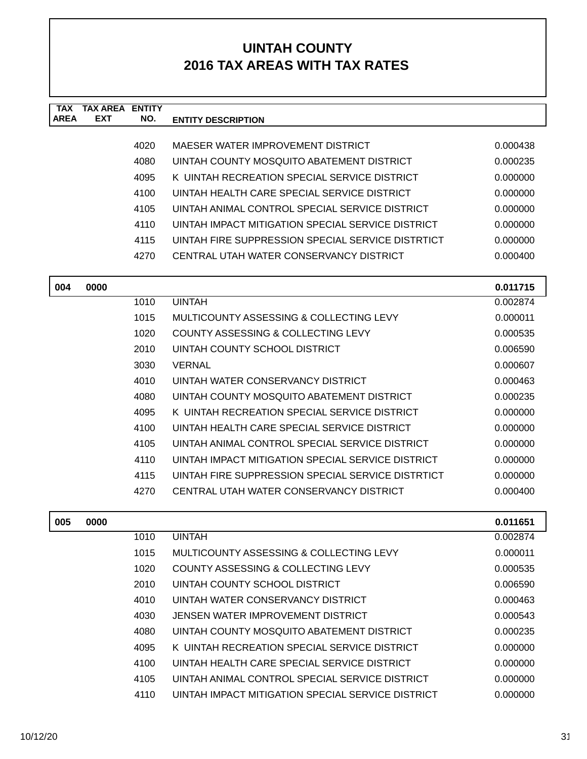| <b>TAX</b><br><b>AREA</b> | <b>TAX AREA</b><br><b>EXT</b> | <b>ENTITY</b><br>NO. | <b>ENTITY DESCRIPTION</b>                         |          |
|---------------------------|-------------------------------|----------------------|---------------------------------------------------|----------|
|                           |                               |                      |                                                   |          |
|                           |                               | 4020                 | MAESER WATER IMPROVEMENT DISTRICT                 | 0.000438 |
|                           |                               | 4080                 | UINTAH COUNTY MOSQUITO ABATEMENT DISTRICT         | 0.000235 |
|                           |                               | 4095                 | K UINTAH RECREATION SPECIAL SERVICE DISTRICT      | 0.000000 |
|                           |                               | 4100                 | UINTAH HEALTH CARE SPECIAL SERVICE DISTRICT       | 0.000000 |
|                           |                               | 4105                 | UINTAH ANIMAL CONTROL SPECIAL SERVICE DISTRICT    | 0.000000 |
|                           |                               | 4110                 | UINTAH IMPACT MITIGATION SPECIAL SERVICE DISTRICT | 0.000000 |
|                           |                               | 4115                 | UINTAH FIRE SUPPRESSION SPECIAL SERVICE DISTRTICT | 0.000000 |
|                           |                               | 4270                 | CENTRAL UTAH WATER CONSERVANCY DISTRICT           | 0.000400 |
| 004                       | 0000                          |                      |                                                   | 0.011715 |
|                           |                               | 1010                 | <b>UINTAH</b>                                     | 0.002874 |
|                           |                               | 1015                 | MULTICOUNTY ASSESSING & COLLECTING LEVY           | 0.000011 |
|                           |                               | 1020                 | COUNTY ASSESSING & COLLECTING LEVY                | 0.000535 |
|                           |                               | 2010                 | UINTAH COUNTY SCHOOL DISTRICT                     | 0.006590 |
|                           |                               | 3030                 | <b>VERNAL</b>                                     | 0.000607 |
|                           |                               | 4010                 | UINTAH WATER CONSERVANCY DISTRICT                 | 0.000463 |
|                           |                               | 4080                 | UINTAH COUNTY MOSQUITO ABATEMENT DISTRICT         | 0.000235 |
|                           |                               | 4095                 | K UINTAH RECREATION SPECIAL SERVICE DISTRICT      | 0.000000 |
|                           |                               | 4100                 | UINTAH HEALTH CARE SPECIAL SERVICE DISTRICT       | 0.000000 |
|                           |                               | 4105                 | UINTAH ANIMAL CONTROL SPECIAL SERVICE DISTRICT    | 0.000000 |
|                           |                               | 4110                 | UINTAH IMPACT MITIGATION SPECIAL SERVICE DISTRICT | 0.000000 |
|                           |                               | 4115                 | UINTAH FIRE SUPPRESSION SPECIAL SERVICE DISTRTICT | 0.000000 |
|                           |                               | 4270                 | CENTRAL UTAH WATER CONSERVANCY DISTRICT           | 0.000400 |
| 005                       | 0000                          |                      |                                                   | 0.011651 |
|                           |                               | 1010                 | <b>UINTAH</b>                                     | 0.002874 |
|                           |                               | 1015                 | MULTICOUNTY ASSESSING & COLLECTING LEVY           | 0.000011 |
|                           |                               | 1020                 | COUNTY ASSESSING & COLLECTING LEVY                | 0.000535 |
|                           |                               | 2010                 | UINTAH COUNTY SCHOOL DISTRICT                     | 0.006590 |
|                           |                               | 4010                 | UINTAH WATER CONSERVANCY DISTRICT                 | 0.000463 |
|                           |                               | 4030                 | JENSEN WATER IMPROVEMENT DISTRICT                 | 0.000543 |
|                           |                               | 4080                 | UINTAH COUNTY MOSQUITO ABATEMENT DISTRICT         | 0.000235 |
|                           |                               | 4095                 | K UINTAH RECREATION SPECIAL SERVICE DISTRICT      | 0.000000 |
|                           |                               | 4100                 | UINTAH HEALTH CARE SPECIAL SERVICE DISTRICT       | 0.000000 |
|                           |                               | 4105                 | UINTAH ANIMAL CONTROL SPECIAL SERVICE DISTRICT    | 0.000000 |

4110 UINTAH IMPACT MITIGATION SPECIAL SERVICE DISTRICT 0.000000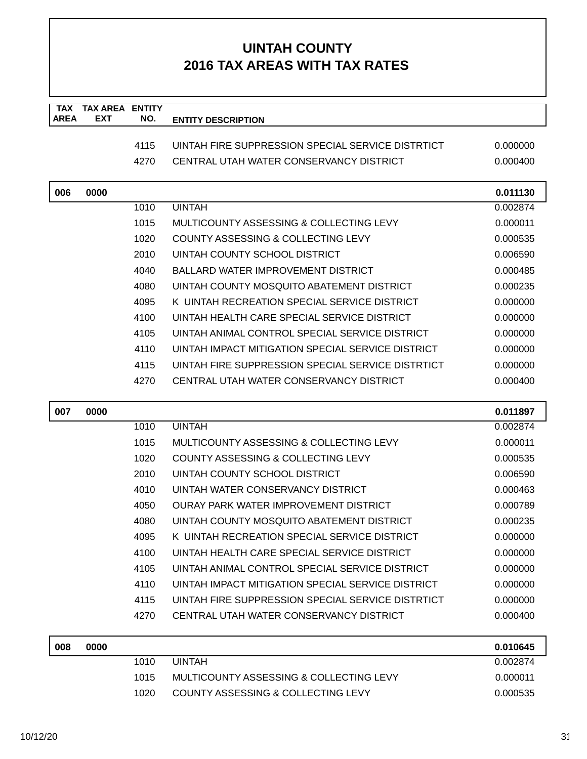| <b>TAX</b><br><b>AREA</b> | <b>TAX AREA ENTITY</b><br><b>EXT</b> | NO.  | <b>ENTITY DESCRIPTION</b>                         |          |
|---------------------------|--------------------------------------|------|---------------------------------------------------|----------|
|                           |                                      | 4115 | UINTAH FIRE SUPPRESSION SPECIAL SERVICE DISTRTICT | 0.000000 |
|                           |                                      | 4270 | CENTRAL UTAH WATER CONSERVANCY DISTRICT           | 0.000400 |
|                           |                                      |      |                                                   |          |
| 006                       | 0000                                 |      |                                                   | 0.011130 |
|                           |                                      | 1010 | <b>UINTAH</b>                                     | 0.002874 |
|                           |                                      | 1015 | MULTICOUNTY ASSESSING & COLLECTING LEVY           | 0.000011 |
|                           |                                      | 1020 | COUNTY ASSESSING & COLLECTING LEVY                | 0.000535 |
|                           |                                      | 2010 | UINTAH COUNTY SCHOOL DISTRICT                     | 0.006590 |
|                           |                                      | 4040 | <b>BALLARD WATER IMPROVEMENT DISTRICT</b>         | 0.000485 |
|                           |                                      | 4080 | UINTAH COUNTY MOSQUITO ABATEMENT DISTRICT         | 0.000235 |
|                           |                                      | 4095 | K UINTAH RECREATION SPECIAL SERVICE DISTRICT      | 0.000000 |
|                           |                                      | 4100 | UINTAH HEALTH CARE SPECIAL SERVICE DISTRICT       | 0.000000 |
|                           |                                      | 4105 | UINTAH ANIMAL CONTROL SPECIAL SERVICE DISTRICT    | 0.000000 |
|                           |                                      | 4110 | UINTAH IMPACT MITIGATION SPECIAL SERVICE DISTRICT | 0.000000 |
|                           |                                      | 4115 | UINTAH FIRE SUPPRESSION SPECIAL SERVICE DISTRTICT | 0.000000 |
|                           |                                      | 4270 | CENTRAL UTAH WATER CONSERVANCY DISTRICT           | 0.000400 |
| 007                       | 0000                                 |      |                                                   | 0.011897 |
|                           |                                      | 1010 | <b>UINTAH</b>                                     | 0.002874 |
|                           |                                      | 1015 | MULTICOUNTY ASSESSING & COLLECTING LEVY           | 0.000011 |
|                           |                                      | 1020 | COUNTY ASSESSING & COLLECTING LEVY                | 0.000535 |
|                           |                                      |      |                                                   |          |
|                           |                                      | 2010 | UINTAH COUNTY SCHOOL DISTRICT                     | 0.006590 |
|                           |                                      | 4010 | UINTAH WATER CONSERVANCY DISTRICT                 | 0.000463 |
|                           |                                      | 4050 | <b>OURAY PARK WATER IMPROVEMENT DISTRICT</b>      | 0.000789 |
|                           |                                      | 4080 | UINTAH COUNTY MOSQUITO ABATEMENT DISTRICT         | 0.000235 |
|                           |                                      | 4095 | K UINTAH RECREATION SPECIAL SERVICE DISTRICT      | 0.000000 |
|                           |                                      | 4100 | UINTAH HEALTH CARE SPECIAL SERVICE DISTRICT       | 0.000000 |
|                           |                                      | 4105 | UINTAH ANIMAL CONTROL SPECIAL SERVICE DISTRICT    | 0.000000 |
|                           |                                      | 4110 | UINTAH IMPACT MITIGATION SPECIAL SERVICE DISTRICT | 0.000000 |
|                           |                                      | 4115 | UINTAH FIRE SUPPRESSION SPECIAL SERVICE DISTRTICT | 0.000000 |
|                           |                                      | 4270 | CENTRAL UTAH WATER CONSERVANCY DISTRICT           | 0.000400 |
| 008                       | 0000                                 |      |                                                   | 0.010645 |
|                           |                                      | 1010 | <b>UINTAH</b>                                     | 0.002874 |
|                           |                                      | 1015 | MULTICOUNTY ASSESSING & COLLECTING LEVY           | 0.000011 |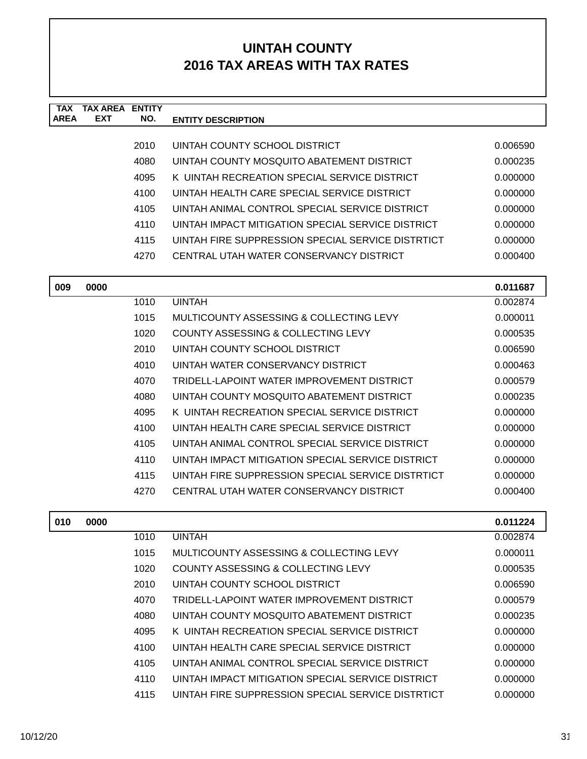| <b>TAX</b><br><b>AREA</b> | <b>TAX AREA</b><br><b>EXT</b> | <b>ENTITY</b><br>NO. | <b>ENTITY DESCRIPTION</b>                         |          |
|---------------------------|-------------------------------|----------------------|---------------------------------------------------|----------|
|                           |                               |                      |                                                   |          |
|                           |                               | 2010                 | UINTAH COUNTY SCHOOL DISTRICT                     | 0.006590 |
|                           |                               | 4080                 | UINTAH COUNTY MOSQUITO ABATEMENT DISTRICT         | 0.000235 |
|                           |                               | 4095                 | K UINTAH RECREATION SPECIAL SERVICE DISTRICT      | 0.000000 |
|                           |                               | 4100                 | UINTAH HEALTH CARE SPECIAL SERVICE DISTRICT       | 0.000000 |
|                           |                               | 4105                 | UINTAH ANIMAL CONTROL SPECIAL SERVICE DISTRICT    | 0.000000 |
|                           |                               | 4110                 | UINTAH IMPACT MITIGATION SPECIAL SERVICE DISTRICT | 0.000000 |
|                           |                               | 4115                 | UINTAH FIRE SUPPRESSION SPECIAL SERVICE DISTRTICT | 0.000000 |
|                           |                               | 4270                 | CENTRAL UTAH WATER CONSERVANCY DISTRICT           | 0.000400 |
| 009                       | 0000                          |                      |                                                   | 0.011687 |
|                           |                               | 1010                 | <b>UINTAH</b>                                     | 0.002874 |
|                           |                               | 1015                 | MULTICOUNTY ASSESSING & COLLECTING LEVY           | 0.000011 |
|                           |                               | 1020                 | COUNTY ASSESSING & COLLECTING LEVY                | 0.000535 |
|                           |                               | 2010                 | UINTAH COUNTY SCHOOL DISTRICT                     | 0.006590 |
|                           |                               | 4010                 | UINTAH WATER CONSERVANCY DISTRICT                 | 0.000463 |
|                           |                               | 4070                 | TRIDELL-LAPOINT WATER IMPROVEMENT DISTRICT        | 0.000579 |
|                           |                               | 4080                 | UINTAH COUNTY MOSQUITO ABATEMENT DISTRICT         | 0.000235 |
|                           |                               | 4095                 | K UINTAH RECREATION SPECIAL SERVICE DISTRICT      | 0.000000 |
|                           |                               | 4100                 | UINTAH HEALTH CARE SPECIAL SERVICE DISTRICT       | 0.000000 |
|                           |                               | 4105                 | UINTAH ANIMAL CONTROL SPECIAL SERVICE DISTRICT    | 0.000000 |
|                           |                               | 4110                 | UINTAH IMPACT MITIGATION SPECIAL SERVICE DISTRICT | 0.000000 |
|                           |                               | 4115                 | UINTAH FIRE SUPPRESSION SPECIAL SERVICE DISTRTICT | 0.000000 |
|                           |                               | 4270                 | CENTRAL UTAH WATER CONSERVANCY DISTRICT           | 0.000400 |
| 010                       | 0000                          |                      |                                                   | 0.011224 |
|                           |                               | 1010                 | <b>UINTAH</b>                                     | 0.002874 |
|                           |                               | 1015                 | MULTICOUNTY ASSESSING & COLLECTING LEVY           | 0.000011 |
|                           |                               | 1020                 | COUNTY ASSESSING & COLLECTING LEVY                | 0.000535 |
|                           |                               | 2010                 | UINTAH COUNTY SCHOOL DISTRICT                     | 0.006590 |
|                           |                               | 4070                 | TRIDELL-LAPOINT WATER IMPROVEMENT DISTRICT        | 0.000579 |
|                           |                               | 4080                 | UINTAH COUNTY MOSQUITO ABATEMENT DISTRICT         | 0.000235 |
|                           |                               | 4095                 | K UINTAH RECREATION SPECIAL SERVICE DISTRICT      | 0.000000 |
|                           |                               | 4100                 | UINTAH HEALTH CARE SPECIAL SERVICE DISTRICT       | 0.000000 |
|                           |                               | 4105                 | UINTAH ANIMAL CONTROL SPECIAL SERVICE DISTRICT    | 0.000000 |
|                           |                               | 4110                 | UINTAH IMPACT MITIGATION SPECIAL SERVICE DISTRICT | 0.000000 |
|                           |                               | 4115                 | UINTAH FIRE SUPPRESSION SPECIAL SERVICE DISTRTICT | 0.000000 |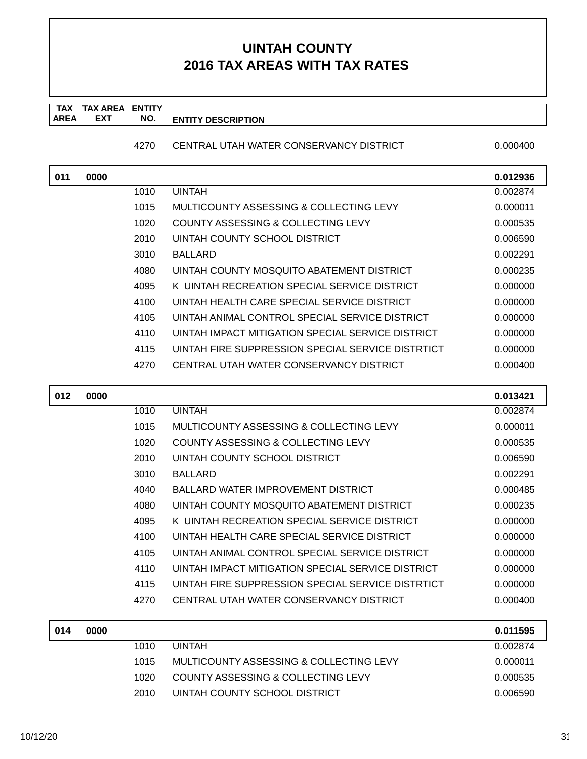#### **TAX TAX AREA ENTITY AREA ENTITY DESCRIPTION EXT NO.**

#### 4270 CENTRAL UTAH WATER CONSERVANCY DISTRICT 0.000400

| 011 | 0000 |      |                                                   | 0.012936 |
|-----|------|------|---------------------------------------------------|----------|
|     |      | 1010 | <b>UINTAH</b>                                     | 0.002874 |
|     |      | 1015 | MULTICOUNTY ASSESSING & COLLECTING LEVY           | 0.000011 |
|     |      | 1020 | COUNTY ASSESSING & COLLECTING LEVY                | 0.000535 |
|     |      | 2010 | UINTAH COUNTY SCHOOL DISTRICT                     | 0.006590 |
|     |      | 3010 | <b>BALLARD</b>                                    | 0.002291 |
|     |      | 4080 | UINTAH COUNTY MOSQUITO ABATEMENT DISTRICT         | 0.000235 |
|     |      | 4095 | K UINTAH RECREATION SPECIAL SERVICE DISTRICT      | 0.000000 |
|     |      | 4100 | UINTAH HEALTH CARE SPECIAL SERVICE DISTRICT       | 0.000000 |
|     |      | 4105 | UINTAH ANIMAL CONTROL SPECIAL SERVICE DISTRICT    | 0.000000 |
|     |      | 4110 | UINTAH IMPACT MITIGATION SPECIAL SERVICE DISTRICT | 0.000000 |
|     |      | 4115 | UINTAH FIRE SUPPRESSION SPECIAL SERVICE DISTRTICT | 0.000000 |
|     |      | 4270 | CENTRAL UTAH WATER CONSERVANCY DISTRICT           | 0.000400 |
|     |      |      |                                                   |          |

| 012 | 0000 |      |                                                   | 0.013421 |
|-----|------|------|---------------------------------------------------|----------|
|     |      | 1010 | <b>UINTAH</b>                                     | 0.002874 |
|     |      | 1015 | MULTICOUNTY ASSESSING & COLLECTING LEVY           | 0.000011 |
|     |      | 1020 | COUNTY ASSESSING & COLLECTING LEVY                | 0.000535 |
|     |      | 2010 | UINTAH COUNTY SCHOOL DISTRICT                     | 0.006590 |
|     |      | 3010 | <b>BALLARD</b>                                    | 0.002291 |
|     |      | 4040 | <b>BALLARD WATER IMPROVEMENT DISTRICT</b>         | 0.000485 |
|     |      | 4080 | UINTAH COUNTY MOSQUITO ABATEMENT DISTRICT         | 0.000235 |
|     |      | 4095 | K UINTAH RECREATION SPECIAL SERVICE DISTRICT      | 0.000000 |
|     |      | 4100 | UINTAH HEALTH CARE SPECIAL SERVICE DISTRICT       | 0.000000 |
|     |      | 4105 | UINTAH ANIMAL CONTROL SPECIAL SERVICE DISTRICT    | 0.000000 |
|     |      | 4110 | UINTAH IMPACT MITIGATION SPECIAL SERVICE DISTRICT | 0.000000 |
|     |      | 4115 | UINTAH FIRE SUPPRESSION SPECIAL SERVICE DISTRTICT | 0.000000 |
|     |      | 4270 | CENTRAL UTAH WATER CONSERVANCY DISTRICT           | 0.000400 |
|     |      |      |                                                   |          |
| 014 | 0000 |      |                                                   | 0.011595 |
|     |      | 1010 | <b><i>I IIN IT A I I</i></b>                      | 0.00071  |

| U 14 | uuuu |      |                                         | ບ.ບ ເ ເວນວ |
|------|------|------|-----------------------------------------|------------|
|      |      | 1010 | <b>UINTAH</b>                           | 0.002874   |
|      |      | 1015 | MULTICOUNTY ASSESSING & COLLECTING LEVY | 0.000011   |
|      |      | 1020 | COUNTY ASSESSING & COLLECTING LEVY      | 0.000535   |
|      |      | 2010 | UINTAH COUNTY SCHOOL DISTRICT           | 0.006590   |
|      |      |      |                                         |            |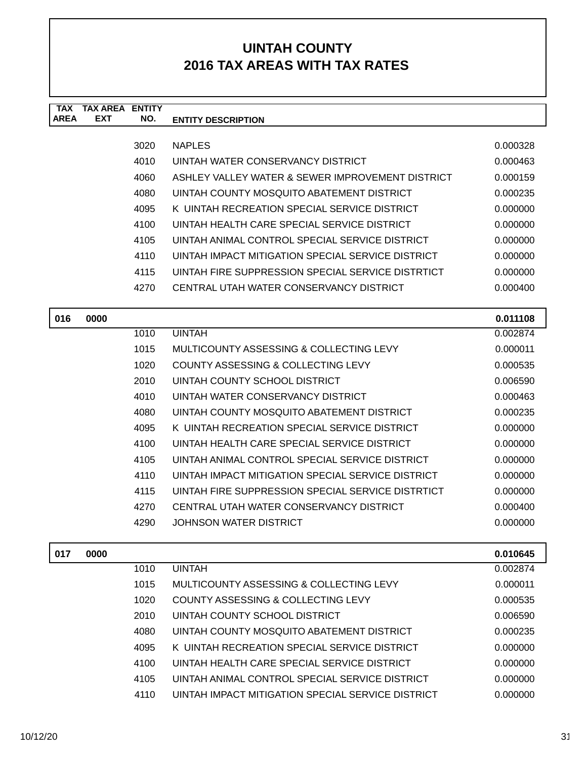| <b>AREA</b> | <b>EXT</b> | NO.  | <b>ENTITY DESCRIPTION</b>                         |          |
|-------------|------------|------|---------------------------------------------------|----------|
|             |            | 3020 | <b>NAPLES</b>                                     | 0.000328 |
|             |            | 4010 | UINTAH WATER CONSERVANCY DISTRICT                 | 0.000463 |
|             |            | 4060 | ASHLEY VALLEY WATER & SEWER IMPROVEMENT DISTRICT  | 0.000159 |
|             |            | 4080 | UINTAH COUNTY MOSQUITO ABATEMENT DISTRICT         | 0.000235 |
|             |            | 4095 | K UINTAH RECREATION SPECIAL SERVICE DISTRICT      | 0.000000 |
|             |            | 4100 | UINTAH HEALTH CARE SPECIAL SERVICE DISTRICT       | 0.000000 |
|             |            | 4105 | UINTAH ANIMAL CONTROL SPECIAL SERVICE DISTRICT    | 0.000000 |
|             |            | 4110 | UINTAH IMPACT MITIGATION SPECIAL SERVICE DISTRICT | 0.000000 |
|             |            | 4115 | UINTAH FIRE SUPPRESSION SPECIAL SERVICE DISTRTICT | 0.000000 |
|             |            | 4270 | CENTRAL UTAH WATER CONSERVANCY DISTRICT           | 0.000400 |
| 016         | 0000       |      |                                                   | 0.011108 |
|             |            | 1010 | <b>UINTAH</b>                                     | 0.002874 |
|             |            | 1015 | MULTICOUNTY ASSESSING & COLLECTING LEVY           | 0.000011 |
|             |            | 1020 | <b>COUNTY ASSESSING &amp; COLLECTING LEVY</b>     | 0.000535 |
|             |            | 2010 | UINTAH COUNTY SCHOOL DISTRICT                     | 0.006590 |
|             |            | 4010 | UINTAH WATER CONSERVANCY DISTRICT                 | 0.000463 |
|             |            | 4080 | UINTAH COUNTY MOSQUITO ABATEMENT DISTRICT         | 0.000235 |
|             |            | 4095 | K UINTAH RECREATION SPECIAL SERVICE DISTRICT      | 0.000000 |
|             |            | 4100 | UINTAH HEALTH CARE SPECIAL SERVICE DISTRICT       | 0.000000 |
|             |            | 4105 | UINTAH ANIMAL CONTROL SPECIAL SERVICE DISTRICT    | 0.000000 |
|             |            | 4110 | UINTAH IMPACT MITIGATION SPECIAL SERVICE DISTRICT | 0.000000 |
|             |            | 4115 | UINTAH FIRE SUPPRESSION SPECIAL SERVICE DISTRTICT | 0.000000 |
|             |            | 4270 | CENTRAL UTAH WATER CONSERVANCY DISTRICT           | 0.000400 |
|             |            | 4290 | <b>JOHNSON WATER DISTRICT</b>                     | 0.000000 |
| 017         | 0000       |      |                                                   | 0.010645 |
|             |            | 1010 | <b>UINTAH</b>                                     | 0.002874 |
|             |            | 1015 | MULTICOUNTY ASSESSING & COLLECTING LEVY           | 0.000011 |
|             |            | 1020 | COUNTY ASSESSING & COLLECTING LEVY                | 0.000535 |
|             |            | 2010 | UINTAH COUNTY SCHOOL DISTRICT                     | 0.006590 |
|             |            | 4080 | UINTAH COUNTY MOSQUITO ABATEMENT DISTRICT         | 0.000235 |
|             |            | 4095 | K UINTAH RECREATION SPECIAL SERVICE DISTRICT      | 0.000000 |
|             |            | 4100 | UINTAH HEALTH CARE SPECIAL SERVICE DISTRICT       | 0.000000 |
|             |            | 4105 | UINTAH ANIMAL CONTROL SPECIAL SERVICE DISTRICT    | 0.000000 |
|             |            | 4110 | UINTAH IMPACT MITIGATION SPECIAL SERVICE DISTRICT | 0.000000 |
|             |            |      |                                                   |          |

**TAX TAX AREA ENTITY**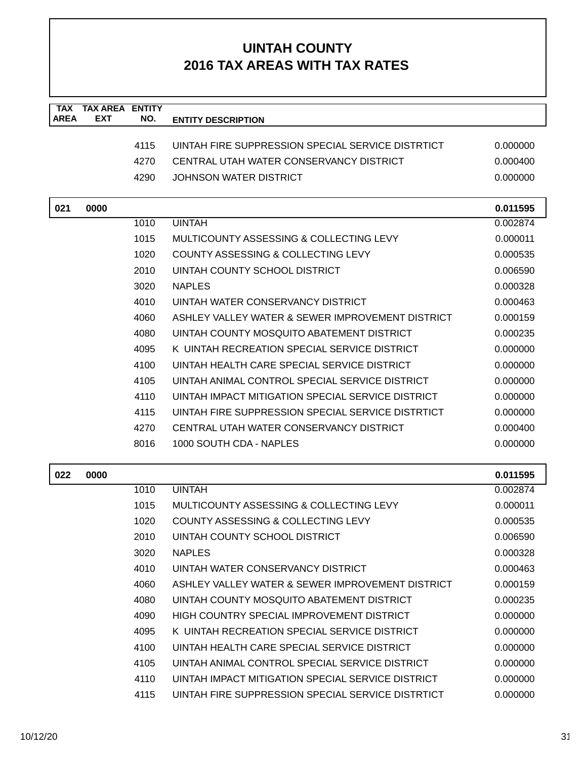| <b>TAX</b>  | <b>TAX AREA</b> | <b>ENTITY</b> |                                                   |          |
|-------------|-----------------|---------------|---------------------------------------------------|----------|
| <b>AREA</b> | <b>EXT</b>      | NO.           | <b>ENTITY DESCRIPTION</b>                         |          |
|             |                 | 4115          | UINTAH FIRE SUPPRESSION SPECIAL SERVICE DISTRTICT | 0.000000 |
|             |                 | 4270          | CENTRAL UTAH WATER CONSERVANCY DISTRICT           | 0.000400 |
|             |                 | 4290          | <b>JOHNSON WATER DISTRICT</b>                     | 0.000000 |
|             |                 |               |                                                   |          |
| 021         | 0000            |               |                                                   | 0.011595 |
|             |                 | 1010          | <b>UINTAH</b>                                     | 0.002874 |
|             |                 | 1015          | MULTICOUNTY ASSESSING & COLLECTING LEVY           | 0.000011 |
|             |                 | 1020          | COUNTY ASSESSING & COLLECTING LEVY                | 0.000535 |
|             |                 | 2010          | UINTAH COUNTY SCHOOL DISTRICT                     | 0.006590 |
|             |                 | 3020          | <b>NAPLES</b>                                     | 0.000328 |
|             |                 | 4010          | UINTAH WATER CONSERVANCY DISTRICT                 | 0.000463 |
|             |                 | 4060          | ASHLEY VALLEY WATER & SEWER IMPROVEMENT DISTRICT  | 0.000159 |
|             |                 | 4080          | UINTAH COUNTY MOSQUITO ABATEMENT DISTRICT         | 0.000235 |
|             |                 | 4095          | K UINTAH RECREATION SPECIAL SERVICE DISTRICT      | 0.000000 |
|             |                 | 4100          | UINTAH HEALTH CARE SPECIAL SERVICE DISTRICT       | 0.000000 |
|             |                 | 4105          | UINTAH ANIMAL CONTROL SPECIAL SERVICE DISTRICT    | 0.000000 |
|             |                 | 4110          | UINTAH IMPACT MITIGATION SPECIAL SERVICE DISTRICT | 0.000000 |
|             |                 | 4115          | UINTAH FIRE SUPPRESSION SPECIAL SERVICE DISTRTICT | 0.000000 |
|             |                 | 4270          | CENTRAL UTAH WATER CONSERVANCY DISTRICT           | 0.000400 |
|             |                 | 8016          | 1000 SOUTH CDA - NAPLES                           | 0.000000 |
|             |                 |               |                                                   |          |
| 022         | 0000            |               |                                                   | 0.011595 |
|             |                 | 1010          | <b>UINTAH</b>                                     | 0.002874 |
|             |                 | 1015          | MULTICOUNTY ASSESSING & COLLECTING LEVY           | 0.000011 |
|             |                 | 1020          | <b>COUNTY ASSESSING &amp; COLLECTING LEVY</b>     | 0.000535 |
|             |                 | 2010          | <b>UINTAH COUNTY SCHOOL DISTRICT</b>              | 0.006590 |
|             |                 | 3020          | <b>NAPLES</b>                                     | 0.000328 |
|             |                 | 4010          | UINTAH WATER CONSERVANCY DISTRICT                 | 0.000463 |
|             |                 | 4060          | ASHLEY VALLEY WATER & SEWER IMPROVEMENT DISTRICT  | 0.000159 |
|             |                 | 4080          | UINTAH COUNTY MOSQUITO ABATEMENT DISTRICT         | 0.000235 |
|             |                 | 4090          | HIGH COUNTRY SPECIAL IMPROVEMENT DISTRICT         | 0.000000 |
|             |                 | 4095          | K UINTAH RECREATION SPECIAL SERVICE DISTRICT      | 0.000000 |
|             |                 | 4100          | UINTAH HEALTH CARE SPECIAL SERVICE DISTRICT       | 0.000000 |
|             |                 | 4105          | UINTAH ANIMAL CONTROL SPECIAL SERVICE DISTRICT    | 0.000000 |
|             |                 | 4110          | UINTAH IMPACT MITIGATION SPECIAL SERVICE DISTRICT | 0.000000 |
|             |                 | 4115          | UINTAH FIRE SUPPRESSION SPECIAL SERVICE DISTRTICT | 0.000000 |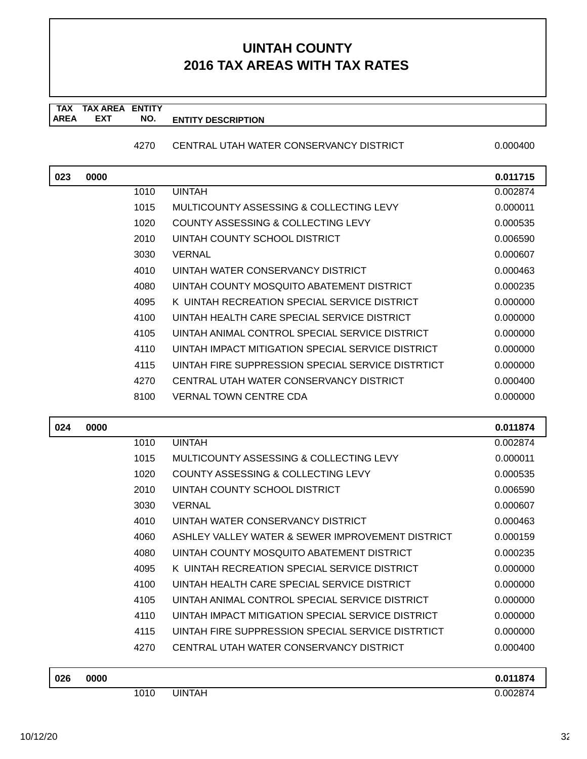#### **TAX TAX AREA ENTITY AREA ENTITY DESCRIPTION EXT NO.**

#### 4270 CENTRAL UTAH WATER CONSERVANCY DISTRICT 0.000400

| 023 | 0000 |      |                                                   | 0.011715 |
|-----|------|------|---------------------------------------------------|----------|
|     |      | 1010 | <b>UINTAH</b>                                     | 0.002874 |
|     |      | 1015 | MULTICOUNTY ASSESSING & COLLECTING LEVY           | 0.000011 |
|     |      | 1020 | <b>COUNTY ASSESSING &amp; COLLECTING LEVY</b>     | 0.000535 |
|     |      | 2010 | UINTAH COUNTY SCHOOL DISTRICT                     | 0.006590 |
|     |      | 3030 | <b>VERNAL</b>                                     | 0.000607 |
|     |      | 4010 | UINTAH WATER CONSERVANCY DISTRICT                 | 0.000463 |
|     |      | 4080 | UINTAH COUNTY MOSQUITO ABATEMENT DISTRICT         | 0.000235 |
|     |      | 4095 | K UINTAH RECREATION SPECIAL SERVICE DISTRICT      | 0.000000 |
|     |      | 4100 | UINTAH HEALTH CARE SPECIAL SERVICE DISTRICT       | 0.000000 |
|     |      | 4105 | UINTAH ANIMAL CONTROL SPECIAL SERVICE DISTRICT    | 0.000000 |
|     |      | 4110 | UINTAH IMPACT MITIGATION SPECIAL SERVICE DISTRICT | 0.000000 |
|     |      | 4115 | UINTAH FIRE SUPPRESSION SPECIAL SERVICE DISTRTICT | 0.000000 |
|     |      | 4270 | CENTRAL UTAH WATER CONSERVANCY DISTRICT           | 0.000400 |
|     |      | 8100 | <b>VERNAL TOWN CENTRE CDA</b>                     | 0.000000 |
|     |      |      |                                                   |          |
|     |      |      |                                                   |          |
| 024 | 0000 |      |                                                   | 0.011874 |
|     |      | 1010 | <b>UINTAH</b>                                     | 0.002874 |
|     |      | 1015 | MULTICOUNTY ASSESSING & COLLECTING LEVY           | 0.000011 |
|     |      | 1020 | COUNTY ASSESSING & COLLECTING LEVY                | 0.000535 |
|     |      | 2010 | UINTAH COUNTY SCHOOL DISTRICT                     | 0.006590 |
|     |      | 3030 | <b>VERNAL</b>                                     | 0.000607 |
|     |      | 4010 | UINTAH WATER CONSERVANCY DISTRICT                 | 0.000463 |
|     |      | 4060 | ASHLEY VALLEY WATER & SEWER IMPROVEMENT DISTRICT  | 0.000159 |
|     |      | 4080 | UINTAH COUNTY MOSQUITO ABATEMENT DISTRICT         | 0.000235 |
|     |      | 4095 | K UINTAH RECREATION SPECIAL SERVICE DISTRICT      | 0.000000 |
|     |      | 4100 | UINTAH HEALTH CARE SPECIAL SERVICE DISTRICT       | 0.000000 |
|     |      | 4105 | UINTAH ANIMAL CONTROL SPECIAL SERVICE DISTRICT    | 0.000000 |
|     |      | 4110 | UINTAH IMPACT MITIGATION SPECIAL SERVICE DISTRICT | 0.000000 |
|     |      | 4115 | UINTAH FIRE SUPPRESSION SPECIAL SERVICE DISTRTICT | 0.000000 |
|     |      | 4270 | CENTRAL UTAH WATER CONSERVANCY DISTRICT           | 0.000400 |

| 026 | 0000 |      |        | 0.011874 |
|-----|------|------|--------|----------|
|     |      | 1010 | JINTAH | 0.002874 |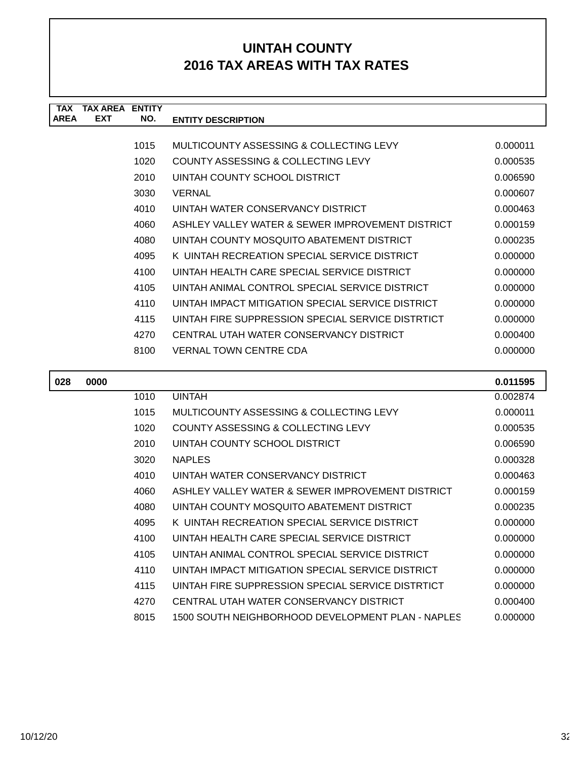| <b>TAX</b>  | <b>TAX AREA ENTITY</b> |      |                                                   |          |
|-------------|------------------------|------|---------------------------------------------------|----------|
| <b>AREA</b> | <b>EXT</b>             | NO.  | <b>ENTITY DESCRIPTION</b>                         |          |
|             |                        |      |                                                   |          |
|             |                        | 1015 | MULTICOUNTY ASSESSING & COLLECTING LEVY           | 0.000011 |
|             |                        | 1020 | COUNTY ASSESSING & COLLECTING LEVY                | 0.000535 |
|             |                        | 2010 | UINTAH COUNTY SCHOOL DISTRICT                     | 0.006590 |
|             |                        | 3030 | <b>VERNAL</b>                                     | 0.000607 |
|             |                        | 4010 | UINTAH WATER CONSERVANCY DISTRICT                 | 0.000463 |
|             |                        | 4060 | ASHLEY VALLEY WATER & SEWER IMPROVEMENT DISTRICT  | 0.000159 |
|             |                        | 4080 | UINTAH COUNTY MOSQUITO ABATEMENT DISTRICT         | 0.000235 |
|             |                        | 4095 | K UINTAH RECREATION SPECIAL SERVICE DISTRICT      | 0.000000 |
|             |                        | 4100 | UINTAH HEALTH CARE SPECIAL SERVICE DISTRICT       | 0.000000 |
|             |                        | 4105 | UINTAH ANIMAL CONTROL SPECIAL SERVICE DISTRICT    | 0.000000 |
|             |                        | 4110 | UINTAH IMPACT MITIGATION SPECIAL SERVICE DISTRICT | 0.000000 |
|             |                        | 4115 | UINTAH FIRE SUPPRESSION SPECIAL SERVICE DISTRTICT | 0.000000 |
|             |                        | 4270 | CENTRAL UTAH WATER CONSERVANCY DISTRICT           | 0.000400 |
|             |                        | 8100 | <b>VERNAL TOWN CENTRE CDA</b>                     | 0.000000 |
|             |                        |      |                                                   |          |
| 028         | 0000                   |      |                                                   | 0.011595 |
|             |                        | 1010 | <b>UINTAH</b>                                     | 0.002874 |
|             |                        | 1015 | MULTICOUNTY ASSESSING & COLLECTING LEVY           | 0.000011 |
|             |                        | 1020 | <b>COUNTY ASSESSING &amp; COLLECTING LEVY</b>     | 0.000535 |
|             |                        | 2010 | UINTAH COUNTY SCHOOL DISTRICT                     | 0.006590 |
|             |                        | 3020 | <b>NAPLES</b>                                     | 0.000328 |
|             |                        | 4010 | UINTAH WATER CONSERVANCY DISTRICT                 | 0.000463 |
|             |                        | 4060 | ASHLEY VALLEY WATER & SEWER IMPROVEMENT DISTRICT  | 0.000159 |
|             |                        | 4080 | UINTAH COUNTY MOSQUITO ABATEMENT DISTRICT         | 0.000235 |
|             |                        | 4095 | K UINTAH RECREATION SPECIAL SERVICE DISTRICT      | 0.000000 |
|             |                        |      |                                                   | 0.00000  |

| 4100 | UINTAH HEALTH CARE SPECIAL SERVICE DISTRICT       | 0.000000 |
|------|---------------------------------------------------|----------|
| 4105 | UINTAH ANIMAL CONTROL SPECIAL SERVICE DISTRICT    | 0.000000 |
| 4110 | UINTAH IMPACT MITIGATION SPECIAL SERVICE DISTRICT | 0.000000 |
| 4115 | UINTAH FIRE SUPPRESSION SPECIAL SERVICE DISTRTICT | 0.000000 |
| 4270 | CENTRAL UTAH WATER CONSERVANCY DISTRICT           | 0.000400 |
| 8015 | 1500 SOUTH NEIGHBORHOOD DEVELOPMENT PLAN - NAPLES | 0.000000 |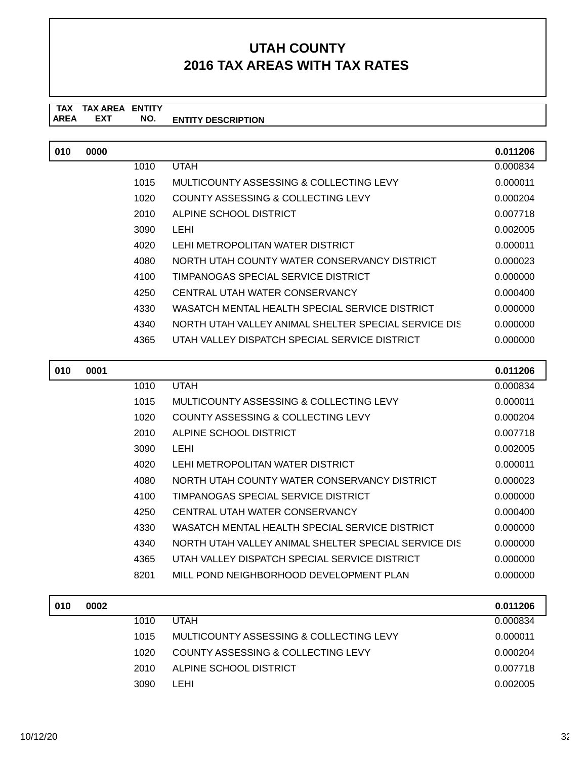#### **TAX TAX AREA ENTITY ENTITY DESCRIPTION EXT NO.**

| 010 | 0000 |      |                                                      | 0.011206 |
|-----|------|------|------------------------------------------------------|----------|
|     |      | 1010 | <b>UTAH</b>                                          | 0.000834 |
|     |      | 1015 | MULTICOUNTY ASSESSING & COLLECTING LEVY              | 0.000011 |
|     |      | 1020 | COUNTY ASSESSING & COLLECTING LEVY                   | 0.000204 |
|     |      | 2010 | ALPINE SCHOOL DISTRICT                               | 0.007718 |
|     |      | 3090 | LEHI                                                 | 0.002005 |
|     |      | 4020 | LEHI METROPOLITAN WATER DISTRICT                     | 0.000011 |
|     |      | 4080 | NORTH UTAH COUNTY WATER CONSERVANCY DISTRICT         | 0.000023 |
|     |      | 4100 | TIMPANOGAS SPECIAL SERVICE DISTRICT                  | 0.000000 |
|     |      | 4250 | CENTRAL UTAH WATER CONSERVANCY                       | 0.000400 |
|     |      | 4330 | WASATCH MENTAL HEALTH SPECIAL SERVICE DISTRICT       | 0.000000 |
|     |      | 4340 | NORTH UTAH VALLEY ANIMAL SHELTER SPECIAL SERVICE DIS | 0.000000 |
|     |      | 4365 | UTAH VALLEY DISPATCH SPECIAL SERVICE DISTRICT        | 0.000000 |

| 010 | 0001 |      |                                                      | 0.011206 |
|-----|------|------|------------------------------------------------------|----------|
|     |      | 1010 | <b>UTAH</b>                                          | 0.000834 |
|     |      | 1015 | MULTICOUNTY ASSESSING & COLLECTING LEVY              | 0.000011 |
|     |      | 1020 | COUNTY ASSESSING & COLLECTING LEVY                   | 0.000204 |
|     |      | 2010 | ALPINE SCHOOL DISTRICT                               | 0.007718 |
|     |      | 3090 | LEHI                                                 | 0.002005 |
|     |      | 4020 | LEHI METROPOLITAN WATER DISTRICT                     | 0.000011 |
|     |      | 4080 | NORTH UTAH COUNTY WATER CONSERVANCY DISTRICT         | 0.000023 |
|     |      | 4100 | TIMPANOGAS SPECIAL SERVICE DISTRICT                  | 0.000000 |
|     |      | 4250 | CENTRAL UTAH WATER CONSERVANCY                       | 0.000400 |
|     |      | 4330 | WASATCH MENTAL HEALTH SPECIAL SERVICE DISTRICT       | 0.000000 |
|     |      | 4340 | NORTH UTAH VALLEY ANIMAL SHELTER SPECIAL SERVICE DIS | 0.000000 |
|     |      | 4365 | UTAH VALLEY DISPATCH SPECIAL SERVICE DISTRICT        | 0.000000 |
|     |      | 8201 | MILL POND NEIGHBORHOOD DEVELOPMENT PLAN              | 0.000000 |
|     |      |      |                                                      |          |

| 010 | 0002 |       |                                         | 0.011206 |
|-----|------|-------|-----------------------------------------|----------|
|     |      | 1010  | <b>UTAH</b>                             | 0.000834 |
|     |      | 1015  | MULTICOUNTY ASSESSING & COLLECTING LEVY | 0.000011 |
|     |      | 1020  | COUNTY ASSESSING & COLLECTING LEVY      | 0.000204 |
|     |      | 2010. | ALPINE SCHOOL DISTRICT                  | 0.007718 |
|     |      | 3090  | LEHL                                    | 0.002005 |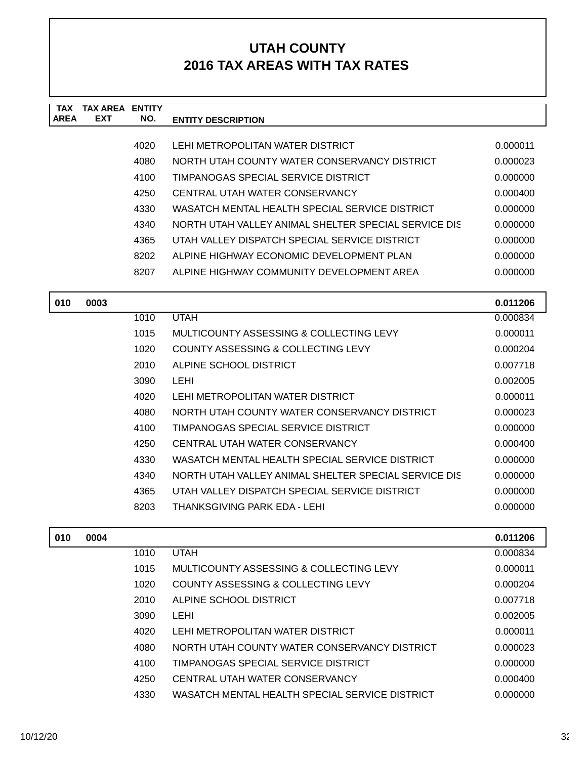| <b>TAX</b><br><b>AREA</b> | <b>TAX AREA</b><br><b>EXT</b> | <b>ENTITY</b><br>NO. | <b>ENTITY DESCRIPTION</b>                            |          |
|---------------------------|-------------------------------|----------------------|------------------------------------------------------|----------|
|                           |                               |                      |                                                      |          |
|                           |                               | 4020                 | LEHI METROPOLITAN WATER DISTRICT                     | 0.000011 |
|                           |                               | 4080                 | NORTH UTAH COUNTY WATER CONSERVANCY DISTRICT         | 0.000023 |
|                           |                               | 4100                 | <b>TIMPANOGAS SPECIAL SERVICE DISTRICT</b>           | 0.000000 |
|                           |                               | 4250                 | CENTRAL UTAH WATER CONSERVANCY                       | 0.000400 |
|                           |                               | 4330                 | WASATCH MENTAL HEALTH SPECIAL SERVICE DISTRICT       | 0.000000 |
|                           |                               | 4340                 | NORTH UTAH VALLEY ANIMAL SHELTER SPECIAL SERVICE DIS | 0.000000 |
|                           |                               | 4365                 | UTAH VALLEY DISPATCH SPECIAL SERVICE DISTRICT        | 0.000000 |
|                           |                               | 8202                 | ALPINE HIGHWAY ECONOMIC DEVELOPMENT PLAN             | 0.000000 |
|                           |                               | 8207                 | ALPINE HIGHWAY COMMUNITY DEVELOPMENT AREA            | 0.000000 |
| 010                       | 0003                          |                      |                                                      | 0.011206 |
|                           |                               | 1010                 | <b>UTAH</b>                                          | 0.000834 |
|                           |                               | 1015                 | MULTICOUNTY ASSESSING & COLLECTING LEVY              | 0.000011 |
|                           |                               | 1020                 | COUNTY ASSESSING & COLLECTING LEVY                   | 0.000204 |
|                           |                               | 2010                 | ALPINE SCHOOL DISTRICT                               | 0.007718 |
|                           |                               | 3090                 | LEHI                                                 | 0.002005 |
|                           |                               | 4020                 | LEHI METROPOLITAN WATER DISTRICT                     | 0.000011 |
|                           |                               | 4080                 | NORTH UTAH COUNTY WATER CONSERVANCY DISTRICT         | 0.000023 |
|                           |                               | 4100                 | TIMPANOGAS SPECIAL SERVICE DISTRICT                  | 0.000000 |
|                           |                               | 4250                 | CENTRAL UTAH WATER CONSERVANCY                       | 0.000400 |
|                           |                               | 4330                 | WASATCH MENTAL HEALTH SPECIAL SERVICE DISTRICT       | 0.000000 |
|                           |                               | 4340                 | NORTH UTAH VALLEY ANIMAL SHELTER SPECIAL SERVICE DIS | 0.000000 |
|                           |                               | 4365                 | UTAH VALLEY DISPATCH SPECIAL SERVICE DISTRICT        | 0.000000 |
|                           |                               | 8203                 | THANKSGIVING PARK EDA - LEHI                         | 0.000000 |
| 010                       | 0004                          |                      |                                                      | 0.011206 |
|                           |                               | 1010                 | <b>UTAH</b>                                          | 0.000834 |
|                           |                               | 1015                 | MULTICOUNTY ASSESSING & COLLECTING LEVY              | 0.000011 |
|                           |                               | 1020                 | COUNTY ASSESSING & COLLECTING LEVY                   | 0.000204 |
|                           |                               | 2010                 | ALPINE SCHOOL DISTRICT                               | 0.007718 |
|                           |                               | 3090                 | <b>LEHI</b>                                          | 0.002005 |
|                           |                               | 4020                 | LEHI METROPOLITAN WATER DISTRICT                     | 0.000011 |
|                           |                               | 4080                 | NORTH UTAH COUNTY WATER CONSERVANCY DISTRICT         | 0.000023 |
|                           |                               | 4100                 | TIMPANOGAS SPECIAL SERVICE DISTRICT                  | 0.000000 |
|                           |                               | 4250                 | CENTRAL UTAH WATER CONSERVANCY                       | 0.000400 |
|                           |                               | 4330                 | WASATCH MENTAL HEALTH SPECIAL SERVICE DISTRICT       | 0.000000 |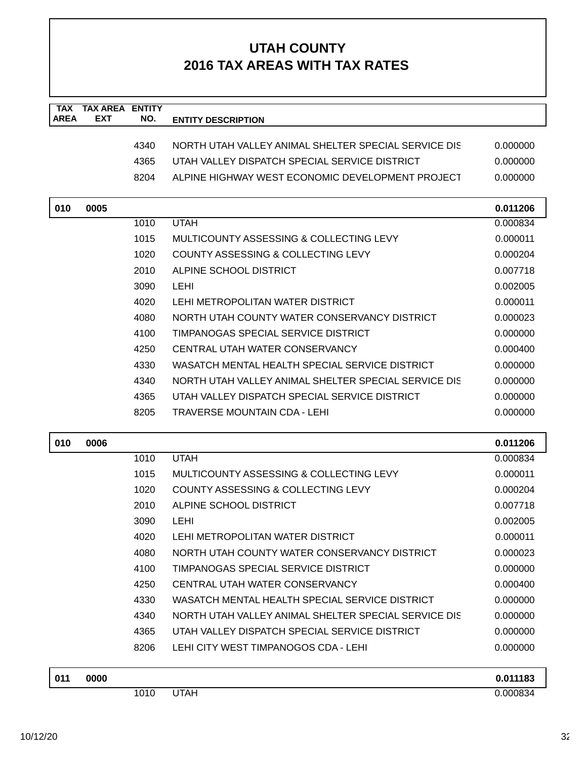| <b>TAX</b><br><b>AREA</b> | <b>TAX AREA</b><br><b>EXT</b> | <b>ENTITY</b><br>NO. | <b>ENTITY DESCRIPTION</b>                            |                      |
|---------------------------|-------------------------------|----------------------|------------------------------------------------------|----------------------|
|                           |                               |                      |                                                      |                      |
|                           |                               | 4340                 | NORTH UTAH VALLEY ANIMAL SHELTER SPECIAL SERVICE DIS | 0.000000             |
|                           |                               | 4365                 | UTAH VALLEY DISPATCH SPECIAL SERVICE DISTRICT        | 0.000000             |
|                           |                               | 8204                 | ALPINE HIGHWAY WEST ECONOMIC DEVELOPMENT PROJECT     | 0.000000             |
|                           |                               |                      |                                                      |                      |
| 010                       | 0005                          |                      |                                                      | 0.011206             |
|                           |                               | 1010                 | <b>UTAH</b>                                          | 0.000834             |
|                           |                               | 1015                 | MULTICOUNTY ASSESSING & COLLECTING LEVY              | 0.000011             |
|                           |                               | 1020                 | <b>COUNTY ASSESSING &amp; COLLECTING LEVY</b>        | 0.000204             |
|                           |                               | 2010                 | ALPINE SCHOOL DISTRICT                               | 0.007718             |
|                           |                               | 3090                 | <b>LEHI</b>                                          | 0.002005             |
|                           |                               | 4020                 | LEHI METROPOLITAN WATER DISTRICT                     | 0.000011             |
|                           |                               | 4080                 | NORTH UTAH COUNTY WATER CONSERVANCY DISTRICT         | 0.000023             |
|                           |                               | 4100                 | TIMPANOGAS SPECIAL SERVICE DISTRICT                  | 0.000000             |
|                           |                               | 4250                 | CENTRAL UTAH WATER CONSERVANCY                       | 0.000400             |
|                           |                               | 4330                 | WASATCH MENTAL HEALTH SPECIAL SERVICE DISTRICT       | 0.000000             |
|                           |                               | 4340                 | NORTH UTAH VALLEY ANIMAL SHELTER SPECIAL SERVICE DIS | 0.000000             |
|                           |                               | 4365                 | UTAH VALLEY DISPATCH SPECIAL SERVICE DISTRICT        | 0.000000             |
|                           |                               | 8205                 | TRAVERSE MOUNTAIN CDA - LEHI                         | 0.000000             |
|                           |                               |                      |                                                      |                      |
| 010                       | 0006                          |                      |                                                      | 0.011206             |
|                           |                               | 1010                 | <b>UTAH</b>                                          | 0.000834             |
|                           |                               | 1015                 | MULTICOUNTY ASSESSING & COLLECTING LEVY              | 0.000011             |
|                           |                               | 1020                 | COUNTY ASSESSING & COLLECTING LEVY                   | 0.000204             |
|                           |                               | 2010                 | ALPINE SCHOOL DISTRICT                               | 0.007718             |
|                           |                               | 3090                 | <b>LEHI</b>                                          | 0.002005             |
|                           |                               | 4020                 | LEHI METROPOLITAN WATER DISTRICT                     | 0.000011             |
|                           |                               | 4080                 | NORTH UTAH COUNTY WATER CONSERVANCY DISTRICT         | 0.000023             |
|                           |                               | 4100                 | TIMPANOGAS SPECIAL SERVICE DISTRICT                  | 0.000000             |
|                           |                               | 4250                 | CENTRAL UTAH WATER CONSERVANCY                       | 0.000400             |
|                           |                               | 4330                 | WASATCH MENTAL HEALTH SPECIAL SERVICE DISTRICT       | 0.000000             |
|                           |                               | 4340                 | NORTH UTAH VALLEY ANIMAL SHELTER SPECIAL SERVICE DIS | 0.000000             |
|                           |                               | 4365                 | UTAH VALLEY DISPATCH SPECIAL SERVICE DISTRICT        | 0.000000             |
|                           |                               | 8206                 | LEHI CITY WEST TIMPANOGOS CDA - LEHI                 | 0.000000             |
|                           |                               |                      |                                                      |                      |
| 011                       | 0000                          | 1010                 | <b>UTAH</b>                                          | 0.011183<br>0.000834 |
|                           |                               |                      |                                                      |                      |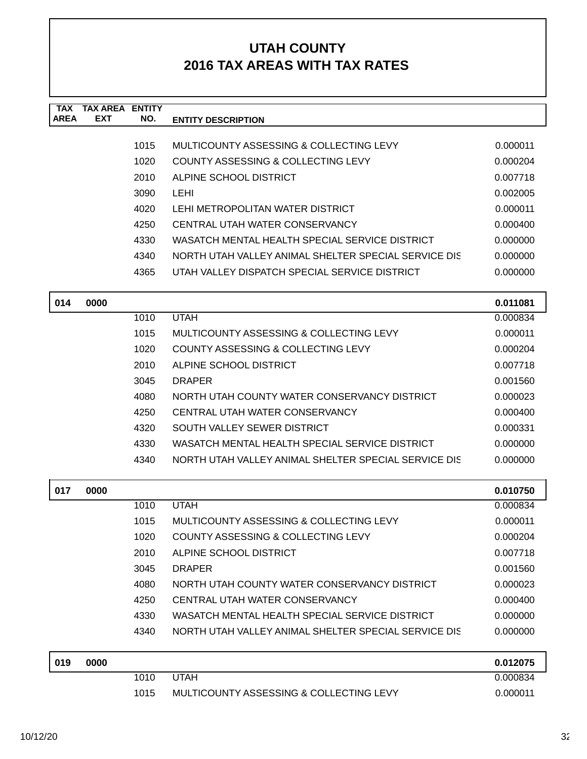| <b>TAX</b><br><b>AREA</b> | <b>TAX AREA ENTITY</b><br><b>EXT</b> | NO.  | <b>ENTITY DESCRIPTION</b>                            |          |
|---------------------------|--------------------------------------|------|------------------------------------------------------|----------|
|                           |                                      |      |                                                      |          |
|                           |                                      | 1015 | MULTICOUNTY ASSESSING & COLLECTING LEVY              | 0.000011 |
|                           |                                      | 1020 | <b>COUNTY ASSESSING &amp; COLLECTING LEVY</b>        | 0.000204 |
|                           |                                      | 2010 | ALPINE SCHOOL DISTRICT                               | 0.007718 |
|                           |                                      | 3090 | <b>LEHI</b>                                          | 0.002005 |
|                           |                                      | 4020 | LEHI METROPOLITAN WATER DISTRICT                     | 0.000011 |
|                           |                                      | 4250 | CENTRAL UTAH WATER CONSERVANCY                       | 0.000400 |
|                           |                                      | 4330 | WASATCH MENTAL HEALTH SPECIAL SERVICE DISTRICT       | 0.000000 |
|                           |                                      | 4340 | NORTH UTAH VALLEY ANIMAL SHELTER SPECIAL SERVICE DIS | 0.000000 |
|                           |                                      | 4365 | UTAH VALLEY DISPATCH SPECIAL SERVICE DISTRICT        | 0.000000 |
| 014                       | 0000                                 |      |                                                      | 0.011081 |
|                           |                                      | 1010 | <b>UTAH</b>                                          | 0.000834 |
|                           |                                      | 1015 | MULTICOUNTY ASSESSING & COLLECTING LEVY              | 0.000011 |
|                           |                                      | 1020 | COUNTY ASSESSING & COLLECTING LEVY                   | 0.000204 |
|                           |                                      | 2010 | ALPINE SCHOOL DISTRICT                               | 0.007718 |
|                           |                                      | 3045 | <b>DRAPER</b>                                        | 0.001560 |
|                           |                                      | 4080 | NORTH UTAH COUNTY WATER CONSERVANCY DISTRICT         | 0.000023 |
|                           |                                      | 4250 | CENTRAL UTAH WATER CONSERVANCY                       | 0.000400 |
|                           |                                      | 4320 | SOUTH VALLEY SEWER DISTRICT                          | 0.000331 |
|                           |                                      | 4330 | WASATCH MENTAL HEALTH SPECIAL SERVICE DISTRICT       | 0.000000 |
|                           |                                      | 4340 | NORTH UTAH VALLEY ANIMAL SHELTER SPECIAL SERVICE DIS | 0.000000 |
| 017                       | 0000                                 |      |                                                      | 0.010750 |
|                           |                                      | 1010 | <b>UTAH</b>                                          | 0.000834 |
|                           |                                      | 1015 | MULTICOUNTY ASSESSING & COLLECTING LEVY              | 0.000011 |
|                           |                                      | 1020 | COUNTY ASSESSING & COLLECTING LEVY                   | 0.000204 |
|                           |                                      | 2010 | ALPINE SCHOOL DISTRICT                               | 0.007718 |
|                           |                                      | 3045 | <b>DRAPER</b>                                        | 0.001560 |
|                           |                                      | 4080 | NORTH UTAH COUNTY WATER CONSERVANCY DISTRICT         | 0.000023 |
|                           |                                      | 4250 | CENTRAL UTAH WATER CONSERVANCY                       | 0.000400 |
|                           |                                      | 4330 | WASATCH MENTAL HEALTH SPECIAL SERVICE DISTRICT       | 0.000000 |
|                           |                                      | 4340 | NORTH UTAH VALLEY ANIMAL SHELTER SPECIAL SERVICE DIS | 0.000000 |
| 019                       | 0000                                 |      |                                                      | 0.012075 |
|                           |                                      | 1010 | <b>UTAH</b>                                          | 0.000834 |
|                           |                                      | 1015 | MULTICOUNTY ASSESSING & COLLECTING LEVY              | 0.000011 |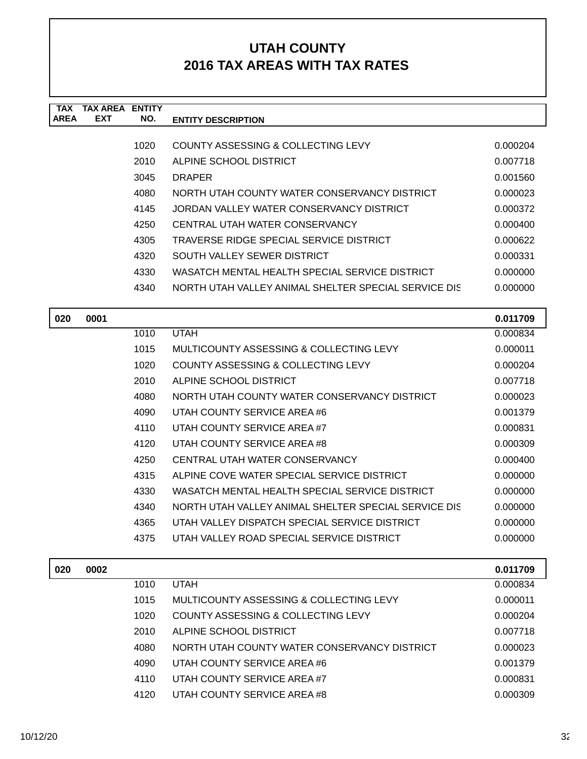| TAX         | TAX AREA   | <b>ENTITY</b> |                                                      |          |
|-------------|------------|---------------|------------------------------------------------------|----------|
| <b>AREA</b> | <b>EXT</b> | NO.           | <b>ENTITY DESCRIPTION</b>                            |          |
|             |            |               |                                                      |          |
|             |            | 1020          | COUNTY ASSESSING & COLLECTING LEVY                   | 0.000204 |
|             |            | 2010          | ALPINE SCHOOL DISTRICT                               | 0.007718 |
|             |            | 3045          | <b>DRAPER</b>                                        | 0.001560 |
|             |            | 4080          | NORTH UTAH COUNTY WATER CONSERVANCY DISTRICT         | 0.000023 |
|             |            | 4145          | JORDAN VALLEY WATER CONSERVANCY DISTRICT             | 0.000372 |
|             |            | 4250          | CENTRAL UTAH WATER CONSERVANCY                       | 0.000400 |
|             |            | 4305          | TRAVERSE RIDGE SPECIAL SERVICE DISTRICT              | 0.000622 |
|             |            | 4320          | SOUTH VALLEY SEWER DISTRICT                          | 0.000331 |
|             |            | 4330          | WASATCH MENTAL HEALTH SPECIAL SERVICE DISTRICT       | 0.000000 |
|             |            | 4340          | NORTH UTAH VALLEY ANIMAL SHELTER SPECIAL SERVICE DIS | 0.000000 |
|             |            |               |                                                      |          |

| 020 | 0001 |      |                                                      | 0.011709 |
|-----|------|------|------------------------------------------------------|----------|
|     |      | 1010 | <b>UTAH</b>                                          | 0.000834 |
|     |      | 1015 | MULTICOUNTY ASSESSING & COLLECTING LEVY              | 0.000011 |
|     |      | 1020 | COUNTY ASSESSING & COLLECTING LEVY                   | 0.000204 |
|     |      | 2010 | ALPINE SCHOOL DISTRICT                               | 0.007718 |
|     |      | 4080 | NORTH UTAH COUNTY WATER CONSERVANCY DISTRICT         | 0.000023 |
|     |      | 4090 | UTAH COUNTY SERVICE AREA #6                          | 0.001379 |
|     |      | 4110 | UTAH COUNTY SERVICE AREA #7                          | 0.000831 |
|     |      | 4120 | UTAH COUNTY SERVICE AREA #8                          | 0.000309 |
|     |      | 4250 | CENTRAL UTAH WATER CONSERVANCY                       | 0.000400 |
|     |      | 4315 | ALPINE COVE WATER SPECIAL SERVICE DISTRICT           | 0.000000 |
|     |      | 4330 | WASATCH MENTAL HEALTH SPECIAL SERVICE DISTRICT       | 0.000000 |
|     |      | 4340 | NORTH UTAH VALLEY ANIMAL SHELTER SPECIAL SERVICE DIS | 0.000000 |
|     |      | 4365 | UTAH VALLEY DISPATCH SPECIAL SERVICE DISTRICT        | 0.000000 |
|     |      | 4375 | UTAH VALLEY ROAD SPECIAL SERVICE DISTRICT            | 0.000000 |
|     |      |      |                                                      |          |

| 020 | 0002 |      |                                              | 0.011709 |
|-----|------|------|----------------------------------------------|----------|
|     |      | 1010 | <b>UTAH</b>                                  | 0.000834 |
|     |      | 1015 | MULTICOUNTY ASSESSING & COLLECTING LEVY      | 0.000011 |
|     |      | 1020 | COUNTY ASSESSING & COLLECTING LEVY           | 0.000204 |
|     |      | 2010 | ALPINE SCHOOL DISTRICT                       | 0.007718 |
|     |      | 4080 | NORTH UTAH COUNTY WATER CONSERVANCY DISTRICT | 0.000023 |
|     |      | 4090 | UTAH COUNTY SERVICE AREA #6                  | 0.001379 |
|     |      | 4110 | UTAH COUNTY SERVICE AREA #7                  | 0.000831 |
|     |      | 4120 | UTAH COUNTY SERVICE AREA #8                  | 0.000309 |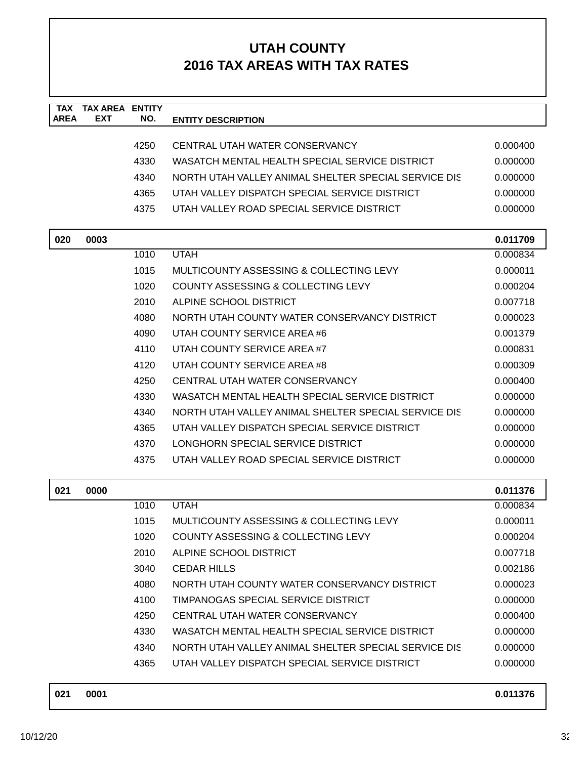| <b>TAX</b><br><b>AREA</b> | <b>TAX AREA</b><br><b>EXT</b> | <b>ENTITY</b><br>NO. |                                                      |          |
|---------------------------|-------------------------------|----------------------|------------------------------------------------------|----------|
|                           |                               |                      | <b>ENTITY DESCRIPTION</b>                            |          |
|                           |                               | 4250                 | CENTRAL UTAH WATER CONSERVANCY                       | 0.000400 |
|                           |                               | 4330                 | WASATCH MENTAL HEALTH SPECIAL SERVICE DISTRICT       | 0.000000 |
|                           |                               | 4340                 | NORTH UTAH VALLEY ANIMAL SHELTER SPECIAL SERVICE DIS | 0.000000 |
|                           |                               | 4365                 | UTAH VALLEY DISPATCH SPECIAL SERVICE DISTRICT        | 0.000000 |
|                           |                               | 4375                 | UTAH VALLEY ROAD SPECIAL SERVICE DISTRICT            | 0.000000 |
|                           |                               |                      |                                                      |          |
| 020                       | 0003                          |                      |                                                      | 0.011709 |
|                           |                               | 1010                 | <b>UTAH</b>                                          | 0.000834 |
|                           |                               | 1015                 | MULTICOUNTY ASSESSING & COLLECTING LEVY              | 0.000011 |
|                           |                               | 1020                 | COUNTY ASSESSING & COLLECTING LEVY                   | 0.000204 |
|                           |                               | 2010                 | ALPINE SCHOOL DISTRICT                               | 0.007718 |
|                           |                               | 4080                 | NORTH UTAH COUNTY WATER CONSERVANCY DISTRICT         | 0.000023 |
|                           |                               | 4090                 | UTAH COUNTY SERVICE AREA #6                          | 0.001379 |
|                           |                               | 4110                 | UTAH COUNTY SERVICE AREA #7                          | 0.000831 |
|                           |                               | 4120                 | UTAH COUNTY SERVICE AREA #8                          | 0.000309 |
|                           |                               | 4250                 | CENTRAL UTAH WATER CONSERVANCY                       | 0.000400 |
|                           |                               | 4330                 | WASATCH MENTAL HEALTH SPECIAL SERVICE DISTRICT       | 0.000000 |
|                           |                               | 4340                 | NORTH UTAH VALLEY ANIMAL SHELTER SPECIAL SERVICE DIS | 0.000000 |
|                           |                               | 4365                 | UTAH VALLEY DISPATCH SPECIAL SERVICE DISTRICT        | 0.000000 |
|                           |                               | 4370                 | LONGHORN SPECIAL SERVICE DISTRICT                    | 0.000000 |
|                           |                               | 4375                 | UTAH VALLEY ROAD SPECIAL SERVICE DISTRICT            | 0.000000 |
|                           |                               |                      |                                                      |          |
| 021                       | 0000                          |                      |                                                      | 0.011376 |
|                           |                               | 1010                 | <b>UTAH</b>                                          | 0.000834 |
|                           |                               | 1015                 | MULTICOUNTY ASSESSING & COLLECTING LEVY              | 0.000011 |
|                           |                               | 1020                 | COUNTY ASSESSING & COLLECTING LEVY                   | 0.000204 |
|                           |                               | 2010                 | ALPINE SCHOOL DISTRICT                               | 0.007718 |
|                           |                               | 3040                 | <b>CEDAR HILLS</b>                                   | 0.002186 |
|                           |                               | 4080                 | NORTH UTAH COUNTY WATER CONSERVANCY DISTRICT         | 0.000023 |
|                           |                               | 4100                 | TIMPANOGAS SPECIAL SERVICE DISTRICT                  | 0.000000 |
|                           |                               | 4250                 | CENTRAL UTAH WATER CONSERVANCY                       | 0.000400 |
|                           |                               | 4330                 | WASATCH MENTAL HEALTH SPECIAL SERVICE DISTRICT       | 0.000000 |
|                           |                               | 4340                 | NORTH UTAH VALLEY ANIMAL SHELTER SPECIAL SERVICE DIS | 0.000000 |
|                           |                               | 4365                 | UTAH VALLEY DISPATCH SPECIAL SERVICE DISTRICT        | 0.000000 |
|                           |                               |                      |                                                      |          |

| 021 | 0001 | 0.011376 |  |
|-----|------|----------|--|
|     |      |          |  |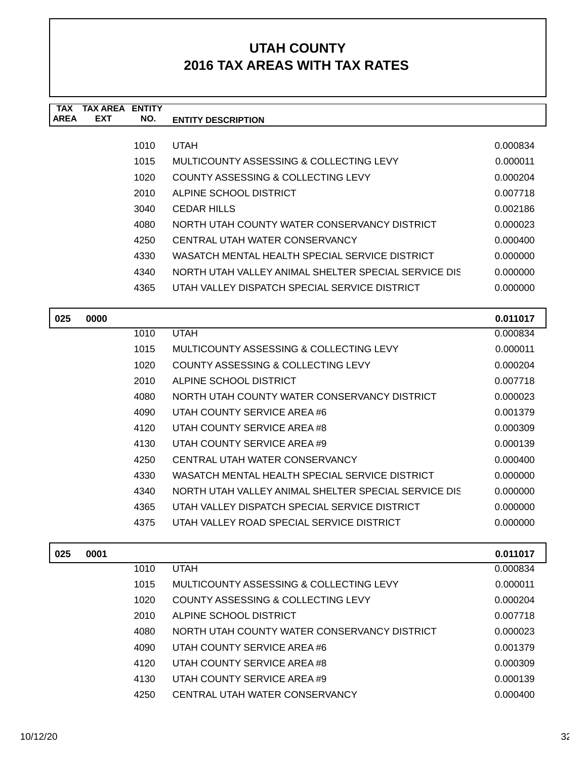| <b>TAX</b><br><b>AREA</b> | TAX ARFA<br><b>EXT</b> | <b>ENTITY</b><br>NO. | <b>ENTITY DESCRIPTION</b>                            |          |
|---------------------------|------------------------|----------------------|------------------------------------------------------|----------|
|                           |                        |                      |                                                      |          |
|                           |                        | 1010                 | <b>UTAH</b>                                          | 0.000834 |
|                           |                        | 1015                 | MULTICOUNTY ASSESSING & COLLECTING LEVY              | 0.000011 |
|                           |                        | 1020                 | COUNTY ASSESSING & COLLECTING LEVY                   | 0.000204 |
|                           |                        | 2010                 | ALPINE SCHOOL DISTRICT                               | 0.007718 |
|                           |                        | 3040                 | <b>CEDAR HILLS</b>                                   | 0.002186 |
|                           |                        | 4080                 | NORTH UTAH COUNTY WATER CONSERVANCY DISTRICT         | 0.000023 |
|                           |                        | 4250                 | CENTRAL UTAH WATER CONSERVANCY                       | 0.000400 |
|                           |                        | 4330                 | WASATCH MENTAL HEALTH SPECIAL SERVICE DISTRICT       | 0.000000 |
|                           |                        | 4340                 | NORTH UTAH VALLEY ANIMAL SHELTER SPECIAL SERVICE DIS | 0.000000 |
|                           |                        | 4365                 | UTAH VALLEY DISPATCH SPECIAL SERVICE DISTRICT        | 0.000000 |
|                           |                        |                      |                                                      |          |
| 025                       | 0000                   |                      |                                                      | 0.011017 |
|                           |                        | 1010                 | <b>UTAH</b>                                          | 0.000834 |
|                           |                        | 1015                 | MULTICOUNTY ASSESSING & COLLECTING LEVY              | 0.000011 |
|                           |                        | 1020                 | COUNTY ASSESSING & COLLECTING LEVY                   | 0.000204 |
|                           |                        | 2010                 | ALPINE SCHOOL DISTRICT                               | 0.007718 |
|                           |                        | 4080                 | NORTH UTAH COUNTY WATER CONSERVANCY DISTRICT         | 0.000023 |
|                           |                        | ⊿∩വി                 | LITAH COLINITY SERVICE AREA #6                       | N 001370 |

| 40ou | <u>NURTH UTAH GOUNTT WATER GONSERVANG FIJISTRIGT</u> | u.uuuuzo |
|------|------------------------------------------------------|----------|
| 4090 | UTAH COUNTY SERVICE AREA #6                          | 0.001379 |
| 4120 | UTAH COUNTY SERVICE AREA #8                          | 0.000309 |
| 4130 | UTAH COUNTY SERVICE AREA #9                          | 0.000139 |
| 4250 | CENTRAL UTAH WATER CONSERVANCY                       | 0.000400 |
| 4330 | WASATCH MENTAL HEALTH SPECIAL SERVICE DISTRICT       | 0.000000 |
| 4340 | NORTH UTAH VALLEY ANIMAL SHELTER SPECIAL SERVICE DIS | 0.000000 |
| 4365 | UTAH VALLEY DISPATCH SPECIAL SERVICE DISTRICT        | 0.000000 |
| 4375 | UTAH VALLEY ROAD SPECIAL SERVICE DISTRICT            | 0.000000 |
|      |                                                      |          |

| 025 | 0001 |      |                                              | 0.011017 |
|-----|------|------|----------------------------------------------|----------|
|     |      | 1010 | <b>UTAH</b>                                  | 0.000834 |
|     |      | 1015 | MULTICOUNTY ASSESSING & COLLECTING LEVY      | 0.000011 |
|     |      | 1020 | COUNTY ASSESSING & COLLECTING LEVY           | 0.000204 |
|     |      | 2010 | ALPINE SCHOOL DISTRICT                       | 0.007718 |
|     |      | 4080 | NORTH UTAH COUNTY WATER CONSERVANCY DISTRICT | 0.000023 |
|     |      | 4090 | UTAH COUNTY SERVICE AREA #6                  | 0.001379 |
|     |      | 4120 | UTAH COUNTY SERVICE AREA #8                  | 0.000309 |
|     |      | 4130 | UTAH COUNTY SERVICE AREA #9                  | 0.000139 |
|     |      | 4250 | CENTRAL UTAH WATER CONSERVANCY               | 0.000400 |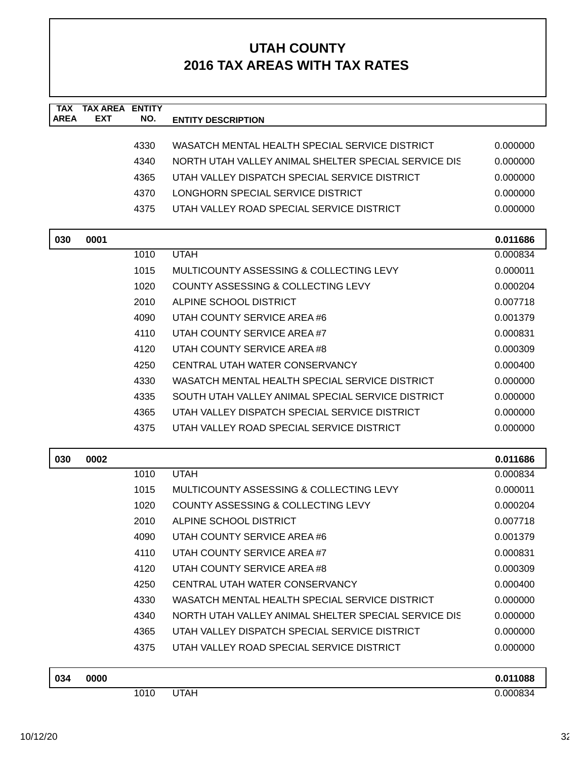| <b>TAX</b><br><b>AREA</b> | <b>TAX AREA ENTITY</b><br><b>EXT</b> | NO.  | <b>ENTITY DESCRIPTION</b>                            |          |
|---------------------------|--------------------------------------|------|------------------------------------------------------|----------|
|                           |                                      |      |                                                      |          |
|                           |                                      | 4330 | WASATCH MENTAL HEALTH SPECIAL SERVICE DISTRICT       | 0.000000 |
|                           |                                      | 4340 | NORTH UTAH VALLEY ANIMAL SHELTER SPECIAL SERVICE DIS | 0.000000 |
|                           |                                      | 4365 | UTAH VALLEY DISPATCH SPECIAL SERVICE DISTRICT        | 0.000000 |
|                           |                                      | 4370 | LONGHORN SPECIAL SERVICE DISTRICT                    | 0.000000 |
|                           |                                      | 4375 | UTAH VALLEY ROAD SPECIAL SERVICE DISTRICT            | 0.000000 |
| 030                       | 0001                                 |      |                                                      | 0.011686 |
|                           |                                      | 1010 | <b>UTAH</b>                                          | 0.000834 |
|                           |                                      | 1015 | MULTICOUNTY ASSESSING & COLLECTING LEVY              | 0.000011 |
|                           |                                      | 1020 | COUNTY ASSESSING & COLLECTING LEVY                   | 0.000204 |
|                           |                                      | 2010 | ALPINE SCHOOL DISTRICT                               | 0.007718 |
|                           |                                      | 4090 | UTAH COUNTY SERVICE AREA #6                          | 0.001379 |
|                           |                                      | 4110 | UTAH COUNTY SERVICE AREA#7                           | 0.000831 |
|                           |                                      | 4120 | UTAH COUNTY SERVICE AREA #8                          | 0.000309 |
|                           |                                      | 4250 | CENTRAL UTAH WATER CONSERVANCY                       | 0.000400 |
|                           |                                      | 4330 | WASATCH MENTAL HEALTH SPECIAL SERVICE DISTRICT       | 0.000000 |
|                           |                                      | 4335 | SOUTH UTAH VALLEY ANIMAL SPECIAL SERVICE DISTRICT    | 0.000000 |
|                           |                                      | 4365 | UTAH VALLEY DISPATCH SPECIAL SERVICE DISTRICT        | 0.000000 |
|                           |                                      | 4375 | UTAH VALLEY ROAD SPECIAL SERVICE DISTRICT            | 0.000000 |
| 030                       | 0002                                 |      |                                                      | 0.011686 |
|                           |                                      | 1010 | <b>UTAH</b>                                          | 0.000834 |
|                           |                                      | 1015 | MULTICOUNTY ASSESSING & COLLECTING LEVY              | 0.000011 |
|                           |                                      | 1020 | <b>COUNTY ASSESSING &amp; COLLECTING LEVY</b>        | 0.000204 |
|                           |                                      | 2010 | ALPINE SCHOOL DISTRICT                               | 0.007718 |
|                           |                                      | 4090 | UTAH COUNTY SERVICE AREA #6                          | 0.001379 |
|                           |                                      | 4110 | UTAH COUNTY SERVICE AREA#7                           | 0.000831 |
|                           |                                      | 4120 | UTAH COUNTY SERVICE AREA #8                          | 0.000309 |
|                           |                                      | 4250 | CENTRAL UTAH WATER CONSERVANCY                       | 0.000400 |
|                           |                                      | 4330 | WASATCH MENTAL HEALTH SPECIAL SERVICE DISTRICT       | 0.000000 |
|                           |                                      | 4340 | NORTH UTAH VALLEY ANIMAL SHELTER SPECIAL SERVICE DIS | 0.000000 |
|                           |                                      | 4365 | UTAH VALLEY DISPATCH SPECIAL SERVICE DISTRICT        | 0.000000 |
|                           |                                      | 4375 | UTAH VALLEY ROAD SPECIAL SERVICE DISTRICT            | 0.000000 |
| 034                       | 0000                                 |      |                                                      | 0.011088 |
|                           |                                      | 1010 | <b>UTAH</b>                                          | 0.000834 |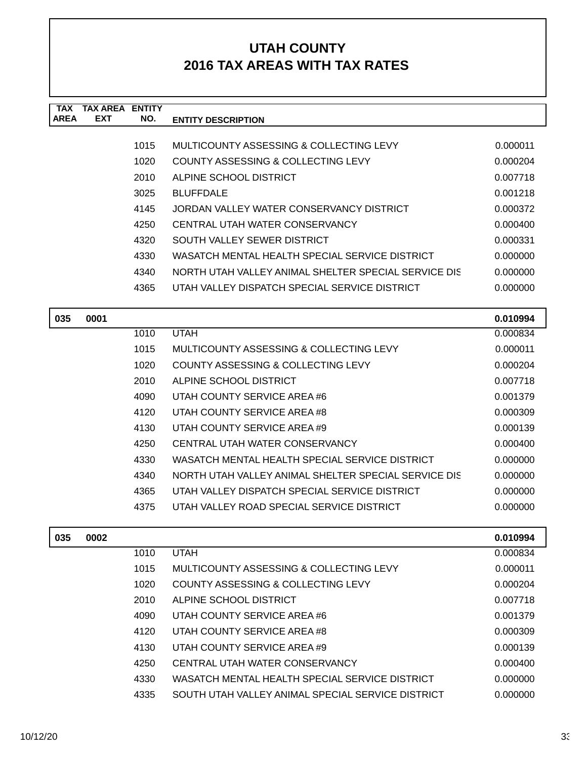| TAX         | <b>TAX AREA</b> | <b>FNTITY</b> |                                                      |          |
|-------------|-----------------|---------------|------------------------------------------------------|----------|
| <b>AREA</b> | <b>EXT</b>      | NO.           | <b>ENTITY DESCRIPTION</b>                            |          |
|             |                 |               |                                                      |          |
|             |                 | 1015          | MULTICOUNTY ASSESSING & COLLECTING LEVY              | 0.000011 |
|             |                 | 1020          | COUNTY ASSESSING & COLLECTING LEVY                   | 0.000204 |
|             |                 | 2010          | ALPINE SCHOOL DISTRICT                               | 0.007718 |
|             |                 | 3025          | <b>BLUFFDALE</b>                                     | 0.001218 |
|             |                 | 4145          | JORDAN VALLEY WATER CONSERVANCY DISTRICT             | 0.000372 |
|             |                 | 4250          | CENTRAL UTAH WATER CONSERVANCY                       | 0.000400 |
|             |                 | 4320          | SOUTH VALLEY SEWER DISTRICT                          | 0.000331 |
|             |                 | 4330          | WASATCH MENTAL HEALTH SPECIAL SERVICE DISTRICT       | 0.000000 |
|             |                 | 4340          | NORTH UTAH VALLEY ANIMAL SHELTER SPECIAL SERVICE DIS | 0.000000 |
|             |                 | 4365          | UTAH VALLEY DISPATCH SPECIAL SERVICE DISTRICT        | 0.000000 |
|             |                 |               |                                                      |          |

| 035 | 0001 |      |                                                      | 0.010994 |
|-----|------|------|------------------------------------------------------|----------|
|     |      | 1010 | <b>UTAH</b>                                          | 0.000834 |
|     |      | 1015 | MULTICOUNTY ASSESSING & COLLECTING LEVY              | 0.000011 |
|     |      | 1020 | COUNTY ASSESSING & COLLECTING LEVY                   | 0.000204 |
|     |      | 2010 | ALPINE SCHOOL DISTRICT                               | 0.007718 |
|     |      | 4090 | UTAH COUNTY SERVICE AREA #6                          | 0.001379 |
|     |      | 4120 | UTAH COUNTY SERVICE AREA #8                          | 0.000309 |
|     |      | 4130 | UTAH COUNTY SERVICE AREA #9                          | 0.000139 |
|     |      | 4250 | CENTRAL UTAH WATER CONSERVANCY                       | 0.000400 |
|     |      | 4330 | WASATCH MENTAL HEALTH SPECIAL SERVICE DISTRICT       | 0.000000 |
|     |      | 4340 | NORTH UTAH VALLEY ANIMAL SHELTER SPECIAL SERVICE DIS | 0.000000 |
|     |      | 4365 | UTAH VALLEY DISPATCH SPECIAL SERVICE DISTRICT        | 0.000000 |
|     |      | 4375 | UTAH VALLEY ROAD SPECIAL SERVICE DISTRICT            | 0.000000 |
|     |      |      |                                                      |          |

| 035 | 0002 |      |                                                   | 0.010994 |
|-----|------|------|---------------------------------------------------|----------|
|     |      | 1010 | <b>UTAH</b>                                       | 0.000834 |
|     |      | 1015 | MULTICOUNTY ASSESSING & COLLECTING LEVY           | 0.000011 |
|     |      | 1020 | COUNTY ASSESSING & COLLECTING LEVY                | 0.000204 |
|     |      | 2010 | ALPINE SCHOOL DISTRICT                            | 0.007718 |
|     |      | 4090 | UTAH COUNTY SERVICE AREA #6                       | 0.001379 |
|     |      | 4120 | UTAH COUNTY SERVICE AREA #8                       | 0.000309 |
|     |      | 4130 | UTAH COUNTY SERVICE AREA #9                       | 0.000139 |
|     |      | 4250 | CENTRAL UTAH WATER CONSERVANCY                    | 0.000400 |
|     |      | 4330 | WASATCH MENTAL HEALTH SPECIAL SERVICE DISTRICT    | 0.000000 |
|     |      | 4335 | SOUTH UTAH VALLEY ANIMAL SPECIAL SERVICE DISTRICT | 0.000000 |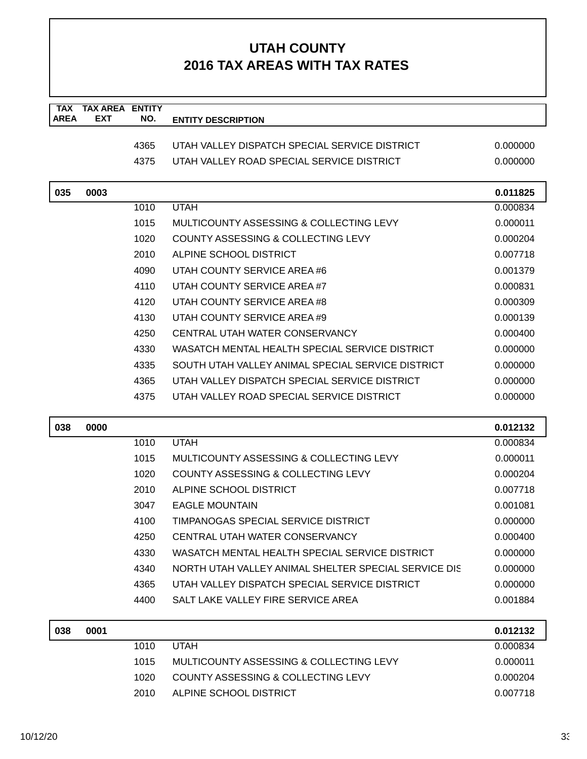| <b>TAX</b><br><b>AREA</b> | <b>TAX AREA ENTITY</b><br>EXT | NO.  | <b>ENTITY DESCRIPTION</b>                            |          |
|---------------------------|-------------------------------|------|------------------------------------------------------|----------|
|                           |                               |      |                                                      |          |
|                           |                               | 4365 | UTAH VALLEY DISPATCH SPECIAL SERVICE DISTRICT        | 0.000000 |
|                           |                               | 4375 | UTAH VALLEY ROAD SPECIAL SERVICE DISTRICT            | 0.000000 |
| 035                       | 0003                          |      |                                                      | 0.011825 |
|                           |                               | 1010 | <b>UTAH</b>                                          | 0.000834 |
|                           |                               | 1015 | MULTICOUNTY ASSESSING & COLLECTING LEVY              | 0.000011 |
|                           |                               | 1020 | COUNTY ASSESSING & COLLECTING LEVY                   | 0.000204 |
|                           |                               | 2010 | ALPINE SCHOOL DISTRICT                               | 0.007718 |
|                           |                               | 4090 | UTAH COUNTY SERVICE AREA #6                          | 0.001379 |
|                           |                               | 4110 | UTAH COUNTY SERVICE AREA #7                          | 0.000831 |
|                           |                               | 4120 | UTAH COUNTY SERVICE AREA #8                          | 0.000309 |
|                           |                               | 4130 | UTAH COUNTY SERVICE AREA #9                          | 0.000139 |
|                           |                               | 4250 | CENTRAL UTAH WATER CONSERVANCY                       | 0.000400 |
|                           |                               | 4330 | WASATCH MENTAL HEALTH SPECIAL SERVICE DISTRICT       | 0.000000 |
|                           |                               | 4335 | SOUTH UTAH VALLEY ANIMAL SPECIAL SERVICE DISTRICT    | 0.000000 |
|                           |                               | 4365 | UTAH VALLEY DISPATCH SPECIAL SERVICE DISTRICT        | 0.000000 |
|                           |                               | 4375 | UTAH VALLEY ROAD SPECIAL SERVICE DISTRICT            | 0.000000 |
| 038                       | 0000                          |      |                                                      | 0.012132 |
|                           |                               | 1010 | <b>UTAH</b>                                          | 0.000834 |
|                           |                               | 1015 | MULTICOUNTY ASSESSING & COLLECTING LEVY              | 0.000011 |
|                           |                               | 1020 | COUNTY ASSESSING & COLLECTING LEVY                   | 0.000204 |
|                           |                               | 2010 | ALPINE SCHOOL DISTRICT                               | 0.007718 |
|                           |                               | 3047 | <b>EAGLE MOUNTAIN</b>                                | 0.001081 |
|                           |                               | 4100 | TIMPANOGAS SPECIAL SERVICE DISTRICT                  | 0.000000 |
|                           |                               | 4250 | CENTRAL UTAH WATER CONSERVANCY                       | 0.000400 |
|                           |                               | 4330 | WASATCH MENTAL HEALTH SPECIAL SERVICE DISTRICT       | 0.000000 |
|                           |                               | 4340 | NORTH UTAH VALLEY ANIMAL SHELTER SPECIAL SERVICE DIS | 0.000000 |
|                           |                               | 4365 | UTAH VALLEY DISPATCH SPECIAL SERVICE DISTRICT        | 0.000000 |
|                           |                               | 4400 | SALT LAKE VALLEY FIRE SERVICE AREA                   | 0.001884 |
| 038                       | 0001                          |      |                                                      | 0.012132 |
|                           |                               | 1010 | <b>UTAH</b>                                          | 0.000834 |
|                           |                               | 1015 | MULTICOUNTY ASSESSING & COLLECTING LEVY              | 0.000011 |
|                           |                               | 1020 | COUNTY ASSESSING & COLLECTING LEVY                   | 0.000204 |
|                           |                               | 2010 | ALPINE SCHOOL DISTRICT                               | 0.007718 |
|                           |                               |      |                                                      |          |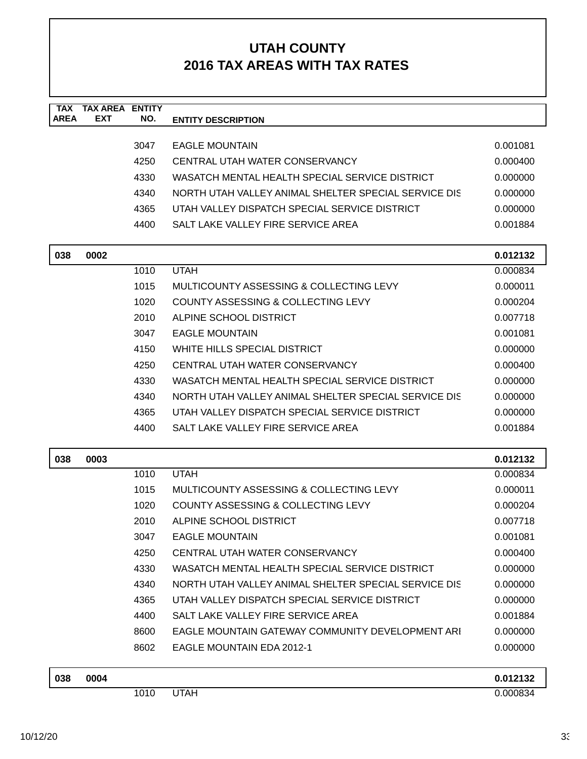| <b>TAX</b>  | <b>TAX AREA</b> | <b>ENTITY</b> |                                                      |          |
|-------------|-----------------|---------------|------------------------------------------------------|----------|
| <b>AREA</b> | <b>EXT</b>      | NO.           | <b>ENTITY DESCRIPTION</b>                            |          |
|             |                 | 3047          | <b>EAGLE MOUNTAIN</b>                                | 0.001081 |
|             |                 | 4250          | CENTRAL UTAH WATER CONSERVANCY                       | 0.000400 |
|             |                 | 4330          | WASATCH MENTAL HEALTH SPECIAL SERVICE DISTRICT       | 0.000000 |
|             |                 | 4340          | NORTH UTAH VALLEY ANIMAL SHELTER SPECIAL SERVICE DIS | 0.000000 |
|             |                 | 4365          | UTAH VALLEY DISPATCH SPECIAL SERVICE DISTRICT        | 0.000000 |
|             |                 | 4400          | SALT LAKE VALLEY FIRE SERVICE AREA                   | 0.001884 |
|             |                 |               |                                                      |          |
| 038         | 0002            |               |                                                      | 0.012132 |
|             |                 | 1010          | <b>UTAH</b>                                          | 0.000834 |
|             |                 | 1015          | MULTICOUNTY ASSESSING & COLLECTING LEVY              | 0.000011 |
|             |                 | 1020          | COUNTY ASSESSING & COLLECTING LEVY                   | 0.000204 |
|             |                 | 2010          | ALPINE SCHOOL DISTRICT                               | 0.007718 |
|             |                 | 3047          | <b>EAGLE MOUNTAIN</b>                                | 0.001081 |
|             |                 | 4150          | WHITE HILLS SPECIAL DISTRICT                         | 0.000000 |
|             |                 | 4250          | CENTRAL UTAH WATER CONSERVANCY                       | 0.000400 |
|             |                 | 4330          | WASATCH MENTAL HEALTH SPECIAL SERVICE DISTRICT       | 0.000000 |
|             |                 | 4340          | NORTH UTAH VALLEY ANIMAL SHELTER SPECIAL SERVICE DIS | 0.000000 |
|             |                 | 4365          | UTAH VALLEY DISPATCH SPECIAL SERVICE DISTRICT        | 0.000000 |
|             |                 | 4400          | SALT LAKE VALLEY FIRE SERVICE AREA                   | 0.001884 |
| 038         | 0003            |               |                                                      | 0.012132 |
|             |                 | 1010          | <b>UTAH</b>                                          | 0.000834 |
|             |                 | 1015          | MULTICOUNTY ASSESSING & COLLECTING LEVY              | 0.000011 |
|             |                 | 1020          | <b>COUNTY ASSESSING &amp; COLLECTING LEVY</b>        | 0.000204 |
|             |                 | 2010          | ALPINE SCHOOL DISTRICT                               | 0.007718 |
|             |                 | 3047          | <b>EAGLE MOUNTAIN</b>                                | 0.001081 |
|             |                 | 4250          | CENTRAL UTAH WATER CONSERVANCY                       | 0.000400 |
|             |                 | 4330          | WASATCH MENTAL HEALTH SPECIAL SERVICE DISTRICT       | 0.000000 |
|             |                 | 4340          | NORTH UTAH VALLEY ANIMAL SHELTER SPECIAL SERVICE DIS | 0.000000 |
|             |                 | 4365          | UTAH VALLEY DISPATCH SPECIAL SERVICE DISTRICT        | 0.000000 |
|             |                 | 4400          | SALT LAKE VALLEY FIRE SERVICE AREA                   | 0.001884 |
|             |                 | 8600          | EAGLE MOUNTAIN GATEWAY COMMUNITY DEVELOPMENT ARI     | 0.000000 |
|             |                 | 8602          | <b>EAGLE MOUNTAIN EDA 2012-1</b>                     | 0.000000 |
|             |                 |               |                                                      |          |
| 038         | 0004            |               |                                                      | 0.012132 |
|             |                 | 1010          | <b>UTAH</b>                                          | 0.000834 |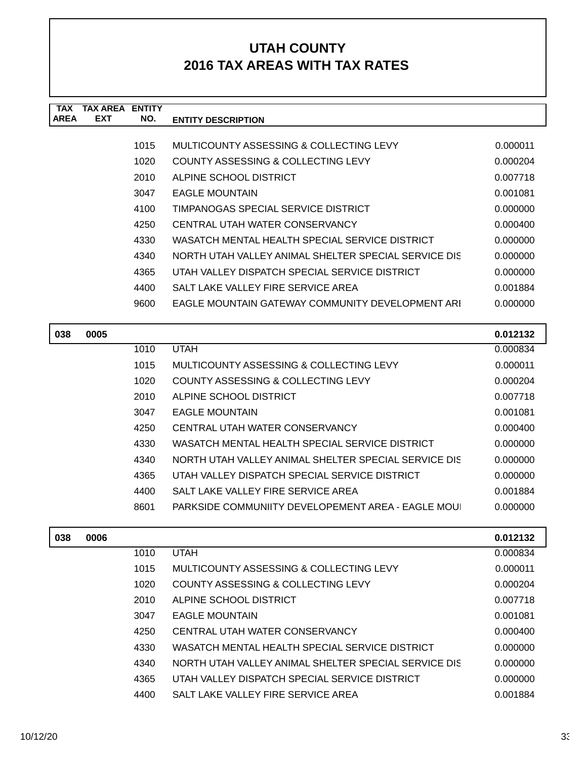| TAX         | <b>TAX AREA</b> | <b>ENTITY</b>                     |                                                      |          |
|-------------|-----------------|-----------------------------------|------------------------------------------------------|----------|
| <b>AREA</b> | <b>EXT</b>      | NO.                               | <b>ENTITY DESCRIPTION</b>                            |          |
|             |                 |                                   |                                                      |          |
|             |                 | 1015                              | MULTICOUNTY ASSESSING & COLLECTING LEVY              | 0.000011 |
|             |                 | 1020                              | COUNTY ASSESSING & COLLECTING LEVY                   | 0.000204 |
|             |                 | 2010                              | ALPINE SCHOOL DISTRICT                               | 0.007718 |
|             |                 | 3047                              | <b>EAGLE MOUNTAIN</b>                                | 0.001081 |
|             |                 | 4100                              | TIMPANOGAS SPECIAL SERVICE DISTRICT                  | 0.000000 |
|             |                 | 4250                              | CENTRAL UTAH WATER CONSERVANCY                       | 0.000400 |
|             |                 | 4330                              | WASATCH MENTAL HEALTH SPECIAL SERVICE DISTRICT       | 0.000000 |
|             |                 | 4340                              | NORTH UTAH VALLEY ANIMAL SHELTER SPECIAL SERVICE DIS | 0.000000 |
|             |                 | 4365                              | UTAH VALLEY DISPATCH SPECIAL SERVICE DISTRICT        | 0.000000 |
|             |                 | 4400                              | SALT LAKE VALLEY FIRE SERVICE AREA                   | 0.001884 |
|             |                 | 9600                              | EAGLE MOUNTAIN GATEWAY COMMUNITY DEVELOPMENT ARI     | 0.000000 |
|             |                 |                                   |                                                      |          |
| 038         | 0005            |                                   |                                                      | 0.012132 |
|             |                 | $\lambda$ $\sim$ $\lambda$ $\sim$ | . . <del>.</del>                                     | .        |

| 038 | 0005 |      |                                                      | 0.012132 |
|-----|------|------|------------------------------------------------------|----------|
|     |      | 1010 | <b>UTAH</b>                                          | 0.000834 |
|     |      | 1015 | MULTICOUNTY ASSESSING & COLLECTING LEVY              | 0.000011 |
|     |      | 1020 | COUNTY ASSESSING & COLLECTING LEVY                   | 0.000204 |
|     |      | 2010 | ALPINE SCHOOL DISTRICT                               | 0.007718 |
|     |      | 3047 | <b>EAGLE MOUNTAIN</b>                                | 0.001081 |
|     |      | 4250 | CENTRAL UTAH WATER CONSERVANCY                       | 0.000400 |
|     |      | 4330 | WASATCH MENTAL HEALTH SPECIAL SERVICE DISTRICT       | 0.000000 |
|     |      | 4340 | NORTH UTAH VALLEY ANIMAL SHELTER SPECIAL SERVICE DIS | 0.000000 |
|     |      | 4365 | UTAH VALLEY DISPATCH SPECIAL SERVICE DISTRICT        | 0.000000 |
|     |      | 4400 | SALT LAKE VALLEY FIRE SERVICE AREA                   | 0.001884 |
|     |      | 8601 | PARKSIDE COMMUNIITY DEVELOPEMENT AREA - EAGLE MOU    | 0.000000 |
|     |      |      |                                                      |          |

| 038 | 0006 |      |                                                      | 0.012132 |
|-----|------|------|------------------------------------------------------|----------|
|     |      | 1010 | <b>UTAH</b>                                          | 0.000834 |
|     |      | 1015 | MULTICOUNTY ASSESSING & COLLECTING LEVY              | 0.000011 |
|     |      | 1020 | COUNTY ASSESSING & COLLECTING LEVY                   | 0.000204 |
|     |      | 2010 | ALPINE SCHOOL DISTRICT                               | 0.007718 |
|     |      | 3047 | <b>EAGLE MOUNTAIN</b>                                | 0.001081 |
|     |      | 4250 | CENTRAL UTAH WATER CONSERVANCY                       | 0.000400 |
|     |      | 4330 | WASATCH MENTAL HEALTH SPECIAL SERVICE DISTRICT       | 0.000000 |
|     |      | 4340 | NORTH UTAH VALLEY ANIMAL SHELTER SPECIAL SERVICE DIS | 0.000000 |
|     |      | 4365 | UTAH VALLEY DISPATCH SPECIAL SERVICE DISTRICT        | 0.000000 |
|     |      | 4400 | SALT LAKE VALLEY FIRE SERVICE AREA                   | 0.001884 |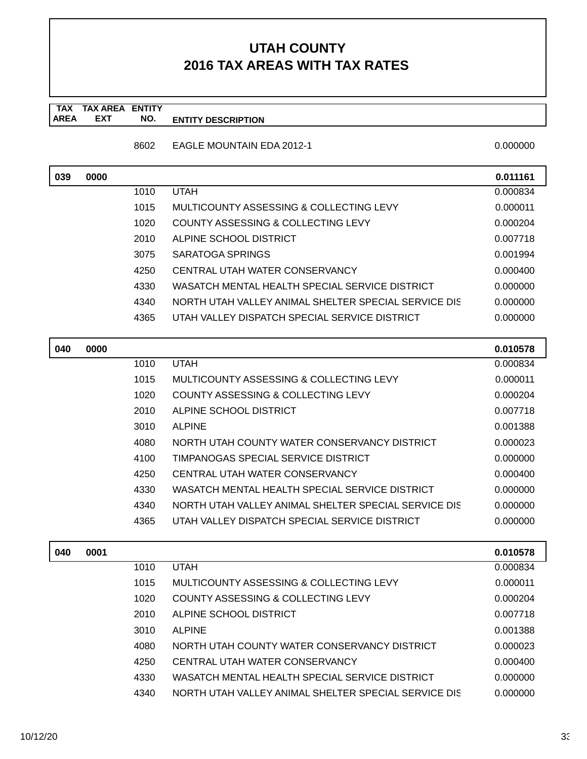#### **TAX TAX AREA ENTITY AREA ENTITY DESCRIPTION EXT NO.**

8602 EAGLE MOUNTAIN EDA 2012-1 0.000000 0.000000

| 039 | 0000 |      |                                                      | 0.011161 |
|-----|------|------|------------------------------------------------------|----------|
|     |      | 1010 | <b>UTAH</b>                                          | 0.000834 |
|     |      | 1015 | MULTICOUNTY ASSESSING & COLLECTING LEVY              | 0.000011 |
|     |      | 1020 | COUNTY ASSESSING & COLLECTING LEVY                   | 0.000204 |
|     |      | 2010 | ALPINE SCHOOL DISTRICT                               | 0.007718 |
|     |      | 3075 | SARATOGA SPRINGS                                     | 0.001994 |
|     |      | 4250 | CENTRAL UTAH WATER CONSERVANCY                       | 0.000400 |
|     |      | 4330 | WASATCH MENTAL HEALTH SPECIAL SERVICE DISTRICT       | 0.000000 |
|     |      | 4340 | NORTH UTAH VALLEY ANIMAL SHELTER SPECIAL SERVICE DIS | 0.000000 |
|     |      | 4365 | UTAH VALLEY DISPATCH SPECIAL SERVICE DISTRICT        | 0.000000 |

| 040 | 0000 |      |                                                      | 0.010578 |
|-----|------|------|------------------------------------------------------|----------|
|     |      | 1010 | <b>UTAH</b>                                          | 0.000834 |
|     |      | 1015 | MULTICOUNTY ASSESSING & COLLECTING LEVY              | 0.000011 |
|     |      | 1020 | COUNTY ASSESSING & COLLECTING LEVY                   | 0.000204 |
|     |      | 2010 | ALPINE SCHOOL DISTRICT                               | 0.007718 |
|     |      | 3010 | <b>ALPINE</b>                                        | 0.001388 |
|     |      | 4080 | NORTH UTAH COUNTY WATER CONSERVANCY DISTRICT         | 0.000023 |
|     |      | 4100 | TIMPANOGAS SPECIAL SERVICE DISTRICT                  | 0.000000 |
|     |      | 4250 | CENTRAL UTAH WATER CONSERVANCY                       | 0.000400 |
|     |      | 4330 | WASATCH MENTAL HEALTH SPECIAL SERVICE DISTRICT       | 0.000000 |
|     |      | 4340 | NORTH UTAH VALLEY ANIMAL SHELTER SPECIAL SERVICE DIS | 0.000000 |
|     |      | 4365 | UTAH VALLEY DISPATCH SPECIAL SERVICE DISTRICT        | 0.000000 |

| 040 | 0001 |      |                                                      | 0.010578 |
|-----|------|------|------------------------------------------------------|----------|
|     |      | 1010 | <b>UTAH</b>                                          | 0.000834 |
|     |      | 1015 | MULTICOUNTY ASSESSING & COLLECTING LEVY              | 0.000011 |
|     |      | 1020 | COUNTY ASSESSING & COLLECTING LEVY                   | 0.000204 |
|     |      | 2010 | ALPINE SCHOOL DISTRICT                               | 0.007718 |
|     |      | 3010 | <b>ALPINE</b>                                        | 0.001388 |
|     |      | 4080 | NORTH UTAH COUNTY WATER CONSERVANCY DISTRICT         | 0.000023 |
|     |      | 4250 | CENTRAL UTAH WATER CONSERVANCY                       | 0.000400 |
|     |      | 4330 | WASATCH MENTAL HEALTH SPECIAL SERVICE DISTRICT       | 0.000000 |
|     |      | 4340 | NORTH UTAH VALLEY ANIMAL SHELTER SPECIAL SERVICE DIS | 0.000000 |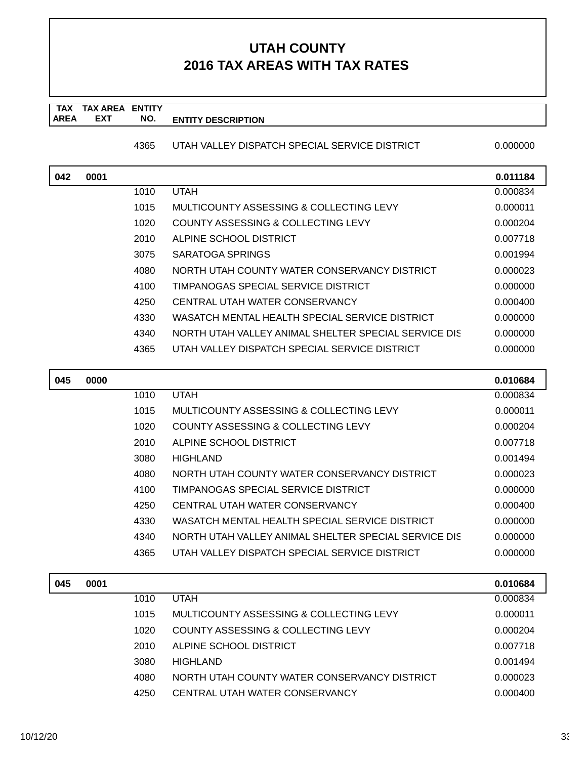### **TAX TAX AREA ENTITY AREA ENTITY DESCRIPTION EXT NO.**

### 4365 UTAH VALLEY DISPATCH SPECIAL SERVICE DISTRICT 0.000000

| 042 | 0001 |      |                                                      | 0.011184 |
|-----|------|------|------------------------------------------------------|----------|
|     |      | 1010 | <b>UTAH</b>                                          | 0.000834 |
|     |      | 1015 | MULTICOUNTY ASSESSING & COLLECTING LEVY              | 0.000011 |
|     |      | 1020 | COUNTY ASSESSING & COLLECTING LEVY                   | 0.000204 |
|     |      | 2010 | ALPINE SCHOOL DISTRICT                               | 0.007718 |
|     |      | 3075 | SARATOGA SPRINGS                                     | 0.001994 |
|     |      | 4080 | NORTH UTAH COUNTY WATER CONSERVANCY DISTRICT         | 0.000023 |
|     |      | 4100 | TIMPANOGAS SPECIAL SERVICE DISTRICT                  | 0.000000 |
|     |      | 4250 | CENTRAL UTAH WATER CONSERVANCY                       | 0.000400 |
|     |      | 4330 | WASATCH MENTAL HEALTH SPECIAL SERVICE DISTRICT       | 0.000000 |
|     |      | 4340 | NORTH UTAH VALLEY ANIMAL SHELTER SPECIAL SERVICE DIS | 0.000000 |
|     |      | 4365 | UTAH VALLEY DISPATCH SPECIAL SERVICE DISTRICT        | 0.000000 |

| 045 | 0000 |      |                                                      | 0.010684 |
|-----|------|------|------------------------------------------------------|----------|
|     |      | 1010 | <b>UTAH</b>                                          | 0.000834 |
|     |      | 1015 | MULTICOUNTY ASSESSING & COLLECTING LEVY              | 0.000011 |
|     |      | 1020 | COUNTY ASSESSING & COLLECTING LEVY                   | 0.000204 |
|     |      | 2010 | ALPINE SCHOOL DISTRICT                               | 0.007718 |
|     |      | 3080 | <b>HIGHLAND</b>                                      | 0.001494 |
|     |      | 4080 | NORTH UTAH COUNTY WATER CONSERVANCY DISTRICT         | 0.000023 |
|     |      | 4100 | TIMPANOGAS SPECIAL SERVICE DISTRICT                  | 0.000000 |
|     |      | 4250 | CENTRAL UTAH WATER CONSERVANCY                       | 0.000400 |
|     |      | 4330 | WASATCH MENTAL HEALTH SPECIAL SERVICE DISTRICT       | 0.000000 |
|     |      | 4340 | NORTH UTAH VALLEY ANIMAL SHELTER SPECIAL SERVICE DIS | 0.000000 |
|     |      | 4365 | UTAH VALLEY DISPATCH SPECIAL SERVICE DISTRICT        | 0.000000 |

| 045 | 0001 |      |                                              | 0.010684 |
|-----|------|------|----------------------------------------------|----------|
|     |      | 1010 | <b>UTAH</b>                                  | 0.000834 |
|     |      | 1015 | MULTICOUNTY ASSESSING & COLLECTING LEVY      | 0.000011 |
|     |      | 1020 | COUNTY ASSESSING & COLLECTING LEVY           | 0.000204 |
|     |      | 2010 | ALPINE SCHOOL DISTRICT                       | 0.007718 |
|     |      | 3080 | <b>HIGHLAND</b>                              | 0.001494 |
|     |      | 4080 | NORTH UTAH COUNTY WATER CONSERVANCY DISTRICT | 0.000023 |
|     |      | 4250 | CENTRAL UTAH WATER CONSERVANCY               | 0.000400 |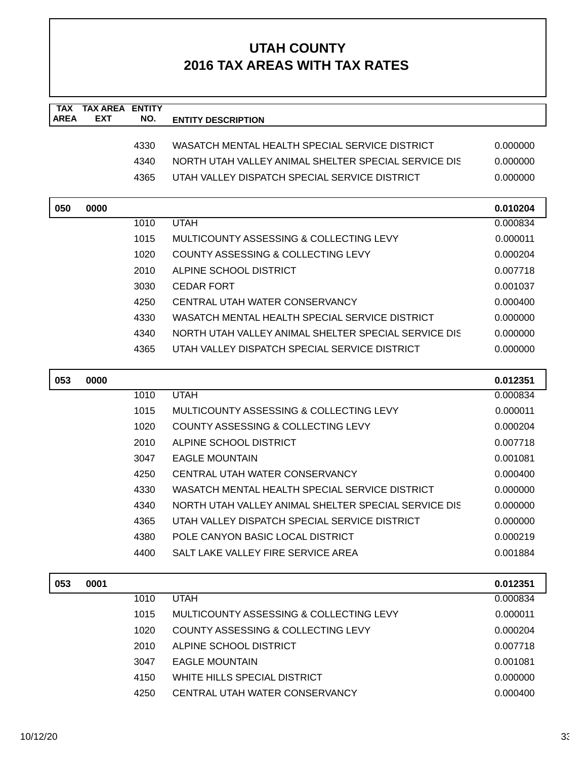| <b>TAX</b><br><b>AREA</b> | <b>TAX AREA ENTITY</b><br><b>EXT</b> | NO.  |                                                      |          |
|---------------------------|--------------------------------------|------|------------------------------------------------------|----------|
|                           |                                      |      | <b>ENTITY DESCRIPTION</b>                            |          |
|                           |                                      | 4330 | WASATCH MENTAL HEALTH SPECIAL SERVICE DISTRICT       | 0.000000 |
|                           |                                      | 4340 | NORTH UTAH VALLEY ANIMAL SHELTER SPECIAL SERVICE DIS | 0.000000 |
|                           |                                      | 4365 | UTAH VALLEY DISPATCH SPECIAL SERVICE DISTRICT        | 0.000000 |
|                           |                                      |      |                                                      |          |
| 050                       | 0000                                 |      |                                                      | 0.010204 |
|                           |                                      | 1010 | <b>UTAH</b>                                          | 0.000834 |
|                           |                                      | 1015 | MULTICOUNTY ASSESSING & COLLECTING LEVY              | 0.000011 |
|                           |                                      | 1020 | COUNTY ASSESSING & COLLECTING LEVY                   | 0.000204 |
|                           |                                      | 2010 | ALPINE SCHOOL DISTRICT                               | 0.007718 |
|                           |                                      | 3030 | <b>CEDAR FORT</b>                                    | 0.001037 |
|                           |                                      | 4250 | CENTRAL UTAH WATER CONSERVANCY                       | 0.000400 |
|                           |                                      | 4330 | WASATCH MENTAL HEALTH SPECIAL SERVICE DISTRICT       | 0.000000 |
|                           |                                      | 4340 | NORTH UTAH VALLEY ANIMAL SHELTER SPECIAL SERVICE DIS | 0.000000 |
|                           |                                      | 4365 | UTAH VALLEY DISPATCH SPECIAL SERVICE DISTRICT        | 0.000000 |
|                           |                                      |      |                                                      |          |
| 053                       | 0000                                 |      |                                                      | 0.012351 |
|                           |                                      | 1010 | <b>UTAH</b>                                          | 0.000834 |
|                           |                                      | 1015 | MULTICOUNTY ASSESSING & COLLECTING LEVY              | 0.000011 |
|                           |                                      | 1020 | COUNTY ASSESSING & COLLECTING LEVY                   | 0.000204 |
|                           |                                      | 2010 | ALPINE SCHOOL DISTRICT                               | 0.007718 |
|                           |                                      | 3047 | <b>EAGLE MOUNTAIN</b>                                | 0.001081 |
|                           |                                      | 4250 | CENTRAL UTAH WATER CONSERVANCY                       | 0.000400 |
|                           |                                      | 4330 | WASATCH MENTAL HEALTH SPECIAL SERVICE DISTRICT       | 0.000000 |
|                           |                                      | 4340 | NORTH UTAH VALLEY ANIMAL SHELTER SPECIAL SERVICE DIS | 0.000000 |
|                           |                                      | 4365 | UTAH VALLEY DISPATCH SPECIAL SERVICE DISTRICT        | 0.000000 |
|                           |                                      | 4380 | POLE CANYON BASIC LOCAL DISTRICT                     | 0.000219 |
|                           |                                      | 4400 | SALT LAKE VALLEY FIRE SERVICE AREA                   | 0.001884 |
|                           |                                      |      |                                                      |          |
| 053                       | 0001                                 |      |                                                      | 0.012351 |
|                           |                                      | 1010 | <b>UTAH</b>                                          | 0.000834 |
|                           |                                      | 1015 | MULTICOUNTY ASSESSING & COLLECTING LEVY              | 0.000011 |
|                           |                                      | 1020 | COUNTY ASSESSING & COLLECTING LEVY                   | 0.000204 |
|                           |                                      | 2010 | ALPINE SCHOOL DISTRICT                               | 0.007718 |
|                           |                                      | 3047 | <b>EAGLE MOUNTAIN</b>                                | 0.001081 |
|                           |                                      | 4150 | WHITE HILLS SPECIAL DISTRICT                         | 0.000000 |
|                           |                                      | 4250 | CENTRAL UTAH WATER CONSERVANCY                       | 0.000400 |
|                           |                                      |      |                                                      |          |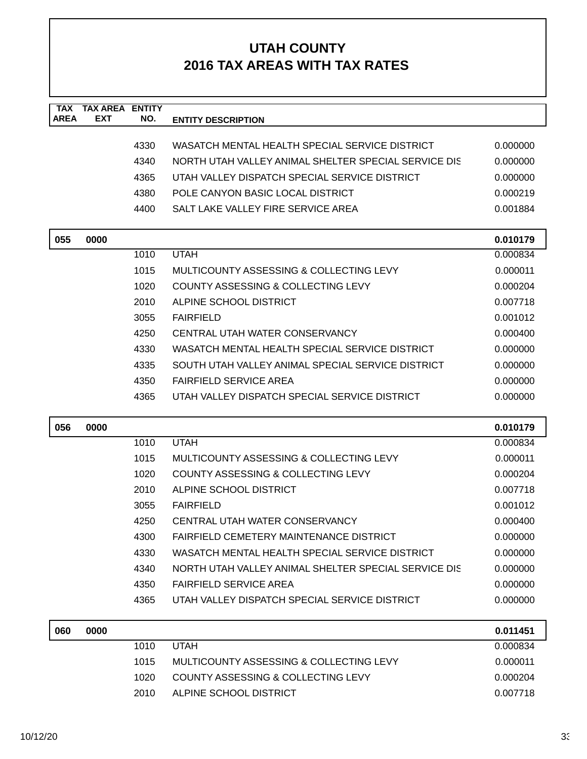| <b>TAX</b>  | <b>TAX AREA ENTITY</b> |              |                                                                               |                      |
|-------------|------------------------|--------------|-------------------------------------------------------------------------------|----------------------|
| <b>AREA</b> | <b>EXT</b>             | NO.          | <b>ENTITY DESCRIPTION</b>                                                     |                      |
|             |                        | 4330         | WASATCH MENTAL HEALTH SPECIAL SERVICE DISTRICT                                | 0.000000             |
|             |                        | 4340         | NORTH UTAH VALLEY ANIMAL SHELTER SPECIAL SERVICE DIS                          | 0.000000             |
|             |                        | 4365         | UTAH VALLEY DISPATCH SPECIAL SERVICE DISTRICT                                 | 0.000000             |
|             |                        | 4380         | POLE CANYON BASIC LOCAL DISTRICT                                              | 0.000219             |
|             |                        | 4400         | SALT LAKE VALLEY FIRE SERVICE AREA                                            | 0.001884             |
|             |                        |              |                                                                               |                      |
| 055         | 0000                   |              |                                                                               | 0.010179             |
|             |                        | 1010         | <b>UTAH</b>                                                                   | 0.000834             |
|             |                        | 1015         | MULTICOUNTY ASSESSING & COLLECTING LEVY                                       | 0.000011             |
|             |                        | 1020         | COUNTY ASSESSING & COLLECTING LEVY                                            | 0.000204             |
|             |                        | 2010         | ALPINE SCHOOL DISTRICT                                                        | 0.007718             |
|             |                        | 3055         | <b>FAIRFIELD</b>                                                              | 0.001012             |
|             |                        | 4250         | CENTRAL UTAH WATER CONSERVANCY                                                | 0.000400             |
|             |                        | 4330         | WASATCH MENTAL HEALTH SPECIAL SERVICE DISTRICT                                | 0.000000             |
|             |                        | 4335         | SOUTH UTAH VALLEY ANIMAL SPECIAL SERVICE DISTRICT                             | 0.000000             |
|             |                        | 4350         | <b>FAIRFIELD SERVICE AREA</b>                                                 | 0.000000             |
|             |                        | 4365         | UTAH VALLEY DISPATCH SPECIAL SERVICE DISTRICT                                 | 0.000000             |
| 056         | 0000                   |              |                                                                               | 0.010179             |
|             |                        | 1010         | <b>UTAH</b>                                                                   | 0.000834             |
|             |                        | 1015         | MULTICOUNTY ASSESSING & COLLECTING LEVY                                       | 0.000011             |
|             |                        | 1020         | COUNTY ASSESSING & COLLECTING LEVY                                            | 0.000204             |
|             |                        | 2010         | ALPINE SCHOOL DISTRICT                                                        |                      |
|             |                        |              |                                                                               | 0.007718             |
|             |                        | 3055         | <b>FAIRFIELD</b>                                                              | 0.001012             |
|             |                        | 4250         | CENTRAL UTAH WATER CONSERVANCY                                                | 0.000400             |
|             |                        | 4300         | FAIRFIELD CEMETERY MAINTENANCE DISTRICT                                       | 0.000000             |
|             |                        | 4330         | WASATCH MENTAL HEALTH SPECIAL SERVICE DISTRICT                                | 0.000000             |
|             |                        | 4340         | NORTH UTAH VALLEY ANIMAL SHELTER SPECIAL SERVICE DIS                          | 0.000000             |
|             |                        | 4350         | <b>FAIRFIELD SERVICE AREA</b>                                                 | 0.000000             |
|             |                        | 4365         | UTAH VALLEY DISPATCH SPECIAL SERVICE DISTRICT                                 | 0.000000             |
|             |                        |              |                                                                               |                      |
| 060         | 0000                   |              |                                                                               | 0.011451             |
|             |                        | 1010         | <b>UTAH</b>                                                                   | 0.000834             |
|             |                        | 1015<br>1020 | MULTICOUNTY ASSESSING & COLLECTING LEVY<br>COUNTY ASSESSING & COLLECTING LEVY | 0.000011<br>0.000204 |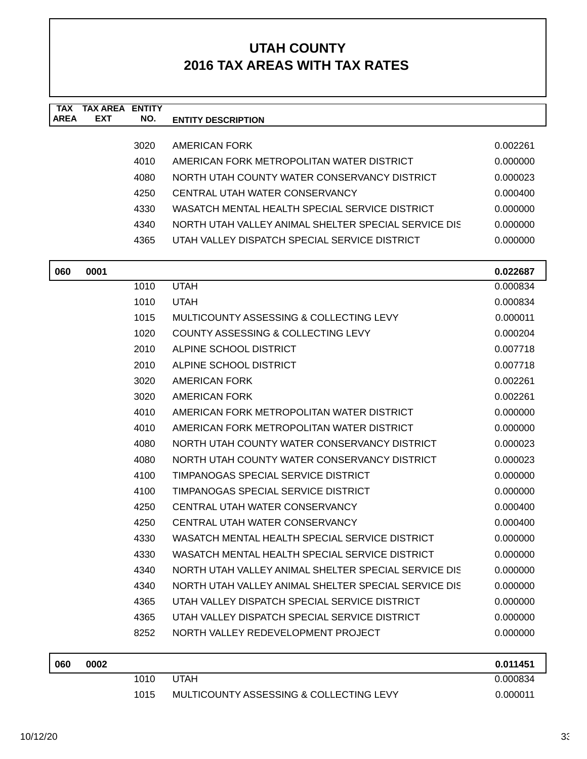| <b>TAX</b><br><b>AREA</b> | <b>TAX AREA ENTITY</b><br><b>EXT</b> | NO.  | <b>ENTITY DESCRIPTION</b>                            |          |
|---------------------------|--------------------------------------|------|------------------------------------------------------|----------|
|                           |                                      | 3020 | AMERICAN FORK                                        | 0.002261 |
|                           |                                      | 4010 | AMERICAN FORK METROPOLITAN WATER DISTRICT            | 0.000000 |
|                           |                                      | 4080 | NORTH UTAH COUNTY WATER CONSERVANCY DISTRICT         | 0.000023 |
|                           |                                      | 4250 | CENTRAL UTAH WATER CONSERVANCY                       | 0.000400 |
|                           |                                      | 4330 | WASATCH MENTAL HEALTH SPECIAL SERVICE DISTRICT       | 0.000000 |
|                           |                                      | 4340 | NORTH UTAH VALLEY ANIMAL SHELTER SPECIAL SERVICE DIS | 0.000000 |
|                           |                                      | 4365 | UTAH VALLEY DISPATCH SPECIAL SERVICE DISTRICT        | 0.000000 |
| 060                       | 0001                                 |      |                                                      | 0.022687 |
|                           |                                      | 1010 | <b>UTAH</b>                                          | 0.000834 |
|                           |                                      | 1010 | <b>UTAH</b>                                          | 0.000834 |
|                           |                                      | 1015 | MULTICOUNTY ASSESSING & COLLECTING LEVY              | 0.000011 |
|                           |                                      | 1020 | <b>COUNTY ASSESSING &amp; COLLECTING LEVY</b>        | 0.000204 |
|                           |                                      | 2010 | ALPINE SCHOOL DISTRICT                               | 0.007718 |
|                           |                                      | 2010 | ALPINE SCHOOL DISTRICT                               | 0.007718 |
|                           |                                      | 3020 | AMERICAN FORK                                        | 0.002261 |
|                           |                                      | 3020 | AMERICAN FORK                                        | 0.002261 |
|                           |                                      | 4010 | AMERICAN FORK METROPOLITAN WATER DISTRICT            | 0.000000 |
|                           |                                      | 4010 | AMERICAN FORK METROPOLITAN WATER DISTRICT            | 0.000000 |
|                           |                                      | 4080 | NORTH UTAH COUNTY WATER CONSERVANCY DISTRICT         | 0.000023 |
|                           |                                      | 4080 | NORTH UTAH COUNTY WATER CONSERVANCY DISTRICT         | 0.000023 |
|                           |                                      | 4100 | TIMPANOGAS SPECIAL SERVICE DISTRICT                  | 0.000000 |
|                           |                                      | 4100 | TIMPANOGAS SPECIAL SERVICE DISTRICT                  | 0.000000 |
|                           |                                      | 4250 | CENTRAL UTAH WATER CONSERVANCY                       | 0.000400 |
|                           |                                      | 4250 | CENTRAL UTAH WATER CONSERVANCY                       | 0.000400 |
|                           |                                      | 4330 | WASATCH MENTAL HEALTH SPECIAL SERVICE DISTRICT       | 0.000000 |
|                           |                                      | 4330 | WASATCH MENTAL HEALTH SPECIAL SERVICE DISTRICT       | 0.000000 |
|                           |                                      | 4340 | NORTH UTAH VALLEY ANIMAL SHELTER SPECIAL SERVICE DIS | 0.000000 |
|                           |                                      | 4340 | NORTH UTAH VALLEY ANIMAL SHELTER SPECIAL SERVICE DIS | 0.000000 |
|                           |                                      | 4365 | UTAH VALLEY DISPATCH SPECIAL SERVICE DISTRICT        | 0.000000 |
|                           |                                      | 4365 | UTAH VALLEY DISPATCH SPECIAL SERVICE DISTRICT        | 0.000000 |
|                           |                                      | 8252 | NORTH VALLEY REDEVELOPMENT PROJECT                   | 0.000000 |
| በደበ                       | <b>COUU</b>                          |      |                                                      | 0.011451 |

| 060 | 0002 |      |                                         | 0.011451 |
|-----|------|------|-----------------------------------------|----------|
|     |      | 1010 | UTAH                                    | 0.000834 |
|     |      | 1015 | MULTICOUNTY ASSESSING & COLLECTING LEVY | 0.000011 |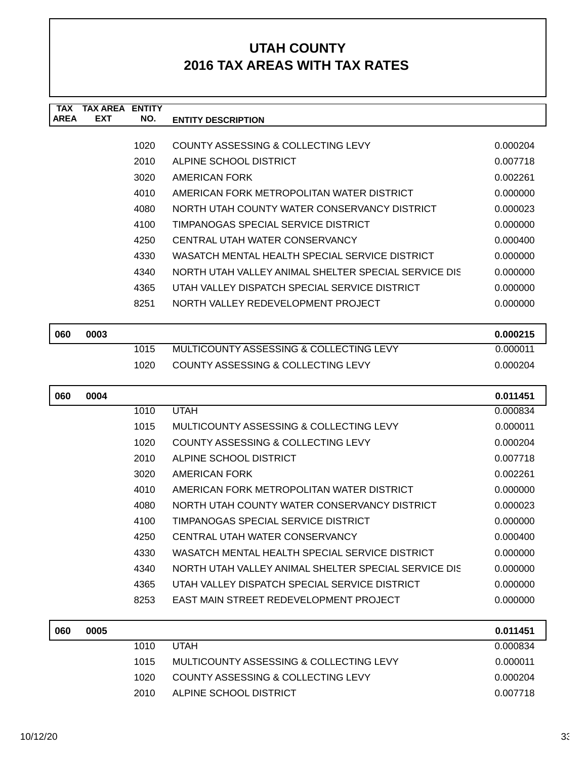| <b>TAX</b>  | <b>TAX AREA</b> | <b>ENTITY</b> |                                                      |          |
|-------------|-----------------|---------------|------------------------------------------------------|----------|
| <b>AREA</b> | <b>EXT</b>      | NO.           | <b>ENTITY DESCRIPTION</b>                            |          |
|             |                 |               |                                                      |          |
|             |                 | 1020          | COUNTY ASSESSING & COLLECTING LEVY                   | 0.000204 |
|             |                 | 2010          | ALPINE SCHOOL DISTRICT                               | 0.007718 |
|             |                 | 3020          | AMERICAN FORK                                        | 0.002261 |
|             |                 | 4010          | AMERICAN FORK METROPOLITAN WATER DISTRICT            | 0.000000 |
|             |                 | 4080          | NORTH UTAH COUNTY WATER CONSERVANCY DISTRICT         | 0.000023 |
|             |                 | 4100          | TIMPANOGAS SPECIAL SERVICE DISTRICT                  | 0.000000 |
|             |                 | 4250          | CENTRAL UTAH WATER CONSERVANCY                       | 0.000400 |
|             |                 | 4330          | WASATCH MENTAL HEALTH SPECIAL SERVICE DISTRICT       | 0.000000 |
|             |                 | 4340          | NORTH UTAH VALLEY ANIMAL SHELTER SPECIAL SERVICE DIS | 0.000000 |
|             |                 | 4365          | UTAH VALLEY DISPATCH SPECIAL SERVICE DISTRICT        | 0.000000 |
|             |                 | 8251          | NORTH VALLEY REDEVELOPMENT PROJECT                   | 0.000000 |
|             |                 |               |                                                      |          |
| 060         | 0003            |               |                                                      | 0.000215 |
|             |                 | 1015          | MULTICOUNTY ASSESSING & COLLECTING LEVY              | 0.000011 |

1020 COUNTY ASSESSING & COLLECTING LEVY 0.000204

| 060 | 0004 |      |                                                      | 0.011451 |
|-----|------|------|------------------------------------------------------|----------|
|     |      | 1010 | <b>UTAH</b>                                          | 0.000834 |
|     |      | 1015 | MULTICOUNTY ASSESSING & COLLECTING LEVY              | 0.000011 |
|     |      | 1020 | COUNTY ASSESSING & COLLECTING LEVY                   | 0.000204 |
|     |      | 2010 | ALPINE SCHOOL DISTRICT                               | 0.007718 |
|     |      | 3020 | AMERICAN FORK                                        | 0.002261 |
|     |      | 4010 | AMERICAN FORK METROPOLITAN WATER DISTRICT            | 0.000000 |
|     |      | 4080 | NORTH UTAH COUNTY WATER CONSERVANCY DISTRICT         | 0.000023 |
|     |      | 4100 | TIMPANOGAS SPECIAL SERVICE DISTRICT                  | 0.000000 |
|     |      | 4250 | CENTRAL UTAH WATER CONSERVANCY                       | 0.000400 |
|     |      | 4330 | WASATCH MENTAL HEALTH SPECIAL SERVICE DISTRICT       | 0.000000 |
|     |      | 4340 | NORTH UTAH VALLEY ANIMAL SHELTER SPECIAL SERVICE DIS | 0.000000 |
|     |      | 4365 | UTAH VALLEY DISPATCH SPECIAL SERVICE DISTRICT        | 0.000000 |
|     |      | 8253 | EAST MAIN STREET REDEVELOPMENT PROJECT               | 0.000000 |
|     |      |      |                                                      |          |
| 060 | 0005 |      |                                                      | 0.011451 |

| 060 | 0005 |       |                                         | 0.011451 |
|-----|------|-------|-----------------------------------------|----------|
|     |      | 1010  | <b>UTAH</b>                             | 0.000834 |
|     |      | 1015  | MULTICOUNTY ASSESSING & COLLECTING LEVY | 0.000011 |
|     |      | 1020. | COUNTY ASSESSING & COLLECTING LEVY      | 0.000204 |
|     |      | 2010. | ALPINE SCHOOL DISTRICT                  | 0.007718 |
|     |      |       |                                         |          |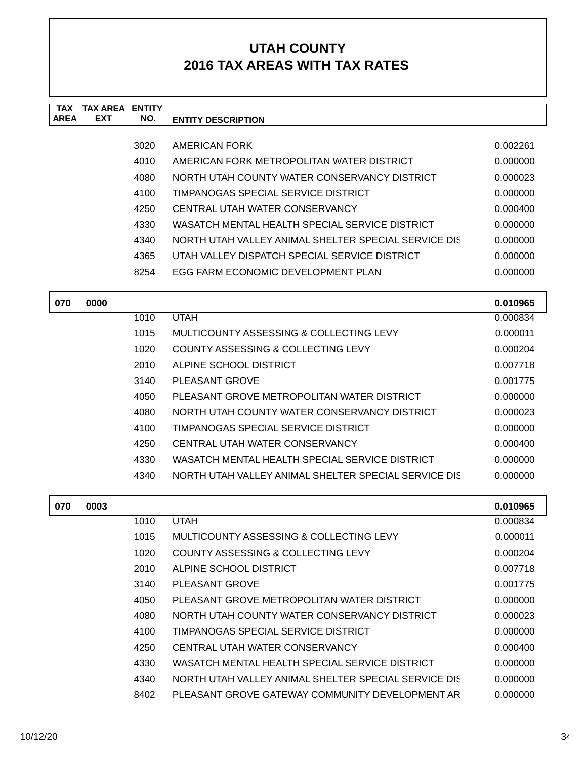| <b>TAX</b><br><b>AREA</b> | <b>TAX AREA ENTITY</b><br>EXT | NO.  | <b>ENTITY DESCRIPTION</b>                            |          |
|---------------------------|-------------------------------|------|------------------------------------------------------|----------|
|                           |                               |      |                                                      |          |
|                           |                               | 3020 | AMERICAN FORK                                        | 0.002261 |
|                           |                               | 4010 | AMERICAN FORK METROPOLITAN WATER DISTRICT            | 0.000000 |
|                           |                               | 4080 | NORTH UTAH COUNTY WATER CONSERVANCY DISTRICT         | 0.000023 |
|                           |                               | 4100 | TIMPANOGAS SPECIAL SERVICE DISTRICT                  | 0.000000 |
|                           |                               | 4250 | CENTRAL UTAH WATER CONSERVANCY                       | 0.000400 |
|                           |                               | 4330 | WASATCH MENTAL HEALTH SPECIAL SERVICE DISTRICT       | 0.000000 |
|                           |                               | 4340 | NORTH UTAH VALLEY ANIMAL SHELTER SPECIAL SERVICE DIS | 0.000000 |
|                           |                               | 4365 | UTAH VALLEY DISPATCH SPECIAL SERVICE DISTRICT        | 0.000000 |
|                           |                               | 8254 | EGG FARM ECONOMIC DEVELOPMENT PLAN                   | 0.000000 |
| 070                       | 0000                          |      |                                                      | 0.010965 |
|                           |                               | 1010 | <b>UTAH</b>                                          | 0.000834 |
|                           |                               | 1015 | MULTICOUNTY ASSESSING & COLLECTING LEVY              | 0.000011 |
|                           |                               | 1020 | COUNTY ASSESSING & COLLECTING LEVY                   | 0.000204 |
|                           |                               | 2010 | ALPINE SCHOOL DISTRICT                               | 0.007718 |
|                           |                               | 3140 | PLEASANT GROVE                                       | 0.001775 |
|                           |                               | 4050 | PLEASANT GROVE METROPOLITAN WATER DISTRICT           | 0.000000 |
|                           |                               | 4080 | NORTH UTAH COUNTY WATER CONSERVANCY DISTRICT         | 0.000023 |
|                           |                               | 4100 | TIMPANOGAS SPECIAL SERVICE DISTRICT                  | 0.000000 |
|                           |                               | 4250 | CENTRAL UTAH WATER CONSERVANCY                       | 0.000400 |
|                           |                               | 4330 | WASATCH MENTAL HEALTH SPECIAL SERVICE DISTRICT       | 0.000000 |
|                           |                               | 4340 | NORTH UTAH VALLEY ANIMAL SHELTER SPECIAL SERVICE DIS | 0.000000 |
| 070                       | 0003                          |      |                                                      | 0.010965 |
|                           |                               | 1010 | <b>UTAH</b>                                          | 0.000834 |
|                           |                               | 1015 | MULTICOUNTY ASSESSING & COLLECTING LEVY              | 0.000011 |
|                           |                               | 1020 | COUNTY ASSESSING & COLLECTING LEVY                   | 0.000204 |
|                           |                               | 2010 | ALPINE SCHOOL DISTRICT                               | 0.007718 |
|                           |                               | 3140 | PLEASANT GROVE                                       | 0.001775 |
|                           |                               | 4050 | PLEASANT GROVE METROPOLITAN WATER DISTRICT           | 0.000000 |
|                           |                               | 4080 | NORTH UTAH COUNTY WATER CONSERVANCY DISTRICT         | 0.000023 |
|                           |                               | 4100 | TIMPANOGAS SPECIAL SERVICE DISTRICT                  | 0.000000 |
|                           |                               | 4250 | CENTRAL UTAH WATER CONSERVANCY                       | 0.000400 |
|                           |                               | 4330 | WASATCH MENTAL HEALTH SPECIAL SERVICE DISTRICT       | 0.000000 |
|                           |                               | 4340 | NORTH UTAH VALLEY ANIMAL SHELTER SPECIAL SERVICE DIS | 0.000000 |
|                           |                               | 8402 | PLEASANT GROVE GATEWAY COMMUNITY DEVELOPMENT AR      | 0.000000 |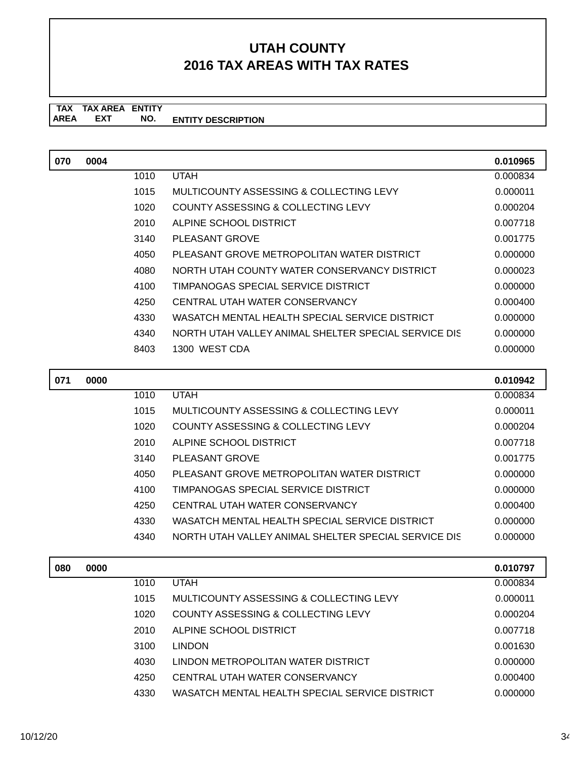**TAX TAX AREA ENTITY ENTITY DESCRIPTION** AREA EXT  **NO.**

| 070 | 0004 |      |                                                      | 0.010965 |
|-----|------|------|------------------------------------------------------|----------|
|     |      | 1010 | <b>UTAH</b>                                          | 0.000834 |
|     |      | 1015 | MULTICOUNTY ASSESSING & COLLECTING LEVY              | 0.000011 |
|     |      | 1020 | COUNTY ASSESSING & COLLECTING LEVY                   | 0.000204 |
|     |      | 2010 | ALPINE SCHOOL DISTRICT                               | 0.007718 |
|     |      | 3140 | PLEASANT GROVE                                       | 0.001775 |
|     |      | 4050 | PLEASANT GROVE METROPOLITAN WATER DISTRICT           | 0.000000 |
|     |      | 4080 | NORTH UTAH COUNTY WATER CONSERVANCY DISTRICT         | 0.000023 |
|     |      | 4100 | TIMPANOGAS SPECIAL SERVICE DISTRICT                  | 0.000000 |
|     |      | 4250 | CENTRAL UTAH WATER CONSERVANCY                       | 0.000400 |
|     |      | 4330 | WASATCH MENTAL HEALTH SPECIAL SERVICE DISTRICT       | 0.000000 |
|     |      | 4340 | NORTH UTAH VALLEY ANIMAL SHELTER SPECIAL SERVICE DIS | 0.000000 |
|     |      | 8403 | 1300 WEST CDA                                        | 0.000000 |
|     |      |      |                                                      |          |

| 071 | 0000 |      |                                                      | 0.010942 |
|-----|------|------|------------------------------------------------------|----------|
|     |      | 1010 | <b>UTAH</b>                                          | 0.000834 |
|     |      | 1015 | MULTICOUNTY ASSESSING & COLLECTING LEVY              | 0.000011 |
|     |      | 1020 | COUNTY ASSESSING & COLLECTING LEVY                   | 0.000204 |
|     |      | 2010 | ALPINE SCHOOL DISTRICT                               | 0.007718 |
|     |      | 3140 | PLEASANT GROVE                                       | 0.001775 |
|     |      | 4050 | PLEASANT GROVE METROPOLITAN WATER DISTRICT           | 0.000000 |
|     |      | 4100 | TIMPANOGAS SPECIAL SERVICE DISTRICT                  | 0.000000 |
|     |      | 4250 | CENTRAL UTAH WATER CONSERVANCY                       | 0.000400 |
|     |      | 4330 | WASATCH MENTAL HEALTH SPECIAL SERVICE DISTRICT       | 0.000000 |
|     |      | 4340 | NORTH UTAH VALLEY ANIMAL SHELTER SPECIAL SERVICE DIS | 0.000000 |

| 080 | 0000 |      |                                                | 0.010797 |
|-----|------|------|------------------------------------------------|----------|
|     |      | 1010 | <b>UTAH</b>                                    | 0.000834 |
|     |      | 1015 | MULTICOUNTY ASSESSING & COLLECTING LEVY        | 0.000011 |
|     |      | 1020 | COUNTY ASSESSING & COLLECTING LEVY             | 0.000204 |
|     |      | 2010 | ALPINE SCHOOL DISTRICT                         | 0.007718 |
|     |      | 3100 | <b>LINDON</b>                                  | 0.001630 |
|     |      | 4030 | LINDON METROPOLITAN WATER DISTRICT             | 0.000000 |
|     |      | 4250 | CENTRAL UTAH WATER CONSERVANCY                 | 0.000400 |
|     |      | 4330 | WASATCH MENTAL HEALTH SPECIAL SERVICE DISTRICT | 0.000000 |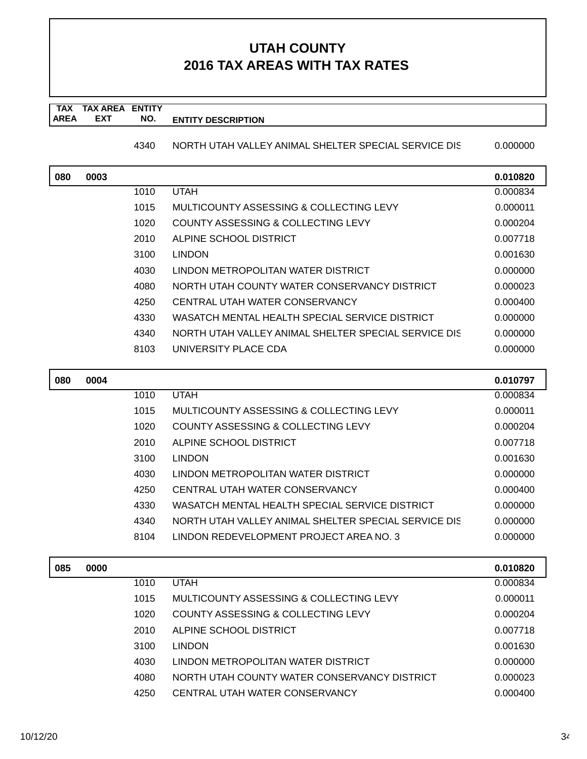#### **TAX TAX AREA ENTITY AREA ENTITY DESCRIPTION EXT NO.**

4340 NORTH UTAH VALLEY ANIMAL SHELTER SPECIAL SERVICE DIS 0.000000

| 080 | 0003 |      |                                                      | 0.010820 |
|-----|------|------|------------------------------------------------------|----------|
|     |      | 1010 | <b>UTAH</b>                                          | 0.000834 |
|     |      | 1015 | MULTICOUNTY ASSESSING & COLLECTING LEVY              | 0.000011 |
|     |      | 1020 | COUNTY ASSESSING & COLLECTING LEVY                   | 0.000204 |
|     |      | 2010 | ALPINE SCHOOL DISTRICT                               | 0.007718 |
|     |      | 3100 | <b>LINDON</b>                                        | 0.001630 |
|     |      | 4030 | LINDON METROPOLITAN WATER DISTRICT                   | 0.000000 |
|     |      | 4080 | NORTH UTAH COUNTY WATER CONSERVANCY DISTRICT         | 0.000023 |
|     |      | 4250 | CENTRAL UTAH WATER CONSERVANCY                       | 0.000400 |
|     |      | 4330 | WASATCH MENTAL HEALTH SPECIAL SERVICE DISTRICT       | 0.000000 |
|     |      | 4340 | NORTH UTAH VALLEY ANIMAL SHELTER SPECIAL SERVICE DIS | 0.000000 |
|     |      | 8103 | UNIVERSITY PLACE CDA                                 | 0.000000 |
|     |      |      |                                                      |          |

| 080 | 0004 |      |                                                      | 0.010797 |
|-----|------|------|------------------------------------------------------|----------|
|     |      | 1010 | <b>UTAH</b>                                          | 0.000834 |
|     |      | 1015 | MULTICOUNTY ASSESSING & COLLECTING LEVY              | 0.000011 |
|     |      | 1020 | COUNTY ASSESSING & COLLECTING LEVY                   | 0.000204 |
|     |      | 2010 | ALPINE SCHOOL DISTRICT                               | 0.007718 |
|     |      | 3100 | <b>LINDON</b>                                        | 0.001630 |
|     |      | 4030 | LINDON METROPOLITAN WATER DISTRICT                   | 0.000000 |
|     |      | 4250 | CENTRAL UTAH WATER CONSERVANCY                       | 0.000400 |
|     |      | 4330 | WASATCH MENTAL HEALTH SPECIAL SERVICE DISTRICT       | 0.000000 |
|     |      | 4340 | NORTH UTAH VALLEY ANIMAL SHELTER SPECIAL SERVICE DIS | 0.000000 |
|     |      | 8104 | LINDON REDEVELOPMENT PROJECT AREA NO. 3              | 0.000000 |

| 085 | 0000 |      |                                              | 0.010820 |
|-----|------|------|----------------------------------------------|----------|
|     |      | 1010 | <b>UTAH</b>                                  | 0.000834 |
|     |      | 1015 | MULTICOUNTY ASSESSING & COLLECTING LEVY      | 0.000011 |
|     |      | 1020 | COUNTY ASSESSING & COLLECTING LEVY           | 0.000204 |
|     |      | 2010 | ALPINE SCHOOL DISTRICT                       | 0.007718 |
|     |      | 3100 | <b>LINDON</b>                                | 0.001630 |
|     |      | 4030 | LINDON METROPOLITAN WATER DISTRICT           | 0.000000 |
|     |      | 4080 | NORTH UTAH COUNTY WATER CONSERVANCY DISTRICT | 0.000023 |
|     |      | 4250 | CENTRAL UTAH WATER CONSERVANCY               | 0.000400 |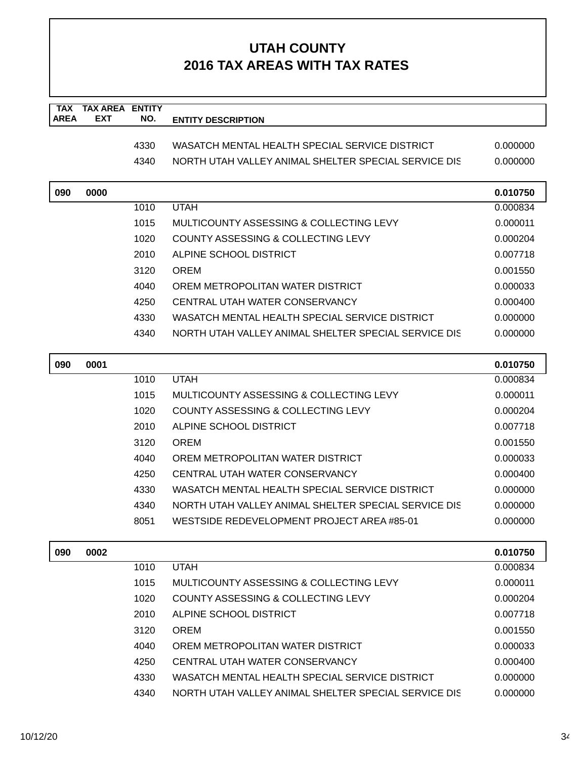| <b>TAX</b>  | <b>TAX AREA ENTITY</b> |      |                                                      |          |
|-------------|------------------------|------|------------------------------------------------------|----------|
| <b>AREA</b> | <b>EXT</b>             | NO.  | <b>ENTITY DESCRIPTION</b>                            |          |
|             |                        | 4330 | WASATCH MENTAL HEALTH SPECIAL SERVICE DISTRICT       | 0.000000 |
|             |                        | 4340 | NORTH UTAH VALLEY ANIMAL SHELTER SPECIAL SERVICE DIS | 0.000000 |
|             |                        |      |                                                      |          |
| 090         | 0000                   |      |                                                      | 0.010750 |
|             |                        | 1010 | <b>UTAH</b>                                          | 0.000834 |
|             |                        | 1015 | MULTICOUNTY ASSESSING & COLLECTING LEVY              | 0.000011 |
|             |                        | 1020 | COUNTY ASSESSING & COLLECTING LEVY                   | 0.000204 |
|             |                        | 2010 | ALPINE SCHOOL DISTRICT                               | 0.007718 |
|             |                        | 3120 | <b>OREM</b>                                          | 0.001550 |
|             |                        | 4040 | OREM METROPOLITAN WATER DISTRICT                     | 0.000033 |
|             |                        | 4250 | CENTRAL UTAH WATER CONSERVANCY                       | 0.000400 |
|             |                        | 4330 | WASATCH MENTAL HEALTH SPECIAL SERVICE DISTRICT       | 0.000000 |
|             |                        | 4340 | NORTH UTAH VALLEY ANIMAL SHELTER SPECIAL SERVICE DIS | 0.000000 |
|             |                        |      |                                                      |          |
| 090         | 0001                   |      |                                                      | 0.010750 |
|             |                        | 1010 | <b>UTAH</b>                                          | 0.000834 |
|             |                        | 1015 | MULTICOUNTY ASSESSING & COLLECTING LEVY              | 0.000011 |
|             |                        | 1020 | COUNTY ASSESSING & COLLECTING LEVY                   | 0.000204 |
|             |                        | 2010 | ALPINE SCHOOL DISTRICT                               | 0.007718 |
|             |                        | 3120 | <b>OREM</b>                                          | 0.001550 |
|             |                        | 4040 | OREM METROPOLITAN WATER DISTRICT                     | 0.000033 |
|             |                        | 4250 | CENTRAL UTAH WATER CONSERVANCY                       | 0.000400 |
|             |                        | 4330 | WASATCH MENTAL HEALTH SPECIAL SERVICE DISTRICT       | 0.000000 |
|             |                        | 4340 | NORTH UTAH VALLEY ANIMAL SHELTER SPECIAL SERVICE DIS | 0.000000 |
|             |                        | 8051 | WESTSIDE REDEVELOPMENT PROJECT AREA #85-01           | 0.000000 |
| 090         | 0002                   |      |                                                      | 0.010750 |
|             |                        | 1010 | <b>UTAH</b>                                          | 0.000834 |
|             |                        | 1015 | MULTICOUNTY ASSESSING & COLLECTING LEVY              | 0.000011 |
|             |                        | 1020 | COUNTY ASSESSING & COLLECTING LEVY                   | 0.000204 |
|             |                        | 2010 | ALPINE SCHOOL DISTRICT                               | 0.007718 |
|             |                        | 3120 | <b>OREM</b>                                          | 0.001550 |
|             |                        | 4040 | OREM METROPOLITAN WATER DISTRICT                     | 0.000033 |
|             |                        | 4250 | CENTRAL UTAH WATER CONSERVANCY                       | 0.000400 |
|             |                        | 4330 | WASATCH MENTAL HEALTH SPECIAL SERVICE DISTRICT       | 0.000000 |
|             |                        | 4340 | NORTH UTAH VALLEY ANIMAL SHELTER SPECIAL SERVICE DIS | 0.000000 |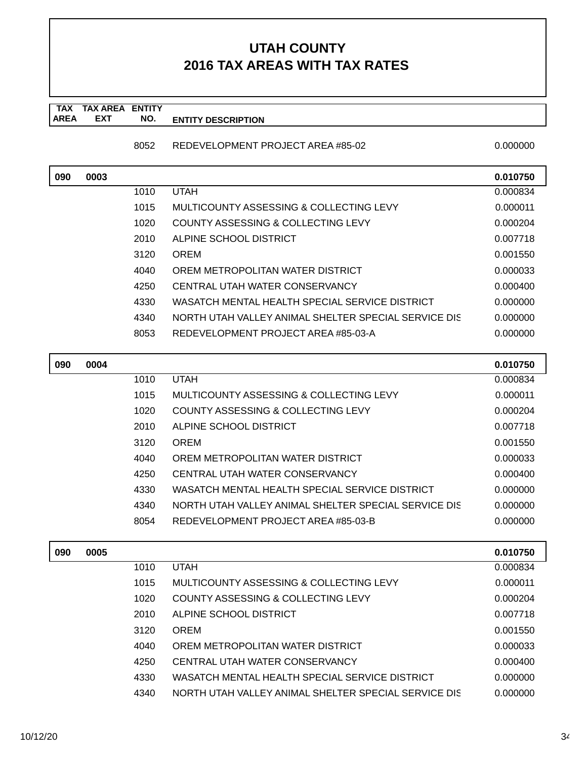**TAX TAX AREA ENTITY AREA ENTITY DESCRIPTION EXT NO.**

### 8052 REDEVELOPMENT PROJECT AREA #85-02 0.000000 0.000000

| 090 | 0003 |      |                                                      | 0.010750 |
|-----|------|------|------------------------------------------------------|----------|
|     |      | 1010 | <b>UTAH</b>                                          | 0.000834 |
|     |      | 1015 | MULTICOUNTY ASSESSING & COLLECTING LEVY              | 0.000011 |
|     |      | 1020 | COUNTY ASSESSING & COLLECTING LEVY                   | 0.000204 |
|     |      | 2010 | ALPINE SCHOOL DISTRICT                               | 0.007718 |
|     |      | 3120 | <b>OREM</b>                                          | 0.001550 |
|     |      | 4040 | OREM METROPOLITAN WATER DISTRICT                     | 0.000033 |
|     |      | 4250 | CENTRAL UTAH WATER CONSERVANCY                       | 0.000400 |
|     |      | 4330 | WASATCH MENTAL HEALTH SPECIAL SERVICE DISTRICT       | 0.000000 |
|     |      | 4340 | NORTH UTAH VALLEY ANIMAL SHELTER SPECIAL SERVICE DIS | 0.000000 |
|     |      | 8053 | REDEVELOPMENT PROJECT AREA #85-03-A                  | 0.000000 |

| 090 | 0004 |      |                                                      | 0.010750 |
|-----|------|------|------------------------------------------------------|----------|
|     |      | 1010 | <b>UTAH</b>                                          | 0.000834 |
|     |      | 1015 | MULTICOUNTY ASSESSING & COLLECTING LEVY              | 0.000011 |
|     |      | 1020 | COUNTY ASSESSING & COLLECTING LEVY                   | 0.000204 |
|     |      | 2010 | ALPINE SCHOOL DISTRICT                               | 0.007718 |
|     |      | 3120 | <b>OREM</b>                                          | 0.001550 |
|     |      | 4040 | OREM METROPOLITAN WATER DISTRICT                     | 0.000033 |
|     |      | 4250 | CENTRAL UTAH WATER CONSERVANCY                       | 0.000400 |
|     |      | 4330 | WASATCH MENTAL HEALTH SPECIAL SERVICE DISTRICT       | 0.000000 |
|     |      | 4340 | NORTH UTAH VALLEY ANIMAL SHELTER SPECIAL SERVICE DIS | 0.000000 |
|     |      | 8054 | REDEVELOPMENT PROJECT AREA #85-03-B                  | 0.000000 |

| 090 | 0005 |      |                                                      | 0.010750 |
|-----|------|------|------------------------------------------------------|----------|
|     |      | 1010 | <b>UTAH</b>                                          | 0.000834 |
|     |      | 1015 | MULTICOUNTY ASSESSING & COLLECTING LEVY              | 0.000011 |
|     |      | 1020 | COUNTY ASSESSING & COLLECTING LEVY                   | 0.000204 |
|     |      | 2010 | ALPINE SCHOOL DISTRICT                               | 0.007718 |
|     |      | 3120 | <b>OREM</b>                                          | 0.001550 |
|     |      | 4040 | OREM METROPOLITAN WATER DISTRICT                     | 0.000033 |
|     |      | 4250 | CENTRAL UTAH WATER CONSERVANCY                       | 0.000400 |
|     |      | 4330 | WASATCH MENTAL HEALTH SPECIAL SERVICE DISTRICT       | 0.000000 |
|     |      | 4340 | NORTH UTAH VALLEY ANIMAL SHELTER SPECIAL SERVICE DIS | 0.000000 |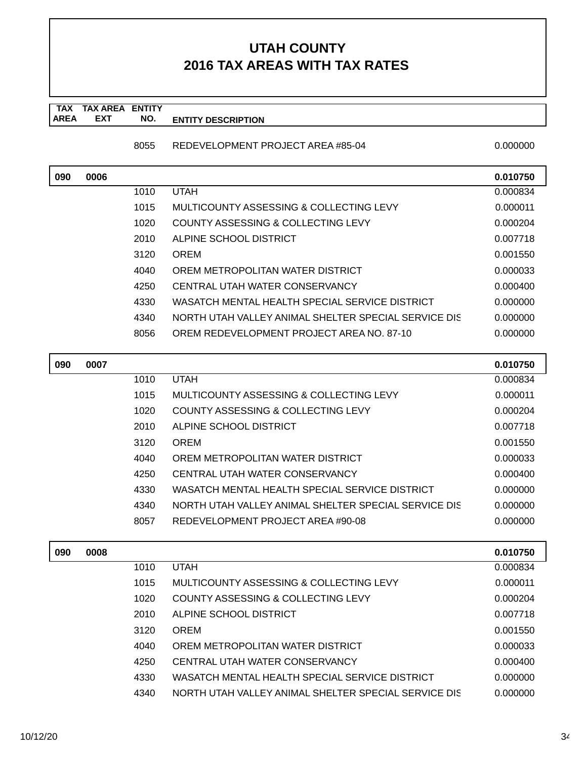**TAX TAX AREA ENTITY AREA ENTITY DESCRIPTION EXT NO.**

### 8055 REDEVELOPMENT PROJECT AREA #85-04 0.000000 0.000000

| 090 | 0006 |      |                                                      | 0.010750 |
|-----|------|------|------------------------------------------------------|----------|
|     |      | 1010 | <b>UTAH</b>                                          | 0.000834 |
|     |      | 1015 | MULTICOUNTY ASSESSING & COLLECTING LEVY              | 0.000011 |
|     |      | 1020 | COUNTY ASSESSING & COLLECTING LEVY                   | 0.000204 |
|     |      | 2010 | ALPINE SCHOOL DISTRICT                               | 0.007718 |
|     |      | 3120 | <b>OREM</b>                                          | 0.001550 |
|     |      | 4040 | OREM METROPOLITAN WATER DISTRICT                     | 0.000033 |
|     |      | 4250 | CENTRAL UTAH WATER CONSERVANCY                       | 0.000400 |
|     |      | 4330 | WASATCH MENTAL HEALTH SPECIAL SERVICE DISTRICT       | 0.000000 |
|     |      | 4340 | NORTH UTAH VALLEY ANIMAL SHELTER SPECIAL SERVICE DIS | 0.000000 |
|     |      | 8056 | OREM REDEVELOPMENT PROJECT AREA NO. 87-10            | 0.000000 |

| 090 | 0007 |      |                                                      | 0.010750 |
|-----|------|------|------------------------------------------------------|----------|
|     |      | 1010 | <b>UTAH</b>                                          | 0.000834 |
|     |      | 1015 | MULTICOUNTY ASSESSING & COLLECTING LEVY              | 0.000011 |
|     |      | 1020 | COUNTY ASSESSING & COLLECTING LEVY                   | 0.000204 |
|     |      | 2010 | ALPINE SCHOOL DISTRICT                               | 0.007718 |
|     |      | 3120 | <b>OREM</b>                                          | 0.001550 |
|     |      | 4040 | OREM METROPOLITAN WATER DISTRICT                     | 0.000033 |
|     |      | 4250 | CENTRAL UTAH WATER CONSERVANCY                       | 0.000400 |
|     |      | 4330 | WASATCH MENTAL HEALTH SPECIAL SERVICE DISTRICT       | 0.000000 |
|     |      | 4340 | NORTH UTAH VALLEY ANIMAL SHELTER SPECIAL SERVICE DIS | 0.000000 |
|     |      | 8057 | REDEVELOPMENT PROJECT AREA #90-08                    | 0.000000 |
|     |      |      |                                                      |          |

| 090 | 0008 |      |                                                      | 0.010750 |
|-----|------|------|------------------------------------------------------|----------|
|     |      | 1010 | <b>UTAH</b>                                          | 0.000834 |
|     |      | 1015 | MULTICOUNTY ASSESSING & COLLECTING LEVY              | 0.000011 |
|     |      | 1020 | COUNTY ASSESSING & COLLECTING LEVY                   | 0.000204 |
|     |      | 2010 | ALPINE SCHOOL DISTRICT                               | 0.007718 |
|     |      | 3120 | <b>OREM</b>                                          | 0.001550 |
|     |      | 4040 | OREM METROPOLITAN WATER DISTRICT                     | 0.000033 |
|     |      | 4250 | CENTRAL UTAH WATER CONSERVANCY                       | 0.000400 |
|     |      | 4330 | WASATCH MENTAL HEALTH SPECIAL SERVICE DISTRICT       | 0.000000 |
|     |      | 4340 | NORTH UTAH VALLEY ANIMAL SHELTER SPECIAL SERVICE DIS | 0.000000 |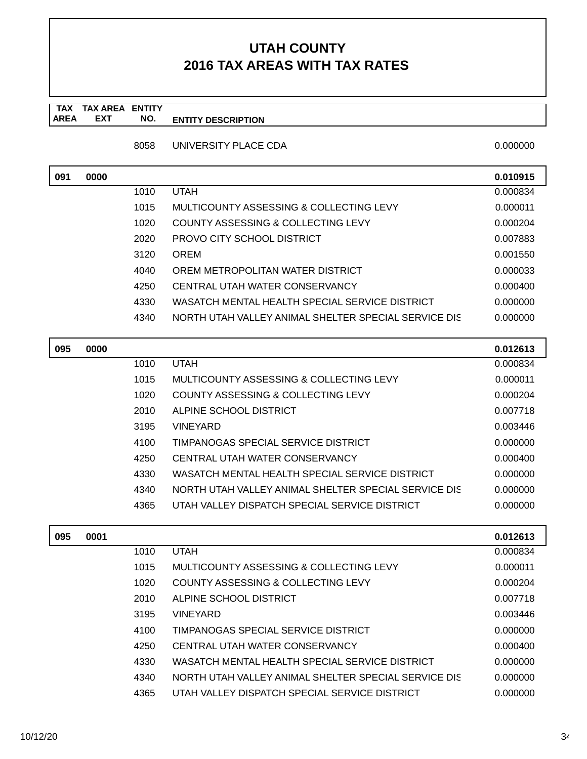#### **TAX TAX AREA ENTITY AREA ENTITY DESCRIPTION EXT NO.**

8058 UNIVERSITY PLACE CDA 6.000000 0.000000

| 091 | 0000 |      |                                                      | 0.010915 |
|-----|------|------|------------------------------------------------------|----------|
|     |      | 1010 | <b>UTAH</b>                                          | 0.000834 |
|     |      | 1015 | MULTICOUNTY ASSESSING & COLLECTING LEVY              | 0.000011 |
|     |      | 1020 | COUNTY ASSESSING & COLLECTING LEVY                   | 0.000204 |
|     |      | 2020 | PROVO CITY SCHOOL DISTRICT                           | 0.007883 |
|     |      | 3120 | <b>OREM</b>                                          | 0.001550 |
|     |      | 4040 | OREM METROPOLITAN WATER DISTRICT                     | 0.000033 |
|     |      | 4250 | CENTRAL UTAH WATER CONSERVANCY                       | 0.000400 |
|     |      | 4330 | WASATCH MENTAL HEALTH SPECIAL SERVICE DISTRICT       | 0.000000 |
|     |      | 4340 | NORTH UTAH VALLEY ANIMAL SHELTER SPECIAL SERVICE DIS | 0.000000 |

| 095 | 0000 |      |                                                      | 0.012613 |
|-----|------|------|------------------------------------------------------|----------|
|     |      | 1010 | <b>UTAH</b>                                          | 0.000834 |
|     |      | 1015 | MULTICOUNTY ASSESSING & COLLECTING LEVY              | 0.000011 |
|     |      | 1020 | COUNTY ASSESSING & COLLECTING LEVY                   | 0.000204 |
|     |      | 2010 | ALPINE SCHOOL DISTRICT                               | 0.007718 |
|     |      | 3195 | VINEYARD                                             | 0.003446 |
|     |      | 4100 | TIMPANOGAS SPECIAL SERVICE DISTRICT                  | 0.000000 |
|     |      | 4250 | CENTRAL UTAH WATER CONSERVANCY                       | 0.000400 |
|     |      | 4330 | WASATCH MENTAL HEALTH SPECIAL SERVICE DISTRICT       | 0.000000 |
|     |      | 4340 | NORTH UTAH VALLEY ANIMAL SHELTER SPECIAL SERVICE DIS | 0.000000 |
|     |      | 4365 | UTAH VALLEY DISPATCH SPECIAL SERVICE DISTRICT        | 0.000000 |

| 095 | 0001 |      |                                                      | 0.012613 |
|-----|------|------|------------------------------------------------------|----------|
|     |      | 1010 | <b>UTAH</b>                                          | 0.000834 |
|     |      | 1015 | MULTICOUNTY ASSESSING & COLLECTING LEVY              | 0.000011 |
|     |      | 1020 | COUNTY ASSESSING & COLLECTING LEVY                   | 0.000204 |
|     |      | 2010 | ALPINE SCHOOL DISTRICT                               | 0.007718 |
|     |      | 3195 | <b>VINEYARD</b>                                      | 0.003446 |
|     |      | 4100 | TIMPANOGAS SPECIAL SERVICE DISTRICT                  | 0.000000 |
|     |      | 4250 | CENTRAL UTAH WATER CONSERVANCY                       | 0.000400 |
|     |      | 4330 | WASATCH MENTAL HEALTH SPECIAL SERVICE DISTRICT       | 0.000000 |
|     |      | 4340 | NORTH UTAH VALLEY ANIMAL SHELTER SPECIAL SERVICE DIS | 0.000000 |
|     |      | 4365 | UTAH VALLEY DISPATCH SPECIAL SERVICE DISTRICT        | 0.000000 |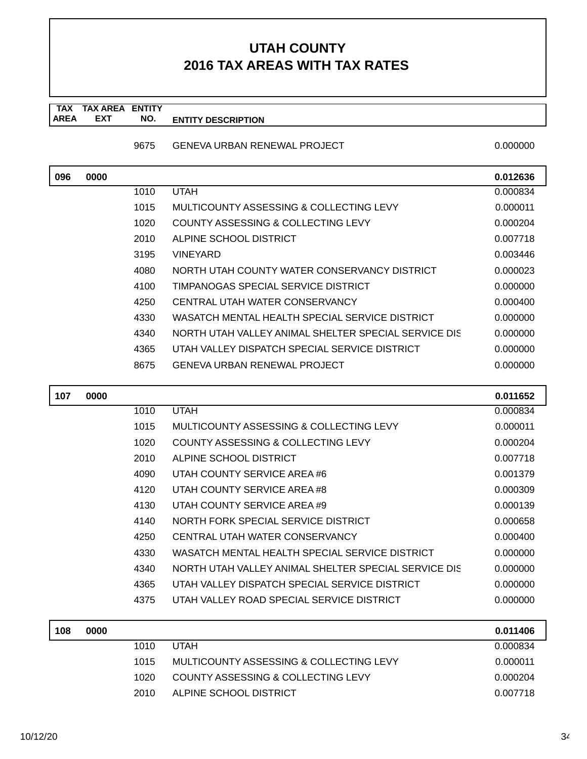**TAX TAX AREA ENTITY AREA ENTITY DESCRIPTION EXT NO.**

### 9675 GENEVA URBAN RENEWAL PROJECT

|  | 0.000000 |
|--|----------|
|  |          |
|  |          |

| 096 | 0000 |      |                                                      | 0.012636 |
|-----|------|------|------------------------------------------------------|----------|
|     |      | 1010 | <b>UTAH</b>                                          | 0.000834 |
|     |      | 1015 | MULTICOUNTY ASSESSING & COLLECTING LEVY              | 0.000011 |
|     |      | 1020 | COUNTY ASSESSING & COLLECTING LEVY                   | 0.000204 |
|     |      | 2010 | ALPINE SCHOOL DISTRICT                               | 0.007718 |
|     |      | 3195 | <b>VINEYARD</b>                                      | 0.003446 |
|     |      | 4080 | NORTH UTAH COUNTY WATER CONSERVANCY DISTRICT         | 0.000023 |
|     |      | 4100 | TIMPANOGAS SPECIAL SERVICE DISTRICT                  | 0.000000 |
|     |      | 4250 | CENTRAL UTAH WATER CONSERVANCY                       | 0.000400 |
|     |      | 4330 | WASATCH MENTAL HEALTH SPECIAL SERVICE DISTRICT       | 0.000000 |
|     |      | 4340 | NORTH UTAH VALLEY ANIMAL SHELTER SPECIAL SERVICE DIS | 0.000000 |
|     |      | 4365 | UTAH VALLEY DISPATCH SPECIAL SERVICE DISTRICT        | 0.000000 |
|     |      | 8675 | <b>GENEVA URBAN RENEWAL PROJECT</b>                  | 0.000000 |
|     |      |      |                                                      |          |

| 107 | 0000 |      |                                                      | 0.011652 |
|-----|------|------|------------------------------------------------------|----------|
|     |      | 1010 | <b>UTAH</b>                                          | 0.000834 |
|     |      | 1015 | MULTICOUNTY ASSESSING & COLLECTING LEVY              | 0.000011 |
|     |      | 1020 | COUNTY ASSESSING & COLLECTING LEVY                   | 0.000204 |
|     |      | 2010 | ALPINE SCHOOL DISTRICT                               | 0.007718 |
|     |      | 4090 | UTAH COUNTY SERVICE AREA #6                          | 0.001379 |
|     |      | 4120 | UTAH COUNTY SERVICE AREA #8                          | 0.000309 |
|     |      | 4130 | UTAH COUNTY SERVICE AREA #9                          | 0.000139 |
|     |      | 4140 | NORTH FORK SPECIAL SERVICE DISTRICT                  | 0.000658 |
|     |      | 4250 | CENTRAL UTAH WATER CONSERVANCY                       | 0.000400 |
|     |      | 4330 | WASATCH MENTAL HEALTH SPECIAL SERVICE DISTRICT       | 0.000000 |
|     |      | 4340 | NORTH UTAH VALLEY ANIMAL SHELTER SPECIAL SERVICE DIS | 0.000000 |
|     |      | 4365 | UTAH VALLEY DISPATCH SPECIAL SERVICE DISTRICT        | 0.000000 |
|     |      | 4375 | UTAH VALLEY ROAD SPECIAL SERVICE DISTRICT            | 0.000000 |
|     |      |      |                                                      |          |

| 108 | 0000 |       |                                         | 0.011406 |
|-----|------|-------|-----------------------------------------|----------|
|     |      | 1010  | <b>UTAH</b>                             | 0.000834 |
|     |      | 1015  | MULTICOUNTY ASSESSING & COLLECTING LEVY | 0.000011 |
|     |      | 1020. | COUNTY ASSESSING & COLLECTING LEVY      | 0.000204 |
|     |      | 2010. | ALPINE SCHOOL DISTRICT                  | 0.007718 |
|     |      |       |                                         |          |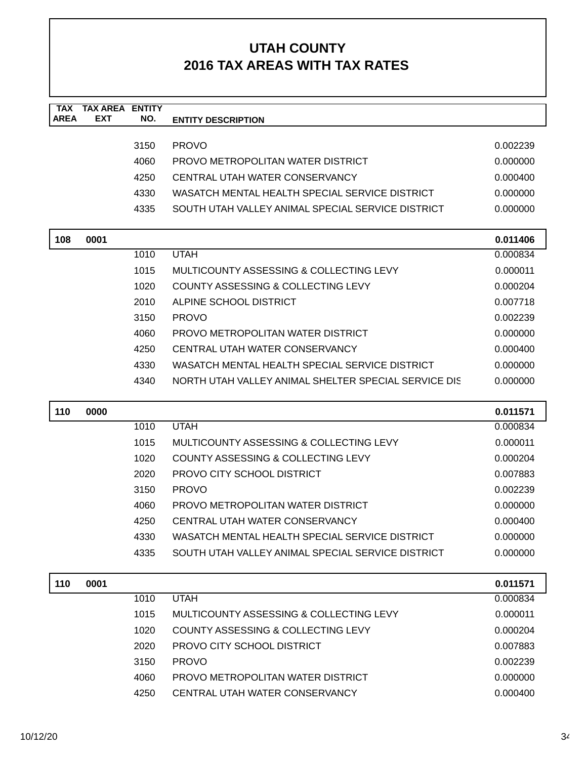| <b>TAX</b><br><b>AREA</b> | <b>TAX AREA ENTITY</b><br><b>EXT</b> | NO.  | <b>ENTITY DESCRIPTION</b>                            |          |
|---------------------------|--------------------------------------|------|------------------------------------------------------|----------|
|                           |                                      |      |                                                      |          |
|                           |                                      | 3150 | <b>PROVO</b>                                         | 0.002239 |
|                           |                                      | 4060 | PROVO METROPOLITAN WATER DISTRICT                    | 0.000000 |
|                           |                                      | 4250 | CENTRAL UTAH WATER CONSERVANCY                       | 0.000400 |
|                           |                                      | 4330 | WASATCH MENTAL HEALTH SPECIAL SERVICE DISTRICT       | 0.000000 |
|                           |                                      | 4335 | SOUTH UTAH VALLEY ANIMAL SPECIAL SERVICE DISTRICT    | 0.000000 |
|                           |                                      |      |                                                      |          |
| 108                       | 0001                                 |      |                                                      | 0.011406 |
|                           |                                      | 1010 | <b>UTAH</b>                                          | 0.000834 |
|                           |                                      | 1015 | MULTICOUNTY ASSESSING & COLLECTING LEVY              | 0.000011 |
|                           |                                      | 1020 | COUNTY ASSESSING & COLLECTING LEVY                   | 0.000204 |
|                           |                                      | 2010 | ALPINE SCHOOL DISTRICT                               | 0.007718 |
|                           |                                      | 3150 | <b>PROVO</b>                                         | 0.002239 |
|                           |                                      | 4060 | PROVO METROPOLITAN WATER DISTRICT                    | 0.000000 |
|                           |                                      | 4250 | CENTRAL UTAH WATER CONSERVANCY                       | 0.000400 |
|                           |                                      | 4330 | WASATCH MENTAL HEALTH SPECIAL SERVICE DISTRICT       | 0.000000 |
|                           |                                      | 4340 | NORTH UTAH VALLEY ANIMAL SHELTER SPECIAL SERVICE DIS | 0.000000 |
|                           |                                      |      |                                                      |          |
| 110                       | 0000                                 |      | <b>UTAH</b>                                          | 0.011571 |
|                           |                                      | 1010 | MULTICOUNTY ASSESSING & COLLECTING LEVY              | 0.000834 |
|                           |                                      | 1015 |                                                      | 0.000011 |
|                           |                                      | 1020 | COUNTY ASSESSING & COLLECTING LEVY                   | 0.000204 |
|                           |                                      | 2020 | PROVO CITY SCHOOL DISTRICT                           | 0.007883 |
|                           |                                      | 3150 | <b>PROVO</b>                                         | 0.002239 |
|                           |                                      | 4060 | PROVO METROPOLITAN WATER DISTRICT                    | 0.000000 |
|                           |                                      | 4250 | CENTRAL UTAH WATER CONSERVANCY                       | 0.000400 |
|                           |                                      | 4330 | WASATCH MENTAL HEALTH SPECIAL SERVICE DISTRICT       | 0.000000 |
|                           |                                      | 4335 | SOUTH UTAH VALLEY ANIMAL SPECIAL SERVICE DISTRICT    | 0.000000 |
| 110                       | 0001                                 |      |                                                      | 0.011571 |
|                           |                                      | 1010 | <b>UTAH</b>                                          | 0.000834 |
|                           |                                      | 1015 | MULTICOUNTY ASSESSING & COLLECTING LEVY              | 0.000011 |
|                           |                                      | 1020 | COUNTY ASSESSING & COLLECTING LEVY                   | 0.000204 |
|                           |                                      | 2020 | PROVO CITY SCHOOL DISTRICT                           | 0.007883 |
|                           |                                      | 3150 | <b>PROVO</b>                                         | 0.002239 |
|                           |                                      | 4060 | PROVO METROPOLITAN WATER DISTRICT                    | 0.000000 |
|                           |                                      | 4250 | CENTRAL UTAH WATER CONSERVANCY                       | 0.000400 |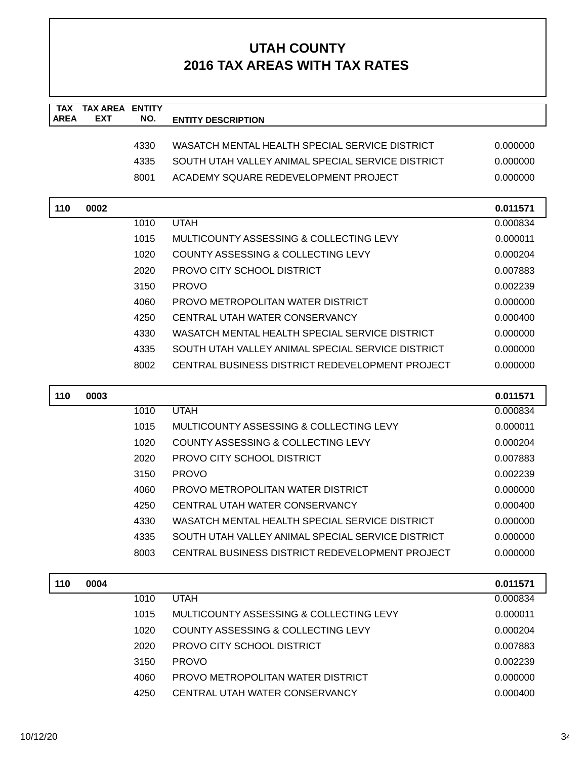| <b>TAX</b><br><b>AREA</b> | <b>TAX AREA ENTITY</b><br><b>EXT</b> | NO.  | <b>ENTITY DESCRIPTION</b>                         |          |
|---------------------------|--------------------------------------|------|---------------------------------------------------|----------|
|                           |                                      |      |                                                   |          |
|                           |                                      | 4330 | WASATCH MENTAL HEALTH SPECIAL SERVICE DISTRICT    | 0.000000 |
|                           |                                      | 4335 | SOUTH UTAH VALLEY ANIMAL SPECIAL SERVICE DISTRICT | 0.000000 |
|                           |                                      | 8001 | ACADEMY SQUARE REDEVELOPMENT PROJECT              | 0.000000 |
| 110                       | 0002                                 |      |                                                   | 0.011571 |
|                           |                                      | 1010 | <b>UTAH</b>                                       | 0.000834 |
|                           |                                      | 1015 | MULTICOUNTY ASSESSING & COLLECTING LEVY           | 0.000011 |
|                           |                                      | 1020 | COUNTY ASSESSING & COLLECTING LEVY                | 0.000204 |
|                           |                                      | 2020 | PROVO CITY SCHOOL DISTRICT                        | 0.007883 |
|                           |                                      | 3150 | <b>PROVO</b>                                      | 0.002239 |
|                           |                                      | 4060 | PROVO METROPOLITAN WATER DISTRICT                 | 0.000000 |
|                           |                                      | 4250 | CENTRAL UTAH WATER CONSERVANCY                    | 0.000400 |
|                           |                                      | 4330 | WASATCH MENTAL HEALTH SPECIAL SERVICE DISTRICT    | 0.000000 |
|                           |                                      | 4335 | SOUTH UTAH VALLEY ANIMAL SPECIAL SERVICE DISTRICT | 0.000000 |
|                           |                                      | 8002 | CENTRAL BUSINESS DISTRICT REDEVELOPMENT PROJECT   | 0.000000 |
| 110                       | 0003                                 |      |                                                   | 0.011571 |
|                           |                                      | 1010 | <b>UTAH</b>                                       | 0.000834 |
|                           |                                      | 1015 | MULTICOUNTY ASSESSING & COLLECTING LEVY           | 0.000011 |
|                           |                                      | 1020 | COUNTY ASSESSING & COLLECTING LEVY                | 0.000204 |
|                           |                                      | 2020 | PROVO CITY SCHOOL DISTRICT                        | 0.007883 |
|                           |                                      | 3150 | <b>PROVO</b>                                      | 0.002239 |
|                           |                                      | 4060 | PROVO METROPOLITAN WATER DISTRICT                 | 0.000000 |
|                           |                                      | 4250 | CENTRAL UTAH WATER CONSERVANCY                    | 0.000400 |
|                           |                                      | 4330 | WASATCH MENTAL HEALTH SPECIAL SERVICE DISTRICT    | 0.000000 |
|                           |                                      | 4335 | SOUTH UTAH VALLEY ANIMAL SPECIAL SERVICE DISTRICT | 0.000000 |
|                           |                                      | 8003 | CENTRAL BUSINESS DISTRICT REDEVELOPMENT PROJECT   | 0.000000 |
| 110                       | 0004                                 |      |                                                   | 0.011571 |
|                           |                                      | 1010 | <b>UTAH</b>                                       | 0.000834 |
|                           |                                      | 1015 | MULTICOUNTY ASSESSING & COLLECTING LEVY           | 0.000011 |
|                           |                                      | 1020 | COUNTY ASSESSING & COLLECTING LEVY                | 0.000204 |
|                           |                                      | 2020 | PROVO CITY SCHOOL DISTRICT                        | 0.007883 |
|                           |                                      | 3150 | <b>PROVO</b>                                      | 0.002239 |
|                           |                                      | 4060 | PROVO METROPOLITAN WATER DISTRICT                 | 0.000000 |
|                           |                                      | 4250 | CENTRAL UTAH WATER CONSERVANCY                    | 0.000400 |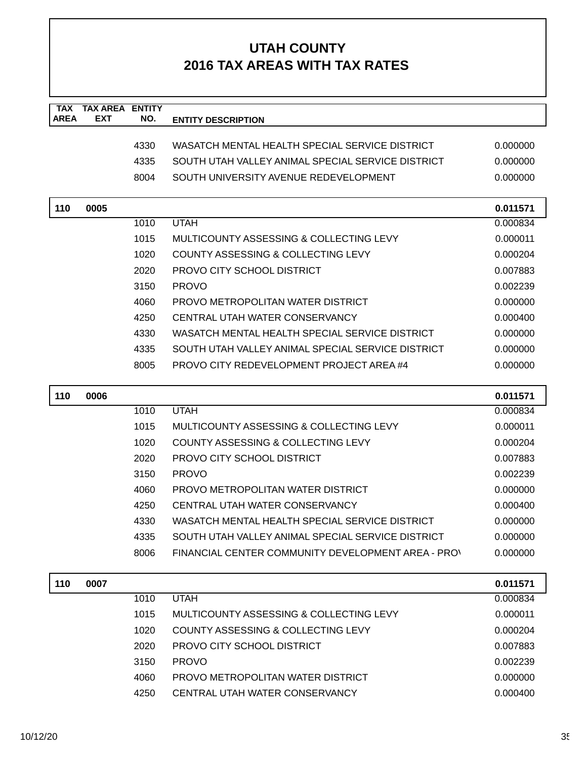| <b>TAX</b><br><b>AREA</b> | <b>TAX AREA</b><br><b>EXT</b> | <b>ENTITY</b><br>NO. |                                                    |          |
|---------------------------|-------------------------------|----------------------|----------------------------------------------------|----------|
|                           |                               |                      | <b>ENTITY DESCRIPTION</b>                          |          |
|                           |                               | 4330                 | WASATCH MENTAL HEALTH SPECIAL SERVICE DISTRICT     | 0.000000 |
|                           |                               | 4335                 | SOUTH UTAH VALLEY ANIMAL SPECIAL SERVICE DISTRICT  | 0.000000 |
|                           |                               | 8004                 | SOUTH UNIVERSITY AVENUE REDEVELOPMENT              | 0.000000 |
|                           |                               |                      |                                                    |          |
| 110                       | 0005                          |                      |                                                    | 0.011571 |
|                           |                               | 1010                 | <b>UTAH</b>                                        | 0.000834 |
|                           |                               | 1015                 | MULTICOUNTY ASSESSING & COLLECTING LEVY            | 0.000011 |
|                           |                               | 1020                 | COUNTY ASSESSING & COLLECTING LEVY                 | 0.000204 |
|                           |                               | 2020                 | PROVO CITY SCHOOL DISTRICT                         | 0.007883 |
|                           |                               | 3150                 | <b>PROVO</b>                                       | 0.002239 |
|                           |                               | 4060                 | PROVO METROPOLITAN WATER DISTRICT                  | 0.000000 |
|                           |                               | 4250                 | CENTRAL UTAH WATER CONSERVANCY                     | 0.000400 |
|                           |                               | 4330                 | WASATCH MENTAL HEALTH SPECIAL SERVICE DISTRICT     | 0.000000 |
|                           |                               | 4335                 | SOUTH UTAH VALLEY ANIMAL SPECIAL SERVICE DISTRICT  | 0.000000 |
|                           |                               | 8005                 | PROVO CITY REDEVELOPMENT PROJECT AREA #4           | 0.000000 |
|                           |                               |                      |                                                    |          |
| 110                       | 0006                          |                      |                                                    | 0.011571 |
|                           |                               | 1010                 | <b>UTAH</b>                                        | 0.000834 |
|                           |                               | 1015                 | MULTICOUNTY ASSESSING & COLLECTING LEVY            | 0.000011 |
|                           |                               | 1020                 | COUNTY ASSESSING & COLLECTING LEVY                 | 0.000204 |
|                           |                               | 2020                 | PROVO CITY SCHOOL DISTRICT                         | 0.007883 |
|                           |                               | 3150                 | <b>PROVO</b>                                       | 0.002239 |
|                           |                               | 4060                 | PROVO METROPOLITAN WATER DISTRICT                  | 0.000000 |
|                           |                               | 4250                 | CENTRAL UTAH WATER CONSERVANCY                     | 0.000400 |
|                           |                               | 4330                 | WASATCH MENTAL HEALTH SPECIAL SERVICE DISTRICT     | 0.000000 |
|                           |                               | 4335                 | SOUTH UTAH VALLEY ANIMAL SPECIAL SERVICE DISTRICT  | 0.000000 |
|                           |                               | 8006                 | FINANCIAL CENTER COMMUNITY DEVELOPMENT AREA - PRO' | 0.000000 |
| 110                       | 0007                          |                      |                                                    | 0.011571 |
|                           |                               | 1010                 | <b>UTAH</b>                                        | 0.000834 |
|                           |                               | 1015                 | MULTICOUNTY ASSESSING & COLLECTING LEVY            | 0.000011 |
|                           |                               | 1020                 | COUNTY ASSESSING & COLLECTING LEVY                 | 0.000204 |
|                           |                               | 2020                 | PROVO CITY SCHOOL DISTRICT                         | 0.007883 |
|                           |                               | 3150                 | <b>PROVO</b>                                       | 0.002239 |
|                           |                               | 4060                 | PROVO METROPOLITAN WATER DISTRICT                  | 0.000000 |
|                           |                               | 4250                 | CENTRAL UTAH WATER CONSERVANCY                     | 0.000400 |
|                           |                               |                      |                                                    |          |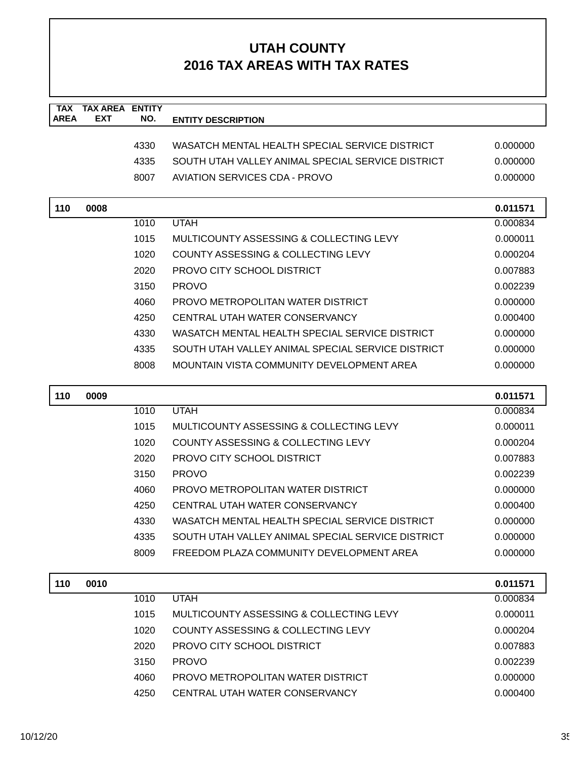| <b>TAX</b>  | <b>TAX AREA ENTITY</b> |      |                                                   |          |
|-------------|------------------------|------|---------------------------------------------------|----------|
| <b>AREA</b> | <b>EXT</b>             | NO.  | <b>ENTITY DESCRIPTION</b>                         |          |
|             |                        | 4330 | WASATCH MENTAL HEALTH SPECIAL SERVICE DISTRICT    | 0.000000 |
|             |                        | 4335 | SOUTH UTAH VALLEY ANIMAL SPECIAL SERVICE DISTRICT | 0.000000 |
|             |                        | 8007 | <b>AVIATION SERVICES CDA - PROVO</b>              | 0.000000 |
|             |                        |      |                                                   |          |
| 110         | 0008                   |      |                                                   | 0.011571 |
|             |                        | 1010 | <b>UTAH</b>                                       | 0.000834 |
|             |                        | 1015 | MULTICOUNTY ASSESSING & COLLECTING LEVY           | 0.000011 |
|             |                        | 1020 | COUNTY ASSESSING & COLLECTING LEVY                | 0.000204 |
|             |                        | 2020 | PROVO CITY SCHOOL DISTRICT                        | 0.007883 |
|             |                        | 3150 | <b>PROVO</b>                                      | 0.002239 |
|             |                        | 4060 | PROVO METROPOLITAN WATER DISTRICT                 | 0.000000 |
|             |                        | 4250 | CENTRAL UTAH WATER CONSERVANCY                    | 0.000400 |
|             |                        | 4330 | WASATCH MENTAL HEALTH SPECIAL SERVICE DISTRICT    | 0.000000 |
|             |                        | 4335 | SOUTH UTAH VALLEY ANIMAL SPECIAL SERVICE DISTRICT | 0.000000 |
|             |                        | 8008 | MOUNTAIN VISTA COMMUNITY DEVELOPMENT AREA         | 0.000000 |
|             |                        |      |                                                   |          |
| 110         | 0009                   |      |                                                   | 0.011571 |
|             |                        | 1010 | <b>UTAH</b>                                       | 0.000834 |
|             |                        | 1015 | MULTICOUNTY ASSESSING & COLLECTING LEVY           | 0.000011 |
|             |                        | 1020 | COUNTY ASSESSING & COLLECTING LEVY                | 0.000204 |
|             |                        | 2020 | PROVO CITY SCHOOL DISTRICT                        | 0.007883 |
|             |                        | 3150 | <b>PROVO</b>                                      | 0.002239 |
|             |                        | 4060 | PROVO METROPOLITAN WATER DISTRICT                 | 0.000000 |
|             |                        | 4250 | CENTRAL UTAH WATER CONSERVANCY                    | 0.000400 |
|             |                        | 4330 | WASATCH MENTAL HEALTH SPECIAL SERVICE DISTRICT    | 0.000000 |
|             |                        | 4335 | SOUTH UTAH VALLEY ANIMAL SPECIAL SERVICE DISTRICT | 0.000000 |
|             |                        | 8009 | FREEDOM PLAZA COMMUNITY DEVELOPMENT AREA          | 0.000000 |
|             |                        |      |                                                   |          |
| 110         | 0010                   |      |                                                   | 0.011571 |
|             |                        | 1010 | <b>UTAH</b>                                       | 0.000834 |
|             |                        | 1015 | MULTICOUNTY ASSESSING & COLLECTING LEVY           | 0.000011 |
|             |                        | 1020 | <b>COUNTY ASSESSING &amp; COLLECTING LEVY</b>     | 0.000204 |
|             |                        | 2020 | <b>PROVO CITY SCHOOL DISTRICT</b>                 | 0.007883 |
|             |                        | 3150 | <b>PROVO</b>                                      | 0.002239 |
|             |                        | 4060 | PROVO METROPOLITAN WATER DISTRICT                 | 0.000000 |
|             |                        | 4250 | CENTRAL UTAH WATER CONSERVANCY                    | 0.000400 |
|             |                        |      |                                                   |          |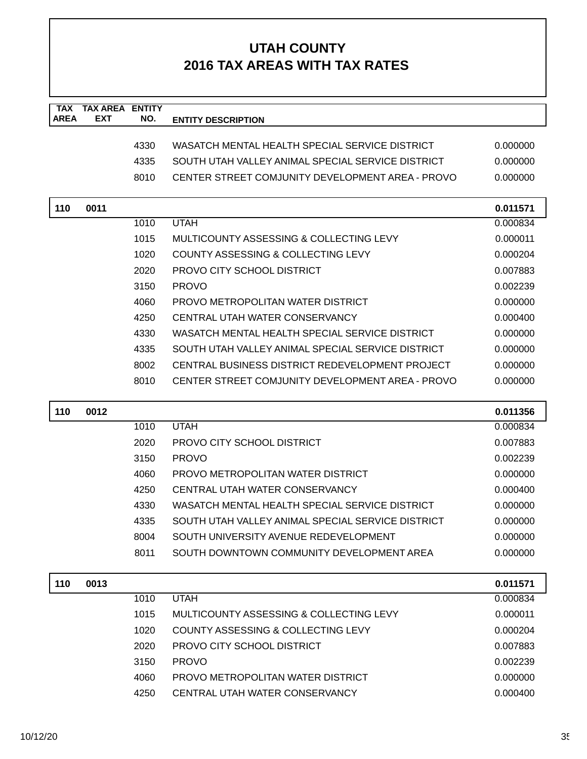| <b>TAX</b><br><b>AREA</b> | <b>TAX AREA</b><br><b>EXT</b> | <b>ENTITY</b><br>NO. |                                                   |          |
|---------------------------|-------------------------------|----------------------|---------------------------------------------------|----------|
|                           |                               |                      | <b>ENTITY DESCRIPTION</b>                         |          |
|                           |                               | 4330                 | WASATCH MENTAL HEALTH SPECIAL SERVICE DISTRICT    | 0.000000 |
|                           |                               | 4335                 | SOUTH UTAH VALLEY ANIMAL SPECIAL SERVICE DISTRICT | 0.000000 |
|                           |                               | 8010                 | CENTER STREET COMJUNITY DEVELOPMENT AREA - PROVO  | 0.000000 |
|                           |                               |                      |                                                   |          |
| 110                       | 0011                          |                      |                                                   | 0.011571 |
|                           |                               | 1010                 | <b>UTAH</b>                                       | 0.000834 |
|                           |                               | 1015                 | MULTICOUNTY ASSESSING & COLLECTING LEVY           | 0.000011 |
|                           |                               | 1020                 | <b>COUNTY ASSESSING &amp; COLLECTING LEVY</b>     | 0.000204 |
|                           |                               | 2020                 | PROVO CITY SCHOOL DISTRICT                        | 0.007883 |
|                           |                               | 3150                 | <b>PROVO</b>                                      | 0.002239 |
|                           |                               | 4060                 | PROVO METROPOLITAN WATER DISTRICT                 | 0.000000 |
|                           |                               | 4250                 | CENTRAL UTAH WATER CONSERVANCY                    | 0.000400 |
|                           |                               | 4330                 | WASATCH MENTAL HEALTH SPECIAL SERVICE DISTRICT    | 0.000000 |
|                           |                               | 4335                 | SOUTH UTAH VALLEY ANIMAL SPECIAL SERVICE DISTRICT | 0.000000 |
|                           |                               | 8002                 | CENTRAL BUSINESS DISTRICT REDEVELOPMENT PROJECT   | 0.000000 |
|                           |                               | 8010                 | CENTER STREET COMJUNITY DEVELOPMENT AREA - PROVO  | 0.000000 |
|                           |                               |                      |                                                   |          |
|                           | 0012                          |                      |                                                   |          |
| 110                       |                               |                      |                                                   | 0.011356 |
|                           |                               | 1010                 | <b>UTAH</b>                                       | 0.000834 |
|                           |                               | 2020                 | PROVO CITY SCHOOL DISTRICT                        | 0.007883 |
|                           |                               | 3150                 | <b>PROVO</b>                                      | 0.002239 |
|                           |                               | 4060                 | PROVO METROPOLITAN WATER DISTRICT                 | 0.000000 |
|                           |                               | 4250                 | CENTRAL UTAH WATER CONSERVANCY                    | 0.000400 |
|                           |                               | 4330                 | WASATCH MENTAL HEALTH SPECIAL SERVICE DISTRICT    | 0.000000 |
|                           |                               | 4335                 | SOUTH UTAH VALLEY ANIMAL SPECIAL SERVICE DISTRICT | 0.000000 |
|                           |                               | 8004                 | SOUTH UNIVERSITY AVENUE REDEVELOPMENT             | 0.000000 |
|                           |                               | 8011                 | SOUTH DOWNTOWN COMMUNITY DEVELOPMENT AREA         | 0.000000 |
|                           |                               |                      |                                                   |          |
| 110                       | 0013                          |                      |                                                   | 0.011571 |
|                           |                               | 1010                 | <b>UTAH</b>                                       | 0.000834 |
|                           |                               | 1015                 | MULTICOUNTY ASSESSING & COLLECTING LEVY           | 0.000011 |
|                           |                               | 1020                 | <b>COUNTY ASSESSING &amp; COLLECTING LEVY</b>     | 0.000204 |
|                           |                               | 2020                 | <b>PROVO CITY SCHOOL DISTRICT</b>                 | 0.007883 |
|                           |                               | 3150                 | <b>PROVO</b>                                      | 0.002239 |
|                           |                               | 4060                 | PROVO METROPOLITAN WATER DISTRICT                 | 0.000000 |
|                           |                               | 4250                 | CENTRAL UTAH WATER CONSERVANCY                    | 0.000400 |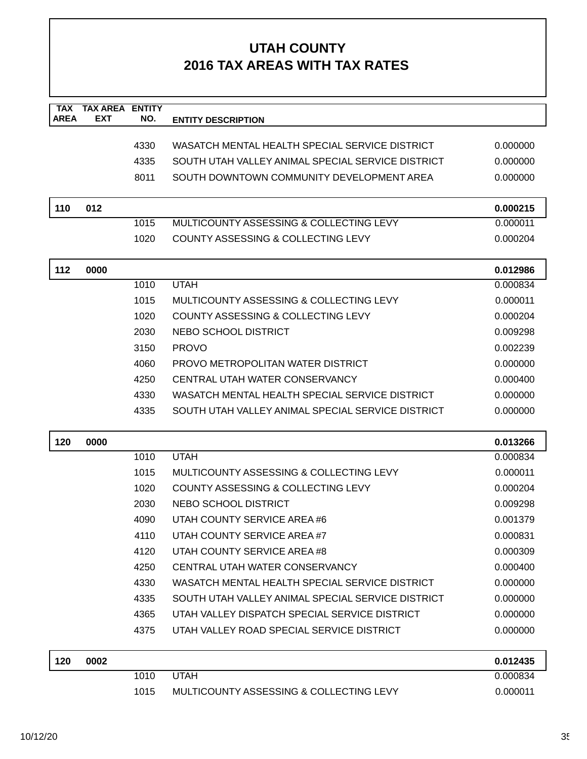| <b>TAX</b><br><b>AREA</b> | <b>TAX AREA ENTITY</b><br>EXT | NO.  | <b>ENTITY DESCRIPTION</b>                         |          |
|---------------------------|-------------------------------|------|---------------------------------------------------|----------|
|                           |                               |      |                                                   |          |
|                           |                               | 4330 | WASATCH MENTAL HEALTH SPECIAL SERVICE DISTRICT    | 0.000000 |
|                           |                               | 4335 | SOUTH UTAH VALLEY ANIMAL SPECIAL SERVICE DISTRICT | 0.000000 |
|                           |                               | 8011 | SOUTH DOWNTOWN COMMUNITY DEVELOPMENT AREA         | 0.000000 |
| 110                       | 012                           |      |                                                   | 0.000215 |
|                           |                               | 1015 | MULTICOUNTY ASSESSING & COLLECTING LEVY           | 0.000011 |
|                           |                               | 1020 | <b>COUNTY ASSESSING &amp; COLLECTING LEVY</b>     | 0.000204 |
| 112                       | 0000                          |      |                                                   | 0.012986 |
|                           |                               | 1010 | <b>UTAH</b>                                       | 0.000834 |
|                           |                               | 1015 | MULTICOUNTY ASSESSING & COLLECTING LEVY           | 0.000011 |
|                           |                               | 1020 | COUNTY ASSESSING & COLLECTING LEVY                | 0.000204 |
|                           |                               | 2030 | NEBO SCHOOL DISTRICT                              | 0.009298 |
|                           |                               | 3150 | <b>PROVO</b>                                      | 0.002239 |
|                           |                               | 4060 | PROVO METROPOLITAN WATER DISTRICT                 | 0.000000 |
|                           |                               | 4250 | CENTRAL UTAH WATER CONSERVANCY                    | 0.000400 |
|                           |                               | 4330 | WASATCH MENTAL HEALTH SPECIAL SERVICE DISTRICT    | 0.000000 |
|                           |                               | 4335 | SOUTH UTAH VALLEY ANIMAL SPECIAL SERVICE DISTRICT | 0.000000 |
| 120                       | 0000                          |      |                                                   | 0.013266 |
|                           |                               | 1010 | <b>UTAH</b>                                       | 0.000834 |
|                           |                               | 1015 | MULTICOUNTY ASSESSING & COLLECTING LEVY           | 0.000011 |
|                           |                               | 1020 | <b>COUNTY ASSESSING &amp; COLLECTING LEVY</b>     | 0.000204 |
|                           |                               | 2030 | NEBO SCHOOL DISTRICT                              | 0.009298 |
|                           |                               | 4090 | UTAH COUNTY SERVICE AREA #6                       | 0.001379 |
|                           |                               | 4110 | UTAH COUNTY SERVICE AREA #7                       | 0.000831 |
|                           |                               | 4120 | UTAH COUNTY SERVICE AREA#8                        | 0.000309 |
|                           |                               | 4250 | CENTRAL UTAH WATER CONSERVANCY                    | 0.000400 |
|                           |                               | 4330 | WASATCH MENTAL HEALTH SPECIAL SERVICE DISTRICT    | 0.000000 |
|                           |                               | 4335 | SOUTH UTAH VALLEY ANIMAL SPECIAL SERVICE DISTRICT | 0.000000 |
|                           |                               | 4365 | UTAH VALLEY DISPATCH SPECIAL SERVICE DISTRICT     | 0.000000 |
|                           |                               | 4375 | UTAH VALLEY ROAD SPECIAL SERVICE DISTRICT         | 0.000000 |
| 120                       | 0002                          |      |                                                   | 0.012435 |
|                           |                               | 1010 | <b>UTAH</b>                                       | 0.000834 |
|                           |                               | 1015 | MULTICOUNTY ASSESSING & COLLECTING LEVY           | 0.000011 |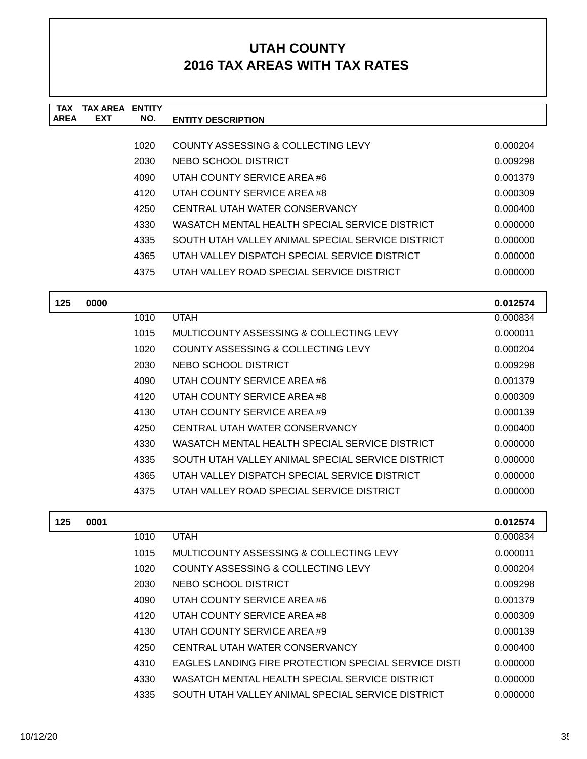| <b>TAX</b>  | <b>TAX AREA ENTITY</b> |      |                                                   |                 |
|-------------|------------------------|------|---------------------------------------------------|-----------------|
| <b>AREA</b> | <b>EXT</b>             | NO.  | <b>ENTITY DESCRIPTION</b>                         |                 |
|             |                        | 1020 | COUNTY ASSESSING & COLLECTING LEVY                | 0.000204        |
|             |                        | 2030 | NEBO SCHOOL DISTRICT                              | 0.009298        |
|             |                        | 4090 | UTAH COUNTY SERVICE AREA #6                       | 0.001379        |
|             |                        | 4120 | UTAH COUNTY SERVICE AREA #8                       | 0.000309        |
|             |                        | 4250 | CENTRAL UTAH WATER CONSERVANCY                    | 0.000400        |
|             |                        | 4330 | WASATCH MENTAL HEALTH SPECIAL SERVICE DISTRICT    | 0.000000        |
|             |                        | 4335 | SOUTH UTAH VALLEY ANIMAL SPECIAL SERVICE DISTRICT | 0.000000        |
|             |                        | 4365 | UTAH VALLEY DISPATCH SPECIAL SERVICE DISTRICT     | 0.000000        |
|             |                        | 4375 | UTAH VALLEY ROAD SPECIAL SERVICE DISTRICT         | 0.000000        |
|             |                        |      |                                                   |                 |
| 125         | 0000                   |      |                                                   | 0.012574        |
|             |                        | 1010 | <b>UTAH</b>                                       | 0.000834        |
|             |                        | 1015 | MULTICOUNTY ASSESSING & COLLECTING LEVY           | 0.000011        |
|             |                        | 1020 | COUNTY ASSESSING & COLLECTING LEVY                | 0.000204        |
|             |                        | 2030 | NEBO SCHOOL DISTRICT                              | 0.009298        |
|             |                        | 4090 | UTAH COUNTY SERVICE AREA #6                       | 0.001379        |
|             |                        | 4120 | UTAH COUNTY SERVICE AREA #8                       | 0.000309        |
|             |                        | 4130 | UTAH COUNTY SERVICE AREA #9                       | 0.000139        |
|             |                        | 4250 | CENTRAL UTAH WATER CONSERVANCY                    | 0.000400        |
|             |                        | 4330 | WASATCH MENTAL HEALTH SPECIAL SERVICE DISTRICT    | 0.000000        |
|             |                        | 4335 | SOUTH UTAH VALLEY ANIMAL SPECIAL SERVICE DISTRICT | 0.000000        |
|             |                        | 4365 | UTAH VALLEY DISPATCH SPECIAL SERVICE DISTRICT     | 0.000000        |
|             |                        | 4375 | UTAH VALLEY ROAD SPECIAL SERVICE DISTRICT         | 0.000000        |
|             |                        |      |                                                   |                 |
| 125         | 0001                   |      |                                                   | 0.012574        |
|             |                        | 1010 | <b>UTAH</b>                                       | 0.000834        |
|             |                        | 1015 | MULTICOUNTY ASSESSING & COLLECTING LEVY           | 0.000011        |
|             |                        | 1020 | COUNTY ASSESSING & COLLECTING LEVY                | <u>በ በበበ2በ4</u> |

| 1020 | COUNTY ASSESSING & COLLECTING LEVY                   | 0.000204 |
|------|------------------------------------------------------|----------|
| 2030 | NEBO SCHOOL DISTRICT                                 | 0.009298 |
| 4090 | UTAH COUNTY SERVICE AREA #6                          | 0.001379 |
| 4120 | UTAH COUNTY SERVICE AREA #8                          | 0.000309 |
| 4130 | UTAH COUNTY SERVICE AREA #9                          | 0.000139 |
| 4250 | CENTRAL UTAH WATER CONSERVANCY                       | 0.000400 |
| 4310 | EAGLES LANDING FIRE PROTECTION SPECIAL SERVICE DISTI | 0.000000 |
| 4330 | WASATCH MENTAL HEALTH SPECIAL SERVICE DISTRICT       | 0.000000 |
| 4335 | SOUTH UTAH VALLEY ANIMAL SPECIAL SERVICE DISTRICT    | 0.000000 |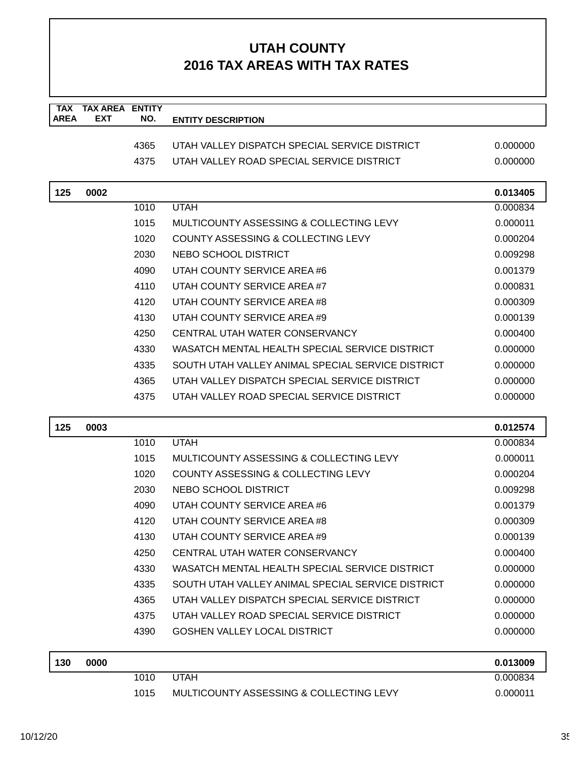| <b>TAX</b><br><b>AREA</b> | <b>TAX AREA ENTITY</b><br><b>EXT</b> | NO.  | <b>ENTITY DESCRIPTION</b>                         |          |
|---------------------------|--------------------------------------|------|---------------------------------------------------|----------|
|                           |                                      |      |                                                   |          |
|                           |                                      | 4365 | UTAH VALLEY DISPATCH SPECIAL SERVICE DISTRICT     | 0.000000 |
|                           |                                      | 4375 | UTAH VALLEY ROAD SPECIAL SERVICE DISTRICT         | 0.000000 |
| 125                       | 0002                                 |      |                                                   | 0.013405 |
|                           |                                      | 1010 | <b>UTAH</b>                                       | 0.000834 |
|                           |                                      | 1015 | MULTICOUNTY ASSESSING & COLLECTING LEVY           | 0.000011 |
|                           |                                      | 1020 | COUNTY ASSESSING & COLLECTING LEVY                | 0.000204 |
|                           |                                      | 2030 | NEBO SCHOOL DISTRICT                              | 0.009298 |
|                           |                                      | 4090 | UTAH COUNTY SERVICE AREA #6                       | 0.001379 |
|                           |                                      | 4110 | UTAH COUNTY SERVICE AREA#7                        | 0.000831 |
|                           |                                      | 4120 | UTAH COUNTY SERVICE AREA #8                       | 0.000309 |
|                           |                                      | 4130 | UTAH COUNTY SERVICE AREA #9                       | 0.000139 |
|                           |                                      | 4250 | CENTRAL UTAH WATER CONSERVANCY                    | 0.000400 |
|                           |                                      | 4330 | WASATCH MENTAL HEALTH SPECIAL SERVICE DISTRICT    | 0.000000 |
|                           |                                      | 4335 | SOUTH UTAH VALLEY ANIMAL SPECIAL SERVICE DISTRICT | 0.000000 |
|                           |                                      | 4365 | UTAH VALLEY DISPATCH SPECIAL SERVICE DISTRICT     | 0.000000 |
|                           |                                      | 4375 | UTAH VALLEY ROAD SPECIAL SERVICE DISTRICT         | 0.000000 |
| 125                       | 0003                                 |      |                                                   | 0.012574 |
|                           |                                      | 1010 | <b>UTAH</b>                                       | 0.000834 |
|                           |                                      | 1015 | MULTICOUNTY ASSESSING & COLLECTING LEVY           | 0.000011 |
|                           |                                      | 1020 | <b>COUNTY ASSESSING &amp; COLLECTING LEVY</b>     | 0.000204 |
|                           |                                      | 2030 | NEBO SCHOOL DISTRICT                              | 0.009298 |
|                           |                                      | 4090 | UTAH COUNTY SERVICE AREA #6                       | 0.001379 |
|                           |                                      | 4120 | UTAH COUNTY SERVICE AREA #8                       | 0.000309 |
|                           |                                      | 4130 | UTAH COUNTY SERVICE AREA #9                       | 0.000139 |
|                           |                                      | 4250 | CENTRAL UTAH WATER CONSERVANCY                    | 0.000400 |
|                           |                                      | 4330 | WASATCH MENTAL HEALTH SPECIAL SERVICE DISTRICT    | 0.000000 |
|                           |                                      | 4335 | SOUTH UTAH VALLEY ANIMAL SPECIAL SERVICE DISTRICT | 0.000000 |
|                           |                                      | 4365 | UTAH VALLEY DISPATCH SPECIAL SERVICE DISTRICT     | 0.000000 |
|                           |                                      | 4375 | UTAH VALLEY ROAD SPECIAL SERVICE DISTRICT         | 0.000000 |
|                           |                                      | 4390 | <b>GOSHEN VALLEY LOCAL DISTRICT</b>               | 0.000000 |
| 130                       | 0000                                 |      |                                                   | 0.013009 |
|                           |                                      | 1010 | <b>UTAH</b>                                       | 0.000834 |
|                           |                                      | 1015 | MULTICOUNTY ASSESSING & COLLECTING LEVY           | 0.000011 |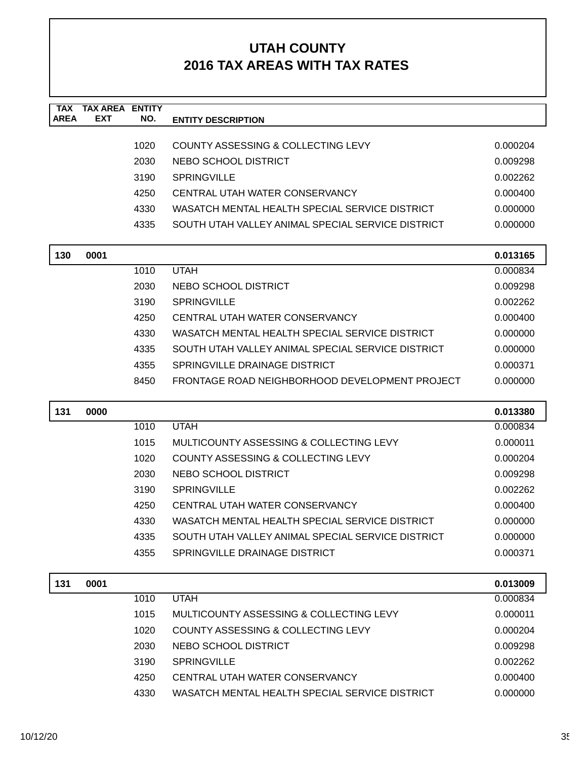| <b>TAX</b><br><b>AREA</b> | <b>TAX AREA ENTITY</b><br><b>EXT</b> | NO.  | <b>ENTITY DESCRIPTION</b>                         |          |
|---------------------------|--------------------------------------|------|---------------------------------------------------|----------|
|                           |                                      |      |                                                   |          |
|                           |                                      | 1020 | COUNTY ASSESSING & COLLECTING LEVY                | 0.000204 |
|                           |                                      | 2030 | NEBO SCHOOL DISTRICT                              | 0.009298 |
|                           |                                      | 3190 | <b>SPRINGVILLE</b>                                | 0.002262 |
|                           |                                      | 4250 | CENTRAL UTAH WATER CONSERVANCY                    | 0.000400 |
|                           |                                      | 4330 | WASATCH MENTAL HEALTH SPECIAL SERVICE DISTRICT    | 0.000000 |
|                           |                                      | 4335 | SOUTH UTAH VALLEY ANIMAL SPECIAL SERVICE DISTRICT | 0.000000 |
| 130                       | 0001                                 |      |                                                   | 0.013165 |
|                           |                                      | 1010 | <b>UTAH</b>                                       | 0.000834 |
|                           |                                      | 2030 | NEBO SCHOOL DISTRICT                              | 0.009298 |
|                           |                                      | 3190 | <b>SPRINGVILLE</b>                                | 0.002262 |
|                           |                                      | 4250 | CENTRAL UTAH WATER CONSERVANCY                    | 0.000400 |
|                           |                                      | 4330 | WASATCH MENTAL HEALTH SPECIAL SERVICE DISTRICT    | 0.000000 |
|                           |                                      | 4335 | SOUTH UTAH VALLEY ANIMAL SPECIAL SERVICE DISTRICT | 0.000000 |
|                           |                                      | 4355 | SPRINGVILLE DRAINAGE DISTRICT                     | 0.000371 |
|                           |                                      | 8450 | FRONTAGE ROAD NEIGHBORHOOD DEVELOPMENT PROJECT    | 0.000000 |
| 131                       | 0000                                 |      |                                                   | 0.013380 |
|                           |                                      | 1010 | <b>UTAH</b>                                       | 0.000834 |
|                           |                                      | 1015 | MULTICOUNTY ASSESSING & COLLECTING LEVY           | 0.000011 |
|                           |                                      | 1020 | COUNTY ASSESSING & COLLECTING LEVY                | 0.000204 |
|                           |                                      | 2030 | NEBO SCHOOL DISTRICT                              | 0.009298 |
|                           |                                      | 3190 | <b>SPRINGVILLE</b>                                | 0.002262 |
|                           |                                      | 4250 | CENTRAL UTAH WATER CONSERVANCY                    | 0.000400 |
|                           |                                      | 4330 | WASATCH MENTAL HEALTH SPECIAL SERVICE DISTRICT    | 0.000000 |
|                           |                                      | 4335 | SOUTH UTAH VALLEY ANIMAL SPECIAL SERVICE DISTRICT | 0.000000 |
|                           |                                      | 4355 | SPRINGVILLE DRAINAGE DISTRICT                     | 0.000371 |
| 131                       | 0001                                 |      |                                                   | 0.013009 |
|                           |                                      |      |                                                   |          |
|                           |                                      | 1010 | <b>UTAH</b>                                       | 0.000834 |
|                           |                                      | 1015 | MULTICOUNTY ASSESSING & COLLECTING LEVY           | 0.000011 |
|                           |                                      | 1020 | COUNTY ASSESSING & COLLECTING LEVY                | 0.000204 |
|                           |                                      | 2030 | NEBO SCHOOL DISTRICT                              | 0.009298 |
|                           |                                      | 3190 | <b>SPRINGVILLE</b>                                | 0.002262 |
|                           |                                      | 4250 | CENTRAL UTAH WATER CONSERVANCY                    | 0.000400 |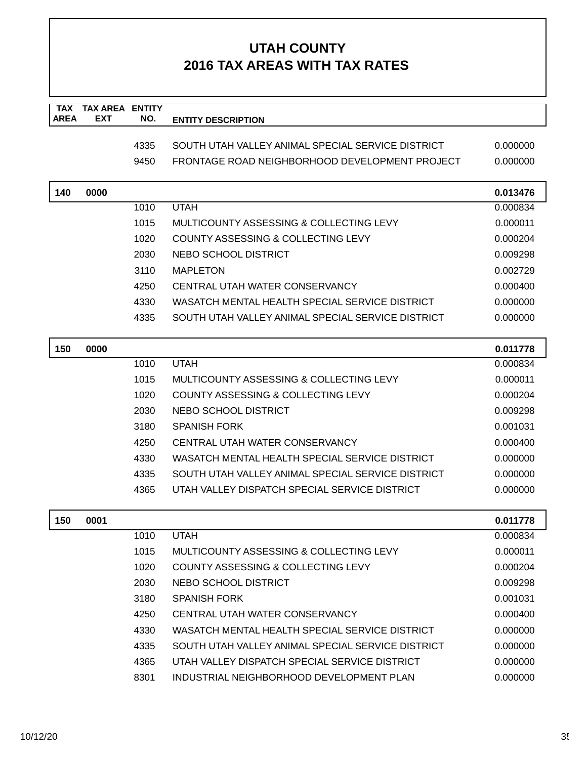| <b>TAX</b><br><b>AREA</b> | <b>TAX AREA ENTITY</b><br><b>EXT</b> | NO.  | <b>ENTITY DESCRIPTION</b>                         |          |
|---------------------------|--------------------------------------|------|---------------------------------------------------|----------|
|                           |                                      |      |                                                   |          |
|                           |                                      | 4335 | SOUTH UTAH VALLEY ANIMAL SPECIAL SERVICE DISTRICT | 0.000000 |
|                           |                                      | 9450 | FRONTAGE ROAD NEIGHBORHOOD DEVELOPMENT PROJECT    | 0.000000 |
| 140                       | 0000                                 |      |                                                   | 0.013476 |
|                           |                                      | 1010 | <b>UTAH</b>                                       | 0.000834 |
|                           |                                      | 1015 | MULTICOUNTY ASSESSING & COLLECTING LEVY           | 0.000011 |
|                           |                                      | 1020 | COUNTY ASSESSING & COLLECTING LEVY                | 0.000204 |
|                           |                                      | 2030 | NEBO SCHOOL DISTRICT                              | 0.009298 |
|                           |                                      | 3110 | <b>MAPLETON</b>                                   | 0.002729 |
|                           |                                      | 4250 | CENTRAL UTAH WATER CONSERVANCY                    | 0.000400 |
|                           |                                      | 4330 | WASATCH MENTAL HEALTH SPECIAL SERVICE DISTRICT    | 0.000000 |
|                           |                                      | 4335 | SOUTH UTAH VALLEY ANIMAL SPECIAL SERVICE DISTRICT | 0.000000 |
| 150                       | 0000                                 |      |                                                   | 0.011778 |
|                           |                                      | 1010 | <b>UTAH</b>                                       | 0.000834 |
|                           |                                      | 1015 | MULTICOUNTY ASSESSING & COLLECTING LEVY           | 0.000011 |
|                           |                                      | 1020 | COUNTY ASSESSING & COLLECTING LEVY                | 0.000204 |
|                           |                                      | 2030 | NEBO SCHOOL DISTRICT                              | 0.009298 |
|                           |                                      | 3180 | <b>SPANISH FORK</b>                               | 0.001031 |
|                           |                                      | 4250 | CENTRAL UTAH WATER CONSERVANCY                    | 0.000400 |
|                           |                                      | 4330 | WASATCH MENTAL HEALTH SPECIAL SERVICE DISTRICT    | 0.000000 |
|                           |                                      | 4335 | SOUTH UTAH VALLEY ANIMAL SPECIAL SERVICE DISTRICT | 0.000000 |
|                           |                                      | 4365 | UTAH VALLEY DISPATCH SPECIAL SERVICE DISTRICT     | 0.000000 |
| 150                       | 0001                                 |      |                                                   | 0.011778 |
|                           |                                      | 1010 | <b>UTAH</b>                                       | 0.000834 |
|                           |                                      | 1015 | MULTICOUNTY ASSESSING & COLLECTING LEVY           | 0.000011 |
|                           |                                      | 1020 | COUNTY ASSESSING & COLLECTING LEVY                | 0.000204 |
|                           |                                      | 2030 | NEBO SCHOOL DISTRICT                              | 0.009298 |
|                           |                                      | 3180 | <b>SPANISH FORK</b>                               | 0.001031 |
|                           |                                      | 4250 | CENTRAL UTAH WATER CONSERVANCY                    | 0.000400 |
|                           |                                      | 4330 | WASATCH MENTAL HEALTH SPECIAL SERVICE DISTRICT    | 0.000000 |
|                           |                                      | 4335 | SOUTH UTAH VALLEY ANIMAL SPECIAL SERVICE DISTRICT | 0.000000 |
|                           |                                      | 4365 | UTAH VALLEY DISPATCH SPECIAL SERVICE DISTRICT     | 0.000000 |
|                           |                                      | 8301 | INDUSTRIAL NEIGHBORHOOD DEVELOPMENT PLAN          | 0.000000 |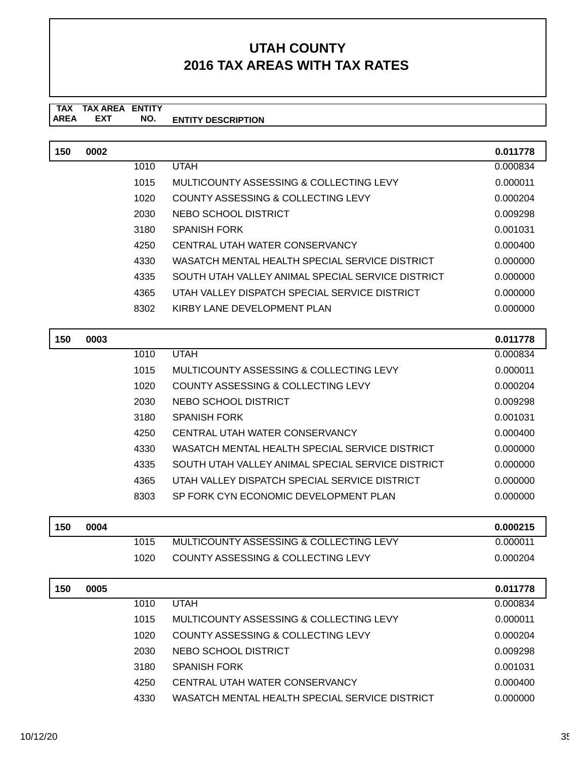#### **TAX TAX AREA ENTITY AREA ENTITY DESCRIPTION EXT NO.**

| 150 | 0002 |      |                                                   | 0.011778 |
|-----|------|------|---------------------------------------------------|----------|
|     |      | 1010 | <b>UTAH</b>                                       | 0.000834 |
|     |      | 1015 | MULTICOUNTY ASSESSING & COLLECTING LEVY           | 0.000011 |
|     |      | 1020 | <b>COUNTY ASSESSING &amp; COLLECTING LEVY</b>     | 0.000204 |
|     |      | 2030 | NEBO SCHOOL DISTRICT                              | 0.009298 |
|     |      | 3180 | <b>SPANISH FORK</b>                               | 0.001031 |
|     |      | 4250 | CENTRAL UTAH WATER CONSERVANCY                    | 0.000400 |
|     |      | 4330 | WASATCH MENTAL HEALTH SPECIAL SERVICE DISTRICT    | 0.000000 |
|     |      | 4335 | SOUTH UTAH VALLEY ANIMAL SPECIAL SERVICE DISTRICT | 0.000000 |
|     |      | 4365 | UTAH VALLEY DISPATCH SPECIAL SERVICE DISTRICT     | 0.000000 |
|     |      | 8302 | KIRBY LANE DEVELOPMENT PLAN                       | 0.000000 |
|     |      |      |                                                   |          |
| 150 | 0003 |      |                                                   | 0.011778 |
|     |      | 1010 | <b>UTAH</b>                                       | 0.000834 |
|     |      | 1015 | MULTICOUNTY ASSESSING & COLLECTING LEVY           | 0.000011 |
|     |      | 1020 | COUNTY ASSESSING & COLLECTING LEVY                | 0.000204 |
|     |      | 2030 | NEBO SCHOOL DISTRICT                              | 0.009298 |
|     |      | 3180 | <b>SPANISH FORK</b>                               | 0.001031 |
|     |      | 4250 | CENTRAL UTAH WATER CONSERVANCY                    | 0.000400 |
|     |      | 4330 | WASATCH MENTAL HEALTH SPECIAL SERVICE DISTRICT    | 0.000000 |
|     |      | 4335 | SOUTH UTAH VALLEY ANIMAL SPECIAL SERVICE DISTRICT | 0.000000 |
|     |      | 4365 | UTAH VALLEY DISPATCH SPECIAL SERVICE DISTRICT     | 0.000000 |
|     |      | 8303 | SP FORK CYN ECONOMIC DEVELOPMENT PLAN             | 0.000000 |
|     |      |      |                                                   |          |
| 150 | 0004 |      |                                                   | 0.000215 |
|     |      | 1015 | MULTICOUNTY ASSESSING & COLLECTING LEVY           | 0.000011 |
|     |      | 1020 | <b>COUNTY ASSESSING &amp; COLLECTING LEVY</b>     | 0.000204 |
|     |      |      |                                                   |          |
| 150 | 0005 |      |                                                   | 0.011778 |
|     |      | 1010 | <b>UTAH</b>                                       | 0.000834 |
|     |      | 1015 | MULTICOUNTY ASSESSING & COLLECTING LEVY           | 0.000011 |
|     |      | 1020 | COUNTY ASSESSING & COLLECTING LEVY                | 0.000204 |
|     |      | 2030 | NEBO SCHOOL DISTRICT                              | 0.009298 |
|     |      | 3180 | <b>SPANISH FORK</b>                               | 0.001031 |
|     |      | 4250 | CENTRAL UTAH WATER CONSERVANCY                    | 0.000400 |
|     |      | 4330 | WASATCH MENTAL HEALTH SPECIAL SERVICE DISTRICT    | 0.000000 |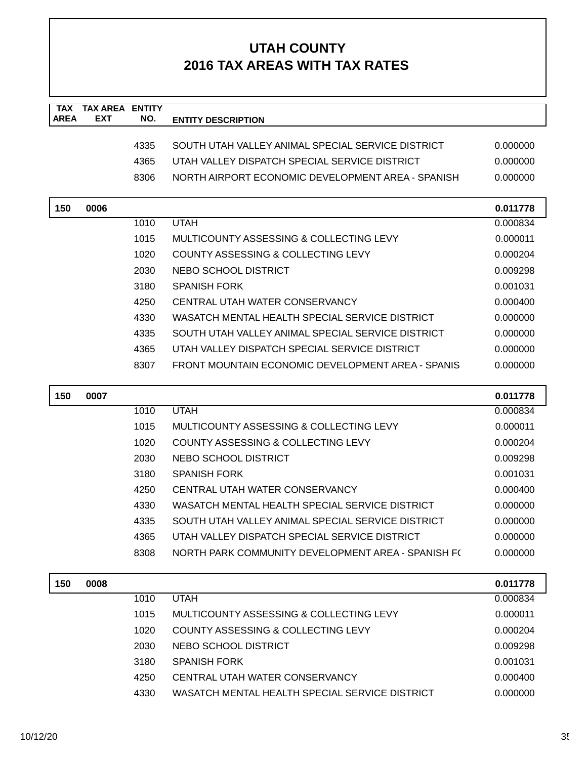| <b>TAX</b><br><b>AREA</b> | <b>TAX AREA ENTITY</b><br><b>EXT</b> | NO.  | <b>ENTITY DESCRIPTION</b>                          |          |
|---------------------------|--------------------------------------|------|----------------------------------------------------|----------|
|                           |                                      |      |                                                    |          |
|                           |                                      | 4335 | SOUTH UTAH VALLEY ANIMAL SPECIAL SERVICE DISTRICT  | 0.000000 |
|                           |                                      | 4365 | UTAH VALLEY DISPATCH SPECIAL SERVICE DISTRICT      | 0.000000 |
|                           |                                      | 8306 | NORTH AIRPORT ECONOMIC DEVELOPMENT AREA - SPANISH  | 0.000000 |
|                           |                                      |      |                                                    |          |
| 150                       | 0006                                 |      |                                                    | 0.011778 |
|                           |                                      | 1010 | <b>UTAH</b>                                        | 0.000834 |
|                           |                                      | 1015 | MULTICOUNTY ASSESSING & COLLECTING LEVY            | 0.000011 |
|                           |                                      | 1020 | COUNTY ASSESSING & COLLECTING LEVY                 | 0.000204 |
|                           |                                      | 2030 | NEBO SCHOOL DISTRICT                               | 0.009298 |
|                           |                                      | 3180 | <b>SPANISH FORK</b>                                | 0.001031 |
|                           |                                      | 4250 | CENTRAL UTAH WATER CONSERVANCY                     | 0.000400 |
|                           |                                      | 4330 | WASATCH MENTAL HEALTH SPECIAL SERVICE DISTRICT     | 0.000000 |
|                           |                                      | 4335 | SOUTH UTAH VALLEY ANIMAL SPECIAL SERVICE DISTRICT  | 0.000000 |
|                           |                                      | 4365 | UTAH VALLEY DISPATCH SPECIAL SERVICE DISTRICT      | 0.000000 |
|                           |                                      | 8307 | FRONT MOUNTAIN ECONOMIC DEVELOPMENT AREA - SPANIS  | 0.000000 |
| 150                       | 0007                                 |      |                                                    | 0.011778 |
|                           |                                      | 1010 | <b>UTAH</b>                                        | 0.000834 |
|                           |                                      | 1015 | MULTICOUNTY ASSESSING & COLLECTING LEVY            | 0.000011 |
|                           |                                      | 1020 | COUNTY ASSESSING & COLLECTING LEVY                 | 0.000204 |
|                           |                                      | 2030 | NEBO SCHOOL DISTRICT                               | 0.009298 |
|                           |                                      | 3180 | <b>SPANISH FORK</b>                                | 0.001031 |
|                           |                                      | 4250 | CENTRAL UTAH WATER CONSERVANCY                     | 0.000400 |
|                           |                                      | 4330 | WASATCH MENTAL HEALTH SPECIAL SERVICE DISTRICT     | 0.000000 |
|                           |                                      | 4335 | SOUTH UTAH VALLEY ANIMAL SPECIAL SERVICE DISTRICT  | 0.000000 |
|                           |                                      | 4365 | UTAH VALLEY DISPATCH SPECIAL SERVICE DISTRICT      | 0.000000 |
|                           |                                      | 8308 | NORTH PARK COMMUNITY DEVELOPMENT AREA - SPANISH F( | 0.000000 |
|                           |                                      |      |                                                    |          |
| 150                       | 0008                                 |      |                                                    | 0.011778 |
|                           |                                      | 1010 | <b>UTAH</b>                                        | 0.000834 |
|                           |                                      | 1015 | MULTICOUNTY ASSESSING & COLLECTING LEVY            | 0.000011 |
|                           |                                      | 1020 | COUNTY ASSESSING & COLLECTING LEVY                 | 0.000204 |
|                           |                                      | 2030 | NEBO SCHOOL DISTRICT                               | 0.009298 |
|                           |                                      | 3180 | <b>SPANISH FORK</b>                                | 0.001031 |
|                           |                                      | 4250 | CENTRAL UTAH WATER CONSERVANCY                     | 0.000400 |
|                           |                                      | 4330 | WASATCH MENTAL HEALTH SPECIAL SERVICE DISTRICT     | 0.000000 |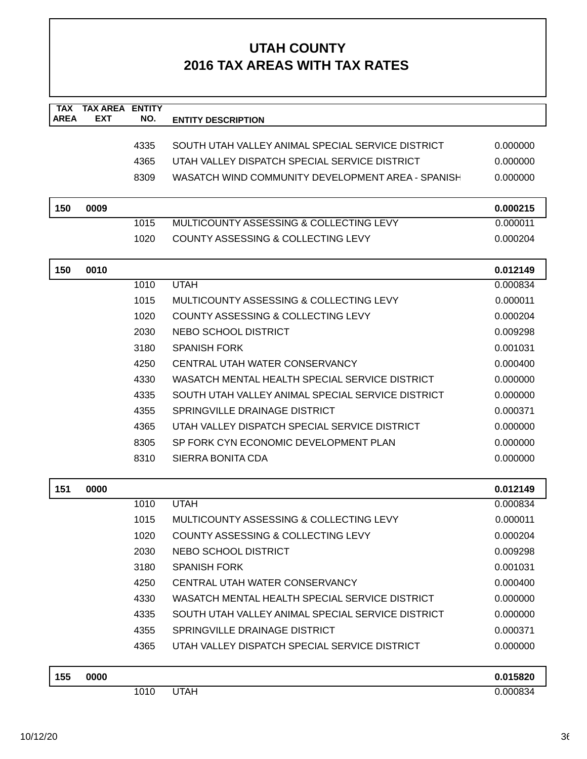| <b>TAX</b><br><b>AREA</b> | <b>TAX AREA ENTITY</b><br>EXT | NO.  | <b>ENTITY DESCRIPTION</b>                          |          |
|---------------------------|-------------------------------|------|----------------------------------------------------|----------|
|                           |                               |      |                                                    |          |
|                           |                               | 4335 | SOUTH UTAH VALLEY ANIMAL SPECIAL SERVICE DISTRICT  | 0.000000 |
|                           |                               | 4365 | UTAH VALLEY DISPATCH SPECIAL SERVICE DISTRICT      | 0.000000 |
|                           |                               | 8309 | WASATCH WIND COMMUNITY DEVELOPMENT AREA - SPANISH  | 0.000000 |
| 150                       | 0009                          |      |                                                    | 0.000215 |
|                           |                               | 1015 | MULTICOUNTY ASSESSING & COLLECTING LEVY            | 0.000011 |
|                           |                               | 1020 | COUNTY ASSESSING & COLLECTING LEVY                 | 0.000204 |
| 150                       | 0010                          |      |                                                    | 0.012149 |
|                           |                               | 1010 | <b>UTAH</b>                                        | 0.000834 |
|                           |                               | 1015 | MULTICOUNTY ASSESSING & COLLECTING LEVY            | 0.000011 |
|                           |                               | 1020 | COUNTY ASSESSING & COLLECTING LEVY                 | 0.000204 |
|                           |                               | 2030 | NEBO SCHOOL DISTRICT                               | 0.009298 |
|                           |                               | 3180 | <b>SPANISH FORK</b>                                | 0.001031 |
|                           |                               | 4250 | CENTRAL UTAH WATER CONSERVANCY                     | 0.000400 |
|                           |                               | 4330 | WASATCH MENTAL HEALTH SPECIAL SERVICE DISTRICT     | 0.000000 |
|                           |                               | 4335 | SOUTH UTAH VALLEY ANIMAL SPECIAL SERVICE DISTRICT  | 0.000000 |
|                           |                               | 4355 | <b>SPRINGVILLE DRAINAGE DISTRICT</b>               | 0.000371 |
|                           |                               | 4365 | UTAH VALLEY DISPATCH SPECIAL SERVICE DISTRICT      | 0.000000 |
|                           |                               | 8305 | SP FORK CYN ECONOMIC DEVELOPMENT PLAN              | 0.000000 |
|                           |                               | 8310 | SIERRA BONITA CDA                                  | 0.000000 |
| 151                       | 0000                          |      |                                                    | 0.012149 |
|                           |                               | 1010 | <b>UTAH</b>                                        | 0.000834 |
|                           |                               | 1015 | <b>MULTICOUNTY ASSESSING &amp; COLLECTING LEVY</b> | 0.000011 |
|                           |                               | 1020 | <b>COUNTY ASSESSING &amp; COLLECTING LEVY</b>      | 0.000204 |
|                           |                               | 2030 | NEBO SCHOOL DISTRICT                               | 0.009298 |
|                           |                               | 3180 | <b>SPANISH FORK</b>                                | 0.001031 |
|                           |                               | 4250 | CENTRAL UTAH WATER CONSERVANCY                     | 0.000400 |
|                           |                               | 4330 | WASATCH MENTAL HEALTH SPECIAL SERVICE DISTRICT     | 0.000000 |
|                           |                               | 4335 | SOUTH UTAH VALLEY ANIMAL SPECIAL SERVICE DISTRICT  | 0.000000 |
|                           |                               | 4355 | SPRINGVILLE DRAINAGE DISTRICT                      | 0.000371 |
|                           |                               | 4365 | UTAH VALLEY DISPATCH SPECIAL SERVICE DISTRICT      | 0.000000 |
| 155                       | 0000                          |      |                                                    | 0.015820 |
|                           |                               | 1010 | <b>UTAH</b>                                        | 0.000834 |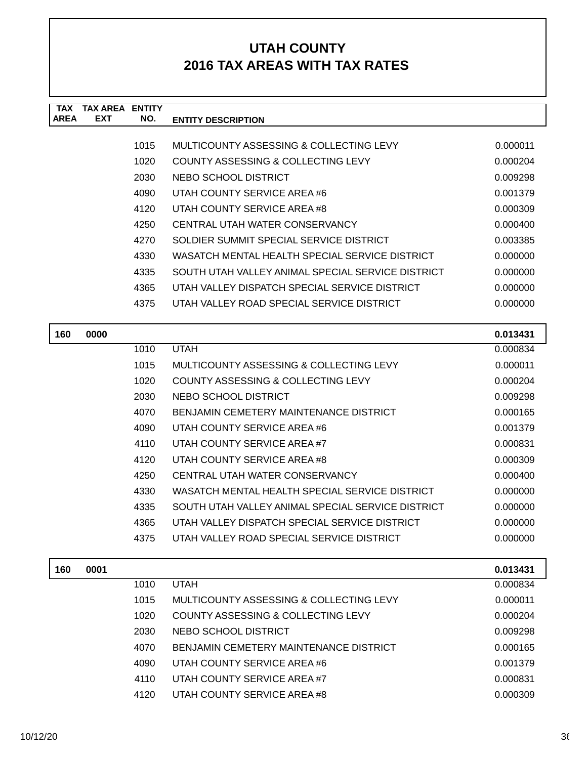| TAX         | TAX AREA   | <b>ENTITY</b> |                                                   |          |
|-------------|------------|---------------|---------------------------------------------------|----------|
| <b>AREA</b> | <b>EXT</b> | NO.           | <b>ENTITY DESCRIPTION</b>                         |          |
|             |            |               |                                                   |          |
|             |            | 1015          | MULTICOUNTY ASSESSING & COLLECTING LEVY           | 0.000011 |
|             |            | 1020          | COUNTY ASSESSING & COLLECTING LEVY                | 0.000204 |
|             |            | 2030          | NEBO SCHOOL DISTRICT                              | 0.009298 |
|             |            | 4090          | UTAH COUNTY SERVICE AREA #6                       | 0.001379 |
|             |            | 4120          | UTAH COUNTY SERVICE AREA #8                       | 0.000309 |
|             |            | 4250          | CENTRAL UTAH WATER CONSERVANCY                    | 0.000400 |
|             |            | 4270          | SOLDIER SUMMIT SPECIAL SERVICE DISTRICT           | 0.003385 |
|             |            | 4330          | WASATCH MENTAL HEALTH SPECIAL SERVICE DISTRICT    | 0.000000 |
|             |            | 4335          | SOUTH UTAH VALLEY ANIMAL SPECIAL SERVICE DISTRICT | 0.000000 |
|             |            | 4365          | UTAH VALLEY DISPATCH SPECIAL SERVICE DISTRICT     | 0.000000 |
|             |            | 4375          | UTAH VALLEY ROAD SPECIAL SERVICE DISTRICT         | 0.000000 |
|             |            |               |                                                   |          |

| 160 | 0000 |      |                                                   | 0.013431 |
|-----|------|------|---------------------------------------------------|----------|
|     |      | 1010 | <b>UTAH</b>                                       | 0.000834 |
|     |      | 1015 | MULTICOUNTY ASSESSING & COLLECTING LEVY           | 0.000011 |
|     |      | 1020 | COUNTY ASSESSING & COLLECTING LEVY                | 0.000204 |
|     |      | 2030 | NEBO SCHOOL DISTRICT                              | 0.009298 |
|     |      | 4070 | <b>BENJAMIN CEMETERY MAINTENANCE DISTRICT</b>     | 0.000165 |
|     |      | 4090 | UTAH COUNTY SERVICE AREA #6                       | 0.001379 |
|     |      | 4110 | UTAH COUNTY SERVICE AREA #7                       | 0.000831 |
|     |      | 4120 | UTAH COUNTY SERVICE AREA #8                       | 0.000309 |
|     |      | 4250 | CENTRAL UTAH WATER CONSERVANCY                    | 0.000400 |
|     |      | 4330 | WASATCH MENTAL HEALTH SPECIAL SERVICE DISTRICT    | 0.000000 |
|     |      | 4335 | SOUTH UTAH VALLEY ANIMAL SPECIAL SERVICE DISTRICT | 0.000000 |
|     |      | 4365 | UTAH VALLEY DISPATCH SPECIAL SERVICE DISTRICT     | 0.000000 |
|     |      | 4375 | UTAH VALLEY ROAD SPECIAL SERVICE DISTRICT         | 0.000000 |
| 160 | 0001 |      |                                                   | 0.013431 |

| 160 | 0001 |      |                                         | 0.013431 |
|-----|------|------|-----------------------------------------|----------|
|     |      | 1010 | <b>UTAH</b>                             | 0.000834 |
|     |      | 1015 | MULTICOUNTY ASSESSING & COLLECTING LEVY | 0.000011 |
|     |      | 1020 | COUNTY ASSESSING & COLLECTING LEVY      | 0.000204 |
|     |      | 2030 | NEBO SCHOOL DISTRICT                    | 0.009298 |
|     |      | 4070 | BENJAMIN CEMETERY MAINTENANCE DISTRICT  | 0.000165 |
|     |      | 4090 | UTAH COUNTY SERVICE AREA #6             | 0.001379 |
|     |      | 4110 | UTAH COUNTY SERVICE AREA #7             | 0.000831 |
|     |      | 4120 | UTAH COUNTY SERVICE AREA #8             | 0.000309 |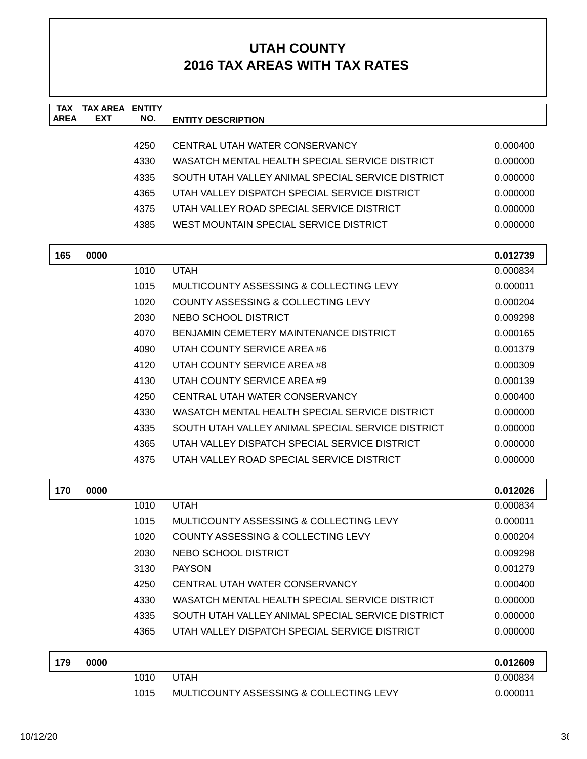| <b>TAX</b><br><b>AREA</b> | <b>TAX AREA ENTITY</b><br>EXT | NO.  | <b>ENTITY DESCRIPTION</b>                         |          |
|---------------------------|-------------------------------|------|---------------------------------------------------|----------|
|                           |                               |      |                                                   |          |
|                           |                               | 4250 | CENTRAL UTAH WATER CONSERVANCY                    | 0.000400 |
|                           |                               | 4330 | WASATCH MENTAL HEALTH SPECIAL SERVICE DISTRICT    | 0.000000 |
|                           |                               | 4335 | SOUTH UTAH VALLEY ANIMAL SPECIAL SERVICE DISTRICT | 0.000000 |
|                           |                               | 4365 | UTAH VALLEY DISPATCH SPECIAL SERVICE DISTRICT     | 0.000000 |
|                           |                               | 4375 | UTAH VALLEY ROAD SPECIAL SERVICE DISTRICT         | 0.000000 |
|                           |                               | 4385 | WEST MOUNTAIN SPECIAL SERVICE DISTRICT            | 0.000000 |
| 165                       | 0000                          |      |                                                   | 0.012739 |
|                           |                               | 1010 | <b>UTAH</b>                                       | 0.000834 |
|                           |                               | 1015 | MULTICOUNTY ASSESSING & COLLECTING LEVY           | 0.000011 |
|                           |                               | 1020 | COUNTY ASSESSING & COLLECTING LEVY                | 0.000204 |
|                           |                               | 2030 | NEBO SCHOOL DISTRICT                              | 0.009298 |
|                           |                               | 4070 | BENJAMIN CEMETERY MAINTENANCE DISTRICT            | 0.000165 |
|                           |                               | 4090 | UTAH COUNTY SERVICE AREA #6                       | 0.001379 |
|                           |                               | 4120 | UTAH COUNTY SERVICE AREA #8                       | 0.000309 |
|                           |                               | 4130 | UTAH COUNTY SERVICE AREA #9                       | 0.000139 |
|                           |                               | 4250 | CENTRAL UTAH WATER CONSERVANCY                    | 0.000400 |
|                           |                               | 4330 | WASATCH MENTAL HEALTH SPECIAL SERVICE DISTRICT    | 0.000000 |
|                           |                               | 4335 | SOUTH UTAH VALLEY ANIMAL SPECIAL SERVICE DISTRICT | 0.000000 |
|                           |                               | 4365 | UTAH VALLEY DISPATCH SPECIAL SERVICE DISTRICT     | 0.000000 |
|                           |                               | 4375 | UTAH VALLEY ROAD SPECIAL SERVICE DISTRICT         | 0.000000 |
| 170                       | 0000                          |      |                                                   | 0.012026 |
|                           |                               | 1010 | <b>UTAH</b>                                       | 0.000834 |
|                           |                               | 1015 | MULTICOUNTY ASSESSING & COLLECTING LEVY           | 0.000011 |
|                           |                               | 1020 | COUNTY ASSESSING & COLLECTING LEVY                | 0.000204 |
|                           |                               | 2030 | NEBO SCHOOL DISTRICT                              | 0.009298 |
|                           |                               | 3130 | <b>PAYSON</b>                                     | 0.001279 |
|                           |                               | 4250 | CENTRAL UTAH WATER CONSERVANCY                    | 0.000400 |
|                           |                               | 4330 | WASATCH MENTAL HEALTH SPECIAL SERVICE DISTRICT    | 0.000000 |
|                           |                               | 4335 | SOUTH UTAH VALLEY ANIMAL SPECIAL SERVICE DISTRICT | 0.000000 |
|                           |                               | 4365 | UTAH VALLEY DISPATCH SPECIAL SERVICE DISTRICT     | 0.000000 |
| 179                       | 0000                          |      |                                                   | 0.012609 |
|                           |                               | 1010 | <b>UTAH</b>                                       | 0.000834 |
|                           |                               | 1015 | MULTICOUNTY ASSESSING & COLLECTING LEVY           | 0.000011 |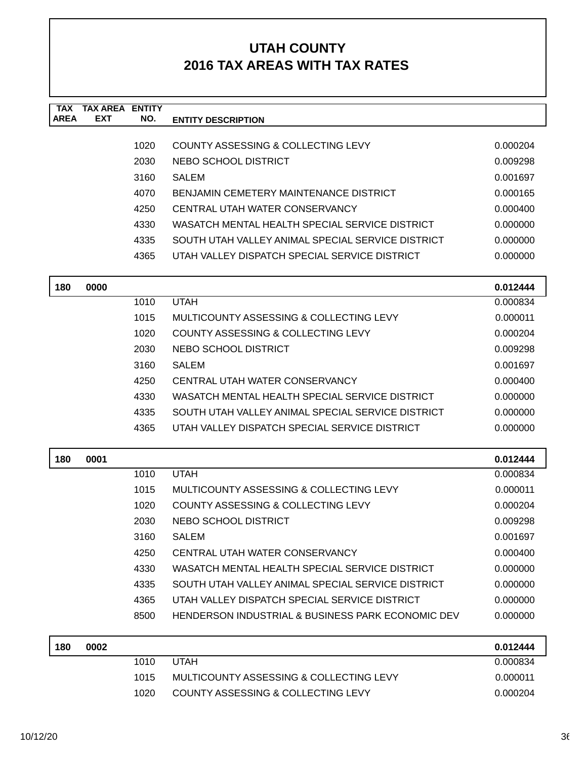| TAX<br><b>AREA</b> | <b>TAX AREA</b><br><b>EXT</b> | <b>ENTITY</b><br>NO. | <b>ENTITY DESCRIPTION</b>                         |          |
|--------------------|-------------------------------|----------------------|---------------------------------------------------|----------|
|                    |                               | 1020                 | <b>COUNTY ASSESSING &amp; COLLECTING LEVY</b>     | 0.000204 |
|                    |                               | 2030                 | NEBO SCHOOL DISTRICT                              | 0.009298 |
|                    |                               | 3160                 | <b>SALEM</b>                                      | 0.001697 |
|                    |                               | 4070                 | <b>BENJAMIN CEMETERY MAINTENANCE DISTRICT</b>     | 0.000165 |
|                    |                               | 4250                 | CENTRAL UTAH WATER CONSERVANCY                    | 0.000400 |
|                    |                               | 4330                 | WASATCH MENTAL HEALTH SPECIAL SERVICE DISTRICT    | 0.000000 |
|                    |                               | 4335                 | SOUTH UTAH VALLEY ANIMAL SPECIAL SERVICE DISTRICT | 0.000000 |
|                    |                               | 4365                 | UTAH VALLEY DISPATCH SPECIAL SERVICE DISTRICT     | 0.000000 |
| 180                | 0000                          |                      |                                                   | 0.012444 |
|                    |                               | 1010                 | <b>UTAH</b>                                       | 0.000834 |
|                    |                               | 1015                 | MULTICOUNTY ASSESSING & COLLECTING LEVY           | 0.000011 |
|                    |                               | 1020                 | <b>COUNTY ASSESSING &amp; COLLECTING LEVY</b>     | 0.000204 |
|                    |                               | 2030                 | NEBO SCHOOL DISTRICT                              | 0.009298 |
|                    |                               | 3160                 | <b>SALEM</b>                                      | 0.001697 |
|                    |                               | 4250                 | CENTRAL UTAH WATER CONSERVANCY                    | 0.000400 |
|                    |                               | 4330                 | WASATCH MENTAL HEALTH SPECIAL SERVICE DISTRICT    | 0.000000 |
|                    |                               | 4335                 | SOUTH UTAH VALLEY ANIMAL SPECIAL SERVICE DISTRICT | 0.000000 |
|                    |                               | 4365                 | UTAH VALLEY DISPATCH SPECIAL SERVICE DISTRICT     | 0.000000 |
| 180                | 0001                          |                      |                                                   | 0.012444 |
|                    |                               | 1010                 | <b>UTAH</b>                                       | 0.000834 |
|                    |                               | 1015                 | MULTICOUNTY ASSESSING & COLLECTING LEVY           | 0.000011 |
|                    |                               | 1020                 | COUNTY ASSESSING & COLLECTING LEVY                | 0.000204 |
|                    |                               | 2030                 | <b>NEBO SCHOOL DISTRICT</b>                       | 0.009298 |
|                    |                               | 3160                 | <b>SALEM</b>                                      | 0.001697 |
|                    |                               | 4250                 | CENTRAL UTAH WATER CONSERVANCY                    | 0.000400 |
|                    |                               | 4330                 | WASATCH MENTAL HEALTH SPECIAL SERVICE DISTRICT    | 0.000000 |
|                    |                               | 4335                 | SOUTH UTAH VALLEY ANIMAL SPECIAL SERVICE DISTRICT | 0.000000 |
|                    |                               | 4365                 | UTAH VALLEY DISPATCH SPECIAL SERVICE DISTRICT     | 0.000000 |
|                    |                               | 8500                 | HENDERSON INDUSTRIAL & BUSINESS PARK ECONOMIC DEV | 0.000000 |
| 180                | 0002                          |                      |                                                   | 0.012444 |
|                    |                               | 1010                 | <b>UTAH</b>                                       | 0.000834 |
|                    |                               | 1015                 | MULTICOUNTY ASSESSING & COLLECTING LEVY           | 0.000011 |
|                    |                               | 1020                 | COUNTY ASSESSING & COLLECTING LEVY                | 0.000204 |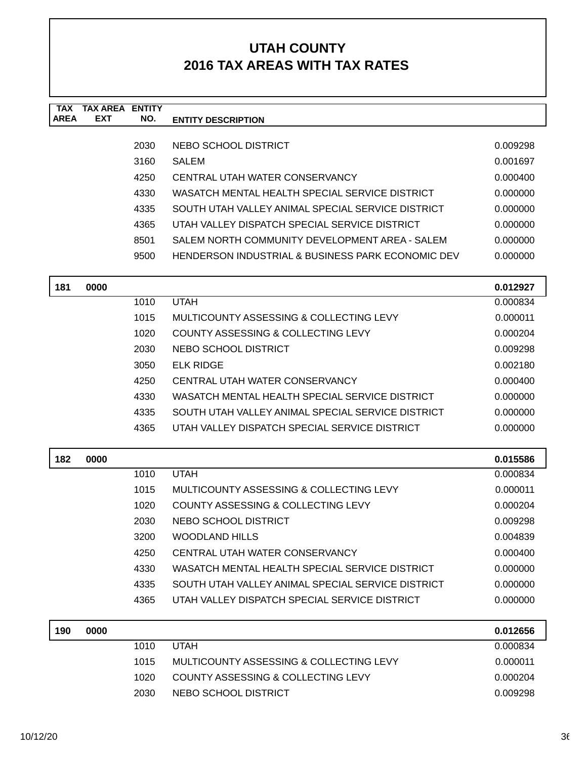| TAX<br><b>AREA</b> | <b>TAX AREA</b><br><b>EXT</b> | <b>ENTITY</b><br>NO. | <b>ENTITY DESCRIPTION</b>                         |          |
|--------------------|-------------------------------|----------------------|---------------------------------------------------|----------|
|                    |                               |                      |                                                   |          |
|                    |                               | 2030                 | NEBO SCHOOL DISTRICT                              | 0.009298 |
|                    |                               | 3160                 | <b>SALEM</b>                                      | 0.001697 |
|                    |                               | 4250                 | CENTRAL UTAH WATER CONSERVANCY                    | 0.000400 |
|                    |                               | 4330                 | WASATCH MENTAL HEALTH SPECIAL SERVICE DISTRICT    | 0.000000 |
|                    |                               | 4335                 | SOUTH UTAH VALLEY ANIMAL SPECIAL SERVICE DISTRICT | 0.000000 |
|                    |                               | 4365                 | UTAH VALLEY DISPATCH SPECIAL SERVICE DISTRICT     | 0.000000 |
|                    |                               | 8501                 | SALEM NORTH COMMUNITY DEVELOPMENT AREA - SALEM    | 0.000000 |
|                    |                               | 9500                 | HENDERSON INDUSTRIAL & BUSINESS PARK ECONOMIC DEV | 0.000000 |
| 181                | 0000                          |                      |                                                   | 0.012927 |
|                    |                               | 1010                 | <b>UTAH</b>                                       | 0.000834 |
|                    |                               | 1015                 | MULTICOUNTY ASSESSING & COLLECTING LEVY           | 0.000011 |
|                    |                               | 1020                 | COUNTY ASSESSING & COLLECTING LEVY                | 0.000204 |
|                    |                               | 2030                 | NEBO SCHOOL DISTRICT                              | 0.009298 |
|                    |                               | 3050                 | <b>ELK RIDGE</b>                                  | 0.002180 |
|                    |                               | 4250                 | CENTRAL UTAH WATER CONSERVANCY                    | 0.000400 |
|                    |                               | 4330                 | WASATCH MENTAL HEALTH SPECIAL SERVICE DISTRICT    | 0.000000 |
|                    |                               | 4335                 | SOUTH UTAH VALLEY ANIMAL SPECIAL SERVICE DISTRICT | 0.000000 |
|                    |                               | 4365                 | UTAH VALLEY DISPATCH SPECIAL SERVICE DISTRICT     | 0.000000 |
| 182                | 0000                          |                      |                                                   | 0.015586 |
|                    |                               | 1010                 | <b>UTAH</b>                                       | 0.000834 |
|                    |                               | 1015                 | MULTICOUNTY ASSESSING & COLLECTING LEVY           | 0.000011 |
|                    |                               | 1020                 | COUNTY ASSESSING & COLLECTING LEVY                | 0.000204 |
|                    |                               | 2030                 | <b>NEBO SCHOOL DISTRICT</b>                       | 0.009298 |
|                    |                               | 3200                 | <b>WOODLAND HILLS</b>                             | 0.004839 |
|                    |                               | 4250                 | CENTRAL UTAH WATER CONSERVANCY                    | 0.000400 |
|                    |                               | 4330                 | WASATCH MENTAL HEALTH SPECIAL SERVICE DISTRICT    | 0.000000 |
|                    |                               | 4335                 | SOUTH UTAH VALLEY ANIMAL SPECIAL SERVICE DISTRICT | 0.000000 |
|                    |                               | 4365                 | UTAH VALLEY DISPATCH SPECIAL SERVICE DISTRICT     | 0.000000 |
| 190                | 0000                          |                      |                                                   | 0.012656 |
|                    |                               | 1010                 | <b>UTAH</b>                                       | 0.000834 |
|                    |                               | 1015                 | MULTICOUNTY ASSESSING & COLLECTING LEVY           | 0.000011 |
|                    |                               | 1020                 | COUNTY ASSESSING & COLLECTING LEVY                | 0.000204 |
|                    |                               | 2030                 | NEBO SCHOOL DISTRICT                              | 0.009298 |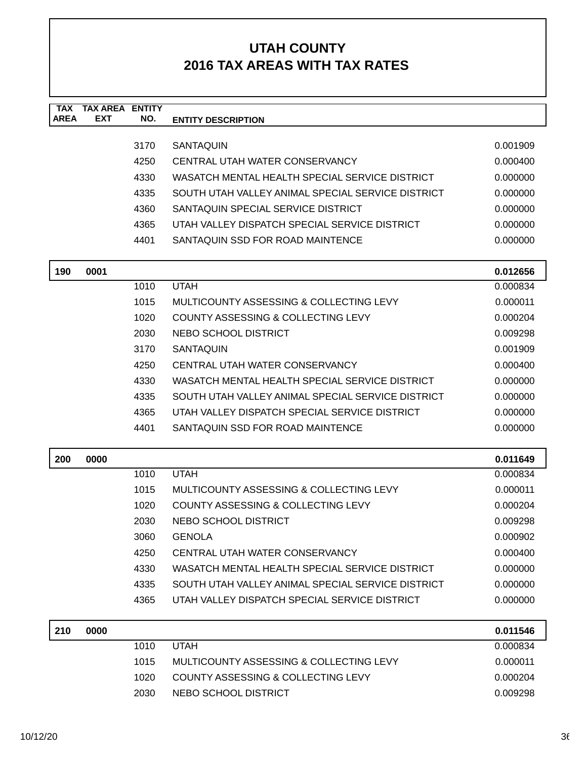| <b>TAX</b>  | <b>TAX AREA</b><br><b>EXT</b> | <b>ENTITY</b> |                                                   |          |
|-------------|-------------------------------|---------------|---------------------------------------------------|----------|
| <b>AREA</b> |                               | NO.           | <b>ENTITY DESCRIPTION</b>                         |          |
|             |                               | 3170          | <b>SANTAQUIN</b>                                  | 0.001909 |
|             |                               | 4250          | CENTRAL UTAH WATER CONSERVANCY                    | 0.000400 |
|             |                               | 4330          | WASATCH MENTAL HEALTH SPECIAL SERVICE DISTRICT    | 0.000000 |
|             |                               | 4335          | SOUTH UTAH VALLEY ANIMAL SPECIAL SERVICE DISTRICT | 0.000000 |
|             |                               | 4360          | SANTAQUIN SPECIAL SERVICE DISTRICT                | 0.000000 |
|             |                               | 4365          | UTAH VALLEY DISPATCH SPECIAL SERVICE DISTRICT     | 0.000000 |
|             |                               | 4401          | SANTAQUIN SSD FOR ROAD MAINTENCE                  | 0.000000 |
| 190         | 0001                          |               |                                                   | 0.012656 |
|             |                               | 1010          | <b>UTAH</b>                                       | 0.000834 |
|             |                               | 1015          | MULTICOUNTY ASSESSING & COLLECTING LEVY           | 0.000011 |
|             |                               | 1020          | COUNTY ASSESSING & COLLECTING LEVY                | 0.000204 |
|             |                               | 2030          | NEBO SCHOOL DISTRICT                              | 0.009298 |
|             |                               | 3170          | <b>SANTAQUIN</b>                                  | 0.001909 |
|             |                               | 4250          | CENTRAL UTAH WATER CONSERVANCY                    | 0.000400 |
|             |                               | 4330          | WASATCH MENTAL HEALTH SPECIAL SERVICE DISTRICT    | 0.000000 |
|             |                               | 4335          | SOUTH UTAH VALLEY ANIMAL SPECIAL SERVICE DISTRICT | 0.000000 |
|             |                               | 4365          | UTAH VALLEY DISPATCH SPECIAL SERVICE DISTRICT     | 0.000000 |
|             |                               | 4401          | SANTAQUIN SSD FOR ROAD MAINTENCE                  | 0.000000 |
| 200         | 0000                          |               |                                                   | 0.011649 |
|             |                               | 1010          | <b>UTAH</b>                                       | 0.000834 |
|             |                               | 1015          | MULTICOUNTY ASSESSING & COLLECTING LEVY           | 0.000011 |
|             |                               | 1020          | COUNTY ASSESSING & COLLECTING LEVY                | 0.000204 |
|             |                               | 2030          | NEBO SCHOOL DISTRICT                              | 0.009298 |
|             |                               | 3060          | <b>GENOLA</b>                                     | 0.000902 |
|             |                               | 4250          | CENTRAL UTAH WATER CONSERVANCY                    | 0.000400 |
|             |                               | 4330          | WASATCH MENTAL HEALTH SPECIAL SERVICE DISTRICT    | 0.000000 |
|             |                               | 4335          | SOUTH UTAH VALLEY ANIMAL SPECIAL SERVICE DISTRICT | 0.000000 |
|             |                               | 4365          | UTAH VALLEY DISPATCH SPECIAL SERVICE DISTRICT     | 0.000000 |
| 210         | 0000                          |               |                                                   | 0.011546 |
|             |                               | 1010          | <b>UTAH</b>                                       | 0.000834 |
|             |                               | 1015          | MULTICOUNTY ASSESSING & COLLECTING LEVY           | 0.000011 |
|             |                               | 1020          | COUNTY ASSESSING & COLLECTING LEVY                | 0.000204 |
|             |                               | 2030          | NEBO SCHOOL DISTRICT                              | 0.009298 |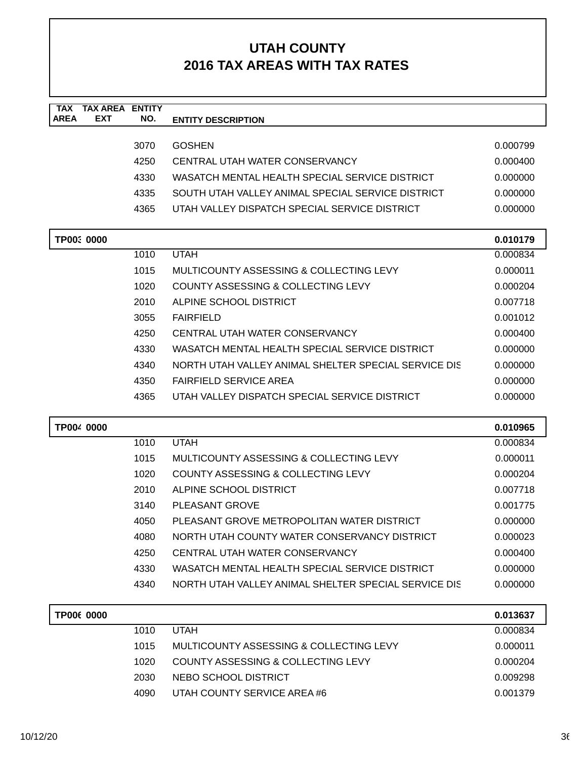| <b>TAX</b>                | <b>TAX AREA ENTITY</b> |                                                      |          |
|---------------------------|------------------------|------------------------------------------------------|----------|
| <b>AREA</b><br><b>EXT</b> | NO.                    | <b>ENTITY DESCRIPTION</b>                            |          |
|                           | 3070                   | <b>GOSHEN</b>                                        | 0.000799 |
|                           | 4250                   | CENTRAL UTAH WATER CONSERVANCY                       | 0.000400 |
|                           | 4330                   | WASATCH MENTAL HEALTH SPECIAL SERVICE DISTRICT       | 0.000000 |
|                           | 4335                   | SOUTH UTAH VALLEY ANIMAL SPECIAL SERVICE DISTRICT    | 0.000000 |
|                           | 4365                   | UTAH VALLEY DISPATCH SPECIAL SERVICE DISTRICT        | 0.000000 |
|                           |                        |                                                      |          |
| TP00: 0000                |                        |                                                      | 0.010179 |
|                           | 1010                   | <b>UTAH</b>                                          | 0.000834 |
|                           | 1015                   | MULTICOUNTY ASSESSING & COLLECTING LEVY              | 0.000011 |
|                           | 1020                   | COUNTY ASSESSING & COLLECTING LEVY                   | 0.000204 |
|                           | 2010                   | ALPINE SCHOOL DISTRICT                               | 0.007718 |
|                           | 3055                   | <b>FAIRFIELD</b>                                     | 0.001012 |
|                           | 4250                   | CENTRAL UTAH WATER CONSERVANCY                       | 0.000400 |
|                           | 4330                   | WASATCH MENTAL HEALTH SPECIAL SERVICE DISTRICT       | 0.000000 |
|                           | 4340                   | NORTH UTAH VALLEY ANIMAL SHELTER SPECIAL SERVICE DIS | 0.000000 |
|                           | 4350                   | <b>FAIRFIELD SERVICE AREA</b>                        | 0.000000 |
|                           | 4365                   | UTAH VALLEY DISPATCH SPECIAL SERVICE DISTRICT        | 0.000000 |
| TP004 0000                |                        |                                                      | 0.010965 |
|                           | 1010                   | <b>UTAH</b>                                          | 0.000834 |
|                           | 1015                   | MULTICOUNTY ASSESSING & COLLECTING LEVY              | 0.000011 |
|                           | 1020                   | <b>COUNTY ASSESSING &amp; COLLECTING LEVY</b>        | 0.000204 |
|                           | 2010                   | ALPINE SCHOOL DISTRICT                               | 0.007718 |
|                           | 3140                   | PLEASANT GROVE                                       | 0.001775 |
|                           | 4050                   | PLEASANT GROVE METROPOLITAN WATER DISTRICT           | 0.000000 |
|                           | 4080                   | NORTH UTAH COUNTY WATER CONSERVANCY DISTRICT         | 0.000023 |
|                           | 4250                   | CENTRAL UTAH WATER CONSERVANCY                       | 0.000400 |
|                           | 4330                   | WASATCH MENTAL HEALTH SPECIAL SERVICE DISTRICT       | 0.000000 |
|                           | 4340                   | NORTH UTAH VALLEY ANIMAL SHELTER SPECIAL SERVICE DIS | 0.000000 |
| TP006 0000                |                        |                                                      | 0.013637 |
|                           | 1010                   | <b>UTAH</b>                                          | 0.000834 |
|                           | 1015                   | MULTICOUNTY ASSESSING & COLLECTING LEVY              | 0.000011 |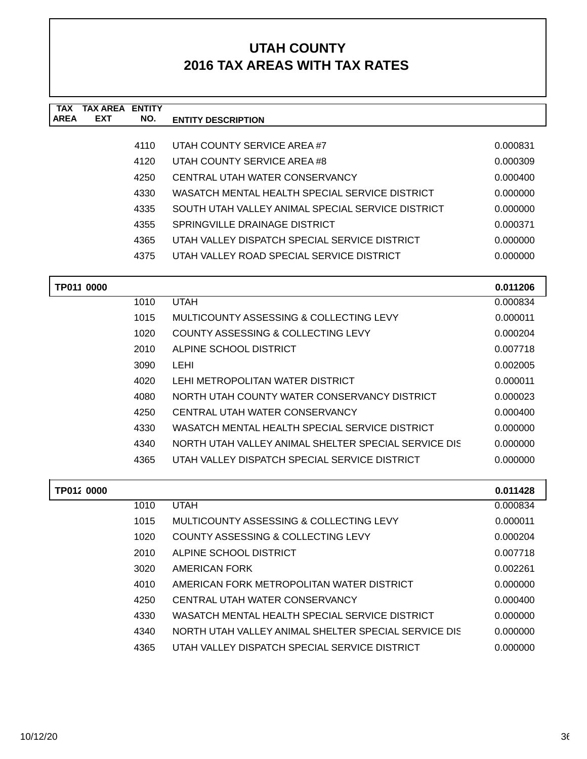| <b>TAX</b><br><b>AREA</b> | <b>TAX AREA ENTITY</b><br><b>EXT</b> | NO.  | <b>ENTITY DESCRIPTION</b>                            |          |
|---------------------------|--------------------------------------|------|------------------------------------------------------|----------|
|                           |                                      |      |                                                      |          |
|                           |                                      | 4110 | UTAH COUNTY SERVICE AREA#7                           | 0.000831 |
|                           |                                      | 4120 | UTAH COUNTY SERVICE AREA #8                          | 0.000309 |
|                           |                                      | 4250 | CENTRAL UTAH WATER CONSERVANCY                       | 0.000400 |
|                           |                                      | 4330 | WASATCH MENTAL HEALTH SPECIAL SERVICE DISTRICT       | 0.000000 |
|                           |                                      | 4335 | SOUTH UTAH VALLEY ANIMAL SPECIAL SERVICE DISTRICT    | 0.000000 |
|                           |                                      | 4355 | SPRINGVILLE DRAINAGE DISTRICT                        | 0.000371 |
|                           |                                      | 4365 | UTAH VALLEY DISPATCH SPECIAL SERVICE DISTRICT        | 0.000000 |
|                           |                                      | 4375 | UTAH VALLEY ROAD SPECIAL SERVICE DISTRICT            | 0.000000 |
|                           | TP011 0000                           |      |                                                      | 0.011206 |
|                           |                                      | 1010 | <b>UTAH</b>                                          | 0.000834 |
|                           |                                      | 1015 | <b>MULTICOUNTY ASSESSING &amp; COLLECTING LEVY</b>   | 0.000011 |
|                           |                                      | 1020 | COUNTY ASSESSING & COLLECTING LEVY                   | 0.000204 |
|                           |                                      | 2010 | ALPINE SCHOOL DISTRICT                               | 0.007718 |
|                           |                                      | 3090 | <b>LEHI</b>                                          | 0.002005 |
|                           |                                      | 4020 | LEHI METROPOLITAN WATER DISTRICT                     | 0.000011 |
|                           |                                      | 4080 | NORTH UTAH COUNTY WATER CONSERVANCY DISTRICT         | 0.000023 |
|                           |                                      | 4250 | CENTRAL UTAH WATER CONSERVANCY                       | 0.000400 |
|                           |                                      | 4330 | WASATCH MENTAL HEALTH SPECIAL SERVICE DISTRICT       | 0.000000 |
|                           |                                      | 4340 | NORTH UTAH VALLEY ANIMAL SHELTER SPECIAL SERVICE DIS | 0.000000 |
|                           |                                      | 4365 | UTAH VALLEY DISPATCH SPECIAL SERVICE DISTRICT        | 0.000000 |
|                           | TP012 0000                           |      |                                                      | 0.011428 |
|                           |                                      | 1010 | <b>UTAH</b>                                          | 0.000834 |
|                           |                                      | 1015 | MULTICOUNTY ASSESSING & COLLECTING LEVY              | 0.000011 |
|                           |                                      | 1020 | COUNTY ASSESSING & COLLECTING LEVY                   | 0.000204 |
|                           |                                      | 2010 | ALPINE SCHOOL DISTRICT                               | 0.007718 |
|                           |                                      | 3020 | AMERICAN FORK                                        | 0.002261 |
|                           |                                      | 4010 | AMERICAN FORK METROPOLITAN WATER DISTRICT            | 0.000000 |
|                           |                                      | 4250 | CENTRAL UTAH WATER CONSERVANCY                       | 0.000400 |
|                           |                                      | 4330 | WASATCH MENTAL HEALTH SPECIAL SERVICE DISTRICT       | 0.000000 |
|                           |                                      | 4340 | NORTH UTAH VALLEY ANIMAL SHELTER SPECIAL SERVICE DIS | 0.000000 |
|                           |                                      | 4365 | UTAH VALLEY DISPATCH SPECIAL SERVICE DISTRICT        | 0.000000 |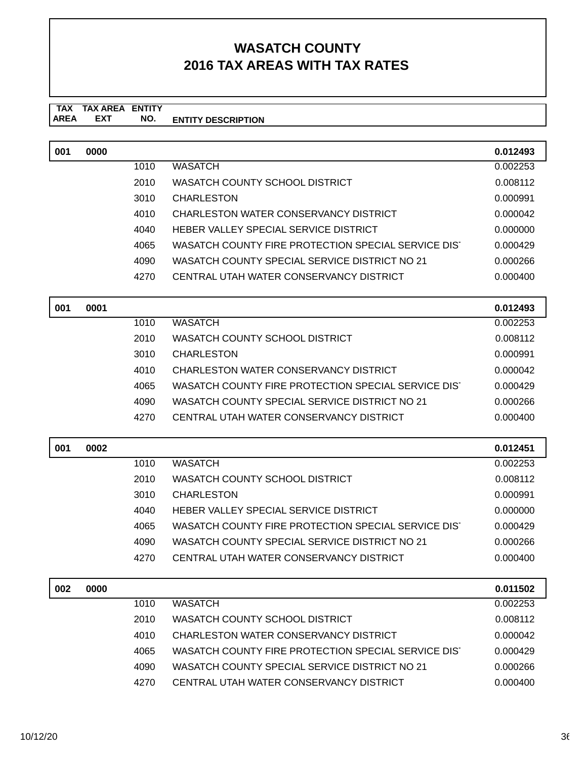#### **TAX TAX AREA ENTITY AREA ENTITY DESCRIPTION EXT NO.**

| 001 | 0000 |      |                                                     | 0.012493             |
|-----|------|------|-----------------------------------------------------|----------------------|
|     |      | 1010 | <b>WASATCH</b>                                      | 0.002253             |
|     |      | 2010 | WASATCH COUNTY SCHOOL DISTRICT                      | 0.008112             |
|     |      | 3010 | <b>CHARLESTON</b>                                   | 0.000991             |
|     |      | 4010 | CHARLESTON WATER CONSERVANCY DISTRICT               | 0.000042             |
|     |      | 4040 | HEBER VALLEY SPECIAL SERVICE DISTRICT               | 0.000000             |
|     |      | 4065 | WASATCH COUNTY FIRE PROTECTION SPECIAL SERVICE DIST | 0.000429             |
|     |      | 4090 | WASATCH COUNTY SPECIAL SERVICE DISTRICT NO 21       | 0.000266             |
|     |      | 4270 | CENTRAL UTAH WATER CONSERVANCY DISTRICT             | 0.000400             |
|     |      |      |                                                     |                      |
| 001 | 0001 |      |                                                     | 0.012493             |
|     |      | 1010 | <b>WASATCH</b>                                      | 0.002253             |
|     |      | 2010 | <b>WASATCH COUNTY SCHOOL DISTRICT</b>               | 0.008112             |
|     |      | 3010 | <b>CHARLESTON</b>                                   | 0.000991             |
|     |      | 4010 | CHARLESTON WATER CONSERVANCY DISTRICT               | 0.000042             |
|     |      | 4065 | WASATCH COUNTY FIRE PROTECTION SPECIAL SERVICE DIST | 0.000429             |
|     |      | 4090 | WASATCH COUNTY SPECIAL SERVICE DISTRICT NO 21       | 0.000266             |
|     |      | 4270 | CENTRAL UTAH WATER CONSERVANCY DISTRICT             | 0.000400             |
| 001 | 0002 |      |                                                     | 0.012451             |
|     |      | 1010 | <b>WASATCH</b>                                      | 0.002253             |
|     |      | 2010 | WASATCH COUNTY SCHOOL DISTRICT                      | 0.008112             |
|     |      | 3010 | <b>CHARLESTON</b>                                   | 0.000991             |
|     |      | 4040 | HEBER VALLEY SPECIAL SERVICE DISTRICT               | 0.000000             |
|     |      | 4065 | WASATCH COUNTY FIRE PROTECTION SPECIAL SERVICE DIST | 0.000429             |
|     |      | 4090 | WASATCH COUNTY SPECIAL SERVICE DISTRICT NO 21       | 0.000266             |
|     |      | 4270 | CENTRAL UTAH WATER CONSERVANCY DISTRICT             | 0.000400             |
| 002 | 0000 |      |                                                     |                      |
|     |      | 1010 | <b>WASATCH</b>                                      | 0.011502<br>0.002253 |
|     |      | 2010 | WASATCH COUNTY SCHOOL DISTRICT                      | 0.008112             |
|     |      | 4010 | CHARLESTON WATER CONSERVANCY DISTRICT               | 0.000042             |
|     |      | 4065 | WASATCH COUNTY FIRE PROTECTION SPECIAL SERVICE DIST | 0.000429             |
|     |      | 4090 | WASATCH COUNTY SPECIAL SERVICE DISTRICT NO 21       | 0.000266             |
|     |      | 4270 | CENTRAL UTAH WATER CONSERVANCY DISTRICT             | 0.000400             |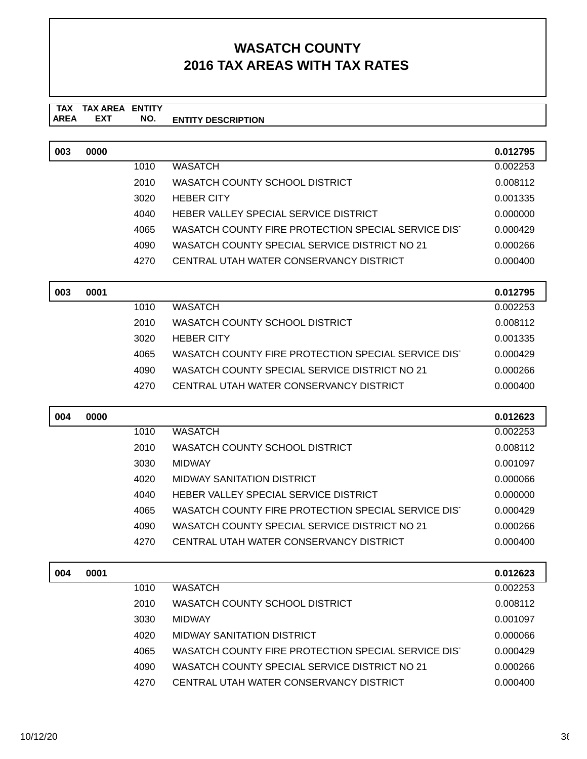#### **TAX TAX AREA ENTITY ENTITY DESCRIPTION** AREA EXT  **NO.**

| 003 | 0000 |      |                                                     | 0.012795 |
|-----|------|------|-----------------------------------------------------|----------|
|     |      | 1010 | <b>WASATCH</b>                                      | 0.002253 |
|     |      | 2010 | WASATCH COUNTY SCHOOL DISTRICT                      | 0.008112 |
|     |      | 3020 | <b>HEBER CITY</b>                                   | 0.001335 |
|     |      | 4040 | HEBER VALLEY SPECIAL SERVICE DISTRICT               | 0.000000 |
|     |      | 4065 | WASATCH COUNTY FIRE PROTECTION SPECIAL SERVICE DIST | 0.000429 |
|     |      | 4090 | WASATCH COUNTY SPECIAL SERVICE DISTRICT NO 21       | 0.000266 |
|     |      | 4270 | CENTRAL UTAH WATER CONSERVANCY DISTRICT             | 0.000400 |
|     |      |      |                                                     |          |

| 003 | 0001 |      |                                                     | 0.012795 |
|-----|------|------|-----------------------------------------------------|----------|
|     |      | 1010 | WASATCH                                             | 0.002253 |
|     |      | 2010 | WASATCH COUNTY SCHOOL DISTRICT                      | 0.008112 |
|     |      | 3020 | <b>HEBER CITY</b>                                   | 0.001335 |
|     |      | 4065 | WASATCH COUNTY FIRE PROTECTION SPECIAL SERVICE DIST | 0.000429 |
|     |      | 4090 | WASATCH COUNTY SPECIAL SERVICE DISTRICT NO 21       | 0.000266 |
|     |      | 4270 | CENTRAL UTAH WATER CONSERVANCY DISTRICT             | 0.000400 |

| 004 | 0000 |      |                                                     | 0.012623 |
|-----|------|------|-----------------------------------------------------|----------|
|     |      | 1010 | <b>WASATCH</b>                                      | 0.002253 |
|     |      | 2010 | WASATCH COUNTY SCHOOL DISTRICT                      | 0.008112 |
|     |      | 3030 | <b>MIDWAY</b>                                       | 0.001097 |
|     |      | 4020 | MIDWAY SANITATION DISTRICT                          | 0.000066 |
|     |      | 4040 | HEBER VALLEY SPECIAL SERVICE DISTRICT               | 0.000000 |
|     |      | 4065 | WASATCH COUNTY FIRE PROTECTION SPECIAL SERVICE DIST | 0.000429 |
|     |      | 4090 | WASATCH COUNTY SPECIAL SERVICE DISTRICT NO 21       | 0.000266 |
|     |      | 4270 | CENTRAL UTAH WATER CONSERVANCY DISTRICT             | 0.000400 |

| 004 | 0001 |      |                                                     | 0.012623 |
|-----|------|------|-----------------------------------------------------|----------|
|     |      | 1010 | <b>WASATCH</b>                                      | 0.002253 |
|     |      | 2010 | WASATCH COUNTY SCHOOL DISTRICT                      | 0.008112 |
|     |      | 3030 | <b>MIDWAY</b>                                       | 0.001097 |
|     |      | 4020 | <b>MIDWAY SANITATION DISTRICT</b>                   | 0.000066 |
|     |      | 4065 | WASATCH COUNTY FIRE PROTECTION SPECIAL SERVICE DIST | 0.000429 |
|     |      | 4090 | WASATCH COUNTY SPECIAL SERVICE DISTRICT NO 21       | 0.000266 |
|     |      | 4270 | CENTRAL UTAH WATER CONSERVANCY DISTRICT             | 0.000400 |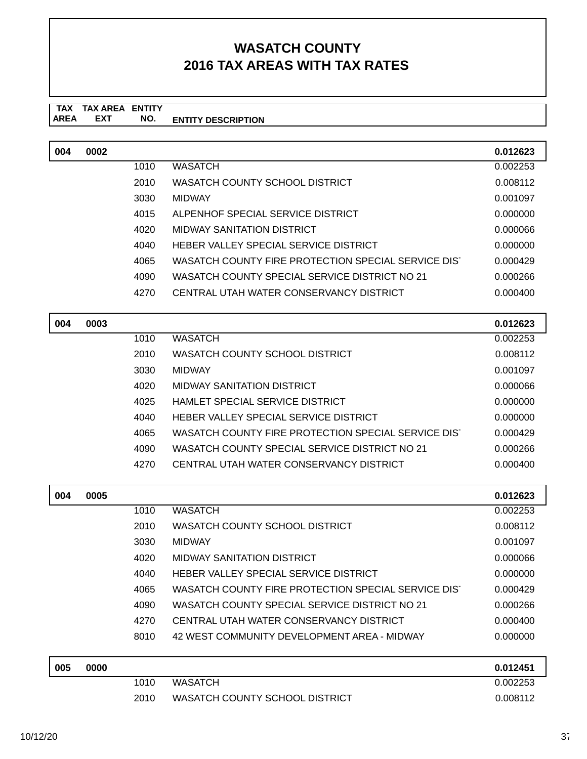#### **TAX TAX AREA ENTITY ENTITY DESCRIPTION EXT NO.**

| 004 | 0002 |      |                                                     | 0.012623 |
|-----|------|------|-----------------------------------------------------|----------|
|     |      | 1010 | <b>WASATCH</b>                                      | 0.002253 |
|     |      | 2010 | WASATCH COUNTY SCHOOL DISTRICT                      | 0.008112 |
|     |      | 3030 | <b>MIDWAY</b>                                       | 0.001097 |
|     |      | 4015 | ALPENHOF SPECIAL SERVICE DISTRICT                   | 0.000000 |
|     |      | 4020 | MIDWAY SANITATION DISTRICT                          | 0.000066 |
|     |      | 4040 | HEBER VALLEY SPECIAL SERVICE DISTRICT               | 0.000000 |
|     |      | 4065 | WASATCH COUNTY FIRE PROTECTION SPECIAL SERVICE DIST | 0.000429 |
|     |      | 4090 | WASATCH COUNTY SPECIAL SERVICE DISTRICT NO 21       | 0.000266 |
|     |      | 4270 | CENTRAL UTAH WATER CONSERVANCY DISTRICT             | 0.000400 |
|     |      |      |                                                     |          |

| 004 | 0003 |      |                                                     | 0.012623 |
|-----|------|------|-----------------------------------------------------|----------|
|     |      | 1010 | <b>WASATCH</b>                                      | 0.002253 |
|     |      | 2010 | WASATCH COUNTY SCHOOL DISTRICT                      | 0.008112 |
|     |      | 3030 | <b>MIDWAY</b>                                       | 0.001097 |
|     |      | 4020 | MIDWAY SANITATION DISTRICT                          | 0.000066 |
|     |      | 4025 | HAMLET SPECIAL SERVICE DISTRICT                     | 0.000000 |
|     |      | 4040 | HEBER VALLEY SPECIAL SERVICE DISTRICT               | 0.000000 |
|     |      | 4065 | WASATCH COUNTY FIRE PROTECTION SPECIAL SERVICE DIST | 0.000429 |
|     |      | 4090 | WASATCH COUNTY SPECIAL SERVICE DISTRICT NO 21       | 0.000266 |
|     |      | 4270 | CENTRAL UTAH WATER CONSERVANCY DISTRICT             | 0.000400 |

| 004 | 0005 |      |                                                     | 0.012623  |
|-----|------|------|-----------------------------------------------------|-----------|
|     |      | 1010 | <b>WASATCH</b>                                      | 0.002253  |
|     |      | 2010 | WASATCH COUNTY SCHOOL DISTRICT                      | 0.008112  |
|     |      | 3030 | <b>MIDWAY</b>                                       | 0.001097  |
|     |      | 4020 | <b>MIDWAY SANITATION DISTRICT</b>                   | 0.000066  |
|     |      | 4040 | HEBER VALLEY SPECIAL SERVICE DISTRICT               | 0.000000  |
|     |      | 4065 | WASATCH COUNTY FIRE PROTECTION SPECIAL SERVICE DIST | 0.000429  |
|     |      | 4090 | WASATCH COUNTY SPECIAL SERVICE DISTRICT NO 21       | 0.000266  |
|     |      | 4270 | CENTRAL UTAH WATER CONSERVANCY DISTRICT             | 0.000400  |
|     |      | 8010 | 42 WEST COMMUNITY DEVELOPMENT AREA - MIDWAY         | 0.000000  |
|     |      |      |                                                     |           |
| 005 | 0000 |      |                                                     | 0.012451  |
|     |      | 1010 | 11/1 Q 1 T Q U                                      | LO UUSSES |

| 1010 | WASATCH                        | 0.002253 |
|------|--------------------------------|----------|
| 2010 | WASATCH COUNTY SCHOOL DISTRICT | 0.008112 |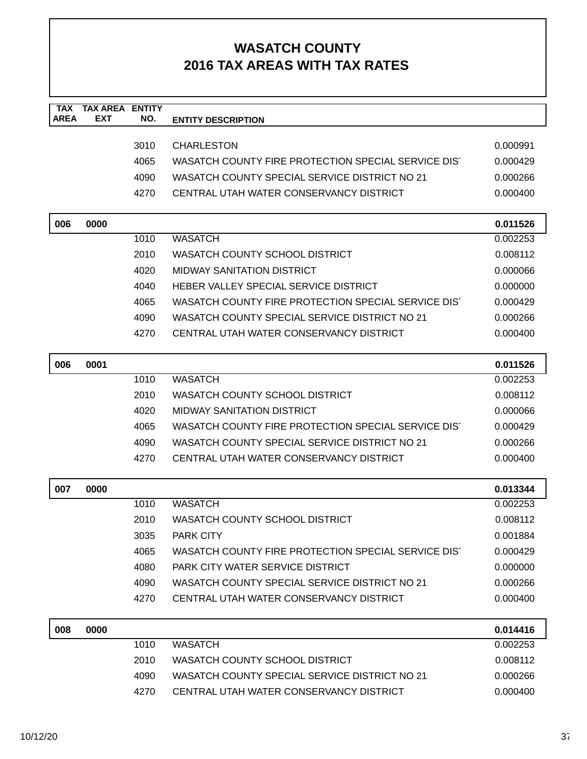| <b>TAX</b><br><b>AREA</b> | <b>TAX AREA</b><br><b>EXT</b> | <b>ENTITY</b><br>NO. | <b>ENTITY DESCRIPTION</b>                           |          |
|---------------------------|-------------------------------|----------------------|-----------------------------------------------------|----------|
|                           |                               |                      |                                                     |          |
|                           |                               | 3010                 | <b>CHARLESTON</b>                                   | 0.000991 |
|                           |                               | 4065                 | WASATCH COUNTY FIRE PROTECTION SPECIAL SERVICE DIST | 0.000429 |
|                           |                               | 4090                 | WASATCH COUNTY SPECIAL SERVICE DISTRICT NO 21       | 0.000266 |
|                           |                               | 4270                 | CENTRAL UTAH WATER CONSERVANCY DISTRICT             | 0.000400 |
| 006                       | 0000                          |                      |                                                     | 0.011526 |
|                           |                               | 1010                 | <b>WASATCH</b>                                      | 0.002253 |
|                           |                               | 2010                 | WASATCH COUNTY SCHOOL DISTRICT                      | 0.008112 |
|                           |                               | 4020                 | <b>MIDWAY SANITATION DISTRICT</b>                   | 0.000066 |
|                           |                               | 4040                 | HEBER VALLEY SPECIAL SERVICE DISTRICT               | 0.000000 |
|                           |                               | 4065                 | WASATCH COUNTY FIRE PROTECTION SPECIAL SERVICE DIST | 0.000429 |
|                           |                               | 4090                 | WASATCH COUNTY SPECIAL SERVICE DISTRICT NO 21       | 0.000266 |
|                           |                               | 4270                 | CENTRAL UTAH WATER CONSERVANCY DISTRICT             | 0.000400 |
| 006                       | 0001                          |                      |                                                     | 0.011526 |
|                           |                               | 1010                 | <b>WASATCH</b>                                      | 0.002253 |
|                           |                               | 2010                 | WASATCH COUNTY SCHOOL DISTRICT                      | 0.008112 |
|                           |                               | 4020                 | <b>MIDWAY SANITATION DISTRICT</b>                   | 0.000066 |
|                           |                               | 4065                 | WASATCH COUNTY FIRE PROTECTION SPECIAL SERVICE DIST | 0.000429 |
|                           |                               | 4090                 | WASATCH COUNTY SPECIAL SERVICE DISTRICT NO 21       | 0.000266 |
|                           |                               | 4270                 | CENTRAL UTAH WATER CONSERVANCY DISTRICT             | 0.000400 |
| 007                       | 0000                          |                      |                                                     | 0.013344 |
|                           |                               | 1010                 | <b>WASATCH</b>                                      | 0.002253 |
|                           |                               | 2010                 | WASATCH COUNTY SCHOOL DISTRICT                      | 0.008112 |
|                           |                               | 3035                 | <b>PARK CITY</b>                                    | 0.001884 |
|                           |                               | 4065                 | WASATCH COUNTY FIRE PROTECTION SPECIAL SERVICE DIST | 0.000429 |
|                           |                               | 4080                 | PARK CITY WATER SERVICE DISTRICT                    | 0.000000 |
|                           |                               | 4090                 | WASATCH COUNTY SPECIAL SERVICE DISTRICT NO 21       | 0.000266 |
|                           |                               | 4270                 | CENTRAL UTAH WATER CONSERVANCY DISTRICT             | 0.000400 |
| 008                       | 0000                          |                      |                                                     | 0.014416 |
|                           |                               | 1010                 | <b>WASATCH</b>                                      | 0.002253 |
|                           |                               | 2010                 | WASATCH COUNTY SCHOOL DISTRICT                      | 0.008112 |
|                           |                               | 4090                 | WASATCH COUNTY SPECIAL SERVICE DISTRICT NO 21       | 0.000266 |
|                           |                               | 4270                 | CENTRAL UTAH WATER CONSERVANCY DISTRICT             | 0.000400 |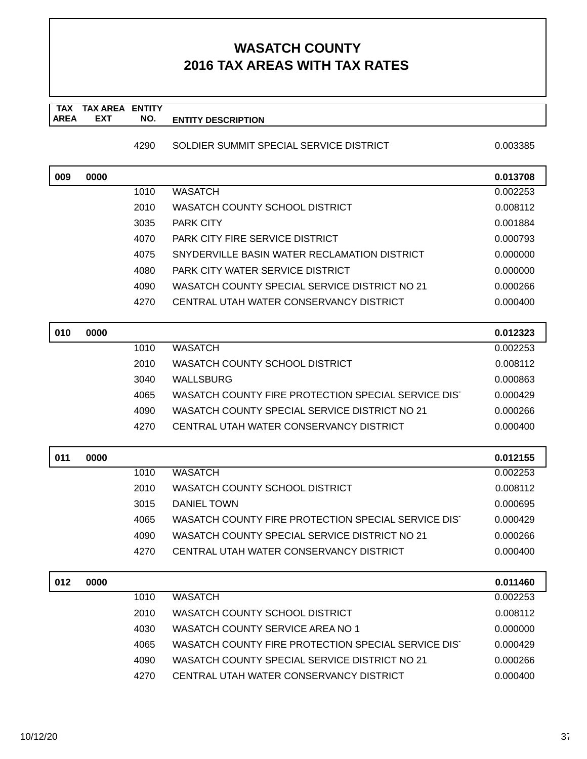#### **TAX TAX AREA ENTITY AREA ENTITY DESCRIPTION EXT NO.**

#### 4290 SOLDIER SUMMIT SPECIAL SERVICE DISTRICT 0.003385

| 009 | 0000 |      |                                                     | 0.013708 |
|-----|------|------|-----------------------------------------------------|----------|
|     |      | 1010 | <b>WASATCH</b>                                      | 0.002253 |
|     |      | 2010 | <b>WASATCH COUNTY SCHOOL DISTRICT</b>               | 0.008112 |
|     |      | 3035 | PARK CITY                                           | 0.001884 |
|     |      | 4070 | PARK CITY FIRE SERVICE DISTRICT                     | 0.000793 |
|     |      | 4075 | SNYDERVILLE BASIN WATER RECLAMATION DISTRICT        | 0.000000 |
|     |      | 4080 | PARK CITY WATER SERVICE DISTRICT                    | 0.000000 |
|     |      | 4090 | WASATCH COUNTY SPECIAL SERVICE DISTRICT NO 21       | 0.000266 |
|     |      | 4270 | CENTRAL UTAH WATER CONSERVANCY DISTRICT             | 0.000400 |
|     |      |      |                                                     |          |
| 010 | 0000 |      |                                                     | 0.012323 |
|     |      | 1010 | <b>WASATCH</b>                                      | 0.002253 |
|     |      | 2010 | WASATCH COUNTY SCHOOL DISTRICT                      | 0.008112 |
|     |      | 3040 | WALLSBURG                                           | 0.000863 |
|     |      | 4065 | WASATCH COUNTY FIRE PROTECTION SPECIAL SERVICE DIST | 0.000429 |
|     |      | 4090 | WASATCH COUNTY SPECIAL SERVICE DISTRICT NO 21       | 0.000266 |
|     |      | 4270 | CENTRAL UTAH WATER CONSERVANCY DISTRICT             | 0.000400 |
|     |      |      |                                                     |          |
| 011 | 0000 |      |                                                     | 0.012155 |
|     |      | 1010 | <b>WASATCH</b>                                      | 0.002253 |
|     |      | 2010 | WASATCH COUNTY SCHOOL DISTRICT                      | 0.008112 |
|     |      | 3015 | <b>DANIEL TOWN</b>                                  | 0.000695 |
|     |      | 4065 | WASATCH COUNTY FIRE PROTECTION SPECIAL SERVICE DIST | 0.000429 |
|     |      | 4090 | WASATCH COUNTY SPECIAL SERVICE DISTRICT NO 21       | 0.000266 |
|     |      | 4270 | CENTRAL UTAH WATER CONSERVANCY DISTRICT             | 0.000400 |
|     |      |      |                                                     |          |
| 012 | 0000 |      |                                                     | 0.011460 |
|     |      | 1010 | <b>WASATCH</b>                                      | 0.002253 |
|     |      | 2010 | WASATCH COUNTY SCHOOL DISTRICT                      | 0.008112 |
|     |      | 4030 | WASATCH COUNTY SERVICE AREA NO 1                    | 0.000000 |
|     |      | 4065 | WASATCH COUNTY FIRE PROTECTION SPECIAL SERVICE DIST | 0.000429 |
|     |      | 4090 | WASATCH COUNTY SPECIAL SERVICE DISTRICT NO 21       | 0.000266 |
|     |      | 4270 | CENTRAL UTAH WATER CONSERVANCY DISTRICT             | 0.000400 |
|     |      |      |                                                     |          |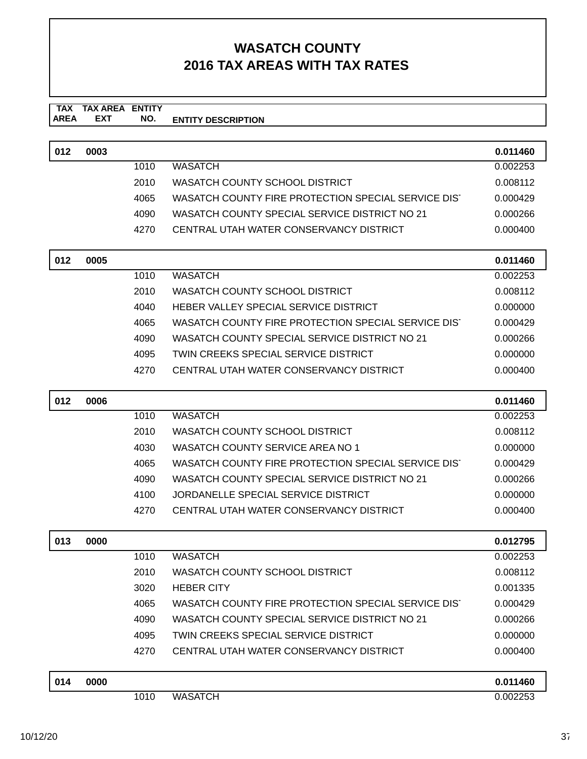#### **TAX TAX AREA ENTITY AREA ENTITY DESCRIPTION EXT NO.**

| 012 | 0003 |      |                                                     | 0.011460 |
|-----|------|------|-----------------------------------------------------|----------|
|     |      | 1010 | WASATCH                                             | 0.002253 |
|     |      | 2010 | WASATCH COUNTY SCHOOL DISTRICT                      | 0.008112 |
|     |      | 4065 | WASATCH COUNTY FIRE PROTECTION SPECIAL SERVICE DIST | 0.000429 |
|     |      | 4090 | WASATCH COUNTY SPECIAL SERVICE DISTRICT NO 21       | 0.000266 |
|     |      | 4270 | CENTRAL UTAH WATER CONSERVANCY DISTRICT             | 0.000400 |

| 012 | 0005 |      |                                                     | 0.011460 |
|-----|------|------|-----------------------------------------------------|----------|
|     |      | 1010 | <b>WASATCH</b>                                      | 0.002253 |
|     |      | 2010 | WASATCH COUNTY SCHOOL DISTRICT                      | 0.008112 |
|     |      | 4040 | HEBER VALLEY SPECIAL SERVICE DISTRICT               | 0.000000 |
|     |      | 4065 | WASATCH COUNTY FIRE PROTECTION SPECIAL SERVICE DIST | 0.000429 |
|     |      | 4090 | WASATCH COUNTY SPECIAL SERVICE DISTRICT NO 21       | 0.000266 |
|     |      | 4095 | TWIN CREEKS SPECIAL SERVICE DISTRICT                | 0.000000 |
|     |      | 4270 | CENTRAL UTAH WATER CONSERVANCY DISTRICT             | 0.000400 |
|     |      |      |                                                     |          |

| 012 | 0006 |      |                                                     | 0.011460 |
|-----|------|------|-----------------------------------------------------|----------|
|     |      | 1010 | <b>WASATCH</b>                                      | 0.002253 |
|     |      | 2010 | WASATCH COUNTY SCHOOL DISTRICT                      | 0.008112 |
|     |      | 4030 | WASATCH COUNTY SERVICE AREA NO 1                    | 0.000000 |
|     |      | 4065 | WASATCH COUNTY FIRE PROTECTION SPECIAL SERVICE DIST | 0.000429 |
|     |      | 4090 | WASATCH COUNTY SPECIAL SERVICE DISTRICT NO 21       | 0.000266 |
|     |      | 4100 | JORDANELLE SPECIAL SERVICE DISTRICT                 | 0.000000 |
|     |      | 4270 | CENTRAL UTAH WATER CONSERVANCY DISTRICT             | 0.000400 |
|     |      |      |                                                     |          |

| 013 | 0000 |      |                                                     | 0.012795 |
|-----|------|------|-----------------------------------------------------|----------|
|     |      | 1010 | <b>WASATCH</b>                                      | 0.002253 |
|     |      | 2010 | WASATCH COUNTY SCHOOL DISTRICT                      | 0.008112 |
|     |      | 3020 | <b>HEBER CITY</b>                                   | 0.001335 |
|     |      | 4065 | WASATCH COUNTY FIRE PROTECTION SPECIAL SERVICE DIST | 0.000429 |
|     |      | 4090 | WASATCH COUNTY SPECIAL SERVICE DISTRICT NO 21       | 0.000266 |
|     |      | 4095 | TWIN CREEKS SPECIAL SERVICE DISTRICT                | 0.000000 |
|     |      | 4270 | CENTRAL UTAH WATER CONSERVANCY DISTRICT             | 0.000400 |
|     |      |      |                                                     |          |
| 014 | 0000 |      |                                                     | 0.011460 |
|     |      | 1010 | <b>WASATCH</b>                                      | 0.002253 |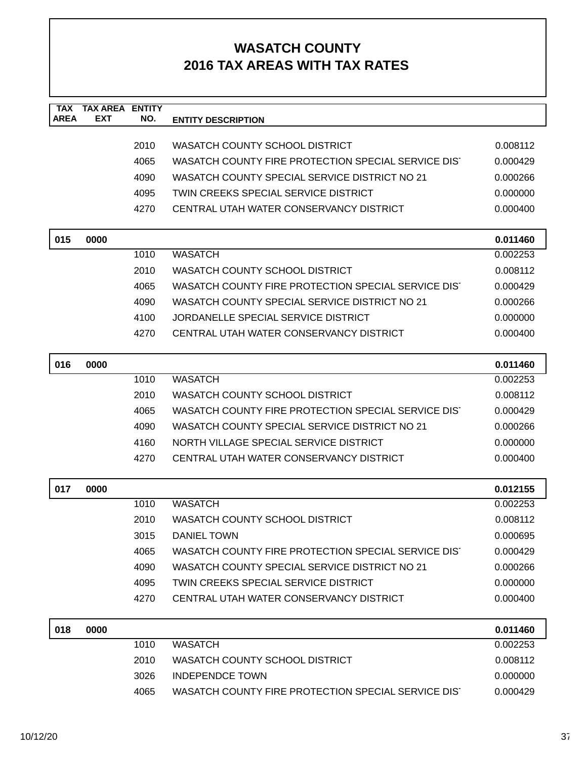| <b>TAX</b><br><b>AREA</b> | <b>TAX AREA ENTITY</b><br><b>EXT</b> | NO.  | <b>ENTITY DESCRIPTION</b>                           |          |
|---------------------------|--------------------------------------|------|-----------------------------------------------------|----------|
|                           |                                      |      |                                                     |          |
|                           |                                      | 2010 | WASATCH COUNTY SCHOOL DISTRICT                      | 0.008112 |
|                           |                                      | 4065 | WASATCH COUNTY FIRE PROTECTION SPECIAL SERVICE DIST | 0.000429 |
|                           |                                      | 4090 | WASATCH COUNTY SPECIAL SERVICE DISTRICT NO 21       | 0.000266 |
|                           |                                      | 4095 | TWIN CREEKS SPECIAL SERVICE DISTRICT                | 0.000000 |
|                           |                                      | 4270 | CENTRAL UTAH WATER CONSERVANCY DISTRICT             | 0.000400 |
| 015                       | 0000                                 |      |                                                     | 0.011460 |
|                           |                                      | 1010 | <b>WASATCH</b>                                      | 0.002253 |
|                           |                                      | 2010 | WASATCH COUNTY SCHOOL DISTRICT                      | 0.008112 |
|                           |                                      | 4065 | WASATCH COUNTY FIRE PROTECTION SPECIAL SERVICE DIST | 0.000429 |
|                           |                                      | 4090 | WASATCH COUNTY SPECIAL SERVICE DISTRICT NO 21       | 0.000266 |
|                           |                                      | 4100 | JORDANELLE SPECIAL SERVICE DISTRICT                 | 0.000000 |
|                           |                                      | 4270 | CENTRAL UTAH WATER CONSERVANCY DISTRICT             | 0.000400 |
| 016                       | 0000                                 |      |                                                     | 0.011460 |
|                           |                                      | 1010 | <b>WASATCH</b>                                      | 0.002253 |
|                           |                                      | 2010 | WASATCH COUNTY SCHOOL DISTRICT                      | 0.008112 |
|                           |                                      | 4065 | WASATCH COUNTY FIRE PROTECTION SPECIAL SERVICE DIST | 0.000429 |
|                           |                                      | 4090 | WASATCH COUNTY SPECIAL SERVICE DISTRICT NO 21       | 0.000266 |
|                           |                                      | 4160 | NORTH VILLAGE SPECIAL SERVICE DISTRICT              | 0.000000 |
|                           |                                      | 4270 | CENTRAL UTAH WATER CONSERVANCY DISTRICT             | 0.000400 |
| 017                       | 0000                                 |      |                                                     | 0.012155 |
|                           |                                      | 1010 | <b>WASATCH</b>                                      | 0.002253 |
|                           |                                      | 2010 | WASATCH COUNTY SCHOOL DISTRICT                      | 0.008112 |
|                           |                                      | 3015 | <b>DANIEL TOWN</b>                                  | 0.000695 |
|                           |                                      | 4065 | WASATCH COUNTY FIRE PROTECTION SPECIAL SERVICE DIST | 0.000429 |
|                           |                                      | 4090 | WASATCH COUNTY SPECIAL SERVICE DISTRICT NO 21       | 0.000266 |
|                           |                                      | 4095 | TWIN CREEKS SPECIAL SERVICE DISTRICT                | 0.000000 |
|                           |                                      | 4270 | CENTRAL UTAH WATER CONSERVANCY DISTRICT             | 0.000400 |
| 018                       | 0000                                 |      |                                                     | 0.011460 |
|                           |                                      | 1010 | <b>WASATCH</b>                                      | 0.002253 |
|                           |                                      | 2010 | WASATCH COUNTY SCHOOL DISTRICT                      | 0.008112 |
|                           |                                      | 3026 | <b>INDEPENDCE TOWN</b>                              | 0.000000 |
|                           |                                      | 4065 | WASATCH COUNTY FIRE PROTECTION SPECIAL SERVICE DIST | 0.000429 |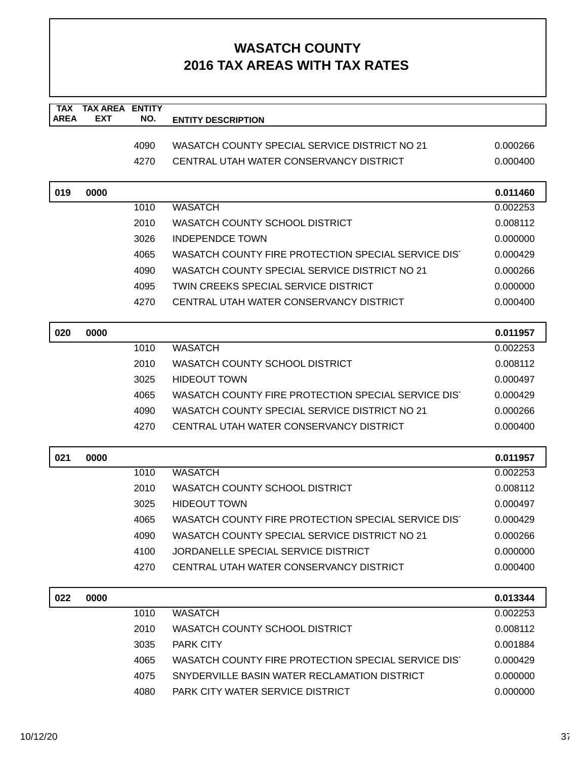| <b>TAX</b><br><b>AREA</b> | <b>TAX AREA ENTITY</b><br><b>EXT</b> | NO.  |                                                     |          |
|---------------------------|--------------------------------------|------|-----------------------------------------------------|----------|
|                           |                                      |      | <b>ENTITY DESCRIPTION</b>                           |          |
|                           |                                      | 4090 | WASATCH COUNTY SPECIAL SERVICE DISTRICT NO 21       | 0.000266 |
|                           |                                      | 4270 | CENTRAL UTAH WATER CONSERVANCY DISTRICT             | 0.000400 |
|                           |                                      |      |                                                     |          |
| 019                       | 0000                                 |      |                                                     | 0.011460 |
|                           |                                      | 1010 | <b>WASATCH</b>                                      | 0.002253 |
|                           |                                      | 2010 | WASATCH COUNTY SCHOOL DISTRICT                      | 0.008112 |
|                           |                                      | 3026 | <b>INDEPENDCE TOWN</b>                              | 0.000000 |
|                           |                                      | 4065 | WASATCH COUNTY FIRE PROTECTION SPECIAL SERVICE DIST | 0.000429 |
|                           |                                      | 4090 | WASATCH COUNTY SPECIAL SERVICE DISTRICT NO 21       | 0.000266 |
|                           |                                      | 4095 | TWIN CREEKS SPECIAL SERVICE DISTRICT                | 0.000000 |
|                           |                                      | 4270 | CENTRAL UTAH WATER CONSERVANCY DISTRICT             | 0.000400 |
|                           |                                      |      |                                                     |          |
| 020                       | 0000                                 |      |                                                     | 0.011957 |
|                           |                                      | 1010 | <b>WASATCH</b>                                      | 0.002253 |
|                           |                                      | 2010 | WASATCH COUNTY SCHOOL DISTRICT                      | 0.008112 |
|                           |                                      | 3025 | <b>HIDEOUT TOWN</b>                                 | 0.000497 |
|                           |                                      | 4065 | WASATCH COUNTY FIRE PROTECTION SPECIAL SERVICE DIST | 0.000429 |
|                           |                                      | 4090 | WASATCH COUNTY SPECIAL SERVICE DISTRICT NO 21       | 0.000266 |
|                           |                                      | 4270 | CENTRAL UTAH WATER CONSERVANCY DISTRICT             | 0.000400 |
| 021                       | 0000                                 |      |                                                     | 0.011957 |
|                           |                                      | 1010 | <b>WASATCH</b>                                      | 0.002253 |
|                           |                                      | 2010 | WASATCH COUNTY SCHOOL DISTRICT                      | 0.008112 |
|                           |                                      | 3025 | <b>HIDEOUT TOWN</b>                                 | 0.000497 |
|                           |                                      | 4065 | WASATCH COUNTY FIRE PROTECTION SPECIAL SERVICE DIST | 0.000429 |
|                           |                                      | 4090 | WASATCH COUNTY SPECIAL SERVICE DISTRICT NO 21       | 0.000266 |
|                           |                                      | 4100 | JORDANELLE SPECIAL SERVICE DISTRICT                 | 0.000000 |
|                           |                                      | 4270 | CENTRAL UTAH WATER CONSERVANCY DISTRICT             | 0.000400 |
| 022                       | 0000                                 |      |                                                     | 0.013344 |
|                           |                                      | 1010 | <b>WASATCH</b>                                      | 0.002253 |
|                           |                                      | 2010 | WASATCH COUNTY SCHOOL DISTRICT                      | 0.008112 |
|                           |                                      | 3035 | PARK CITY                                           | 0.001884 |
|                           |                                      | 4065 | WASATCH COUNTY FIRE PROTECTION SPECIAL SERVICE DIST | 0.000429 |
|                           |                                      | 4075 | SNYDERVILLE BASIN WATER RECLAMATION DISTRICT        | 0.000000 |
|                           |                                      | 4080 | PARK CITY WATER SERVICE DISTRICT                    | 0.000000 |
|                           |                                      |      |                                                     |          |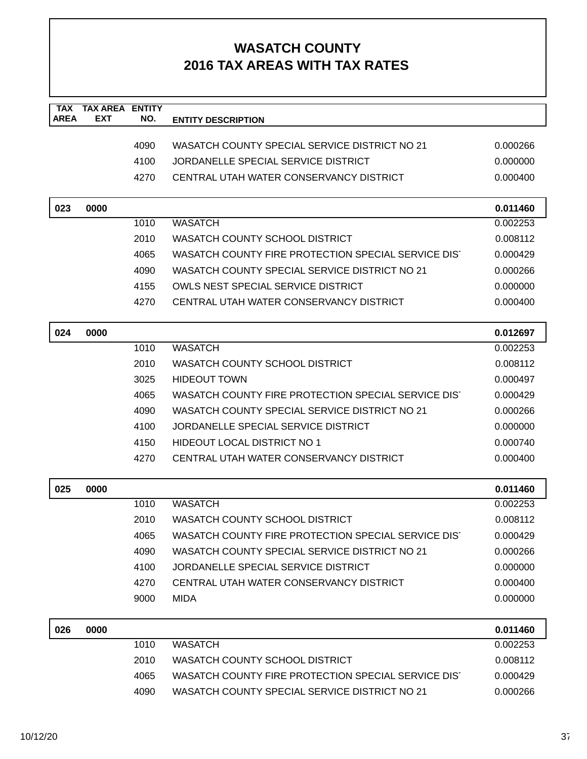| <b>TAX</b><br><b>AREA</b> | <b>TAX AREA</b><br><b>EXT</b> | <b>ENTITY</b> |                                                     |          |
|---------------------------|-------------------------------|---------------|-----------------------------------------------------|----------|
|                           |                               | NO.           | <b>ENTITY DESCRIPTION</b>                           |          |
|                           |                               | 4090          | WASATCH COUNTY SPECIAL SERVICE DISTRICT NO 21       | 0.000266 |
|                           |                               | 4100          | JORDANELLE SPECIAL SERVICE DISTRICT                 | 0.000000 |
|                           |                               | 4270          | CENTRAL UTAH WATER CONSERVANCY DISTRICT             | 0.000400 |
|                           |                               |               |                                                     |          |
| 023                       | 0000                          |               |                                                     | 0.011460 |
|                           |                               | 1010          | <b>WASATCH</b>                                      | 0.002253 |
|                           |                               | 2010          | WASATCH COUNTY SCHOOL DISTRICT                      | 0.008112 |
|                           |                               | 4065          | WASATCH COUNTY FIRE PROTECTION SPECIAL SERVICE DIST | 0.000429 |
|                           |                               | 4090          | WASATCH COUNTY SPECIAL SERVICE DISTRICT NO 21       | 0.000266 |
|                           |                               | 4155          | OWLS NEST SPECIAL SERVICE DISTRICT                  | 0.000000 |
|                           |                               | 4270          | CENTRAL UTAH WATER CONSERVANCY DISTRICT             | 0.000400 |
|                           |                               |               |                                                     |          |
| 024                       | 0000                          |               |                                                     | 0.012697 |
|                           |                               | 1010          | <b>WASATCH</b>                                      | 0.002253 |
|                           |                               | 2010          | WASATCH COUNTY SCHOOL DISTRICT                      | 0.008112 |
|                           |                               | 3025          | <b>HIDEOUT TOWN</b>                                 | 0.000497 |
|                           |                               | 4065          | WASATCH COUNTY FIRE PROTECTION SPECIAL SERVICE DIST | 0.000429 |
|                           |                               | 4090          | WASATCH COUNTY SPECIAL SERVICE DISTRICT NO 21       | 0.000266 |
|                           |                               | 4100          | JORDANELLE SPECIAL SERVICE DISTRICT                 | 0.000000 |
|                           |                               | 4150          | <b>HIDEOUT LOCAL DISTRICT NO 1</b>                  | 0.000740 |
|                           |                               | 4270          | CENTRAL UTAH WATER CONSERVANCY DISTRICT             | 0.000400 |
| 025                       | 0000                          |               |                                                     | 0.011460 |
|                           |                               | 1010          | <b>WASATCH</b>                                      | 0.002253 |
|                           |                               | 2010          | <b>WASATCH COUNTY SCHOOL DISTRICT</b>               | 0.008112 |
|                           |                               | 4065          | WASATCH COUNTY FIRE PROTECTION SPECIAL SERVICE DIST | 0.000429 |
|                           |                               | 4090          | WASATCH COUNTY SPECIAL SERVICE DISTRICT NO 21       | 0.000266 |
|                           |                               | 4100          | JORDANELLE SPECIAL SERVICE DISTRICT                 | 0.000000 |
|                           |                               | 4270          | CENTRAL UTAH WATER CONSERVANCY DISTRICT             | 0.000400 |
|                           |                               | 9000          | <b>MIDA</b>                                         | 0.000000 |
|                           |                               |               |                                                     |          |
| 026                       | 0000                          |               |                                                     | 0.011460 |
|                           |                               | 1010          | <b>WASATCH</b>                                      | 0.002253 |
|                           |                               | 2010          | WASATCH COUNTY SCHOOL DISTRICT                      | 0.008112 |
|                           |                               | 4065          | WASATCH COUNTY FIRE PROTECTION SPECIAL SERVICE DIST | 0.000429 |
|                           |                               | 4090          | WASATCH COUNTY SPECIAL SERVICE DISTRICT NO 21       | 0.000266 |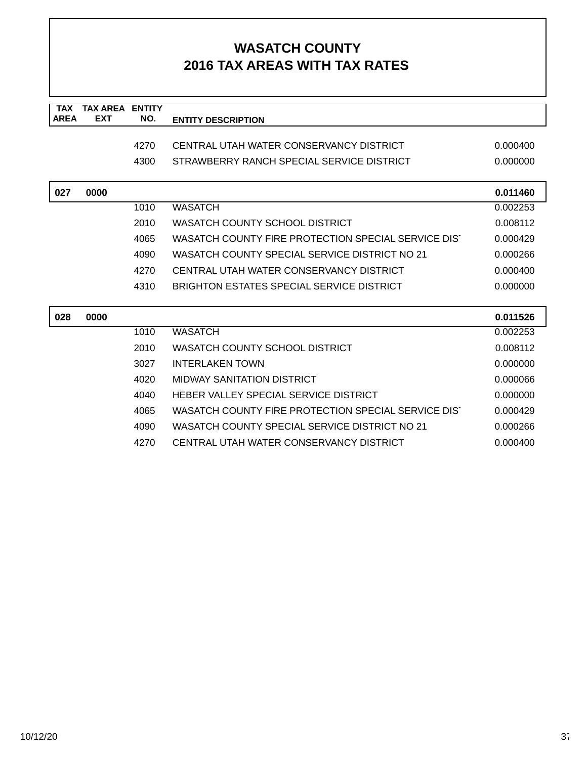| <b>TAX</b>  | <b>TAX AREA ENTITY</b> |      |                                                     |          |
|-------------|------------------------|------|-----------------------------------------------------|----------|
| <b>AREA</b> | <b>EXT</b>             | NO.  | <b>ENTITY DESCRIPTION</b>                           |          |
|             |                        |      |                                                     |          |
|             |                        | 4270 | CENTRAL UTAH WATER CONSERVANCY DISTRICT             | 0.000400 |
|             |                        | 4300 | STRAWBERRY RANCH SPECIAL SERVICE DISTRICT           | 0.000000 |
|             |                        |      |                                                     |          |
| 027         | 0000                   |      |                                                     | 0.011460 |
|             |                        | 1010 | <b>WASATCH</b>                                      | 0.002253 |
|             |                        | 2010 | WASATCH COUNTY SCHOOL DISTRICT                      | 0.008112 |
|             |                        | 4065 | WASATCH COUNTY FIRE PROTECTION SPECIAL SERVICE DIST | 0.000429 |
|             |                        | 4090 | WASATCH COUNTY SPECIAL SERVICE DISTRICT NO 21       | 0.000266 |
|             |                        | 4270 | CENTRAL UTAH WATER CONSERVANCY DISTRICT             | 0.000400 |
|             |                        | 4310 | <b>BRIGHTON ESTATES SPECIAL SERVICE DISTRICT</b>    | 0.000000 |
|             |                        |      |                                                     |          |
| 028         | 0000                   |      |                                                     | 0.011526 |
|             |                        | 1010 | <b>WASATCH</b>                                      | 0.002253 |
|             |                        | 2010 | WASATCH COUNTY SCHOOL DISTRICT                      | 0.008112 |
|             |                        | 3027 | <b>INTERLAKEN TOWN</b>                              | 0.000000 |
|             |                        | 4020 | <b>MIDWAY SANITATION DISTRICT</b>                   | 0.000066 |
|             |                        | 4040 | HEBER VALLEY SPECIAL SERVICE DISTRICT               | 0.000000 |
|             |                        | 4065 | WASATCH COUNTY FIRE PROTECTION SPECIAL SERVICE DIST | 0.000429 |
|             |                        | 4090 | WASATCH COUNTY SPECIAL SERVICE DISTRICT NO 21       | 0.000266 |
|             |                        | 4270 | CENTRAL UTAH WATER CONSERVANCY DISTRICT             | 0.000400 |
|             |                        |      |                                                     |          |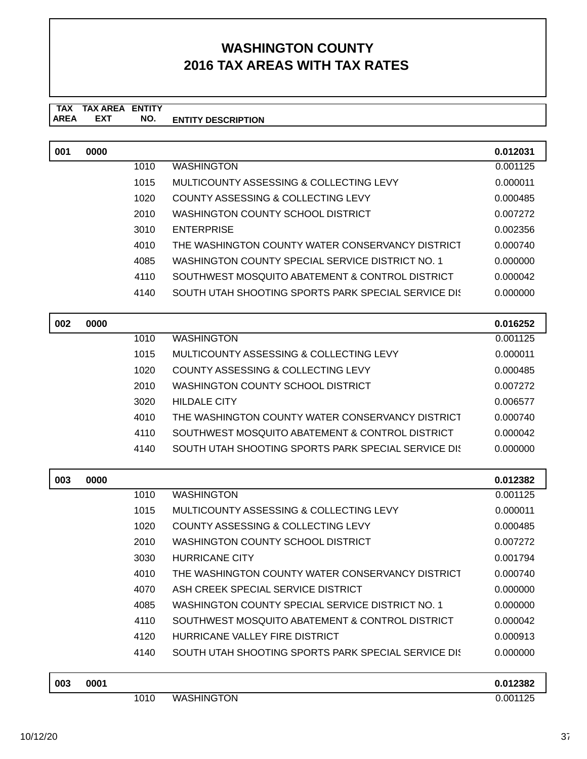#### **TAX TAX AREA ENTITY ENTITY DESCRIPTION EXT NO.**

| 001 | 0000 |      |                                                     | 0.012031 |
|-----|------|------|-----------------------------------------------------|----------|
|     |      | 1010 | <b>WASHINGTON</b>                                   | 0.001125 |
|     |      | 1015 | MULTICOUNTY ASSESSING & COLLECTING LEVY             | 0.000011 |
|     |      | 1020 | <b>COUNTY ASSESSING &amp; COLLECTING LEVY</b>       | 0.000485 |
|     |      | 2010 | WASHINGTON COUNTY SCHOOL DISTRICT                   | 0.007272 |
|     |      | 3010 | <b>ENTERPRISE</b>                                   | 0.002356 |
|     |      | 4010 | THE WASHINGTON COUNTY WATER CONSERVANCY DISTRICT    | 0.000740 |
|     |      | 4085 | WASHINGTON COUNTY SPECIAL SERVICE DISTRICT NO. 1    | 0.000000 |
|     |      | 4110 | SOUTHWEST MOSQUITO ABATEMENT & CONTROL DISTRICT     | 0.000042 |
|     |      | 4140 | SOUTH UTAH SHOOTING SPORTS PARK SPECIAL SERVICE DIS | 0.000000 |
| 002 | 0000 |      |                                                     | 0.016252 |
|     |      | 1010 | <b>WASHINGTON</b>                                   | 0.001125 |
|     |      | 1015 | MULTICOUNTY ASSESSING & COLLECTING LEVY             | 0.000011 |
|     |      | 1020 | COUNTY ASSESSING & COLLECTING LEVY                  | 0.000485 |
|     |      | 2010 | <b>WASHINGTON COUNTY SCHOOL DISTRICT</b>            | 0.007272 |
|     |      | 3020 | <b>HILDALE CITY</b>                                 | 0.006577 |
|     |      | 4010 | THE WASHINGTON COUNTY WATER CONSERVANCY DISTRICT    | 0.000740 |
|     |      | 4110 | SOUTHWEST MOSQUITO ABATEMENT & CONTROL DISTRICT     | 0.000042 |
|     |      | 4140 | SOUTH UTAH SHOOTING SPORTS PARK SPECIAL SERVICE DIS | 0.000000 |
| 003 | 0000 |      |                                                     | 0.012382 |
|     |      | 1010 | <b>WASHINGTON</b>                                   | 0.001125 |
|     |      | 1015 | MULTICOUNTY ASSESSING & COLLECTING LEVY             | 0.000011 |
|     |      | 1020 | <b>COUNTY ASSESSING &amp; COLLECTING LEVY</b>       | 0.000485 |
|     |      | 2010 | WASHINGTON COUNTY SCHOOL DISTRICT                   | 0.007272 |
|     |      | 3030 | <b>HURRICANE CITY</b>                               | 0.001794 |
|     |      | 4010 | THE WASHINGTON COUNTY WATER CONSERVANCY DISTRICT    | 0.000740 |
|     |      | 4070 | ASH CREEK SPECIAL SERVICE DISTRICT                  | 0.000000 |
|     |      | 4085 | WASHINGTON COUNTY SPECIAL SERVICE DISTRICT NO. 1    | 0.000000 |
|     |      | 4110 | SOUTHWEST MOSQUITO ABATEMENT & CONTROL DISTRICT     | 0.000042 |
|     |      | 4120 | HURRICANE VALLEY FIRE DISTRICT                      | 0.000913 |
|     |      | 4140 | SOUTH UTAH SHOOTING SPORTS PARK SPECIAL SERVICE DK  | 0.000000 |
| 003 | 0001 |      |                                                     | 0.012382 |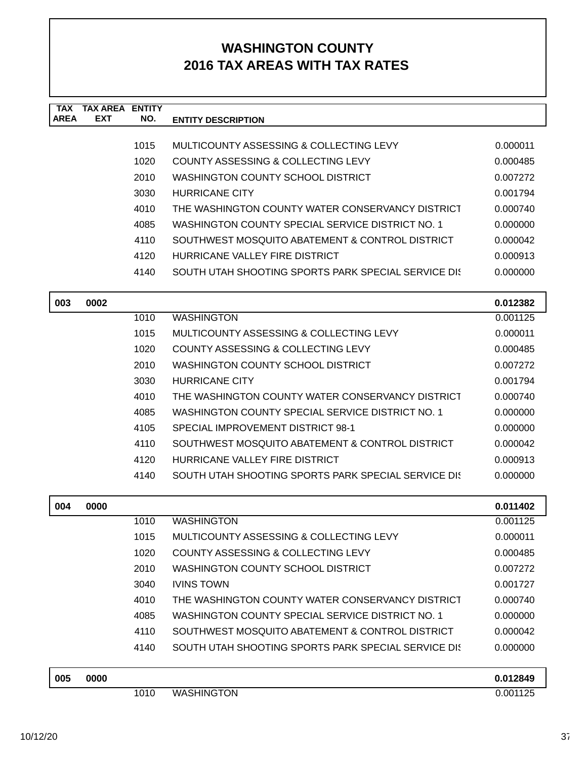| <b>TAX</b>  | <b>TAX AREA ENTITY</b> |      |                                                     |          |
|-------------|------------------------|------|-----------------------------------------------------|----------|
| <b>AREA</b> | <b>EXT</b>             | NO.  | <b>ENTITY DESCRIPTION</b>                           |          |
|             |                        | 1015 | MULTICOUNTY ASSESSING & COLLECTING LEVY             | 0.000011 |
|             |                        | 1020 | COUNTY ASSESSING & COLLECTING LEVY                  | 0.000485 |
|             |                        | 2010 | WASHINGTON COUNTY SCHOOL DISTRICT                   | 0.007272 |
|             |                        | 3030 | <b>HURRICANE CITY</b>                               | 0.001794 |
|             |                        | 4010 | THE WASHINGTON COUNTY WATER CONSERVANCY DISTRICT    | 0.000740 |
|             |                        | 4085 | WASHINGTON COUNTY SPECIAL SERVICE DISTRICT NO. 1    | 0.000000 |
|             |                        | 4110 | SOUTHWEST MOSQUITO ABATEMENT & CONTROL DISTRICT     | 0.000042 |
|             |                        | 4120 | HURRICANE VALLEY FIRE DISTRICT                      | 0.000913 |
|             |                        | 4140 | SOUTH UTAH SHOOTING SPORTS PARK SPECIAL SERVICE DIS | 0.000000 |
| 003         | 0002                   |      |                                                     | 0.012382 |
|             |                        | 1010 | <b>WASHINGTON</b>                                   | 0.001125 |
|             |                        | 1015 | MULTICOUNTY ASSESSING & COLLECTING LEVY             | 0.000011 |
|             |                        | 1020 | <b>COUNTY ASSESSING &amp; COLLECTING LEVY</b>       | 0.000485 |
|             |                        | 2010 | WASHINGTON COUNTY SCHOOL DISTRICT                   | 0.007272 |
|             |                        | 3030 | <b>HURRICANE CITY</b>                               | 0.001794 |
|             |                        | 4010 | THE WASHINGTON COUNTY WATER CONSERVANCY DISTRICT    | 0.000740 |
|             |                        | 4085 | WASHINGTON COUNTY SPECIAL SERVICE DISTRICT NO. 1    | 0.000000 |
|             |                        | 4105 | SPECIAL IMPROVEMENT DISTRICT 98-1                   | 0.000000 |
|             |                        | 4110 | SOUTHWEST MOSQUITO ABATEMENT & CONTROL DISTRICT     | 0.000042 |
|             |                        | 4120 | HURRICANE VALLEY FIRE DISTRICT                      | 0.000913 |
|             |                        | 4140 | SOUTH UTAH SHOOTING SPORTS PARK SPECIAL SERVICE DIS | 0.000000 |
| 004         | 0000                   |      |                                                     | 0.011402 |
|             |                        | 1010 | <b>WASHINGTON</b>                                   | 0.001125 |
|             |                        | 1015 | MULTICOUNTY ASSESSING & COLLECTING LEVY             | 0.000011 |
|             |                        | 1020 | COUNTY ASSESSING & COLLECTING LEVY                  | 0.000485 |
|             |                        | 2010 | WASHINGTON COUNTY SCHOOL DISTRICT                   | 0.007272 |
|             |                        | 3040 | <b>IVINS TOWN</b>                                   | 0.001727 |
|             |                        | 4010 | THE WASHINGTON COUNTY WATER CONSERVANCY DISTRICT    | 0.000740 |
|             |                        | 4085 | WASHINGTON COUNTY SPECIAL SERVICE DISTRICT NO. 1    | 0.000000 |
|             |                        | 4110 | SOUTHWEST MOSQUITO ABATEMENT & CONTROL DISTRICT     | 0.000042 |
|             |                        | 4140 | SOUTH UTAH SHOOTING SPORTS PARK SPECIAL SERVICE DIS | 0.000000 |
| 005         | 0000                   |      |                                                     | 0.012849 |
|             |                        | 1010 | <b>WASHINGTON</b>                                   | 0.001125 |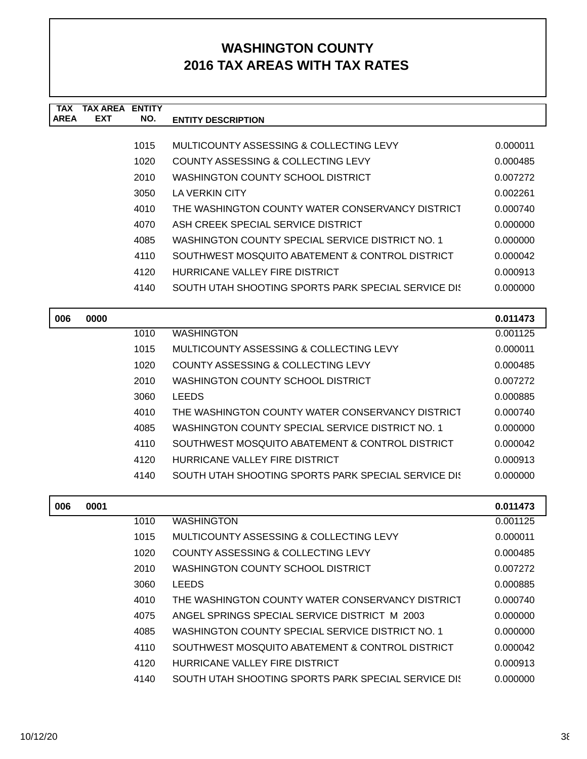| <b>TAX</b><br><b>AREA</b> | <b>TAX AREA ENTITY</b><br><b>EXT</b> | NO.  |                                                      |          |
|---------------------------|--------------------------------------|------|------------------------------------------------------|----------|
|                           |                                      |      | <b>ENTITY DESCRIPTION</b>                            |          |
|                           |                                      | 1015 | MULTICOUNTY ASSESSING & COLLECTING LEVY              | 0.000011 |
|                           |                                      | 1020 | COUNTY ASSESSING & COLLECTING LEVY                   | 0.000485 |
|                           |                                      | 2010 | WASHINGTON COUNTY SCHOOL DISTRICT                    | 0.007272 |
|                           |                                      | 3050 | LA VERKIN CITY                                       | 0.002261 |
|                           |                                      | 4010 | THE WASHINGTON COUNTY WATER CONSERVANCY DISTRICT     | 0.000740 |
|                           |                                      | 4070 | ASH CREEK SPECIAL SERVICE DISTRICT                   | 0.000000 |
|                           |                                      | 4085 | WASHINGTON COUNTY SPECIAL SERVICE DISTRICT NO. 1     | 0.000000 |
|                           |                                      | 4110 | SOUTHWEST MOSQUITO ABATEMENT & CONTROL DISTRICT      | 0.000042 |
|                           |                                      | 4120 | HURRICANE VALLEY FIRE DISTRICT                       | 0.000913 |
|                           |                                      | 4140 | SOUTH UTAH SHOOTING SPORTS PARK SPECIAL SERVICE DIST | 0.000000 |
|                           |                                      |      |                                                      |          |
| 006                       | 0000                                 |      |                                                      | 0.011473 |
|                           |                                      | 1010 | <b>WASHINGTON</b>                                    | 0.001125 |
|                           |                                      | 1015 | MULTICOUNTY ASSESSING & COLLECTING LEVY              | 0.000011 |
|                           |                                      | 1020 | COUNTY ASSESSING & COLLECTING LEVY                   | 0.000485 |
|                           |                                      | 2010 | WASHINGTON COUNTY SCHOOL DISTRICT                    | 0.007272 |
|                           |                                      | 3060 | <b>LEEDS</b>                                         | 0.000885 |
|                           |                                      | 4010 | THE WASHINGTON COUNTY WATER CONSERVANCY DISTRICT     | 0.000740 |
|                           |                                      | 4085 | WASHINGTON COUNTY SPECIAL SERVICE DISTRICT NO. 1     | 0.000000 |
|                           |                                      | 4110 | SOUTHWEST MOSQUITO ABATEMENT & CONTROL DISTRICT      | 0.000042 |
|                           |                                      | 4120 | HURRICANE VALLEY FIRE DISTRICT                       | 0.000913 |
|                           |                                      | 4140 | SOUTH UTAH SHOOTING SPORTS PARK SPECIAL SERVICE DIST | 0.000000 |
| 006                       | 0001                                 |      |                                                      | 0.011473 |
|                           |                                      | 1010 | <b>WASHINGTON</b>                                    | 0.001125 |
|                           |                                      | 1015 | MULTICOUNTY ASSESSING & COLLECTING LEVY              | 0.000011 |
|                           |                                      | 1020 | COUNTY ASSESSING & COLLECTING LEVY                   | 0.000485 |
|                           |                                      | 2010 | WASHINGTON COUNTY SCHOOL DISTRICT                    | 0.007272 |
|                           |                                      | 3060 | <b>LEEDS</b>                                         | 0.000885 |
|                           |                                      | 4010 | THE WASHINGTON COUNTY WATER CONSERVANCY DISTRICT     | 0.000740 |
|                           |                                      | 4075 | ANGEL SPRINGS SPECIAL SERVICE DISTRICT M 2003        | 0.000000 |
|                           |                                      | 4085 | WASHINGTON COUNTY SPECIAL SERVICE DISTRICT NO. 1     | 0.000000 |
|                           |                                      | 4110 | SOUTHWEST MOSQUITO ABATEMENT & CONTROL DISTRICT      | 0.000042 |
|                           |                                      | 4120 | HURRICANE VALLEY FIRE DISTRICT                       | 0.000913 |
|                           |                                      | 4140 | SOUTH UTAH SHOOTING SPORTS PARK SPECIAL SERVICE DIST | 0.000000 |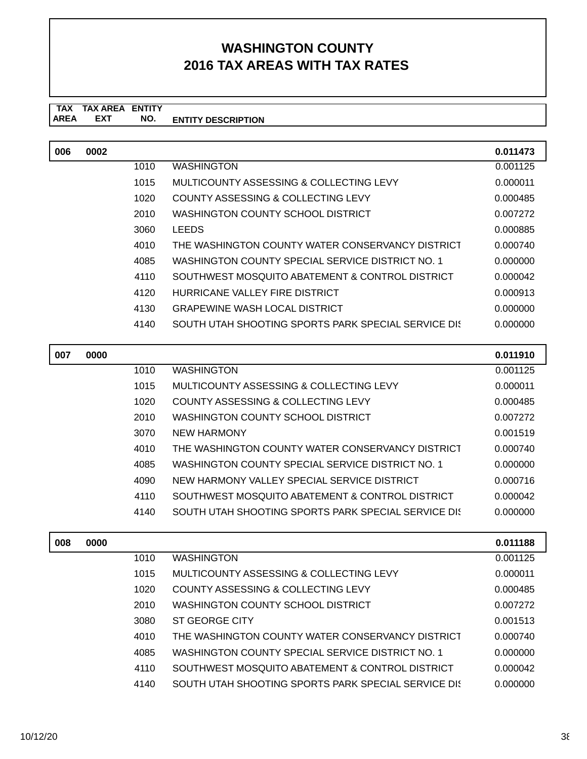#### **TAX TAX AREA ENTITY ENTITY DESCRIPTION** AREA EXT  **NO.**

| 006 | 0002 |      |                                                      | 0.011473 |
|-----|------|------|------------------------------------------------------|----------|
|     |      | 1010 | <b>WASHINGTON</b>                                    | 0.001125 |
|     |      | 1015 | MULTICOUNTY ASSESSING & COLLECTING LEVY              | 0.000011 |
|     |      | 1020 | COUNTY ASSESSING & COLLECTING LEVY                   | 0.000485 |
|     |      | 2010 | WASHINGTON COUNTY SCHOOL DISTRICT                    | 0.007272 |
|     |      | 3060 | <b>LEEDS</b>                                         | 0.000885 |
|     |      | 4010 | THE WASHINGTON COUNTY WATER CONSERVANCY DISTRICT     | 0.000740 |
|     |      | 4085 | WASHINGTON COUNTY SPECIAL SERVICE DISTRICT NO. 1     | 0.000000 |
|     |      | 4110 | SOUTHWEST MOSQUITO ABATEMENT & CONTROL DISTRICT      | 0.000042 |
|     |      | 4120 | HURRICANE VALLEY FIRE DISTRICT                       | 0.000913 |
|     |      | 4130 | <b>GRAPEWINE WASH LOCAL DISTRICT</b>                 | 0.000000 |
|     |      | 4140 | SOUTH UTAH SHOOTING SPORTS PARK SPECIAL SERVICE DIST | 0.000000 |

| 007 | 0000 |      |                                                      | 0.011910 |
|-----|------|------|------------------------------------------------------|----------|
|     |      | 1010 | <b>WASHINGTON</b>                                    | 0.001125 |
|     |      | 1015 | MULTICOUNTY ASSESSING & COLLECTING LEVY              | 0.000011 |
|     |      | 1020 | COUNTY ASSESSING & COLLECTING LEVY                   | 0.000485 |
|     |      | 2010 | WASHINGTON COUNTY SCHOOL DISTRICT                    | 0.007272 |
|     |      | 3070 | NEW HARMONY                                          | 0.001519 |
|     |      | 4010 | THE WASHINGTON COUNTY WATER CONSERVANCY DISTRICT     | 0.000740 |
|     |      | 4085 | WASHINGTON COUNTY SPECIAL SERVICE DISTRICT NO. 1     | 0.000000 |
|     |      | 4090 | NEW HARMONY VALLEY SPECIAL SERVICE DISTRICT          | 0.000716 |
|     |      | 4110 | SOUTHWEST MOSQUITO ABATEMENT & CONTROL DISTRICT      | 0.000042 |
|     |      | 4140 | SOUTH UTAH SHOOTING SPORTS PARK SPECIAL SERVICE DIST | 0.000000 |

| 008 | 0000 |      |                                                      | 0.011188 |
|-----|------|------|------------------------------------------------------|----------|
|     |      | 1010 | <b>WASHINGTON</b>                                    | 0.001125 |
|     |      | 1015 | MULTICOUNTY ASSESSING & COLLECTING LEVY              | 0.000011 |
|     |      | 1020 | COUNTY ASSESSING & COLLECTING LEVY                   | 0.000485 |
|     |      | 2010 | WASHINGTON COUNTY SCHOOL DISTRICT                    | 0.007272 |
|     |      | 3080 | ST GEORGE CITY                                       | 0.001513 |
|     |      | 4010 | THE WASHINGTON COUNTY WATER CONSERVANCY DISTRICT     | 0.000740 |
|     |      | 4085 | WASHINGTON COUNTY SPECIAL SERVICE DISTRICT NO. 1     | 0.000000 |
|     |      | 4110 | SOUTHWEST MOSQUITO ABATEMENT & CONTROL DISTRICT      | 0.000042 |
|     |      | 4140 | SOUTH UTAH SHOOTING SPORTS PARK SPECIAL SERVICE DIST | 0.000000 |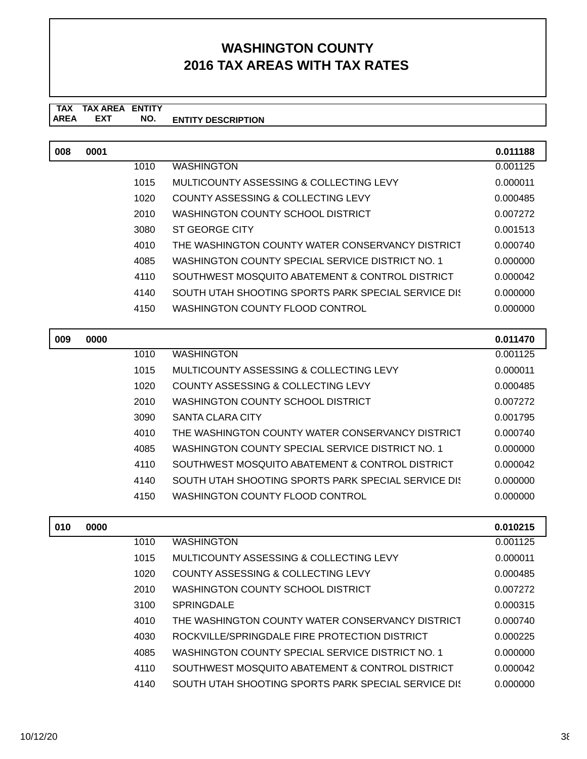#### **TAX TAX AREA ENTITY AREA ENTITY DESCRIPTION EXT NO.**

| 008 | 0001 |      |                                                      | 0.011188 |
|-----|------|------|------------------------------------------------------|----------|
|     |      | 1010 | <b>WASHINGTON</b>                                    | 0.001125 |
|     |      | 1015 | <b>MULTICOUNTY ASSESSING &amp; COLLECTING LEVY</b>   | 0.000011 |
|     |      | 1020 | <b>COUNTY ASSESSING &amp; COLLECTING LEVY</b>        | 0.000485 |
|     |      | 2010 | WASHINGTON COUNTY SCHOOL DISTRICT                    | 0.007272 |
|     |      | 3080 | <b>ST GEORGE CITY</b>                                | 0.001513 |
|     |      | 4010 | THE WASHINGTON COUNTY WATER CONSERVANCY DISTRICT     | 0.000740 |
|     |      | 4085 | WASHINGTON COUNTY SPECIAL SERVICE DISTRICT NO. 1     | 0.000000 |
|     |      | 4110 | SOUTHWEST MOSQUITO ABATEMENT & CONTROL DISTRICT      | 0.000042 |
|     |      | 4140 | SOUTH UTAH SHOOTING SPORTS PARK SPECIAL SERVICE DIST | 0.000000 |
|     |      | 4150 | <b>WASHINGTON COUNTY FLOOD CONTROL</b>               | 0.000000 |
|     |      |      |                                                      |          |
| 009 | 0000 |      |                                                      | 0.011470 |
|     |      | 1010 | <b>WASHINGTON</b>                                    | 0.001125 |
|     |      | 1015 | MULTICOUNTY ASSESSING & COLLECTING LEVY              | 0.000011 |
|     |      | 1020 | COUNTY ASSESSING & COLLECTING LEVY                   | 0.000485 |
|     |      | 2010 | <b>WASHINGTON COUNTY SCHOOL DISTRICT</b>             | 0.007272 |
|     |      | 3090 | <b>SANTA CLARA CITY</b>                              | 0.001795 |
|     |      | 4010 | THE WASHINGTON COUNTY WATER CONSERVANCY DISTRICT     | 0.000740 |
|     |      | 4085 | WASHINGTON COUNTY SPECIAL SERVICE DISTRICT NO. 1     | 0.000000 |
|     |      | 4110 | SOUTHWEST MOSQUITO ABATEMENT & CONTROL DISTRICT      | 0.000042 |
|     |      | 4140 | SOUTH UTAH SHOOTING SPORTS PARK SPECIAL SERVICE DIST | 0.000000 |
|     |      | 4150 | <b>WASHINGTON COUNTY FLOOD CONTROL</b>               | 0.000000 |
|     |      |      |                                                      |          |
| 010 | 0000 |      |                                                      | 0.010215 |
|     |      | 1010 | <b>WASHINGTON</b>                                    | 0.001125 |
|     |      | 1015 | <b>MULTICOUNTY ASSESSING &amp; COLLECTING LEVY</b>   | 0.000011 |
|     |      | 1020 | <b>COUNTY ASSESSING &amp; COLLECTING LEVY</b>        | 0.000485 |
|     |      | 2010 | WASHINGTON COUNTY SCHOOL DISTRICT                    | 0.007272 |
|     |      | 3100 | <b>SPRINGDALE</b>                                    | 0.000315 |
|     |      | 4010 | THE WASHINGTON COUNTY WATER CONSERVANCY DISTRICT     | 0.000740 |
|     |      | 4030 | ROCKVILLE/SPRINGDALE FIRE PROTECTION DISTRICT        | 0.000225 |
|     |      | 4085 | WASHINGTON COUNTY SPECIAL SERVICE DISTRICT NO. 1     | 0.000000 |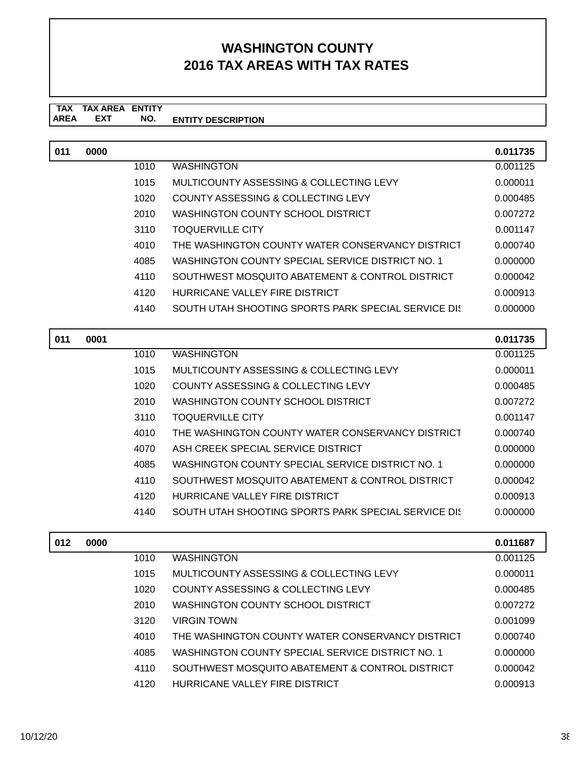#### **TAX TAX AREA ENTITY ENTITY DESCRIPTION** AREA EXT  **NO.**

| 011 | 0000 |      |                                                     | 0.011735 |
|-----|------|------|-----------------------------------------------------|----------|
|     |      | 1010 | <b>WASHINGTON</b>                                   | 0.001125 |
|     |      | 1015 | MULTICOUNTY ASSESSING & COLLECTING LEVY             | 0.000011 |
|     |      | 1020 | <b>COUNTY ASSESSING &amp; COLLECTING LEVY</b>       | 0.000485 |
|     |      | 2010 | WASHINGTON COUNTY SCHOOL DISTRICT                   | 0.007272 |
|     |      | 3110 | <b>TOQUERVILLE CITY</b>                             | 0.001147 |
|     |      | 4010 | THE WASHINGTON COUNTY WATER CONSERVANCY DISTRICT    | 0.000740 |
|     |      | 4085 | WASHINGTON COUNTY SPECIAL SERVICE DISTRICT NO. 1    | 0.000000 |
|     |      | 4110 | SOUTHWEST MOSQUITO ABATEMENT & CONTROL DISTRICT     | 0.000042 |
|     |      | 4120 | HURRICANE VALLEY FIRE DISTRICT                      | 0.000913 |
|     |      | 4140 | SOUTH UTAH SHOOTING SPORTS PARK SPECIAL SERVICE DIS | 0.000000 |
|     |      |      |                                                     |          |
| 011 | 0001 |      |                                                     | 0.011735 |
|     |      | 1010 | <b>WASHINGTON</b>                                   | 0.001125 |
|     |      | 1015 | MULTICOUNTY ASSESSING & COLLECTING LEVY             | 0.000011 |
|     |      | 1020 | <b>COUNTY ASSESSING &amp; COLLECTING LEVY</b>       | 0.000485 |
|     |      | 2010 | WASHINGTON COUNTY SCHOOL DISTRICT                   | 0.007272 |
|     |      | 3110 | <b>TOQUERVILLE CITY</b>                             | 0.001147 |
|     |      | 4010 | THE WASHINGTON COUNTY WATER CONSERVANCY DISTRICT    | 0.000740 |
|     |      | 4070 | ASH CREEK SPECIAL SERVICE DISTRICT                  | 0.000000 |
|     |      | 4085 | WASHINGTON COUNTY SPECIAL SERVICE DISTRICT NO. 1    | 0.000000 |
|     |      | 4110 | SOUTHWEST MOSQUITO ABATEMENT & CONTROL DISTRICT     | 0.000042 |
|     |      | 4120 | HURRICANE VALLEY FIRE DISTRICT                      | 0.000913 |
|     |      | 4140 | SOUTH UTAH SHOOTING SPORTS PARK SPECIAL SERVICE DK  | 0.000000 |
|     |      |      |                                                     |          |

| 012 | 0000 |      |                                                  | 0.011687 |
|-----|------|------|--------------------------------------------------|----------|
|     |      | 1010 | <b>WASHINGTON</b>                                | 0.001125 |
|     |      | 1015 | MULTICOUNTY ASSESSING & COLLECTING LEVY          | 0.000011 |
|     |      | 1020 | COUNTY ASSESSING & COLLECTING LEVY               | 0.000485 |
|     |      | 2010 | WASHINGTON COUNTY SCHOOL DISTRICT                | 0.007272 |
|     |      | 3120 | <b>VIRGIN TOWN</b>                               | 0.001099 |
|     |      | 4010 | THE WASHINGTON COUNTY WATER CONSERVANCY DISTRICT | 0.000740 |
|     |      | 4085 | WASHINGTON COUNTY SPECIAL SERVICE DISTRICT NO. 1 | 0.000000 |
|     |      | 4110 | SOUTHWEST MOSQUITO ABATEMENT & CONTROL DISTRICT  | 0.000042 |
|     |      | 4120 | HURRICANE VALLEY FIRE DISTRICT                   | 0.000913 |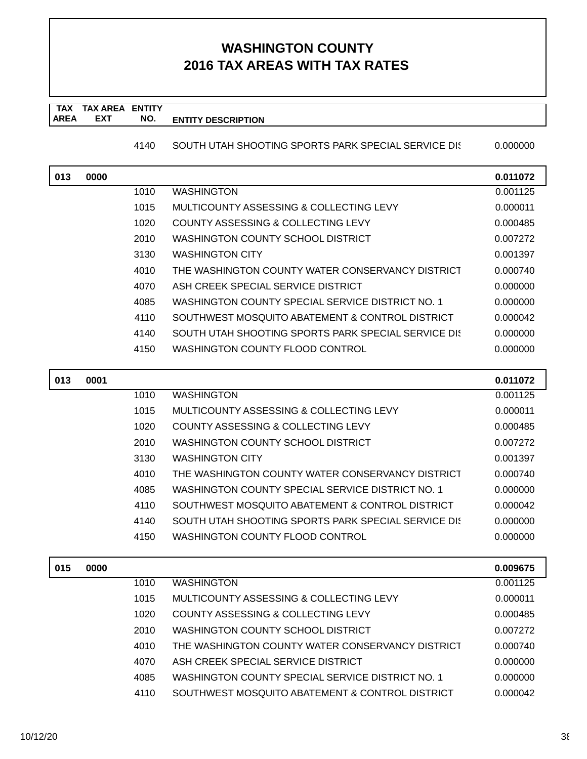#### **TAX TAX AREA ENTITY AREA EXT NO. ENTITY DESCRIPTION EXT NO.**

4140 SOUTH UTAH SHOOTING SPORTS PARK SPECIAL SERVICE DI: 0.000000

| 013 | 0000 |      |                                                      | 0.011072 |
|-----|------|------|------------------------------------------------------|----------|
|     |      | 1010 | <b>WASHINGTON</b>                                    | 0.001125 |
|     |      | 1015 | MULTICOUNTY ASSESSING & COLLECTING LEVY              | 0.000011 |
|     |      | 1020 | COUNTY ASSESSING & COLLECTING LEVY                   | 0.000485 |
|     |      | 2010 | WASHINGTON COUNTY SCHOOL DISTRICT                    | 0.007272 |
|     |      | 3130 | <b>WASHINGTON CITY</b>                               | 0.001397 |
|     |      | 4010 | THE WASHINGTON COUNTY WATER CONSERVANCY DISTRICT     | 0.000740 |
|     |      | 4070 | ASH CREEK SPECIAL SERVICE DISTRICT                   | 0.000000 |
|     |      | 4085 | WASHINGTON COUNTY SPECIAL SERVICE DISTRICT NO. 1     | 0.000000 |
|     |      | 4110 | SOUTHWEST MOSQUITO ABATEMENT & CONTROL DISTRICT      | 0.000042 |
|     |      | 4140 | SOUTH UTAH SHOOTING SPORTS PARK SPECIAL SERVICE DIST | 0.000000 |
|     |      | 4150 | WASHINGTON COUNTY FLOOD CONTROL                      | 0.000000 |
|     |      |      |                                                      |          |
| 013 | 0001 |      |                                                      | 0.011072 |
|     |      | 1010 | <b>WASHINGTON</b>                                    | 0.001125 |
|     |      | 1015 | MULTICOUNTY ASSESSING & COLLECTING LEVY              | 0.000011 |
|     |      | 1020 | COUNTY ASSESSING & COLLECTING LEVY                   | 0.000485 |
|     |      | 2010 | WASHINGTON COUNTY SCHOOL DISTRICT                    | 0.007272 |
|     |      | 3130 | <b>WASHINGTON CITY</b>                               | 0.001397 |
|     |      | 4010 | THE WASHINGTON COUNTY WATER CONSERVANCY DISTRICT     | 0.000740 |
|     |      | 4085 | WASHINGTON COUNTY SPECIAL SERVICE DISTRICT NO. 1     | 0.000000 |
|     |      | 4110 | SOUTHWEST MOSQUITO ABATEMENT & CONTROL DISTRICT      | 0.000042 |
|     |      | 4140 | SOUTH UTAH SHOOTING SPORTS PARK SPECIAL SERVICE DIS  | 0.000000 |
|     |      | 4150 | WASHINGTON COUNTY FLOOD CONTROL                      | 0.000000 |
| 015 | 0000 |      |                                                      | 0.009675 |
|     |      | 1010 | <b>WASHINGTON</b>                                    | 0.001125 |
|     |      | 1015 | MULTICOUNTY ASSESSING & COLLECTING LEVY              | 0.000011 |
|     |      | 1020 | COUNTY ASSESSING & COLLECTING LEVY                   | 0.000485 |
|     |      | 2010 | WASHINGTON COUNTY SCHOOL DISTRICT                    | 0.007272 |
|     |      | 4010 | THE WASHINGTON COUNTY WATER CONSERVANCY DISTRICT     | 0.000740 |

4085 WASHINGTON COUNTY SPECIAL SERVICE DISTRICT NO. 1 0.000000 4110 SOUTHWEST MOSQUITO ABATEMENT & CONTROL DISTRICT 0.000042

4070 ASH CREEK SPECIAL SERVICE DISTRICT 0.0000000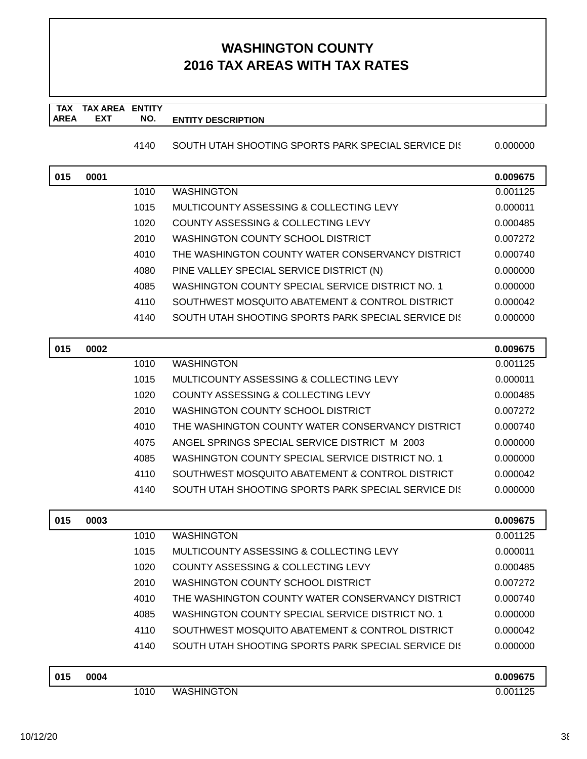#### **TAX TAX AREA ENTITY AREA EXT NO. ENTITY DESCRIPTION EXT NO.**

4140 SOUTH UTAH SHOOTING SPORTS PARK SPECIAL SERVICE DI: 0.000000

| 015 | 0001 |      |                                                     | 0.009675 |
|-----|------|------|-----------------------------------------------------|----------|
|     |      | 1010 | <b>WASHINGTON</b>                                   | 0.001125 |
|     |      | 1015 | MULTICOUNTY ASSESSING & COLLECTING LEVY             | 0.000011 |
|     |      | 1020 | COUNTY ASSESSING & COLLECTING LEVY                  | 0.000485 |
|     |      | 2010 | WASHINGTON COUNTY SCHOOL DISTRICT                   | 0.007272 |
|     |      | 4010 | THE WASHINGTON COUNTY WATER CONSERVANCY DISTRICT    | 0.000740 |
|     |      | 4080 | PINE VALLEY SPECIAL SERVICE DISTRICT (N)            | 0.000000 |
|     |      | 4085 | WASHINGTON COUNTY SPECIAL SERVICE DISTRICT NO. 1    | 0.000000 |
|     |      | 4110 | SOUTHWEST MOSQUITO ABATEMENT & CONTROL DISTRICT     | 0.000042 |
|     |      | 4140 | SOUTH UTAH SHOOTING SPORTS PARK SPECIAL SERVICE DIS | 0.000000 |
| 015 | 0002 |      |                                                     | 0.009675 |
|     |      | 1010 | WASHINGTON                                          | 0.001125 |
|     |      | 1015 | MULTICOUNTY ASSESSING & COLLECTING LEVY             | 0.000011 |
|     |      | 1020 | COUNTY ASSESSING & COLLECTING LEVY                  | 0.000485 |

| 2010 | WASHINGTON COUNTY SCHOOL DISTRICT                    | 0.007272 |
|------|------------------------------------------------------|----------|
| 4010 | THE WASHINGTON COUNTY WATER CONSERVANCY DISTRICT     | 0.000740 |
| 4075 | ANGEL SPRINGS SPECIAL SERVICE DISTRICT M 2003        | 0.000000 |
| 4085 | WASHINGTON COUNTY SPECIAL SERVICE DISTRICT NO. 1     | 0.000000 |
| 4110 | SOUTHWEST MOSQUITO ABATEMENT & CONTROL DISTRICT      | 0.000042 |
| 4140 | SOUTH UTAH SHOOTING SPORTS PARK SPECIAL SERVICE DIST | 0.000000 |

| 015 | 0003 |      |                                                      | 0.009675 |
|-----|------|------|------------------------------------------------------|----------|
|     |      | 1010 | <b>WASHINGTON</b>                                    | 0.001125 |
|     |      | 1015 | MULTICOUNTY ASSESSING & COLLECTING LEVY              | 0.000011 |
|     |      | 1020 | COUNTY ASSESSING & COLLECTING LEVY                   | 0.000485 |
|     |      | 2010 | WASHINGTON COUNTY SCHOOL DISTRICT                    | 0.007272 |
|     |      | 4010 | THE WASHINGTON COUNTY WATER CONSERVANCY DISTRICT     | 0.000740 |
|     |      | 4085 | WASHINGTON COUNTY SPECIAL SERVICE DISTRICT NO. 1     | 0.000000 |
|     |      | 4110 | SOUTHWEST MOSQUITO ABATEMENT & CONTROL DISTRICT      | 0.000042 |
|     |      | 4140 | SOUTH UTAH SHOOTING SPORTS PARK SPECIAL SERVICE DIST | 0.000000 |
|     |      |      |                                                      |          |
| 015 | 0004 |      |                                                      | 0.009675 |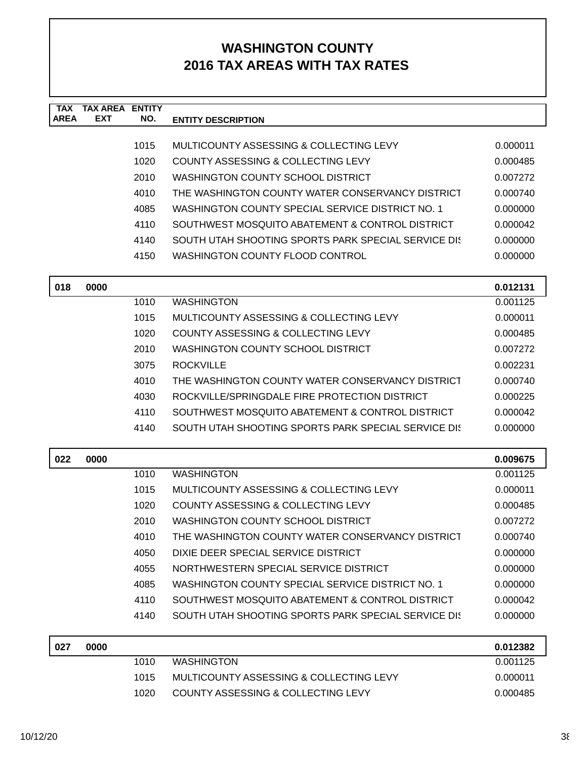| <b>TAX</b><br><b>AREA</b> | <b>TAX AREA ENTITY</b><br><b>EXT</b> | NO.  | <b>ENTITY DESCRIPTION</b>                            |          |
|---------------------------|--------------------------------------|------|------------------------------------------------------|----------|
|                           |                                      |      |                                                      |          |
|                           |                                      | 1015 | MULTICOUNTY ASSESSING & COLLECTING LEVY              | 0.000011 |
|                           |                                      | 1020 | COUNTY ASSESSING & COLLECTING LEVY                   | 0.000485 |
|                           |                                      | 2010 | <b>WASHINGTON COUNTY SCHOOL DISTRICT</b>             | 0.007272 |
|                           |                                      | 4010 | THE WASHINGTON COUNTY WATER CONSERVANCY DISTRICT     | 0.000740 |
|                           |                                      | 4085 | WASHINGTON COUNTY SPECIAL SERVICE DISTRICT NO. 1     | 0.000000 |
|                           |                                      | 4110 | SOUTHWEST MOSQUITO ABATEMENT & CONTROL DISTRICT      | 0.000042 |
|                           |                                      | 4140 | SOUTH UTAH SHOOTING SPORTS PARK SPECIAL SERVICE DIST | 0.000000 |
|                           |                                      | 4150 | WASHINGTON COUNTY FLOOD CONTROL                      | 0.000000 |
| 018                       | 0000                                 |      |                                                      | 0.012131 |
|                           |                                      | 1010 | <b>WASHINGTON</b>                                    | 0.001125 |
|                           |                                      | 1015 | MULTICOUNTY ASSESSING & COLLECTING LEVY              | 0.000011 |
|                           |                                      | 1020 | COUNTY ASSESSING & COLLECTING LEVY                   | 0.000485 |
|                           |                                      | 2010 | <b>WASHINGTON COUNTY SCHOOL DISTRICT</b>             | 0.007272 |
|                           |                                      | 3075 | <b>ROCKVILLE</b>                                     | 0.002231 |
|                           |                                      | 4010 | THE WASHINGTON COUNTY WATER CONSERVANCY DISTRICT     | 0.000740 |
|                           |                                      | 4030 | ROCKVILLE/SPRINGDALE FIRE PROTECTION DISTRICT        | 0.000225 |
|                           |                                      | 4110 | SOUTHWEST MOSQUITO ABATEMENT & CONTROL DISTRICT      | 0.000042 |
|                           |                                      | 4140 | SOUTH UTAH SHOOTING SPORTS PARK SPECIAL SERVICE DIST | 0.000000 |
| 022                       | 0000                                 |      |                                                      | 0.009675 |
|                           |                                      | 1010 | <b>WASHINGTON</b>                                    | 0.001125 |
|                           |                                      | 1015 | MULTICOUNTY ASSESSING & COLLECTING LEVY              | 0.000011 |
|                           |                                      | 1020 | COUNTY ASSESSING & COLLECTING LEVY                   | 0.000485 |
|                           |                                      | 2010 | <b>WASHINGTON COUNTY SCHOOL DISTRICT</b>             | 0.007272 |
|                           |                                      | 4010 | THE WASHINGTON COUNTY WATER CONSERVANCY DISTRICT     | 0.000740 |
|                           |                                      | 4050 | DIXIE DEER SPECIAL SERVICE DISTRICT                  | 0.000000 |
|                           |                                      | 4055 | NORTHWESTERN SPECIAL SERVICE DISTRICT                | 0.000000 |
|                           |                                      | 4085 | WASHINGTON COUNTY SPECIAL SERVICE DISTRICT NO. 1     | 0.000000 |
|                           |                                      | 4110 | SOUTHWEST MOSQUITO ABATEMENT & CONTROL DISTRICT      | 0.000042 |
|                           |                                      | 4140 | SOUTH UTAH SHOOTING SPORTS PARK SPECIAL SERVICE DIST | 0.000000 |
| 027                       | 0000                                 |      |                                                      | 0.012382 |
|                           |                                      | 1010 | <b>WASHINGTON</b>                                    | 0.001125 |
|                           |                                      | 1015 | MULTICOUNTY ASSESSING & COLLECTING LEVY              | 0.000011 |
|                           |                                      | 1020 | COUNTY ASSESSING & COLLECTING LEVY                   | 0.000485 |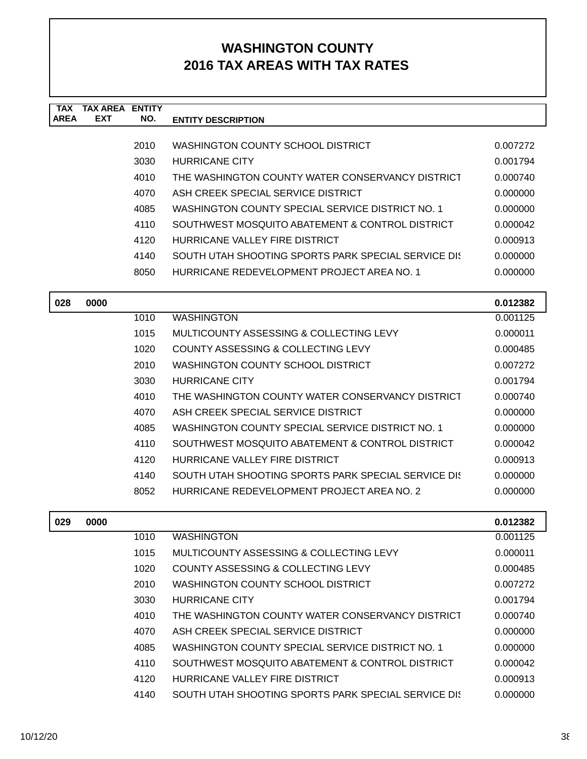| TAX<br><b>AREA</b> | <b>TAX AREA ENTITY</b><br><b>EXT</b> | NO.  | <b>ENTITY DESCRIPTION</b>                            |          |
|--------------------|--------------------------------------|------|------------------------------------------------------|----------|
|                    |                                      |      |                                                      |          |
|                    |                                      | 2010 | WASHINGTON COUNTY SCHOOL DISTRICT                    | 0.007272 |
|                    |                                      | 3030 | <b>HURRICANE CITY</b>                                | 0.001794 |
|                    |                                      | 4010 | THE WASHINGTON COUNTY WATER CONSERVANCY DISTRICT     | 0.000740 |
|                    |                                      | 4070 | ASH CREEK SPECIAL SERVICE DISTRICT                   | 0.000000 |
|                    |                                      | 4085 | WASHINGTON COUNTY SPECIAL SERVICE DISTRICT NO. 1     | 0.000000 |
|                    |                                      | 4110 | SOUTHWEST MOSQUITO ABATEMENT & CONTROL DISTRICT      | 0.000042 |
|                    |                                      | 4120 | HURRICANE VALLEY FIRE DISTRICT                       | 0.000913 |
|                    |                                      | 4140 | SOUTH UTAH SHOOTING SPORTS PARK SPECIAL SERVICE DIST | 0.000000 |
|                    |                                      | 8050 | HURRICANE REDEVELOPMENT PROJECT AREA NO. 1           | 0.000000 |
|                    |                                      |      |                                                      |          |
| 028                | 0000                                 |      |                                                      | 0.012382 |
|                    |                                      | 1010 | <b>WASHINGTON</b>                                    | 0.001125 |
|                    |                                      | 1015 | MULTICOUNTY ASSESSING & COLLECTING LEVY              | 0.000011 |
|                    |                                      | 1020 | COUNTY ASSESSING & COLLECTING LEVY                   | 0.000485 |
|                    |                                      | 2010 | WASHINGTON COUNTY SCHOOL DISTRICT                    | 0.007272 |
|                    |                                      | 3030 | <b>HURRICANE CITY</b>                                | 0.001794 |
|                    |                                      | 4010 | THE WASHINGTON COUNTY WATER CONSERVANCY DISTRICT     | 0.000740 |
|                    |                                      | 4070 | ASH CREEK SPECIAL SERVICE DISTRICT                   | 0.000000 |
|                    |                                      | 4085 | WASHINGTON COUNTY SPECIAL SERVICE DISTRICT NO. 1     | 0.000000 |
|                    |                                      | 4110 | SOUTHWEST MOSQUITO ABATEMENT & CONTROL DISTRICT      | 0.000042 |
|                    |                                      | 4120 | HURRICANE VALLEY FIRE DISTRICT                       | 0.000913 |
|                    |                                      | 4140 | SOUTH UTAH SHOOTING SPORTS PARK SPECIAL SERVICE DIST | 0.000000 |
|                    |                                      | 8052 | HURRICANE REDEVELOPMENT PROJECT AREA NO. 2           | 0.000000 |
| 029                | 0000                                 |      |                                                      | 0.012382 |
|                    |                                      | 1010 | <b>WASHINGTON</b>                                    | 0.001125 |
|                    |                                      | 1015 | MULTICOUNTY ASSESSING & COLLECTING LEVY              | 0.000011 |
|                    |                                      | 1020 | <b>COUNTY ASSESSING &amp; COLLECTING LEVY</b>        | 0.000485 |
|                    |                                      | 2010 | WASHINGTON COUNTY SCHOOL DISTRICT                    | 0.007272 |
|                    |                                      | 3030 | <b>HURRICANE CITY</b>                                | 0.001794 |
|                    |                                      | 4010 | THE WASHINGTON COUNTY WATER CONSERVANCY DISTRICT     | 0.000740 |
|                    |                                      | 4070 | ASH CREEK SPECIAL SERVICE DISTRICT                   | 0.000000 |
|                    |                                      | 4085 | WASHINGTON COUNTY SPECIAL SERVICE DISTRICT NO. 1     | 0.000000 |
|                    |                                      | 4110 | SOUTHWEST MOSQUITO ABATEMENT & CONTROL DISTRICT      | 0.000042 |
|                    |                                      | 4120 | HURRICANE VALLEY FIRE DISTRICT                       | 0.000913 |
|                    |                                      | 4140 | SOUTH UTAH SHOOTING SPORTS PARK SPECIAL SERVICE DIS  | 0.000000 |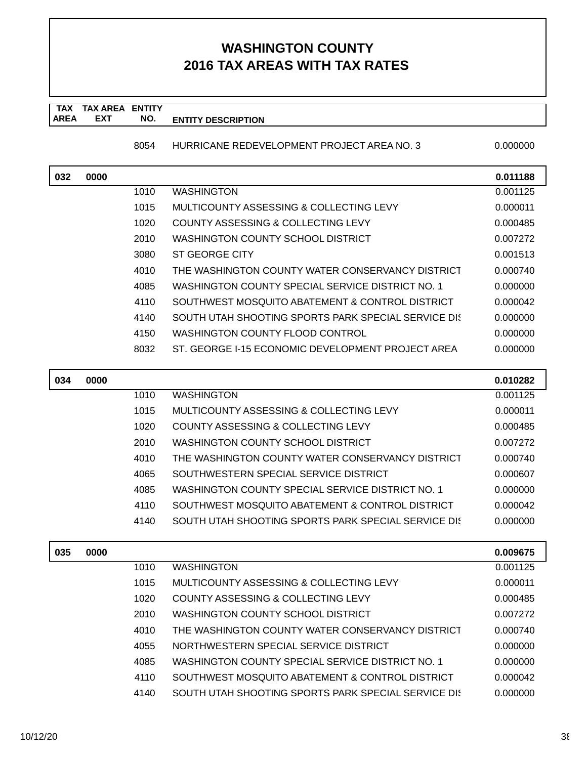**TAX TAX AREA ENTITY AREA ENTITY DESCRIPTION EXT NO.**

8054 HURRICANE REDEVELOPMENT PROJECT AREA NO. 3 0.0000000

| 032 | 0000 |      |                                                      | 0.011188 |
|-----|------|------|------------------------------------------------------|----------|
|     |      | 1010 | <b>WASHINGTON</b>                                    | 0.001125 |
|     |      | 1015 | <b>MULTICOUNTY ASSESSING &amp; COLLECTING LEVY</b>   | 0.000011 |
|     |      | 1020 | COUNTY ASSESSING & COLLECTING LEVY                   | 0.000485 |
|     |      | 2010 | <b>WASHINGTON COUNTY SCHOOL DISTRICT</b>             | 0.007272 |
|     |      | 3080 | <b>ST GEORGE CITY</b>                                | 0.001513 |
|     |      | 4010 | THE WASHINGTON COUNTY WATER CONSERVANCY DISTRICT     | 0.000740 |
|     |      | 4085 | WASHINGTON COUNTY SPECIAL SERVICE DISTRICT NO. 1     | 0.000000 |
|     |      | 4110 | SOUTHWEST MOSQUITO ABATEMENT & CONTROL DISTRICT      | 0.000042 |
|     |      | 4140 | SOUTH UTAH SHOOTING SPORTS PARK SPECIAL SERVICE DIST | 0.000000 |
|     |      | 4150 | WASHINGTON COUNTY FLOOD CONTROL                      | 0.000000 |
|     |      | 8032 | ST. GEORGE I-15 ECONOMIC DEVELOPMENT PROJECT AREA    | 0.000000 |
|     |      |      |                                                      |          |
| 034 | 0000 |      |                                                      | 0.010282 |
|     |      | 1010 | <b>WASHINGTON</b>                                    | 0.001125 |
|     |      | 1015 | <b>MULTICOUNTY ASSESSING &amp; COLLECTING LEVY</b>   | 0.000011 |
|     |      | 1020 | <b>COUNTY ASSESSING &amp; COLLECTING LEVY</b>        | 0.000485 |
|     |      | 2010 | WASHINGTON COUNTY SCHOOL DISTRICT                    | 0.007272 |
|     |      | 4010 | THE WASHINGTON COUNTY WATER CONSERVANCY DISTRICT     | 0.000740 |
|     |      | 4065 | SOUTHWESTERN SPECIAL SERVICE DISTRICT                | 0.000607 |
|     |      | 4085 | WASHINGTON COUNTY SPECIAL SERVICE DISTRICT NO. 1     | 0.000000 |
|     |      | 4110 | SOUTHWEST MOSQUITO ABATEMENT & CONTROL DISTRICT      | 0.000042 |
|     |      | 4140 | SOUTH UTAH SHOOTING SPORTS PARK SPECIAL SERVICE DIS  | 0.000000 |
|     |      |      |                                                      |          |
| 035 | 0000 |      |                                                      | 0.009675 |
|     |      | 1010 | <b>WASHINGTON</b>                                    | 0.001125 |
|     |      | 1015 | MULTICOUNTY ASSESSING & COLLECTING LEVY              | 0.000011 |
|     |      | 1020 | COUNTY ASSESSING & COLLECTING LEVY                   | 0.000485 |
|     |      | 2010 | WASHINGTON COUNTY SCHOOL DISTRICT                    | 0.007272 |
|     |      | 4010 | THE WASHINGTON COUNTY WATER CONSERVANCY DISTRICT     | 0.000740 |
|     |      | 4055 | NORTHWESTERN SPECIAL SERVICE DISTRICT                | 0.000000 |
|     |      | 4085 | WASHINGTON COUNTY SPECIAL SERVICE DISTRICT NO. 1     | 0.000000 |
|     |      | 4110 | SOUTHWEST MOSQUITO ABATEMENT & CONTROL DISTRICT      | 0.000042 |
|     |      | 4140 | SOUTH UTAH SHOOTING SPORTS PARK SPECIAL SERVICE DIS  | 0.000000 |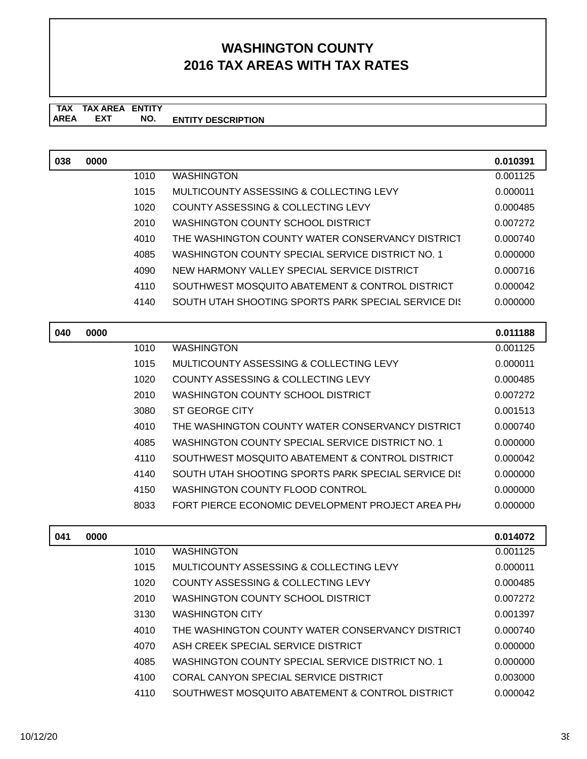**TAX TAX AREA ENTITY AREA ENTITY DESCRIPTION EXT NO.**

| 038 | 0000 |      |                                                     | 0.010391 |
|-----|------|------|-----------------------------------------------------|----------|
|     |      | 1010 | <b>WASHINGTON</b>                                   | 0.001125 |
|     |      | 1015 | MULTICOUNTY ASSESSING & COLLECTING LEVY             | 0.000011 |
|     |      | 1020 | COUNTY ASSESSING & COLLECTING LEVY                  | 0.000485 |
|     |      | 2010 | WASHINGTON COUNTY SCHOOL DISTRICT                   | 0.007272 |
|     |      | 4010 | THE WASHINGTON COUNTY WATER CONSERVANCY DISTRICT    | 0.000740 |
|     |      | 4085 | WASHINGTON COUNTY SPECIAL SERVICE DISTRICT NO. 1    | 0.000000 |
|     |      | 4090 | NEW HARMONY VALLEY SPECIAL SERVICE DISTRICT         | 0.000716 |
|     |      | 4110 | SOUTHWEST MOSQUITO ABATEMENT & CONTROL DISTRICT     | 0.000042 |
|     |      | 4140 | SOUTH UTAH SHOOTING SPORTS PARK SPECIAL SERVICE DIS | 0.000000 |
|     |      |      |                                                     |          |

| 040 | 0000 |      |                                                     | 0.011188 |
|-----|------|------|-----------------------------------------------------|----------|
|     |      | 1010 | <b>WASHINGTON</b>                                   | 0.001125 |
|     |      | 1015 | MULTICOUNTY ASSESSING & COLLECTING LEVY             | 0.000011 |
|     |      | 1020 | COUNTY ASSESSING & COLLECTING LEVY                  | 0.000485 |
|     |      | 2010 | WASHINGTON COUNTY SCHOOL DISTRICT                   | 0.007272 |
|     |      | 3080 | ST GEORGE CITY                                      | 0.001513 |
|     |      | 4010 | THE WASHINGTON COUNTY WATER CONSERVANCY DISTRICT    | 0.000740 |
|     |      | 4085 | WASHINGTON COUNTY SPECIAL SERVICE DISTRICT NO. 1    | 0.000000 |
|     |      | 4110 | SOUTHWEST MOSQUITO ABATEMENT & CONTROL DISTRICT     | 0.000042 |
|     |      | 4140 | SOUTH UTAH SHOOTING SPORTS PARK SPECIAL SERVICE DIS | 0.000000 |
|     |      | 4150 | WASHINGTON COUNTY FLOOD CONTROL                     | 0.000000 |
|     |      | 8033 | FORT PIERCE ECONOMIC DEVELOPMENT PROJECT AREA PH    | 0.000000 |

| 041 | 0000 |      |                                                  | 0.014072 |
|-----|------|------|--------------------------------------------------|----------|
|     |      | 1010 | <b>WASHINGTON</b>                                | 0.001125 |
|     |      | 1015 | MULTICOUNTY ASSESSING & COLLECTING LEVY          | 0.000011 |
|     |      | 1020 | COUNTY ASSESSING & COLLECTING LEVY               | 0.000485 |
|     |      | 2010 | WASHINGTON COUNTY SCHOOL DISTRICT                | 0.007272 |
|     |      | 3130 | <b>WASHINGTON CITY</b>                           | 0.001397 |
|     |      | 4010 | THE WASHINGTON COUNTY WATER CONSERVANCY DISTRICT | 0.000740 |
|     |      | 4070 | ASH CREEK SPECIAL SERVICE DISTRICT               | 0.000000 |
|     |      | 4085 | WASHINGTON COUNTY SPECIAL SERVICE DISTRICT NO. 1 | 0.000000 |
|     |      | 4100 | CORAL CANYON SPECIAL SERVICE DISTRICT            | 0.003000 |
|     |      | 4110 | SOUTHWEST MOSQUITO ABATEMENT & CONTROL DISTRICT  | 0.000042 |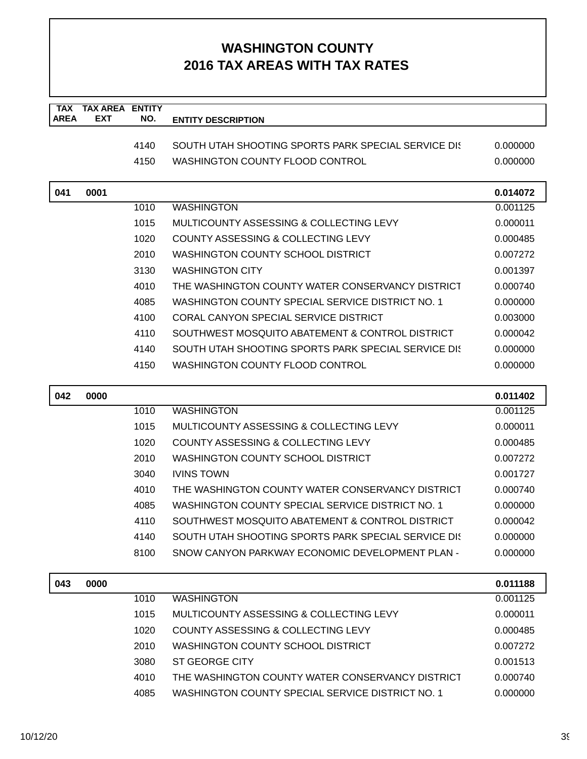| <b>TAX</b>  | <b>TAX AREA ENTITY</b> |      |                                                      |                      |
|-------------|------------------------|------|------------------------------------------------------|----------------------|
| <b>AREA</b> | <b>EXT</b>             | NO.  | <b>ENTITY DESCRIPTION</b>                            |                      |
|             |                        | 4140 | SOUTH UTAH SHOOTING SPORTS PARK SPECIAL SERVICE DIS  | 0.000000             |
|             |                        | 4150 | WASHINGTON COUNTY FLOOD CONTROL                      | 0.000000             |
|             |                        |      |                                                      |                      |
| 041         | 0001                   |      |                                                      | 0.014072             |
|             |                        | 1010 | <b>WASHINGTON</b>                                    | 0.001125             |
|             |                        | 1015 | MULTICOUNTY ASSESSING & COLLECTING LEVY              | 0.000011             |
|             |                        | 1020 | COUNTY ASSESSING & COLLECTING LEVY                   | 0.000485             |
|             |                        | 2010 | WASHINGTON COUNTY SCHOOL DISTRICT                    | 0.007272             |
|             |                        | 3130 | <b>WASHINGTON CITY</b>                               | 0.001397             |
|             |                        | 4010 | THE WASHINGTON COUNTY WATER CONSERVANCY DISTRICT     | 0.000740             |
|             |                        | 4085 | WASHINGTON COUNTY SPECIAL SERVICE DISTRICT NO. 1     | 0.000000             |
|             |                        | 4100 | <b>CORAL CANYON SPECIAL SERVICE DISTRICT</b>         | 0.003000             |
|             |                        | 4110 | SOUTHWEST MOSQUITO ABATEMENT & CONTROL DISTRICT      | 0.000042             |
|             |                        | 4140 | SOUTH UTAH SHOOTING SPORTS PARK SPECIAL SERVICE DIST | 0.000000             |
|             |                        | 4150 | WASHINGTON COUNTY FLOOD CONTROL                      | 0.000000             |
|             |                        |      |                                                      |                      |
| 042         | 0000                   |      |                                                      | 0.011402             |
|             |                        | 1010 | <b>WASHINGTON</b>                                    | 0.001125             |
|             |                        | 1015 | MULTICOUNTY ASSESSING & COLLECTING LEVY              | 0.000011             |
|             |                        | 1020 | COUNTY ASSESSING & COLLECTING LEVY                   | 0.000485             |
|             |                        | 2010 | WASHINGTON COUNTY SCHOOL DISTRICT                    | 0.007272             |
|             |                        | 3040 | <b>IVINS TOWN</b>                                    | 0.001727             |
|             |                        | 4010 | THE WASHINGTON COUNTY WATER CONSERVANCY DISTRICT     | 0.000740             |
|             |                        | 4085 | WASHINGTON COUNTY SPECIAL SERVICE DISTRICT NO. 1     | 0.000000             |
|             |                        | 4110 | SOUTHWEST MOSQUITO ABATEMENT & CONTROL DISTRICT      | 0.000042             |
|             |                        | 4140 | SOUTH UTAH SHOOTING SPORTS PARK SPECIAL SERVICE DIST | 0.000000             |
|             |                        | 8100 | SNOW CANYON PARKWAY ECONOMIC DEVELOPMENT PLAN -      | 0.000000             |
|             | 0000                   |      |                                                      |                      |
| 043         |                        | 1010 | <b>WASHINGTON</b>                                    | 0.011188<br>0.001125 |
|             |                        | 1015 | MULTICOUNTY ASSESSING & COLLECTING LEVY              | 0.000011             |
|             |                        | 1020 | COUNTY ASSESSING & COLLECTING LEVY                   | 0.000485             |
|             |                        | 2010 | <b>WASHINGTON COUNTY SCHOOL DISTRICT</b>             | 0.007272             |
|             |                        | 3080 | <b>ST GEORGE CITY</b>                                | 0.001513             |
|             |                        | 4010 | THE WASHINGTON COUNTY WATER CONSERVANCY DISTRICT     | 0.000740             |
|             |                        | 4085 | WASHINGTON COUNTY SPECIAL SERVICE DISTRICT NO. 1     | 0.000000             |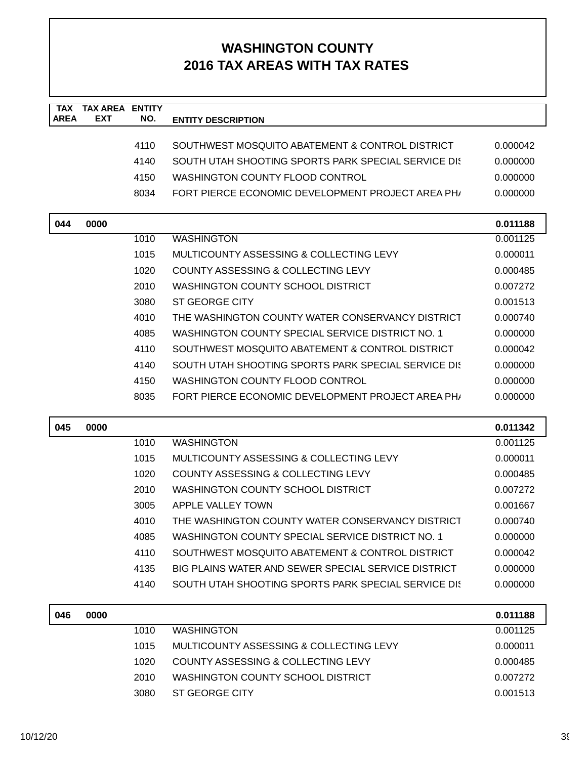| <b>TAX</b><br><b>AREA</b> | <b>TAX AREA ENTITY</b><br>EXT | NO.  | <b>ENTITY DESCRIPTION</b>                                     |          |
|---------------------------|-------------------------------|------|---------------------------------------------------------------|----------|
|                           |                               |      |                                                               |          |
|                           |                               | 4110 | SOUTHWEST MOSQUITO ABATEMENT & CONTROL DISTRICT               | 0.000042 |
|                           |                               | 4140 | SOUTH UTAH SHOOTING SPORTS PARK SPECIAL SERVICE DIST          | 0.000000 |
|                           |                               | 4150 | <b>WASHINGTON COUNTY FLOOD CONTROL</b>                        | 0.000000 |
|                           |                               | 8034 | FORT PIERCE ECONOMIC DEVELOPMENT PROJECT AREA PH              | 0.000000 |
| 044                       | 0000                          |      |                                                               | 0.011188 |
|                           |                               | 1010 | <b>WASHINGTON</b>                                             | 0.001125 |
|                           |                               | 1015 | MULTICOUNTY ASSESSING & COLLECTING LEVY                       | 0.000011 |
|                           |                               | 1020 | COUNTY ASSESSING & COLLECTING LEVY                            | 0.000485 |
|                           |                               | 2010 | WASHINGTON COUNTY SCHOOL DISTRICT                             | 0.007272 |
|                           |                               | 3080 | ST GEORGE CITY                                                | 0.001513 |
|                           |                               | 4010 | THE WASHINGTON COUNTY WATER CONSERVANCY DISTRICT              | 0.000740 |
|                           |                               | 4085 | WASHINGTON COUNTY SPECIAL SERVICE DISTRICT NO. 1              | 0.000000 |
|                           |                               | 4110 | SOUTHWEST MOSOUITO ABATEMENT & CONTROL DISTRICT               | 0.000042 |
|                           |                               | 4140 | SOUTH UTAH SHOOTING SPORTS PARK SPECIAL SERVICE DIS           | 0.000000 |
|                           |                               | 4150 | <b>WASHINGTON COUNTY FLOOD CONTROL</b>                        | 0.000000 |
|                           |                               | 8035 | FORT PIERCE ECONOMIC DEVELOPMENT PROJECT AREA PH <sub>1</sub> | 0.000000 |
| 045                       | 0000                          |      |                                                               | 0.011342 |
|                           |                               | 1010 | <b>WASHINGTON</b>                                             | 0.001125 |
|                           |                               | 1015 | MULTICOUNTY ASSESSING & COLLECTING LEVY                       | 0.000011 |
|                           |                               | 1020 | COUNTY ASSESSING & COLLECTING LEVY                            | 0.000485 |
|                           |                               | 2010 | <b>WASHINGTON COUNTY SCHOOL DISTRICT</b>                      | 0.007272 |
|                           |                               | 3005 | APPLE VALLEY TOWN                                             | 0.001667 |
|                           |                               | 4010 | THE WASHINGTON COUNTY WATER CONSERVANCY DISTRICT              | 0.000740 |
|                           |                               | 4085 | WASHINGTON COUNTY SPECIAL SERVICE DISTRICT NO. 1              | 0.000000 |
|                           |                               | 4110 | SOUTHWEST MOSQUITO ABATEMENT & CONTROL DISTRICT               | 0.000042 |
|                           |                               | 4135 | BIG PLAINS WATER AND SEWER SPECIAL SERVICE DISTRICT           | 0.000000 |
|                           |                               | 4140 | SOUTH UTAH SHOOTING SPORTS PARK SPECIAL SERVICE DIST          | 0.000000 |
| 046                       | 0000                          |      |                                                               | 0.011188 |
|                           |                               | 1010 | <b>WASHINGTON</b>                                             | 0.001125 |
|                           |                               | 1015 | MULTICOUNTY ASSESSING & COLLECTING LEVY                       | 0.000011 |
|                           |                               | 1020 | COUNTY ASSESSING & COLLECTING LEVY                            | 0.000485 |
|                           |                               | 2010 | WASHINGTON COUNTY SCHOOL DISTRICT                             | 0.007272 |
|                           |                               | 3080 | <b>ST GEORGE CITY</b>                                         | 0.001513 |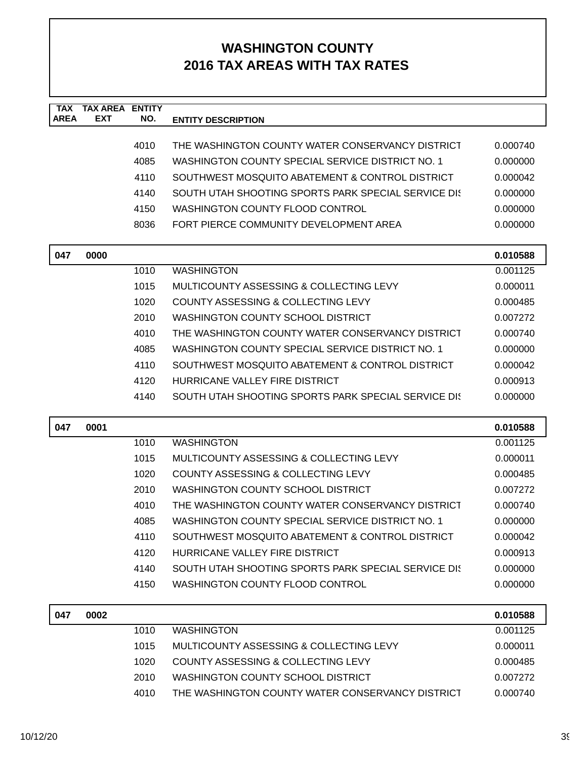| <b>TAX</b><br><b>AREA</b> | <b>TAX AREA</b><br><b>EXT</b> | <b>ENTITY</b> |                                                     |          |
|---------------------------|-------------------------------|---------------|-----------------------------------------------------|----------|
|                           |                               | NO.           | <b>ENTITY DESCRIPTION</b>                           |          |
|                           |                               | 4010          | THE WASHINGTON COUNTY WATER CONSERVANCY DISTRICT    | 0.000740 |
|                           |                               | 4085          | WASHINGTON COUNTY SPECIAL SERVICE DISTRICT NO. 1    | 0.000000 |
|                           |                               | 4110          | SOUTHWEST MOSQUITO ABATEMENT & CONTROL DISTRICT     | 0.000042 |
|                           |                               | 4140          | SOUTH UTAH SHOOTING SPORTS PARK SPECIAL SERVICE DIS | 0.000000 |
|                           |                               | 4150          | WASHINGTON COUNTY FLOOD CONTROL                     | 0.000000 |
|                           |                               | 8036          | FORT PIERCE COMMUNITY DEVELOPMENT AREA              | 0.000000 |
|                           |                               |               |                                                     |          |
| 047                       | 0000                          |               |                                                     | 0.010588 |
|                           |                               | 1010          | <b>WASHINGTON</b>                                   | 0.001125 |
|                           |                               | 1015          | MULTICOUNTY ASSESSING & COLLECTING LEVY             | 0.000011 |
|                           |                               | 1020          | COUNTY ASSESSING & COLLECTING LEVY                  | 0.000485 |
|                           |                               | 2010          | <b>WASHINGTON COUNTY SCHOOL DISTRICT</b>            | 0.007272 |
|                           |                               | 4010          | THE WASHINGTON COUNTY WATER CONSERVANCY DISTRICT    | 0.000740 |
|                           |                               | 4085          | WASHINGTON COUNTY SPECIAL SERVICE DISTRICT NO. 1    | 0.000000 |
|                           |                               | 4110          | SOUTHWEST MOSQUITO ABATEMENT & CONTROL DISTRICT     | 0.000042 |
|                           |                               | 4120          | HURRICANE VALLEY FIRE DISTRICT                      | 0.000913 |
|                           |                               | 4140          | SOUTH UTAH SHOOTING SPORTS PARK SPECIAL SERVICE DIS | 0.000000 |
|                           |                               |               |                                                     |          |
| 047                       | 0001                          |               |                                                     | 0.010588 |
|                           |                               | 1010          | <b>WASHINGTON</b>                                   | 0.001125 |
|                           |                               | 1015          | MULTICOUNTY ASSESSING & COLLECTING LEVY             | 0.000011 |
|                           |                               | 1020          | COUNTY ASSESSING & COLLECTING LEVY                  | 0.000485 |
|                           |                               | 2010          | <b>WASHINGTON COUNTY SCHOOL DISTRICT</b>            | 0.007272 |
|                           |                               | 4010          | THE WASHINGTON COUNTY WATER CONSERVANCY DISTRICT    | 0.000740 |
|                           |                               | 4085          | WASHINGTON COUNTY SPECIAL SERVICE DISTRICT NO. 1    | 0.000000 |
|                           |                               | 4110          | SOUTHWEST MOSQUITO ABATEMENT & CONTROL DISTRICT     | 0.000042 |
|                           |                               | 4120          | HURRICANE VALLEY FIRE DISTRICT                      | 0.000913 |
|                           |                               | 4140          | SOUTH UTAH SHOOTING SPORTS PARK SPECIAL SERVICE DIS | 0.000000 |
|                           |                               | 4150          | WASHINGTON COUNTY FLOOD CONTROL                     | 0.000000 |
|                           |                               |               |                                                     |          |
| 047                       | 0002                          |               |                                                     | 0.010588 |
|                           |                               | 1010          | <b>WASHINGTON</b>                                   | 0.001125 |
|                           |                               | 1015          | MULTICOUNTY ASSESSING & COLLECTING LEVY             | 0.000011 |
|                           |                               | 1020          | COUNTY ASSESSING & COLLECTING LEVY                  | 0.000485 |
|                           |                               | 2010          | WASHINGTON COUNTY SCHOOL DISTRICT                   | 0.007272 |
|                           |                               | 4010          | THE WASHINGTON COUNTY WATER CONSERVANCY DISTRICT    | 0.000740 |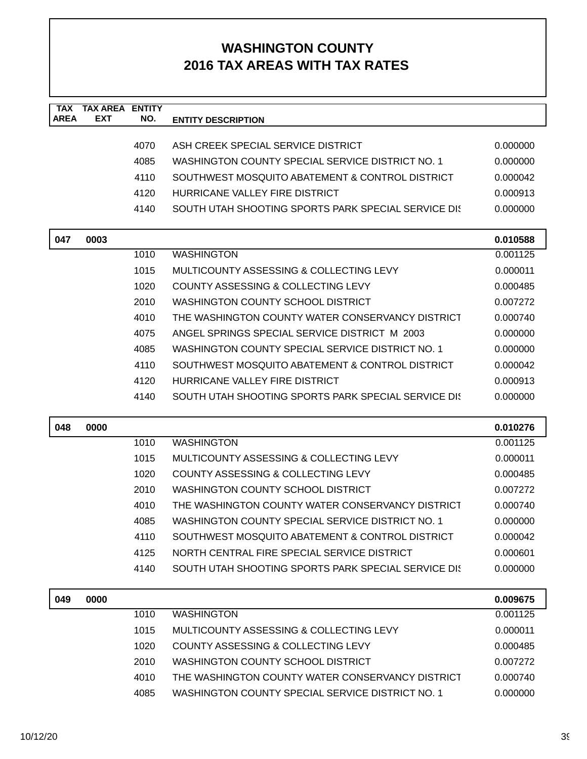| <b>TAX</b>  | <b>TAX AREA ENTITY</b> |              |                                                                                              |                      |
|-------------|------------------------|--------------|----------------------------------------------------------------------------------------------|----------------------|
| <b>AREA</b> | <b>EXT</b>             | NO.          | <b>ENTITY DESCRIPTION</b>                                                                    |                      |
|             |                        | 4070         | ASH CREEK SPECIAL SERVICE DISTRICT                                                           | 0.000000             |
|             |                        | 4085         | WASHINGTON COUNTY SPECIAL SERVICE DISTRICT NO. 1                                             | 0.000000             |
|             |                        | 4110         | SOUTHWEST MOSQUITO ABATEMENT & CONTROL DISTRICT                                              | 0.000042             |
|             |                        | 4120         | HURRICANE VALLEY FIRE DISTRICT                                                               | 0.000913             |
|             |                        | 4140         | SOUTH UTAH SHOOTING SPORTS PARK SPECIAL SERVICE DIS                                          | 0.000000             |
|             |                        |              |                                                                                              |                      |
| 047         | 0003                   |              |                                                                                              | 0.010588             |
|             |                        | 1010         | <b>WASHINGTON</b>                                                                            | 0.001125             |
|             |                        | 1015         | MULTICOUNTY ASSESSING & COLLECTING LEVY                                                      | 0.000011             |
|             |                        | 1020         | COUNTY ASSESSING & COLLECTING LEVY                                                           | 0.000485             |
|             |                        | 2010         | WASHINGTON COUNTY SCHOOL DISTRICT                                                            | 0.007272             |
|             |                        | 4010         | THE WASHINGTON COUNTY WATER CONSERVANCY DISTRICT                                             | 0.000740             |
|             |                        | 4075         | ANGEL SPRINGS SPECIAL SERVICE DISTRICT M 2003                                                | 0.000000             |
|             |                        | 4085         | WASHINGTON COUNTY SPECIAL SERVICE DISTRICT NO. 1                                             | 0.000000             |
|             |                        | 4110         | SOUTHWEST MOSQUITO ABATEMENT & CONTROL DISTRICT                                              | 0.000042             |
|             |                        | 4120         | HURRICANE VALLEY FIRE DISTRICT                                                               | 0.000913             |
|             |                        | 4140         | SOUTH UTAH SHOOTING SPORTS PARK SPECIAL SERVICE DIS                                          | 0.000000             |
|             |                        |              |                                                                                              |                      |
| 048         | 0000                   |              |                                                                                              | 0.010276             |
|             |                        | 1010         | <b>WASHINGTON</b>                                                                            | 0.001125             |
|             |                        | 1015         | MULTICOUNTY ASSESSING & COLLECTING LEVY                                                      | 0.000011             |
|             |                        | 1020         | <b>COUNTY ASSESSING &amp; COLLECTING LEVY</b>                                                | 0.000485             |
|             |                        | 2010         | <b>WASHINGTON COUNTY SCHOOL DISTRICT</b>                                                     | 0.007272             |
|             |                        | 4010         | THE WASHINGTON COUNTY WATER CONSERVANCY DISTRICT                                             | 0.000740             |
|             |                        | 4085         | WASHINGTON COUNTY SPECIAL SERVICE DISTRICT NO. 1                                             | 0.000000             |
|             |                        |              | SOUTHWEST MOSQUITO ABATEMENT & CONTROL DISTRICT                                              |                      |
|             |                        | 4110         |                                                                                              | 0.000042             |
|             |                        | 4125         | NORTH CENTRAL FIRE SPECIAL SERVICE DISTRICT                                                  | 0.000601             |
|             |                        | 4140         | SOUTH UTAH SHOOTING SPORTS PARK SPECIAL SERVICE DIS                                          | 0.000000             |
|             |                        |              |                                                                                              |                      |
| 049         | 0000                   |              |                                                                                              | 0.009675             |
|             |                        | 1010         | <b>WASHINGTON</b>                                                                            | 0.001125             |
|             |                        | 1015         | MULTICOUNTY ASSESSING & COLLECTING LEVY                                                      | 0.000011             |
|             |                        | 1020         | COUNTY ASSESSING & COLLECTING LEVY                                                           | 0.000485             |
|             |                        | 2010<br>4010 | <b>WASHINGTON COUNTY SCHOOL DISTRICT</b><br>THE WASHINGTON COUNTY WATER CONSERVANCY DISTRICT | 0.007272<br>0.000740 |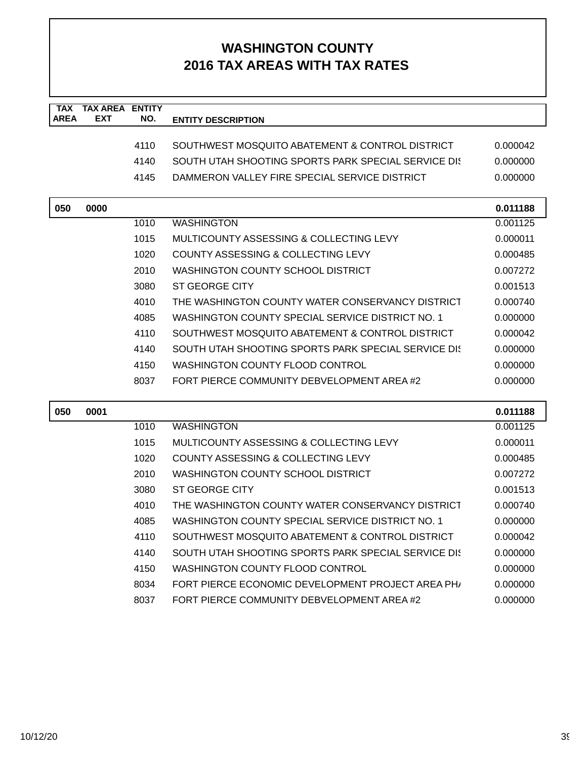| <b>TAX</b>  | <b>TAX AREA ENTITY</b> |      |                                                      |          |
|-------------|------------------------|------|------------------------------------------------------|----------|
| <b>AREA</b> | <b>EXT</b>             | NO.  | <b>ENTITY DESCRIPTION</b>                            |          |
|             |                        | 4110 | SOUTHWEST MOSQUITO ABATEMENT & CONTROL DISTRICT      | 0.000042 |
|             |                        | 4140 | SOUTH UTAH SHOOTING SPORTS PARK SPECIAL SERVICE DIST | 0.000000 |
|             |                        | 4145 | DAMMERON VALLEY FIRE SPECIAL SERVICE DISTRICT        | 0.000000 |
|             |                        |      |                                                      |          |
| 050         | 0000                   |      |                                                      | 0.011188 |
|             |                        | 1010 | <b>WASHINGTON</b>                                    | 0.001125 |
|             |                        | 1015 | MULTICOUNTY ASSESSING & COLLECTING LEVY              | 0.000011 |
|             |                        | 1020 | COUNTY ASSESSING & COLLECTING LEVY                   | 0.000485 |
|             |                        | 2010 | <b>WASHINGTON COUNTY SCHOOL DISTRICT</b>             | 0.007272 |
|             |                        | 3080 | <b>ST GEORGE CITY</b>                                | 0.001513 |
|             |                        | 4010 | THE WASHINGTON COUNTY WATER CONSERVANCY DISTRICT     | 0.000740 |
|             |                        | 4085 | WASHINGTON COUNTY SPECIAL SERVICE DISTRICT NO. 1     | 0.000000 |
|             |                        | 4110 | SOUTHWEST MOSQUITO ABATEMENT & CONTROL DISTRICT      | 0.000042 |
|             |                        | 4140 | SOUTH UTAH SHOOTING SPORTS PARK SPECIAL SERVICE DIST | 0.000000 |
|             |                        | 4150 | <b>WASHINGTON COUNTY FLOOD CONTROL</b>               | 0.000000 |
|             |                        | 8037 | FORT PIERCE COMMUNITY DEBVELOPMENT AREA #2           | 0.000000 |
|             |                        |      |                                                      |          |
| 050         | 0001                   |      |                                                      | 0.011188 |
|             |                        | 1010 | <b>WASHINGTON</b>                                    | 0.001125 |
|             |                        | 1015 | MULTICOUNTY ASSESSING & COLLECTING LEVY              | 0.000011 |
|             |                        | 1020 | COUNTY ASSESSING & COLLECTING LEVY                   | 0.000485 |
|             |                        | 2010 | WASHINGTON COUNTY SCHOOL DISTRICT                    | 0.007272 |
|             |                        | 3080 | <b>ST GEORGE CITY</b>                                | 0.001513 |
|             |                        | 4010 | THE WASHINGTON COUNTY WATER CONSERVANCY DISTRICT     | 0.000740 |
|             |                        | 4085 | WASHINGTON COUNTY SPECIAL SERVICE DISTRICT NO. 1     | 0.000000 |
|             |                        | 4110 | SOUTHWEST MOSQUITO ABATEMENT & CONTROL DISTRICT      | 0.000042 |
|             |                        | 4140 | SOUTH UTAH SHOOTING SPORTS PARK SPECIAL SERVICE DIS  | 0.000000 |
|             |                        | 4150 | WASHINGTON COUNTY FLOOD CONTROL                      | 0.000000 |
|             |                        | 8034 | FORT PIERCE ECONOMIC DEVELOPMENT PROJECT AREA PH/    | 0.000000 |
|             |                        | 8037 | FORT PIERCE COMMUNITY DEBVELOPMENT AREA #2           | 0.000000 |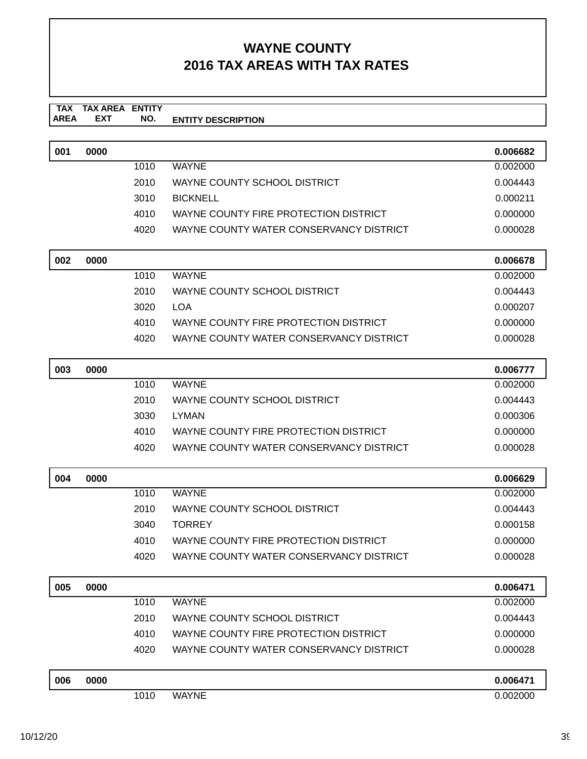#### **TAX TAX AREA ENTITY AREA ENTITY DESCRIPTION EXT NO.**

| 001 | 0000 |      |                                         | 0.006682 |
|-----|------|------|-----------------------------------------|----------|
|     |      | 1010 | <b>WAYNE</b>                            | 0.002000 |
|     |      | 2010 | WAYNE COUNTY SCHOOL DISTRICT            | 0.004443 |
|     |      | 3010 | <b>BICKNELL</b>                         | 0.000211 |
|     |      | 4010 | WAYNE COUNTY FIRE PROTECTION DISTRICT   | 0.000000 |
|     |      | 4020 | WAYNE COUNTY WATER CONSERVANCY DISTRICT | 0.000028 |
|     |      |      |                                         |          |

| 002 | 0000 |      |                                         | 0.006678 |
|-----|------|------|-----------------------------------------|----------|
|     |      | 1010 | <b>WAYNE</b>                            | 0.002000 |
|     |      | 2010 | WAYNE COUNTY SCHOOL DISTRICT            | 0.004443 |
|     |      | 3020 | LOA                                     | 0.000207 |
|     |      | 4010 | WAYNE COUNTY FIRE PROTECTION DISTRICT   | 0.000000 |
|     |      | 4020 | WAYNE COUNTY WATER CONSERVANCY DISTRICT | 0.000028 |

| 003 | 0000 |      |                                         | 0.006777 |
|-----|------|------|-----------------------------------------|----------|
|     |      | 1010 | <b>WAYNE</b>                            | 0.002000 |
|     |      | 2010 | WAYNE COUNTY SCHOOL DISTRICT            | 0.004443 |
|     |      | 3030 | <b>LYMAN</b>                            | 0.000306 |
|     |      | 4010 | WAYNE COUNTY FIRE PROTECTION DISTRICT   | 0.000000 |
|     |      | 4020 | WAYNE COUNTY WATER CONSERVANCY DISTRICT | 0.000028 |

| 004 | 0000 |      |                                         | 0.006629 |
|-----|------|------|-----------------------------------------|----------|
|     |      | 1010 | <b>WAYNE</b>                            | 0.002000 |
|     |      | 2010 | WAYNE COUNTY SCHOOL DISTRICT            | 0.004443 |
|     |      | 3040 | TORREY                                  | 0.000158 |
|     |      | 4010 | WAYNE COUNTY FIRE PROTECTION DISTRICT   | 0.000000 |
|     |      | 4020 | WAYNE COUNTY WATER CONSERVANCY DISTRICT | 0.000028 |

| 005 | 0000 |      |                                         | 0.006471 |
|-----|------|------|-----------------------------------------|----------|
|     |      | 1010 | <b>WAYNE</b>                            | 0.002000 |
|     |      | 2010 | WAYNE COUNTY SCHOOL DISTRICT            | 0.004443 |
|     |      | 4010 | WAYNE COUNTY FIRE PROTECTION DISTRICT   | 0.000000 |
|     |      | 4020 | WAYNE COUNTY WATER CONSERVANCY DISTRICT | 0.000028 |
|     |      |      |                                         |          |

| 006 | 0000 |      |              | 0.006471 |  |
|-----|------|------|--------------|----------|--|
|     |      | 1010 | <b>WAYNE</b> | .002000  |  |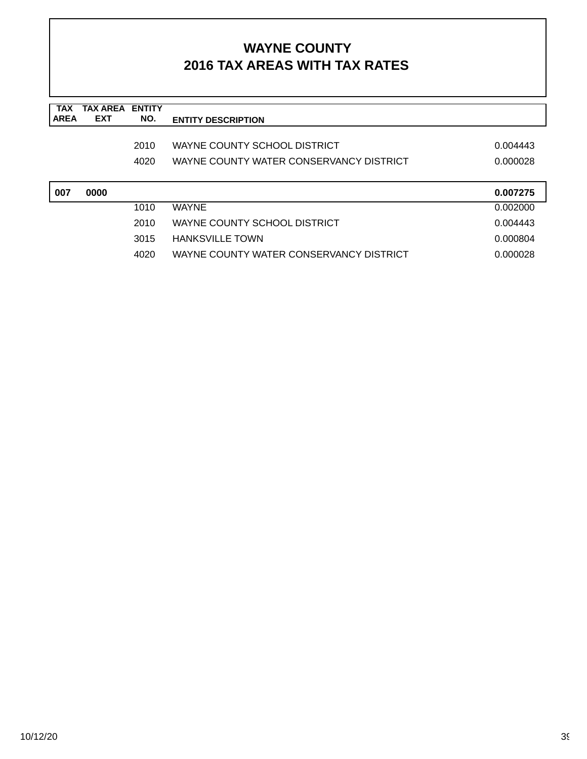| <b>TAX</b><br><b>AREA</b> | <b>TAX AREA</b><br><b>EXT</b> | <b>ENTITY</b><br>NO. | <b>ENTITY DESCRIPTION</b>               |          |
|---------------------------|-------------------------------|----------------------|-----------------------------------------|----------|
|                           |                               |                      |                                         |          |
|                           |                               | 2010                 | WAYNE COUNTY SCHOOL DISTRICT            | 0.004443 |
|                           |                               | 4020                 | WAYNE COUNTY WATER CONSERVANCY DISTRICT | 0.000028 |
|                           |                               |                      |                                         |          |
|                           |                               |                      |                                         |          |
| 007                       | 0000                          |                      |                                         | 0.007275 |
|                           |                               | 1010                 | <b>WAYNE</b>                            | 0.002000 |
|                           |                               | 2010                 | WAYNE COUNTY SCHOOL DISTRICT            | 0.004443 |
|                           |                               | 3015                 | <b>HANKSVILLE TOWN</b>                  | 0.000804 |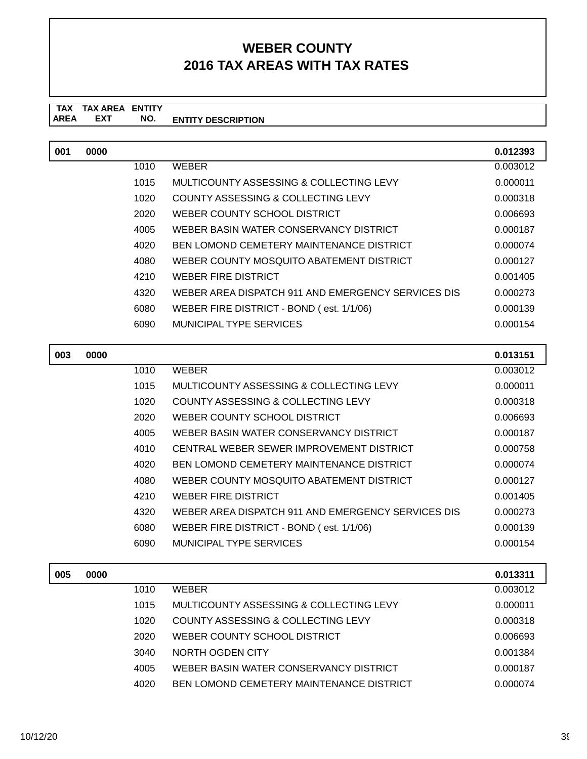#### **TAX TAX AREA ENTITY ENTITY DESCRIPTION EXT NO.**

| 001 | 0000 |      |                                                    | 0.012393 |
|-----|------|------|----------------------------------------------------|----------|
|     |      | 1010 | <b>WEBER</b>                                       | 0.003012 |
|     |      | 1015 | MULTICOUNTY ASSESSING & COLLECTING LEVY            | 0.000011 |
|     |      | 1020 | COUNTY ASSESSING & COLLECTING LEVY                 | 0.000318 |
|     |      | 2020 | WEBER COUNTY SCHOOL DISTRICT                       | 0.006693 |
|     |      | 4005 | WEBER BASIN WATER CONSERVANCY DISTRICT             | 0.000187 |
|     |      | 4020 | <b>BEN LOMOND CEMETERY MAINTENANCE DISTRICT</b>    | 0.000074 |
|     |      | 4080 | WEBER COUNTY MOSQUITO ABATEMENT DISTRICT           | 0.000127 |
|     |      | 4210 | WEBER FIRE DISTRICT                                | 0.001405 |
|     |      | 4320 | WEBER AREA DISPATCH 911 AND EMERGENCY SERVICES DIS | 0.000273 |
|     |      | 6080 | WEBER FIRE DISTRICT - BOND (est. 1/1/06)           | 0.000139 |
|     |      | 6090 | MUNICIPAL TYPE SERVICES                            | 0.000154 |

| 003 | 0000 |      |                                                    | 0.013151 |
|-----|------|------|----------------------------------------------------|----------|
|     |      | 1010 | <b>WEBER</b>                                       | 0.003012 |
|     |      | 1015 | MULTICOUNTY ASSESSING & COLLECTING LEVY            | 0.000011 |
|     |      | 1020 | COUNTY ASSESSING & COLLECTING LEVY                 | 0.000318 |
|     |      | 2020 | WEBER COUNTY SCHOOL DISTRICT                       | 0.006693 |
|     |      | 4005 | WEBER BASIN WATER CONSERVANCY DISTRICT             | 0.000187 |
|     |      | 4010 | CENTRAL WEBER SEWER IMPROVEMENT DISTRICT           | 0.000758 |
|     |      | 4020 | <b>BEN LOMOND CEMETERY MAINTENANCE DISTRICT</b>    | 0.000074 |
|     |      | 4080 | WEBER COUNTY MOSQUITO ABATEMENT DISTRICT           | 0.000127 |
|     |      | 4210 | WEBER FIRE DISTRICT                                | 0.001405 |
|     |      | 4320 | WEBER AREA DISPATCH 911 AND EMERGENCY SERVICES DIS | 0.000273 |
|     |      | 6080 | WEBER FIRE DISTRICT - BOND (est. 1/1/06)           | 0.000139 |
|     |      | 6090 | MUNICIPAL TYPE SERVICES                            | 0.000154 |
|     |      |      |                                                    |          |

| 005 | 0000 |      |                                          | 0.013311 |
|-----|------|------|------------------------------------------|----------|
|     |      | 1010 | <b>WEBER</b>                             | 0.003012 |
|     |      | 1015 | MULTICOUNTY ASSESSING & COLLECTING LEVY  | 0.000011 |
|     |      | 1020 | COUNTY ASSESSING & COLLECTING LEVY       | 0.000318 |
|     |      | 2020 | WEBER COUNTY SCHOOL DISTRICT             | 0.006693 |
|     |      | 3040 | NORTH OGDEN CITY                         | 0.001384 |
|     |      | 4005 | WEBER BASIN WATER CONSERVANCY DISTRICT   | 0.000187 |
|     |      | 4020 | BEN LOMOND CEMETERY MAINTENANCE DISTRICT | 0.000074 |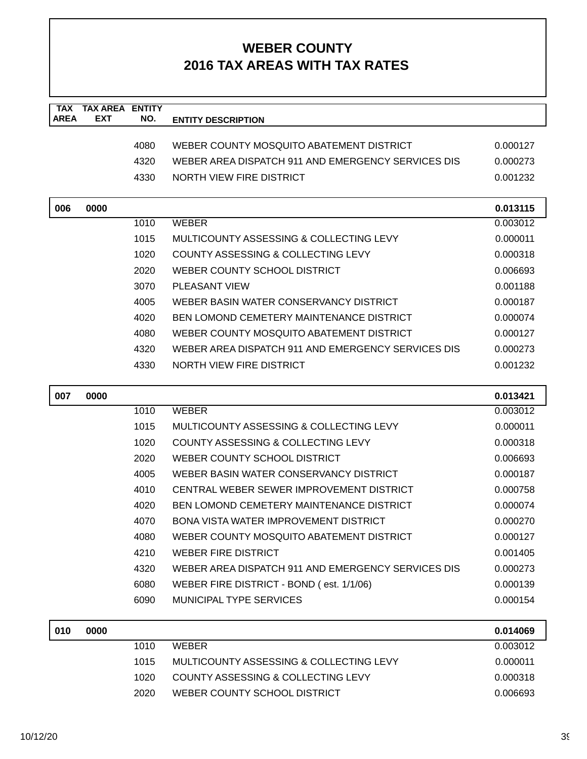| <b>TAX</b><br><b>AREA</b> | <b>TAX AREA ENTITY</b><br><b>EXT</b> | NO.  | <b>ENTITY DESCRIPTION</b>                          |          |
|---------------------------|--------------------------------------|------|----------------------------------------------------|----------|
|                           |                                      |      |                                                    |          |
|                           |                                      | 4080 | WEBER COUNTY MOSQUITO ABATEMENT DISTRICT           | 0.000127 |
|                           |                                      | 4320 | WEBER AREA DISPATCH 911 AND EMERGENCY SERVICES DIS | 0.000273 |
|                           |                                      | 4330 | NORTH VIEW FIRE DISTRICT                           | 0.001232 |
| 006                       | 0000                                 |      | 0.013115                                           |          |
|                           |                                      | 1010 | <b>WEBER</b>                                       | 0.003012 |
|                           |                                      | 1015 | MULTICOUNTY ASSESSING & COLLECTING LEVY            | 0.000011 |
|                           |                                      | 1020 | COUNTY ASSESSING & COLLECTING LEVY                 | 0.000318 |
|                           |                                      | 2020 | WEBER COUNTY SCHOOL DISTRICT                       | 0.006693 |
|                           |                                      | 3070 | <b>PLEASANT VIEW</b><br>0.001188                   |          |
|                           |                                      | 4005 | WEBER BASIN WATER CONSERVANCY DISTRICT             | 0.000187 |
|                           |                                      | 4020 | <b>BEN LOMOND CEMETERY MAINTENANCE DISTRICT</b>    | 0.000074 |
|                           |                                      | 4080 | WEBER COUNTY MOSQUITO ABATEMENT DISTRICT           | 0.000127 |
|                           |                                      | 4320 | WEBER AREA DISPATCH 911 AND EMERGENCY SERVICES DIS | 0.000273 |
|                           |                                      | 4330 | NORTH VIEW FIRE DISTRICT                           | 0.001232 |
| 007                       | 0000                                 |      |                                                    | 0.013421 |
|                           |                                      | 1010 | <b>WEBER</b>                                       | 0.003012 |
|                           |                                      | 1015 | MULTICOUNTY ASSESSING & COLLECTING LEVY            | 0.000011 |
|                           |                                      | 1020 | COUNTY ASSESSING & COLLECTING LEVY                 | 0.000318 |
|                           |                                      | 2020 | WEBER COUNTY SCHOOL DISTRICT                       | 0.006693 |
|                           |                                      | 4005 | WEBER BASIN WATER CONSERVANCY DISTRICT             | 0.000187 |
|                           |                                      | 4010 | CENTRAL WEBER SEWER IMPROVEMENT DISTRICT           | 0.000758 |
|                           |                                      | 4020 | <b>BEN LOMOND CEMETERY MAINTENANCE DISTRICT</b>    | 0.000074 |
|                           |                                      | 4070 | BONA VISTA WATER IMPROVEMENT DISTRICT              | 0.000270 |
|                           |                                      | 4080 | WEBER COUNTY MOSQUITO ABATEMENT DISTRICT           | 0.000127 |
|                           |                                      | 4210 | <b>WEBER FIRE DISTRICT</b>                         | 0.001405 |
|                           |                                      | 4320 | WEBER AREA DISPATCH 911 AND EMERGENCY SERVICES DIS | 0.000273 |
|                           |                                      | 6080 | WEBER FIRE DISTRICT - BOND (est. 1/1/06)           | 0.000139 |
|                           |                                      | 6090 | <b>MUNICIPAL TYPE SERVICES</b>                     | 0.000154 |
| 010                       | 0000                                 |      |                                                    | 0.014069 |
|                           |                                      | 1010 | <b>WEBER</b>                                       | 0.003012 |
|                           |                                      | 1015 | MULTICOUNTY ASSESSING & COLLECTING LEVY            | 0.000011 |
|                           |                                      | 1020 | COUNTY ASSESSING & COLLECTING LEVY                 | 0.000318 |
|                           |                                      | 2020 | WEBER COUNTY SCHOOL DISTRICT                       | 0.006693 |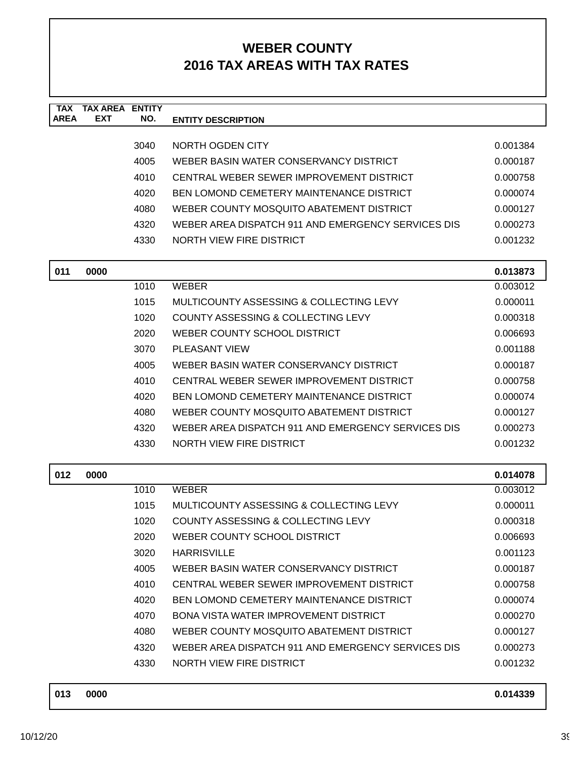| <b>TAX</b><br><b>AREA</b> | <b>TAX AREA ENTITY</b><br><b>EXT</b> | NO.  | <b>ENTITY DESCRIPTION</b>                          |                      |
|---------------------------|--------------------------------------|------|----------------------------------------------------|----------------------|
|                           |                                      |      |                                                    |                      |
|                           |                                      | 3040 | NORTH OGDEN CITY                                   | 0.001384             |
|                           |                                      | 4005 | WEBER BASIN WATER CONSERVANCY DISTRICT             | 0.000187             |
|                           |                                      | 4010 | CENTRAL WEBER SEWER IMPROVEMENT DISTRICT           | 0.000758             |
|                           |                                      | 4020 | BEN LOMOND CEMETERY MAINTENANCE DISTRICT           | 0.000074             |
|                           |                                      | 4080 | WEBER COUNTY MOSQUITO ABATEMENT DISTRICT           | 0.000127             |
|                           |                                      | 4320 | WEBER AREA DISPATCH 911 AND EMERGENCY SERVICES DIS | 0.000273             |
|                           |                                      | 4330 | <b>NORTH VIEW FIRE DISTRICT</b>                    | 0.001232             |
|                           | 0000                                 |      |                                                    |                      |
| 011                       |                                      | 1010 | <b>WEBER</b>                                       | 0.013873<br>0.003012 |
|                           |                                      | 1015 | MULTICOUNTY ASSESSING & COLLECTING LEVY            | 0.000011             |
|                           |                                      | 1020 | COUNTY ASSESSING & COLLECTING LEVY                 | 0.000318             |
|                           |                                      | 2020 | WEBER COUNTY SCHOOL DISTRICT                       | 0.006693             |
|                           | 3070<br><b>PLEASANT VIEW</b>         |      | 0.001188                                           |                      |
|                           |                                      | 4005 | WEBER BASIN WATER CONSERVANCY DISTRICT             | 0.000187             |
|                           |                                      | 4010 | CENTRAL WEBER SEWER IMPROVEMENT DISTRICT           | 0.000758             |
|                           |                                      | 4020 | <b>BEN LOMOND CEMETERY MAINTENANCE DISTRICT</b>    |                      |
|                           |                                      | 4080 | WEBER COUNTY MOSQUITO ABATEMENT DISTRICT           | 0.000074<br>0.000127 |
|                           |                                      | 4320 | WEBER AREA DISPATCH 911 AND EMERGENCY SERVICES DIS | 0.000273             |
|                           |                                      | 4330 | NORTH VIEW FIRE DISTRICT                           |                      |
|                           |                                      |      |                                                    | 0.001232             |
| 012                       | 0000                                 |      |                                                    | 0.014078             |
|                           |                                      | 1010 | <b>WEBER</b>                                       | 0.003012             |
|                           |                                      | 1015 | MULTICOUNTY ASSESSING & COLLECTING LEVY            | 0.000011             |
|                           |                                      | 1020 | COUNTY ASSESSING & COLLECTING LEVY                 | 0.000318             |
|                           |                                      | 2020 | WEBER COUNTY SCHOOL DISTRICT                       | 0.006693             |
|                           |                                      | 3020 | <b>HARRISVILLE</b>                                 | 0.001123             |
|                           |                                      | 4005 | WEBER BASIN WATER CONSERVANCY DISTRICT             | 0.000187             |
|                           |                                      | 4010 | CENTRAL WEBER SEWER IMPROVEMENT DISTRICT           | 0.000758             |
|                           |                                      | 4020 | BEN LOMOND CEMETERY MAINTENANCE DISTRICT           | 0.000074             |
|                           |                                      | 4070 | BONA VISTA WATER IMPROVEMENT DISTRICT              | 0.000270             |
|                           |                                      | 4080 | WEBER COUNTY MOSQUITO ABATEMENT DISTRICT           | 0.000127             |
|                           |                                      | 4320 | WEBER AREA DISPATCH 911 AND EMERGENCY SERVICES DIS | 0.000273             |
|                           |                                      | 4330 | NORTH VIEW FIRE DISTRICT                           | 0.001232             |
|                           |                                      |      |                                                    |                      |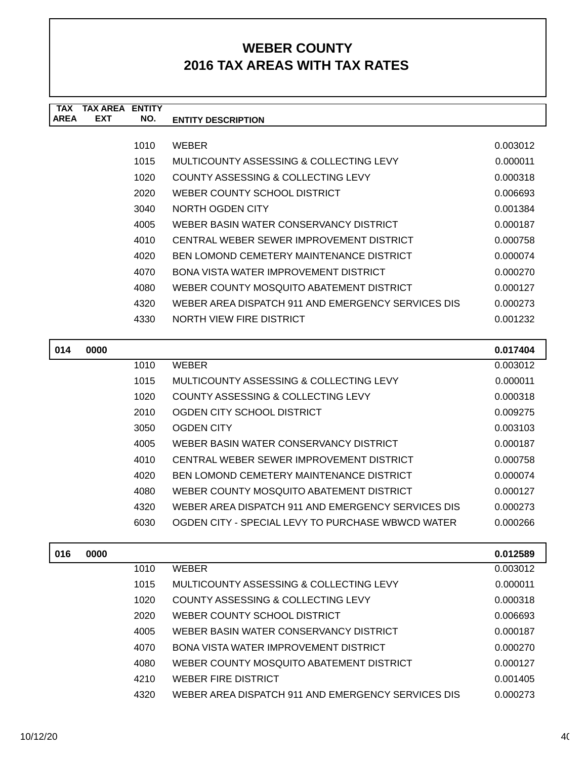| <b>TAX</b><br><b>AREA</b> | <b>TAX AREA ENTITY</b><br><b>EXT</b> | NO.  | <b>ENTITY DESCRIPTION</b>                          |          |
|---------------------------|--------------------------------------|------|----------------------------------------------------|----------|
|                           |                                      |      |                                                    |          |
|                           |                                      | 1010 | <b>WEBER</b>                                       | 0.003012 |
|                           |                                      | 1015 | MULTICOUNTY ASSESSING & COLLECTING LEVY            | 0.000011 |
|                           |                                      | 1020 | COUNTY ASSESSING & COLLECTING LEVY                 | 0.000318 |
|                           |                                      | 2020 | WEBER COUNTY SCHOOL DISTRICT                       | 0.006693 |
|                           |                                      | 3040 | NORTH OGDEN CITY                                   | 0.001384 |
|                           |                                      | 4005 | WEBER BASIN WATER CONSERVANCY DISTRICT             | 0.000187 |
|                           |                                      | 4010 | CENTRAL WEBER SEWER IMPROVEMENT DISTRICT           | 0.000758 |
|                           |                                      | 4020 | <b>BEN LOMOND CEMETERY MAINTENANCE DISTRICT</b>    | 0.000074 |
|                           |                                      | 4070 | BONA VISTA WATER IMPROVEMENT DISTRICT              | 0.000270 |
|                           |                                      | 4080 | WEBER COUNTY MOSQUITO ABATEMENT DISTRICT           | 0.000127 |
|                           |                                      | 4320 | WEBER AREA DISPATCH 911 AND EMERGENCY SERVICES DIS | 0.000273 |
|                           |                                      | 4330 | NORTH VIEW FIRE DISTRICT                           | 0.001232 |
|                           |                                      |      |                                                    |          |
| 014                       | 0000                                 |      |                                                    | 0.017404 |
|                           |                                      | 1010 | <b>WEBER</b>                                       | 0.003012 |
|                           |                                      | 1015 | MULTICOUNTY ASSESSING & COLLECTING LEVY            | 0.000011 |
|                           |                                      | 1020 | COUNTY ASSESSING & COLLECTING LEVY                 | 0.000318 |
|                           |                                      | 2010 | OGDEN CITY SCHOOL DISTRICT                         | 0.009275 |
|                           |                                      | 3050 | <b>OGDEN CITY</b>                                  | 0.003103 |
|                           |                                      | 4005 | WEBER BASIN WATER CONSERVANCY DISTRICT             | 0.000187 |
|                           |                                      | 4010 | CENTRAL WEBER SEWER IMPROVEMENT DISTRICT           | 0.000758 |
|                           |                                      | 4020 | <b>BEN LOMOND CEMETERY MAINTENANCE DISTRICT</b>    | 0.000074 |
|                           |                                      | 4080 | WEBER COUNTY MOSQUITO ABATEMENT DISTRICT           | 0.000127 |
|                           |                                      | 4320 | WEBER AREA DISPATCH 911 AND EMERGENCY SERVICES DIS | 0.000273 |
|                           |                                      | 6030 | OGDEN CITY - SPECIAL LEVY TO PURCHASE WBWCD WATER  | 0.000266 |
| 016                       | 0000                                 |      |                                                    | 0.012589 |
|                           |                                      | 1010 | <b>WEBER</b>                                       | 0.003012 |
|                           |                                      |      |                                                    |          |

| 1 U I U | <b>VVCDCR</b>                                      | U.UUJU LZ |
|---------|----------------------------------------------------|-----------|
| 1015    | MULTICOUNTY ASSESSING & COLLECTING LEVY            | 0.000011  |
| 1020    | COUNTY ASSESSING & COLLECTING LEVY                 | 0.000318  |
| 2020    | WEBER COUNTY SCHOOL DISTRICT                       | 0.006693  |
| 4005    | WEBER BASIN WATER CONSERVANCY DISTRICT             | 0.000187  |
| 4070    | BONA VISTA WATER IMPROVEMENT DISTRICT              | 0.000270  |
| 4080    | WEBER COUNTY MOSQUITO ABATEMENT DISTRICT           | 0.000127  |
| 4210    | WEBER FIRE DISTRICT                                | 0.001405  |
| 4320    | WEBER AREA DISPATCH 911 AND EMERGENCY SERVICES DIS | 0.000273  |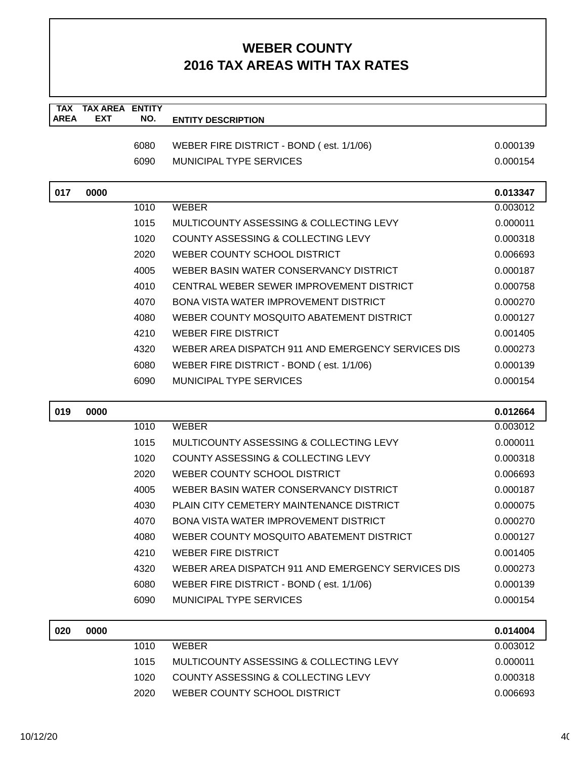| <b>TAX</b><br><b>AREA</b> | <b>TAX AREA ENTITY</b><br><b>EXT</b> | NO.  | <b>ENTITY DESCRIPTION</b>                          |                      |
|---------------------------|--------------------------------------|------|----------------------------------------------------|----------------------|
|                           |                                      |      |                                                    |                      |
|                           |                                      | 6080 | WEBER FIRE DISTRICT - BOND (est. 1/1/06)           | 0.000139             |
|                           |                                      | 6090 | <b>MUNICIPAL TYPE SERVICES</b>                     | 0.000154             |
| 017                       | 0000                                 |      |                                                    | 0.013347             |
|                           |                                      | 1010 | <b>WEBER</b>                                       | 0.003012             |
|                           |                                      | 1015 | MULTICOUNTY ASSESSING & COLLECTING LEVY            | 0.000011             |
|                           |                                      | 1020 | COUNTY ASSESSING & COLLECTING LEVY                 | 0.000318             |
|                           |                                      | 2020 | WEBER COUNTY SCHOOL DISTRICT                       | 0.006693             |
|                           |                                      | 4005 | WEBER BASIN WATER CONSERVANCY DISTRICT             | 0.000187             |
|                           |                                      | 4010 | CENTRAL WEBER SEWER IMPROVEMENT DISTRICT           | 0.000758             |
|                           |                                      | 4070 | <b>BONA VISTA WATER IMPROVEMENT DISTRICT</b>       | 0.000270             |
|                           |                                      | 4080 | WEBER COUNTY MOSQUITO ABATEMENT DISTRICT           | 0.000127             |
|                           |                                      | 4210 | <b>WEBER FIRE DISTRICT</b>                         | 0.001405             |
|                           |                                      | 4320 | WEBER AREA DISPATCH 911 AND EMERGENCY SERVICES DIS | 0.000273             |
|                           |                                      | 6080 | WEBER FIRE DISTRICT - BOND (est. 1/1/06)           | 0.000139             |
|                           |                                      | 6090 | <b>MUNICIPAL TYPE SERVICES</b>                     | 0.000154             |
| 019                       | 0000                                 |      |                                                    | 0.012664             |
|                           |                                      | 1010 | <b>WEBER</b>                                       | 0.003012             |
|                           |                                      | 1015 | MULTICOUNTY ASSESSING & COLLECTING LEVY            | 0.000011             |
|                           |                                      | 1020 | COUNTY ASSESSING & COLLECTING LEVY                 | 0.000318             |
|                           |                                      | 2020 | WEBER COUNTY SCHOOL DISTRICT                       | 0.006693             |
|                           |                                      | 4005 | WEBER BASIN WATER CONSERVANCY DISTRICT             | 0.000187             |
|                           |                                      | 4030 | PLAIN CITY CEMETERY MAINTENANCE DISTRICT           | 0.000075             |
|                           |                                      | 4070 | BONA VISTA WATER IMPROVEMENT DISTRICT              | 0.000270             |
|                           |                                      | 4080 | WEBER COUNTY MOSQUITO ABATEMENT DISTRICT           | 0.000127             |
|                           |                                      | 4210 | <b>WEBER FIRE DISTRICT</b>                         | 0.001405             |
|                           |                                      | 4320 | WEBER AREA DISPATCH 911 AND EMERGENCY SERVICES DIS | 0.000273             |
|                           |                                      | 6080 | WEBER FIRE DISTRICT - BOND (est. 1/1/06)           | 0.000139             |
|                           |                                      | 6090 | MUNICIPAL TYPE SERVICES                            | 0.000154             |
|                           |                                      |      |                                                    |                      |
| 020                       | 0000                                 | 1010 | <b>WEBER</b>                                       | 0.014004<br>0.003012 |
|                           |                                      | 1015 | MULTICOUNTY ASSESSING & COLLECTING LEVY            | 0.000011             |
|                           |                                      | 1020 | COUNTY ASSESSING & COLLECTING LEVY                 | 0.000318             |
|                           |                                      | 2020 | WEBER COUNTY SCHOOL DISTRICT                       | 0.006693             |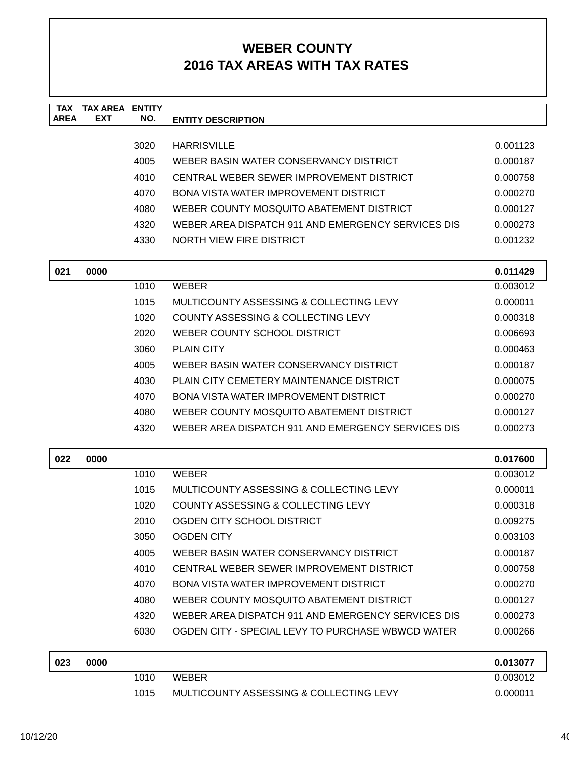| <b>TAX</b><br><b>AREA</b> | <b>TAX AREA ENTITY</b><br><b>EXT</b> | NO.  | <b>ENTITY DESCRIPTION</b>                                |          |
|---------------------------|--------------------------------------|------|----------------------------------------------------------|----------|
|                           |                                      |      |                                                          |          |
|                           |                                      | 3020 | <b>HARRISVILLE</b>                                       | 0.001123 |
|                           |                                      | 4005 | WEBER BASIN WATER CONSERVANCY DISTRICT                   | 0.000187 |
|                           |                                      | 4010 | CENTRAL WEBER SEWER IMPROVEMENT DISTRICT                 | 0.000758 |
|                           |                                      | 4070 | BONA VISTA WATER IMPROVEMENT DISTRICT                    | 0.000270 |
|                           |                                      | 4080 | WEBER COUNTY MOSQUITO ABATEMENT DISTRICT                 | 0.000127 |
|                           |                                      | 4320 | WEBER AREA DISPATCH 911 AND EMERGENCY SERVICES DIS       | 0.000273 |
|                           |                                      | 4330 | NORTH VIEW FIRE DISTRICT                                 | 0.001232 |
| 021                       | 0000                                 |      |                                                          | 0.011429 |
|                           |                                      | 1010 | <b>WEBER</b>                                             | 0.003012 |
|                           |                                      | 1015 | MULTICOUNTY ASSESSING & COLLECTING LEVY                  | 0.000011 |
|                           |                                      | 1020 | COUNTY ASSESSING & COLLECTING LEVY                       | 0.000318 |
|                           |                                      | 2020 | WEBER COUNTY SCHOOL DISTRICT                             | 0.006693 |
|                           |                                      | 3060 | <b>PLAIN CITY</b>                                        | 0.000463 |
|                           |                                      | 4005 | WEBER BASIN WATER CONSERVANCY DISTRICT                   | 0.000187 |
|                           |                                      | 4030 | PLAIN CITY CEMETERY MAINTENANCE DISTRICT<br>0.000075     |          |
|                           |                                      | 4070 | <b>BONA VISTA WATER IMPROVEMENT DISTRICT</b><br>0.000270 |          |
|                           |                                      | 4080 | WEBER COUNTY MOSQUITO ABATEMENT DISTRICT                 | 0.000127 |
|                           |                                      | 4320 | WEBER AREA DISPATCH 911 AND EMERGENCY SERVICES DIS       | 0.000273 |
| 022                       | 0000                                 |      |                                                          | 0.017600 |
|                           |                                      | 1010 | <b>WEBER</b>                                             | 0.003012 |
|                           |                                      | 1015 | MULTICOUNTY ASSESSING & COLLECTING LEVY                  | 0.000011 |
|                           |                                      | 1020 | COUNTY ASSESSING & COLLECTING LEVY                       | 0.000318 |
|                           |                                      | 2010 | OGDEN CITY SCHOOL DISTRICT                               | 0.009275 |
|                           |                                      | 3050 | <b>OGDEN CITY</b>                                        | 0.003103 |
|                           |                                      | 4005 | WEBER BASIN WATER CONSERVANCY DISTRICT                   | 0.000187 |
|                           |                                      | 4010 | CENTRAL WEBER SEWER IMPROVEMENT DISTRICT                 | 0.000758 |
|                           |                                      | 4070 | <b>BONA VISTA WATER IMPROVEMENT DISTRICT</b>             | 0.000270 |
|                           |                                      | 4080 | WEBER COUNTY MOSQUITO ABATEMENT DISTRICT                 | 0.000127 |
|                           |                                      | 4320 | WEBER AREA DISPATCH 911 AND EMERGENCY SERVICES DIS       | 0.000273 |
|                           |                                      | 6030 | OGDEN CITY - SPECIAL LEVY TO PURCHASE WBWCD WATER        | 0.000266 |
| 023                       | 0000                                 |      |                                                          | 0.013077 |
|                           |                                      | 1010 | <b>WEBER</b>                                             | 0.003012 |
|                           |                                      | 1015 | MULTICOUNTY ASSESSING & COLLECTING LEVY                  | 0.000011 |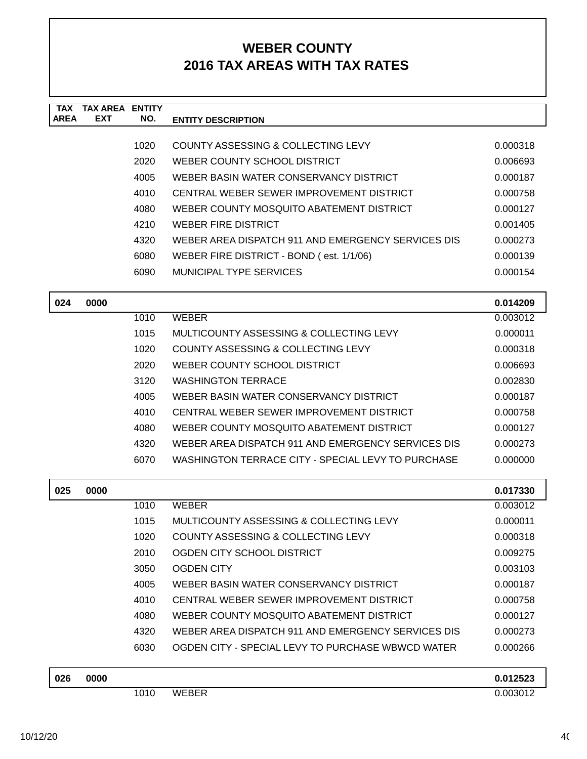| <b>TAX</b><br><b>AREA</b> | <b>TAX AREA ENTITY</b><br><b>EXT</b> | NO.  |                                                                |          |
|---------------------------|--------------------------------------|------|----------------------------------------------------------------|----------|
|                           |                                      |      | <b>ENTITY DESCRIPTION</b>                                      |          |
|                           |                                      | 1020 | COUNTY ASSESSING & COLLECTING LEVY                             | 0.000318 |
| 2020                      |                                      |      | WEBER COUNTY SCHOOL DISTRICT                                   | 0.006693 |
|                           |                                      | 4005 | WEBER BASIN WATER CONSERVANCY DISTRICT                         | 0.000187 |
|                           |                                      | 4010 | CENTRAL WEBER SEWER IMPROVEMENT DISTRICT                       | 0.000758 |
|                           |                                      | 4080 | WEBER COUNTY MOSQUITO ABATEMENT DISTRICT                       | 0.000127 |
|                           |                                      | 4210 | <b>WEBER FIRE DISTRICT</b>                                     | 0.001405 |
|                           |                                      | 4320 | WEBER AREA DISPATCH 911 AND EMERGENCY SERVICES DIS             | 0.000273 |
|                           |                                      | 6080 | WEBER FIRE DISTRICT - BOND (est. 1/1/06)                       | 0.000139 |
|                           |                                      | 6090 | <b>MUNICIPAL TYPE SERVICES</b>                                 | 0.000154 |
| 024                       | 0000                                 |      |                                                                | 0.014209 |
|                           |                                      | 1010 | <b>WEBER</b>                                                   | 0.003012 |
|                           |                                      | 1015 | MULTICOUNTY ASSESSING & COLLECTING LEVY                        | 0.000011 |
|                           |                                      | 1020 | COUNTY ASSESSING & COLLECTING LEVY                             | 0.000318 |
|                           |                                      | 2020 | WEBER COUNTY SCHOOL DISTRICT                                   | 0.006693 |
|                           |                                      | 3120 | <b>WASHINGTON TERRACE</b>                                      | 0.002830 |
|                           |                                      | 4005 | WEBER BASIN WATER CONSERVANCY DISTRICT                         | 0.000187 |
|                           |                                      | 4010 | CENTRAL WEBER SEWER IMPROVEMENT DISTRICT<br>0.000758           |          |
|                           |                                      | 4080 | WEBER COUNTY MOSQUITO ABATEMENT DISTRICT<br>0.000127           |          |
|                           |                                      | 4320 | WEBER AREA DISPATCH 911 AND EMERGENCY SERVICES DIS<br>0.000273 |          |
|                           |                                      | 6070 | WASHINGTON TERRACE CITY - SPECIAL LEVY TO PURCHASE             | 0.000000 |
| 025                       | 0000                                 |      |                                                                | 0.017330 |
|                           |                                      | 1010 | <b>WEBER</b>                                                   | 0.003012 |
|                           |                                      | 1015 | MULTICOUNTY ASSESSING & COLLECTING LEVY                        | 0.000011 |
|                           |                                      | 1020 | COUNTY ASSESSING & COLLECTING LEVY                             | 0.000318 |
|                           |                                      | 2010 | OGDEN CITY SCHOOL DISTRICT                                     | 0.009275 |
|                           |                                      | 3050 | <b>OGDEN CITY</b>                                              | 0.003103 |
|                           |                                      | 4005 | WEBER BASIN WATER CONSERVANCY DISTRICT                         | 0.000187 |
|                           |                                      | 4010 | CENTRAL WEBER SEWER IMPROVEMENT DISTRICT                       | 0.000758 |
|                           |                                      | 4080 | WEBER COUNTY MOSQUITO ABATEMENT DISTRICT                       | 0.000127 |
|                           |                                      | 4320 | WEBER AREA DISPATCH 911 AND EMERGENCY SERVICES DIS             | 0.000273 |
|                           |                                      | 6030 | OGDEN CITY - SPECIAL LEVY TO PURCHASE WBWCD WATER              | 0.000266 |
| 026                       | 0000                                 |      |                                                                | 0.012523 |
|                           |                                      | 1010 | <b>WEBER</b>                                                   | 0.003012 |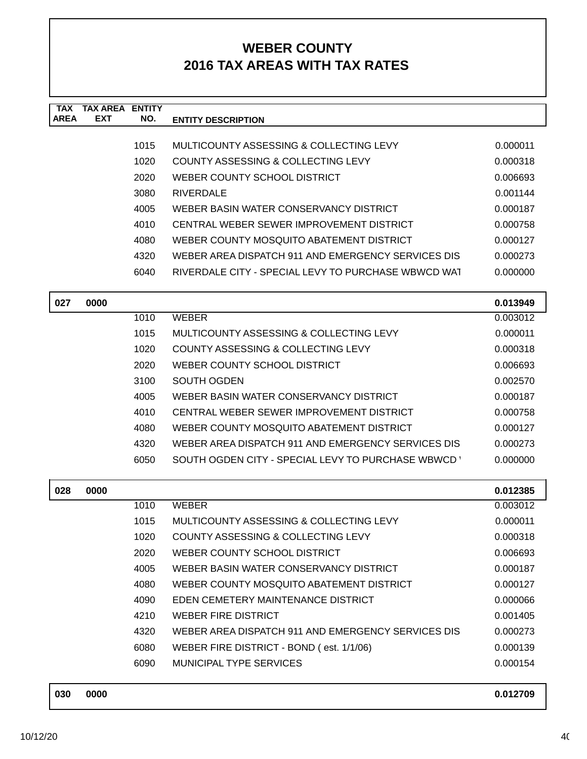| <b>TAX</b><br><b>AREA</b> | <b>TAX AREA ENTITY</b><br>EXT | NO.  | <b>ENTITY DESCRIPTION</b>                           |          |
|---------------------------|-------------------------------|------|-----------------------------------------------------|----------|
|                           |                               |      |                                                     |          |
|                           |                               | 1015 | MULTICOUNTY ASSESSING & COLLECTING LEVY             | 0.000011 |
|                           |                               | 1020 | COUNTY ASSESSING & COLLECTING LEVY                  | 0.000318 |
|                           |                               | 2020 | WEBER COUNTY SCHOOL DISTRICT                        | 0.006693 |
|                           |                               | 3080 | <b>RIVERDALE</b>                                    | 0.001144 |
|                           |                               | 4005 | WEBER BASIN WATER CONSERVANCY DISTRICT              | 0.000187 |
|                           |                               | 4010 | CENTRAL WEBER SEWER IMPROVEMENT DISTRICT            | 0.000758 |
|                           |                               | 4080 | WEBER COUNTY MOSQUITO ABATEMENT DISTRICT            | 0.000127 |
|                           |                               | 4320 | WEBER AREA DISPATCH 911 AND EMERGENCY SERVICES DIS  | 0.000273 |
|                           |                               | 6040 | RIVERDALE CITY - SPECIAL LEVY TO PURCHASE WBWCD WAT | 0.000000 |
| 027                       | 0000                          |      |                                                     | 0.013949 |
|                           |                               | 1010 | <b>WEBER</b>                                        | 0.003012 |
|                           |                               | 1015 | MULTICOUNTY ASSESSING & COLLECTING LEVY             | 0.000011 |
|                           |                               | 1020 | COUNTY ASSESSING & COLLECTING LEVY                  | 0.000318 |
|                           |                               | 2020 | WEBER COUNTY SCHOOL DISTRICT                        | 0.006693 |
|                           |                               | 3100 | SOUTH OGDEN                                         | 0.002570 |
|                           |                               | 4005 | WEBER BASIN WATER CONSERVANCY DISTRICT              | 0.000187 |
|                           |                               | 4010 | CENTRAL WEBER SEWER IMPROVEMENT DISTRICT            | 0.000758 |
|                           |                               | 4080 | WEBER COUNTY MOSQUITO ABATEMENT DISTRICT            | 0.000127 |
|                           |                               | 4320 | WEBER AREA DISPATCH 911 AND EMERGENCY SERVICES DIS  | 0.000273 |
|                           |                               | 6050 | SOUTH OGDEN CITY - SPECIAL LEVY TO PURCHASE WBWCD   | 0.000000 |
| 028                       | 0000                          |      |                                                     | 0.012385 |
|                           |                               | 1010 | <b>WEBER</b>                                        | 0.003012 |
|                           |                               | 1015 | MULTICOUNTY ASSESSING & COLLECTING LEVY             | 0.000011 |
|                           |                               | 1020 | COUNTY ASSESSING & COLLECTING LEVY                  | 0.000318 |
|                           |                               | 2020 | WEBER COUNTY SCHOOL DISTRICT                        | 0.006693 |
|                           |                               | 4005 | WEBER BASIN WATER CONSERVANCY DISTRICT              | 0.000187 |
|                           |                               | 4080 | WEBER COUNTY MOSQUITO ABATEMENT DISTRICT            | 0.000127 |
|                           |                               | 4090 | EDEN CEMETERY MAINTENANCE DISTRICT                  | 0.000066 |
|                           |                               | 4210 | <b>WEBER FIRE DISTRICT</b>                          | 0.001405 |
|                           |                               | 4320 | WEBER AREA DISPATCH 911 AND EMERGENCY SERVICES DIS  | 0.000273 |
|                           |                               | 6080 | WEBER FIRE DISTRICT - BOND (est. 1/1/06)            | 0.000139 |
|                           |                               | 6090 | MUNICIPAL TYPE SERVICES                             | 0.000154 |
|                           |                               |      |                                                     |          |

| 030 | 0000 | 0.012709 |
|-----|------|----------|
|     |      |          |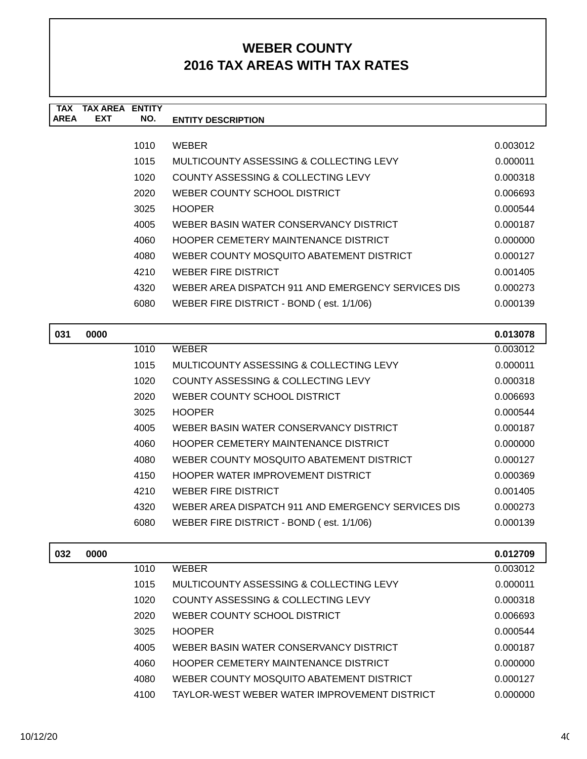| TAX         | TAX AREA   | <b>ENTITY</b> |                                                    |          |
|-------------|------------|---------------|----------------------------------------------------|----------|
| <b>AREA</b> | <b>EXT</b> | NO.           | <b>ENTITY DESCRIPTION</b>                          |          |
|             |            |               |                                                    |          |
|             |            | 1010          | <b>WEBER</b>                                       | 0.003012 |
|             |            | 1015          | MULTICOUNTY ASSESSING & COLLECTING LEVY            | 0.000011 |
|             |            | 1020          | COUNTY ASSESSING & COLLECTING LEVY                 | 0.000318 |
|             |            | 2020          | WEBER COUNTY SCHOOL DISTRICT                       | 0.006693 |
|             |            | 3025          | <b>HOOPER</b>                                      | 0.000544 |
|             |            | 4005          | WEBER BASIN WATER CONSERVANCY DISTRICT             | 0.000187 |
|             |            | 4060          | <b>HOOPER CEMETERY MAINTENANCE DISTRICT</b>        | 0.000000 |
|             |            | 4080          | WEBER COUNTY MOSQUITO ABATEMENT DISTRICT           | 0.000127 |
|             |            | 4210          | <b>WEBER FIRE DISTRICT</b>                         | 0.001405 |
|             |            | 4320          | WEBER AREA DISPATCH 911 AND EMERGENCY SERVICES DIS | 0.000273 |
|             |            | 6080          | WEBER FIRE DISTRICT - BOND (est. 1/1/06)           | 0.000139 |
|             |            |               |                                                    |          |
|             |            |               |                                                    |          |

| 031 | 0000 |      |                                                    | 0.013078 |
|-----|------|------|----------------------------------------------------|----------|
|     |      | 1010 | <b>WEBER</b>                                       | 0.003012 |
|     |      | 1015 | MULTICOUNTY ASSESSING & COLLECTING LEVY            | 0.000011 |
|     |      | 1020 | COUNTY ASSESSING & COLLECTING LEVY                 | 0.000318 |
|     |      | 2020 | WEBER COUNTY SCHOOL DISTRICT                       | 0.006693 |
|     |      | 3025 | <b>HOOPER</b>                                      | 0.000544 |
|     |      | 4005 | WEBER BASIN WATER CONSERVANCY DISTRICT             | 0.000187 |
|     |      | 4060 | HOOPER CEMETERY MAINTENANCE DISTRICT               | 0.000000 |
|     |      | 4080 | WEBER COUNTY MOSQUITO ABATEMENT DISTRICT           | 0.000127 |
|     |      | 4150 | HOOPER WATER IMPROVEMENT DISTRICT                  | 0.000369 |
|     |      | 4210 | <b>WEBER FIRE DISTRICT</b>                         | 0.001405 |
|     |      | 4320 | WEBER AREA DISPATCH 911 AND EMERGENCY SERVICES DIS | 0.000273 |
|     |      | 6080 | WEBER FIRE DISTRICT - BOND (est. 1/1/06)           | 0.000139 |
|     |      |      |                                                    |          |

| 032 | 0000 |      |                                              | 0.012709 |
|-----|------|------|----------------------------------------------|----------|
|     |      | 1010 | <b>WEBER</b>                                 | 0.003012 |
|     |      | 1015 | MULTICOUNTY ASSESSING & COLLECTING LEVY      | 0.000011 |
|     |      | 1020 | COUNTY ASSESSING & COLLECTING LEVY           | 0.000318 |
|     |      | 2020 | WEBER COUNTY SCHOOL DISTRICT                 | 0.006693 |
|     |      | 3025 | <b>HOOPER</b>                                | 0.000544 |
|     |      | 4005 | WEBER BASIN WATER CONSERVANCY DISTRICT       | 0.000187 |
|     |      | 4060 | HOOPER CEMETERY MAINTENANCE DISTRICT         | 0.000000 |
|     |      | 4080 | WEBER COUNTY MOSQUITO ABATEMENT DISTRICT     | 0.000127 |
|     |      | 4100 | TAYLOR-WEST WEBER WATER IMPROVEMENT DISTRICT | 0.000000 |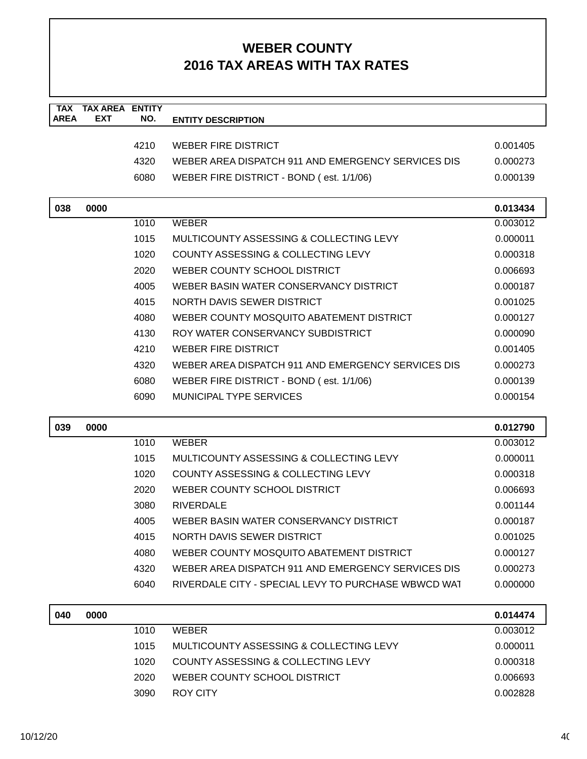| <b>TAX</b><br><b>AREA</b> | <b>TAX AREA ENTITY</b><br><b>EXT</b> | NO.  | <b>ENTITY DESCRIPTION</b>                           |          |
|---------------------------|--------------------------------------|------|-----------------------------------------------------|----------|
|                           |                                      |      |                                                     |          |
|                           |                                      | 4210 | <b>WEBER FIRE DISTRICT</b>                          | 0.001405 |
|                           |                                      | 4320 | WEBER AREA DISPATCH 911 AND EMERGENCY SERVICES DIS  | 0.000273 |
|                           |                                      | 6080 | WEBER FIRE DISTRICT - BOND (est. 1/1/06)            | 0.000139 |
| 038                       | 0000                                 |      |                                                     | 0.013434 |
|                           |                                      | 1010 | <b>WEBER</b>                                        | 0.003012 |
|                           |                                      | 1015 | MULTICOUNTY ASSESSING & COLLECTING LEVY             | 0.000011 |
|                           |                                      | 1020 | COUNTY ASSESSING & COLLECTING LEVY                  | 0.000318 |
|                           |                                      | 2020 | WEBER COUNTY SCHOOL DISTRICT                        | 0.006693 |
|                           |                                      | 4005 | WEBER BASIN WATER CONSERVANCY DISTRICT              | 0.000187 |
|                           |                                      | 4015 | NORTH DAVIS SEWER DISTRICT                          | 0.001025 |
|                           |                                      | 4080 | WEBER COUNTY MOSQUITO ABATEMENT DISTRICT            | 0.000127 |
|                           |                                      | 4130 | ROY WATER CONSERVANCY SUBDISTRICT                   | 0.000090 |
|                           |                                      | 4210 | <b>WEBER FIRE DISTRICT</b>                          | 0.001405 |
|                           |                                      | 4320 | WEBER AREA DISPATCH 911 AND EMERGENCY SERVICES DIS  | 0.000273 |
|                           |                                      | 6080 | WEBER FIRE DISTRICT - BOND (est. 1/1/06)            | 0.000139 |
|                           |                                      | 6090 | <b>MUNICIPAL TYPE SERVICES</b>                      | 0.000154 |
| 039                       | 0000                                 |      |                                                     | 0.012790 |
|                           |                                      | 1010 | <b>WEBER</b>                                        | 0.003012 |
|                           |                                      | 1015 | MULTICOUNTY ASSESSING & COLLECTING LEVY             | 0.000011 |
|                           |                                      | 1020 | COUNTY ASSESSING & COLLECTING LEVY                  | 0.000318 |
|                           |                                      | 2020 | WEBER COUNTY SCHOOL DISTRICT                        | 0.006693 |
|                           |                                      | 3080 | <b>RIVERDALE</b>                                    | 0.001144 |
|                           |                                      | 4005 | WEBER BASIN WATER CONSERVANCY DISTRICT              | 0.000187 |
|                           |                                      | 4015 | <b>NORTH DAVIS SEWER DISTRICT</b>                   | 0.001025 |
|                           |                                      | 4080 | WEBER COUNTY MOSQUITO ABATEMENT DISTRICT            | 0.000127 |
|                           |                                      | 4320 | WEBER AREA DISPATCH 911 AND EMERGENCY SERVICES DIS  | 0.000273 |
|                           |                                      | 6040 | RIVERDALE CITY - SPECIAL LEVY TO PURCHASE WBWCD WAT | 0.000000 |
| 040                       | 0000                                 |      |                                                     | 0.014474 |
|                           |                                      | 1010 | <b>WEBER</b>                                        | 0.003012 |
|                           |                                      | 1015 | MULTICOUNTY ASSESSING & COLLECTING LEVY             | 0.000011 |
|                           |                                      | 1020 | COUNTY ASSESSING & COLLECTING LEVY                  | 0.000318 |
|                           |                                      | 2020 | WEBER COUNTY SCHOOL DISTRICT                        | 0.006693 |
|                           |                                      | 3090 | <b>ROY CITY</b>                                     | 0.002828 |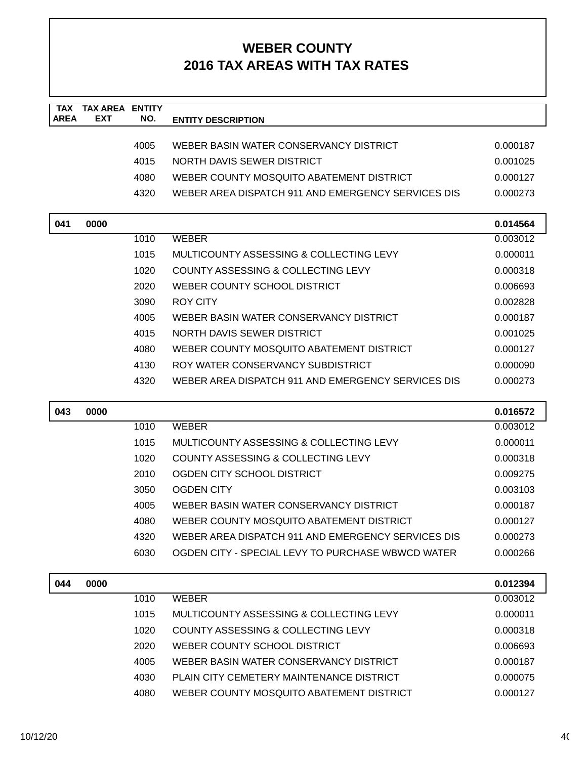| <b>TAX</b><br><b>AREA</b> | <b>TAX AREA</b><br><b>EXT</b> | <b>ENTITY</b><br>NO. |                                                    |                      |
|---------------------------|-------------------------------|----------------------|----------------------------------------------------|----------------------|
|                           |                               |                      | <b>ENTITY DESCRIPTION</b>                          |                      |
|                           |                               | 4005                 | WEBER BASIN WATER CONSERVANCY DISTRICT             | 0.000187             |
|                           |                               | 4015                 | NORTH DAVIS SEWER DISTRICT                         | 0.001025             |
|                           |                               | 4080                 | WEBER COUNTY MOSQUITO ABATEMENT DISTRICT           | 0.000127             |
|                           |                               | 4320                 | WEBER AREA DISPATCH 911 AND EMERGENCY SERVICES DIS | 0.000273             |
|                           |                               |                      |                                                    |                      |
| 041                       | 0000                          |                      |                                                    | 0.014564             |
|                           |                               | 1010                 | <b>WEBER</b>                                       | 0.003012             |
|                           |                               | 1015                 | MULTICOUNTY ASSESSING & COLLECTING LEVY            | 0.000011             |
|                           |                               | 1020                 | COUNTY ASSESSING & COLLECTING LEVY                 | 0.000318             |
|                           |                               | 2020                 | WEBER COUNTY SCHOOL DISTRICT                       | 0.006693             |
|                           |                               | 3090                 | ROY CITY                                           | 0.002828             |
|                           |                               | 4005                 | WEBER BASIN WATER CONSERVANCY DISTRICT             | 0.000187             |
|                           |                               | 4015                 | NORTH DAVIS SEWER DISTRICT                         | 0.001025             |
|                           |                               | 4080                 | WEBER COUNTY MOSQUITO ABATEMENT DISTRICT           | 0.000127             |
|                           |                               | 4130                 | ROY WATER CONSERVANCY SUBDISTRICT                  | 0.000090             |
|                           |                               | 4320                 | WEBER AREA DISPATCH 911 AND EMERGENCY SERVICES DIS | 0.000273             |
|                           |                               |                      |                                                    |                      |
| 043                       | 0000                          |                      |                                                    | 0.016572             |
|                           |                               | 1010                 | <b>WEBER</b>                                       | 0.003012             |
|                           |                               | 1015                 | MULTICOUNTY ASSESSING & COLLECTING LEVY            | 0.000011             |
|                           |                               | 1020                 | COUNTY ASSESSING & COLLECTING LEVY                 | 0.000318             |
|                           |                               | 2010                 | OGDEN CITY SCHOOL DISTRICT                         | 0.009275             |
|                           |                               | 3050                 | <b>OGDEN CITY</b>                                  | 0.003103             |
|                           |                               | 4005                 | WEBER BASIN WATER CONSERVANCY DISTRICT             | 0.000187             |
|                           |                               | 4080                 | WEBER COUNTY MOSQUITO ABATEMENT DISTRICT           | 0.000127             |
|                           |                               | 4320                 | WEBER AREA DISPATCH 911 AND EMERGENCY SERVICES DIS | 0.000273             |
|                           |                               | 6030                 | OGDEN CITY - SPECIAL LEVY TO PURCHASE WBWCD WATER  | 0.000266             |
|                           |                               |                      |                                                    |                      |
| 044                       | 0000                          |                      |                                                    | 0.012394             |
|                           |                               | 1010                 | <b>WEBER</b>                                       | 0.003012             |
|                           |                               | 1015                 | MULTICOUNTY ASSESSING & COLLECTING LEVY            | 0.000011             |
|                           |                               | 1020                 | COUNTY ASSESSING & COLLECTING LEVY                 | 0.000318             |
|                           |                               | 2020                 | WEBER COUNTY SCHOOL DISTRICT                       | 0.006693             |
|                           |                               | 4005                 | WEBER BASIN WATER CONSERVANCY DISTRICT             | 0.000187             |
|                           |                               | 4030<br>4080         | PLAIN CITY CEMETERY MAINTENANCE DISTRICT           | 0.000075<br>0.000127 |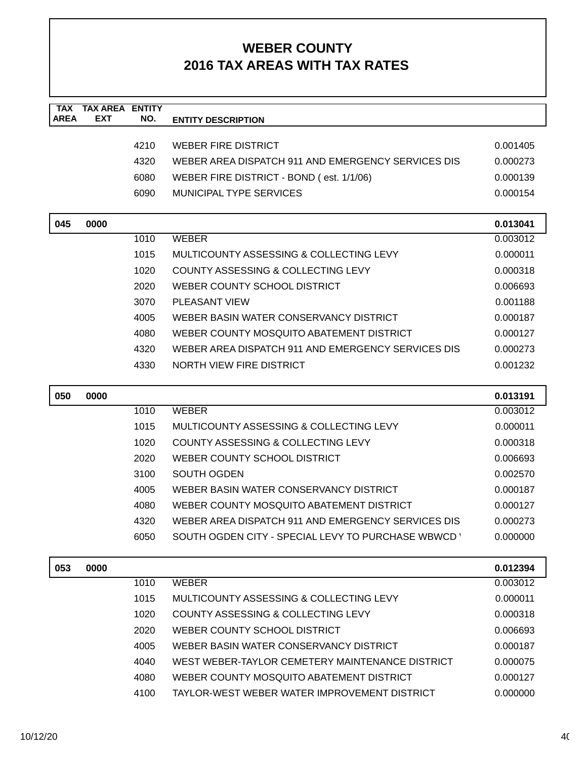| <b>TAX</b><br><b>AREA</b> | <b>TAX AREA</b><br><b>EXT</b> | <b>ENTITY</b><br>NO. | <b>ENTITY DESCRIPTION</b>                          |          |
|---------------------------|-------------------------------|----------------------|----------------------------------------------------|----------|
|                           |                               |                      |                                                    |          |
|                           |                               | 4210                 | <b>WEBER FIRE DISTRICT</b>                         | 0.001405 |
|                           |                               | 4320                 | WEBER AREA DISPATCH 911 AND EMERGENCY SERVICES DIS | 0.000273 |
|                           |                               | 6080                 | WEBER FIRE DISTRICT - BOND (est. 1/1/06)           | 0.000139 |
|                           |                               | 6090                 | MUNICIPAL TYPE SERVICES                            | 0.000154 |
|                           |                               |                      |                                                    |          |
| 045                       | 0000                          |                      |                                                    | 0.013041 |
|                           |                               | 1010                 | <b>WEBER</b>                                       | 0.003012 |
|                           |                               | 1015                 | MULTICOUNTY ASSESSING & COLLECTING LEVY            | 0.000011 |
|                           |                               | 1020                 | COUNTY ASSESSING & COLLECTING LEVY                 | 0.000318 |
|                           |                               | 2020                 | WEBER COUNTY SCHOOL DISTRICT                       | 0.006693 |
|                           |                               | 3070                 | <b>PLEASANT VIEW</b>                               | 0.001188 |
|                           |                               | 4005                 | WEBER BASIN WATER CONSERVANCY DISTRICT             | 0.000187 |
|                           |                               | 4080                 | WEBER COUNTY MOSQUITO ABATEMENT DISTRICT           | 0.000127 |
|                           |                               | 4320                 | WEBER AREA DISPATCH 911 AND EMERGENCY SERVICES DIS | 0.000273 |
|                           |                               | 4330                 | NORTH VIEW FIRE DISTRICT                           | 0.001232 |
| 050                       | 0000                          |                      |                                                    | 0.013191 |
|                           |                               | 1010                 | <b>WEBER</b>                                       | 0.003012 |
|                           |                               | 1015                 | MULTICOUNTY ASSESSING & COLLECTING LEVY            | 0.000011 |
|                           |                               | 1020                 | COUNTY ASSESSING & COLLECTING LEVY                 | 0.000318 |
|                           |                               | 2020                 | WEBER COUNTY SCHOOL DISTRICT                       | 0.006693 |
|                           |                               | 3100                 | SOUTH OGDEN                                        | 0.002570 |
|                           |                               | 4005                 | WEBER BASIN WATER CONSERVANCY DISTRICT             | 0.000187 |
|                           |                               | 4080                 | WEBER COUNTY MOSQUITO ABATEMENT DISTRICT           | 0.000127 |
|                           |                               | 4320                 | WEBER AREA DISPATCH 911 AND EMERGENCY SERVICES DIS | 0.000273 |
|                           |                               | 6050                 | SOUTH OGDEN CITY - SPECIAL LEVY TO PURCHASE WBWCD  | 0.000000 |
| 053                       | 0000                          |                      |                                                    | 0.012394 |
|                           |                               | 1010                 | <b>WEBER</b>                                       | 0.003012 |
|                           |                               | 1015                 | MULTICOUNTY ASSESSING & COLLECTING LEVY            | 0.000011 |
|                           |                               | 1020                 | <b>COUNTY ASSESSING &amp; COLLECTING LEVY</b>      | 0.000318 |
|                           |                               | 2020                 | WEBER COUNTY SCHOOL DISTRICT                       | 0.006693 |
|                           |                               | 4005                 | WEBER BASIN WATER CONSERVANCY DISTRICT             | 0.000187 |
|                           |                               | 4040                 | WEST WEBER-TAYLOR CEMETERY MAINTENANCE DISTRICT    | 0.000075 |
|                           |                               | 4080                 | WEBER COUNTY MOSQUITO ABATEMENT DISTRICT           | 0.000127 |
|                           |                               | 4100                 | TAYLOR-WEST WEBER WATER IMPROVEMENT DISTRICT       | 0.000000 |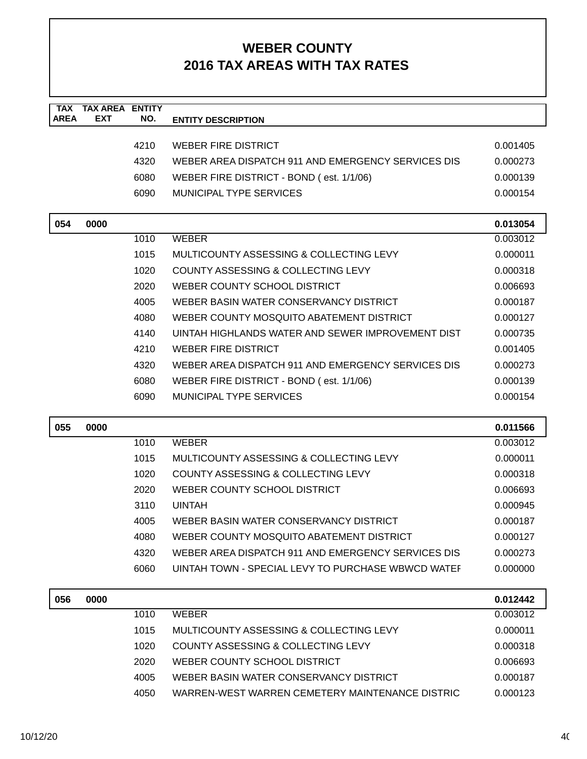| <b>TAX</b>  | <b>TAX AREA ENTITY</b> |      |                                                    |          |
|-------------|------------------------|------|----------------------------------------------------|----------|
| <b>AREA</b> | <b>EXT</b>             | NO.  | <b>ENTITY DESCRIPTION</b>                          |          |
|             |                        | 4210 | <b>WEBER FIRE DISTRICT</b>                         | 0.001405 |
|             |                        | 4320 | WEBER AREA DISPATCH 911 AND EMERGENCY SERVICES DIS | 0.000273 |
|             |                        | 6080 | WEBER FIRE DISTRICT - BOND (est. 1/1/06)           | 0.000139 |
|             |                        | 6090 | <b>MUNICIPAL TYPE SERVICES</b>                     | 0.000154 |
|             |                        |      |                                                    |          |
| 054         | 0000                   |      |                                                    | 0.013054 |
|             |                        | 1010 | <b>WEBER</b>                                       | 0.003012 |
|             |                        | 1015 | MULTICOUNTY ASSESSING & COLLECTING LEVY            | 0.000011 |
|             |                        | 1020 | COUNTY ASSESSING & COLLECTING LEVY                 | 0.000318 |
|             |                        | 2020 | WEBER COUNTY SCHOOL DISTRICT                       | 0.006693 |
|             |                        | 4005 | WEBER BASIN WATER CONSERVANCY DISTRICT             | 0.000187 |
|             |                        | 4080 | WEBER COUNTY MOSQUITO ABATEMENT DISTRICT           | 0.000127 |
|             |                        | 4140 | UINTAH HIGHLANDS WATER AND SEWER IMPROVEMENT DIST  | 0.000735 |
|             |                        | 4210 | WEBER FIRE DISTRICT                                | 0.001405 |
|             |                        | 4320 | WEBER AREA DISPATCH 911 AND EMERGENCY SERVICES DIS | 0.000273 |
|             |                        | 6080 | WEBER FIRE DISTRICT - BOND (est. 1/1/06)           | 0.000139 |
|             |                        | 6090 | <b>MUNICIPAL TYPE SERVICES</b>                     | 0.000154 |
|             |                        |      |                                                    |          |
| 055         | 0000                   |      |                                                    | 0.011566 |
|             |                        | 1010 | <b>WEBER</b>                                       | 0.003012 |
|             |                        | 1015 | MULTICOUNTY ASSESSING & COLLECTING LEVY            | 0.000011 |
|             |                        | 1020 | COUNTY ASSESSING & COLLECTING LEVY                 | 0.000318 |
|             |                        | 2020 | WEBER COUNTY SCHOOL DISTRICT                       | 0.006693 |
|             |                        | 3110 | <b>UINTAH</b>                                      | 0.000945 |
|             |                        | 4005 | WEBER BASIN WATER CONSERVANCY DISTRICT             | 0.000187 |
|             |                        | 4080 | WEBER COUNTY MOSQUITO ABATEMENT DISTRICT           | 0.000127 |
|             |                        | 4320 | WEBER AREA DISPATCH 911 AND EMERGENCY SERVICES DIS | 0.000273 |
|             |                        | 6060 | UINTAH TOWN - SPECIAL LEVY TO PURCHASE WBWCD WATER | 0.000000 |
| 056         | 0000                   |      |                                                    | 0.012442 |
|             |                        | 1010 | <b>WEBER</b>                                       | 0.003012 |
|             |                        | 1015 | MULTICOUNTY ASSESSING & COLLECTING LEVY            | 0.000011 |
|             |                        | 1020 | COUNTY ASSESSING & COLLECTING LEVY                 | 0.000318 |
|             |                        | 2020 | WEBER COUNTY SCHOOL DISTRICT                       | 0.006693 |
|             |                        | 4005 | WEBER BASIN WATER CONSERVANCY DISTRICT             | 0.000187 |
|             |                        | 4050 | WARREN-WEST WARREN CEMETERY MAINTENANCE DISTRIC    | 0.000123 |
|             |                        |      |                                                    |          |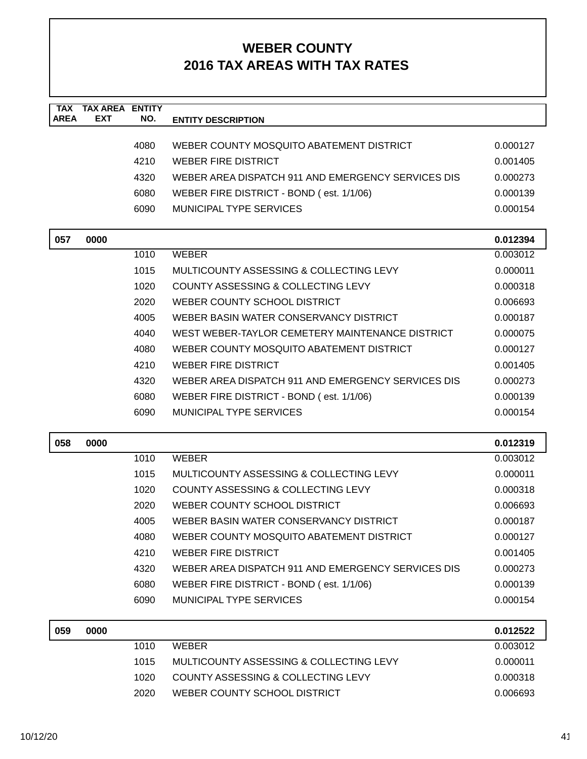| <b>TAX</b><br><b>AREA</b> | <b>TAX AREA ENTITY</b><br><b>EXT</b> | NO.  | <b>ENTITY DESCRIPTION</b>                          |          |
|---------------------------|--------------------------------------|------|----------------------------------------------------|----------|
|                           |                                      |      |                                                    |          |
|                           |                                      | 4080 | WEBER COUNTY MOSQUITO ABATEMENT DISTRICT           | 0.000127 |
|                           |                                      | 4210 | <b>WEBER FIRE DISTRICT</b>                         | 0.001405 |
|                           |                                      | 4320 | WEBER AREA DISPATCH 911 AND EMERGENCY SERVICES DIS | 0.000273 |
|                           |                                      | 6080 | WEBER FIRE DISTRICT - BOND (est. 1/1/06)           | 0.000139 |
|                           |                                      | 6090 | MUNICIPAL TYPE SERVICES                            | 0.000154 |
| 057                       | 0000                                 |      |                                                    | 0.012394 |
|                           |                                      | 1010 | <b>WEBER</b>                                       | 0.003012 |
|                           |                                      | 1015 | MULTICOUNTY ASSESSING & COLLECTING LEVY            | 0.000011 |
|                           |                                      | 1020 | COUNTY ASSESSING & COLLECTING LEVY                 | 0.000318 |
|                           |                                      | 2020 | WEBER COUNTY SCHOOL DISTRICT                       | 0.006693 |
|                           |                                      | 4005 | WEBER BASIN WATER CONSERVANCY DISTRICT             | 0.000187 |
|                           |                                      | 4040 | WEST WEBER-TAYLOR CEMETERY MAINTENANCE DISTRICT    | 0.000075 |
|                           |                                      | 4080 | WEBER COUNTY MOSQUITO ABATEMENT DISTRICT           | 0.000127 |
|                           |                                      | 4210 | <b>WEBER FIRE DISTRICT</b>                         | 0.001405 |
|                           |                                      | 4320 | WEBER AREA DISPATCH 911 AND EMERGENCY SERVICES DIS | 0.000273 |
|                           |                                      | 6080 | WEBER FIRE DISTRICT - BOND (est. 1/1/06)           | 0.000139 |
|                           |                                      | 6090 | MUNICIPAL TYPE SERVICES                            | 0.000154 |
|                           |                                      |      |                                                    |          |
| 058                       | 0000                                 |      |                                                    | 0.012319 |
|                           |                                      | 1010 | <b>WEBER</b>                                       | 0.003012 |
|                           |                                      | 1015 | MULTICOUNTY ASSESSING & COLLECTING LEVY            | 0.000011 |
|                           |                                      | 1020 | COUNTY ASSESSING & COLLECTING LEVY                 | 0.000318 |
|                           |                                      | 2020 | WEBER COUNTY SCHOOL DISTRICT                       | 0.006693 |
|                           |                                      | 4005 | WEBER BASIN WATER CONSERVANCY DISTRICT             | 0.000187 |
|                           |                                      | 4080 | WEBER COUNTY MOSQUITO ABATEMENT DISTRICT           | 0.000127 |
|                           |                                      | 4210 | <b>WEBER FIRE DISTRICT</b>                         | 0.001405 |
|                           |                                      | 4320 | WEBER AREA DISPATCH 911 AND EMERGENCY SERVICES DIS | 0.000273 |
|                           |                                      | 6080 | WEBER FIRE DISTRICT - BOND (est. 1/1/06)           | 0.000139 |
|                           |                                      | 6090 | <b>MUNICIPAL TYPE SERVICES</b>                     | 0.000154 |
| 059                       | 0000                                 |      |                                                    | 0.012522 |
|                           |                                      | 1010 | <b>WEBER</b>                                       | 0.003012 |
|                           |                                      | 1015 | MULTICOUNTY ASSESSING & COLLECTING LEVY            | 0.000011 |
|                           |                                      | 1020 | COUNTY ASSESSING & COLLECTING LEVY                 | 0.000318 |
|                           |                                      | 2020 | WEBER COUNTY SCHOOL DISTRICT                       | 0.006693 |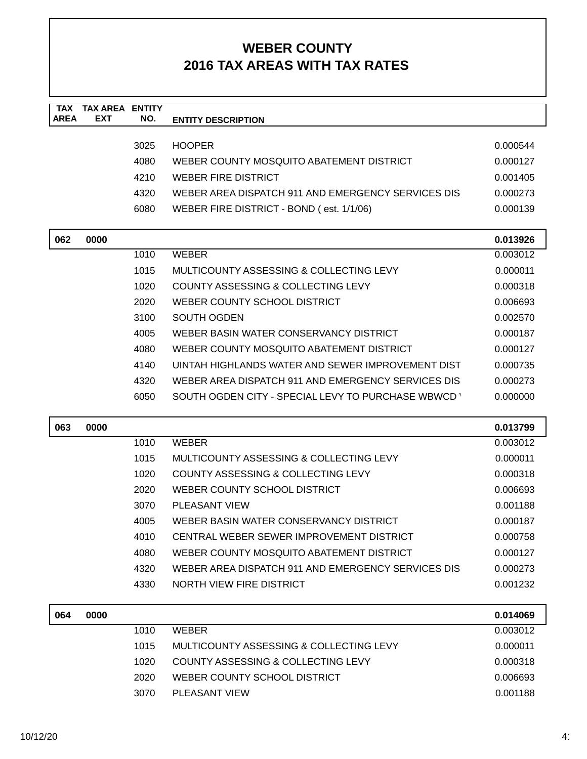| <b>TAX</b>  | <b>TAX AREA ENTITY</b> |      |                                                    |                      |
|-------------|------------------------|------|----------------------------------------------------|----------------------|
| <b>AREA</b> | <b>EXT</b>             | NO.  | <b>ENTITY DESCRIPTION</b>                          |                      |
|             |                        | 3025 | <b>HOOPER</b>                                      | 0.000544             |
|             |                        | 4080 | WEBER COUNTY MOSQUITO ABATEMENT DISTRICT           | 0.000127             |
|             |                        | 4210 | <b>WEBER FIRE DISTRICT</b>                         | 0.001405             |
|             |                        | 4320 | WEBER AREA DISPATCH 911 AND EMERGENCY SERVICES DIS | 0.000273             |
|             |                        | 6080 | WEBER FIRE DISTRICT - BOND (est. 1/1/06)           | 0.000139             |
|             |                        |      |                                                    |                      |
| 062         | 0000                   |      |                                                    | 0.013926             |
|             |                        | 1010 | <b>WEBER</b>                                       | 0.003012             |
|             |                        | 1015 | MULTICOUNTY ASSESSING & COLLECTING LEVY            | 0.000011             |
|             |                        | 1020 | COUNTY ASSESSING & COLLECTING LEVY                 | 0.000318             |
|             |                        | 2020 | WEBER COUNTY SCHOOL DISTRICT                       | 0.006693             |
|             |                        | 3100 | <b>SOUTH OGDEN</b>                                 | 0.002570             |
|             |                        | 4005 | WEBER BASIN WATER CONSERVANCY DISTRICT             | 0.000187             |
|             |                        | 4080 | WEBER COUNTY MOSQUITO ABATEMENT DISTRICT           | 0.000127             |
|             |                        | 4140 | UINTAH HIGHLANDS WATER AND SEWER IMPROVEMENT DIST  | 0.000735             |
|             |                        | 4320 | WEBER AREA DISPATCH 911 AND EMERGENCY SERVICES DIS | 0.000273             |
|             |                        | 6050 | SOUTH OGDEN CITY - SPECIAL LEVY TO PURCHASE WBWCD  | 0.000000             |
|             |                        |      |                                                    |                      |
| 063         | 0000                   |      |                                                    | 0.013799             |
|             |                        | 1010 | <b>WEBER</b>                                       | 0.003012             |
|             |                        | 1015 | MULTICOUNTY ASSESSING & COLLECTING LEVY            | 0.000011             |
|             |                        | 1020 | COUNTY ASSESSING & COLLECTING LEVY                 | 0.000318             |
|             |                        | 2020 | WEBER COUNTY SCHOOL DISTRICT                       | 0.006693             |
|             |                        | 3070 | <b>PLEASANT VIEW</b>                               | 0.001188             |
|             |                        | 4005 | WEBER BASIN WATER CONSERVANCY DISTRICT             | 0.000187             |
|             |                        | 4010 | CENTRAL WEBER SEWER IMPROVEMENT DISTRICT           | 0.000758             |
|             |                        | 4080 | WEBER COUNTY MOSQUITO ABATEMENT DISTRICT           | 0.000127             |
|             |                        | 4320 | WEBER AREA DISPATCH 911 AND EMERGENCY SERVICES DIS | 0.000273             |
|             |                        | 4330 | NORTH VIEW FIRE DISTRICT                           | 0.001232             |
|             |                        |      |                                                    |                      |
| 064         | 0000                   | 1010 | <b>WEBER</b>                                       | 0.014069<br>0.003012 |
|             |                        | 1015 | MULTICOUNTY ASSESSING & COLLECTING LEVY            | 0.000011             |
|             |                        |      |                                                    |                      |
|             |                        | 1020 | COUNTY ASSESSING & COLLECTING LEVY                 | 0.000318             |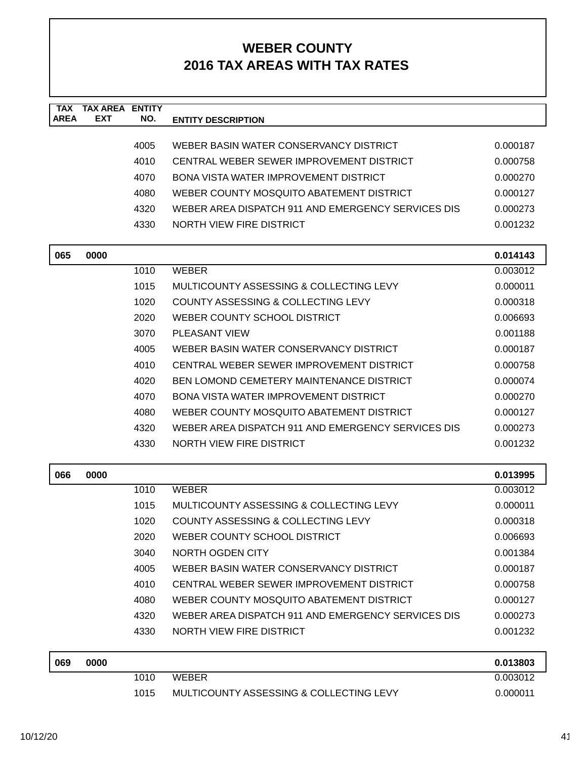| <b>TAX</b><br><b>AREA</b> | <b>TAX AREA ENTITY</b><br><b>EXT</b> | NO.  | <b>ENTITY DESCRIPTION</b>                          |          |
|---------------------------|--------------------------------------|------|----------------------------------------------------|----------|
|                           |                                      |      |                                                    |          |
|                           |                                      | 4005 | WEBER BASIN WATER CONSERVANCY DISTRICT             | 0.000187 |
|                           |                                      | 4010 | CENTRAL WEBER SEWER IMPROVEMENT DISTRICT           | 0.000758 |
|                           |                                      | 4070 | <b>BONA VISTA WATER IMPROVEMENT DISTRICT</b>       | 0.000270 |
|                           |                                      | 4080 | WEBER COUNTY MOSQUITO ABATEMENT DISTRICT           | 0.000127 |
|                           |                                      | 4320 | WEBER AREA DISPATCH 911 AND EMERGENCY SERVICES DIS | 0.000273 |
|                           |                                      | 4330 | NORTH VIEW FIRE DISTRICT                           | 0.001232 |
| 065                       | 0000                                 |      |                                                    | 0.014143 |
|                           |                                      | 1010 | <b>WEBER</b>                                       | 0.003012 |
|                           |                                      | 1015 | MULTICOUNTY ASSESSING & COLLECTING LEVY            | 0.000011 |
|                           |                                      | 1020 | COUNTY ASSESSING & COLLECTING LEVY                 | 0.000318 |
|                           |                                      | 2020 | WEBER COUNTY SCHOOL DISTRICT                       | 0.006693 |
|                           |                                      | 3070 | <b>PLEASANT VIEW</b>                               | 0.001188 |
|                           |                                      | 4005 | WEBER BASIN WATER CONSERVANCY DISTRICT             | 0.000187 |
|                           |                                      | 4010 | CENTRAL WEBER SEWER IMPROVEMENT DISTRICT           | 0.000758 |
|                           |                                      | 4020 | <b>BEN LOMOND CEMETERY MAINTENANCE DISTRICT</b>    | 0.000074 |
|                           |                                      | 4070 | BONA VISTA WATER IMPROVEMENT DISTRICT              | 0.000270 |
|                           |                                      | 4080 | WEBER COUNTY MOSQUITO ABATEMENT DISTRICT           | 0.000127 |
|                           |                                      | 4320 | WEBER AREA DISPATCH 911 AND EMERGENCY SERVICES DIS | 0.000273 |
|                           |                                      | 4330 | NORTH VIEW FIRE DISTRICT                           | 0.001232 |
| 066                       | 0000                                 |      |                                                    | 0.013995 |
|                           |                                      | 1010 | <b>WEBER</b>                                       | 0.003012 |
|                           |                                      | 1015 | MULTICOUNTY ASSESSING & COLLECTING LEVY            | 0.000011 |
|                           |                                      | 1020 | COUNTY ASSESSING & COLLECTING LEVY                 | 0.000318 |
|                           |                                      | 2020 | WEBER COUNTY SCHOOL DISTRICT                       | 0.006693 |
|                           |                                      | 3040 | NORTH OGDEN CITY                                   | 0.001384 |
|                           |                                      | 4005 | WEBER BASIN WATER CONSERVANCY DISTRICT             | 0.000187 |
|                           |                                      | 4010 | CENTRAL WEBER SEWER IMPROVEMENT DISTRICT           | 0.000758 |
|                           |                                      | 4080 | WEBER COUNTY MOSQUITO ABATEMENT DISTRICT           | 0.000127 |
|                           |                                      | 4320 | WEBER AREA DISPATCH 911 AND EMERGENCY SERVICES DIS | 0.000273 |
|                           |                                      | 4330 | NORTH VIEW FIRE DISTRICT                           | 0.001232 |
| 069                       | 0000                                 |      |                                                    | 0.013803 |
|                           |                                      | 1010 | <b>WEBER</b>                                       | 0.003012 |
|                           |                                      | 1015 | MULTICOUNTY ASSESSING & COLLECTING LEVY            | 0.000011 |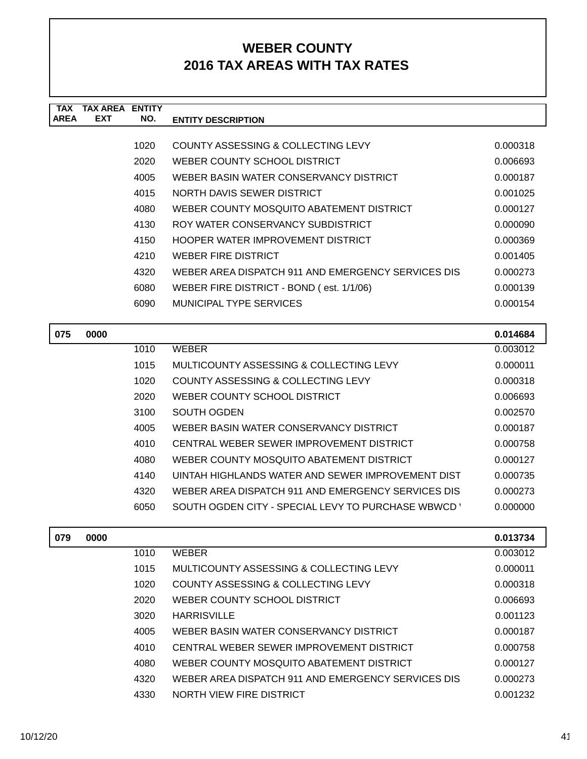| <b>TAX</b><br><b>AREA</b> | <b>TAX AREA</b><br><b>EXT</b> | <b>ENTITY</b><br>NO. | <b>ENTITY DESCRIPTION</b>                          |          |
|---------------------------|-------------------------------|----------------------|----------------------------------------------------|----------|
|                           |                               |                      |                                                    |          |
|                           |                               | 1020                 | COUNTY ASSESSING & COLLECTING LEVY                 | 0.000318 |
|                           |                               | 2020                 | WEBER COUNTY SCHOOL DISTRICT                       | 0.006693 |
|                           |                               | 4005                 | WEBER BASIN WATER CONSERVANCY DISTRICT             | 0.000187 |
|                           |                               | 4015                 | NORTH DAVIS SEWER DISTRICT                         | 0.001025 |
|                           |                               | 4080                 | WEBER COUNTY MOSQUITO ABATEMENT DISTRICT           | 0.000127 |
|                           |                               | 4130                 | ROY WATER CONSERVANCY SUBDISTRICT                  | 0.000090 |
|                           |                               | 4150                 | HOOPER WATER IMPROVEMENT DISTRICT                  | 0.000369 |
|                           |                               | 4210                 | <b>WEBER FIRE DISTRICT</b>                         | 0.001405 |
|                           |                               | 4320                 | WEBER AREA DISPATCH 911 AND EMERGENCY SERVICES DIS | 0.000273 |
|                           |                               | 6080                 | WEBER FIRE DISTRICT - BOND (est. 1/1/06)           | 0.000139 |
|                           |                               | 6090                 | MUNICIPAL TYPE SERVICES                            | 0.000154 |
|                           |                               |                      |                                                    |          |
| 075                       | 0000                          |                      |                                                    | 0.014684 |
|                           |                               | 1010                 | <b>WEBER</b>                                       | 0.003012 |
|                           |                               | 1015                 | MULTICOUNTY ASSESSING & COLLECTING LEVY            | 0.000011 |
|                           |                               | 1020                 | COUNTY ASSESSING & COLLECTING LEVY                 | 0.000318 |
|                           |                               | 2020                 | WEBER COUNTY SCHOOL DISTRICT                       | 0.006693 |
|                           |                               | 3100                 | <b>SOUTH OGDEN</b>                                 | 0.002570 |
|                           |                               | 4005                 | WEBER BASIN WATER CONSERVANCY DISTRICT             | 0.000187 |
|                           |                               | 4010                 | CENTRAL WEBER SEWER IMPROVEMENT DISTRICT           | 0.000758 |
|                           |                               | 4080                 | WEBER COUNTY MOSQUITO ABATEMENT DISTRICT           | 0.000127 |
|                           |                               | 4140                 | UINTAH HIGHLANDS WATER AND SEWER IMPROVEMENT DIST  | 0.000735 |
|                           |                               | 4320                 | WEBER AREA DISPATCH 911 AND EMERGENCY SERVICES DIS | 0.000273 |
|                           |                               | 6050                 | SOUTH OGDEN CITY - SPECIAL LEVY TO PURCHASE WBWCD  | 0.000000 |
| 079                       | 0000                          |                      |                                                    | 0.013734 |
|                           |                               | 1010                 | <b>WEBER</b>                                       | 0.003012 |
|                           |                               | 1015                 | MULTICOUNTY ASSESSING & COLLECTING LEVY            | 0.000011 |
|                           |                               | 1020                 | COUNTY ASSESSING & COLLECTING LEVY                 | 0.000318 |
|                           |                               | 2020                 | WEBER COUNTY SCHOOL DISTRICT                       | 0.006693 |
|                           |                               | 3020                 | <b>HARRISVILLE</b>                                 | 0.001123 |
|                           |                               | 4005                 | WEBER BASIN WATER CONSERVANCY DISTRICT             | 0.000187 |
|                           |                               |                      |                                                    |          |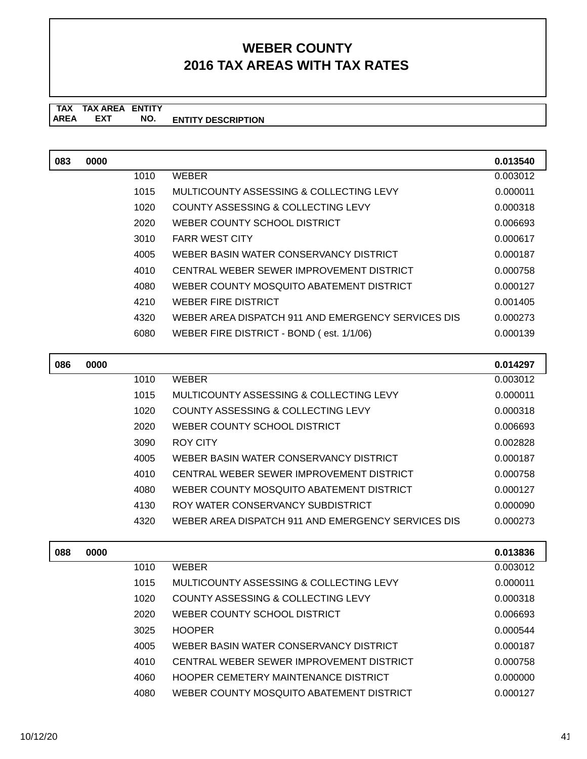#### **TAX TAX AREA ENTITY ENTITY DESCRIPTION EXT NO.**

| 083 | 0000 |      |                                                    | 0.013540 |
|-----|------|------|----------------------------------------------------|----------|
|     |      | 1010 | <b>WEBER</b>                                       | 0.003012 |
|     |      | 1015 | MULTICOUNTY ASSESSING & COLLECTING LEVY            | 0.000011 |
|     |      | 1020 | COUNTY ASSESSING & COLLECTING LEVY                 | 0.000318 |
|     |      | 2020 | WEBER COUNTY SCHOOL DISTRICT                       | 0.006693 |
|     |      | 3010 | <b>FARR WEST CITY</b>                              | 0.000617 |
|     |      | 4005 | WEBER BASIN WATER CONSERVANCY DISTRICT             | 0.000187 |
|     |      | 4010 | CENTRAL WEBER SEWER IMPROVEMENT DISTRICT           | 0.000758 |
|     |      | 4080 | WEBER COUNTY MOSQUITO ABATEMENT DISTRICT           | 0.000127 |
|     |      | 4210 | <b>WEBER FIRE DISTRICT</b>                         | 0.001405 |
|     |      | 4320 | WEBER AREA DISPATCH 911 AND EMERGENCY SERVICES DIS | 0.000273 |
|     |      | 6080 | WEBER FIRE DISTRICT - BOND (est. 1/1/06)           | 0.000139 |
|     |      |      |                                                    |          |

| 086 | 0000 |      |                                                    | 0.014297 |
|-----|------|------|----------------------------------------------------|----------|
|     |      | 1010 | <b>WEBER</b>                                       | 0.003012 |
|     |      | 1015 | MULTICOUNTY ASSESSING & COLLECTING LEVY            | 0.000011 |
|     |      | 1020 | COUNTY ASSESSING & COLLECTING LEVY                 | 0.000318 |
|     |      | 2020 | WEBER COUNTY SCHOOL DISTRICT                       | 0.006693 |
|     |      | 3090 | ROY CITY                                           | 0.002828 |
|     |      | 4005 | WEBER BASIN WATER CONSERVANCY DISTRICT             | 0.000187 |
|     |      | 4010 | CENTRAL WEBER SEWER IMPROVEMENT DISTRICT           | 0.000758 |
|     |      | 4080 | WEBER COUNTY MOSQUITO ABATEMENT DISTRICT           | 0.000127 |
|     |      | 4130 | ROY WATER CONSERVANCY SUBDISTRICT                  | 0.000090 |
|     |      | 4320 | WEBER AREA DISPATCH 911 AND EMERGENCY SERVICES DIS | 0.000273 |
|     |      |      |                                                    |          |

| 088 | 0000 |      |                                          | 0.013836 |
|-----|------|------|------------------------------------------|----------|
|     |      | 1010 | <b>WEBER</b>                             | 0.003012 |
|     |      | 1015 | MULTICOUNTY ASSESSING & COLLECTING LEVY  | 0.000011 |
|     |      | 1020 | COUNTY ASSESSING & COLLECTING LEVY       | 0.000318 |
|     |      | 2020 | WEBER COUNTY SCHOOL DISTRICT             | 0.006693 |
|     |      | 3025 | <b>HOOPER</b>                            | 0.000544 |
|     |      | 4005 | WEBER BASIN WATER CONSERVANCY DISTRICT   | 0.000187 |
|     |      | 4010 | CENTRAL WEBER SEWER IMPROVEMENT DISTRICT | 0.000758 |
|     |      | 4060 | HOOPER CEMETERY MAINTENANCE DISTRICT     | 0.000000 |
|     |      | 4080 | WEBER COUNTY MOSQUITO ABATEMENT DISTRICT | 0.000127 |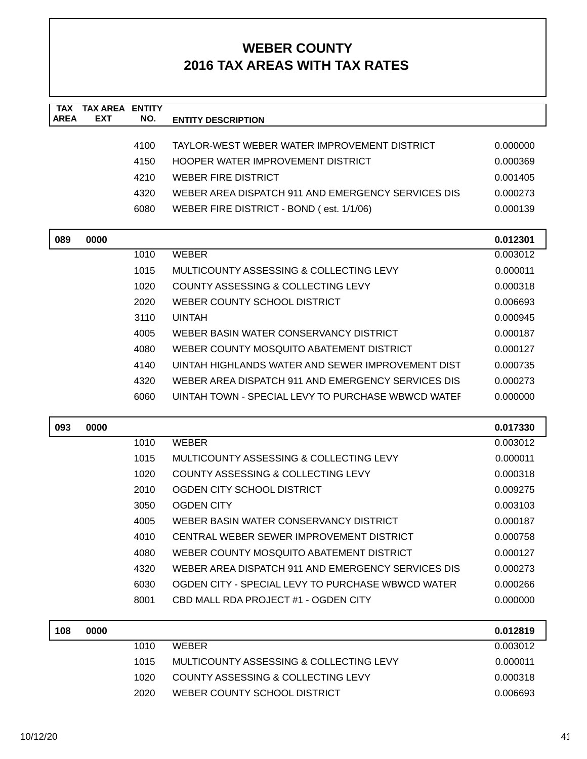| <b>TAX</b><br><b>AREA</b> | <b>TAX AREA ENTITY</b><br>EXT | NO.  | <b>ENTITY DESCRIPTION</b>                          |          |
|---------------------------|-------------------------------|------|----------------------------------------------------|----------|
|                           |                               |      |                                                    |          |
|                           |                               | 4100 | TAYLOR-WEST WEBER WATER IMPROVEMENT DISTRICT       | 0.000000 |
|                           |                               | 4150 | HOOPER WATER IMPROVEMENT DISTRICT                  | 0.000369 |
|                           |                               | 4210 | <b>WEBER FIRE DISTRICT</b>                         | 0.001405 |
|                           |                               | 4320 | WEBER AREA DISPATCH 911 AND EMERGENCY SERVICES DIS | 0.000273 |
|                           |                               | 6080 | WEBER FIRE DISTRICT - BOND (est. 1/1/06)           | 0.000139 |
| 089                       | 0000                          |      |                                                    | 0.012301 |
|                           |                               | 1010 | <b>WEBER</b>                                       | 0.003012 |
|                           |                               | 1015 | MULTICOUNTY ASSESSING & COLLECTING LEVY            | 0.000011 |
|                           |                               | 1020 | <b>COUNTY ASSESSING &amp; COLLECTING LEVY</b>      | 0.000318 |
|                           |                               | 2020 | WEBER COUNTY SCHOOL DISTRICT                       | 0.006693 |
|                           |                               | 3110 | <b>UINTAH</b>                                      | 0.000945 |
|                           |                               | 4005 | WEBER BASIN WATER CONSERVANCY DISTRICT             | 0.000187 |
|                           |                               | 4080 | WEBER COUNTY MOSQUITO ABATEMENT DISTRICT           | 0.000127 |
|                           |                               | 4140 | UINTAH HIGHLANDS WATER AND SEWER IMPROVEMENT DIST  | 0.000735 |
|                           |                               | 4320 | WEBER AREA DISPATCH 911 AND EMERGENCY SERVICES DIS | 0.000273 |
|                           |                               | 6060 | UINTAH TOWN - SPECIAL LEVY TO PURCHASE WBWCD WATEF | 0.000000 |
| 093                       | 0000                          |      |                                                    | 0.017330 |
|                           |                               | 1010 | <b>WEBER</b>                                       | 0.003012 |
|                           |                               | 1015 | MULTICOUNTY ASSESSING & COLLECTING LEVY            | 0.000011 |
|                           |                               | 1020 | COUNTY ASSESSING & COLLECTING LEVY                 | 0.000318 |
|                           |                               | 2010 | OGDEN CITY SCHOOL DISTRICT                         | 0.009275 |
|                           |                               | 3050 | <b>OGDEN CITY</b>                                  | 0.003103 |
|                           |                               | 4005 | WEBER BASIN WATER CONSERVANCY DISTRICT             | 0.000187 |
|                           |                               | 4010 | CENTRAL WEBER SEWER IMPROVEMENT DISTRICT           | 0.000758 |
|                           |                               | 4080 | WEBER COUNTY MOSQUITO ABATEMENT DISTRICT           | 0.000127 |
|                           |                               | 4320 | WEBER AREA DISPATCH 911 AND EMERGENCY SERVICES DIS | 0.000273 |
|                           |                               | 6030 | OGDEN CITY - SPECIAL LEVY TO PURCHASE WBWCD WATER  | 0.000266 |
|                           |                               | 8001 | CBD MALL RDA PROJECT #1 - OGDEN CITY               | 0.000000 |
| 108                       | 0000                          |      |                                                    | 0.012819 |
|                           |                               | 1010 | <b>WEBER</b>                                       | 0.003012 |
|                           |                               | 1015 | MULTICOUNTY ASSESSING & COLLECTING LEVY            | 0.000011 |
|                           |                               | 1020 | COUNTY ASSESSING & COLLECTING LEVY                 | 0.000318 |
|                           |                               | 2020 | WEBER COUNTY SCHOOL DISTRICT                       | 0.006693 |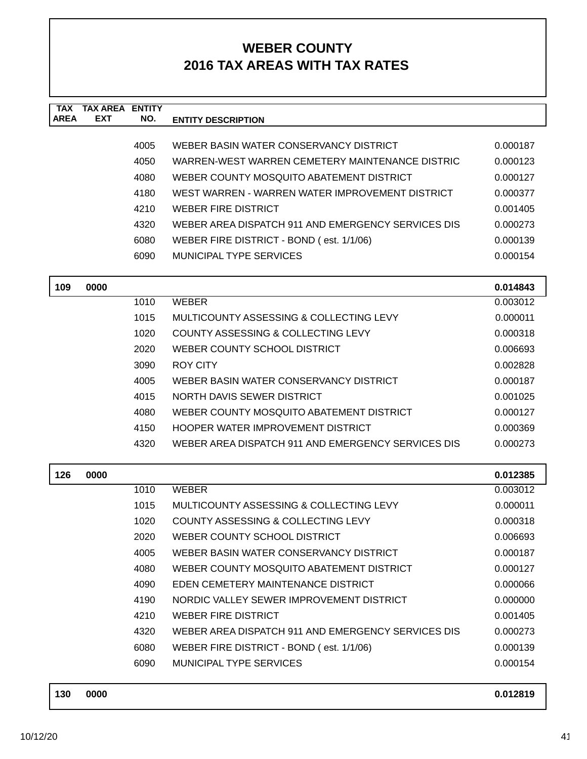| <b>TAX</b>  | <b>TAX AREA ENTITY</b> |      |                                                    |          |
|-------------|------------------------|------|----------------------------------------------------|----------|
| <b>AREA</b> | <b>EXT</b>             | NO.  | <b>ENTITY DESCRIPTION</b>                          |          |
|             |                        | 4005 | WEBER BASIN WATER CONSERVANCY DISTRICT             | 0.000187 |
|             |                        | 4050 | WARREN-WEST WARREN CEMETERY MAINTENANCE DISTRIC    | 0.000123 |
|             |                        | 4080 | WEBER COUNTY MOSQUITO ABATEMENT DISTRICT           | 0.000127 |
|             |                        | 4180 | WEST WARREN - WARREN WATER IMPROVEMENT DISTRICT    | 0.000377 |
|             |                        | 4210 | <b>WEBER FIRE DISTRICT</b>                         | 0.001405 |
|             |                        | 4320 | WEBER AREA DISPATCH 911 AND EMERGENCY SERVICES DIS | 0.000273 |
|             |                        | 6080 | WEBER FIRE DISTRICT - BOND (est. 1/1/06)           | 0.000139 |
|             |                        | 6090 | MUNICIPAL TYPE SERVICES                            | 0.000154 |
|             |                        |      |                                                    |          |
| 109         | 0000                   |      |                                                    | 0.014843 |
|             |                        | 1010 | <b>WEBER</b>                                       | 0.003012 |
|             |                        | 1015 | MULTICOUNTY ASSESSING & COLLECTING LEVY            | 0.000011 |
|             |                        | 1020 | <b>COUNTY ASSESSING &amp; COLLECTING LEVY</b>      | 0.000318 |
|             |                        | 2020 | WEBER COUNTY SCHOOL DISTRICT                       | 0.006693 |
|             |                        | 3090 | <b>ROY CITY</b>                                    | 0.002828 |
|             |                        | 4005 | WEBER BASIN WATER CONSERVANCY DISTRICT             | 0.000187 |
|             |                        | 4015 | NORTH DAVIS SEWER DISTRICT                         | 0.001025 |
|             |                        | 4080 | WEBER COUNTY MOSQUITO ABATEMENT DISTRICT           | 0.000127 |
|             |                        | 4150 | HOOPER WATER IMPROVEMENT DISTRICT                  | 0.000369 |
|             |                        | 4320 | WEBER AREA DISPATCH 911 AND EMERGENCY SERVICES DIS | 0.000273 |
|             |                        |      |                                                    |          |
| 126         | 0000                   |      |                                                    | 0.012385 |
|             |                        | 1010 | <b>WEBER</b>                                       | 0.003012 |
|             |                        | 1015 | MULTICOUNTY ASSESSING & COLLECTING LEVY            | 0.000011 |
|             |                        | 1020 | COUNTY ASSESSING & COLLECTING LEVY                 | 0.000318 |
|             |                        | 2020 | WEBER COUNTY SCHOOL DISTRICT                       | 0.006693 |
|             |                        | 4005 | WEBER BASIN WATER CONSERVANCY DISTRICT             | 0.000187 |
|             |                        | 4080 | WEBER COUNTY MOSQUITO ABATEMENT DISTRICT           | 0.000127 |
|             |                        | 4090 | EDEN CEMETERY MAINTENANCE DISTRICT                 | 0.000066 |
|             |                        | 4190 | NORDIC VALLEY SEWER IMPROVEMENT DISTRICT           | 0.000000 |
|             |                        | 4210 | <b>WEBER FIRE DISTRICT</b>                         | 0.001405 |
|             |                        | 4320 | WEBER AREA DISPATCH 911 AND EMERGENCY SERVICES DIS | 0.000273 |
|             |                        | 6080 | WEBER FIRE DISTRICT - BOND (est. 1/1/06)           | 0.000139 |
|             |                        | 6090 | <b>MUNICIPAL TYPE SERVICES</b>                     | 0.000154 |
|             |                        |      |                                                    |          |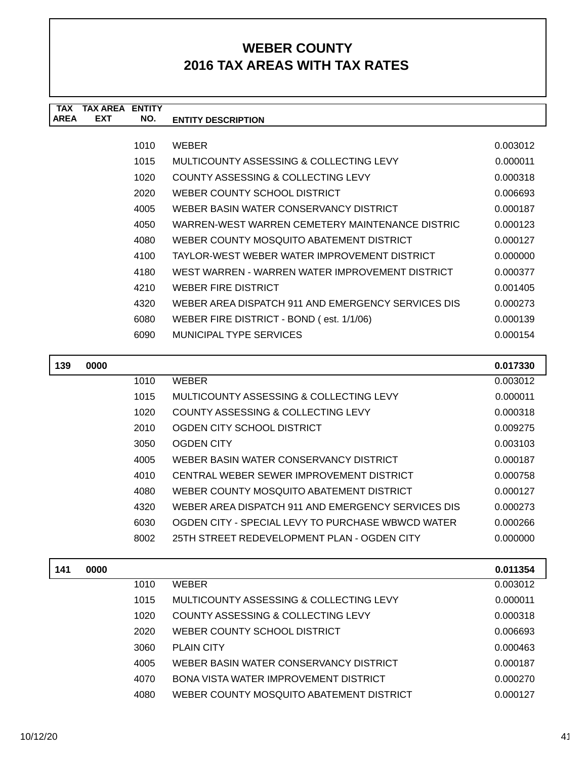| <b>TAX</b>  | TAX AREA   | <b>ENTITY</b> |                                                    |          |
|-------------|------------|---------------|----------------------------------------------------|----------|
| <b>AREA</b> | <b>EXT</b> | NO.           | <b>ENTITY DESCRIPTION</b>                          |          |
|             |            |               |                                                    |          |
|             |            | 1010          | <b>WEBER</b>                                       | 0.003012 |
|             |            | 1015          | MULTICOUNTY ASSESSING & COLLECTING LEVY            | 0.000011 |
|             |            | 1020          | COUNTY ASSESSING & COLLECTING LEVY                 | 0.000318 |
|             |            | 2020          | WEBER COUNTY SCHOOL DISTRICT                       | 0.006693 |
|             |            | 4005          | WEBER BASIN WATER CONSERVANCY DISTRICT             | 0.000187 |
|             |            | 4050          | WARREN-WEST WARREN CEMETERY MAINTENANCE DISTRIC    | 0.000123 |
|             |            | 4080          | WEBER COUNTY MOSQUITO ABATEMENT DISTRICT           | 0.000127 |
|             |            | 4100          | TAYLOR-WEST WEBER WATER IMPROVEMENT DISTRICT       | 0.000000 |
|             |            | 4180          | WEST WARREN - WARREN WATER IMPROVEMENT DISTRICT    | 0.000377 |
|             |            | 4210          | <b>WEBER FIRE DISTRICT</b>                         | 0.001405 |
|             |            | 4320          | WEBER AREA DISPATCH 911 AND EMERGENCY SERVICES DIS | 0.000273 |
|             |            | 6080          | WEBER FIRE DISTRICT - BOND (est. 1/1/06)           | 0.000139 |
|             |            | 6090          | MUNICIPAL TYPE SERVICES                            | 0.000154 |
| 139         | 0000       |               |                                                    | 0.017330 |

| 139 | 0000 |      |                                                    | 0.017330 |
|-----|------|------|----------------------------------------------------|----------|
|     |      | 1010 | <b>WEBER</b>                                       | 0.003012 |
|     |      | 1015 | MULTICOUNTY ASSESSING & COLLECTING LEVY            | 0.000011 |
|     |      | 1020 | COUNTY ASSESSING & COLLECTING LEVY                 | 0.000318 |
|     |      | 2010 | OGDEN CITY SCHOOL DISTRICT                         | 0.009275 |
|     |      | 3050 | <b>OGDEN CITY</b>                                  | 0.003103 |
|     |      | 4005 | WEBER BASIN WATER CONSERVANCY DISTRICT             | 0.000187 |
|     |      | 4010 | CENTRAL WEBER SEWER IMPROVEMENT DISTRICT           | 0.000758 |
|     |      | 4080 | WEBER COUNTY MOSQUITO ABATEMENT DISTRICT           | 0.000127 |
|     |      | 4320 | WEBER AREA DISPATCH 911 AND EMERGENCY SERVICES DIS | 0.000273 |
|     |      | 6030 | OGDEN CITY - SPECIAL LEVY TO PURCHASE WBWCD WATER  | 0.000266 |
|     |      | 8002 | 25TH STREET REDEVELOPMENT PLAN - OGDEN CITY        | 0.000000 |
|     |      |      |                                                    |          |

| 141 | 0000 |      |                                              | 0.011354 |
|-----|------|------|----------------------------------------------|----------|
|     |      | 1010 | <b>WEBER</b>                                 | 0.003012 |
|     |      | 1015 | MULTICOUNTY ASSESSING & COLLECTING LEVY      | 0.000011 |
|     |      | 1020 | COUNTY ASSESSING & COLLECTING LEVY           | 0.000318 |
|     |      | 2020 | WEBER COUNTY SCHOOL DISTRICT                 | 0.006693 |
|     |      | 3060 | <b>PLAIN CITY</b>                            | 0.000463 |
|     |      | 4005 | WEBER BASIN WATER CONSERVANCY DISTRICT       | 0.000187 |
|     |      | 4070 | <b>BONA VISTA WATER IMPROVEMENT DISTRICT</b> | 0.000270 |
|     |      | 4080 | WEBER COUNTY MOSQUITO ABATEMENT DISTRICT     | 0.000127 |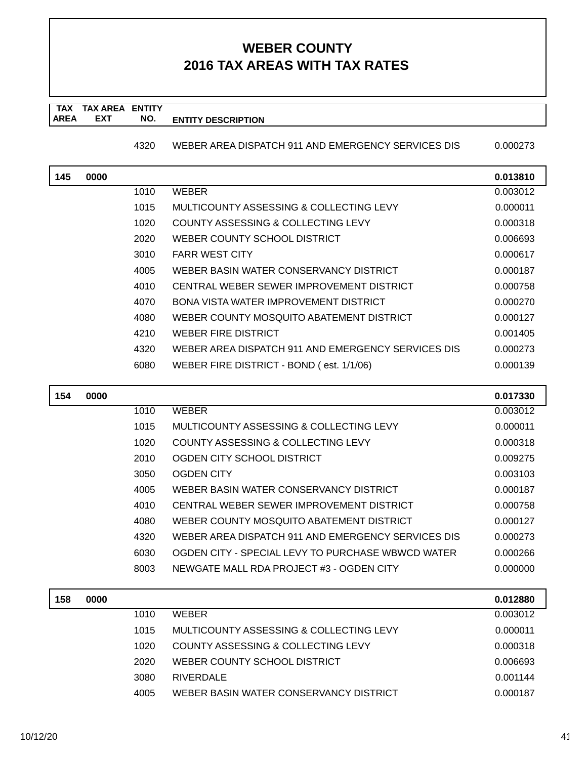#### **TAX TAX AREA ENTITY AREA ENTITY DESCRIPTION EXT NO.**

4320 WEBER AREA DISPATCH 911 AND EMERGENCY SERVICES DIS 0.000273

| 145 | 0000 |      |                                                    | 0.013810 |
|-----|------|------|----------------------------------------------------|----------|
|     |      | 1010 | <b>WEBER</b>                                       | 0.003012 |
|     |      | 1015 | MULTICOUNTY ASSESSING & COLLECTING LEVY            | 0.000011 |
|     |      | 1020 | COUNTY ASSESSING & COLLECTING LEVY                 | 0.000318 |
|     |      | 2020 | WEBER COUNTY SCHOOL DISTRICT                       | 0.006693 |
|     |      | 3010 | <b>FARR WEST CITY</b>                              | 0.000617 |
|     |      | 4005 | WEBER BASIN WATER CONSERVANCY DISTRICT             | 0.000187 |
|     |      | 4010 | CENTRAL WEBER SEWER IMPROVEMENT DISTRICT           | 0.000758 |
|     |      | 4070 | BONA VISTA WATER IMPROVEMENT DISTRICT              | 0.000270 |
|     |      | 4080 | WEBER COUNTY MOSQUITO ABATEMENT DISTRICT           | 0.000127 |
|     |      | 4210 | WEBER FIRE DISTRICT                                | 0.001405 |
|     |      | 4320 | WEBER AREA DISPATCH 911 AND EMERGENCY SERVICES DIS | 0.000273 |
|     |      | 6080 | WEBER FIRE DISTRICT - BOND (est. 1/1/06)           | 0.000139 |
|     |      |      |                                                    |          |

| 154 | 0000 |      |                                                    | 0.017330 |
|-----|------|------|----------------------------------------------------|----------|
|     |      | 1010 | <b>WEBER</b>                                       | 0.003012 |
|     |      | 1015 | MULTICOUNTY ASSESSING & COLLECTING LEVY            | 0.000011 |
|     |      | 1020 | COUNTY ASSESSING & COLLECTING LEVY                 | 0.000318 |
|     |      | 2010 | OGDEN CITY SCHOOL DISTRICT                         | 0.009275 |
|     |      | 3050 | <b>OGDEN CITY</b>                                  | 0.003103 |
|     |      | 4005 | WEBER BASIN WATER CONSERVANCY DISTRICT             | 0.000187 |
|     |      | 4010 | CENTRAL WEBER SEWER IMPROVEMENT DISTRICT           | 0.000758 |
|     |      | 4080 | WEBER COUNTY MOSQUITO ABATEMENT DISTRICT           | 0.000127 |
|     |      | 4320 | WEBER AREA DISPATCH 911 AND EMERGENCY SERVICES DIS | 0.000273 |
|     |      | 6030 | OGDEN CITY - SPECIAL LEVY TO PURCHASE WBWCD WATER  | 0.000266 |
|     |      | 8003 | NEWGATE MALL RDA PROJECT #3 - OGDEN CITY           | 0.000000 |
|     |      |      |                                                    |          |

| 158 | 0000 |      |                                         | 0.012880 |
|-----|------|------|-----------------------------------------|----------|
|     |      | 1010 | <b>WFRFR</b>                            | 0.003012 |
|     |      | 1015 | MULTICOUNTY ASSESSING & COLLECTING LEVY | 0.000011 |
|     |      | 1020 | COUNTY ASSESSING & COLLECTING LEVY      | 0.000318 |
|     |      | 2020 | WEBER COUNTY SCHOOL DISTRICT            | 0.006693 |
|     |      | 3080 | RIVERDALE                               | 0.001144 |
|     |      | 4005 | WEBER BASIN WATER CONSERVANCY DISTRICT  | 0.000187 |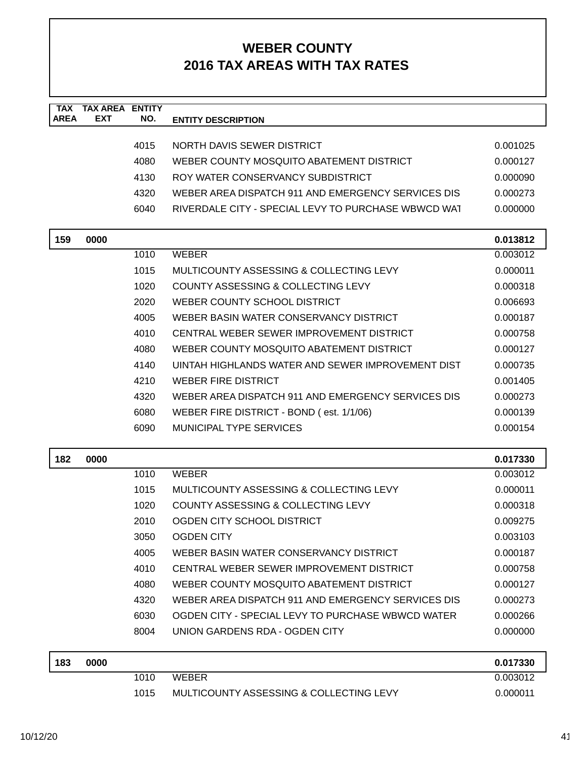| <b>TAX</b><br><b>AREA</b> | <b>TAX AREA ENTITY</b><br><b>EXT</b> | NO.  | <b>ENTITY DESCRIPTION</b>                           |          |
|---------------------------|--------------------------------------|------|-----------------------------------------------------|----------|
|                           |                                      |      |                                                     |          |
|                           |                                      | 4015 | NORTH DAVIS SEWER DISTRICT                          | 0.001025 |
|                           |                                      | 4080 | WEBER COUNTY MOSQUITO ABATEMENT DISTRICT            | 0.000127 |
|                           |                                      | 4130 | ROY WATER CONSERVANCY SUBDISTRICT                   | 0.000090 |
|                           |                                      | 4320 | WEBER AREA DISPATCH 911 AND EMERGENCY SERVICES DIS  | 0.000273 |
|                           |                                      | 6040 | RIVERDALE CITY - SPECIAL LEVY TO PURCHASE WBWCD WAT | 0.000000 |
| 159                       | 0000                                 |      |                                                     | 0.013812 |
|                           |                                      | 1010 | <b>WEBER</b>                                        | 0.003012 |
|                           |                                      | 1015 | MULTICOUNTY ASSESSING & COLLECTING LEVY             | 0.000011 |
|                           |                                      | 1020 | COUNTY ASSESSING & COLLECTING LEVY                  | 0.000318 |
|                           |                                      | 2020 | WEBER COUNTY SCHOOL DISTRICT                        | 0.006693 |
|                           |                                      | 4005 | WEBER BASIN WATER CONSERVANCY DISTRICT              | 0.000187 |
|                           |                                      | 4010 | CENTRAL WEBER SEWER IMPROVEMENT DISTRICT            | 0.000758 |
|                           |                                      | 4080 | WEBER COUNTY MOSQUITO ABATEMENT DISTRICT            | 0.000127 |
|                           |                                      | 4140 | UINTAH HIGHLANDS WATER AND SEWER IMPROVEMENT DIST   | 0.000735 |
|                           |                                      | 4210 | <b>WEBER FIRE DISTRICT</b>                          | 0.001405 |
|                           |                                      | 4320 | WEBER AREA DISPATCH 911 AND EMERGENCY SERVICES DIS  | 0.000273 |
|                           |                                      | 6080 | WEBER FIRE DISTRICT - BOND (est. 1/1/06)            | 0.000139 |
|                           |                                      | 6090 | <b>MUNICIPAL TYPE SERVICES</b>                      | 0.000154 |
| 182                       | 0000                                 |      |                                                     | 0.017330 |
|                           |                                      | 1010 | <b>WEBER</b>                                        | 0.003012 |
|                           |                                      | 1015 | MULTICOUNTY ASSESSING & COLLECTING LEVY             | 0.000011 |
|                           |                                      | 1020 | COUNTY ASSESSING & COLLECTING LEVY                  | 0.000318 |
|                           |                                      | 2010 | OGDEN CITY SCHOOL DISTRICT                          | 0.009275 |
|                           |                                      | 3050 | <b>OGDEN CITY</b>                                   | 0.003103 |
|                           |                                      | 4005 | WEBER BASIN WATER CONSERVANCY DISTRICT              | 0.000187 |
|                           |                                      | 4010 | CENTRAL WEBER SEWER IMPROVEMENT DISTRICT            | 0.000758 |
|                           |                                      | 4080 | WEBER COUNTY MOSQUITO ABATEMENT DISTRICT            | 0.000127 |
|                           |                                      | 4320 | WEBER AREA DISPATCH 911 AND EMERGENCY SERVICES DIS  | 0.000273 |
|                           |                                      | 6030 | OGDEN CITY - SPECIAL LEVY TO PURCHASE WBWCD WATER   | 0.000266 |
|                           |                                      | 8004 | UNION GARDENS RDA - OGDEN CITY                      | 0.000000 |
| 183                       | 0000                                 |      |                                                     | 0.017330 |
|                           |                                      | 1010 | <b>WEBER</b>                                        | 0.003012 |
|                           |                                      | 1015 | MULTICOUNTY ASSESSING & COLLECTING LEVY             | 0.000011 |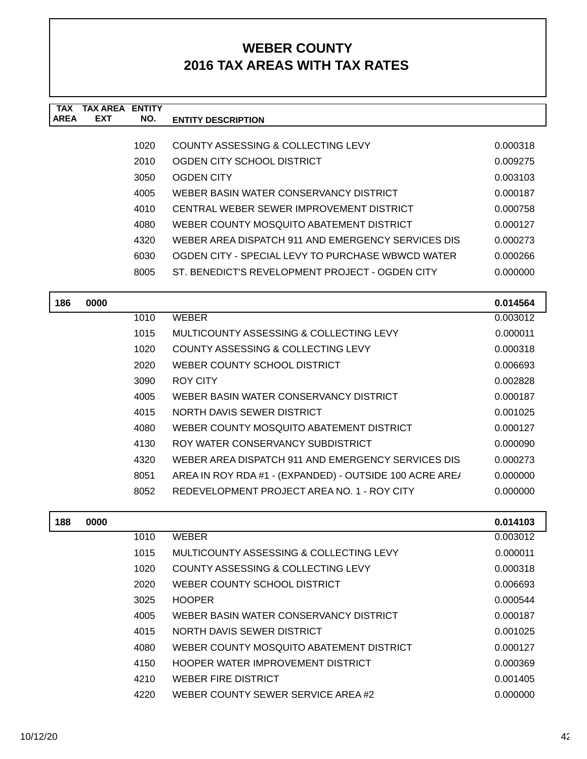| TAX         | TAX AREA   | <b>ENTITY</b> |                                                    |          |
|-------------|------------|---------------|----------------------------------------------------|----------|
| <b>AREA</b> | <b>EXT</b> | NO.           | <b>ENTITY DESCRIPTION</b>                          |          |
|             |            |               |                                                    |          |
|             |            | 1020          | COUNTY ASSESSING & COLLECTING LEVY                 | 0.000318 |
|             |            | 2010          | OGDEN CITY SCHOOL DISTRICT                         | 0.009275 |
|             |            | 3050          | OGDEN CITY                                         | 0.003103 |
|             |            | 4005          | WEBER BASIN WATER CONSERVANCY DISTRICT             | 0.000187 |
|             |            | 4010          | CENTRAL WEBER SEWER IMPROVEMENT DISTRICT           | 0.000758 |
|             |            | 4080          | WEBER COUNTY MOSQUITO ABATEMENT DISTRICT           | 0.000127 |
|             |            | 4320          | WEBER AREA DISPATCH 911 AND EMERGENCY SERVICES DIS | 0.000273 |
|             |            | 6030          | OGDEN CITY - SPECIAL LEVY TO PURCHASE WBWCD WATER  | 0.000266 |
|             |            | 8005          | ST. BENEDICT'S REVELOPMENT PROJECT - OGDEN CITY    | 0.000000 |
|             |            |               |                                                    |          |
|             |            |               |                                                    |          |

| 186 | 0000 |      |                                                         | 0.014564 |
|-----|------|------|---------------------------------------------------------|----------|
|     |      | 1010 | WEBER                                                   | 0.003012 |
|     |      | 1015 | MULTICOUNTY ASSESSING & COLLECTING LEVY                 | 0.000011 |
|     |      | 1020 | COUNTY ASSESSING & COLLECTING LEVY                      | 0.000318 |
|     |      | 2020 | WEBER COUNTY SCHOOL DISTRICT                            | 0.006693 |
|     |      | 3090 | ROY CITY                                                | 0.002828 |
|     |      | 4005 | WEBER BASIN WATER CONSERVANCY DISTRICT                  | 0.000187 |
|     |      | 4015 | NORTH DAVIS SEWER DISTRICT                              | 0.001025 |
|     |      | 4080 | WEBER COUNTY MOSOUITO ABATEMENT DISTRICT                | 0.000127 |
|     |      | 4130 | ROY WATER CONSERVANCY SUBDISTRICT                       | 0.000090 |
|     |      | 4320 | WEBER AREA DISPATCH 911 AND EMERGENCY SERVICES DIS      | 0.000273 |
|     |      | 8051 | AREA IN ROY RDA #1 - (EXPANDED) - OUTSIDE 100 ACRE ARE/ | 0.000000 |
|     |      | 8052 | REDEVELOPMENT PROJECT AREA NO. 1 - ROY CITY             | 0.000000 |
|     |      |      |                                                         |          |

| 188 | 0000 |      |                                          | 0.014103 |
|-----|------|------|------------------------------------------|----------|
|     |      | 1010 | <b>WEBER</b>                             | 0.003012 |
|     |      | 1015 | MULTICOUNTY ASSESSING & COLLECTING LEVY  | 0.000011 |
|     |      | 1020 | COUNTY ASSESSING & COLLECTING LEVY       | 0.000318 |
|     |      | 2020 | WEBER COUNTY SCHOOL DISTRICT             | 0.006693 |
|     |      | 3025 | <b>HOOPER</b>                            | 0.000544 |
|     |      | 4005 | WEBER BASIN WATER CONSERVANCY DISTRICT   | 0.000187 |
|     |      | 4015 | NORTH DAVIS SEWER DISTRICT               | 0.001025 |
|     |      | 4080 | WEBER COUNTY MOSQUITO ABATEMENT DISTRICT | 0.000127 |
|     |      | 4150 | HOOPER WATER IMPROVEMENT DISTRICT        | 0.000369 |
|     |      | 4210 | WEBER FIRE DISTRICT                      | 0.001405 |
|     |      | 4220 | WEBER COUNTY SEWER SERVICE AREA#2        | 0.000000 |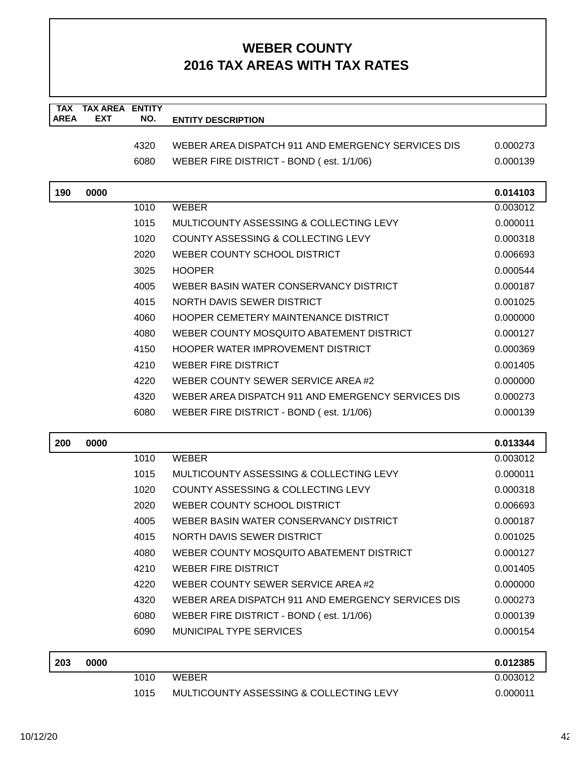| <b>TAX</b>  | <b>TAX AREA ENTITY</b> |      |                                                    |          |
|-------------|------------------------|------|----------------------------------------------------|----------|
| <b>AREA</b> | <b>EXT</b>             | NO.  | <b>ENTITY DESCRIPTION</b>                          |          |
|             |                        | 4320 | WEBER AREA DISPATCH 911 AND EMERGENCY SERVICES DIS | 0.000273 |
|             |                        | 6080 | WEBER FIRE DISTRICT - BOND (est. 1/1/06)           | 0.000139 |
|             |                        |      |                                                    |          |
| 190         | 0000                   |      |                                                    | 0.014103 |
|             |                        | 1010 | <b>WEBER</b>                                       | 0.003012 |
|             |                        | 1015 | MULTICOUNTY ASSESSING & COLLECTING LEVY            | 0.000011 |
|             |                        | 1020 | COUNTY ASSESSING & COLLECTING LEVY                 | 0.000318 |
|             |                        | 2020 | WEBER COUNTY SCHOOL DISTRICT                       | 0.006693 |
|             |                        | 3025 | <b>HOOPER</b>                                      | 0.000544 |
|             |                        | 4005 | WEBER BASIN WATER CONSERVANCY DISTRICT             | 0.000187 |
|             |                        | 4015 | NORTH DAVIS SEWER DISTRICT                         | 0.001025 |
|             |                        | 4060 | HOOPER CEMETERY MAINTENANCE DISTRICT               | 0.000000 |
|             |                        | 4080 | WEBER COUNTY MOSQUITO ABATEMENT DISTRICT           | 0.000127 |
|             |                        | 4150 | HOOPER WATER IMPROVEMENT DISTRICT                  | 0.000369 |
|             |                        | 4210 | <b>WEBER FIRE DISTRICT</b>                         | 0.001405 |
|             |                        | 4220 | WEBER COUNTY SEWER SERVICE AREA#2                  | 0.000000 |
|             |                        | 4320 | WEBER AREA DISPATCH 911 AND EMERGENCY SERVICES DIS | 0.000273 |
|             |                        | 6080 | WEBER FIRE DISTRICT - BOND (est. 1/1/06)           | 0.000139 |
| 200         | 0000                   |      |                                                    | 0.013344 |
|             |                        | 1010 | <b>WEBER</b>                                       | 0.003012 |
|             |                        | 1015 | MULTICOUNTY ASSESSING & COLLECTING LEVY            | 0.000011 |
|             |                        | 1020 | COUNTY ASSESSING & COLLECTING LEVY                 | 0.000318 |
|             |                        | 2020 | WEBER COUNTY SCHOOL DISTRICT                       | 0.006693 |
|             |                        | 4005 | WEBER BASIN WATER CONSERVANCY DISTRICT             | 0.000187 |
|             |                        | 4015 | NORTH DAVIS SEWER DISTRICT                         | 0.001025 |
|             |                        | 4080 | WEBER COUNTY MOSQUITO ABATEMENT DISTRICT           | 0.000127 |
|             |                        | 4210 | <b>WEBER FIRE DISTRICT</b>                         | 0.001405 |
|             |                        | 4220 | WEBER COUNTY SEWER SERVICE AREA#2                  | 0.000000 |
|             |                        | 4320 | WEBER AREA DISPATCH 911 AND EMERGENCY SERVICES DIS | 0.000273 |
|             |                        | 6080 | WEBER FIRE DISTRICT - BOND (est. 1/1/06)           | 0.000139 |
|             |                        | 6090 | MUNICIPAL TYPE SERVICES                            | 0.000154 |
| 203         | 0000                   |      |                                                    | 0.012385 |
|             |                        | 1010 | <b>WEBER</b>                                       | 0.003012 |
|             |                        | 1015 | MULTICOUNTY ASSESSING & COLLECTING LEVY            | 0.000011 |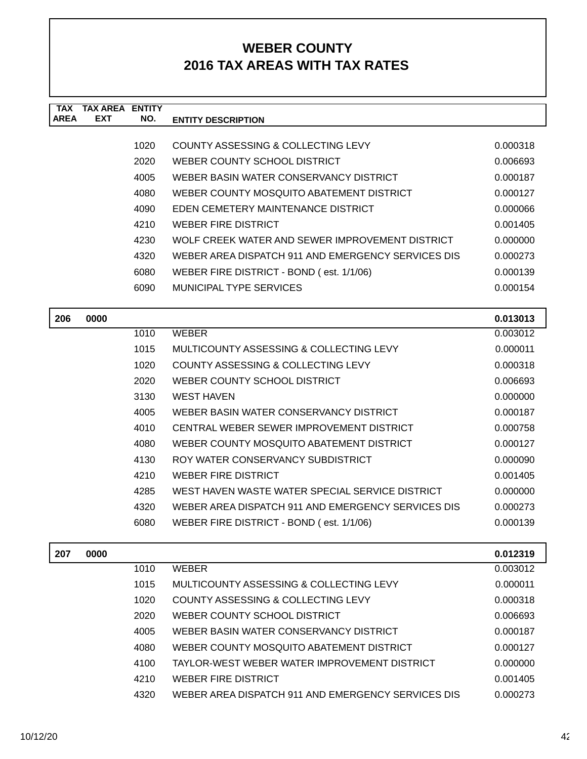| <b>TAX</b><br><b>AREA</b> | <b>TAX AREA ENTITY</b><br><b>EXT</b> | NO.  | <b>ENTITY DESCRIPTION</b>                          |          |
|---------------------------|--------------------------------------|------|----------------------------------------------------|----------|
|                           |                                      |      |                                                    |          |
|                           |                                      | 1020 | <b>COUNTY ASSESSING &amp; COLLECTING LEVY</b>      | 0.000318 |
|                           |                                      | 2020 | WEBER COUNTY SCHOOL DISTRICT                       | 0.006693 |
|                           |                                      | 4005 | WEBER BASIN WATER CONSERVANCY DISTRICT             | 0.000187 |
|                           |                                      | 4080 | WEBER COUNTY MOSQUITO ABATEMENT DISTRICT           | 0.000127 |
|                           |                                      | 4090 | EDEN CEMETERY MAINTENANCE DISTRICT                 | 0.000066 |
|                           |                                      | 4210 | <b>WEBER FIRE DISTRICT</b>                         | 0.001405 |
|                           |                                      | 4230 | WOLF CREEK WATER AND SEWER IMPROVEMENT DISTRICT    | 0.000000 |
|                           |                                      | 4320 | WEBER AREA DISPATCH 911 AND EMERGENCY SERVICES DIS | 0.000273 |
|                           |                                      | 6080 | WEBER FIRE DISTRICT - BOND (est. 1/1/06)           | 0.000139 |
|                           |                                      | 6090 | <b>MUNICIPAL TYPE SERVICES</b>                     | 0.000154 |
|                           |                                      |      |                                                    |          |
| 206                       | 0000                                 |      |                                                    | 0.013013 |
|                           |                                      | 1010 | <b>WEBER</b>                                       | 0.003012 |
|                           |                                      | 1015 | MULTICOUNTY ASSESSING & COLLECTING LEVY            | 0.000011 |
|                           |                                      | 1020 | <b>COUNTY ASSESSING &amp; COLLECTING LEVY</b>      | 0.000318 |
|                           |                                      | 2020 | WEBER COUNTY SCHOOL DISTRICT                       | 0.006693 |
|                           |                                      | 3130 | <b>WEST HAVEN</b>                                  | 0.000000 |
|                           |                                      | 4005 | WEBER BASIN WATER CONSERVANCY DISTRICT             | 0.000187 |
|                           |                                      | 4010 | CENTRAL WEBER SEWER IMPROVEMENT DISTRICT           | 0.000758 |
|                           |                                      | 4080 | WEBER COUNTY MOSQUITO ABATEMENT DISTRICT           | 0.000127 |
|                           |                                      | 4130 | ROY WATER CONSERVANCY SUBDISTRICT                  | 0.000090 |
|                           |                                      | 4210 | <b>WEBER FIRE DISTRICT</b>                         | 0.001405 |
|                           |                                      | 4285 | WEST HAVEN WASTE WATER SPECIAL SERVICE DISTRICT    | 0.000000 |

| 4285  | WEST HAVEN WASTE WATER SPECIAL SERVICE DISTRICT    | 0.000000 |
|-------|----------------------------------------------------|----------|
| 4320. | WEBER AREA DISPATCH 911 AND EMERGENCY SERVICES DIS | 0.000273 |
| 6080  | WEBER FIRE DISTRICT - BOND (est. 1/1/06)           | 0.000139 |

| 207 | 0000 |      |                                                    | 0.012319 |
|-----|------|------|----------------------------------------------------|----------|
|     |      | 1010 | <b>WEBER</b>                                       | 0.003012 |
|     |      | 1015 | MULTICOUNTY ASSESSING & COLLECTING LEVY            | 0.000011 |
|     |      | 1020 | COUNTY ASSESSING & COLLECTING LEVY                 | 0.000318 |
|     |      | 2020 | WEBER COUNTY SCHOOL DISTRICT                       | 0.006693 |
|     |      | 4005 | WEBER BASIN WATER CONSERVANCY DISTRICT             | 0.000187 |
|     |      | 4080 | WEBER COUNTY MOSQUITO ABATEMENT DISTRICT           | 0.000127 |
|     |      | 4100 | TAYLOR-WEST WEBER WATER IMPROVEMENT DISTRICT       | 0.000000 |
|     |      | 4210 | <b>WEBER FIRE DISTRICT</b>                         | 0.001405 |
|     |      | 4320 | WEBER AREA DISPATCH 911 AND EMERGENCY SERVICES DIS | 0.000273 |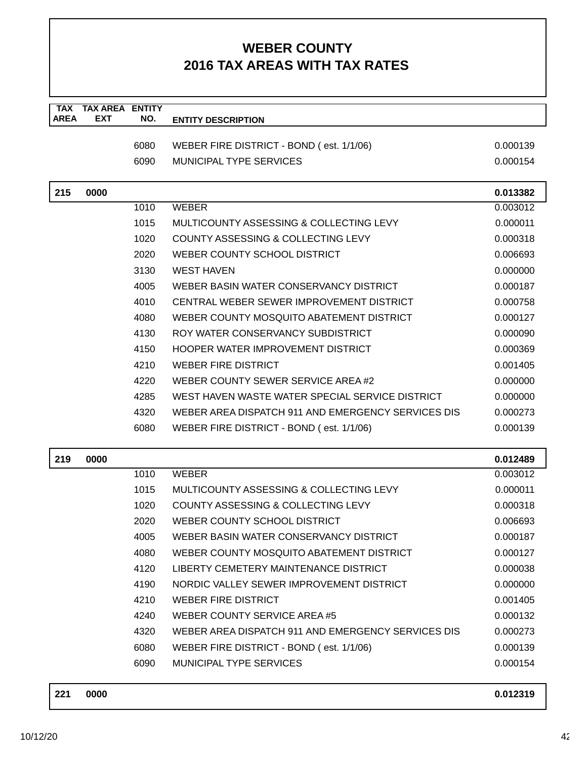| <b>TAX</b>  | <b>TAX AREA</b> | <b>ENTITY</b> |                                                    |          |
|-------------|-----------------|---------------|----------------------------------------------------|----------|
| <b>AREA</b> | <b>EXT</b>      | NO.           | <b>ENTITY DESCRIPTION</b>                          |          |
|             |                 | 6080          | WEBER FIRE DISTRICT - BOND (est. 1/1/06)           | 0.000139 |
|             |                 | 6090          | <b>MUNICIPAL TYPE SERVICES</b>                     | 0.000154 |
|             |                 |               |                                                    |          |
| 215         | 0000            |               |                                                    | 0.013382 |
|             |                 | 1010          | <b>WEBER</b>                                       | 0.003012 |
|             |                 | 1015          | MULTICOUNTY ASSESSING & COLLECTING LEVY            | 0.000011 |
|             |                 | 1020          | COUNTY ASSESSING & COLLECTING LEVY                 | 0.000318 |
|             |                 | 2020          | WEBER COUNTY SCHOOL DISTRICT                       | 0.006693 |
|             |                 | 3130          | <b>WEST HAVEN</b>                                  | 0.000000 |
|             |                 | 4005          | WEBER BASIN WATER CONSERVANCY DISTRICT             | 0.000187 |
|             |                 | 4010          | CENTRAL WEBER SEWER IMPROVEMENT DISTRICT           | 0.000758 |
|             |                 | 4080          | WEBER COUNTY MOSQUITO ABATEMENT DISTRICT           | 0.000127 |
|             |                 | 4130          | ROY WATER CONSERVANCY SUBDISTRICT                  | 0.000090 |
|             |                 | 4150          | HOOPER WATER IMPROVEMENT DISTRICT                  | 0.000369 |
|             |                 | 4210          | <b>WEBER FIRE DISTRICT</b>                         | 0.001405 |
|             |                 | 4220          | WEBER COUNTY SEWER SERVICE AREA #2                 | 0.000000 |
|             |                 | 4285          | WEST HAVEN WASTE WATER SPECIAL SERVICE DISTRICT    | 0.000000 |
|             |                 | 4320          | WEBER AREA DISPATCH 911 AND EMERGENCY SERVICES DIS | 0.000273 |
|             |                 | 6080          | WEBER FIRE DISTRICT - BOND (est. 1/1/06)           | 0.000139 |
| 219         | 0000            |               |                                                    | 0.012489 |
|             |                 | 1010          | <b>WEBER</b>                                       | 0.003012 |
|             |                 | 1015          | MULTICOUNTY ASSESSING & COLLECTING LEVY            | 0.000011 |
|             |                 | 1020          | <b>COUNTY ASSESSING &amp; COLLECTING LEVY</b>      | 0.000318 |
|             |                 | 2020          | WEBER COUNTY SCHOOL DISTRICT                       | 0.006693 |
|             |                 | 4005          | WEBER BASIN WATER CONSERVANCY DISTRICT             | 0.000187 |
|             |                 | 4080          | WEBER COUNTY MOSQUITO ABATEMENT DISTRICT           | 0.000127 |
|             |                 | 4120          | LIBERTY CEMETERY MAINTENANCE DISTRICT              | 0.000038 |
|             |                 | 4190          | NORDIC VALLEY SEWER IMPROVEMENT DISTRICT           | 0.000000 |
|             |                 | 4210          | <b>WEBER FIRE DISTRICT</b>                         | 0.001405 |
|             |                 | 4240          | <b>WEBER COUNTY SERVICE AREA #5</b>                | 0.000132 |
|             |                 | 4320          | WEBER AREA DISPATCH 911 AND EMERGENCY SERVICES DIS | 0.000273 |
|             |                 | 6080          | WEBER FIRE DISTRICT - BOND (est. 1/1/06)           | 0.000139 |
|             |                 | 6090          | MUNICIPAL TYPE SERVICES                            | 0.000154 |
|             |                 |               |                                                    |          |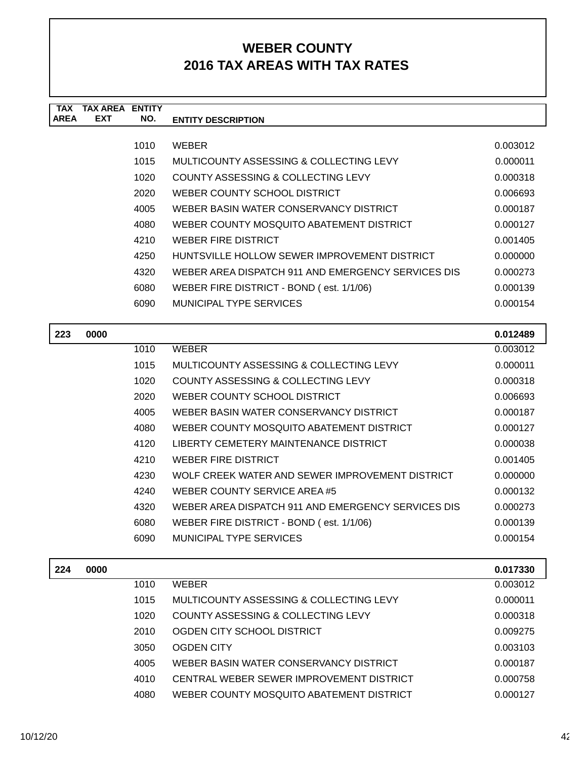| <b>TAX</b>  | TAX AREA   | <b>ENTITY</b> |                                                    |          |
|-------------|------------|---------------|----------------------------------------------------|----------|
| <b>AREA</b> | <b>EXT</b> | NO.           | <b>ENTITY DESCRIPTION</b>                          |          |
|             |            |               |                                                    |          |
|             |            | 1010          | <b>WEBER</b>                                       | 0.003012 |
|             |            | 1015          | MULTICOUNTY ASSESSING & COLLECTING LEVY            | 0.000011 |
|             |            | 1020          | COUNTY ASSESSING & COLLECTING LEVY                 | 0.000318 |
|             |            | 2020          | WEBER COUNTY SCHOOL DISTRICT                       | 0.006693 |
|             |            | 4005          | WEBER BASIN WATER CONSERVANCY DISTRICT             | 0.000187 |
|             |            | 4080          | WEBER COUNTY MOSQUITO ABATEMENT DISTRICT           | 0.000127 |
|             |            | 4210          | WEBER FIRE DISTRICT                                | 0.001405 |
|             |            | 4250          | HUNTSVILLE HOLLOW SEWER IMPROVEMENT DISTRICT       | 0.000000 |
|             |            | 4320          | WEBER AREA DISPATCH 911 AND EMERGENCY SERVICES DIS | 0.000273 |
|             |            | 6080          | WEBER FIRE DISTRICT - BOND (est. 1/1/06)           | 0.000139 |
|             |            | 6090          | <b>MUNICIPAL TYPE SERVICES</b>                     | 0.000154 |
|             |            |               |                                                    |          |
| 223         | 0000       |               |                                                    | 0.012489 |
|             |            | 1010          | WEBER                                              | 0.003012 |

| LLJ | uuu |      |                                                    | U.U I 470J |
|-----|-----|------|----------------------------------------------------|------------|
|     |     | 1010 | <b>WEBER</b>                                       | 0.003012   |
|     |     | 1015 | MULTICOUNTY ASSESSING & COLLECTING LEVY            | 0.000011   |
|     |     | 1020 | COUNTY ASSESSING & COLLECTING LEVY                 | 0.000318   |
|     |     | 2020 | WEBER COUNTY SCHOOL DISTRICT                       | 0.006693   |
|     |     | 4005 | WEBER BASIN WATER CONSERVANCY DISTRICT             | 0.000187   |
|     |     | 4080 | WEBER COUNTY MOSQUITO ABATEMENT DISTRICT           | 0.000127   |
|     |     | 4120 | LIBERTY CEMETERY MAINTENANCE DISTRICT              | 0.000038   |
|     |     | 4210 | <b>WEBER FIRE DISTRICT</b>                         | 0.001405   |
|     |     | 4230 | WOLF CREEK WATER AND SEWER IMPROVEMENT DISTRICT    | 0.000000   |
|     |     | 4240 | WEBER COUNTY SERVICE AREA #5                       | 0.000132   |
|     |     | 4320 | WEBER AREA DISPATCH 911 AND EMERGENCY SERVICES DIS | 0.000273   |
|     |     | 6080 | WEBER FIRE DISTRICT - BOND (est. 1/1/06)           | 0.000139   |
|     |     | 6090 | MUNICIPAL TYPE SERVICES                            | 0.000154   |
|     |     |      |                                                    |            |

| 0.003012 |
|----------|
| 0.000011 |
| 0.000318 |
| 0.009275 |
| 0.003103 |
| 0.000187 |
| 0.000758 |
| 0.000127 |
|          |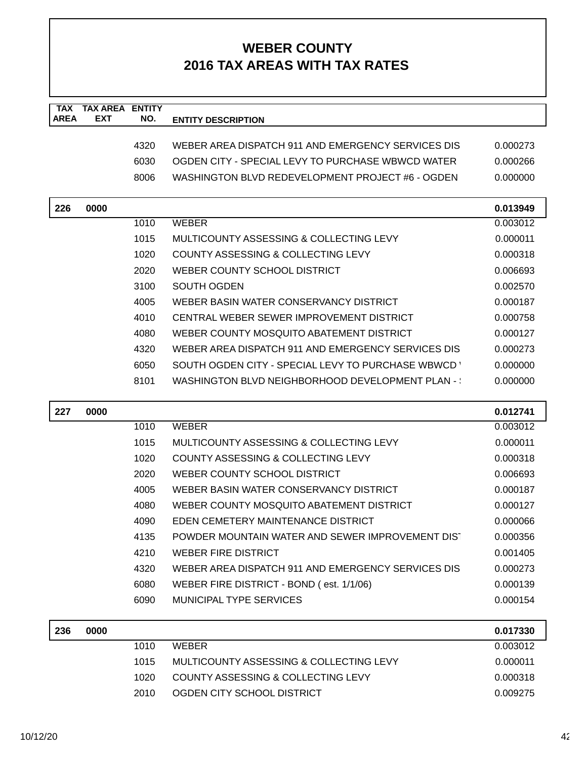| <b>TAX</b><br><b>AREA</b> | <b>TAX AREA ENTITY</b><br><b>EXT</b> | NO.  | <b>ENTITY DESCRIPTION</b>                          |          |
|---------------------------|--------------------------------------|------|----------------------------------------------------|----------|
|                           |                                      |      |                                                    |          |
|                           |                                      | 4320 | WEBER AREA DISPATCH 911 AND EMERGENCY SERVICES DIS | 0.000273 |
|                           |                                      | 6030 | OGDEN CITY - SPECIAL LEVY TO PURCHASE WBWCD WATER  | 0.000266 |
|                           |                                      | 8006 | WASHINGTON BLVD REDEVELOPMENT PROJECT #6 - OGDEN   | 0.000000 |
| 226                       | 0000                                 |      |                                                    | 0.013949 |
|                           |                                      | 1010 | <b>WEBER</b>                                       | 0.003012 |
|                           |                                      | 1015 | MULTICOUNTY ASSESSING & COLLECTING LEVY            | 0.000011 |
|                           |                                      | 1020 | COUNTY ASSESSING & COLLECTING LEVY                 | 0.000318 |
|                           |                                      | 2020 | WEBER COUNTY SCHOOL DISTRICT                       | 0.006693 |
|                           |                                      | 3100 | SOUTH OGDEN                                        | 0.002570 |
|                           |                                      | 4005 | WEBER BASIN WATER CONSERVANCY DISTRICT             | 0.000187 |
|                           |                                      | 4010 | CENTRAL WEBER SEWER IMPROVEMENT DISTRICT           | 0.000758 |
|                           |                                      | 4080 | WEBER COUNTY MOSQUITO ABATEMENT DISTRICT           | 0.000127 |
|                           |                                      | 4320 | WEBER AREA DISPATCH 911 AND EMERGENCY SERVICES DIS | 0.000273 |
|                           |                                      | 6050 | SOUTH OGDEN CITY - SPECIAL LEVY TO PURCHASE WBWCD  | 0.000000 |
|                           |                                      | 8101 | WASHINGTON BLVD NEIGHBORHOOD DEVELOPMENT PLAN - :  | 0.000000 |
|                           |                                      |      |                                                    |          |
| 227                       | 0000                                 |      |                                                    | 0.012741 |
|                           |                                      | 1010 | <b>WEBER</b>                                       | 0.003012 |
|                           |                                      | 1015 | MULTICOUNTY ASSESSING & COLLECTING LEVY            | 0.000011 |
|                           |                                      | 1020 | COUNTY ASSESSING & COLLECTING LEVY                 | 0.000318 |
|                           |                                      | 2020 | WEBER COUNTY SCHOOL DISTRICT                       | 0.006693 |
|                           |                                      | 4005 | WEBER BASIN WATER CONSERVANCY DISTRICT             | 0.000187 |
|                           |                                      | 4080 | WEBER COUNTY MOSQUITO ABATEMENT DISTRICT           | 0.000127 |
|                           |                                      | 4090 | EDEN CEMETERY MAINTENANCE DISTRICT                 | 0.000066 |
|                           |                                      | 4135 | POWDER MOUNTAIN WATER AND SEWER IMPROVEMENT DIST   | 0.000356 |
|                           |                                      | 4210 | <b>WEBER FIRE DISTRICT</b>                         | 0.001405 |
|                           |                                      | 4320 | WEBER AREA DISPATCH 911 AND EMERGENCY SERVICES DIS | 0.000273 |
|                           |                                      | 6080 | WEBER FIRE DISTRICT - BOND (est. 1/1/06)           | 0.000139 |
|                           |                                      | 6090 | <b>MUNICIPAL TYPE SERVICES</b>                     | 0.000154 |
| 236                       | 0000                                 |      |                                                    | 0.017330 |
|                           |                                      | 1010 | <b>WEBER</b>                                       | 0.003012 |
|                           |                                      | 1015 | MULTICOUNTY ASSESSING & COLLECTING LEVY            | 0.000011 |
|                           |                                      | 1020 | COUNTY ASSESSING & COLLECTING LEVY                 | 0.000318 |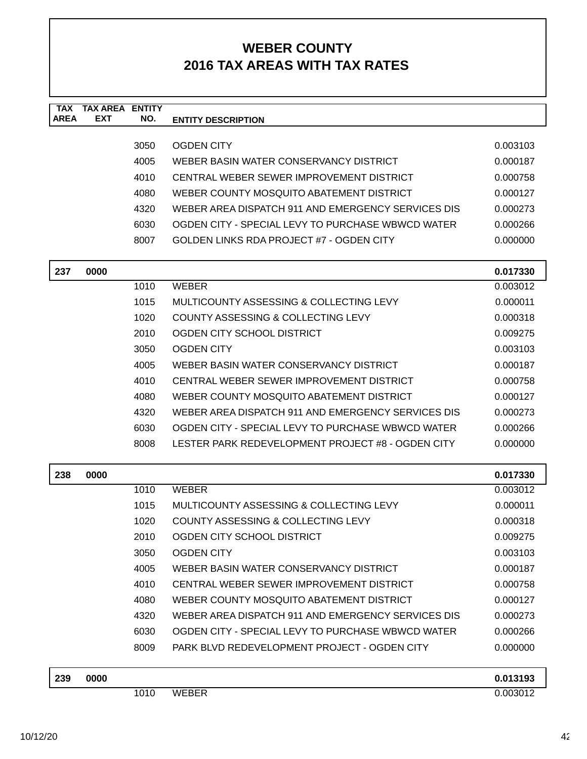| <b>TAX</b><br><b>AREA</b> | <b>TAX AREA ENTITY</b><br><b>EXT</b> | NO.  | <b>ENTITY DESCRIPTION</b>                          |          |
|---------------------------|--------------------------------------|------|----------------------------------------------------|----------|
|                           |                                      |      |                                                    |          |
|                           |                                      | 3050 | <b>OGDEN CITY</b>                                  | 0.003103 |
|                           |                                      | 4005 | WEBER BASIN WATER CONSERVANCY DISTRICT             | 0.000187 |
|                           |                                      | 4010 | CENTRAL WEBER SEWER IMPROVEMENT DISTRICT           | 0.000758 |
|                           |                                      | 4080 | WEBER COUNTY MOSQUITO ABATEMENT DISTRICT           | 0.000127 |
|                           |                                      | 4320 | WEBER AREA DISPATCH 911 AND EMERGENCY SERVICES DIS | 0.000273 |
|                           |                                      | 6030 | OGDEN CITY - SPECIAL LEVY TO PURCHASE WBWCD WATER  | 0.000266 |
|                           |                                      | 8007 | <b>GOLDEN LINKS RDA PROJECT #7 - OGDEN CITY</b>    | 0.000000 |
| 237                       | 0000                                 |      |                                                    | 0.017330 |
|                           |                                      | 1010 | <b>WEBER</b>                                       | 0.003012 |
|                           |                                      | 1015 | MULTICOUNTY ASSESSING & COLLECTING LEVY            | 0.000011 |
|                           |                                      | 1020 | COUNTY ASSESSING & COLLECTING LEVY                 | 0.000318 |
|                           |                                      | 2010 | OGDEN CITY SCHOOL DISTRICT                         | 0.009275 |
|                           |                                      | 3050 | <b>OGDEN CITY</b>                                  | 0.003103 |
|                           |                                      | 4005 | WEBER BASIN WATER CONSERVANCY DISTRICT             | 0.000187 |
|                           |                                      | 4010 | CENTRAL WEBER SEWER IMPROVEMENT DISTRICT           | 0.000758 |
|                           |                                      | 4080 | WEBER COUNTY MOSQUITO ABATEMENT DISTRICT           | 0.000127 |
|                           |                                      | 4320 | WEBER AREA DISPATCH 911 AND EMERGENCY SERVICES DIS | 0.000273 |
|                           |                                      | 6030 | OGDEN CITY - SPECIAL LEVY TO PURCHASE WBWCD WATER  | 0.000266 |
|                           |                                      | 8008 | LESTER PARK REDEVELOPMENT PROJECT #8 - OGDEN CITY  | 0.000000 |
| 238                       | 0000                                 |      |                                                    | 0.017330 |
|                           |                                      | 1010 | <b>WEBER</b>                                       | 0.003012 |
|                           |                                      | 1015 | MULTICOUNTY ASSESSING & COLLECTING LEVY            | 0.000011 |
|                           |                                      | 1020 | COUNTY ASSESSING & COLLECTING LEVY                 | 0.000318 |
|                           |                                      | 2010 | OGDEN CITY SCHOOL DISTRICT                         | 0.009275 |
|                           |                                      | 3050 | <b>OGDEN CITY</b>                                  | 0.003103 |
|                           |                                      | 4005 | WEBER BASIN WATER CONSERVANCY DISTRICT             | 0.000187 |
|                           |                                      | 4010 | CENTRAL WEBER SEWER IMPROVEMENT DISTRICT           | 0.000758 |
|                           |                                      | 4080 | WEBER COUNTY MOSQUITO ABATEMENT DISTRICT           | 0.000127 |
|                           |                                      | 4320 | WEBER AREA DISPATCH 911 AND EMERGENCY SERVICES DIS | 0.000273 |
|                           |                                      | 6030 | OGDEN CITY - SPECIAL LEVY TO PURCHASE WBWCD WATER  | 0.000266 |
|                           |                                      | 8009 | PARK BLVD REDEVELOPMENT PROJECT - OGDEN CITY       | 0.000000 |
| 239                       | 0000                                 |      |                                                    | 0.013193 |
|                           |                                      | 1010 | <b>WEBER</b>                                       | 0.003012 |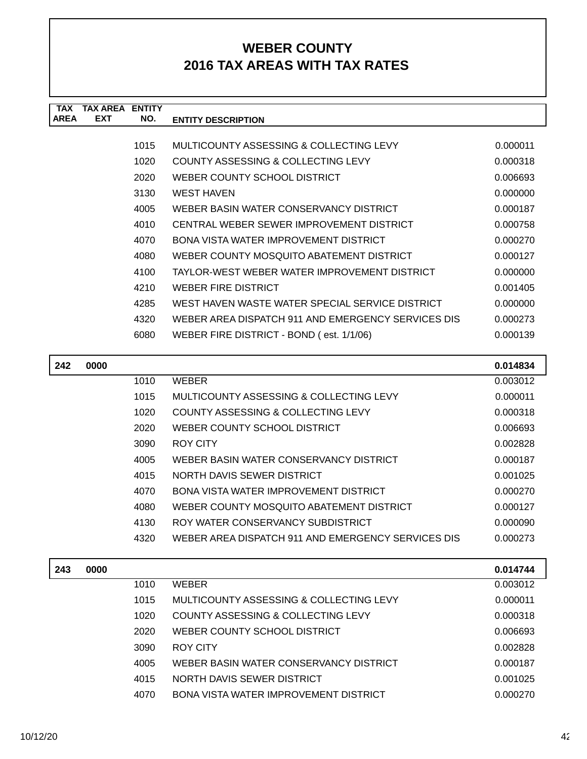| <b>TAX</b>  | TAX AREA   | <b>FNTITY</b> |                                                    |          |
|-------------|------------|---------------|----------------------------------------------------|----------|
| <b>AREA</b> | <b>EXT</b> | NO.           | <b>ENTITY DESCRIPTION</b>                          |          |
|             |            |               |                                                    |          |
|             |            | 1015          | MULTICOUNTY ASSESSING & COLLECTING LEVY            | 0.000011 |
|             |            | 1020          | COUNTY ASSESSING & COLLECTING LEVY                 | 0.000318 |
|             |            | 2020          | WEBER COUNTY SCHOOL DISTRICT                       | 0.006693 |
|             |            | 3130          | <b>WEST HAVEN</b>                                  | 0.000000 |
|             |            | 4005          | WEBER BASIN WATER CONSERVANCY DISTRICT             | 0.000187 |
|             |            | 4010          | CENTRAL WEBER SEWER IMPROVEMENT DISTRICT           | 0.000758 |
|             |            | 4070          | BONA VISTA WATER IMPROVEMENT DISTRICT              | 0.000270 |
|             |            | 4080          | WEBER COUNTY MOSQUITO ABATEMENT DISTRICT           | 0.000127 |
|             |            | 4100          | TAYLOR-WEST WEBER WATER IMPROVEMENT DISTRICT       | 0.000000 |
|             |            | 4210          | WEBER FIRE DISTRICT                                | 0.001405 |
|             |            | 4285          | WEST HAVEN WASTE WATER SPECIAL SERVICE DISTRICT    | 0.000000 |
|             |            | 4320          | WEBER AREA DISPATCH 911 AND EMERGENCY SERVICES DIS | 0.000273 |
|             |            | 6080          | WEBER FIRE DISTRICT - BOND (est. 1/1/06)           | 0.000139 |
|             |            |               |                                                    |          |

| 242 | 0000 |      |                                                    | 0.014834 |
|-----|------|------|----------------------------------------------------|----------|
|     |      | 1010 | <b>WEBER</b>                                       | 0.003012 |
|     |      | 1015 | MULTICOUNTY ASSESSING & COLLECTING LEVY            | 0.000011 |
|     |      | 1020 | COUNTY ASSESSING & COLLECTING LEVY                 | 0.000318 |
|     |      | 2020 | WEBER COUNTY SCHOOL DISTRICT                       | 0.006693 |
|     |      | 3090 | ROY CITY                                           | 0.002828 |
|     |      | 4005 | WEBER BASIN WATER CONSERVANCY DISTRICT             | 0.000187 |
|     |      | 4015 | NORTH DAVIS SEWER DISTRICT                         | 0.001025 |
|     |      | 4070 | <b>BONA VISTA WATER IMPROVEMENT DISTRICT</b>       | 0.000270 |
|     |      | 4080 | WEBER COUNTY MOSQUITO ABATEMENT DISTRICT           | 0.000127 |
|     |      | 4130 | ROY WATER CONSERVANCY SUBDISTRICT                  | 0.000090 |
|     |      | 4320 | WEBER AREA DISPATCH 911 AND EMERGENCY SERVICES DIS | 0.000273 |

| 243 | 0000 |      |                                         | 0.014744 |
|-----|------|------|-----------------------------------------|----------|
|     |      | 1010 | <b>WEBER</b>                            | 0.003012 |
|     |      | 1015 | MULTICOUNTY ASSESSING & COLLECTING LEVY | 0.000011 |
|     |      | 1020 | COUNTY ASSESSING & COLLECTING LEVY      | 0.000318 |
|     |      | 2020 | WEBER COUNTY SCHOOL DISTRICT            | 0.006693 |
|     |      | 3090 | ROY CITY                                | 0.002828 |
|     |      | 4005 | WEBER BASIN WATER CONSERVANCY DISTRICT  | 0.000187 |
|     |      | 4015 | NORTH DAVIS SEWER DISTRICT              | 0.001025 |
|     |      | 4070 | BONA VISTA WATER IMPROVEMENT DISTRICT   | 0.000270 |
|     |      |      |                                         |          |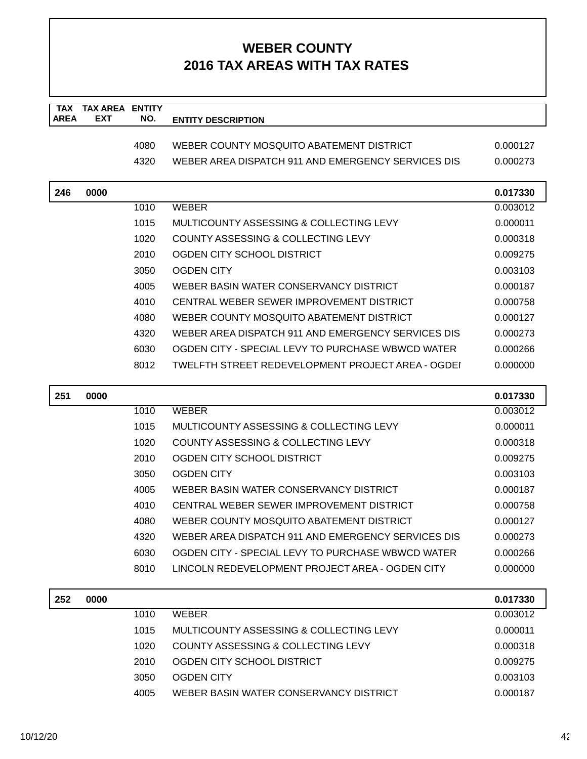| <b>TAX</b><br><b>AREA</b> | <b>TAX AREA ENTITY</b><br><b>EXT</b> | NO.  | <b>ENTITY DESCRIPTION</b>                          |          |
|---------------------------|--------------------------------------|------|----------------------------------------------------|----------|
|                           |                                      |      |                                                    |          |
|                           |                                      | 4080 | WEBER COUNTY MOSQUITO ABATEMENT DISTRICT           | 0.000127 |
|                           |                                      | 4320 | WEBER AREA DISPATCH 911 AND EMERGENCY SERVICES DIS | 0.000273 |
| 246                       | 0000                                 |      |                                                    | 0.017330 |
|                           |                                      | 1010 | <b>WEBER</b>                                       | 0.003012 |
|                           |                                      | 1015 | MULTICOUNTY ASSESSING & COLLECTING LEVY            | 0.000011 |
|                           |                                      | 1020 | COUNTY ASSESSING & COLLECTING LEVY                 | 0.000318 |
|                           |                                      | 2010 | OGDEN CITY SCHOOL DISTRICT                         | 0.009275 |
|                           |                                      | 3050 | <b>OGDEN CITY</b>                                  | 0.003103 |
|                           |                                      | 4005 | WEBER BASIN WATER CONSERVANCY DISTRICT             | 0.000187 |
|                           |                                      | 4010 | CENTRAL WEBER SEWER IMPROVEMENT DISTRICT           | 0.000758 |
|                           |                                      | 4080 | WEBER COUNTY MOSQUITO ABATEMENT DISTRICT           | 0.000127 |
|                           |                                      | 4320 | WEBER AREA DISPATCH 911 AND EMERGENCY SERVICES DIS | 0.000273 |
|                           |                                      | 6030 | OGDEN CITY - SPECIAL LEVY TO PURCHASE WBWCD WATER  | 0.000266 |
|                           |                                      | 8012 | TWELFTH STREET REDEVELOPMENT PROJECT AREA - OGDEI  | 0.000000 |
| 251                       | 0000                                 |      |                                                    | 0.017330 |
|                           |                                      | 1010 | <b>WEBER</b>                                       | 0.003012 |
|                           |                                      | 1015 | MULTICOUNTY ASSESSING & COLLECTING LEVY            | 0.000011 |
|                           |                                      | 1020 | COUNTY ASSESSING & COLLECTING LEVY                 | 0.000318 |
|                           |                                      | 2010 | OGDEN CITY SCHOOL DISTRICT                         | 0.009275 |
|                           |                                      | 3050 | <b>OGDEN CITY</b>                                  | 0.003103 |
|                           |                                      | 4005 | WEBER BASIN WATER CONSERVANCY DISTRICT             | 0.000187 |
|                           |                                      | 4010 | CENTRAL WEBER SEWER IMPROVEMENT DISTRICT           | 0.000758 |
|                           |                                      | 4080 | WEBER COUNTY MOSQUITO ABATEMENT DISTRICT           | 0.000127 |
|                           |                                      | 4320 | WEBER AREA DISPATCH 911 AND EMERGENCY SERVICES DIS | 0.000273 |
|                           |                                      | 6030 | OGDEN CITY - SPECIAL LEVY TO PURCHASE WBWCD WATER  | 0.000266 |
|                           |                                      | 8010 | LINCOLN REDEVELOPMENT PROJECT AREA - OGDEN CITY    | 0.000000 |
| 252                       | 0000                                 |      |                                                    | 0.017330 |
|                           |                                      | 1010 | <b>WEBER</b>                                       | 0.003012 |
|                           |                                      | 1015 | MULTICOUNTY ASSESSING & COLLECTING LEVY            | 0.000011 |
|                           |                                      | 1020 | COUNTY ASSESSING & COLLECTING LEVY                 | 0.000318 |
|                           |                                      | 2010 | OGDEN CITY SCHOOL DISTRICT                         | 0.009275 |
|                           |                                      |      |                                                    |          |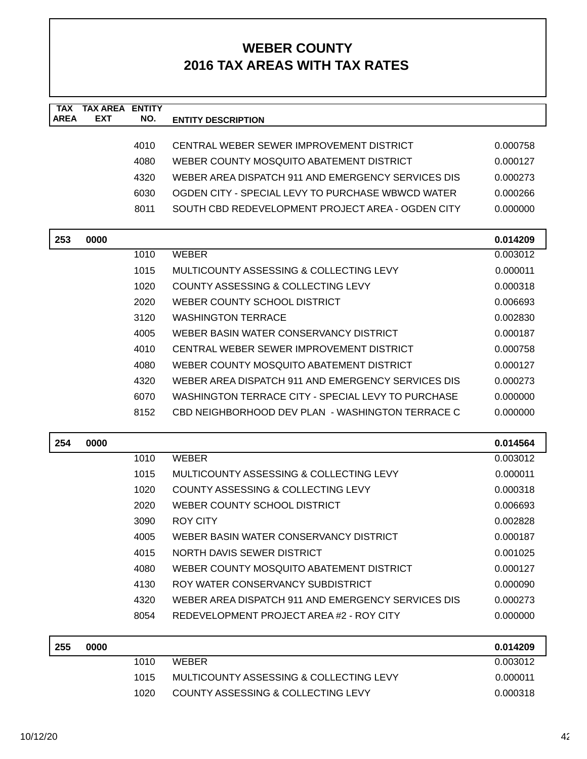| <b>TAX</b><br><b>AREA</b> | <b>TAX AREA ENTITY</b><br><b>EXT</b> | NO.  | <b>ENTITY DESCRIPTION</b>                          |          |
|---------------------------|--------------------------------------|------|----------------------------------------------------|----------|
|                           |                                      |      |                                                    |          |
|                           |                                      | 4010 | CENTRAL WEBER SEWER IMPROVEMENT DISTRICT           | 0.000758 |
|                           |                                      | 4080 | WEBER COUNTY MOSQUITO ABATEMENT DISTRICT           | 0.000127 |
|                           |                                      | 4320 | WEBER AREA DISPATCH 911 AND EMERGENCY SERVICES DIS | 0.000273 |
|                           |                                      | 6030 | OGDEN CITY - SPECIAL LEVY TO PURCHASE WBWCD WATER  | 0.000266 |
|                           |                                      | 8011 | SOUTH CBD REDEVELOPMENT PROJECT AREA - OGDEN CITY  | 0.000000 |
| 253                       | 0000                                 |      |                                                    | 0.014209 |
|                           |                                      | 1010 | <b>WEBER</b>                                       | 0.003012 |
|                           |                                      | 1015 | MULTICOUNTY ASSESSING & COLLECTING LEVY            | 0.000011 |
|                           |                                      | 1020 | COUNTY ASSESSING & COLLECTING LEVY                 | 0.000318 |
|                           |                                      | 2020 | WEBER COUNTY SCHOOL DISTRICT                       | 0.006693 |
|                           |                                      | 3120 | <b>WASHINGTON TERRACE</b>                          | 0.002830 |
|                           |                                      | 4005 | WEBER BASIN WATER CONSERVANCY DISTRICT             | 0.000187 |
|                           |                                      | 4010 | CENTRAL WEBER SEWER IMPROVEMENT DISTRICT           | 0.000758 |
|                           |                                      | 4080 | WEBER COUNTY MOSOUITO ABATEMENT DISTRICT           | 0.000127 |
|                           |                                      | 4320 | WEBER AREA DISPATCH 911 AND EMERGENCY SERVICES DIS | 0.000273 |
|                           |                                      | 6070 | WASHINGTON TERRACE CITY - SPECIAL LEVY TO PURCHASE | 0.000000 |
|                           |                                      | 8152 | CBD NEIGHBORHOOD DEV PLAN - WASHINGTON TERRACE C   | 0.000000 |
| 254                       | 0000                                 |      |                                                    | 0.014564 |
|                           |                                      | 1010 | <b>WEBER</b>                                       | 0.003012 |
|                           |                                      | 1015 | MULTICOUNTY ASSESSING & COLLECTING LEVY            | 0.000011 |
|                           |                                      | 1020 | COUNTY ASSESSING & COLLECTING LEVY                 | 0.000318 |
|                           |                                      | 2020 | WEBER COUNTY SCHOOL DISTRICT                       | 0.006693 |
|                           |                                      | 3090 | <b>ROY CITY</b>                                    | 0.002828 |
|                           |                                      | 4005 | WEBER BASIN WATER CONSERVANCY DISTRICT             | 0.000187 |
|                           |                                      | 4015 | NORTH DAVIS SEWER DISTRICT                         | 0.001025 |
|                           |                                      | 4080 | WEBER COUNTY MOSQUITO ABATEMENT DISTRICT           | 0.000127 |
|                           |                                      | 4130 | ROY WATER CONSERVANCY SUBDISTRICT                  | 0.000090 |
|                           |                                      | 4320 | WEBER AREA DISPATCH 911 AND EMERGENCY SERVICES DIS | 0.000273 |
|                           |                                      | 8054 | REDEVELOPMENT PROJECT AREA #2 - ROY CITY           | 0.000000 |
| 255                       | 0000                                 |      |                                                    | 0.014209 |
|                           |                                      | 1010 | <b>WEBER</b>                                       | 0.003012 |
|                           |                                      | 1015 | MULTICOUNTY ASSESSING & COLLECTING LEVY            | 0.000011 |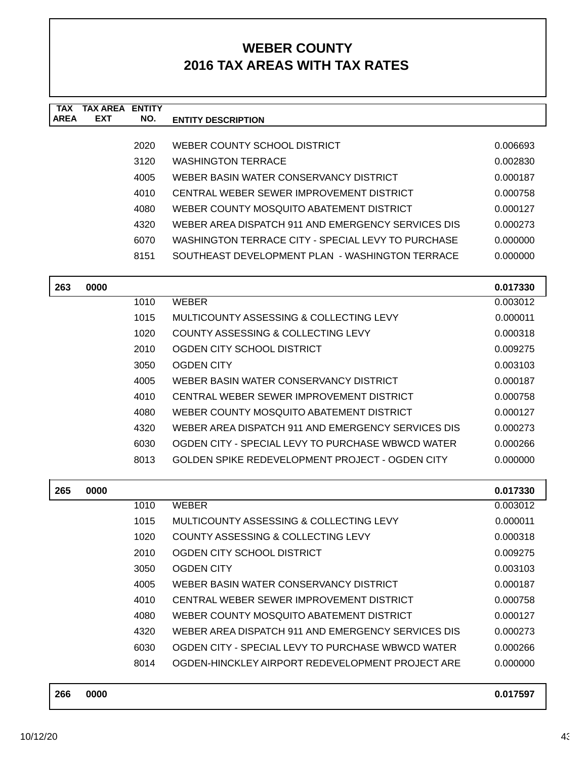| <b>TAX</b><br><b>AREA</b> | <b>TAX AREA ENTITY</b><br><b>EXT</b> | NO.  | <b>ENTITY DESCRIPTION</b>                          |          |
|---------------------------|--------------------------------------|------|----------------------------------------------------|----------|
|                           |                                      |      |                                                    |          |
|                           |                                      | 2020 | WEBER COUNTY SCHOOL DISTRICT                       | 0.006693 |
|                           |                                      | 3120 | <b>WASHINGTON TERRACE</b>                          | 0.002830 |
|                           |                                      | 4005 | WEBER BASIN WATER CONSERVANCY DISTRICT             | 0.000187 |
|                           |                                      | 4010 | CENTRAL WEBER SEWER IMPROVEMENT DISTRICT           | 0.000758 |
|                           |                                      | 4080 | WEBER COUNTY MOSQUITO ABATEMENT DISTRICT           | 0.000127 |
|                           |                                      | 4320 | WEBER AREA DISPATCH 911 AND EMERGENCY SERVICES DIS | 0.000273 |
|                           |                                      | 6070 | WASHINGTON TERRACE CITY - SPECIAL LEVY TO PURCHASE | 0.000000 |
|                           |                                      | 8151 | SOUTHEAST DEVELOPMENT PLAN - WASHINGTON TERRACE    | 0.000000 |
| 263                       | 0000                                 |      |                                                    | 0.017330 |
|                           |                                      | 1010 | <b>WEBER</b>                                       | 0.003012 |
|                           |                                      | 1015 | MULTICOUNTY ASSESSING & COLLECTING LEVY            | 0.000011 |
|                           |                                      | 1020 | COUNTY ASSESSING & COLLECTING LEVY                 | 0.000318 |
|                           |                                      | 2010 | OGDEN CITY SCHOOL DISTRICT                         | 0.009275 |
|                           |                                      | 3050 | <b>OGDEN CITY</b>                                  | 0.003103 |
|                           |                                      | 4005 | WEBER BASIN WATER CONSERVANCY DISTRICT             | 0.000187 |
|                           |                                      | 4010 | CENTRAL WEBER SEWER IMPROVEMENT DISTRICT           | 0.000758 |
|                           |                                      | 4080 | WEBER COUNTY MOSQUITO ABATEMENT DISTRICT           | 0.000127 |
|                           |                                      | 4320 | WEBER AREA DISPATCH 911 AND EMERGENCY SERVICES DIS | 0.000273 |
|                           |                                      | 6030 | OGDEN CITY - SPECIAL LEVY TO PURCHASE WBWCD WATER  | 0.000266 |
|                           |                                      | 8013 | GOLDEN SPIKE REDEVELOPMENT PROJECT - OGDEN CITY    | 0.000000 |
|                           |                                      |      |                                                    |          |
| 265                       | 0000                                 |      |                                                    | 0.017330 |
|                           |                                      | 1010 | <b>WEBER</b>                                       | 0.003012 |
|                           |                                      | 1015 | MULTICOUNTY ASSESSING & COLLECTING LEVY            | 0.000011 |
|                           |                                      | 1020 | COUNTY ASSESSING & COLLECTING LEVY                 | 0.000318 |
|                           |                                      | 2010 | OGDEN CITY SCHOOL DISTRICT                         | 0.009275 |
|                           |                                      | 3050 | <b>OGDEN CITY</b>                                  | 0.003103 |
|                           |                                      | 4005 | WEBER BASIN WATER CONSERVANCY DISTRICT             | 0.000187 |
|                           |                                      | 4010 | CENTRAL WEBER SEWER IMPROVEMENT DISTRICT           | 0.000758 |
|                           |                                      | 4080 | WEBER COUNTY MOSQUITO ABATEMENT DISTRICT           | 0.000127 |
|                           |                                      | 4320 | WEBER AREA DISPATCH 911 AND EMERGENCY SERVICES DIS | 0.000273 |
|                           |                                      | 6030 | OGDEN CITY - SPECIAL LEVY TO PURCHASE WBWCD WATER  | 0.000266 |
|                           |                                      | 8014 | OGDEN-HINCKLEY AIRPORT REDEVELOPMENT PROJECT ARE   | 0.000000 |
|                           |                                      |      |                                                    |          |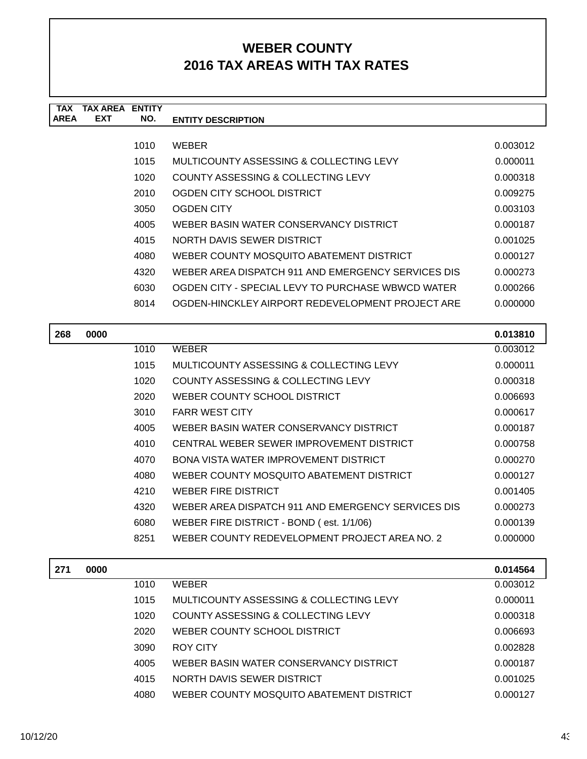| TAX         | TAX AREA   | <b>FNTITY</b> |                                                    |          |
|-------------|------------|---------------|----------------------------------------------------|----------|
| <b>AREA</b> | <b>EXT</b> | NO.           | <b>ENTITY DESCRIPTION</b>                          |          |
|             |            |               |                                                    |          |
|             |            | 1010          | <b>WEBER</b>                                       | 0.003012 |
|             |            | 1015          | MULTICOUNTY ASSESSING & COLLECTING LEVY            | 0.000011 |
|             |            | 1020          | COUNTY ASSESSING & COLLECTING LEVY                 | 0.000318 |
|             |            | 2010          | OGDEN CITY SCHOOL DISTRICT                         | 0.009275 |
|             |            | 3050          | OGDEN CITY                                         | 0.003103 |
|             |            | 4005          | WEBER BASIN WATER CONSERVANCY DISTRICT             | 0.000187 |
|             |            | 4015          | NORTH DAVIS SEWER DISTRICT                         | 0.001025 |
|             |            | 4080          | WEBER COUNTY MOSQUITO ABATEMENT DISTRICT           | 0.000127 |
|             |            | 4320          | WEBER AREA DISPATCH 911 AND EMERGENCY SERVICES DIS | 0.000273 |
|             |            | 6030          | OGDEN CITY - SPECIAL LEVY TO PURCHASE WBWCD WATER  | 0.000266 |
|             |            | 8014          | OGDEN-HINCKLEY AIRPORT REDEVELOPMENT PROJECT ARE   | 0.000000 |
|             |            |               |                                                    |          |

| 268 | 0000 |      |                                                    | 0.013810 |
|-----|------|------|----------------------------------------------------|----------|
|     |      | 1010 | <b>WEBER</b>                                       | 0.003012 |
|     |      | 1015 | MULTICOUNTY ASSESSING & COLLECTING LEVY            | 0.000011 |
|     |      | 1020 | COUNTY ASSESSING & COLLECTING LEVY                 | 0.000318 |
|     |      | 2020 | WEBER COUNTY SCHOOL DISTRICT                       | 0.006693 |
|     |      | 3010 | <b>FARR WEST CITY</b>                              | 0.000617 |
|     |      | 4005 | WEBER BASIN WATER CONSERVANCY DISTRICT             | 0.000187 |
|     |      | 4010 | CENTRAL WEBER SEWER IMPROVEMENT DISTRICT           | 0.000758 |
|     |      | 4070 | BONA VISTA WATER IMPROVEMENT DISTRICT              | 0.000270 |
|     |      | 4080 | WEBER COUNTY MOSQUITO ABATEMENT DISTRICT           | 0.000127 |
|     |      | 4210 | <b>WEBER FIRE DISTRICT</b>                         | 0.001405 |
|     |      | 4320 | WEBER AREA DISPATCH 911 AND EMERGENCY SERVICES DIS | 0.000273 |
|     |      | 6080 | WEBER FIRE DISTRICT - BOND (est. 1/1/06)           | 0.000139 |
|     |      | 8251 | WEBER COUNTY REDEVELOPMENT PROJECT AREA NO. 2      | 0.000000 |
|     |      |      |                                                    |          |
| 271 | 0000 |      |                                                    | 0.014564 |
|     |      | 1010 | WEBER                                              | 0.003012 |

| <i>LI</i> I | vvvv |      |                                          | 0.017007 |
|-------------|------|------|------------------------------------------|----------|
|             |      | 1010 | <b>WEBER</b>                             | 0.003012 |
|             |      | 1015 | MULTICOUNTY ASSESSING & COLLECTING LEVY  | 0.000011 |
|             |      | 1020 | COUNTY ASSESSING & COLLECTING LEVY       | 0.000318 |
|             |      | 2020 | WEBER COUNTY SCHOOL DISTRICT             | 0.006693 |
|             |      | 3090 | ROY CITY                                 | 0.002828 |
|             |      | 4005 | WEBER BASIN WATER CONSERVANCY DISTRICT   | 0.000187 |
|             |      | 4015 | NORTH DAVIS SEWER DISTRICT               | 0.001025 |
|             |      | 4080 | WEBER COUNTY MOSQUITO ABATEMENT DISTRICT | 0.000127 |
|             |      |      |                                          |          |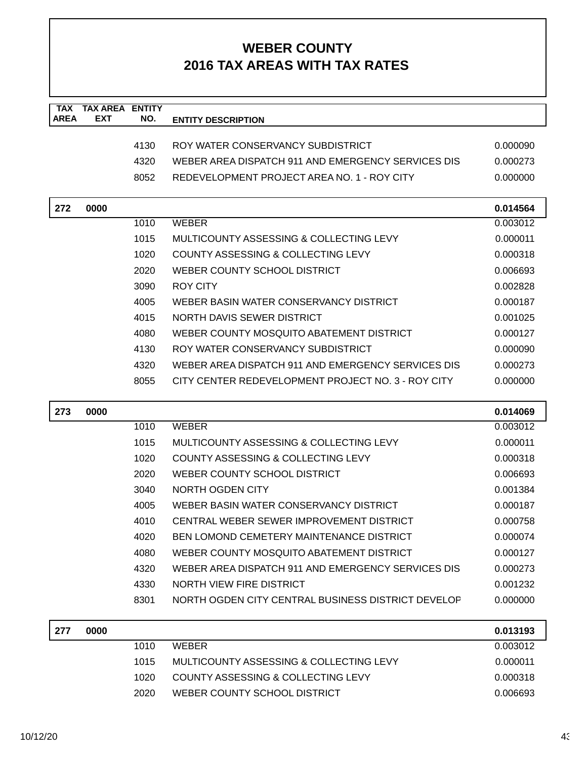| <b>TAX</b><br><b>AREA</b> | <b>TAX AREA ENTITY</b><br>EXT | NO.  | <b>ENTITY DESCRIPTION</b>                          |                      |
|---------------------------|-------------------------------|------|----------------------------------------------------|----------------------|
|                           |                               |      |                                                    |                      |
|                           |                               | 4130 | ROY WATER CONSERVANCY SUBDISTRICT                  | 0.000090             |
|                           |                               | 4320 | WEBER AREA DISPATCH 911 AND EMERGENCY SERVICES DIS | 0.000273             |
|                           |                               | 8052 | REDEVELOPMENT PROJECT AREA NO. 1 - ROY CITY        | 0.000000             |
| 272                       | 0000                          |      |                                                    | 0.014564             |
|                           |                               | 1010 | <b>WEBER</b>                                       | 0.003012             |
|                           |                               | 1015 | MULTICOUNTY ASSESSING & COLLECTING LEVY            | 0.000011             |
|                           |                               | 1020 | COUNTY ASSESSING & COLLECTING LEVY                 | 0.000318             |
|                           |                               | 2020 | WEBER COUNTY SCHOOL DISTRICT                       | 0.006693             |
|                           |                               | 3090 | <b>ROY CITY</b>                                    | 0.002828             |
|                           |                               | 4005 | WEBER BASIN WATER CONSERVANCY DISTRICT             | 0.000187             |
|                           |                               | 4015 | NORTH DAVIS SEWER DISTRICT                         | 0.001025             |
|                           |                               | 4080 | WEBER COUNTY MOSQUITO ABATEMENT DISTRICT           | 0.000127             |
|                           |                               | 4130 | ROY WATER CONSERVANCY SUBDISTRICT                  | 0.000090             |
|                           |                               | 4320 | WEBER AREA DISPATCH 911 AND EMERGENCY SERVICES DIS | 0.000273             |
|                           |                               | 8055 | CITY CENTER REDEVELOPMENT PROJECT NO. 3 - ROY CITY | 0.000000             |
|                           |                               |      |                                                    |                      |
|                           |                               |      |                                                    |                      |
| 273                       | 0000                          | 1010 | <b>WEBER</b>                                       | 0.014069<br>0.003012 |
|                           |                               | 1015 | MULTICOUNTY ASSESSING & COLLECTING LEVY            | 0.000011             |
|                           |                               | 1020 | COUNTY ASSESSING & COLLECTING LEVY                 | 0.000318             |
|                           |                               | 2020 | WEBER COUNTY SCHOOL DISTRICT                       | 0.006693             |
|                           |                               | 3040 | <b>NORTH OGDEN CITY</b>                            | 0.001384             |
|                           |                               | 4005 | WEBER BASIN WATER CONSERVANCY DISTRICT             | 0.000187             |
|                           |                               | 4010 | CENTRAL WEBER SEWER IMPROVEMENT DISTRICT           | 0.000758             |
|                           |                               | 4020 | <b>BEN LOMOND CEMETERY MAINTENANCE DISTRICT</b>    | 0.000074             |
|                           |                               | 4080 | WEBER COUNTY MOSQUITO ABATEMENT DISTRICT           | 0.000127             |
|                           |                               | 4320 | WEBER AREA DISPATCH 911 AND EMERGENCY SERVICES DIS | 0.000273             |
|                           |                               | 4330 | NORTH VIEW FIRE DISTRICT                           | 0.001232             |
|                           |                               | 8301 | NORTH OGDEN CITY CENTRAL BUSINESS DISTRICT DEVELOF | 0.000000             |
|                           |                               |      |                                                    |                      |
| 277                       | 0000                          | 1010 | <b>WEBER</b>                                       | 0.013193<br>0.003012 |
|                           |                               | 1015 | MULTICOUNTY ASSESSING & COLLECTING LEVY            | 0.000011             |
|                           |                               | 1020 | COUNTY ASSESSING & COLLECTING LEVY                 | 0.000318             |
|                           |                               | 2020 | WEBER COUNTY SCHOOL DISTRICT                       | 0.006693             |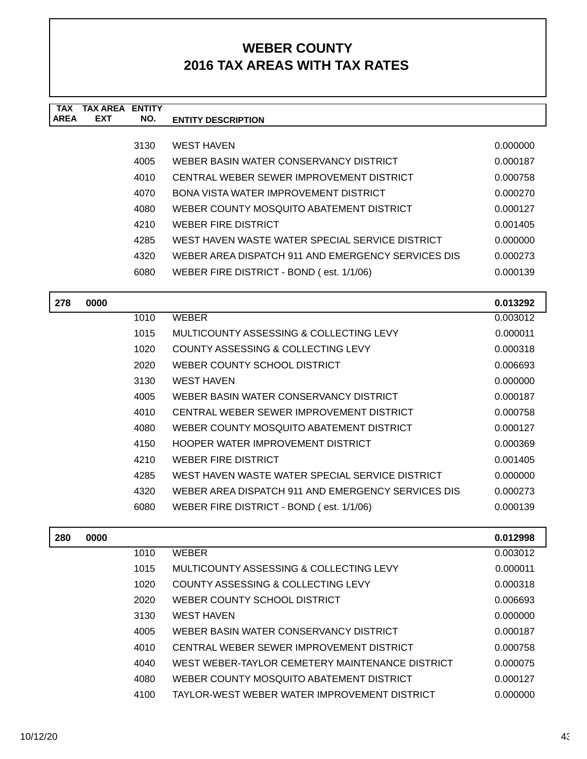| TAX<br><b>AREA</b> | <b>TAX AREA ENTITY</b><br><b>EXT</b> | NO.  |                                                    |          |
|--------------------|--------------------------------------|------|----------------------------------------------------|----------|
|                    |                                      |      | <b>ENTITY DESCRIPTION</b>                          |          |
|                    |                                      | 3130 | <b>WEST HAVEN</b>                                  | 0.000000 |
|                    |                                      | 4005 | WEBER BASIN WATER CONSERVANCY DISTRICT             | 0.000187 |
|                    |                                      | 4010 | CENTRAL WEBER SEWER IMPROVEMENT DISTRICT           | 0.000758 |
|                    |                                      | 4070 | <b>BONA VISTA WATER IMPROVEMENT DISTRICT</b>       | 0.000270 |
|                    |                                      | 4080 | WEBER COUNTY MOSQUITO ABATEMENT DISTRICT           | 0.000127 |
|                    |                                      | 4210 | <b>WEBER FIRE DISTRICT</b>                         | 0.001405 |
|                    |                                      | 4285 | WEST HAVEN WASTE WATER SPECIAL SERVICE DISTRICT    | 0.000000 |
|                    |                                      | 4320 | WEBER AREA DISPATCH 911 AND EMERGENCY SERVICES DIS | 0.000273 |
|                    |                                      | 6080 | WEBER FIRE DISTRICT - BOND (est. 1/1/06)           | 0.000139 |
|                    |                                      |      |                                                    |          |
| 278                | 0000                                 |      |                                                    | 0.013292 |
|                    |                                      | 1010 | <b>WEBER</b>                                       | 0.003012 |
|                    |                                      | 1015 | MULTICOUNTY ASSESSING & COLLECTING LEVY            | 0.000011 |
|                    |                                      | 1020 | <b>COUNTY ASSESSING &amp; COLLECTING LEVY</b>      | 0.000318 |
|                    |                                      | 2020 | WEBER COUNTY SCHOOL DISTRICT                       | 0.006693 |
|                    |                                      | 3130 | <b>WEST HAVEN</b>                                  | 0.000000 |
|                    |                                      | 4005 | WEBER BASIN WATER CONSERVANCY DISTRICT             | 0.000187 |
|                    |                                      | 4010 | CENTRAL WEBER SEWER IMPROVEMENT DISTRICT           | 0.000758 |
|                    |                                      | 4080 | WEBER COUNTY MOSQUITO ABATEMENT DISTRICT           | 0.000127 |
|                    |                                      | 4150 | <b>HOOPER WATER IMPROVEMENT DISTRICT</b>           | 0.000369 |
|                    |                                      | 4210 | WEBER FIRE DISTRICT                                | 0.001405 |
|                    |                                      | 4285 | WEST HAVEN WASTE WATER SPECIAL SERVICE DISTRICT    | 0.000000 |
|                    |                                      | 4320 | WEBER AREA DISPATCH 911 AND EMERGENCY SERVICES DIS | 0.000273 |
|                    |                                      | 6080 | WEBER FIRE DISTRICT - BOND (est. 1/1/06)           | 0.000139 |
| 280                | 0000                                 |      |                                                    | 0.012998 |
|                    |                                      | 1010 | <b>WEBER</b>                                       | 0.003012 |
|                    |                                      | 1015 | MULTICOUNTY ASSESSING & COLLECTING LEVY            | 0.000011 |
|                    |                                      | 1020 | COUNTY ASSESSING & COLLECTING LEVY                 | 0.000318 |
|                    |                                      | 2020 | WEBER COUNTY SCHOOL DISTRICT                       | 0.006693 |
|                    |                                      | 3130 | <b>WEST HAVEN</b>                                  | 0.000000 |
|                    |                                      | 4005 | WEBER BASIN WATER CONSERVANCY DISTRICT             | 0.000187 |
|                    |                                      | 4010 | CENTRAL WEBER SEWER IMPROVEMENT DISTRICT           | 0.000758 |
|                    |                                      | 4040 | WEST WEBER-TAYLOR CEMETERY MAINTENANCE DISTRICT    | 0.000075 |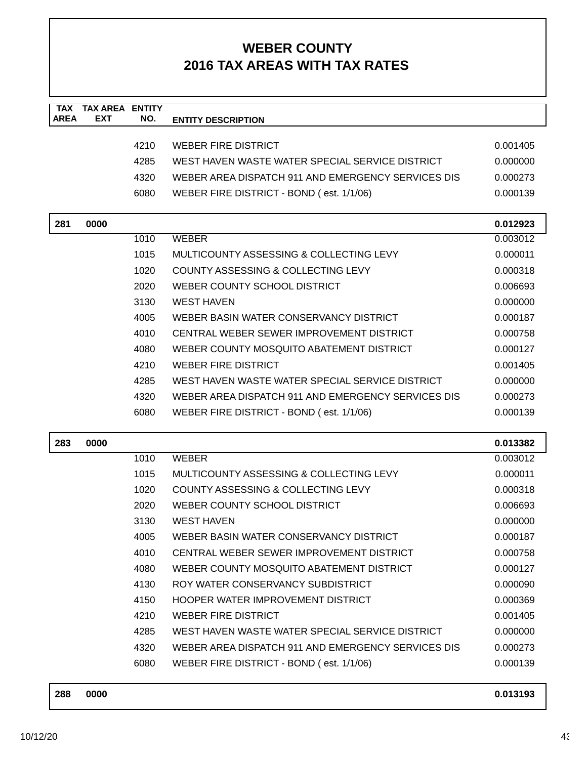| <b>TAX</b><br><b>AREA</b> | <b>TAX AREA ENTITY</b><br><b>EXT</b> | NO.  | <b>ENTITY DESCRIPTION</b>                          |          |
|---------------------------|--------------------------------------|------|----------------------------------------------------|----------|
|                           |                                      |      |                                                    |          |
|                           |                                      | 4210 | <b>WEBER FIRE DISTRICT</b>                         | 0.001405 |
|                           |                                      | 4285 | WEST HAVEN WASTE WATER SPECIAL SERVICE DISTRICT    | 0.000000 |
|                           |                                      | 4320 | WEBER AREA DISPATCH 911 AND EMERGENCY SERVICES DIS | 0.000273 |
|                           |                                      | 6080 | WEBER FIRE DISTRICT - BOND (est. 1/1/06)           | 0.000139 |
| 281                       | 0000                                 |      |                                                    | 0.012923 |
|                           |                                      | 1010 | <b>WEBER</b>                                       | 0.003012 |
|                           |                                      | 1015 | MULTICOUNTY ASSESSING & COLLECTING LEVY            | 0.000011 |
|                           |                                      | 1020 | COUNTY ASSESSING & COLLECTING LEVY                 | 0.000318 |
|                           |                                      | 2020 | WEBER COUNTY SCHOOL DISTRICT                       | 0.006693 |
|                           |                                      | 3130 | <b>WEST HAVEN</b>                                  | 0.000000 |
|                           |                                      | 4005 | WEBER BASIN WATER CONSERVANCY DISTRICT             | 0.000187 |
|                           |                                      | 4010 | CENTRAL WEBER SEWER IMPROVEMENT DISTRICT           | 0.000758 |
|                           |                                      | 4080 | WEBER COUNTY MOSQUITO ABATEMENT DISTRICT           | 0.000127 |
|                           |                                      | 4210 | <b>WEBER FIRE DISTRICT</b>                         | 0.001405 |
|                           |                                      | 4285 | WEST HAVEN WASTE WATER SPECIAL SERVICE DISTRICT    | 0.000000 |
|                           |                                      | 4320 | WEBER AREA DISPATCH 911 AND EMERGENCY SERVICES DIS | 0.000273 |
|                           |                                      | 6080 | WEBER FIRE DISTRICT - BOND (est. 1/1/06)           | 0.000139 |
|                           |                                      |      |                                                    |          |
| 283                       | 0000                                 |      |                                                    | 0.013382 |
|                           |                                      | 1010 | <b>WEBER</b>                                       | 0.003012 |
|                           |                                      | 1015 | MULTICOUNTY ASSESSING & COLLECTING LEVY            | 0.000011 |
|                           |                                      | 1020 | COUNTY ASSESSING & COLLECTING LEVY                 | 0.000318 |
|                           |                                      | 2020 | WEBER COUNTY SCHOOL DISTRICT                       | 0.006693 |
|                           |                                      | 3130 | <b>WEST HAVEN</b>                                  | 0.000000 |
|                           |                                      | 4005 | WEBER BASIN WATER CONSERVANCY DISTRICT             | 0.000187 |
|                           |                                      | 4010 | CENTRAL WEBER SEWER IMPROVEMENT DISTRICT           | 0.000758 |
|                           |                                      | 4080 | WEBER COUNTY MOSQUITO ABATEMENT DISTRICT           | 0.000127 |
|                           |                                      | 4130 | ROY WATER CONSERVANCY SUBDISTRICT                  | 0.000090 |
|                           |                                      | 4150 | HOOPER WATER IMPROVEMENT DISTRICT                  | 0.000369 |
|                           |                                      | 4210 | <b>WEBER FIRE DISTRICT</b>                         | 0.001405 |
|                           |                                      | 4285 | WEST HAVEN WASTE WATER SPECIAL SERVICE DISTRICT    | 0.000000 |
|                           |                                      | 4320 | WEBER AREA DISPATCH 911 AND EMERGENCY SERVICES DIS | 0.000273 |
|                           |                                      | 6080 | WEBER FIRE DISTRICT - BOND (est. 1/1/06)           | 0.000139 |

| 288 | 0000 | 0.013193 |
|-----|------|----------|
|     |      |          |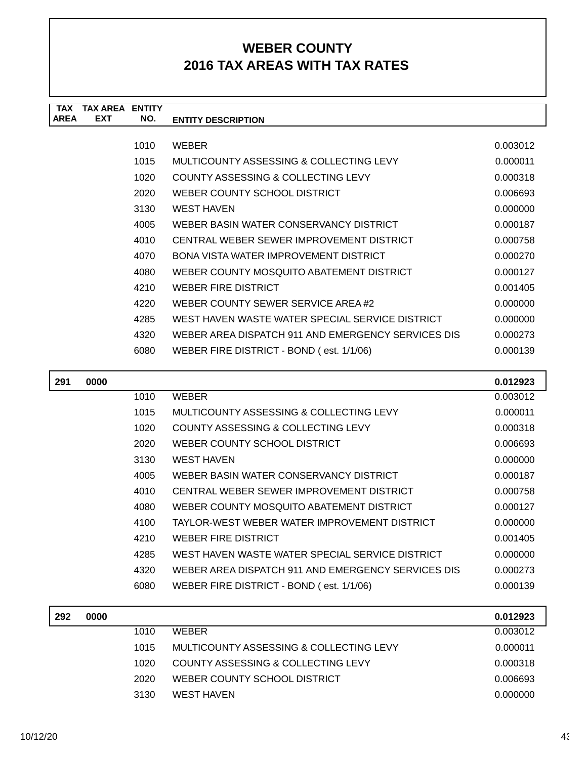| <b>TAX</b>  | <b>TAX ARFA</b> | <b>ENTITY</b> |                                                    |          |
|-------------|-----------------|---------------|----------------------------------------------------|----------|
| <b>AREA</b> | <b>EXT</b>      | NO.           | <b>ENTITY DESCRIPTION</b>                          |          |
|             |                 |               |                                                    |          |
|             |                 | 1010          | <b>WEBER</b>                                       | 0.003012 |
|             |                 | 1015          | MULTICOUNTY ASSESSING & COLLECTING LEVY            | 0.000011 |
|             |                 | 1020          | COUNTY ASSESSING & COLLECTING LEVY                 | 0.000318 |
|             |                 | 2020          | WEBER COUNTY SCHOOL DISTRICT                       | 0.006693 |
|             |                 | 3130          | <b>WEST HAVEN</b>                                  | 0.000000 |
|             |                 | 4005          | WEBER BASIN WATER CONSERVANCY DISTRICT             | 0.000187 |
|             |                 | 4010          | CENTRAL WEBER SEWER IMPROVEMENT DISTRICT           | 0.000758 |
|             |                 | 4070          | BONA VISTA WATER IMPROVEMENT DISTRICT              | 0.000270 |
|             |                 | 4080          | WEBER COUNTY MOSQUITO ABATEMENT DISTRICT           | 0.000127 |
|             |                 | 4210          | <b>WEBER FIRE DISTRICT</b>                         | 0.001405 |
|             |                 | 4220          | WEBER COUNTY SEWER SERVICE AREA #2                 | 0.000000 |
|             |                 | 4285          | WEST HAVEN WASTE WATER SPECIAL SERVICE DISTRICT    | 0.000000 |
|             |                 | 4320          | WEBER AREA DISPATCH 911 AND EMERGENCY SERVICES DIS | 0.000273 |
|             |                 | 6080          | WEBER FIRE DISTRICT - BOND (est. 1/1/06)           | 0.000139 |
| 291         | 0000            |               |                                                    | 0.012923 |

| 291 | 0000 |      |                                                    | 0.012923 |
|-----|------|------|----------------------------------------------------|----------|
|     |      | 1010 | <b>WEBER</b>                                       | 0.003012 |
|     |      | 1015 | MULTICOUNTY ASSESSING & COLLECTING LEVY            | 0.000011 |
|     |      | 1020 | COUNTY ASSESSING & COLLECTING LEVY                 | 0.000318 |
|     |      | 2020 | WEBER COUNTY SCHOOL DISTRICT                       | 0.006693 |
|     |      | 3130 | <b>WEST HAVEN</b>                                  | 0.000000 |
|     |      | 4005 | WEBER BASIN WATER CONSERVANCY DISTRICT             | 0.000187 |
|     |      | 4010 | CENTRAL WEBER SEWER IMPROVEMENT DISTRICT           | 0.000758 |
|     |      | 4080 | WEBER COUNTY MOSQUITO ABATEMENT DISTRICT           | 0.000127 |
|     |      | 4100 | TAYLOR-WEST WEBER WATER IMPROVEMENT DISTRICT       | 0.000000 |
|     |      | 4210 | WEBER FIRE DISTRICT                                | 0.001405 |
|     |      | 4285 | WEST HAVEN WASTE WATER SPECIAL SERVICE DISTRICT    | 0.000000 |
|     |      | 4320 | WEBER AREA DISPATCH 911 AND EMERGENCY SERVICES DIS | 0.000273 |
|     |      | 6080 | WEBER FIRE DISTRICT - BOND (est. 1/1/06)           | 0.000139 |

| 292 | 0000 |      |                                         | 0.012923 |
|-----|------|------|-----------------------------------------|----------|
|     |      | 1010 | <b>WEBER</b>                            | 0.003012 |
|     |      | 1015 | MULTICOUNTY ASSESSING & COLLECTING LEVY | 0.000011 |
|     |      | 1020 | COUNTY ASSESSING & COLLECTING LEVY      | 0.000318 |
|     |      | 2020 | WEBER COUNTY SCHOOL DISTRICT            | 0.006693 |
|     |      | 3130 | WEST HAVEN                              | 0.000000 |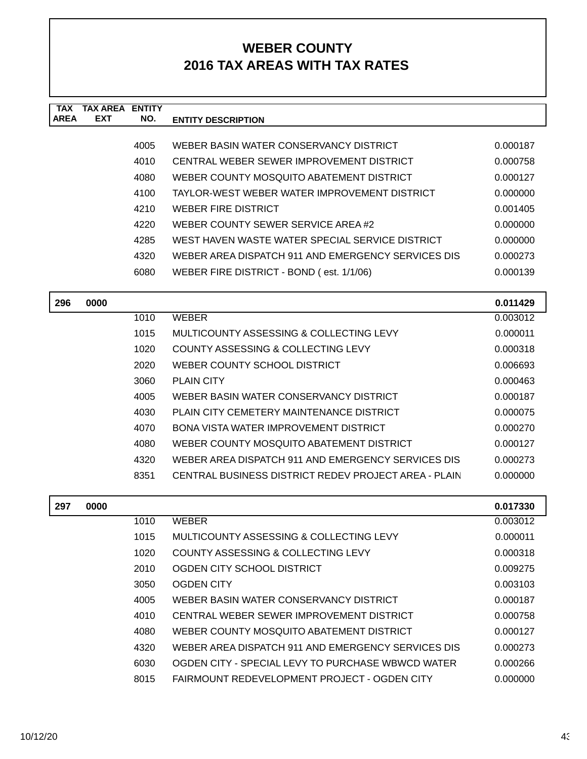| <b>TAX</b><br><b>AREA</b> | <b>TAX AREA ENTITY</b><br><b>EXT</b> | NO.  | <b>ENTITY DESCRIPTION</b>                            |          |
|---------------------------|--------------------------------------|------|------------------------------------------------------|----------|
|                           |                                      |      |                                                      |          |
|                           |                                      | 4005 | WEBER BASIN WATER CONSERVANCY DISTRICT               | 0.000187 |
|                           |                                      | 4010 | CENTRAL WEBER SEWER IMPROVEMENT DISTRICT             | 0.000758 |
|                           |                                      | 4080 | WEBER COUNTY MOSQUITO ABATEMENT DISTRICT             | 0.000127 |
|                           |                                      | 4100 | TAYLOR-WEST WEBER WATER IMPROVEMENT DISTRICT         | 0.000000 |
|                           |                                      | 4210 | <b>WEBER FIRE DISTRICT</b>                           | 0.001405 |
|                           |                                      | 4220 | WEBER COUNTY SEWER SERVICE AREA #2                   | 0.000000 |
|                           |                                      | 4285 | WEST HAVEN WASTE WATER SPECIAL SERVICE DISTRICT      | 0.000000 |
|                           |                                      | 4320 | WEBER AREA DISPATCH 911 AND EMERGENCY SERVICES DIS   | 0.000273 |
|                           |                                      | 6080 | WEBER FIRE DISTRICT - BOND (est. 1/1/06)             | 0.000139 |
|                           |                                      |      |                                                      |          |
| 296                       | 0000                                 |      |                                                      | 0.011429 |
|                           |                                      | 1010 | <b>WEBER</b>                                         | 0.003012 |
|                           |                                      | 1015 | MULTICOUNTY ASSESSING & COLLECTING LEVY              | 0.000011 |
|                           |                                      | 1020 | <b>COUNTY ASSESSING &amp; COLLECTING LEVY</b>        | 0.000318 |
|                           |                                      | 2020 | WEBER COUNTY SCHOOL DISTRICT                         | 0.006693 |
|                           |                                      | 3060 | <b>PLAIN CITY</b>                                    | 0.000463 |
|                           |                                      | 4005 | WEBER BASIN WATER CONSERVANCY DISTRICT               | 0.000187 |
|                           |                                      | 4030 | PLAIN CITY CEMETERY MAINTENANCE DISTRICT             | 0.000075 |
|                           |                                      | 4070 | BONA VISTA WATER IMPROVEMENT DISTRICT                | 0.000270 |
|                           |                                      | 4080 | WEBER COUNTY MOSQUITO ABATEMENT DISTRICT             | 0.000127 |
|                           |                                      | 4320 | WEBER AREA DISPATCH 911 AND EMERGENCY SERVICES DIS   | 0.000273 |
|                           |                                      | 8351 | CENTRAL BUSINESS DISTRICT REDEV PROJECT AREA - PLAIN | 0.000000 |
| 297                       | 0000                                 |      |                                                      | 0.017330 |
|                           |                                      | 1010 | <b>WEBER</b>                                         | 0.003012 |
|                           |                                      | 1015 | MULTICOUNTY ASSESSING & COLLECTING LEVY              | 0.000011 |
|                           |                                      | 1020 | COUNTY ASSESSING & COLLECTING LEVY                   | 0.000318 |
|                           |                                      | 2010 | OGDEN CITY SCHOOL DISTRICT                           | 0.009275 |
|                           |                                      | 3050 | <b>OGDEN CITY</b>                                    | 0.003103 |
|                           |                                      | 4005 | WEBER BASIN WATER CONSERVANCY DISTRICT               | 0.000187 |
|                           |                                      | 4010 | CENTRAL WEBER SEWER IMPROVEMENT DISTRICT             | 0.000758 |
|                           |                                      | 4080 | WEBER COUNTY MOSQUITO ABATEMENT DISTRICT             | 0.000127 |
|                           |                                      | 4320 | WEBER AREA DISPATCH 911 AND EMERGENCY SERVICES DIS   | 0.000273 |
|                           |                                      | 6030 | OGDEN CITY - SPECIAL LEVY TO PURCHASE WBWCD WATER    | 0.000266 |
|                           |                                      | 8015 | FAIRMOUNT REDEVELOPMENT PROJECT - OGDEN CITY         | 0.000000 |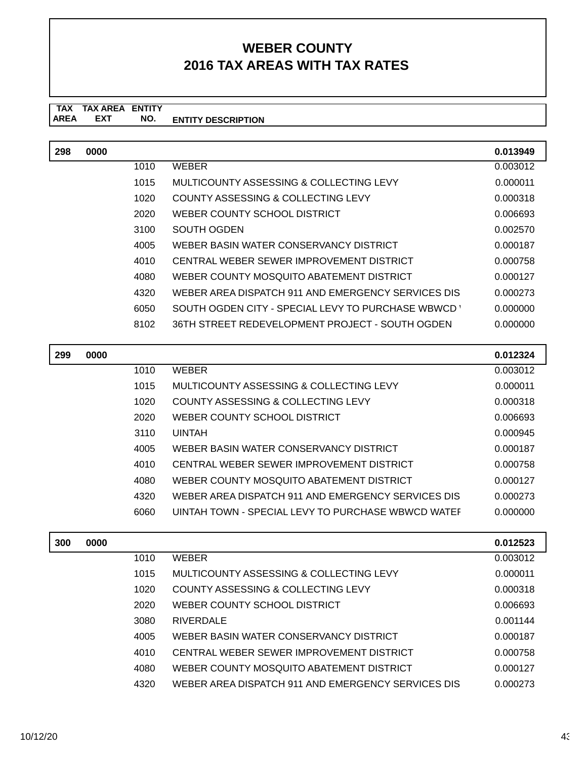#### **TAX TAX AREA ENTITY ENTITY DESCRIPTION EXT NO.**

| 298 | 0000 |      |                                                    | 0.013949 |
|-----|------|------|----------------------------------------------------|----------|
|     |      | 1010 | <b>WEBER</b>                                       | 0.003012 |
|     |      | 1015 | MULTICOUNTY ASSESSING & COLLECTING LEVY            | 0.000011 |
|     |      | 1020 | COUNTY ASSESSING & COLLECTING LEVY                 | 0.000318 |
|     |      | 2020 | WEBER COUNTY SCHOOL DISTRICT                       | 0.006693 |
|     |      | 3100 | SOUTH OGDEN                                        | 0.002570 |
|     |      | 4005 | WEBER BASIN WATER CONSERVANCY DISTRICT             | 0.000187 |
|     |      | 4010 | CENTRAL WEBER SEWER IMPROVEMENT DISTRICT           | 0.000758 |
|     |      | 4080 | WEBER COUNTY MOSQUITO ABATEMENT DISTRICT           | 0.000127 |
|     |      | 4320 | WEBER AREA DISPATCH 911 AND EMERGENCY SERVICES DIS | 0.000273 |
|     |      | 6050 | SOUTH OGDEN CITY - SPECIAL LEVY TO PURCHASE WBWCD  | 0.000000 |
|     |      | 8102 | 36TH STREET REDEVELOPMENT PROJECT - SOUTH OGDEN    | 0.000000 |

| 299 | 0000 |      |                                                    | 0.012324 |
|-----|------|------|----------------------------------------------------|----------|
|     |      | 1010 | <b>WEBER</b>                                       | 0.003012 |
|     |      | 1015 | MULTICOUNTY ASSESSING & COLLECTING LEVY            | 0.000011 |
|     |      | 1020 | COUNTY ASSESSING & COLLECTING LEVY                 | 0.000318 |
|     |      | 2020 | WEBER COUNTY SCHOOL DISTRICT                       | 0.006693 |
|     |      | 3110 | <b>UINTAH</b>                                      | 0.000945 |
|     |      | 4005 | WEBER BASIN WATER CONSERVANCY DISTRICT             | 0.000187 |
|     |      | 4010 | CENTRAL WEBER SEWER IMPROVEMENT DISTRICT           | 0.000758 |
|     |      | 4080 | WEBER COUNTY MOSQUITO ABATEMENT DISTRICT           | 0.000127 |
|     |      | 4320 | WEBER AREA DISPATCH 911 AND EMERGENCY SERVICES DIS | 0.000273 |
|     |      | 6060 | UINTAH TOWN - SPECIAL LEVY TO PURCHASE WBWCD WATER | 0.000000 |
|     |      |      |                                                    |          |

| 300 | 0000 |      |                                                    | 0.012523 |
|-----|------|------|----------------------------------------------------|----------|
|     |      | 1010 | <b>WEBER</b>                                       | 0.003012 |
|     |      | 1015 | MULTICOUNTY ASSESSING & COLLECTING LEVY            | 0.000011 |
|     |      | 1020 | COUNTY ASSESSING & COLLECTING LEVY                 | 0.000318 |
|     |      | 2020 | WEBER COUNTY SCHOOL DISTRICT                       | 0.006693 |
|     |      | 3080 | RIVERDALE                                          | 0.001144 |
|     |      | 4005 | WEBER BASIN WATER CONSERVANCY DISTRICT             | 0.000187 |
|     |      | 4010 | CENTRAL WEBER SEWER IMPROVEMENT DISTRICT           | 0.000758 |
|     |      | 4080 | WEBER COUNTY MOSQUITO ABATEMENT DISTRICT           | 0.000127 |
|     |      | 4320 | WEBER AREA DISPATCH 911 AND EMERGENCY SERVICES DIS | 0.000273 |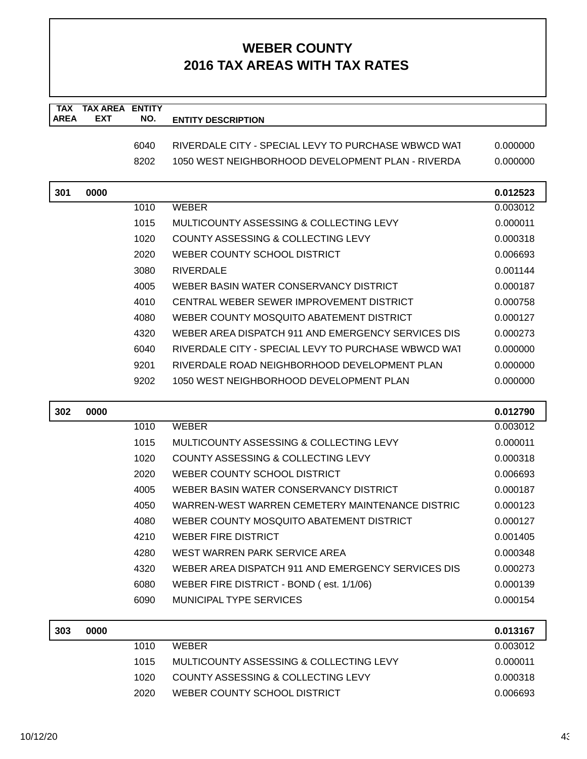| <b>TAX</b><br><b>AREA</b> | <b>TAX AREA</b><br><b>EXT</b> | <b>ENTITY</b><br>NO. |                                                     |          |
|---------------------------|-------------------------------|----------------------|-----------------------------------------------------|----------|
|                           |                               |                      | <b>ENTITY DESCRIPTION</b>                           |          |
|                           |                               | 6040                 | RIVERDALE CITY - SPECIAL LEVY TO PURCHASE WBWCD WAT | 0.000000 |
|                           |                               | 8202                 | 1050 WEST NEIGHBORHOOD DEVELOPMENT PLAN - RIVERDA   | 0.000000 |
| 301                       | 0000                          |                      |                                                     | 0.012523 |
|                           |                               | 1010                 | <b>WEBER</b>                                        | 0.003012 |
|                           |                               | 1015                 | MULTICOUNTY ASSESSING & COLLECTING LEVY             | 0.000011 |
|                           |                               | 1020                 | COUNTY ASSESSING & COLLECTING LEVY                  | 0.000318 |
|                           |                               | 2020                 | WEBER COUNTY SCHOOL DISTRICT                        | 0.006693 |
|                           |                               | 3080                 | <b>RIVERDALE</b>                                    | 0.001144 |
|                           |                               | 4005                 | WEBER BASIN WATER CONSERVANCY DISTRICT              | 0.000187 |
|                           |                               | 4010                 | CENTRAL WEBER SEWER IMPROVEMENT DISTRICT            | 0.000758 |
|                           |                               | 4080                 | WEBER COUNTY MOSQUITO ABATEMENT DISTRICT            | 0.000127 |
|                           |                               | 4320                 | WEBER AREA DISPATCH 911 AND EMERGENCY SERVICES DIS  | 0.000273 |
|                           |                               | 6040                 | RIVERDALE CITY - SPECIAL LEVY TO PURCHASE WBWCD WAT | 0.000000 |
|                           |                               | 9201                 | RIVERDALE ROAD NEIGHBORHOOD DEVELOPMENT PLAN        | 0.000000 |
|                           |                               | 9202                 | 1050 WEST NEIGHBORHOOD DEVELOPMENT PLAN             | 0.000000 |
| 302                       | 0000                          |                      |                                                     | 0.012790 |
|                           |                               | 1010                 | <b>WEBER</b>                                        | 0.003012 |
|                           |                               | 1015                 | MULTICOUNTY ASSESSING & COLLECTING LEVY             | 0.000011 |
|                           |                               | 1020                 | COUNTY ASSESSING & COLLECTING LEVY                  | 0.000318 |
|                           |                               | 2020                 | WEBER COUNTY SCHOOL DISTRICT                        | 0.006693 |
|                           |                               | 4005                 | WEBER BASIN WATER CONSERVANCY DISTRICT              | 0.000187 |
|                           |                               | 4050                 | WARREN-WEST WARREN CEMETERY MAINTENANCE DISTRIC     | 0.000123 |
|                           |                               | 4080                 | WEBER COUNTY MOSQUITO ABATEMENT DISTRICT            | 0.000127 |
|                           |                               | 4210                 | <b>WEBER FIRE DISTRICT</b>                          | 0.001405 |
|                           |                               | 4280                 | WEST WARREN PARK SERVICE AREA                       | 0.000348 |
|                           |                               | 4320                 | WEBER AREA DISPATCH 911 AND EMERGENCY SERVICES DIS  | 0.000273 |
|                           |                               | 6080                 | WEBER FIRE DISTRICT - BOND (est. 1/1/06)            | 0.000139 |
|                           |                               | 6090                 | MUNICIPAL TYPE SERVICES                             | 0.000154 |
| 303                       | 0000                          |                      |                                                     | 0.013167 |
|                           |                               |                      |                                                     |          |
|                           |                               | 1010                 | <b>WEBER</b>                                        | 0.003012 |
|                           |                               | 1015                 | MULTICOUNTY ASSESSING & COLLECTING LEVY             | 0.000011 |
|                           |                               | 1020                 | COUNTY ASSESSING & COLLECTING LEVY                  | 0.000318 |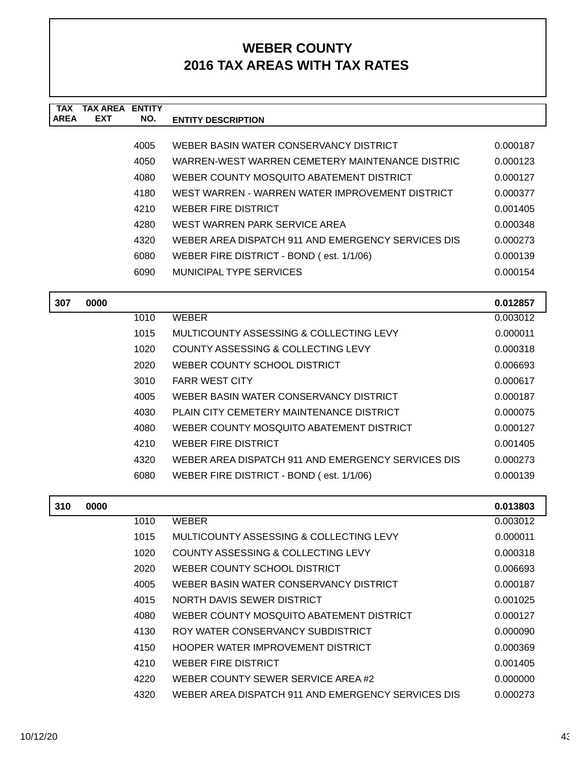| <b>TAX</b>  | <b>TAX AREA ENTITY</b> |      |                                                    |          |
|-------------|------------------------|------|----------------------------------------------------|----------|
| <b>AREA</b> | <b>EXT</b>             | NO.  | <b>ENTITY DESCRIPTION</b>                          |          |
|             |                        | 4005 | WEBER BASIN WATER CONSERVANCY DISTRICT             | 0.000187 |
|             |                        | 4050 | WARREN-WEST WARREN CEMETERY MAINTENANCE DISTRIC    | 0.000123 |
|             |                        | 4080 | WEBER COUNTY MOSQUITO ABATEMENT DISTRICT           | 0.000127 |
|             |                        | 4180 | WEST WARREN - WARREN WATER IMPROVEMENT DISTRICT    | 0.000377 |
|             |                        | 4210 | WEBER FIRE DISTRICT                                | 0.001405 |
|             |                        | 4280 | WEST WARREN PARK SERVICE AREA                      | 0.000348 |
|             |                        | 4320 | WEBER AREA DISPATCH 911 AND EMERGENCY SERVICES DIS | 0.000273 |
|             |                        | 6080 | WEBER FIRE DISTRICT - BOND (est. 1/1/06)           | 0.000139 |
|             |                        | 6090 | MUNICIPAL TYPE SERVICES                            | 0.000154 |
| 307         | 0000                   |      |                                                    | 0.012857 |
|             |                        | 1010 | <b>WEBER</b>                                       | 0.003012 |
|             |                        | 1015 | MULTICOUNTY ASSESSING & COLLECTING LEVY            | 0.000011 |
|             |                        | 1020 | COUNTY ASSESSING & COLLECTING LEVY                 | 0.000318 |
|             |                        | 2020 | WEBER COUNTY SCHOOL DISTRICT                       | 0.006693 |
|             |                        | 3010 | <b>FARR WEST CITY</b>                              | 0.000617 |
|             |                        | 4005 | WEBER BASIN WATER CONSERVANCY DISTRICT             | 0.000187 |
|             |                        | 4030 | PLAIN CITY CEMETERY MAINTENANCE DISTRICT           | 0.000075 |
|             |                        | 4080 | WEBER COUNTY MOSQUITO ABATEMENT DISTRICT           | 0.000127 |
|             |                        | 4210 | <b>WEBER FIRE DISTRICT</b>                         | 0.001405 |
|             |                        | 4320 | WEBER AREA DISPATCH 911 AND EMERGENCY SERVICES DIS | 0.000273 |
|             |                        | 6080 | WEBER FIRE DISTRICT - BOND (est. 1/1/06)           | 0.000139 |
| 310         | 0000                   |      |                                                    | 0.013803 |
|             |                        | 1010 | <b>WEBER</b>                                       | 0.003012 |
|             |                        | 1015 | MULTICOUNTY ASSESSING & COLLECTING LEVY            | 0.000011 |
|             |                        | 1020 | COUNTY ASSESSING & COLLECTING LEVY                 | 0.000318 |
|             |                        | 2020 | WEBER COUNTY SCHOOL DISTRICT                       | 0.006693 |
|             |                        | 4005 | WEBER BASIN WATER CONSERVANCY DISTRICT             | 0.000187 |
|             |                        | 4015 | NORTH DAVIS SEWER DISTRICT                         | 0.001025 |
|             |                        | 4080 | WEBER COUNTY MOSQUITO ABATEMENT DISTRICT           | 0.000127 |
|             |                        | 4130 | ROY WATER CONSERVANCY SUBDISTRICT                  | 0.000090 |
|             |                        | 4150 | HOOPER WATER IMPROVEMENT DISTRICT                  | 0.000369 |
|             |                        | 4210 | <b>WEBER FIRE DISTRICT</b>                         | 0.001405 |
|             |                        | 4220 | WEBER COUNTY SEWER SERVICE AREA #2                 | 0.000000 |
|             |                        | 4320 | WEBER AREA DISPATCH 911 AND EMERGENCY SERVICES DIS | 0.000273 |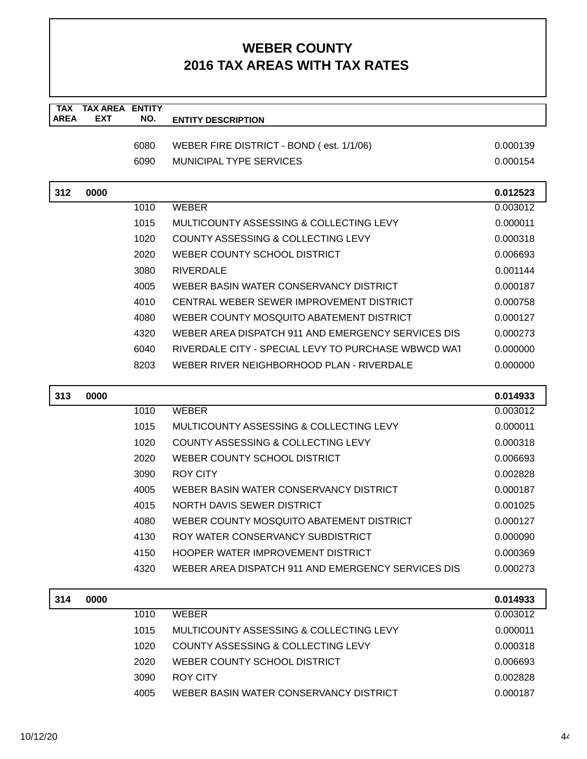| <b>TAX</b><br><b>AREA</b> | <b>TAX AREA</b><br><b>EXT</b> | <b>ENTITY</b><br>NO. | <b>ENTITY DESCRIPTION</b>                           |          |
|---------------------------|-------------------------------|----------------------|-----------------------------------------------------|----------|
|                           |                               |                      |                                                     |          |
|                           |                               | 6080                 | WEBER FIRE DISTRICT - BOND (est. 1/1/06)            | 0.000139 |
|                           |                               | 6090                 | <b>MUNICIPAL TYPE SERVICES</b>                      | 0.000154 |
| 312                       | 0000                          |                      |                                                     | 0.012523 |
|                           |                               | 1010                 | <b>WEBER</b>                                        | 0.003012 |
|                           |                               | 1015                 | MULTICOUNTY ASSESSING & COLLECTING LEVY             | 0.000011 |
|                           |                               | 1020                 | COUNTY ASSESSING & COLLECTING LEVY                  | 0.000318 |
|                           |                               | 2020                 | WEBER COUNTY SCHOOL DISTRICT                        | 0.006693 |
|                           |                               | 3080                 | <b>RIVERDALE</b>                                    | 0.001144 |
|                           |                               | 4005                 | WEBER BASIN WATER CONSERVANCY DISTRICT              | 0.000187 |
|                           |                               | 4010                 | CENTRAL WEBER SEWER IMPROVEMENT DISTRICT            | 0.000758 |
|                           |                               | 4080                 | WEBER COUNTY MOSQUITO ABATEMENT DISTRICT            | 0.000127 |
|                           |                               | 4320                 | WEBER AREA DISPATCH 911 AND EMERGENCY SERVICES DIS  | 0.000273 |
|                           |                               | 6040                 | RIVERDALE CITY - SPECIAL LEVY TO PURCHASE WBWCD WAT | 0.000000 |
|                           |                               | 8203                 | WEBER RIVER NEIGHBORHOOD PLAN - RIVERDALE           | 0.000000 |
| 313                       | 0000                          |                      |                                                     | 0.014933 |
|                           |                               | 1010                 | <b>WEBER</b>                                        | 0.003012 |
|                           |                               | 1015                 | MULTICOUNTY ASSESSING & COLLECTING LEVY             | 0.000011 |
|                           |                               | 1020                 | COUNTY ASSESSING & COLLECTING LEVY                  | 0.000318 |
|                           |                               | 2020                 | WEBER COUNTY SCHOOL DISTRICT                        | 0.006693 |
|                           |                               | 3090                 | <b>ROY CITY</b>                                     | 0.002828 |
|                           |                               | 4005                 | WEBER BASIN WATER CONSERVANCY DISTRICT              | 0.000187 |
|                           |                               | 4015                 | NORTH DAVIS SEWER DISTRICT                          | 0.001025 |
|                           |                               | 4080                 | WEBER COUNTY MOSQUITO ABATEMENT DISTRICT            | 0.000127 |
|                           |                               | 4130                 | ROY WATER CONSERVANCY SUBDISTRICT                   | 0.000090 |
|                           |                               | 4150                 | HOOPER WATER IMPROVEMENT DISTRICT                   | 0.000369 |
|                           |                               | 4320                 | WEBER AREA DISPATCH 911 AND EMERGENCY SERVICES DIS  | 0.000273 |
| 314                       | 0000                          |                      |                                                     | 0.014933 |
|                           |                               | 1010                 | <b>WEBER</b>                                        | 0.003012 |
|                           |                               | 1015                 | MULTICOUNTY ASSESSING & COLLECTING LEVY             | 0.000011 |
|                           |                               | 1020                 | COUNTY ASSESSING & COLLECTING LEVY                  | 0.000318 |
|                           |                               | 2020                 | WEBER COUNTY SCHOOL DISTRICT                        | 0.006693 |
|                           |                               | 3090                 | <b>ROY CITY</b>                                     | 0.002828 |
|                           |                               | 4005                 | WEBER BASIN WATER CONSERVANCY DISTRICT              | 0.000187 |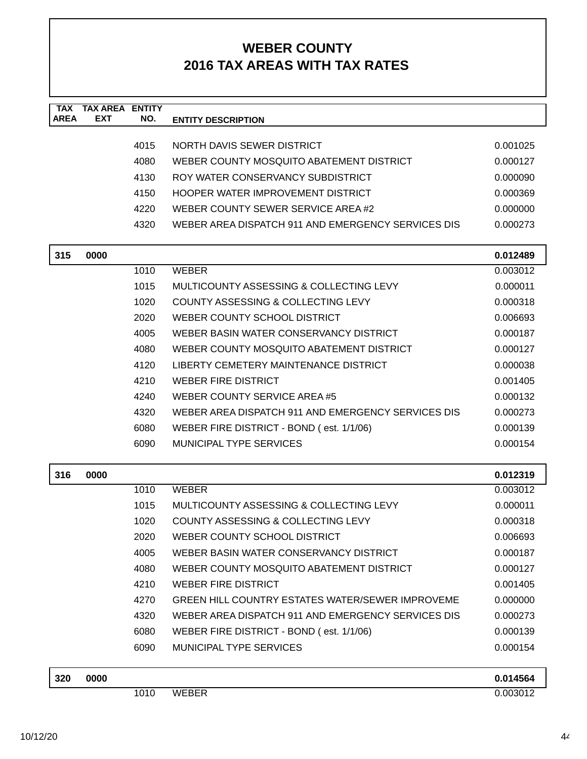| <b>TAX</b><br><b>AREA</b> | <b>TAX AREA ENTITY</b><br><b>EXT</b> | NO.  | <b>ENTITY DESCRIPTION</b>                               |                      |
|---------------------------|--------------------------------------|------|---------------------------------------------------------|----------------------|
|                           |                                      |      |                                                         |                      |
|                           |                                      | 4015 | NORTH DAVIS SEWER DISTRICT                              | 0.001025             |
|                           |                                      | 4080 | WEBER COUNTY MOSQUITO ABATEMENT DISTRICT                | 0.000127             |
|                           |                                      | 4130 | ROY WATER CONSERVANCY SUBDISTRICT                       | 0.000090             |
|                           |                                      | 4150 | HOOPER WATER IMPROVEMENT DISTRICT                       | 0.000369             |
|                           |                                      | 4220 | WEBER COUNTY SEWER SERVICE AREA#2                       | 0.000000             |
|                           |                                      | 4320 | WEBER AREA DISPATCH 911 AND EMERGENCY SERVICES DIS      | 0.000273             |
| 315                       | 0000                                 |      |                                                         |                      |
|                           |                                      | 1010 | <b>WEBER</b>                                            | 0.012489<br>0.003012 |
|                           |                                      | 1015 | MULTICOUNTY ASSESSING & COLLECTING LEVY                 | 0.000011             |
|                           |                                      | 1020 | COUNTY ASSESSING & COLLECTING LEVY                      | 0.000318             |
|                           |                                      | 2020 | WEBER COUNTY SCHOOL DISTRICT                            | 0.006693             |
|                           |                                      | 4005 | WEBER BASIN WATER CONSERVANCY DISTRICT                  | 0.000187             |
|                           |                                      | 4080 | WEBER COUNTY MOSQUITO ABATEMENT DISTRICT                | 0.000127             |
|                           |                                      | 4120 | LIBERTY CEMETERY MAINTENANCE DISTRICT                   | 0.000038             |
|                           |                                      | 4210 | <b>WEBER FIRE DISTRICT</b>                              | 0.001405             |
|                           |                                      | 4240 | WEBER COUNTY SERVICE AREA #5                            | 0.000132             |
|                           |                                      | 4320 | WEBER AREA DISPATCH 911 AND EMERGENCY SERVICES DIS      | 0.000273             |
|                           |                                      | 6080 | WEBER FIRE DISTRICT - BOND (est. 1/1/06)                | 0.000139             |
|                           |                                      | 6090 | <b>MUNICIPAL TYPE SERVICES</b>                          | 0.000154             |
|                           |                                      |      |                                                         |                      |
| 316                       | 0000                                 |      |                                                         | 0.012319             |
|                           |                                      | 1010 | <b>WEBER</b>                                            | 0.003012             |
|                           |                                      | 1015 | MULTICOUNTY ASSESSING & COLLECTING LEVY                 | 0.000011             |
|                           |                                      | 1020 | <b>COUNTY ASSESSING &amp; COLLECTING LEVY</b>           | 0.000318             |
|                           |                                      | 2020 | WEBER COUNTY SCHOOL DISTRICT                            | 0.006693             |
|                           |                                      | 4005 | WEBER BASIN WATER CONSERVANCY DISTRICT                  | 0.000187             |
|                           |                                      | 4080 | WEBER COUNTY MOSQUITO ABATEMENT DISTRICT                | 0.000127             |
|                           |                                      | 4210 | <b>WEBER FIRE DISTRICT</b>                              | 0.001405             |
|                           |                                      | 4270 | <b>GREEN HILL COUNTRY ESTATES WATER/SEWER IMPROVEME</b> | 0.000000             |
|                           |                                      | 4320 | WEBER AREA DISPATCH 911 AND EMERGENCY SERVICES DIS      | 0.000273             |
|                           |                                      | 6080 | WEBER FIRE DISTRICT - BOND (est. 1/1/06)                | 0.000139             |
|                           |                                      | 6090 | <b>MUNICIPAL TYPE SERVICES</b>                          | 0.000154             |
| 320                       | 0000                                 |      |                                                         | 0.014564             |
|                           |                                      | 1010 | <b>WEBER</b>                                            | 0.003012             |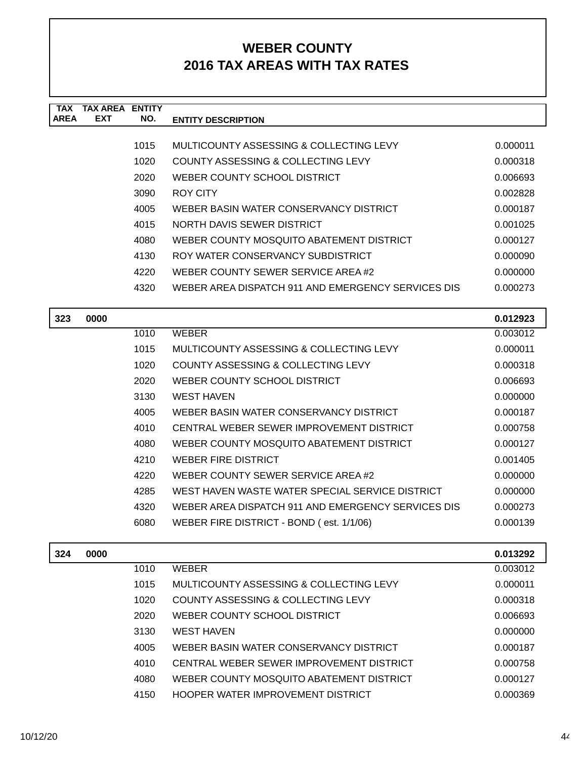| TAX         | TAX AREA   | <b>ENTITY</b> |                                                    |          |
|-------------|------------|---------------|----------------------------------------------------|----------|
| <b>AREA</b> | <b>EXT</b> | NO.           | <b>ENTITY DESCRIPTION</b>                          |          |
|             |            |               |                                                    |          |
|             |            | 1015          | MULTICOUNTY ASSESSING & COLLECTING LEVY            | 0.000011 |
|             |            | 1020          | COUNTY ASSESSING & COLLECTING LEVY                 | 0.000318 |
|             |            | 2020          | WEBER COUNTY SCHOOL DISTRICT                       | 0.006693 |
|             |            | 3090          | ROY CITY                                           | 0.002828 |
|             |            | 4005          | WEBER BASIN WATER CONSERVANCY DISTRICT             | 0.000187 |
|             |            | 4015          | NORTH DAVIS SEWER DISTRICT                         | 0.001025 |
|             |            | 4080          | WEBER COUNTY MOSQUITO ABATEMENT DISTRICT           | 0.000127 |
|             |            | 4130          | ROY WATER CONSERVANCY SUBDISTRICT                  | 0.000090 |
|             |            | 4220          | WEBER COUNTY SEWER SERVICE AREA #2                 | 0.000000 |
|             |            | 4320          | WEBER AREA DISPATCH 911 AND EMERGENCY SERVICES DIS | 0.000273 |
|             |            |               |                                                    |          |

| 323 | 0000 |      |                                                    | 0.012923 |
|-----|------|------|----------------------------------------------------|----------|
|     |      | 1010 | <b>WEBER</b>                                       | 0.003012 |
|     |      | 1015 | MULTICOUNTY ASSESSING & COLLECTING LEVY            | 0.000011 |
|     |      | 1020 | COUNTY ASSESSING & COLLECTING LEVY                 | 0.000318 |
|     |      | 2020 | WEBER COUNTY SCHOOL DISTRICT                       | 0.006693 |
|     |      | 3130 | <b>WEST HAVEN</b>                                  | 0.000000 |
|     |      | 4005 | WEBER BASIN WATER CONSERVANCY DISTRICT             | 0.000187 |
|     |      | 4010 | CENTRAL WEBER SEWER IMPROVEMENT DISTRICT           | 0.000758 |
|     |      | 4080 | WEBER COUNTY MOSQUITO ABATEMENT DISTRICT           | 0.000127 |
|     |      | 4210 | WEBER FIRE DISTRICT                                | 0.001405 |
|     |      | 4220 | WEBER COUNTY SEWER SERVICE AREA #2                 | 0.000000 |
|     |      | 4285 | WEST HAVEN WASTE WATER SPECIAL SERVICE DISTRICT    | 0.000000 |
|     |      | 4320 | WEBER AREA DISPATCH 911 AND EMERGENCY SERVICES DIS | 0.000273 |
|     |      | 6080 | WEBER FIRE DISTRICT - BOND (est. 1/1/06)           | 0.000139 |
|     |      |      |                                                    |          |

| 324 | 0000 |      |                                          | 0.013292 |
|-----|------|------|------------------------------------------|----------|
|     |      | 1010 | <b>WEBER</b>                             | 0.003012 |
|     |      | 1015 | MULTICOUNTY ASSESSING & COLLECTING LEVY  | 0.000011 |
|     |      | 1020 | COUNTY ASSESSING & COLLECTING LEVY       | 0.000318 |
|     |      | 2020 | WEBER COUNTY SCHOOL DISTRICT             | 0.006693 |
|     |      | 3130 | WEST HAVEN                               | 0.000000 |
|     |      | 4005 | WEBER BASIN WATER CONSERVANCY DISTRICT   | 0.000187 |
|     |      | 4010 | CENTRAL WEBER SEWER IMPROVEMENT DISTRICT | 0.000758 |
|     |      | 4080 | WEBER COUNTY MOSQUITO ABATEMENT DISTRICT | 0.000127 |
|     |      | 4150 | HOOPER WATER IMPROVEMENT DISTRICT        | 0.000369 |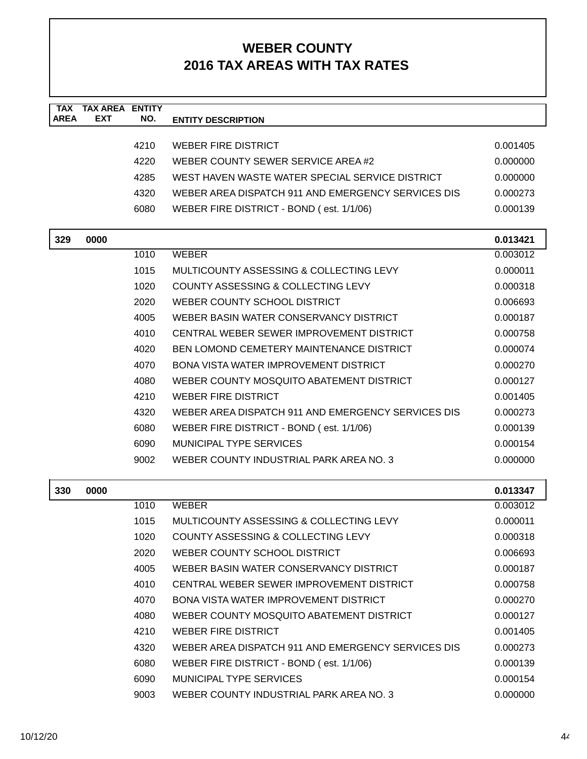| <b>TAX</b><br><b>AREA</b> | <b>TAX AREA ENTITY</b><br><b>EXT</b> | NO.  | <b>ENTITY DESCRIPTION</b>                          |          |
|---------------------------|--------------------------------------|------|----------------------------------------------------|----------|
|                           |                                      |      |                                                    |          |
|                           |                                      | 4210 | <b>WEBER FIRE DISTRICT</b>                         | 0.001405 |
|                           |                                      | 4220 | WEBER COUNTY SEWER SERVICE AREA #2                 | 0.000000 |
|                           |                                      | 4285 | WEST HAVEN WASTE WATER SPECIAL SERVICE DISTRICT    | 0.000000 |
|                           |                                      | 4320 | WEBER AREA DISPATCH 911 AND EMERGENCY SERVICES DIS | 0.000273 |
|                           |                                      | 6080 | WEBER FIRE DISTRICT - BOND (est. 1/1/06)           | 0.000139 |
| 329                       | 0000                                 |      |                                                    | 0.013421 |
|                           |                                      | 1010 | <b>WEBER</b>                                       | 0.003012 |
|                           |                                      | 1015 | MULTICOUNTY ASSESSING & COLLECTING LEVY            | 0.000011 |
|                           |                                      | 1020 | COUNTY ASSESSING & COLLECTING LEVY                 | 0.000318 |
|                           |                                      | 2020 | WEBER COUNTY SCHOOL DISTRICT                       | 0.006693 |
|                           |                                      | 4005 | WEBER BASIN WATER CONSERVANCY DISTRICT             | 0.000187 |
|                           |                                      | 4010 | CENTRAL WEBER SEWER IMPROVEMENT DISTRICT           | 0.000758 |
|                           |                                      | 4020 | <b>BEN LOMOND CEMETERY MAINTENANCE DISTRICT</b>    | 0.000074 |
|                           |                                      | 4070 | <b>BONA VISTA WATER IMPROVEMENT DISTRICT</b>       | 0.000270 |
|                           |                                      | 4080 | WEBER COUNTY MOSQUITO ABATEMENT DISTRICT           | 0.000127 |
|                           |                                      | 4210 | <b>WEBER FIRE DISTRICT</b>                         | 0.001405 |
|                           |                                      | 4320 | WEBER AREA DISPATCH 911 AND EMERGENCY SERVICES DIS | 0.000273 |
|                           |                                      | 6080 | WEBER FIRE DISTRICT - BOND (est. 1/1/06)           | 0.000139 |
|                           |                                      | 6090 | MUNICIPAL TYPE SERVICES                            | 0.000154 |
|                           |                                      | 9002 | WEBER COUNTY INDUSTRIAL PARK AREA NO. 3            | 0.000000 |
| 330                       | 0000                                 |      |                                                    | 0.013347 |
|                           |                                      | 1010 | <b>WEBER</b>                                       | 0.003012 |
|                           |                                      | 1015 | MULTICOUNTY ASSESSING & COLLECTING LEVY            | 0.000011 |
|                           |                                      | 1020 | COUNTY ASSESSING & COLLECTING LEVY                 | 0.000318 |
|                           |                                      | 2020 | WEBER COUNTY SCHOOL DISTRICT                       | 0.006693 |
|                           |                                      | 4005 | WEBER BASIN WATER CONSERVANCY DISTRICT             | 0.000187 |
|                           |                                      | 4010 | CENTRAL WEBER SEWER IMPROVEMENT DISTRICT           | 0.000758 |
|                           |                                      | 4070 | BONA VISTA WATER IMPROVEMENT DISTRICT              | 0.000270 |
|                           |                                      | 4080 | WEBER COUNTY MOSQUITO ABATEMENT DISTRICT           | 0.000127 |
|                           |                                      | 4210 | <b>WEBER FIRE DISTRICT</b>                         | 0.001405 |
|                           |                                      | 4320 | WEBER AREA DISPATCH 911 AND EMERGENCY SERVICES DIS | 0.000273 |
|                           |                                      | 6080 | WEBER FIRE DISTRICT - BOND (est. 1/1/06)           | 0.000139 |
|                           |                                      | 6090 | MUNICIPAL TYPE SERVICES                            | 0.000154 |
|                           |                                      | 9003 | WEBER COUNTY INDUSTRIAL PARK AREA NO. 3            | 0.000000 |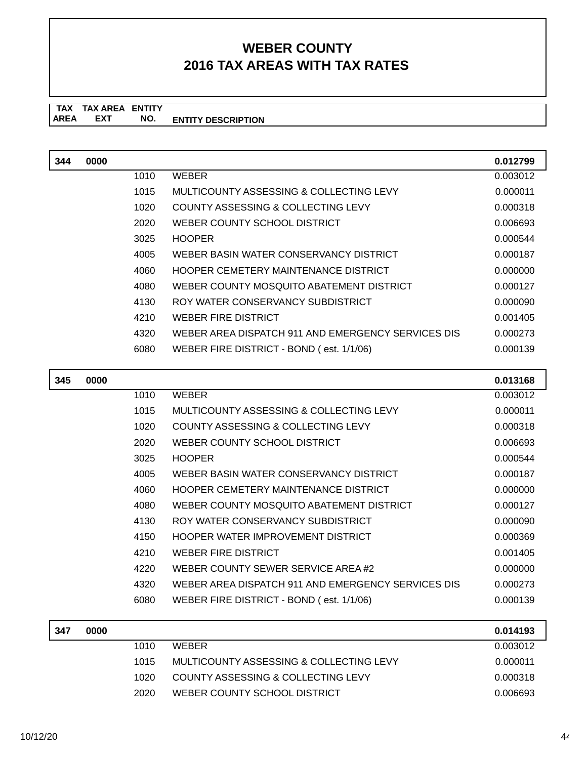### **TAX TAX AREA ENTITY ENTITY DESCRIPTION EXT NO.**

| 344 | 0000 |      |                                                    | 0.012799 |
|-----|------|------|----------------------------------------------------|----------|
|     |      | 1010 | <b>WEBER</b>                                       | 0.003012 |
|     |      | 1015 | MULTICOUNTY ASSESSING & COLLECTING LEVY            | 0.000011 |
|     |      | 1020 | COUNTY ASSESSING & COLLECTING LEVY                 | 0.000318 |
|     |      | 2020 | WEBER COUNTY SCHOOL DISTRICT                       | 0.006693 |
|     |      | 3025 | <b>HOOPER</b>                                      | 0.000544 |
|     |      | 4005 | WEBER BASIN WATER CONSERVANCY DISTRICT             | 0.000187 |
|     |      | 4060 | HOOPER CEMETERY MAINTENANCE DISTRICT               | 0.000000 |
|     |      | 4080 | WEBER COUNTY MOSQUITO ABATEMENT DISTRICT           | 0.000127 |
|     |      | 4130 | ROY WATER CONSERVANCY SUBDISTRICT                  | 0.000090 |
|     |      | 4210 | <b>WEBER FIRE DISTRICT</b>                         | 0.001405 |
|     |      | 4320 | WEBER AREA DISPATCH 911 AND EMERGENCY SERVICES DIS | 0.000273 |
|     |      | 6080 | WEBER FIRE DISTRICT - BOND (est. 1/1/06)           | 0.000139 |
|     |      |      |                                                    |          |
| 345 | 0000 |      |                                                    | 0.013168 |
|     |      | 1010 | <b>WEBER</b>                                       | 0.003012 |
|     |      | 1015 | MULTICOUNTY ASSESSING & COLLECTING LEVY            | 0.000011 |
|     |      | 1020 | COUNTY ASSESSING & COLLECTING LEVY                 | 0.000318 |
|     |      | 2020 | WEBER COUNTY SCHOOL DISTRICT                       | 0.006693 |

| 2020 | WEBER COUNTY SCHOOL DISTRICT                       | 0.006693 |
|------|----------------------------------------------------|----------|
| 3025 | <b>HOOPER</b>                                      | 0.000544 |
| 4005 | WEBER BASIN WATER CONSERVANCY DISTRICT             | 0.000187 |
| 4060 | <b>HOOPER CEMETERY MAINTENANCE DISTRICT</b>        | 0.000000 |
| 4080 | WEBER COUNTY MOSQUITO ABATEMENT DISTRICT           | 0.000127 |
| 4130 | ROY WATER CONSERVANCY SUBDISTRICT                  | 0.000090 |
| 4150 | <b>HOOPER WATER IMPROVEMENT DISTRICT</b>           | 0.000369 |
| 4210 | WEBER FIRE DISTRICT                                | 0.001405 |
| 4220 | WEBER COUNTY SEWER SERVICE AREA #2                 | 0.000000 |
| 4320 | WEBER AREA DISPATCH 911 AND EMERGENCY SERVICES DIS | 0.000273 |
| 6080 | WEBER FIRE DISTRICT - BOND (est. 1/1/06)           | 0.000139 |

| 347 | 0000 |      |                                         | 0.014193 |
|-----|------|------|-----------------------------------------|----------|
|     |      | 1010 | <b>WFRFR</b>                            | 0.003012 |
|     |      | 1015 | MULTICOUNTY ASSESSING & COLLECTING LEVY | 0.000011 |
|     |      | 1020 | COUNTY ASSESSING & COLLECTING LEVY      | 0.000318 |
|     |      | 2020 | WEBER COUNTY SCHOOL DISTRICT            | 0.006693 |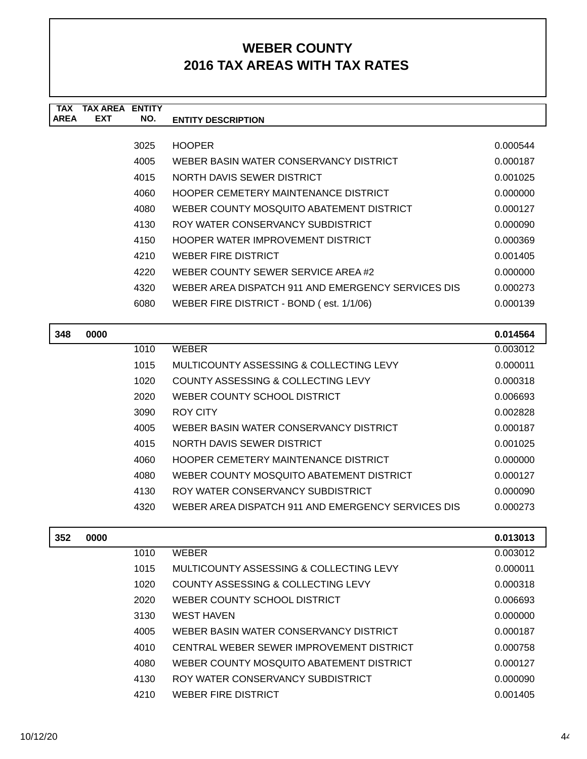| <b>TAX</b>  | <b>TAX AREA</b> | <b>ENTITY</b> |                                                    |          |
|-------------|-----------------|---------------|----------------------------------------------------|----------|
| <b>AREA</b> | <b>EXT</b>      | NO.           | <b>ENTITY DESCRIPTION</b>                          |          |
|             |                 |               |                                                    |          |
|             |                 | 3025          | <b>HOOPER</b>                                      | 0.000544 |
|             |                 | 4005          | WEBER BASIN WATER CONSERVANCY DISTRICT             | 0.000187 |
|             |                 | 4015          | NORTH DAVIS SEWER DISTRICT                         | 0.001025 |
|             |                 | 4060          | HOOPER CEMETERY MAINTENANCE DISTRICT               | 0.000000 |
|             |                 | 4080          | WEBER COUNTY MOSQUITO ABATEMENT DISTRICT           | 0.000127 |
|             |                 | 4130          | ROY WATER CONSERVANCY SUBDISTRICT                  | 0.000090 |
|             |                 | 4150          | HOOPER WATER IMPROVEMENT DISTRICT                  | 0.000369 |
|             |                 | 4210          | WEBER FIRE DISTRICT                                | 0.001405 |
|             |                 | 4220          | WEBER COUNTY SEWER SERVICE AREA #2                 | 0.000000 |
|             |                 | 4320          | WEBER AREA DISPATCH 911 AND EMERGENCY SERVICES DIS | 0.000273 |
|             |                 | 6080          | WEBER FIRE DISTRICT - BOND (est. 1/1/06)           | 0.000139 |
|             |                 |               |                                                    |          |

| 348 | 0000 |      |                                                    | 0.014564 |
|-----|------|------|----------------------------------------------------|----------|
|     |      | 1010 | <b>WEBER</b>                                       | 0.003012 |
|     |      | 1015 | MULTICOUNTY ASSESSING & COLLECTING LEVY            | 0.000011 |
|     |      | 1020 | COUNTY ASSESSING & COLLECTING LEVY                 | 0.000318 |
|     |      | 2020 | WEBER COUNTY SCHOOL DISTRICT                       | 0.006693 |
|     |      | 3090 | ROY CITY                                           | 0.002828 |
|     |      | 4005 | WEBER BASIN WATER CONSERVANCY DISTRICT             | 0.000187 |
|     |      | 4015 | NORTH DAVIS SEWER DISTRICT                         | 0.001025 |
|     |      | 4060 | HOOPER CEMETERY MAINTENANCE DISTRICT               | 0.000000 |
|     |      | 4080 | WEBER COUNTY MOSQUITO ABATEMENT DISTRICT           | 0.000127 |
|     |      | 4130 | ROY WATER CONSERVANCY SUBDISTRICT                  | 0.000090 |
|     |      | 4320 | WEBER AREA DISPATCH 911 AND EMERGENCY SERVICES DIS | 0.000273 |

| 352 | 0000 |      |                                          | 0.013013 |
|-----|------|------|------------------------------------------|----------|
|     |      | 1010 | <b>WEBER</b>                             | 0.003012 |
|     |      | 1015 | MULTICOUNTY ASSESSING & COLLECTING LEVY  | 0.000011 |
|     |      | 1020 | COUNTY ASSESSING & COLLECTING LEVY       | 0.000318 |
|     |      | 2020 | WEBER COUNTY SCHOOL DISTRICT             | 0.006693 |
|     |      | 3130 | WEST HAVEN                               | 0.000000 |
|     |      | 4005 | WEBER BASIN WATER CONSERVANCY DISTRICT   | 0.000187 |
|     |      | 4010 | CENTRAL WEBER SEWER IMPROVEMENT DISTRICT | 0.000758 |
|     |      | 4080 | WEBER COUNTY MOSQUITO ABATEMENT DISTRICT | 0.000127 |
|     |      | 4130 | ROY WATER CONSERVANCY SUBDISTRICT        | 0.000090 |
|     |      | 4210 | <b>WEBER FIRE DISTRICT</b>               | 0.001405 |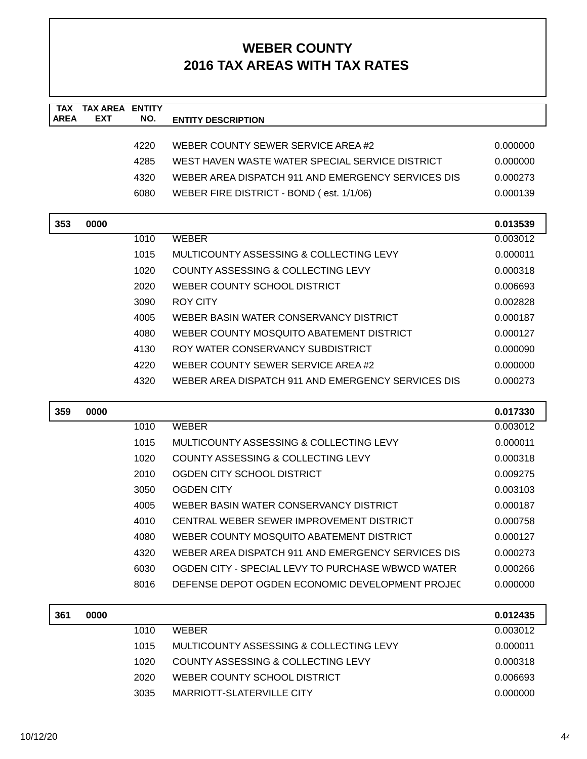| <b>TAX</b><br><b>AREA</b> | <b>TAX AREA ENTITY</b><br><b>EXT</b> | NO.  | <b>ENTITY DESCRIPTION</b>                          |          |
|---------------------------|--------------------------------------|------|----------------------------------------------------|----------|
|                           |                                      |      |                                                    |          |
|                           |                                      | 4220 | WEBER COUNTY SEWER SERVICE AREA#2                  | 0.000000 |
|                           |                                      | 4285 | WEST HAVEN WASTE WATER SPECIAL SERVICE DISTRICT    | 0.000000 |
|                           |                                      | 4320 | WEBER AREA DISPATCH 911 AND EMERGENCY SERVICES DIS | 0.000273 |
|                           |                                      | 6080 | WEBER FIRE DISTRICT - BOND (est. 1/1/06)           | 0.000139 |
| 353                       | 0000                                 |      |                                                    | 0.013539 |
|                           |                                      | 1010 | <b>WEBER</b>                                       | 0.003012 |
|                           |                                      | 1015 | MULTICOUNTY ASSESSING & COLLECTING LEVY            | 0.000011 |
|                           |                                      | 1020 | COUNTY ASSESSING & COLLECTING LEVY                 | 0.000318 |
|                           |                                      | 2020 | WEBER COUNTY SCHOOL DISTRICT                       | 0.006693 |
|                           |                                      | 3090 | <b>ROY CITY</b>                                    | 0.002828 |
|                           |                                      | 4005 | WEBER BASIN WATER CONSERVANCY DISTRICT             | 0.000187 |
|                           |                                      | 4080 | WEBER COUNTY MOSQUITO ABATEMENT DISTRICT           | 0.000127 |
|                           |                                      | 4130 | ROY WATER CONSERVANCY SUBDISTRICT                  | 0.000090 |
|                           |                                      | 4220 | WEBER COUNTY SEWER SERVICE AREA #2                 | 0.000000 |
|                           |                                      | 4320 | WEBER AREA DISPATCH 911 AND EMERGENCY SERVICES DIS | 0.000273 |
| 359                       | 0000                                 |      |                                                    | 0.017330 |
|                           |                                      | 1010 | <b>WEBER</b>                                       | 0.003012 |
|                           |                                      | 1015 | MULTICOUNTY ASSESSING & COLLECTING LEVY            | 0.000011 |
|                           |                                      | 1020 | COUNTY ASSESSING & COLLECTING LEVY                 | 0.000318 |
|                           |                                      | 2010 | OGDEN CITY SCHOOL DISTRICT                         | 0.009275 |
|                           |                                      | 3050 | <b>OGDEN CITY</b>                                  | 0.003103 |
|                           |                                      | 4005 | WEBER BASIN WATER CONSERVANCY DISTRICT             | 0.000187 |
|                           |                                      | 4010 | CENTRAL WEBER SEWER IMPROVEMENT DISTRICT           | 0.000758 |
|                           |                                      | 4080 | WEBER COUNTY MOSQUITO ABATEMENT DISTRICT           | 0.000127 |
|                           |                                      | 4320 | WEBER AREA DISPATCH 911 AND EMERGENCY SERVICES DIS | 0.000273 |
|                           |                                      | 6030 | OGDEN CITY - SPECIAL LEVY TO PURCHASE WBWCD WATER  | 0.000266 |
|                           |                                      | 8016 | DEFENSE DEPOT OGDEN ECONOMIC DEVELOPMENT PROJEC    | 0.000000 |
| 361                       | 0000                                 |      |                                                    | 0.012435 |
|                           |                                      | 1010 | <b>WEBER</b>                                       | 0.003012 |
|                           |                                      | 1015 | MULTICOUNTY ASSESSING & COLLECTING LEVY            | 0.000011 |
|                           |                                      | 1020 | COUNTY ASSESSING & COLLECTING LEVY                 | 0.000318 |
|                           |                                      | 2020 | WEBER COUNTY SCHOOL DISTRICT                       | 0.006693 |

3035 MARRIOTT-SLATERVILLE CITY 0.000000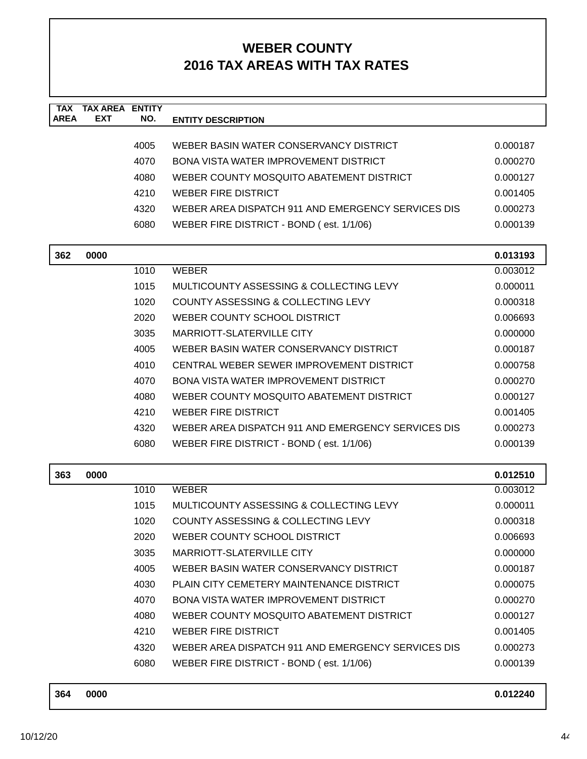| <b>TAX</b><br><b>AREA</b> | <b>TAX AREA ENTITY</b><br>EXT | NO.  | <b>ENTITY DESCRIPTION</b>                          |          |
|---------------------------|-------------------------------|------|----------------------------------------------------|----------|
|                           |                               |      |                                                    |          |
|                           |                               | 4005 | WEBER BASIN WATER CONSERVANCY DISTRICT             | 0.000187 |
|                           |                               | 4070 | <b>BONA VISTA WATER IMPROVEMENT DISTRICT</b>       | 0.000270 |
|                           |                               | 4080 | WEBER COUNTY MOSQUITO ABATEMENT DISTRICT           | 0.000127 |
|                           |                               | 4210 | <b>WEBER FIRE DISTRICT</b>                         | 0.001405 |
|                           |                               | 4320 | WEBER AREA DISPATCH 911 AND EMERGENCY SERVICES DIS | 0.000273 |
|                           |                               | 6080 | WEBER FIRE DISTRICT - BOND (est. 1/1/06)           | 0.000139 |
| 362                       | 0000                          |      |                                                    | 0.013193 |
|                           |                               | 1010 | <b>WEBER</b>                                       | 0.003012 |
|                           |                               | 1015 | MULTICOUNTY ASSESSING & COLLECTING LEVY            | 0.000011 |
|                           |                               | 1020 | COUNTY ASSESSING & COLLECTING LEVY                 | 0.000318 |
|                           |                               | 2020 | WEBER COUNTY SCHOOL DISTRICT                       | 0.006693 |
|                           |                               | 3035 | MARRIOTT-SLATERVILLE CITY                          | 0.000000 |
|                           |                               | 4005 | WEBER BASIN WATER CONSERVANCY DISTRICT             | 0.000187 |
|                           |                               | 4010 | CENTRAL WEBER SEWER IMPROVEMENT DISTRICT           | 0.000758 |
|                           |                               | 4070 | BONA VISTA WATER IMPROVEMENT DISTRICT              | 0.000270 |
|                           |                               | 4080 | WEBER COUNTY MOSQUITO ABATEMENT DISTRICT           | 0.000127 |
|                           |                               | 4210 | <b>WEBER FIRE DISTRICT</b>                         | 0.001405 |
|                           |                               | 4320 | WEBER AREA DISPATCH 911 AND EMERGENCY SERVICES DIS | 0.000273 |
|                           |                               | 6080 | WEBER FIRE DISTRICT - BOND (est. 1/1/06)           | 0.000139 |
| 363                       | 0000                          |      |                                                    | 0.012510 |
|                           |                               | 1010 | <b>WEBER</b>                                       | 0.003012 |
|                           |                               | 1015 | MULTICOUNTY ASSESSING & COLLECTING LEVY            | 0.000011 |
|                           |                               | 1020 | <b>COUNTY ASSESSING &amp; COLLECTING LEVY</b>      | 0.000318 |
|                           |                               | 2020 | WEBER COUNTY SCHOOL DISTRICT                       | 0.006693 |
|                           |                               | 3035 | MARRIOTT-SLATERVILLE CITY                          | 0.000000 |
|                           |                               | 4005 | WEBER BASIN WATER CONSERVANCY DISTRICT             | 0.000187 |
|                           |                               | 4030 | PLAIN CITY CEMETERY MAINTENANCE DISTRICT           | 0.000075 |
|                           |                               | 4070 | BONA VISTA WATER IMPROVEMENT DISTRICT              | 0.000270 |
|                           |                               | 4080 | WEBER COUNTY MOSQUITO ABATEMENT DISTRICT           | 0.000127 |
|                           |                               | 4210 | <b>WEBER FIRE DISTRICT</b>                         | 0.001405 |
|                           |                               | 4320 | WEBER AREA DISPATCH 911 AND EMERGENCY SERVICES DIS | 0.000273 |
|                           |                               | 6080 | WEBER FIRE DISTRICT - BOND (est. 1/1/06)           | 0.000139 |

| 364 | 0000 | 0.012240 |  |
|-----|------|----------|--|
|     |      |          |  |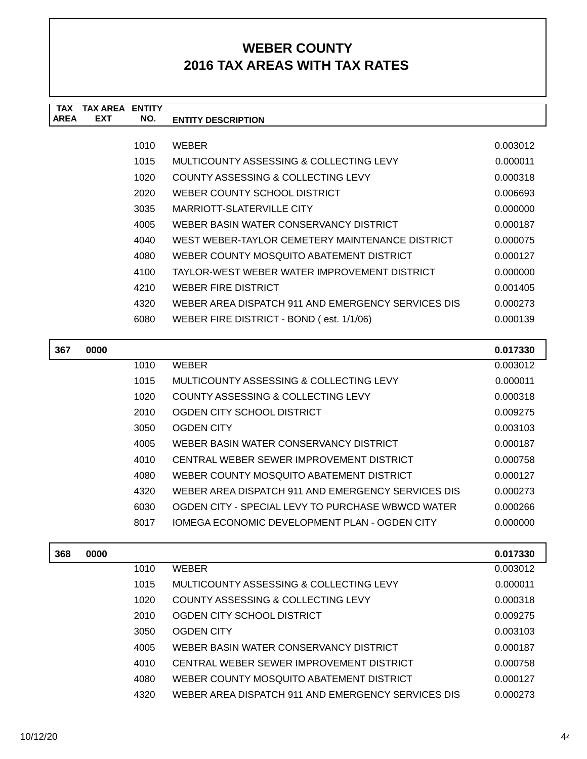| <b>TAX</b>  | <b>TAX ARFA</b> | <b>ENTITY</b> |                                                    |          |
|-------------|-----------------|---------------|----------------------------------------------------|----------|
| <b>AREA</b> | <b>EXT</b>      | NO.           | <b>ENTITY DESCRIPTION</b>                          |          |
|             |                 |               |                                                    |          |
|             |                 | 1010          | <b>WEBER</b>                                       | 0.003012 |
|             |                 | 1015          | MULTICOUNTY ASSESSING & COLLECTING LEVY            | 0.000011 |
|             |                 | 1020          | COUNTY ASSESSING & COLLECTING LEVY                 | 0.000318 |
|             |                 | 2020          | WEBER COUNTY SCHOOL DISTRICT                       | 0.006693 |
|             |                 | 3035          | <b>MARRIOTT-SLATERVILLE CITY</b>                   | 0.000000 |
|             |                 | 4005          | WEBER BASIN WATER CONSERVANCY DISTRICT             | 0.000187 |
|             |                 | 4040          | WEST WEBER-TAYLOR CEMETERY MAINTENANCE DISTRICT    | 0.000075 |
|             |                 | 4080          | WEBER COUNTY MOSQUITO ABATEMENT DISTRICT           | 0.000127 |
|             |                 | 4100          | TAYLOR-WEST WEBER WATER IMPROVEMENT DISTRICT       | 0.000000 |
|             |                 | 4210          | WEBER FIRE DISTRICT                                | 0.001405 |
|             |                 | 4320          | WEBER AREA DISPATCH 911 AND EMERGENCY SERVICES DIS | 0.000273 |
|             |                 | 6080          | WEBER FIRE DISTRICT - BOND (est. 1/1/06)           | 0.000139 |
|             |                 |               |                                                    |          |
| 367         | 0000            |               |                                                    | 0.017330 |
|             |                 | 1010          | <b>WEBER</b>                                       | 0.003012 |
|             |                 | 1015          | MULTICOUNTY ASSESSING & COLLECTING LEVY            | 0.000011 |
|             |                 | 1020          | COUNTY ASSESSING & COLLECTING LEVY                 | 0.000318 |
|             |                 | 2010          | OGDEN CITY SCHOOL DISTRICT                         | 0.009275 |

|     |      | 4080 | WEBER COUNTY MOSQUITO ABATEMENT DISTRICT           | 0.000127 |
|-----|------|------|----------------------------------------------------|----------|
|     |      | 4320 | WEBER AREA DISPATCH 911 AND EMERGENCY SERVICES DIS | 0.000273 |
|     |      | 6030 | OGDEN CITY - SPECIAL LEVY TO PURCHASE WBWCD WATER  | 0.000266 |
|     |      | 8017 | IOMEGA ECONOMIC DEVELOPMENT PLAN - OGDEN CITY      | 0.000000 |
|     |      |      |                                                    |          |
|     |      |      |                                                    |          |
| 368 | 0000 |      |                                                    | 0.017330 |
|     |      | 1010 | <b>WEBER</b>                                       | 0.003012 |
|     |      | 1015 | MULTICOUNTY ASSESSING & COLLECTING LEVY            | 0.000011 |
|     |      | 1020 | <b>COUNTY ASSESSING &amp; COLLECTING LEVY</b>      | 0.000318 |

| 2010 | OGDEN CITY SCHOOL DISTRICT                         | 0.009275 |
|------|----------------------------------------------------|----------|
| 3050 | OGDEN CITY                                         | 0.003103 |
| 4005 | WEBER BASIN WATER CONSERVANCY DISTRICT             | 0.000187 |
| 4010 | CENTRAL WEBER SEWER IMPROVEMENT DISTRICT           | 0.000758 |
| 4080 | WEBER COUNTY MOSQUITO ABATEMENT DISTRICT           | 0.000127 |
| 4320 | WEBER AREA DISPATCH 911 AND EMERGENCY SERVICES DIS | 0.000273 |

3050 OGDEN CITY 0.003103 4005 WEBER BASIN WATER CONSERVANCY DISTRICT 0.000187 4010 CENTRAL WEBER SEWER IMPROVEMENT DISTRICT 0.000758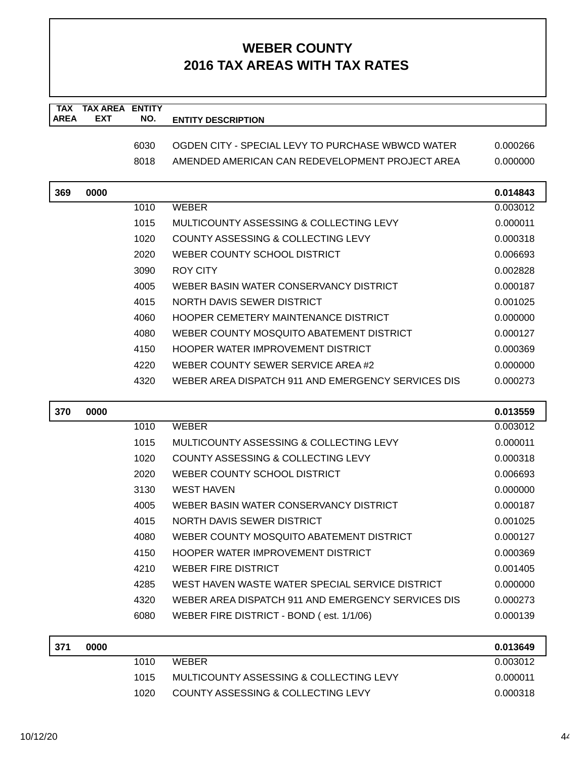| <b>TAX</b>  | <b>TAX AREA ENTITY</b> |      |                                                    |          |
|-------------|------------------------|------|----------------------------------------------------|----------|
| <b>AREA</b> | <b>EXT</b>             | NO.  | <b>ENTITY DESCRIPTION</b>                          |          |
|             |                        | 6030 | OGDEN CITY - SPECIAL LEVY TO PURCHASE WBWCD WATER  | 0.000266 |
|             |                        | 8018 | AMENDED AMERICAN CAN REDEVELOPMENT PROJECT AREA    | 0.000000 |
|             |                        |      |                                                    |          |
| 369         | 0000                   |      |                                                    | 0.014843 |
|             |                        | 1010 | <b>WEBER</b>                                       | 0.003012 |
|             |                        | 1015 | MULTICOUNTY ASSESSING & COLLECTING LEVY            | 0.000011 |
|             |                        | 1020 | COUNTY ASSESSING & COLLECTING LEVY                 | 0.000318 |
|             |                        | 2020 | WEBER COUNTY SCHOOL DISTRICT                       | 0.006693 |
|             |                        | 3090 | ROY CITY                                           | 0.002828 |
|             |                        | 4005 | WEBER BASIN WATER CONSERVANCY DISTRICT             | 0.000187 |
|             |                        | 4015 | NORTH DAVIS SEWER DISTRICT                         | 0.001025 |
|             |                        | 4060 | <b>HOOPER CEMETERY MAINTENANCE DISTRICT</b>        | 0.000000 |
|             |                        | 4080 | WEBER COUNTY MOSQUITO ABATEMENT DISTRICT           | 0.000127 |
|             |                        | 4150 | HOOPER WATER IMPROVEMENT DISTRICT                  | 0.000369 |
|             |                        | 4220 | WEBER COUNTY SEWER SERVICE AREA#2                  | 0.000000 |
|             |                        | 4320 | WEBER AREA DISPATCH 911 AND EMERGENCY SERVICES DIS | 0.000273 |
| 370         | 0000                   |      |                                                    | 0.013559 |
|             |                        | 1010 | <b>WEBER</b>                                       | 0.003012 |
|             |                        | 1015 | MULTICOUNTY ASSESSING & COLLECTING LEVY            | 0.000011 |
|             |                        | 1020 | COUNTY ASSESSING & COLLECTING LEVY                 | 0.000318 |
|             |                        | 2020 | WEBER COUNTY SCHOOL DISTRICT                       | 0.006693 |
|             |                        | 3130 | <b>WEST HAVEN</b>                                  | 0.000000 |
|             |                        | 4005 | WEBER BASIN WATER CONSERVANCY DISTRICT             | 0.000187 |
|             |                        | 4015 | NORTH DAVIS SEWER DISTRICT                         | 0.001025 |
|             |                        | 4080 | WEBER COUNTY MOSQUITO ABATEMENT DISTRICT           | 0.000127 |
|             |                        | 4150 | HOOPER WATER IMPROVEMENT DISTRICT                  | 0.000369 |
|             |                        | 4210 | <b>WEBER FIRE DISTRICT</b>                         | 0.001405 |
|             |                        | 4285 | WEST HAVEN WASTE WATER SPECIAL SERVICE DISTRICT    | 0.000000 |
|             |                        | 4320 | WEBER AREA DISPATCH 911 AND EMERGENCY SERVICES DIS | 0.000273 |
|             |                        | 6080 | WEBER FIRE DISTRICT - BOND (est. 1/1/06)           | 0.000139 |
| 371         | 0000                   |      |                                                    | 0.013649 |
|             |                        | 1010 | <b>WEBER</b>                                       | 0.003012 |
|             |                        | 1015 | MULTICOUNTY ASSESSING & COLLECTING LEVY            | 0.000011 |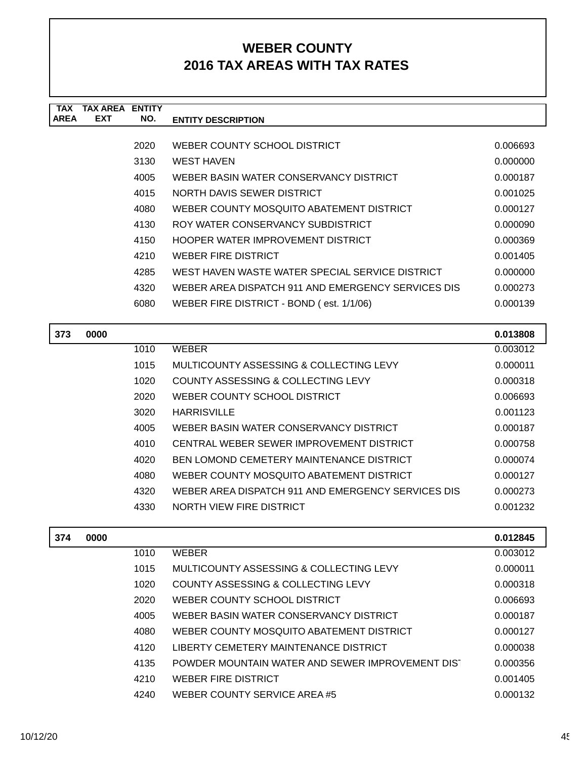| TAX         | TAX AREA   | <b>FNTITY</b> |                                                    |          |
|-------------|------------|---------------|----------------------------------------------------|----------|
| <b>AREA</b> | <b>EXT</b> | NO.           | <b>ENTITY DESCRIPTION</b>                          |          |
|             |            |               |                                                    |          |
|             |            | 2020          | WEBER COUNTY SCHOOL DISTRICT                       | 0.006693 |
|             |            | 3130          | <b>WEST HAVEN</b>                                  | 0.000000 |
|             |            | 4005          | WEBER BASIN WATER CONSERVANCY DISTRICT             | 0.000187 |
|             |            | 4015          | NORTH DAVIS SEWER DISTRICT                         | 0.001025 |
|             |            | 4080          | WEBER COUNTY MOSQUITO ABATEMENT DISTRICT           | 0.000127 |
|             |            | 4130          | ROY WATER CONSERVANCY SUBDISTRICT                  | 0.000090 |
|             |            | 4150          | HOOPER WATER IMPROVEMENT DISTRICT                  | 0.000369 |
|             |            | 4210          | <b>WEBER FIRE DISTRICT</b>                         | 0.001405 |
|             |            | 4285          | WEST HAVEN WASTE WATER SPECIAL SERVICE DISTRICT    | 0.000000 |
|             |            | 4320          | WEBER AREA DISPATCH 911 AND EMERGENCY SERVICES DIS | 0.000273 |
|             |            | 6080          | WEBER FIRE DISTRICT - BOND (est. 1/1/06)           | 0.000139 |
|             |            |               |                                                    |          |
| 373         | 0000       |               |                                                    | 0.013808 |

| 373 | 0000 |      |                                                    | 0.013808 |
|-----|------|------|----------------------------------------------------|----------|
|     |      | 1010 | <b>WEBER</b>                                       | 0.003012 |
|     |      | 1015 | MULTICOUNTY ASSESSING & COLLECTING LEVY            | 0.000011 |
|     |      | 1020 | COUNTY ASSESSING & COLLECTING LEVY                 | 0.000318 |
|     |      | 2020 | WEBER COUNTY SCHOOL DISTRICT                       | 0.006693 |
|     |      | 3020 | <b>HARRISVILLE</b>                                 | 0.001123 |
|     |      | 4005 | WEBER BASIN WATER CONSERVANCY DISTRICT             | 0.000187 |
|     |      | 4010 | CENTRAL WEBER SEWER IMPROVEMENT DISTRICT           | 0.000758 |
|     |      | 4020 | BEN LOMOND CEMETERY MAINTENANCE DISTRICT           | 0.000074 |
|     |      | 4080 | WEBER COUNTY MOSQUITO ABATEMENT DISTRICT           | 0.000127 |
|     |      | 4320 | WEBER AREA DISPATCH 911 AND EMERGENCY SERVICES DIS | 0.000273 |
|     |      | 4330 | NORTH VIEW FIRE DISTRICT                           | 0.001232 |
|     |      |      |                                                    |          |

| 374 | 0000 |      |                                                  | 0.012845 |
|-----|------|------|--------------------------------------------------|----------|
|     |      | 1010 | <b>WEBER</b>                                     | 0.003012 |
|     |      | 1015 | MULTICOUNTY ASSESSING & COLLECTING LEVY          | 0.000011 |
|     |      | 1020 | COUNTY ASSESSING & COLLECTING LEVY               | 0.000318 |
|     |      | 2020 | WEBER COUNTY SCHOOL DISTRICT                     | 0.006693 |
|     |      | 4005 | WEBER BASIN WATER CONSERVANCY DISTRICT           | 0.000187 |
|     |      | 4080 | WEBER COUNTY MOSQUITO ABATEMENT DISTRICT         | 0.000127 |
|     |      | 4120 | LIBERTY CEMETERY MAINTENANCE DISTRICT            | 0.000038 |
|     |      | 4135 | POWDER MOUNTAIN WATER AND SEWER IMPROVEMENT DIST | 0.000356 |
|     |      | 4210 | <b>WEBER FIRE DISTRICT</b>                       | 0.001405 |
|     |      | 4240 | WEBER COUNTY SERVICE AREA #5                     | 0.000132 |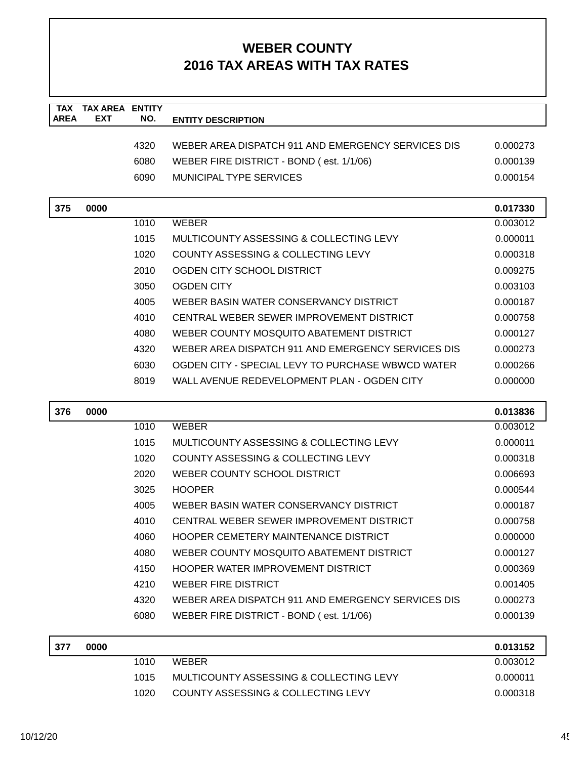| <b>TAX</b><br><b>AREA</b> | <b>TAX AREA ENTITY</b><br><b>EXT</b> | NO.  | <b>ENTITY DESCRIPTION</b>                          |                      |
|---------------------------|--------------------------------------|------|----------------------------------------------------|----------------------|
|                           |                                      |      |                                                    |                      |
|                           |                                      | 4320 | WEBER AREA DISPATCH 911 AND EMERGENCY SERVICES DIS | 0.000273             |
|                           |                                      | 6080 | WEBER FIRE DISTRICT - BOND (est. 1/1/06)           | 0.000139             |
|                           |                                      | 6090 | <b>MUNICIPAL TYPE SERVICES</b>                     | 0.000154             |
| 375                       | 0000                                 |      |                                                    | 0.017330             |
|                           |                                      | 1010 | <b>WEBER</b>                                       | 0.003012             |
|                           |                                      | 1015 | MULTICOUNTY ASSESSING & COLLECTING LEVY            | 0.000011             |
|                           |                                      | 1020 | COUNTY ASSESSING & COLLECTING LEVY                 | 0.000318             |
|                           |                                      | 2010 | OGDEN CITY SCHOOL DISTRICT                         | 0.009275             |
|                           |                                      | 3050 | <b>OGDEN CITY</b>                                  | 0.003103             |
|                           |                                      | 4005 | WEBER BASIN WATER CONSERVANCY DISTRICT             | 0.000187             |
|                           |                                      | 4010 | CENTRAL WEBER SEWER IMPROVEMENT DISTRICT           | 0.000758             |
|                           |                                      | 4080 | WEBER COUNTY MOSQUITO ABATEMENT DISTRICT           | 0.000127             |
|                           |                                      | 4320 | WEBER AREA DISPATCH 911 AND EMERGENCY SERVICES DIS | 0.000273             |
|                           |                                      | 6030 | OGDEN CITY - SPECIAL LEVY TO PURCHASE WBWCD WATER  | 0.000266             |
|                           |                                      | 8019 | WALL AVENUE REDEVELOPMENT PLAN - OGDEN CITY        | 0.000000             |
|                           |                                      |      |                                                    |                      |
| 376                       | 0000                                 | 1010 | <b>WEBER</b>                                       | 0.013836<br>0.003012 |
|                           |                                      | 1015 | MULTICOUNTY ASSESSING & COLLECTING LEVY            | 0.000011             |
|                           |                                      | 1020 | COUNTY ASSESSING & COLLECTING LEVY                 | 0.000318             |
|                           |                                      | 2020 | WEBER COUNTY SCHOOL DISTRICT                       | 0.006693             |
|                           |                                      | 3025 | <b>HOOPER</b>                                      | 0.000544             |
|                           |                                      | 4005 | WEBER BASIN WATER CONSERVANCY DISTRICT             | 0.000187             |
|                           |                                      | 4010 | CENTRAL WEBER SEWER IMPROVEMENT DISTRICT           | 0.000758             |
|                           |                                      | 4060 | HOOPER CEMETERY MAINTENANCE DISTRICT               | 0.000000             |
|                           |                                      | 4080 | WEBER COUNTY MOSQUITO ABATEMENT DISTRICT           | 0.000127             |
|                           |                                      | 4150 | <b>HOOPER WATER IMPROVEMENT DISTRICT</b>           | 0.000369             |
|                           |                                      | 4210 | <b>WEBER FIRE DISTRICT</b>                         | 0.001405             |
|                           |                                      | 4320 | WEBER AREA DISPATCH 911 AND EMERGENCY SERVICES DIS | 0.000273             |
|                           |                                      | 6080 | WEBER FIRE DISTRICT - BOND (est. 1/1/06)           | 0.000139             |
|                           |                                      |      |                                                    |                      |
| 377                       | 0000                                 |      |                                                    | 0.013152             |
|                           |                                      | 1010 | <b>WEBER</b>                                       | 0.003012             |

1015 MULTICOUNTY ASSESSING & COLLECTING LEVY 0.000011 1020 COUNTY ASSESSING & COLLECTING LEVY 0.000318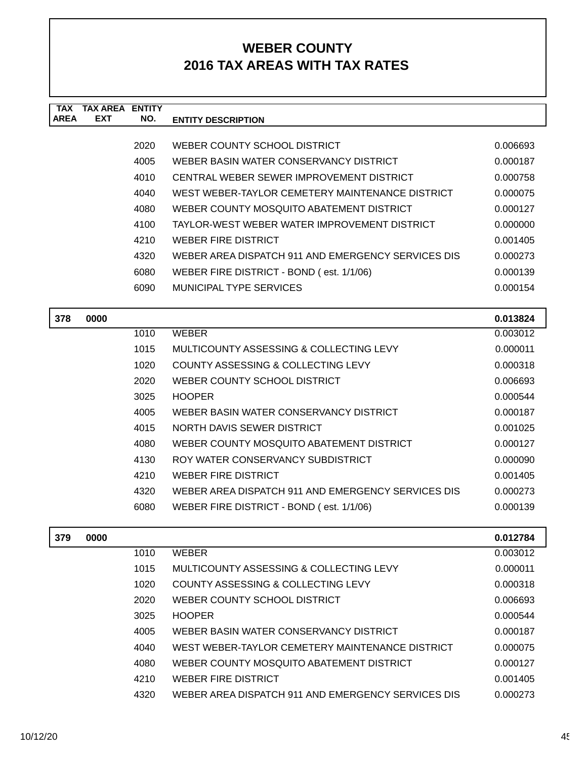| <b>TAX</b>  | <b>TAX AREA ENTITY</b> |      |                                                    |          |
|-------------|------------------------|------|----------------------------------------------------|----------|
| <b>AREA</b> | <b>EXT</b>             | NO.  | <b>ENTITY DESCRIPTION</b>                          |          |
|             |                        | 2020 | WEBER COUNTY SCHOOL DISTRICT                       | 0.006693 |
|             |                        | 4005 | WEBER BASIN WATER CONSERVANCY DISTRICT             | 0.000187 |
|             |                        | 4010 | CENTRAL WEBER SEWER IMPROVEMENT DISTRICT           | 0.000758 |
|             |                        | 4040 | WEST WEBER-TAYLOR CEMETERY MAINTENANCE DISTRICT    | 0.000075 |
|             |                        | 4080 | WEBER COUNTY MOSQUITO ABATEMENT DISTRICT           | 0.000127 |
|             |                        | 4100 | TAYLOR-WEST WEBER WATER IMPROVEMENT DISTRICT       | 0.000000 |
|             |                        | 4210 | <b>WEBER FIRE DISTRICT</b>                         | 0.001405 |
|             |                        | 4320 | WEBER AREA DISPATCH 911 AND EMERGENCY SERVICES DIS | 0.000273 |
|             |                        | 6080 | WEBER FIRE DISTRICT - BOND (est. 1/1/06)           | 0.000139 |
|             |                        | 6090 | <b>MUNICIPAL TYPE SERVICES</b>                     | 0.000154 |
|             |                        |      |                                                    |          |
| 378         | 0000                   |      |                                                    | 0.013824 |
|             |                        | 1010 | <b>WEBER</b>                                       | 0.003012 |
|             |                        | 1015 | MULTICOUNTY ASSESSING & COLLECTING LEVY            | 0.000011 |
|             |                        | 1020 | COUNTY ASSESSING & COLLECTING LEVY                 | 0.000318 |
|             |                        | 2020 | WEBER COUNTY SCHOOL DISTRICT                       | 0.006693 |
|             |                        | 3025 | <b>HOOPER</b>                                      | 0.000544 |
|             |                        | 4005 | WEBER BASIN WATER CONSERVANCY DISTRICT             | 0.000187 |
|             |                        | 4015 | NORTH DAVIS SEWER DISTRICT                         | 0.001025 |
|             |                        | 4080 | WEBER COUNTY MOSQUITO ABATEMENT DISTRICT           | 0.000127 |
|             |                        | 4130 | ROY WATER CONSERVANCY SUBDISTRICT                  | 0.000090 |
|             |                        | 4210 | <b>WEBER FIRE DISTRICT</b>                         | 0.001405 |
|             |                        | 4320 | WEBER AREA DISPATCH 911 AND EMERGENCY SERVICES DIS | 0.000273 |
|             |                        | 6080 | WEBER FIRE DISTRICT - BOND (est. 1/1/06)           | 0.000139 |
|             |                        |      |                                                    |          |
| 379         | 0000                   |      |                                                    | 0.012784 |
|             |                        | 1010 | <b>WEBER</b>                                       | 0.003012 |
|             |                        | 1015 | MULTICOUNTY ASSESSING & COLLECTING LEVY            | 0.000011 |
|             |                        | 1020 | COUNTY ASSESSING & COLLECTING LEVY                 | 0.000318 |

2020 WEBER COUNTY SCHOOL DISTRICT 0.006693 3025 HOOPER 0.000544 4005 WEBER BASIN WATER CONSERVANCY DISTRICT 0.000187 4040 WEST WEBER-TAYLOR CEMETERY MAINTENANCE DISTRICT 0.000075 4080 WEBER COUNTY MOSQUITO ABATEMENT DISTRICT 0.000127 4210 WEBER FIRE DISTRICT 80001405 4320 WEBER AREA DISPATCH 911 AND EMERGENCY SERVICES DIS 0.000273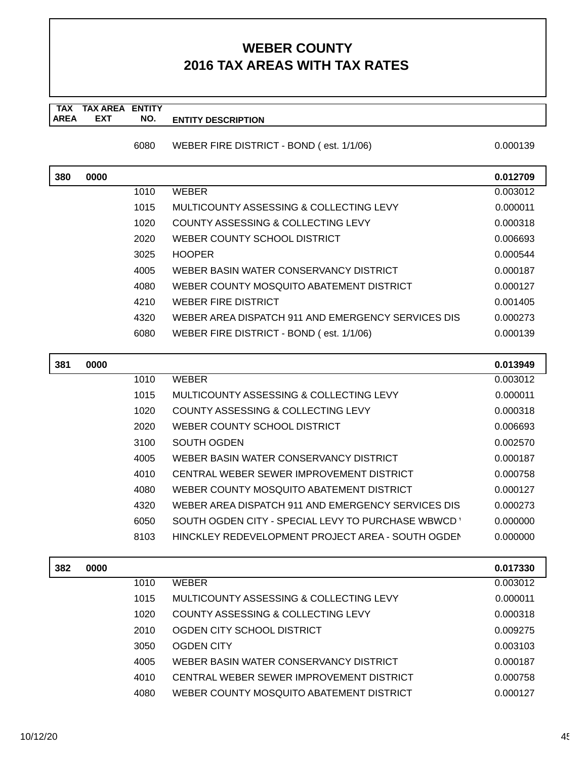### **TAX TAX AREA ENTITY AREA ENTITY DESCRIPTION EXT NO.**

6080 WEBER FIRE DISTRICT - BOND ( est. 1/1/06) 0.000139

| 380 | 0000 |      |                                                    | 0.012709 |
|-----|------|------|----------------------------------------------------|----------|
|     |      | 1010 | <b>WEBER</b>                                       | 0.003012 |
|     |      | 1015 | MULTICOUNTY ASSESSING & COLLECTING LEVY            | 0.000011 |
|     |      | 1020 | COUNTY ASSESSING & COLLECTING LEVY                 | 0.000318 |
|     |      | 2020 | WEBER COUNTY SCHOOL DISTRICT                       | 0.006693 |
|     |      | 3025 | <b>HOOPER</b>                                      | 0.000544 |
|     |      | 4005 | WEBER BASIN WATER CONSERVANCY DISTRICT             | 0.000187 |
|     |      | 4080 | WEBER COUNTY MOSQUITO ABATEMENT DISTRICT           | 0.000127 |
|     |      | 4210 | WEBER FIRE DISTRICT                                | 0.001405 |
|     |      | 4320 | WEBER AREA DISPATCH 911 AND EMERGENCY SERVICES DIS | 0.000273 |
|     |      | 6080 | WEBER FIRE DISTRICT - BOND (est. 1/1/06)           | 0.000139 |

| 381 | 0000 |      |                                                    | 0.013949 |
|-----|------|------|----------------------------------------------------|----------|
|     |      | 1010 | <b>WEBER</b>                                       | 0.003012 |
|     |      | 1015 | MULTICOUNTY ASSESSING & COLLECTING LEVY            | 0.000011 |
|     |      | 1020 | COUNTY ASSESSING & COLLECTING LEVY                 | 0.000318 |
|     |      | 2020 | WEBER COUNTY SCHOOL DISTRICT                       | 0.006693 |
|     |      | 3100 | SOUTH OGDEN                                        | 0.002570 |
|     |      | 4005 | WEBER BASIN WATER CONSERVANCY DISTRICT             | 0.000187 |
|     |      | 4010 | CENTRAL WEBER SEWER IMPROVEMENT DISTRICT           | 0.000758 |
|     |      | 4080 | WEBER COUNTY MOSOUITO ABATEMENT DISTRICT           | 0.000127 |
|     |      | 4320 | WEBER AREA DISPATCH 911 AND EMERGENCY SERVICES DIS | 0.000273 |
|     |      | 6050 | SOUTH OGDEN CITY - SPECIAL LEVY TO PURCHASE WBWCD  | 0.000000 |
|     |      | 8103 | HINCKLEY REDEVELOPMENT PROJECT AREA - SOUTH OGDEN  | 0.000000 |
|     |      |      |                                                    |          |

| 0000<br>382 |      |                                          | 0.017330 |
|-------------|------|------------------------------------------|----------|
|             | 1010 | WEBER                                    | 0.003012 |
|             | 1015 | MULTICOUNTY ASSESSING & COLLECTING LEVY  | 0.000011 |
|             | 1020 | COUNTY ASSESSING & COLLECTING LEVY       | 0.000318 |
|             | 2010 | OGDEN CITY SCHOOL DISTRICT               | 0.009275 |
|             | 3050 | OGDEN CITY                               | 0.003103 |
|             | 4005 | WEBER BASIN WATER CONSERVANCY DISTRICT   | 0.000187 |
|             | 4010 | CENTRAL WEBER SEWER IMPROVEMENT DISTRICT | 0.000758 |
|             | 4080 | WEBER COUNTY MOSQUITO ABATEMENT DISTRICT | 0.000127 |
|             |      |                                          |          |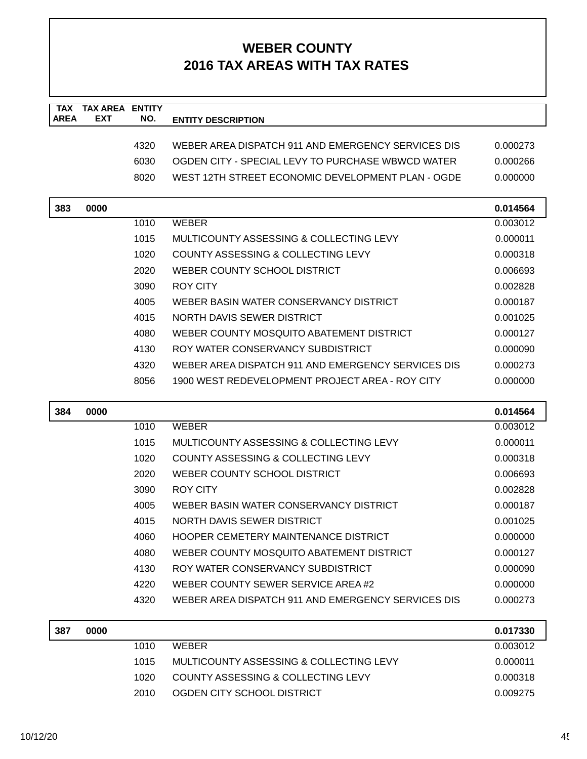| <b>TAX</b><br><b>AREA</b> | <b>TAX AREA ENTITY</b><br>EXT | NO.  |                                                    |          |
|---------------------------|-------------------------------|------|----------------------------------------------------|----------|
|                           |                               |      | <b>ENTITY DESCRIPTION</b>                          |          |
|                           |                               | 4320 | WEBER AREA DISPATCH 911 AND EMERGENCY SERVICES DIS | 0.000273 |
|                           |                               | 6030 | OGDEN CITY - SPECIAL LEVY TO PURCHASE WBWCD WATER  | 0.000266 |
|                           |                               | 8020 | WEST 12TH STREET ECONOMIC DEVELOPMENT PLAN - OGDE  | 0.000000 |
|                           |                               |      |                                                    |          |
| 383                       | 0000                          |      |                                                    | 0.014564 |
|                           |                               | 1010 | <b>WEBER</b>                                       | 0.003012 |
|                           |                               | 1015 | MULTICOUNTY ASSESSING & COLLECTING LEVY            | 0.000011 |
|                           |                               | 1020 | COUNTY ASSESSING & COLLECTING LEVY                 | 0.000318 |
|                           |                               | 2020 | WEBER COUNTY SCHOOL DISTRICT                       | 0.006693 |
|                           |                               | 3090 | ROY CITY                                           | 0.002828 |
|                           |                               | 4005 | WEBER BASIN WATER CONSERVANCY DISTRICT             | 0.000187 |
|                           |                               | 4015 | NORTH DAVIS SEWER DISTRICT                         | 0.001025 |
|                           |                               | 4080 | WEBER COUNTY MOSQUITO ABATEMENT DISTRICT           | 0.000127 |
|                           |                               | 4130 | ROY WATER CONSERVANCY SUBDISTRICT                  | 0.000090 |
|                           |                               | 4320 | WEBER AREA DISPATCH 911 AND EMERGENCY SERVICES DIS | 0.000273 |
|                           |                               | 8056 | 1900 WEST REDEVELOPMENT PROJECT AREA - ROY CITY    | 0.000000 |
|                           |                               |      |                                                    |          |
|                           |                               |      |                                                    |          |
| 384                       | 0000                          |      |                                                    | 0.014564 |
|                           |                               | 1010 | <b>WEBER</b>                                       | 0.003012 |
|                           |                               | 1015 | MULTICOUNTY ASSESSING & COLLECTING LEVY            | 0.000011 |
|                           |                               | 1020 | COUNTY ASSESSING & COLLECTING LEVY                 | 0.000318 |
|                           |                               | 2020 | WEBER COUNTY SCHOOL DISTRICT                       | 0.006693 |
|                           |                               | 3090 | <b>ROY CITY</b>                                    | 0.002828 |
|                           |                               | 4005 | WEBER BASIN WATER CONSERVANCY DISTRICT             | 0.000187 |
|                           |                               | 4015 | NORTH DAVIS SEWER DISTRICT                         | 0.001025 |
|                           |                               | 4060 | <b>HOOPER CEMETERY MAINTENANCE DISTRICT</b>        | 0.000000 |
|                           |                               | 4080 | WEBER COUNTY MOSQUITO ABATEMENT DISTRICT           | 0.000127 |
|                           |                               | 4130 | ROY WATER CONSERVANCY SUBDISTRICT                  | 0.000090 |
|                           |                               | 4220 | WEBER COUNTY SEWER SERVICE AREA#2                  | 0.000000 |
|                           |                               | 4320 | WEBER AREA DISPATCH 911 AND EMERGENCY SERVICES DIS | 0.000273 |
| 387                       | 0000                          |      |                                                    | 0.017330 |
|                           |                               | 1010 | <b>WEBER</b>                                       | 0.003012 |
|                           |                               | 1015 | MULTICOUNTY ASSESSING & COLLECTING LEVY            | 0.000011 |
|                           |                               | 1020 | COUNTY ASSESSING & COLLECTING LEVY                 | 0.000318 |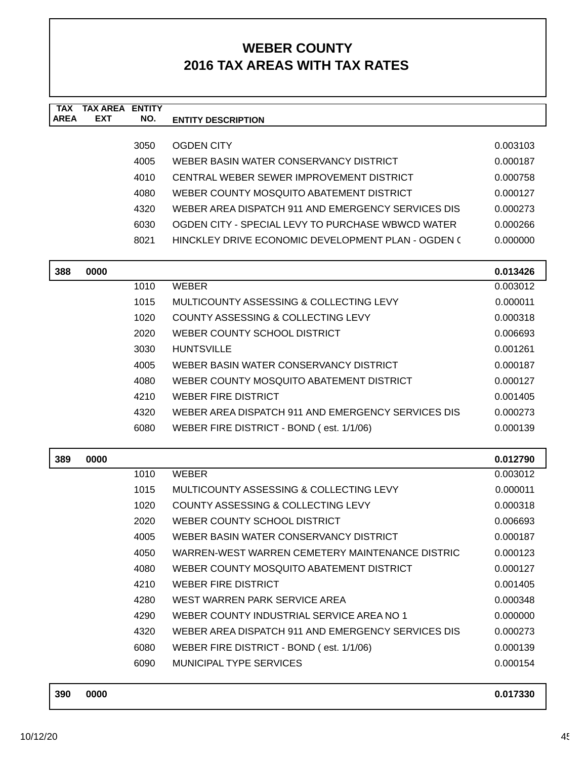| <b>TAX</b>  | <b>TAX AREA</b> | <b>ENTITY</b> |                                                    |          |
|-------------|-----------------|---------------|----------------------------------------------------|----------|
| <b>AREA</b> | <b>EXT</b>      | NO.           | <b>ENTITY DESCRIPTION</b>                          |          |
|             |                 | 3050          | <b>OGDEN CITY</b>                                  | 0.003103 |
|             |                 | 4005          | WEBER BASIN WATER CONSERVANCY DISTRICT             | 0.000187 |
|             |                 | 4010          | CENTRAL WEBER SEWER IMPROVEMENT DISTRICT           | 0.000758 |
|             |                 | 4080          | WEBER COUNTY MOSQUITO ABATEMENT DISTRICT           | 0.000127 |
|             |                 | 4320          | WEBER AREA DISPATCH 911 AND EMERGENCY SERVICES DIS | 0.000273 |
|             |                 | 6030          | OGDEN CITY - SPECIAL LEVY TO PURCHASE WBWCD WATER  | 0.000266 |
|             |                 | 8021          | HINCKLEY DRIVE ECONOMIC DEVELOPMENT PLAN - OGDEN ( | 0.000000 |
|             |                 |               |                                                    |          |
| 388         | 0000            |               |                                                    | 0.013426 |
|             |                 | 1010          | <b>WEBER</b>                                       | 0.003012 |
|             |                 | 1015          | MULTICOUNTY ASSESSING & COLLECTING LEVY            | 0.000011 |
|             |                 | 1020          | <b>COUNTY ASSESSING &amp; COLLECTING LEVY</b>      | 0.000318 |
|             |                 | 2020          | WEBER COUNTY SCHOOL DISTRICT                       | 0.006693 |
|             |                 | 3030          | <b>HUNTSVILLE</b>                                  | 0.001261 |
|             |                 | 4005          | WEBER BASIN WATER CONSERVANCY DISTRICT             | 0.000187 |
|             |                 | 4080          | WEBER COUNTY MOSQUITO ABATEMENT DISTRICT           | 0.000127 |
|             |                 | 4210          | <b>WEBER FIRE DISTRICT</b>                         | 0.001405 |
|             |                 | 4320          | WEBER AREA DISPATCH 911 AND EMERGENCY SERVICES DIS | 0.000273 |
|             |                 | 6080          | WEBER FIRE DISTRICT - BOND (est. 1/1/06)           | 0.000139 |
|             |                 |               |                                                    |          |
| 389         | 0000            |               |                                                    | 0.012790 |
|             |                 | 1010          | <b>WEBER</b>                                       | 0.003012 |
|             |                 | 1015          | MULTICOUNTY ASSESSING & COLLECTING LEVY            | 0.000011 |
|             |                 | 1020          | <b>COUNTY ASSESSING &amp; COLLECTING LEVY</b>      | 0.000318 |
|             |                 | 2020          | WEBER COUNTY SCHOOL DISTRICT                       | 0.006693 |
|             |                 | 4005          | WEBER BASIN WATER CONSERVANCY DISTRICT             | 0.000187 |
|             |                 | 4050          | WARREN-WEST WARREN CEMETERY MAINTENANCE DISTRIC    | 0.000123 |
|             |                 | 4080          | WEBER COUNTY MOSQUITO ABATEMENT DISTRICT           | 0.000127 |
|             |                 | 4210          | <b>WEBER FIRE DISTRICT</b>                         | 0.001405 |
|             |                 | 4280          | WEST WARREN PARK SERVICE AREA                      | 0.000348 |
|             |                 | 4290          | WEBER COUNTY INDUSTRIAL SERVICE AREA NO 1          | 0.000000 |
|             |                 | 4320          | WEBER AREA DISPATCH 911 AND EMERGENCY SERVICES DIS | 0.000273 |
|             |                 | 6080          | WEBER FIRE DISTRICT - BOND (est. 1/1/06)           | 0.000139 |
|             |                 | 6090          | MUNICIPAL TYPE SERVICES                            | 0.000154 |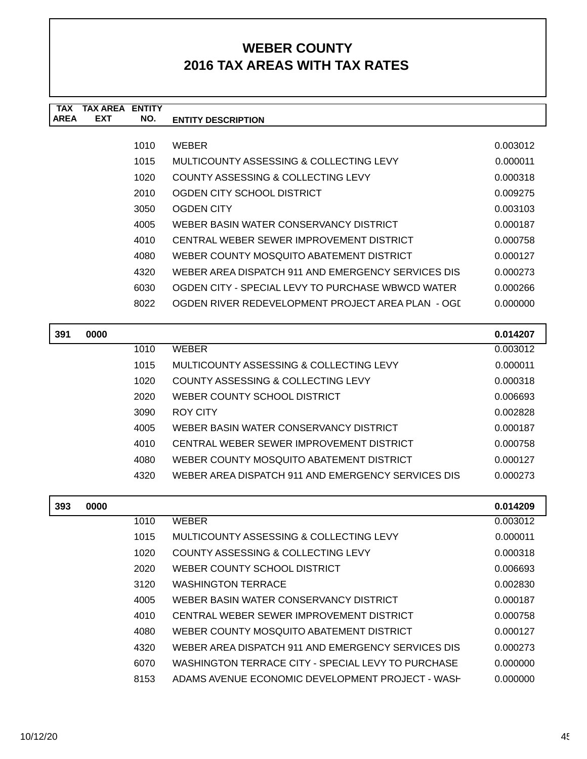| <b>TAX</b>  | TAX AREA   | <b>ENTITY</b> |                                                    |          |
|-------------|------------|---------------|----------------------------------------------------|----------|
| <b>AREA</b> | <b>EXT</b> | NO.           | <b>ENTITY DESCRIPTION</b>                          |          |
|             |            |               |                                                    |          |
|             |            | 1010          | <b>WEBER</b>                                       | 0.003012 |
|             |            | 1015          | MULTICOUNTY ASSESSING & COLLECTING LEVY            | 0.000011 |
|             |            | 1020          | <b>COUNTY ASSESSING &amp; COLLECTING LEVY</b>      | 0.000318 |
|             |            | 2010          | OGDEN CITY SCHOOL DISTRICT                         | 0.009275 |
|             |            | 3050          | <b>OGDEN CITY</b>                                  | 0.003103 |
|             |            | 4005          | WEBER BASIN WATER CONSERVANCY DISTRICT             | 0.000187 |
|             |            | 4010          | CENTRAL WEBER SEWER IMPROVEMENT DISTRICT           | 0.000758 |
|             |            | 4080          | WEBER COUNTY MOSOUITO ABATEMENT DISTRICT           | 0.000127 |
|             |            | 4320          | WEBER AREA DISPATCH 911 AND EMERGENCY SERVICES DIS | 0.000273 |
|             |            | 6030          | OGDEN CITY - SPECIAL LEVY TO PURCHASE WBWCD WATER  | 0.000266 |
|             |            | 8022          | OGDEN RIVER REDEVELOPMENT PROJECT AREA PLAN - OGI  | 0.000000 |
|             |            |               |                                                    |          |
| 391         | 0000       |               |                                                    | 0.014207 |
|             |            | 1010          | <b>WEBER</b>                                       | 0.003012 |
|             |            | 1015          | MULTICOUNTY ASSESSING & COLLECTING LEVY            | 0.000011 |
|             |            | 1020          | COUNTY ASSESSING & COLLECTING LEVY                 | 0.000318 |
|             |            | 2020          | WEBER COUNTY SCHOOL DISTRICT                       | 0.006693 |
|             |            | 3090          | <b>ROY CITY</b>                                    | 0.002828 |
|             |            |               |                                                    |          |

| งบยบ | RUI UILL                                           | <u>U.UUZOZO</u> |
|------|----------------------------------------------------|-----------------|
| 4005 | WEBER BASIN WATER CONSERVANCY DISTRICT             | 0.000187        |
| 4010 | CENTRAL WEBER SEWER IMPROVEMENT DISTRICT           | 0.000758        |
| 4080 | WEBER COUNTY MOSQUITO ABATEMENT DISTRICT           | 0.000127        |
| 4320 | WEBER AREA DISPATCH 911 AND EMERGENCY SERVICES DIS | 0.000273        |

| 393 | 0000 |      |                                                    | 0.014209 |
|-----|------|------|----------------------------------------------------|----------|
|     |      | 1010 | <b>WEBER</b>                                       | 0.003012 |
|     |      | 1015 | MULTICOUNTY ASSESSING & COLLECTING LEVY            | 0.000011 |
|     |      | 1020 | COUNTY ASSESSING & COLLECTING LEVY                 | 0.000318 |
|     |      | 2020 | WEBER COUNTY SCHOOL DISTRICT                       | 0.006693 |
|     |      | 3120 | <b>WASHINGTON TERRACE</b>                          | 0.002830 |
|     |      | 4005 | WEBER BASIN WATER CONSERVANCY DISTRICT             | 0.000187 |
|     |      | 4010 | CENTRAL WEBER SEWER IMPROVEMENT DISTRICT           | 0.000758 |
|     |      | 4080 | WEBER COUNTY MOSQUITO ABATEMENT DISTRICT           | 0.000127 |
|     |      | 4320 | WEBER AREA DISPATCH 911 AND EMERGENCY SERVICES DIS | 0.000273 |
|     |      | 6070 | WASHINGTON TERRACE CITY - SPECIAL LEVY TO PURCHASE | 0.000000 |
|     |      | 8153 | ADAMS AVENUE ECONOMIC DEVELOPMENT PROJECT - WASH   | 0.000000 |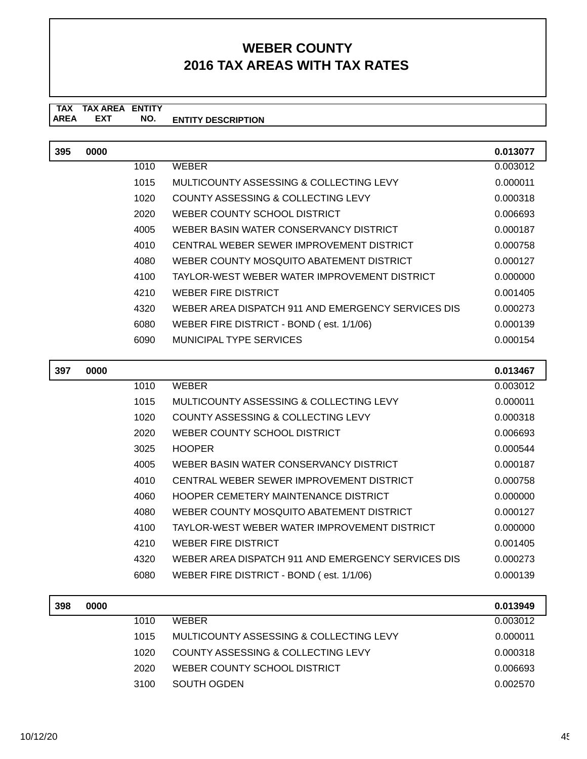### **TAX TAX AREA ENTITY ENTITY DESCRIPTION EXT NO.**

| 395 | 0000 |      |                                                    | 0.013077 |
|-----|------|------|----------------------------------------------------|----------|
|     |      | 1010 | <b>WEBER</b>                                       | 0.003012 |
|     |      | 1015 | MULTICOUNTY ASSESSING & COLLECTING LEVY            | 0.000011 |
|     |      | 1020 | COUNTY ASSESSING & COLLECTING LEVY                 | 0.000318 |
|     |      | 2020 | WEBER COUNTY SCHOOL DISTRICT                       | 0.006693 |
|     |      | 4005 | WEBER BASIN WATER CONSERVANCY DISTRICT             | 0.000187 |
|     |      | 4010 | CENTRAL WEBER SEWER IMPROVEMENT DISTRICT           | 0.000758 |
|     |      | 4080 | WEBER COUNTY MOSQUITO ABATEMENT DISTRICT           | 0.000127 |
|     |      | 4100 | TAYLOR-WEST WEBER WATER IMPROVEMENT DISTRICT       | 0.000000 |
|     |      | 4210 | <b>WEBER FIRE DISTRICT</b>                         | 0.001405 |
|     |      | 4320 | WEBER AREA DISPATCH 911 AND EMERGENCY SERVICES DIS | 0.000273 |
|     |      | 6080 | WEBER FIRE DISTRICT - BOND (est. 1/1/06)           | 0.000139 |
|     |      | 6090 | MUNICIPAL TYPE SERVICES                            | 0.000154 |

| 397 | 0000 |      |                                                    | 0.013467 |
|-----|------|------|----------------------------------------------------|----------|
|     |      | 1010 | <b>WEBER</b>                                       | 0.003012 |
|     |      | 1015 | MULTICOUNTY ASSESSING & COLLECTING LEVY            | 0.000011 |
|     |      | 1020 | COUNTY ASSESSING & COLLECTING LEVY                 | 0.000318 |
|     |      | 2020 | WEBER COUNTY SCHOOL DISTRICT                       | 0.006693 |
|     |      | 3025 | <b>HOOPER</b>                                      | 0.000544 |
|     |      | 4005 | WEBER BASIN WATER CONSERVANCY DISTRICT             | 0.000187 |
|     |      | 4010 | CENTRAL WEBER SEWER IMPROVEMENT DISTRICT           | 0.000758 |
|     |      | 4060 | HOOPER CEMETERY MAINTENANCE DISTRICT               | 0.000000 |
|     |      | 4080 | WEBER COUNTY MOSQUITO ABATEMENT DISTRICT           | 0.000127 |
|     |      | 4100 | TAYLOR-WEST WEBER WATER IMPROVEMENT DISTRICT       | 0.000000 |
|     |      | 4210 | WEBER FIRE DISTRICT                                | 0.001405 |
|     |      | 4320 | WEBER AREA DISPATCH 911 AND EMERGENCY SERVICES DIS | 0.000273 |
|     |      | 6080 | WEBER FIRE DISTRICT - BOND (est. 1/1/06)           | 0.000139 |
|     |      |      |                                                    |          |

| 398 | 0000 |      |                                         | 0.013949 |
|-----|------|------|-----------------------------------------|----------|
|     |      | 1010 | <b>WEBER</b>                            | 0.003012 |
|     |      | 1015 | MULTICOUNTY ASSESSING & COLLECTING LEVY | 0.000011 |
|     |      | 1020 | COUNTY ASSESSING & COLLECTING LEVY      | 0.000318 |
|     |      | 2020 | WEBER COUNTY SCHOOL DISTRICT            | 0.006693 |
|     |      | 3100 | SOUTH OGDEN                             | 0.002570 |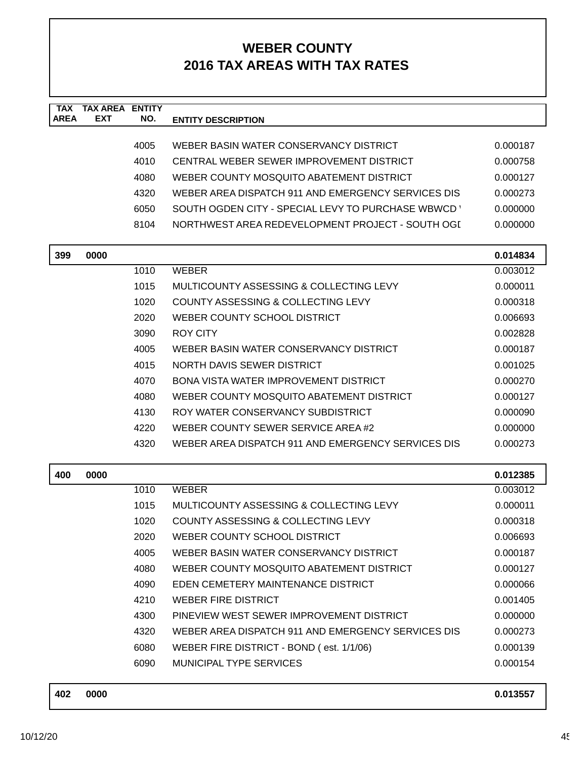| <b>TAX</b><br><b>AREA</b> | <b>TAX AREA ENTITY</b><br>EXT | NO.  | <b>ENTITY DESCRIPTION</b>                          |          |
|---------------------------|-------------------------------|------|----------------------------------------------------|----------|
|                           |                               |      |                                                    |          |
|                           |                               | 4005 | WEBER BASIN WATER CONSERVANCY DISTRICT             | 0.000187 |
|                           |                               | 4010 | CENTRAL WEBER SEWER IMPROVEMENT DISTRICT           | 0.000758 |
|                           |                               | 4080 | WEBER COUNTY MOSQUITO ABATEMENT DISTRICT           | 0.000127 |
|                           |                               | 4320 | WEBER AREA DISPATCH 911 AND EMERGENCY SERVICES DIS | 0.000273 |
|                           |                               | 6050 | SOUTH OGDEN CITY - SPECIAL LEVY TO PURCHASE WBWCD  | 0.000000 |
|                           |                               | 8104 | NORTHWEST AREA REDEVELOPMENT PROJECT - SOUTH OGI   | 0.000000 |
| 399                       | 0000                          |      |                                                    | 0.014834 |
|                           |                               | 1010 | <b>WEBER</b>                                       | 0.003012 |
|                           |                               | 1015 | MULTICOUNTY ASSESSING & COLLECTING LEVY            | 0.000011 |
|                           |                               | 1020 | COUNTY ASSESSING & COLLECTING LEVY                 | 0.000318 |
|                           |                               | 2020 | WEBER COUNTY SCHOOL DISTRICT                       | 0.006693 |
|                           |                               | 3090 | <b>ROY CITY</b>                                    | 0.002828 |
|                           |                               | 4005 | WEBER BASIN WATER CONSERVANCY DISTRICT             | 0.000187 |
|                           |                               | 4015 | NORTH DAVIS SEWER DISTRICT                         | 0.001025 |
|                           |                               | 4070 | BONA VISTA WATER IMPROVEMENT DISTRICT              | 0.000270 |
|                           |                               | 4080 | WEBER COUNTY MOSQUITO ABATEMENT DISTRICT           | 0.000127 |
|                           |                               | 4130 | ROY WATER CONSERVANCY SUBDISTRICT                  | 0.000090 |
|                           |                               | 4220 | WEBER COUNTY SEWER SERVICE AREA #2                 | 0.000000 |
|                           |                               | 4320 | WEBER AREA DISPATCH 911 AND EMERGENCY SERVICES DIS | 0.000273 |
| 400                       | 0000                          |      |                                                    | 0.012385 |
|                           |                               | 1010 | <b>WEBER</b>                                       | 0.003012 |
|                           |                               | 1015 | MULTICOUNTY ASSESSING & COLLECTING LEVY            | 0.000011 |
|                           |                               | 1020 | COUNTY ASSESSING & COLLECTING LEVY                 | 0.000318 |
|                           |                               | 2020 | WEBER COUNTY SCHOOL DISTRICT                       | 0.006693 |
|                           |                               | 4005 | WEBER BASIN WATER CONSERVANCY DISTRICT             | 0.000187 |
|                           |                               | 4080 | WEBER COUNTY MOSQUITO ABATEMENT DISTRICT           | 0.000127 |
|                           |                               | 4090 | EDEN CEMETERY MAINTENANCE DISTRICT                 | 0.000066 |
|                           |                               | 4210 | <b>WEBER FIRE DISTRICT</b>                         | 0.001405 |
|                           |                               | 4300 | PINEVIEW WEST SEWER IMPROVEMENT DISTRICT           | 0.000000 |
|                           |                               | 4320 | WEBER AREA DISPATCH 911 AND EMERGENCY SERVICES DIS | 0.000273 |
|                           |                               | 6080 | WEBER FIRE DISTRICT - BOND (est. 1/1/06)           | 0.000139 |
|                           |                               | 6090 | MUNICIPAL TYPE SERVICES                            | 0.000154 |

| 402 | 0000 | 0.013557 |
|-----|------|----------|
|     |      |          |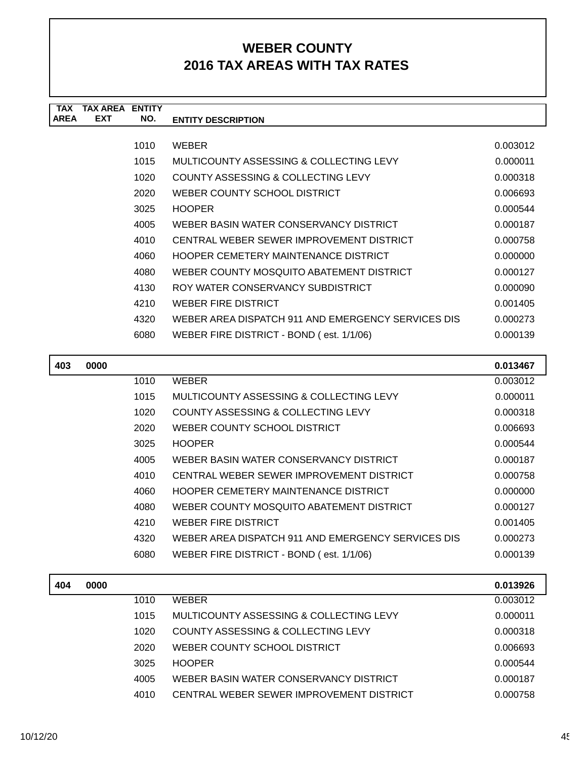| <b>TAX</b>  | TAX AREA   | <b>ENTITY</b> |                                                    |          |
|-------------|------------|---------------|----------------------------------------------------|----------|
| <b>AREA</b> | <b>EXT</b> | NO.           | <b>ENTITY DESCRIPTION</b>                          |          |
|             |            |               |                                                    |          |
|             |            | 1010          | <b>WEBER</b>                                       | 0.003012 |
|             |            | 1015          | MULTICOUNTY ASSESSING & COLLECTING LEVY            | 0.000011 |
|             |            | 1020          | COUNTY ASSESSING & COLLECTING LEVY                 | 0.000318 |
|             |            | 2020          | WEBER COUNTY SCHOOL DISTRICT                       | 0.006693 |
|             |            | 3025          | <b>HOOPER</b>                                      | 0.000544 |
|             |            | 4005          | WEBER BASIN WATER CONSERVANCY DISTRICT             | 0.000187 |
|             |            | 4010          | CENTRAL WEBER SEWER IMPROVEMENT DISTRICT           | 0.000758 |
|             |            | 4060          | HOOPER CEMETERY MAINTENANCE DISTRICT               | 0.000000 |
|             |            | 4080          | WEBER COUNTY MOSQUITO ABATEMENT DISTRICT           | 0.000127 |
|             |            | 4130          | ROY WATER CONSERVANCY SUBDISTRICT                  | 0.000090 |
|             |            | 4210          | WEBER FIRE DISTRICT                                | 0.001405 |
|             |            | 4320          | WEBER AREA DISPATCH 911 AND EMERGENCY SERVICES DIS | 0.000273 |
|             |            | 6080          | WEBER FIRE DISTRICT - BOND (est. 1/1/06)           | 0.000139 |
|             |            |               |                                                    |          |

| 403 | 0000 |      |                                                    | 0.013467 |
|-----|------|------|----------------------------------------------------|----------|
|     |      | 1010 | <b>WEBER</b>                                       | 0.003012 |
|     |      | 1015 | MULTICOUNTY ASSESSING & COLLECTING LEVY            | 0.000011 |
|     |      | 1020 | COUNTY ASSESSING & COLLECTING LEVY                 | 0.000318 |
|     |      | 2020 | WEBER COUNTY SCHOOL DISTRICT                       | 0.006693 |
|     |      | 3025 | <b>HOOPER</b>                                      | 0.000544 |
|     |      | 4005 | WEBER BASIN WATER CONSERVANCY DISTRICT             | 0.000187 |
|     |      | 4010 | CENTRAL WEBER SEWER IMPROVEMENT DISTRICT           | 0.000758 |
|     |      | 4060 | HOOPER CEMETERY MAINTENANCE DISTRICT               | 0.000000 |
|     |      | 4080 | WEBER COUNTY MOSQUITO ABATEMENT DISTRICT           | 0.000127 |
|     |      | 4210 | WEBER FIRE DISTRICT                                | 0.001405 |
|     |      | 4320 | WEBER AREA DISPATCH 911 AND EMERGENCY SERVICES DIS | 0.000273 |
|     |      | 6080 | WEBER FIRE DISTRICT - BOND (est. 1/1/06)           | 0.000139 |
|     |      |      |                                                    |          |

| 404 | 0000 |      |                                          | 0.013926 |
|-----|------|------|------------------------------------------|----------|
|     |      | 1010 | <b>WEBER</b>                             | 0.003012 |
|     |      | 1015 | MULTICOUNTY ASSESSING & COLLECTING LEVY  | 0.000011 |
|     |      | 1020 | COUNTY ASSESSING & COLLECTING LEVY       | 0.000318 |
|     |      | 2020 | WEBER COUNTY SCHOOL DISTRICT             | 0.006693 |
|     |      | 3025 | <b>HOOPER</b>                            | 0.000544 |
|     |      | 4005 | WEBER BASIN WATER CONSERVANCY DISTRICT   | 0.000187 |
|     |      | 4010 | CENTRAL WEBER SEWER IMPROVEMENT DISTRICT | 0.000758 |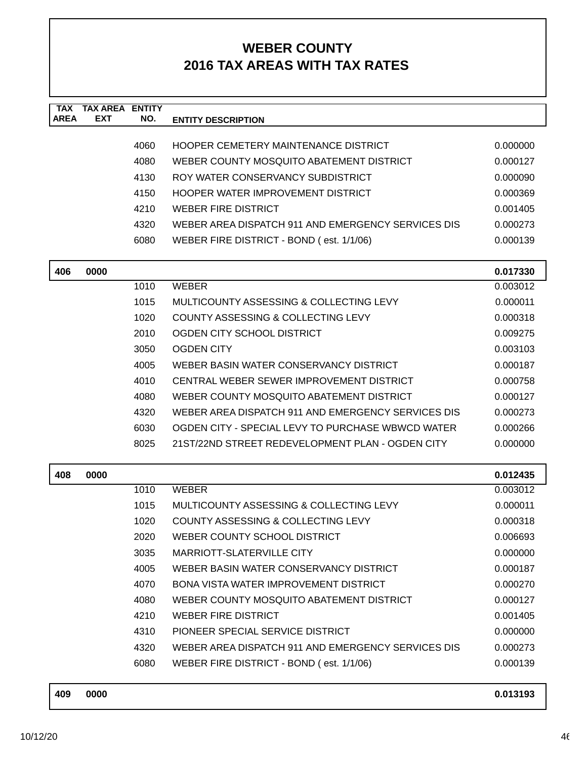| <b>TAX</b>  | <b>TAX AREA</b> | <b>ENTITY</b> |                                                    |                      |
|-------------|-----------------|---------------|----------------------------------------------------|----------------------|
| <b>AREA</b> | <b>EXT</b>      | NO.           | <b>ENTITY DESCRIPTION</b>                          |                      |
|             |                 |               |                                                    |                      |
|             |                 | 4060          | HOOPER CEMETERY MAINTENANCE DISTRICT               | 0.000000             |
|             |                 | 4080          | WEBER COUNTY MOSQUITO ABATEMENT DISTRICT           | 0.000127             |
|             |                 | 4130          | ROY WATER CONSERVANCY SUBDISTRICT                  | 0.000090             |
|             |                 | 4150          | HOOPER WATER IMPROVEMENT DISTRICT                  | 0.000369             |
|             |                 | 4210          | <b>WEBER FIRE DISTRICT</b>                         | 0.001405             |
|             |                 | 4320          | WEBER AREA DISPATCH 911 AND EMERGENCY SERVICES DIS | 0.000273             |
|             |                 | 6080          | WEBER FIRE DISTRICT - BOND (est. 1/1/06)           | 0.000139             |
|             | 0000            |               |                                                    |                      |
| 406         |                 | 1010          | <b>WEBER</b>                                       | 0.017330<br>0.003012 |
|             |                 | 1015          | MULTICOUNTY ASSESSING & COLLECTING LEVY            | 0.000011             |
|             |                 | 1020          | COUNTY ASSESSING & COLLECTING LEVY                 | 0.000318             |
|             |                 | 2010          | OGDEN CITY SCHOOL DISTRICT                         | 0.009275             |
|             |                 | 3050          | <b>OGDEN CITY</b>                                  | 0.003103             |
|             |                 | 4005          | WEBER BASIN WATER CONSERVANCY DISTRICT             | 0.000187             |
|             |                 | 4010          | CENTRAL WEBER SEWER IMPROVEMENT DISTRICT           | 0.000758             |
|             |                 | 4080          | WEBER COUNTY MOSQUITO ABATEMENT DISTRICT           | 0.000127             |
|             |                 | 4320          | WEBER AREA DISPATCH 911 AND EMERGENCY SERVICES DIS | 0.000273             |
|             |                 | 6030          | OGDEN CITY - SPECIAL LEVY TO PURCHASE WBWCD WATER  | 0.000266             |
|             |                 | 8025          | 21ST/22ND STREET REDEVELOPMENT PLAN - OGDEN CITY   | 0.000000             |
|             |                 |               |                                                    |                      |
| 408         | 0000            |               |                                                    | 0.012435             |
|             |                 | 1010          | <b>WEBER</b>                                       | 0.003012             |
|             |                 | 1015          | MULTICOUNTY ASSESSING & COLLECTING LEVY            | 0.000011             |
|             |                 | 1020          | COUNTY ASSESSING & COLLECTING LEVY                 | 0.000318             |
|             |                 | 2020          | WEBER COUNTY SCHOOL DISTRICT                       | 0.006693             |
|             |                 | 3035          | <b>MARRIOTT-SLATERVILLE CITY</b>                   | 0.000000             |
|             |                 | 4005          | WEBER BASIN WATER CONSERVANCY DISTRICT             | 0.000187             |
|             |                 | 4070          | <b>BONA VISTA WATER IMPROVEMENT DISTRICT</b>       | 0.000270             |
|             |                 | 4080          | WEBER COUNTY MOSQUITO ABATEMENT DISTRICT           | 0.000127             |
|             |                 | 4210          | <b>WEBER FIRE DISTRICT</b>                         | 0.001405             |
|             |                 | 4310          | PIONEER SPECIAL SERVICE DISTRICT                   | 0.000000             |
|             |                 | 4320          | WEBER AREA DISPATCH 911 AND EMERGENCY SERVICES DIS | 0.000273             |
|             |                 | 6080          | WEBER FIRE DISTRICT - BOND (est. 1/1/06)           | 0.000139             |
|             |                 |               |                                                    |                      |

| 409 | 0000 | 0.013193 |
|-----|------|----------|
|     |      |          |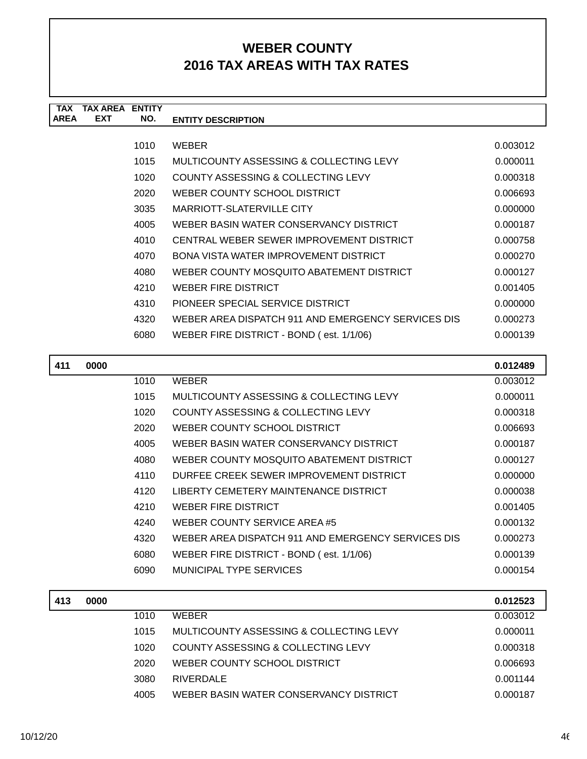| <b>TAX</b>  | <b>TAX AREA ENTITY</b> |       |                                                    |                 |
|-------------|------------------------|-------|----------------------------------------------------|-----------------|
| <b>AREA</b> | <b>EXT</b>             | NO.   | <b>ENTITY DESCRIPTION</b>                          |                 |
|             |                        |       |                                                    |                 |
|             |                        | 1010  | <b>WEBER</b>                                       | 0.003012        |
|             |                        | 1015  | MULTICOUNTY ASSESSING & COLLECTING LEVY            | 0.000011        |
|             |                        | 1020  | COUNTY ASSESSING & COLLECTING LEVY                 | 0.000318        |
|             |                        | 2020  | WEBER COUNTY SCHOOL DISTRICT                       | 0.006693        |
|             |                        | 3035  | MARRIOTT-SLATERVILLE CITY                          | 0.000000        |
|             |                        | 4005  | WEBER BASIN WATER CONSERVANCY DISTRICT             | 0.000187        |
|             |                        | 4010  | CENTRAL WEBER SEWER IMPROVEMENT DISTRICT           | 0.000758        |
|             |                        | 4070  | BONA VISTA WATER IMPROVEMENT DISTRICT              | 0.000270        |
|             |                        | 4080  | WEBER COUNTY MOSQUITO ABATEMENT DISTRICT           | 0.000127        |
|             |                        | 4210  | <b>WEBER FIRE DISTRICT</b>                         | 0.001405        |
|             |                        | 4310  | PIONEER SPECIAL SERVICE DISTRICT                   | 0.000000        |
|             |                        | 4320  | WEBER AREA DISPATCH 911 AND EMERGENCY SERVICES DIS | 0.000273        |
|             |                        | 6080  | WEBER FIRE DISTRICT - BOND (est. 1/1/06)           | 0.000139        |
|             |                        |       |                                                    |                 |
| 411         | 0000                   |       |                                                    | 0.012489        |
|             |                        | 1010  | <b>WEBER</b>                                       | 0.003012        |
|             |                        | 1015  | MULTICOUNTY ASSESSING & COLLECTING LEVY            | 0.000011        |
|             |                        | 1020  | <b>COUNTY ASSESSING &amp; COLLECTING LEVY</b>      | 0.000318        |
|             |                        | 2020  | WEBER COUNTY SCHOOL DISTRICT                       | 0.006693        |
|             |                        | 1005. | <u>MERER RASIN MATER CONSERVANCY DISTRICT</u>      | <u>N NNN AZ</u> |

| -u-u |                                                    | v.vvvvv  |
|------|----------------------------------------------------|----------|
| 4005 | WEBER BASIN WATER CONSERVANCY DISTRICT             | 0.000187 |
| 4080 | WEBER COUNTY MOSQUITO ABATEMENT DISTRICT           | 0.000127 |
| 4110 | DURFEE CREEK SEWER IMPROVEMENT DISTRICT            | 0.000000 |
| 4120 | LIBERTY CEMETERY MAINTENANCE DISTRICT              | 0.000038 |
| 4210 | WEBER FIRE DISTRICT                                | 0.001405 |
| 4240 | WEBER COUNTY SERVICE AREA #5                       | 0.000132 |
| 4320 | WEBER AREA DISPATCH 911 AND EMERGENCY SERVICES DIS | 0.000273 |
| 6080 | WEBER FIRE DISTRICT - BOND (est. 1/1/06)           | 0.000139 |
| 6090 | MUNICIPAL TYPE SERVICES                            | 0.000154 |

| 413 | 0000 |      |                                         | 0.012523 |
|-----|------|------|-----------------------------------------|----------|
|     |      | 1010 | WEBER                                   | 0.003012 |
|     |      | 1015 | MULTICOUNTY ASSESSING & COLLECTING LEVY | 0.000011 |
|     |      | 1020 | COUNTY ASSESSING & COLLECTING LEVY      | 0.000318 |
|     |      | 2020 | WEBER COUNTY SCHOOL DISTRICT            | 0.006693 |
|     |      | 3080 | <b>RIVERDALE</b>                        | 0.001144 |
|     |      | 4005 | WEBER BASIN WATER CONSERVANCY DISTRICT  | 0.000187 |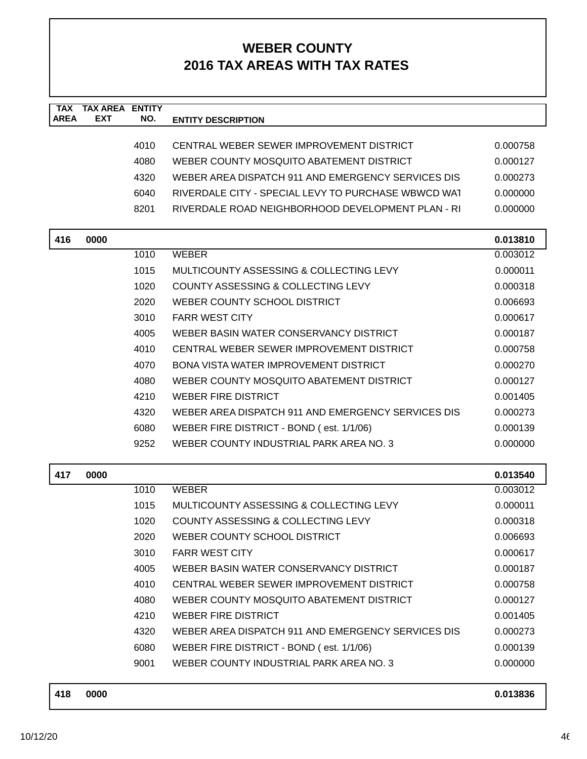| <b>TAX</b><br><b>AREA</b> | <b>TAX AREA ENTITY</b><br><b>EXT</b> | NO.  | <b>ENTITY DESCRIPTION</b>                           |          |
|---------------------------|--------------------------------------|------|-----------------------------------------------------|----------|
|                           |                                      |      |                                                     |          |
|                           |                                      | 4010 | CENTRAL WEBER SEWER IMPROVEMENT DISTRICT            | 0.000758 |
|                           |                                      | 4080 | WEBER COUNTY MOSOUITO ABATEMENT DISTRICT            | 0.000127 |
|                           |                                      | 4320 | WEBER AREA DISPATCH 911 AND EMERGENCY SERVICES DIS  | 0.000273 |
|                           |                                      | 6040 | RIVERDALE CITY - SPECIAL LEVY TO PURCHASE WBWCD WAT | 0.000000 |
|                           |                                      | 8201 | RIVERDALE ROAD NEIGHBORHOOD DEVELOPMENT PLAN - RI   | 0.000000 |
| 416                       | 0000                                 |      |                                                     | 0.013810 |
|                           |                                      | 1010 | <b>WEBER</b>                                        | 0.003012 |
|                           |                                      | 1015 | MULTICOUNTY ASSESSING & COLLECTING LEVY             | 0.000011 |
|                           |                                      | 1020 | COUNTY ASSESSING & COLLECTING LEVY                  | 0.000318 |
|                           |                                      | 2020 | WEBER COUNTY SCHOOL DISTRICT                        | 0.006693 |
|                           |                                      | 3010 | <b>FARR WEST CITY</b>                               | 0.000617 |
|                           |                                      | 4005 | WEBER BASIN WATER CONSERVANCY DISTRICT              | 0.000187 |
|                           |                                      | 4010 | CENTRAL WEBER SEWER IMPROVEMENT DISTRICT            | 0.000758 |
|                           |                                      | 4070 | BONA VISTA WATER IMPROVEMENT DISTRICT               | 0.000270 |
|                           |                                      | 4080 | WEBER COUNTY MOSQUITO ABATEMENT DISTRICT            | 0.000127 |
|                           |                                      | 4210 | <b>WEBER FIRE DISTRICT</b>                          | 0.001405 |
|                           |                                      | 4320 | WEBER AREA DISPATCH 911 AND EMERGENCY SERVICES DIS  | 0.000273 |
|                           |                                      | 6080 | WEBER FIRE DISTRICT - BOND (est. 1/1/06)            | 0.000139 |
|                           |                                      | 9252 | WEBER COUNTY INDUSTRIAL PARK AREA NO. 3             | 0.000000 |
| 417                       | 0000                                 |      |                                                     | 0.013540 |
|                           |                                      | 1010 | <b>WEBER</b>                                        | 0.003012 |
|                           |                                      | 1015 | MULTICOUNTY ASSESSING & COLLECTING LEVY             | 0.000011 |
|                           |                                      | 1020 | <b>COUNTY ASSESSING &amp; COLLECTING LEVY</b>       | 0.000318 |
|                           |                                      | 2020 | WEBER COUNTY SCHOOL DISTRICT                        | 0.006693 |
|                           |                                      | 3010 | <b>FARR WEST CITY</b>                               | 0.000617 |
|                           |                                      | 4005 | WEBER BASIN WATER CONSERVANCY DISTRICT              | 0.000187 |
|                           |                                      | 4010 | CENTRAL WEBER SEWER IMPROVEMENT DISTRICT            | 0.000758 |
|                           |                                      | 4080 | WEBER COUNTY MOSQUITO ABATEMENT DISTRICT            | 0.000127 |
|                           |                                      | 4210 | <b>WEBER FIRE DISTRICT</b>                          | 0.001405 |
|                           |                                      | 4320 | WEBER AREA DISPATCH 911 AND EMERGENCY SERVICES DIS  | 0.000273 |
|                           |                                      | 6080 | WEBER FIRE DISTRICT - BOND (est. 1/1/06)            | 0.000139 |
|                           |                                      | 9001 | WEBER COUNTY INDUSTRIAL PARK AREA NO. 3             | 0.000000 |
|                           |                                      |      |                                                     |          |

| 418 | 0000 | 0.013836 |  |
|-----|------|----------|--|
|     |      |          |  |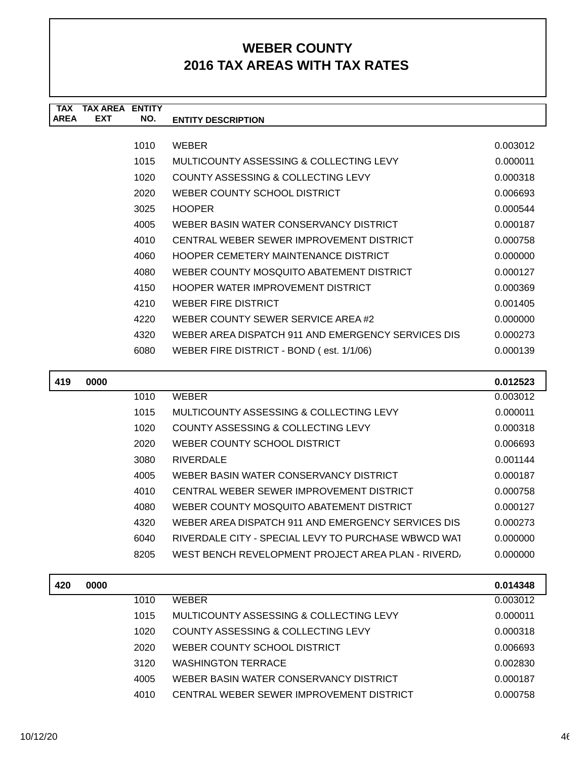| TAX         | TAX AREA   | <b>ENTITY</b> |                                                    |          |
|-------------|------------|---------------|----------------------------------------------------|----------|
| <b>AREA</b> | <b>EXT</b> | NO.           | <b>ENTITY DESCRIPTION</b>                          |          |
|             |            |               |                                                    |          |
|             |            | 1010          | <b>WEBER</b>                                       | 0.003012 |
|             |            | 1015          | MULTICOUNTY ASSESSING & COLLECTING LEVY            | 0.000011 |
|             |            | 1020          | COUNTY ASSESSING & COLLECTING LEVY                 | 0.000318 |
|             |            | 2020          | WEBER COUNTY SCHOOL DISTRICT                       | 0.006693 |
|             |            | 3025          | <b>HOOPER</b>                                      | 0.000544 |
|             |            | 4005          | WEBER BASIN WATER CONSERVANCY DISTRICT             | 0.000187 |
|             |            | 4010          | CENTRAL WEBER SEWER IMPROVEMENT DISTRICT           | 0.000758 |
|             |            | 4060          | HOOPER CEMETERY MAINTENANCE DISTRICT               | 0.000000 |
|             |            | 4080          | WEBER COUNTY MOSQUITO ABATEMENT DISTRICT           | 0.000127 |
|             |            | 4150          | HOOPER WATER IMPROVEMENT DISTRICT                  | 0.000369 |
|             |            | 4210          | <b>WEBER FIRE DISTRICT</b>                         | 0.001405 |
|             |            | 4220          | WEBER COUNTY SEWER SERVICE AREA #2                 | 0.000000 |
|             |            | 4320          | WEBER AREA DISPATCH 911 AND EMERGENCY SERVICES DIS | 0.000273 |
|             |            | 6080          | WEBER FIRE DISTRICT - BOND (est. 1/1/06)           | 0.000139 |
|             |            |               |                                                    |          |
| 419         | 0000       |               |                                                    | 0.012523 |

| 0000 |      |                                                     | 0.012523 |
|------|------|-----------------------------------------------------|----------|
|      | 1010 | <b>WEBER</b>                                        | 0.003012 |
|      | 1015 | MULTICOUNTY ASSESSING & COLLECTING LEVY             | 0.000011 |
|      | 1020 | COUNTY ASSESSING & COLLECTING LEVY                  | 0.000318 |
|      | 2020 | WEBER COUNTY SCHOOL DISTRICT                        | 0.006693 |
|      | 3080 | <b>RIVERDALE</b>                                    | 0.001144 |
|      | 4005 | WEBER BASIN WATER CONSERVANCY DISTRICT              | 0.000187 |
|      | 4010 | CENTRAL WEBER SEWER IMPROVEMENT DISTRICT            | 0.000758 |
|      | 4080 | WEBER COUNTY MOSQUITO ABATEMENT DISTRICT            | 0.000127 |
|      | 4320 | WEBER AREA DISPATCH 911 AND EMERGENCY SERVICES DIS  | 0.000273 |
|      | 6040 | RIVERDALE CITY - SPECIAL LEVY TO PURCHASE WBWCD WAT | 0.000000 |
|      | 8205 | WEST BENCH REVELOPMENT PROJECT AREA PLAN - RIVERD.  | 0.000000 |
|      |      |                                                     |          |

| 420 | 0000 |      |                                          | 0.014348 |
|-----|------|------|------------------------------------------|----------|
|     |      | 1010 | <b>WEBER</b>                             | 0.003012 |
|     |      | 1015 | MULTICOUNTY ASSESSING & COLLECTING LEVY  | 0.000011 |
|     |      | 1020 | COUNTY ASSESSING & COLLECTING LEVY       | 0.000318 |
|     |      | 2020 | WEBER COUNTY SCHOOL DISTRICT             | 0.006693 |
|     |      | 3120 | <b>WASHINGTON TERRACE</b>                | 0.002830 |
|     |      | 4005 | WEBER BASIN WATER CONSERVANCY DISTRICT   | 0.000187 |
|     |      | 4010 | CENTRAL WEBER SEWER IMPROVEMENT DISTRICT | 0.000758 |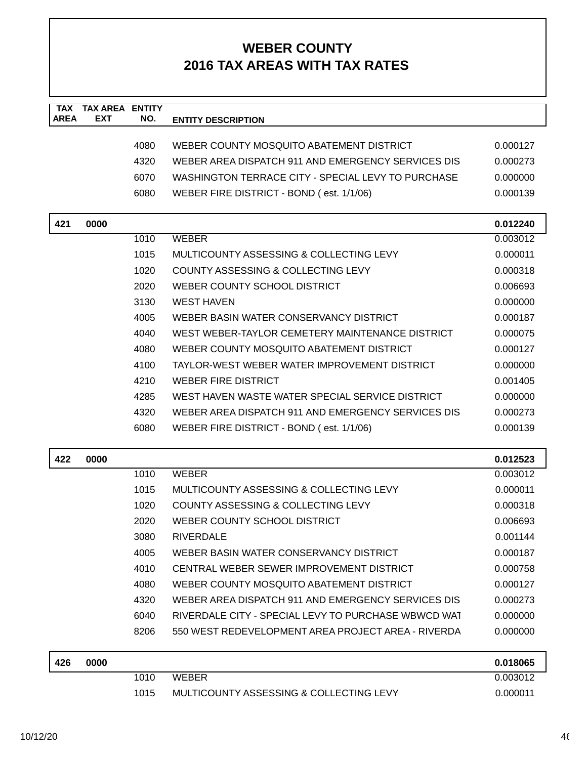| <b>TAX</b><br><b>AREA</b> | <b>TAX AREA ENTITY</b><br><b>EXT</b> | NO.  |                                                     |          |
|---------------------------|--------------------------------------|------|-----------------------------------------------------|----------|
|                           |                                      |      | <b>ENTITY DESCRIPTION</b>                           |          |
|                           |                                      | 4080 | WEBER COUNTY MOSQUITO ABATEMENT DISTRICT            | 0.000127 |
|                           |                                      | 4320 | WEBER AREA DISPATCH 911 AND EMERGENCY SERVICES DIS  | 0.000273 |
|                           |                                      | 6070 | WASHINGTON TERRACE CITY - SPECIAL LEVY TO PURCHASE  | 0.000000 |
|                           |                                      | 6080 | WEBER FIRE DISTRICT - BOND (est. 1/1/06)            | 0.000139 |
|                           |                                      |      |                                                     |          |
| 421                       | 0000                                 |      |                                                     | 0.012240 |
|                           |                                      | 1010 | <b>WEBER</b>                                        | 0.003012 |
|                           |                                      | 1015 | MULTICOUNTY ASSESSING & COLLECTING LEVY             | 0.000011 |
|                           |                                      | 1020 | COUNTY ASSESSING & COLLECTING LEVY                  | 0.000318 |
|                           |                                      | 2020 | WEBER COUNTY SCHOOL DISTRICT                        | 0.006693 |
|                           |                                      | 3130 | <b>WEST HAVEN</b>                                   | 0.000000 |
|                           |                                      | 4005 | WEBER BASIN WATER CONSERVANCY DISTRICT              | 0.000187 |
|                           |                                      | 4040 | WEST WEBER-TAYLOR CEMETERY MAINTENANCE DISTRICT     | 0.000075 |
|                           |                                      | 4080 | WEBER COUNTY MOSQUITO ABATEMENT DISTRICT            | 0.000127 |
|                           |                                      | 4100 | TAYLOR-WEST WEBER WATER IMPROVEMENT DISTRICT        | 0.000000 |
|                           |                                      | 4210 | <b>WEBER FIRE DISTRICT</b>                          | 0.001405 |
|                           |                                      | 4285 | WEST HAVEN WASTE WATER SPECIAL SERVICE DISTRICT     | 0.000000 |
|                           |                                      | 4320 | WEBER AREA DISPATCH 911 AND EMERGENCY SERVICES DIS  | 0.000273 |
|                           |                                      | 6080 | WEBER FIRE DISTRICT - BOND (est. 1/1/06)            | 0.000139 |
| 422                       | 0000                                 |      |                                                     | 0.012523 |
|                           |                                      | 1010 | <b>WEBER</b>                                        | 0.003012 |
|                           |                                      | 1015 | MULTICOUNTY ASSESSING & COLLECTING LEVY             | 0.000011 |
|                           |                                      | 1020 | COUNTY ASSESSING & COLLECTING LEVY                  | 0.000318 |
|                           |                                      | 2020 | WEBER COUNTY SCHOOL DISTRICT                        | 0.006693 |
|                           |                                      | 3080 | <b>RIVERDALE</b>                                    | 0.001144 |
|                           |                                      | 4005 | WEBER BASIN WATER CONSERVANCY DISTRICT              | 0.000187 |
|                           |                                      | 4010 | CENTRAL WEBER SEWER IMPROVEMENT DISTRICT            | 0.000758 |
|                           |                                      | 4080 | WEBER COUNTY MOSQUITO ABATEMENT DISTRICT            | 0.000127 |
|                           |                                      | 4320 | WEBER AREA DISPATCH 911 AND EMERGENCY SERVICES DIS  | 0.000273 |
|                           |                                      | 6040 | RIVERDALE CITY - SPECIAL LEVY TO PURCHASE WBWCD WAT | 0.000000 |
|                           |                                      | 8206 | 550 WEST REDEVELOPMENT AREA PROJECT AREA - RIVERDA  | 0.000000 |
| 426                       | 0000                                 |      |                                                     | 0.018065 |
|                           |                                      | 1010 | <b>WEBER</b>                                        | 0.003012 |
|                           |                                      | 1015 | MULTICOUNTY ASSESSING & COLLECTING LEVY             | 0.000011 |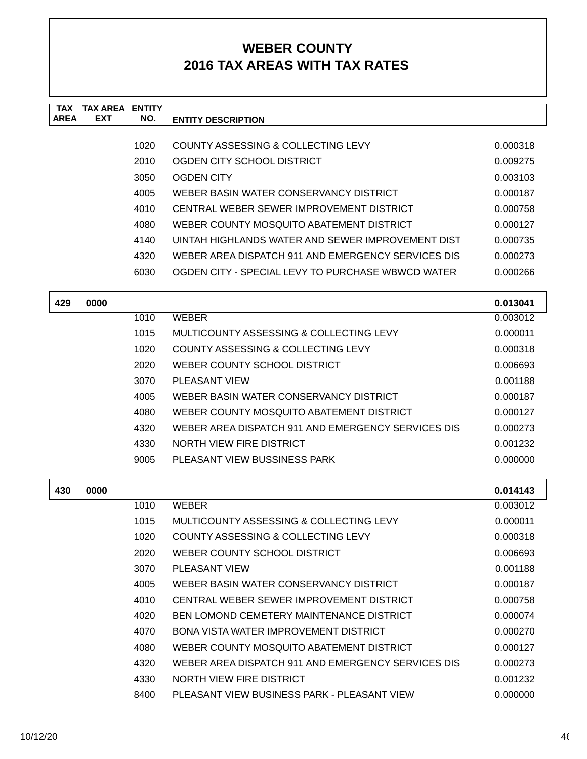| <b>TAX</b><br><b>AREA</b> | <b>TAX AREA</b><br><b>EXT</b> | <b>ENTITY</b><br>NO. | <b>ENTITY DESCRIPTION</b>                          |          |
|---------------------------|-------------------------------|----------------------|----------------------------------------------------|----------|
|                           |                               |                      |                                                    |          |
|                           |                               | 1020                 | COUNTY ASSESSING & COLLECTING LEVY                 | 0.000318 |
|                           |                               | 2010                 | OGDEN CITY SCHOOL DISTRICT                         | 0.009275 |
|                           |                               | 3050                 | <b>OGDEN CITY</b>                                  | 0.003103 |
|                           |                               | 4005                 | WEBER BASIN WATER CONSERVANCY DISTRICT             | 0.000187 |
|                           |                               | 4010                 | CENTRAL WEBER SEWER IMPROVEMENT DISTRICT           | 0.000758 |
|                           |                               | 4080                 | WEBER COUNTY MOSQUITO ABATEMENT DISTRICT           | 0.000127 |
|                           |                               | 4140                 | UINTAH HIGHLANDS WATER AND SEWER IMPROVEMENT DIST  | 0.000735 |
|                           |                               | 4320                 | WEBER AREA DISPATCH 911 AND EMERGENCY SERVICES DIS | 0.000273 |
|                           |                               | 6030                 | OGDEN CITY - SPECIAL LEVY TO PURCHASE WBWCD WATER  | 0.000266 |
| 429                       | 0000                          |                      |                                                    | 0.013041 |
|                           |                               | 1010                 | <b>WEBER</b>                                       | 0.003012 |
|                           |                               | 1015                 | MULTICOUNTY ASSESSING & COLLECTING LEVY            | 0.000011 |
|                           |                               | 1020                 | COUNTY ASSESSING & COLLECTING LEVY                 | 0.000318 |
|                           |                               | 2020                 | WEBER COUNTY SCHOOL DISTRICT                       | 0.006693 |
|                           |                               | 3070                 | <b>PLEASANT VIEW</b>                               | 0.001188 |
|                           |                               | 4005                 | WEBER BASIN WATER CONSERVANCY DISTRICT             | 0.000187 |
|                           |                               | 4080                 | WEBER COUNTY MOSQUITO ABATEMENT DISTRICT           | 0.000127 |
|                           |                               | 4320                 | WEBER AREA DISPATCH 911 AND EMERGENCY SERVICES DIS | 0.000273 |
|                           |                               | 4330                 | NORTH VIEW FIRE DISTRICT                           | 0.001232 |
|                           |                               | 9005                 | PLEASANT VIEW BUSSINESS PARK                       | 0.000000 |
| 430                       | 0000                          |                      |                                                    | 0.014143 |
|                           |                               | 1010                 | <b>WEBER</b>                                       | 0.003012 |
|                           |                               | 1015                 | <b>MULTICOUNTY ASSESSING &amp; COLLECTING LEVY</b> | 0.000011 |
|                           |                               | 1020                 | COUNTY ASSESSING & COLLECTING LEVY                 | 0.000318 |
|                           |                               | 2020                 | WEBER COUNTY SCHOOL DISTRICT                       | 0.006693 |
|                           |                               | 3070                 | <b>PLEASANT VIEW</b>                               | 0.001188 |
|                           |                               | 4005                 | WEBER BASIN WATER CONSERVANCY DISTRICT             | 0.000187 |
|                           |                               | 4010                 | CENTRAL WEBER SEWER IMPROVEMENT DISTRICT           | 0.000758 |
|                           |                               | 4020                 | <b>BEN LOMOND CEMETERY MAINTENANCE DISTRICT</b>    | 0.000074 |
|                           |                               | 4070                 | BONA VISTA WATER IMPROVEMENT DISTRICT              | 0.000270 |
|                           |                               | 4080                 | WEBER COUNTY MOSQUITO ABATEMENT DISTRICT           | 0.000127 |
|                           |                               | 4320                 | WEBER AREA DISPATCH 911 AND EMERGENCY SERVICES DIS | 0.000273 |
|                           |                               | 4330                 | NORTH VIEW FIRE DISTRICT                           | 0.001232 |
|                           |                               | 8400                 | PLEASANT VIEW BUSINESS PARK - PLEASANT VIEW        | 0.000000 |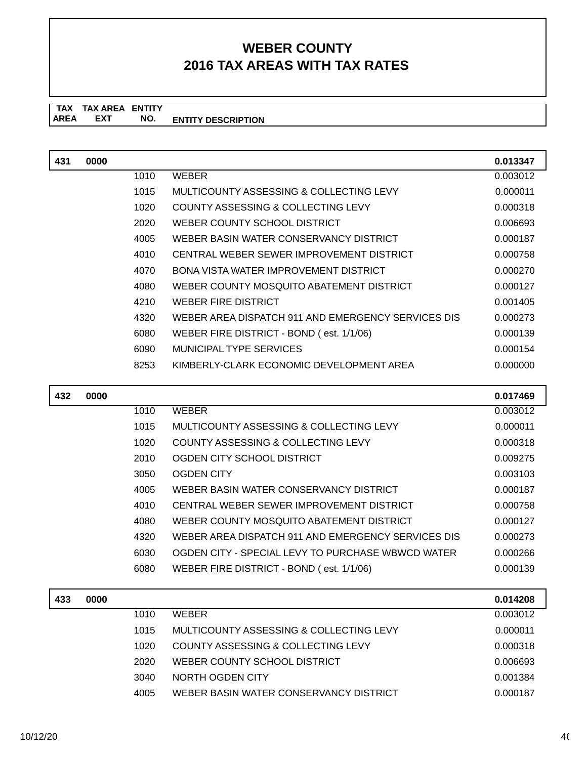### **TAX TAX AREA ENTITY ENTITY DESCRIPTION EXT NO.**

| 431 | 0000 |      |                                                    | 0.013347 |
|-----|------|------|----------------------------------------------------|----------|
|     |      | 1010 | <b>WEBER</b>                                       | 0.003012 |
|     |      | 1015 | MULTICOUNTY ASSESSING & COLLECTING LEVY            | 0.000011 |
|     |      | 1020 | COUNTY ASSESSING & COLLECTING LEVY                 | 0.000318 |
|     |      | 2020 | WEBER COUNTY SCHOOL DISTRICT                       | 0.006693 |
|     |      | 4005 | WEBER BASIN WATER CONSERVANCY DISTRICT             | 0.000187 |
|     |      | 4010 | CENTRAL WEBER SEWER IMPROVEMENT DISTRICT           | 0.000758 |
|     |      | 4070 | BONA VISTA WATER IMPROVEMENT DISTRICT              | 0.000270 |
|     |      | 4080 | WEBER COUNTY MOSQUITO ABATEMENT DISTRICT           | 0.000127 |
|     |      | 4210 | WEBER FIRE DISTRICT                                | 0.001405 |
|     |      | 4320 | WEBER AREA DISPATCH 911 AND EMERGENCY SERVICES DIS | 0.000273 |
|     |      | 6080 | WEBER FIRE DISTRICT - BOND (est. 1/1/06)           | 0.000139 |
|     |      | 6090 | MUNICIPAL TYPE SERVICES                            | 0.000154 |
|     |      | 8253 | KIMBERLY-CLARK ECONOMIC DEVELOPMENT AREA           | 0.000000 |
|     |      |      |                                                    |          |

| 432 | 0000 |      |                                                    | 0.017469 |
|-----|------|------|----------------------------------------------------|----------|
|     |      | 1010 | <b>WEBER</b>                                       | 0.003012 |
|     |      | 1015 | MULTICOUNTY ASSESSING & COLLECTING LEVY            | 0.000011 |
|     |      | 1020 | COUNTY ASSESSING & COLLECTING LEVY                 | 0.000318 |
|     |      | 2010 | OGDEN CITY SCHOOL DISTRICT                         | 0.009275 |
|     |      | 3050 | OGDEN CITY                                         | 0.003103 |
|     |      | 4005 | WEBER BASIN WATER CONSERVANCY DISTRICT             | 0.000187 |
|     |      | 4010 | CENTRAL WEBER SEWER IMPROVEMENT DISTRICT           | 0.000758 |
|     |      | 4080 | WEBER COUNTY MOSOUITO ABATEMENT DISTRICT           | 0.000127 |
|     |      | 4320 | WEBER AREA DISPATCH 911 AND EMERGENCY SERVICES DIS | 0.000273 |
|     |      | 6030 | OGDEN CITY - SPECIAL LEVY TO PURCHASE WBWCD WATER  | 0.000266 |
|     |      | 6080 | WEBER FIRE DISTRICT - BOND (est. 1/1/06)           | 0.000139 |
|     |      |      |                                                    |          |

| 433 | 0000 |      |                                         | 0.014208 |
|-----|------|------|-----------------------------------------|----------|
|     |      | 1010 | <b>WEBER</b>                            | 0.003012 |
|     |      | 1015 | MULTICOUNTY ASSESSING & COLLECTING LEVY | 0.000011 |
|     |      | 1020 | COUNTY ASSESSING & COLLECTING LEVY      | 0.000318 |
|     |      | 2020 | WEBER COUNTY SCHOOL DISTRICT            | 0.006693 |
|     |      | 3040 | NORTH OGDEN CITY                        | 0.001384 |
|     |      | 4005 | WEBER BASIN WATER CONSERVANCY DISTRICT  | 0.000187 |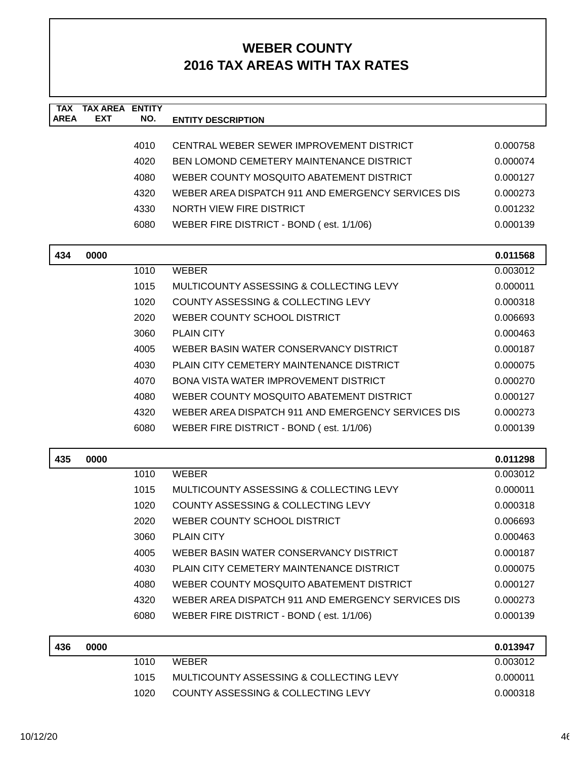| <b>TAX</b><br><b>AREA</b> | <b>TAX AREA ENTITY</b><br><b>EXT</b> | NO.  | <b>ENTITY DESCRIPTION</b>                          |          |
|---------------------------|--------------------------------------|------|----------------------------------------------------|----------|
|                           |                                      |      |                                                    |          |
|                           |                                      | 4010 | CENTRAL WEBER SEWER IMPROVEMENT DISTRICT           | 0.000758 |
|                           |                                      | 4020 | BEN LOMOND CEMETERY MAINTENANCE DISTRICT           | 0.000074 |
|                           |                                      | 4080 | WEBER COUNTY MOSQUITO ABATEMENT DISTRICT           | 0.000127 |
|                           |                                      | 4320 | WEBER AREA DISPATCH 911 AND EMERGENCY SERVICES DIS | 0.000273 |
|                           |                                      | 4330 | NORTH VIEW FIRE DISTRICT                           | 0.001232 |
|                           |                                      | 6080 | WEBER FIRE DISTRICT - BOND (est. 1/1/06)           | 0.000139 |
| 434                       | 0000                                 |      |                                                    | 0.011568 |
|                           |                                      | 1010 | <b>WEBER</b>                                       | 0.003012 |
|                           |                                      | 1015 | MULTICOUNTY ASSESSING & COLLECTING LEVY            | 0.000011 |
|                           |                                      | 1020 | COUNTY ASSESSING & COLLECTING LEVY                 | 0.000318 |
|                           |                                      | 2020 | WEBER COUNTY SCHOOL DISTRICT                       | 0.006693 |
|                           |                                      | 3060 | <b>PLAIN CITY</b>                                  | 0.000463 |
|                           |                                      | 4005 | WEBER BASIN WATER CONSERVANCY DISTRICT             | 0.000187 |
|                           |                                      | 4030 | PLAIN CITY CEMETERY MAINTENANCE DISTRICT           | 0.000075 |
|                           |                                      | 4070 | <b>BONA VISTA WATER IMPROVEMENT DISTRICT</b>       | 0.000270 |
|                           |                                      | 4080 | WEBER COUNTY MOSQUITO ABATEMENT DISTRICT           | 0.000127 |
|                           |                                      | 4320 | WEBER AREA DISPATCH 911 AND EMERGENCY SERVICES DIS | 0.000273 |
|                           |                                      | 6080 | WEBER FIRE DISTRICT - BOND (est. 1/1/06)           | 0.000139 |
| 435                       | 0000                                 |      |                                                    | 0.011298 |
|                           |                                      | 1010 | <b>WEBER</b>                                       | 0.003012 |
|                           |                                      | 1015 | MULTICOUNTY ASSESSING & COLLECTING LEVY            | 0.000011 |
|                           |                                      | 1020 | COUNTY ASSESSING & COLLECTING LEVY                 | 0.000318 |
|                           |                                      | 2020 | WEBER COUNTY SCHOOL DISTRICT                       | 0.006693 |
|                           |                                      | 3060 | <b>PLAIN CITY</b>                                  | 0.000463 |
|                           |                                      | 4005 | WEBER BASIN WATER CONSERVANCY DISTRICT             | 0.000187 |
|                           |                                      | 4030 | PLAIN CITY CEMETERY MAINTENANCE DISTRICT           | 0.000075 |
|                           |                                      | 4080 | WEBER COUNTY MOSQUITO ABATEMENT DISTRICT           | 0.000127 |
|                           |                                      | 4320 | WEBER AREA DISPATCH 911 AND EMERGENCY SERVICES DIS | 0.000273 |
|                           |                                      | 6080 | WEBER FIRE DISTRICT - BOND (est. 1/1/06)           | 0.000139 |
| 436                       | 0000                                 |      |                                                    | 0.013947 |
|                           |                                      | 1010 | <b>WEBER</b>                                       | 0.003012 |
|                           |                                      | 1015 | MULTICOUNTY ASSESSING & COLLECTING LEVY            | 0.000011 |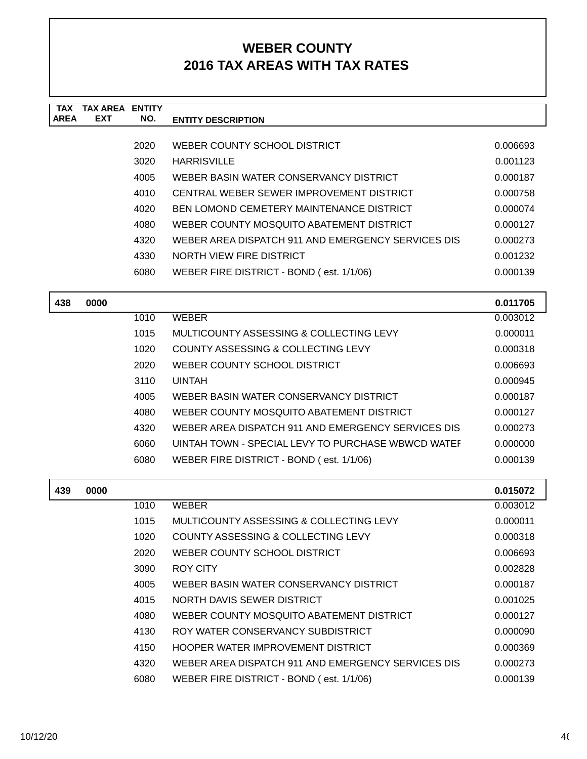| <b>TAX</b><br><b>AREA</b> | <b>TAX AREA</b><br><b>EXT</b> | <b>ENTITY</b><br>NO. | <b>ENTITY DESCRIPTION</b>                          |          |
|---------------------------|-------------------------------|----------------------|----------------------------------------------------|----------|
|                           |                               |                      |                                                    |          |
|                           |                               | 2020                 | WEBER COUNTY SCHOOL DISTRICT                       | 0.006693 |
|                           |                               | 3020                 | <b>HARRISVILLE</b>                                 | 0.001123 |
|                           |                               | 4005                 | WEBER BASIN WATER CONSERVANCY DISTRICT             | 0.000187 |
|                           |                               | 4010                 | CENTRAL WEBER SEWER IMPROVEMENT DISTRICT           | 0.000758 |
|                           |                               | 4020                 | BEN LOMOND CEMETERY MAINTENANCE DISTRICT           | 0.000074 |
|                           |                               | 4080                 | WEBER COUNTY MOSQUITO ABATEMENT DISTRICT           | 0.000127 |
|                           |                               | 4320                 | WEBER AREA DISPATCH 911 AND EMERGENCY SERVICES DIS | 0.000273 |
|                           |                               | 4330                 | NORTH VIEW FIRE DISTRICT                           | 0.001232 |
|                           |                               | 6080                 | WEBER FIRE DISTRICT - BOND (est. 1/1/06)           | 0.000139 |
|                           |                               |                      |                                                    |          |
| 438                       | 0000                          |                      |                                                    | 0.011705 |
|                           |                               | 1010                 | <b>WEBER</b>                                       | 0.003012 |
|                           |                               | 1015                 | MULTICOUNTY ASSESSING & COLLECTING LEVY            | 0.000011 |
|                           |                               | 1020                 | COUNTY ASSESSING & COLLECTING LEVY                 | 0.000318 |
|                           |                               | 2020                 | WEBER COUNTY SCHOOL DISTRICT                       | 0.006693 |
|                           |                               | 3110                 | <b>UINTAH</b>                                      | 0.000945 |
|                           |                               | 4005                 | WEBER BASIN WATER CONSERVANCY DISTRICT             | 0.000187 |
|                           |                               | 4080                 | WEBER COUNTY MOSQUITO ABATEMENT DISTRICT           | 0.000127 |
|                           |                               | 4320                 | WEBER AREA DISPATCH 911 AND EMERGENCY SERVICES DIS | 0.000273 |
|                           |                               | 6060                 | UINTAH TOWN - SPECIAL LEVY TO PURCHASE WBWCD WATEF | 0.000000 |
|                           |                               | 6080                 | WEBER FIRE DISTRICT - BOND (est. 1/1/06)           | 0.000139 |
| 439                       | 0000                          |                      |                                                    | 0.015072 |
|                           |                               | 1010                 | <b>WEBER</b>                                       | 0.003012 |
|                           |                               | 1015                 | MULTICOUNTY ASSESSING & COLLECTING LEVY            | 0.000011 |
|                           |                               | 1020                 | COUNTY ASSESSING & COLLECTING LEVY                 | 0.000318 |
|                           |                               | 2020                 | WEBER COUNTY SCHOOL DISTRICT                       | 0.006693 |
|                           |                               | 3090                 | ROY CITY                                           | 0.002828 |
|                           |                               | 4005                 | WEBER BASIN WATER CONSERVANCY DISTRICT             | 0.000187 |
|                           |                               | 4015                 | NORTH DAVIS SEWER DISTRICT                         | 0.001025 |
|                           |                               | 4080                 | WEBER COUNTY MOSQUITO ABATEMENT DISTRICT           | 0.000127 |
|                           |                               | 4130                 | ROY WATER CONSERVANCY SUBDISTRICT                  | 0.000090 |
|                           |                               | 4150                 | HOOPER WATER IMPROVEMENT DISTRICT                  | 0.000369 |
|                           |                               | 4320                 | WEBER AREA DISPATCH 911 AND EMERGENCY SERVICES DIS | 0.000273 |
|                           |                               | 6080                 | WEBER FIRE DISTRICT - BOND (est. 1/1/06)           | 0.000139 |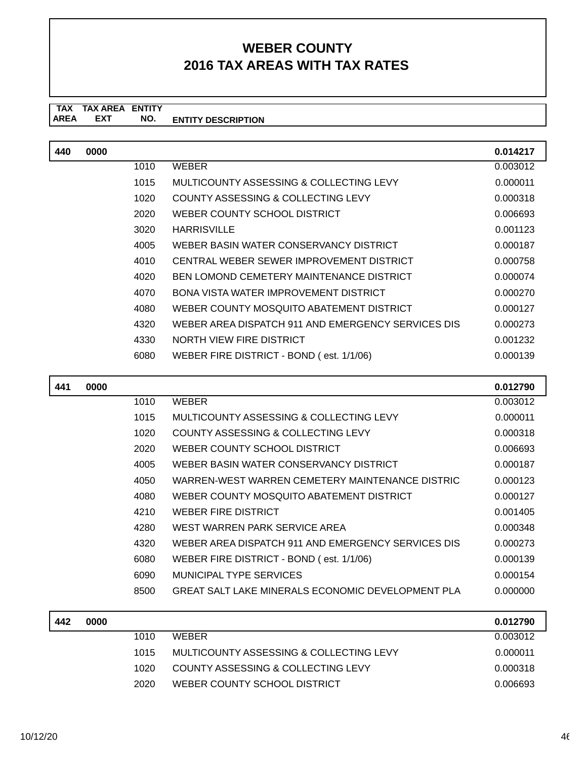| 440 | 0000 |      |                                                    | 0.014217 |
|-----|------|------|----------------------------------------------------|----------|
|     |      | 1010 | <b>WEBER</b>                                       | 0.003012 |
|     |      | 1015 | MULTICOUNTY ASSESSING & COLLECTING LEVY            | 0.000011 |
|     |      | 1020 | COUNTY ASSESSING & COLLECTING LEVY                 | 0.000318 |
|     |      | 2020 | WEBER COUNTY SCHOOL DISTRICT                       | 0.006693 |
|     |      | 3020 | <b>HARRISVILLE</b>                                 | 0.001123 |
|     |      | 4005 | WEBER BASIN WATER CONSERVANCY DISTRICT             | 0.000187 |
|     |      | 4010 | CENTRAL WEBER SEWER IMPROVEMENT DISTRICT           | 0.000758 |
|     |      | 4020 | BEN LOMOND CEMETERY MAINTENANCE DISTRICT           | 0.000074 |
|     |      | 4070 | BONA VISTA WATER IMPROVEMENT DISTRICT              | 0.000270 |
|     |      | 4080 | WEBER COUNTY MOSQUITO ABATEMENT DISTRICT           | 0.000127 |
|     |      | 4320 | WEBER AREA DISPATCH 911 AND EMERGENCY SERVICES DIS | 0.000273 |
|     |      | 4330 | <b>NORTH VIEW FIRE DISTRICT</b>                    | 0.001232 |
|     |      | 6080 | WEBER FIRE DISTRICT - BOND (est. 1/1/06)           | 0.000139 |
|     |      |      |                                                    |          |

| 441 | 0000 |      |                                                    | 0.012790 |
|-----|------|------|----------------------------------------------------|----------|
|     |      | 1010 | WEBER                                              | 0.003012 |
|     |      | 1015 | MULTICOUNTY ASSESSING & COLLECTING LEVY            | 0.000011 |
|     |      | 1020 | COUNTY ASSESSING & COLLECTING LEVY                 | 0.000318 |
|     |      | 2020 | WEBER COUNTY SCHOOL DISTRICT                       | 0.006693 |
|     |      | 4005 | WEBER BASIN WATER CONSERVANCY DISTRICT             | 0.000187 |
|     |      | 4050 | WARREN-WEST WARREN CEMETERY MAINTENANCE DISTRIC    | 0.000123 |
|     |      | 4080 | WEBER COUNTY MOSQUITO ABATEMENT DISTRICT           | 0.000127 |
|     |      | 4210 | WEBER FIRE DISTRICT                                | 0.001405 |
|     |      | 4280 | WEST WARREN PARK SERVICE AREA                      | 0.000348 |
|     |      | 4320 | WEBER AREA DISPATCH 911 AND EMERGENCY SERVICES DIS | 0.000273 |
|     |      | 6080 | WEBER FIRE DISTRICT - BOND (est. 1/1/06)           | 0.000139 |
|     |      | 6090 | MUNICIPAL TYPE SERVICES                            | 0.000154 |
|     |      | 8500 | GREAT SALT LAKE MINERALS ECONOMIC DEVELOPMENT PLA  | 0.000000 |

| 442 | 0000 |      |                                         | 0.012790 |
|-----|------|------|-----------------------------------------|----------|
|     |      | 1010 | <b>WEBER</b>                            | 0.003012 |
|     |      | 1015 | MULTICOUNTY ASSESSING & COLLECTING LEVY | 0.000011 |
|     |      | 1020 | COUNTY ASSESSING & COLLECTING LEVY      | 0.000318 |
|     |      | 2020 | WEBER COUNTY SCHOOL DISTRICT            | 0.006693 |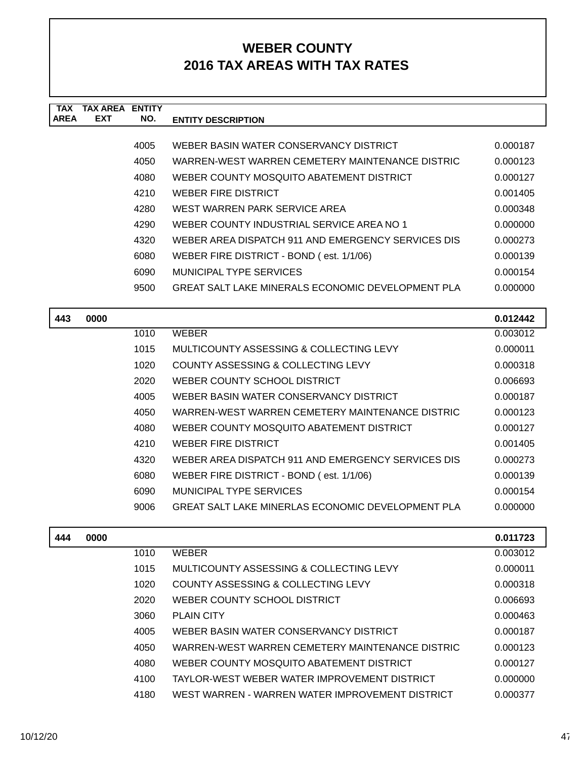| <b>TAX</b>  | TAX AREA   | <b>ENTITY</b> |                                                    |          |
|-------------|------------|---------------|----------------------------------------------------|----------|
| <b>AREA</b> | <b>EXT</b> | NO.           | <b>ENTITY DESCRIPTION</b>                          |          |
|             |            |               |                                                    |          |
|             |            | 4005          | WEBER BASIN WATER CONSERVANCY DISTRICT             | 0.000187 |
|             |            | 4050          | WARREN-WEST WARREN CEMETERY MAINTENANCE DISTRIC    | 0.000123 |
|             |            | 4080          | WEBER COUNTY MOSQUITO ABATEMENT DISTRICT           | 0.000127 |
|             |            | 4210          | WEBER FIRE DISTRICT                                | 0.001405 |
|             |            | 4280          | WEST WARREN PARK SERVICE AREA                      | 0.000348 |
|             |            | 4290          | WEBER COUNTY INDUSTRIAL SERVICE AREA NO 1          | 0.000000 |
|             |            | 4320          | WEBER AREA DISPATCH 911 AND EMERGENCY SERVICES DIS | 0.000273 |
|             |            | 6080          | WEBER FIRE DISTRICT - BOND (est. 1/1/06)           | 0.000139 |
|             |            | 6090          | MUNICIPAL TYPE SERVICES                            | 0.000154 |
|             |            | 9500          | GREAT SALT LAKE MINERALS ECONOMIC DEVELOPMENT PLA  | 0.000000 |
|             |            |               |                                                    |          |

| 443 | 0000 |      |                                                    | 0.012442 |
|-----|------|------|----------------------------------------------------|----------|
|     |      | 1010 | WEBER                                              | 0.003012 |
|     |      | 1015 | MULTICOUNTY ASSESSING & COLLECTING LEVY            | 0.000011 |
|     |      | 1020 | COUNTY ASSESSING & COLLECTING LEVY                 | 0.000318 |
|     |      | 2020 | WEBER COUNTY SCHOOL DISTRICT                       | 0.006693 |
|     |      | 4005 | WEBER BASIN WATER CONSERVANCY DISTRICT             | 0.000187 |
|     |      | 4050 | WARREN-WEST WARREN CEMETERY MAINTENANCE DISTRIC    | 0.000123 |
|     |      | 4080 | WEBER COUNTY MOSQUITO ABATEMENT DISTRICT           | 0.000127 |
|     |      | 4210 | WEBER FIRE DISTRICT                                | 0.001405 |
|     |      | 4320 | WEBER AREA DISPATCH 911 AND EMERGENCY SERVICES DIS | 0.000273 |
|     |      | 6080 | WEBER FIRE DISTRICT - BOND (est. 1/1/06)           | 0.000139 |
|     |      | 6090 | MUNICIPAL TYPE SERVICES                            | 0.000154 |
|     |      | 9006 | GREAT SALT LAKE MINERLAS ECONOMIC DEVELOPMENT PLA  | 0.000000 |
|     |      |      |                                                    |          |

| 444 | 0000 |      |                                                 | 0.011723 |
|-----|------|------|-------------------------------------------------|----------|
|     |      | 1010 | <b>WEBER</b>                                    | 0.003012 |
|     |      | 1015 | MULTICOUNTY ASSESSING & COLLECTING LEVY         | 0.000011 |
|     |      | 1020 | COUNTY ASSESSING & COLLECTING LEVY              | 0.000318 |
|     |      | 2020 | WEBER COUNTY SCHOOL DISTRICT                    | 0.006693 |
|     |      | 3060 | <b>PLAIN CITY</b>                               | 0.000463 |
|     |      | 4005 | WEBER BASIN WATER CONSERVANCY DISTRICT          | 0.000187 |
|     |      | 4050 | WARREN-WEST WARREN CEMETERY MAINTENANCE DISTRIC | 0.000123 |
|     |      | 4080 | WEBER COUNTY MOSQUITO ABATEMENT DISTRICT        | 0.000127 |
|     |      | 4100 | TAYLOR-WEST WEBER WATER IMPROVEMENT DISTRICT    | 0.000000 |
|     |      | 4180 | WEST WARREN - WARREN WATER IMPROVEMENT DISTRICT | 0.000377 |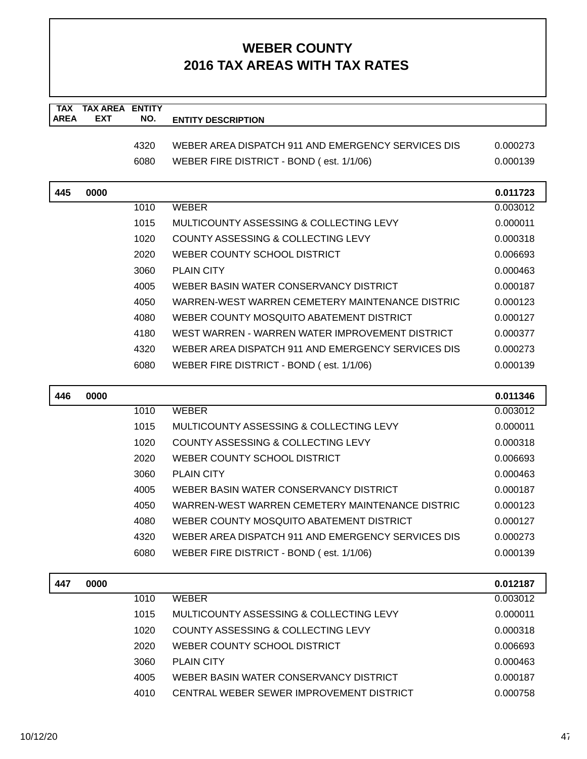| <b>TAX</b>  | <b>TAX AREA ENTITY</b> |              |                                                    |                      |
|-------------|------------------------|--------------|----------------------------------------------------|----------------------|
| <b>AREA</b> | <b>EXT</b>             | NO.          | <b>ENTITY DESCRIPTION</b>                          |                      |
|             |                        | 4320         | WEBER AREA DISPATCH 911 AND EMERGENCY SERVICES DIS | 0.000273             |
|             |                        | 6080         | WEBER FIRE DISTRICT - BOND (est. 1/1/06)           | 0.000139             |
|             |                        |              |                                                    |                      |
| 445         | 0000                   |              |                                                    | 0.011723             |
|             |                        | 1010         | <b>WEBER</b>                                       | 0.003012             |
|             |                        | 1015         | MULTICOUNTY ASSESSING & COLLECTING LEVY            | 0.000011             |
|             |                        | 1020         | COUNTY ASSESSING & COLLECTING LEVY                 | 0.000318             |
|             |                        | 2020         | WEBER COUNTY SCHOOL DISTRICT                       | 0.006693             |
|             |                        | 3060         | <b>PLAIN CITY</b>                                  | 0.000463             |
|             |                        | 4005         | WEBER BASIN WATER CONSERVANCY DISTRICT             | 0.000187             |
|             |                        | 4050         | WARREN-WEST WARREN CEMETERY MAINTENANCE DISTRIC    | 0.000123             |
|             |                        | 4080         | WEBER COUNTY MOSQUITO ABATEMENT DISTRICT           | 0.000127             |
|             |                        | 4180         | WEST WARREN - WARREN WATER IMPROVEMENT DISTRICT    | 0.000377             |
|             |                        | 4320         | WEBER AREA DISPATCH 911 AND EMERGENCY SERVICES DIS | 0.000273             |
|             |                        | 6080         | WEBER FIRE DISTRICT - BOND (est. 1/1/06)           | 0.000139             |
| 446         | 0000                   |              |                                                    | 0.011346             |
|             |                        |              |                                                    |                      |
|             |                        | 1010         | <b>WEBER</b>                                       | 0.003012             |
|             |                        | 1015         | MULTICOUNTY ASSESSING & COLLECTING LEVY            | 0.000011             |
|             |                        | 1020         | COUNTY ASSESSING & COLLECTING LEVY                 | 0.000318             |
|             |                        | 2020         | WEBER COUNTY SCHOOL DISTRICT                       | 0.006693             |
|             |                        | 3060         | <b>PLAIN CITY</b>                                  | 0.000463             |
|             |                        | 4005         | WEBER BASIN WATER CONSERVANCY DISTRICT             | 0.000187             |
|             |                        | 4050         | WARREN-WEST WARREN CEMETERY MAINTENANCE DISTRIC    | 0.000123             |
|             |                        | 4080         | WEBER COUNTY MOSQUITO ABATEMENT DISTRICT           | 0.000127             |
|             |                        | 4320         | WEBER AREA DISPATCH 911 AND EMERGENCY SERVICES DIS | 0.000273             |
|             |                        | 6080         | WEBER FIRE DISTRICT - BOND (est. 1/1/06)           | 0.000139             |
|             |                        |              |                                                    |                      |
| 447         | 0000                   |              |                                                    | 0.012187             |
|             |                        | 1010         | <b>WEBER</b>                                       | 0.003012             |
|             |                        | 1015         | MULTICOUNTY ASSESSING & COLLECTING LEVY            | 0.000011             |
|             |                        | 1020         | COUNTY ASSESSING & COLLECTING LEVY                 | 0.000318             |
|             |                        | 2020<br>3060 | WEBER COUNTY SCHOOL DISTRICT<br><b>PLAIN CITY</b>  | 0.006693<br>0.000463 |

4010 CENTRAL WEBER SEWER IMPROVEMENT DISTRICT 0.000758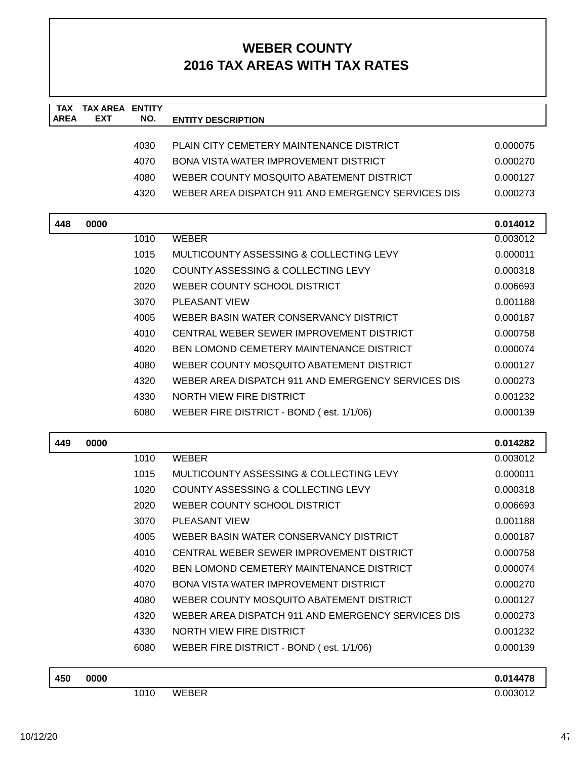| <b>TAX</b><br><b>AREA</b> | <b>TAX AREA ENTITY</b><br><b>EXT</b> | NO.  | <b>ENTITY DESCRIPTION</b>                          |          |
|---------------------------|--------------------------------------|------|----------------------------------------------------|----------|
|                           |                                      |      |                                                    |          |
|                           |                                      | 4030 | PLAIN CITY CEMETERY MAINTENANCE DISTRICT           | 0.000075 |
|                           |                                      | 4070 | <b>BONA VISTA WATER IMPROVEMENT DISTRICT</b>       | 0.000270 |
|                           |                                      | 4080 | WEBER COUNTY MOSQUITO ABATEMENT DISTRICT           | 0.000127 |
|                           |                                      | 4320 | WEBER AREA DISPATCH 911 AND EMERGENCY SERVICES DIS | 0.000273 |
| 448                       | 0000                                 |      |                                                    | 0.014012 |
|                           |                                      | 1010 | <b>WEBER</b>                                       | 0.003012 |
|                           |                                      | 1015 | MULTICOUNTY ASSESSING & COLLECTING LEVY            | 0.000011 |
|                           |                                      | 1020 | COUNTY ASSESSING & COLLECTING LEVY                 | 0.000318 |
|                           |                                      | 2020 | WEBER COUNTY SCHOOL DISTRICT                       | 0.006693 |
|                           |                                      | 3070 | <b>PLEASANT VIEW</b>                               | 0.001188 |
|                           |                                      | 4005 | WEBER BASIN WATER CONSERVANCY DISTRICT             | 0.000187 |
|                           |                                      | 4010 | CENTRAL WEBER SEWER IMPROVEMENT DISTRICT           | 0.000758 |
|                           |                                      | 4020 | BEN LOMOND CEMETERY MAINTENANCE DISTRICT           | 0.000074 |
|                           |                                      | 4080 | WEBER COUNTY MOSQUITO ABATEMENT DISTRICT           | 0.000127 |
|                           |                                      | 4320 | WEBER AREA DISPATCH 911 AND EMERGENCY SERVICES DIS | 0.000273 |
|                           |                                      | 4330 | NORTH VIEW FIRE DISTRICT                           | 0.001232 |
|                           |                                      | 6080 | WEBER FIRE DISTRICT - BOND (est. 1/1/06)           | 0.000139 |
| 449                       | 0000                                 |      |                                                    | 0.014282 |
|                           |                                      | 1010 | <b>WEBER</b>                                       | 0.003012 |
|                           |                                      | 1015 | MULTICOUNTY ASSESSING & COLLECTING LEVY            | 0.000011 |
|                           |                                      | 1020 | COUNTY ASSESSING & COLLECTING LEVY                 | 0.000318 |
|                           |                                      | 2020 | WEBER COUNTY SCHOOL DISTRICT                       | 0.006693 |
|                           |                                      | 3070 | PLEASANT VIEW                                      | 0.001188 |
|                           |                                      | 4005 | WEBER BASIN WATER CONSERVANCY DISTRICT             | 0.000187 |
|                           |                                      | 4010 | CENTRAL WEBER SEWER IMPROVEMENT DISTRICT           | 0.000758 |
|                           |                                      | 4020 | <b>BEN LOMOND CEMETERY MAINTENANCE DISTRICT</b>    | 0.000074 |
|                           |                                      | 4070 | <b>BONA VISTA WATER IMPROVEMENT DISTRICT</b>       | 0.000270 |
|                           |                                      | 4080 | WEBER COUNTY MOSQUITO ABATEMENT DISTRICT           | 0.000127 |
|                           |                                      | 4320 | WEBER AREA DISPATCH 911 AND EMERGENCY SERVICES DIS | 0.000273 |
|                           |                                      | 4330 | <b>NORTH VIEW FIRE DISTRICT</b>                    | 0.001232 |
|                           |                                      | 6080 | WEBER FIRE DISTRICT - BOND (est. 1/1/06)           | 0.000139 |
| 450                       | 0000                                 |      |                                                    | 0.014478 |

1010 WEBER 0.003012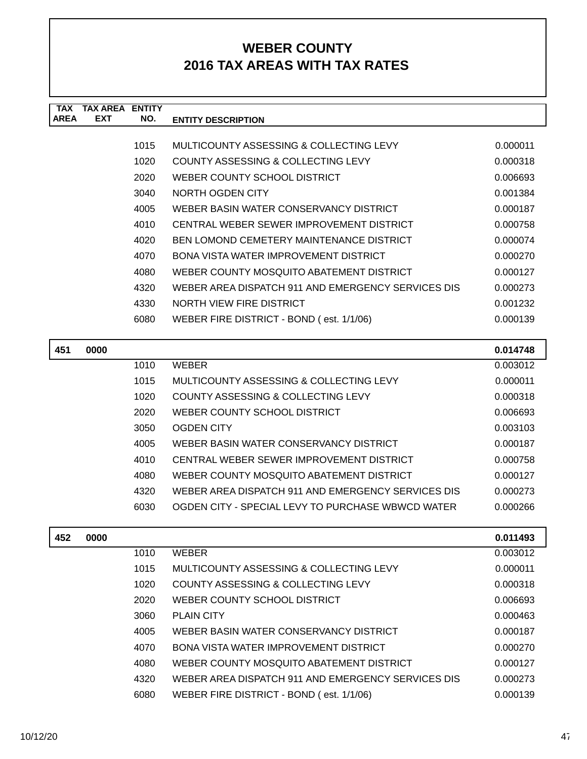| <b>TAX</b>  | TAX AREA   | <b>ENTITY</b> |                                                    |          |
|-------------|------------|---------------|----------------------------------------------------|----------|
| <b>AREA</b> | <b>EXT</b> | NO.           | <b>ENTITY DESCRIPTION</b>                          |          |
|             |            |               |                                                    |          |
|             |            | 1015          | MULTICOUNTY ASSESSING & COLLECTING LEVY            | 0.000011 |
|             |            | 1020          | COUNTY ASSESSING & COLLECTING LEVY                 | 0.000318 |
|             |            | 2020          | WEBER COUNTY SCHOOL DISTRICT                       | 0.006693 |
|             |            | 3040          | NORTH OGDEN CITY                                   | 0.001384 |
|             |            | 4005          | WEBER BASIN WATER CONSERVANCY DISTRICT             | 0.000187 |
|             |            | 4010          | CENTRAL WEBER SEWER IMPROVEMENT DISTRICT           | 0.000758 |
|             |            | 4020          | BEN LOMOND CEMETERY MAINTENANCE DISTRICT           | 0.000074 |
|             |            | 4070          | BONA VISTA WATER IMPROVEMENT DISTRICT              | 0.000270 |
|             |            | 4080          | WEBER COUNTY MOSQUITO ABATEMENT DISTRICT           | 0.000127 |
|             |            | 4320          | WEBER AREA DISPATCH 911 AND EMERGENCY SERVICES DIS | 0.000273 |
|             |            | 4330          | NORTH VIEW FIRE DISTRICT                           | 0.001232 |
|             |            | 6080          | WEBER FIRE DISTRICT - BOND (est. 1/1/06)           | 0.000139 |
|             |            |               |                                                    |          |
| 451         | 0000       |               |                                                    | 0.014748 |
|             |            | 1010          | <b>WEBER</b>                                       | 0.003012 |
|             |            | 1015          | MULTICOUNTY ASSESSING & COLLECTING LEVY            | 0.000011 |
|             |            | 1020          | COUNTY ASSESSING & COLLECTING LEVY                 | 0.000318 |
|             |            | 2020          | WEBER COUNTY SCHOOL DISTRICT                       | 0.006693 |
|             |            | 3050          | <b>OGDEN CITY</b>                                  | 0.003103 |
|             |            |               |                                                    |          |

| 4005 | WEBER BASIN WATER CONSERVANCY DISTRICT             | 0.000187 |
|------|----------------------------------------------------|----------|
| 4010 | CENTRAL WEBER SEWER IMPROVEMENT DISTRICT           | 0.000758 |
| 4080 | WEBER COUNTY MOSQUITO ABATEMENT DISTRICT           | 0.000127 |
| 4320 | WEBER AREA DISPATCH 911 AND EMERGENCY SERVICES DIS | 0.000273 |
| 6030 | OGDEN CITY - SPECIAL LEVY TO PURCHASE WBWCD WATER  | 0.000266 |

| 452 | 0000 |      |                                                    | 0.011493 |
|-----|------|------|----------------------------------------------------|----------|
|     |      | 1010 | <b>WEBER</b>                                       | 0.003012 |
|     |      | 1015 | MULTICOUNTY ASSESSING & COLLECTING LEVY            | 0.000011 |
|     |      | 1020 | COUNTY ASSESSING & COLLECTING LEVY                 | 0.000318 |
|     |      | 2020 | WEBER COUNTY SCHOOL DISTRICT                       | 0.006693 |
|     |      | 3060 | <b>PLAIN CITY</b>                                  | 0.000463 |
|     |      | 4005 | WEBER BASIN WATER CONSERVANCY DISTRICT             | 0.000187 |
|     |      | 4070 | BONA VISTA WATER IMPROVEMENT DISTRICT              | 0.000270 |
|     |      | 4080 | WEBER COUNTY MOSQUITO ABATEMENT DISTRICT           | 0.000127 |
|     |      | 4320 | WEBER AREA DISPATCH 911 AND EMERGENCY SERVICES DIS | 0.000273 |
|     |      | 6080 | WEBER FIRE DISTRICT - BOND (est. 1/1/06)           | 0.000139 |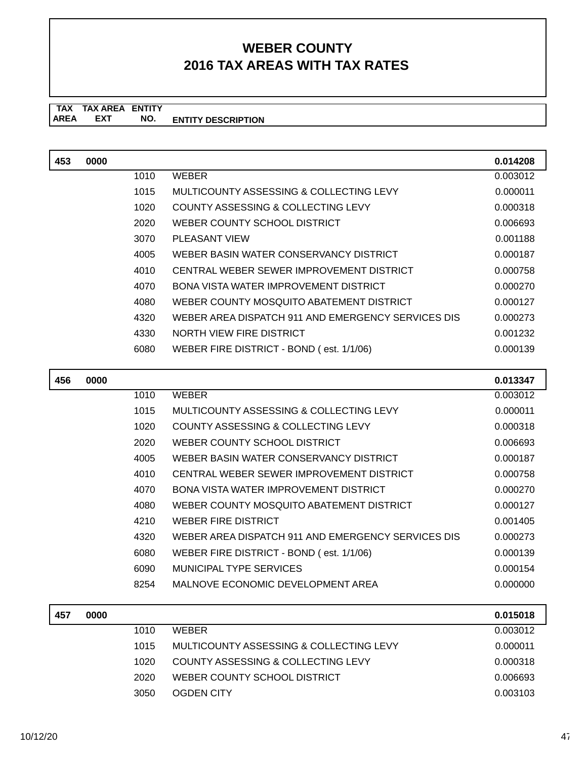| 453 | 0000 |      |                                                    | 0.014208 |
|-----|------|------|----------------------------------------------------|----------|
|     |      | 1010 | <b>WEBER</b>                                       | 0.003012 |
|     |      | 1015 | MULTICOUNTY ASSESSING & COLLECTING LEVY            | 0.000011 |
|     |      | 1020 | <b>COUNTY ASSESSING &amp; COLLECTING LEVY</b>      | 0.000318 |
|     |      | 2020 | WEBER COUNTY SCHOOL DISTRICT                       | 0.006693 |
|     |      | 3070 | <b>PLEASANT VIEW</b>                               | 0.001188 |
|     |      | 4005 | WEBER BASIN WATER CONSERVANCY DISTRICT             | 0.000187 |
|     |      | 4010 | CENTRAL WEBER SEWER IMPROVEMENT DISTRICT           | 0.000758 |
|     |      | 4070 | <b>BONA VISTA WATER IMPROVEMENT DISTRICT</b>       | 0.000270 |
|     |      | 4080 | WEBER COUNTY MOSQUITO ABATEMENT DISTRICT           | 0.000127 |
|     |      | 4320 | WEBER AREA DISPATCH 911 AND EMERGENCY SERVICES DIS | 0.000273 |
|     |      | 4330 | NORTH VIEW FIRE DISTRICT                           | 0.001232 |
|     |      | 6080 | WEBER FIRE DISTRICT - BOND (est. 1/1/06)           | 0.000139 |
|     |      |      |                                                    |          |
| 456 | 0000 |      |                                                    | 0.013347 |
|     |      | 1010 | <b>WEBER</b>                                       | 0.003012 |
|     |      | 1015 | MULTICOUNTY ASSESSING & COLLECTING LEVY            | 0.000011 |
|     |      | 1020 | <b>COUNTY ASSESSING &amp; COLLECTING LEVY</b>      | 0.000318 |
|     |      | 2020 | WEBER COUNTY SCHOOL DISTRICT                       | 0.006693 |
|     |      | 4005 | WEBER BASIN WATER CONSERVANCY DISTRICT             | 0.000187 |
|     |      | 4010 | CENTRAL WEBER SEWER IMPROVEMENT DISTRICT           | 0.000758 |
|     |      | 4070 | <b>BONA VISTA WATER IMPROVEMENT DISTRICT</b>       | 0.000270 |
|     |      | 4080 | WEBER COUNTY MOSQUITO ABATEMENT DISTRICT           | 0.000127 |
|     |      | 4210 | <b>WEBER FIRE DISTRICT</b>                         | 0.001405 |
|     |      | 4320 | WEBER AREA DISPATCH 911 AND EMERGENCY SERVICES DIS | 0.000273 |

| 6080 | WEBER FIRE DISTRICT - BOND (est. 1/1/06) | 0.000139 |
|------|------------------------------------------|----------|
| 6090 | MUNICIPAL TYPE SERVICES                  | 0.000154 |
| 8254 | MALNOVE ECONOMIC DEVELOPMENT AREA        | 0.000000 |

| 0000 |      |                                         | 0.015018 |
|------|------|-----------------------------------------|----------|
|      | 1010 | <b>WFRFR</b>                            | 0.003012 |
|      | 1015 | MULTICOUNTY ASSESSING & COLLECTING LEVY | 0.000011 |
|      | 1020 | COUNTY ASSESSING & COLLECTING LEVY      | 0.000318 |
|      | 2020 | WEBER COUNTY SCHOOL DISTRICT            | 0.006693 |
|      | 3050 | OGDEN CITY                              | 0.003103 |
|      |      |                                         |          |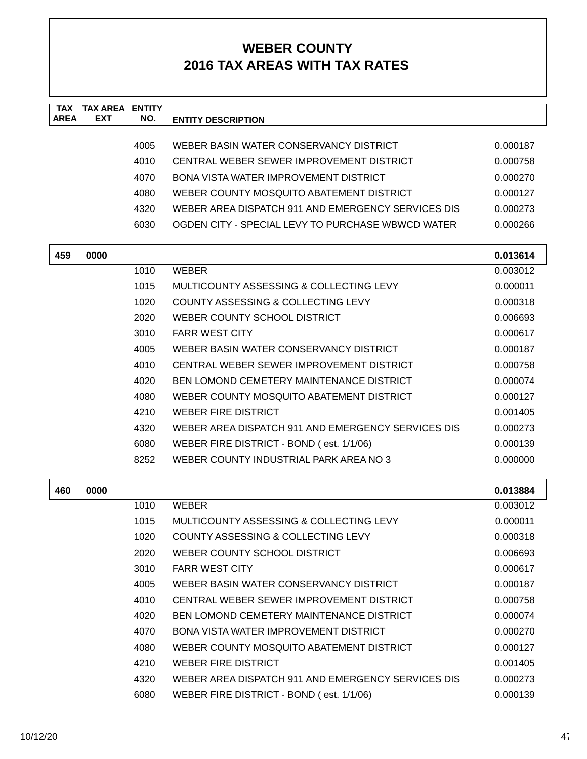| <b>TAX</b><br><b>AREA</b> | <b>TAX AREA ENTITY</b><br><b>EXT</b> | NO.  |                                                    |          |
|---------------------------|--------------------------------------|------|----------------------------------------------------|----------|
|                           |                                      |      | <b>ENTITY DESCRIPTION</b>                          |          |
|                           |                                      | 4005 | WEBER BASIN WATER CONSERVANCY DISTRICT             | 0.000187 |
|                           |                                      | 4010 | CENTRAL WEBER SEWER IMPROVEMENT DISTRICT           | 0.000758 |
|                           |                                      | 4070 | <b>BONA VISTA WATER IMPROVEMENT DISTRICT</b>       | 0.000270 |
|                           |                                      | 4080 | WEBER COUNTY MOSQUITO ABATEMENT DISTRICT           | 0.000127 |
|                           |                                      | 4320 | WEBER AREA DISPATCH 911 AND EMERGENCY SERVICES DIS | 0.000273 |
|                           |                                      | 6030 | OGDEN CITY - SPECIAL LEVY TO PURCHASE WBWCD WATER  | 0.000266 |
|                           |                                      |      |                                                    |          |
| 459                       | 0000                                 |      |                                                    | 0.013614 |
|                           |                                      | 1010 | <b>WEBER</b>                                       | 0.003012 |
|                           |                                      | 1015 | MULTICOUNTY ASSESSING & COLLECTING LEVY            | 0.000011 |
|                           |                                      | 1020 | COUNTY ASSESSING & COLLECTING LEVY                 | 0.000318 |
|                           |                                      | 2020 | WEBER COUNTY SCHOOL DISTRICT                       | 0.006693 |
|                           |                                      | 3010 | <b>FARR WEST CITY</b>                              | 0.000617 |
|                           |                                      | 4005 | WEBER BASIN WATER CONSERVANCY DISTRICT             | 0.000187 |
|                           |                                      | 4010 | CENTRAL WEBER SEWER IMPROVEMENT DISTRICT           | 0.000758 |
|                           |                                      | 4020 | <b>BEN LOMOND CEMETERY MAINTENANCE DISTRICT</b>    | 0.000074 |
|                           |                                      | 4080 | WEBER COUNTY MOSQUITO ABATEMENT DISTRICT           | 0.000127 |
|                           |                                      | 4210 | <b>WEBER FIRE DISTRICT</b>                         | 0.001405 |
|                           |                                      | 4320 | WEBER AREA DISPATCH 911 AND EMERGENCY SERVICES DIS | 0.000273 |
|                           |                                      | 6080 | WEBER FIRE DISTRICT - BOND (est. 1/1/06)           | 0.000139 |
|                           |                                      | 8252 | WEBER COUNTY INDUSTRIAL PARK AREA NO 3             | 0.000000 |
|                           |                                      |      |                                                    |          |
| 460                       | 0000                                 |      |                                                    | 0.013884 |
|                           |                                      | 1010 | <b>WEBER</b>                                       | 0.003012 |
|                           |                                      | 1015 | MULTICOUNTY ASSESSING & COLLECTING LEVY            | 0.000011 |
|                           |                                      | 1020 | COUNTY ASSESSING & COLLECTING LEVY                 | 0.000318 |
|                           |                                      | 2020 | WEBER COUNTY SCHOOL DISTRICT                       | 0.006693 |
|                           |                                      | 3010 | <b>FARR WEST CITY</b>                              | 0.000617 |
|                           |                                      | 4005 | WEBER BASIN WATER CONSERVANCY DISTRICT             | 0.000187 |
|                           |                                      | 4010 | CENTRAL WEBER SEWER IMPROVEMENT DISTRICT           | 0.000758 |
|                           |                                      | 4020 | <b>BEN LOMOND CEMETERY MAINTENANCE DISTRICT</b>    | 0.000074 |
|                           |                                      | 4070 | BONA VISTA WATER IMPROVEMENT DISTRICT              | 0.000270 |
|                           |                                      | 4080 | WEBER COUNTY MOSQUITO ABATEMENT DISTRICT           | 0.000127 |
|                           |                                      | 4210 | <b>WEBER FIRE DISTRICT</b>                         | 0.001405 |
|                           |                                      | 4320 | WEBER AREA DISPATCH 911 AND EMERGENCY SERVICES DIS | 0.000273 |
|                           |                                      | 6080 | WEBER FIRE DISTRICT - BOND (est. 1/1/06)           | 0.000139 |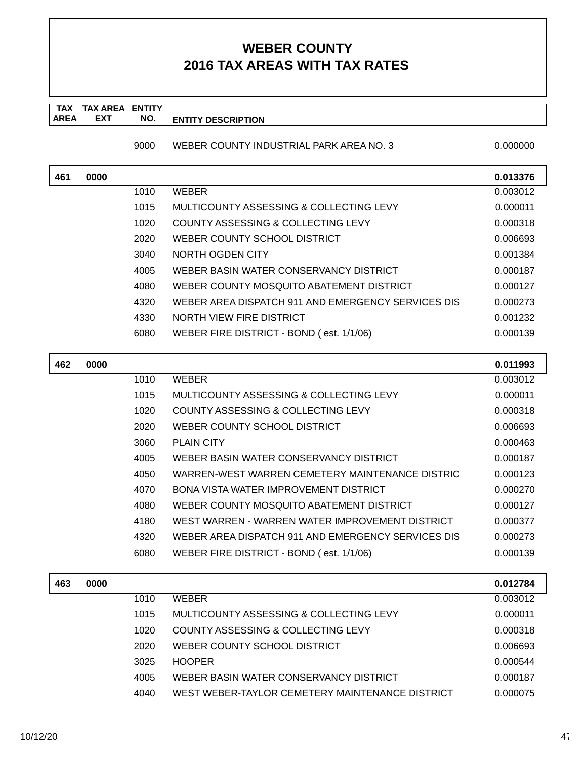#### **TAX TAX AREA ENTITY AREA ENTITY DESCRIPTION EXT NO.**

#### 9000 WEBER COUNTY INDUSTRIAL PARK AREA NO. 3 0.000000 0.000000

| 461 | 0000 |      |                                                    | 0.013376 |
|-----|------|------|----------------------------------------------------|----------|
|     |      | 1010 | WEBER                                              | 0.003012 |
|     |      | 1015 | MULTICOUNTY ASSESSING & COLLECTING LEVY            | 0.000011 |
|     |      | 1020 | COUNTY ASSESSING & COLLECTING LEVY                 | 0.000318 |
|     |      | 2020 | WEBER COUNTY SCHOOL DISTRICT                       | 0.006693 |
|     |      | 3040 | NORTH OGDEN CITY                                   | 0.001384 |
|     |      | 4005 | WEBER BASIN WATER CONSERVANCY DISTRICT             | 0.000187 |
|     |      | 4080 | WEBER COUNTY MOSQUITO ABATEMENT DISTRICT           | 0.000127 |
|     |      | 4320 | WEBER AREA DISPATCH 911 AND EMERGENCY SERVICES DIS | 0.000273 |
|     |      | 4330 | NORTH VIEW FIRE DISTRICT                           | 0.001232 |
|     |      | 6080 | WEBER FIRE DISTRICT - BOND (est. 1/1/06)           | 0.000139 |
|     |      |      |                                                    |          |

| 462 | 0000 |      |                                                    | 0.011993 |
|-----|------|------|----------------------------------------------------|----------|
|     |      | 1010 | <b>WEBER</b>                                       | 0.003012 |
|     |      | 1015 | MULTICOUNTY ASSESSING & COLLECTING LEVY            | 0.000011 |
|     |      | 1020 | COUNTY ASSESSING & COLLECTING LEVY                 | 0.000318 |
|     |      | 2020 | WEBER COUNTY SCHOOL DISTRICT                       | 0.006693 |
|     |      | 3060 | <b>PLAIN CITY</b>                                  | 0.000463 |
|     |      | 4005 | WEBER BASIN WATER CONSERVANCY DISTRICT             | 0.000187 |
|     |      | 4050 | WARREN-WEST WARREN CEMETERY MAINTENANCE DISTRIC    | 0.000123 |
|     |      | 4070 | BONA VISTA WATER IMPROVEMENT DISTRICT              | 0.000270 |
|     |      | 4080 | WEBER COUNTY MOSQUITO ABATEMENT DISTRICT           | 0.000127 |
|     |      | 4180 | WEST WARREN - WARREN WATER IMPROVEMENT DISTRICT    | 0.000377 |
|     |      | 4320 | WEBER AREA DISPATCH 911 AND EMERGENCY SERVICES DIS | 0.000273 |
|     |      | 6080 | WEBER FIRE DISTRICT - BOND (est. 1/1/06)           | 0.000139 |
|     |      |      |                                                    |          |

| 463 | 0000 |      |                                                 | 0.012784 |
|-----|------|------|-------------------------------------------------|----------|
|     |      | 1010 | <b>WEBER</b>                                    | 0.003012 |
|     |      | 1015 | MULTICOUNTY ASSESSING & COLLECTING LEVY         | 0.000011 |
|     |      | 1020 | COUNTY ASSESSING & COLLECTING LEVY              | 0.000318 |
|     |      | 2020 | WEBER COUNTY SCHOOL DISTRICT                    | 0.006693 |
|     |      | 3025 | <b>HOOPER</b>                                   | 0.000544 |
|     |      | 4005 | WEBER BASIN WATER CONSERVANCY DISTRICT          | 0.000187 |
|     |      | 4040 | WEST WEBER-TAYLOR CEMETERY MAINTENANCE DISTRICT | 0.000075 |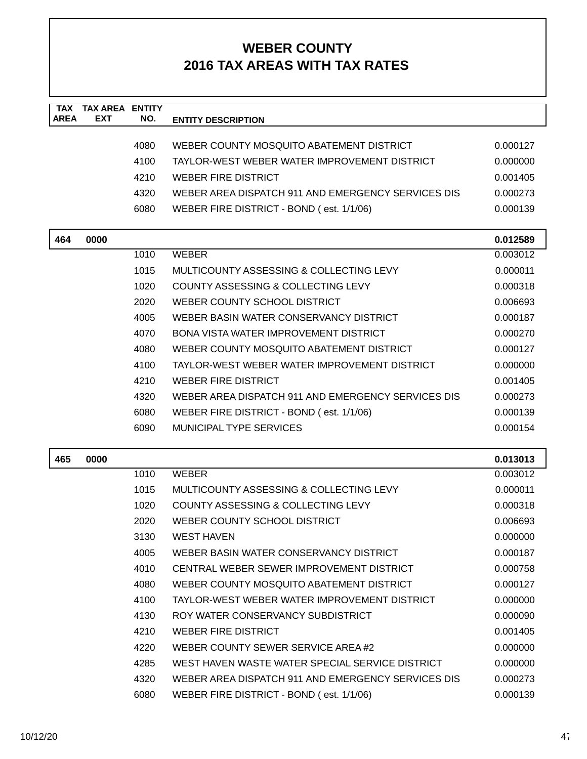| <b>TAX</b>  | <b>TAX AREA ENTITY</b> |      |                                                    |          |
|-------------|------------------------|------|----------------------------------------------------|----------|
| <b>AREA</b> | <b>EXT</b>             | NO.  | <b>ENTITY DESCRIPTION</b>                          |          |
|             |                        |      |                                                    |          |
|             |                        | 4080 | WEBER COUNTY MOSQUITO ABATEMENT DISTRICT           | 0.000127 |
|             |                        | 4100 | TAYLOR-WEST WEBER WATER IMPROVEMENT DISTRICT       | 0.000000 |
|             |                        | 4210 | WEBER FIRE DISTRICT                                | 0.001405 |
|             |                        | 4320 | WEBER AREA DISPATCH 911 AND EMERGENCY SERVICES DIS | 0.000273 |
|             |                        | 6080 | WEBER FIRE DISTRICT - BOND (est. 1/1/06)           | 0.000139 |
| 464         | 0000                   |      |                                                    | 0.012589 |
|             |                        | 1010 | <b>WEBER</b>                                       | 0.003012 |
|             |                        | 1015 | MULTICOUNTY ASSESSING & COLLECTING LEVY            | 0.000011 |
|             |                        | 1020 | COUNTY ASSESSING & COLLECTING LEVY                 | 0.000318 |
|             |                        | 2020 | WEBER COUNTY SCHOOL DISTRICT                       | 0.006693 |
|             |                        | 4005 | WEBER BASIN WATER CONSERVANCY DISTRICT             | 0.000187 |
|             |                        | 4070 | <b>BONA VISTA WATER IMPROVEMENT DISTRICT</b>       | 0.000270 |
|             |                        | 4080 | WEBER COUNTY MOSQUITO ABATEMENT DISTRICT           | 0.000127 |
|             |                        | 4100 | TAYLOR-WEST WEBER WATER IMPROVEMENT DISTRICT       | 0.000000 |
|             |                        | 4210 | <b>WEBER FIRE DISTRICT</b>                         | 0.001405 |
|             |                        | 4320 | WEBER AREA DISPATCH 911 AND EMERGENCY SERVICES DIS | 0.000273 |
|             |                        | 6080 | WEBER FIRE DISTRICT - BOND (est. 1/1/06)           | 0.000139 |
|             |                        | 6090 | <b>MUNICIPAL TYPE SERVICES</b>                     | 0.000154 |
|             |                        |      |                                                    |          |
| 465         | 0000                   |      |                                                    | 0.013013 |
|             |                        | 1010 | <b>WEBER</b>                                       | 0.003012 |
|             |                        | 1015 | MULTICOUNTY ASSESSING & COLLECTING LEVY            | 0.000011 |
|             |                        | 1020 | COUNTY ASSESSING & COLLECTING LEVY                 | 0.000318 |
|             |                        | 2020 | WEBER COUNTY SCHOOL DISTRICT                       | 0.006693 |
|             |                        | 3130 | <b>WEST HAVEN</b>                                  | 0.000000 |
|             |                        | 4005 | WEBER BASIN WATER CONSERVANCY DISTRICT             | 0.000187 |
|             |                        | 4010 | CENTRAL WEBER SEWER IMPROVEMENT DISTRICT           | 0.000758 |
|             |                        | 4080 | WEBER COUNTY MOSQUITO ABATEMENT DISTRICT           | 0.000127 |
|             |                        | 4100 | TAYLOR-WEST WEBER WATER IMPROVEMENT DISTRICT       | 0.000000 |
|             |                        | 4130 | ROY WATER CONSERVANCY SUBDISTRICT                  | 0.000090 |
|             |                        | 4210 | <b>WEBER FIRE DISTRICT</b>                         | 0.001405 |
|             |                        | 4220 | WEBER COUNTY SEWER SERVICE AREA#2                  | 0.000000 |
|             |                        | 4285 | WEST HAVEN WASTE WATER SPECIAL SERVICE DISTRICT    | 0.000000 |
|             |                        | 4320 | WEBER AREA DISPATCH 911 AND EMERGENCY SERVICES DIS | 0.000273 |
|             |                        | 6080 | WEBER FIRE DISTRICT - BOND (est. 1/1/06)           | 0.000139 |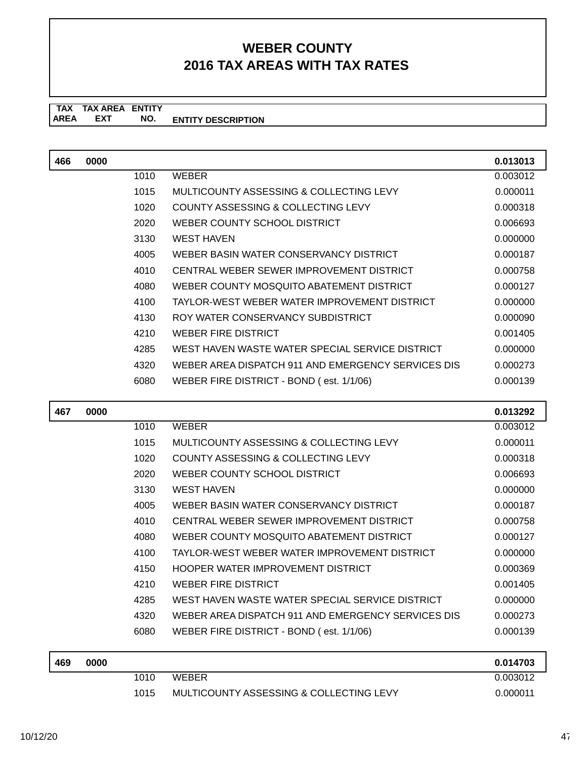| 466 | 0000 |      |                                                    | 0.013013 |
|-----|------|------|----------------------------------------------------|----------|
|     |      | 1010 | <b>WEBER</b>                                       | 0.003012 |
|     |      | 1015 | MULTICOUNTY ASSESSING & COLLECTING LEVY            | 0.000011 |
|     |      | 1020 | COUNTY ASSESSING & COLLECTING LEVY                 | 0.000318 |
|     |      | 2020 | WEBER COUNTY SCHOOL DISTRICT                       | 0.006693 |
|     |      | 3130 | <b>WEST HAVEN</b>                                  | 0.000000 |
|     |      | 4005 | WEBER BASIN WATER CONSERVANCY DISTRICT             | 0.000187 |
|     |      | 4010 | CENTRAL WEBER SEWER IMPROVEMENT DISTRICT           | 0.000758 |
|     |      | 4080 | WEBER COUNTY MOSQUITO ABATEMENT DISTRICT           | 0.000127 |
|     |      | 4100 | TAYLOR-WEST WEBER WATER IMPROVEMENT DISTRICT       | 0.000000 |
|     |      | 4130 | ROY WATER CONSERVANCY SUBDISTRICT                  | 0.000090 |
|     |      | 4210 | <b>WEBER FIRE DISTRICT</b>                         | 0.001405 |
|     |      | 4285 | WEST HAVEN WASTE WATER SPECIAL SERVICE DISTRICT    | 0.000000 |
|     |      | 4320 | WEBER AREA DISPATCH 911 AND EMERGENCY SERVICES DIS | 0.000273 |
|     |      | 6080 | WEBER FIRE DISTRICT - BOND (est. 1/1/06)           | 0.000139 |
|     |      |      |                                                    |          |
|     |      |      |                                                    |          |
| 467 | 0000 |      |                                                    | 0.013292 |
|     |      | 1010 | <b>WEBER</b>                                       | 0.003012 |
|     |      | 1015 | MULTICOUNTY ASSESSING & COLLECTING LEVY            | 0.000011 |
|     |      | 1020 | COUNTY ASSESSING & COLLECTING LEVY                 | 0.000318 |
|     |      | 2020 | WEBER COUNTY SCHOOL DISTRICT                       | 0.006693 |
|     |      | 3130 | <b>WEST HAVEN</b>                                  | 0.000000 |
|     |      | 4005 | WEBER BASIN WATER CONSERVANCY DISTRICT             | 0.000187 |
|     |      | 4010 | CENTRAL WEBER SEWER IMPROVEMENT DISTRICT           | 0.000758 |
|     |      | 4080 | WEBER COUNTY MOSQUITO ABATEMENT DISTRICT           | 0.000127 |
|     |      | 4100 | TAYLOR-WEST WEBER WATER IMPROVEMENT DISTRICT       | 0.000000 |
|     |      | 4150 | HOOPER WATER IMPROVEMENT DISTRICT                  | 0.000369 |
|     |      | 4210 | <b>WEBER FIRE DISTRICT</b>                         | 0.001405 |
|     |      | 4285 | WEST HAVEN WASTE WATER SPECIAL SERVICE DISTRICT    | 0.000000 |
|     |      | 4320 | WEBER AREA DISPATCH 911 AND EMERGENCY SERVICES DIS | 0.000273 |
|     |      | 6080 | WEBER FIRE DISTRICT - BOND (est. 1/1/06)           | 0.000139 |
|     |      |      |                                                    |          |

| 469 | 0000 |      |                                         | 0.014703 |
|-----|------|------|-----------------------------------------|----------|
|     |      | 1010 | <b>WEBER</b>                            | 0.003012 |
|     |      | 1015 | MULTICOUNTY ASSESSING & COLLECTING LEVY | 0.000011 |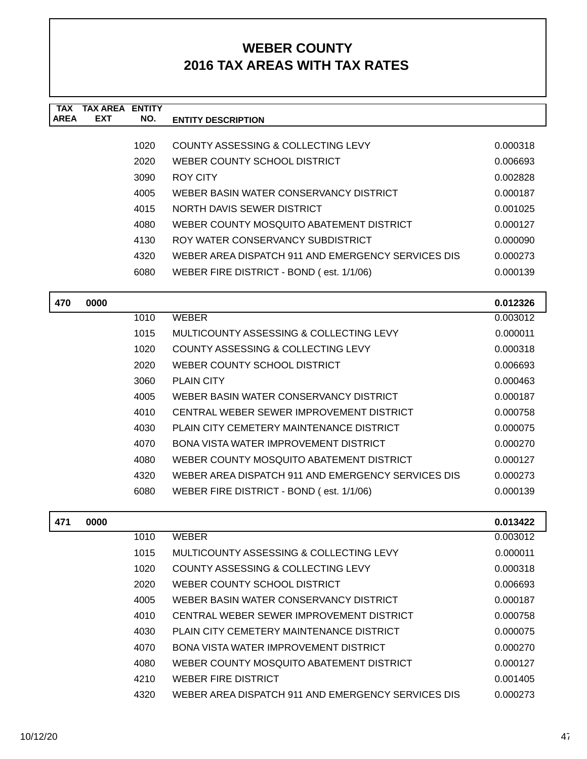| TAX         | TAX AREA   | <b>ENTITY</b> |                                                    |          |
|-------------|------------|---------------|----------------------------------------------------|----------|
| <b>AREA</b> | <b>EXT</b> | NO.           | <b>ENTITY DESCRIPTION</b>                          |          |
|             |            |               |                                                    |          |
|             |            | 1020          | COUNTY ASSESSING & COLLECTING LEVY                 | 0.000318 |
|             |            | 2020          | WEBER COUNTY SCHOOL DISTRICT                       | 0.006693 |
|             |            | 3090          | ROY CITY                                           | 0.002828 |
|             |            | 4005          | WEBER BASIN WATER CONSERVANCY DISTRICT             | 0.000187 |
|             |            | 4015          | NORTH DAVIS SEWER DISTRICT                         | 0.001025 |
|             |            | 4080          | WEBER COUNTY MOSQUITO ABATEMENT DISTRICT           | 0.000127 |
|             |            | 4130          | ROY WATER CONSERVANCY SUBDISTRICT                  | 0.000090 |
|             |            | 4320          | WEBER AREA DISPATCH 911 AND EMERGENCY SERVICES DIS | 0.000273 |
|             |            | 6080          | WEBER FIRE DISTRICT - BOND (est. 1/1/06)           | 0.000139 |
|             |            |               |                                                    |          |
| 470         | 0000       |               |                                                    | 0.012326 |
|             |            | 1010          | <b>WEBER</b>                                       | 0.003012 |

| 1010 | <b>WEBER</b>                                       | 0.003012 |
|------|----------------------------------------------------|----------|
| 1015 | MULTICOUNTY ASSESSING & COLLECTING LEVY            | 0.000011 |
| 1020 | COUNTY ASSESSING & COLLECTING LEVY                 | 0.000318 |
| 2020 | WEBER COUNTY SCHOOL DISTRICT                       | 0.006693 |
| 3060 | <b>PLAIN CITY</b>                                  | 0.000463 |
| 4005 | WEBER BASIN WATER CONSERVANCY DISTRICT             | 0.000187 |
| 4010 | CENTRAL WEBER SEWER IMPROVEMENT DISTRICT           | 0.000758 |
| 4030 | PLAIN CITY CEMETERY MAINTENANCE DISTRICT           | 0.000075 |
| 4070 | <b>BONA VISTA WATER IMPROVEMENT DISTRICT</b>       | 0.000270 |
| 4080 | WEBER COUNTY MOSQUITO ABATEMENT DISTRICT           | 0.000127 |
| 4320 | WEBER AREA DISPATCH 911 AND EMERGENCY SERVICES DIS | 0.000273 |
| 6080 | WEBER FIRE DISTRICT - BOND (est. 1/1/06)           | 0.000139 |
|      |                                                    |          |

| 471 | 0000 |      |                                                    | 0.013422 |
|-----|------|------|----------------------------------------------------|----------|
|     |      | 1010 | <b>WEBER</b>                                       | 0.003012 |
|     |      | 1015 | MULTICOUNTY ASSESSING & COLLECTING LEVY            | 0.000011 |
|     |      | 1020 | COUNTY ASSESSING & COLLECTING LEVY                 | 0.000318 |
|     |      | 2020 | WEBER COUNTY SCHOOL DISTRICT                       | 0.006693 |
|     |      | 4005 | WEBER BASIN WATER CONSERVANCY DISTRICT             | 0.000187 |
|     |      | 4010 | CENTRAL WEBER SEWER IMPROVEMENT DISTRICT           | 0.000758 |
|     |      | 4030 | PLAIN CITY CEMETERY MAINTENANCE DISTRICT           | 0.000075 |
|     |      | 4070 | BONA VISTA WATER IMPROVEMENT DISTRICT              | 0.000270 |
|     |      | 4080 | WEBER COUNTY MOSQUITO ABATEMENT DISTRICT           | 0.000127 |
|     |      | 4210 | WEBER FIRE DISTRICT                                | 0.001405 |
|     |      | 4320 | WEBER AREA DISPATCH 911 AND EMERGENCY SERVICES DIS | 0.000273 |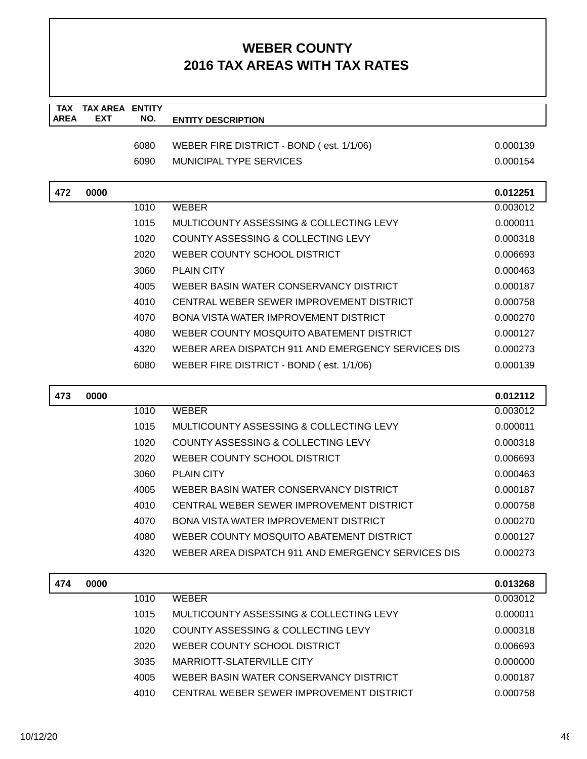| <b>TAX</b>  | <b>TAX AREA ENTITY</b> |      |                                                    |          |
|-------------|------------------------|------|----------------------------------------------------|----------|
| <b>AREA</b> | <b>EXT</b>             | NO.  | <b>ENTITY DESCRIPTION</b>                          |          |
|             |                        | 6080 | WEBER FIRE DISTRICT - BOND (est. 1/1/06)           | 0.000139 |
|             |                        | 6090 | <b>MUNICIPAL TYPE SERVICES</b>                     | 0.000154 |
|             |                        |      |                                                    |          |
| 472         | 0000                   |      |                                                    | 0.012251 |
|             |                        | 1010 | <b>WEBER</b>                                       | 0.003012 |
|             |                        | 1015 | MULTICOUNTY ASSESSING & COLLECTING LEVY            | 0.000011 |
|             |                        | 1020 | COUNTY ASSESSING & COLLECTING LEVY                 | 0.000318 |
|             |                        | 2020 | WEBER COUNTY SCHOOL DISTRICT                       | 0.006693 |
|             |                        | 3060 | <b>PLAIN CITY</b>                                  | 0.000463 |
|             |                        | 4005 | WEBER BASIN WATER CONSERVANCY DISTRICT             | 0.000187 |
|             |                        | 4010 | CENTRAL WEBER SEWER IMPROVEMENT DISTRICT           | 0.000758 |
|             |                        | 4070 | BONA VISTA WATER IMPROVEMENT DISTRICT              | 0.000270 |
|             |                        | 4080 | WEBER COUNTY MOSQUITO ABATEMENT DISTRICT           | 0.000127 |
|             |                        | 4320 | WEBER AREA DISPATCH 911 AND EMERGENCY SERVICES DIS | 0.000273 |
|             |                        | 6080 | WEBER FIRE DISTRICT - BOND (est. 1/1/06)           | 0.000139 |
|             |                        |      |                                                    |          |
| 473         | 0000                   |      |                                                    | 0.012112 |
|             |                        | 1010 | <b>WEBER</b>                                       | 0.003012 |
|             |                        | 1015 | MULTICOUNTY ASSESSING & COLLECTING LEVY            | 0.000011 |
|             |                        | 1020 | COUNTY ASSESSING & COLLECTING LEVY                 | 0.000318 |
|             |                        | 2020 | WEBER COUNTY SCHOOL DISTRICT                       | 0.006693 |
|             |                        | 3060 | <b>PLAIN CITY</b>                                  | 0.000463 |
|             |                        | 4005 | WEBER BASIN WATER CONSERVANCY DISTRICT             | 0.000187 |
|             |                        | 4010 | CENTRAL WEBER SEWER IMPROVEMENT DISTRICT           | 0.000758 |
|             |                        | 4070 | <b>BONA VISTA WATER IMPROVEMENT DISTRICT</b>       | 0.000270 |
|             |                        | 4080 | WEBER COUNTY MOSQUITO ABATEMENT DISTRICT           | 0.000127 |
|             |                        | 4320 | WEBER AREA DISPATCH 911 AND EMERGENCY SERVICES DIS | 0.000273 |
| 474         | 0000                   |      |                                                    | 0.013268 |
|             |                        | 1010 | <b>WEBER</b>                                       | 0.003012 |
|             |                        | 1015 | MULTICOUNTY ASSESSING & COLLECTING LEVY            | 0.000011 |
|             |                        | 1020 | COUNTY ASSESSING & COLLECTING LEVY                 | 0.000318 |
|             |                        | 2020 | WEBER COUNTY SCHOOL DISTRICT                       | 0.006693 |
|             |                        | 3035 | <b>MARRIOTT-SLATERVILLE CITY</b>                   | 0.000000 |
|             |                        | 4005 | WEBER BASIN WATER CONSERVANCY DISTRICT             | 0.000187 |
|             |                        | 4010 | CENTRAL WEBER SEWER IMPROVEMENT DISTRICT           | 0.000758 |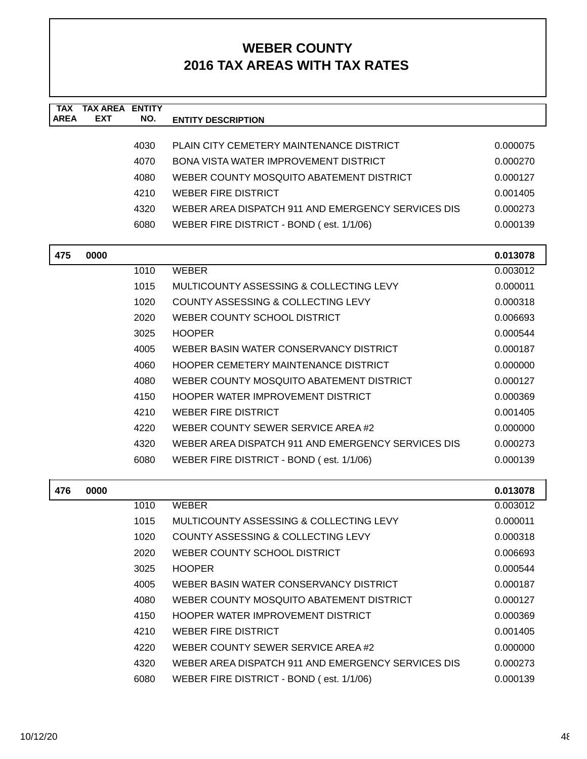| <b>TAX</b><br><b>AREA</b> | <b>TAX AREA ENTITY</b><br><b>EXT</b> | NO.  | <b>ENTITY DESCRIPTION</b>                          |          |
|---------------------------|--------------------------------------|------|----------------------------------------------------|----------|
|                           |                                      |      |                                                    |          |
|                           |                                      | 4030 | PLAIN CITY CEMETERY MAINTENANCE DISTRICT           | 0.000075 |
|                           |                                      | 4070 | <b>BONA VISTA WATER IMPROVEMENT DISTRICT</b>       | 0.000270 |
|                           |                                      | 4080 | WEBER COUNTY MOSQUITO ABATEMENT DISTRICT           | 0.000127 |
|                           |                                      | 4210 | <b>WEBER FIRE DISTRICT</b>                         | 0.001405 |
|                           |                                      | 4320 | WEBER AREA DISPATCH 911 AND EMERGENCY SERVICES DIS | 0.000273 |
|                           |                                      | 6080 | WEBER FIRE DISTRICT - BOND (est. 1/1/06)           | 0.000139 |
| 475                       | 0000                                 |      |                                                    | 0.013078 |
|                           |                                      | 1010 | <b>WEBER</b>                                       | 0.003012 |
|                           |                                      | 1015 | MULTICOUNTY ASSESSING & COLLECTING LEVY            | 0.000011 |
|                           |                                      | 1020 | COUNTY ASSESSING & COLLECTING LEVY                 | 0.000318 |
|                           |                                      | 2020 | WEBER COUNTY SCHOOL DISTRICT                       | 0.006693 |
|                           |                                      | 3025 | <b>HOOPER</b>                                      | 0.000544 |
|                           |                                      | 4005 | WEBER BASIN WATER CONSERVANCY DISTRICT             | 0.000187 |
|                           |                                      | 4060 | <b>HOOPER CEMETERY MAINTENANCE DISTRICT</b>        | 0.000000 |
|                           |                                      | 4080 | WEBER COUNTY MOSQUITO ABATEMENT DISTRICT           | 0.000127 |
|                           |                                      | 4150 | HOOPER WATER IMPROVEMENT DISTRICT                  | 0.000369 |
|                           |                                      | 4210 | <b>WEBER FIRE DISTRICT</b>                         | 0.001405 |
|                           |                                      | 4220 | WEBER COUNTY SEWER SERVICE AREA #2                 | 0.000000 |
|                           |                                      | 4320 | WEBER AREA DISPATCH 911 AND EMERGENCY SERVICES DIS | 0.000273 |
|                           |                                      | 6080 | WEBER FIRE DISTRICT - BOND (est. 1/1/06)           | 0.000139 |
| 476                       | 0000                                 |      |                                                    | 0.013078 |
|                           |                                      | 1010 | <b>WEBER</b>                                       | 0.003012 |
|                           |                                      | 1015 | MULTICOUNTY ASSESSING & COLLECTING LEVY            | 0.000011 |
|                           |                                      | 1020 | COUNTY ASSESSING & COLLECTING LEVY                 | 0.000318 |
|                           |                                      | 2020 | WEBER COUNTY SCHOOL DISTRICT                       | 0.006693 |
|                           |                                      | 3025 | <b>HOOPER</b>                                      | 0.000544 |
|                           |                                      | 4005 | WEBER BASIN WATER CONSERVANCY DISTRICT             | 0.000187 |
|                           |                                      | 4080 | WEBER COUNTY MOSQUITO ABATEMENT DISTRICT           | 0.000127 |
|                           |                                      | 4150 | HOOPER WATER IMPROVEMENT DISTRICT                  | 0.000369 |
|                           |                                      | 4210 | <b>WEBER FIRE DISTRICT</b>                         | 0.001405 |
|                           |                                      | 4220 | WEBER COUNTY SEWER SERVICE AREA #2                 | 0.000000 |
|                           |                                      | 4320 | WEBER AREA DISPATCH 911 AND EMERGENCY SERVICES DIS | 0.000273 |
|                           |                                      | 6080 | WEBER FIRE DISTRICT - BOND (est. 1/1/06)           | 0.000139 |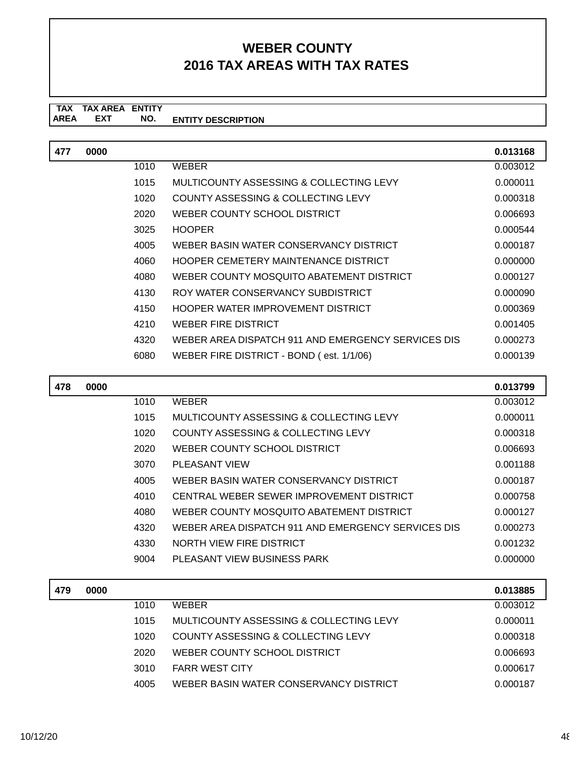| 477 | 0000 |      |                                                    | 0.013168 |
|-----|------|------|----------------------------------------------------|----------|
|     |      | 1010 | <b>WEBER</b>                                       | 0.003012 |
|     |      | 1015 | MULTICOUNTY ASSESSING & COLLECTING LEVY            | 0.000011 |
|     |      | 1020 | COUNTY ASSESSING & COLLECTING LEVY                 | 0.000318 |
|     |      | 2020 | WEBER COUNTY SCHOOL DISTRICT                       | 0.006693 |
|     |      | 3025 | <b>HOOPER</b>                                      | 0.000544 |
|     |      | 4005 | WEBER BASIN WATER CONSERVANCY DISTRICT             | 0.000187 |
|     |      | 4060 | HOOPER CEMETERY MAINTENANCE DISTRICT               | 0.000000 |
|     |      | 4080 | WEBER COUNTY MOSQUITO ABATEMENT DISTRICT           | 0.000127 |
|     |      | 4130 | ROY WATER CONSERVANCY SUBDISTRICT                  | 0.000090 |
|     |      | 4150 | HOOPER WATER IMPROVEMENT DISTRICT                  | 0.000369 |
|     |      | 4210 | <b>WEBER FIRE DISTRICT</b>                         | 0.001405 |
|     |      | 4320 | WEBER AREA DISPATCH 911 AND EMERGENCY SERVICES DIS | 0.000273 |
|     |      | 6080 | WEBER FIRE DISTRICT - BOND (est. 1/1/06)           | 0.000139 |
|     |      |      |                                                    |          |

| 478 | 0000 |      |                                                    | 0.013799 |
|-----|------|------|----------------------------------------------------|----------|
|     |      | 1010 | <b>WEBER</b>                                       | 0.003012 |
|     |      | 1015 | MULTICOUNTY ASSESSING & COLLECTING LEVY            | 0.000011 |
|     |      | 1020 | COUNTY ASSESSING & COLLECTING LEVY                 | 0.000318 |
|     |      | 2020 | WEBER COUNTY SCHOOL DISTRICT                       | 0.006693 |
|     |      | 3070 | PLEASANT VIEW                                      | 0.001188 |
|     |      | 4005 | WEBER BASIN WATER CONSERVANCY DISTRICT             | 0.000187 |
|     |      | 4010 | CENTRAL WEBER SEWER IMPROVEMENT DISTRICT           | 0.000758 |
|     |      | 4080 | WEBER COUNTY MOSQUITO ABATEMENT DISTRICT           | 0.000127 |
|     |      | 4320 | WEBER AREA DISPATCH 911 AND EMERGENCY SERVICES DIS | 0.000273 |
|     |      | 4330 | NORTH VIEW FIRE DISTRICT                           | 0.001232 |
|     |      | 9004 | PLEASANT VIEW BUSINESS PARK                        | 0.000000 |

| 479 | 0000 |      |                                         | 0.013885 |
|-----|------|------|-----------------------------------------|----------|
|     |      | 1010 | WEBER                                   | 0.003012 |
|     |      | 1015 | MULTICOUNTY ASSESSING & COLLECTING LEVY | 0.000011 |
|     |      | 1020 | COUNTY ASSESSING & COLLECTING LEVY      | 0.000318 |
|     |      | 2020 | WEBER COUNTY SCHOOL DISTRICT            | 0.006693 |
|     |      | 3010 | <b>FARR WEST CITY</b>                   | 0.000617 |
|     |      | 4005 | WEBER BASIN WATER CONSERVANCY DISTRICT  | 0.000187 |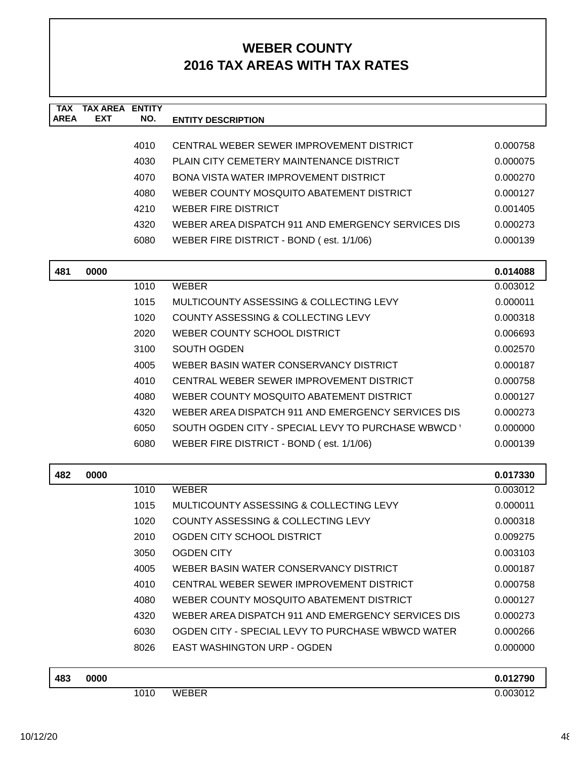| <b>TAX</b><br><b>AREA</b> | <b>TAX AREA ENTITY</b><br><b>EXT</b> | NO.  | <b>ENTITY DESCRIPTION</b>                          |          |
|---------------------------|--------------------------------------|------|----------------------------------------------------|----------|
|                           |                                      |      |                                                    |          |
|                           |                                      | 4010 | CENTRAL WEBER SEWER IMPROVEMENT DISTRICT           | 0.000758 |
|                           |                                      | 4030 | PLAIN CITY CEMETERY MAINTENANCE DISTRICT           | 0.000075 |
|                           |                                      | 4070 | BONA VISTA WATER IMPROVEMENT DISTRICT              | 0.000270 |
|                           |                                      | 4080 | WEBER COUNTY MOSQUITO ABATEMENT DISTRICT           | 0.000127 |
|                           |                                      | 4210 | <b>WEBER FIRE DISTRICT</b>                         | 0.001405 |
|                           |                                      | 4320 | WEBER AREA DISPATCH 911 AND EMERGENCY SERVICES DIS | 0.000273 |
|                           |                                      | 6080 | WEBER FIRE DISTRICT - BOND (est. 1/1/06)           | 0.000139 |
| 481                       | 0000                                 |      |                                                    | 0.014088 |
|                           |                                      | 1010 | <b>WEBER</b>                                       | 0.003012 |
|                           |                                      | 1015 | MULTICOUNTY ASSESSING & COLLECTING LEVY            | 0.000011 |
|                           |                                      | 1020 | COUNTY ASSESSING & COLLECTING LEVY                 | 0.000318 |
|                           |                                      | 2020 | WEBER COUNTY SCHOOL DISTRICT                       | 0.006693 |
|                           |                                      | 3100 | <b>SOUTH OGDEN</b>                                 | 0.002570 |
|                           |                                      | 4005 | WEBER BASIN WATER CONSERVANCY DISTRICT             | 0.000187 |
|                           |                                      | 4010 | CENTRAL WEBER SEWER IMPROVEMENT DISTRICT           | 0.000758 |
|                           |                                      | 4080 | WEBER COUNTY MOSQUITO ABATEMENT DISTRICT           | 0.000127 |
|                           |                                      | 4320 | WEBER AREA DISPATCH 911 AND EMERGENCY SERVICES DIS | 0.000273 |
|                           |                                      | 6050 | SOUTH OGDEN CITY - SPECIAL LEVY TO PURCHASE WBWCD  | 0.000000 |
|                           |                                      | 6080 | WEBER FIRE DISTRICT - BOND (est. 1/1/06)           | 0.000139 |
| 482                       | 0000                                 |      |                                                    | 0.017330 |
|                           |                                      | 1010 | <b>WEBER</b>                                       | 0.003012 |
|                           |                                      | 1015 | MULTICOUNTY ASSESSING & COLLECTING LEVY            | 0.000011 |
|                           |                                      | 1020 | COUNTY ASSESSING & COLLECTING LEVY                 | 0.000318 |
|                           |                                      | 2010 | OGDEN CITY SCHOOL DISTRICT                         | 0.009275 |
|                           |                                      | 3050 | <b>OGDEN CITY</b>                                  | 0.003103 |
|                           |                                      | 4005 | WEBER BASIN WATER CONSERVANCY DISTRICT             | 0.000187 |
|                           |                                      | 4010 | CENTRAL WEBER SEWER IMPROVEMENT DISTRICT           | 0.000758 |
|                           |                                      | 4080 | WEBER COUNTY MOSQUITO ABATEMENT DISTRICT           | 0.000127 |
|                           |                                      | 4320 | WEBER AREA DISPATCH 911 AND EMERGENCY SERVICES DIS | 0.000273 |
|                           |                                      | 6030 | OGDEN CITY - SPECIAL LEVY TO PURCHASE WBWCD WATER  | 0.000266 |
|                           |                                      | 8026 | <b>EAST WASHINGTON URP - OGDEN</b>                 | 0.000000 |
| 483                       | 0000                                 |      |                                                    | 0.012790 |
|                           |                                      | 1010 | <b>WEBER</b>                                       | 0.003012 |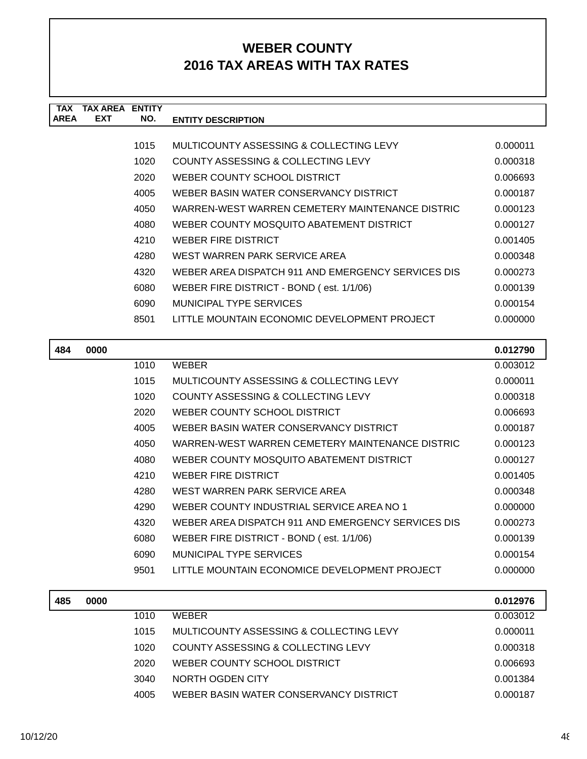| <b>TAX</b>  | <b>TAX AREA ENTITY</b> |      |                                                    |          |
|-------------|------------------------|------|----------------------------------------------------|----------|
| <b>AREA</b> | <b>EXT</b>             | NO.  | <b>ENTITY DESCRIPTION</b>                          |          |
|             |                        |      |                                                    |          |
|             |                        | 1015 | MULTICOUNTY ASSESSING & COLLECTING LEVY            | 0.000011 |
|             |                        | 1020 | COUNTY ASSESSING & COLLECTING LEVY                 | 0.000318 |
|             |                        | 2020 | WEBER COUNTY SCHOOL DISTRICT                       | 0.006693 |
|             |                        | 4005 | WEBER BASIN WATER CONSERVANCY DISTRICT             | 0.000187 |
|             |                        | 4050 | WARREN-WEST WARREN CEMETERY MAINTENANCE DISTRIC    | 0.000123 |
|             |                        | 4080 | WEBER COUNTY MOSQUITO ABATEMENT DISTRICT           | 0.000127 |
|             |                        | 4210 | <b>WEBER FIRE DISTRICT</b>                         | 0.001405 |
|             |                        | 4280 | WEST WARREN PARK SERVICE AREA                      | 0.000348 |
|             |                        | 4320 | WEBER AREA DISPATCH 911 AND EMERGENCY SERVICES DIS | 0.000273 |
|             |                        | 6080 | WEBER FIRE DISTRICT - BOND (est. 1/1/06)           | 0.000139 |
|             |                        | 6090 | MUNICIPAL TYPE SERVICES                            | 0.000154 |
|             |                        | 8501 | LITTLE MOUNTAIN ECONOMIC DEVELOPMENT PROJECT       | 0.000000 |
|             |                        |      |                                                    |          |
|             |                        |      |                                                    |          |
| 484         | 0000                   |      |                                                    | 0.012790 |
|             |                        | 1010 | <b>WEBER</b>                                       | 0.003012 |
|             |                        | 1015 | MULTICOUNTY ASSESSING & COLLECTING LEVY            | 0.000011 |
|             |                        | 1020 | COUNTY ASSESSING & COLLECTING LEVY                 | 0.000318 |
|             |                        | 2020 | WEBER COUNTY SCHOOL DISTRICT                       | 0.006693 |
|             |                        | 4005 | WEBER BASIN WATER CONSERVANCY DISTRICT             | 0.000187 |
|             |                        | 4050 | WARREN-WEST WARREN CEMETERY MAINTENANCE DISTRIC    | 0.000123 |
|             |                        | 4080 | WEBER COUNTY MOSQUITO ABATEMENT DISTRICT           | 0.000127 |
|             |                        | 4210 | <b>WEBER FIRE DISTRICT</b>                         | 0.001405 |
|             |                        | 4280 | WEST WARREN PARK SERVICE AREA                      | 0.000348 |
|             |                        | 4290 | WEBER COUNTY INDUSTRIAL SERVICE AREA NO 1          | 0.000000 |
|             |                        | 4320 | WEBER AREA DISPATCH 911 AND EMERGENCY SERVICES DIS | 0.000273 |

| 6090 | MUNICIPAL TYPE SERVICES                       | 0.000154 |
|------|-----------------------------------------------|----------|
| 9501 | LITTLE MOUNTAIN ECONOMICE DEVELOPMENT PROJECT | 0.000000 |

| 485 | 0000 |      |                                         | 0.012976 |
|-----|------|------|-----------------------------------------|----------|
|     |      | 1010 | <b>WEBER</b>                            | 0.003012 |
|     |      | 1015 | MULTICOUNTY ASSESSING & COLLECTING LEVY | 0.000011 |
|     |      | 1020 | COUNTY ASSESSING & COLLECTING LEVY      | 0.000318 |
|     |      | 2020 | WEBER COUNTY SCHOOL DISTRICT            | 0.006693 |
|     |      | 3040 | NORTH OGDEN CITY                        | 0.001384 |
|     |      | 4005 | WEBER BASIN WATER CONSERVANCY DISTRICT  | 0.000187 |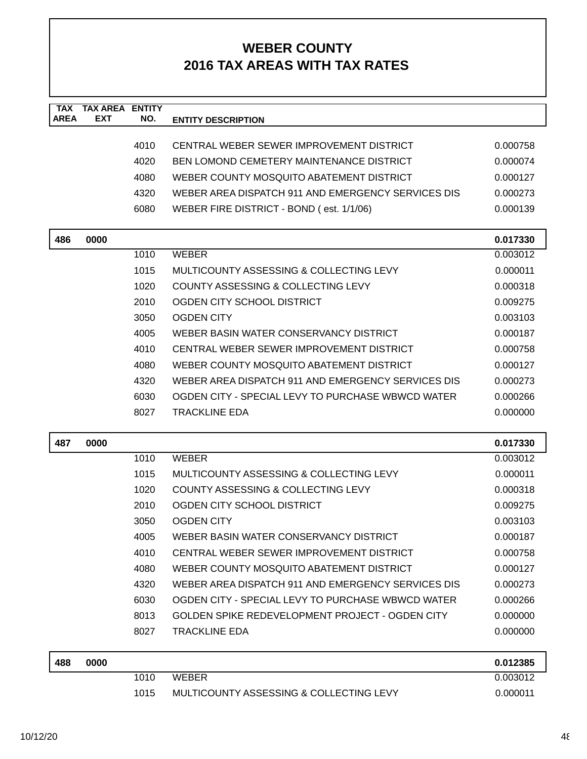| <b>TAX</b><br><b>AREA</b> | <b>TAX AREA</b><br><b>EXT</b> | <b>ENTITY</b><br>NO. | <b>ENTITY DESCRIPTION</b>                          |          |
|---------------------------|-------------------------------|----------------------|----------------------------------------------------|----------|
|                           |                               |                      |                                                    |          |
|                           |                               | 4010                 | CENTRAL WEBER SEWER IMPROVEMENT DISTRICT           | 0.000758 |
|                           |                               | 4020                 | BEN LOMOND CEMETERY MAINTENANCE DISTRICT           | 0.000074 |
|                           |                               | 4080                 | WEBER COUNTY MOSQUITO ABATEMENT DISTRICT           | 0.000127 |
|                           |                               | 4320                 | WEBER AREA DISPATCH 911 AND EMERGENCY SERVICES DIS | 0.000273 |
|                           |                               | 6080                 | WEBER FIRE DISTRICT - BOND (est. 1/1/06)           | 0.000139 |
| 486                       | 0000                          |                      |                                                    | 0.017330 |
|                           |                               | 1010                 | <b>WEBER</b>                                       | 0.003012 |
|                           |                               | 1015                 | MULTICOUNTY ASSESSING & COLLECTING LEVY            | 0.000011 |
|                           |                               | 1020                 | COUNTY ASSESSING & COLLECTING LEVY                 | 0.000318 |
|                           |                               | 2010                 | OGDEN CITY SCHOOL DISTRICT                         | 0.009275 |
|                           |                               | 3050                 | <b>OGDEN CITY</b>                                  | 0.003103 |
|                           |                               | 4005                 | WEBER BASIN WATER CONSERVANCY DISTRICT             | 0.000187 |
|                           |                               | 4010                 | CENTRAL WEBER SEWER IMPROVEMENT DISTRICT           | 0.000758 |
|                           |                               | 4080                 | WEBER COUNTY MOSQUITO ABATEMENT DISTRICT           | 0.000127 |
|                           |                               | 4320                 | WEBER AREA DISPATCH 911 AND EMERGENCY SERVICES DIS | 0.000273 |
|                           |                               | 6030                 | OGDEN CITY - SPECIAL LEVY TO PURCHASE WBWCD WATER  | 0.000266 |
|                           |                               | 8027                 | <b>TRACKLINE EDA</b>                               | 0.000000 |
| 487                       | 0000                          |                      |                                                    | 0.017330 |
|                           |                               | 1010                 | <b>WEBER</b>                                       | 0.003012 |
|                           |                               | 1015                 | MULTICOUNTY ASSESSING & COLLECTING LEVY            | 0.000011 |
|                           |                               | 1020                 | COUNTY ASSESSING & COLLECTING LEVY                 | 0.000318 |
|                           |                               | 2010                 | OGDEN CITY SCHOOL DISTRICT                         | 0.009275 |
|                           |                               | 3050                 | <b>OGDEN CITY</b>                                  | 0.003103 |
|                           |                               | 4005                 | WEBER BASIN WATER CONSERVANCY DISTRICT             | 0.000187 |
|                           |                               | 4010                 | CENTRAL WEBER SEWER IMPROVEMENT DISTRICT           | 0.000758 |
|                           |                               | 4080                 | WEBER COUNTY MOSQUITO ABATEMENT DISTRICT           | 0.000127 |
|                           |                               | 4320                 | WEBER AREA DISPATCH 911 AND EMERGENCY SERVICES DIS | 0.000273 |
|                           |                               | 6030                 | OGDEN CITY - SPECIAL LEVY TO PURCHASE WBWCD WATER  | 0.000266 |
|                           |                               | 8013                 | GOLDEN SPIKE REDEVELOPMENT PROJECT - OGDEN CITY    | 0.000000 |
|                           |                               | 8027                 | <b>TRACKLINE EDA</b>                               | 0.000000 |
| 488                       | 0000                          |                      |                                                    | 0.012385 |
|                           |                               | 1010                 | <b>WEBER</b>                                       | 0.003012 |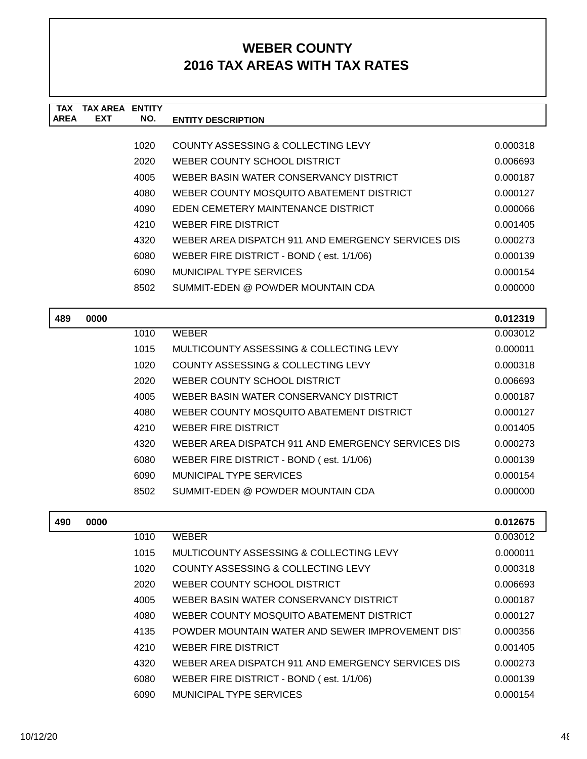| <b>TAX</b>  | TAX AREA   | <b>ENTITY</b> |                                                    |          |
|-------------|------------|---------------|----------------------------------------------------|----------|
| <b>AREA</b> | <b>EXT</b> | NO.           | <b>ENTITY DESCRIPTION</b>                          |          |
|             |            |               |                                                    |          |
|             |            | 1020          | COUNTY ASSESSING & COLLECTING LEVY                 | 0.000318 |
|             |            | 2020          | WEBER COUNTY SCHOOL DISTRICT                       | 0.006693 |
|             |            | 4005          | WEBER BASIN WATER CONSERVANCY DISTRICT             | 0.000187 |
|             |            | 4080          | WEBER COUNTY MOSQUITO ABATEMENT DISTRICT           | 0.000127 |
|             |            | 4090          | EDEN CEMETERY MAINTENANCE DISTRICT                 | 0.000066 |
|             |            | 4210          | WEBER FIRE DISTRICT                                | 0.001405 |
|             |            | 4320          | WEBER AREA DISPATCH 911 AND EMERGENCY SERVICES DIS | 0.000273 |
|             |            | 6080          | WEBER FIRE DISTRICT - BOND (est. 1/1/06)           | 0.000139 |
|             |            | 6090          | MUNICIPAL TYPE SERVICES                            | 0.000154 |
|             |            | 8502          | SUMMIT-EDEN @ POWDER MOUNTAIN CDA                  | 0.000000 |
|             |            |               |                                                    |          |
| 489         | 0000       |               |                                                    | 0.012319 |
|             |            | 1010          | <b>WEBER</b>                                       | 0.003012 |

| 1010 | <b>WEBER</b>                                       | 0.003012 |
|------|----------------------------------------------------|----------|
| 1015 | MULTICOUNTY ASSESSING & COLLECTING LEVY            | 0.000011 |
| 1020 | COUNTY ASSESSING & COLLECTING LEVY                 | 0.000318 |
| 2020 | WEBER COUNTY SCHOOL DISTRICT                       | 0.006693 |
| 4005 | WEBER BASIN WATER CONSERVANCY DISTRICT             | 0.000187 |
| 4080 | WEBER COUNTY MOSQUITO ABATEMENT DISTRICT           | 0.000127 |
| 4210 | WEBER FIRE DISTRICT                                | 0.001405 |
| 4320 | WEBER AREA DISPATCH 911 AND EMERGENCY SERVICES DIS | 0.000273 |
| 6080 | WEBER FIRE DISTRICT - BOND (est. 1/1/06)           | 0.000139 |
| 6090 | MUNICIPAL TYPE SERVICES                            | 0.000154 |
| 8502 | SUMMIT-EDEN @ POWDER MOUNTAIN CDA                  | 0.000000 |
|      |                                                    |          |

| 490 | 0000 |      |                                                    | 0.012675 |
|-----|------|------|----------------------------------------------------|----------|
|     |      | 1010 | <b>WEBER</b>                                       | 0.003012 |
|     |      | 1015 | MULTICOUNTY ASSESSING & COLLECTING LEVY            | 0.000011 |
|     |      | 1020 | COUNTY ASSESSING & COLLECTING LEVY                 | 0.000318 |
|     |      | 2020 | WEBER COUNTY SCHOOL DISTRICT                       | 0.006693 |
|     |      | 4005 | WEBER BASIN WATER CONSERVANCY DISTRICT             | 0.000187 |
|     |      | 4080 | WEBER COUNTY MOSQUITO ABATEMENT DISTRICT           | 0.000127 |
|     |      | 4135 | POWDER MOUNTAIN WATER AND SEWER IMPROVEMENT DIST   | 0.000356 |
|     |      | 4210 | <b>WEBER FIRE DISTRICT</b>                         | 0.001405 |
|     |      | 4320 | WEBER AREA DISPATCH 911 AND EMERGENCY SERVICES DIS | 0.000273 |
|     |      | 6080 | WEBER FIRE DISTRICT - BOND (est. 1/1/06)           | 0.000139 |
|     |      | 6090 | MUNICIPAL TYPE SERVICES                            | 0.000154 |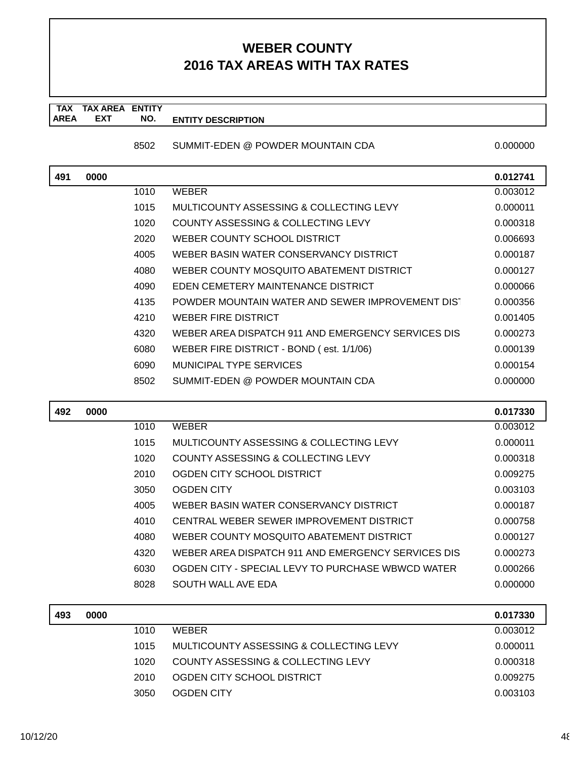#### **TAX TAX AREA ENTITY AREA ENTITY DESCRIPTION EXT NO.**

#### 8502 SUMMIT-EDEN @ POWDER MOUNTAIN CDA 0.000000

| 491 | 0000 |      |                                                    | 0.012741 |
|-----|------|------|----------------------------------------------------|----------|
|     |      | 1010 | <b>WEBER</b>                                       | 0.003012 |
|     |      | 1015 | MULTICOUNTY ASSESSING & COLLECTING LEVY            | 0.000011 |
|     |      | 1020 | <b>COUNTY ASSESSING &amp; COLLECTING LEVY</b>      | 0.000318 |
|     |      | 2020 | WEBER COUNTY SCHOOL DISTRICT                       | 0.006693 |
|     |      | 4005 | WEBER BASIN WATER CONSERVANCY DISTRICT             | 0.000187 |
|     |      | 4080 | WEBER COUNTY MOSQUITO ABATEMENT DISTRICT           | 0.000127 |
|     |      | 4090 | EDEN CEMETERY MAINTENANCE DISTRICT                 | 0.000066 |
|     |      | 4135 | POWDER MOUNTAIN WATER AND SEWER IMPROVEMENT DIST   | 0.000356 |
|     |      | 4210 | <b>WEBER FIRE DISTRICT</b>                         | 0.001405 |
|     |      | 4320 | WEBER AREA DISPATCH 911 AND EMERGENCY SERVICES DIS | 0.000273 |
|     |      | 6080 | WEBER FIRE DISTRICT - BOND (est. 1/1/06)           | 0.000139 |
|     |      | 6090 | <b>MUNICIPAL TYPE SERVICES</b>                     | 0.000154 |
|     |      | 8502 | SUMMIT-EDEN @ POWDER MOUNTAIN CDA                  | 0.000000 |
|     |      |      |                                                    |          |
| 492 | 0000 |      |                                                    | 0.017330 |
|     |      | 1010 | <b>WEBER</b>                                       | 0.003012 |
|     |      | 1015 | MULTICOUNTY ASSESSING & COLLECTING LEVY            | 0.000011 |
|     |      | 1020 | <b>COUNTY ASSESSING &amp; COLLECTING LEVY</b>      | 0.000318 |
|     |      | 2010 | OGDEN CITY SCHOOL DISTRICT                         | 0.009275 |
|     |      | 3050 | <b>OGDEN CITY</b>                                  | 0.003103 |
|     |      | 4005 | WEBER BASIN WATER CONSERVANCY DISTRICT             | 0.000187 |
|     |      | 4010 | CENTRAL WEBER SEWER IMPROVEMENT DISTRICT           | 0.000758 |
|     |      | 4080 | WEBER COUNTY MOSQUITO ABATEMENT DISTRICT           | 0.000127 |
|     |      | 4320 | WEBER AREA DISPATCH 911 AND EMERGENCY SERVICES DIS | 0.000273 |
|     |      | 6030 | OGDEN CITY - SPECIAL LEVY TO PURCHASE WBWCD WATER  | 0.000266 |
|     |      | 8028 | SOUTH WALL AVE EDA                                 | 0.000000 |
| 493 | 0000 |      |                                                    | 0.017330 |

| 493 | 0000 |      |                                         | 0.017330 |
|-----|------|------|-----------------------------------------|----------|
|     |      | 1010 | <b>WFRFR</b>                            | 0.003012 |
|     |      | 1015 | MULTICOUNTY ASSESSING & COLLECTING LEVY | 0.000011 |
|     |      | 1020 | COUNTY ASSESSING & COLLECTING LEVY      | 0.000318 |
|     |      | 2010 | OGDEN CITY SCHOOL DISTRICT              | 0.009275 |
|     |      | 3050 | OGDEN CITY                              | 0.003103 |
|     |      |      |                                         |          |